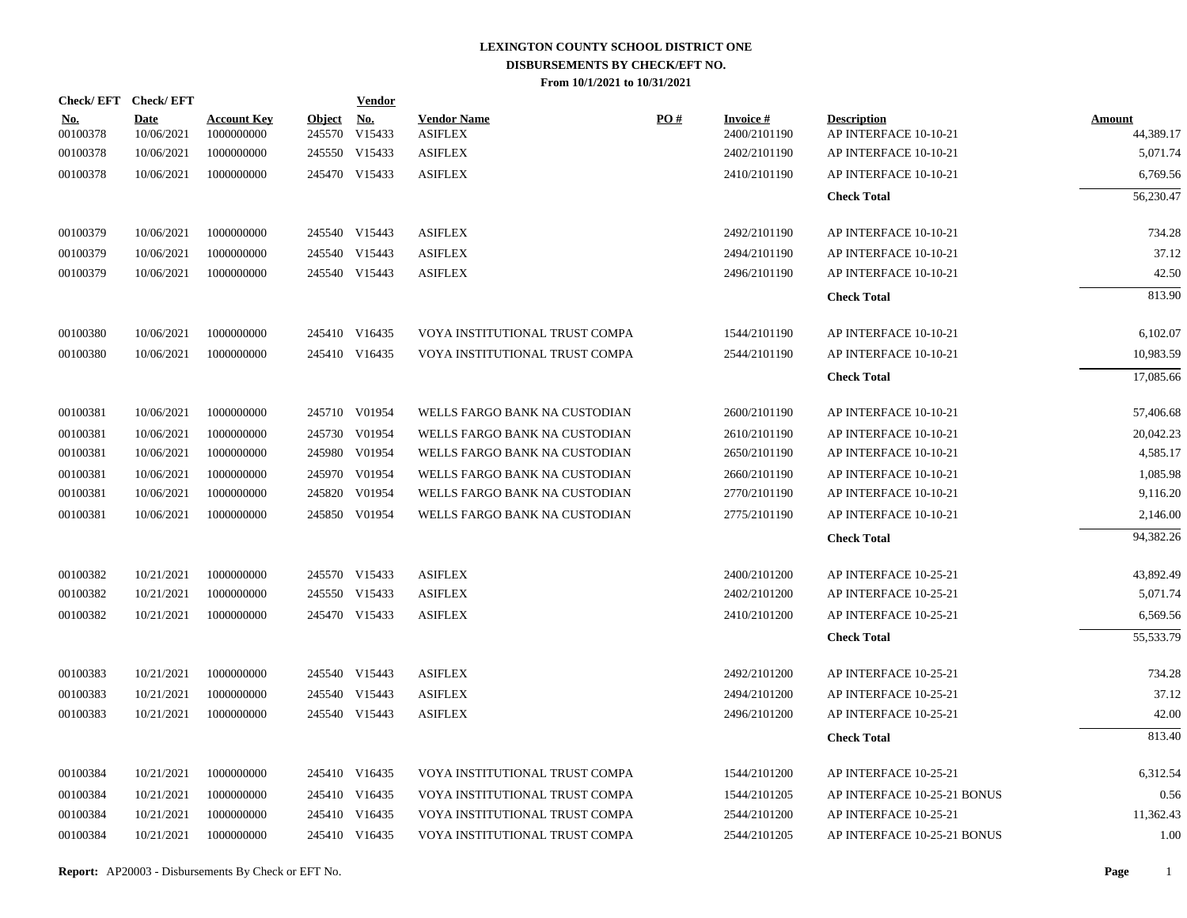| Check/EFT Check/EFT    |                           |                                  |               | <u>Vendor</u>                                |                                      |     |                                 |                                             |                            |
|------------------------|---------------------------|----------------------------------|---------------|----------------------------------------------|--------------------------------------|-----|---------------------------------|---------------------------------------------|----------------------------|
| <u>No.</u><br>00100378 | <b>Date</b><br>10/06/2021 | <b>Account Key</b><br>1000000000 | <b>Object</b> | $\underline{\mathrm{No}}$ .<br>245570 V15433 | <b>Vendor Name</b><br><b>ASIFLEX</b> | PO# | <b>Invoice#</b><br>2400/2101190 | <b>Description</b><br>AP INTERFACE 10-10-21 | <b>Amount</b><br>44,389.17 |
| 00100378               | 10/06/2021                | 1000000000                       |               | 245550 V15433                                | <b>ASIFLEX</b>                       |     | 2402/2101190                    | AP INTERFACE 10-10-21                       | 5,071.74                   |
| 00100378               | 10/06/2021                | 1000000000                       |               | 245470 V15433                                | <b>ASIFLEX</b>                       |     | 2410/2101190                    | AP INTERFACE 10-10-21                       | 6,769.56                   |
|                        |                           |                                  |               |                                              |                                      |     |                                 | <b>Check Total</b>                          | 56,230.47                  |
|                        |                           |                                  |               |                                              |                                      |     |                                 |                                             |                            |
| 00100379               | 10/06/2021                | 1000000000                       |               | 245540 V15443                                | <b>ASIFLEX</b>                       |     | 2492/2101190                    | AP INTERFACE 10-10-21                       | 734.28                     |
| 00100379               | 10/06/2021                | 1000000000                       |               | 245540 V15443                                | <b>ASIFLEX</b>                       |     | 2494/2101190                    | AP INTERFACE 10-10-21                       | 37.12                      |
| 00100379               | 10/06/2021                | 1000000000                       |               | 245540 V15443                                | <b>ASIFLEX</b>                       |     | 2496/2101190                    | AP INTERFACE 10-10-21                       | 42.50                      |
|                        |                           |                                  |               |                                              |                                      |     |                                 | <b>Check Total</b>                          | 813.90                     |
| 00100380               | 10/06/2021                | 1000000000                       |               | 245410 V16435                                | VOYA INSTITUTIONAL TRUST COMPA       |     | 1544/2101190                    | AP INTERFACE 10-10-21                       | 6,102.07                   |
| 00100380               | 10/06/2021                | 1000000000                       |               | 245410 V16435                                | VOYA INSTITUTIONAL TRUST COMPA       |     | 2544/2101190                    | AP INTERFACE 10-10-21                       | 10,983.59                  |
|                        |                           |                                  |               |                                              |                                      |     |                                 | <b>Check Total</b>                          | 17,085.66                  |
| 00100381               | 10/06/2021                | 1000000000                       |               | 245710 V01954                                | WELLS FARGO BANK NA CUSTODIAN        |     | 2600/2101190                    | AP INTERFACE 10-10-21                       | 57,406.68                  |
| 00100381               | 10/06/2021                | 1000000000                       |               | 245730 V01954                                | WELLS FARGO BANK NA CUSTODIAN        |     | 2610/2101190                    | AP INTERFACE 10-10-21                       | 20,042.23                  |
| 00100381               | 10/06/2021                | 1000000000                       |               | 245980 V01954                                | WELLS FARGO BANK NA CUSTODIAN        |     | 2650/2101190                    | AP INTERFACE 10-10-21                       | 4,585.17                   |
| 00100381               | 10/06/2021                | 1000000000                       |               | 245970 V01954                                | WELLS FARGO BANK NA CUSTODIAN        |     | 2660/2101190                    | AP INTERFACE 10-10-21                       | 1,085.98                   |
| 00100381               | 10/06/2021                | 1000000000                       |               | 245820 V01954                                | WELLS FARGO BANK NA CUSTODIAN        |     | 2770/2101190                    | AP INTERFACE 10-10-21                       | 9,116.20                   |
| 00100381               | 10/06/2021                | 1000000000                       |               | 245850 V01954                                | WELLS FARGO BANK NA CUSTODIAN        |     | 2775/2101190                    | AP INTERFACE 10-10-21                       | 2,146.00                   |
|                        |                           |                                  |               |                                              |                                      |     |                                 | <b>Check Total</b>                          | 94,382.26                  |
| 00100382               | 10/21/2021                | 1000000000                       |               | 245570 V15433                                | <b>ASIFLEX</b>                       |     | 2400/2101200                    | AP INTERFACE 10-25-21                       | 43,892.49                  |
| 00100382               | 10/21/2021                | 1000000000                       |               | 245550 V15433                                | <b>ASIFLEX</b>                       |     | 2402/2101200                    | AP INTERFACE 10-25-21                       | 5,071.74                   |
| 00100382               | 10/21/2021                | 1000000000                       |               | 245470 V15433                                | <b>ASIFLEX</b>                       |     | 2410/2101200                    | AP INTERFACE 10-25-21                       | 6,569.56                   |
|                        |                           |                                  |               |                                              |                                      |     |                                 | <b>Check Total</b>                          | 55,533.79                  |
| 00100383               | 10/21/2021                | 1000000000                       |               | 245540 V15443                                | <b>ASIFLEX</b>                       |     | 2492/2101200                    | AP INTERFACE 10-25-21                       | 734.28                     |
| 00100383               | 10/21/2021                | 1000000000                       |               | 245540 V15443                                | <b>ASIFLEX</b>                       |     | 2494/2101200                    | AP INTERFACE 10-25-21                       | 37.12                      |
| 00100383               | 10/21/2021                | 1000000000                       |               | 245540 V15443                                | <b>ASIFLEX</b>                       |     | 2496/2101200                    | AP INTERFACE 10-25-21                       | 42.00                      |
|                        |                           |                                  |               |                                              |                                      |     |                                 | <b>Check Total</b>                          | 813.40                     |
| 00100384               | 10/21/2021                | 1000000000                       |               | 245410 V16435                                | VOYA INSTITUTIONAL TRUST COMPA       |     | 1544/2101200                    | AP INTERFACE 10-25-21                       | 6,312.54                   |
| 00100384               | 10/21/2021                | 1000000000                       |               | 245410 V16435                                | VOYA INSTITUTIONAL TRUST COMPA       |     | 1544/2101205                    | AP INTERFACE 10-25-21 BONUS                 | 0.56                       |
| 00100384               | 10/21/2021                | 1000000000                       |               | 245410 V16435                                | VOYA INSTITUTIONAL TRUST COMPA       |     | 2544/2101200                    | AP INTERFACE 10-25-21                       | 11,362.43                  |
| 00100384               | 10/21/2021                | 1000000000                       |               | 245410 V16435                                | VOYA INSTITUTIONAL TRUST COMPA       |     | 2544/2101205                    | AP INTERFACE 10-25-21 BONUS                 | 1.00                       |
|                        |                           |                                  |               |                                              |                                      |     |                                 |                                             |                            |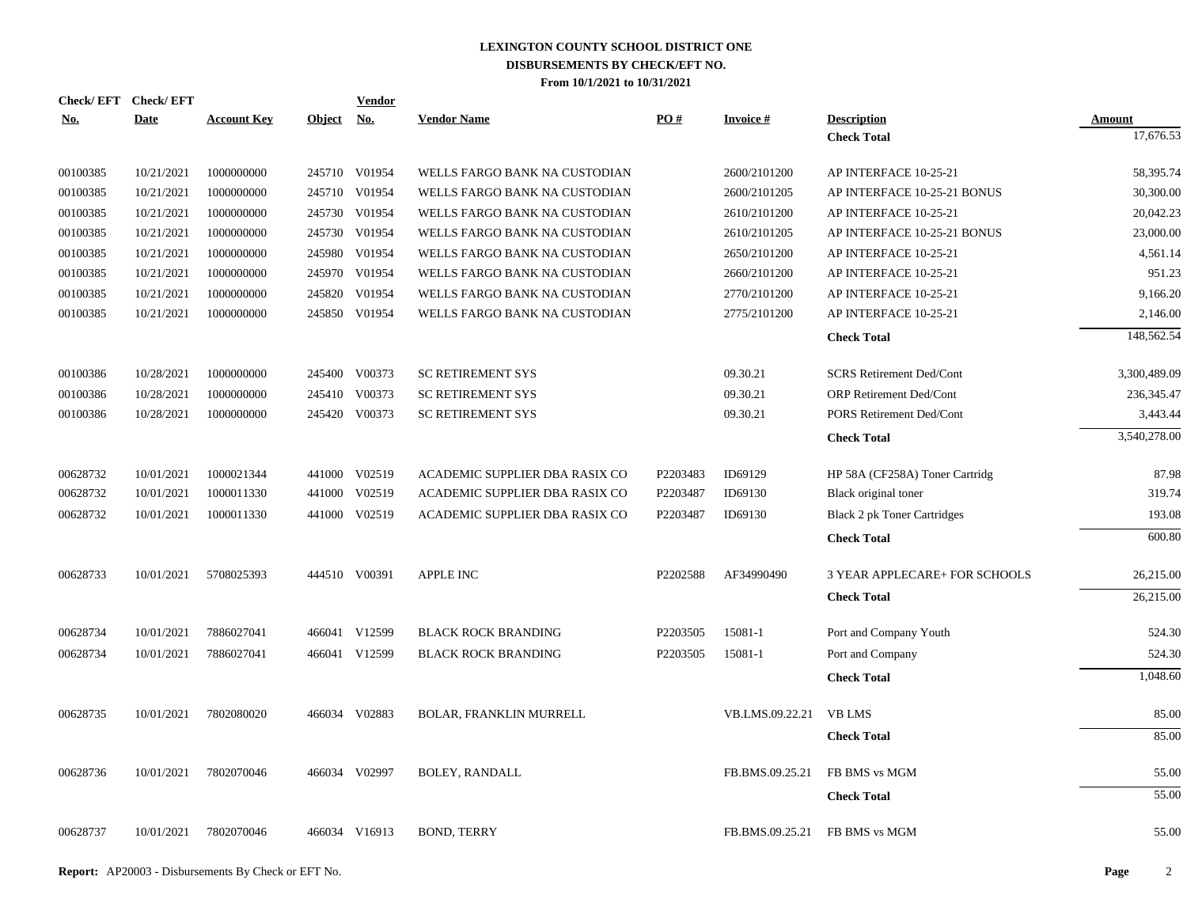| Check/EFT Check/EFT<br><u>No.</u> | <b>Date</b> | <b>Account Key</b> | Object No. | <b>Vendor</b> | <b>Vendor Name</b>             | PO#      | <b>Invoice#</b> | <b>Description</b>                   | Amount       |
|-----------------------------------|-------------|--------------------|------------|---------------|--------------------------------|----------|-----------------|--------------------------------------|--------------|
|                                   |             |                    |            |               |                                |          |                 | <b>Check Total</b>                   | 17,676.53    |
| 00100385                          | 10/21/2021  | 1000000000         |            | 245710 V01954 | WELLS FARGO BANK NA CUSTODIAN  |          | 2600/2101200    | AP INTERFACE 10-25-21                | 58,395.74    |
| 00100385                          | 10/21/2021  | 1000000000         |            | 245710 V01954 | WELLS FARGO BANK NA CUSTODIAN  |          | 2600/2101205    | AP INTERFACE 10-25-21 BONUS          | 30,300.00    |
| 00100385                          | 10/21/2021  | 1000000000         |            | 245730 V01954 | WELLS FARGO BANK NA CUSTODIAN  |          | 2610/2101200    | AP INTERFACE 10-25-21                | 20.042.23    |
| 00100385                          | 10/21/2021  | 1000000000         |            | 245730 V01954 | WELLS FARGO BANK NA CUSTODIAN  |          | 2610/2101205    | AP INTERFACE 10-25-21 BONUS          | 23,000.00    |
| 00100385                          | 10/21/2021  | 1000000000         | 245980     | V01954        | WELLS FARGO BANK NA CUSTODIAN  |          | 2650/2101200    | AP INTERFACE 10-25-21                | 4,561.14     |
| 00100385                          | 10/21/2021  | 1000000000         |            | 245970 V01954 | WELLS FARGO BANK NA CUSTODIAN  |          | 2660/2101200    | AP INTERFACE 10-25-21                | 951.23       |
| 00100385                          | 10/21/2021  | 1000000000         | 245820     | V01954        | WELLS FARGO BANK NA CUSTODIAN  |          | 2770/2101200    | AP INTERFACE 10-25-21                | 9,166.20     |
| 00100385                          | 10/21/2021  | 1000000000         |            | 245850 V01954 | WELLS FARGO BANK NA CUSTODIAN  |          | 2775/2101200    | AP INTERFACE 10-25-21                | 2,146.00     |
|                                   |             |                    |            |               |                                |          |                 | <b>Check Total</b>                   | 148,562.54   |
| 00100386                          | 10/28/2021  | 1000000000         |            | 245400 V00373 | <b>SC RETIREMENT SYS</b>       |          | 09.30.21        | <b>SCRS Retirement Ded/Cont</b>      | 3,300,489.09 |
| 00100386                          | 10/28/2021  | 1000000000         |            | 245410 V00373 | <b>SC RETIREMENT SYS</b>       |          | 09.30.21        | ORP Retirement Ded/Cont              | 236, 345. 47 |
| 00100386                          | 10/28/2021  | 1000000000         |            | 245420 V00373 | <b>SC RETIREMENT SYS</b>       |          | 09.30.21        | <b>PORS Retirement Ded/Cont</b>      | 3,443.44     |
|                                   |             |                    |            |               |                                |          |                 | <b>Check Total</b>                   | 3,540,278.00 |
| 00628732                          | 10/01/2021  | 1000021344         |            | 441000 V02519 | ACADEMIC SUPPLIER DBA RASIX CO | P2203483 | ID69129         | HP 58A (CF258A) Toner Cartridg       | 87.98        |
| 00628732                          | 10/01/2021  | 1000011330         |            | 441000 V02519 | ACADEMIC SUPPLIER DBA RASIX CO | P2203487 | ID69130         | Black original toner                 | 319.74       |
| 00628732                          | 10/01/2021  | 1000011330         |            | 441000 V02519 | ACADEMIC SUPPLIER DBA RASIX CO | P2203487 | ID69130         | <b>Black 2 pk Toner Cartridges</b>   | 193.08       |
|                                   |             |                    |            |               |                                |          |                 | <b>Check Total</b>                   | 600.80       |
| 00628733                          | 10/01/2021  | 5708025393         |            | 444510 V00391 | <b>APPLE INC</b>               | P2202588 | AF34990490      | <b>3 YEAR APPLECARE+ FOR SCHOOLS</b> | 26,215.00    |
|                                   |             |                    |            |               |                                |          |                 | <b>Check Total</b>                   | 26,215.00    |
| 00628734                          | 10/01/2021  | 7886027041         |            | 466041 V12599 | <b>BLACK ROCK BRANDING</b>     | P2203505 | 15081-1         | Port and Company Youth               | 524.30       |
| 00628734                          | 10/01/2021  | 7886027041         |            | 466041 V12599 | <b>BLACK ROCK BRANDING</b>     | P2203505 | 15081-1         | Port and Company                     | 524.30       |
|                                   |             |                    |            |               |                                |          |                 | <b>Check Total</b>                   | 1,048.60     |
| 00628735                          | 10/01/2021  | 7802080020         |            | 466034 V02883 | <b>BOLAR, FRANKLIN MURRELL</b> |          | VB.LMS.09.22.21 | <b>VB LMS</b>                        | 85.00        |
|                                   |             |                    |            |               |                                |          |                 | <b>Check Total</b>                   | 85.00        |
| 00628736                          | 10/01/2021  | 7802070046         |            | 466034 V02997 | <b>BOLEY, RANDALL</b>          |          | FB.BMS.09.25.21 | FB BMS vs MGM                        | 55.00        |
|                                   |             |                    |            |               |                                |          |                 | <b>Check Total</b>                   | 55.00        |
| 00628737                          | 10/01/2021  | 7802070046         |            | 466034 V16913 | <b>BOND, TERRY</b>             |          | FB.BMS.09.25.21 | FB BMS vs MGM                        | 55.00        |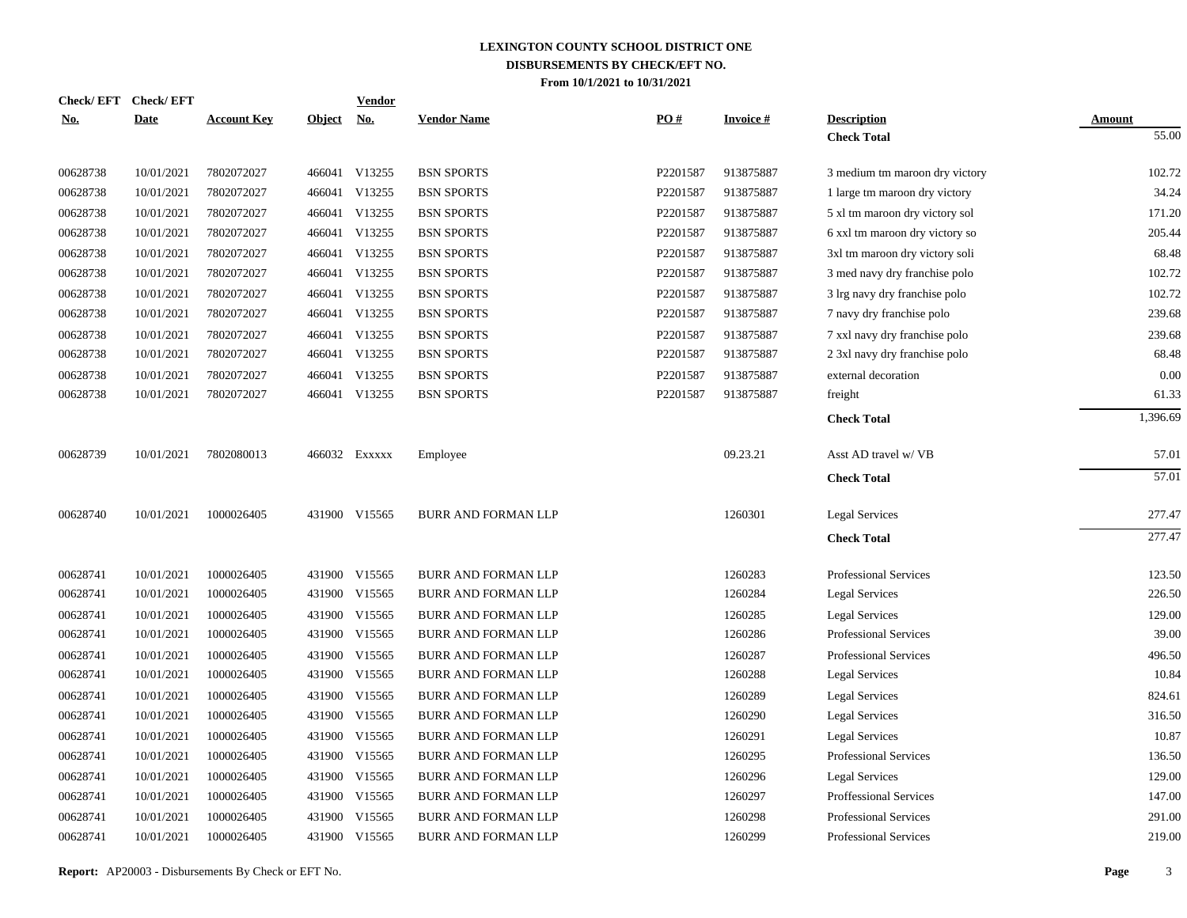| <b>Check/EFT</b> | <b>Check/EFT</b> |                    |               | <b>Vendor</b> |                            |          |                 |                                |               |
|------------------|------------------|--------------------|---------------|---------------|----------------------------|----------|-----------------|--------------------------------|---------------|
| <u>No.</u>       | <b>Date</b>      | <b>Account Key</b> | <u>Object</u> | <u>No.</u>    | <b>Vendor Name</b>         | PO#      | <b>Invoice#</b> | <b>Description</b>             | <b>Amount</b> |
|                  |                  |                    |               |               |                            |          |                 | <b>Check Total</b>             | 55.00         |
| 00628738         | 10/01/2021       | 7802072027         |               | 466041 V13255 | <b>BSN SPORTS</b>          | P2201587 | 913875887       | 3 medium tm maroon dry victory | 102.72        |
| 00628738         | 10/01/2021       | 7802072027         |               | 466041 V13255 | <b>BSN SPORTS</b>          | P2201587 | 913875887       | 1 large tm maroon dry victory  | 34.24         |
| 00628738         | 10/01/2021       | 7802072027         |               | 466041 V13255 | <b>BSN SPORTS</b>          | P2201587 | 913875887       | 5 xl tm maroon dry victory sol | 171.20        |
| 00628738         | 10/01/2021       | 7802072027         |               | 466041 V13255 | <b>BSN SPORTS</b>          | P2201587 | 913875887       | 6 xxl tm maroon dry victory so | 205.44        |
| 00628738         | 10/01/2021       | 7802072027         |               | 466041 V13255 | <b>BSN SPORTS</b>          | P2201587 | 913875887       | 3xl tm maroon dry victory soli | 68.48         |
| 00628738         | 10/01/2021       | 7802072027         |               | 466041 V13255 | <b>BSN SPORTS</b>          | P2201587 | 913875887       | 3 med navy dry franchise polo  | 102.72        |
| 00628738         | 10/01/2021       | 7802072027         |               | 466041 V13255 | <b>BSN SPORTS</b>          | P2201587 | 913875887       | 3 lrg navy dry franchise polo  | 102.72        |
| 00628738         | 10/01/2021       | 7802072027         |               | 466041 V13255 | <b>BSN SPORTS</b>          | P2201587 | 913875887       | 7 navy dry franchise polo      | 239.68        |
| 00628738         | 10/01/2021       | 7802072027         |               | 466041 V13255 | <b>BSN SPORTS</b>          | P2201587 | 913875887       | 7 xxl navy dry franchise polo  | 239.68        |
| 00628738         | 10/01/2021       | 7802072027         |               | 466041 V13255 | <b>BSN SPORTS</b>          | P2201587 | 913875887       | 2 3xl navy dry franchise polo  | 68.48         |
| 00628738         | 10/01/2021       | 7802072027         |               | 466041 V13255 | <b>BSN SPORTS</b>          | P2201587 | 913875887       | external decoration            | 0.00          |
| 00628738         | 10/01/2021       | 7802072027         |               | 466041 V13255 | <b>BSN SPORTS</b>          | P2201587 | 913875887       | freight                        | 61.33         |
|                  |                  |                    |               |               |                            |          |                 | <b>Check Total</b>             | 1,396.69      |
| 00628739         | 10/01/2021       | 7802080013         |               | 466032 Exxxxx | Employee                   |          | 09.23.21        | Asst AD travel w/ VB           | 57.01         |
|                  |                  |                    |               |               |                            |          |                 | <b>Check Total</b>             | 57.01         |
| 00628740         | 10/01/2021       | 1000026405         |               | 431900 V15565 | <b>BURR AND FORMAN LLP</b> |          | 1260301         | Legal Services                 | 277.47        |
|                  |                  |                    |               |               |                            |          |                 | <b>Check Total</b>             | 277.47        |
| 00628741         | 10/01/2021       | 1000026405         |               | 431900 V15565 | <b>BURR AND FORMAN LLP</b> |          | 1260283         | Professional Services          | 123.50        |
| 00628741         | 10/01/2021       | 1000026405         |               | 431900 V15565 | <b>BURR AND FORMAN LLP</b> |          | 1260284         | Legal Services                 | 226.50        |
| 00628741         | 10/01/2021       | 1000026405         | 431900        | V15565        | <b>BURR AND FORMAN LLP</b> |          | 1260285         | Legal Services                 | 129.00        |
| 00628741         | 10/01/2021       | 1000026405         | 431900        | V15565        | <b>BURR AND FORMAN LLP</b> |          | 1260286         | Professional Services          | 39.00         |
| 00628741         | 10/01/2021       | 1000026405         | 431900        | V15565        | <b>BURR AND FORMAN LLP</b> |          | 1260287         | <b>Professional Services</b>   | 496.50        |
| 00628741         | 10/01/2021       | 1000026405         | 431900        | V15565        | <b>BURR AND FORMAN LLP</b> |          | 1260288         | <b>Legal Services</b>          | 10.84         |
| 00628741         | 10/01/2021       | 1000026405         | 431900        | V15565        | <b>BURR AND FORMAN LLP</b> |          | 1260289         | Legal Services                 | 824.61        |
| 00628741         | 10/01/2021       | 1000026405         |               | 431900 V15565 | <b>BURR AND FORMAN LLP</b> |          | 1260290         | Legal Services                 | 316.50        |
| 00628741         | 10/01/2021       | 1000026405         |               | 431900 V15565 | <b>BURR AND FORMAN LLP</b> |          | 1260291         | Legal Services                 | 10.87         |
| 00628741         | 10/01/2021       | 1000026405         |               | 431900 V15565 | BURR AND FORMAN LLP        |          | 1260295         | Professional Services          | 136.50        |
| 00628741         | 10/01/2021       | 1000026405         |               | 431900 V15565 | <b>BURR AND FORMAN LLP</b> |          | 1260296         | Legal Services                 | 129.00        |
| 00628741         | 10/01/2021       | 1000026405         |               | 431900 V15565 | <b>BURR AND FORMAN LLP</b> |          | 1260297         | Proffessional Services         | 147.00        |
| 00628741         | 10/01/2021       | 1000026405         | 431900        | V15565        | <b>BURR AND FORMAN LLP</b> |          | 1260298         | <b>Professional Services</b>   | 291.00        |
| 00628741         | 10/01/2021       | 1000026405         |               | 431900 V15565 | <b>BURR AND FORMAN LLP</b> |          | 1260299         | Professional Services          | 219.00        |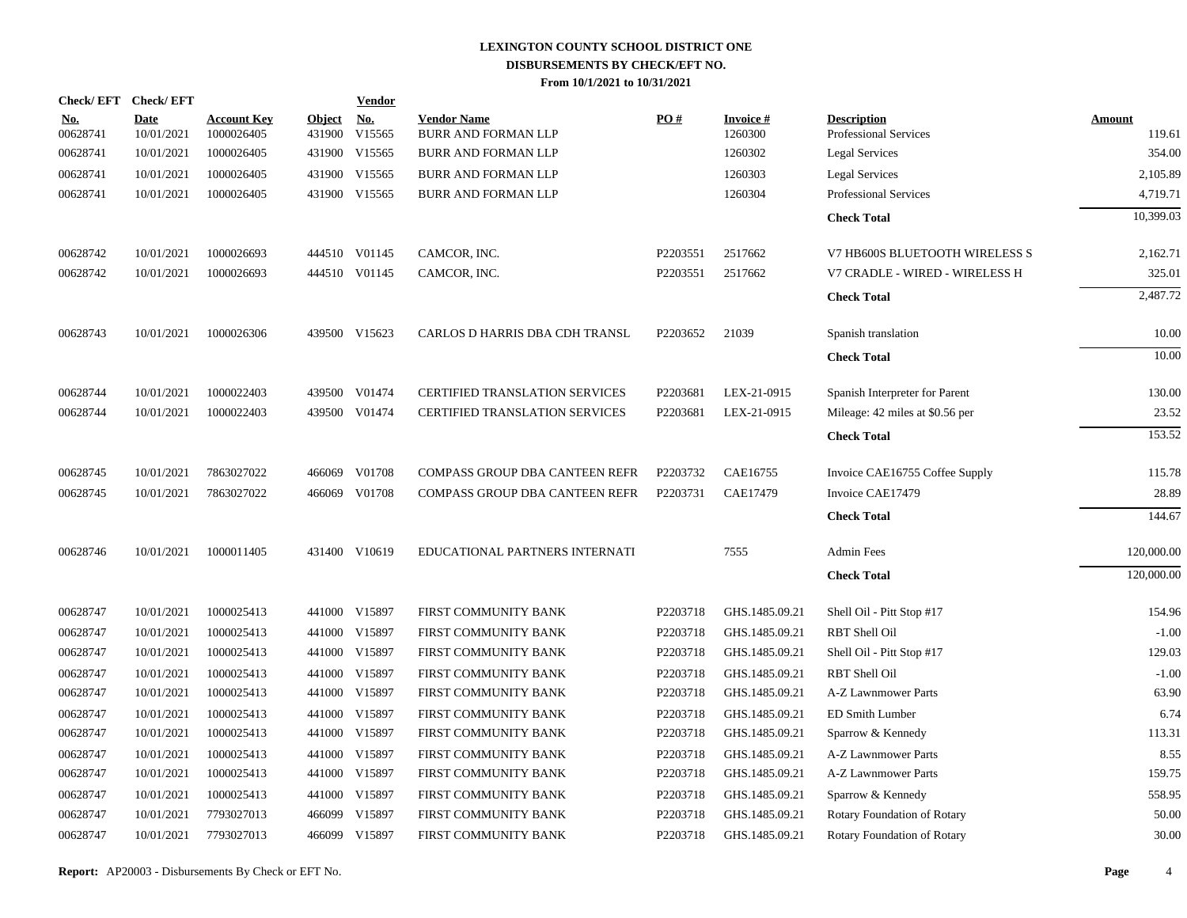|                        | Check/EFT Check/EFT       |                                  |                      | <b>Vendor</b> |                                                  |          |                            |                                                    |                  |
|------------------------|---------------------------|----------------------------------|----------------------|---------------|--------------------------------------------------|----------|----------------------------|----------------------------------------------------|------------------|
| <b>No.</b><br>00628741 | <b>Date</b><br>10/01/2021 | <b>Account Key</b><br>1000026405 | Object No.<br>431900 | V15565        | <b>Vendor Name</b><br><b>BURR AND FORMAN LLP</b> | PO#      | <b>Invoice#</b><br>1260300 | <b>Description</b><br><b>Professional Services</b> | Amount<br>119.61 |
| 00628741               | 10/01/2021                | 1000026405                       |                      | 431900 V15565 | BURR AND FORMAN LLP                              |          | 1260302                    | <b>Legal Services</b>                              | 354.00           |
| 00628741               | 10/01/2021                | 1000026405                       |                      | 431900 V15565 | <b>BURR AND FORMAN LLP</b>                       |          | 1260303                    | <b>Legal Services</b>                              | 2,105.89         |
| 00628741               | 10/01/2021                | 1000026405                       |                      | 431900 V15565 | <b>BURR AND FORMAN LLP</b>                       |          | 1260304                    | <b>Professional Services</b>                       | 4,719.71         |
|                        |                           |                                  |                      |               |                                                  |          |                            | <b>Check Total</b>                                 | 10,399.03        |
| 00628742               | 10/01/2021                | 1000026693                       |                      | 444510 V01145 | CAMCOR, INC.                                     | P2203551 | 2517662                    | V7 HB600S BLUETOOTH WIRELESS S                     | 2,162.71         |
| 00628742               | 10/01/2021                | 1000026693                       |                      | 444510 V01145 | CAMCOR, INC.                                     | P2203551 | 2517662                    | V7 CRADLE - WIRED - WIRELESS H                     | 325.01           |
|                        |                           |                                  |                      |               |                                                  |          |                            | <b>Check Total</b>                                 | 2,487.72         |
| 00628743               | 10/01/2021                | 1000026306                       |                      | 439500 V15623 | CARLOS D HARRIS DBA CDH TRANSL                   | P2203652 | 21039                      | Spanish translation                                | 10.00            |
|                        |                           |                                  |                      |               |                                                  |          |                            | <b>Check Total</b>                                 | 10.00            |
| 00628744               | 10/01/2021                | 1000022403                       |                      | 439500 V01474 | <b>CERTIFIED TRANSLATION SERVICES</b>            | P2203681 | LEX-21-0915                | Spanish Interpreter for Parent                     | 130.00           |
| 00628744               | 10/01/2021                | 1000022403                       |                      | 439500 V01474 | CERTIFIED TRANSLATION SERVICES                   | P2203681 | LEX-21-0915                | Mileage: 42 miles at \$0.56 per                    | 23.52            |
|                        |                           |                                  |                      |               |                                                  |          |                            | <b>Check Total</b>                                 | 153.52           |
| 00628745               | 10/01/2021                | 7863027022                       | 466069               | V01708        | COMPASS GROUP DBA CANTEEN REFR                   | P2203732 | CAE16755                   | Invoice CAE16755 Coffee Supply                     | 115.78           |
| 00628745               | 10/01/2021                | 7863027022                       |                      | 466069 V01708 | COMPASS GROUP DBA CANTEEN REFR                   | P2203731 | CAE17479                   | Invoice CAE17479                                   | 28.89            |
|                        |                           |                                  |                      |               |                                                  |          |                            | <b>Check Total</b>                                 | 144.67           |
| 00628746               | 10/01/2021                | 1000011405                       |                      | 431400 V10619 | EDUCATIONAL PARTNERS INTERNATI                   |          | 7555                       | <b>Admin Fees</b>                                  | 120,000.00       |
|                        |                           |                                  |                      |               |                                                  |          |                            | <b>Check Total</b>                                 | 120,000.00       |
| 00628747               | 10/01/2021                | 1000025413                       |                      | 441000 V15897 | FIRST COMMUNITY BANK                             | P2203718 | GHS.1485.09.21             | Shell Oil - Pitt Stop #17                          | 154.96           |
| 00628747               | 10/01/2021                | 1000025413                       |                      | 441000 V15897 | FIRST COMMUNITY BANK                             | P2203718 | GHS.1485.09.21             | RBT Shell Oil                                      | $-1.00$          |
| 00628747               | 10/01/2021                | 1000025413                       |                      | 441000 V15897 | FIRST COMMUNITY BANK                             | P2203718 | GHS.1485.09.21             | Shell Oil - Pitt Stop #17                          | 129.03           |
| 00628747               | 10/01/2021                | 1000025413                       |                      | 441000 V15897 | FIRST COMMUNITY BANK                             | P2203718 | GHS.1485.09.21             | RBT Shell Oil                                      | $-1.00$          |
| 00628747               | 10/01/2021                | 1000025413                       |                      | 441000 V15897 | FIRST COMMUNITY BANK                             | P2203718 | GHS.1485.09.21             | A-Z Lawnmower Parts                                | 63.90            |
| 00628747               | 10/01/2021                | 1000025413                       |                      | 441000 V15897 | FIRST COMMUNITY BANK                             | P2203718 | GHS.1485.09.21             | <b>ED Smith Lumber</b>                             | 6.74             |
| 00628747               | 10/01/2021                | 1000025413                       |                      | 441000 V15897 | FIRST COMMUNITY BANK                             | P2203718 | GHS.1485.09.21             | Sparrow & Kennedy                                  | 113.31           |
| 00628747               | 10/01/2021                | 1000025413                       |                      | 441000 V15897 | FIRST COMMUNITY BANK                             | P2203718 | GHS.1485.09.21             | A-Z Lawnmower Parts                                | 8.55             |
| 00628747               | 10/01/2021                | 1000025413                       |                      | 441000 V15897 | FIRST COMMUNITY BANK                             | P2203718 | GHS.1485.09.21             | A-Z Lawnmower Parts                                | 159.75           |
| 00628747               | 10/01/2021                | 1000025413                       |                      | 441000 V15897 | FIRST COMMUNITY BANK                             | P2203718 | GHS.1485.09.21             | Sparrow & Kennedy                                  | 558.95           |
| 00628747               | 10/01/2021                | 7793027013                       |                      | 466099 V15897 | FIRST COMMUNITY BANK                             | P2203718 | GHS.1485.09.21             | Rotary Foundation of Rotary                        | 50.00            |
| 00628747               | 10/01/2021                | 7793027013                       |                      | 466099 V15897 | FIRST COMMUNITY BANK                             | P2203718 | GHS.1485.09.21             | <b>Rotary Foundation of Rotary</b>                 | 30.00            |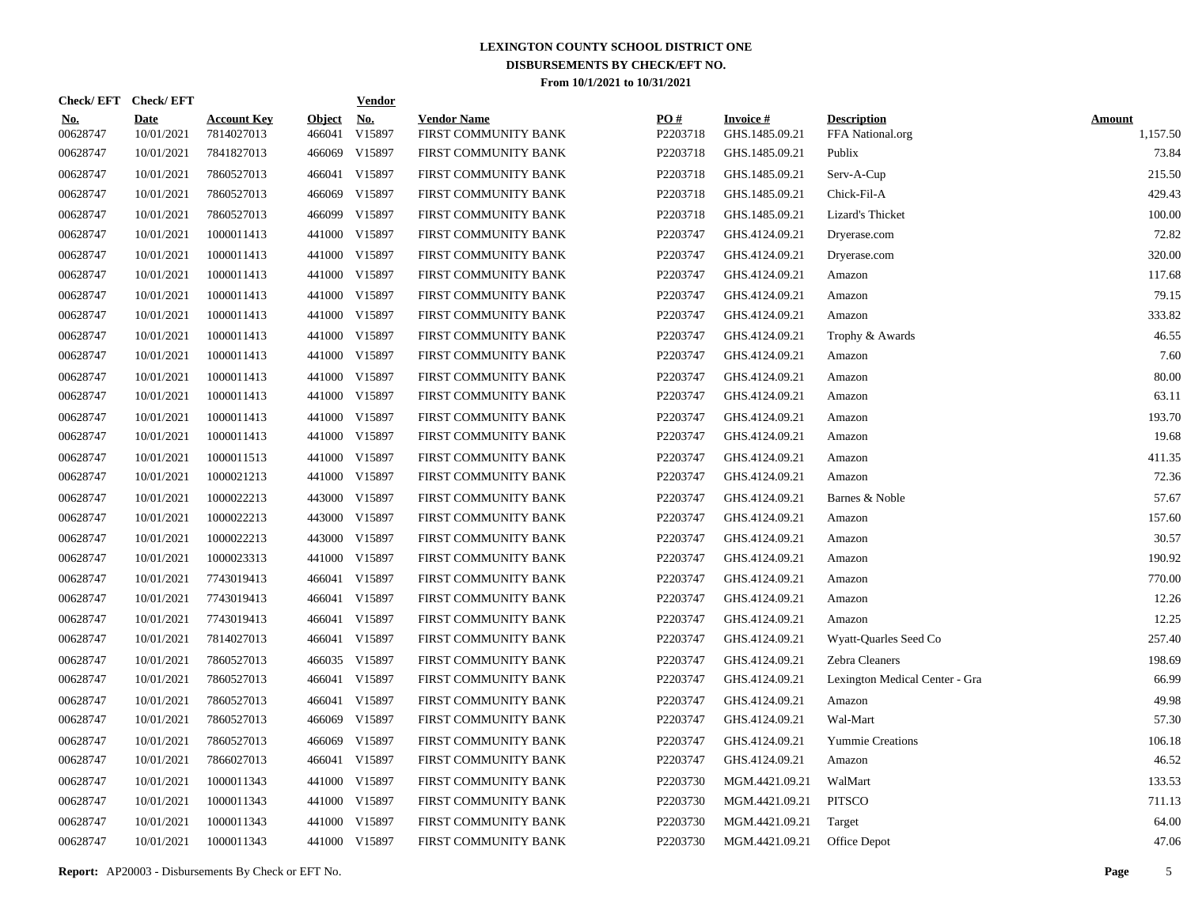|                        | Check/EFT Check/EFT       |                                  |                         | <u>Vendor</u>        |                                            |                 |                                   |                                        |                           |
|------------------------|---------------------------|----------------------------------|-------------------------|----------------------|--------------------------------------------|-----------------|-----------------------------------|----------------------------------------|---------------------------|
| <u>No.</u><br>00628747 | <b>Date</b><br>10/01/2021 | <b>Account Key</b><br>7814027013 | <b>Object</b><br>466041 | <u>No.</u><br>V15897 | <b>Vendor Name</b><br>FIRST COMMUNITY BANK | PQ#<br>P2203718 | <b>Invoice#</b><br>GHS.1485.09.21 | <b>Description</b><br>FFA National.org | <b>Amount</b><br>1,157.50 |
| 00628747               | 10/01/2021                | 7841827013                       | 466069                  | V15897               | FIRST COMMUNITY BANK                       | P2203718        | GHS.1485.09.21                    | Publix                                 | 73.84                     |
| 00628747               | 10/01/2021                | 7860527013                       |                         | 466041 V15897        | FIRST COMMUNITY BANK                       | P2203718        | GHS.1485.09.21                    | Serv-A-Cup                             | 215.50                    |
| 00628747               | 10/01/2021                | 7860527013                       |                         | 466069 V15897        | FIRST COMMUNITY BANK                       | P2203718        | GHS.1485.09.21                    | Chick-Fil-A                            | 429.43                    |
| 00628747               | 10/01/2021                | 7860527013                       |                         | 466099 V15897        | FIRST COMMUNITY BANK                       | P2203718        | GHS.1485.09.21                    | Lizard's Thicket                       | 100.00                    |
| 00628747               | 10/01/2021                | 1000011413                       |                         | 441000 V15897        | FIRST COMMUNITY BANK                       | P2203747        | GHS.4124.09.21                    | Dryerase.com                           | 72.82                     |
| 00628747               | 10/01/2021                | 1000011413                       |                         | 441000 V15897        | FIRST COMMUNITY BANK                       | P2203747        | GHS.4124.09.21                    | Dryerase.com                           | 320.00                    |
| 00628747               | 10/01/2021                | 1000011413                       |                         | 441000 V15897        | FIRST COMMUNITY BANK                       | P2203747        | GHS.4124.09.21                    | Amazon                                 | 117.68                    |
| 00628747               | 10/01/2021                | 1000011413                       |                         | 441000 V15897        | FIRST COMMUNITY BANK                       | P2203747        | GHS.4124.09.21                    | Amazon                                 | 79.15                     |
| 00628747               | 10/01/2021                | 1000011413                       |                         | 441000 V15897        | FIRST COMMUNITY BANK                       | P2203747        | GHS.4124.09.21                    | Amazon                                 | 333.82                    |
| 00628747               | 10/01/2021                | 1000011413                       |                         | 441000 V15897        | FIRST COMMUNITY BANK                       | P2203747        | GHS.4124.09.21                    | Trophy & Awards                        | 46.55                     |
| 00628747               | 10/01/2021                | 1000011413                       |                         | 441000 V15897        | FIRST COMMUNITY BANK                       | P2203747        | GHS.4124.09.21                    | Amazon                                 | 7.60                      |
| 00628747               | 10/01/2021                | 1000011413                       |                         | 441000 V15897        | FIRST COMMUNITY BANK                       | P2203747        | GHS.4124.09.21                    | Amazon                                 | 80.00                     |
| 00628747               | 10/01/2021                | 1000011413                       |                         | 441000 V15897        | FIRST COMMUNITY BANK                       | P2203747        | GHS.4124.09.21                    | Amazon                                 | 63.11                     |
| 00628747               | 10/01/2021                | 1000011413                       |                         | 441000 V15897        | FIRST COMMUNITY BANK                       | P2203747        | GHS.4124.09.21                    | Amazon                                 | 193.70                    |
| 00628747               | 10/01/2021                | 1000011413                       |                         | 441000 V15897        | FIRST COMMUNITY BANK                       | P2203747        | GHS.4124.09.21                    | Amazon                                 | 19.68                     |
| 00628747               | 10/01/2021                | 1000011513                       |                         | 441000 V15897        | FIRST COMMUNITY BANK                       | P2203747        | GHS.4124.09.21                    | Amazon                                 | 411.35                    |
| 00628747               | 10/01/2021                | 1000021213                       |                         | 441000 V15897        | FIRST COMMUNITY BANK                       | P2203747        | GHS.4124.09.21                    | Amazon                                 | 72.36                     |
| 00628747               | 10/01/2021                | 1000022213                       |                         | 443000 V15897        | FIRST COMMUNITY BANK                       | P2203747        | GHS.4124.09.21                    | Barnes & Noble                         | 57.67                     |
| 00628747               | 10/01/2021                | 1000022213                       |                         | 443000 V15897        | FIRST COMMUNITY BANK                       | P2203747        | GHS.4124.09.21                    | Amazon                                 | 157.60                    |
| 00628747               | 10/01/2021                | 1000022213                       | 443000                  | V15897               | FIRST COMMUNITY BANK                       | P2203747        | GHS.4124.09.21                    | Amazon                                 | 30.57                     |
| 00628747               | 10/01/2021                | 1000023313                       |                         | 441000 V15897        | FIRST COMMUNITY BANK                       | P2203747        | GHS.4124.09.21                    | Amazon                                 | 190.92                    |
| 00628747               | 10/01/2021                | 7743019413                       |                         | 466041 V15897        | FIRST COMMUNITY BANK                       | P2203747        | GHS.4124.09.21                    | Amazon                                 | 770.00                    |
| 00628747               | 10/01/2021                | 7743019413                       |                         | 466041 V15897        | FIRST COMMUNITY BANK                       | P2203747        | GHS.4124.09.21                    | Amazon                                 | 12.26                     |
| 00628747               | 10/01/2021                | 7743019413                       |                         | 466041 V15897        | FIRST COMMUNITY BANK                       | P2203747        | GHS.4124.09.21                    | Amazon                                 | 12.25                     |
| 00628747               | 10/01/2021                | 7814027013                       |                         | 466041 V15897        | FIRST COMMUNITY BANK                       | P2203747        | GHS.4124.09.21                    | Wyatt-Quarles Seed Co                  | 257.40                    |
| 00628747               | 10/01/2021                | 7860527013                       |                         | 466035 V15897        | FIRST COMMUNITY BANK                       | P2203747        | GHS.4124.09.21                    | Zebra Cleaners                         | 198.69                    |
| 00628747               | 10/01/2021                | 7860527013                       |                         | 466041 V15897        | FIRST COMMUNITY BANK                       | P2203747        | GHS.4124.09.21                    | Lexington Medical Center - Gra         | 66.99                     |
| 00628747               | 10/01/2021                | 7860527013                       |                         | 466041 V15897        | FIRST COMMUNITY BANK                       | P2203747        | GHS.4124.09.21                    | Amazon                                 | 49.98                     |
| 00628747               | 10/01/2021                | 7860527013                       |                         | 466069 V15897        | FIRST COMMUNITY BANK                       | P2203747        | GHS.4124.09.21                    | Wal-Mart                               | 57.30                     |
| 00628747               | 10/01/2021                | 7860527013                       | 466069                  | V15897               | FIRST COMMUNITY BANK                       | P2203747        | GHS.4124.09.21                    | <b>Yummie Creations</b>                | 106.18                    |
| 00628747               | 10/01/2021                | 7866027013                       |                         | 466041 V15897        | FIRST COMMUNITY BANK                       | P2203747        | GHS.4124.09.21                    | Amazon                                 | 46.52                     |
| 00628747               | 10/01/2021                | 1000011343                       |                         | 441000 V15897        | FIRST COMMUNITY BANK                       | P2203730        | MGM.4421.09.21                    | WalMart                                | 133.53                    |
| 00628747               | 10/01/2021                | 1000011343                       |                         | 441000 V15897        | FIRST COMMUNITY BANK                       | P2203730        | MGM.4421.09.21                    | <b>PITSCO</b>                          | 711.13                    |
| 00628747               | 10/01/2021                | 1000011343                       | 441000                  | V15897               | FIRST COMMUNITY BANK                       | P2203730        | MGM.4421.09.21                    | Target                                 | 64.00                     |
| 00628747               | 10/01/2021                | 1000011343                       |                         | 441000 V15897        | FIRST COMMUNITY BANK                       | P2203730        | MGM.4421.09.21                    | Office Depot                           | 47.06                     |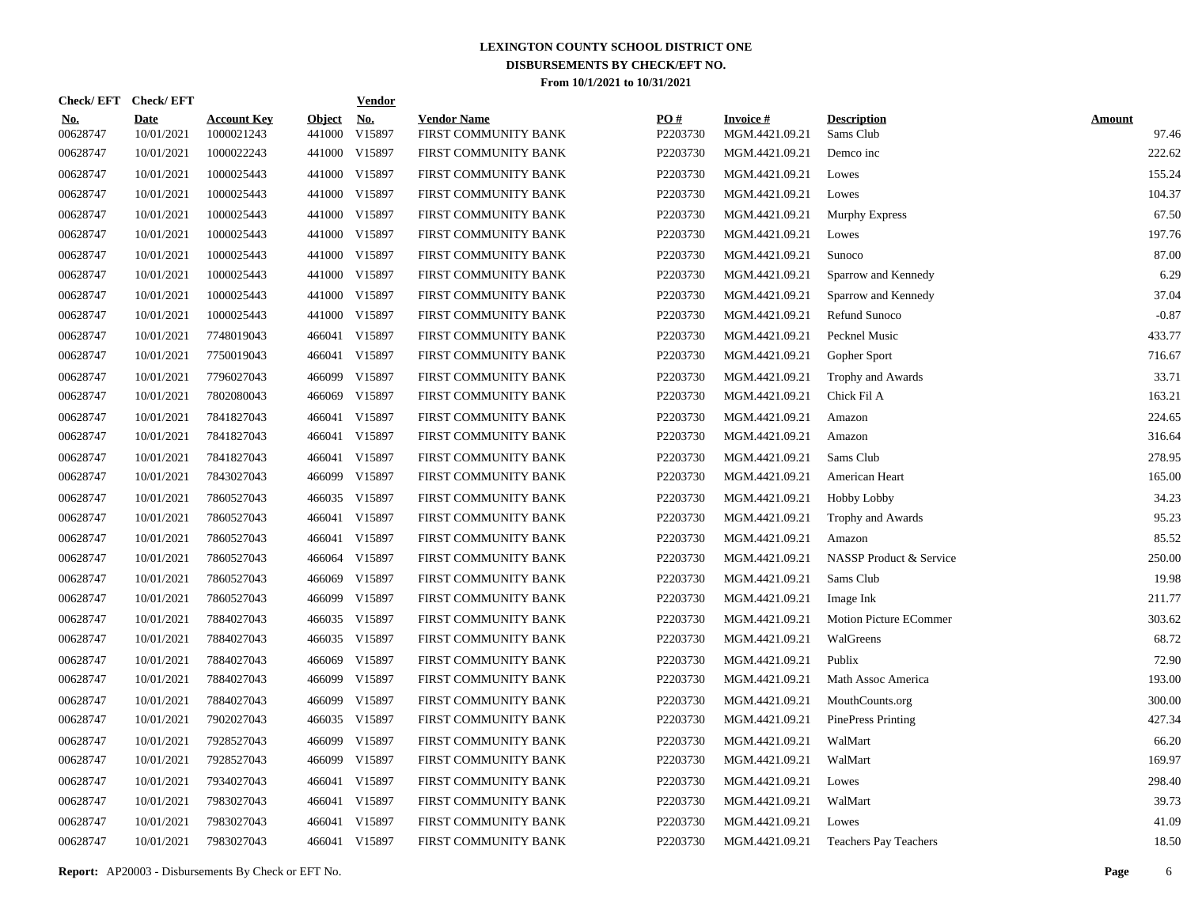|                        | Check/EFT Check/EFT       |                                  |                         | <u>Vendor</u>        |                                            |                 |                                   |                                      |                        |
|------------------------|---------------------------|----------------------------------|-------------------------|----------------------|--------------------------------------------|-----------------|-----------------------------------|--------------------------------------|------------------------|
| <u>No.</u><br>00628747 | <b>Date</b><br>10/01/2021 | <b>Account Key</b><br>1000021243 | <b>Object</b><br>441000 | <u>No.</u><br>V15897 | <b>Vendor Name</b><br>FIRST COMMUNITY BANK | PO#<br>P2203730 | <b>Invoice#</b><br>MGM.4421.09.21 | <b>Description</b><br>Sams Club      | <b>Amount</b><br>97.46 |
| 00628747               | 10/01/2021                | 1000022243                       |                         | 441000 V15897        | FIRST COMMUNITY BANK                       | P2203730        | MGM.4421.09.21                    | Demco inc                            | 222.62                 |
| 00628747               | 10/01/2021                | 1000025443                       |                         | 441000 V15897        | FIRST COMMUNITY BANK                       | P2203730        | MGM.4421.09.21                    | Lowes                                | 155.24                 |
| 00628747               | 10/01/2021                | 1000025443                       |                         | 441000 V15897        | FIRST COMMUNITY BANK                       | P2203730        | MGM.4421.09.21                    | Lowes                                | 104.37                 |
| 00628747               | 10/01/2021                | 1000025443                       |                         | 441000 V15897        | FIRST COMMUNITY BANK                       | P2203730        | MGM.4421.09.21                    | Murphy Express                       | 67.50                  |
| 00628747               | 10/01/2021                | 1000025443                       |                         | 441000 V15897        | FIRST COMMUNITY BANK                       | P2203730        | MGM.4421.09.21                    | Lowes                                | 197.76                 |
| 00628747               | 10/01/2021                | 1000025443                       |                         | 441000 V15897        | FIRST COMMUNITY BANK                       | P2203730        | MGM.4421.09.21                    | Sunoco                               | 87.00                  |
| 00628747               | 10/01/2021                | 1000025443                       |                         | 441000 V15897        | FIRST COMMUNITY BANK                       | P2203730        | MGM.4421.09.21                    | Sparrow and Kennedy                  | 6.29                   |
| 00628747               | 10/01/2021                | 1000025443                       |                         | 441000 V15897        | FIRST COMMUNITY BANK                       | P2203730        | MGM.4421.09.21                    | Sparrow and Kennedy                  | 37.04                  |
| 00628747               | 10/01/2021                | 1000025443                       |                         | 441000 V15897        | FIRST COMMUNITY BANK                       | P2203730        | MGM.4421.09.21                    | Refund Sunoco                        | $-0.87$                |
| 00628747               | 10/01/2021                | 7748019043                       |                         | 466041 V15897        | FIRST COMMUNITY BANK                       | P2203730        | MGM.4421.09.21                    | Pecknel Music                        | 433.77                 |
| 00628747               | 10/01/2021                | 7750019043                       |                         | 466041 V15897        | FIRST COMMUNITY BANK                       | P2203730        | MGM.4421.09.21                    | Gopher Sport                         | 716.67                 |
| 00628747               | 10/01/2021                | 7796027043                       |                         | 466099 V15897        | FIRST COMMUNITY BANK                       | P2203730        | MGM.4421.09.21                    | Trophy and Awards                    | 33.71                  |
| 00628747               | 10/01/2021                | 7802080043                       | 466069                  | V15897               | FIRST COMMUNITY BANK                       | P2203730        | MGM.4421.09.21                    | Chick Fil A                          | 163.21                 |
| 00628747               | 10/01/2021                | 7841827043                       |                         | 466041 V15897        | FIRST COMMUNITY BANK                       | P2203730        | MGM.4421.09.21                    | Amazon                               | 224.65                 |
| 00628747               | 10/01/2021                | 7841827043                       |                         | 466041 V15897        | FIRST COMMUNITY BANK                       | P2203730        | MGM.4421.09.21                    | Amazon                               | 316.64                 |
| 00628747               | 10/01/2021                | 7841827043                       |                         | 466041 V15897        | FIRST COMMUNITY BANK                       | P2203730        | MGM.4421.09.21                    | Sams Club                            | 278.95                 |
| 00628747               | 10/01/2021                | 7843027043                       |                         | 466099 V15897        | FIRST COMMUNITY BANK                       | P2203730        | MGM.4421.09.21                    | American Heart                       | 165.00                 |
| 00628747               | 10/01/2021                | 7860527043                       |                         | 466035 V15897        | FIRST COMMUNITY BANK                       | P2203730        | MGM.4421.09.21                    | Hobby Lobby                          | 34.23                  |
| 00628747               | 10/01/2021                | 7860527043                       |                         | 466041 V15897        | FIRST COMMUNITY BANK                       | P2203730        | MGM.4421.09.21                    | Trophy and Awards                    | 95.23                  |
| 00628747               | 10/01/2021                | 7860527043                       |                         | 466041 V15897        | FIRST COMMUNITY BANK                       | P2203730        | MGM.4421.09.21                    | Amazon                               | 85.52                  |
| 00628747               | 10/01/2021                | 7860527043                       | 466064                  | V15897               | FIRST COMMUNITY BANK                       | P2203730        | MGM.4421.09.21                    | NASSP Product & Service              | 250.00                 |
| 00628747               | 10/01/2021                | 7860527043                       | 466069                  | V15897               | FIRST COMMUNITY BANK                       | P2203730        | MGM.4421.09.21                    | Sams Club                            | 19.98                  |
| 00628747               | 10/01/2021                | 7860527043                       |                         | 466099 V15897        | FIRST COMMUNITY BANK                       | P2203730        | MGM.4421.09.21                    | Image Ink                            | 211.77                 |
| 00628747               | 10/01/2021                | 7884027043                       |                         | 466035 V15897        | FIRST COMMUNITY BANK                       | P2203730        | MGM.4421.09.21                    | <b>Motion Picture ECommer</b>        | 303.62                 |
| 00628747               | 10/01/2021                | 7884027043                       |                         | 466035 V15897        | FIRST COMMUNITY BANK                       | P2203730        | MGM.4421.09.21                    | WalGreens                            | 68.72                  |
| 00628747               | 10/01/2021                | 7884027043                       |                         | 466069 V15897        | FIRST COMMUNITY BANK                       | P2203730        | MGM.4421.09.21                    | Publix                               | 72.90                  |
| 00628747               | 10/01/2021                | 7884027043                       |                         | 466099 V15897        | FIRST COMMUNITY BANK                       | P2203730        | MGM.4421.09.21                    | Math Assoc America                   | 193.00                 |
| 00628747               | 10/01/2021                | 7884027043                       |                         | 466099 V15897        | FIRST COMMUNITY BANK                       | P2203730        | MGM.4421.09.21                    | MouthCounts.org                      | 300.00                 |
| 00628747               | 10/01/2021                | 7902027043                       |                         | 466035 V15897        | FIRST COMMUNITY BANK                       | P2203730        | MGM.4421.09.21                    | <b>PinePress Printing</b>            | 427.34                 |
| 00628747               | 10/01/2021                | 7928527043                       |                         | 466099 V15897        | FIRST COMMUNITY BANK                       | P2203730        | MGM.4421.09.21                    | WalMart                              | 66.20                  |
| 00628747               | 10/01/2021                | 7928527043                       |                         | 466099 V15897        | FIRST COMMUNITY BANK                       | P2203730        | MGM.4421.09.21                    | WalMart                              | 169.97                 |
| 00628747               | 10/01/2021                | 7934027043                       |                         | 466041 V15897        | FIRST COMMUNITY BANK                       | P2203730        | MGM.4421.09.21                    | Lowes                                | 298.40                 |
| 00628747               | 10/01/2021                | 7983027043                       |                         | 466041 V15897        | FIRST COMMUNITY BANK                       | P2203730        | MGM.4421.09.21                    | WalMart                              | 39.73                  |
| 00628747               | 10/01/2021                | 7983027043                       |                         | 466041 V15897        | FIRST COMMUNITY BANK                       | P2203730        | MGM.4421.09.21                    | Lowes                                | 41.09                  |
| 00628747               | 10/01/2021                | 7983027043                       |                         | 466041 V15897        | FIRST COMMUNITY BANK                       | P2203730        |                                   | MGM.4421.09.21 Teachers Pay Teachers | 18.50                  |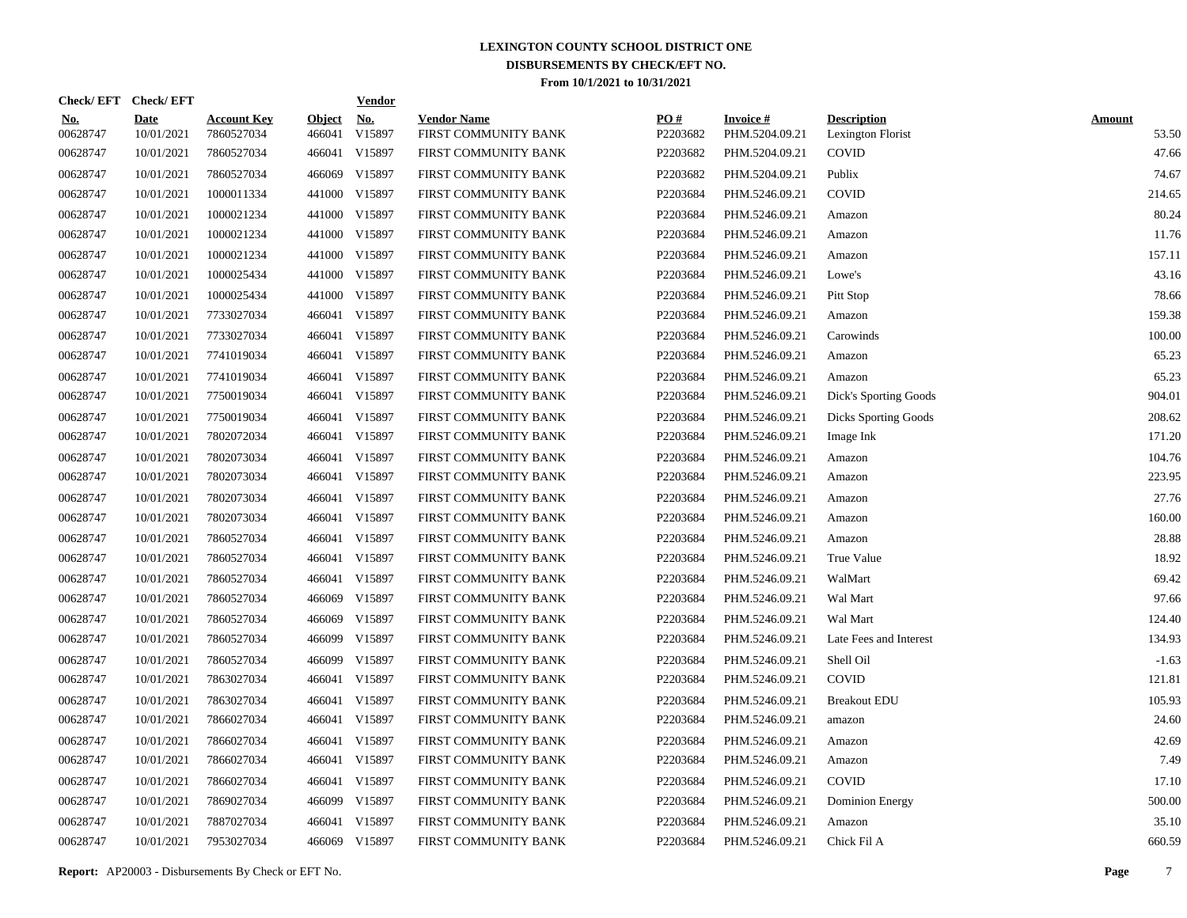| Check/EFT Check/EFT    |                           |                                  |                         | <b>Vendor</b>        |                                            |                 |                                   |                                         |                        |
|------------------------|---------------------------|----------------------------------|-------------------------|----------------------|--------------------------------------------|-----------------|-----------------------------------|-----------------------------------------|------------------------|
| <u>No.</u><br>00628747 | <b>Date</b><br>10/01/2021 | <b>Account Key</b><br>7860527034 | <b>Object</b><br>466041 | <u>No.</u><br>V15897 | <b>Vendor Name</b><br>FIRST COMMUNITY BANK | PO#<br>P2203682 | <b>Invoice#</b><br>PHM.5204.09.21 | <b>Description</b><br>Lexington Florist | <b>Amount</b><br>53.50 |
| 00628747               | 10/01/2021                | 7860527034                       |                         | 466041 V15897        | FIRST COMMUNITY BANK                       | P2203682        | PHM.5204.09.21                    | <b>COVID</b>                            | 47.66                  |
| 00628747               | 10/01/2021                | 7860527034                       | 466069                  | V15897               | FIRST COMMUNITY BANK                       | P2203682        | PHM.5204.09.21                    | Publix                                  | 74.67                  |
| 00628747               | 10/01/2021                | 1000011334                       |                         | 441000 V15897        | FIRST COMMUNITY BANK                       | P2203684        | PHM.5246.09.21                    | <b>COVID</b>                            | 214.65                 |
| 00628747               | 10/01/2021                | 1000021234                       |                         | 441000 V15897        | FIRST COMMUNITY BANK                       | P2203684        | PHM.5246.09.21                    | Amazon                                  | 80.24                  |
| 00628747               | 10/01/2021                | 1000021234                       |                         | 441000 V15897        | FIRST COMMUNITY BANK                       | P2203684        | PHM.5246.09.21                    | Amazon                                  | 11.76                  |
| 00628747               | 10/01/2021                | 1000021234                       |                         | 441000 V15897        | FIRST COMMUNITY BANK                       | P2203684        | PHM.5246.09.21                    | Amazon                                  | 157.11                 |
| 00628747               | 10/01/2021                | 1000025434                       |                         | 441000 V15897        | FIRST COMMUNITY BANK                       | P2203684        | PHM.5246.09.21                    | Lowe's                                  | 43.16                  |
| 00628747               | 10/01/2021                | 1000025434                       |                         | 441000 V15897        | FIRST COMMUNITY BANK                       | P2203684        | PHM.5246.09.21                    | Pitt Stop                               | 78.66                  |
| 00628747               | 10/01/2021                | 7733027034                       |                         | 466041 V15897        | FIRST COMMUNITY BANK                       | P2203684        | PHM.5246.09.21                    | Amazon                                  | 159.38                 |
| 00628747               | 10/01/2021                | 7733027034                       |                         | 466041 V15897        | FIRST COMMUNITY BANK                       | P2203684        | PHM.5246.09.21                    | Carowinds                               | 100.00                 |
| 00628747               | 10/01/2021                | 7741019034                       |                         | 466041 V15897        | FIRST COMMUNITY BANK                       | P2203684        | PHM.5246.09.21                    | Amazon                                  | 65.23                  |
| 00628747               | 10/01/2021                | 7741019034                       |                         | 466041 V15897        | FIRST COMMUNITY BANK                       | P2203684        | PHM.5246.09.21                    | Amazon                                  | 65.23                  |
| 00628747               | 10/01/2021                | 7750019034                       |                         | 466041 V15897        | FIRST COMMUNITY BANK                       | P2203684        | PHM.5246.09.21                    | Dick's Sporting Goods                   | 904.01                 |
| 00628747               | 10/01/2021                | 7750019034                       |                         | 466041 V15897        | FIRST COMMUNITY BANK                       | P2203684        | PHM.5246.09.21                    | <b>Dicks Sporting Goods</b>             | 208.62                 |
| 00628747               | 10/01/2021                | 7802072034                       |                         | 466041 V15897        | FIRST COMMUNITY BANK                       | P2203684        | PHM.5246.09.21                    | Image Ink                               | 171.20                 |
| 00628747               | 10/01/2021                | 7802073034                       |                         | 466041 V15897        | FIRST COMMUNITY BANK                       | P2203684        | PHM.5246.09.21                    | Amazon                                  | 104.76                 |
| 00628747               | 10/01/2021                | 7802073034                       |                         | 466041 V15897        | FIRST COMMUNITY BANK                       | P2203684        | PHM.5246.09.21                    | Amazon                                  | 223.95                 |
| 00628747               | 10/01/2021                | 7802073034                       |                         | 466041 V15897        | FIRST COMMUNITY BANK                       | P2203684        | PHM.5246.09.21                    | Amazon                                  | 27.76                  |
| 00628747               | 10/01/2021                | 7802073034                       |                         | 466041 V15897        | FIRST COMMUNITY BANK                       | P2203684        | PHM.5246.09.21                    | Amazon                                  | 160.00                 |
| 00628747               | 10/01/2021                | 7860527034                       |                         | 466041 V15897        | FIRST COMMUNITY BANK                       | P2203684        | PHM.5246.09.21                    | Amazon                                  | 28.88                  |
| 00628747               | 10/01/2021                | 7860527034                       |                         | 466041 V15897        | FIRST COMMUNITY BANK                       | P2203684        | PHM.5246.09.21                    | True Value                              | 18.92                  |
| 00628747               | 10/01/2021                | 7860527034                       |                         | 466041 V15897        | FIRST COMMUNITY BANK                       | P2203684        | PHM.5246.09.21                    | WalMart                                 | 69.42                  |
| 00628747               | 10/01/2021                | 7860527034                       |                         | 466069 V15897        | FIRST COMMUNITY BANK                       | P2203684        | PHM.5246.09.21                    | Wal Mart                                | 97.66                  |
| 00628747               | 10/01/2021                | 7860527034                       |                         | 466069 V15897        | FIRST COMMUNITY BANK                       | P2203684        | PHM.5246.09.21                    | Wal Mart                                | 124.40                 |
| 00628747               | 10/01/2021                | 7860527034                       |                         | 466099 V15897        | FIRST COMMUNITY BANK                       | P2203684        | PHM.5246.09.21                    | Late Fees and Interest                  | 134.93                 |
| 00628747               | 10/01/2021                | 7860527034                       |                         | 466099 V15897        | FIRST COMMUNITY BANK                       | P2203684        | PHM.5246.09.21                    | Shell Oil                               | $-1.63$                |
| 00628747               | 10/01/2021                | 7863027034                       |                         | 466041 V15897        | FIRST COMMUNITY BANK                       | P2203684        | PHM.5246.09.21                    | <b>COVID</b>                            | 121.81                 |
| 00628747               | 10/01/2021                | 7863027034                       |                         | 466041 V15897        | FIRST COMMUNITY BANK                       | P2203684        | PHM.5246.09.21                    | <b>Breakout EDU</b>                     | 105.93                 |
| 00628747               | 10/01/2021                | 7866027034                       |                         | 466041 V15897        | FIRST COMMUNITY BANK                       | P2203684        | PHM.5246.09.21                    | amazon                                  | 24.60                  |
| 00628747               | 10/01/2021                | 7866027034                       |                         | 466041 V15897        | FIRST COMMUNITY BANK                       | P2203684        | PHM.5246.09.21                    | Amazon                                  | 42.69                  |
| 00628747               | 10/01/2021                | 7866027034                       |                         | 466041 V15897        | FIRST COMMUNITY BANK                       | P2203684        | PHM.5246.09.21                    | Amazon                                  | 7.49                   |
| 00628747               | 10/01/2021                | 7866027034                       |                         | 466041 V15897        | FIRST COMMUNITY BANK                       | P2203684        | PHM.5246.09.21                    | <b>COVID</b>                            | 17.10                  |
| 00628747               | 10/01/2021                | 7869027034                       |                         | 466099 V15897        | FIRST COMMUNITY BANK                       | P2203684        | PHM.5246.09.21                    | <b>Dominion Energy</b>                  | 500.00                 |
| 00628747               | 10/01/2021                | 7887027034                       |                         | 466041 V15897        | FIRST COMMUNITY BANK                       | P2203684        | PHM.5246.09.21                    | Amazon                                  | 35.10                  |
| 00628747               | 10/01/2021                | 7953027034                       |                         | 466069 V15897        | FIRST COMMUNITY BANK                       | P2203684        | PHM.5246.09.21                    | Chick Fil A                             | 660.59                 |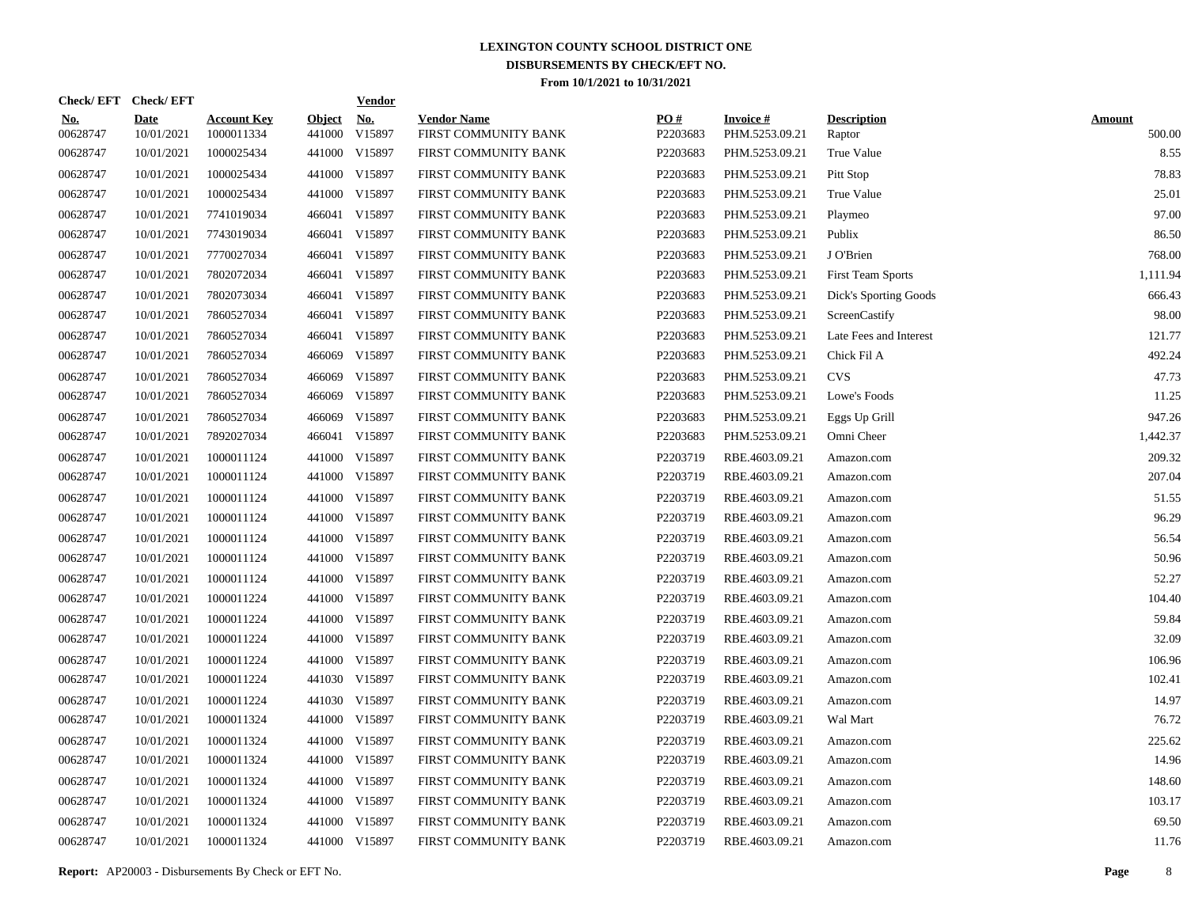| Check/EFT Check/EFT    |                           |                                  |                         | <b>Vendor</b>        |                                            |                 |                                   |                              |                         |
|------------------------|---------------------------|----------------------------------|-------------------------|----------------------|--------------------------------------------|-----------------|-----------------------------------|------------------------------|-------------------------|
| <u>No.</u><br>00628747 | <b>Date</b><br>10/01/2021 | <b>Account Key</b><br>1000011334 | <b>Object</b><br>441000 | <u>No.</u><br>V15897 | <b>Vendor Name</b><br>FIRST COMMUNITY BANK | PO#<br>P2203683 | <b>Invoice#</b><br>PHM.5253.09.21 | <b>Description</b><br>Raptor | <b>Amount</b><br>500.00 |
| 00628747               | 10/01/2021                | 1000025434                       |                         | 441000 V15897        | FIRST COMMUNITY BANK                       | P2203683        | PHM.5253.09.21                    | True Value                   | 8.55                    |
| 00628747               | 10/01/2021                | 1000025434                       |                         | 441000 V15897        | FIRST COMMUNITY BANK                       | P2203683        | PHM.5253.09.21                    | Pitt Stop                    | 78.83                   |
| 00628747               | 10/01/2021                | 1000025434                       |                         | 441000 V15897        | FIRST COMMUNITY BANK                       | P2203683        | PHM.5253.09.21                    | True Value                   | 25.01                   |
| 00628747               | 10/01/2021                | 7741019034                       |                         | 466041 V15897        | FIRST COMMUNITY BANK                       | P2203683        | PHM.5253.09.21                    | Playmeo                      | 97.00                   |
| 00628747               | 10/01/2021                | 7743019034                       |                         | 466041 V15897        | FIRST COMMUNITY BANK                       | P2203683        | PHM.5253.09.21                    | Publix                       | 86.50                   |
| 00628747               | 10/01/2021                | 7770027034                       |                         | 466041 V15897        | FIRST COMMUNITY BANK                       | P2203683        | PHM.5253.09.21                    | J O'Brien                    | 768.00                  |
| 00628747               | 10/01/2021                | 7802072034                       |                         | 466041 V15897        | FIRST COMMUNITY BANK                       | P2203683        | PHM.5253.09.21                    | <b>First Team Sports</b>     | 1,111.94                |
| 00628747               | 10/01/2021                | 7802073034                       |                         | 466041 V15897        | FIRST COMMUNITY BANK                       | P2203683        | PHM.5253.09.21                    | Dick's Sporting Goods        | 666.43                  |
| 00628747               | 10/01/2021                | 7860527034                       |                         | 466041 V15897        | FIRST COMMUNITY BANK                       | P2203683        | PHM.5253.09.21                    | ScreenCastify                | 98.00                   |
| 00628747               | 10/01/2021                | 7860527034                       |                         | 466041 V15897        | FIRST COMMUNITY BANK                       | P2203683        | PHM.5253.09.21                    | Late Fees and Interest       | 121.77                  |
| 00628747               | 10/01/2021                | 7860527034                       | 466069                  | V15897               | FIRST COMMUNITY BANK                       | P2203683        | PHM.5253.09.21                    | Chick Fil A                  | 492.24                  |
| 00628747               | 10/01/2021                | 7860527034                       | 466069                  | V15897               | FIRST COMMUNITY BANK                       | P2203683        | PHM.5253.09.21                    | <b>CVS</b>                   | 47.73                   |
| 00628747               | 10/01/2021                | 7860527034                       | 466069                  | V15897               | FIRST COMMUNITY BANK                       | P2203683        | PHM.5253.09.21                    | Lowe's Foods                 | 11.25                   |
| 00628747               | 10/01/2021                | 7860527034                       | 466069                  | V15897               | FIRST COMMUNITY BANK                       | P2203683        | PHM.5253.09.21                    | Eggs Up Grill                | 947.26                  |
| 00628747               | 10/01/2021                | 7892027034                       |                         | 466041 V15897        | FIRST COMMUNITY BANK                       | P2203683        | PHM.5253.09.21                    | Omni Cheer                   | 1,442.37                |
| 00628747               | 10/01/2021                | 1000011124                       |                         | 441000 V15897        | FIRST COMMUNITY BANK                       | P2203719        | RBE.4603.09.21                    | Amazon.com                   | 209.32                  |
| 00628747               | 10/01/2021                | 1000011124                       |                         | 441000 V15897        | FIRST COMMUNITY BANK                       | P2203719        | RBE.4603.09.21                    | Amazon.com                   | 207.04                  |
| 00628747               | 10/01/2021                | 1000011124                       |                         | 441000 V15897        | FIRST COMMUNITY BANK                       | P2203719        | RBE.4603.09.21                    | Amazon.com                   | 51.55                   |
| 00628747               | 10/01/2021                | 1000011124                       |                         | 441000 V15897        | FIRST COMMUNITY BANK                       | P2203719        | RBE.4603.09.21                    | Amazon.com                   | 96.29                   |
| 00628747               | 10/01/2021                | 1000011124                       |                         | 441000 V15897        | FIRST COMMUNITY BANK                       | P2203719        | RBE.4603.09.21                    | Amazon.com                   | 56.54                   |
| 00628747               | 10/01/2021                | 1000011124                       |                         | 441000 V15897        | FIRST COMMUNITY BANK                       | P2203719        | RBE.4603.09.21                    | Amazon.com                   | 50.96                   |
| 00628747               | 10/01/2021                | 1000011124                       |                         | 441000 V15897        | FIRST COMMUNITY BANK                       | P2203719        | RBE.4603.09.21                    | Amazon.com                   | 52.27                   |
| 00628747               | 10/01/2021                | 1000011224                       |                         | 441000 V15897        | FIRST COMMUNITY BANK                       | P2203719        | RBE.4603.09.21                    | Amazon.com                   | 104.40                  |
| 00628747               | 10/01/2021                | 1000011224                       |                         | 441000 V15897        | FIRST COMMUNITY BANK                       | P2203719        | RBE.4603.09.21                    | Amazon.com                   | 59.84                   |
| 00628747               | 10/01/2021                | 1000011224                       |                         | 441000 V15897        | FIRST COMMUNITY BANK                       | P2203719        | RBE.4603.09.21                    | Amazon.com                   | 32.09                   |
| 00628747               | 10/01/2021                | 1000011224                       |                         | 441000 V15897        | FIRST COMMUNITY BANK                       | P2203719        | RBE.4603.09.21                    | Amazon.com                   | 106.96                  |
| 00628747               | 10/01/2021                | 1000011224                       |                         | 441030 V15897        | FIRST COMMUNITY BANK                       | P2203719        | RBE.4603.09.21                    | Amazon.com                   | 102.41                  |
| 00628747               | 10/01/2021                | 1000011224                       |                         | 441030 V15897        | FIRST COMMUNITY BANK                       | P2203719        | RBE.4603.09.21                    | Amazon.com                   | 14.97                   |
| 00628747               | 10/01/2021                | 1000011324                       |                         | 441000 V15897        | FIRST COMMUNITY BANK                       | P2203719        | RBE.4603.09.21                    | Wal Mart                     | 76.72                   |
| 00628747               | 10/01/2021                | 1000011324                       |                         | 441000 V15897        | FIRST COMMUNITY BANK                       | P2203719        | RBE.4603.09.21                    | Amazon.com                   | 225.62                  |
| 00628747               | 10/01/2021                | 1000011324                       |                         | 441000 V15897        | FIRST COMMUNITY BANK                       | P2203719        | RBE.4603.09.21                    | Amazon.com                   | 14.96                   |
| 00628747               | 10/01/2021                | 1000011324                       | 441000                  | V15897               | FIRST COMMUNITY BANK                       | P2203719        | RBE.4603.09.21                    | Amazon.com                   | 148.60                  |
| 00628747               | 10/01/2021                | 1000011324                       |                         | 441000 V15897        | FIRST COMMUNITY BANK                       | P2203719        | RBE.4603.09.21                    | Amazon.com                   | 103.17                  |
| 00628747               | 10/01/2021                | 1000011324                       | 441000                  | V15897               | FIRST COMMUNITY BANK                       | P2203719        | RBE.4603.09.21                    | Amazon.com                   | 69.50                   |
| 00628747               | 10/01/2021                | 1000011324                       |                         | 441000 V15897        | FIRST COMMUNITY BANK                       | P2203719        | RBE.4603.09.21                    | Amazon.com                   | 11.76                   |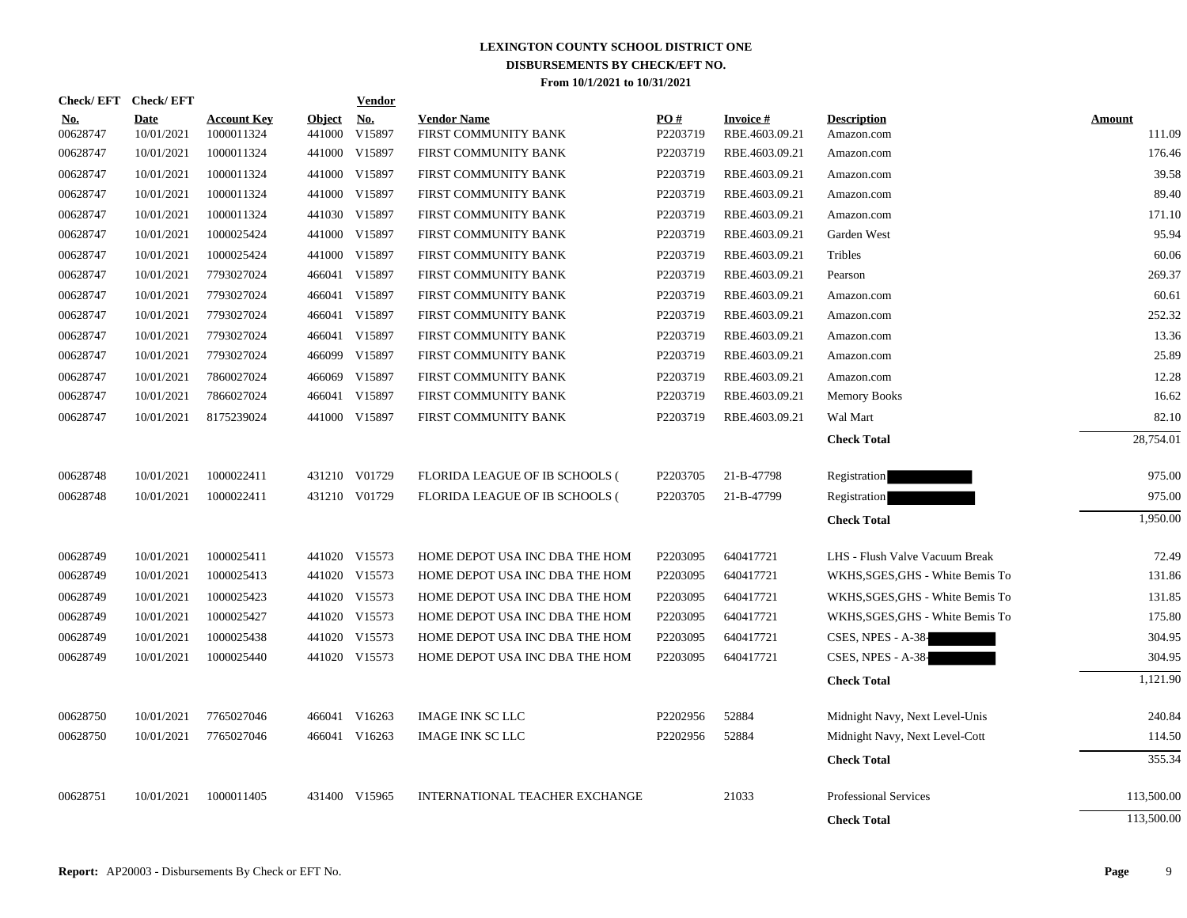| Check/EFT Check/EFT    |                           |                                  |                         | <b>Vendor</b>        |                                            |                 |                                    |                                  |                         |
|------------------------|---------------------------|----------------------------------|-------------------------|----------------------|--------------------------------------------|-----------------|------------------------------------|----------------------------------|-------------------------|
| <u>No.</u><br>00628747 | <b>Date</b><br>10/01/2021 | <b>Account Key</b><br>1000011324 | <b>Object</b><br>441000 | <u>No.</u><br>V15897 | <b>Vendor Name</b><br>FIRST COMMUNITY BANK | PO#<br>P2203719 | <b>Invoice #</b><br>RBE.4603.09.21 | <b>Description</b><br>Amazon.com | <b>Amount</b><br>111.09 |
| 00628747               | 10/01/2021                | 1000011324                       |                         | 441000 V15897        | FIRST COMMUNITY BANK                       | P2203719        | RBE.4603.09.21                     | Amazon.com                       | 176.46                  |
| 00628747               | 10/01/2021                | 1000011324                       |                         | 441000 V15897        | FIRST COMMUNITY BANK                       | P2203719        | RBE.4603.09.21                     | Amazon.com                       | 39.58                   |
| 00628747               | 10/01/2021                | 1000011324                       |                         | 441000 V15897        | FIRST COMMUNITY BANK                       | P2203719        | RBE.4603.09.21                     | Amazon.com                       | 89.40                   |
| 00628747               | 10/01/2021                | 1000011324                       |                         | 441030 V15897        | FIRST COMMUNITY BANK                       | P2203719        | RBE.4603.09.21                     | Amazon.com                       | 171.10                  |
| 00628747               | 10/01/2021                | 1000025424                       |                         | 441000 V15897        | FIRST COMMUNITY BANK                       | P2203719        | RBE.4603.09.21                     | Garden West                      | 95.94                   |
| 00628747               | 10/01/2021                | 1000025424                       |                         | 441000 V15897        | FIRST COMMUNITY BANK                       | P2203719        | RBE.4603.09.21                     | Tribles                          | 60.06                   |
| 00628747               | 10/01/2021                | 7793027024                       |                         | 466041 V15897        | FIRST COMMUNITY BANK                       | P2203719        | RBE.4603.09.21                     | Pearson                          | 269.37                  |
| 00628747               | 10/01/2021                | 7793027024                       |                         | 466041 V15897        | FIRST COMMUNITY BANK                       | P2203719        | RBE.4603.09.21                     | Amazon.com                       | 60.61                   |
| 00628747               | 10/01/2021                | 7793027024                       |                         | 466041 V15897        | FIRST COMMUNITY BANK                       | P2203719        | RBE.4603.09.21                     | Amazon.com                       | 252.32                  |
| 00628747               | 10/01/2021                | 7793027024                       |                         | 466041 V15897        | FIRST COMMUNITY BANK                       | P2203719        | RBE.4603.09.21                     | Amazon.com                       | 13.36                   |
| 00628747               | 10/01/2021                | 7793027024                       |                         | 466099 V15897        | FIRST COMMUNITY BANK                       | P2203719        | RBE.4603.09.21                     | Amazon.com                       | 25.89                   |
| 00628747               | 10/01/2021                | 7860027024                       |                         | 466069 V15897        | FIRST COMMUNITY BANK                       | P2203719        | RBE.4603.09.21                     | Amazon.com                       | 12.28                   |
| 00628747               | 10/01/2021                | 7866027024                       |                         | 466041 V15897        | FIRST COMMUNITY BANK                       | P2203719        | RBE.4603.09.21                     | <b>Memory Books</b>              | 16.62                   |
| 00628747               | 10/01/2021                | 8175239024                       |                         | 441000 V15897        | FIRST COMMUNITY BANK                       | P2203719        | RBE.4603.09.21                     | Wal Mart                         | 82.10                   |
|                        |                           |                                  |                         |                      |                                            |                 |                                    | <b>Check Total</b>               | 28,754.01               |
| 00628748               | 10/01/2021                | 1000022411                       |                         | 431210 V01729        | FLORIDA LEAGUE OF IB SCHOOLS (             | P2203705        | 21-B-47798                         | Registration                     | 975.00                  |
| 00628748               | 10/01/2021                | 1000022411                       |                         | 431210 V01729        | FLORIDA LEAGUE OF IB SCHOOLS (             | P2203705        | 21-B-47799                         | Registration                     | 975.00                  |
|                        |                           |                                  |                         |                      |                                            |                 |                                    | <b>Check Total</b>               | 1,950.00                |
| 00628749               | 10/01/2021                | 1000025411                       |                         | 441020 V15573        | HOME DEPOT USA INC DBA THE HOM             | P2203095        | 640417721                          | LHS - Flush Valve Vacuum Break   | 72.49                   |
| 00628749               | 10/01/2021                | 1000025413                       |                         | 441020 V15573        | HOME DEPOT USA INC DBA THE HOM             | P2203095        | 640417721                          | WKHS, SGES, GHS - White Bemis To | 131.86                  |
| 00628749               | 10/01/2021                | 1000025423                       |                         | 441020 V15573        | HOME DEPOT USA INC DBA THE HOM             | P2203095        | 640417721                          | WKHS, SGES, GHS - White Bemis To | 131.85                  |
| 00628749               | 10/01/2021                | 1000025427                       |                         | 441020 V15573        | HOME DEPOT USA INC DBA THE HOM             | P2203095        | 640417721                          | WKHS, SGES, GHS - White Bemis To | 175.80                  |
| 00628749               | 10/01/2021                | 1000025438                       |                         | 441020 V15573        | HOME DEPOT USA INC DBA THE HOM             | P2203095        | 640417721                          | CSES, NPES - A-38-               | 304.95                  |
| 00628749               | 10/01/2021                | 1000025440                       |                         | 441020 V15573        | HOME DEPOT USA INC DBA THE HOM             | P2203095        | 640417721                          | CSES, NPES - A-38-               | 304.95                  |
|                        |                           |                                  |                         |                      |                                            |                 |                                    | <b>Check Total</b>               | 1,121.90                |
| 00628750               | 10/01/2021                | 7765027046                       |                         | 466041 V16263        | <b>IMAGE INK SC LLC</b>                    | P2202956        | 52884                              | Midnight Navy, Next Level-Unis   | 240.84                  |
| 00628750               | 10/01/2021                | 7765027046                       |                         | 466041 V16263        | <b>IMAGE INK SC LLC</b>                    | P2202956        | 52884                              | Midnight Navy, Next Level-Cott   | 114.50                  |
|                        |                           |                                  |                         |                      |                                            |                 |                                    | <b>Check Total</b>               | 355.34                  |
| 00628751               | 10/01/2021                | 1000011405                       |                         | 431400 V15965        | INTERNATIONAL TEACHER EXCHANGE             |                 | 21033                              | <b>Professional Services</b>     | 113,500.00              |
|                        |                           |                                  |                         |                      |                                            |                 |                                    | <b>Check Total</b>               | 113,500.00              |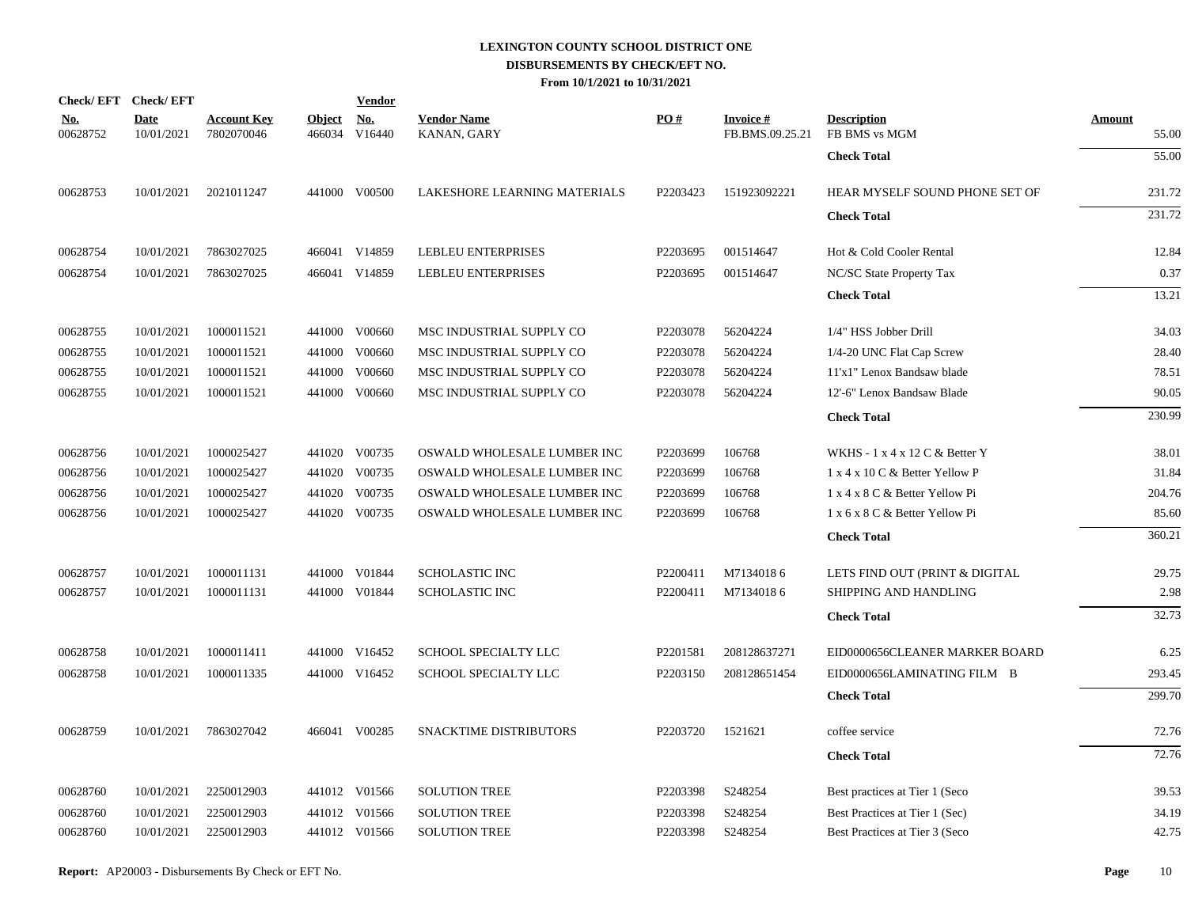| <b>Check/EFT</b>       | <b>Check/EFT</b>          |                                  |               | <b>Vendor</b>        |                                   |          |                                    |                                                    |                        |
|------------------------|---------------------------|----------------------------------|---------------|----------------------|-----------------------------------|----------|------------------------------------|----------------------------------------------------|------------------------|
| <b>No.</b><br>00628752 | <b>Date</b><br>10/01/2021 | <b>Account Key</b><br>7802070046 | <b>Object</b> | No.<br>466034 V16440 | <b>Vendor Name</b><br>KANAN, GARY | PO#      | <b>Invoice#</b><br>FB.BMS.09.25.21 | <b>Description</b><br>FB BMS vs MGM                | <b>Amount</b><br>55.00 |
|                        |                           |                                  |               |                      |                                   |          |                                    | <b>Check Total</b>                                 | 55.00                  |
| 00628753               | 10/01/2021                | 2021011247                       |               | 441000 V00500        | LAKESHORE LEARNING MATERIALS      | P2203423 | 151923092221                       | HEAR MYSELF SOUND PHONE SET OF                     | 231.72                 |
|                        |                           |                                  |               |                      |                                   |          |                                    | <b>Check Total</b>                                 | 231.72                 |
| 00628754               | 10/01/2021                | 7863027025                       |               | 466041 V14859        | LEBLEU ENTERPRISES                | P2203695 | 001514647                          | Hot & Cold Cooler Rental                           | 12.84                  |
| 00628754               | 10/01/2021                | 7863027025                       |               | 466041 V14859        | LEBLEU ENTERPRISES                | P2203695 | 001514647                          | NC/SC State Property Tax                           | 0.37                   |
|                        |                           |                                  |               |                      |                                   |          |                                    | <b>Check Total</b>                                 | 13.21                  |
| 00628755               | 10/01/2021                | 1000011521                       |               | 441000 V00660        | MSC INDUSTRIAL SUPPLY CO          | P2203078 | 56204224                           | 1/4" HSS Jobber Drill                              | 34.03                  |
| 00628755               | 10/01/2021                | 1000011521                       |               | 441000 V00660        | MSC INDUSTRIAL SUPPLY CO          | P2203078 | 56204224                           | 1/4-20 UNC Flat Cap Screw                          | 28.40                  |
| 00628755               | 10/01/2021                | 1000011521                       |               | 441000 V00660        | MSC INDUSTRIAL SUPPLY CO          | P2203078 | 56204224                           | 11'x1" Lenox Bandsaw blade                         | 78.51                  |
| 00628755               | 10/01/2021                | 1000011521                       |               | 441000 V00660        | MSC INDUSTRIAL SUPPLY CO          | P2203078 | 56204224                           | 12'-6" Lenox Bandsaw Blade                         | 90.05                  |
|                        |                           |                                  |               |                      |                                   |          |                                    | <b>Check Total</b>                                 | 230.99                 |
| 00628756               | 10/01/2021                | 1000025427                       |               | 441020 V00735        | OSWALD WHOLESALE LUMBER INC       | P2203699 | 106768                             | WKHS - $1 \times 4 \times 12$ C & Better Y         | 38.01                  |
| 00628756               | 10/01/2021                | 1000025427                       |               | 441020 V00735        | OSWALD WHOLESALE LUMBER INC       | P2203699 | 106768                             | $1 \times 4 \times 10 \text{ C}$ & Better Yellow P | 31.84                  |
| 00628756               | 10/01/2021                | 1000025427                       |               | 441020 V00735        | OSWALD WHOLESALE LUMBER INC       | P2203699 | 106768                             | 1 x 4 x 8 C & Better Yellow Pi                     | 204.76                 |
| 00628756               | 10/01/2021                | 1000025427                       |               | 441020 V00735        | OSWALD WHOLESALE LUMBER INC       | P2203699 | 106768                             | 1 x 6 x 8 C & Better Yellow Pi                     | 85.60                  |
|                        |                           |                                  |               |                      |                                   |          |                                    | <b>Check Total</b>                                 | 360.21                 |
| 00628757               | 10/01/2021                | 1000011131                       |               | 441000 V01844        | SCHOLASTIC INC                    | P2200411 | M71340186                          | LETS FIND OUT (PRINT & DIGITAL                     | 29.75                  |
| 00628757               | 10/01/2021                | 1000011131                       |               | 441000 V01844        | <b>SCHOLASTIC INC</b>             | P2200411 | M71340186                          | SHIPPING AND HANDLING                              | 2.98                   |
|                        |                           |                                  |               |                      |                                   |          |                                    | <b>Check Total</b>                                 | 32.73                  |
| 00628758               | 10/01/2021                | 1000011411                       |               | 441000 V16452        | SCHOOL SPECIALTY LLC              | P2201581 | 208128637271                       | EID0000656CLEANER MARKER BOARD                     | 6.25                   |
| 00628758               | 10/01/2021                | 1000011335                       |               | 441000 V16452        | <b>SCHOOL SPECIALTY LLC</b>       | P2203150 | 208128651454                       | EID0000656LAMINATING FILM B                        | 293.45                 |
|                        |                           |                                  |               |                      |                                   |          |                                    | <b>Check Total</b>                                 | 299.70                 |
| 00628759               | 10/01/2021                | 7863027042                       |               | 466041 V00285        | <b>SNACKTIME DISTRIBUTORS</b>     | P2203720 | 1521621                            | coffee service                                     | 72.76                  |
|                        |                           |                                  |               |                      |                                   |          |                                    | <b>Check Total</b>                                 | 72.76                  |
| 00628760               | 10/01/2021                | 2250012903                       |               | 441012 V01566        | <b>SOLUTION TREE</b>              | P2203398 | S248254                            | Best practices at Tier 1 (Seco                     | 39.53                  |
| 00628760               | 10/01/2021                | 2250012903                       |               | 441012 V01566        | <b>SOLUTION TREE</b>              | P2203398 | S248254                            | Best Practices at Tier 1 (Sec)                     | 34.19                  |
| 00628760               | 10/01/2021                | 2250012903                       |               | 441012 V01566        | <b>SOLUTION TREE</b>              | P2203398 | S248254                            | Best Practices at Tier 3 (Seco                     | 42.75                  |
|                        |                           |                                  |               |                      |                                   |          |                                    |                                                    |                        |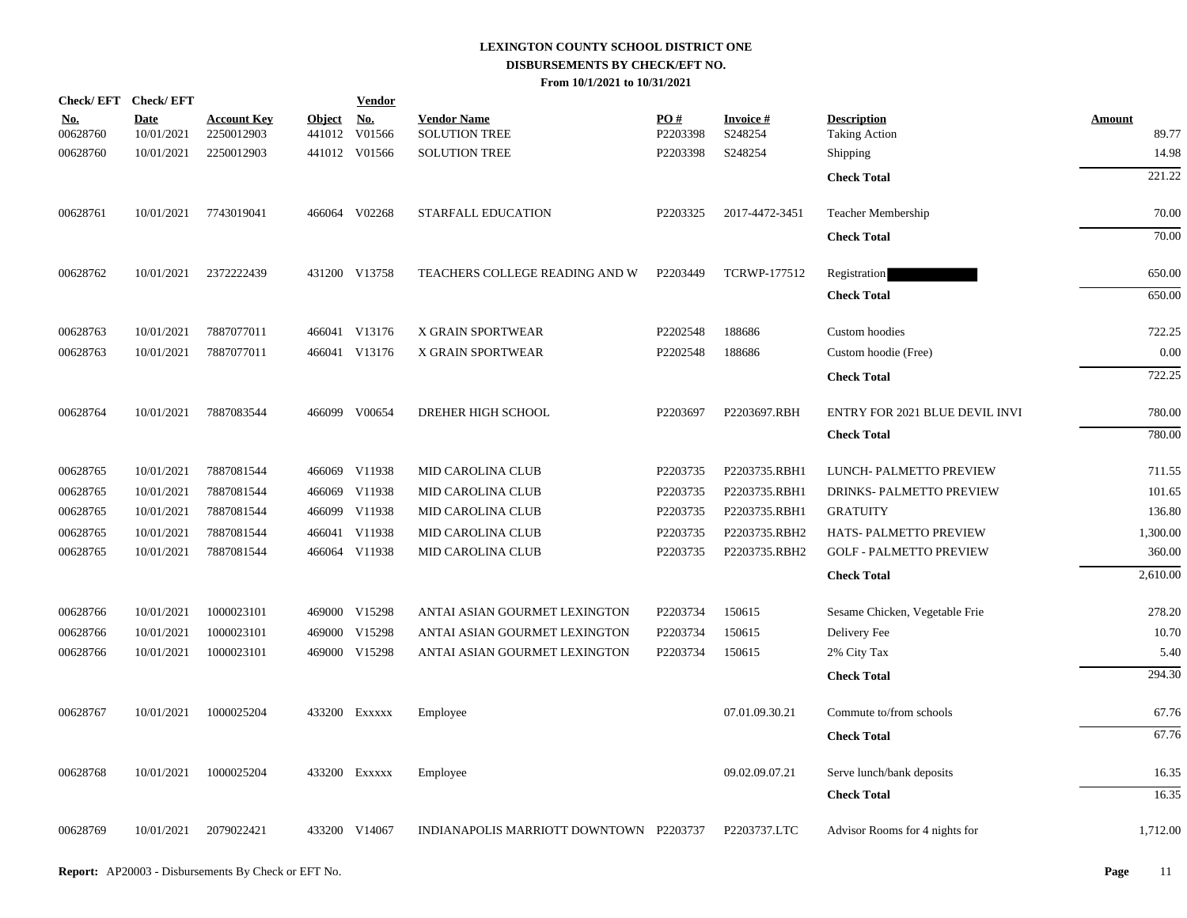| Check/EFT Check/EFT    |                           |                                  |                         | <b>Vendor</b>        |                                         |                      |                            |                                            |                 |
|------------------------|---------------------------|----------------------------------|-------------------------|----------------------|-----------------------------------------|----------------------|----------------------------|--------------------------------------------|-----------------|
| <u>No.</u><br>00628760 | <b>Date</b><br>10/01/2021 | <b>Account Key</b><br>2250012903 | <b>Object</b><br>441012 | <u>No.</u><br>V01566 | <b>Vendor Name</b><br>SOLUTION TREE     | PO#<br>P2203398      | <b>Invoice#</b><br>S248254 | <b>Description</b><br><b>Taking Action</b> | Amount<br>89.77 |
| 00628760               | 10/01/2021                | 2250012903                       |                         | 441012 V01566        | <b>SOLUTION TREE</b>                    | P2203398             | S248254                    | Shipping                                   | 14.98           |
|                        |                           |                                  |                         |                      |                                         |                      |                            | <b>Check Total</b>                         | 221.22          |
| 00628761               | 10/01/2021                | 7743019041                       |                         | 466064 V02268        | STARFALL EDUCATION                      | P <sub>2203325</sub> | 2017-4472-3451             | Teacher Membership                         | 70.00           |
|                        |                           |                                  |                         |                      |                                         |                      |                            | <b>Check Total</b>                         | 70.00           |
| 00628762               | 10/01/2021                | 2372222439                       |                         | 431200 V13758        | TEACHERS COLLEGE READING AND W          | P2203449             | <b>TCRWP-177512</b>        | Registration                               | 650.00          |
|                        |                           |                                  |                         |                      |                                         |                      |                            | <b>Check Total</b>                         | 650.00          |
| 00628763               | 10/01/2021                | 7887077011                       |                         | 466041 V13176        | X GRAIN SPORTWEAR                       | P2202548             | 188686                     | Custom hoodies                             | 722.25          |
| 00628763               | 10/01/2021                | 7887077011                       |                         | 466041 V13176        | X GRAIN SPORTWEAR                       | P2202548             | 188686                     | Custom hoodie (Free)                       | 0.00            |
|                        |                           |                                  |                         |                      |                                         |                      |                            | <b>Check Total</b>                         | 722.25          |
| 00628764               | 10/01/2021                | 7887083544                       |                         | 466099 V00654        | DREHER HIGH SCHOOL                      | P2203697             | P2203697.RBH               | ENTRY FOR 2021 BLUE DEVIL INVI             | 780.00          |
|                        |                           |                                  |                         |                      |                                         |                      |                            | <b>Check Total</b>                         | 780.00          |
| 00628765               | 10/01/2021                | 7887081544                       |                         | 466069 V11938        | <b>MID CAROLINA CLUB</b>                | P2203735             | P2203735.RBH1              | LUNCH- PALMETTO PREVIEW                    | 711.55          |
| 00628765               | 10/01/2021                | 7887081544                       |                         | 466069 V11938        | <b>MID CAROLINA CLUB</b>                | P2203735             | P2203735.RBH1              | DRINKS- PALMETTO PREVIEW                   | 101.65          |
| 00628765               | 10/01/2021                | 7887081544                       |                         | 466099 V11938        | MID CAROLINA CLUB                       | P2203735             | P2203735.RBH1              | <b>GRATUITY</b>                            | 136.80          |
| 00628765               | 10/01/2021                | 7887081544                       |                         | 466041 V11938        | MID CAROLINA CLUB                       | P2203735             | P2203735.RBH2              | HATS-PALMETTO PREVIEW                      | 1,300.00        |
| 00628765               | 10/01/2021                | 7887081544                       |                         | 466064 V11938        | MID CAROLINA CLUB                       | P2203735             | P2203735.RBH2              | <b>GOLF - PALMETTO PREVIEW</b>             | 360.00          |
|                        |                           |                                  |                         |                      |                                         |                      |                            | <b>Check Total</b>                         | 2,610.00        |
| 00628766               | 10/01/2021                | 1000023101                       |                         | 469000 V15298        | ANTAI ASIAN GOURMET LEXINGTON           | P2203734             | 150615                     | Sesame Chicken, Vegetable Frie             | 278.20          |
| 00628766               | 10/01/2021                | 1000023101                       |                         | 469000 V15298        | ANTAI ASIAN GOURMET LEXINGTON           | P2203734             | 150615                     | Delivery Fee                               | 10.70           |
| 00628766               | 10/01/2021                | 1000023101                       |                         | 469000 V15298        | ANTAI ASIAN GOURMET LEXINGTON           | P2203734             | 150615                     | 2% City Tax                                | 5.40            |
|                        |                           |                                  |                         |                      |                                         |                      |                            | <b>Check Total</b>                         | 294.30          |
| 00628767               | 10/01/2021                | 1000025204                       |                         | 433200 Exxxxx        | Employee                                |                      | 07.01.09.30.21             | Commute to/from schools                    | 67.76           |
|                        |                           |                                  |                         |                      |                                         |                      |                            | <b>Check Total</b>                         | 67.76           |
| 00628768               | 10/01/2021                | 1000025204                       |                         | 433200 Exxxxx        | Employee                                |                      | 09.02.09.07.21             | Serve lunch/bank deposits                  | 16.35           |
|                        |                           |                                  |                         |                      |                                         |                      |                            | <b>Check Total</b>                         | 16.35           |
| 00628769               | 10/01/2021                | 2079022421                       |                         | 433200 V14067        | INDIANAPOLIS MARRIOTT DOWNTOWN P2203737 |                      | P2203737.LTC               | Advisor Rooms for 4 nights for             | 1,712.00        |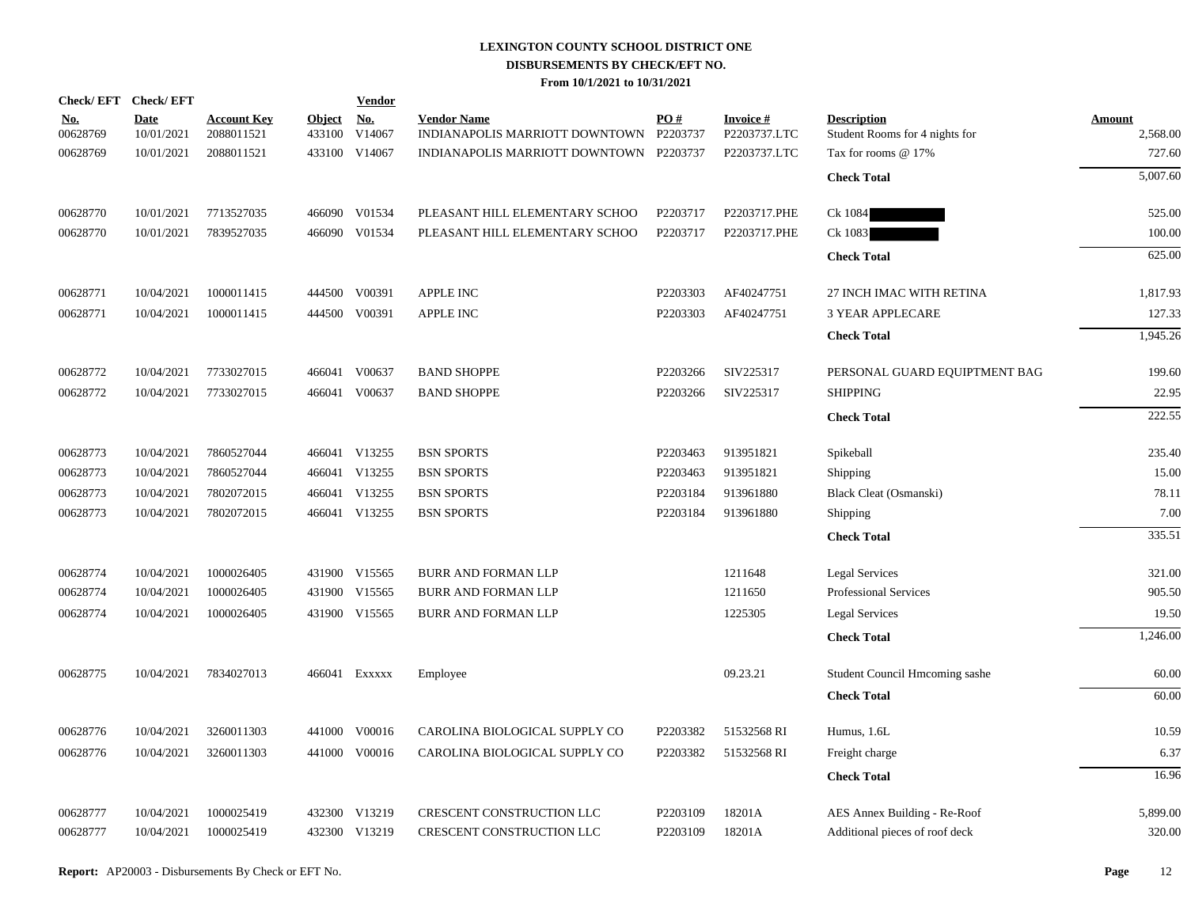| Check/EFT Check/EFT    |                           |                                  |                         | <b>Vendor</b>        |                                                               |          |                                 |                                                      |                           |
|------------------------|---------------------------|----------------------------------|-------------------------|----------------------|---------------------------------------------------------------|----------|---------------------------------|------------------------------------------------------|---------------------------|
| <u>No.</u><br>00628769 | <b>Date</b><br>10/01/2021 | <b>Account Key</b><br>2088011521 | <b>Object</b><br>433100 | <u>No.</u><br>V14067 | <b>Vendor Name</b><br>INDIANAPOLIS MARRIOTT DOWNTOWN P2203737 | PO#      | <b>Invoice#</b><br>P2203737.LTC | <b>Description</b><br>Student Rooms for 4 nights for | <b>Amount</b><br>2,568.00 |
| 00628769               | 10/01/2021                | 2088011521                       |                         | 433100 V14067        | INDIANAPOLIS MARRIOTT DOWNTOWN P2203737                       |          | P2203737.LTC                    | Tax for rooms @ 17%                                  | 727.60                    |
|                        |                           |                                  |                         |                      |                                                               |          |                                 | <b>Check Total</b>                                   | 5,007.60                  |
| 00628770               | 10/01/2021                | 7713527035                       |                         | 466090 V01534        | PLEASANT HILL ELEMENTARY SCHOO                                | P2203717 | P2203717.PHE                    | Ck 1084                                              | 525.00                    |
| 00628770               | 10/01/2021                | 7839527035                       |                         | 466090 V01534        | PLEASANT HILL ELEMENTARY SCHOO                                | P2203717 | P2203717.PHE                    | Ck 1083                                              | 100.00                    |
|                        |                           |                                  |                         |                      |                                                               |          |                                 | <b>Check Total</b>                                   | 625.00                    |
| 00628771               | 10/04/2021                | 1000011415                       |                         | 444500 V00391        | <b>APPLE INC</b>                                              | P2203303 | AF40247751                      | 27 INCH IMAC WITH RETINA                             | 1,817.93                  |
| 00628771               | 10/04/2021                | 1000011415                       |                         | 444500 V00391        | APPLE INC                                                     | P2203303 | AF40247751                      | <b>3 YEAR APPLECARE</b>                              | 127.33                    |
|                        |                           |                                  |                         |                      |                                                               |          |                                 | <b>Check Total</b>                                   | 1,945.26                  |
| 00628772               | 10/04/2021                | 7733027015                       |                         | 466041 V00637        | <b>BAND SHOPPE</b>                                            | P2203266 | SIV225317                       | PERSONAL GUARD EQUIPTMENT BAG                        | 199.60                    |
| 00628772               | 10/04/2021                | 7733027015                       |                         | 466041 V00637        | <b>BAND SHOPPE</b>                                            | P2203266 | SIV225317                       | <b>SHIPPING</b>                                      | 22.95                     |
|                        |                           |                                  |                         |                      |                                                               |          |                                 | <b>Check Total</b>                                   | 222.55                    |
| 00628773               | 10/04/2021                | 7860527044                       |                         | 466041 V13255        | <b>BSN SPORTS</b>                                             | P2203463 | 913951821                       | Spikeball                                            | 235.40                    |
| 00628773               | 10/04/2021                | 7860527044                       |                         | 466041 V13255        | <b>BSN SPORTS</b>                                             | P2203463 | 913951821                       | Shipping                                             | 15.00                     |
| 00628773               | 10/04/2021                | 7802072015                       |                         | 466041 V13255        | <b>BSN SPORTS</b>                                             | P2203184 | 913961880                       | Black Cleat (Osmanski)                               | 78.11                     |
| 00628773               | 10/04/2021                | 7802072015                       |                         | 466041 V13255        | <b>BSN SPORTS</b>                                             | P2203184 | 913961880                       | Shipping                                             | 7.00                      |
|                        |                           |                                  |                         |                      |                                                               |          |                                 | <b>Check Total</b>                                   | 335.51                    |
| 00628774               | 10/04/2021                | 1000026405                       |                         | 431900 V15565        | <b>BURR AND FORMAN LLP</b>                                    |          | 1211648                         | <b>Legal Services</b>                                | 321.00                    |
| 00628774               | 10/04/2021                | 1000026405                       |                         | 431900 V15565        | BURR AND FORMAN LLP                                           |          | 1211650                         | <b>Professional Services</b>                         | 905.50                    |
| 00628774               | 10/04/2021                | 1000026405                       |                         | 431900 V15565        | <b>BURR AND FORMAN LLP</b>                                    |          | 1225305                         | Legal Services                                       | 19.50                     |
|                        |                           |                                  |                         |                      |                                                               |          |                                 | <b>Check Total</b>                                   | 1,246.00                  |
| 00628775               | 10/04/2021                | 7834027013                       |                         | 466041 EXXXXX        | Employee                                                      |          | 09.23.21                        | Student Council Hmcoming sashe                       | 60.00                     |
|                        |                           |                                  |                         |                      |                                                               |          |                                 | <b>Check Total</b>                                   | 60.00                     |
| 00628776               | 10/04/2021                | 3260011303                       |                         | 441000 V00016        | CAROLINA BIOLOGICAL SUPPLY CO                                 | P2203382 | 51532568 RI                     | Humus, 1.6L                                          | 10.59                     |
| 00628776               | 10/04/2021                | 3260011303                       |                         | 441000 V00016        | CAROLINA BIOLOGICAL SUPPLY CO                                 | P2203382 | 51532568 RI                     | Freight charge                                       | 6.37                      |
|                        |                           |                                  |                         |                      |                                                               |          |                                 | <b>Check Total</b>                                   | 16.96                     |
| 00628777               | 10/04/2021                | 1000025419                       |                         | 432300 V13219        | CRESCENT CONSTRUCTION LLC                                     | P2203109 | 18201A                          | AES Annex Building - Re-Roof                         | 5,899.00                  |
| 00628777               | 10/04/2021                | 1000025419                       |                         | 432300 V13219        | CRESCENT CONSTRUCTION LLC                                     | P2203109 | 18201A                          | Additional pieces of roof deck                       | 320.00                    |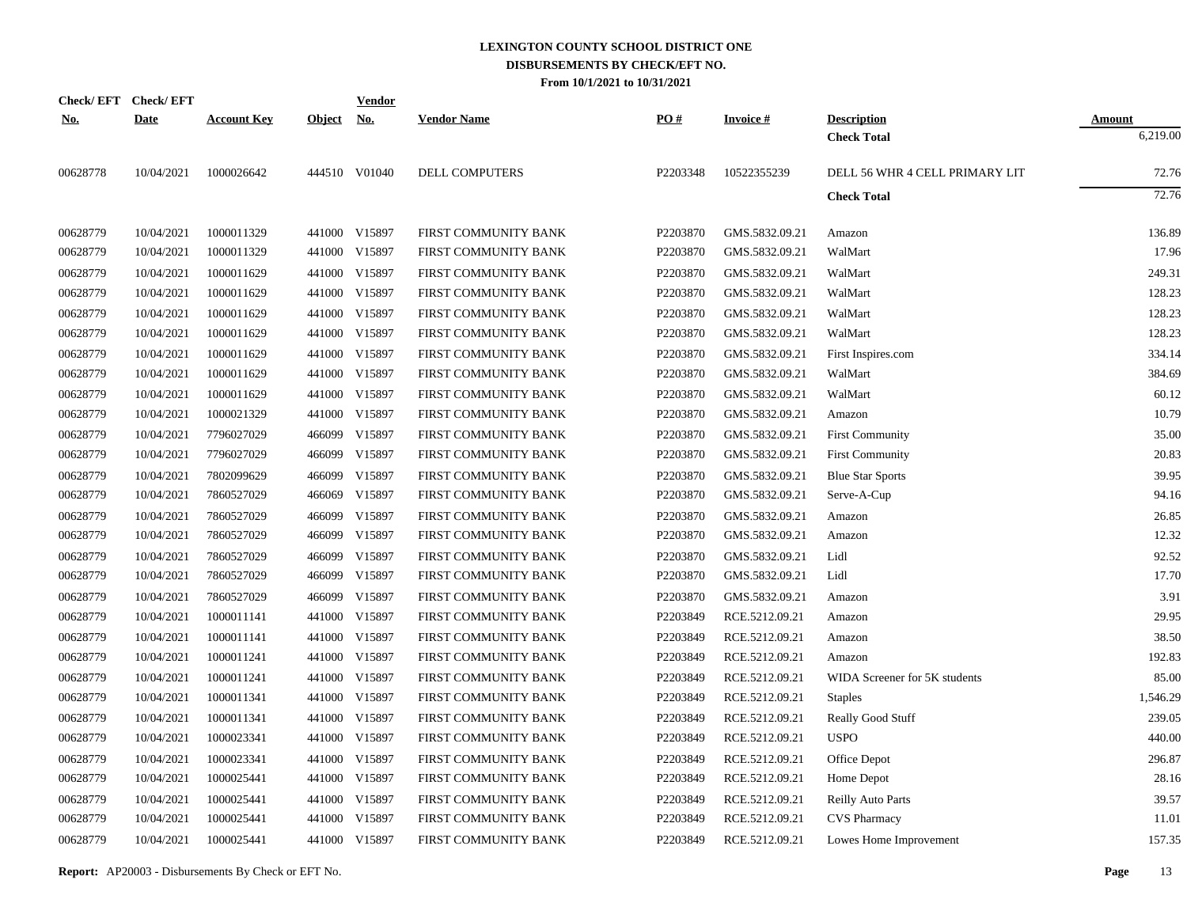|            | Check/EFT Check/EFT |                    |               | <b>Vendor</b> |                       |          |                 |                                |               |
|------------|---------------------|--------------------|---------------|---------------|-----------------------|----------|-----------------|--------------------------------|---------------|
| <u>No.</u> | <b>Date</b>         | <b>Account Key</b> | <b>Object</b> | <u>No.</u>    | <b>Vendor Name</b>    | PO#      | <b>Invoice#</b> | <b>Description</b>             | <b>Amount</b> |
|            |                     |                    |               |               |                       |          |                 | <b>Check Total</b>             | 6,219.00      |
| 00628778   | 10/04/2021          | 1000026642         |               | 444510 V01040 | <b>DELL COMPUTERS</b> | P2203348 | 10522355239     | DELL 56 WHR 4 CELL PRIMARY LIT | 72.76         |
|            |                     |                    |               |               |                       |          |                 | <b>Check Total</b>             | 72.76         |
| 00628779   | 10/04/2021          | 1000011329         |               | 441000 V15897 | FIRST COMMUNITY BANK  | P2203870 | GMS.5832.09.21  | Amazon                         | 136.89        |
| 00628779   | 10/04/2021          | 1000011329         |               | 441000 V15897 | FIRST COMMUNITY BANK  | P2203870 | GMS.5832.09.21  | WalMart                        | 17.96         |
| 00628779   | 10/04/2021          | 1000011629         |               | 441000 V15897 | FIRST COMMUNITY BANK  | P2203870 | GMS.5832.09.21  | WalMart                        | 249.31        |
| 00628779   | 10/04/2021          | 1000011629         |               | 441000 V15897 | FIRST COMMUNITY BANK  | P2203870 | GMS.5832.09.21  | WalMart                        | 128.23        |
| 00628779   | 10/04/2021          | 1000011629         |               | 441000 V15897 | FIRST COMMUNITY BANK  | P2203870 | GMS.5832.09.21  | WalMart                        | 128.23        |
| 00628779   | 10/04/2021          | 1000011629         |               | 441000 V15897 | FIRST COMMUNITY BANK  | P2203870 | GMS.5832.09.21  | WalMart                        | 128.23        |
| 00628779   | 10/04/2021          | 1000011629         |               | 441000 V15897 | FIRST COMMUNITY BANK  | P2203870 | GMS.5832.09.21  | First Inspires.com             | 334.14        |
| 00628779   | 10/04/2021          | 1000011629         |               | 441000 V15897 | FIRST COMMUNITY BANK  | P2203870 | GMS.5832.09.21  | WalMart                        | 384.69        |
| 00628779   | 10/04/2021          | 1000011629         |               | 441000 V15897 | FIRST COMMUNITY BANK  | P2203870 | GMS.5832.09.21  | WalMart                        | 60.12         |
| 00628779   | 10/04/2021          | 1000021329         |               | 441000 V15897 | FIRST COMMUNITY BANK  | P2203870 | GMS.5832.09.21  | Amazon                         | 10.79         |
| 00628779   | 10/04/2021          | 7796027029         | 466099        | V15897        | FIRST COMMUNITY BANK  | P2203870 | GMS.5832.09.21  | <b>First Community</b>         | 35.00         |
| 00628779   | 10/04/2021          | 7796027029         | 466099        | V15897        | FIRST COMMUNITY BANK  | P2203870 | GMS.5832.09.21  | <b>First Community</b>         | 20.83         |
| 00628779   | 10/04/2021          | 7802099629         | 466099        | V15897        | FIRST COMMUNITY BANK  | P2203870 | GMS.5832.09.21  | <b>Blue Star Sports</b>        | 39.95         |
| 00628779   | 10/04/2021          | 7860527029         | 466069        | V15897        | FIRST COMMUNITY BANK  | P2203870 | GMS.5832.09.21  | Serve-A-Cup                    | 94.16         |
| 00628779   | 10/04/2021          | 7860527029         | 466099        | V15897        | FIRST COMMUNITY BANK  | P2203870 | GMS.5832.09.21  | Amazon                         | 26.85         |
| 00628779   | 10/04/2021          | 7860527029         | 466099        | V15897        | FIRST COMMUNITY BANK  | P2203870 | GMS.5832.09.21  | Amazon                         | 12.32         |
| 00628779   | 10/04/2021          | 7860527029         | 466099        | V15897        | FIRST COMMUNITY BANK  | P2203870 | GMS.5832.09.21  | Lidl                           | 92.52         |
| 00628779   | 10/04/2021          | 7860527029         | 466099        | V15897        | FIRST COMMUNITY BANK  | P2203870 | GMS.5832.09.21  | Lidl                           | 17.70         |
| 00628779   | 10/04/2021          | 7860527029         | 466099        | V15897        | FIRST COMMUNITY BANK  | P2203870 | GMS.5832.09.21  | Amazon                         | 3.91          |
| 00628779   | 10/04/2021          | 1000011141         |               | 441000 V15897 | FIRST COMMUNITY BANK  | P2203849 | RCE.5212.09.21  | Amazon                         | 29.95         |
| 00628779   | 10/04/2021          | 1000011141         | 441000        | V15897        | FIRST COMMUNITY BANK  | P2203849 | RCE.5212.09.21  | Amazon                         | 38.50         |
| 00628779   | 10/04/2021          | 1000011241         |               | 441000 V15897 | FIRST COMMUNITY BANK  | P2203849 | RCE.5212.09.21  | Amazon                         | 192.83        |
| 00628779   | 10/04/2021          | 1000011241         |               | 441000 V15897 | FIRST COMMUNITY BANK  | P2203849 | RCE.5212.09.21  | WIDA Screener for 5K students  | 85.00         |
| 00628779   | 10/04/2021          | 1000011341         |               | 441000 V15897 | FIRST COMMUNITY BANK  | P2203849 | RCE.5212.09.21  | <b>Staples</b>                 | 1,546.29      |
| 00628779   | 10/04/2021          | 1000011341         |               | 441000 V15897 | FIRST COMMUNITY BANK  | P2203849 | RCE.5212.09.21  | Really Good Stuff              | 239.05        |
| 00628779   | 10/04/2021          | 1000023341         |               | 441000 V15897 | FIRST COMMUNITY BANK  | P2203849 | RCE.5212.09.21  | <b>USPO</b>                    | 440.00        |
| 00628779   | 10/04/2021          | 1000023341         |               | 441000 V15897 | FIRST COMMUNITY BANK  | P2203849 | RCE.5212.09.21  | Office Depot                   | 296.87        |
| 00628779   | 10/04/2021          | 1000025441         |               | 441000 V15897 | FIRST COMMUNITY BANK  | P2203849 | RCE.5212.09.21  | Home Depot                     | 28.16         |
| 00628779   | 10/04/2021          | 1000025441         |               | 441000 V15897 | FIRST COMMUNITY BANK  | P2203849 | RCE.5212.09.21  | <b>Reilly Auto Parts</b>       | 39.57         |
| 00628779   | 10/04/2021          | 1000025441         |               | 441000 V15897 | FIRST COMMUNITY BANK  | P2203849 | RCE.5212.09.21  | <b>CVS Pharmacy</b>            | 11.01         |
| 00628779   | 10/04/2021          | 1000025441         |               | 441000 V15897 | FIRST COMMUNITY BANK  | P2203849 | RCE.5212.09.21  | Lowes Home Improvement         | 157.35        |
|            |                     |                    |               |               |                       |          |                 |                                |               |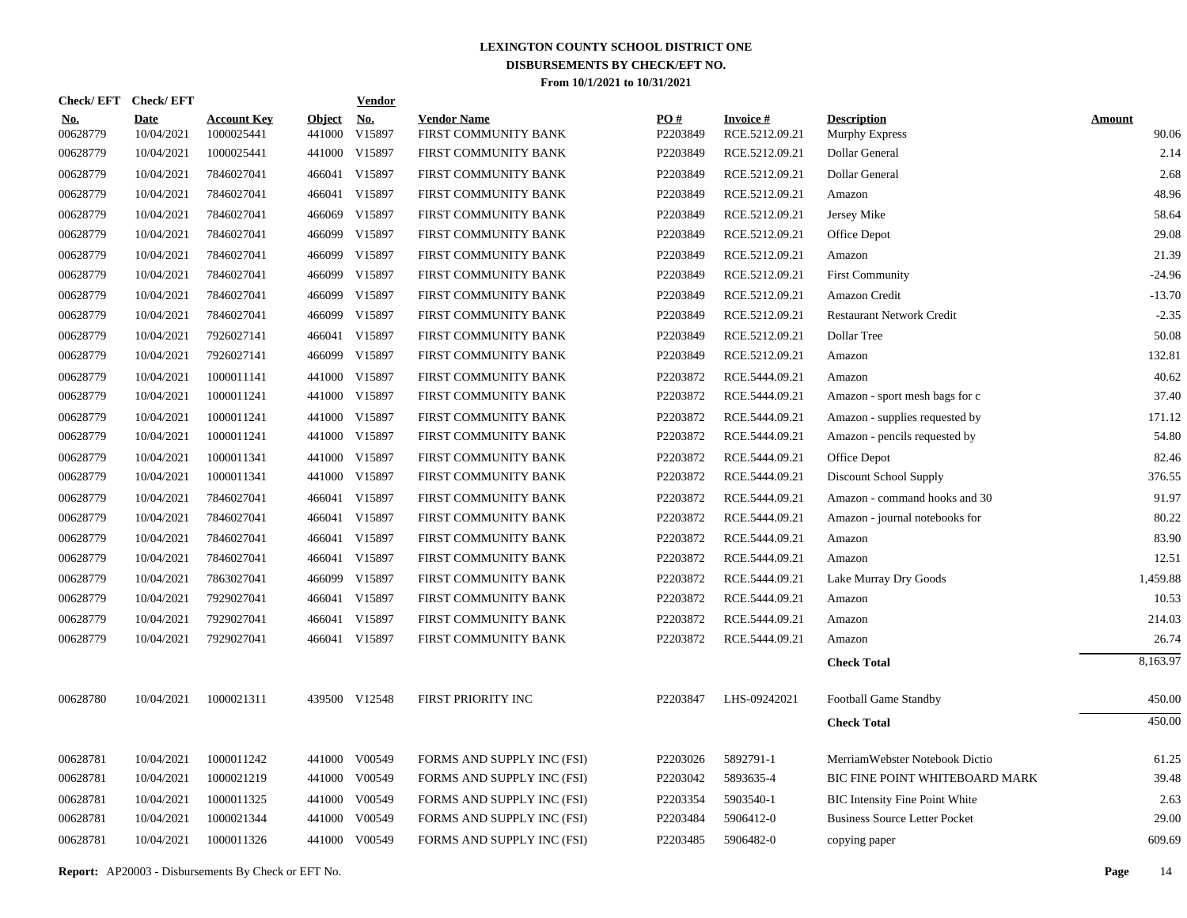| Check/EFT Check/EFT    |                           |                                  |                         | <b>Vendor</b>        |                                            |                               |                                   |                                             |                        |
|------------------------|---------------------------|----------------------------------|-------------------------|----------------------|--------------------------------------------|-------------------------------|-----------------------------------|---------------------------------------------|------------------------|
| <u>No.</u><br>00628779 | <b>Date</b><br>10/04/2021 | <b>Account Key</b><br>1000025441 | <u>Object</u><br>441000 | <u>No.</u><br>V15897 | <b>Vendor Name</b><br>FIRST COMMUNITY BANK | $\underline{PO#}$<br>P2203849 | <b>Invoice#</b><br>RCE.5212.09.21 | <b>Description</b><br><b>Murphy Express</b> | <b>Amount</b><br>90.06 |
| 00628779               | 10/04/2021                | 1000025441                       | 441000                  | V15897               | FIRST COMMUNITY BANK                       | P2203849                      | RCE.5212.09.21                    | Dollar General                              | 2.14                   |
| 00628779               | 10/04/2021                | 7846027041                       | 466041                  | V15897               | FIRST COMMUNITY BANK                       | P2203849                      | RCE.5212.09.21                    | <b>Dollar General</b>                       | 2.68                   |
| 00628779               | 10/04/2021                | 7846027041                       |                         | 466041 V15897        | FIRST COMMUNITY BANK                       | P2203849                      | RCE.5212.09.21                    | Amazon                                      | 48.96                  |
| 00628779               | 10/04/2021                | 7846027041                       | 466069                  | V15897               | FIRST COMMUNITY BANK                       | P2203849                      | RCE.5212.09.21                    | Jersey Mike                                 | 58.64                  |
| 00628779               | 10/04/2021                | 7846027041                       |                         | 466099 V15897        | FIRST COMMUNITY BANK                       | P2203849                      | RCE.5212.09.21                    | Office Depot                                | 29.08                  |
| 00628779               | 10/04/2021                | 7846027041                       | 466099                  | V15897               | FIRST COMMUNITY BANK                       | P2203849                      | RCE.5212.09.21                    | Amazon                                      | 21.39                  |
| 00628779               | 10/04/2021                | 7846027041                       |                         | 466099 V15897        | FIRST COMMUNITY BANK                       | P2203849                      | RCE.5212.09.21                    | <b>First Community</b>                      | $-24.96$               |
| 00628779               | 10/04/2021                | 7846027041                       |                         | 466099 V15897        | FIRST COMMUNITY BANK                       | P2203849                      | RCE.5212.09.21                    | Amazon Credit                               | $-13.70$               |
| 00628779               | 10/04/2021                | 7846027041                       |                         | 466099 V15897        | FIRST COMMUNITY BANK                       | P2203849                      | RCE.5212.09.21                    | <b>Restaurant Network Credit</b>            | $-2.35$                |
| 00628779               | 10/04/2021                | 7926027141                       |                         | 466041 V15897        | FIRST COMMUNITY BANK                       | P2203849                      | RCE.5212.09.21                    | Dollar Tree                                 | 50.08                  |
| 00628779               | 10/04/2021                | 7926027141                       |                         | 466099 V15897        | FIRST COMMUNITY BANK                       | P2203849                      | RCE.5212.09.21                    | Amazon                                      | 132.81                 |
| 00628779               | 10/04/2021                | 1000011141                       |                         | 441000 V15897        | FIRST COMMUNITY BANK                       | P2203872                      | RCE.5444.09.21                    | Amazon                                      | 40.62                  |
| 00628779               | 10/04/2021                | 1000011241                       |                         | 441000 V15897        | FIRST COMMUNITY BANK                       | P2203872                      | RCE.5444.09.21                    | Amazon - sport mesh bags for c              | 37.40                  |
| 00628779               | 10/04/2021                | 1000011241                       |                         | 441000 V15897        | FIRST COMMUNITY BANK                       | P2203872                      | RCE.5444.09.21                    | Amazon - supplies requested by              | 171.12                 |
| 00628779               | 10/04/2021                | 1000011241                       |                         | 441000 V15897        | FIRST COMMUNITY BANK                       | P2203872                      | RCE.5444.09.21                    | Amazon - pencils requested by               | 54.80                  |
| 00628779               | 10/04/2021                | 1000011341                       |                         | 441000 V15897        | FIRST COMMUNITY BANK                       | P2203872                      | RCE.5444.09.21                    | Office Depot                                | 82.46                  |
| 00628779               | 10/04/2021                | 1000011341                       |                         | 441000 V15897        | FIRST COMMUNITY BANK                       | P2203872                      | RCE.5444.09.21                    | Discount School Supply                      | 376.55                 |
| 00628779               | 10/04/2021                | 7846027041                       |                         | 466041 V15897        | FIRST COMMUNITY BANK                       | P2203872                      | RCE.5444.09.21                    | Amazon - command hooks and 30               | 91.97                  |
| 00628779               | 10/04/2021                | 7846027041                       |                         | 466041 V15897        | FIRST COMMUNITY BANK                       | P2203872                      | RCE.5444.09.21                    | Amazon - journal notebooks for              | 80.22                  |
| 00628779               | 10/04/2021                | 7846027041                       |                         | 466041 V15897        | FIRST COMMUNITY BANK                       | P2203872                      | RCE.5444.09.21                    | Amazon                                      | 83.90                  |
| 00628779               | 10/04/2021                | 7846027041                       |                         | 466041 V15897        | FIRST COMMUNITY BANK                       | P2203872                      | RCE.5444.09.21                    | Amazon                                      | 12.51                  |
| 00628779               | 10/04/2021                | 7863027041                       |                         | 466099 V15897        | FIRST COMMUNITY BANK                       | P2203872                      | RCE.5444.09.21                    | Lake Murray Dry Goods                       | 1,459.88               |
| 00628779               | 10/04/2021                | 7929027041                       |                         | 466041 V15897        | FIRST COMMUNITY BANK                       | P2203872                      | RCE.5444.09.21                    | Amazon                                      | 10.53                  |
| 00628779               | 10/04/2021                | 7929027041                       |                         | 466041 V15897        | FIRST COMMUNITY BANK                       | P2203872                      | RCE.5444.09.21                    | Amazon                                      | 214.03                 |
| 00628779               | 10/04/2021                | 7929027041                       |                         | 466041 V15897        | FIRST COMMUNITY BANK                       | P2203872                      | RCE.5444.09.21                    | Amazon                                      | 26.74                  |
|                        |                           |                                  |                         |                      |                                            |                               |                                   | <b>Check Total</b>                          | 8,163.97               |
| 00628780               | 10/04/2021                | 1000021311                       |                         | 439500 V12548        | FIRST PRIORITY INC                         | P2203847                      | LHS-09242021                      | Football Game Standby                       | 450.00                 |
|                        |                           |                                  |                         |                      |                                            |                               |                                   | <b>Check Total</b>                          | 450.00                 |
| 00628781               | 10/04/2021                | 1000011242                       |                         | 441000 V00549        | FORMS AND SUPPLY INC (FSI)                 | P2203026                      | 5892791-1                         | MerriamWebster Notebook Dictio              | 61.25                  |
| 00628781               | 10/04/2021                | 1000021219                       | 441000                  | V00549               | FORMS AND SUPPLY INC (FSI)                 | P2203042                      | 5893635-4                         | BIC FINE POINT WHITEBOARD MARK              | 39.48                  |
| 00628781               | 10/04/2021                | 1000011325                       | 441000                  | V00549               | FORMS AND SUPPLY INC (FSI)                 | P2203354                      | 5903540-1                         | <b>BIC Intensity Fine Point White</b>       | 2.63                   |
| 00628781               | 10/04/2021                | 1000021344                       | 441000                  | V00549               | FORMS AND SUPPLY INC (FSI)                 | P2203484                      | 5906412-0                         | <b>Business Source Letter Pocket</b>        | 29.00                  |
| 00628781               | 10/04/2021                | 1000011326                       |                         | 441000 V00549        | FORMS AND SUPPLY INC (FSI)                 | P2203485                      | 5906482-0                         | copying paper                               | 609.69                 |
|                        |                           |                                  |                         |                      |                                            |                               |                                   |                                             |                        |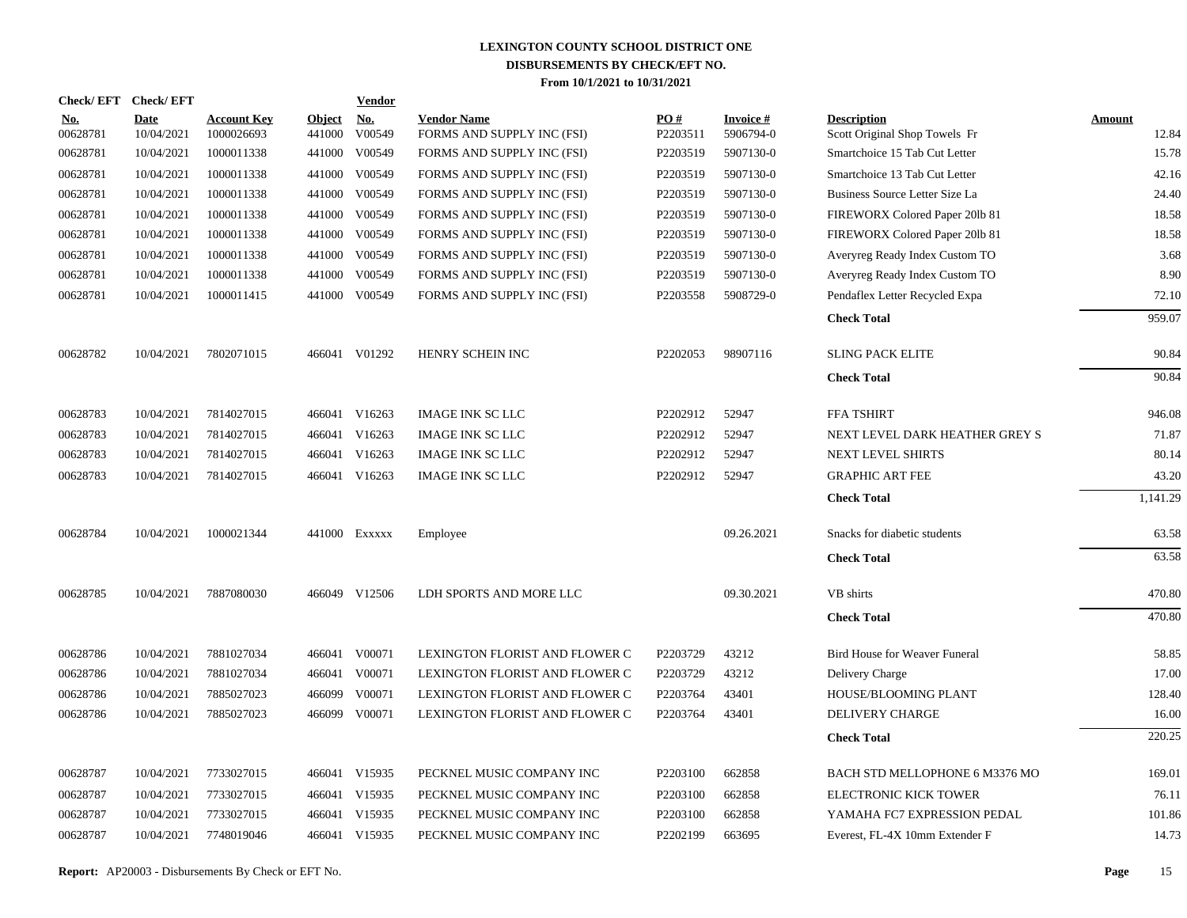| <b>Check/EFT</b>       | <b>Check/EFT</b>          |                                  |                         | <b>Vendor</b> |                                                  |                 |                              |                                                     |                        |
|------------------------|---------------------------|----------------------------------|-------------------------|---------------|--------------------------------------------------|-----------------|------------------------------|-----------------------------------------------------|------------------------|
| <u>No.</u><br>00628781 | <b>Date</b><br>10/04/2021 | <b>Account Key</b><br>1000026693 | <b>Object</b><br>441000 | No.<br>V00549 | <b>Vendor Name</b><br>FORMS AND SUPPLY INC (FSI) | PO#<br>P2203511 | <b>Invoice#</b><br>5906794-0 | <b>Description</b><br>Scott Original Shop Towels Fr | <b>Amount</b><br>12.84 |
| 00628781               | 10/04/2021                | 1000011338                       | 441000                  | V00549        | FORMS AND SUPPLY INC (FSI)                       | P2203519        | 5907130-0                    | Smartchoice 15 Tab Cut Letter                       | 15.78                  |
| 00628781               | 10/04/2021                | 1000011338                       | 441000                  | V00549        | FORMS AND SUPPLY INC (FSI)                       | P2203519        | 5907130-0                    | Smartchoice 13 Tab Cut Letter                       | 42.16                  |
| 00628781               | 10/04/2021                | 1000011338                       | 441000                  | V00549        | FORMS AND SUPPLY INC (FSI)                       | P2203519        | 5907130-0                    | Business Source Letter Size La                      | 24.40                  |
| 00628781               | 10/04/2021                | 1000011338                       | 441000                  | V00549        | FORMS AND SUPPLY INC (FSI)                       | P2203519        | 5907130-0                    | FIREWORX Colored Paper 201b 81                      | 18.58                  |
| 00628781               | 10/04/2021                | 1000011338                       | 441000                  | V00549        | FORMS AND SUPPLY INC (FSI)                       | P2203519        | 5907130-0                    | FIREWORX Colored Paper 201b 81                      | 18.58                  |
| 00628781               | 10/04/2021                | 1000011338                       | 441000                  | V00549        | FORMS AND SUPPLY INC (FSI)                       | P2203519        | 5907130-0                    | Averyreg Ready Index Custom TO                      | 3.68                   |
| 00628781               | 10/04/2021                | 1000011338                       | 441000                  | V00549        | FORMS AND SUPPLY INC (FSI)                       | P2203519        | 5907130-0                    | Averyreg Ready Index Custom TO                      | 8.90                   |
| 00628781               | 10/04/2021                | 1000011415                       | 441000                  | V00549        | FORMS AND SUPPLY INC (FSI)                       | P2203558        | 5908729-0                    | Pendaflex Letter Recycled Expa                      | 72.10                  |
|                        |                           |                                  |                         |               |                                                  |                 |                              | <b>Check Total</b>                                  | 959.07                 |
| 00628782               | 10/04/2021                | 7802071015                       |                         | 466041 V01292 | HENRY SCHEIN INC                                 | P2202053        | 98907116                     | <b>SLING PACK ELITE</b>                             | 90.84                  |
|                        |                           |                                  |                         |               |                                                  |                 |                              | <b>Check Total</b>                                  | 90.84                  |
| 00628783               | 10/04/2021                | 7814027015                       |                         | 466041 V16263 | <b>IMAGE INK SC LLC</b>                          | P2202912        | 52947                        | <b>FFA TSHIRT</b>                                   | 946.08                 |
| 00628783               | 10/04/2021                | 7814027015                       |                         | 466041 V16263 | <b>IMAGE INK SC LLC</b>                          | P2202912        | 52947                        | NEXT LEVEL DARK HEATHER GREY S                      | 71.87                  |
| 00628783               | 10/04/2021                | 7814027015                       |                         | 466041 V16263 | <b>IMAGE INK SC LLC</b>                          | P2202912        | 52947                        | <b>NEXT LEVEL SHIRTS</b>                            | 80.14                  |
| 00628783               | 10/04/2021                | 7814027015                       |                         | 466041 V16263 | <b>IMAGE INK SC LLC</b>                          | P2202912        | 52947                        | <b>GRAPHIC ART FEE</b>                              | 43.20                  |
|                        |                           |                                  |                         |               |                                                  |                 |                              | <b>Check Total</b>                                  | 1,141.29               |
| 00628784               | 10/04/2021                | 1000021344                       |                         | 441000 Exxxxx | Employee                                         |                 | 09.26.2021                   | Snacks for diabetic students                        | 63.58                  |
|                        |                           |                                  |                         |               |                                                  |                 |                              | <b>Check Total</b>                                  | 63.58                  |
| 00628785               | 10/04/2021                | 7887080030                       |                         | 466049 V12506 | LDH SPORTS AND MORE LLC                          |                 | 09.30.2021                   | VB shirts                                           | 470.80                 |
|                        |                           |                                  |                         |               |                                                  |                 |                              | <b>Check Total</b>                                  | 470.80                 |
| 00628786               | 10/04/2021                | 7881027034                       |                         | 466041 V00071 | LEXINGTON FLORIST AND FLOWER C                   | P2203729        | 43212                        | Bird House for Weaver Funeral                       | 58.85                  |
| 00628786               | 10/04/2021                | 7881027034                       |                         | 466041 V00071 | LEXINGTON FLORIST AND FLOWER C                   | P2203729        | 43212                        | Delivery Charge                                     | 17.00                  |
| 00628786               | 10/04/2021                | 7885027023                       | 466099                  | V00071        | LEXINGTON FLORIST AND FLOWER C                   | P2203764        | 43401                        | HOUSE/BLOOMING PLANT                                | 128.40                 |
| 00628786               | 10/04/2021                | 7885027023                       |                         | 466099 V00071 | LEXINGTON FLORIST AND FLOWER C                   | P2203764        | 43401                        | DELIVERY CHARGE                                     | 16.00                  |
|                        |                           |                                  |                         |               |                                                  |                 |                              | <b>Check Total</b>                                  | 220.25                 |
| 00628787               | 10/04/2021                | 7733027015                       |                         | 466041 V15935 | PECKNEL MUSIC COMPANY INC                        | P2203100        | 662858                       | BACH STD MELLOPHONE 6 M3376 MO                      | 169.01                 |
| 00628787               | 10/04/2021                | 7733027015                       |                         | 466041 V15935 | PECKNEL MUSIC COMPANY INC                        | P2203100        | 662858                       | ELECTRONIC KICK TOWER                               | 76.11                  |
| 00628787               | 10/04/2021                | 7733027015                       |                         | 466041 V15935 | PECKNEL MUSIC COMPANY INC                        | P2203100        | 662858                       | YAMAHA FC7 EXPRESSION PEDAL                         | 101.86                 |
| 00628787               | 10/04/2021                | 7748019046                       |                         | 466041 V15935 | PECKNEL MUSIC COMPANY INC                        | P2202199        | 663695                       | Everest, FL-4X 10mm Extender F                      | 14.73                  |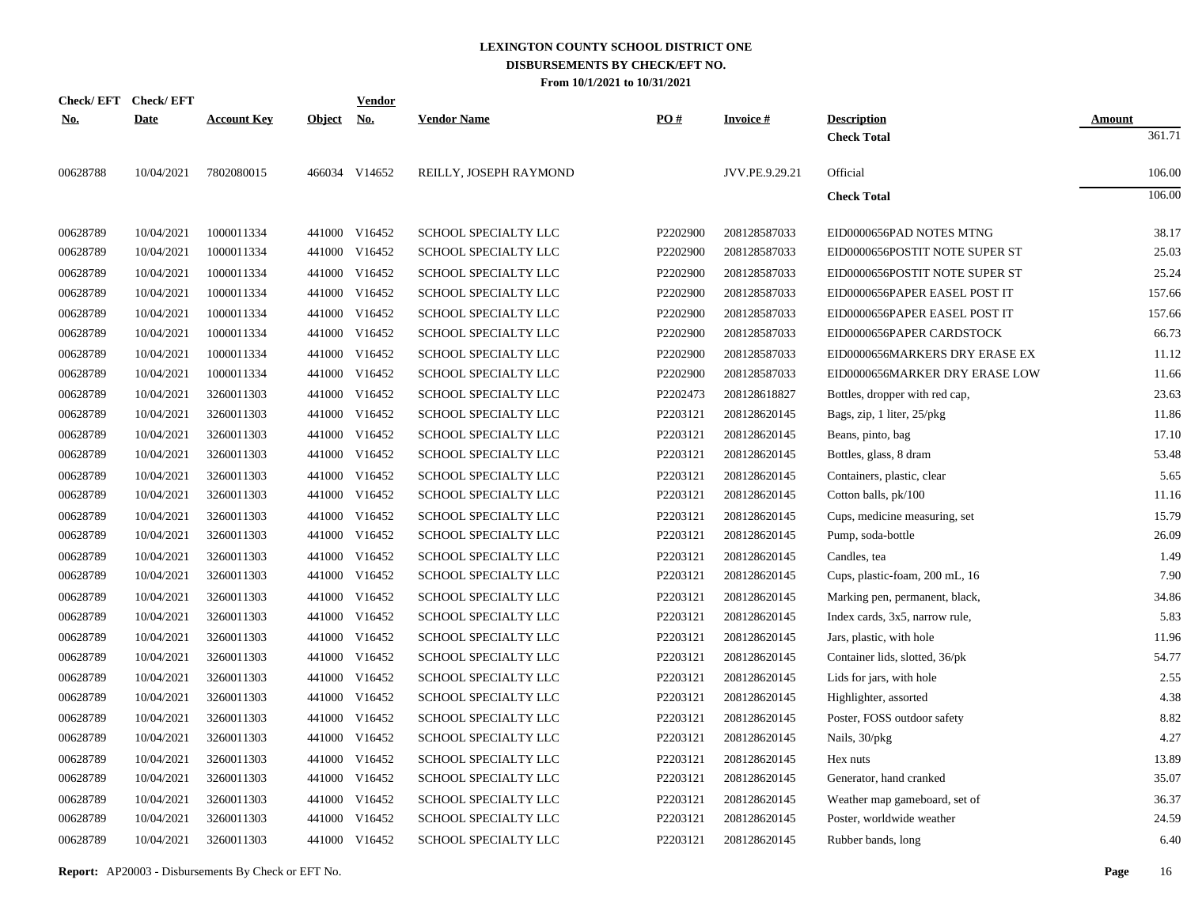| Check/EFT Check/EFT |             |                    |               | <b>Vendor</b> |                             |          |                 |                                |               |
|---------------------|-------------|--------------------|---------------|---------------|-----------------------------|----------|-----------------|--------------------------------|---------------|
| <u>No.</u>          | <b>Date</b> | <b>Account Key</b> | <b>Object</b> | <u>No.</u>    | <b>Vendor Name</b>          | PO#      | <b>Invoice#</b> | <b>Description</b>             | <b>Amount</b> |
|                     |             |                    |               |               |                             |          |                 | <b>Check Total</b>             | 361.71        |
| 00628788            | 10/04/2021  | 7802080015         |               | 466034 V14652 | REILLY, JOSEPH RAYMOND      |          | JVV.PE.9.29.21  | Official                       | 106.00        |
|                     |             |                    |               |               |                             |          |                 | <b>Check Total</b>             | 106.00        |
| 00628789            | 10/04/2021  | 1000011334         |               | 441000 V16452 | SCHOOL SPECIALTY LLC        | P2202900 | 208128587033    | EID0000656PAD NOTES MTNG       | 38.17         |
| 00628789            | 10/04/2021  | 1000011334         |               | 441000 V16452 | SCHOOL SPECIALTY LLC        | P2202900 | 208128587033    | EID0000656POSTIT NOTE SUPER ST | 25.03         |
| 00628789            | 10/04/2021  | 1000011334         |               | 441000 V16452 | SCHOOL SPECIALTY LLC        | P2202900 | 208128587033    | EID0000656POSTIT NOTE SUPER ST | 25.24         |
| 00628789            | 10/04/2021  | 1000011334         |               | 441000 V16452 | SCHOOL SPECIALTY LLC        | P2202900 | 208128587033    | EID0000656PAPER EASEL POST IT  | 157.66        |
| 00628789            | 10/04/2021  | 1000011334         |               | 441000 V16452 | SCHOOL SPECIALTY LLC        | P2202900 | 208128587033    | EID0000656PAPER EASEL POST IT  | 157.66        |
| 00628789            | 10/04/2021  | 1000011334         |               | 441000 V16452 | SCHOOL SPECIALTY LLC        | P2202900 | 208128587033    | EID0000656PAPER CARDSTOCK      | 66.73         |
| 00628789            | 10/04/2021  | 1000011334         |               | 441000 V16452 | SCHOOL SPECIALTY LLC        | P2202900 | 208128587033    | EID0000656MARKERS DRY ERASE EX | 11.12         |
| 00628789            | 10/04/2021  | 1000011334         |               | 441000 V16452 | SCHOOL SPECIALTY LLC        | P2202900 | 208128587033    | EID0000656MARKER DRY ERASE LOW | 11.66         |
| 00628789            | 10/04/2021  | 3260011303         |               | 441000 V16452 | SCHOOL SPECIALTY LLC        | P2202473 | 208128618827    | Bottles, dropper with red cap, | 23.63         |
| 00628789            | 10/04/2021  | 3260011303         |               | 441000 V16452 | SCHOOL SPECIALTY LLC        | P2203121 | 208128620145    | Bags, zip, 1 liter, 25/pkg     | 11.86         |
| 00628789            | 10/04/2021  | 3260011303         |               | 441000 V16452 | SCHOOL SPECIALTY LLC        | P2203121 | 208128620145    | Beans, pinto, bag              | 17.10         |
| 00628789            | 10/04/2021  | 3260011303         |               | 441000 V16452 | SCHOOL SPECIALTY LLC        | P2203121 | 208128620145    | Bottles, glass, 8 dram         | 53.48         |
| 00628789            | 10/04/2021  | 3260011303         |               | 441000 V16452 | SCHOOL SPECIALTY LLC        | P2203121 | 208128620145    | Containers, plastic, clear     | 5.65          |
| 00628789            | 10/04/2021  | 3260011303         |               | 441000 V16452 | SCHOOL SPECIALTY LLC        | P2203121 | 208128620145    | Cotton balls, pk/100           | 11.16         |
| 00628789            | 10/04/2021  | 3260011303         | 441000        | V16452        | SCHOOL SPECIALTY LLC        | P2203121 | 208128620145    | Cups, medicine measuring, set  | 15.79         |
| 00628789            | 10/04/2021  | 3260011303         |               | 441000 V16452 | SCHOOL SPECIALTY LLC        | P2203121 | 208128620145    | Pump, soda-bottle              | 26.09         |
| 00628789            | 10/04/2021  | 3260011303         | 441000        | V16452        | SCHOOL SPECIALTY LLC        | P2203121 | 208128620145    | Candles, tea                   | 1.49          |
| 00628789            | 10/04/2021  | 3260011303         |               | 441000 V16452 | SCHOOL SPECIALTY LLC        | P2203121 | 208128620145    | Cups, plastic-foam, 200 mL, 16 | 7.90          |
| 00628789            | 10/04/2021  | 3260011303         | 441000        | V16452        | SCHOOL SPECIALTY LLC        | P2203121 | 208128620145    | Marking pen, permanent, black, | 34.86         |
| 00628789            | 10/04/2021  | 3260011303         |               | 441000 V16452 | SCHOOL SPECIALTY LLC        | P2203121 | 208128620145    | Index cards, 3x5, narrow rule, | 5.83          |
| 00628789            | 10/04/2021  | 3260011303         |               | 441000 V16452 | SCHOOL SPECIALTY LLC        | P2203121 | 208128620145    | Jars, plastic, with hole       | 11.96         |
| 00628789            | 10/04/2021  | 3260011303         |               | 441000 V16452 | SCHOOL SPECIALTY LLC        | P2203121 | 208128620145    | Container lids, slotted, 36/pk | 54.77         |
| 00628789            | 10/04/2021  | 3260011303         |               | 441000 V16452 | SCHOOL SPECIALTY LLC        | P2203121 | 208128620145    | Lids for jars, with hole       | 2.55          |
| 00628789            | 10/04/2021  | 3260011303         |               | 441000 V16452 | SCHOOL SPECIALTY LLC        | P2203121 | 208128620145    | Highlighter, assorted          | 4.38          |
| 00628789            | 10/04/2021  | 3260011303         |               | 441000 V16452 | <b>SCHOOL SPECIALTY LLC</b> | P2203121 | 208128620145    | Poster, FOSS outdoor safety    | 8.82          |
| 00628789            | 10/04/2021  | 3260011303         |               | 441000 V16452 | SCHOOL SPECIALTY LLC        | P2203121 | 208128620145    | Nails, 30/pkg                  | 4.27          |
| 00628789            | 10/04/2021  | 3260011303         | 441000        | V16452        | SCHOOL SPECIALTY LLC        | P2203121 | 208128620145    | Hex nuts                       | 13.89         |
| 00628789            | 10/04/2021  | 3260011303         |               | 441000 V16452 | SCHOOL SPECIALTY LLC        | P2203121 | 208128620145    | Generator, hand cranked        | 35.07         |
| 00628789            | 10/04/2021  | 3260011303         |               | 441000 V16452 | SCHOOL SPECIALTY LLC        | P2203121 | 208128620145    | Weather map gameboard, set of  | 36.37         |
| 00628789            | 10/04/2021  | 3260011303         |               | 441000 V16452 | SCHOOL SPECIALTY LLC        | P2203121 | 208128620145    | Poster, worldwide weather      | 24.59         |
| 00628789            | 10/04/2021  | 3260011303         |               | 441000 V16452 | SCHOOL SPECIALTY LLC        | P2203121 | 208128620145    | Rubber bands, long             | 6.40          |
|                     |             |                    |               |               |                             |          |                 |                                |               |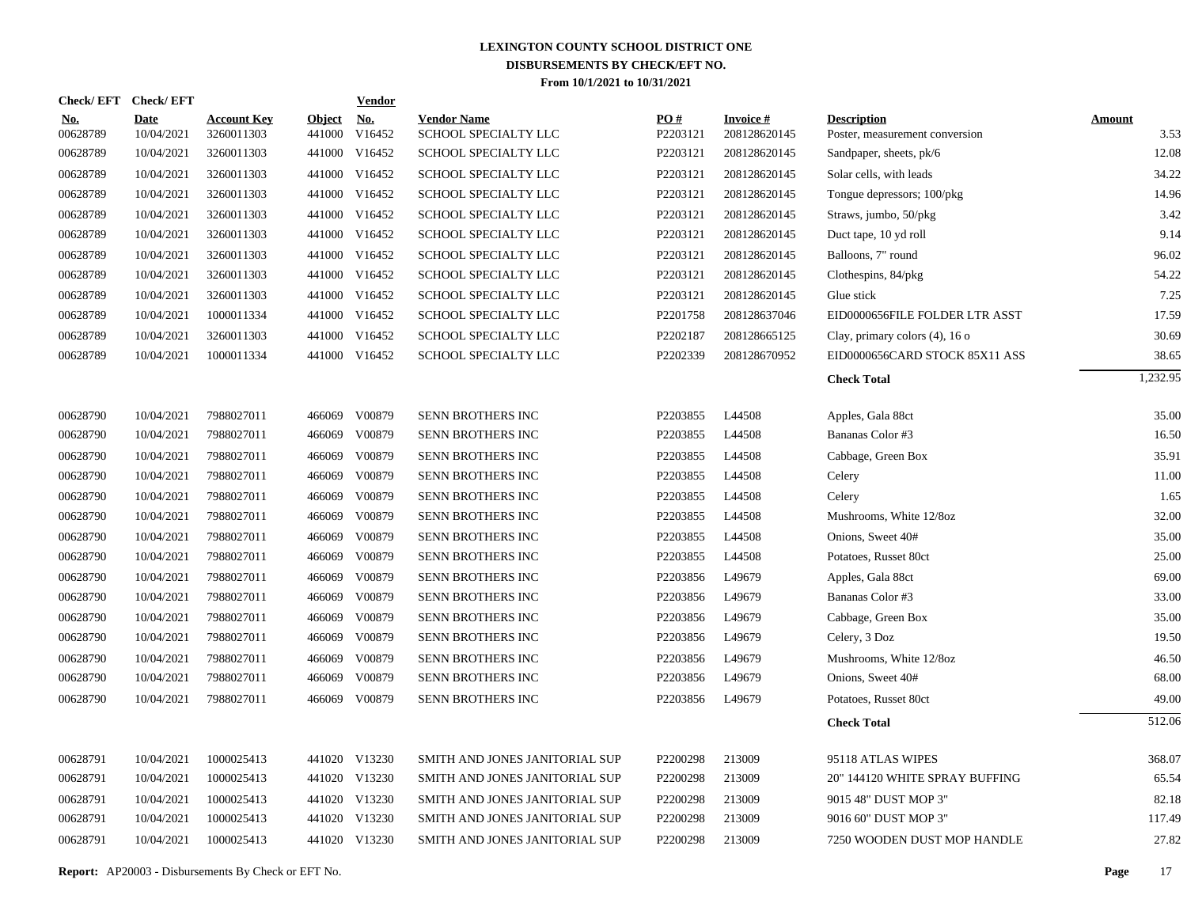| Check/EFT Check/EFT    |                           |                                  |                         | <b>Vendor</b>        |                                            |                 |                                  |                                                      |                       |
|------------------------|---------------------------|----------------------------------|-------------------------|----------------------|--------------------------------------------|-----------------|----------------------------------|------------------------------------------------------|-----------------------|
| <b>No.</b><br>00628789 | <b>Date</b><br>10/04/2021 | <b>Account Key</b><br>3260011303 | <b>Object</b><br>441000 | <u>No.</u><br>V16452 | <b>Vendor Name</b><br>SCHOOL SPECIALTY LLC | PO#<br>P2203121 | <b>Invoice #</b><br>208128620145 | <b>Description</b><br>Poster, measurement conversion | <b>Amount</b><br>3.53 |
| 00628789               | 10/04/2021                | 3260011303                       |                         | 441000 V16452        | SCHOOL SPECIALTY LLC                       | P2203121        | 208128620145                     | Sandpaper, sheets, pk/6                              | 12.08                 |
| 00628789               | 10/04/2021                | 3260011303                       | 441000                  | V16452               | SCHOOL SPECIALTY LLC                       | P2203121        | 208128620145                     | Solar cells, with leads                              | 34.22                 |
| 00628789               | 10/04/2021                | 3260011303                       |                         | 441000 V16452        | SCHOOL SPECIALTY LLC                       | P2203121        | 208128620145                     | Tongue depressors; 100/pkg                           | 14.96                 |
| 00628789               | 10/04/2021                | 3260011303                       |                         | 441000 V16452        | SCHOOL SPECIALTY LLC                       | P2203121        | 208128620145                     | Straws, jumbo, 50/pkg                                | 3.42                  |
| 00628789               | 10/04/2021                | 3260011303                       |                         | 441000 V16452        | SCHOOL SPECIALTY LLC                       | P2203121        | 208128620145                     | Duct tape, 10 yd roll                                | 9.14                  |
| 00628789               | 10/04/2021                | 3260011303                       |                         | 441000 V16452        | SCHOOL SPECIALTY LLC                       | P2203121        | 208128620145                     | Balloons, 7" round                                   | 96.02                 |
| 00628789               | 10/04/2021                | 3260011303                       |                         | 441000 V16452        | SCHOOL SPECIALTY LLC                       | P2203121        | 208128620145                     | Clothespins, 84/pkg                                  | 54.22                 |
| 00628789               | 10/04/2021                | 3260011303                       | 441000                  | V16452               | SCHOOL SPECIALTY LLC                       | P2203121        | 208128620145                     | Glue stick                                           | 7.25                  |
| 00628789               | 10/04/2021                | 1000011334                       |                         | 441000 V16452        | SCHOOL SPECIALTY LLC                       | P2201758        | 208128637046                     | EID0000656FILE FOLDER LTR ASST                       | 17.59                 |
| 00628789               | 10/04/2021                | 3260011303                       |                         | 441000 V16452        | <b>SCHOOL SPECIALTY LLC</b>                | P2202187        | 208128665125                     | Clay, primary colors (4), 16 o                       | 30.69                 |
| 00628789               | 10/04/2021                | 1000011334                       |                         | 441000 V16452        | SCHOOL SPECIALTY LLC                       | P2202339        | 208128670952                     | EID0000656CARD STOCK 85X11 ASS                       | 38.65                 |
|                        |                           |                                  |                         |                      |                                            |                 |                                  | <b>Check Total</b>                                   | 1,232.95              |
| 00628790               | 10/04/2021                | 7988027011                       |                         | 466069 V00879        | SENN BROTHERS INC                          | P2203855        | L44508                           | Apples, Gala 88ct                                    | 35.00                 |
| 00628790               | 10/04/2021                | 7988027011                       | 466069                  | V00879               | SENN BROTHERS INC                          | P2203855        | L44508                           | Bananas Color #3                                     | 16.50                 |
| 00628790               | 10/04/2021                | 7988027011                       | 466069                  | V00879               | SENN BROTHERS INC                          | P2203855        | L44508                           | Cabbage, Green Box                                   | 35.91                 |
| 00628790               | 10/04/2021                | 7988027011                       | 466069                  | V00879               | SENN BROTHERS INC                          | P2203855        | L44508                           | Celery                                               | 11.00                 |
| 00628790               | 10/04/2021                | 7988027011                       | 466069                  | V00879               | SENN BROTHERS INC                          | P2203855        | L44508                           | Celery                                               | 1.65                  |
| 00628790               | 10/04/2021                | 7988027011                       | 466069                  | V00879               | SENN BROTHERS INC                          | P2203855        | L44508                           | Mushrooms, White 12/8oz                              | 32.00                 |
| 00628790               | 10/04/2021                | 7988027011                       | 466069                  | V00879               | SENN BROTHERS INC                          | P2203855        | L44508                           | Onions, Sweet 40#                                    | 35.00                 |
| 00628790               | 10/04/2021                | 7988027011                       | 466069                  | V00879               | SENN BROTHERS INC                          | P2203855        | L44508                           | Potatoes, Russet 80ct                                | 25.00                 |
| 00628790               | 10/04/2021                | 7988027011                       | 466069                  | V00879               | SENN BROTHERS INC                          | P2203856        | L49679                           | Apples, Gala 88ct                                    | 69.00                 |
| 00628790               | 10/04/2021                | 7988027011                       | 466069                  | V00879               | SENN BROTHERS INC                          | P2203856        | L49679                           | Bananas Color #3                                     | 33.00                 |
| 00628790               | 10/04/2021                | 7988027011                       | 466069                  | V00879               | SENN BROTHERS INC                          | P2203856        | L49679                           | Cabbage, Green Box                                   | 35.00                 |
| 00628790               | 10/04/2021                | 7988027011                       | 466069                  | V00879               | SENN BROTHERS INC                          | P2203856        | L49679                           | Celery, 3 Doz                                        | 19.50                 |
| 00628790               | 10/04/2021                | 7988027011                       | 466069                  | V00879               | SENN BROTHERS INC                          | P2203856        | L49679                           | Mushrooms, White 12/8oz                              | 46.50                 |
| 00628790               | 10/04/2021                | 7988027011                       | 466069                  | V00879               | SENN BROTHERS INC                          | P2203856        | L49679                           | Onions, Sweet 40#                                    | 68.00                 |
| 00628790               | 10/04/2021                | 7988027011                       | 466069                  | V00879               | SENN BROTHERS INC                          | P2203856        | L49679                           | Potatoes, Russet 80ct                                | 49.00                 |
|                        |                           |                                  |                         |                      |                                            |                 |                                  | <b>Check Total</b>                                   | 512.06                |
| 00628791               | 10/04/2021                | 1000025413                       |                         | 441020 V13230        | SMITH AND JONES JANITORIAL SUP             | P2200298        | 213009                           | 95118 ATLAS WIPES                                    | 368.07                |
| 00628791               | 10/04/2021                | 1000025413                       |                         | 441020 V13230        | SMITH AND JONES JANITORIAL SUP             | P2200298        | 213009                           | 20" 144120 WHITE SPRAY BUFFING                       | 65.54                 |
| 00628791               | 10/04/2021                | 1000025413                       |                         | 441020 V13230        | SMITH AND JONES JANITORIAL SUP             | P2200298        | 213009                           | 9015 48" DUST MOP 3"                                 | 82.18                 |
| 00628791               | 10/04/2021                | 1000025413                       |                         | 441020 V13230        | SMITH AND JONES JANITORIAL SUP             | P2200298        | 213009                           | 9016 60" DUST MOP 3"                                 | 117.49                |
| 00628791               | 10/04/2021                | 1000025413                       |                         | 441020 V13230        | SMITH AND JONES JANITORIAL SUP             | P2200298        | 213009                           | 7250 WOODEN DUST MOP HANDLE                          | 27.82                 |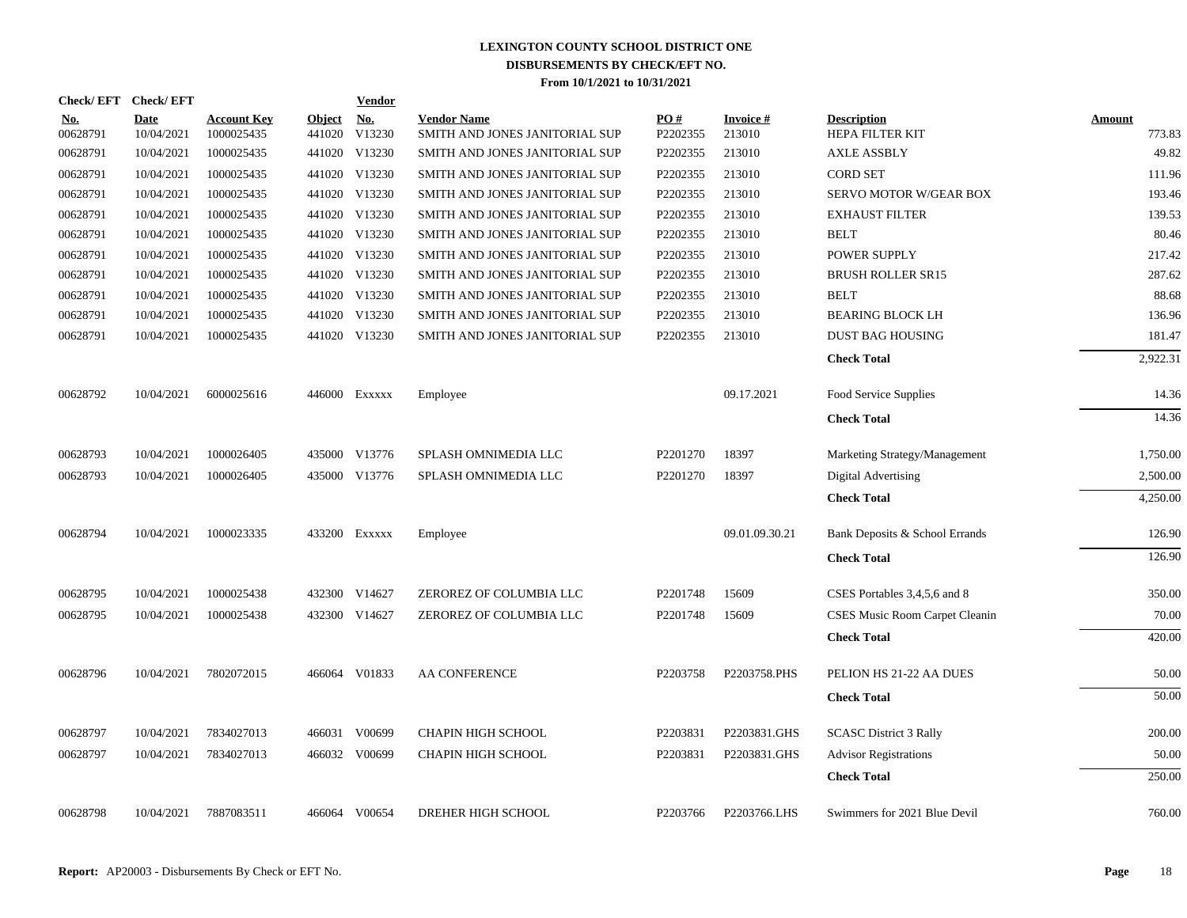| Check/EFT Check/EFT    |                           |                                  |                         | <b>Vendor</b> |                                                      |                      |                     |                                              |                  |
|------------------------|---------------------------|----------------------------------|-------------------------|---------------|------------------------------------------------------|----------------------|---------------------|----------------------------------------------|------------------|
| <b>No.</b><br>00628791 | <b>Date</b><br>10/04/2021 | <b>Account Key</b><br>1000025435 | <b>Object</b><br>441020 | No.<br>V13230 | <b>Vendor Name</b><br>SMITH AND JONES JANITORIAL SUP | PO#<br>P2202355      | Invoice #<br>213010 | <b>Description</b><br><b>HEPA FILTER KIT</b> | Amount<br>773.83 |
| 00628791               | 10/04/2021                | 1000025435                       |                         | 441020 V13230 | SMITH AND JONES JANITORIAL SUP                       | P2202355             | 213010              | <b>AXLE ASSBLY</b>                           | 49.82            |
| 00628791               | 10/04/2021                | 1000025435                       | 441020                  | V13230        | SMITH AND JONES JANITORIAL SUP                       | P2202355             | 213010              | <b>CORD SET</b>                              | 111.96           |
| 00628791               | 10/04/2021                | 1000025435                       |                         | 441020 V13230 | SMITH AND JONES JANITORIAL SUP                       | P2202355             | 213010              | SERVO MOTOR W/GEAR BOX                       | 193.46           |
| 00628791               | 10/04/2021                | 1000025435                       |                         | 441020 V13230 | SMITH AND JONES JANITORIAL SUP                       | P2202355             | 213010              | <b>EXHAUST FILTER</b>                        | 139.53           |
| 00628791               | 10/04/2021                | 1000025435                       | 441020                  | V13230        | SMITH AND JONES JANITORIAL SUP                       | P2202355             | 213010              | <b>BELT</b>                                  | 80.46            |
| 00628791               | 10/04/2021                | 1000025435                       |                         | 441020 V13230 | SMITH AND JONES JANITORIAL SUP                       | P2202355             | 213010              | POWER SUPPLY                                 | 217.42           |
| 00628791               | 10/04/2021                | 1000025435                       |                         | 441020 V13230 | SMITH AND JONES JANITORIAL SUP                       | P2202355             | 213010              | <b>BRUSH ROLLER SR15</b>                     | 287.62           |
| 00628791               | 10/04/2021                | 1000025435                       |                         | 441020 V13230 | SMITH AND JONES JANITORIAL SUP                       | P2202355             | 213010              | <b>BELT</b>                                  | 88.68            |
| 00628791               | 10/04/2021                | 1000025435                       | 441020                  | V13230        | SMITH AND JONES JANITORIAL SUP                       | P2202355             | 213010              | <b>BEARING BLOCK LH</b>                      | 136.96           |
| 00628791               | 10/04/2021                | 1000025435                       |                         | 441020 V13230 | SMITH AND JONES JANITORIAL SUP                       | P2202355             | 213010              | <b>DUST BAG HOUSING</b>                      | 181.47           |
|                        |                           |                                  |                         |               |                                                      |                      |                     | <b>Check Total</b>                           | 2,922.31         |
| 00628792               | 10/04/2021                | 6000025616                       |                         | 446000 Exxxxx | Employee                                             |                      | 09.17.2021          | Food Service Supplies                        | 14.36            |
|                        |                           |                                  |                         |               |                                                      |                      |                     | <b>Check Total</b>                           | 14.36            |
| 00628793               | 10/04/2021                | 1000026405                       | 435000                  | V13776        | SPLASH OMNIMEDIA LLC                                 | P <sub>2201270</sub> | 18397               | Marketing Strategy/Management                | 1,750.00         |
| 00628793               | 10/04/2021                | 1000026405                       |                         | 435000 V13776 | SPLASH OMNIMEDIA LLC                                 | P2201270             | 18397               | Digital Advertising                          | 2,500.00         |
|                        |                           |                                  |                         |               |                                                      |                      |                     | <b>Check Total</b>                           | 4,250.00         |
| 00628794               | 10/04/2021                | 1000023335                       |                         | 433200 Exxxxx | Employee                                             |                      | 09.01.09.30.21      | Bank Deposits & School Errands               | 126.90           |
|                        |                           |                                  |                         |               |                                                      |                      |                     | <b>Check Total</b>                           | 126.90           |
| 00628795               | 10/04/2021                | 1000025438                       |                         | 432300 V14627 | ZEROREZ OF COLUMBIA LLC                              | P2201748             | 15609               | CSES Portables 3,4,5,6 and 8                 | 350.00           |
| 00628795               | 10/04/2021                | 1000025438                       |                         | 432300 V14627 | ZEROREZ OF COLUMBIA LLC                              | P2201748             | 15609               | CSES Music Room Carpet Cleanin               | 70.00            |
|                        |                           |                                  |                         |               |                                                      |                      |                     | <b>Check Total</b>                           | 420.00           |
| 00628796               | 10/04/2021                | 7802072015                       |                         | 466064 V01833 | <b>AA CONFERENCE</b>                                 | P2203758             | P2203758.PHS        | PELION HS 21-22 AA DUES                      | 50.00            |
|                        |                           |                                  |                         |               |                                                      |                      |                     | <b>Check Total</b>                           | 50.00            |
| 00628797               | 10/04/2021                | 7834027013                       | 466031                  | V00699        | CHAPIN HIGH SCHOOL                                   | P2203831             | P2203831.GHS        | <b>SCASC District 3 Rally</b>                | 200.00           |
| 00628797               | 10/04/2021                | 7834027013                       |                         | 466032 V00699 | CHAPIN HIGH SCHOOL                                   | P2203831             | P2203831.GHS        | <b>Advisor Registrations</b>                 | 50.00            |
|                        |                           |                                  |                         |               |                                                      |                      |                     | <b>Check Total</b>                           | 250.00           |
| 00628798               | 10/04/2021                | 7887083511                       |                         | 466064 V00654 | DREHER HIGH SCHOOL                                   | P2203766             | P2203766.LHS        | Swimmers for 2021 Blue Devil                 | 760.00           |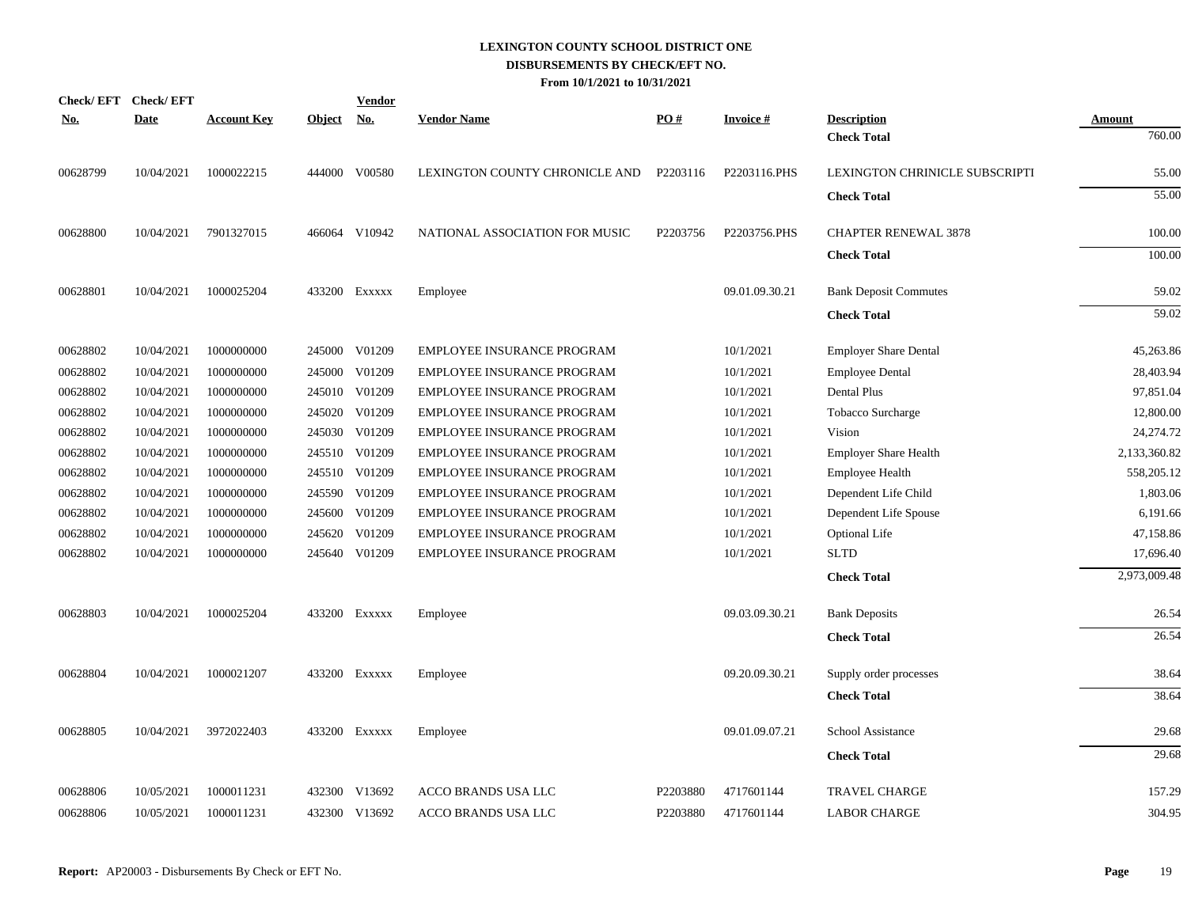| <u>No.</u> | Check/EFT Check/EFT<br><b>Date</b> | <b>Account Key</b> | <b>Object</b> | <b>Vendor</b><br><u>No.</u> | <b>Vendor Name</b>                | <u>PO#</u> | <b>Invoice#</b> | <b>Description</b>             | <b>Amount</b> |
|------------|------------------------------------|--------------------|---------------|-----------------------------|-----------------------------------|------------|-----------------|--------------------------------|---------------|
|            |                                    |                    |               |                             |                                   |            |                 | <b>Check Total</b>             | 760.00        |
| 00628799   | 10/04/2021                         | 1000022215         |               | 444000 V00580               | LEXINGTON COUNTY CHRONICLE AND    | P2203116   | P2203116.PHS    | LEXINGTON CHRINICLE SUBSCRIPTI | 55.00         |
|            |                                    |                    |               |                             |                                   |            |                 | <b>Check Total</b>             | 55.00         |
| 00628800   | 10/04/2021                         | 7901327015         |               | 466064 V10942               | NATIONAL ASSOCIATION FOR MUSIC    | P2203756   | P2203756.PHS    | <b>CHAPTER RENEWAL 3878</b>    | 100.00        |
|            |                                    |                    |               |                             |                                   |            |                 | <b>Check Total</b>             | 100.00        |
| 00628801   | 10/04/2021                         | 1000025204         |               | 433200 Exxxxx               | Employee                          |            | 09.01.09.30.21  | <b>Bank Deposit Commutes</b>   | 59.02         |
|            |                                    |                    |               |                             |                                   |            |                 | <b>Check Total</b>             | 59.02         |
| 00628802   | 10/04/2021                         | 1000000000         |               | 245000 V01209               | EMPLOYEE INSURANCE PROGRAM        |            | 10/1/2021       | <b>Employer Share Dental</b>   | 45,263.86     |
| 00628802   | 10/04/2021                         | 1000000000         | 245000        | V01209                      | <b>EMPLOYEE INSURANCE PROGRAM</b> |            | 10/1/2021       | <b>Employee Dental</b>         | 28,403.94     |
| 00628802   | 10/04/2021                         | 1000000000         | 245010        | V01209                      | EMPLOYEE INSURANCE PROGRAM        |            | 10/1/2021       | Dental Plus                    | 97,851.04     |
| 00628802   | 10/04/2021                         | 1000000000         | 245020        | V01209                      | EMPLOYEE INSURANCE PROGRAM        |            | 10/1/2021       | Tobacco Surcharge              | 12,800.00     |
| 00628802   | 10/04/2021                         | 1000000000         |               | 245030 V01209               | EMPLOYEE INSURANCE PROGRAM        |            | 10/1/2021       | Vision                         | 24,274.72     |
| 00628802   | 10/04/2021                         | 1000000000         |               | 245510 V01209               | EMPLOYEE INSURANCE PROGRAM        |            | 10/1/2021       | <b>Employer Share Health</b>   | 2,133,360.82  |
| 00628802   | 10/04/2021                         | 1000000000         |               | 245510 V01209               | EMPLOYEE INSURANCE PROGRAM        |            | 10/1/2021       | <b>Employee Health</b>         | 558,205.12    |
| 00628802   | 10/04/2021                         | 1000000000         |               | 245590 V01209               | EMPLOYEE INSURANCE PROGRAM        |            | 10/1/2021       | Dependent Life Child           | 1,803.06      |
| 00628802   | 10/04/2021                         | 1000000000         |               | 245600 V01209               | EMPLOYEE INSURANCE PROGRAM        |            | 10/1/2021       | Dependent Life Spouse          | 6,191.66      |
| 00628802   | 10/04/2021                         | 1000000000         |               | 245620 V01209               | EMPLOYEE INSURANCE PROGRAM        |            | 10/1/2021       | <b>Optional Life</b>           | 47,158.86     |
| 00628802   | 10/04/2021                         | 1000000000         |               | 245640 V01209               | EMPLOYEE INSURANCE PROGRAM        |            | 10/1/2021       | <b>SLTD</b>                    | 17,696.40     |
|            |                                    |                    |               |                             |                                   |            |                 | <b>Check Total</b>             | 2,973,009.48  |
| 00628803   | 10/04/2021                         | 1000025204         |               | 433200 Exxxxx               | Employee                          |            | 09.03.09.30.21  | <b>Bank Deposits</b>           | 26.54         |
|            |                                    |                    |               |                             |                                   |            |                 | <b>Check Total</b>             | 26.54         |
| 00628804   | 10/04/2021                         | 1000021207         |               | 433200 Exxxxx               | Employee                          |            | 09.20.09.30.21  | Supply order processes         | 38.64         |
|            |                                    |                    |               |                             |                                   |            |                 | <b>Check Total</b>             | 38.64         |
| 00628805   | 10/04/2021                         | 3972022403         |               | 433200 Exxxxx               | Employee                          |            | 09.01.09.07.21  | School Assistance              | 29.68         |
|            |                                    |                    |               |                             |                                   |            |                 | <b>Check Total</b>             | 29.68         |
| 00628806   | 10/05/2021                         | 1000011231         |               | 432300 V13692               | ACCO BRANDS USA LLC               | P2203880   | 4717601144      | <b>TRAVEL CHARGE</b>           | 157.29        |
| 00628806   | 10/05/2021                         | 1000011231         |               | 432300 V13692               | ACCO BRANDS USA LLC               | P2203880   | 4717601144      | <b>LABOR CHARGE</b>            | 304.95        |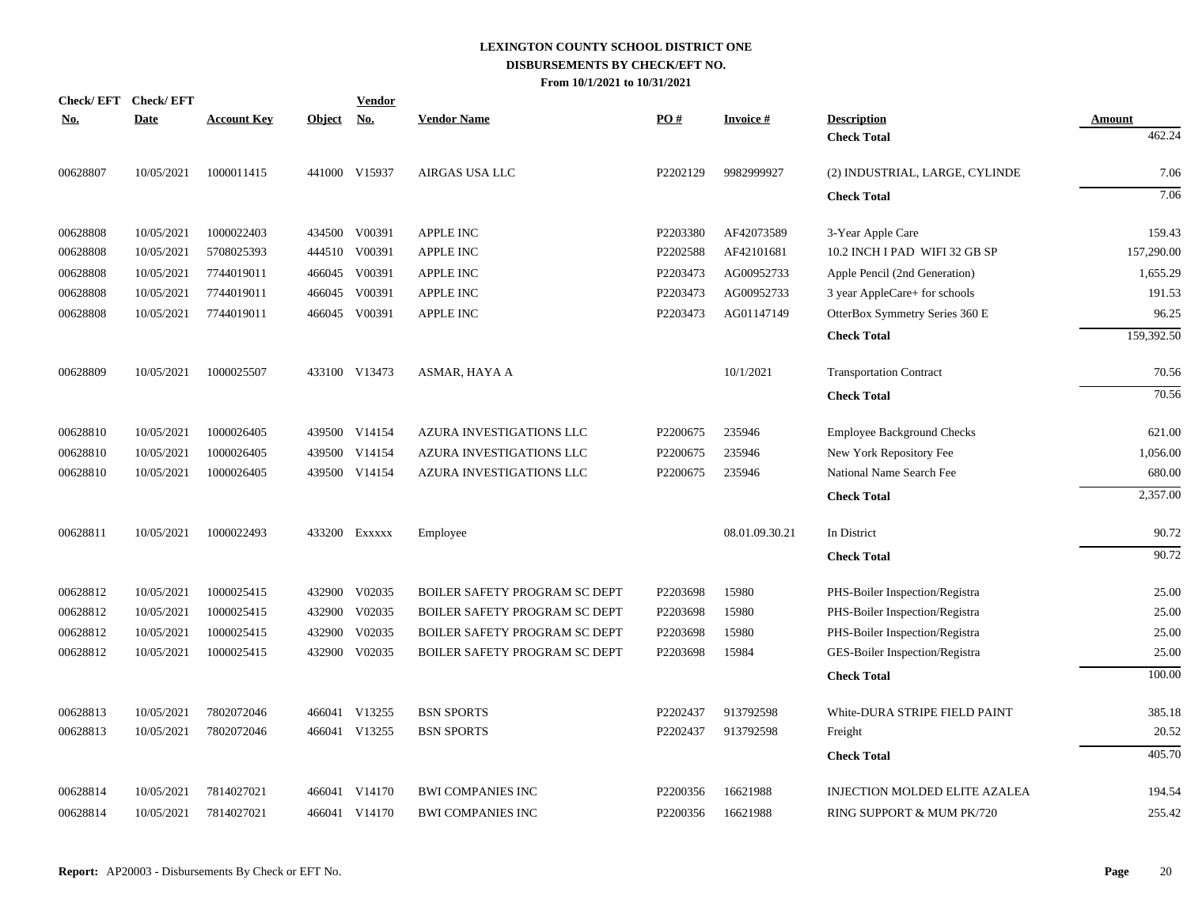| <b>Check/EFT</b> | <b>Check/EFT</b> |                    |               | <b>Vendor</b> |                                      |          |                 |                                          |                  |
|------------------|------------------|--------------------|---------------|---------------|--------------------------------------|----------|-----------------|------------------------------------------|------------------|
| <u>No.</u>       | <b>Date</b>      | <b>Account Key</b> | <b>Object</b> | No.           | <b>Vendor Name</b>                   | PO#      | <b>Invoice#</b> | <b>Description</b><br><b>Check Total</b> | Amount<br>462.24 |
|                  |                  |                    |               |               |                                      |          |                 |                                          |                  |
| 00628807         | 10/05/2021       | 1000011415         |               | 441000 V15937 | AIRGAS USA LLC                       | P2202129 | 9982999927      | (2) INDUSTRIAL, LARGE, CYLINDE           | 7.06             |
|                  |                  |                    |               |               |                                      |          |                 | <b>Check Total</b>                       | 7.06             |
| 00628808         | 10/05/2021       | 1000022403         |               | 434500 V00391 | <b>APPLE INC</b>                     | P2203380 | AF42073589      | 3-Year Apple Care                        | 159.43           |
| 00628808         | 10/05/2021       | 5708025393         |               | 444510 V00391 | <b>APPLE INC</b>                     | P2202588 | AF42101681      | 10.2 INCH I PAD WIFI 32 GB SP            | 157,290.00       |
| 00628808         | 10/05/2021       | 7744019011         |               | 466045 V00391 | <b>APPLE INC</b>                     | P2203473 | AG00952733      | Apple Pencil (2nd Generation)            | 1,655.29         |
| 00628808         | 10/05/2021       | 7744019011         |               | 466045 V00391 | APPLE INC                            | P2203473 | AG00952733      | 3 year AppleCare+ for schools            | 191.53           |
| 00628808         | 10/05/2021       | 7744019011         |               | 466045 V00391 | <b>APPLE INC</b>                     | P2203473 | AG01147149      | OtterBox Symmetry Series 360 E           | 96.25            |
|                  |                  |                    |               |               |                                      |          |                 | <b>Check Total</b>                       | 159,392.50       |
| 00628809         | 10/05/2021       | 1000025507         |               | 433100 V13473 | ASMAR, HAYA A                        |          | 10/1/2021       | <b>Transportation Contract</b>           | 70.56            |
|                  |                  |                    |               |               |                                      |          |                 | <b>Check Total</b>                       | 70.56            |
| 00628810         | 10/05/2021       | 1000026405         |               | 439500 V14154 | AZURA INVESTIGATIONS LLC             | P2200675 | 235946          | <b>Employee Background Checks</b>        | 621.00           |
| 00628810         | 10/05/2021       | 1000026405         |               | 439500 V14154 | AZURA INVESTIGATIONS LLC             | P2200675 | 235946          | New York Repository Fee                  | 1,056.00         |
| 00628810         | 10/05/2021       | 1000026405         |               | 439500 V14154 | AZURA INVESTIGATIONS LLC             | P2200675 | 235946          | National Name Search Fee                 | 680.00           |
|                  |                  |                    |               |               |                                      |          |                 | <b>Check Total</b>                       | 2,357.00         |
| 00628811         | 10/05/2021       | 1000022493         |               | 433200 EXXXXX | Employee                             |          | 08.01.09.30.21  | In District                              | 90.72            |
|                  |                  |                    |               |               |                                      |          |                 | <b>Check Total</b>                       | 90.72            |
| 00628812         | 10/05/2021       | 1000025415         | 432900        | V02035        | <b>BOILER SAFETY PROGRAM SC DEPT</b> | P2203698 | 15980           | PHS-Boiler Inspection/Registra           | 25.00            |
| 00628812         | 10/05/2021       | 1000025415         | 432900        | V02035        | <b>BOILER SAFETY PROGRAM SC DEPT</b> | P2203698 | 15980           | PHS-Boiler Inspection/Registra           | 25.00            |
| 00628812         | 10/05/2021       | 1000025415         | 432900        | V02035        | <b>BOILER SAFETY PROGRAM SC DEPT</b> | P2203698 | 15980           | PHS-Boiler Inspection/Registra           | 25.00            |
| 00628812         | 10/05/2021       | 1000025415         |               | 432900 V02035 | BOILER SAFETY PROGRAM SC DEPT        | P2203698 | 15984           | GES-Boiler Inspection/Registra           | 25.00            |
|                  |                  |                    |               |               |                                      |          |                 | <b>Check Total</b>                       | 100.00           |
| 00628813         | 10/05/2021       | 7802072046         |               | 466041 V13255 | <b>BSN SPORTS</b>                    | P2202437 | 913792598       | White-DURA STRIPE FIELD PAINT            | 385.18           |
| 00628813         | 10/05/2021       | 7802072046         |               | 466041 V13255 | <b>BSN SPORTS</b>                    | P2202437 | 913792598       | Freight                                  | 20.52            |
|                  |                  |                    |               |               |                                      |          |                 | <b>Check Total</b>                       | 405.70           |
| 00628814         | 10/05/2021       | 7814027021         |               | 466041 V14170 | <b>BWI COMPANIES INC</b>             | P2200356 | 16621988        | <b>INJECTION MOLDED ELITE AZALEA</b>     | 194.54           |
| 00628814         | 10/05/2021       | 7814027021         |               | 466041 V14170 | <b>BWI COMPANIES INC</b>             | P2200356 | 16621988        | RING SUPPORT & MUM PK/720                | 255.42           |
|                  |                  |                    |               |               |                                      |          |                 |                                          |                  |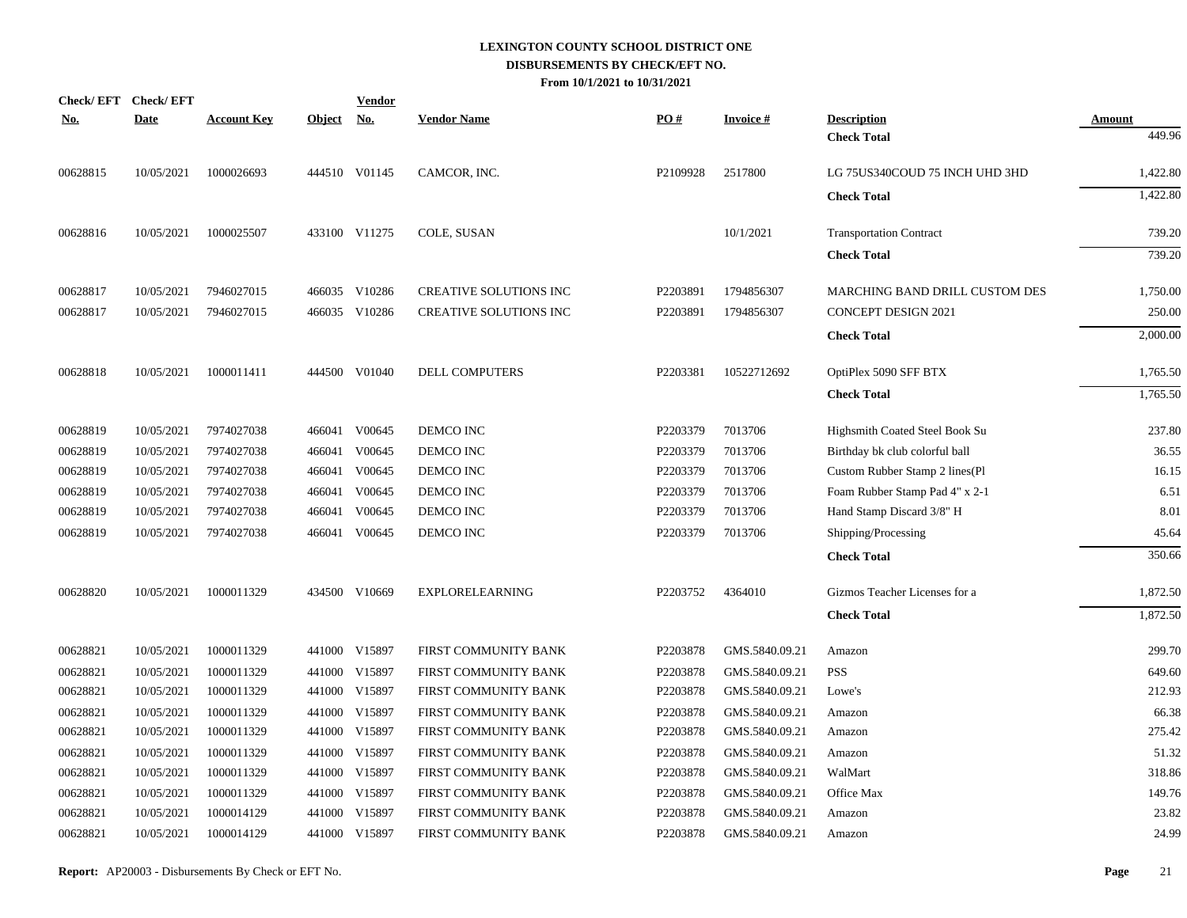| <u>No.</u> | Check/EFT Check/EFT<br><b>Date</b> | <b>Account Key</b> | <b>Object</b> | <b>Vendor</b><br><u>No.</u> | <b>Vendor Name</b>     | PO#      | <b>Invoice#</b> | <b>Description</b>             | Amount   |
|------------|------------------------------------|--------------------|---------------|-----------------------------|------------------------|----------|-----------------|--------------------------------|----------|
|            |                                    |                    |               |                             |                        |          |                 | <b>Check Total</b>             | 449.96   |
| 00628815   | 10/05/2021                         | 1000026693         |               | 444510 V01145               | CAMCOR, INC.           | P2109928 | 2517800         | LG 75US340COUD 75 INCH UHD 3HD | 1,422.80 |
|            |                                    |                    |               |                             |                        |          |                 | <b>Check Total</b>             | 1,422.80 |
| 00628816   | 10/05/2021                         | 1000025507         |               | 433100 V11275               | COLE, SUSAN            |          | 10/1/2021       | <b>Transportation Contract</b> | 739.20   |
|            |                                    |                    |               |                             |                        |          |                 | <b>Check Total</b>             | 739.20   |
| 00628817   | 10/05/2021                         | 7946027015         |               | 466035 V10286               | CREATIVE SOLUTIONS INC | P2203891 | 1794856307      | MARCHING BAND DRILL CUSTOM DES | 1,750.00 |
| 00628817   | 10/05/2021                         | 7946027015         |               | 466035 V10286               | CREATIVE SOLUTIONS INC | P2203891 | 1794856307      | <b>CONCEPT DESIGN 2021</b>     | 250.00   |
|            |                                    |                    |               |                             |                        |          |                 | <b>Check Total</b>             | 2,000.00 |
| 00628818   | 10/05/2021                         | 1000011411         |               | 444500 V01040               | <b>DELL COMPUTERS</b>  | P2203381 | 10522712692     | OptiPlex 5090 SFF BTX          | 1,765.50 |
|            |                                    |                    |               |                             |                        |          |                 | <b>Check Total</b>             | 1,765.50 |
| 00628819   | 10/05/2021                         | 7974027038         |               | 466041 V00645               | DEMCO INC              | P2203379 | 7013706         | Highsmith Coated Steel Book Su | 237.80   |
| 00628819   | 10/05/2021                         | 7974027038         | 466041        | V00645                      | DEMCO INC              | P2203379 | 7013706         | Birthday bk club colorful ball | 36.55    |
| 00628819   | 10/05/2021                         | 7974027038         | 466041        | V00645                      | DEMCO INC              | P2203379 | 7013706         | Custom Rubber Stamp 2 lines(Pl | 16.15    |
| 00628819   | 10/05/2021                         | 7974027038         | 466041        | V00645                      | DEMCO INC              | P2203379 | 7013706         | Foam Rubber Stamp Pad 4" x 2-1 | 6.51     |
| 00628819   | 10/05/2021                         | 7974027038         | 466041        | V00645                      | DEMCO INC              | P2203379 | 7013706         | Hand Stamp Discard 3/8" H      | 8.01     |
| 00628819   | 10/05/2021                         | 7974027038         |               | 466041 V00645               | DEMCO INC              | P2203379 | 7013706         | Shipping/Processing            | 45.64    |
|            |                                    |                    |               |                             |                        |          |                 | <b>Check Total</b>             | 350.66   |
| 00628820   | 10/05/2021                         | 1000011329         |               | 434500 V10669               | <b>EXPLORELEARNING</b> | P2203752 | 4364010         | Gizmos Teacher Licenses for a  | 1,872.50 |
|            |                                    |                    |               |                             |                        |          |                 | <b>Check Total</b>             | 1,872.50 |
| 00628821   | 10/05/2021                         | 1000011329         |               | 441000 V15897               | FIRST COMMUNITY BANK   | P2203878 | GMS.5840.09.21  | Amazon                         | 299.70   |
| 00628821   | 10/05/2021                         | 1000011329         |               | 441000 V15897               | FIRST COMMUNITY BANK   | P2203878 | GMS.5840.09.21  | <b>PSS</b>                     | 649.60   |
| 00628821   | 10/05/2021                         | 1000011329         |               | 441000 V15897               | FIRST COMMUNITY BANK   | P2203878 | GMS.5840.09.21  | Lowe's                         | 212.93   |
| 00628821   | 10/05/2021                         | 1000011329         | 441000        | V15897                      | FIRST COMMUNITY BANK   | P2203878 | GMS.5840.09.21  | Amazon                         | 66.38    |
| 00628821   | 10/05/2021                         | 1000011329         |               | 441000 V15897               | FIRST COMMUNITY BANK   | P2203878 | GMS.5840.09.21  | Amazon                         | 275.42   |
| 00628821   | 10/05/2021                         | 1000011329         | 441000        | V15897                      | FIRST COMMUNITY BANK   | P2203878 | GMS.5840.09.21  | Amazon                         | 51.32    |
| 00628821   | 10/05/2021                         | 1000011329         |               | 441000 V15897               | FIRST COMMUNITY BANK   | P2203878 | GMS.5840.09.21  | WalMart                        | 318.86   |
| 00628821   | 10/05/2021                         | 1000011329         | 441000        | V15897                      | FIRST COMMUNITY BANK   | P2203878 | GMS.5840.09.21  | Office Max                     | 149.76   |
| 00628821   | 10/05/2021                         | 1000014129         |               | 441000 V15897               | FIRST COMMUNITY BANK   | P2203878 | GMS.5840.09.21  | Amazon                         | 23.82    |
| 00628821   | 10/05/2021                         | 1000014129         |               | 441000 V15897               | FIRST COMMUNITY BANK   | P2203878 | GMS.5840.09.21  | Amazon                         | 24.99    |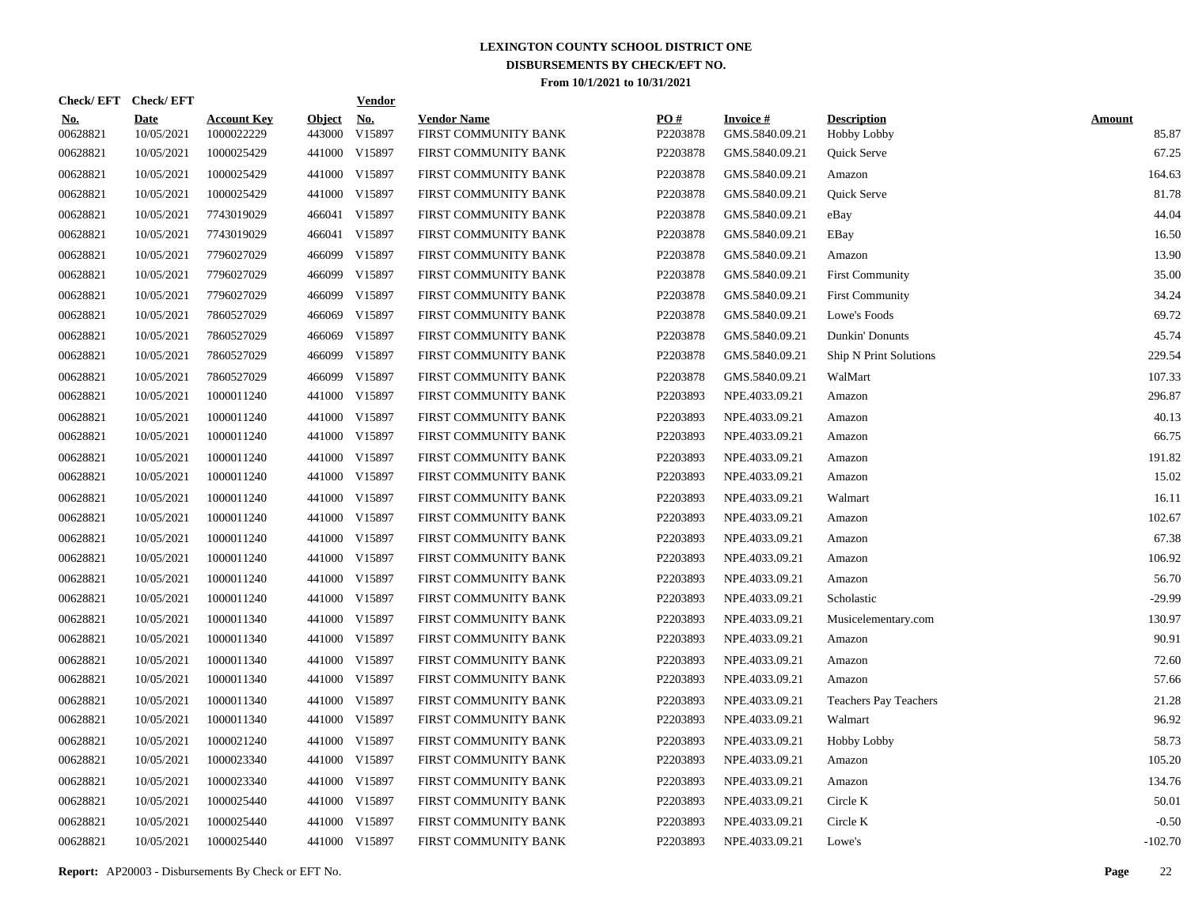|                        | Check/EFT Check/EFT       |                                  |                         | <b>Vendor</b> |                                            |                 |                                   |                                          |                        |
|------------------------|---------------------------|----------------------------------|-------------------------|---------------|--------------------------------------------|-----------------|-----------------------------------|------------------------------------------|------------------------|
| <u>No.</u><br>00628821 | <b>Date</b><br>10/05/2021 | <b>Account Key</b><br>1000022229 | <b>Object</b><br>443000 | No.<br>V15897 | <b>Vendor Name</b><br>FIRST COMMUNITY BANK | PO#<br>P2203878 | <b>Invoice#</b><br>GMS.5840.09.21 | <b>Description</b><br><b>Hobby Lobby</b> | <b>Amount</b><br>85.87 |
| 00628821               | 10/05/2021                | 1000025429                       | 441000                  | V15897        | FIRST COMMUNITY BANK                       | P2203878        | GMS.5840.09.21                    | Quick Serve                              | 67.25                  |
| 00628821               | 10/05/2021                | 1000025429                       |                         | 441000 V15897 | FIRST COMMUNITY BANK                       | P2203878        | GMS.5840.09.21                    | Amazon                                   | 164.63                 |
| 00628821               | 10/05/2021                | 1000025429                       | 441000                  | V15897        | FIRST COMMUNITY BANK                       | P2203878        | GMS.5840.09.21                    | Quick Serve                              | 81.78                  |
| 00628821               | 10/05/2021                | 7743019029                       | 466041                  | V15897        | FIRST COMMUNITY BANK                       | P2203878        | GMS.5840.09.21                    | eBay                                     | 44.04                  |
| 00628821               | 10/05/2021                | 7743019029                       | 466041                  | V15897        | FIRST COMMUNITY BANK                       | P2203878        | GMS.5840.09.21                    | EBay                                     | 16.50                  |
| 00628821               | 10/05/2021                | 7796027029                       | 466099                  | V15897        | FIRST COMMUNITY BANK                       | P2203878        | GMS.5840.09.21                    | Amazon                                   | 13.90                  |
| 00628821               | 10/05/2021                | 7796027029                       | 466099                  | V15897        | FIRST COMMUNITY BANK                       | P2203878        | GMS.5840.09.21                    | <b>First Community</b>                   | 35.00                  |
| 00628821               | 10/05/2021                | 7796027029                       | 466099                  | V15897        | FIRST COMMUNITY BANK                       | P2203878        | GMS.5840.09.21                    | <b>First Community</b>                   | 34.24                  |
| 00628821               | 10/05/2021                | 7860527029                       | 466069                  | V15897        | FIRST COMMUNITY BANK                       | P2203878        | GMS.5840.09.21                    | Lowe's Foods                             | 69.72                  |
| 00628821               | 10/05/2021                | 7860527029                       | 466069                  | V15897        | FIRST COMMUNITY BANK                       | P2203878        | GMS.5840.09.21                    | Dunkin' Donunts                          | 45.74                  |
| 00628821               | 10/05/2021                | 7860527029                       | 466099                  | V15897        | FIRST COMMUNITY BANK                       | P2203878        | GMS.5840.09.21                    | Ship N Print Solutions                   | 229.54                 |
| 00628821               | 10/05/2021                | 7860527029                       | 466099                  | V15897        | FIRST COMMUNITY BANK                       | P2203878        | GMS.5840.09.21                    | WalMart                                  | 107.33                 |
| 00628821               | 10/05/2021                | 1000011240                       |                         | 441000 V15897 | FIRST COMMUNITY BANK                       | P2203893        | NPE.4033.09.21                    | Amazon                                   | 296.87                 |
| 00628821               | 10/05/2021                | 1000011240                       |                         | 441000 V15897 | FIRST COMMUNITY BANK                       | P2203893        | NPE.4033.09.21                    | Amazon                                   | 40.13                  |
| 00628821               | 10/05/2021                | 1000011240                       |                         | 441000 V15897 | FIRST COMMUNITY BANK                       | P2203893        | NPE.4033.09.21                    | Amazon                                   | 66.75                  |
| 00628821               | 10/05/2021                | 1000011240                       |                         | 441000 V15897 | FIRST COMMUNITY BANK                       | P2203893        | NPE.4033.09.21                    | Amazon                                   | 191.82                 |
| 00628821               | 10/05/2021                | 1000011240                       |                         | 441000 V15897 | FIRST COMMUNITY BANK                       | P2203893        | NPE.4033.09.21                    | Amazon                                   | 15.02                  |
| 00628821               | 10/05/2021                | 1000011240                       |                         | 441000 V15897 | FIRST COMMUNITY BANK                       | P2203893        | NPE.4033.09.21                    | Walmart                                  | 16.11                  |
| 00628821               | 10/05/2021                | 1000011240                       |                         | 441000 V15897 | FIRST COMMUNITY BANK                       | P2203893        | NPE.4033.09.21                    | Amazon                                   | 102.67                 |
| 00628821               | 10/05/2021                | 1000011240                       |                         | 441000 V15897 | FIRST COMMUNITY BANK                       | P2203893        | NPE.4033.09.21                    | Amazon                                   | 67.38                  |
| 00628821               | 10/05/2021                | 1000011240                       |                         | 441000 V15897 | FIRST COMMUNITY BANK                       | P2203893        | NPE.4033.09.21                    | Amazon                                   | 106.92                 |
| 00628821               | 10/05/2021                | 1000011240                       |                         | 441000 V15897 | FIRST COMMUNITY BANK                       | P2203893        | NPE.4033.09.21                    | Amazon                                   | 56.70                  |
| 00628821               | 10/05/2021                | 1000011240                       |                         | 441000 V15897 | FIRST COMMUNITY BANK                       | P2203893        | NPE.4033.09.21                    | Scholastic                               | $-29.99$               |
| 00628821               | 10/05/2021                | 1000011340                       |                         | 441000 V15897 | FIRST COMMUNITY BANK                       | P2203893        | NPE.4033.09.21                    | Musicelementary.com                      | 130.97                 |
| 00628821               | 10/05/2021                | 1000011340                       |                         | 441000 V15897 | FIRST COMMUNITY BANK                       | P2203893        | NPE.4033.09.21                    | Amazon                                   | 90.91                  |
| 00628821               | 10/05/2021                | 1000011340                       |                         | 441000 V15897 | FIRST COMMUNITY BANK                       | P2203893        | NPE.4033.09.21                    | Amazon                                   | 72.60                  |
| 00628821               | 10/05/2021                | 1000011340                       |                         | 441000 V15897 | FIRST COMMUNITY BANK                       | P2203893        | NPE.4033.09.21                    | Amazon                                   | 57.66                  |
| 00628821               | 10/05/2021                | 1000011340                       |                         | 441000 V15897 | FIRST COMMUNITY BANK                       | P2203893        | NPE.4033.09.21                    | <b>Teachers Pay Teachers</b>             | 21.28                  |
| 00628821               | 10/05/2021                | 1000011340                       |                         | 441000 V15897 | FIRST COMMUNITY BANK                       | P2203893        | NPE.4033.09.21                    | Walmart                                  | 96.92                  |
| 00628821               | 10/05/2021                | 1000021240                       |                         | 441000 V15897 | FIRST COMMUNITY BANK                       | P2203893        | NPE.4033.09.21                    | Hobby Lobby                              | 58.73                  |
| 00628821               | 10/05/2021                | 1000023340                       |                         | 441000 V15897 | FIRST COMMUNITY BANK                       | P2203893        | NPE.4033.09.21                    | Amazon                                   | 105.20                 |
| 00628821               | 10/05/2021                | 1000023340                       |                         | 441000 V15897 | FIRST COMMUNITY BANK                       | P2203893        | NPE.4033.09.21                    | Amazon                                   | 134.76                 |
| 00628821               | 10/05/2021                | 1000025440                       |                         | 441000 V15897 | FIRST COMMUNITY BANK                       | P2203893        | NPE.4033.09.21                    | Circle K                                 | 50.01                  |
| 00628821               | 10/05/2021                | 1000025440                       |                         | 441000 V15897 | FIRST COMMUNITY BANK                       | P2203893        | NPE.4033.09.21                    | Circle K                                 | $-0.50$                |
| 00628821               | 10/05/2021                | 1000025440                       |                         | 441000 V15897 | FIRST COMMUNITY BANK                       | P2203893        | NPE.4033.09.21                    | Lowe's                                   | $-102.70$              |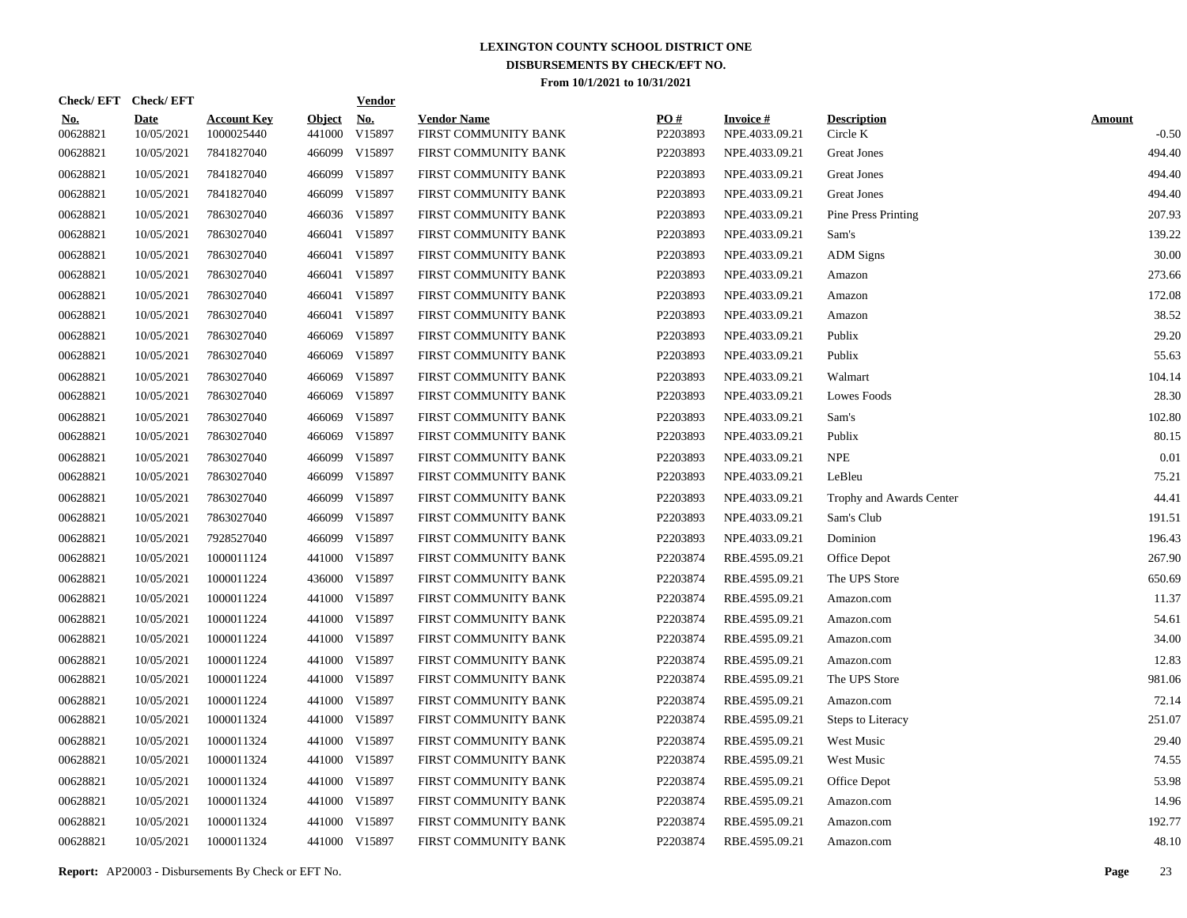|                        | Check/EFT Check/EFT       |                                  |                         | <b>Vendor</b> |                                            |                 |                                   |                                |                          |
|------------------------|---------------------------|----------------------------------|-------------------------|---------------|--------------------------------------------|-----------------|-----------------------------------|--------------------------------|--------------------------|
| <u>No.</u><br>00628821 | <b>Date</b><br>10/05/2021 | <b>Account Key</b><br>1000025440 | <b>Object</b><br>441000 | No.<br>V15897 | <b>Vendor Name</b><br>FIRST COMMUNITY BANK | PO#<br>P2203893 | <b>Invoice#</b><br>NPE.4033.09.21 | <b>Description</b><br>Circle K | <b>Amount</b><br>$-0.50$ |
| 00628821               | 10/05/2021                | 7841827040                       |                         | 466099 V15897 | FIRST COMMUNITY BANK                       | P2203893        | NPE.4033.09.21                    | <b>Great Jones</b>             | 494.40                   |
| 00628821               | 10/05/2021                | 7841827040                       |                         | 466099 V15897 | FIRST COMMUNITY BANK                       | P2203893        | NPE.4033.09.21                    | <b>Great Jones</b>             | 494.40                   |
| 00628821               | 10/05/2021                | 7841827040                       |                         | 466099 V15897 | FIRST COMMUNITY BANK                       | P2203893        | NPE.4033.09.21                    | <b>Great Jones</b>             | 494.40                   |
| 00628821               | 10/05/2021                | 7863027040                       |                         | 466036 V15897 | FIRST COMMUNITY BANK                       | P2203893        | NPE.4033.09.21                    | <b>Pine Press Printing</b>     | 207.93                   |
| 00628821               | 10/05/2021                | 7863027040                       |                         | 466041 V15897 | FIRST COMMUNITY BANK                       | P2203893        | NPE.4033.09.21                    | Sam's                          | 139.22                   |
| 00628821               | 10/05/2021                | 7863027040                       |                         | 466041 V15897 | FIRST COMMUNITY BANK                       | P2203893        | NPE.4033.09.21                    | <b>ADM</b> Signs               | 30.00                    |
| 00628821               | 10/05/2021                | 7863027040                       |                         | 466041 V15897 | FIRST COMMUNITY BANK                       | P2203893        | NPE.4033.09.21                    | Amazon                         | 273.66                   |
| 00628821               | 10/05/2021                | 7863027040                       |                         | 466041 V15897 | FIRST COMMUNITY BANK                       | P2203893        | NPE.4033.09.21                    | Amazon                         | 172.08                   |
| 00628821               | 10/05/2021                | 7863027040                       |                         | 466041 V15897 | FIRST COMMUNITY BANK                       | P2203893        | NPE.4033.09.21                    | Amazon                         | 38.52                    |
| 00628821               | 10/05/2021                | 7863027040                       |                         | 466069 V15897 | FIRST COMMUNITY BANK                       | P2203893        | NPE.4033.09.21                    | Publix                         | 29.20                    |
| 00628821               | 10/05/2021                | 7863027040                       |                         | 466069 V15897 | FIRST COMMUNITY BANK                       | P2203893        | NPE.4033.09.21                    | Publix                         | 55.63                    |
| 00628821               | 10/05/2021                | 7863027040                       |                         | 466069 V15897 | FIRST COMMUNITY BANK                       | P2203893        | NPE.4033.09.21                    | Walmart                        | 104.14                   |
| 00628821               | 10/05/2021                | 7863027040                       |                         | 466069 V15897 | FIRST COMMUNITY BANK                       | P2203893        | NPE.4033.09.21                    | Lowes Foods                    | 28.30                    |
| 00628821               | 10/05/2021                | 7863027040                       |                         | 466069 V15897 | FIRST COMMUNITY BANK                       | P2203893        | NPE.4033.09.21                    | Sam's                          | 102.80                   |
| 00628821               | 10/05/2021                | 7863027040                       |                         | 466069 V15897 | FIRST COMMUNITY BANK                       | P2203893        | NPE.4033.09.21                    | Publix                         | 80.15                    |
| 00628821               | 10/05/2021                | 7863027040                       |                         | 466099 V15897 | FIRST COMMUNITY BANK                       | P2203893        | NPE.4033.09.21                    | <b>NPE</b>                     | 0.01                     |
| 00628821               | 10/05/2021                | 7863027040                       |                         | 466099 V15897 | FIRST COMMUNITY BANK                       | P2203893        | NPE.4033.09.21                    | LeBleu                         | 75.21                    |
| 00628821               | 10/05/2021                | 7863027040                       |                         | 466099 V15897 | FIRST COMMUNITY BANK                       | P2203893        | NPE.4033.09.21                    | Trophy and Awards Center       | 44.41                    |
| 00628821               | 10/05/2021                | 7863027040                       |                         | 466099 V15897 | FIRST COMMUNITY BANK                       | P2203893        | NPE.4033.09.21                    | Sam's Club                     | 191.51                   |
| 00628821               | 10/05/2021                | 7928527040                       |                         | 466099 V15897 | FIRST COMMUNITY BANK                       | P2203893        | NPE.4033.09.21                    | Dominion                       | 196.43                   |
| 00628821               | 10/05/2021                | 1000011124                       |                         | 441000 V15897 | FIRST COMMUNITY BANK                       | P2203874        | RBE.4595.09.21                    | Office Depot                   | 267.90                   |
| 00628821               | 10/05/2021                | 1000011224                       |                         | 436000 V15897 | FIRST COMMUNITY BANK                       | P2203874        | RBE.4595.09.21                    | The UPS Store                  | 650.69                   |
| 00628821               | 10/05/2021                | 1000011224                       |                         | 441000 V15897 | FIRST COMMUNITY BANK                       | P2203874        | RBE.4595.09.21                    | Amazon.com                     | 11.37                    |
| 00628821               | 10/05/2021                | 1000011224                       |                         | 441000 V15897 | FIRST COMMUNITY BANK                       | P2203874        | RBE.4595.09.21                    | Amazon.com                     | 54.61                    |
| 00628821               | 10/05/2021                | 1000011224                       |                         | 441000 V15897 | FIRST COMMUNITY BANK                       | P2203874        | RBE.4595.09.21                    | Amazon.com                     | 34.00                    |
| 00628821               | 10/05/2021                | 1000011224                       |                         | 441000 V15897 | FIRST COMMUNITY BANK                       | P2203874        | RBE.4595.09.21                    | Amazon.com                     | 12.83                    |
| 00628821               | 10/05/2021                | 1000011224                       |                         | 441000 V15897 | FIRST COMMUNITY BANK                       | P2203874        | RBE.4595.09.21                    | The UPS Store                  | 981.06                   |
| 00628821               | 10/05/2021                | 1000011224                       |                         | 441000 V15897 | FIRST COMMUNITY BANK                       | P2203874        | RBE.4595.09.21                    | Amazon.com                     | 72.14                    |
| 00628821               | 10/05/2021                | 1000011324                       |                         | 441000 V15897 | FIRST COMMUNITY BANK                       | P2203874        | RBE.4595.09.21                    | Steps to Literacy              | 251.07                   |
| 00628821               | 10/05/2021                | 1000011324                       |                         | 441000 V15897 | FIRST COMMUNITY BANK                       | P2203874        | RBE.4595.09.21                    | <b>West Music</b>              | 29.40                    |
| 00628821               | 10/05/2021                | 1000011324                       |                         | 441000 V15897 | FIRST COMMUNITY BANK                       | P2203874        | RBE.4595.09.21                    | West Music                     | 74.55                    |
| 00628821               | 10/05/2021                | 1000011324                       |                         | 441000 V15897 | FIRST COMMUNITY BANK                       | P2203874        | RBE.4595.09.21                    | Office Depot                   | 53.98                    |
| 00628821               | 10/05/2021                | 1000011324                       |                         | 441000 V15897 | FIRST COMMUNITY BANK                       | P2203874        | RBE.4595.09.21                    | Amazon.com                     | 14.96                    |
| 00628821               | 10/05/2021                | 1000011324                       |                         | 441000 V15897 | FIRST COMMUNITY BANK                       | P2203874        | RBE.4595.09.21                    | Amazon.com                     | 192.77                   |
| 00628821               | 10/05/2021                | 1000011324                       |                         | 441000 V15897 | FIRST COMMUNITY BANK                       | P2203874        | RBE.4595.09.21                    | Amazon.com                     | 48.10                    |

**Report:** AP20003 - Disbursements By Check or EFT No. **Page** 23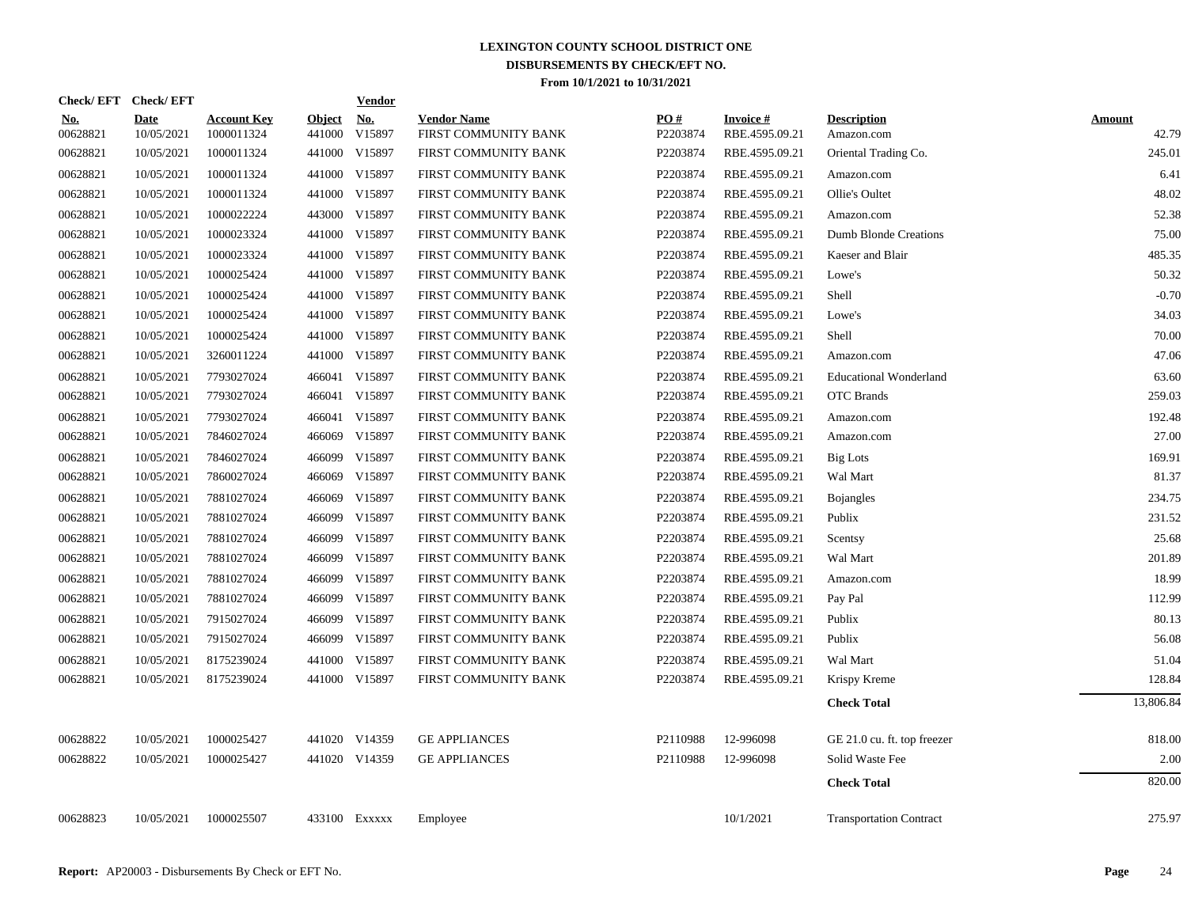| Check/EFT Check/EFT    |                           |                                  |                         | <b>Vendor</b>        |                                            |                 |                                   |                                  |                        |
|------------------------|---------------------------|----------------------------------|-------------------------|----------------------|--------------------------------------------|-----------------|-----------------------------------|----------------------------------|------------------------|
| <u>No.</u><br>00628821 | <b>Date</b><br>10/05/2021 | <b>Account Key</b><br>1000011324 | <b>Object</b><br>441000 | <u>No.</u><br>V15897 | <b>Vendor Name</b><br>FIRST COMMUNITY BANK | PO#<br>P2203874 | <b>Invoice#</b><br>RBE.4595.09.21 | <b>Description</b><br>Amazon.com | <b>Amount</b><br>42.79 |
| 00628821               | 10/05/2021                | 1000011324                       |                         | 441000 V15897        | FIRST COMMUNITY BANK                       | P2203874        | RBE.4595.09.21                    | Oriental Trading Co.             | 245.01                 |
| 00628821               | 10/05/2021                | 1000011324                       |                         | 441000 V15897        | FIRST COMMUNITY BANK                       | P2203874        | RBE.4595.09.21                    | Amazon.com                       | 6.41                   |
| 00628821               | 10/05/2021                | 1000011324                       |                         | 441000 V15897        | FIRST COMMUNITY BANK                       | P2203874        | RBE.4595.09.21                    | Ollie's Oultet                   | 48.02                  |
| 00628821               | 10/05/2021                | 1000022224                       |                         | 443000 V15897        | FIRST COMMUNITY BANK                       | P2203874        | RBE.4595.09.21                    | Amazon.com                       | 52.38                  |
| 00628821               | 10/05/2021                | 1000023324                       |                         | 441000 V15897        | FIRST COMMUNITY BANK                       | P2203874        | RBE.4595.09.21                    | Dumb Blonde Creations            | 75.00                  |
| 00628821               | 10/05/2021                | 1000023324                       |                         | 441000 V15897        | FIRST COMMUNITY BANK                       | P2203874        | RBE.4595.09.21                    | Kaeser and Blair                 | 485.35                 |
| 00628821               | 10/05/2021                | 1000025424                       |                         | 441000 V15897        | FIRST COMMUNITY BANK                       | P2203874        | RBE.4595.09.21                    | Lowe's                           | 50.32                  |
| 00628821               | 10/05/2021                | 1000025424                       |                         | 441000 V15897        | FIRST COMMUNITY BANK                       | P2203874        | RBE.4595.09.21                    | Shell                            | $-0.70$                |
| 00628821               | 10/05/2021                | 1000025424                       |                         | 441000 V15897        | FIRST COMMUNITY BANK                       | P2203874        | RBE.4595.09.21                    | Lowe's                           | 34.03                  |
| 00628821               | 10/05/2021                | 1000025424                       |                         | 441000 V15897        | FIRST COMMUNITY BANK                       | P2203874        | RBE.4595.09.21                    | Shell                            | 70.00                  |
| 00628821               | 10/05/2021                | 3260011224                       |                         | 441000 V15897        | FIRST COMMUNITY BANK                       | P2203874        | RBE.4595.09.21                    | Amazon.com                       | 47.06                  |
| 00628821               | 10/05/2021                | 7793027024                       |                         | 466041 V15897        | FIRST COMMUNITY BANK                       | P2203874        | RBE.4595.09.21                    | <b>Educational Wonderland</b>    | 63.60                  |
| 00628821               | 10/05/2021                | 7793027024                       |                         | 466041 V15897        | FIRST COMMUNITY BANK                       | P2203874        | RBE.4595.09.21                    | <b>OTC</b> Brands                | 259.03                 |
| 00628821               | 10/05/2021                | 7793027024                       |                         | 466041 V15897        | FIRST COMMUNITY BANK                       | P2203874        | RBE.4595.09.21                    | Amazon.com                       | 192.48                 |
| 00628821               | 10/05/2021                | 7846027024                       |                         | 466069 V15897        | FIRST COMMUNITY BANK                       | P2203874        | RBE.4595.09.21                    | Amazon.com                       | 27.00                  |
| 00628821               | 10/05/2021                | 7846027024                       | 466099                  | V15897               | FIRST COMMUNITY BANK                       | P2203874        | RBE.4595.09.21                    | <b>Big Lots</b>                  | 169.91                 |
| 00628821               | 10/05/2021                | 7860027024                       | 466069                  | V15897               | FIRST COMMUNITY BANK                       | P2203874        | RBE.4595.09.21                    | Wal Mart                         | 81.37                  |
| 00628821               | 10/05/2021                | 7881027024                       | 466069                  | V15897               | FIRST COMMUNITY BANK                       | P2203874        | RBE.4595.09.21                    | <b>Bojangles</b>                 | 234.75                 |
| 00628821               | 10/05/2021                | 7881027024                       | 466099                  | V15897               | FIRST COMMUNITY BANK                       | P2203874        | RBE.4595.09.21                    | Publix                           | 231.52                 |
| 00628821               | 10/05/2021                | 7881027024                       |                         | 466099 V15897        | FIRST COMMUNITY BANK                       | P2203874        | RBE.4595.09.21                    | Scentsy                          | 25.68                  |
| 00628821               | 10/05/2021                | 7881027024                       |                         | 466099 V15897        | FIRST COMMUNITY BANK                       | P2203874        | RBE.4595.09.21                    | Wal Mart                         | 201.89                 |
| 00628821               | 10/05/2021                | 7881027024                       |                         | 466099 V15897        | FIRST COMMUNITY BANK                       | P2203874        | RBE.4595.09.21                    | Amazon.com                       | 18.99                  |
| 00628821               | 10/05/2021                | 7881027024                       |                         | 466099 V15897        | FIRST COMMUNITY BANK                       | P2203874        | RBE.4595.09.21                    | Pay Pal                          | 112.99                 |
| 00628821               | 10/05/2021                | 7915027024                       |                         | 466099 V15897        | FIRST COMMUNITY BANK                       | P2203874        | RBE.4595.09.21                    | Publix                           | 80.13                  |
| 00628821               | 10/05/2021                | 7915027024                       |                         | 466099 V15897        | FIRST COMMUNITY BANK                       | P2203874        | RBE.4595.09.21                    | Publix                           | 56.08                  |
| 00628821               | 10/05/2021                | 8175239024                       |                         | 441000 V15897        | FIRST COMMUNITY BANK                       | P2203874        | RBE.4595.09.21                    | Wal Mart                         | 51.04                  |
| 00628821               | 10/05/2021                | 8175239024                       |                         | 441000 V15897        | FIRST COMMUNITY BANK                       | P2203874        | RBE.4595.09.21                    | Krispy Kreme                     | 128.84                 |
|                        |                           |                                  |                         |                      |                                            |                 |                                   | <b>Check Total</b>               | 13,806.84              |
| 00628822               | 10/05/2021                | 1000025427                       |                         | 441020 V14359        | <b>GE APPLIANCES</b>                       | P2110988        | 12-996098                         | GE 21.0 cu. ft. top freezer      | 818.00                 |
| 00628822               | 10/05/2021                | 1000025427                       |                         | 441020 V14359        | <b>GE APPLIANCES</b>                       | P2110988        | 12-996098                         | Solid Waste Fee                  | 2.00                   |
|                        |                           |                                  |                         |                      |                                            |                 |                                   | <b>Check Total</b>               | 820.00                 |
| 00628823               | 10/05/2021                | 1000025507                       |                         | 433100 Exxxxx        | Employee                                   |                 | 10/1/2021                         | <b>Transportation Contract</b>   | 275.97                 |
|                        |                           |                                  |                         |                      |                                            |                 |                                   |                                  |                        |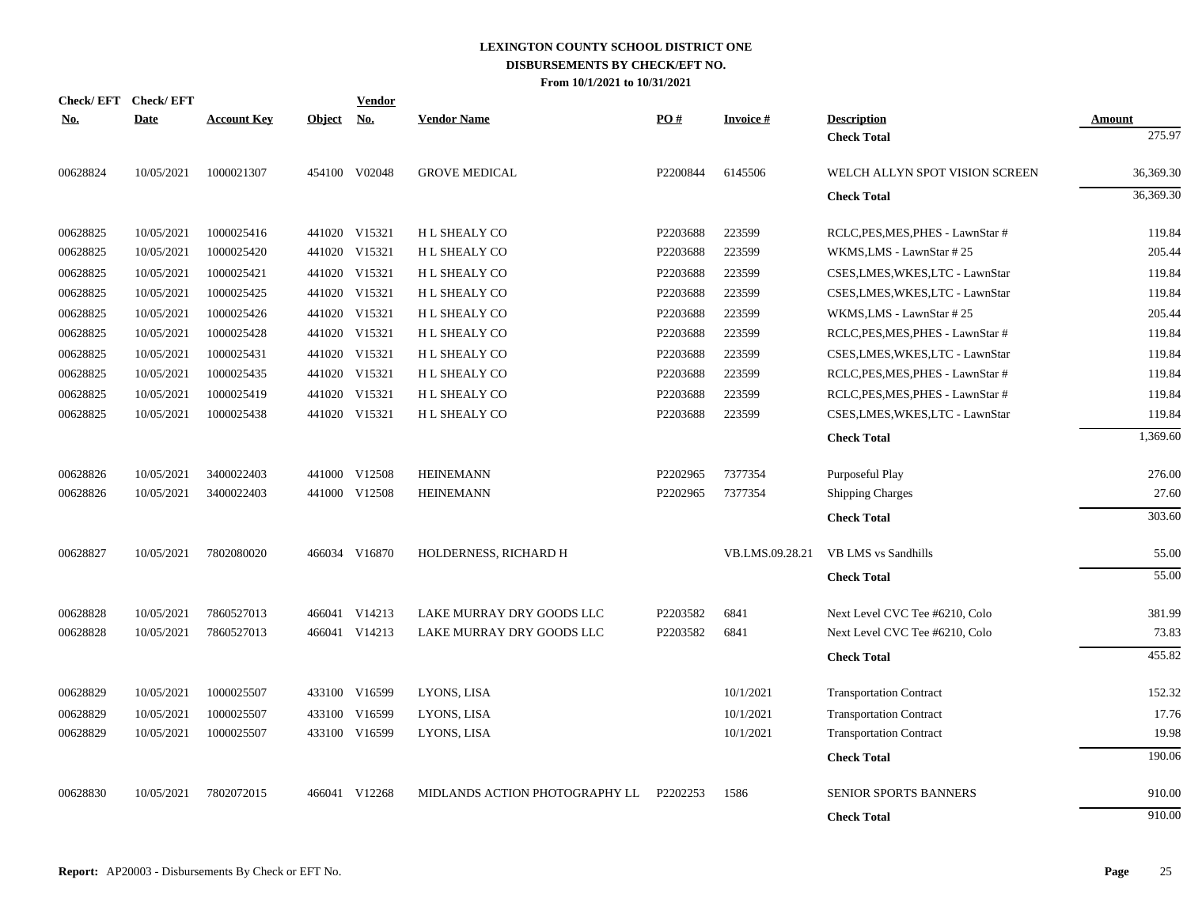| <b>Check/EFT</b> | <b>Check/EFT</b> |                    |               | <b>Vendor</b> |                                |          |                 |                                   |                  |
|------------------|------------------|--------------------|---------------|---------------|--------------------------------|----------|-----------------|-----------------------------------|------------------|
| <u>No.</u>       | <b>Date</b>      | <b>Account Key</b> | <b>Object</b> | No.           | <b>Vendor Name</b>             | PO#      | <b>Invoice#</b> | <b>Description</b>                | Amount<br>275.97 |
|                  |                  |                    |               |               |                                |          |                 | <b>Check Total</b>                |                  |
| 00628824         | 10/05/2021       | 1000021307         |               | 454100 V02048 | <b>GROVE MEDICAL</b>           | P2200844 | 6145506         | WELCH ALLYN SPOT VISION SCREEN    | 36,369.30        |
|                  |                  |                    |               |               |                                |          |                 | <b>Check Total</b>                | 36,369.30        |
| 00628825         | 10/05/2021       | 1000025416         |               | 441020 V15321 | <b>HL SHEALY CO</b>            | P2203688 | 223599          | RCLC, PES, MES, PHES - LawnStar # | 119.84           |
| 00628825         | 10/05/2021       | 1000025420         |               | 441020 V15321 | H L SHEALY CO                  | P2203688 | 223599          | WKMS, LMS - LawnStar #25          | 205.44           |
| 00628825         | 10/05/2021       | 1000025421         |               | 441020 V15321 | H L SHEALY CO                  | P2203688 | 223599          | CSES,LMES,WKES,LTC - LawnStar     | 119.84           |
| 00628825         | 10/05/2021       | 1000025425         |               | 441020 V15321 | H L SHEALY CO                  | P2203688 | 223599          | CSES,LMES,WKES,LTC - LawnStar     | 119.84           |
| 00628825         | 10/05/2021       | 1000025426         |               | 441020 V15321 | <b>HL SHEALY CO</b>            | P2203688 | 223599          | WKMS, LMS - LawnStar #25          | 205.44           |
| 00628825         | 10/05/2021       | 1000025428         |               | 441020 V15321 | H L SHEALY CO                  | P2203688 | 223599          | RCLC, PES, MES, PHES - LawnStar # | 119.84           |
| 00628825         | 10/05/2021       | 1000025431         |               | 441020 V15321 | <b>HL SHEALY CO</b>            | P2203688 | 223599          | CSES, LMES, WKES, LTC - LawnStar  | 119.84           |
| 00628825         | 10/05/2021       | 1000025435         |               | 441020 V15321 | H L SHEALY CO                  | P2203688 | 223599          | RCLC, PES, MES, PHES - LawnStar # | 119.84           |
| 00628825         | 10/05/2021       | 1000025419         | 441020        | V15321        | H L SHEALY CO                  | P2203688 | 223599          | RCLC, PES, MES, PHES - LawnStar # | 119.84           |
| 00628825         | 10/05/2021       | 1000025438         |               | 441020 V15321 | <b>HL SHEALY CO</b>            | P2203688 | 223599          | CSES, LMES, WKES, LTC - LawnStar  | 119.84           |
|                  |                  |                    |               |               |                                |          |                 | <b>Check Total</b>                | 1,369.60         |
| 00628826         | 10/05/2021       | 3400022403         |               | 441000 V12508 | <b>HEINEMANN</b>               | P2202965 | 7377354         | Purposeful Play                   | 276.00           |
| 00628826         | 10/05/2021       | 3400022403         |               | 441000 V12508 | <b>HEINEMANN</b>               | P2202965 | 7377354         | <b>Shipping Charges</b>           | 27.60            |
|                  |                  |                    |               |               |                                |          |                 | <b>Check Total</b>                | 303.60           |
| 00628827         | 10/05/2021       | 7802080020         |               | 466034 V16870 | HOLDERNESS, RICHARD H          |          | VB.LMS.09.28.21 | <b>VB LMS</b> vs Sandhills        | 55.00            |
|                  |                  |                    |               |               |                                |          |                 | <b>Check Total</b>                | 55.00            |
| 00628828         | 10/05/2021       | 7860527013         |               | 466041 V14213 | LAKE MURRAY DRY GOODS LLC      | P2203582 | 6841            | Next Level CVC Tee #6210, Colo    | 381.99           |
| 00628828         | 10/05/2021       | 7860527013         |               | 466041 V14213 | LAKE MURRAY DRY GOODS LLC      | P2203582 | 6841            | Next Level CVC Tee #6210, Colo    | 73.83            |
|                  |                  |                    |               |               |                                |          |                 | <b>Check Total</b>                | 455.82           |
| 00628829         | 10/05/2021       | 1000025507         |               | 433100 V16599 | LYONS, LISA                    |          | 10/1/2021       | <b>Transportation Contract</b>    | 152.32           |
| 00628829         | 10/05/2021       | 1000025507         |               | 433100 V16599 | LYONS, LISA                    |          | 10/1/2021       | <b>Transportation Contract</b>    | 17.76            |
| 00628829         | 10/05/2021       | 1000025507         |               | 433100 V16599 | LYONS, LISA                    |          | 10/1/2021       | <b>Transportation Contract</b>    | 19.98            |
|                  |                  |                    |               |               |                                |          |                 | <b>Check Total</b>                | 190.06           |
| 00628830         | 10/05/2021       | 7802072015         |               | 466041 V12268 | MIDLANDS ACTION PHOTOGRAPHY LL | P2202253 | 1586            | <b>SENIOR SPORTS BANNERS</b>      | 910.00           |
|                  |                  |                    |               |               |                                |          |                 | <b>Check Total</b>                | 910.00           |
|                  |                  |                    |               |               |                                |          |                 |                                   |                  |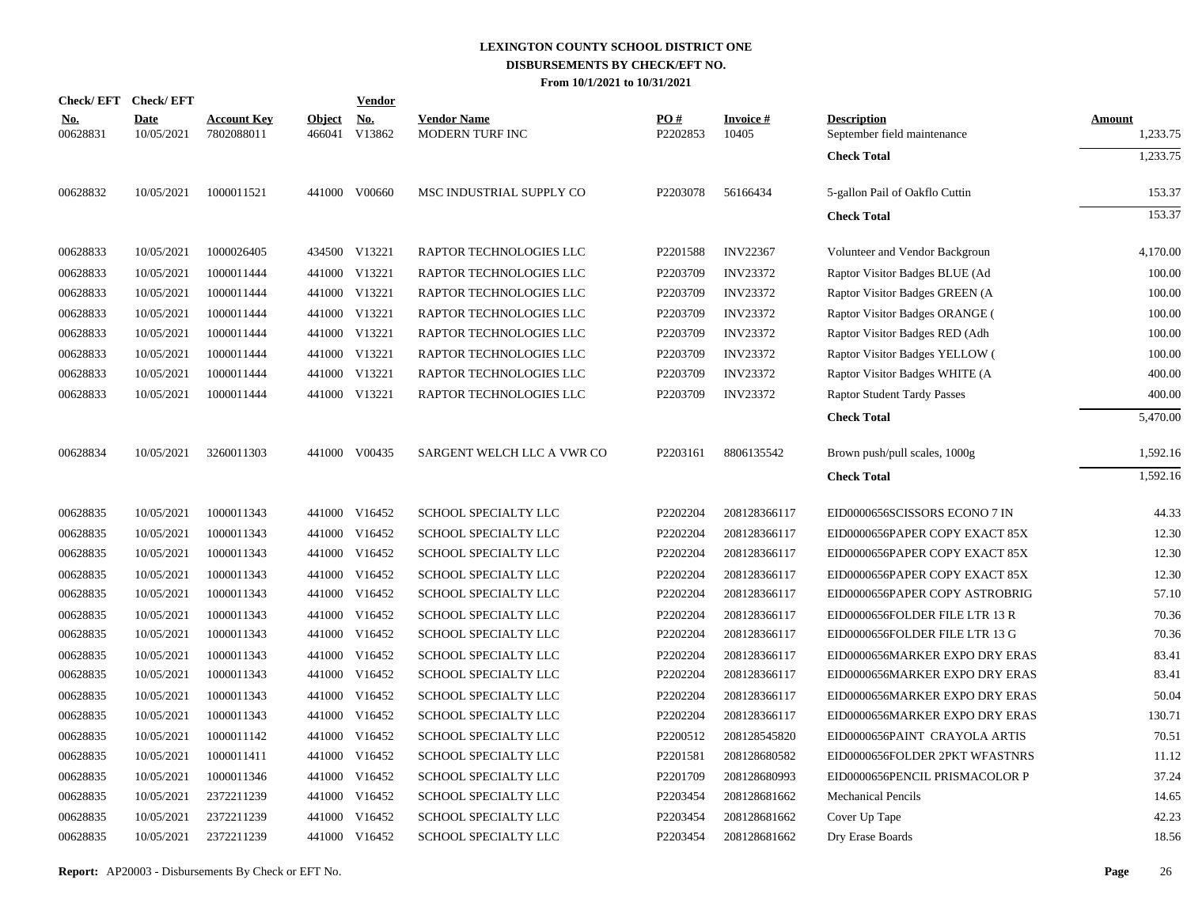|                        | Check/EFT Check/EFT       |                                  |               | <u>Vendor</u>               |                                              |                 |                          |                                                   |                           |
|------------------------|---------------------------|----------------------------------|---------------|-----------------------------|----------------------------------------------|-----------------|--------------------------|---------------------------------------------------|---------------------------|
| <u>No.</u><br>00628831 | <b>Date</b><br>10/05/2021 | <b>Account Key</b><br>7802088011 | <b>Object</b> | <u>No.</u><br>466041 V13862 | <b>Vendor Name</b><br><b>MODERN TURF INC</b> | PO#<br>P2202853 | <b>Invoice#</b><br>10405 | <b>Description</b><br>September field maintenance | <b>Amount</b><br>1,233.75 |
|                        |                           |                                  |               |                             |                                              |                 |                          | <b>Check Total</b>                                | 1,233.75                  |
| 00628832               | 10/05/2021                | 1000011521                       |               | 441000 V00660               | MSC INDUSTRIAL SUPPLY CO                     | P2203078        | 56166434                 | 5-gallon Pail of Oakflo Cuttin                    | 153.37                    |
|                        |                           |                                  |               |                             |                                              |                 |                          | <b>Check Total</b>                                | 153.37                    |
| 00628833               | 10/05/2021                | 1000026405                       |               | 434500 V13221               | RAPTOR TECHNOLOGIES LLC                      | P2201588        | <b>INV22367</b>          | Volunteer and Vendor Backgroun                    | 4,170.00                  |
| 00628833               | 10/05/2021                | 1000011444                       |               | 441000 V13221               | RAPTOR TECHNOLOGIES LLC                      | P2203709        | <b>INV23372</b>          | Raptor Visitor Badges BLUE (Ad                    | 100.00                    |
| 00628833               | 10/05/2021                | 1000011444                       |               | 441000 V13221               | RAPTOR TECHNOLOGIES LLC                      | P2203709        | <b>INV23372</b>          | Raptor Visitor Badges GREEN (A                    | 100.00                    |
| 00628833               | 10/05/2021                | 1000011444                       |               | 441000 V13221               | RAPTOR TECHNOLOGIES LLC                      | P2203709        | <b>INV23372</b>          | Raptor Visitor Badges ORANGE (                    | 100.00                    |
| 00628833               | 10/05/2021                | 1000011444                       |               | 441000 V13221               | RAPTOR TECHNOLOGIES LLC                      | P2203709        | <b>INV23372</b>          | Raptor Visitor Badges RED (Adh                    | 100.00                    |
| 00628833               | 10/05/2021                | 1000011444                       |               | 441000 V13221               | RAPTOR TECHNOLOGIES LLC                      | P2203709        | <b>INV23372</b>          | Raptor Visitor Badges YELLOW (                    | 100.00                    |
| 00628833               | 10/05/2021                | 1000011444                       |               | 441000 V13221               | RAPTOR TECHNOLOGIES LLC                      | P2203709        | <b>INV23372</b>          | Raptor Visitor Badges WHITE (A                    | 400.00                    |
| 00628833               | 10/05/2021                | 1000011444                       |               | 441000 V13221               | RAPTOR TECHNOLOGIES LLC                      | P2203709        | <b>INV23372</b>          | <b>Raptor Student Tardy Passes</b>                | 400.00                    |
|                        |                           |                                  |               |                             |                                              |                 |                          | <b>Check Total</b>                                | 5,470.00                  |
| 00628834               | 10/05/2021                | 3260011303                       |               | 441000 V00435               | SARGENT WELCH LLC A VWR CO                   | P2203161        | 8806135542               | Brown push/pull scales, 1000g                     | 1,592.16                  |
|                        |                           |                                  |               |                             |                                              |                 |                          | <b>Check Total</b>                                | 1,592.16                  |
| 00628835               | 10/05/2021                | 1000011343                       |               | 441000 V16452               | SCHOOL SPECIALTY LLC                         | P2202204        | 208128366117             | EID0000656SCISSORS ECONO 7 IN                     | 44.33                     |
| 00628835               | 10/05/2021                | 1000011343                       |               | 441000 V16452               | <b>SCHOOL SPECIALTY LLC</b>                  | P2202204        | 208128366117             | EID0000656PAPER COPY EXACT 85X                    | 12.30                     |
| 00628835               | 10/05/2021                | 1000011343                       |               | 441000 V16452               | SCHOOL SPECIALTY LLC                         | P2202204        | 208128366117             | EID0000656PAPER COPY EXACT 85X                    | 12.30                     |
| 00628835               | 10/05/2021                | 1000011343                       |               | 441000 V16452               | SCHOOL SPECIALTY LLC                         | P2202204        | 208128366117             | EID0000656PAPER COPY EXACT 85X                    | 12.30                     |
| 00628835               | 10/05/2021                | 1000011343                       |               | 441000 V16452               | SCHOOL SPECIALTY LLC                         | P2202204        | 208128366117             | EID0000656PAPER COPY ASTROBRIG                    | 57.10                     |
| 00628835               | 10/05/2021                | 1000011343                       |               | 441000 V16452               | <b>SCHOOL SPECIALTY LLC</b>                  | P2202204        | 208128366117             | EID0000656FOLDER FILE LTR 13 R                    | 70.36                     |
| 00628835               | 10/05/2021                | 1000011343                       |               | 441000 V16452               | SCHOOL SPECIALTY LLC                         | P2202204        | 208128366117             | EID0000656FOLDER FILE LTR 13 G                    | 70.36                     |
| 00628835               | 10/05/2021                | 1000011343                       |               | 441000 V16452               | SCHOOL SPECIALTY LLC                         | P2202204        | 208128366117             | EID0000656MARKER EXPO DRY ERAS                    | 83.41                     |
| 00628835               | 10/05/2021                | 1000011343                       |               | 441000 V16452               | SCHOOL SPECIALTY LLC                         | P2202204        | 208128366117             | EID0000656MARKER EXPO DRY ERAS                    | 83.41                     |
| 00628835               | 10/05/2021                | 1000011343                       |               | 441000 V16452               | SCHOOL SPECIALTY LLC                         | P2202204        | 208128366117             | EID0000656MARKER EXPO DRY ERAS                    | 50.04                     |
| 00628835               | 10/05/2021                | 1000011343                       |               | 441000 V16452               | SCHOOL SPECIALTY LLC                         | P2202204        | 208128366117             | EID0000656MARKER EXPO DRY ERAS                    | 130.71                    |
| 00628835               | 10/05/2021                | 1000011142                       | 441000        | V16452                      | SCHOOL SPECIALTY LLC                         | P2200512        | 208128545820             | EID0000656PAINT CRAYOLA ARTIS                     | 70.51                     |
| 00628835               | 10/05/2021                | 1000011411                       |               | 441000 V16452               | SCHOOL SPECIALTY LLC                         | P2201581        | 208128680582             | EID0000656FOLDER 2PKT WFASTNRS                    | 11.12                     |
| 00628835               | 10/05/2021                | 1000011346                       | 441000        | V16452                      | SCHOOL SPECIALTY LLC                         | P2201709        | 208128680993             | EID0000656PENCIL PRISMACOLOR P                    | 37.24                     |
| 00628835               | 10/05/2021                | 2372211239                       |               | 441000 V16452               | SCHOOL SPECIALTY LLC                         | P2203454        | 208128681662             | <b>Mechanical Pencils</b>                         | 14.65                     |
| 00628835               | 10/05/2021                | 2372211239                       |               | 441000 V16452               | SCHOOL SPECIALTY LLC                         | P2203454        | 208128681662             | Cover Up Tape                                     | 42.23                     |
| 00628835               | 10/05/2021                | 2372211239                       |               | 441000 V16452               | SCHOOL SPECIALTY LLC                         | P2203454        | 208128681662             | Dry Erase Boards                                  | 18.56                     |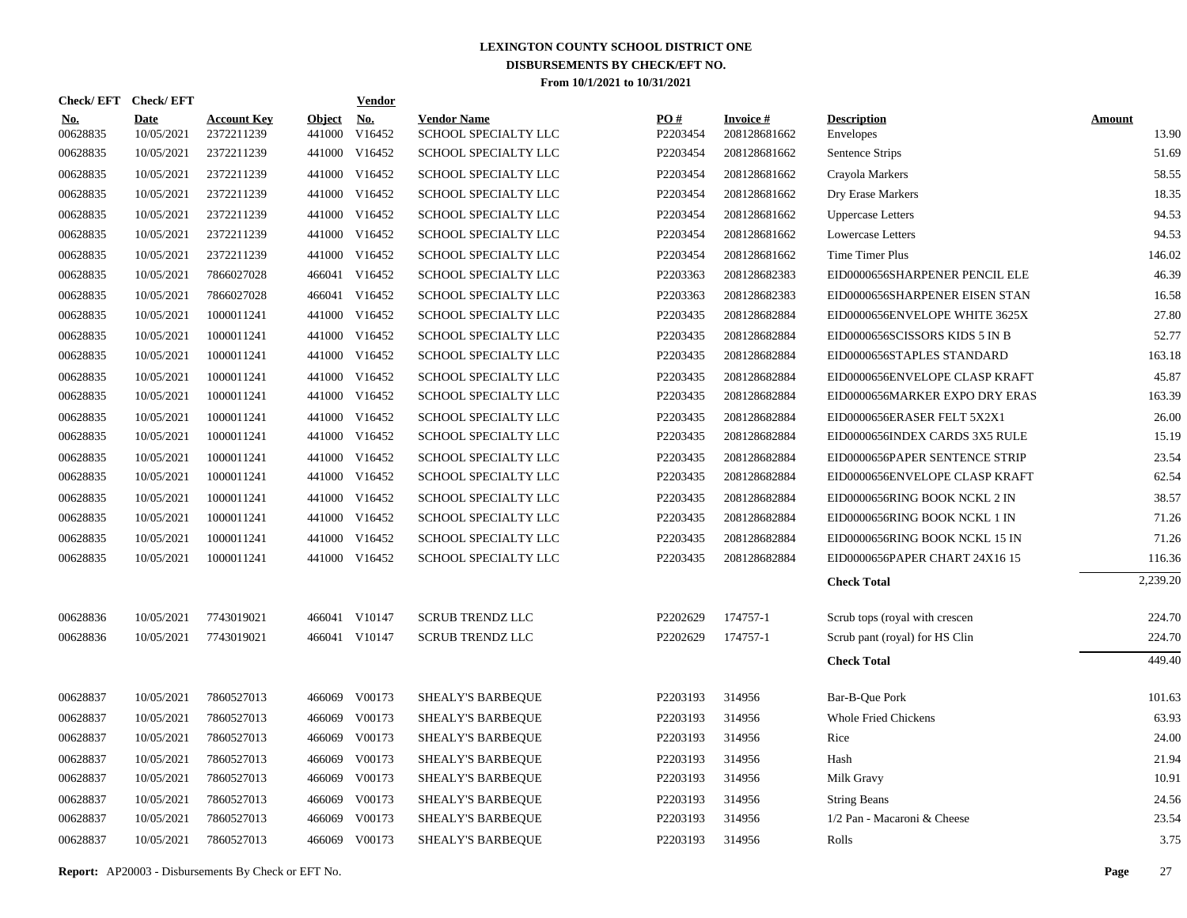|                        | Check/EFT Check/EFT       |                                  |                         | <b>Vendor</b>        |                                            |                 |                                 |                                 |                        |
|------------------------|---------------------------|----------------------------------|-------------------------|----------------------|--------------------------------------------|-----------------|---------------------------------|---------------------------------|------------------------|
| <b>No.</b><br>00628835 | <b>Date</b><br>10/05/2021 | <b>Account Key</b><br>2372211239 | <b>Object</b><br>441000 | <u>No.</u><br>V16452 | <b>Vendor Name</b><br>SCHOOL SPECIALTY LLC | PQ#<br>P2203454 | <b>Invoice#</b><br>208128681662 | <b>Description</b><br>Envelopes | <b>Amount</b><br>13.90 |
| 00628835               | 10/05/2021                | 2372211239                       |                         | 441000 V16452        | SCHOOL SPECIALTY LLC                       | P2203454        | 208128681662                    | Sentence Strips                 | 51.69                  |
| 00628835               | 10/05/2021                | 2372211239                       |                         | 441000 V16452        | SCHOOL SPECIALTY LLC                       | P2203454        | 208128681662                    | Crayola Markers                 | 58.55                  |
| 00628835               | 10/05/2021                | 2372211239                       |                         | 441000 V16452        | SCHOOL SPECIALTY LLC                       | P2203454        | 208128681662                    | Dry Erase Markers               | 18.35                  |
| 00628835               | 10/05/2021                | 2372211239                       |                         | 441000 V16452        | SCHOOL SPECIALTY LLC                       | P2203454        | 208128681662                    | <b>Uppercase Letters</b>        | 94.53                  |
| 00628835               | 10/05/2021                | 2372211239                       |                         | 441000 V16452        | SCHOOL SPECIALTY LLC                       | P2203454        | 208128681662                    | <b>Lowercase Letters</b>        | 94.53                  |
| 00628835               | 10/05/2021                | 2372211239                       |                         | 441000 V16452        | SCHOOL SPECIALTY LLC                       | P2203454        | 208128681662                    | Time Timer Plus                 | 146.02                 |
| 00628835               | 10/05/2021                | 7866027028                       |                         | 466041 V16452        | SCHOOL SPECIALTY LLC                       | P2203363        | 208128682383                    | EID0000656SHARPENER PENCIL ELE  | 46.39                  |
| 00628835               | 10/05/2021                | 7866027028                       |                         | 466041 V16452        | SCHOOL SPECIALTY LLC                       | P2203363        | 208128682383                    | EID0000656SHARPENER EISEN STAN  | 16.58                  |
| 00628835               | 10/05/2021                | 1000011241                       |                         | 441000 V16452        | SCHOOL SPECIALTY LLC                       | P2203435        | 208128682884                    | EID0000656ENVELOPE WHITE 3625X  | 27.80                  |
| 00628835               | 10/05/2021                | 1000011241                       |                         | 441000 V16452        | SCHOOL SPECIALTY LLC                       | P2203435        | 208128682884                    | EID0000656SCISSORS KIDS 5 IN B  | 52.77                  |
| 00628835               | 10/05/2021                | 1000011241                       |                         | 441000 V16452        | SCHOOL SPECIALTY LLC                       | P2203435        | 208128682884                    | EID0000656STAPLES STANDARD      | 163.18                 |
| 00628835               | 10/05/2021                | 1000011241                       |                         | 441000 V16452        | SCHOOL SPECIALTY LLC                       | P2203435        | 208128682884                    | EID0000656ENVELOPE CLASP KRAFT  | 45.87                  |
| 00628835               | 10/05/2021                | 1000011241                       |                         | 441000 V16452        | SCHOOL SPECIALTY LLC                       | P2203435        | 208128682884                    | EID0000656MARKER EXPO DRY ERAS  | 163.39                 |
| 00628835               | 10/05/2021                | 1000011241                       |                         | 441000 V16452        | SCHOOL SPECIALTY LLC                       | P2203435        | 208128682884                    | EID0000656ERASER FELT 5X2X1     | 26.00                  |
| 00628835               | 10/05/2021                | 1000011241                       |                         | 441000 V16452        | SCHOOL SPECIALTY LLC                       | P2203435        | 208128682884                    | EID0000656INDEX CARDS 3X5 RULE  | 15.19                  |
| 00628835               | 10/05/2021                | 1000011241                       |                         | 441000 V16452        | SCHOOL SPECIALTY LLC                       | P2203435        | 208128682884                    | EID0000656PAPER SENTENCE STRIP  | 23.54                  |
| 00628835               | 10/05/2021                | 1000011241                       |                         | 441000 V16452        | SCHOOL SPECIALTY LLC                       | P2203435        | 208128682884                    | EID0000656ENVELOPE CLASP KRAFT  | 62.54                  |
| 00628835               | 10/05/2021                | 1000011241                       |                         | 441000 V16452        | SCHOOL SPECIALTY LLC                       | P2203435        | 208128682884                    | EID0000656RING BOOK NCKL 2 IN   | 38.57                  |
| 00628835               | 10/05/2021                | 1000011241                       |                         | 441000 V16452        | <b>SCHOOL SPECIALTY LLC</b>                | P2203435        | 208128682884                    | EID0000656RING BOOK NCKL 1 IN   | 71.26                  |
| 00628835               | 10/05/2021                | 1000011241                       |                         | 441000 V16452        | SCHOOL SPECIALTY LLC                       | P2203435        | 208128682884                    | EID0000656RING BOOK NCKL 15 IN  | 71.26                  |
| 00628835               | 10/05/2021                | 1000011241                       |                         | 441000 V16452        | SCHOOL SPECIALTY LLC                       | P2203435        | 208128682884                    | EID0000656PAPER CHART 24X16 15  | 116.36                 |
|                        |                           |                                  |                         |                      |                                            |                 |                                 | <b>Check Total</b>              | 2,239.20               |
| 00628836               | 10/05/2021                | 7743019021                       |                         | 466041 V10147        | <b>SCRUB TRENDZ LLC</b>                    | P2202629        | 174757-1                        | Scrub tops (royal with crescen  | 224.70                 |
| 00628836               | 10/05/2021                | 7743019021                       |                         | 466041 V10147        | <b>SCRUB TRENDZ LLC</b>                    | P2202629        | 174757-1                        | Scrub pant (royal) for HS Clin  | 224.70                 |
|                        |                           |                                  |                         |                      |                                            |                 |                                 | <b>Check Total</b>              | 449.40                 |
| 00628837               | 10/05/2021                | 7860527013                       |                         | 466069 V00173        | <b>SHEALY'S BARBEQUE</b>                   | P2203193        | 314956                          | Bar-B-Que Pork                  | 101.63                 |
| 00628837               | 10/05/2021                | 7860527013                       | 466069                  | V00173               | <b>SHEALY'S BARBEQUE</b>                   | P2203193        | 314956                          | <b>Whole Fried Chickens</b>     | 63.93                  |
| 00628837               | 10/05/2021                | 7860527013                       | 466069                  | V00173               | SHEALY'S BARBEQUE                          | P2203193        | 314956                          | Rice                            | 24.00                  |
| 00628837               | 10/05/2021                | 7860527013                       | 466069                  | V00173               | <b>SHEALY'S BARBEQUE</b>                   | P2203193        | 314956                          | Hash                            | 21.94                  |
| 00628837               | 10/05/2021                | 7860527013                       | 466069                  | V00173               | SHEALY'S BARBEQUE                          | P2203193        | 314956                          | Milk Gravy                      | 10.91                  |
| 00628837               | 10/05/2021                | 7860527013                       | 466069                  | V00173               | <b>SHEALY'S BARBEQUE</b>                   | P2203193        | 314956                          | <b>String Beans</b>             | 24.56                  |
| 00628837               | 10/05/2021                | 7860527013                       | 466069                  | V00173               | SHEALY'S BARBEQUE                          | P2203193        | 314956                          | 1/2 Pan - Macaroni & Cheese     | 23.54                  |
| 00628837               | 10/05/2021                | 7860527013                       |                         | 466069 V00173        | SHEALY'S BARBEQUE                          | P2203193        | 314956                          | Rolls                           | 3.75                   |
|                        |                           |                                  |                         |                      |                                            |                 |                                 |                                 |                        |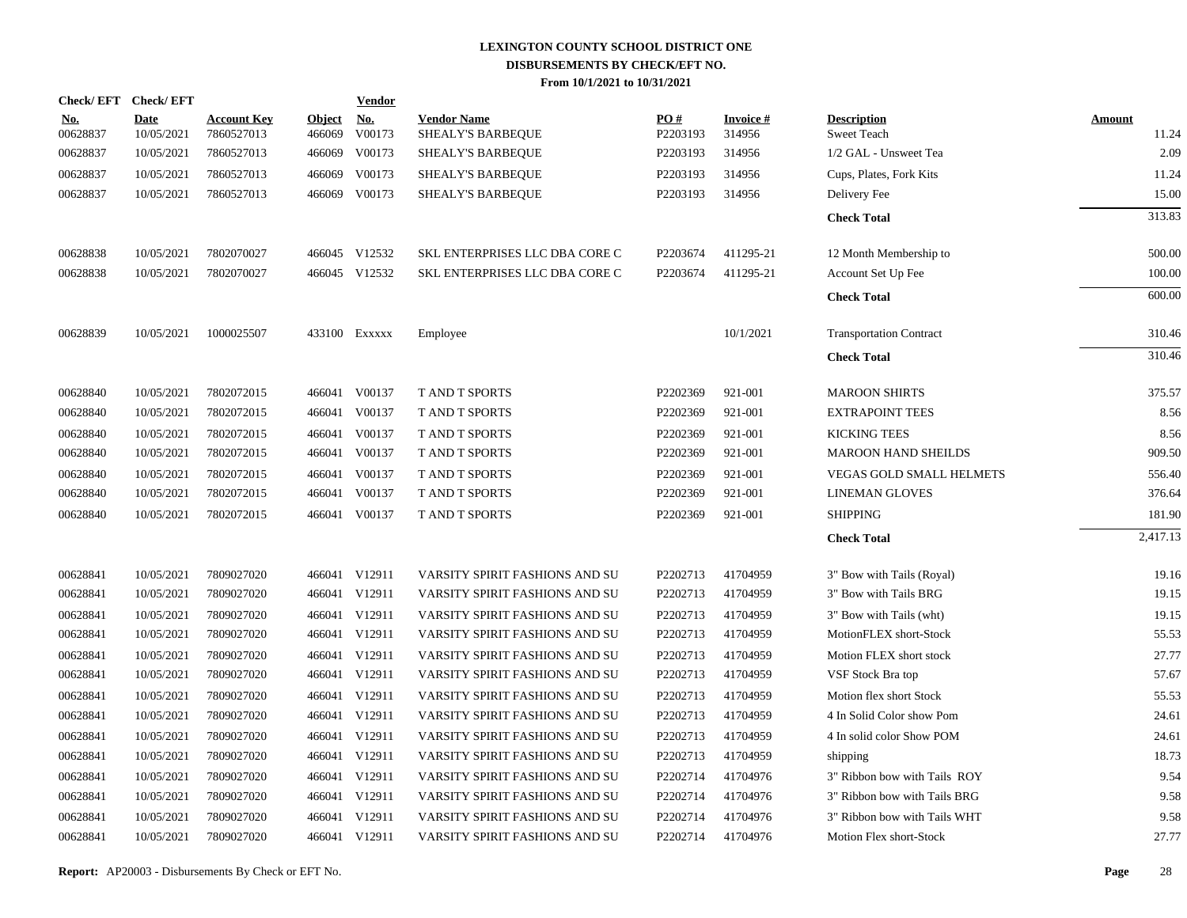| Check/EFT Check/EFT    |                           |                                  |                         | <b>Vendor</b>        |                                         |                 |                           |                                          |                        |
|------------------------|---------------------------|----------------------------------|-------------------------|----------------------|-----------------------------------------|-----------------|---------------------------|------------------------------------------|------------------------|
| <u>No.</u><br>00628837 | <b>Date</b><br>10/05/2021 | <b>Account Key</b><br>7860527013 | <b>Object</b><br>466069 | <u>No.</u><br>V00173 | <b>Vendor Name</b><br>SHEALY'S BARBEQUE | PO#<br>P2203193 | <b>Invoice#</b><br>314956 | <b>Description</b><br><b>Sweet Teach</b> | <b>Amount</b><br>11.24 |
| 00628837               | 10/05/2021                | 7860527013                       | 466069                  | V00173               | SHEALY'S BARBEQUE                       | P2203193        | 314956                    | 1/2 GAL - Unsweet Tea                    | 2.09                   |
| 00628837               | 10/05/2021                | 7860527013                       | 466069                  | V00173               | <b>SHEALY'S BARBEOUE</b>                | P2203193        | 314956                    | Cups, Plates, Fork Kits                  | 11.24                  |
| 00628837               | 10/05/2021                | 7860527013                       |                         | 466069 V00173        | SHEALY'S BARBEQUE                       | P2203193        | 314956                    | Delivery Fee                             | 15.00                  |
|                        |                           |                                  |                         |                      |                                         |                 |                           | <b>Check Total</b>                       | 313.83                 |
| 00628838               | 10/05/2021                | 7802070027                       |                         | 466045 V12532        | SKL ENTERPRISES LLC DBA CORE C          | P2203674        | 411295-21                 | 12 Month Membership to                   | 500.00                 |
| 00628838               | 10/05/2021                | 7802070027                       |                         | 466045 V12532        | SKL ENTERPRISES LLC DBA CORE C          | P2203674        | 411295-21                 | Account Set Up Fee                       | 100.00                 |
|                        |                           |                                  |                         |                      |                                         |                 |                           | <b>Check Total</b>                       | 600.00                 |
| 00628839               | 10/05/2021                | 1000025507                       |                         | 433100 EXXXXX        | Employee                                |                 | 10/1/2021                 | <b>Transportation Contract</b>           | 310.46                 |
|                        |                           |                                  |                         |                      |                                         |                 |                           | <b>Check Total</b>                       | 310.46                 |
| 00628840               | 10/05/2021                | 7802072015                       |                         | 466041 V00137        | <b>T AND T SPORTS</b>                   | P2202369        | 921-001                   | <b>MAROON SHIRTS</b>                     | 375.57                 |
| 00628840               | 10/05/2021                | 7802072015                       | 466041                  | V00137               | T AND T SPORTS                          | P2202369        | 921-001                   | <b>EXTRAPOINT TEES</b>                   | 8.56                   |
| 00628840               | 10/05/2021                | 7802072015                       | 466041                  | V00137               | T AND T SPORTS                          | P2202369        | 921-001                   | <b>KICKING TEES</b>                      | 8.56                   |
| 00628840               | 10/05/2021                | 7802072015                       | 466041                  | V00137               | T AND T SPORTS                          | P2202369        | 921-001                   | <b>MAROON HAND SHEILDS</b>               | 909.50                 |
| 00628840               | 10/05/2021                | 7802072015                       | 466041                  | V00137               | T AND T SPORTS                          | P2202369        | 921-001                   | VEGAS GOLD SMALL HELMETS                 | 556.40                 |
| 00628840               | 10/05/2021                | 7802072015                       | 466041                  | V00137               | <b>T AND T SPORTS</b>                   | P2202369        | 921-001                   | <b>LINEMAN GLOVES</b>                    | 376.64                 |
| 00628840               | 10/05/2021                | 7802072015                       | 466041                  | V00137               | <b>T AND T SPORTS</b>                   | P2202369        | 921-001                   | <b>SHIPPING</b>                          | 181.90                 |
|                        |                           |                                  |                         |                      |                                         |                 |                           | <b>Check Total</b>                       | 2,417.13               |
| 00628841               | 10/05/2021                | 7809027020                       |                         | 466041 V12911        | VARSITY SPIRIT FASHIONS AND SU          | P2202713        | 41704959                  | 3" Bow with Tails (Royal)                | 19.16                  |
| 00628841               | 10/05/2021                | 7809027020                       |                         | 466041 V12911        | VARSITY SPIRIT FASHIONS AND SU          | P2202713        | 41704959                  | 3" Bow with Tails BRG                    | 19.15                  |
| 00628841               | 10/05/2021                | 7809027020                       | 466041                  | V12911               | VARSITY SPIRIT FASHIONS AND SU          | P2202713        | 41704959                  | 3" Bow with Tails (wht)                  | 19.15                  |
| 00628841               | 10/05/2021                | 7809027020                       |                         | 466041 V12911        | VARSITY SPIRIT FASHIONS AND SU          | P2202713        | 41704959                  | MotionFLEX short-Stock                   | 55.53                  |
| 00628841               | 10/05/2021                | 7809027020                       | 466041                  | V12911               | VARSITY SPIRIT FASHIONS AND SU          | P2202713        | 41704959                  | Motion FLEX short stock                  | 27.77                  |
| 00628841               | 10/05/2021                | 7809027020                       |                         | 466041 V12911        | VARSITY SPIRIT FASHIONS AND SU          | P2202713        | 41704959                  | VSF Stock Bra top                        | 57.67                  |
| 00628841               | 10/05/2021                | 7809027020                       | 466041                  | V12911               | VARSITY SPIRIT FASHIONS AND SU          | P2202713        | 41704959                  | Motion flex short Stock                  | 55.53                  |
| 00628841               | 10/05/2021                | 7809027020                       |                         | 466041 V12911        | VARSITY SPIRIT FASHIONS AND SU          | P2202713        | 41704959                  | 4 In Solid Color show Pom                | 24.61                  |
| 00628841               | 10/05/2021                | 7809027020                       | 466041                  | V12911               | VARSITY SPIRIT FASHIONS AND SU          | P2202713        | 41704959                  | 4 In solid color Show POM                | 24.61                  |
| 00628841               | 10/05/2021                | 7809027020                       |                         | 466041 V12911        | VARSITY SPIRIT FASHIONS AND SU          | P2202713        | 41704959                  | shipping                                 | 18.73                  |
| 00628841               | 10/05/2021                | 7809027020                       | 466041                  | V12911               | VARSITY SPIRIT FASHIONS AND SU          | P2202714        | 41704976                  | 3" Ribbon bow with Tails ROY             | 9.54                   |
| 00628841               | 10/05/2021                | 7809027020                       |                         | 466041 V12911        | VARSITY SPIRIT FASHIONS AND SU          | P2202714        | 41704976                  | 3" Ribbon bow with Tails BRG             | 9.58                   |
| 00628841               | 10/05/2021                | 7809027020                       | 466041                  | V12911               | VARSITY SPIRIT FASHIONS AND SU          | P2202714        | 41704976                  | 3" Ribbon bow with Tails WHT             | 9.58                   |
| 00628841               | 10/05/2021                | 7809027020                       |                         | 466041 V12911        | VARSITY SPIRIT FASHIONS AND SU          | P2202714        | 41704976                  | Motion Flex short-Stock                  | 27.77                  |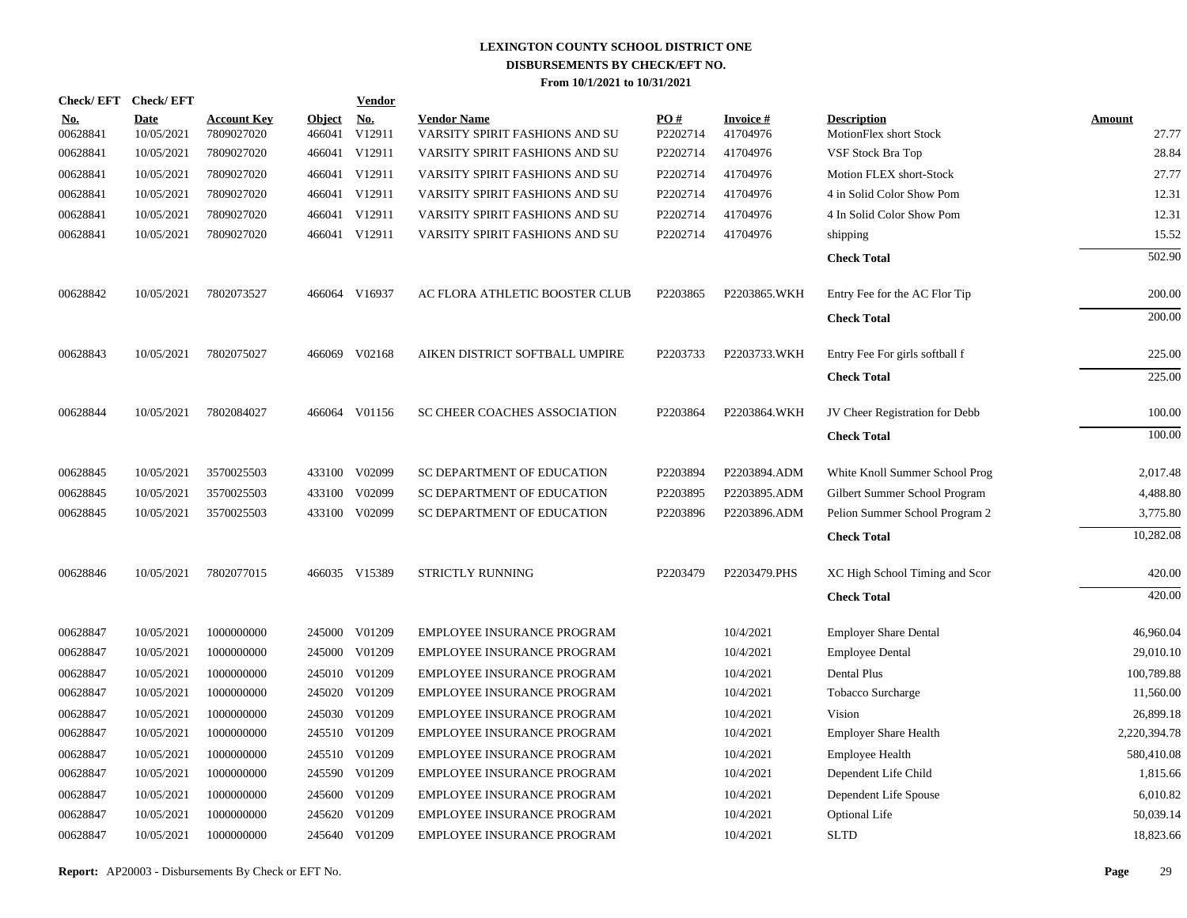| Check/EFT Check/EFT    |                           |                                  |                         | <b>Vendor</b> |                                                      |                 |                             |                                              |                 |
|------------------------|---------------------------|----------------------------------|-------------------------|---------------|------------------------------------------------------|-----------------|-----------------------------|----------------------------------------------|-----------------|
| <u>No.</u><br>00628841 | <b>Date</b><br>10/05/2021 | <b>Account Key</b><br>7809027020 | <b>Object</b><br>466041 | No.<br>V12911 | <b>Vendor Name</b><br>VARSITY SPIRIT FASHIONS AND SU | PO#<br>P2202714 | <b>Invoice#</b><br>41704976 | <b>Description</b><br>MotionFlex short Stock | Amount<br>27.77 |
| 00628841               | 10/05/2021                | 7809027020                       | 466041                  | V12911        | VARSITY SPIRIT FASHIONS AND SU                       | P2202714        | 41704976                    | VSF Stock Bra Top                            | 28.84           |
| 00628841               | 10/05/2021                | 7809027020                       |                         | 466041 V12911 | VARSITY SPIRIT FASHIONS AND SU                       | P2202714        | 41704976                    | Motion FLEX short-Stock                      | 27.77           |
| 00628841               | 10/05/2021                | 7809027020                       |                         | 466041 V12911 | VARSITY SPIRIT FASHIONS AND SU                       | P2202714        | 41704976                    | 4 in Solid Color Show Pom                    | 12.31           |
| 00628841               | 10/05/2021                | 7809027020                       |                         | 466041 V12911 | VARSITY SPIRIT FASHIONS AND SU                       | P2202714        | 41704976                    | 4 In Solid Color Show Pom                    | 12.31           |
| 00628841               | 10/05/2021                | 7809027020                       |                         | 466041 V12911 | VARSITY SPIRIT FASHIONS AND SU                       | P2202714        | 41704976                    | shipping                                     | 15.52           |
|                        |                           |                                  |                         |               |                                                      |                 |                             | <b>Check Total</b>                           | 502.90          |
| 00628842               | 10/05/2021                | 7802073527                       |                         | 466064 V16937 | AC FLORA ATHLETIC BOOSTER CLUB                       | P2203865        | P2203865.WKH                | Entry Fee for the AC Flor Tip                | 200.00          |
|                        |                           |                                  |                         |               |                                                      |                 |                             | <b>Check Total</b>                           | 200.00          |
| 00628843               | 10/05/2021                | 7802075027                       |                         | 466069 V02168 | AIKEN DISTRICT SOFTBALL UMPIRE                       | P2203733        | P2203733.WKH                | Entry Fee For girls softball f               | 225.00          |
|                        |                           |                                  |                         |               |                                                      |                 |                             | <b>Check Total</b>                           | 225.00          |
| 00628844               | 10/05/2021                | 7802084027                       |                         | 466064 V01156 | SC CHEER COACHES ASSOCIATION                         | P2203864        | P2203864.WKH                | JV Cheer Registration for Debb               | 100.00          |
|                        |                           |                                  |                         |               |                                                      |                 |                             | <b>Check Total</b>                           | 100.00          |
| 00628845               | 10/05/2021                | 3570025503                       | 433100                  | V02099        | SC DEPARTMENT OF EDUCATION                           | P2203894        | P2203894.ADM                | White Knoll Summer School Prog               | 2,017.48        |
| 00628845               | 10/05/2021                | 3570025503                       | 433100                  | V02099        | SC DEPARTMENT OF EDUCATION                           | P2203895        | P2203895.ADM                | Gilbert Summer School Program                | 4,488.80        |
| 00628845               | 10/05/2021                | 3570025503                       | 433100                  | V02099        | SC DEPARTMENT OF EDUCATION                           | P2203896        | P2203896.ADM                | Pelion Summer School Program 2               | 3,775.80        |
|                        |                           |                                  |                         |               |                                                      |                 |                             | <b>Check Total</b>                           | 10,282.08       |
| 00628846               | 10/05/2021                | 7802077015                       |                         | 466035 V15389 | STRICTLY RUNNING                                     | P2203479        | P2203479.PHS                | XC High School Timing and Scor               | 420.00          |
|                        |                           |                                  |                         |               |                                                      |                 |                             | <b>Check Total</b>                           | 420.00          |
| 00628847               | 10/05/2021                | 1000000000                       | 245000                  | V01209        | EMPLOYEE INSURANCE PROGRAM                           |                 | 10/4/2021                   | <b>Employer Share Dental</b>                 | 46,960.04       |
| 00628847               | 10/05/2021                | 1000000000                       | 245000                  | V01209        | EMPLOYEE INSURANCE PROGRAM                           |                 | 10/4/2021                   | <b>Employee Dental</b>                       | 29,010.10       |
| 00628847               | 10/05/2021                | 1000000000                       | 245010                  | V01209        | EMPLOYEE INSURANCE PROGRAM                           |                 | 10/4/2021                   | Dental Plus                                  | 100,789.88      |
| 00628847               | 10/05/2021                | 1000000000                       | 245020                  | V01209        | EMPLOYEE INSURANCE PROGRAM                           |                 | 10/4/2021                   | Tobacco Surcharge                            | 11,560.00       |
| 00628847               | 10/05/2021                | 1000000000                       | 245030                  | V01209        | EMPLOYEE INSURANCE PROGRAM                           |                 | 10/4/2021                   | Vision                                       | 26,899.18       |
| 00628847               | 10/05/2021                | 1000000000                       | 245510                  | V01209        | EMPLOYEE INSURANCE PROGRAM                           |                 | 10/4/2021                   | <b>Employer Share Health</b>                 | 2,220,394.78    |
| 00628847               | 10/05/2021                | 1000000000                       | 245510                  | V01209        | EMPLOYEE INSURANCE PROGRAM                           |                 | 10/4/2021                   | <b>Employee Health</b>                       | 580,410.08      |
| 00628847               | 10/05/2021                | 1000000000                       | 245590                  | V01209        | EMPLOYEE INSURANCE PROGRAM                           |                 | 10/4/2021                   | Dependent Life Child                         | 1,815.66        |
| 00628847               | 10/05/2021                | 1000000000                       | 245600                  | V01209        | EMPLOYEE INSURANCE PROGRAM                           |                 | 10/4/2021                   | Dependent Life Spouse                        | 6,010.82        |
| 00628847               | 10/05/2021                | 1000000000                       | 245620                  | V01209        | EMPLOYEE INSURANCE PROGRAM                           |                 | 10/4/2021                   | <b>Optional Life</b>                         | 50,039.14       |
| 00628847               | 10/05/2021                | 1000000000                       |                         | 245640 V01209 | EMPLOYEE INSURANCE PROGRAM                           |                 | 10/4/2021                   | <b>SLTD</b>                                  | 18,823.66       |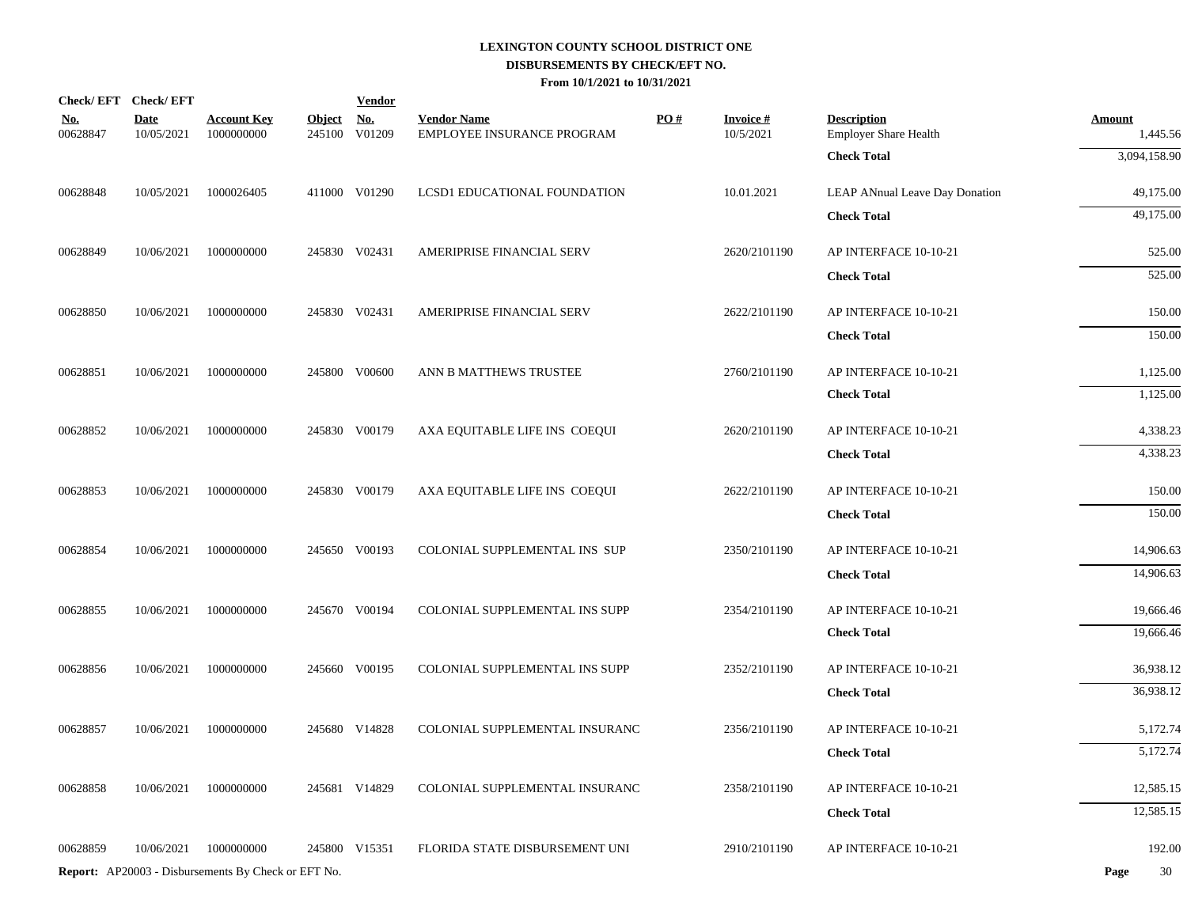|                        | Check/EFT Check/EFT       |                                                            |                         | <b>Vendor</b>        |                                                  |     |                              |                                                    |                           |
|------------------------|---------------------------|------------------------------------------------------------|-------------------------|----------------------|--------------------------------------------------|-----|------------------------------|----------------------------------------------------|---------------------------|
| <u>No.</u><br>00628847 | <b>Date</b><br>10/05/2021 | <b>Account Key</b><br>1000000000                           | <b>Object</b><br>245100 | <u>No.</u><br>V01209 | <b>Vendor Name</b><br>EMPLOYEE INSURANCE PROGRAM | PO# | <b>Invoice#</b><br>10/5/2021 | <b>Description</b><br><b>Employer Share Health</b> | <b>Amount</b><br>1,445.56 |
|                        |                           |                                                            |                         |                      |                                                  |     |                              | <b>Check Total</b>                                 | 3,094,158.90              |
| 00628848               | 10/05/2021                | 1000026405                                                 |                         | 411000 V01290        | LCSD1 EDUCATIONAL FOUNDATION                     |     | 10.01.2021                   | LEAP ANnual Leave Day Donation                     | 49,175.00                 |
|                        |                           |                                                            |                         |                      |                                                  |     |                              | <b>Check Total</b>                                 | 49,175.00                 |
| 00628849               | 10/06/2021                | 1000000000                                                 |                         | 245830 V02431        | AMERIPRISE FINANCIAL SERV                        |     | 2620/2101190                 | AP INTERFACE 10-10-21                              | 525.00                    |
|                        |                           |                                                            |                         |                      |                                                  |     |                              | <b>Check Total</b>                                 | 525.00                    |
|                        |                           |                                                            |                         |                      |                                                  |     |                              |                                                    |                           |
| 00628850               | 10/06/2021                | 1000000000                                                 |                         | 245830 V02431        | AMERIPRISE FINANCIAL SERV                        |     | 2622/2101190                 | AP INTERFACE 10-10-21                              | 150.00                    |
|                        |                           |                                                            |                         |                      |                                                  |     |                              | <b>Check Total</b>                                 | 150.00                    |
| 00628851               | 10/06/2021                | 1000000000                                                 |                         | 245800 V00600        | ANN B MATTHEWS TRUSTEE                           |     | 2760/2101190                 | AP INTERFACE 10-10-21                              | 1,125.00                  |
|                        |                           |                                                            |                         |                      |                                                  |     |                              | <b>Check Total</b>                                 | 1,125.00                  |
| 00628852               | 10/06/2021                | 1000000000                                                 |                         | 245830 V00179        | AXA EQUITABLE LIFE INS COEQUI                    |     | 2620/2101190                 | AP INTERFACE 10-10-21                              | 4,338.23                  |
|                        |                           |                                                            |                         |                      |                                                  |     |                              | <b>Check Total</b>                                 | 4,338.23                  |
| 00628853               | 10/06/2021                | 1000000000                                                 |                         | 245830 V00179        | AXA EQUITABLE LIFE INS COEQUI                    |     | 2622/2101190                 | AP INTERFACE 10-10-21                              | 150.00                    |
|                        |                           |                                                            |                         |                      |                                                  |     |                              | <b>Check Total</b>                                 | 150.00                    |
| 00628854               | 10/06/2021                | 1000000000                                                 |                         | 245650 V00193        | COLONIAL SUPPLEMENTAL INS SUP                    |     | 2350/2101190                 | AP INTERFACE 10-10-21                              | 14,906.63                 |
|                        |                           |                                                            |                         |                      |                                                  |     |                              | <b>Check Total</b>                                 | 14,906.63                 |
|                        |                           |                                                            |                         |                      |                                                  |     |                              |                                                    |                           |
| 00628855               | 10/06/2021                | 1000000000                                                 |                         | 245670 V00194        | COLONIAL SUPPLEMENTAL INS SUPP                   |     | 2354/2101190                 | AP INTERFACE 10-10-21                              | 19,666.46                 |
|                        |                           |                                                            |                         |                      |                                                  |     |                              | <b>Check Total</b>                                 | 19,666.46                 |
| 00628856               | 10/06/2021                | 1000000000                                                 |                         | 245660 V00195        | COLONIAL SUPPLEMENTAL INS SUPP                   |     | 2352/2101190                 | AP INTERFACE 10-10-21                              | 36,938.12                 |
|                        |                           |                                                            |                         |                      |                                                  |     |                              | <b>Check Total</b>                                 | 36,938.12                 |
| 00628857               | 10/06/2021                | 1000000000                                                 |                         | 245680 V14828        | COLONIAL SUPPLEMENTAL INSURANC                   |     | 2356/2101190                 | AP INTERFACE 10-10-21                              | 5,172.74                  |
|                        |                           |                                                            |                         |                      |                                                  |     |                              | <b>Check Total</b>                                 | 5,172.74                  |
| 00628858               | 10/06/2021                | 1000000000                                                 |                         | 245681 V14829        | COLONIAL SUPPLEMENTAL INSURANC                   |     | 2358/2101190                 | AP INTERFACE 10-10-21                              | 12,585.15                 |
|                        |                           |                                                            |                         |                      |                                                  |     |                              | <b>Check Total</b>                                 | 12,585.15                 |
| 00628859               | 10/06/2021                | 1000000000                                                 |                         | 245800 V15351        | FLORIDA STATE DISBURSEMENT UNI                   |     | 2910/2101190                 | AP INTERFACE 10-10-21                              | 192.00                    |
|                        |                           | <b>Report:</b> AP20003 - Disbursements By Check or EFT No. |                         |                      |                                                  |     |                              |                                                    | 30<br>Page                |
|                        |                           |                                                            |                         |                      |                                                  |     |                              |                                                    |                           |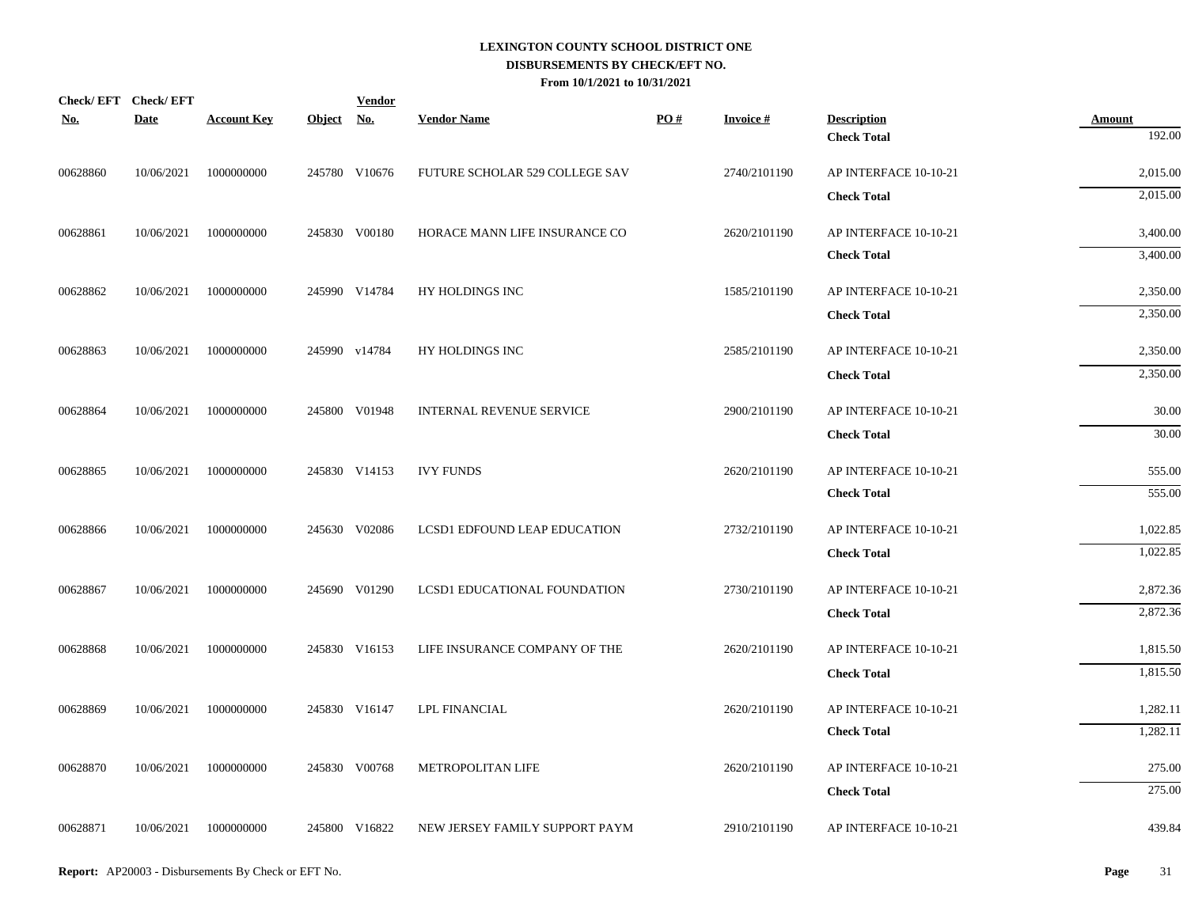| Check/EFT Check/EFT<br><b>No.</b> | Date       | <b>Account Key</b> | Object No. | <b>Vendor</b> | <b>Vendor Name</b>              | PO# | <b>Invoice#</b> | <b>Description</b>    | <b>Amount</b> |
|-----------------------------------|------------|--------------------|------------|---------------|---------------------------------|-----|-----------------|-----------------------|---------------|
|                                   |            |                    |            |               |                                 |     |                 | <b>Check Total</b>    | 192.00        |
| 00628860                          | 10/06/2021 | 1000000000         |            | 245780 V10676 | FUTURE SCHOLAR 529 COLLEGE SAV  |     | 2740/2101190    | AP INTERFACE 10-10-21 | 2,015.00      |
|                                   |            |                    |            |               |                                 |     |                 | <b>Check Total</b>    | 2,015.00      |
| 00628861                          | 10/06/2021 | 1000000000         |            | 245830 V00180 | HORACE MANN LIFE INSURANCE CO   |     | 2620/2101190    | AP INTERFACE 10-10-21 | 3,400.00      |
|                                   |            |                    |            |               |                                 |     |                 | <b>Check Total</b>    | 3,400.00      |
| 00628862                          | 10/06/2021 | 1000000000         |            | 245990 V14784 | HY HOLDINGS INC                 |     | 1585/2101190    | AP INTERFACE 10-10-21 | 2,350.00      |
|                                   |            |                    |            |               |                                 |     |                 | <b>Check Total</b>    | 2,350.00      |
| 00628863                          | 10/06/2021 | 1000000000         |            | 245990 v14784 | HY HOLDINGS INC                 |     | 2585/2101190    | AP INTERFACE 10-10-21 | 2,350.00      |
|                                   |            |                    |            |               |                                 |     |                 | <b>Check Total</b>    | 2,350.00      |
| 00628864                          | 10/06/2021 | 1000000000         |            | 245800 V01948 | <b>INTERNAL REVENUE SERVICE</b> |     | 2900/2101190    | AP INTERFACE 10-10-21 | 30.00         |
|                                   |            |                    |            |               |                                 |     |                 | <b>Check Total</b>    | 30.00         |
| 00628865                          | 10/06/2021 | 1000000000         |            | 245830 V14153 | <b>IVY FUNDS</b>                |     | 2620/2101190    | AP INTERFACE 10-10-21 | 555.00        |
|                                   |            |                    |            |               |                                 |     |                 | <b>Check Total</b>    | 555.00        |
| 00628866                          | 10/06/2021 | 1000000000         |            | 245630 V02086 | LCSD1 EDFOUND LEAP EDUCATION    |     | 2732/2101190    | AP INTERFACE 10-10-21 | 1,022.85      |
|                                   |            |                    |            |               |                                 |     |                 | <b>Check Total</b>    | 1,022.85      |
| 00628867                          | 10/06/2021 | 1000000000         |            | 245690 V01290 | LCSD1 EDUCATIONAL FOUNDATION    |     | 2730/2101190    | AP INTERFACE 10-10-21 | 2,872.36      |
|                                   |            |                    |            |               |                                 |     |                 | <b>Check Total</b>    | 2,872.36      |
| 00628868                          | 10/06/2021 | 1000000000         |            | 245830 V16153 | LIFE INSURANCE COMPANY OF THE   |     | 2620/2101190    | AP INTERFACE 10-10-21 | 1,815.50      |
|                                   |            |                    |            |               |                                 |     |                 | <b>Check Total</b>    | 1,815.50      |
| 00628869                          | 10/06/2021 | 1000000000         |            | 245830 V16147 | <b>LPL FINANCIAL</b>            |     | 2620/2101190    | AP INTERFACE 10-10-21 | 1,282.11      |
|                                   |            |                    |            |               |                                 |     |                 | <b>Check Total</b>    | 1,282.11      |
| 00628870                          | 10/06/2021 | 1000000000         |            | 245830 V00768 | METROPOLITAN LIFE               |     | 2620/2101190    | AP INTERFACE 10-10-21 | 275.00        |
|                                   |            |                    |            |               |                                 |     |                 | <b>Check Total</b>    | 275.00        |
| 00628871                          | 10/06/2021 | 1000000000         |            | 245800 V16822 | NEW JERSEY FAMILY SUPPORT PAYM  |     | 2910/2101190    | AP INTERFACE 10-10-21 | 439.84        |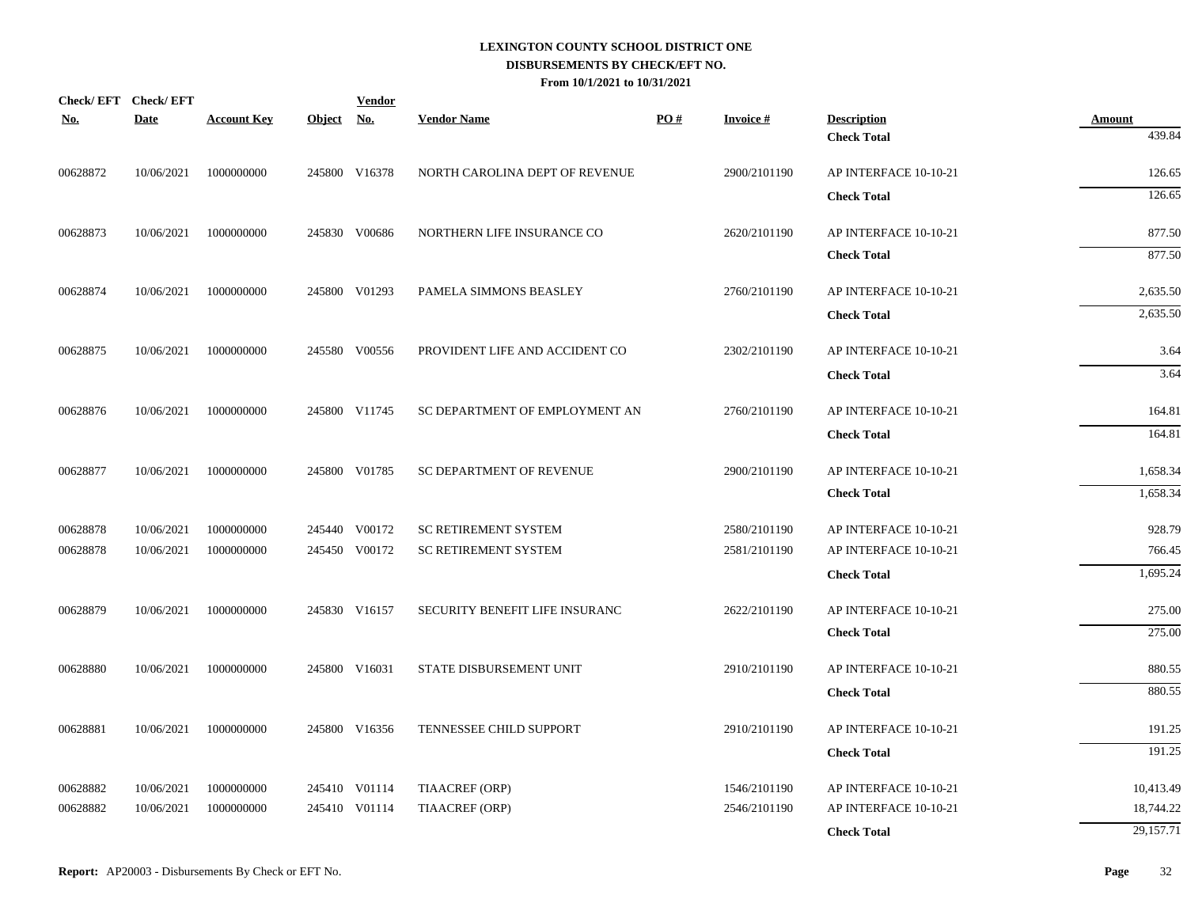| <u>No.</u> | Check/EFT Check/EFT<br><b>Date</b> | <b>Account Key</b> | Object No. | <b>Vendor</b> | <b>Vendor Name</b>             | PO# | Invoice #    | <b>Description</b>    | <b>Amount</b> |
|------------|------------------------------------|--------------------|------------|---------------|--------------------------------|-----|--------------|-----------------------|---------------|
|            |                                    |                    |            |               |                                |     |              | <b>Check Total</b>    | 439.84        |
| 00628872   | 10/06/2021                         | 1000000000         |            | 245800 V16378 | NORTH CAROLINA DEPT OF REVENUE |     | 2900/2101190 | AP INTERFACE 10-10-21 | 126.65        |
|            |                                    |                    |            |               |                                |     |              | <b>Check Total</b>    | 126.65        |
| 00628873   | 10/06/2021                         | 1000000000         |            | 245830 V00686 | NORTHERN LIFE INSURANCE CO     |     | 2620/2101190 | AP INTERFACE 10-10-21 | 877.50        |
|            |                                    |                    |            |               |                                |     |              | <b>Check Total</b>    | 877.50        |
| 00628874   | 10/06/2021                         | 1000000000         |            | 245800 V01293 | PAMELA SIMMONS BEASLEY         |     | 2760/2101190 | AP INTERFACE 10-10-21 | 2,635.50      |
|            |                                    |                    |            |               |                                |     |              | <b>Check Total</b>    | 2,635.50      |
| 00628875   | 10/06/2021                         | 1000000000         |            | 245580 V00556 | PROVIDENT LIFE AND ACCIDENT CO |     | 2302/2101190 | AP INTERFACE 10-10-21 | 3.64          |
|            |                                    |                    |            |               |                                |     |              | <b>Check Total</b>    | 3.64          |
| 00628876   | 10/06/2021                         | 1000000000         |            | 245800 V11745 | SC DEPARTMENT OF EMPLOYMENT AN |     | 2760/2101190 | AP INTERFACE 10-10-21 | 164.81        |
|            |                                    |                    |            |               |                                |     |              | <b>Check Total</b>    | 164.81        |
| 00628877   | 10/06/2021                         | 1000000000         |            | 245800 V01785 | SC DEPARTMENT OF REVENUE       |     | 2900/2101190 | AP INTERFACE 10-10-21 | 1,658.34      |
|            |                                    |                    |            |               |                                |     |              | <b>Check Total</b>    | 1,658.34      |
| 00628878   | 10/06/2021                         | 1000000000         |            | 245440 V00172 | SC RETIREMENT SYSTEM           |     | 2580/2101190 | AP INTERFACE 10-10-21 | 928.79        |
| 00628878   | 10/06/2021                         | 1000000000         |            | 245450 V00172 | SC RETIREMENT SYSTEM           |     | 2581/2101190 | AP INTERFACE 10-10-21 | 766.45        |
|            |                                    |                    |            |               |                                |     |              | <b>Check Total</b>    | 1,695.24      |
| 00628879   | 10/06/2021                         | 1000000000         |            | 245830 V16157 | SECURITY BENEFIT LIFE INSURANC |     | 2622/2101190 | AP INTERFACE 10-10-21 | 275.00        |
|            |                                    |                    |            |               |                                |     |              | <b>Check Total</b>    | 275.00        |
| 00628880   | 10/06/2021                         | 1000000000         |            | 245800 V16031 | STATE DISBURSEMENT UNIT        |     | 2910/2101190 | AP INTERFACE 10-10-21 | 880.55        |
|            |                                    |                    |            |               |                                |     |              | <b>Check Total</b>    | 880.55        |
| 00628881   | 10/06/2021                         | 1000000000         |            | 245800 V16356 | TENNESSEE CHILD SUPPORT        |     | 2910/2101190 | AP INTERFACE 10-10-21 | 191.25        |
|            |                                    |                    |            |               |                                |     |              | <b>Check Total</b>    | 191.25        |
| 00628882   | 10/06/2021                         | 1000000000         |            | 245410 V01114 | TIAACREF (ORP)                 |     | 1546/2101190 | AP INTERFACE 10-10-21 | 10,413.49     |
| 00628882   | 10/06/2021                         | 1000000000         |            | 245410 V01114 | TIAACREF (ORP)                 |     | 2546/2101190 | AP INTERFACE 10-10-21 | 18,744.22     |
|            |                                    |                    |            |               |                                |     |              | <b>Check Total</b>    | 29,157.71     |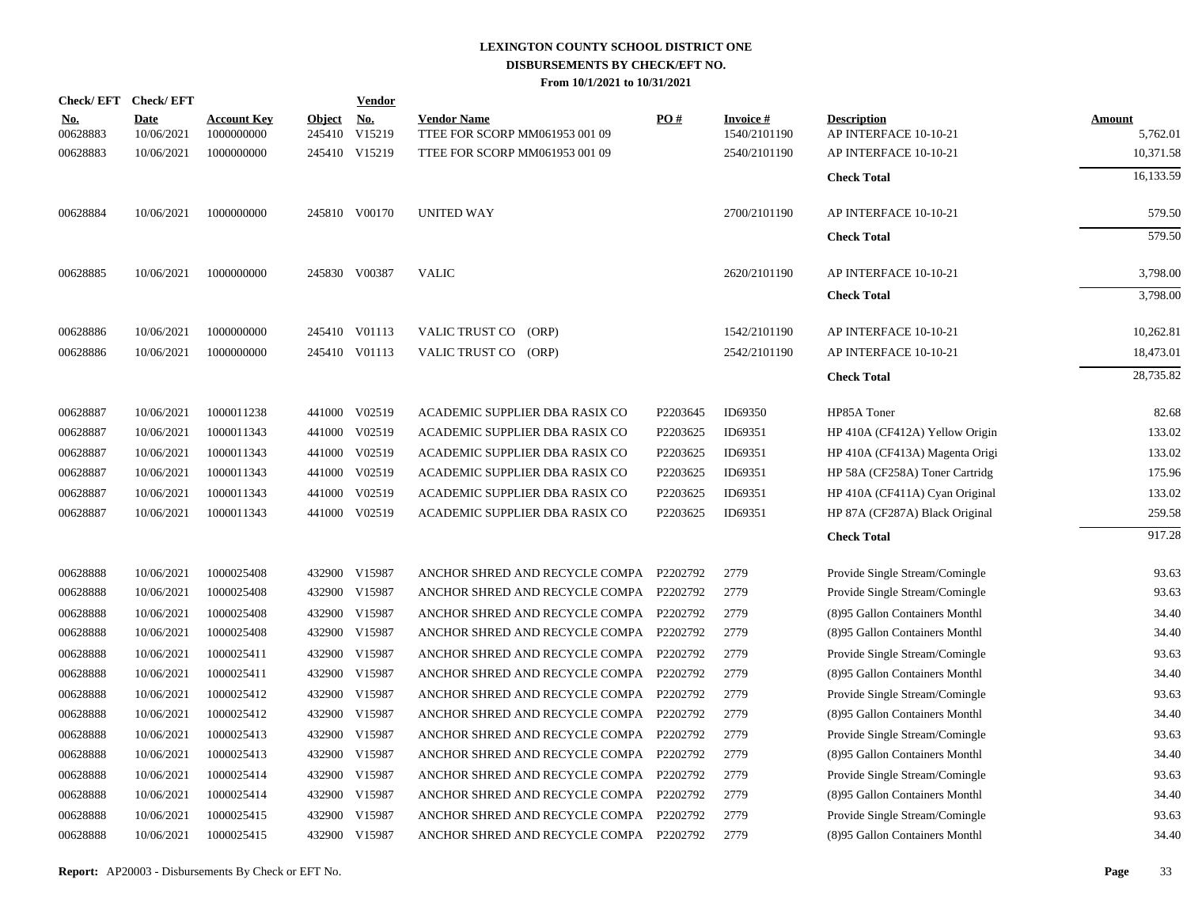|                        | Check/EFT Check/EFT       |                                  |                         | <b>Vendor</b>        |                                                      |          |                                 |                                             |                           |
|------------------------|---------------------------|----------------------------------|-------------------------|----------------------|------------------------------------------------------|----------|---------------------------------|---------------------------------------------|---------------------------|
| <u>No.</u><br>00628883 | <b>Date</b><br>10/06/2021 | <b>Account Key</b><br>1000000000 | <b>Object</b><br>245410 | <u>No.</u><br>V15219 | <b>Vendor Name</b><br>TTEE FOR SCORP MM061953 001 09 | PO#      | <b>Invoice#</b><br>1540/2101190 | <b>Description</b><br>AP INTERFACE 10-10-21 | <b>Amount</b><br>5,762.01 |
| 00628883               | 10/06/2021                | 1000000000                       |                         | 245410 V15219        | TTEE FOR SCORP MM061953 001 09                       |          | 2540/2101190                    | AP INTERFACE 10-10-21                       | 10,371.58                 |
|                        |                           |                                  |                         |                      |                                                      |          |                                 | <b>Check Total</b>                          | 16,133.59                 |
| 00628884               | 10/06/2021                | 1000000000                       |                         | 245810 V00170        | UNITED WAY                                           |          | 2700/2101190                    | AP INTERFACE 10-10-21                       | 579.50                    |
|                        |                           |                                  |                         |                      |                                                      |          |                                 | <b>Check Total</b>                          | 579.50                    |
| 00628885               | 10/06/2021                | 1000000000                       |                         | 245830 V00387        | <b>VALIC</b>                                         |          | 2620/2101190                    | AP INTERFACE 10-10-21                       | 3,798.00                  |
|                        |                           |                                  |                         |                      |                                                      |          |                                 | <b>Check Total</b>                          | 3,798.00                  |
| 00628886               | 10/06/2021                | 1000000000                       |                         | 245410 V01113        | VALIC TRUST CO (ORP)                                 |          | 1542/2101190                    | AP INTERFACE 10-10-21                       | 10,262.81                 |
| 00628886               | 10/06/2021                | 1000000000                       |                         | 245410 V01113        | VALIC TRUST CO (ORP)                                 |          | 2542/2101190                    | AP INTERFACE 10-10-21                       | 18,473.01                 |
|                        |                           |                                  |                         |                      |                                                      |          |                                 | <b>Check Total</b>                          | 28,735.82                 |
| 00628887               | 10/06/2021                | 1000011238                       |                         | 441000 V02519        | ACADEMIC SUPPLIER DBA RASIX CO                       | P2203645 | ID69350                         | HP85A Toner                                 | 82.68                     |
| 00628887               | 10/06/2021                | 1000011343                       |                         | 441000 V02519        | ACADEMIC SUPPLIER DBA RASIX CO                       | P2203625 | ID69351                         | HP 410A (CF412A) Yellow Origin              | 133.02                    |
| 00628887               | 10/06/2021                | 1000011343                       |                         | 441000 V02519        | ACADEMIC SUPPLIER DBA RASIX CO                       | P2203625 | ID69351                         | HP 410A (CF413A) Magenta Origi              | 133.02                    |
| 00628887               | 10/06/2021                | 1000011343                       |                         | 441000 V02519        | ACADEMIC SUPPLIER DBA RASIX CO                       | P2203625 | ID69351                         | HP 58A (CF258A) Toner Cartridg              | 175.96                    |
| 00628887               | 10/06/2021                | 1000011343                       |                         | 441000 V02519        | ACADEMIC SUPPLIER DBA RASIX CO                       | P2203625 | ID69351                         | HP 410A (CF411A) Cyan Original              | 133.02                    |
| 00628887               | 10/06/2021                | 1000011343                       |                         | 441000 V02519        | ACADEMIC SUPPLIER DBA RASIX CO                       | P2203625 | ID69351                         | HP 87A (CF287A) Black Original              | 259.58                    |
|                        |                           |                                  |                         |                      |                                                      |          |                                 | <b>Check Total</b>                          | 917.28                    |
| 00628888               | 10/06/2021                | 1000025408                       |                         | 432900 V15987        | ANCHOR SHRED AND RECYCLE COMPA P2202792              |          | 2779                            | Provide Single Stream/Comingle              | 93.63                     |
| 00628888               | 10/06/2021                | 1000025408                       |                         | 432900 V15987        | ANCHOR SHRED AND RECYCLE COMPA P2202792              |          | 2779                            | Provide Single Stream/Comingle              | 93.63                     |
| 00628888               | 10/06/2021                | 1000025408                       |                         | 432900 V15987        | ANCHOR SHRED AND RECYCLE COMPA P2202792              |          | 2779                            | (8)95 Gallon Containers Monthl              | 34.40                     |
| 00628888               | 10/06/2021                | 1000025408                       |                         | 432900 V15987        | ANCHOR SHRED AND RECYCLE COMPA P2202792              |          | 2779                            | (8)95 Gallon Containers Monthl              | 34.40                     |
| 00628888               | 10/06/2021                | 1000025411                       |                         | 432900 V15987        | ANCHOR SHRED AND RECYCLE COMPA P2202792              |          | 2779                            | Provide Single Stream/Comingle              | 93.63                     |
| 00628888               | 10/06/2021                | 1000025411                       |                         | 432900 V15987        | ANCHOR SHRED AND RECYCLE COMPA P2202792              |          | 2779                            | (8)95 Gallon Containers Monthl              | 34.40                     |
| 00628888               | 10/06/2021                | 1000025412                       |                         | 432900 V15987        | ANCHOR SHRED AND RECYCLE COMPA P2202792              |          | 2779                            | Provide Single Stream/Comingle              | 93.63                     |
| 00628888               | 10/06/2021                | 1000025412                       |                         | 432900 V15987        | ANCHOR SHRED AND RECYCLE COMPA P2202792              |          | 2779                            | (8)95 Gallon Containers Monthl              | 34.40                     |
| 00628888               | 10/06/2021                | 1000025413                       | 432900                  | V15987               | ANCHOR SHRED AND RECYCLE COMPA P2202792              |          | 2779                            | Provide Single Stream/Comingle              | 93.63                     |
| 00628888               | 10/06/2021                | 1000025413                       |                         | 432900 V15987        | ANCHOR SHRED AND RECYCLE COMPA P2202792              |          | 2779                            | (8)95 Gallon Containers Monthl              | 34.40                     |
| 00628888               | 10/06/2021                | 1000025414                       | 432900                  | V15987               | ANCHOR SHRED AND RECYCLE COMPA P2202792              |          | 2779                            | Provide Single Stream/Comingle              | 93.63                     |
| 00628888               | 10/06/2021                | 1000025414                       |                         | 432900 V15987        | ANCHOR SHRED AND RECYCLE COMPA P2202792              |          | 2779                            | (8)95 Gallon Containers Monthl              | 34.40                     |
| 00628888               | 10/06/2021                | 1000025415                       | 432900                  | V15987               | ANCHOR SHRED AND RECYCLE COMPA P2202792              |          | 2779                            | Provide Single Stream/Comingle              | 93.63                     |
| 00628888               | 10/06/2021                | 1000025415                       |                         | 432900 V15987        | ANCHOR SHRED AND RECYCLE COMPA P2202792              |          | 2779                            | (8)95 Gallon Containers Monthl              | 34.40                     |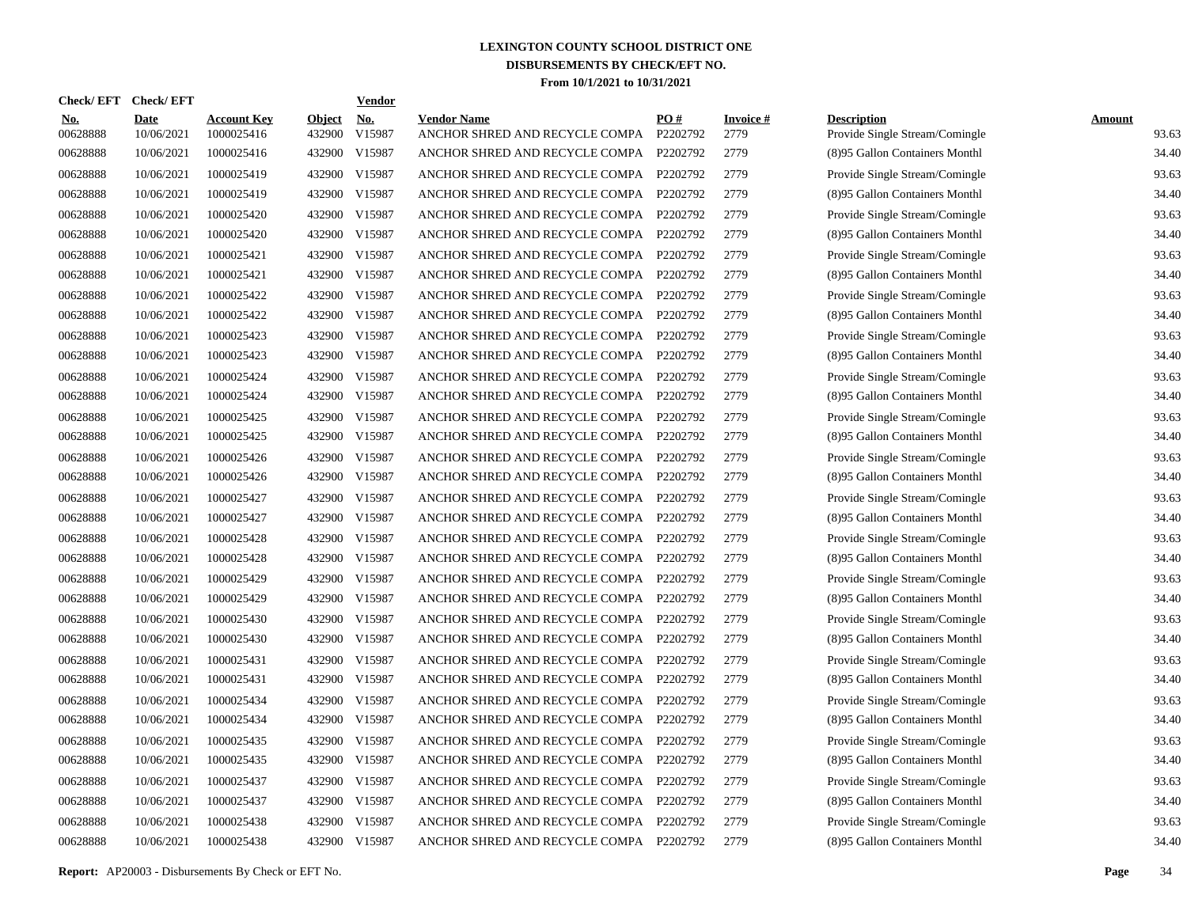| Check/EFT Check/EFT    |                           |                                  |                         | <b>Vendor</b> |                                                      |                 |                         |                                                      |                        |
|------------------------|---------------------------|----------------------------------|-------------------------|---------------|------------------------------------------------------|-----------------|-------------------------|------------------------------------------------------|------------------------|
| <u>No.</u><br>00628888 | <b>Date</b><br>10/06/2021 | <b>Account Key</b><br>1000025416 | <b>Object</b><br>432900 | No.<br>V15987 | <b>Vendor Name</b><br>ANCHOR SHRED AND RECYCLE COMPA | PO#<br>P2202792 | <b>Invoice#</b><br>2779 | <b>Description</b><br>Provide Single Stream/Comingle | <b>Amount</b><br>93.63 |
| 00628888               | 10/06/2021                | 1000025416                       |                         | 432900 V15987 | ANCHOR SHRED AND RECYCLE COMPA                       | P2202792        | 2779                    | (8)95 Gallon Containers Monthl                       | 34.40                  |
| 00628888               | 10/06/2021                | 1000025419                       | 432900                  | V15987        | ANCHOR SHRED AND RECYCLE COMPA P2202792              |                 | 2779                    | Provide Single Stream/Comingle                       | 93.63                  |
| 00628888               | 10/06/2021                | 1000025419                       |                         | 432900 V15987 | ANCHOR SHRED AND RECYCLE COMPA                       | P2202792        | 2779                    | (8)95 Gallon Containers Monthl                       | 34.40                  |
| 00628888               | 10/06/2021                | 1000025420                       |                         | 432900 V15987 | ANCHOR SHRED AND RECYCLE COMPA                       | P2202792        | 2779                    | Provide Single Stream/Comingle                       | 93.63                  |
| 00628888               | 10/06/2021                | 1000025420                       |                         | 432900 V15987 | ANCHOR SHRED AND RECYCLE COMPA                       | P2202792        | 2779                    | (8)95 Gallon Containers Monthl                       | 34.40                  |
| 00628888               | 10/06/2021                | 1000025421                       |                         | 432900 V15987 | ANCHOR SHRED AND RECYCLE COMPA                       | P2202792        | 2779                    | Provide Single Stream/Comingle                       | 93.63                  |
| 00628888               | 10/06/2021                | 1000025421                       |                         | 432900 V15987 | ANCHOR SHRED AND RECYCLE COMPA                       | P2202792        | 2779                    | (8)95 Gallon Containers Monthl                       | 34.40                  |
| 00628888               | 10/06/2021                | 1000025422                       |                         | 432900 V15987 | ANCHOR SHRED AND RECYCLE COMPA                       | P2202792        | 2779                    | Provide Single Stream/Comingle                       | 93.63                  |
| 00628888               | 10/06/2021                | 1000025422                       |                         | 432900 V15987 | ANCHOR SHRED AND RECYCLE COMPA                       | P2202792        | 2779                    | (8)95 Gallon Containers Monthl                       | 34.40                  |
| 00628888               | 10/06/2021                | 1000025423                       |                         | 432900 V15987 | ANCHOR SHRED AND RECYCLE COMPA                       | P2202792        | 2779                    | Provide Single Stream/Comingle                       | 93.63                  |
| 00628888               | 10/06/2021                | 1000025423                       |                         | 432900 V15987 | ANCHOR SHRED AND RECYCLE COMPA                       | P2202792        | 2779                    | (8)95 Gallon Containers Monthl                       | 34.40                  |
| 00628888               | 10/06/2021                | 1000025424                       |                         | 432900 V15987 | ANCHOR SHRED AND RECYCLE COMPA                       | P2202792        | 2779                    | Provide Single Stream/Comingle                       | 93.63                  |
| 00628888               | 10/06/2021                | 1000025424                       |                         | 432900 V15987 | ANCHOR SHRED AND RECYCLE COMPA                       | P2202792        | 2779                    | (8)95 Gallon Containers Monthl                       | 34.40                  |
| 00628888               | 10/06/2021                | 1000025425                       |                         | 432900 V15987 | ANCHOR SHRED AND RECYCLE COMPA                       | P2202792        | 2779                    | Provide Single Stream/Comingle                       | 93.63                  |
| 00628888               | 10/06/2021                | 1000025425                       |                         | 432900 V15987 | ANCHOR SHRED AND RECYCLE COMPA                       | P2202792        | 2779                    | (8)95 Gallon Containers Monthl                       | 34.40                  |
| 00628888               | 10/06/2021                | 1000025426                       |                         | 432900 V15987 | ANCHOR SHRED AND RECYCLE COMPA                       | P2202792        | 2779                    | Provide Single Stream/Comingle                       | 93.63                  |
| 00628888               | 10/06/2021                | 1000025426                       |                         | 432900 V15987 | ANCHOR SHRED AND RECYCLE COMPA                       | P2202792        | 2779                    | (8)95 Gallon Containers Monthl                       | 34.40                  |
| 00628888               | 10/06/2021                | 1000025427                       |                         | 432900 V15987 | ANCHOR SHRED AND RECYCLE COMPA                       | P2202792        | 2779                    | Provide Single Stream/Comingle                       | 93.63                  |
| 00628888               | 10/06/2021                | 1000025427                       |                         | 432900 V15987 | ANCHOR SHRED AND RECYCLE COMPA P2202792              |                 | 2779                    | (8)95 Gallon Containers Monthl                       | 34.40                  |
| 00628888               | 10/06/2021                | 1000025428                       |                         | 432900 V15987 | ANCHOR SHRED AND RECYCLE COMPA                       | P2202792        | 2779                    | Provide Single Stream/Comingle                       | 93.63                  |
| 00628888               | 10/06/2021                | 1000025428                       |                         | 432900 V15987 | ANCHOR SHRED AND RECYCLE COMPA P2202792              |                 | 2779                    | (8)95 Gallon Containers Monthl                       | 34.40                  |
| 00628888               | 10/06/2021                | 1000025429                       |                         | 432900 V15987 | ANCHOR SHRED AND RECYCLE COMPA                       | P2202792        | 2779                    | Provide Single Stream/Comingle                       | 93.63                  |
| 00628888               | 10/06/2021                | 1000025429                       |                         | 432900 V15987 | ANCHOR SHRED AND RECYCLE COMPA P2202792              |                 | 2779                    | (8)95 Gallon Containers Monthl                       | 34.40                  |
| 00628888               | 10/06/2021                | 1000025430                       |                         | 432900 V15987 | ANCHOR SHRED AND RECYCLE COMPA                       | P2202792        | 2779                    | Provide Single Stream/Comingle                       | 93.63                  |
| 00628888               | 10/06/2021                | 1000025430                       |                         | 432900 V15987 | ANCHOR SHRED AND RECYCLE COMPA P2202792              |                 | 2779                    | (8)95 Gallon Containers Monthl                       | 34.40                  |
| 00628888               | 10/06/2021                | 1000025431                       |                         | 432900 V15987 | ANCHOR SHRED AND RECYCLE COMPA                       | P2202792        | 2779                    | Provide Single Stream/Comingle                       | 93.63                  |
| 00628888               | 10/06/2021                | 1000025431                       |                         | 432900 V15987 | ANCHOR SHRED AND RECYCLE COMPA P2202792              |                 | 2779                    | (8)95 Gallon Containers Monthl                       | 34.40                  |
| 00628888               | 10/06/2021                | 1000025434                       |                         | 432900 V15987 | ANCHOR SHRED AND RECYCLE COMPA                       | P2202792        | 2779                    | Provide Single Stream/Comingle                       | 93.63                  |
| 00628888               | 10/06/2021                | 1000025434                       |                         | 432900 V15987 | ANCHOR SHRED AND RECYCLE COMPA P2202792              |                 | 2779                    | (8)95 Gallon Containers Monthl                       | 34.40                  |
| 00628888               | 10/06/2021                | 1000025435                       |                         | 432900 V15987 | ANCHOR SHRED AND RECYCLE COMPA P2202792              |                 | 2779                    | Provide Single Stream/Comingle                       | 93.63                  |
| 00628888               | 10/06/2021                | 1000025435                       |                         | 432900 V15987 | ANCHOR SHRED AND RECYCLE COMPA P2202792              |                 | 2779                    | (8)95 Gallon Containers Monthl                       | 34.40                  |
| 00628888               | 10/06/2021                | 1000025437                       |                         | 432900 V15987 | ANCHOR SHRED AND RECYCLE COMPA P2202792              |                 | 2779                    | Provide Single Stream/Comingle                       | 93.63                  |
| 00628888               | 10/06/2021                | 1000025437                       |                         | 432900 V15987 | ANCHOR SHRED AND RECYCLE COMPA P2202792              |                 | 2779                    | (8)95 Gallon Containers Monthl                       | 34.40                  |
| 00628888               | 10/06/2021                | 1000025438                       | 432900                  | V15987        | ANCHOR SHRED AND RECYCLE COMPA                       | P2202792        | 2779                    | Provide Single Stream/Comingle                       | 93.63                  |
| 00628888               | 10/06/2021                | 1000025438                       |                         | 432900 V15987 | ANCHOR SHRED AND RECYCLE COMPA P2202792              |                 | 2779                    | (8)95 Gallon Containers Monthl                       | 34.40                  |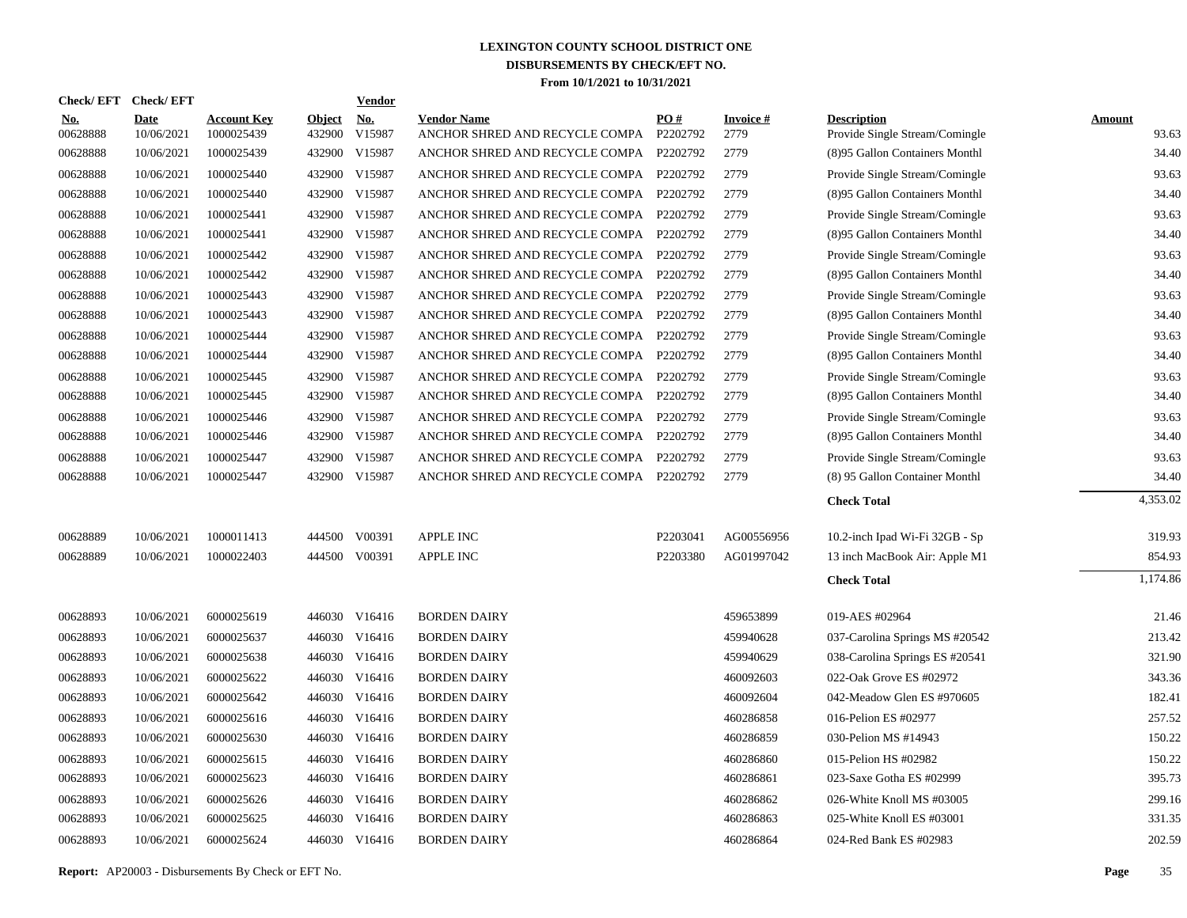| <b>Check/EFT</b>       | <b>Check/EFT</b>          |                                  |                         | <b>Vendor</b>        |                                                      |                 |                         |                                                      |                        |
|------------------------|---------------------------|----------------------------------|-------------------------|----------------------|------------------------------------------------------|-----------------|-------------------------|------------------------------------------------------|------------------------|
| <u>No.</u><br>00628888 | <b>Date</b><br>10/06/2021 | <b>Account Key</b><br>1000025439 | <b>Object</b><br>432900 | <u>No.</u><br>V15987 | <b>Vendor Name</b><br>ANCHOR SHRED AND RECYCLE COMPA | PO#<br>P2202792 | <b>Invoice#</b><br>2779 | <b>Description</b><br>Provide Single Stream/Comingle | <b>Amount</b><br>93.63 |
| 00628888               | 10/06/2021                | 1000025439                       | 432900                  | V15987               | ANCHOR SHRED AND RECYCLE COMPA                       | P2202792        | 2779                    | (8)95 Gallon Containers Monthl                       | 34.40                  |
| 00628888               | 10/06/2021                | 1000025440                       | 432900                  | V15987               | ANCHOR SHRED AND RECYCLE COMPA                       | P2202792        | 2779                    | Provide Single Stream/Comingle                       | 93.63                  |
| 00628888               | 10/06/2021                | 1000025440                       | 432900                  | V15987               | ANCHOR SHRED AND RECYCLE COMPA                       | P2202792        | 2779                    | (8)95 Gallon Containers Monthl                       | 34.40                  |
| 00628888               | 10/06/2021                | 1000025441                       | 432900                  | V15987               | ANCHOR SHRED AND RECYCLE COMPA                       | P2202792        | 2779                    | Provide Single Stream/Comingle                       | 93.63                  |
| 00628888               | 10/06/2021                | 1000025441                       | 432900                  | V15987               | ANCHOR SHRED AND RECYCLE COMPA                       | P2202792        | 2779                    | (8)95 Gallon Containers Monthl                       | 34.40                  |
| 00628888               | 10/06/2021                | 1000025442                       | 432900                  | V15987               | ANCHOR SHRED AND RECYCLE COMPA                       | P2202792        | 2779                    | Provide Single Stream/Comingle                       | 93.63                  |
| 00628888               | 10/06/2021                | 1000025442                       | 432900                  | V15987               | ANCHOR SHRED AND RECYCLE COMPA                       | P2202792        | 2779                    | (8)95 Gallon Containers Monthl                       | 34.40                  |
| 00628888               | 10/06/2021                | 1000025443                       | 432900                  | V15987               | ANCHOR SHRED AND RECYCLE COMPA                       | P2202792        | 2779                    | Provide Single Stream/Comingle                       | 93.63                  |
| 00628888               | 10/06/2021                | 1000025443                       | 432900                  | V15987               | ANCHOR SHRED AND RECYCLE COMPA                       | P2202792        | 2779                    | (8)95 Gallon Containers Monthl                       | 34.40                  |
| 00628888               | 10/06/2021                | 1000025444                       | 432900                  | V15987               | ANCHOR SHRED AND RECYCLE COMPA                       | P2202792        | 2779                    | Provide Single Stream/Comingle                       | 93.63                  |
| 00628888               | 10/06/2021                | 1000025444                       |                         | 432900 V15987        | ANCHOR SHRED AND RECYCLE COMPA                       | P2202792        | 2779                    | (8)95 Gallon Containers Monthl                       | 34.40                  |
| 00628888               | 10/06/2021                | 1000025445                       | 432900                  | V15987               | ANCHOR SHRED AND RECYCLE COMPA                       | P2202792        | 2779                    | Provide Single Stream/Comingle                       | 93.63                  |
| 00628888               | 10/06/2021                | 1000025445                       |                         | 432900 V15987        | ANCHOR SHRED AND RECYCLE COMPA                       | P2202792        | 2779                    | (8)95 Gallon Containers Monthl                       | 34.40                  |
| 00628888               | 10/06/2021                | 1000025446                       | 432900                  | V15987               | ANCHOR SHRED AND RECYCLE COMPA                       | P2202792        | 2779                    | Provide Single Stream/Comingle                       | 93.63                  |
| 00628888               | 10/06/2021                | 1000025446                       |                         | 432900 V15987        | ANCHOR SHRED AND RECYCLE COMPA                       | P2202792        | 2779                    | (8)95 Gallon Containers Monthl                       | 34.40                  |
| 00628888               | 10/06/2021                | 1000025447                       | 432900                  | V15987               | ANCHOR SHRED AND RECYCLE COMPA                       | P2202792        | 2779                    | Provide Single Stream/Comingle                       | 93.63                  |
| 00628888               | 10/06/2021                | 1000025447                       |                         | 432900 V15987        | ANCHOR SHRED AND RECYCLE COMPA P2202792              |                 | 2779                    | (8) 95 Gallon Container Monthl                       | 34.40                  |
|                        |                           |                                  |                         |                      |                                                      |                 |                         | <b>Check Total</b>                                   | 4,353.02               |
| 00628889               | 10/06/2021                | 1000011413                       | 444500                  | V00391               | <b>APPLE INC</b>                                     | P2203041        | AG00556956              | 10.2-inch Ipad Wi-Fi 32GB - Sp                       | 319.93                 |
| 00628889               | 10/06/2021                | 1000022403                       |                         | 444500 V00391        | <b>APPLE INC</b>                                     | P2203380        | AG01997042              | 13 inch MacBook Air: Apple M1                        | 854.93                 |
|                        |                           |                                  |                         |                      |                                                      |                 |                         | <b>Check Total</b>                                   | 1,174.86               |
| 00628893               | 10/06/2021                | 6000025619                       |                         | 446030 V16416        | <b>BORDEN DAIRY</b>                                  |                 | 459653899               | 019-AES #02964                                       | 21.46                  |
| 00628893               | 10/06/2021                | 6000025637                       | 446030                  | V16416               | <b>BORDEN DAIRY</b>                                  |                 | 459940628               | 037-Carolina Springs MS #20542                       | 213.42                 |
| 00628893               | 10/06/2021                | 6000025638                       |                         | 446030 V16416        | <b>BORDEN DAIRY</b>                                  |                 | 459940629               | 038-Carolina Springs ES #20541                       | 321.90                 |
| 00628893               | 10/06/2021                | 6000025622                       | 446030                  | V16416               | <b>BORDEN DAIRY</b>                                  |                 | 460092603               | 022-Oak Grove ES #02972                              | 343.36                 |
| 00628893               | 10/06/2021                | 6000025642                       |                         | 446030 V16416        | <b>BORDEN DAIRY</b>                                  |                 | 460092604               | 042-Meadow Glen ES #970605                           | 182.41                 |
| 00628893               | 10/06/2021                | 6000025616                       | 446030                  | V16416               | <b>BORDEN DAIRY</b>                                  |                 | 460286858               | 016-Pelion ES #02977                                 | 257.52                 |
| 00628893               | 10/06/2021                | 6000025630                       |                         | 446030 V16416        | <b>BORDEN DAIRY</b>                                  |                 | 460286859               | 030-Pelion MS #14943                                 | 150.22                 |
| 00628893               | 10/06/2021                | 6000025615                       | 446030                  | V16416               | <b>BORDEN DAIRY</b>                                  |                 | 460286860               | 015-Pelion HS #02982                                 | 150.22                 |
| 00628893               | 10/06/2021                | 6000025623                       |                         | 446030 V16416        | <b>BORDEN DAIRY</b>                                  |                 | 460286861               | 023-Saxe Gotha ES #02999                             | 395.73                 |
| 00628893               | 10/06/2021                | 6000025626                       |                         | 446030 V16416        | <b>BORDEN DAIRY</b>                                  |                 | 460286862               | 026-White Knoll MS #03005                            | 299.16                 |
| 00628893               | 10/06/2021                | 6000025625                       | 446030                  | V16416               | <b>BORDEN DAIRY</b>                                  |                 | 460286863               | 025-White Knoll ES #03001                            | 331.35                 |
| 00628893               | 10/06/2021                | 6000025624                       |                         | 446030 V16416        | <b>BORDEN DAIRY</b>                                  |                 | 460286864               | 024-Red Bank ES #02983                               | 202.59                 |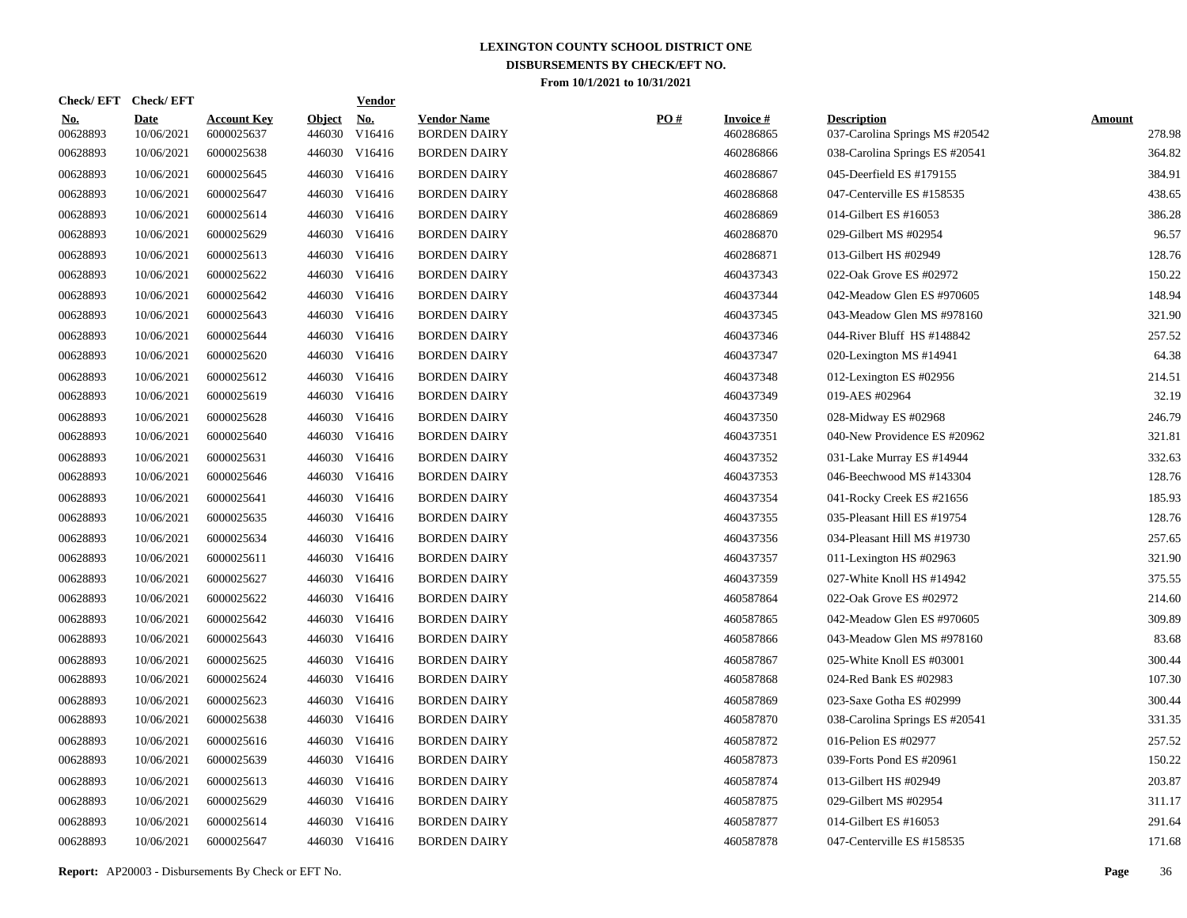| <b>Check/EFT</b>          |                                  |                         | <u>Vendor</u>        |                                                                                                                                                                                                                                                                                                                                                                                                                                                                                                                                                          |     |                              |                                                      |                         |
|---------------------------|----------------------------------|-------------------------|----------------------|----------------------------------------------------------------------------------------------------------------------------------------------------------------------------------------------------------------------------------------------------------------------------------------------------------------------------------------------------------------------------------------------------------------------------------------------------------------------------------------------------------------------------------------------------------|-----|------------------------------|------------------------------------------------------|-------------------------|
| <b>Date</b><br>10/06/2021 | <b>Account Key</b><br>6000025637 | <b>Object</b><br>446030 | <u>No.</u><br>V16416 | <b>Vendor Name</b><br><b>BORDEN DAIRY</b>                                                                                                                                                                                                                                                                                                                                                                                                                                                                                                                | PO# | <b>Invoice#</b><br>460286865 | <b>Description</b><br>037-Carolina Springs MS #20542 | <b>Amount</b><br>278.98 |
| 10/06/2021                | 6000025638                       | 446030                  | V16416               | <b>BORDEN DAIRY</b>                                                                                                                                                                                                                                                                                                                                                                                                                                                                                                                                      |     | 460286866                    | 038-Carolina Springs ES #20541                       | 364.82                  |
| 10/06/2021                | 6000025645                       |                         | V16416               | <b>BORDEN DAIRY</b>                                                                                                                                                                                                                                                                                                                                                                                                                                                                                                                                      |     | 460286867                    | 045-Deerfield ES #179155                             | 384.91                  |
| 10/06/2021                | 6000025647                       |                         |                      | <b>BORDEN DAIRY</b>                                                                                                                                                                                                                                                                                                                                                                                                                                                                                                                                      |     | 460286868                    | 047-Centerville ES #158535                           | 438.65                  |
| 10/06/2021                | 6000025614                       |                         |                      | <b>BORDEN DAIRY</b>                                                                                                                                                                                                                                                                                                                                                                                                                                                                                                                                      |     | 460286869                    | 014-Gilbert ES #16053                                | 386.28                  |
| 10/06/2021                | 6000025629                       |                         |                      | <b>BORDEN DAIRY</b>                                                                                                                                                                                                                                                                                                                                                                                                                                                                                                                                      |     | 460286870                    | 029-Gilbert MS #02954                                | 96.57                   |
| 10/06/2021                | 6000025613                       |                         |                      | <b>BORDEN DAIRY</b>                                                                                                                                                                                                                                                                                                                                                                                                                                                                                                                                      |     | 460286871                    | 013-Gilbert HS #02949                                | 128.76                  |
| 10/06/2021                | 6000025622                       |                         |                      | <b>BORDEN DAIRY</b>                                                                                                                                                                                                                                                                                                                                                                                                                                                                                                                                      |     | 460437343                    | 022-Oak Grove ES #02972                              | 150.22                  |
| 10/06/2021                | 6000025642                       |                         |                      | <b>BORDEN DAIRY</b>                                                                                                                                                                                                                                                                                                                                                                                                                                                                                                                                      |     | 460437344                    | 042-Meadow Glen ES #970605                           | 148.94                  |
| 10/06/2021                | 6000025643                       |                         |                      | <b>BORDEN DAIRY</b>                                                                                                                                                                                                                                                                                                                                                                                                                                                                                                                                      |     | 460437345                    | 043-Meadow Glen MS #978160                           | 321.90                  |
| 10/06/2021                | 6000025644                       |                         |                      | <b>BORDEN DAIRY</b>                                                                                                                                                                                                                                                                                                                                                                                                                                                                                                                                      |     | 460437346                    | 044-River Bluff HS #148842                           | 257.52                  |
| 10/06/2021                | 6000025620                       |                         |                      | <b>BORDEN DAIRY</b>                                                                                                                                                                                                                                                                                                                                                                                                                                                                                                                                      |     | 460437347                    | 020-Lexington MS #14941                              | 64.38                   |
| 10/06/2021                | 6000025612                       |                         |                      | <b>BORDEN DAIRY</b>                                                                                                                                                                                                                                                                                                                                                                                                                                                                                                                                      |     | 460437348                    | 012-Lexington ES #02956                              | 214.51                  |
| 10/06/2021                | 6000025619                       |                         |                      | <b>BORDEN DAIRY</b>                                                                                                                                                                                                                                                                                                                                                                                                                                                                                                                                      |     | 460437349                    | 019-AES #02964                                       | 32.19                   |
| 10/06/2021                | 6000025628                       |                         |                      | <b>BORDEN DAIRY</b>                                                                                                                                                                                                                                                                                                                                                                                                                                                                                                                                      |     | 460437350                    | 028-Midway ES #02968                                 | 246.79                  |
| 10/06/2021                | 6000025640                       |                         |                      | <b>BORDEN DAIRY</b>                                                                                                                                                                                                                                                                                                                                                                                                                                                                                                                                      |     | 460437351                    | 040-New Providence ES #20962                         | 321.81                  |
| 10/06/2021                | 6000025631                       |                         |                      | <b>BORDEN DAIRY</b>                                                                                                                                                                                                                                                                                                                                                                                                                                                                                                                                      |     | 460437352                    | 031-Lake Murray ES #14944                            | 332.63                  |
| 10/06/2021                | 6000025646                       |                         |                      | <b>BORDEN DAIRY</b>                                                                                                                                                                                                                                                                                                                                                                                                                                                                                                                                      |     | 460437353                    | 046-Beechwood MS #143304                             | 128.76                  |
| 10/06/2021                | 6000025641                       |                         |                      | <b>BORDEN DAIRY</b>                                                                                                                                                                                                                                                                                                                                                                                                                                                                                                                                      |     | 460437354                    | 041-Rocky Creek ES #21656                            | 185.93                  |
| 10/06/2021                | 6000025635                       |                         |                      | <b>BORDEN DAIRY</b>                                                                                                                                                                                                                                                                                                                                                                                                                                                                                                                                      |     | 460437355                    | 035-Pleasant Hill ES #19754                          | 128.76                  |
| 10/06/2021                | 6000025634                       |                         |                      | <b>BORDEN DAIRY</b>                                                                                                                                                                                                                                                                                                                                                                                                                                                                                                                                      |     | 460437356                    | 034-Pleasant Hill MS #19730                          | 257.65                  |
| 10/06/2021                | 6000025611                       |                         |                      | <b>BORDEN DAIRY</b>                                                                                                                                                                                                                                                                                                                                                                                                                                                                                                                                      |     | 460437357                    | 011-Lexington HS #02963                              | 321.90                  |
| 10/06/2021                | 6000025627                       |                         |                      | <b>BORDEN DAIRY</b>                                                                                                                                                                                                                                                                                                                                                                                                                                                                                                                                      |     | 460437359                    | 027-White Knoll HS #14942                            | 375.55                  |
| 10/06/2021                | 6000025622                       |                         |                      | <b>BORDEN DAIRY</b>                                                                                                                                                                                                                                                                                                                                                                                                                                                                                                                                      |     | 460587864                    | 022-Oak Grove ES #02972                              | 214.60                  |
| 10/06/2021                | 6000025642                       |                         |                      | <b>BORDEN DAIRY</b>                                                                                                                                                                                                                                                                                                                                                                                                                                                                                                                                      |     | 460587865                    | 042-Meadow Glen ES #970605                           | 309.89                  |
| 10/06/2021                | 6000025643                       |                         |                      | <b>BORDEN DAIRY</b>                                                                                                                                                                                                                                                                                                                                                                                                                                                                                                                                      |     | 460587866                    | 043-Meadow Glen MS #978160                           | 83.68                   |
| 10/06/2021                | 6000025625                       |                         |                      | <b>BORDEN DAIRY</b>                                                                                                                                                                                                                                                                                                                                                                                                                                                                                                                                      |     | 460587867                    | 025-White Knoll ES #03001                            | 300.44                  |
| 10/06/2021                | 6000025624                       |                         |                      | <b>BORDEN DAIRY</b>                                                                                                                                                                                                                                                                                                                                                                                                                                                                                                                                      |     | 460587868                    | 024-Red Bank ES #02983                               | 107.30                  |
| 10/06/2021                | 6000025623                       |                         |                      | <b>BORDEN DAIRY</b>                                                                                                                                                                                                                                                                                                                                                                                                                                                                                                                                      |     | 460587869                    | 023-Saxe Gotha ES #02999                             | 300.44                  |
| 10/06/2021                | 6000025638                       |                         |                      | <b>BORDEN DAIRY</b>                                                                                                                                                                                                                                                                                                                                                                                                                                                                                                                                      |     | 460587870                    | 038-Carolina Springs ES #20541                       | 331.35                  |
| 10/06/2021                | 6000025616                       |                         | V16416               | <b>BORDEN DAIRY</b>                                                                                                                                                                                                                                                                                                                                                                                                                                                                                                                                      |     | 460587872                    | 016-Pelion ES #02977                                 | 257.52                  |
| 10/06/2021                | 6000025639                       |                         |                      | <b>BORDEN DAIRY</b>                                                                                                                                                                                                                                                                                                                                                                                                                                                                                                                                      |     | 460587873                    | 039-Forts Pond ES #20961                             | 150.22                  |
| 10/06/2021                | 6000025613                       |                         | V16416               | <b>BORDEN DAIRY</b>                                                                                                                                                                                                                                                                                                                                                                                                                                                                                                                                      |     | 460587874                    | 013-Gilbert HS #02949                                | 203.87                  |
| 10/06/2021                | 6000025629                       |                         |                      | <b>BORDEN DAIRY</b>                                                                                                                                                                                                                                                                                                                                                                                                                                                                                                                                      |     | 460587875                    | 029-Gilbert MS #02954                                | 311.17                  |
| 10/06/2021                | 6000025614                       | 446030                  | V16416               | <b>BORDEN DAIRY</b>                                                                                                                                                                                                                                                                                                                                                                                                                                                                                                                                      |     | 460587877                    | 014-Gilbert ES #16053                                | 291.64                  |
| 10/06/2021                | 6000025647                       |                         |                      | <b>BORDEN DAIRY</b>                                                                                                                                                                                                                                                                                                                                                                                                                                                                                                                                      |     | 460587878                    | 047-Centerville ES #158535                           | 171.68                  |
|                           |                                  |                         |                      | 446030<br>446030 V16416<br>446030 V16416<br>446030 V16416<br>446030 V16416<br>446030 V16416<br>446030 V16416<br>446030 V16416<br>446030 V16416<br>446030 V16416<br>446030 V16416<br>446030 V16416<br>446030 V16416<br>446030 V16416<br>446030 V16416<br>446030 V16416<br>446030 V16416<br>446030 V16416<br>446030 V16416<br>446030 V16416<br>446030 V16416<br>446030 V16416<br>446030 V16416<br>446030 V16416<br>446030 V16416<br>446030 V16416<br>446030 V16416<br>446030 V16416<br>446030<br>446030 V16416<br>446030<br>446030 V16416<br>446030 V16416 |     |                              |                                                      |                         |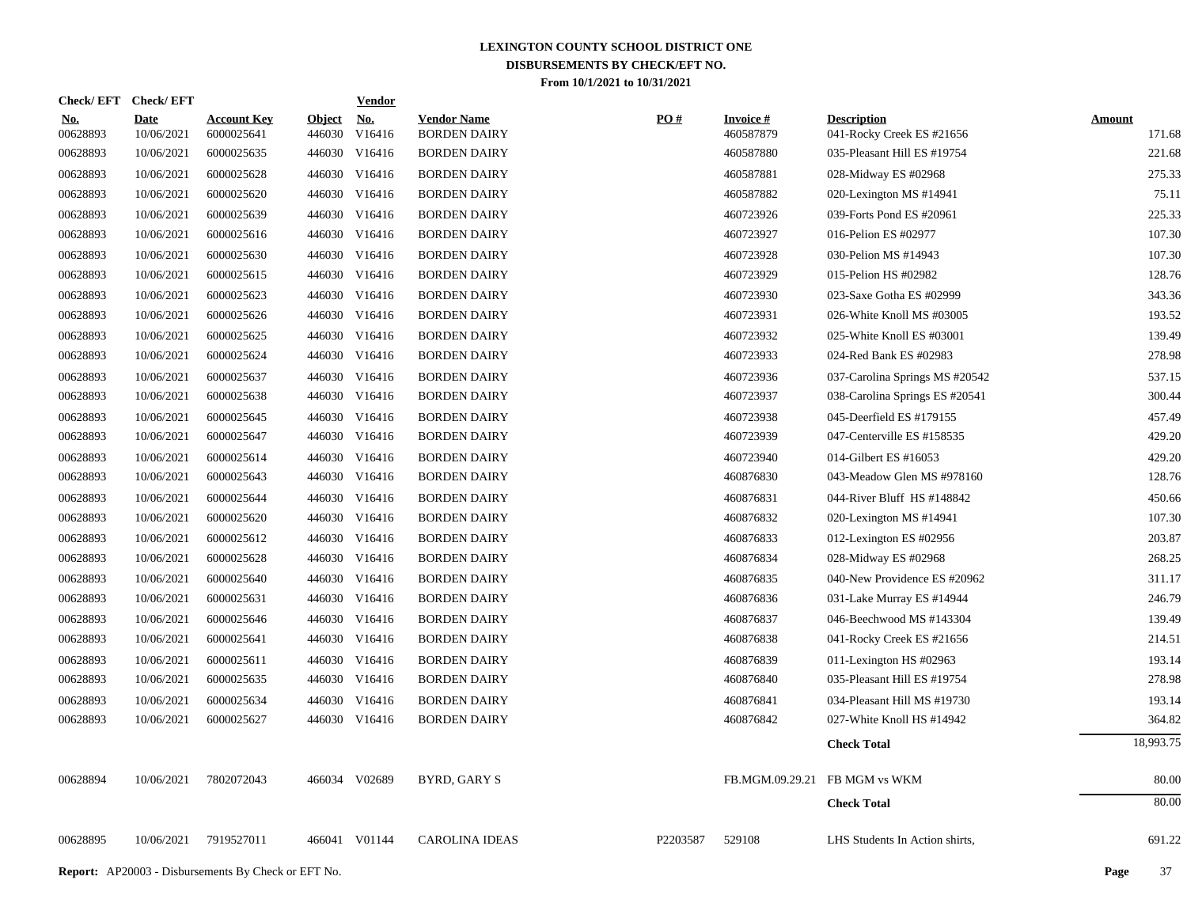| <b>Check/EFT</b>       | <b>Check/EFT</b>          |                                  |                         | <b>Vendor</b>                       |                                           |          |                              |                                                 |                         |
|------------------------|---------------------------|----------------------------------|-------------------------|-------------------------------------|-------------------------------------------|----------|------------------------------|-------------------------------------------------|-------------------------|
| <u>No.</u><br>00628893 | <b>Date</b><br>10/06/2021 | <b>Account Key</b><br>6000025641 | <b>Object</b><br>446030 | $\underline{\mathrm{No}}$<br>V16416 | <b>Vendor Name</b><br><b>BORDEN DAIRY</b> | PO#      | <b>Invoice#</b><br>460587879 | <b>Description</b><br>041-Rocky Creek ES #21656 | <b>Amount</b><br>171.68 |
| 00628893               | 10/06/2021                | 6000025635                       | 446030                  | V16416                              | <b>BORDEN DAIRY</b>                       |          | 460587880                    | 035-Pleasant Hill ES #19754                     | 221.68                  |
| 00628893               | 10/06/2021                | 6000025628                       |                         | 446030 V16416                       | <b>BORDEN DAIRY</b>                       |          | 460587881                    | 028-Midway ES #02968                            | 275.33                  |
| 00628893               | 10/06/2021                | 6000025620                       |                         | 446030 V16416                       | <b>BORDEN DAIRY</b>                       |          | 460587882                    | 020-Lexington MS #14941                         | 75.11                   |
| 00628893               | 10/06/2021                | 6000025639                       |                         | 446030 V16416                       | <b>BORDEN DAIRY</b>                       |          | 460723926                    | 039-Forts Pond ES #20961                        | 225.33                  |
| 00628893               | 10/06/2021                | 6000025616                       |                         | 446030 V16416                       | <b>BORDEN DAIRY</b>                       |          | 460723927                    | 016-Pelion ES #02977                            | 107.30                  |
| 00628893               | 10/06/2021                | 6000025630                       |                         | 446030 V16416                       | <b>BORDEN DAIRY</b>                       |          | 460723928                    | 030-Pelion MS #14943                            | 107.30                  |
| 00628893               | 10/06/2021                | 6000025615                       |                         | 446030 V16416                       | <b>BORDEN DAIRY</b>                       |          | 460723929                    | 015-Pelion HS #02982                            | 128.76                  |
| 00628893               | 10/06/2021                | 6000025623                       |                         | 446030 V16416                       | <b>BORDEN DAIRY</b>                       |          | 460723930                    | 023-Saxe Gotha ES #02999                        | 343.36                  |
| 00628893               | 10/06/2021                | 6000025626                       |                         | 446030 V16416                       | <b>BORDEN DAIRY</b>                       |          | 460723931                    | 026-White Knoll MS #03005                       | 193.52                  |
| 00628893               | 10/06/2021                | 6000025625                       |                         | 446030 V16416                       | <b>BORDEN DAIRY</b>                       |          | 460723932                    | 025-White Knoll ES #03001                       | 139.49                  |
| 00628893               | 10/06/2021                | 6000025624                       |                         | 446030 V16416                       | <b>BORDEN DAIRY</b>                       |          | 460723933                    | 024-Red Bank ES #02983                          | 278.98                  |
| 00628893               | 10/06/2021                | 6000025637                       |                         | 446030 V16416                       | <b>BORDEN DAIRY</b>                       |          | 460723936                    | 037-Carolina Springs MS #20542                  | 537.15                  |
| 00628893               | 10/06/2021                | 6000025638                       |                         | 446030 V16416                       | <b>BORDEN DAIRY</b>                       |          | 460723937                    | 038-Carolina Springs ES #20541                  | 300.44                  |
| 00628893               | 10/06/2021                | 6000025645                       |                         | 446030 V16416                       | <b>BORDEN DAIRY</b>                       |          | 460723938                    | 045-Deerfield ES #179155                        | 457.49                  |
| 00628893               | 10/06/2021                | 6000025647                       |                         | 446030 V16416                       | <b>BORDEN DAIRY</b>                       |          | 460723939                    | 047-Centerville ES #158535                      | 429.20                  |
| 00628893               | 10/06/2021                | 6000025614                       |                         | 446030 V16416                       | <b>BORDEN DAIRY</b>                       |          | 460723940                    | 014-Gilbert ES #16053                           | 429.20                  |
| 00628893               | 10/06/2021                | 6000025643                       |                         | 446030 V16416                       | <b>BORDEN DAIRY</b>                       |          | 460876830                    | 043-Meadow Glen MS #978160                      | 128.76                  |
| 00628893               | 10/06/2021                | 6000025644                       |                         | 446030 V16416                       | <b>BORDEN DAIRY</b>                       |          | 460876831                    | 044-River Bluff HS #148842                      | 450.66                  |
| 00628893               | 10/06/2021                | 6000025620                       |                         | 446030 V16416                       | <b>BORDEN DAIRY</b>                       |          | 460876832                    | 020-Lexington MS #14941                         | 107.30                  |
| 00628893               | 10/06/2021                | 6000025612                       |                         | 446030 V16416                       | <b>BORDEN DAIRY</b>                       |          | 460876833                    | 012-Lexington ES #02956                         | 203.87                  |
| 00628893               | 10/06/2021                | 6000025628                       |                         | 446030 V16416                       | <b>BORDEN DAIRY</b>                       |          | 460876834                    | 028-Midway ES #02968                            | 268.25                  |
| 00628893               | 10/06/2021                | 6000025640                       |                         | 446030 V16416                       | <b>BORDEN DAIRY</b>                       |          | 460876835                    | 040-New Providence ES #20962                    | 311.17                  |
| 00628893               | 10/06/2021                | 6000025631                       |                         | 446030 V16416                       | <b>BORDEN DAIRY</b>                       |          | 460876836                    | 031-Lake Murray ES #14944                       | 246.79                  |
| 00628893               | 10/06/2021                | 6000025646                       |                         | 446030 V16416                       | <b>BORDEN DAIRY</b>                       |          | 460876837                    | 046-Beechwood MS #143304                        | 139.49                  |
| 00628893               | 10/06/2021                | 6000025641                       |                         | 446030 V16416                       | <b>BORDEN DAIRY</b>                       |          | 460876838                    | 041-Rocky Creek ES #21656                       | 214.51                  |
| 00628893               | 10/06/2021                | 6000025611                       |                         | 446030 V16416                       | <b>BORDEN DAIRY</b>                       |          | 460876839                    | 011-Lexington HS $#02963$                       | 193.14                  |
| 00628893               | 10/06/2021                | 6000025635                       |                         | 446030 V16416                       | <b>BORDEN DAIRY</b>                       |          | 460876840                    | 035-Pleasant Hill ES #19754                     | 278.98                  |
| 00628893               | 10/06/2021                | 6000025634                       |                         | 446030 V16416                       | <b>BORDEN DAIRY</b>                       |          | 460876841                    | 034-Pleasant Hill MS #19730                     | 193.14                  |
| 00628893               | 10/06/2021                | 6000025627                       |                         | 446030 V16416                       | <b>BORDEN DAIRY</b>                       |          | 460876842                    | 027-White Knoll HS #14942                       | 364.82                  |
|                        |                           |                                  |                         |                                     |                                           |          |                              | <b>Check Total</b>                              | 18,993.75               |
| 00628894               | 10/06/2021                | 7802072043                       |                         | 466034 V02689                       | <b>BYRD, GARY S</b>                       |          |                              | FB.MGM.09.29.21 FB MGM vs WKM                   | 80.00                   |
|                        |                           |                                  |                         |                                     |                                           |          |                              | <b>Check Total</b>                              | 80.00                   |
| 00628895               | 10/06/2021                | 7919527011                       |                         | 466041 V01144                       | <b>CAROLINA IDEAS</b>                     | P2203587 | 529108                       | LHS Students In Action shirts,                  | 691.22                  |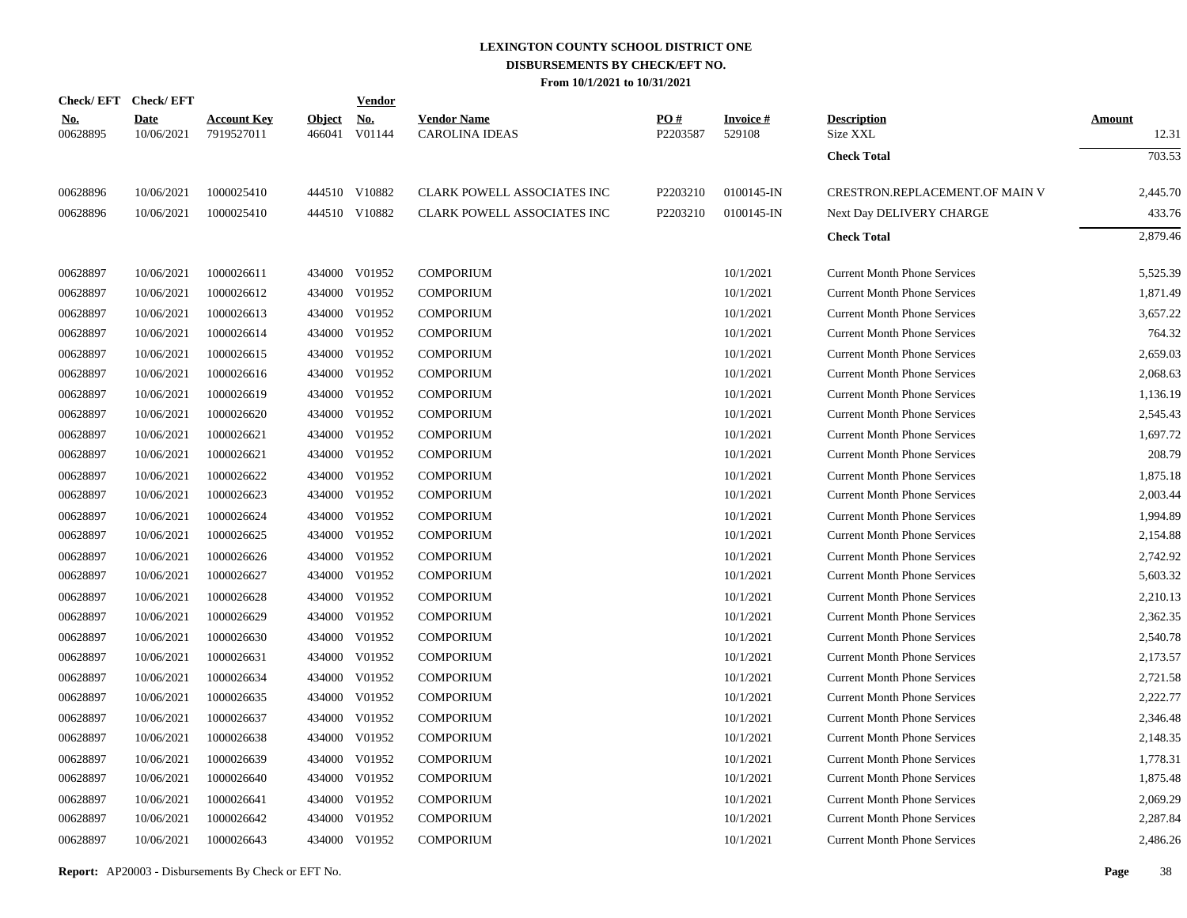|                        | Check/EFT Check/EFT       |                                  |                         | <u>Vendor</u> |                                             |                 |                           |                                     |                        |
|------------------------|---------------------------|----------------------------------|-------------------------|---------------|---------------------------------------------|-----------------|---------------------------|-------------------------------------|------------------------|
| <u>No.</u><br>00628895 | <b>Date</b><br>10/06/2021 | <b>Account Key</b><br>7919527011 | <b>Object</b><br>466041 | No.<br>V01144 | <b>Vendor Name</b><br><b>CAROLINA IDEAS</b> | PO#<br>P2203587 | <b>Invoice#</b><br>529108 | <b>Description</b><br>Size XXL      | <b>Amount</b><br>12.31 |
|                        |                           |                                  |                         |               |                                             |                 |                           | <b>Check Total</b>                  | 703.53                 |
| 00628896               | 10/06/2021                | 1000025410                       |                         | 444510 V10882 | CLARK POWELL ASSOCIATES INC                 | P2203210        | 0100145-IN                | CRESTRON.REPLACEMENT.OF MAIN V      | 2,445.70               |
| 00628896               | 10/06/2021                | 1000025410                       |                         | 444510 V10882 | CLARK POWELL ASSOCIATES INC                 | P2203210        | 0100145-IN                | Next Day DELIVERY CHARGE            | 433.76                 |
|                        |                           |                                  |                         |               |                                             |                 |                           | <b>Check Total</b>                  | 2,879.46               |
| 00628897               | 10/06/2021                | 1000026611                       |                         | 434000 V01952 | <b>COMPORIUM</b>                            |                 | 10/1/2021                 | <b>Current Month Phone Services</b> | 5,525.39               |
| 00628897               | 10/06/2021                | 1000026612                       |                         | 434000 V01952 | <b>COMPORIUM</b>                            |                 | 10/1/2021                 | <b>Current Month Phone Services</b> | 1,871.49               |
| 00628897               | 10/06/2021                | 1000026613                       | 434000                  | V01952        | <b>COMPORIUM</b>                            |                 | 10/1/2021                 | <b>Current Month Phone Services</b> | 3,657.22               |
| 00628897               | 10/06/2021                | 1000026614                       |                         | 434000 V01952 | <b>COMPORIUM</b>                            |                 | 10/1/2021                 | <b>Current Month Phone Services</b> | 764.32                 |
| 00628897               | 10/06/2021                | 1000026615                       | 434000                  | V01952        | <b>COMPORIUM</b>                            |                 | 10/1/2021                 | <b>Current Month Phone Services</b> | 2,659.03               |
| 00628897               | 10/06/2021                | 1000026616                       | 434000                  | V01952        | <b>COMPORIUM</b>                            |                 | 10/1/2021                 | <b>Current Month Phone Services</b> | 2,068.63               |
| 00628897               | 10/06/2021                | 1000026619                       | 434000                  | V01952        | <b>COMPORIUM</b>                            |                 | 10/1/2021                 | <b>Current Month Phone Services</b> | 1,136.19               |
| 00628897               | 10/06/2021                | 1000026620                       | 434000                  | V01952        | <b>COMPORIUM</b>                            |                 | 10/1/2021                 | <b>Current Month Phone Services</b> | 2,545.43               |
| 00628897               | 10/06/2021                | 1000026621                       | 434000                  | V01952        | <b>COMPORIUM</b>                            |                 | 10/1/2021                 | <b>Current Month Phone Services</b> | 1,697.72               |
| 00628897               | 10/06/2021                | 1000026621                       | 434000                  | V01952        | <b>COMPORIUM</b>                            |                 | 10/1/2021                 | <b>Current Month Phone Services</b> | 208.79                 |
| 00628897               | 10/06/2021                | 1000026622                       | 434000                  | V01952        | <b>COMPORIUM</b>                            |                 | 10/1/2021                 | <b>Current Month Phone Services</b> | 1,875.18               |
| 00628897               | 10/06/2021                | 1000026623                       | 434000                  | V01952        | <b>COMPORIUM</b>                            |                 | 10/1/2021                 | <b>Current Month Phone Services</b> | 2,003.44               |
| 00628897               | 10/06/2021                | 1000026624                       | 434000                  | V01952        | <b>COMPORIUM</b>                            |                 | 10/1/2021                 | <b>Current Month Phone Services</b> | 1,994.89               |
| 00628897               | 10/06/2021                | 1000026625                       | 434000                  | V01952        | <b>COMPORIUM</b>                            |                 | 10/1/2021                 | <b>Current Month Phone Services</b> | 2,154.88               |
| 00628897               | 10/06/2021                | 1000026626                       | 434000                  | V01952        | <b>COMPORIUM</b>                            |                 | 10/1/2021                 | <b>Current Month Phone Services</b> | 2,742.92               |
| 00628897               | 10/06/2021                | 1000026627                       | 434000                  | V01952        | <b>COMPORIUM</b>                            |                 | 10/1/2021                 | <b>Current Month Phone Services</b> | 5,603.32               |
| 00628897               | 10/06/2021                | 1000026628                       | 434000                  | V01952        | <b>COMPORIUM</b>                            |                 | 10/1/2021                 | <b>Current Month Phone Services</b> | 2,210.13               |
| 00628897               | 10/06/2021                | 1000026629                       | 434000                  | V01952        | <b>COMPORIUM</b>                            |                 | 10/1/2021                 | <b>Current Month Phone Services</b> | 2,362.35               |
| 00628897               | 10/06/2021                | 1000026630                       | 434000                  | V01952        | <b>COMPORIUM</b>                            |                 | 10/1/2021                 | <b>Current Month Phone Services</b> | 2,540.78               |
| 00628897               | 10/06/2021                | 1000026631                       | 434000                  | V01952        | <b>COMPORIUM</b>                            |                 | 10/1/2021                 | <b>Current Month Phone Services</b> | 2,173.57               |
| 00628897               | 10/06/2021                | 1000026634                       | 434000                  | V01952        | <b>COMPORIUM</b>                            |                 | 10/1/2021                 | <b>Current Month Phone Services</b> | 2,721.58               |
| 00628897               | 10/06/2021                | 1000026635                       | 434000                  | V01952        | <b>COMPORIUM</b>                            |                 | 10/1/2021                 | <b>Current Month Phone Services</b> | 2,222.77               |
| 00628897               | 10/06/2021                | 1000026637                       | 434000                  | V01952        | <b>COMPORIUM</b>                            |                 | 10/1/2021                 | <b>Current Month Phone Services</b> | 2,346.48               |
| 00628897               | 10/06/2021                | 1000026638                       | 434000                  | V01952        | <b>COMPORIUM</b>                            |                 | 10/1/2021                 | <b>Current Month Phone Services</b> | 2,148.35               |
| 00628897               | 10/06/2021                | 1000026639                       | 434000                  | V01952        | <b>COMPORIUM</b>                            |                 | 10/1/2021                 | <b>Current Month Phone Services</b> | 1,778.31               |
| 00628897               | 10/06/2021                | 1000026640                       | 434000                  | V01952        | <b>COMPORIUM</b>                            |                 | 10/1/2021                 | <b>Current Month Phone Services</b> | 1,875.48               |
| 00628897               | 10/06/2021                | 1000026641                       | 434000                  | V01952        | COMPORIUM                                   |                 | 10/1/2021                 | <b>Current Month Phone Services</b> | 2,069.29               |
| 00628897               | 10/06/2021                | 1000026642                       | 434000                  | V01952        | <b>COMPORIUM</b>                            |                 | 10/1/2021                 | <b>Current Month Phone Services</b> | 2,287.84               |
| 00628897               | 10/06/2021                | 1000026643                       |                         | 434000 V01952 | <b>COMPORIUM</b>                            |                 | 10/1/2021                 | <b>Current Month Phone Services</b> | 2,486.26               |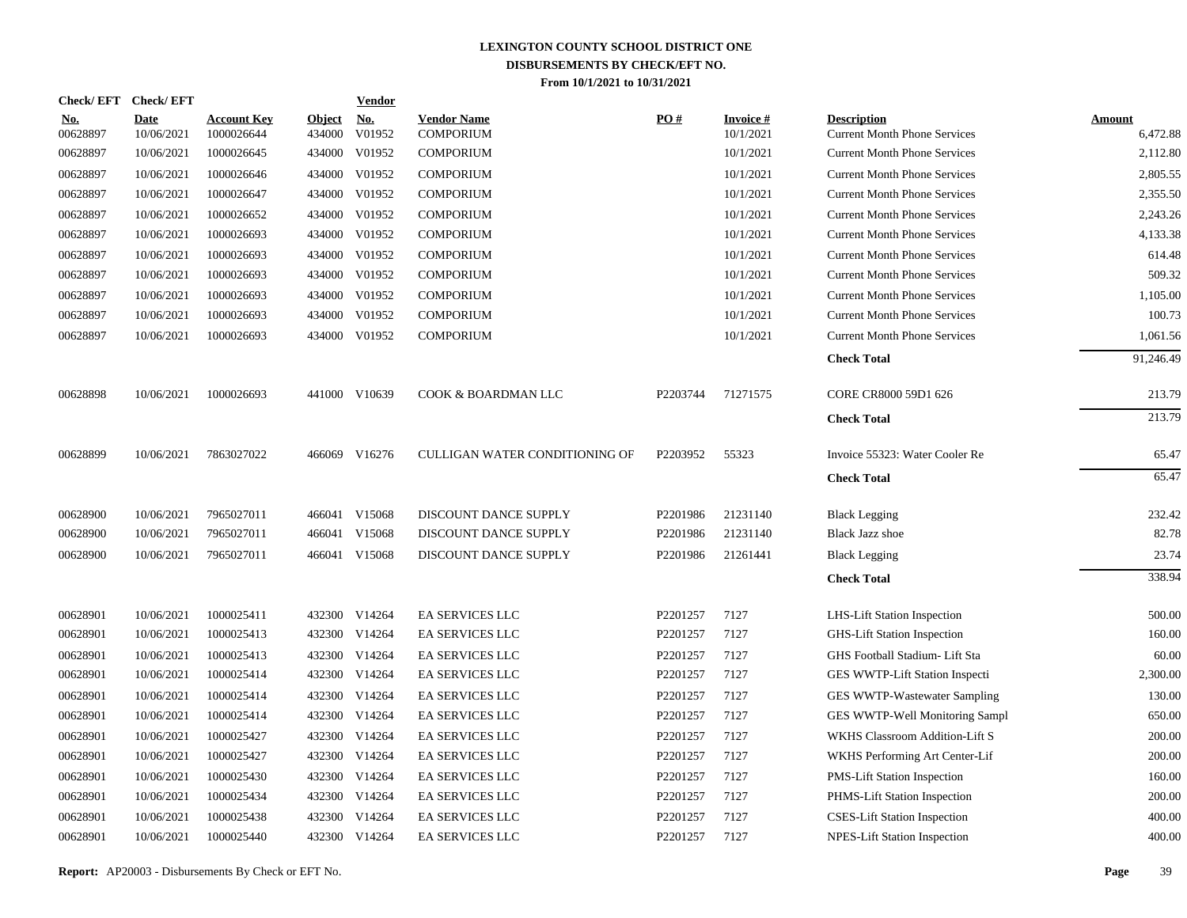|                        | Check/EFT Check/EFT       |                                  |                         | <b>Vendor</b>        |                                        |          |                              |                                                           |                           |
|------------------------|---------------------------|----------------------------------|-------------------------|----------------------|----------------------------------------|----------|------------------------------|-----------------------------------------------------------|---------------------------|
| <u>No.</u><br>00628897 | <b>Date</b><br>10/06/2021 | <b>Account Key</b><br>1000026644 | <b>Object</b><br>434000 | <u>No.</u><br>V01952 | <b>Vendor Name</b><br><b>COMPORIUM</b> | PO#      | <b>Invoice#</b><br>10/1/2021 | <b>Description</b><br><b>Current Month Phone Services</b> | <b>Amount</b><br>6,472.88 |
| 00628897               | 10/06/2021                | 1000026645                       | 434000                  | V01952               | <b>COMPORIUM</b>                       |          | 10/1/2021                    | <b>Current Month Phone Services</b>                       | 2,112.80                  |
| 00628897               | 10/06/2021                | 1000026646                       | 434000                  | V01952               | <b>COMPORIUM</b>                       |          | 10/1/2021                    | <b>Current Month Phone Services</b>                       | 2,805.55                  |
| 00628897               | 10/06/2021                | 1000026647                       | 434000                  | V01952               | <b>COMPORIUM</b>                       |          | 10/1/2021                    | <b>Current Month Phone Services</b>                       | 2,355.50                  |
| 00628897               | 10/06/2021                | 1000026652                       | 434000                  | V01952               | <b>COMPORIUM</b>                       |          | 10/1/2021                    | <b>Current Month Phone Services</b>                       | 2,243.26                  |
| 00628897               | 10/06/2021                | 1000026693                       | 434000                  | V01952               | <b>COMPORIUM</b>                       |          | 10/1/2021                    | <b>Current Month Phone Services</b>                       | 4,133.38                  |
| 00628897               | 10/06/2021                | 1000026693                       | 434000                  | V01952               | <b>COMPORIUM</b>                       |          | 10/1/2021                    | <b>Current Month Phone Services</b>                       | 614.48                    |
| 00628897               | 10/06/2021                | 1000026693                       | 434000                  | V01952               | <b>COMPORIUM</b>                       |          | 10/1/2021                    | <b>Current Month Phone Services</b>                       | 509.32                    |
| 00628897               | 10/06/2021                | 1000026693                       | 434000                  | V01952               | <b>COMPORIUM</b>                       |          | 10/1/2021                    | <b>Current Month Phone Services</b>                       | 1,105.00                  |
| 00628897               | 10/06/2021                | 1000026693                       | 434000                  | V01952               | <b>COMPORIUM</b>                       |          | 10/1/2021                    | <b>Current Month Phone Services</b>                       | 100.73                    |
| 00628897               | 10/06/2021                | 1000026693                       | 434000                  | V01952               | <b>COMPORIUM</b>                       |          | 10/1/2021                    | <b>Current Month Phone Services</b>                       | 1,061.56                  |
|                        |                           |                                  |                         |                      |                                        |          |                              | <b>Check Total</b>                                        | 91,246.49                 |
| 00628898               | 10/06/2021                | 1000026693                       |                         | 441000 V10639        | COOK & BOARDMAN LLC                    | P2203744 | 71271575                     | CORE CR8000 59D1 626                                      | 213.79                    |
|                        |                           |                                  |                         |                      |                                        |          |                              | <b>Check Total</b>                                        | 213.79                    |
| 00628899               | 10/06/2021                | 7863027022                       |                         | 466069 V16276        | CULLIGAN WATER CONDITIONING OF         | P2203952 | 55323                        | Invoice 55323: Water Cooler Re                            | 65.47                     |
|                        |                           |                                  |                         |                      |                                        |          |                              | <b>Check Total</b>                                        | 65.47                     |
| 00628900               | 10/06/2021                | 7965027011                       |                         | 466041 V15068        | DISCOUNT DANCE SUPPLY                  | P2201986 | 21231140                     | <b>Black Legging</b>                                      | 232.42                    |
| 00628900               | 10/06/2021                | 7965027011                       | 466041                  | V15068               | DISCOUNT DANCE SUPPLY                  | P2201986 | 21231140                     | <b>Black Jazz shoe</b>                                    | 82.78                     |
| 00628900               | 10/06/2021                | 7965027011                       |                         | 466041 V15068        | DISCOUNT DANCE SUPPLY                  | P2201986 | 21261441                     | <b>Black Legging</b>                                      | 23.74                     |
|                        |                           |                                  |                         |                      |                                        |          |                              | <b>Check Total</b>                                        | 338.94                    |
| 00628901               | 10/06/2021                | 1000025411                       |                         | 432300 V14264        | <b>EA SERVICES LLC</b>                 | P2201257 | 7127                         | LHS-Lift Station Inspection                               | 500.00                    |
| 00628901               | 10/06/2021                | 1000025413                       |                         | 432300 V14264        | EA SERVICES LLC                        | P2201257 | 7127                         | GHS-Lift Station Inspection                               | 160.00                    |
| 00628901               | 10/06/2021                | 1000025413                       |                         | 432300 V14264        | <b>EA SERVICES LLC</b>                 | P2201257 | 7127                         | GHS Football Stadium- Lift Sta                            | 60.00                     |
| 00628901               | 10/06/2021                | 1000025414                       |                         | 432300 V14264        | EA SERVICES LLC                        | P2201257 | 7127                         | GES WWTP-Lift Station Inspecti                            | 2,300.00                  |
| 00628901               | 10/06/2021                | 1000025414                       | 432300                  | V14264               | EA SERVICES LLC                        | P2201257 | 7127                         | GES WWTP-Wastewater Sampling                              | 130.00                    |
| 00628901               | 10/06/2021                | 1000025414                       |                         | 432300 V14264        | <b>EA SERVICES LLC</b>                 | P2201257 | 7127                         | GES WWTP-Well Monitoring Sampl                            | 650.00                    |
| 00628901               | 10/06/2021                | 1000025427                       | 432300                  | V14264               | <b>EA SERVICES LLC</b>                 | P2201257 | 7127                         | WKHS Classroom Addition-Lift S                            | 200.00                    |
| 00628901               | 10/06/2021                | 1000025427                       |                         | 432300 V14264        | EA SERVICES LLC                        | P2201257 | 7127                         | WKHS Performing Art Center-Lif                            | 200.00                    |
| 00628901               | 10/06/2021                | 1000025430                       | 432300                  | V14264               | EA SERVICES LLC                        | P2201257 | 7127                         | PMS-Lift Station Inspection                               | 160.00                    |
| 00628901               | 10/06/2021                | 1000025434                       | 432300                  | V14264               | <b>EA SERVICES LLC</b>                 | P2201257 | 7127                         | PHMS-Lift Station Inspection                              | 200.00                    |
| 00628901               | 10/06/2021                | 1000025438                       | 432300                  | V14264               | EA SERVICES LLC                        | P2201257 | 7127                         | <b>CSES-Lift Station Inspection</b>                       | 400.00                    |
| 00628901               | 10/06/2021                | 1000025440                       |                         | 432300 V14264        | EA SERVICES LLC                        | P2201257 | 7127                         | <b>NPES-Lift Station Inspection</b>                       | 400.00                    |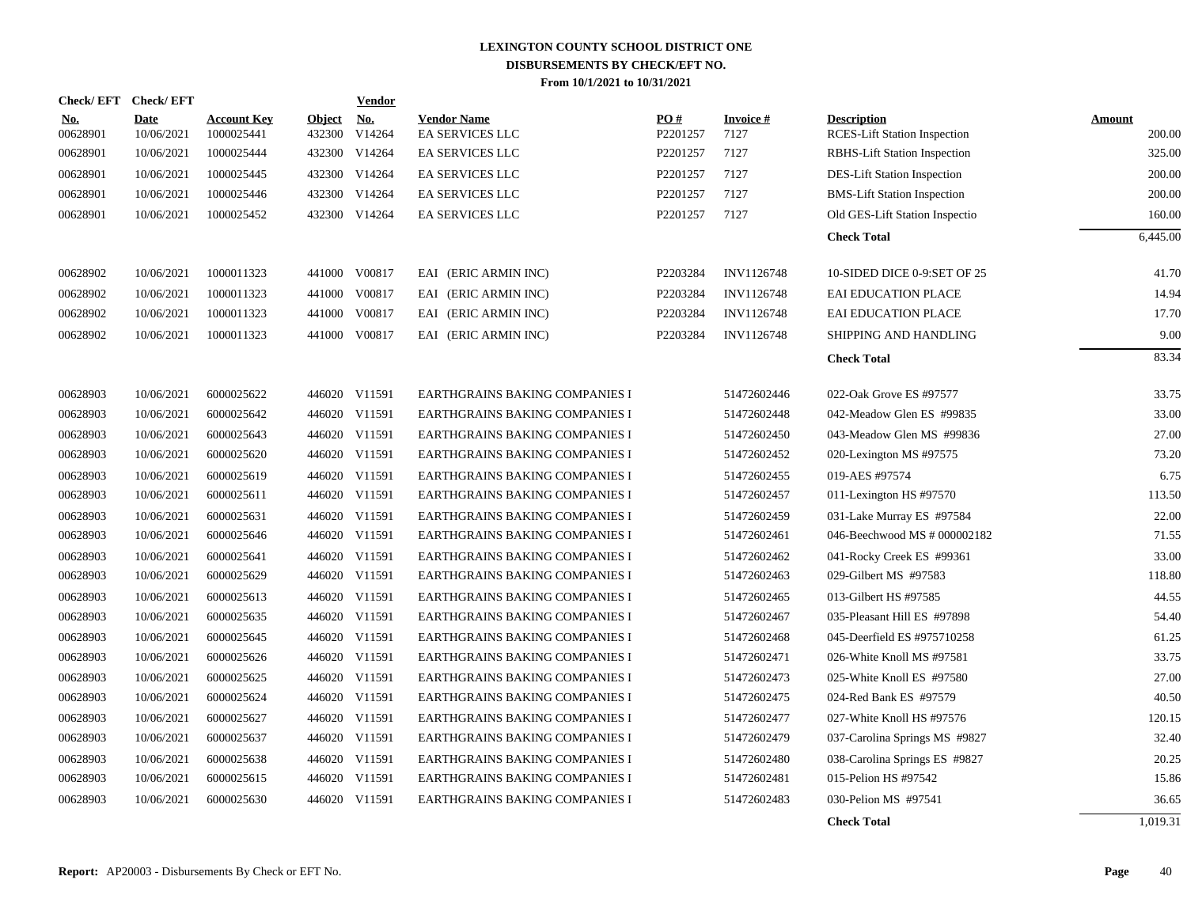|                        | Check/EFT Check/EFT       |                                  |                         | <b>Vendor</b> |                                              |                 |                   |                                                           |                  |
|------------------------|---------------------------|----------------------------------|-------------------------|---------------|----------------------------------------------|-----------------|-------------------|-----------------------------------------------------------|------------------|
| <b>No.</b><br>00628901 | <b>Date</b><br>10/06/2021 | <b>Account Key</b><br>1000025441 | <b>Object</b><br>432300 | No.<br>V14264 | <b>Vendor Name</b><br><b>EA SERVICES LLC</b> | PO#<br>P2201257 | Invoice #<br>7127 | <b>Description</b><br><b>RCES-Lift Station Inspection</b> | Amount<br>200.00 |
| 00628901               | 10/06/2021                | 1000025444                       | 432300                  | V14264        | <b>EA SERVICES LLC</b>                       | P2201257        | 7127              | <b>RBHS-Lift Station Inspection</b>                       | 325.00           |
| 00628901               | 10/06/2021                | 1000025445                       | 432300                  | V14264        | EA SERVICES LLC                              | P2201257        | 7127              | <b>DES-Lift Station Inspection</b>                        | 200.00           |
| 00628901               | 10/06/2021                | 1000025446                       | 432300                  | V14264        | EA SERVICES LLC                              | P2201257        | 7127              | <b>BMS-Lift Station Inspection</b>                        | 200.00           |
| 00628901               | 10/06/2021                | 1000025452                       | 432300                  | V14264        | <b>EA SERVICES LLC</b>                       | P2201257        | 7127              | Old GES-Lift Station Inspectio                            | 160.00           |
|                        |                           |                                  |                         |               |                                              |                 |                   | <b>Check Total</b>                                        | 6,445.00         |
| 00628902               | 10/06/2021                | 1000011323                       |                         | 441000 V00817 | EAI (ERIC ARMIN INC)                         | P2203284        | INV1126748        | 10-SIDED DICE 0-9:SET OF 25                               | 41.70            |
| 00628902               | 10/06/2021                | 1000011323                       | 441000                  | V00817        | EAI (ERIC ARMIN INC)                         | P2203284        | INV1126748        | EAI EDUCATION PLACE                                       | 14.94            |
| 00628902               | 10/06/2021                | 1000011323                       | 441000                  | V00817        | EAI (ERIC ARMIN INC)                         | P2203284        | INV1126748        | <b>EAI EDUCATION PLACE</b>                                | 17.70            |
| 00628902               | 10/06/2021                | 1000011323                       |                         | 441000 V00817 | EAI (ERIC ARMIN INC)                         | P2203284        | INV1126748        | SHIPPING AND HANDLING                                     | 9.00             |
|                        |                           |                                  |                         |               |                                              |                 |                   | <b>Check Total</b>                                        | 83.34            |
| 00628903               | 10/06/2021                | 6000025622                       |                         | 446020 V11591 | EARTHGRAINS BAKING COMPANIES I               |                 | 51472602446       | 022-Oak Grove ES #97577                                   | 33.75            |
| 00628903               | 10/06/2021                | 6000025642                       |                         | 446020 V11591 | EARTHGRAINS BAKING COMPANIES I               |                 | 51472602448       | 042-Meadow Glen ES #99835                                 | 33.00            |
| 00628903               | 10/06/2021                | 6000025643                       |                         | 446020 V11591 | EARTHGRAINS BAKING COMPANIES I               |                 | 51472602450       | 043-Meadow Glen MS #99836                                 | 27.00            |
| 00628903               | 10/06/2021                | 6000025620                       |                         | 446020 V11591 | EARTHGRAINS BAKING COMPANIES I               |                 | 51472602452       | 020-Lexington MS #97575                                   | 73.20            |
| 00628903               | 10/06/2021                | 6000025619                       |                         | 446020 V11591 | EARTHGRAINS BAKING COMPANIES I               |                 | 51472602455       | 019-AES #97574                                            | 6.75             |
| 00628903               | 10/06/2021                | 6000025611                       |                         | 446020 V11591 | EARTHGRAINS BAKING COMPANIES I               |                 | 51472602457       | 011-Lexington HS #97570                                   | 113.50           |
| 00628903               | 10/06/2021                | 6000025631                       |                         | 446020 V11591 | EARTHGRAINS BAKING COMPANIES I               |                 | 51472602459       | 031-Lake Murray ES #97584                                 | 22.00            |
| 00628903               | 10/06/2021                | 6000025646                       |                         | 446020 V11591 | EARTHGRAINS BAKING COMPANIES I               |                 | 51472602461       | 046-Beechwood MS # 000002182                              | 71.55            |
| 00628903               | 10/06/2021                | 6000025641                       |                         | 446020 V11591 | EARTHGRAINS BAKING COMPANIES I               |                 | 51472602462       | 041-Rocky Creek ES #99361                                 | 33.00            |
| 00628903               | 10/06/2021                | 6000025629                       |                         | 446020 V11591 | EARTHGRAINS BAKING COMPANIES I               |                 | 51472602463       | 029-Gilbert MS #97583                                     | 118.80           |
| 00628903               | 10/06/2021                | 6000025613                       |                         | 446020 V11591 | EARTHGRAINS BAKING COMPANIES I               |                 | 51472602465       | 013-Gilbert HS #97585                                     | 44.55            |
| 00628903               | 10/06/2021                | 6000025635                       |                         | 446020 V11591 | EARTHGRAINS BAKING COMPANIES I               |                 | 51472602467       | 035-Pleasant Hill ES #97898                               | 54.40            |
| 00628903               | 10/06/2021                | 6000025645                       |                         | 446020 V11591 | EARTHGRAINS BAKING COMPANIES I               |                 | 51472602468       | 045-Deerfield ES #975710258                               | 61.25            |
| 00628903               | 10/06/2021                | 6000025626                       |                         | 446020 V11591 | EARTHGRAINS BAKING COMPANIES I               |                 | 51472602471       | 026-White Knoll MS #97581                                 | 33.75            |
| 00628903               | 10/06/2021                | 6000025625                       |                         | 446020 V11591 | EARTHGRAINS BAKING COMPANIES I               |                 | 51472602473       | 025-White Knoll ES #97580                                 | 27.00            |
| 00628903               | 10/06/2021                | 6000025624                       |                         | 446020 V11591 | EARTHGRAINS BAKING COMPANIES I               |                 | 51472602475       | 024-Red Bank ES #97579                                    | 40.50            |
| 00628903               | 10/06/2021                | 6000025627                       |                         | 446020 V11591 | EARTHGRAINS BAKING COMPANIES I               |                 | 51472602477       | 027-White Knoll HS #97576                                 | 120.15           |
| 00628903               | 10/06/2021                | 6000025637                       |                         | 446020 V11591 | EARTHGRAINS BAKING COMPANIES I               |                 | 51472602479       | 037-Carolina Springs MS #9827                             | 32.40            |
| 00628903               | 10/06/2021                | 6000025638                       |                         | 446020 V11591 | EARTHGRAINS BAKING COMPANIES I               |                 | 51472602480       | 038-Carolina Springs ES #9827                             | 20.25            |
| 00628903               | 10/06/2021                | 6000025615                       |                         | 446020 V11591 | EARTHGRAINS BAKING COMPANIES I               |                 | 51472602481       | 015-Pelion HS #97542                                      | 15.86            |
| 00628903               | 10/06/2021                | 6000025630                       |                         | 446020 V11591 | EARTHGRAINS BAKING COMPANIES I               |                 | 51472602483       | 030-Pelion MS #97541                                      | 36.65            |
|                        |                           |                                  |                         |               |                                              |                 |                   | <b>Check Total</b>                                        | 1,019.31         |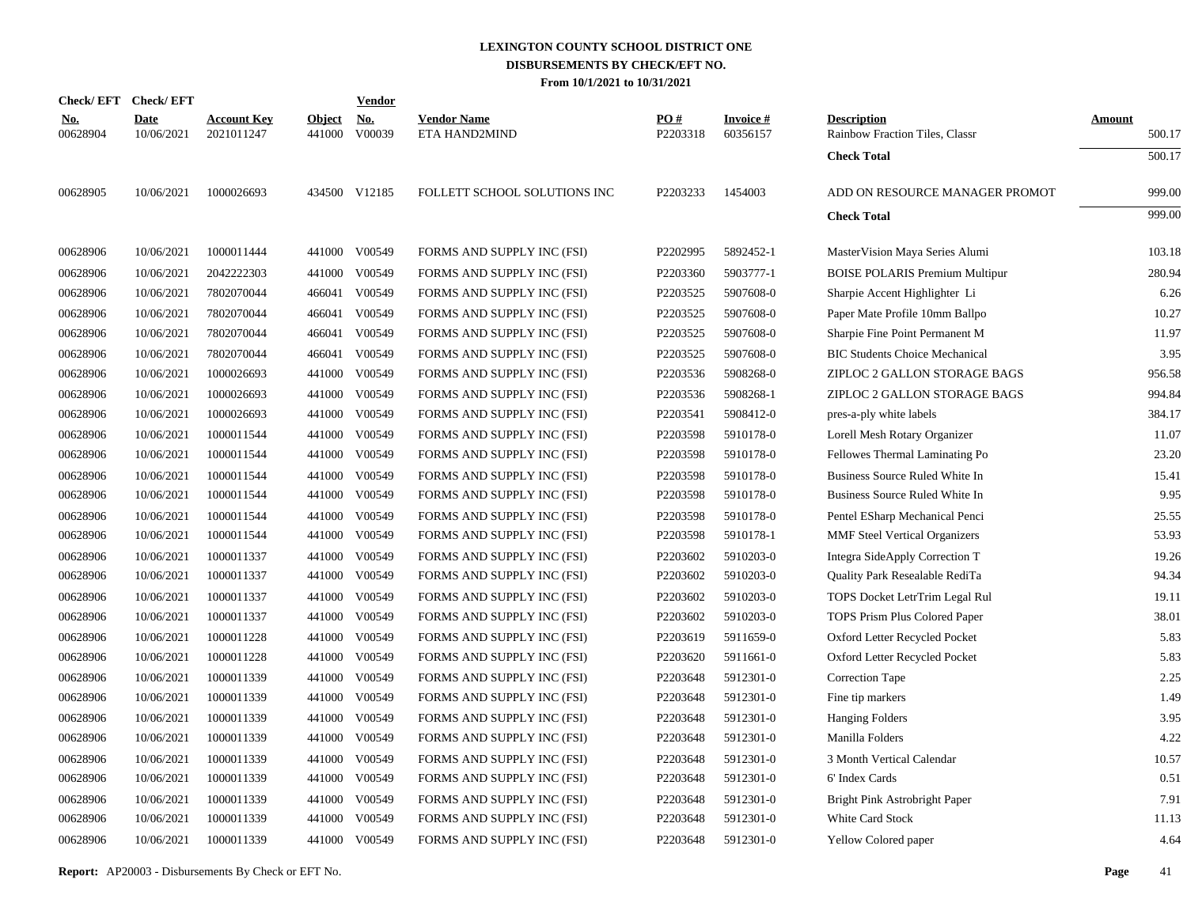|                        | Check/EFT Check/EFT       |                                  |                         | Vendor               |                                     |                 |                             |                                                      |                  |
|------------------------|---------------------------|----------------------------------|-------------------------|----------------------|-------------------------------------|-----------------|-----------------------------|------------------------------------------------------|------------------|
| <b>No.</b><br>00628904 | <b>Date</b><br>10/06/2021 | <b>Account Key</b><br>2021011247 | <b>Object</b><br>441000 | <b>No.</b><br>V00039 | <b>Vendor Name</b><br>ETA HAND2MIND | PO#<br>P2203318 | <b>Invoice#</b><br>60356157 | <b>Description</b><br>Rainbow Fraction Tiles, Classr | Amount<br>500.17 |
|                        |                           |                                  |                         |                      |                                     |                 |                             | <b>Check Total</b>                                   | 500.17           |
| 00628905               | 10/06/2021                | 1000026693                       |                         | 434500 V12185        | FOLLETT SCHOOL SOLUTIONS INC        | P2203233        | 1454003                     | ADD ON RESOURCE MANAGER PROMOT                       | 999.00           |
|                        |                           |                                  |                         |                      |                                     |                 |                             | <b>Check Total</b>                                   | 999.00           |
| 00628906               | 10/06/2021                | 1000011444                       | 441000                  | V00549               | FORMS AND SUPPLY INC (FSI)          | P2202995        | 5892452-1                   | MasterVision Maya Series Alumi                       | 103.18           |
| 00628906               | 10/06/2021                | 2042222303                       | 441000                  | V00549               | FORMS AND SUPPLY INC (FSI)          | P2203360        | 5903777-1                   | <b>BOISE POLARIS Premium Multipur</b>                | 280.94           |
| 00628906               | 10/06/2021                | 7802070044                       | 466041                  | V00549               | FORMS AND SUPPLY INC (FSI)          | P2203525        | 5907608-0                   | Sharpie Accent Highlighter Li                        | 6.26             |
| 00628906               | 10/06/2021                | 7802070044                       | 466041                  | V00549               | FORMS AND SUPPLY INC (FSI)          | P2203525        | 5907608-0                   | Paper Mate Profile 10mm Ballpo                       | 10.27            |
| 00628906               | 10/06/2021                | 7802070044                       | 466041                  | V00549               | FORMS AND SUPPLY INC (FSI)          | P2203525        | 5907608-0                   | Sharpie Fine Point Permanent M                       | 11.97            |
| 00628906               | 10/06/2021                | 7802070044                       | 466041                  | V00549               | FORMS AND SUPPLY INC (FSI)          | P2203525        | 5907608-0                   | <b>BIC Students Choice Mechanical</b>                | 3.95             |
| 00628906               | 10/06/2021                | 1000026693                       | 441000                  | V00549               | FORMS AND SUPPLY INC (FSI)          | P2203536        | 5908268-0                   | ZIPLOC 2 GALLON STORAGE BAGS                         | 956.58           |
| 00628906               | 10/06/2021                | 1000026693                       | 441000                  | V00549               | FORMS AND SUPPLY INC (FSI)          | P2203536        | 5908268-1                   | ZIPLOC 2 GALLON STORAGE BAGS                         | 994.84           |
| 00628906               | 10/06/2021                | 1000026693                       | 441000                  | V00549               | FORMS AND SUPPLY INC (FSI)          | P2203541        | 5908412-0                   | pres-a-ply white labels                              | 384.17           |
| 00628906               | 10/06/2021                | 1000011544                       | 441000                  | V00549               | FORMS AND SUPPLY INC (FSI)          | P2203598        | 5910178-0                   | Lorell Mesh Rotary Organizer                         | 11.07            |
| 00628906               | 10/06/2021                | 1000011544                       | 441000                  | V00549               | FORMS AND SUPPLY INC (FSI)          | P2203598        | 5910178-0                   | Fellowes Thermal Laminating Po                       | 23.20            |
| 00628906               | 10/06/2021                | 1000011544                       | 441000                  | V00549               | FORMS AND SUPPLY INC (FSI)          | P2203598        | 5910178-0                   | Business Source Ruled White In                       | 15.41            |
| 00628906               | 10/06/2021                | 1000011544                       | 441000                  | V00549               | FORMS AND SUPPLY INC (FSI)          | P2203598        | 5910178-0                   | Business Source Ruled White In                       | 9.95             |
| 00628906               | 10/06/2021                | 1000011544                       | 441000                  | V00549               | FORMS AND SUPPLY INC (FSI)          | P2203598        | 5910178-0                   | Pentel ESharp Mechanical Penci                       | 25.55            |
| 00628906               | 10/06/2021                | 1000011544                       | 441000                  | V00549               | FORMS AND SUPPLY INC (FSI)          | P2203598        | 5910178-1                   | <b>MMF</b> Steel Vertical Organizers                 | 53.93            |
| 00628906               | 10/06/2021                | 1000011337                       | 441000                  | V00549               | FORMS AND SUPPLY INC (FSI)          | P2203602        | 5910203-0                   | Integra SideApply Correction T                       | 19.26            |
| 00628906               | 10/06/2021                | 1000011337                       | 441000                  | V00549               | FORMS AND SUPPLY INC (FSI)          | P2203602        | 5910203-0                   | Quality Park Resealable RediTa                       | 94.34            |
| 00628906               | 10/06/2021                | 1000011337                       | 441000                  | V00549               | FORMS AND SUPPLY INC (FSI)          | P2203602        | 5910203-0                   | TOPS Docket LetrTrim Legal Rul                       | 19.11            |
| 00628906               | 10/06/2021                | 1000011337                       | 441000                  | V00549               | FORMS AND SUPPLY INC (FSI)          | P2203602        | 5910203-0                   | TOPS Prism Plus Colored Paper                        | 38.01            |
| 00628906               | 10/06/2021                | 1000011228                       | 441000                  | V00549               | FORMS AND SUPPLY INC (FSI)          | P2203619        | 5911659-0                   | Oxford Letter Recycled Pocket                        | 5.83             |
| 00628906               | 10/06/2021                | 1000011228                       | 441000                  | V00549               | FORMS AND SUPPLY INC (FSI)          | P2203620        | 5911661-0                   | Oxford Letter Recycled Pocket                        | 5.83             |
| 00628906               | 10/06/2021                | 1000011339                       | 441000                  | V00549               | FORMS AND SUPPLY INC (FSI)          | P2203648        | 5912301-0                   | <b>Correction Tape</b>                               | 2.25             |
| 00628906               | 10/06/2021                | 1000011339                       | 441000                  | V00549               | FORMS AND SUPPLY INC (FSI)          | P2203648        | 5912301-0                   | Fine tip markers                                     | 1.49             |
| 00628906               | 10/06/2021                | 1000011339                       | 441000                  | V00549               | FORMS AND SUPPLY INC (FSI)          | P2203648        | 5912301-0                   | <b>Hanging Folders</b>                               | 3.95             |
| 00628906               | 10/06/2021                | 1000011339                       | 441000                  | V00549               | FORMS AND SUPPLY INC (FSI)          | P2203648        | 5912301-0                   | Manilla Folders                                      | 4.22             |
| 00628906               | 10/06/2021                | 1000011339                       | 441000                  | V00549               | FORMS AND SUPPLY INC (FSI)          | P2203648        | 5912301-0                   | 3 Month Vertical Calendar                            | 10.57            |
| 00628906               | 10/06/2021                | 1000011339                       | 441000                  | V00549               | FORMS AND SUPPLY INC (FSI)          | P2203648        | 5912301-0                   | 6' Index Cards                                       | 0.51             |
| 00628906               | 10/06/2021                | 1000011339                       | 441000                  | V00549               | FORMS AND SUPPLY INC (FSI)          | P2203648        | 5912301-0                   | Bright Pink Astrobright Paper                        | 7.91             |
| 00628906               | 10/06/2021                | 1000011339                       | 441000                  | V00549               | FORMS AND SUPPLY INC (FSI)          | P2203648        | 5912301-0                   | White Card Stock                                     | 11.13            |
| 00628906               | 10/06/2021                | 1000011339                       |                         | 441000 V00549        | FORMS AND SUPPLY INC (FSI)          | P2203648        | 5912301-0                   | Yellow Colored paper                                 | 4.64             |
|                        |                           |                                  |                         |                      |                                     |                 |                             |                                                      |                  |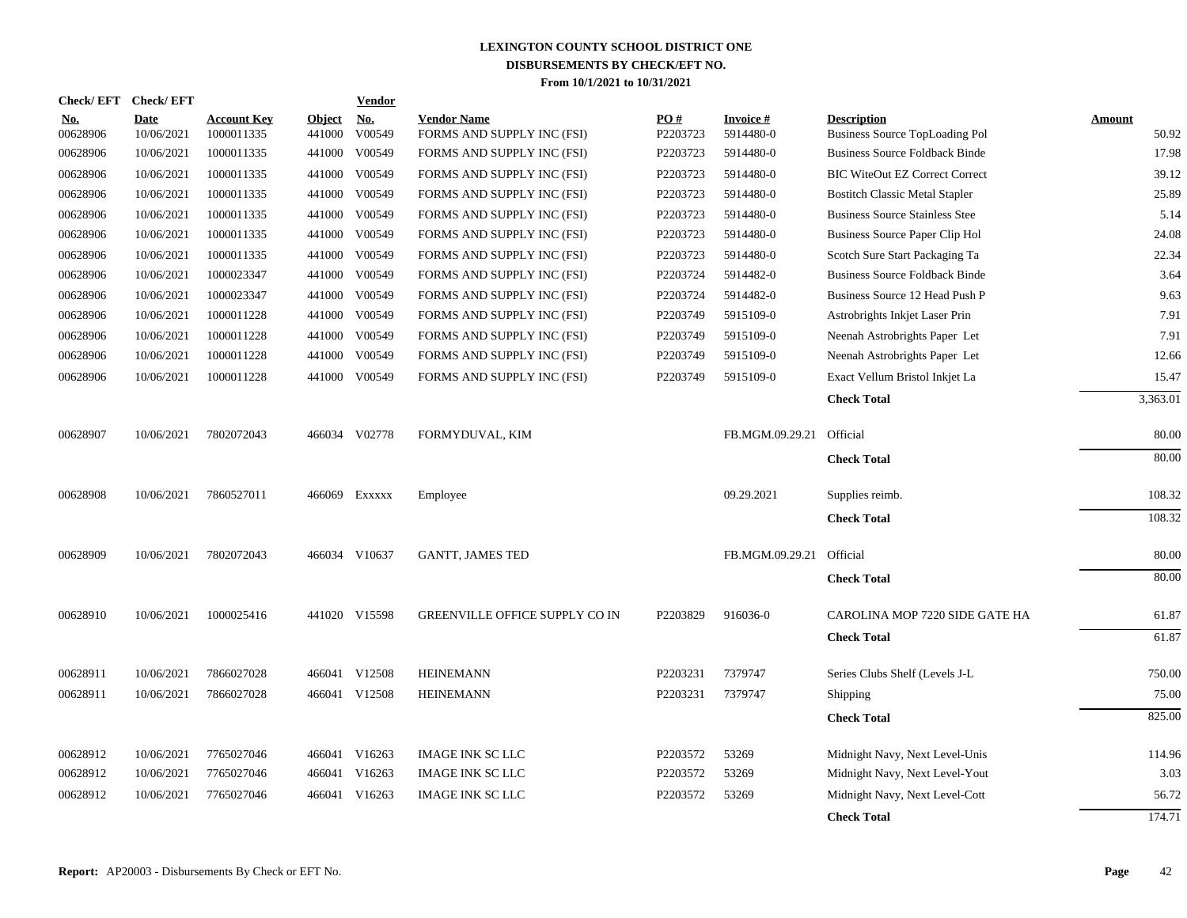| <b>Check/EFT</b>       | <b>Check/EFT</b>          |                                  |                         | <b>Vendor</b>        |                                                  |                 |                        |                                                             |                        |
|------------------------|---------------------------|----------------------------------|-------------------------|----------------------|--------------------------------------------------|-----------------|------------------------|-------------------------------------------------------------|------------------------|
| <u>No.</u><br>00628906 | <b>Date</b><br>10/06/2021 | <b>Account Key</b><br>1000011335 | <b>Object</b><br>441000 | <b>No.</b><br>V00549 | <b>Vendor Name</b><br>FORMS AND SUPPLY INC (FSI) | PO#<br>P2203723 | Invoice #<br>5914480-0 | <b>Description</b><br><b>Business Source TopLoading Pol</b> | <b>Amount</b><br>50.92 |
| 00628906               | 10/06/2021                | 1000011335                       | 441000                  | V00549               | FORMS AND SUPPLY INC (FSI)                       | P2203723        | 5914480-0              | <b>Business Source Foldback Binde</b>                       | 17.98                  |
| 00628906               | 10/06/2021                | 1000011335                       | 441000                  | V00549               | FORMS AND SUPPLY INC (FSI)                       | P2203723        | 5914480-0              | <b>BIC WiteOut EZ Correct Correct</b>                       | 39.12                  |
| 00628906               | 10/06/2021                | 1000011335                       | 441000                  | V00549               | FORMS AND SUPPLY INC (FSI)                       | P2203723        | 5914480-0              | <b>Bostitch Classic Metal Stapler</b>                       | 25.89                  |
| 00628906               | 10/06/2021                | 1000011335                       | 441000                  | V00549               | FORMS AND SUPPLY INC (FSI)                       | P2203723        | 5914480-0              | <b>Business Source Stainless Stee</b>                       | 5.14                   |
| 00628906               | 10/06/2021                | 1000011335                       | 441000                  | V00549               | FORMS AND SUPPLY INC (FSI)                       | P2203723        | 5914480-0              | Business Source Paper Clip Hol                              | 24.08                  |
| 00628906               | 10/06/2021                | 1000011335                       | 441000                  | V00549               | FORMS AND SUPPLY INC (FSI)                       | P2203723        | 5914480-0              | Scotch Sure Start Packaging Ta                              | 22.34                  |
| 00628906               | 10/06/2021                | 1000023347                       | 441000                  | V00549               | FORMS AND SUPPLY INC (FSI)                       | P2203724        | 5914482-0              | <b>Business Source Foldback Binde</b>                       | 3.64                   |
| 00628906               | 10/06/2021                | 1000023347                       | 441000                  | V00549               | FORMS AND SUPPLY INC (FSI)                       | P2203724        | 5914482-0              | Business Source 12 Head Push P                              | 9.63                   |
| 00628906               | 10/06/2021                | 1000011228                       | 441000                  | V00549               | FORMS AND SUPPLY INC (FSI)                       | P2203749        | 5915109-0              | Astrobrights Inkjet Laser Prin                              | 7.91                   |
| 00628906               | 10/06/2021                | 1000011228                       | 441000                  | V00549               | FORMS AND SUPPLY INC (FSI)                       | P2203749        | 5915109-0              | Neenah Astrobrights Paper Let                               | 7.91                   |
| 00628906               | 10/06/2021                | 1000011228                       | 441000                  | V00549               | FORMS AND SUPPLY INC (FSI)                       | P2203749        | 5915109-0              | Neenah Astrobrights Paper Let                               | 12.66                  |
| 00628906               | 10/06/2021                | 1000011228                       |                         | 441000 V00549        | FORMS AND SUPPLY INC (FSI)                       | P2203749        | 5915109-0              | Exact Vellum Bristol Inkjet La                              | 15.47                  |
|                        |                           |                                  |                         |                      |                                                  |                 |                        | <b>Check Total</b>                                          | 3,363.01               |
| 00628907               | 10/06/2021                | 7802072043                       |                         | 466034 V02778        | FORMYDUVAL, KIM                                  |                 | FB.MGM.09.29.21        | Official                                                    | 80.00                  |
|                        |                           |                                  |                         |                      |                                                  |                 |                        | <b>Check Total</b>                                          | 80.00                  |
| 00628908               | 10/06/2021                | 7860527011                       |                         | 466069 Exxxxx        | Employee                                         |                 | 09.29.2021             | Supplies reimb.                                             | 108.32                 |
|                        |                           |                                  |                         |                      |                                                  |                 |                        | <b>Check Total</b>                                          | 108.32                 |
| 00628909               | 10/06/2021                | 7802072043                       |                         | 466034 V10637        | <b>GANTT, JAMES TED</b>                          |                 | FB.MGM.09.29.21        | Official                                                    | 80.00                  |
|                        |                           |                                  |                         |                      |                                                  |                 |                        | <b>Check Total</b>                                          | 80.00                  |
|                        |                           |                                  |                         |                      |                                                  |                 |                        |                                                             |                        |
| 00628910               | 10/06/2021                | 1000025416                       |                         | 441020 V15598        | <b>GREENVILLE OFFICE SUPPLY CO IN</b>            | P2203829        | 916036-0               | CAROLINA MOP 7220 SIDE GATE HA                              | 61.87                  |
|                        |                           |                                  |                         |                      |                                                  |                 |                        | <b>Check Total</b>                                          | 61.87                  |
| 00628911               | 10/06/2021                | 7866027028                       |                         | 466041 V12508        | <b>HEINEMANN</b>                                 | P2203231        | 7379747                | Series Clubs Shelf (Levels J-L                              | 750.00                 |
| 00628911               | 10/06/2021                | 7866027028                       |                         | 466041 V12508        | <b>HEINEMANN</b>                                 | P2203231        | 7379747                | Shipping                                                    | 75.00                  |
|                        |                           |                                  |                         |                      |                                                  |                 |                        | <b>Check Total</b>                                          | 825.00                 |
| 00628912               | 10/06/2021                | 7765027046                       |                         | 466041 V16263        | <b>IMAGE INK SC LLC</b>                          | P2203572        | 53269                  | Midnight Navy, Next Level-Unis                              | 114.96                 |
| 00628912               | 10/06/2021                | 7765027046                       |                         | 466041 V16263        | <b>IMAGE INK SC LLC</b>                          | P2203572        | 53269                  | Midnight Navy, Next Level-Yout                              | 3.03                   |
| 00628912               | 10/06/2021                | 7765027046                       | 466041                  | V16263               | <b>IMAGE INK SC LLC</b>                          | P2203572        | 53269                  | Midnight Navy, Next Level-Cott                              | 56.72                  |
|                        |                           |                                  |                         |                      |                                                  |                 |                        | <b>Check Total</b>                                          | 174.71                 |
|                        |                           |                                  |                         |                      |                                                  |                 |                        |                                                             |                        |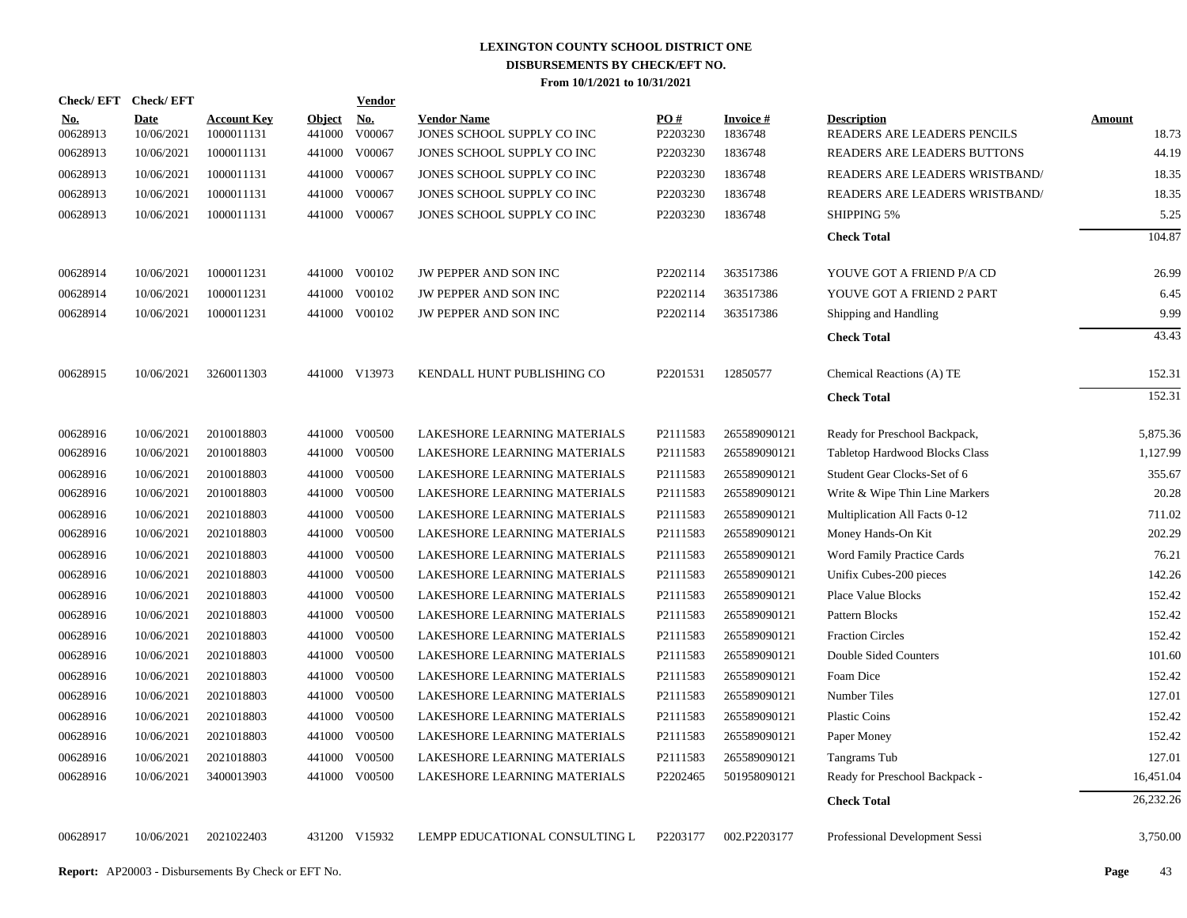| Check/EFT Check/EFT    |                           |                                  |                         | <b>Vendor</b> |                                                  |                 |                            |                                                   |                 |
|------------------------|---------------------------|----------------------------------|-------------------------|---------------|--------------------------------------------------|-----------------|----------------------------|---------------------------------------------------|-----------------|
| <u>No.</u><br>00628913 | <b>Date</b><br>10/06/2021 | <b>Account Key</b><br>1000011131 | <b>Object</b><br>441000 | No.<br>V00067 | <b>Vendor Name</b><br>JONES SCHOOL SUPPLY CO INC | PO#<br>P2203230 | <b>Invoice#</b><br>1836748 | <b>Description</b><br>READERS ARE LEADERS PENCILS | Amount<br>18.73 |
| 00628913               | 10/06/2021                | 1000011131                       | 441000                  | V00067        | JONES SCHOOL SUPPLY CO INC                       | P2203230        | 1836748                    | READERS ARE LEADERS BUTTONS                       | 44.19           |
| 00628913               | 10/06/2021                | 1000011131                       |                         | 441000 V00067 | JONES SCHOOL SUPPLY CO INC                       | P2203230        | 1836748                    | READERS ARE LEADERS WRISTBAND/                    | 18.35           |
| 00628913               | 10/06/2021                | 1000011131                       | 441000                  | V00067        | JONES SCHOOL SUPPLY CO INC                       | P2203230        | 1836748                    | READERS ARE LEADERS WRISTBAND/                    | 18.35           |
| 00628913               | 10/06/2021                | 1000011131                       |                         | 441000 V00067 | JONES SCHOOL SUPPLY CO INC                       | P2203230        | 1836748                    | <b>SHIPPING 5%</b>                                | 5.25            |
|                        |                           |                                  |                         |               |                                                  |                 |                            | <b>Check Total</b>                                | 104.87          |
| 00628914               | 10/06/2021                | 1000011231                       |                         | 441000 V00102 | JW PEPPER AND SON INC                            | P2202114        | 363517386                  | YOUVE GOT A FRIEND P/A CD                         | 26.99           |
| 00628914               | 10/06/2021                | 1000011231                       | 441000                  | V00102        | JW PEPPER AND SON INC                            | P2202114        | 363517386                  | YOUVE GOT A FRIEND 2 PART                         | 6.45            |
| 00628914               | 10/06/2021                | 1000011231                       |                         | 441000 V00102 | JW PEPPER AND SON INC                            | P2202114        | 363517386                  | Shipping and Handling                             | 9.99            |
|                        |                           |                                  |                         |               |                                                  |                 |                            | <b>Check Total</b>                                | 43.43           |
| 00628915               | 10/06/2021                | 3260011303                       |                         | 441000 V13973 | KENDALL HUNT PUBLISHING CO                       | P2201531        | 12850577                   | Chemical Reactions (A) TE                         | 152.31          |
|                        |                           |                                  |                         |               |                                                  |                 |                            | <b>Check Total</b>                                | 152.31          |
| 00628916               | 10/06/2021                | 2010018803                       |                         | 441000 V00500 | LAKESHORE LEARNING MATERIALS                     | P2111583        | 265589090121               | Ready for Preschool Backpack,                     | 5,875.36        |
| 00628916               | 10/06/2021                | 2010018803                       | 441000                  | V00500        | LAKESHORE LEARNING MATERIALS                     | P2111583        | 265589090121               | Tabletop Hardwood Blocks Class                    | 1,127.99        |
| 00628916               | 10/06/2021                | 2010018803                       | 441000                  | V00500        | LAKESHORE LEARNING MATERIALS                     | P2111583        | 265589090121               | Student Gear Clocks-Set of 6                      | 355.67          |
| 00628916               | 10/06/2021                | 2010018803                       |                         | 441000 V00500 | LAKESHORE LEARNING MATERIALS                     | P2111583        | 265589090121               | Write & Wipe Thin Line Markers                    | 20.28           |
| 00628916               | 10/06/2021                | 2021018803                       | 441000                  | V00500        | LAKESHORE LEARNING MATERIALS                     | P2111583        | 265589090121               | Multiplication All Facts 0-12                     | 711.02          |
| 00628916               | 10/06/2021                | 2021018803                       | 441000                  | V00500        | LAKESHORE LEARNING MATERIALS                     | P2111583        | 265589090121               | Money Hands-On Kit                                | 202.29          |
| 00628916               | 10/06/2021                | 2021018803                       | 441000                  | V00500        | LAKESHORE LEARNING MATERIALS                     | P2111583        | 265589090121               | Word Family Practice Cards                        | 76.21           |
| 00628916               | 10/06/2021                | 2021018803                       |                         | 441000 V00500 | LAKESHORE LEARNING MATERIALS                     | P2111583        | 265589090121               | Unifix Cubes-200 pieces                           | 142.26          |
| 00628916               | 10/06/2021                | 2021018803                       | 441000                  | V00500        | LAKESHORE LEARNING MATERIALS                     | P2111583        | 265589090121               | <b>Place Value Blocks</b>                         | 152.42          |
| 00628916               | 10/06/2021                | 2021018803                       |                         | 441000 V00500 | LAKESHORE LEARNING MATERIALS                     | P2111583        | 265589090121               | Pattern Blocks                                    | 152.42          |
| 00628916               | 10/06/2021                | 2021018803                       | 441000                  | V00500        | LAKESHORE LEARNING MATERIALS                     | P2111583        | 265589090121               | <b>Fraction Circles</b>                           | 152.42          |
| 00628916               | 10/06/2021                | 2021018803                       | 441000                  | V00500        | LAKESHORE LEARNING MATERIALS                     | P2111583        | 265589090121               | Double Sided Counters                             | 101.60          |
| 00628916               | 10/06/2021                | 2021018803                       | 441000                  | V00500        | LAKESHORE LEARNING MATERIALS                     | P2111583        | 265589090121               | Foam Dice                                         | 152.42          |
| 00628916               | 10/06/2021                | 2021018803                       |                         | 441000 V00500 | LAKESHORE LEARNING MATERIALS                     | P2111583        | 265589090121               | Number Tiles                                      | 127.01          |
| 00628916               | 10/06/2021                | 2021018803                       | 441000                  | V00500        | LAKESHORE LEARNING MATERIALS                     | P2111583        | 265589090121               | <b>Plastic Coins</b>                              | 152.42          |
| 00628916               | 10/06/2021                | 2021018803                       |                         | 441000 V00500 | LAKESHORE LEARNING MATERIALS                     | P2111583        | 265589090121               | Paper Money                                       | 152.42          |
| 00628916               | 10/06/2021                | 2021018803                       | 441000                  | V00500        | LAKESHORE LEARNING MATERIALS                     | P2111583        | 265589090121               | Tangrams Tub                                      | 127.01          |
| 00628916               | 10/06/2021                | 3400013903                       |                         | 441000 V00500 | LAKESHORE LEARNING MATERIALS                     | P2202465        | 501958090121               | Ready for Preschool Backpack -                    | 16,451.04       |
|                        |                           |                                  |                         |               |                                                  |                 |                            | <b>Check Total</b>                                | 26,232.26       |
| 00628917               | 10/06/2021                | 2021022403                       |                         | 431200 V15932 | LEMPP EDUCATIONAL CONSULTING L                   | P2203177        | 002.P2203177               | Professional Development Sessi                    | 3,750.00        |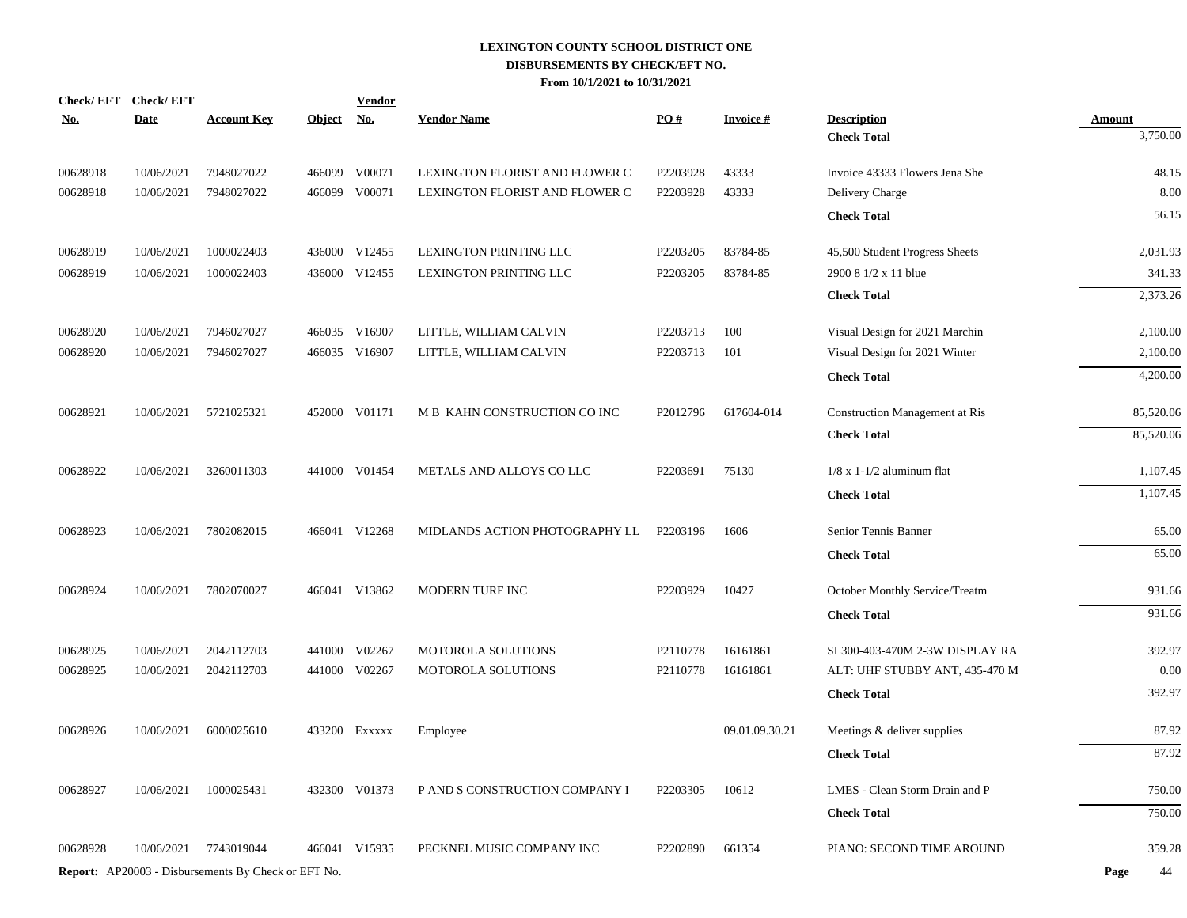| Check/EFT Check/EFT<br><u>No.</u> | <b>Date</b> | <b>Account Key</b>                                         | <u>Object</u> | <b>Vendor</b><br><u>No.</u> | <b>Vendor Name</b>             | $\underline{PO#}$    | <b>Invoice#</b> | <b>Description</b>                    | <b>Amount</b> |
|-----------------------------------|-------------|------------------------------------------------------------|---------------|-----------------------------|--------------------------------|----------------------|-----------------|---------------------------------------|---------------|
|                                   |             |                                                            |               |                             |                                |                      |                 | <b>Check Total</b>                    | 3,750.00      |
| 00628918                          | 10/06/2021  | 7948027022                                                 |               | 466099 V00071               | LEXINGTON FLORIST AND FLOWER C | P2203928             | 43333           | Invoice 43333 Flowers Jena She        | 48.15         |
| 00628918                          | 10/06/2021  | 7948027022                                                 | 466099        | V00071                      | LEXINGTON FLORIST AND FLOWER C | P2203928             | 43333           | Delivery Charge                       | 8.00          |
|                                   |             |                                                            |               |                             |                                |                      |                 | <b>Check Total</b>                    | 56.15         |
| 00628919                          | 10/06/2021  | 1000022403                                                 |               | 436000 V12455               | LEXINGTON PRINTING LLC         | P2203205             | 83784-85        | 45,500 Student Progress Sheets        | 2,031.93      |
| 00628919                          | 10/06/2021  | 1000022403                                                 |               | 436000 V12455               | LEXINGTON PRINTING LLC         | P2203205             | 83784-85        | 2900 8 1/2 x 11 blue                  | 341.33        |
|                                   |             |                                                            |               |                             |                                |                      |                 | <b>Check Total</b>                    | 2,373.26      |
| 00628920                          | 10/06/2021  | 7946027027                                                 |               | 466035 V16907               | LITTLE, WILLIAM CALVIN         | P2203713             | 100             | Visual Design for 2021 Marchin        | 2,100.00      |
| 00628920                          | 10/06/2021  | 7946027027                                                 |               | 466035 V16907               | LITTLE, WILLIAM CALVIN         | P2203713             | 101             | Visual Design for 2021 Winter         | 2,100.00      |
|                                   |             |                                                            |               |                             |                                |                      |                 | <b>Check Total</b>                    | 4,200.00      |
| 00628921                          | 10/06/2021  | 5721025321                                                 |               | 452000 V01171               | M B KAHN CONSTRUCTION CO INC   | P2012796             | 617604-014      | <b>Construction Management at Ris</b> | 85,520.06     |
|                                   |             |                                                            |               |                             |                                |                      |                 | <b>Check Total</b>                    | 85,520.06     |
| 00628922                          | 10/06/2021  | 3260011303                                                 |               | 441000 V01454               | METALS AND ALLOYS CO LLC       | P2203691             | 75130           | $1/8$ x 1-1/2 aluminum flat           | 1,107.45      |
|                                   |             |                                                            |               |                             |                                |                      |                 | <b>Check Total</b>                    | 1,107.45      |
| 00628923                          | 10/06/2021  | 7802082015                                                 |               | 466041 V12268               | MIDLANDS ACTION PHOTOGRAPHY LL | P2203196             | 1606            | Senior Tennis Banner                  | 65.00         |
|                                   |             |                                                            |               |                             |                                |                      |                 | <b>Check Total</b>                    | 65.00         |
| 00628924                          | 10/06/2021  | 7802070027                                                 |               | 466041 V13862               | MODERN TURF INC                | P2203929             | 10427           | October Monthly Service/Treatm        | 931.66        |
|                                   |             |                                                            |               |                             |                                |                      |                 | <b>Check Total</b>                    | 931.66        |
| 00628925                          | 10/06/2021  | 2042112703                                                 |               | 441000 V02267               | MOTOROLA SOLUTIONS             | P2110778             | 16161861        | SL300-403-470M 2-3W DISPLAY RA        | 392.97        |
| 00628925                          | 10/06/2021  | 2042112703                                                 | 441000        | V02267                      | MOTOROLA SOLUTIONS             | P2110778             | 16161861        | ALT: UHF STUBBY ANT, 435-470 M        | 0.00          |
|                                   |             |                                                            |               |                             |                                |                      |                 | <b>Check Total</b>                    | 392.97        |
| 00628926                          | 10/06/2021  | 6000025610                                                 |               | 433200 Exxxxx               | Employee                       |                      | 09.01.09.30.21  | Meetings & deliver supplies           | 87.92         |
|                                   |             |                                                            |               |                             |                                |                      |                 | <b>Check Total</b>                    | 87.92         |
| 00628927                          | 10/06/2021  | 1000025431                                                 | 432300        | V01373                      | P AND S CONSTRUCTION COMPANY I | P <sub>2203305</sub> | 10612           | LMES - Clean Storm Drain and P        | 750.00        |
|                                   |             |                                                            |               |                             |                                |                      |                 | <b>Check Total</b>                    | 750.00        |
| 00628928                          | 10/06/2021  | 7743019044                                                 |               | 466041 V15935               | PECKNEL MUSIC COMPANY INC      | P2202890             | 661354          | PIANO: SECOND TIME AROUND             | 359.28        |
|                                   |             | <b>Report:</b> AP20003 - Disbursements By Check or EFT No. |               |                             |                                |                      |                 |                                       | Page<br>44    |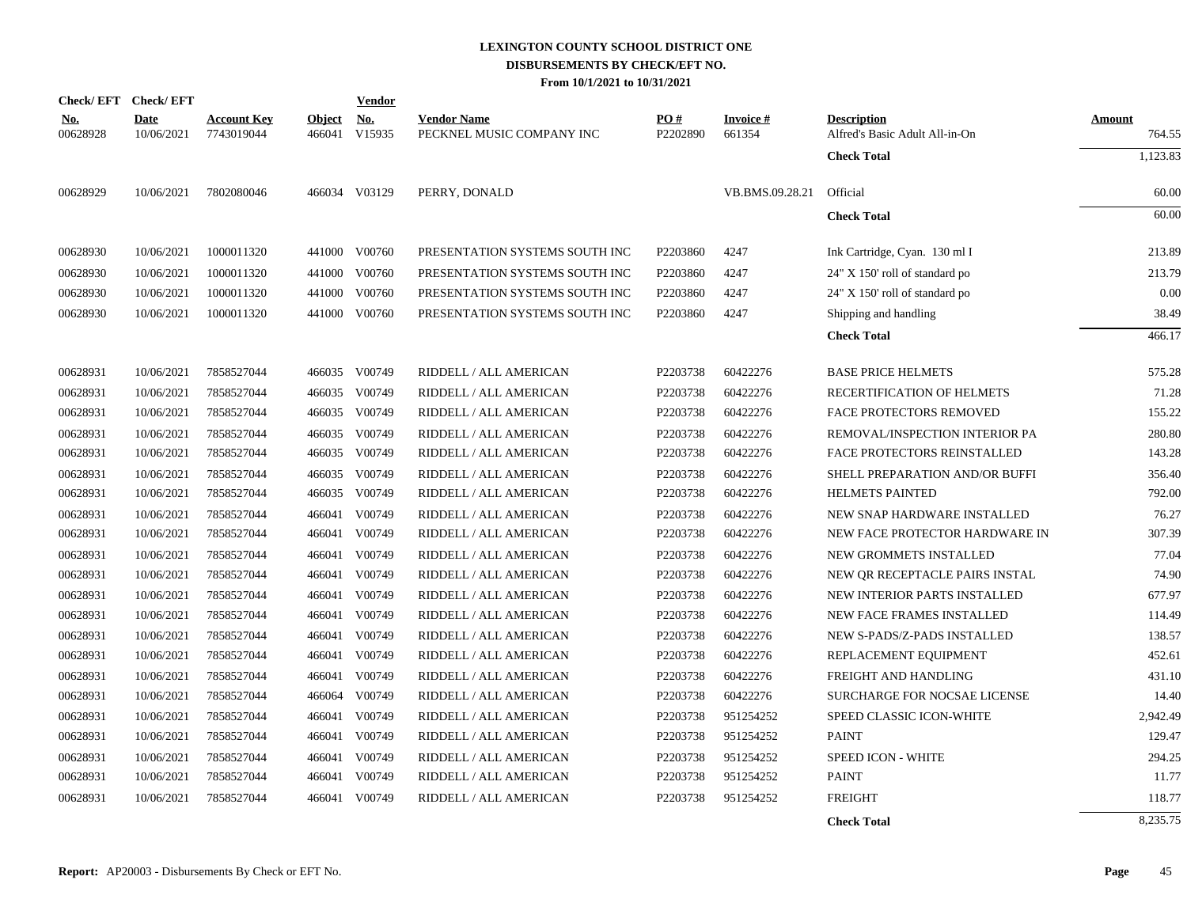| Check/EFT Check/EFT |             |                    |               | <b>Vendor</b> |                                |          |                 |                                     |          |
|---------------------|-------------|--------------------|---------------|---------------|--------------------------------|----------|-----------------|-------------------------------------|----------|
| <u>No.</u>          | <b>Date</b> | <b>Account Key</b> | <b>Object</b> | No.           | <b>Vendor Name</b>             | PO#      | <b>Invoice#</b> | <b>Description</b>                  | Amount   |
| 00628928            | 10/06/2021  | 7743019044         | 466041        | V15935        | PECKNEL MUSIC COMPANY INC      | P2202890 | 661354          | Alfred's Basic Adult All-in-On      | 764.55   |
|                     |             |                    |               |               |                                |          |                 | <b>Check Total</b>                  | 1,123.83 |
| 00628929            | 10/06/2021  | 7802080046         |               | 466034 V03129 | PERRY, DONALD                  |          | VB.BMS.09.28.21 | Official                            | 60.00    |
|                     |             |                    |               |               |                                |          |                 | <b>Check Total</b>                  | 60.00    |
| 00628930            | 10/06/2021  | 1000011320         |               | 441000 V00760 | PRESENTATION SYSTEMS SOUTH INC | P2203860 | 4247            | Ink Cartridge, Cyan. 130 ml I       | 213.89   |
| 00628930            | 10/06/2021  | 1000011320         |               | 441000 V00760 | PRESENTATION SYSTEMS SOUTH INC | P2203860 | 4247            | 24" X 150' roll of standard po      | 213.79   |
| 00628930            | 10/06/2021  | 1000011320         |               | 441000 V00760 | PRESENTATION SYSTEMS SOUTH INC | P2203860 | 4247            | 24" X 150' roll of standard po      | 0.00     |
| 00628930            | 10/06/2021  | 1000011320         |               | 441000 V00760 | PRESENTATION SYSTEMS SOUTH INC | P2203860 | 4247            | Shipping and handling               | 38.49    |
|                     |             |                    |               |               |                                |          |                 | <b>Check Total</b>                  | 466.17   |
| 00628931            | 10/06/2021  | 7858527044         |               | 466035 V00749 | RIDDELL / ALL AMERICAN         | P2203738 | 60422276        | <b>BASE PRICE HELMETS</b>           | 575.28   |
| 00628931            | 10/06/2021  | 7858527044         |               | 466035 V00749 | RIDDELL / ALL AMERICAN         | P2203738 | 60422276        | RECERTIFICATION OF HELMETS          | 71.28    |
| 00628931            | 10/06/2021  | 7858527044         |               | 466035 V00749 | RIDDELL / ALL AMERICAN         | P2203738 | 60422276        | <b>FACE PROTECTORS REMOVED</b>      | 155.22   |
| 00628931            | 10/06/2021  | 7858527044         |               | 466035 V00749 | RIDDELL / ALL AMERICAN         | P2203738 | 60422276        | REMOVAL/INSPECTION INTERIOR PA      | 280.80   |
| 00628931            | 10/06/2021  | 7858527044         |               | 466035 V00749 | RIDDELL / ALL AMERICAN         | P2203738 | 60422276        | <b>FACE PROTECTORS REINSTALLED</b>  | 143.28   |
| 00628931            | 10/06/2021  | 7858527044         | 466035        | V00749        | RIDDELL / ALL AMERICAN         | P2203738 | 60422276        | SHELL PREPARATION AND/OR BUFFI      | 356.40   |
| 00628931            | 10/06/2021  | 7858527044         |               | 466035 V00749 | RIDDELL / ALL AMERICAN         | P2203738 | 60422276        | <b>HELMETS PAINTED</b>              | 792.00   |
| 00628931            | 10/06/2021  | 7858527044         | 466041        | V00749        | RIDDELL / ALL AMERICAN         | P2203738 | 60422276        | NEW SNAP HARDWARE INSTALLED         | 76.27    |
| 00628931            | 10/06/2021  | 7858527044         |               | 466041 V00749 | RIDDELL / ALL AMERICAN         | P2203738 | 60422276        | NEW FACE PROTECTOR HARDWARE IN      | 307.39   |
| 00628931            | 10/06/2021  | 7858527044         |               | 466041 V00749 | RIDDELL / ALL AMERICAN         | P2203738 | 60422276        | NEW GROMMETS INSTALLED              | 77.04    |
| 00628931            | 10/06/2021  | 7858527044         |               | 466041 V00749 | RIDDELL / ALL AMERICAN         | P2203738 | 60422276        | NEW OR RECEPTACLE PAIRS INSTAL      | 74.90    |
| 00628931            | 10/06/2021  | 7858527044         |               | 466041 V00749 | RIDDELL / ALL AMERICAN         | P2203738 | 60422276        | NEW INTERIOR PARTS INSTALLED        | 677.97   |
| 00628931            | 10/06/2021  | 7858527044         |               | 466041 V00749 | RIDDELL / ALL AMERICAN         | P2203738 | 60422276        | NEW FACE FRAMES INSTALLED           | 114.49   |
| 00628931            | 10/06/2021  | 7858527044         | 466041        | V00749        | RIDDELL / ALL AMERICAN         | P2203738 | 60422276        | NEW S-PADS/Z-PADS INSTALLED         | 138.57   |
| 00628931            | 10/06/2021  | 7858527044         | 466041        | V00749        | RIDDELL / ALL AMERICAN         | P2203738 | 60422276        | REPLACEMENT EQUIPMENT               | 452.61   |
| 00628931            | 10/06/2021  | 7858527044         | 466041        | V00749        | RIDDELL / ALL AMERICAN         | P2203738 | 60422276        | FREIGHT AND HANDLING                | 431.10   |
| 00628931            | 10/06/2021  | 7858527044         | 466064        | V00749        | RIDDELL / ALL AMERICAN         | P2203738 | 60422276        | <b>SURCHARGE FOR NOCSAE LICENSE</b> | 14.40    |
| 00628931            | 10/06/2021  | 7858527044         |               | 466041 V00749 | RIDDELL / ALL AMERICAN         | P2203738 | 951254252       | SPEED CLASSIC ICON-WHITE            | 2,942.49 |
| 00628931            | 10/06/2021  | 7858527044         |               | 466041 V00749 | RIDDELL / ALL AMERICAN         | P2203738 | 951254252       | <b>PAINT</b>                        | 129.47   |
| 00628931            | 10/06/2021  | 7858527044         |               | 466041 V00749 | RIDDELL / ALL AMERICAN         | P2203738 | 951254252       | SPEED ICON - WHITE                  | 294.25   |
| 00628931            | 10/06/2021  | 7858527044         |               | 466041 V00749 | RIDDELL / ALL AMERICAN         | P2203738 | 951254252       | <b>PAINT</b>                        | 11.77    |
| 00628931            | 10/06/2021  | 7858527044         |               | 466041 V00749 | RIDDELL / ALL AMERICAN         | P2203738 | 951254252       | <b>FREIGHT</b>                      | 118.77   |
|                     |             |                    |               |               |                                |          |                 |                                     |          |

**Check Total** 8,235.75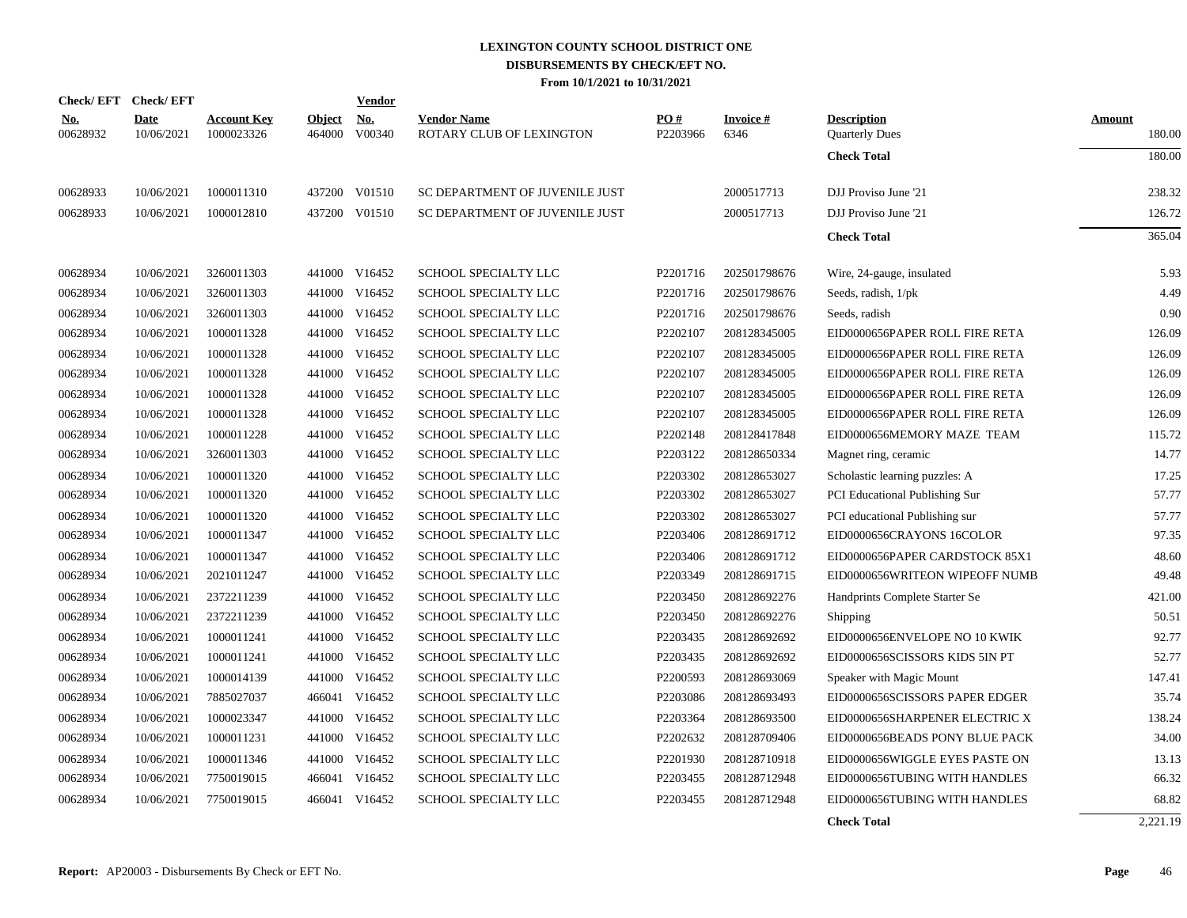|                        | Check/EFT Check/EFT       |                                  |                         | Vendor               |                                                |                 |                         |                                             |                  |
|------------------------|---------------------------|----------------------------------|-------------------------|----------------------|------------------------------------------------|-----------------|-------------------------|---------------------------------------------|------------------|
| <u>No.</u><br>00628932 | <b>Date</b><br>10/06/2021 | <b>Account Key</b><br>1000023326 | <b>Object</b><br>464000 | <b>No.</b><br>V00340 | <b>Vendor Name</b><br>ROTARY CLUB OF LEXINGTON | PO#<br>P2203966 | <b>Invoice#</b><br>6346 | <b>Description</b><br><b>Quarterly Dues</b> | Amount<br>180.00 |
|                        |                           |                                  |                         |                      |                                                |                 |                         | <b>Check Total</b>                          | 180.00           |
| 00628933               | 10/06/2021                | 1000011310                       |                         | 437200 V01510        | SC DEPARTMENT OF JUVENILE JUST                 |                 | 2000517713              | DJJ Proviso June '21                        | 238.32           |
| 00628933               | 10/06/2021                | 1000012810                       | 437200                  | V01510               | SC DEPARTMENT OF JUVENILE JUST                 |                 | 2000517713              | DJJ Proviso June '21                        | 126.72           |
|                        |                           |                                  |                         |                      |                                                |                 |                         | <b>Check Total</b>                          | 365.04           |
| 00628934               | 10/06/2021                | 3260011303                       |                         | 441000 V16452        | SCHOOL SPECIALTY LLC                           | P2201716        | 202501798676            | Wire, 24-gauge, insulated                   | 5.93             |
| 00628934               | 10/06/2021                | 3260011303                       | 441000                  | V16452               | SCHOOL SPECIALTY LLC                           | P2201716        | 202501798676            | Seeds, radish, 1/pk                         | 4.49             |
| 00628934               | 10/06/2021                | 3260011303                       | 441000                  | V16452               | SCHOOL SPECIALTY LLC                           | P2201716        | 202501798676            | Seeds, radish                               | 0.90             |
| 00628934               | 10/06/2021                | 1000011328                       | 441000                  | V16452               | SCHOOL SPECIALTY LLC                           | P2202107        | 208128345005            | EID0000656PAPER ROLL FIRE RETA              | 126.09           |
| 00628934               | 10/06/2021                | 1000011328                       | 441000                  | V16452               | SCHOOL SPECIALTY LLC                           | P2202107        | 208128345005            | EID0000656PAPER ROLL FIRE RETA              | 126.09           |
| 00628934               | 10/06/2021                | 1000011328                       | 441000                  | V16452               | <b>SCHOOL SPECIALTY LLC</b>                    | P2202107        | 208128345005            | EID0000656PAPER ROLL FIRE RETA              | 126.09           |
| 00628934               | 10/06/2021                | 1000011328                       | 441000                  | V16452               | SCHOOL SPECIALTY LLC                           | P2202107        | 208128345005            | EID0000656PAPER ROLL FIRE RETA              | 126.09           |
| 00628934               | 10/06/2021                | 1000011328                       | 441000                  | V16452               | SCHOOL SPECIALTY LLC                           | P2202107        | 208128345005            | EID0000656PAPER ROLL FIRE RETA              | 126.09           |
| 00628934               | 10/06/2021                | 1000011228                       |                         | 441000 V16452        | SCHOOL SPECIALTY LLC                           | P2202148        | 208128417848            | EID0000656MEMORY MAZE TEAM                  | 115.72           |
| 00628934               | 10/06/2021                | 3260011303                       |                         | 441000 V16452        | SCHOOL SPECIALTY LLC                           | P2203122        | 208128650334            | Magnet ring, ceramic                        | 14.77            |
| 00628934               | 10/06/2021                | 1000011320                       |                         | 441000 V16452        | SCHOOL SPECIALTY LLC                           | P2203302        | 208128653027            | Scholastic learning puzzles: A              | 17.25            |
| 00628934               | 10/06/2021                | 1000011320                       |                         | 441000 V16452        | SCHOOL SPECIALTY LLC                           | P2203302        | 208128653027            | PCI Educational Publishing Sur              | 57.77            |
| 00628934               | 10/06/2021                | 1000011320                       |                         | 441000 V16452        | SCHOOL SPECIALTY LLC                           | P2203302        | 208128653027            | PCI educational Publishing sur              | 57.77            |
| 00628934               | 10/06/2021                | 1000011347                       |                         | 441000 V16452        | SCHOOL SPECIALTY LLC                           | P2203406        | 208128691712            | EID0000656CRAYONS 16COLOR                   | 97.35            |
| 00628934               | 10/06/2021                | 1000011347                       |                         | 441000 V16452        | SCHOOL SPECIALTY LLC                           | P2203406        | 208128691712            | EID0000656PAPER CARDSTOCK 85X1              | 48.60            |
| 00628934               | 10/06/2021                | 2021011247                       |                         | 441000 V16452        | SCHOOL SPECIALTY LLC                           | P2203349        | 208128691715            | EID0000656WRITEON WIPEOFF NUMB              | 49.48            |
| 00628934               | 10/06/2021                | 2372211239                       |                         | 441000 V16452        | SCHOOL SPECIALTY LLC                           | P2203450        | 208128692276            | Handprints Complete Starter Se              | 421.00           |
| 00628934               | 10/06/2021                | 2372211239                       |                         | 441000 V16452        | SCHOOL SPECIALTY LLC                           | P2203450        | 208128692276            | Shipping                                    | 50.51            |
| 00628934               | 10/06/2021                | 1000011241                       | 441000                  | V16452               | SCHOOL SPECIALTY LLC                           | P2203435        | 208128692692            | EID0000656ENVELOPE NO 10 KWIK               | 92.77            |
| 00628934               | 10/06/2021                | 1000011241                       | 441000                  | V16452               | SCHOOL SPECIALTY LLC                           | P2203435        | 208128692692            | EID0000656SCISSORS KIDS 5IN PT              | 52.77            |
| 00628934               | 10/06/2021                | 1000014139                       | 441000                  | V16452               | SCHOOL SPECIALTY LLC                           | P2200593        | 208128693069            | Speaker with Magic Mount                    | 147.41           |
| 00628934               | 10/06/2021                | 7885027037                       |                         | 466041 V16452        | SCHOOL SPECIALTY LLC                           | P2203086        | 208128693493            | EID0000656SCISSORS PAPER EDGER              | 35.74            |
| 00628934               | 10/06/2021                | 1000023347                       | 441000                  | V16452               | SCHOOL SPECIALTY LLC                           | P2203364        | 208128693500            | EID0000656SHARPENER ELECTRIC X              | 138.24           |
| 00628934               | 10/06/2021                | 1000011231                       | 441000                  | V16452               | SCHOOL SPECIALTY LLC                           | P2202632        | 208128709406            | EID0000656BEADS PONY BLUE PACK              | 34.00            |
| 00628934               | 10/06/2021                | 1000011346                       | 441000                  | V16452               | SCHOOL SPECIALTY LLC                           | P2201930        | 208128710918            | EID0000656WIGGLE EYES PASTE ON              | 13.13            |
| 00628934               | 10/06/2021                | 7750019015                       |                         | 466041 V16452        | SCHOOL SPECIALTY LLC                           | P2203455        | 208128712948            | EID0000656TUBING WITH HANDLES               | 66.32            |
| 00628934               | 10/06/2021                | 7750019015                       |                         | 466041 V16452        | SCHOOL SPECIALTY LLC                           | P2203455        | 208128712948            | EID0000656TUBING WITH HANDLES               | 68.82            |
|                        |                           |                                  |                         |                      |                                                |                 |                         | <b>Check Total</b>                          | 2,221.19         |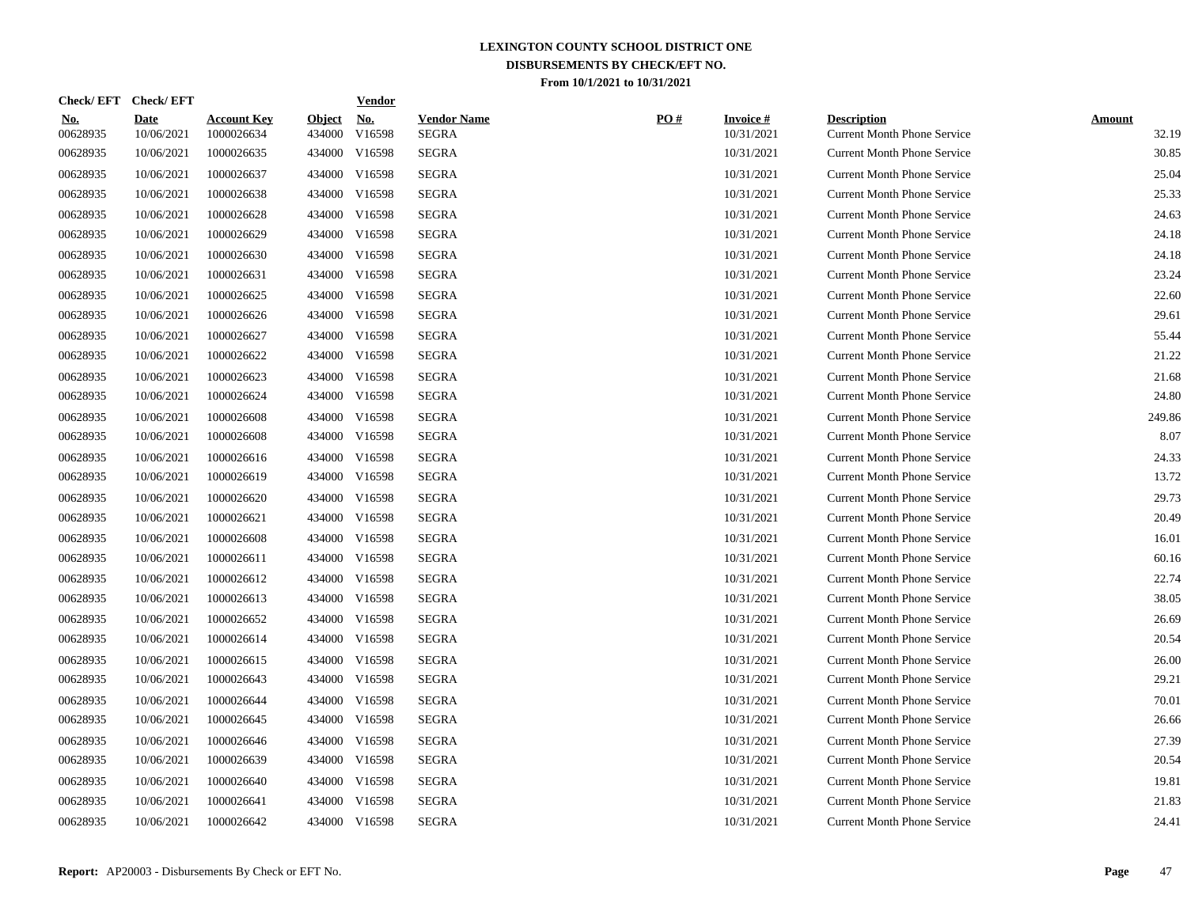| <b>Check/EFT</b>       | <b>Check/EFT</b>          |                                  |                         | <b>Vendor</b>                       |                                    |     |                               |                                                          |                        |
|------------------------|---------------------------|----------------------------------|-------------------------|-------------------------------------|------------------------------------|-----|-------------------------------|----------------------------------------------------------|------------------------|
| <u>No.</u><br>00628935 | <b>Date</b><br>10/06/2021 | <b>Account Key</b><br>1000026634 | <b>Object</b><br>434000 | $\underline{\textbf{No}}$<br>V16598 | <b>Vendor Name</b><br><b>SEGRA</b> | PO# | <b>Invoice#</b><br>10/31/2021 | <b>Description</b><br><b>Current Month Phone Service</b> | <b>Amount</b><br>32.19 |
| 00628935               | 10/06/2021                | 1000026635                       | 434000                  | V16598                              | <b>SEGRA</b>                       |     | 10/31/2021                    | <b>Current Month Phone Service</b>                       | 30.85                  |
| 00628935               | 10/06/2021                | 1000026637                       | 434000                  | V16598                              | <b>SEGRA</b>                       |     | 10/31/2021                    | <b>Current Month Phone Service</b>                       | 25.04                  |
| 00628935               | 10/06/2021                | 1000026638                       | 434000                  | V16598                              | <b>SEGRA</b>                       |     | 10/31/2021                    | <b>Current Month Phone Service</b>                       | 25.33                  |
| 00628935               | 10/06/2021                | 1000026628                       | 434000                  | V16598                              | <b>SEGRA</b>                       |     | 10/31/2021                    | <b>Current Month Phone Service</b>                       | 24.63                  |
| 00628935               | 10/06/2021                | 1000026629                       |                         | 434000 V16598                       | <b>SEGRA</b>                       |     | 10/31/2021                    | <b>Current Month Phone Service</b>                       | 24.18                  |
| 00628935               | 10/06/2021                | 1000026630                       |                         | 434000 V16598                       | SEGRA                              |     | 10/31/2021                    | <b>Current Month Phone Service</b>                       | 24.18                  |
| 00628935               | 10/06/2021                | 1000026631                       |                         | 434000 V16598                       | <b>SEGRA</b>                       |     | 10/31/2021                    | <b>Current Month Phone Service</b>                       | 23.24                  |
| 00628935               | 10/06/2021                | 1000026625                       |                         | 434000 V16598                       | <b>SEGRA</b>                       |     | 10/31/2021                    | <b>Current Month Phone Service</b>                       | 22.60                  |
| 00628935               | 10/06/2021                | 1000026626                       |                         | 434000 V16598                       | <b>SEGRA</b>                       |     | 10/31/2021                    | <b>Current Month Phone Service</b>                       | 29.61                  |
| 00628935               | 10/06/2021                | 1000026627                       |                         | 434000 V16598                       | <b>SEGRA</b>                       |     | 10/31/2021                    | <b>Current Month Phone Service</b>                       | 55.44                  |
| 00628935               | 10/06/2021                | 1000026622                       |                         | 434000 V16598                       | <b>SEGRA</b>                       |     | 10/31/2021                    | <b>Current Month Phone Service</b>                       | 21.22                  |
| 00628935               | 10/06/2021                | 1000026623                       | 434000                  | V16598                              | <b>SEGRA</b>                       |     | 10/31/2021                    | <b>Current Month Phone Service</b>                       | 21.68                  |
| 00628935               | 10/06/2021                | 1000026624                       | 434000                  | V16598                              | <b>SEGRA</b>                       |     | 10/31/2021                    | <b>Current Month Phone Service</b>                       | 24.80                  |
| 00628935               | 10/06/2021                | 1000026608                       | 434000                  | V16598                              | <b>SEGRA</b>                       |     | 10/31/2021                    | <b>Current Month Phone Service</b>                       | 249.86                 |
| 00628935               | 10/06/2021                | 1000026608                       | 434000                  | V16598                              | <b>SEGRA</b>                       |     | 10/31/2021                    | <b>Current Month Phone Service</b>                       | 8.07                   |
| 00628935               | 10/06/2021                | 1000026616                       | 434000                  | V16598                              | <b>SEGRA</b>                       |     | 10/31/2021                    | <b>Current Month Phone Service</b>                       | 24.33                  |
| 00628935               | 10/06/2021                | 1000026619                       | 434000                  | V16598                              | <b>SEGRA</b>                       |     | 10/31/2021                    | <b>Current Month Phone Service</b>                       | 13.72                  |
| 00628935               | 10/06/2021                | 1000026620                       |                         | 434000 V16598                       | <b>SEGRA</b>                       |     | 10/31/2021                    | <b>Current Month Phone Service</b>                       | 29.73                  |
| 00628935               | 10/06/2021                | 1000026621                       |                         | 434000 V16598                       | <b>SEGRA</b>                       |     | 10/31/2021                    | <b>Current Month Phone Service</b>                       | 20.49                  |
| 00628935               | 10/06/2021                | 1000026608                       |                         | 434000 V16598                       | SEGRA                              |     | 10/31/2021                    | <b>Current Month Phone Service</b>                       | 16.01                  |
| 00628935               | 10/06/2021                | 1000026611                       |                         | 434000 V16598                       | SEGRA                              |     | 10/31/2021                    | <b>Current Month Phone Service</b>                       | 60.16                  |
| 00628935               | 10/06/2021                | 1000026612                       |                         | 434000 V16598                       | <b>SEGRA</b>                       |     | 10/31/2021                    | <b>Current Month Phone Service</b>                       | 22.74                  |
| 00628935               | 10/06/2021                | 1000026613                       |                         | 434000 V16598                       | <b>SEGRA</b>                       |     | 10/31/2021                    | <b>Current Month Phone Service</b>                       | 38.05                  |
| 00628935               | 10/06/2021                | 1000026652                       |                         | 434000 V16598                       | <b>SEGRA</b>                       |     | 10/31/2021                    | <b>Current Month Phone Service</b>                       | 26.69                  |
| 00628935               | 10/06/2021                | 1000026614                       |                         | 434000 V16598                       | <b>SEGRA</b>                       |     | 10/31/2021                    | <b>Current Month Phone Service</b>                       | 20.54                  |
| 00628935               | 10/06/2021                | 1000026615                       | 434000                  | V16598                              | <b>SEGRA</b>                       |     | 10/31/2021                    | <b>Current Month Phone Service</b>                       | 26.00                  |
| 00628935               | 10/06/2021                | 1000026643                       | 434000                  | V16598                              | <b>SEGRA</b>                       |     | 10/31/2021                    | <b>Current Month Phone Service</b>                       | 29.21                  |
| 00628935               | 10/06/2021                | 1000026644                       | 434000                  | V16598                              | <b>SEGRA</b>                       |     | 10/31/2021                    | <b>Current Month Phone Service</b>                       | 70.01                  |
| 00628935               | 10/06/2021                | 1000026645                       | 434000                  | V16598                              | <b>SEGRA</b>                       |     | 10/31/2021                    | <b>Current Month Phone Service</b>                       | 26.66                  |
| 00628935               | 10/06/2021                | 1000026646                       | 434000                  | V16598                              | <b>SEGRA</b>                       |     | 10/31/2021                    | <b>Current Month Phone Service</b>                       | 27.39                  |
| 00628935               | 10/06/2021                | 1000026639                       | 434000                  | V16598                              | <b>SEGRA</b>                       |     | 10/31/2021                    | <b>Current Month Phone Service</b>                       | 20.54                  |
| 00628935               | 10/06/2021                | 1000026640                       | 434000                  | V16598                              | <b>SEGRA</b>                       |     | 10/31/2021                    | <b>Current Month Phone Service</b>                       | 19.81                  |
| 00628935               | 10/06/2021                | 1000026641                       | 434000                  | V16598                              | <b>SEGRA</b>                       |     | 10/31/2021                    | <b>Current Month Phone Service</b>                       | 21.83                  |
| 00628935               | 10/06/2021                | 1000026642                       |                         | 434000 V16598                       | <b>SEGRA</b>                       |     | 10/31/2021                    | <b>Current Month Phone Service</b>                       | 24.41                  |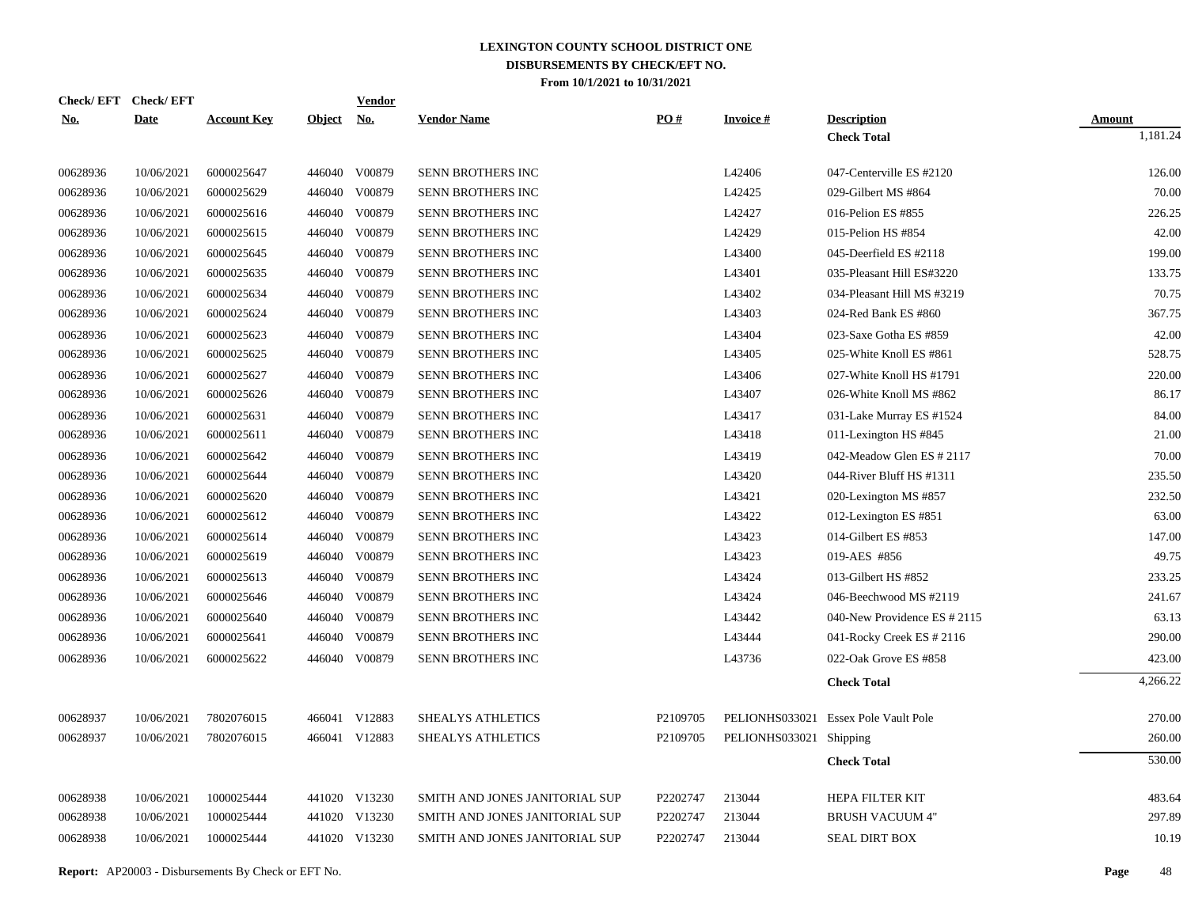|                      | Check/EFT Check/EFT      |                          |               | <u>Vendor</u>                  |                                                                  |                      |                         |                                                  |                  |
|----------------------|--------------------------|--------------------------|---------------|--------------------------------|------------------------------------------------------------------|----------------------|-------------------------|--------------------------------------------------|------------------|
| <u>No.</u>           | <b>Date</b>              | <b>Account Key</b>       | <b>Object</b> | <u>No.</u>                     | <b>Vendor Name</b>                                               | PO#                  | <b>Invoice#</b>         | <b>Description</b>                               | <b>Amount</b>    |
|                      |                          |                          |               |                                |                                                                  |                      |                         | <b>Check Total</b>                               | 1,181.24         |
| 00628936             | 10/06/2021               | 6000025647               |               | 446040 V00879                  | SENN BROTHERS INC                                                |                      | L42406                  | 047-Centerville ES #2120                         | 126.00           |
| 00628936             | 10/06/2021               | 6000025629               |               | 446040 V00879                  | SENN BROTHERS INC                                                |                      | L42425                  | 029-Gilbert MS #864                              | 70.00            |
| 00628936             | 10/06/2021               | 6000025616               | 446040        | V00879                         | SENN BROTHERS INC                                                |                      | L42427                  | 016-Pelion ES #855                               | 226.25           |
| 00628936             | 10/06/2021               | 6000025615               |               | 446040 V00879                  | SENN BROTHERS INC                                                |                      | L42429                  | 015-Pelion HS #854                               | 42.00            |
| 00628936             | 10/06/2021               | 6000025645               | 446040        | V00879                         | SENN BROTHERS INC                                                |                      | L43400                  | 045-Deerfield ES #2118                           | 199.00           |
| 00628936             | 10/06/2021               | 6000025635               | 446040        | V00879                         | SENN BROTHERS INC                                                |                      | L43401                  | 035-Pleasant Hill ES#3220                        | 133.75           |
| 00628936             | 10/06/2021               | 6000025634               | 446040        | V00879                         | SENN BROTHERS INC                                                |                      | L43402                  | 034-Pleasant Hill MS #3219                       | 70.75            |
| 00628936             | 10/06/2021               | 6000025624               | 446040        | V00879                         | SENN BROTHERS INC                                                |                      | L43403                  | 024-Red Bank ES #860                             | 367.75           |
| 00628936             | 10/06/2021               | 6000025623               | 446040        | V00879                         | SENN BROTHERS INC                                                |                      | L43404                  | 023-Saxe Gotha ES #859                           | 42.00            |
| 00628936             | 10/06/2021               | 6000025625               | 446040        | V00879                         | SENN BROTHERS INC                                                |                      | L43405                  | 025-White Knoll ES #861                          | 528.75           |
| 00628936             | 10/06/2021               | 6000025627               | 446040        | V00879                         | SENN BROTHERS INC                                                |                      | L43406                  | 027-White Knoll HS #1791                         | 220.00           |
| 00628936             | 10/06/2021               | 6000025626               |               | 446040 V00879                  | SENN BROTHERS INC                                                |                      | L43407                  | 026-White Knoll MS #862                          | 86.17            |
| 00628936             | 10/06/2021               | 6000025631               | 446040        | V00879                         | SENN BROTHERS INC                                                |                      | L43417                  | 031-Lake Murray ES #1524                         | 84.00            |
| 00628936             | 10/06/2021               | 6000025611               |               | 446040 V00879                  | SENN BROTHERS INC                                                |                      | L43418                  | 011-Lexington HS #845                            | 21.00            |
| 00628936             | 10/06/2021               | 6000025642               | 446040        | V00879                         | SENN BROTHERS INC                                                |                      | L43419                  | 042-Meadow Glen ES # 2117                        | 70.00            |
| 00628936             | 10/06/2021               | 6000025644               |               | 446040 V00879                  | SENN BROTHERS INC                                                |                      | L43420                  | 044-River Bluff HS #1311                         | 235.50           |
| 00628936             | 10/06/2021               | 6000025620               | 446040        | V00879                         | SENN BROTHERS INC                                                |                      | L43421                  | 020-Lexington MS #857                            | 232.50           |
| 00628936             | 10/06/2021               | 6000025612               |               | 446040 V00879                  | SENN BROTHERS INC                                                |                      | L43422                  | 012-Lexington ES #851                            | 63.00            |
| 00628936             | 10/06/2021               | 6000025614               | 446040        | V00879                         | SENN BROTHERS INC                                                |                      | L43423                  | 014-Gilbert ES #853                              | 147.00           |
| 00628936             | 10/06/2021               | 6000025619               |               | 446040 V00879                  | SENN BROTHERS INC                                                |                      | L43423                  | 019-AES #856                                     | 49.75            |
| 00628936             | 10/06/2021               | 6000025613               | 446040        | V00879                         | SENN BROTHERS INC                                                |                      | L43424                  | 013-Gilbert HS #852                              | 233.25           |
| 00628936             | 10/06/2021               | 6000025646               |               | 446040 V00879                  | SENN BROTHERS INC                                                |                      | L43424                  | 046-Beechwood MS #2119                           | 241.67           |
| 00628936             | 10/06/2021               | 6000025640               | 446040        | V00879                         | SENN BROTHERS INC                                                |                      | L43442                  | 040-New Providence ES # 2115                     | 63.13            |
| 00628936             | 10/06/2021               | 6000025641               | 446040        | V00879                         | SENN BROTHERS INC                                                |                      | L43444                  | 041-Rocky Creek ES # 2116                        | 290.00           |
| 00628936             | 10/06/2021               | 6000025622               |               | 446040 V00879                  | SENN BROTHERS INC                                                |                      | L43736                  | 022-Oak Grove ES #858                            | 423.00           |
|                      |                          |                          |               |                                |                                                                  |                      |                         | <b>Check Total</b>                               | 4,266.22         |
| 00628937             | 10/06/2021               | 7802076015               |               | 466041 V12883                  | SHEALYS ATHLETICS                                                | P2109705             |                         | PELIONHS033021 Essex Pole Vault Pole             | 270.00           |
| 00628937             | 10/06/2021               | 7802076015               |               | 466041 V12883                  | SHEALYS ATHLETICS                                                | P2109705             | PELIONHS033021 Shipping |                                                  | 260.00           |
|                      |                          |                          |               |                                |                                                                  |                      |                         | <b>Check Total</b>                               | 530.00           |
|                      |                          |                          |               |                                |                                                                  |                      |                         |                                                  |                  |
| 00628938<br>00628938 | 10/06/2021<br>10/06/2021 | 1000025444<br>1000025444 |               | 441020 V13230<br>441020 V13230 | SMITH AND JONES JANITORIAL SUP<br>SMITH AND JONES JANITORIAL SUP | P2202747<br>P2202747 | 213044<br>213044        | <b>HEPA FILTER KIT</b><br><b>BRUSH VACUUM 4"</b> | 483.64<br>297.89 |
|                      |                          |                          |               |                                |                                                                  |                      |                         |                                                  |                  |
| 00628938             | 10/06/2021               | 1000025444               |               | 441020 V13230                  | SMITH AND JONES JANITORIAL SUP                                   | P2202747             | 213044                  | <b>SEAL DIRT BOX</b>                             | 10.19            |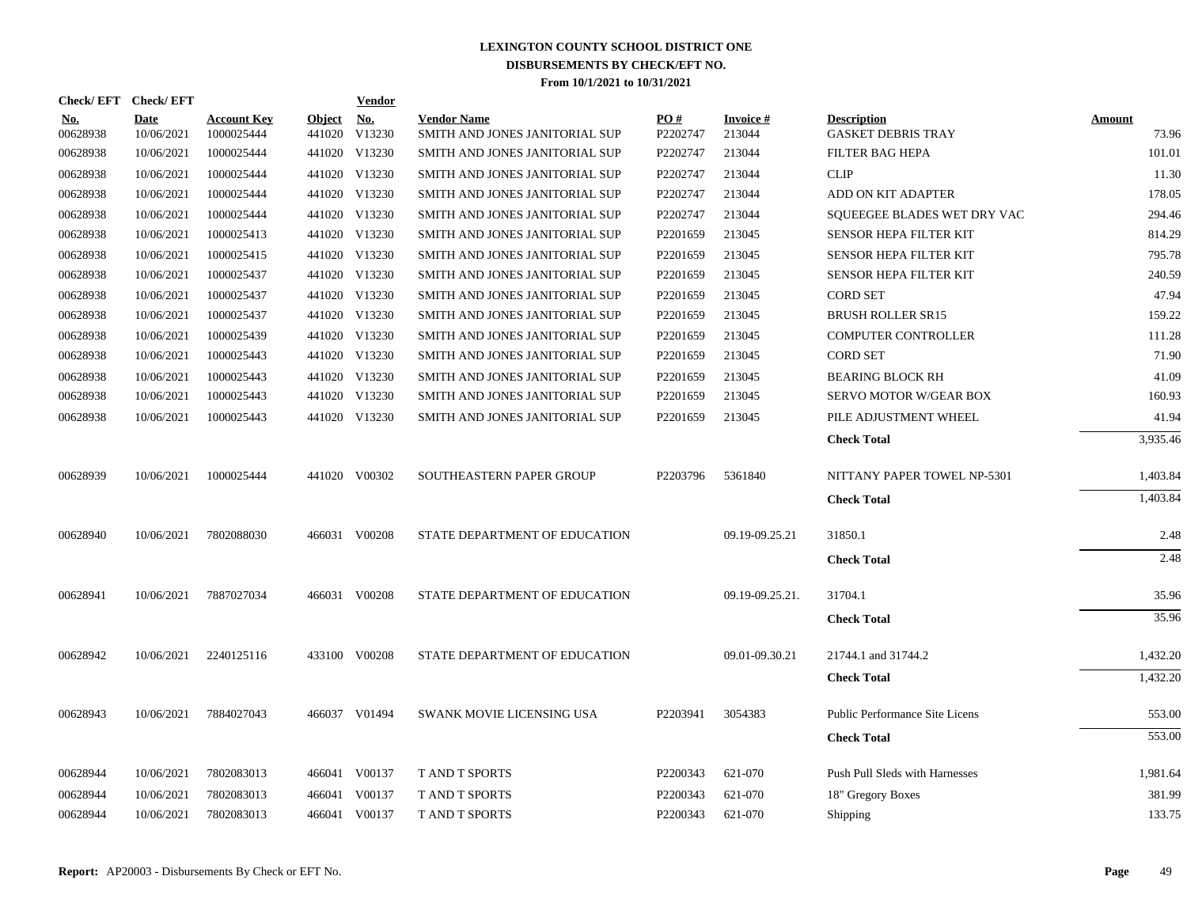|                        | Check/EFT Check/EFT       |                                  |                         | <b>Vendor</b> |                                                      |                 |                     |                                                 |                 |
|------------------------|---------------------------|----------------------------------|-------------------------|---------------|------------------------------------------------------|-----------------|---------------------|-------------------------------------------------|-----------------|
| <u>No.</u><br>00628938 | <b>Date</b><br>10/06/2021 | <b>Account Key</b><br>1000025444 | <b>Object</b><br>441020 | No.<br>V13230 | <b>Vendor Name</b><br>SMITH AND JONES JANITORIAL SUP | PO#<br>P2202747 | Invoice #<br>213044 | <b>Description</b><br><b>GASKET DEBRIS TRAY</b> | Amount<br>73.96 |
| 00628938               | 10/06/2021                | 1000025444                       |                         | 441020 V13230 | SMITH AND JONES JANITORIAL SUP                       | P2202747        | 213044              | FILTER BAG HEPA                                 | 101.01          |
| 00628938               | 10/06/2021                | 1000025444                       |                         | 441020 V13230 | SMITH AND JONES JANITORIAL SUP                       | P2202747        | 213044              | <b>CLIP</b>                                     | 11.30           |
| 00628938               | 10/06/2021                | 1000025444                       |                         | 441020 V13230 | SMITH AND JONES JANITORIAL SUP                       | P2202747        | 213044              | ADD ON KIT ADAPTER                              | 178.05          |
| 00628938               | 10/06/2021                | 1000025444                       |                         | 441020 V13230 | SMITH AND JONES JANITORIAL SUP                       | P2202747        | 213044              | SOUEEGEE BLADES WET DRY VAC                     | 294.46          |
| 00628938               | 10/06/2021                | 1000025413                       |                         | 441020 V13230 | SMITH AND JONES JANITORIAL SUP                       | P2201659        | 213045              | <b>SENSOR HEPA FILTER KIT</b>                   | 814.29          |
| 00628938               | 10/06/2021                | 1000025415                       |                         | 441020 V13230 | SMITH AND JONES JANITORIAL SUP                       | P2201659        | 213045              | SENSOR HEPA FILTER KIT                          | 795.78          |
| 00628938               | 10/06/2021                | 1000025437                       |                         | 441020 V13230 | SMITH AND JONES JANITORIAL SUP                       | P2201659        | 213045              | SENSOR HEPA FILTER KIT                          | 240.59          |
| 00628938               | 10/06/2021                | 1000025437                       |                         | 441020 V13230 | SMITH AND JONES JANITORIAL SUP                       | P2201659        | 213045              | <b>CORD SET</b>                                 | 47.94           |
| 00628938               | 10/06/2021                | 1000025437                       |                         | 441020 V13230 | SMITH AND JONES JANITORIAL SUP                       | P2201659        | 213045              | <b>BRUSH ROLLER SR15</b>                        | 159.22          |
| 00628938               | 10/06/2021                | 1000025439                       |                         | 441020 V13230 | SMITH AND JONES JANITORIAL SUP                       | P2201659        | 213045              | COMPUTER CONTROLLER                             | 111.28          |
| 00628938               | 10/06/2021                | 1000025443                       |                         | 441020 V13230 | SMITH AND JONES JANITORIAL SUP                       | P2201659        | 213045              | <b>CORD SET</b>                                 | 71.90           |
| 00628938               | 10/06/2021                | 1000025443                       |                         | 441020 V13230 | SMITH AND JONES JANITORIAL SUP                       | P2201659        | 213045              | <b>BEARING BLOCK RH</b>                         | 41.09           |
| 00628938               | 10/06/2021                | 1000025443                       |                         | 441020 V13230 | SMITH AND JONES JANITORIAL SUP                       | P2201659        | 213045              | <b>SERVO MOTOR W/GEAR BOX</b>                   | 160.93          |
| 00628938               | 10/06/2021                | 1000025443                       |                         | 441020 V13230 | SMITH AND JONES JANITORIAL SUP                       | P2201659        | 213045              | PILE ADJUSTMENT WHEEL                           | 41.94           |
|                        |                           |                                  |                         |               |                                                      |                 |                     | <b>Check Total</b>                              | 3,935.46        |
| 00628939               | 10/06/2021                | 1000025444                       |                         | 441020 V00302 | SOUTHEASTERN PAPER GROUP                             | P2203796        | 5361840             | NITTANY PAPER TOWEL NP-5301                     | 1,403.84        |
|                        |                           |                                  |                         |               |                                                      |                 |                     | <b>Check Total</b>                              | 1,403.84        |
| 00628940               | 10/06/2021                | 7802088030                       |                         | 466031 V00208 | STATE DEPARTMENT OF EDUCATION                        |                 | 09.19-09.25.21      | 31850.1                                         | 2.48            |
|                        |                           |                                  |                         |               |                                                      |                 |                     | <b>Check Total</b>                              | 2.48            |
|                        |                           |                                  |                         |               |                                                      |                 |                     |                                                 |                 |
| 00628941               | 10/06/2021                | 7887027034                       |                         | 466031 V00208 | STATE DEPARTMENT OF EDUCATION                        |                 | 09.19-09.25.21.     | 31704.1                                         | 35.96           |
|                        |                           |                                  |                         |               |                                                      |                 |                     | <b>Check Total</b>                              | 35.96           |
| 00628942               | 10/06/2021                | 2240125116                       |                         | 433100 V00208 | STATE DEPARTMENT OF EDUCATION                        |                 | 09.01-09.30.21      | 21744.1 and 31744.2                             | 1,432.20        |
|                        |                           |                                  |                         |               |                                                      |                 |                     | <b>Check Total</b>                              | 1,432.20        |
| 00628943               | 10/06/2021                | 7884027043                       |                         | 466037 V01494 | SWANK MOVIE LICENSING USA                            | P2203941        | 3054383             | Public Performance Site Licens                  | 553.00          |
|                        |                           |                                  |                         |               |                                                      |                 |                     | <b>Check Total</b>                              | 553.00          |
| 00628944               | 10/06/2021                | 7802083013                       |                         | 466041 V00137 | <b>T AND T SPORTS</b>                                | P2200343        | 621-070             | Push Pull Sleds with Harnesses                  | 1,981.64        |
| 00628944               | 10/06/2021                | 7802083013                       |                         | 466041 V00137 | <b>TAND T SPORTS</b>                                 | P2200343        | 621-070             | 18" Gregory Boxes                               | 381.99          |
| 00628944               | 10/06/2021                | 7802083013                       |                         | 466041 V00137 | <b>T AND T SPORTS</b>                                | P2200343        | 621-070             | Shipping                                        | 133.75          |
|                        |                           |                                  |                         |               |                                                      |                 |                     |                                                 |                 |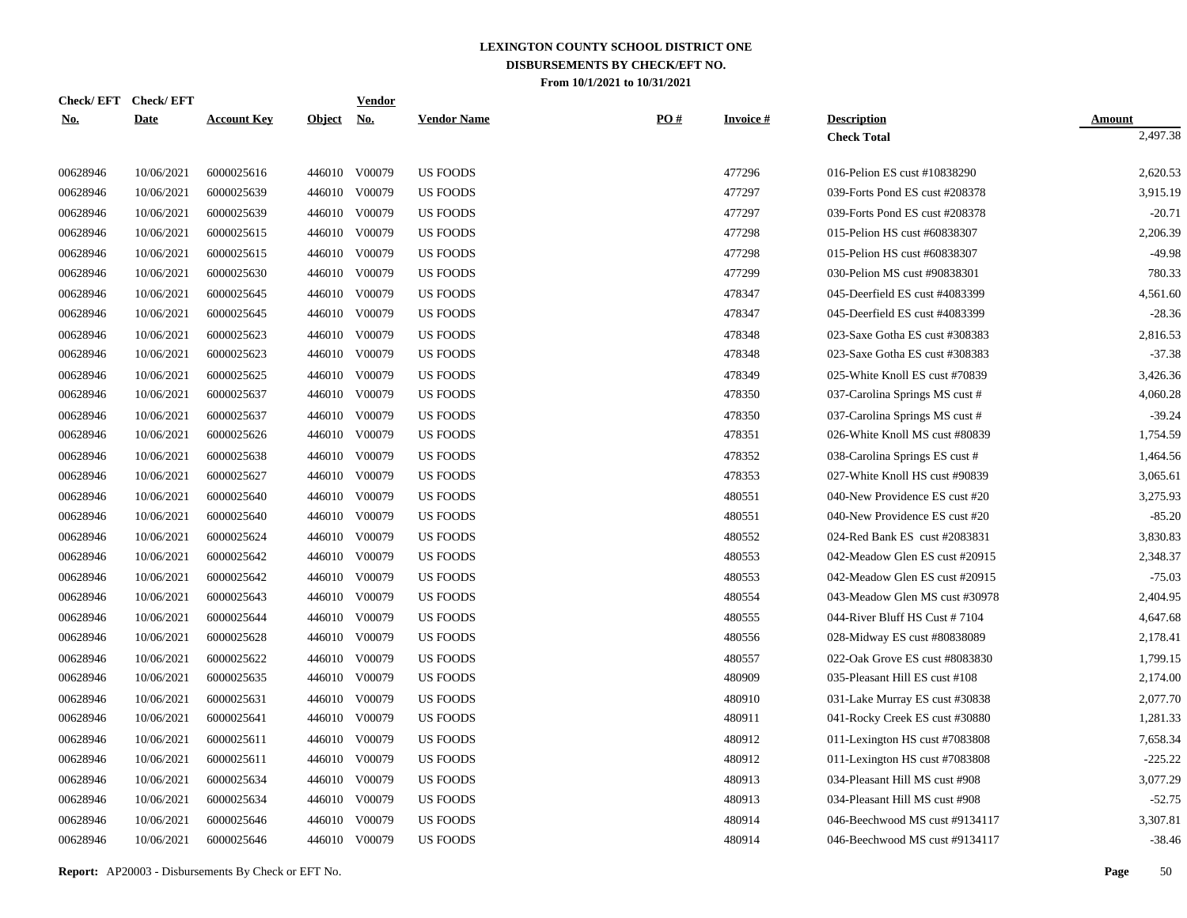|            | Check/EFT Check/EFT |                    |               | <u>Vendor</u>             |                    |     |                 |                                |               |
|------------|---------------------|--------------------|---------------|---------------------------|--------------------|-----|-----------------|--------------------------------|---------------|
| <u>No.</u> | <b>Date</b>         | <b>Account Key</b> | <b>Object</b> | $\underline{\mathrm{No}}$ | <b>Vendor Name</b> | PO# | <b>Invoice#</b> | <b>Description</b>             | <b>Amount</b> |
|            |                     |                    |               |                           |                    |     |                 | <b>Check Total</b>             | 2,497.38      |
| 00628946   | 10/06/2021          | 6000025616         |               | 446010 V00079             | <b>US FOODS</b>    |     | 477296          | 016-Pelion ES cust #10838290   | 2,620.53      |
| 00628946   | 10/06/2021          | 6000025639         |               | 446010 V00079             | <b>US FOODS</b>    |     | 477297          | 039-Forts Pond ES cust #208378 | 3,915.19      |
| 00628946   | 10/06/2021          | 6000025639         |               | 446010 V00079             | <b>US FOODS</b>    |     | 477297          | 039-Forts Pond ES cust #208378 | $-20.71$      |
| 00628946   | 10/06/2021          | 6000025615         |               | 446010 V00079             | <b>US FOODS</b>    |     | 477298          | 015-Pelion HS cust #60838307   | 2,206.39      |
| 00628946   | 10/06/2021          | 6000025615         |               | 446010 V00079             | <b>US FOODS</b>    |     | 477298          | 015-Pelion HS cust #60838307   | $-49.98$      |
| 00628946   | 10/06/2021          | 6000025630         |               | 446010 V00079             | <b>US FOODS</b>    |     | 477299          | 030-Pelion MS cust #90838301   | 780.33        |
| 00628946   | 10/06/2021          | 6000025645         |               | 446010 V00079             | <b>US FOODS</b>    |     | 478347          | 045-Deerfield ES cust #4083399 | 4,561.60      |
| 00628946   | 10/06/2021          | 6000025645         |               | 446010 V00079             | <b>US FOODS</b>    |     | 478347          | 045-Deerfield ES cust #4083399 | $-28.36$      |
| 00628946   | 10/06/2021          | 6000025623         |               | 446010 V00079             | <b>US FOODS</b>    |     | 478348          | 023-Saxe Gotha ES cust #308383 | 2,816.53      |
| 00628946   | 10/06/2021          | 6000025623         |               | 446010 V00079             | <b>US FOODS</b>    |     | 478348          | 023-Saxe Gotha ES cust #308383 | $-37.38$      |
| 00628946   | 10/06/2021          | 6000025625         |               | 446010 V00079             | <b>US FOODS</b>    |     | 478349          | 025-White Knoll ES cust #70839 | 3,426.36      |
| 00628946   | 10/06/2021          | 6000025637         |               | 446010 V00079             | <b>US FOODS</b>    |     | 478350          | 037-Carolina Springs MS cust # | 4,060.28      |
| 00628946   | 10/06/2021          | 6000025637         |               | 446010 V00079             | <b>US FOODS</b>    |     | 478350          | 037-Carolina Springs MS cust # | $-39.24$      |
| 00628946   | 10/06/2021          | 6000025626         |               | 446010 V00079             | <b>US FOODS</b>    |     | 478351          | 026-White Knoll MS cust #80839 | 1,754.59      |
| 00628946   | 10/06/2021          | 6000025638         |               | 446010 V00079             | <b>US FOODS</b>    |     | 478352          | 038-Carolina Springs ES cust # | 1,464.56      |
| 00628946   | 10/06/2021          | 6000025627         |               | 446010 V00079             | <b>US FOODS</b>    |     | 478353          | 027-White Knoll HS cust #90839 | 3,065.61      |
| 00628946   | 10/06/2021          | 6000025640         |               | 446010 V00079             | <b>US FOODS</b>    |     | 480551          | 040-New Providence ES cust #20 | 3,275.93      |
| 00628946   | 10/06/2021          | 6000025640         |               | 446010 V00079             | <b>US FOODS</b>    |     | 480551          | 040-New Providence ES cust #20 | $-85.20$      |
| 00628946   | 10/06/2021          | 6000025624         |               | 446010 V00079             | <b>US FOODS</b>    |     | 480552          | 024-Red Bank ES cust #2083831  | 3,830.83      |
| 00628946   | 10/06/2021          | 6000025642         |               | 446010 V00079             | <b>US FOODS</b>    |     | 480553          | 042-Meadow Glen ES cust #20915 | 2,348.37      |
| 00628946   | 10/06/2021          | 6000025642         |               | 446010 V00079             | <b>US FOODS</b>    |     | 480553          | 042-Meadow Glen ES cust #20915 | $-75.03$      |
| 00628946   | 10/06/2021          | 6000025643         |               | 446010 V00079             | <b>US FOODS</b>    |     | 480554          | 043-Meadow Glen MS cust #30978 | 2,404.95      |
| 00628946   | 10/06/2021          | 6000025644         |               | 446010 V00079             | <b>US FOODS</b>    |     | 480555          | 044-River Bluff HS Cust #7104  | 4,647.68      |
| 00628946   | 10/06/2021          | 6000025628         |               | 446010 V00079             | US FOODS           |     | 480556          | 028-Midway ES cust #80838089   | 2,178.41      |
| 00628946   | 10/06/2021          | 6000025622         |               | 446010 V00079             | US FOODS           |     | 480557          | 022-Oak Grove ES cust #8083830 | 1.799.15      |
| 00628946   | 10/06/2021          | 6000025635         |               | 446010 V00079             | <b>US FOODS</b>    |     | 480909          | 035-Pleasant Hill ES cust #108 | 2,174.00      |
| 00628946   | 10/06/2021          | 6000025631         |               | 446010 V00079             | <b>US FOODS</b>    |     | 480910          | 031-Lake Murray ES cust #30838 | 2,077.70      |
| 00628946   | 10/06/2021          | 6000025641         |               | 446010 V00079             | <b>US FOODS</b>    |     | 480911          | 041-Rocky Creek ES cust #30880 | 1,281.33      |
| 00628946   | 10/06/2021          | 6000025611         |               | 446010 V00079             | US FOODS           |     | 480912          | 011-Lexington HS cust #7083808 | 7,658.34      |
| 00628946   | 10/06/2021          | 6000025611         |               | 446010 V00079             | US FOODS           |     | 480912          | 011-Lexington HS cust #7083808 | $-225.22$     |
| 00628946   | 10/06/2021          | 6000025634         |               | 446010 V00079             | US FOODS           |     | 480913          | 034-Pleasant Hill MS cust #908 | 3,077.29      |
| 00628946   | 10/06/2021          | 6000025634         |               | 446010 V00079             | <b>US FOODS</b>    |     | 480913          | 034-Pleasant Hill MS cust #908 | $-52.75$      |
| 00628946   | 10/06/2021          | 6000025646         |               | 446010 V00079             | <b>US FOODS</b>    |     | 480914          | 046-Beechwood MS cust #9134117 | 3,307.81      |
| 00628946   | 10/06/2021          | 6000025646         |               | 446010 V00079             | <b>US FOODS</b>    |     | 480914          | 046-Beechwood MS cust #9134117 | $-38.46$      |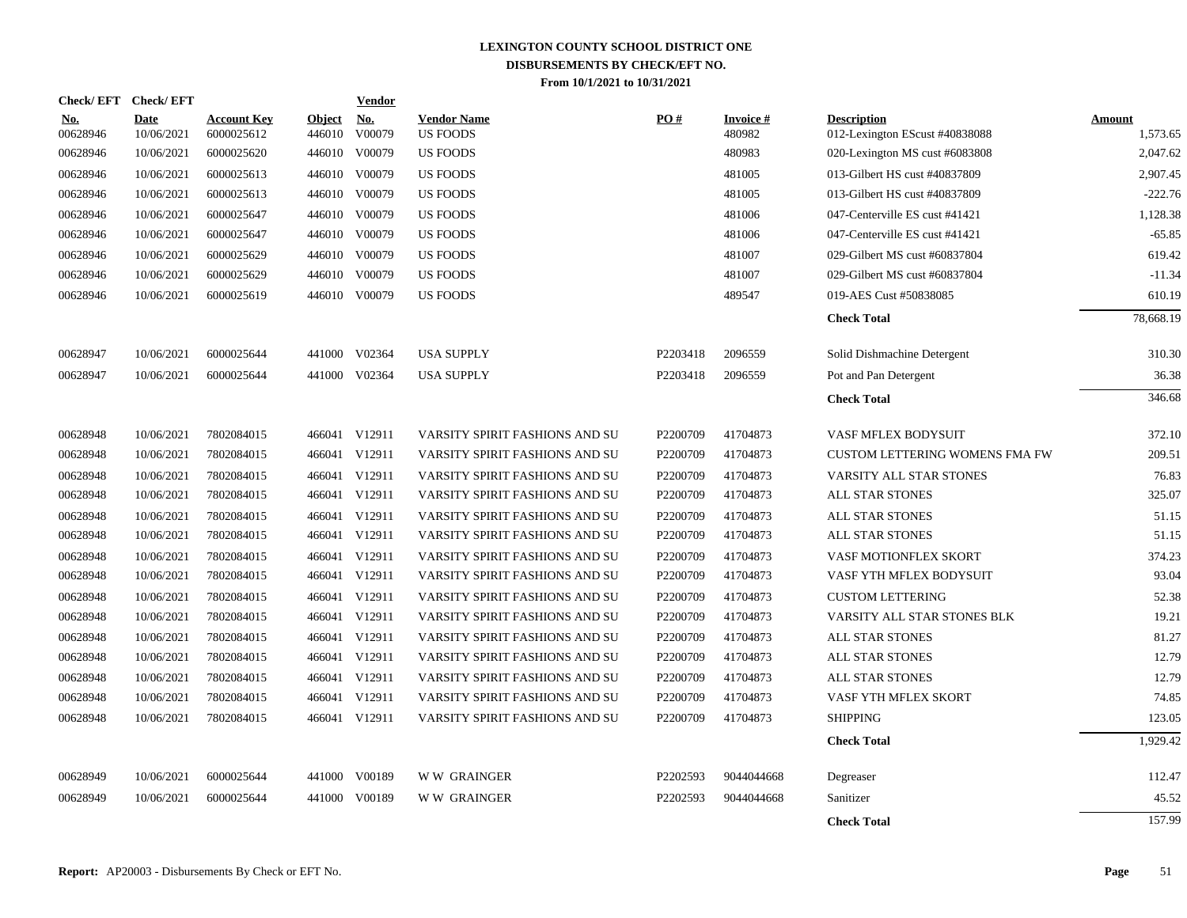| <b>Check/EFT</b>       | <b>Check/EFT</b>          |                                  |                         | <b>Vendor</b>        |                                       |          |                           |                                                      |                           |
|------------------------|---------------------------|----------------------------------|-------------------------|----------------------|---------------------------------------|----------|---------------------------|------------------------------------------------------|---------------------------|
| <u>No.</u><br>00628946 | <b>Date</b><br>10/06/2021 | <b>Account Key</b><br>6000025612 | <b>Object</b><br>446010 | <u>No.</u><br>V00079 | <b>Vendor Name</b><br><b>US FOODS</b> | PO#      | <b>Invoice#</b><br>480982 | <b>Description</b><br>012-Lexington EScust #40838088 | <b>Amount</b><br>1,573.65 |
| 00628946               | 10/06/2021                | 6000025620                       |                         | 446010 V00079        | <b>US FOODS</b>                       |          | 480983                    | 020-Lexington MS cust #6083808                       | 2,047.62                  |
| 00628946               | 10/06/2021                | 6000025613                       |                         | 446010 V00079        | <b>US FOODS</b>                       |          | 481005                    | 013-Gilbert HS cust #40837809                        | 2,907.45                  |
| 00628946               | 10/06/2021                | 6000025613                       |                         | 446010 V00079        | <b>US FOODS</b>                       |          | 481005                    | 013-Gilbert HS cust #40837809                        | $-222.76$                 |
| 00628946               | 10/06/2021                | 6000025647                       |                         | 446010 V00079        | <b>US FOODS</b>                       |          | 481006                    | 047-Centerville ES cust #41421                       | 1,128.38                  |
| 00628946               | 10/06/2021                | 6000025647                       |                         | 446010 V00079        | <b>US FOODS</b>                       |          | 481006                    | 047-Centerville ES cust #41421                       | $-65.85$                  |
| 00628946               | 10/06/2021                | 6000025629                       |                         | 446010 V00079        | <b>US FOODS</b>                       |          | 481007                    | 029-Gilbert MS cust #60837804                        | 619.42                    |
| 00628946               | 10/06/2021                | 6000025629                       |                         | 446010 V00079        | US FOODS                              |          | 481007                    | 029-Gilbert MS cust #60837804                        | $-11.34$                  |
| 00628946               | 10/06/2021                | 6000025619                       |                         | 446010 V00079        | <b>US FOODS</b>                       |          | 489547                    | 019-AES Cust #50838085                               | 610.19                    |
|                        |                           |                                  |                         |                      |                                       |          |                           | <b>Check Total</b>                                   | 78,668.19                 |
| 00628947               | 10/06/2021                | 6000025644                       |                         | 441000 V02364        | <b>USA SUPPLY</b>                     | P2203418 | 2096559                   | Solid Dishmachine Detergent                          | 310.30                    |
| 00628947               | 10/06/2021                | 6000025644                       |                         | 441000 V02364        | <b>USA SUPPLY</b>                     | P2203418 | 2096559                   | Pot and Pan Detergent                                | 36.38                     |
|                        |                           |                                  |                         |                      |                                       |          |                           | <b>Check Total</b>                                   | 346.68                    |
| 00628948               | 10/06/2021                | 7802084015                       |                         | 466041 V12911        | VARSITY SPIRIT FASHIONS AND SU        | P2200709 | 41704873                  | VASF MFLEX BODYSUIT                                  | 372.10                    |
| 00628948               | 10/06/2021                | 7802084015                       |                         | 466041 V12911        | VARSITY SPIRIT FASHIONS AND SU        | P2200709 | 41704873                  | <b>CUSTOM LETTERING WOMENS FMA FW</b>                | 209.51                    |
| 00628948               | 10/06/2021                | 7802084015                       |                         | 466041 V12911        | VARSITY SPIRIT FASHIONS AND SU        | P2200709 | 41704873                  | VARSITY ALL STAR STONES                              | 76.83                     |
| 00628948               | 10/06/2021                | 7802084015                       |                         | 466041 V12911        | VARSITY SPIRIT FASHIONS AND SU        | P2200709 | 41704873                  | <b>ALL STAR STONES</b>                               | 325.07                    |
| 00628948               | 10/06/2021                | 7802084015                       |                         | 466041 V12911        | VARSITY SPIRIT FASHIONS AND SU        | P2200709 | 41704873                  | <b>ALL STAR STONES</b>                               | 51.15                     |
| 00628948               | 10/06/2021                | 7802084015                       |                         | 466041 V12911        | VARSITY SPIRIT FASHIONS AND SU        | P2200709 | 41704873                  | ALL STAR STONES                                      | 51.15                     |
| 00628948               | 10/06/2021                | 7802084015                       |                         | 466041 V12911        | VARSITY SPIRIT FASHIONS AND SU        | P2200709 | 41704873                  | VASF MOTIONFLEX SKORT                                | 374.23                    |
| 00628948               | 10/06/2021                | 7802084015                       |                         | 466041 V12911        | VARSITY SPIRIT FASHIONS AND SU        | P2200709 | 41704873                  | VASF YTH MFLEX BODYSUIT                              | 93.04                     |
| 00628948               | 10/06/2021                | 7802084015                       |                         | 466041 V12911        | VARSITY SPIRIT FASHIONS AND SU        | P2200709 | 41704873                  | <b>CUSTOM LETTERING</b>                              | 52.38                     |
| 00628948               | 10/06/2021                | 7802084015                       |                         | 466041 V12911        | VARSITY SPIRIT FASHIONS AND SU        | P2200709 | 41704873                  | VARSITY ALL STAR STONES BLK                          | 19.21                     |
| 00628948               | 10/06/2021                | 7802084015                       |                         | 466041 V12911        | VARSITY SPIRIT FASHIONS AND SU        | P2200709 | 41704873                  | ALL STAR STONES                                      | 81.27                     |
| 00628948               | 10/06/2021                | 7802084015                       |                         | 466041 V12911        | VARSITY SPIRIT FASHIONS AND SU        | P2200709 | 41704873                  | ALL STAR STONES                                      | 12.79                     |
| 00628948               | 10/06/2021                | 7802084015                       |                         | 466041 V12911        | VARSITY SPIRIT FASHIONS AND SU        | P2200709 | 41704873                  | <b>ALL STAR STONES</b>                               | 12.79                     |
| 00628948               | 10/06/2021                | 7802084015                       |                         | 466041 V12911        | VARSITY SPIRIT FASHIONS AND SU        | P2200709 | 41704873                  | VASF YTH MFLEX SKORT                                 | 74.85                     |
| 00628948               | 10/06/2021                | 7802084015                       |                         | 466041 V12911        | VARSITY SPIRIT FASHIONS AND SU        | P2200709 | 41704873                  | <b>SHIPPING</b>                                      | 123.05                    |
|                        |                           |                                  |                         |                      |                                       |          |                           | <b>Check Total</b>                                   | 1.929.42                  |
| 00628949               | 10/06/2021                | 6000025644                       |                         | 441000 V00189        | <b>WW GRAINGER</b>                    | P2202593 | 9044044668                | Degreaser                                            | 112.47                    |
| 00628949               | 10/06/2021                | 6000025644                       | 441000                  | V00189               | <b>WW GRAINGER</b>                    | P2202593 | 9044044668                | Sanitizer                                            | 45.52                     |
|                        |                           |                                  |                         |                      |                                       |          |                           | <b>Check Total</b>                                   | 157.99                    |
|                        |                           |                                  |                         |                      |                                       |          |                           |                                                      |                           |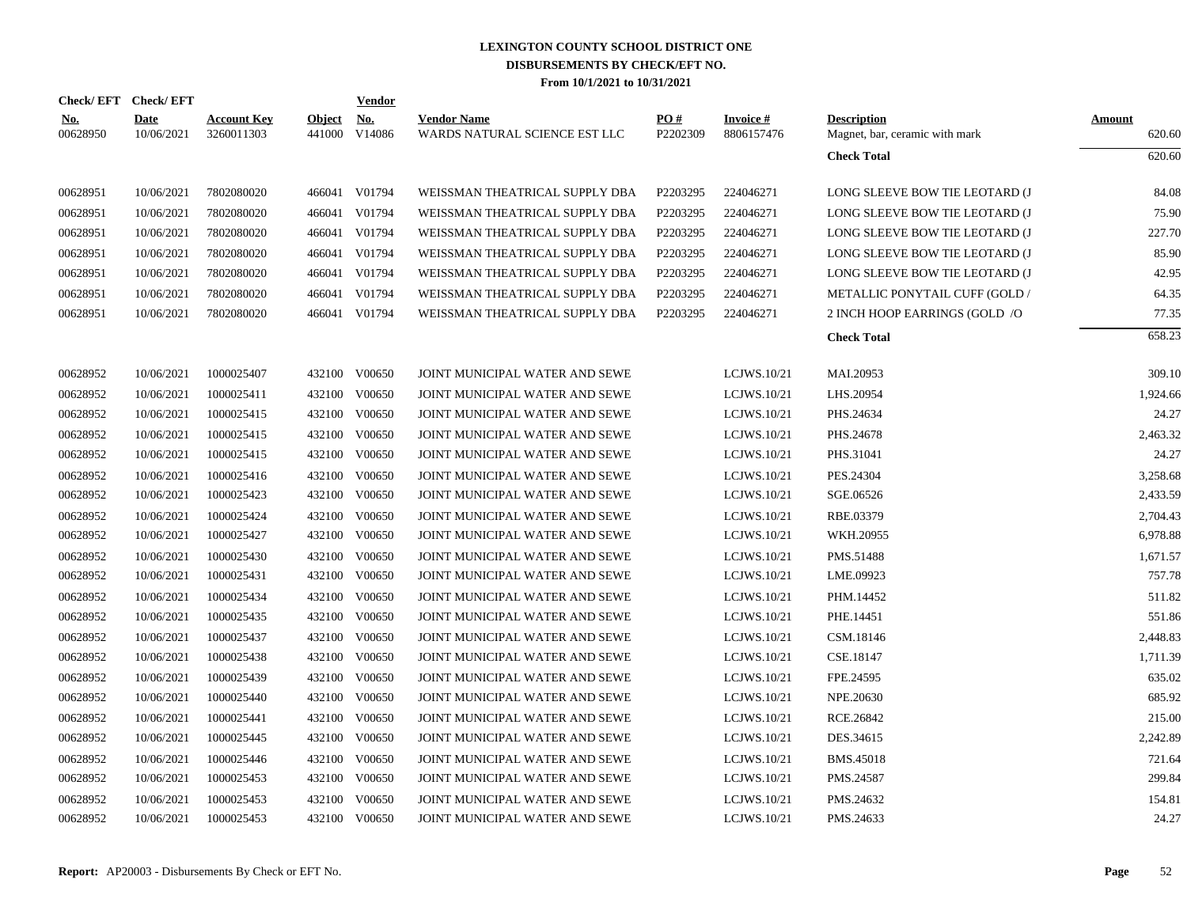|                        | Check/EFT Check/EFT       |                                  |                         | <b>Vendor</b>        |                                                     |                 |                               |                                                      |                         |
|------------------------|---------------------------|----------------------------------|-------------------------|----------------------|-----------------------------------------------------|-----------------|-------------------------------|------------------------------------------------------|-------------------------|
| <b>No.</b><br>00628950 | <b>Date</b><br>10/06/2021 | <b>Account Key</b><br>3260011303 | <b>Object</b><br>441000 | <u>No.</u><br>V14086 | <b>Vendor Name</b><br>WARDS NATURAL SCIENCE EST LLC | PO#<br>P2202309 | <b>Invoice#</b><br>8806157476 | <b>Description</b><br>Magnet, bar, ceramic with mark | <b>Amount</b><br>620.60 |
|                        |                           |                                  |                         |                      |                                                     |                 |                               | <b>Check Total</b>                                   | 620.60                  |
| 00628951               | 10/06/2021                | 7802080020                       |                         | 466041 V01794        | WEISSMAN THEATRICAL SUPPLY DBA                      | P2203295        | 224046271                     | LONG SLEEVE BOW TIE LEOTARD (J                       | 84.08                   |
| 00628951               | 10/06/2021                | 7802080020                       |                         | 466041 V01794        | WEISSMAN THEATRICAL SUPPLY DBA                      | P2203295        | 224046271                     | LONG SLEEVE BOW TIE LEOTARD (J                       | 75.90                   |
| 00628951               | 10/06/2021                | 7802080020                       |                         | 466041 V01794        | WEISSMAN THEATRICAL SUPPLY DBA                      | P2203295        | 224046271                     | LONG SLEEVE BOW TIE LEOTARD (J                       | 227.70                  |
| 00628951               | 10/06/2021                | 7802080020                       | 466041                  | V01794               | WEISSMAN THEATRICAL SUPPLY DBA                      | P2203295        | 224046271                     | LONG SLEEVE BOW TIE LEOTARD (J                       | 85.90                   |
| 00628951               | 10/06/2021                | 7802080020                       | 466041                  | V01794               | WEISSMAN THEATRICAL SUPPLY DBA                      | P2203295        | 224046271                     | LONG SLEEVE BOW TIE LEOTARD (J                       | 42.95                   |
| 00628951               | 10/06/2021                | 7802080020                       |                         | 466041 V01794        | WEISSMAN THEATRICAL SUPPLY DBA                      | P2203295        | 224046271                     | METALLIC PONYTAIL CUFF (GOLD /                       | 64.35                   |
| 00628951               | 10/06/2021                | 7802080020                       |                         | 466041 V01794        | WEISSMAN THEATRICAL SUPPLY DBA                      | P2203295        | 224046271                     | 2 INCH HOOP EARRINGS (GOLD /O                        | 77.35                   |
|                        |                           |                                  |                         |                      |                                                     |                 |                               | <b>Check Total</b>                                   | 658.23                  |
| 00628952               | 10/06/2021                | 1000025407                       | 432100                  | V00650               | JOINT MUNICIPAL WATER AND SEWE                      |                 | LCJWS.10/21                   | MAI.20953                                            | 309.10                  |
| 00628952               | 10/06/2021                | 1000025411                       | 432100                  | V00650               | JOINT MUNICIPAL WATER AND SEWE                      |                 | LCJWS.10/21                   | LHS.20954                                            | 1,924.66                |
| 00628952               | 10/06/2021                | 1000025415                       | 432100                  | V00650               | JOINT MUNICIPAL WATER AND SEWE                      |                 | LCJWS.10/21                   | PHS.24634                                            | 24.27                   |
| 00628952               | 10/06/2021                | 1000025415                       | 432100                  | V00650               | JOINT MUNICIPAL WATER AND SEWE                      |                 | LCJWS.10/21                   | PHS.24678                                            | 2,463.32                |
| 00628952               | 10/06/2021                | 1000025415                       | 432100                  | V00650               | JOINT MUNICIPAL WATER AND SEWE                      |                 | LCJWS.10/21                   | PHS.31041                                            | 24.27                   |
| 00628952               | 10/06/2021                | 1000025416                       |                         | 432100 V00650        | JOINT MUNICIPAL WATER AND SEWE                      |                 | LCJWS.10/21                   | PES.24304                                            | 3,258.68                |
| 00628952               | 10/06/2021                | 1000025423                       |                         | 432100 V00650        | JOINT MUNICIPAL WATER AND SEWE                      |                 | LCJWS.10/21                   | SGE.06526                                            | 2,433.59                |
| 00628952               | 10/06/2021                | 1000025424                       |                         | 432100 V00650        | JOINT MUNICIPAL WATER AND SEWE                      |                 | LCJWS.10/21                   | RBE.03379                                            | 2,704.43                |
| 00628952               | 10/06/2021                | 1000025427                       |                         | 432100 V00650        | JOINT MUNICIPAL WATER AND SEWE                      |                 | LCJWS.10/21                   | WKH.20955                                            | 6,978.88                |
| 00628952               | 10/06/2021                | 1000025430                       |                         | 432100 V00650        | JOINT MUNICIPAL WATER AND SEWE                      |                 | LCJWS.10/21                   | PMS.51488                                            | 1,671.57                |
| 00628952               | 10/06/2021                | 1000025431                       |                         | 432100 V00650        | JOINT MUNICIPAL WATER AND SEWE                      |                 | LCJWS.10/21                   | LME.09923                                            | 757.78                  |
| 00628952               | 10/06/2021                | 1000025434                       | 432100                  | V00650               | JOINT MUNICIPAL WATER AND SEWE                      |                 | LCJWS.10/21                   | PHM.14452                                            | 511.82                  |
| 00628952               | 10/06/2021                | 1000025435                       |                         | 432100 V00650        | JOINT MUNICIPAL WATER AND SEWE                      |                 | LCJWS.10/21                   | PHE.14451                                            | 551.86                  |
| 00628952               | 10/06/2021                | 1000025437                       | 432100                  | V00650               | JOINT MUNICIPAL WATER AND SEWE                      |                 | LCJWS.10/21                   | CSM.18146                                            | 2,448.83                |
| 00628952               | 10/06/2021                | 1000025438                       |                         | 432100 V00650        | JOINT MUNICIPAL WATER AND SEWE                      |                 | LCJWS.10/21                   | CSE.18147                                            | 1,711.39                |
| 00628952               | 10/06/2021                | 1000025439                       | 432100                  | V00650               | JOINT MUNICIPAL WATER AND SEWE                      |                 | LCJWS.10/21                   | FPE.24595                                            | 635.02                  |
| 00628952               | 10/06/2021                | 1000025440                       |                         | 432100 V00650        | JOINT MUNICIPAL WATER AND SEWE                      |                 | LCJWS.10/21                   | NPE.20630                                            | 685.92                  |
| 00628952               | 10/06/2021                | 1000025441                       | 432100                  | V00650               | JOINT MUNICIPAL WATER AND SEWE                      |                 | LCJWS.10/21                   | RCE.26842                                            | 215.00                  |
| 00628952               | 10/06/2021                | 1000025445                       | 432100                  | V00650               | JOINT MUNICIPAL WATER AND SEWE                      |                 | LCJWS.10/21                   | DES.34615                                            | 2,242.89                |
| 00628952               | 10/06/2021                | 1000025446                       | 432100                  | V00650               | JOINT MUNICIPAL WATER AND SEWE                      |                 | LCJWS.10/21                   | <b>BMS.45018</b>                                     | 721.64                  |
| 00628952               | 10/06/2021                | 1000025453                       | 432100                  | V00650               | JOINT MUNICIPAL WATER AND SEWE                      |                 | LCJWS.10/21                   | PMS.24587                                            | 299.84                  |
| 00628952               | 10/06/2021                | 1000025453                       | 432100                  | V00650               | JOINT MUNICIPAL WATER AND SEWE                      |                 | LCJWS.10/21                   | PMS.24632                                            | 154.81                  |
| 00628952               | 10/06/2021                | 1000025453                       |                         | 432100 V00650        | JOINT MUNICIPAL WATER AND SEWE                      |                 | LCJWS.10/21                   | PMS.24633                                            | 24.27                   |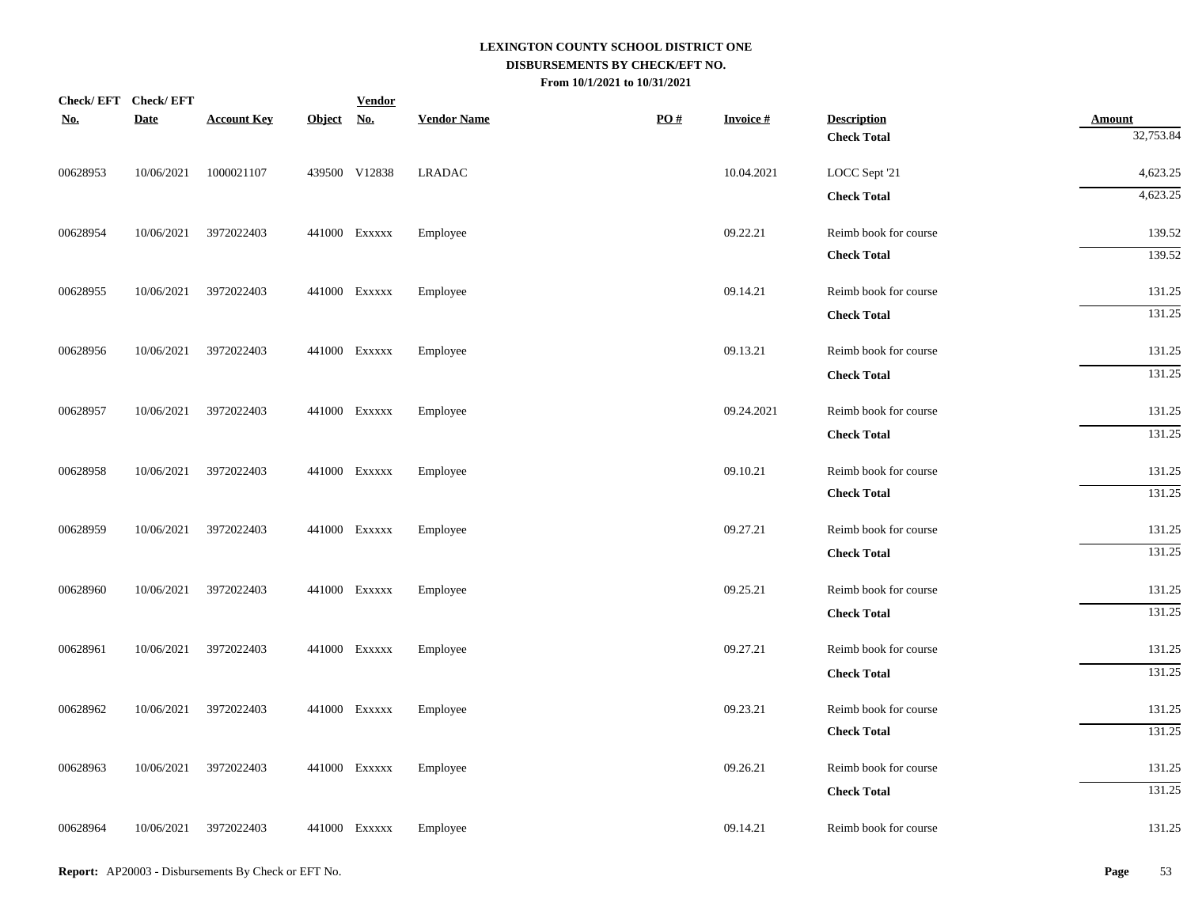| <b>Check/EFT</b> | <b>Check/EFT</b> |                    |            | <b>Vendor</b> |                    |                   |                 |                       |               |
|------------------|------------------|--------------------|------------|---------------|--------------------|-------------------|-----------------|-----------------------|---------------|
| <u>No.</u>       | <b>Date</b>      | <b>Account Key</b> | Object No. |               | <b>Vendor Name</b> | $\underline{PO#}$ | <b>Invoice#</b> | <b>Description</b>    | <b>Amount</b> |
|                  |                  |                    |            |               |                    |                   |                 | <b>Check Total</b>    | 32,753.84     |
| 00628953         | 10/06/2021       | 1000021107         |            | 439500 V12838 | <b>LRADAC</b>      |                   | 10.04.2021      | LOCC Sept '21         | 4,623.25      |
|                  |                  |                    |            |               |                    |                   |                 | <b>Check Total</b>    | 4,623.25      |
| 00628954         | 10/06/2021       | 3972022403         |            | 441000 Exxxxx | Employee           |                   | 09.22.21        | Reimb book for course | 139.52        |
|                  |                  |                    |            |               |                    |                   |                 | <b>Check Total</b>    | 139.52        |
| 00628955         | 10/06/2021       | 3972022403         |            | 441000 EXXXXX | Employee           |                   | 09.14.21        | Reimb book for course | 131.25        |
|                  |                  |                    |            |               |                    |                   |                 | <b>Check Total</b>    | 131.25        |
| 00628956         | 10/06/2021       | 3972022403         |            | 441000 Exxxxx | Employee           |                   | 09.13.21        | Reimb book for course | 131.25        |
|                  |                  |                    |            |               |                    |                   |                 | <b>Check Total</b>    | 131.25        |
| 00628957         | 10/06/2021       | 3972022403         |            | 441000 Exxxxx | Employee           |                   | 09.24.2021      | Reimb book for course | 131.25        |
|                  |                  |                    |            |               |                    |                   |                 | <b>Check Total</b>    | 131.25        |
| 00628958         | 10/06/2021       | 3972022403         |            | 441000 Exxxxx | Employee           |                   | 09.10.21        | Reimb book for course | 131.25        |
|                  |                  |                    |            |               |                    |                   |                 | <b>Check Total</b>    | 131.25        |
| 00628959         | 10/06/2021       | 3972022403         |            | 441000 Exxxxx | Employee           |                   | 09.27.21        | Reimb book for course | 131.25        |
|                  |                  |                    |            |               |                    |                   |                 | <b>Check Total</b>    | 131.25        |
| 00628960         | 10/06/2021       | 3972022403         |            | 441000 Exxxxx | Employee           |                   | 09.25.21        | Reimb book for course | 131.25        |
|                  |                  |                    |            |               |                    |                   |                 | <b>Check Total</b>    | 131.25        |
| 00628961         | 10/06/2021       | 3972022403         |            | 441000 Exxxxx | Employee           |                   | 09.27.21        | Reimb book for course | 131.25        |
|                  |                  |                    |            |               |                    |                   |                 | <b>Check Total</b>    | 131.25        |
| 00628962         | 10/06/2021       | 3972022403         |            | 441000 Exxxxx | Employee           |                   | 09.23.21        | Reimb book for course | 131.25        |
|                  |                  |                    |            |               |                    |                   |                 | <b>Check Total</b>    | 131.25        |
| 00628963         | 10/06/2021       | 3972022403         |            | 441000 Exxxxx | Employee           |                   | 09.26.21        | Reimb book for course | 131.25        |
|                  |                  |                    |            |               |                    |                   |                 | <b>Check Total</b>    | 131.25        |
| 00628964         | 10/06/2021       | 3972022403         |            | 441000 Exxxxx | Employee           |                   | 09.14.21        | Reimb book for course | 131.25        |
|                  |                  |                    |            |               |                    |                   |                 |                       |               |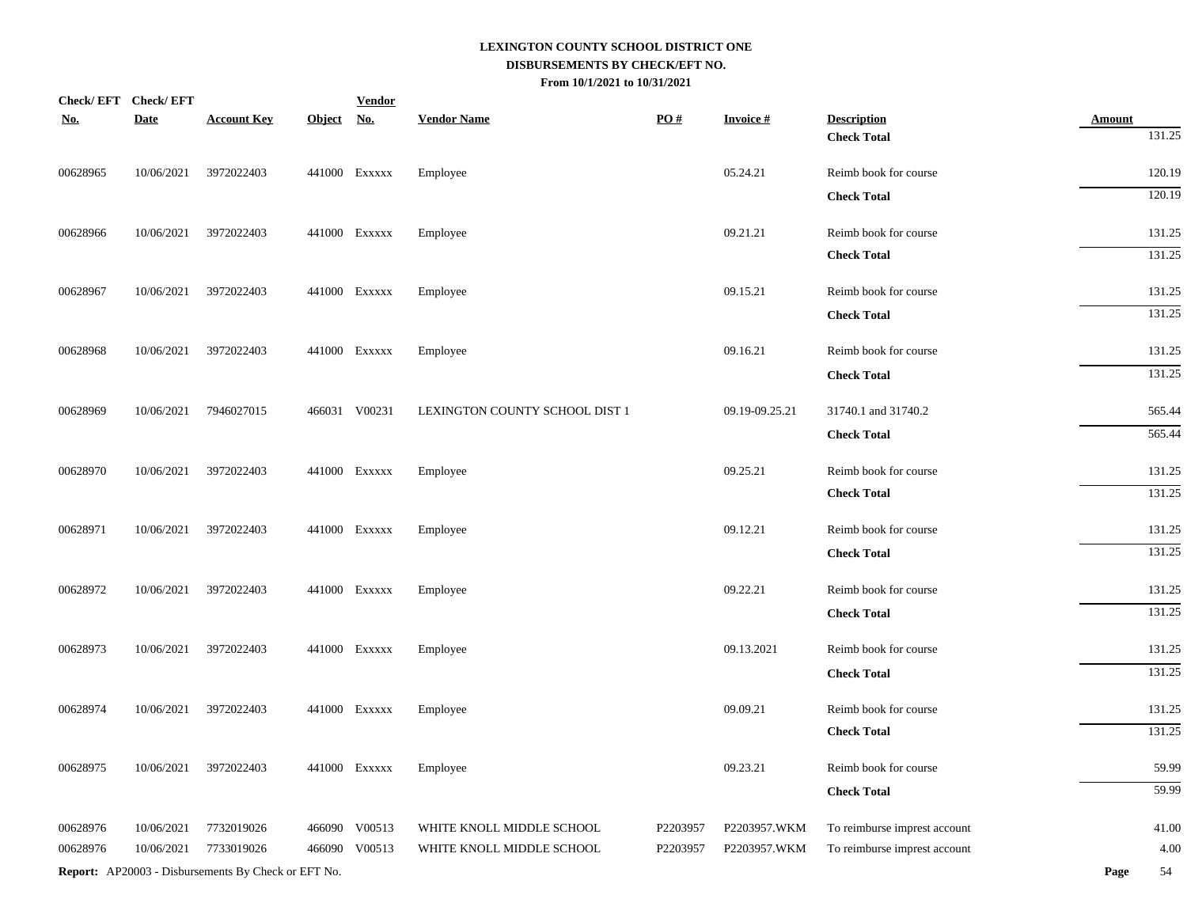| <b>Check/EFT</b> | <b>Check/EFT</b> |                                                            |            | <b>Vendor</b> |                                |                   |                 |                              |               |
|------------------|------------------|------------------------------------------------------------|------------|---------------|--------------------------------|-------------------|-----------------|------------------------------|---------------|
| <u>No.</u>       | <b>Date</b>      | <b>Account Key</b>                                         | Object No. |               | <b>Vendor Name</b>             | $\underline{PO#}$ | <b>Invoice#</b> | <b>Description</b>           | <b>Amount</b> |
|                  |                  |                                                            |            |               |                                |                   |                 | <b>Check Total</b>           | 131.25        |
| 00628965         | 10/06/2021       | 3972022403                                                 |            | 441000 Exxxxx | Employee                       |                   | 05.24.21        | Reimb book for course        | 120.19        |
|                  |                  |                                                            |            |               |                                |                   |                 | <b>Check Total</b>           | 120.19        |
| 00628966         | 10/06/2021       | 3972022403                                                 |            | 441000 Exxxxx | Employee                       |                   | 09.21.21        | Reimb book for course        | 131.25        |
|                  |                  |                                                            |            |               |                                |                   |                 | <b>Check Total</b>           | 131.25        |
| 00628967         | 10/06/2021       | 3972022403                                                 |            | 441000 Exxxxx | Employee                       |                   | 09.15.21        | Reimb book for course        | 131.25        |
|                  |                  |                                                            |            |               |                                |                   |                 | <b>Check Total</b>           | 131.25        |
| 00628968         | 10/06/2021       | 3972022403                                                 |            | 441000 Exxxxx | Employee                       |                   | 09.16.21        | Reimb book for course        | 131.25        |
|                  |                  |                                                            |            |               |                                |                   |                 | <b>Check Total</b>           | 131.25        |
| 00628969         | 10/06/2021       | 7946027015                                                 |            | 466031 V00231 | LEXINGTON COUNTY SCHOOL DIST 1 |                   | 09.19-09.25.21  | 31740.1 and 31740.2          | 565.44        |
|                  |                  |                                                            |            |               |                                |                   |                 | <b>Check Total</b>           | 565.44        |
| 00628970         | 10/06/2021       | 3972022403                                                 |            | 441000 Exxxxx | Employee                       |                   | 09.25.21        | Reimb book for course        | 131.25        |
|                  |                  |                                                            |            |               |                                |                   |                 | <b>Check Total</b>           | 131.25        |
| 00628971         | 10/06/2021       | 3972022403                                                 |            | 441000 Exxxxx | Employee                       |                   | 09.12.21        | Reimb book for course        | 131.25        |
|                  |                  |                                                            |            |               |                                |                   |                 | <b>Check Total</b>           | 131.25        |
| 00628972         | 10/06/2021       | 3972022403                                                 |            | 441000 Exxxxx | Employee                       |                   | 09.22.21        | Reimb book for course        | 131.25        |
|                  |                  |                                                            |            |               |                                |                   |                 | <b>Check Total</b>           | 131.25        |
| 00628973         | 10/06/2021       | 3972022403                                                 |            | 441000 Exxxxx | Employee                       |                   | 09.13.2021      | Reimb book for course        | 131.25        |
|                  |                  |                                                            |            |               |                                |                   |                 | <b>Check Total</b>           | 131.25        |
| 00628974         | 10/06/2021       | 3972022403                                                 |            | 441000 Exxxxx | Employee                       |                   | 09.09.21        | Reimb book for course        | 131.25        |
|                  |                  |                                                            |            |               |                                |                   |                 | <b>Check Total</b>           | 131.25        |
| 00628975         | 10/06/2021       | 3972022403                                                 |            | 441000 Exxxxx | Employee                       |                   | 09.23.21        | Reimb book for course        | 59.99         |
|                  |                  |                                                            |            |               |                                |                   |                 | <b>Check Total</b>           | 59.99         |
| 00628976         | 10/06/2021       | 7732019026                                                 | 466090     | V00513        | WHITE KNOLL MIDDLE SCHOOL      | P2203957          | P2203957.WKM    | To reimburse imprest account | 41.00         |
| 00628976         | 10/06/2021       | 7733019026                                                 |            | 466090 V00513 | WHITE KNOLL MIDDLE SCHOOL      | P2203957          | P2203957.WKM    | To reimburse imprest account | 4.00          |
|                  |                  | <b>Report:</b> AP20003 - Disbursements By Check or EFT No. |            |               |                                |                   |                 |                              | Page<br>54    |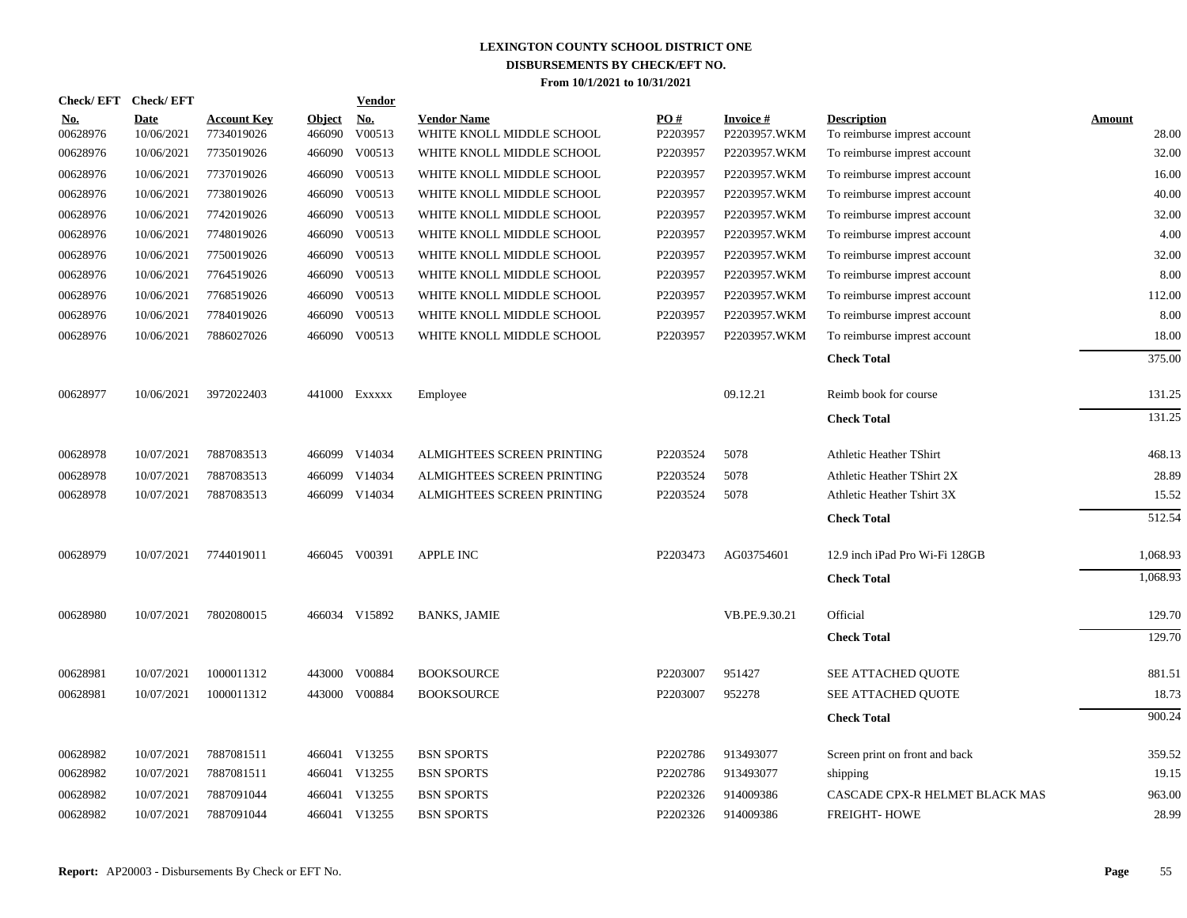|                 | Check/EFT Check/EFT       |                                  |                         | <b>Vendor</b>        |                                                 |                 |                                 |                                                    |                        |
|-----------------|---------------------------|----------------------------------|-------------------------|----------------------|-------------------------------------------------|-----------------|---------------------------------|----------------------------------------------------|------------------------|
| No.<br>00628976 | <b>Date</b><br>10/06/2021 | <b>Account Key</b><br>7734019026 | <b>Object</b><br>466090 | <u>No.</u><br>V00513 | <b>Vendor Name</b><br>WHITE KNOLL MIDDLE SCHOOL | PO#<br>P2203957 | <b>Invoice#</b><br>P2203957.WKM | <b>Description</b><br>To reimburse imprest account | <b>Amount</b><br>28.00 |
| 00628976        | 10/06/2021                | 7735019026                       | 466090                  | V00513               | WHITE KNOLL MIDDLE SCHOOL                       | P2203957        | P2203957.WKM                    | To reimburse imprest account                       | 32.00                  |
| 00628976        | 10/06/2021                | 7737019026                       | 466090                  | V00513               | WHITE KNOLL MIDDLE SCHOOL                       | P2203957        | P2203957.WKM                    | To reimburse imprest account                       | 16.00                  |
| 00628976        | 10/06/2021                | 7738019026                       | 466090                  | V00513               | WHITE KNOLL MIDDLE SCHOOL                       | P2203957        | P2203957.WKM                    | To reimburse imprest account                       | 40.00                  |
| 00628976        | 10/06/2021                | 7742019026                       | 466090                  | V00513               | WHITE KNOLL MIDDLE SCHOOL                       | P2203957        | P2203957.WKM                    | To reimburse imprest account                       | 32.00                  |
| 00628976        | 10/06/2021                | 7748019026                       | 466090                  | V00513               | WHITE KNOLL MIDDLE SCHOOL                       | P2203957        | P2203957.WKM                    | To reimburse imprest account                       | 4.00                   |
| 00628976        | 10/06/2021                | 7750019026                       | 466090                  | V00513               | WHITE KNOLL MIDDLE SCHOOL                       | P2203957        | P2203957.WKM                    | To reimburse imprest account                       | 32.00                  |
| 00628976        | 10/06/2021                | 7764519026                       | 466090                  | V00513               | WHITE KNOLL MIDDLE SCHOOL                       | P2203957        | P2203957.WKM                    | To reimburse imprest account                       | 8.00                   |
| 00628976        | 10/06/2021                | 7768519026                       | 466090                  | V00513               | WHITE KNOLL MIDDLE SCHOOL                       | P2203957        | P2203957.WKM                    | To reimburse imprest account                       | 112.00                 |
| 00628976        | 10/06/2021                | 7784019026                       | 466090                  | V00513               | WHITE KNOLL MIDDLE SCHOOL                       | P2203957        | P2203957.WKM                    | To reimburse imprest account                       | 8.00                   |
| 00628976        | 10/06/2021                | 7886027026                       |                         | 466090 V00513        | WHITE KNOLL MIDDLE SCHOOL                       | P2203957        | P2203957.WKM                    | To reimburse imprest account                       | 18.00                  |
|                 |                           |                                  |                         |                      |                                                 |                 |                                 | <b>Check Total</b>                                 | 375.00                 |
| 00628977        | 10/06/2021                | 3972022403                       |                         | 441000 Exxxxx        | Employee                                        |                 | 09.12.21                        | Reimb book for course                              | 131.25                 |
|                 |                           |                                  |                         |                      |                                                 |                 |                                 | <b>Check Total</b>                                 | 131.25                 |
| 00628978        | 10/07/2021                | 7887083513                       |                         | 466099 V14034        | ALMIGHTEES SCREEN PRINTING                      | P2203524        | 5078                            | <b>Athletic Heather TShirt</b>                     | 468.13                 |
| 00628978        | 10/07/2021                | 7887083513                       | 466099                  | V14034               | ALMIGHTEES SCREEN PRINTING                      | P2203524        | 5078                            | Athletic Heather TShirt 2X                         | 28.89                  |
| 00628978        | 10/07/2021                | 7887083513                       |                         | 466099 V14034        | ALMIGHTEES SCREEN PRINTING                      | P2203524        | 5078                            | Athletic Heather Tshirt 3X                         | 15.52                  |
|                 |                           |                                  |                         |                      |                                                 |                 |                                 | <b>Check Total</b>                                 | 512.54                 |
| 00628979        | 10/07/2021                | 7744019011                       |                         | 466045 V00391        | <b>APPLE INC</b>                                | P2203473        | AG03754601                      | 12.9 inch iPad Pro Wi-Fi 128GB                     | 1,068.93               |
|                 |                           |                                  |                         |                      |                                                 |                 |                                 | <b>Check Total</b>                                 | 1,068.93               |
| 00628980        | 10/07/2021                | 7802080015                       |                         | 466034 V15892        | <b>BANKS, JAMIE</b>                             |                 | VB.PE.9.30.21                   | Official                                           | 129.70                 |
|                 |                           |                                  |                         |                      |                                                 |                 |                                 | <b>Check Total</b>                                 | 129.70                 |
| 00628981        | 10/07/2021                | 1000011312                       | 443000                  | V00884               | <b>BOOKSOURCE</b>                               | P2203007        | 951427                          | SEE ATTACHED QUOTE                                 | 881.51                 |
| 00628981        | 10/07/2021                | 1000011312                       | 443000                  | V00884               | <b>BOOKSOURCE</b>                               | P2203007        | 952278                          | SEE ATTACHED QUOTE                                 | 18.73                  |
|                 |                           |                                  |                         |                      |                                                 |                 |                                 | <b>Check Total</b>                                 | 900.24                 |
| 00628982        | 10/07/2021                | 7887081511                       |                         | 466041 V13255        | <b>BSN SPORTS</b>                               | P2202786        | 913493077                       | Screen print on front and back                     | 359.52                 |
| 00628982        | 10/07/2021                | 7887081511                       |                         | 466041 V13255        | <b>BSN SPORTS</b>                               | P2202786        | 913493077                       | shipping                                           | 19.15                  |
| 00628982        | 10/07/2021                | 7887091044                       | 466041                  | V13255               | <b>BSN SPORTS</b>                               | P2202326        | 914009386                       | CASCADE CPX-R HELMET BLACK MAS                     | 963.00                 |
| 00628982        | 10/07/2021                | 7887091044                       |                         | 466041 V13255        | <b>BSN SPORTS</b>                               | P2202326        | 914009386                       | <b>FREIGHT-HOWE</b>                                | 28.99                  |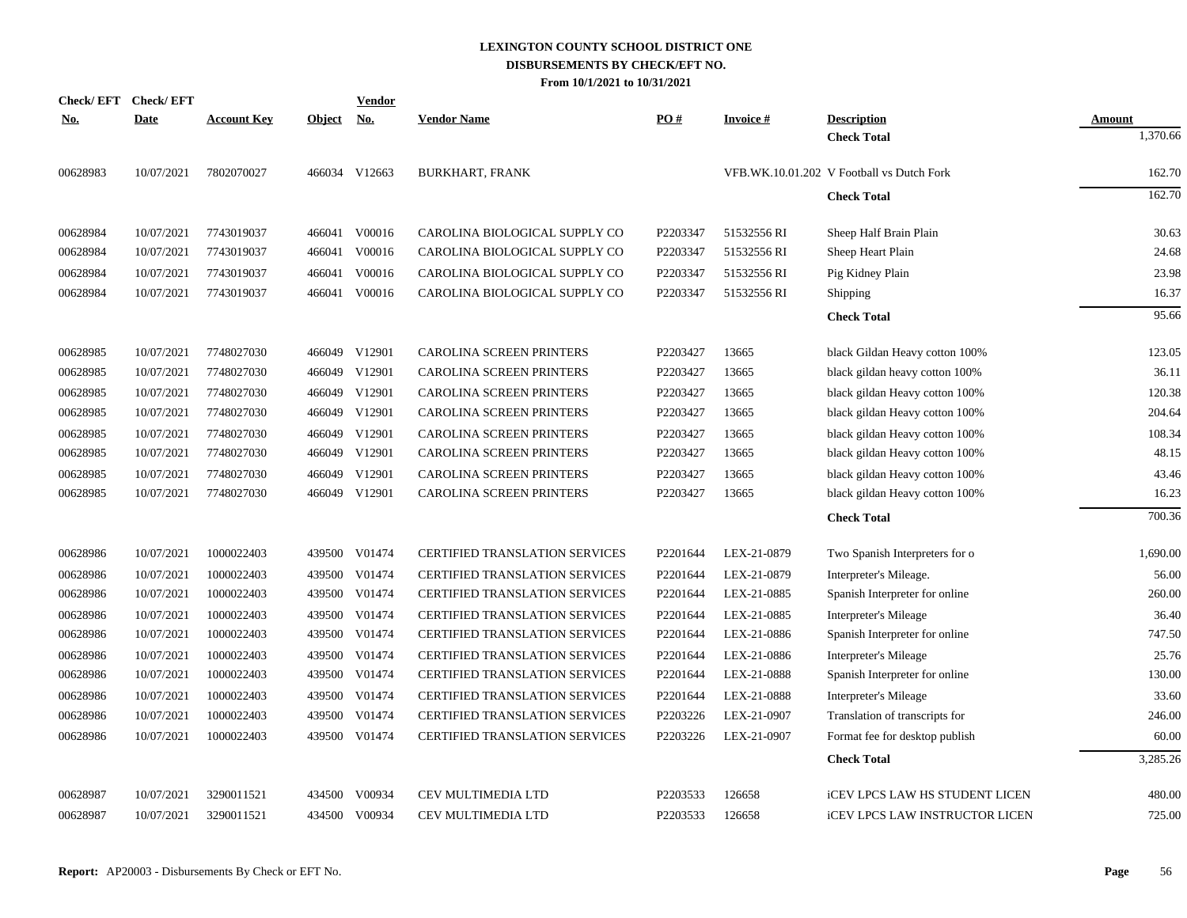| <b>Check/EFT</b> | <b>Check/EFT</b> |                    |               | <b>Vendor</b> |                                       |          |                 |                                           |               |
|------------------|------------------|--------------------|---------------|---------------|---------------------------------------|----------|-----------------|-------------------------------------------|---------------|
| <u>No.</u>       | <b>Date</b>      | <u>Account Key</u> | <b>Object</b> | <u>No.</u>    | <b>Vendor Name</b>                    | PO#      | <b>Invoice#</b> | <b>Description</b>                        | <b>Amount</b> |
|                  |                  |                    |               |               |                                       |          |                 | <b>Check Total</b>                        | 1,370.66      |
| 00628983         | 10/07/2021       | 7802070027         |               | 466034 V12663 | <b>BURKHART, FRANK</b>                |          |                 | VFB.WK.10.01.202 V Football vs Dutch Fork | 162.70        |
|                  |                  |                    |               |               |                                       |          |                 | <b>Check Total</b>                        | 162.70        |
| 00628984         | 10/07/2021       | 7743019037         | 466041        | V00016        | CAROLINA BIOLOGICAL SUPPLY CO         | P2203347 | 51532556 RI     | Sheep Half Brain Plain                    | 30.63         |
| 00628984         | 10/07/2021       | 7743019037         | 466041        | V00016        | CAROLINA BIOLOGICAL SUPPLY CO         | P2203347 | 51532556 RI     | Sheep Heart Plain                         | 24.68         |
| 00628984         | 10/07/2021       | 7743019037         | 466041        | V00016        | CAROLINA BIOLOGICAL SUPPLY CO         | P2203347 | 51532556 RI     | Pig Kidney Plain                          | 23.98         |
| 00628984         | 10/07/2021       | 7743019037         |               | 466041 V00016 | CAROLINA BIOLOGICAL SUPPLY CO         | P2203347 | 51532556 RI     | Shipping                                  | 16.37         |
|                  |                  |                    |               |               |                                       |          |                 | <b>Check Total</b>                        | 95.66         |
| 00628985         | 10/07/2021       | 7748027030         |               | 466049 V12901 | CAROLINA SCREEN PRINTERS              | P2203427 | 13665           | black Gildan Heavy cotton 100%            | 123.05        |
| 00628985         | 10/07/2021       | 7748027030         |               | 466049 V12901 | CAROLINA SCREEN PRINTERS              | P2203427 | 13665           | black gildan heavy cotton 100%            | 36.11         |
| 00628985         | 10/07/2021       | 7748027030         |               | 466049 V12901 | <b>CAROLINA SCREEN PRINTERS</b>       | P2203427 | 13665           | black gildan Heavy cotton 100%            | 120.38        |
| 00628985         | 10/07/2021       | 7748027030         |               | 466049 V12901 | <b>CAROLINA SCREEN PRINTERS</b>       | P2203427 | 13665           | black gildan Heavy cotton 100%            | 204.64        |
| 00628985         | 10/07/2021       | 7748027030         |               | 466049 V12901 | CAROLINA SCREEN PRINTERS              | P2203427 | 13665           | black gildan Heavy cotton 100%            | 108.34        |
| 00628985         | 10/07/2021       | 7748027030         |               | 466049 V12901 | CAROLINA SCREEN PRINTERS              | P2203427 | 13665           | black gildan Heavy cotton 100%            | 48.15         |
| 00628985         | 10/07/2021       | 7748027030         |               | 466049 V12901 | CAROLINA SCREEN PRINTERS              | P2203427 | 13665           | black gildan Heavy cotton 100%            | 43.46         |
| 00628985         | 10/07/2021       | 7748027030         |               | 466049 V12901 | <b>CAROLINA SCREEN PRINTERS</b>       | P2203427 | 13665           | black gildan Heavy cotton 100%            | 16.23         |
|                  |                  |                    |               |               |                                       |          |                 | <b>Check Total</b>                        | 700.36        |
| 00628986         | 10/07/2021       | 1000022403         |               | 439500 V01474 | <b>CERTIFIED TRANSLATION SERVICES</b> | P2201644 | LEX-21-0879     | Two Spanish Interpreters for o            | 1,690.00      |
| 00628986         | 10/07/2021       | 1000022403         |               | 439500 V01474 | <b>CERTIFIED TRANSLATION SERVICES</b> | P2201644 | LEX-21-0879     | Interpreter's Mileage.                    | 56.00         |
| 00628986         | 10/07/2021       | 1000022403         |               | 439500 V01474 | <b>CERTIFIED TRANSLATION SERVICES</b> | P2201644 | LEX-21-0885     | Spanish Interpreter for online            | 260.00        |
| 00628986         | 10/07/2021       | 1000022403         |               | 439500 V01474 | <b>CERTIFIED TRANSLATION SERVICES</b> | P2201644 | LEX-21-0885     | Interpreter's Mileage                     | 36.40         |
| 00628986         | 10/07/2021       | 1000022403         |               | 439500 V01474 | CERTIFIED TRANSLATION SERVICES        | P2201644 | LEX-21-0886     | Spanish Interpreter for online            | 747.50        |
| 00628986         | 10/07/2021       | 1000022403         |               | 439500 V01474 | CERTIFIED TRANSLATION SERVICES        | P2201644 | LEX-21-0886     | Interpreter's Mileage                     | 25.76         |
| 00628986         | 10/07/2021       | 1000022403         |               | 439500 V01474 | CERTIFIED TRANSLATION SERVICES        | P2201644 | LEX-21-0888     | Spanish Interpreter for online            | 130.00        |
| 00628986         | 10/07/2021       | 1000022403         |               | 439500 V01474 | <b>CERTIFIED TRANSLATION SERVICES</b> | P2201644 | LEX-21-0888     | Interpreter's Mileage                     | 33.60         |
| 00628986         | 10/07/2021       | 1000022403         |               | 439500 V01474 | <b>CERTIFIED TRANSLATION SERVICES</b> | P2203226 | LEX-21-0907     | Translation of transcripts for            | 246.00        |
| 00628986         | 10/07/2021       | 1000022403         |               | 439500 V01474 | <b>CERTIFIED TRANSLATION SERVICES</b> | P2203226 | LEX-21-0907     | Format fee for desktop publish            | 60.00         |
|                  |                  |                    |               |               |                                       |          |                 | <b>Check Total</b>                        | 3,285.26      |
| 00628987         | 10/07/2021       | 3290011521         |               | 434500 V00934 | <b>CEV MULTIMEDIA LTD</b>             | P2203533 | 126658          | iCEV LPCS LAW HS STUDENT LICEN            | 480.00        |
| 00628987         | 10/07/2021       | 3290011521         |               | 434500 V00934 | <b>CEV MULTIMEDIA LTD</b>             | P2203533 | 126658          | <b>ICEV LPCS LAW INSTRUCTOR LICEN</b>     | 725.00        |
|                  |                  |                    |               |               |                                       |          |                 |                                           |               |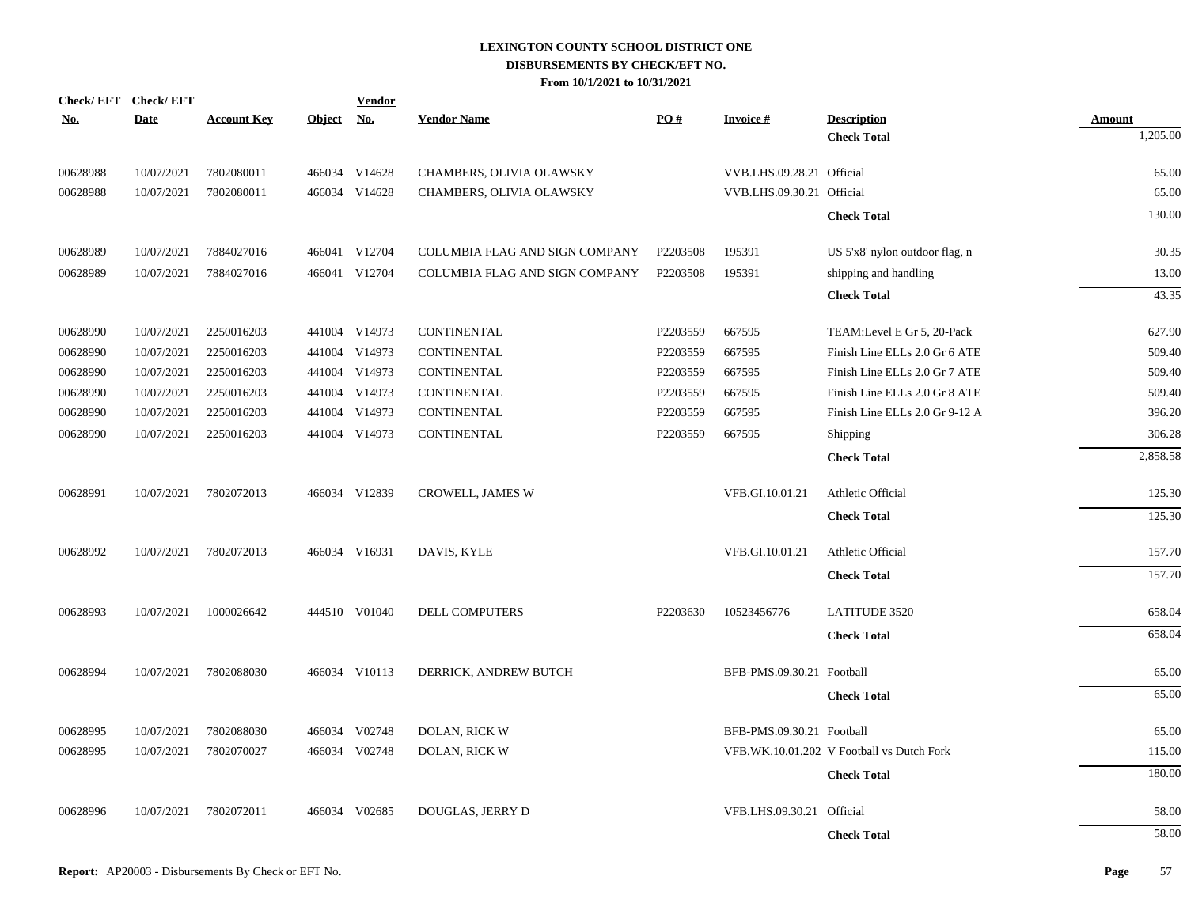| <u>No.</u> | Check/EFT Check/EFT<br><b>Date</b> | <b>Account Key</b> | Object No. | <b>Vendor</b> | <b>Vendor Name</b>             | PO#      | <b>Invoice#</b>           | <b>Description</b>                        | Amount   |
|------------|------------------------------------|--------------------|------------|---------------|--------------------------------|----------|---------------------------|-------------------------------------------|----------|
|            |                                    |                    |            |               |                                |          |                           | <b>Check Total</b>                        | 1,205.00 |
| 00628988   | 10/07/2021                         | 7802080011         |            | 466034 V14628 | CHAMBERS, OLIVIA OLAWSKY       |          | VVB.LHS.09.28.21 Official |                                           | 65.00    |
| 00628988   | 10/07/2021                         | 7802080011         |            | 466034 V14628 | CHAMBERS, OLIVIA OLAWSKY       |          | VVB.LHS.09.30.21 Official |                                           | 65.00    |
|            |                                    |                    |            |               |                                |          |                           | <b>Check Total</b>                        | 130.00   |
| 00628989   | 10/07/2021                         | 7884027016         |            | 466041 V12704 | COLUMBIA FLAG AND SIGN COMPANY | P2203508 | 195391                    | US 5'x8' nylon outdoor flag, n            | 30.35    |
| 00628989   | 10/07/2021                         | 7884027016         |            | 466041 V12704 | COLUMBIA FLAG AND SIGN COMPANY | P2203508 | 195391                    | shipping and handling                     | 13.00    |
|            |                                    |                    |            |               |                                |          |                           | <b>Check Total</b>                        | 43.35    |
| 00628990   | 10/07/2021                         | 2250016203         |            | 441004 V14973 | CONTINENTAL                    | P2203559 | 667595                    | TEAM: Level E Gr 5, 20-Pack               | 627.90   |
| 00628990   | 10/07/2021                         | 2250016203         |            | 441004 V14973 | CONTINENTAL                    | P2203559 | 667595                    | Finish Line ELLs 2.0 Gr 6 ATE             | 509.40   |
| 00628990   | 10/07/2021                         | 2250016203         |            | 441004 V14973 | CONTINENTAL                    | P2203559 | 667595                    | Finish Line ELLs 2.0 Gr 7 ATE             | 509.40   |
| 00628990   | 10/07/2021                         | 2250016203         |            | 441004 V14973 | CONTINENTAL                    | P2203559 | 667595                    | Finish Line ELLs 2.0 Gr 8 ATE             | 509.40   |
| 00628990   | 10/07/2021                         | 2250016203         |            | 441004 V14973 | CONTINENTAL                    | P2203559 | 667595                    | Finish Line ELLs 2.0 Gr 9-12 A            | 396.20   |
| 00628990   | 10/07/2021                         | 2250016203         |            | 441004 V14973 | CONTINENTAL                    | P2203559 | 667595                    | Shipping                                  | 306.28   |
|            |                                    |                    |            |               |                                |          |                           | <b>Check Total</b>                        | 2,858.58 |
| 00628991   | 10/07/2021                         | 7802072013         |            | 466034 V12839 | CROWELL, JAMES W               |          | VFB.GI.10.01.21           | Athletic Official                         | 125.30   |
|            |                                    |                    |            |               |                                |          |                           | <b>Check Total</b>                        | 125.30   |
| 00628992   | 10/07/2021                         | 7802072013         |            | 466034 V16931 | DAVIS, KYLE                    |          | VFB.GI.10.01.21           | Athletic Official                         | 157.70   |
|            |                                    |                    |            |               |                                |          |                           | <b>Check Total</b>                        | 157.70   |
| 00628993   | 10/07/2021                         | 1000026642         |            | 444510 V01040 | DELL COMPUTERS                 | P2203630 | 10523456776               | <b>LATITUDE 3520</b>                      | 658.04   |
|            |                                    |                    |            |               |                                |          |                           | <b>Check Total</b>                        | 658.04   |
| 00628994   | 10/07/2021                         | 7802088030         |            | 466034 V10113 | DERRICK, ANDREW BUTCH          |          | BFB-PMS.09.30.21 Football |                                           | 65.00    |
|            |                                    |                    |            |               |                                |          |                           | <b>Check Total</b>                        | 65.00    |
| 00628995   | 10/07/2021                         | 7802088030         |            | 466034 V02748 | DOLAN, RICK W                  |          | BFB-PMS.09.30.21 Football |                                           | 65.00    |
| 00628995   | 10/07/2021                         | 7802070027         |            | 466034 V02748 | DOLAN, RICK W                  |          |                           | VFB.WK.10.01.202 V Football vs Dutch Fork | 115.00   |
|            |                                    |                    |            |               |                                |          |                           | <b>Check Total</b>                        | 180.00   |
| 00628996   | 10/07/2021                         | 7802072011         |            | 466034 V02685 | DOUGLAS, JERRY D               |          | VFB.LHS.09.30.21 Official |                                           | 58.00    |
|            |                                    |                    |            |               |                                |          |                           | <b>Check Total</b>                        | 58.00    |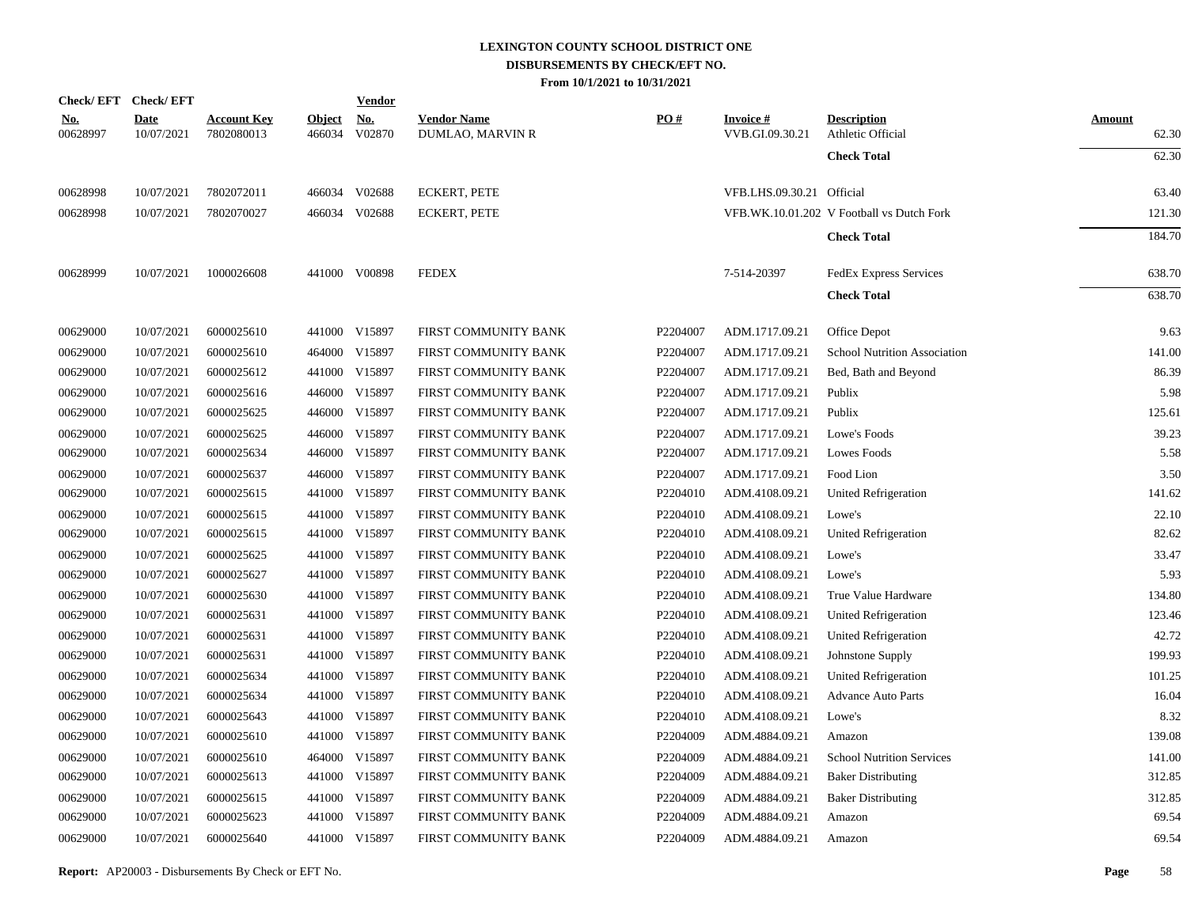|                        | Check/EFT Check/EFT       |                                  |                         | <b>Vendor</b>        |                                        |                      |                                    |                                           |                        |
|------------------------|---------------------------|----------------------------------|-------------------------|----------------------|----------------------------------------|----------------------|------------------------------------|-------------------------------------------|------------------------|
| <u>No.</u><br>00628997 | <b>Date</b><br>10/07/2021 | <b>Account Key</b><br>7802080013 | <b>Object</b><br>466034 | <u>No.</u><br>V02870 | <b>Vendor Name</b><br>DUMLAO, MARVIN R | $\underline{PO#}$    | <b>Invoice#</b><br>VVB.GI.09.30.21 | <b>Description</b><br>Athletic Official   | <b>Amount</b><br>62.30 |
|                        |                           |                                  |                         |                      |                                        |                      |                                    | <b>Check Total</b>                        | 62.30                  |
| 00628998               | 10/07/2021                | 7802072011                       |                         | 466034 V02688        | <b>ECKERT, PETE</b>                    |                      | VFB.LHS.09.30.21 Official          |                                           | 63.40                  |
| 00628998               | 10/07/2021                | 7802070027                       |                         | 466034 V02688        | <b>ECKERT, PETE</b>                    |                      |                                    | VFB.WK.10.01.202 V Football vs Dutch Fork | 121.30                 |
|                        |                           |                                  |                         |                      |                                        |                      |                                    | <b>Check Total</b>                        | 184.70                 |
| 00628999               | 10/07/2021                | 1000026608                       |                         | 441000 V00898        | <b>FEDEX</b>                           |                      | 7-514-20397                        | <b>FedEx Express Services</b>             | 638.70                 |
|                        |                           |                                  |                         |                      |                                        |                      |                                    | <b>Check Total</b>                        | 638.70                 |
| 00629000               | 10/07/2021                | 6000025610                       |                         | 441000 V15897        | FIRST COMMUNITY BANK                   | P2204007             | ADM.1717.09.21                     | Office Depot                              | 9.63                   |
| 00629000               | 10/07/2021                | 6000025610                       |                         | 464000 V15897        | FIRST COMMUNITY BANK                   | P2204007             | ADM.1717.09.21                     | <b>School Nutrition Association</b>       | 141.00                 |
| 00629000               | 10/07/2021                | 6000025612                       |                         | 441000 V15897        | FIRST COMMUNITY BANK                   | P2204007             | ADM.1717.09.21                     | Bed, Bath and Beyond                      | 86.39                  |
| 00629000               | 10/07/2021                | 6000025616                       |                         | 446000 V15897        | FIRST COMMUNITY BANK                   | P2204007             | ADM.1717.09.21                     | Publix                                    | 5.98                   |
| 00629000               | 10/07/2021                | 6000025625                       |                         | 446000 V15897        | FIRST COMMUNITY BANK                   | P2204007             | ADM.1717.09.21                     | Publix                                    | 125.61                 |
| 00629000               | 10/07/2021                | 6000025625                       |                         | 446000 V15897        | FIRST COMMUNITY BANK                   | P2204007             | ADM.1717.09.21                     | Lowe's Foods                              | 39.23                  |
| 00629000               | 10/07/2021                | 6000025634                       |                         | 446000 V15897        | FIRST COMMUNITY BANK                   | P2204007             | ADM.1717.09.21                     | Lowes Foods                               | 5.58                   |
| 00629000               | 10/07/2021                | 6000025637                       |                         | 446000 V15897        | FIRST COMMUNITY BANK                   | P2204007             | ADM.1717.09.21                     | Food Lion                                 | 3.50                   |
| 00629000               | 10/07/2021                | 6000025615                       |                         | 441000 V15897        | FIRST COMMUNITY BANK                   | P2204010             | ADM.4108.09.21                     | United Refrigeration                      | 141.62                 |
| 00629000               | 10/07/2021                | 6000025615                       |                         | 441000 V15897        | FIRST COMMUNITY BANK                   | P2204010             | ADM.4108.09.21                     | Lowe's                                    | 22.10                  |
| 00629000               | 10/07/2021                | 6000025615                       |                         | 441000 V15897        | FIRST COMMUNITY BANK                   | P2204010             | ADM.4108.09.21                     | United Refrigeration                      | 82.62                  |
| 00629000               | 10/07/2021                | 6000025625                       |                         | 441000 V15897        | FIRST COMMUNITY BANK                   | P2204010             | ADM.4108.09.21                     | Lowe's                                    | 33.47                  |
| 00629000               | 10/07/2021                | 6000025627                       |                         | 441000 V15897        | FIRST COMMUNITY BANK                   | P2204010             | ADM.4108.09.21                     | Lowe's                                    | 5.93                   |
| 00629000               | 10/07/2021                | 6000025630                       |                         | 441000 V15897        | FIRST COMMUNITY BANK                   | P2204010             | ADM.4108.09.21                     | True Value Hardware                       | 134.80                 |
| 00629000               | 10/07/2021                | 6000025631                       |                         | 441000 V15897        | FIRST COMMUNITY BANK                   | P2204010             | ADM.4108.09.21                     | United Refrigeration                      | 123.46                 |
| 00629000               | 10/07/2021                | 6000025631                       |                         | 441000 V15897        | FIRST COMMUNITY BANK                   | P2204010             | ADM.4108.09.21                     | <b>United Refrigeration</b>               | 42.72                  |
| 00629000               | 10/07/2021                | 6000025631                       |                         | 441000 V15897        | FIRST COMMUNITY BANK                   | P2204010             | ADM.4108.09.21                     | Johnstone Supply                          | 199.93                 |
| 00629000               | 10/07/2021                | 6000025634                       |                         | 441000 V15897        | FIRST COMMUNITY BANK                   | P <sub>2204010</sub> | ADM.4108.09.21                     | <b>United Refrigeration</b>               | 101.25                 |
| 00629000               | 10/07/2021                | 6000025634                       |                         | 441000 V15897        | FIRST COMMUNITY BANK                   | P2204010             | ADM.4108.09.21                     | <b>Advance Auto Parts</b>                 | 16.04                  |
| 00629000               | 10/07/2021                | 6000025643                       | 441000                  | V15897               | FIRST COMMUNITY BANK                   | P <sub>2204010</sub> | ADM.4108.09.21                     | Lowe's                                    | 8.32                   |
| 00629000               | 10/07/2021                | 6000025610                       |                         | 441000 V15897        | FIRST COMMUNITY BANK                   | P2204009             | ADM.4884.09.21                     | Amazon                                    | 139.08                 |
| 00629000               | 10/07/2021                | 6000025610                       | 464000                  | V15897               | FIRST COMMUNITY BANK                   | P2204009             | ADM.4884.09.21                     | <b>School Nutrition Services</b>          | 141.00                 |
| 00629000               | 10/07/2021                | 6000025613                       |                         | 441000 V15897        | FIRST COMMUNITY BANK                   | P2204009             | ADM.4884.09.21                     | <b>Baker Distributing</b>                 | 312.85                 |
| 00629000               | 10/07/2021                | 6000025615                       | 441000                  | V15897               | FIRST COMMUNITY BANK                   | P2204009             | ADM.4884.09.21                     | <b>Baker Distributing</b>                 | 312.85                 |
| 00629000               | 10/07/2021                | 6000025623                       |                         | 441000 V15897        | FIRST COMMUNITY BANK                   | P2204009             | ADM.4884.09.21                     | Amazon                                    | 69.54                  |
| 00629000               | 10/07/2021                | 6000025640                       |                         | 441000 V15897        | <b>FIRST COMMUNITY BANK</b>            | P2204009             | ADM.4884.09.21                     | Amazon                                    | 69.54                  |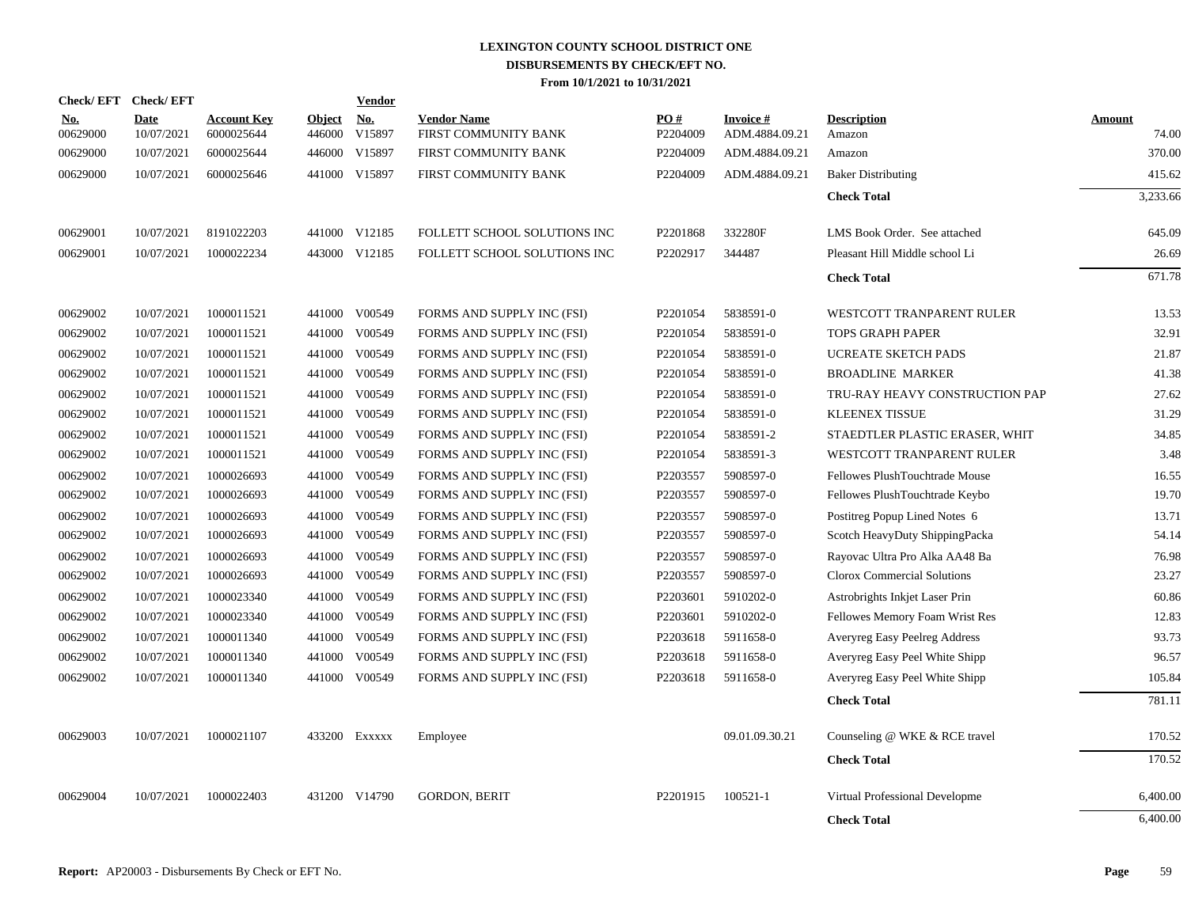| Check/EFT Check/EFT    |                           |                                  |                         | Vendor               |                                            |                      |                                   |                                |                        |
|------------------------|---------------------------|----------------------------------|-------------------------|----------------------|--------------------------------------------|----------------------|-----------------------------------|--------------------------------|------------------------|
| <u>No.</u><br>00629000 | <b>Date</b><br>10/07/2021 | <b>Account Key</b><br>6000025644 | <b>Object</b><br>446000 | <u>No.</u><br>V15897 | <b>Vendor Name</b><br>FIRST COMMUNITY BANK | PO#<br>P2204009      | <b>Invoice#</b><br>ADM.4884.09.21 | <b>Description</b><br>Amazon   | <b>Amount</b><br>74.00 |
| 00629000               | 10/07/2021                | 6000025644                       | 446000                  | V15897               | FIRST COMMUNITY BANK                       | P2204009             | ADM.4884.09.21                    | Amazon                         | 370.00                 |
| 00629000               | 10/07/2021                | 6000025646                       | 441000                  | V15897               | FIRST COMMUNITY BANK                       | P2204009             | ADM.4884.09.21                    | <b>Baker Distributing</b>      | 415.62                 |
|                        |                           |                                  |                         |                      |                                            |                      |                                   | <b>Check Total</b>             | 3,233.66               |
| 00629001               | 10/07/2021                | 8191022203                       |                         | 441000 V12185        | FOLLETT SCHOOL SOLUTIONS INC               | P2201868             | 332280F                           | LMS Book Order. See attached   | 645.09                 |
| 00629001               | 10/07/2021                | 1000022234                       |                         | 443000 V12185        | FOLLETT SCHOOL SOLUTIONS INC               | P2202917             | 344487                            | Pleasant Hill Middle school Li | 26.69                  |
|                        |                           |                                  |                         |                      |                                            |                      |                                   | <b>Check Total</b>             | 671.78                 |
| 00629002               | 10/07/2021                | 1000011521                       | 441000                  | V00549               | FORMS AND SUPPLY INC (FSI)                 | P2201054             | 5838591-0                         | WESTCOTT TRANPARENT RULER      | 13.53                  |
| 00629002               | 10/07/2021                | 1000011521                       | 441000                  | V00549               | FORMS AND SUPPLY INC (FSI)                 | P2201054             | 5838591-0                         | TOPS GRAPH PAPER               | 32.91                  |
| 00629002               | 10/07/2021                | 1000011521                       | 441000                  | V00549               | FORMS AND SUPPLY INC (FSI)                 | P2201054             | 5838591-0                         | <b>UCREATE SKETCH PADS</b>     | 21.87                  |
| 00629002               | 10/07/2021                | 1000011521                       | 441000                  | V00549               | FORMS AND SUPPLY INC (FSI)                 | P2201054             | 5838591-0                         | <b>BROADLINE MARKER</b>        | 41.38                  |
| 00629002               | 10/07/2021                | 1000011521                       | 441000                  | V00549               | FORMS AND SUPPLY INC (FSI)                 | P <sub>2201054</sub> | 5838591-0                         | TRU-RAY HEAVY CONSTRUCTION PAP | 27.62                  |
| 00629002               | 10/07/2021                | 1000011521                       | 441000                  | V00549               | FORMS AND SUPPLY INC (FSI)                 | P <sub>2201054</sub> | 5838591-0                         | <b>KLEENEX TISSUE</b>          | 31.29                  |
| 00629002               | 10/07/2021                | 1000011521                       | 441000                  | V00549               | FORMS AND SUPPLY INC (FSI)                 | P2201054             | 5838591-2                         | STAEDTLER PLASTIC ERASER, WHIT | 34.85                  |
| 00629002               | 10/07/2021                | 1000011521                       | 441000                  | V00549               | FORMS AND SUPPLY INC (FSI)                 | P2201054             | 5838591-3                         | WESTCOTT TRANPARENT RULER      | 3.48                   |
| 00629002               | 10/07/2021                | 1000026693                       | 441000                  | V00549               | FORMS AND SUPPLY INC (FSI)                 | P2203557             | 5908597-0                         | Fellowes PlushTouchtrade Mouse | 16.55                  |
| 00629002               | 10/07/2021                | 1000026693                       |                         | 441000 V00549        | FORMS AND SUPPLY INC (FSI)                 | P2203557             | 5908597-0                         | Fellowes PlushTouchtrade Keybo | 19.70                  |
| 00629002               | 10/07/2021                | 1000026693                       |                         | 441000 V00549        | FORMS AND SUPPLY INC (FSI)                 | P2203557             | 5908597-0                         | Postitreg Popup Lined Notes 6  | 13.71                  |
| 00629002               | 10/07/2021                | 1000026693                       |                         | 441000 V00549        | FORMS AND SUPPLY INC (FSI)                 | P2203557             | 5908597-0                         | Scotch HeavyDuty ShippingPacka | 54.14                  |
| 00629002               | 10/07/2021                | 1000026693                       | 441000                  | V00549               | FORMS AND SUPPLY INC (FSI)                 | P2203557             | 5908597-0                         | Rayovac Ultra Pro Alka AA48 Ba | 76.98                  |
| 00629002               | 10/07/2021                | 1000026693                       | 441000                  | V00549               | FORMS AND SUPPLY INC (FSI)                 | P2203557             | 5908597-0                         | Clorox Commercial Solutions    | 23.27                  |
| 00629002               | 10/07/2021                | 1000023340                       | 441000                  | V00549               | FORMS AND SUPPLY INC (FSI)                 | P2203601             | 5910202-0                         | Astrobrights Inkjet Laser Prin | 60.86                  |
| 00629002               | 10/07/2021                | 1000023340                       |                         | 441000 V00549        | FORMS AND SUPPLY INC (FSI)                 | P2203601             | 5910202-0                         | Fellowes Memory Foam Wrist Res | 12.83                  |
| 00629002               | 10/07/2021                | 1000011340                       | 441000                  | V00549               | FORMS AND SUPPLY INC (FSI)                 | P2203618             | 5911658-0                         | Averyreg Easy Peelreg Address  | 93.73                  |
| 00629002               | 10/07/2021                | 1000011340                       |                         | 441000 V00549        | FORMS AND SUPPLY INC (FSI)                 | P2203618             | 5911658-0                         | Averyreg Easy Peel White Shipp | 96.57                  |
| 00629002               | 10/07/2021                | 1000011340                       |                         | 441000 V00549        | FORMS AND SUPPLY INC (FSI)                 | P2203618             | 5911658-0                         | Averyreg Easy Peel White Shipp | 105.84                 |
|                        |                           |                                  |                         |                      |                                            |                      |                                   | <b>Check Total</b>             | 781.11                 |
| 00629003               | 10/07/2021                | 1000021107                       |                         | 433200 Exxxxx        | Employee                                   |                      | 09.01.09.30.21                    | Counseling @ WKE & RCE travel  | 170.52                 |
|                        |                           |                                  |                         |                      |                                            |                      |                                   | <b>Check Total</b>             | 170.52                 |
| 00629004               | 10/07/2021                | 1000022403                       | 431200                  | V14790               | <b>GORDON, BERIT</b>                       | P2201915             | 100521-1                          | Virtual Professional Developme | 6,400.00               |
|                        |                           |                                  |                         |                      |                                            |                      |                                   | <b>Check Total</b>             | 6,400.00               |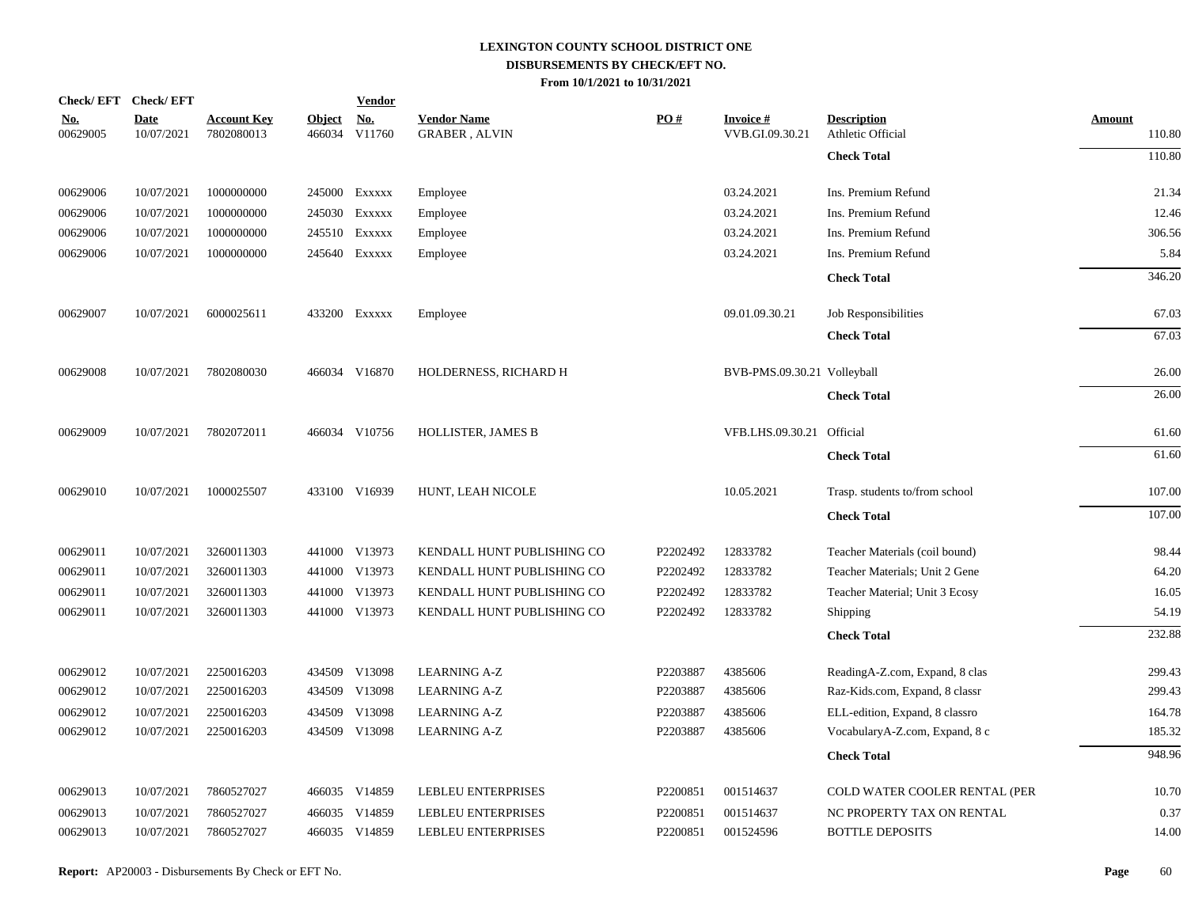|                        | Check/EFT Check/EFT       |                                  |                         | <b>Vendor</b>        |                                            |          |                                    |                                         |                  |
|------------------------|---------------------------|----------------------------------|-------------------------|----------------------|--------------------------------------------|----------|------------------------------------|-----------------------------------------|------------------|
| <u>No.</u><br>00629005 | <b>Date</b><br>10/07/2021 | <b>Account Key</b><br>7802080013 | <b>Object</b><br>466034 | <u>No.</u><br>V11760 | <b>Vendor Name</b><br><b>GRABER, ALVIN</b> | PO#      | <b>Invoice#</b><br>VVB.GI.09.30.21 | <b>Description</b><br>Athletic Official | Amount<br>110.80 |
|                        |                           |                                  |                         |                      |                                            |          |                                    | <b>Check Total</b>                      | 110.80           |
| 00629006               | 10/07/2021                | 1000000000                       |                         | 245000 Exxxxx        | Employee                                   |          | 03.24.2021                         | Ins. Premium Refund                     | 21.34            |
| 00629006               | 10/07/2021                | 1000000000                       |                         | 245030 Exxxxx        | Employee                                   |          | 03.24.2021                         | Ins. Premium Refund                     | 12.46            |
| 00629006               | 10/07/2021                | 1000000000                       |                         | 245510 EXXXXX        | Employee                                   |          | 03.24.2021                         | Ins. Premium Refund                     | 306.56           |
| 00629006               | 10/07/2021                | 1000000000                       |                         | 245640 Exxxxx        | Employee                                   |          | 03.24.2021                         | Ins. Premium Refund                     | 5.84             |
|                        |                           |                                  |                         |                      |                                            |          |                                    | <b>Check Total</b>                      | 346.20           |
| 00629007               | 10/07/2021                | 6000025611                       |                         | 433200 EXXXXX        | Employee                                   |          | 09.01.09.30.21                     | Job Responsibilities                    | 67.03            |
|                        |                           |                                  |                         |                      |                                            |          |                                    | <b>Check Total</b>                      | 67.03            |
| 00629008               | 10/07/2021                | 7802080030                       |                         | 466034 V16870        | HOLDERNESS, RICHARD H                      |          | BVB-PMS.09.30.21 Volleyball        |                                         | 26.00            |
|                        |                           |                                  |                         |                      |                                            |          |                                    | <b>Check Total</b>                      | 26.00            |
| 00629009               | 10/07/2021                | 7802072011                       |                         | 466034 V10756        | HOLLISTER, JAMES B                         |          | VFB.LHS.09.30.21 Official          |                                         | 61.60            |
|                        |                           |                                  |                         |                      |                                            |          |                                    | <b>Check Total</b>                      | 61.60            |
| 00629010               | 10/07/2021                | 1000025507                       |                         | 433100 V16939        | HUNT, LEAH NICOLE                          |          | 10.05.2021                         | Trasp. students to/from school          | 107.00           |
|                        |                           |                                  |                         |                      |                                            |          |                                    | <b>Check Total</b>                      | 107.00           |
| 00629011               | 10/07/2021                | 3260011303                       |                         | 441000 V13973        | KENDALL HUNT PUBLISHING CO                 | P2202492 | 12833782                           | Teacher Materials (coil bound)          | 98.44            |
| 00629011               | 10/07/2021                | 3260011303                       |                         | 441000 V13973        | KENDALL HUNT PUBLISHING CO                 | P2202492 | 12833782                           | Teacher Materials; Unit 2 Gene          | 64.20            |
| 00629011               | 10/07/2021                | 3260011303                       |                         | 441000 V13973        | KENDALL HUNT PUBLISHING CO                 | P2202492 | 12833782                           | Teacher Material; Unit 3 Ecosy          | 16.05            |
| 00629011               | 10/07/2021                | 3260011303                       |                         | 441000 V13973        | KENDALL HUNT PUBLISHING CO                 | P2202492 | 12833782                           | Shipping                                | 54.19            |
|                        |                           |                                  |                         |                      |                                            |          |                                    | <b>Check Total</b>                      | 232.88           |
| 00629012               | 10/07/2021                | 2250016203                       |                         | 434509 V13098        | <b>LEARNING A-Z</b>                        | P2203887 | 4385606                            | ReadingA-Z.com, Expand, 8 clas          | 299.43           |
| 00629012               | 10/07/2021                | 2250016203                       |                         | 434509 V13098        | <b>LEARNING A-Z</b>                        | P2203887 | 4385606                            | Raz-Kids.com, Expand, 8 classr          | 299.43           |
| 00629012               | 10/07/2021                | 2250016203                       |                         | 434509 V13098        | <b>LEARNING A-Z</b>                        | P2203887 | 4385606                            | ELL-edition, Expand, 8 classro          | 164.78           |
| 00629012               | 10/07/2021                | 2250016203                       |                         | 434509 V13098        | <b>LEARNING A-Z</b>                        | P2203887 | 4385606                            | VocabularyA-Z.com, Expand, 8 c          | 185.32           |
|                        |                           |                                  |                         |                      |                                            |          |                                    | <b>Check Total</b>                      | 948.96           |
| 00629013               | 10/07/2021                | 7860527027                       |                         | 466035 V14859        | LEBLEU ENTERPRISES                         | P2200851 | 001514637                          | COLD WATER COOLER RENTAL (PER           | 10.70            |
| 00629013               | 10/07/2021                | 7860527027                       |                         | 466035 V14859        | LEBLEU ENTERPRISES                         | P2200851 | 001514637                          | NC PROPERTY TAX ON RENTAL               | 0.37             |
| 00629013               | 10/07/2021                | 7860527027                       |                         | 466035 V14859        | <b>LEBLEU ENTERPRISES</b>                  | P2200851 | 001524596                          | <b>BOTTLE DEPOSITS</b>                  | 14.00            |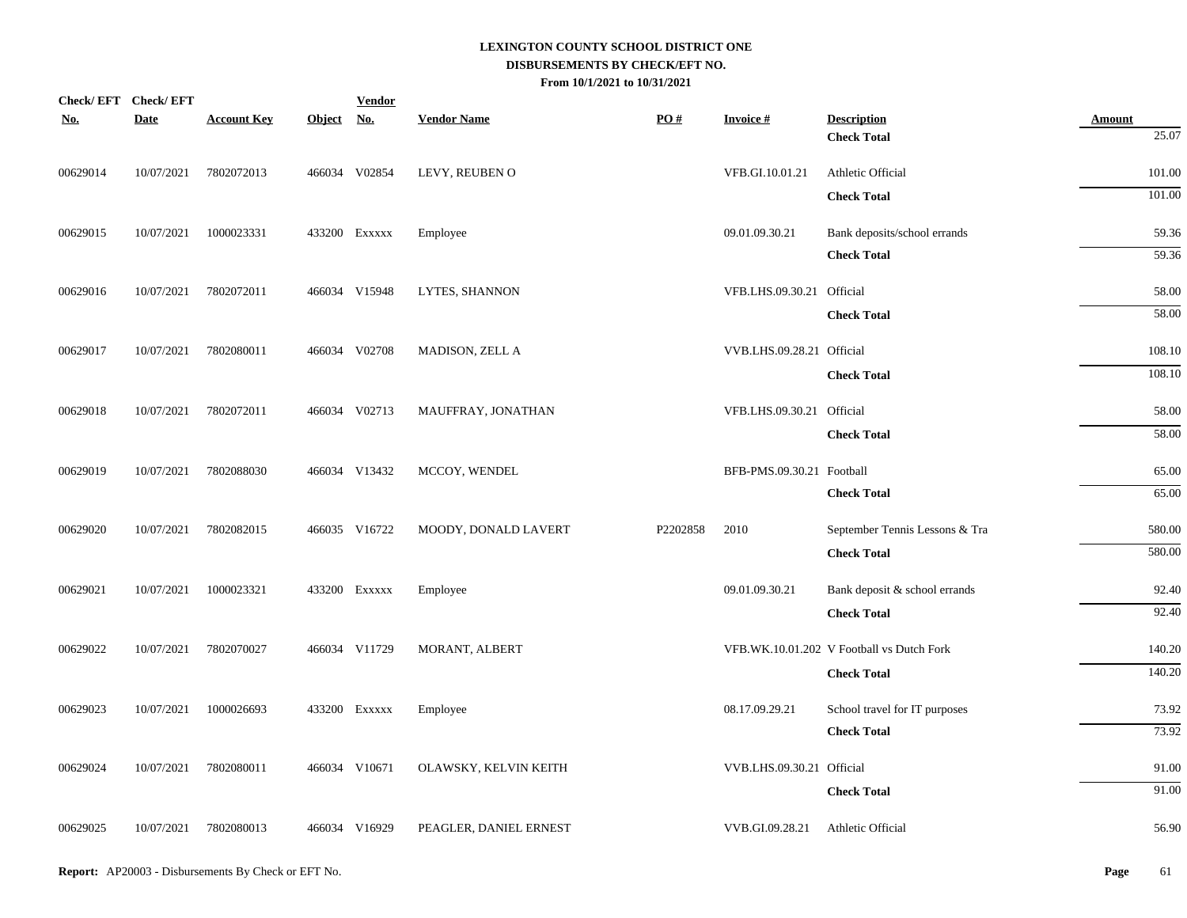| Check/EFT Check/EFT |             |                    |            | <b>Vendor</b> |                        |          |                           |                                           |                  |
|---------------------|-------------|--------------------|------------|---------------|------------------------|----------|---------------------------|-------------------------------------------|------------------|
| <u>No.</u>          | <b>Date</b> | <b>Account Key</b> | Object No. |               | <b>Vendor Name</b>     | PO#      | <b>Invoice#</b>           | <b>Description</b>                        | <b>Amount</b>    |
|                     |             |                    |            |               |                        |          |                           | <b>Check Total</b>                        | 25.07            |
| 00629014            | 10/07/2021  | 7802072013         |            | 466034 V02854 | LEVY, REUBEN O         |          | VFB.GI.10.01.21           | Athletic Official                         | 101.00           |
|                     |             |                    |            |               |                        |          |                           | <b>Check Total</b>                        | 101.00           |
| 00629015            | 10/07/2021  | 1000023331         |            | 433200 Exxxxx | Employee               |          | 09.01.09.30.21            | Bank deposits/school errands              | 59.36            |
|                     |             |                    |            |               |                        |          |                           | <b>Check Total</b>                        | 59.36            |
| 00629016            | 10/07/2021  | 7802072011         |            | 466034 V15948 | LYTES, SHANNON         |          | VFB.LHS.09.30.21 Official |                                           | 58.00            |
|                     |             |                    |            |               |                        |          |                           | <b>Check Total</b>                        | 58.00            |
| 00629017            | 10/07/2021  | 7802080011         |            | 466034 V02708 | MADISON, ZELL A        |          | VVB.LHS.09.28.21 Official |                                           | 108.10           |
|                     |             |                    |            |               |                        |          |                           | <b>Check Total</b>                        | 108.10           |
| 00629018            | 10/07/2021  | 7802072011         |            | 466034 V02713 | MAUFFRAY, JONATHAN     |          | VFB.LHS.09.30.21 Official |                                           | 58.00            |
|                     |             |                    |            |               |                        |          |                           | <b>Check Total</b>                        | 58.00            |
|                     |             |                    |            |               |                        |          |                           |                                           |                  |
| 00629019            | 10/07/2021  | 7802088030         |            | 466034 V13432 | MCCOY, WENDEL          |          | BFB-PMS.09.30.21 Football | <b>Check Total</b>                        | 65.00<br>65.00   |
|                     |             |                    |            |               |                        |          |                           |                                           |                  |
| 00629020            | 10/07/2021  | 7802082015         |            | 466035 V16722 | MOODY, DONALD LAVERT   | P2202858 | 2010                      | September Tennis Lessons & Tra            | 580.00<br>580.00 |
|                     |             |                    |            |               |                        |          |                           | <b>Check Total</b>                        |                  |
| 00629021            | 10/07/2021  | 1000023321         |            | 433200 EXXXXX | Employee               |          | 09.01.09.30.21            | Bank deposit & school errands             | 92.40            |
|                     |             |                    |            |               |                        |          |                           | <b>Check Total</b>                        | 92.40            |
| 00629022            | 10/07/2021  | 7802070027         |            | 466034 V11729 | MORANT, ALBERT         |          |                           | VFB.WK.10.01.202 V Football vs Dutch Fork | 140.20           |
|                     |             |                    |            |               |                        |          |                           | <b>Check Total</b>                        | 140.20           |
| 00629023            | 10/07/2021  | 1000026693         |            | 433200 EXXXXX | Employee               |          | 08.17.09.29.21            | School travel for IT purposes             | 73.92            |
|                     |             |                    |            |               |                        |          |                           | <b>Check Total</b>                        | 73.92            |
| 00629024            | 10/07/2021  | 7802080011         |            | 466034 V10671 | OLAWSKY, KELVIN KEITH  |          | VVB.LHS.09.30.21 Official |                                           | 91.00            |
|                     |             |                    |            |               |                        |          |                           | <b>Check Total</b>                        | 91.00            |
| 00629025            | 10/07/2021  | 7802080013         |            | 466034 V16929 | PEAGLER, DANIEL ERNEST |          | VVB.GI.09.28.21           | Athletic Official                         | 56.90            |
|                     |             |                    |            |               |                        |          |                           |                                           |                  |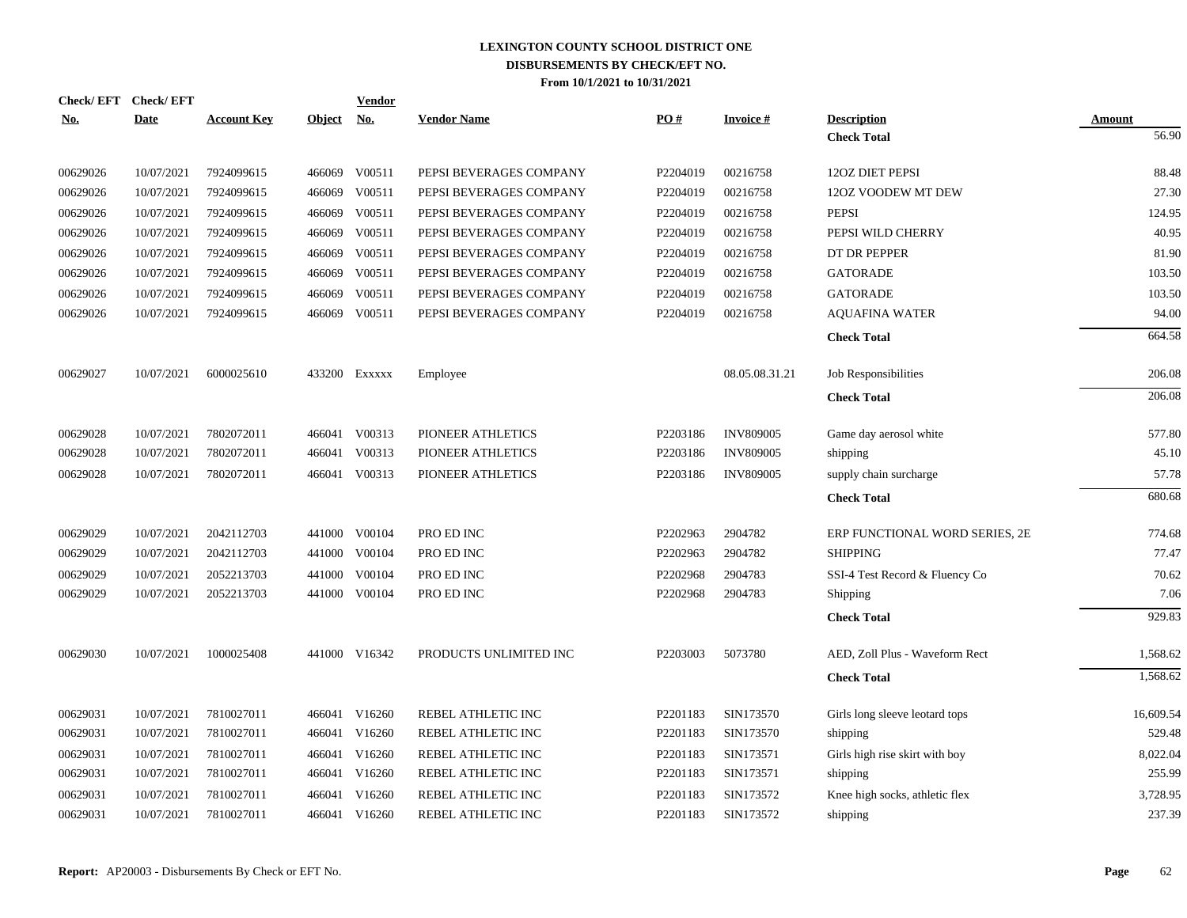|            | Check/EFT Check/EFT |                    |               | <b>Vendor</b> |                         |                      |                  |                                |               |
|------------|---------------------|--------------------|---------------|---------------|-------------------------|----------------------|------------------|--------------------------------|---------------|
| <u>No.</u> | <b>Date</b>         | <b>Account Key</b> | <b>Object</b> | <u>No.</u>    | <b>Vendor Name</b>      | PO#                  | <b>Invoice#</b>  | <b>Description</b>             | <b>Amount</b> |
|            |                     |                    |               |               |                         |                      |                  | <b>Check Total</b>             | 56.90         |
| 00629026   | 10/07/2021          | 7924099615         | 466069        | V00511        | PEPSI BEVERAGES COMPANY | P2204019             | 00216758         | 120Z DIET PEPSI                | 88.48         |
| 00629026   | 10/07/2021          | 7924099615         | 466069        | V00511        | PEPSI BEVERAGES COMPANY | P2204019             | 00216758         | 12OZ VOODEW MT DEW             | 27.30         |
| 00629026   | 10/07/2021          | 7924099615         | 466069        | V00511        | PEPSI BEVERAGES COMPANY | P2204019             | 00216758         | <b>PEPSI</b>                   | 124.95        |
| 00629026   | 10/07/2021          | 7924099615         | 466069        | V00511        | PEPSI BEVERAGES COMPANY | P2204019             | 00216758         | PEPSI WILD CHERRY              | 40.95         |
| 00629026   | 10/07/2021          | 7924099615         | 466069        | V00511        | PEPSI BEVERAGES COMPANY | P2204019             | 00216758         | DT DR PEPPER                   | 81.90         |
| 00629026   | 10/07/2021          | 7924099615         | 466069        | V00511        | PEPSI BEVERAGES COMPANY | P2204019             | 00216758         | <b>GATORADE</b>                | 103.50        |
| 00629026   | 10/07/2021          | 7924099615         | 466069        | V00511        | PEPSI BEVERAGES COMPANY | P2204019             | 00216758         | <b>GATORADE</b>                | 103.50        |
| 00629026   | 10/07/2021          | 7924099615         | 466069        | V00511        | PEPSI BEVERAGES COMPANY | P2204019             | 00216758         | <b>AQUAFINA WATER</b>          | 94.00         |
|            |                     |                    |               |               |                         |                      |                  | <b>Check Total</b>             | 664.58        |
| 00629027   | 10/07/2021          | 6000025610         |               | 433200 Exxxxx | Employee                |                      | 08.05.08.31.21   | Job Responsibilities           | 206.08        |
|            |                     |                    |               |               |                         |                      |                  | <b>Check Total</b>             | 206.08        |
| 00629028   | 10/07/2021          | 7802072011         |               | 466041 V00313 | PIONEER ATHLETICS       | P2203186             | <b>INV809005</b> | Game day aerosol white         | 577.80        |
| 00629028   | 10/07/2021          | 7802072011         | 466041        | V00313        | PIONEER ATHLETICS       | P2203186             | <b>INV809005</b> | shipping                       | 45.10         |
| 00629028   | 10/07/2021          | 7802072011         |               | 466041 V00313 | PIONEER ATHLETICS       | P2203186             | <b>INV809005</b> | supply chain surcharge         | 57.78         |
|            |                     |                    |               |               |                         |                      |                  | <b>Check Total</b>             | 680.68        |
| 00629029   | 10/07/2021          | 2042112703         |               | 441000 V00104 | PRO ED INC              | P2202963             | 2904782          | ERP FUNCTIONAL WORD SERIES, 2E | 774.68        |
| 00629029   | 10/07/2021          | 2042112703         | 441000        | V00104        | PRO ED INC              | P2202963             | 2904782          | <b>SHIPPING</b>                | 77.47         |
| 00629029   | 10/07/2021          | 2052213703         | 441000        | V00104        | PRO ED INC              | P2202968             | 2904783          | SSI-4 Test Record & Fluency Co | 70.62         |
| 00629029   | 10/07/2021          | 2052213703         |               | 441000 V00104 | PRO ED INC              | P2202968             | 2904783          | Shipping                       | 7.06          |
|            |                     |                    |               |               |                         |                      |                  | <b>Check Total</b>             | 929.83        |
| 00629030   | 10/07/2021          | 1000025408         |               | 441000 V16342 | PRODUCTS UNLIMITED INC  | P2203003             | 5073780          | AED, Zoll Plus - Waveform Rect | 1,568.62      |
|            |                     |                    |               |               |                         |                      |                  | <b>Check Total</b>             | 1,568.62      |
| 00629031   | 10/07/2021          | 7810027011         |               | 466041 V16260 | REBEL ATHLETIC INC      | P2201183             | SIN173570        | Girls long sleeve leotard tops | 16,609.54     |
| 00629031   | 10/07/2021          | 7810027011         |               | 466041 V16260 | REBEL ATHLETIC INC      | P <sub>2201183</sub> | SIN173570        | shipping                       | 529.48        |
| 00629031   | 10/07/2021          | 7810027011         | 466041        | V16260        | REBEL ATHLETIC INC      | P2201183             | SIN173571        | Girls high rise skirt with boy | 8,022.04      |
| 00629031   | 10/07/2021          | 7810027011         |               | 466041 V16260 | REBEL ATHLETIC INC      | P <sub>2201183</sub> | SIN173571        | shipping                       | 255.99        |
| 00629031   | 10/07/2021          | 7810027011         | 466041        | V16260        | REBEL ATHLETIC INC      | P2201183             | SIN173572        | Knee high socks, athletic flex | 3,728.95      |
| 00629031   | 10/07/2021          | 7810027011         |               | 466041 V16260 | REBEL ATHLETIC INC      | P2201183             | SIN173572        | shipping                       | 237.39        |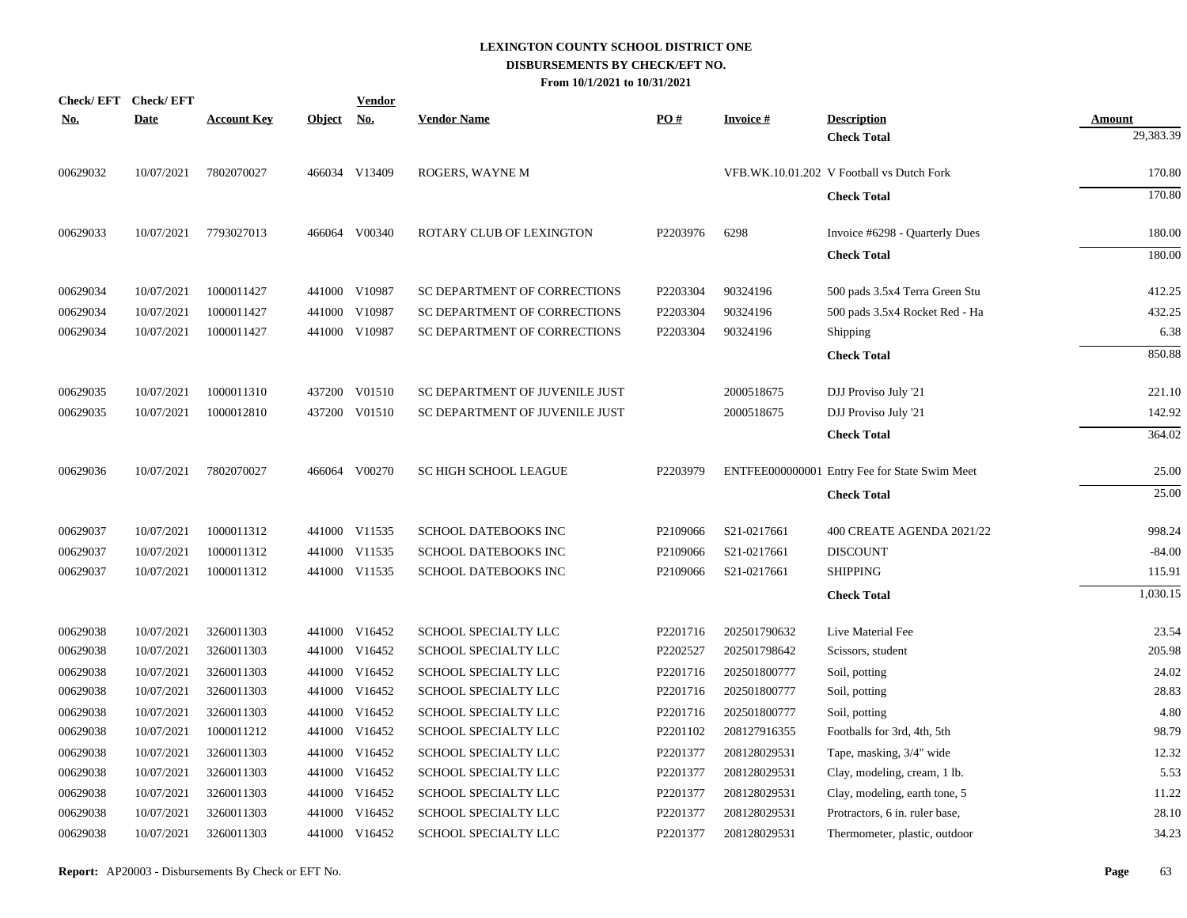| Check/EFT Check/EFT |             |                    |            | <b>Vendor</b> |                                |          |                 |                                               |                            |
|---------------------|-------------|--------------------|------------|---------------|--------------------------------|----------|-----------------|-----------------------------------------------|----------------------------|
| <u>No.</u>          | <b>Date</b> | <b>Account Key</b> | Object No. |               | <b>Vendor Name</b>             | PO#      | <b>Invoice#</b> | <b>Description</b><br><b>Check Total</b>      | <b>Amount</b><br>29,383.39 |
|                     |             |                    |            |               |                                |          |                 |                                               |                            |
| 00629032            | 10/07/2021  | 7802070027         |            | 466034 V13409 | ROGERS, WAYNE M                |          |                 | VFB.WK.10.01.202 V Football vs Dutch Fork     | 170.80                     |
|                     |             |                    |            |               |                                |          |                 | <b>Check Total</b>                            | 170.80                     |
| 00629033            | 10/07/2021  | 7793027013         |            | 466064 V00340 | ROTARY CLUB OF LEXINGTON       | P2203976 | 6298            | Invoice #6298 - Quarterly Dues                | 180.00                     |
|                     |             |                    |            |               |                                |          |                 | <b>Check Total</b>                            | 180.00                     |
| 00629034            | 10/07/2021  | 1000011427         |            | 441000 V10987 | SC DEPARTMENT OF CORRECTIONS   | P2203304 | 90324196        | 500 pads 3.5x4 Terra Green Stu                | 412.25                     |
| 00629034            | 10/07/2021  | 1000011427         |            | 441000 V10987 | SC DEPARTMENT OF CORRECTIONS   | P2203304 | 90324196        | 500 pads 3.5x4 Rocket Red - Ha                | 432.25                     |
| 00629034            | 10/07/2021  | 1000011427         |            | 441000 V10987 | SC DEPARTMENT OF CORRECTIONS   | P2203304 | 90324196        | Shipping                                      | 6.38                       |
|                     |             |                    |            |               |                                |          |                 | <b>Check Total</b>                            | 850.88                     |
| 00629035            | 10/07/2021  | 1000011310         |            | 437200 V01510 | SC DEPARTMENT OF JUVENILE JUST |          | 2000518675      | DJJ Proviso July '21                          | 221.10                     |
| 00629035            | 10/07/2021  | 1000012810         |            | 437200 V01510 | SC DEPARTMENT OF JUVENILE JUST |          | 2000518675      | DJJ Proviso July '21                          | 142.92                     |
|                     |             |                    |            |               |                                |          |                 |                                               | 364.02                     |
|                     |             |                    |            |               |                                |          |                 | <b>Check Total</b>                            |                            |
| 00629036            | 10/07/2021  | 7802070027         |            | 466064 V00270 | <b>SC HIGH SCHOOL LEAGUE</b>   | P2203979 |                 | ENTFEE000000001 Entry Fee for State Swim Meet | 25.00                      |
|                     |             |                    |            |               |                                |          |                 | <b>Check Total</b>                            | 25.00                      |
| 00629037            | 10/07/2021  | 1000011312         |            | 441000 V11535 | SCHOOL DATEBOOKS INC           | P2109066 | S21-0217661     | 400 CREATE AGENDA 2021/22                     | 998.24                     |
| 00629037            | 10/07/2021  | 1000011312         |            | 441000 V11535 | SCHOOL DATEBOOKS INC           | P2109066 | S21-0217661     | <b>DISCOUNT</b>                               | $-84.00$                   |
| 00629037            | 10/07/2021  | 1000011312         |            | 441000 V11535 | <b>SCHOOL DATEBOOKS INC</b>    | P2109066 | S21-0217661     | <b>SHIPPING</b>                               | 115.91                     |
|                     |             |                    |            |               |                                |          |                 | <b>Check Total</b>                            | 1,030.15                   |
| 00629038            | 10/07/2021  | 3260011303         |            | 441000 V16452 | SCHOOL SPECIALTY LLC           | P2201716 | 202501790632    | Live Material Fee                             | 23.54                      |
| 00629038            | 10/07/2021  | 3260011303         |            | 441000 V16452 | SCHOOL SPECIALTY LLC           | P2202527 | 202501798642    | Scissors, student                             | 205.98                     |
| 00629038            | 10/07/2021  | 3260011303         |            | 441000 V16452 | SCHOOL SPECIALTY LLC           | P2201716 | 202501800777    | Soil, potting                                 | 24.02                      |
| 00629038            | 10/07/2021  | 3260011303         |            | 441000 V16452 | SCHOOL SPECIALTY LLC           | P2201716 | 202501800777    | Soil, potting                                 | 28.83                      |
| 00629038            | 10/07/2021  | 3260011303         |            | 441000 V16452 | SCHOOL SPECIALTY LLC           | P2201716 | 202501800777    | Soil, potting                                 | 4.80                       |
| 00629038            | 10/07/2021  | 1000011212         |            | 441000 V16452 | SCHOOL SPECIALTY LLC           | P2201102 | 208127916355    | Footballs for 3rd, 4th, 5th                   | 98.79                      |
| 00629038            | 10/07/2021  | 3260011303         |            | 441000 V16452 | SCHOOL SPECIALTY LLC           | P2201377 | 208128029531    | Tape, masking, 3/4" wide                      | 12.32                      |
| 00629038            | 10/07/2021  | 3260011303         |            | 441000 V16452 | SCHOOL SPECIALTY LLC           | P2201377 | 208128029531    | Clay, modeling, cream, 1 lb.                  | 5.53                       |
| 00629038            | 10/07/2021  | 3260011303         |            | 441000 V16452 | SCHOOL SPECIALTY LLC           | P2201377 | 208128029531    | Clay, modeling, earth tone, 5                 | 11.22                      |
| 00629038            | 10/07/2021  | 3260011303         |            | 441000 V16452 | SCHOOL SPECIALTY LLC           | P2201377 | 208128029531    | Protractors, 6 in. ruler base,                | 28.10                      |
| 00629038            | 10/07/2021  | 3260011303         |            | 441000 V16452 | SCHOOL SPECIALTY LLC           | P2201377 | 208128029531    | Thermometer, plastic, outdoor                 | 34.23                      |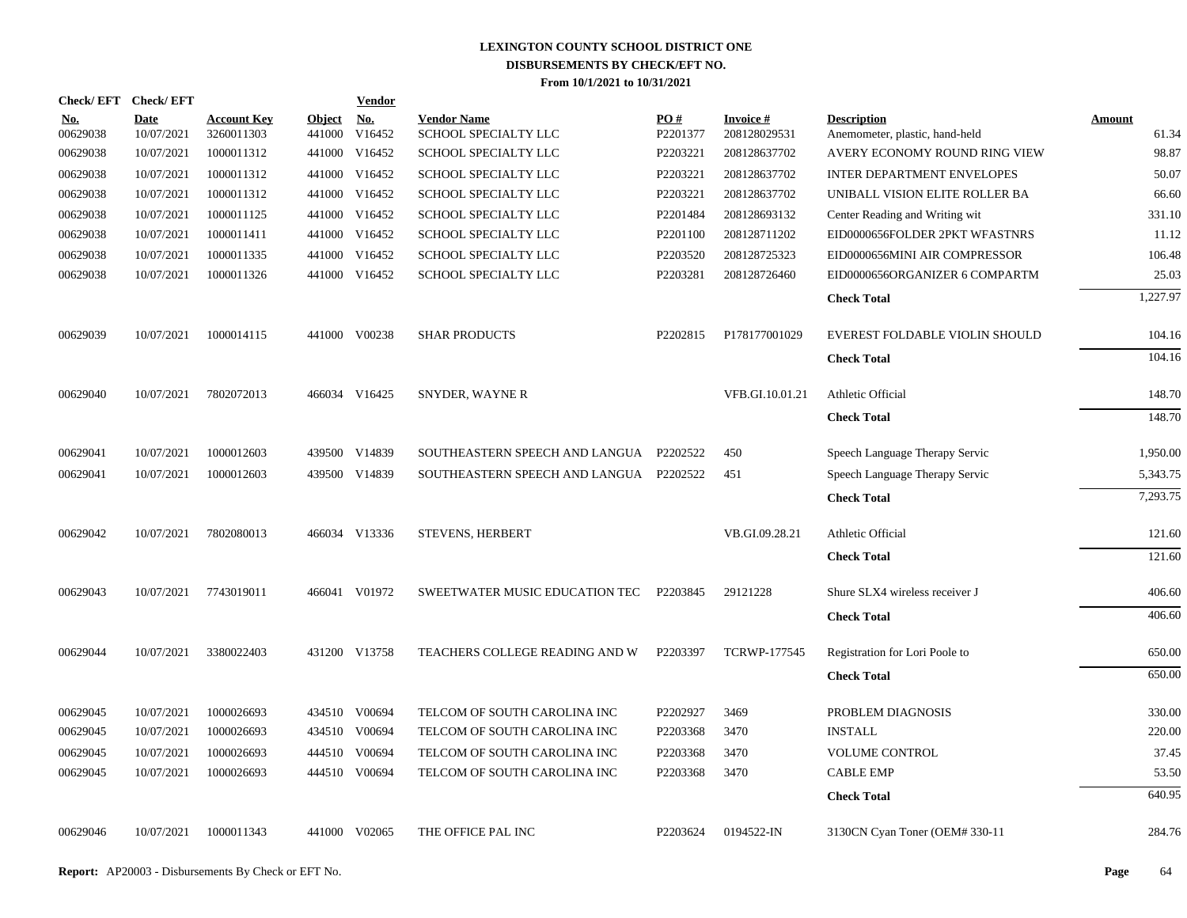| Check/EFT Check/EFT    |                           |                                  |                      | <b>Vendor</b> |                                            |                        |                           |                                                      |                 |
|------------------------|---------------------------|----------------------------------|----------------------|---------------|--------------------------------------------|------------------------|---------------------------|------------------------------------------------------|-----------------|
| <b>No.</b><br>00629038 | <b>Date</b><br>10/07/2021 | <b>Account Key</b><br>3260011303 | Object No.<br>441000 | V16452        | <b>Vendor Name</b><br>SCHOOL SPECIALTY LLC | <b>PO#</b><br>P2201377 | Invoice #<br>208128029531 | <b>Description</b><br>Anemometer, plastic, hand-held | Amount<br>61.34 |
| 00629038               | 10/07/2021                | 1000011312                       |                      | 441000 V16452 | SCHOOL SPECIALTY LLC                       | P2203221               | 208128637702              | AVERY ECONOMY ROUND RING VIEW                        | 98.87           |
| 00629038               | 10/07/2021                | 1000011312                       |                      | 441000 V16452 | SCHOOL SPECIALTY LLC                       | P2203221               | 208128637702              | <b>INTER DEPARTMENT ENVELOPES</b>                    | 50.07           |
| 00629038               | 10/07/2021                | 1000011312                       |                      | 441000 V16452 | SCHOOL SPECIALTY LLC                       | P2203221               | 208128637702              | UNIBALL VISION ELITE ROLLER BA                       | 66.60           |
| 00629038               | 10/07/2021                | 1000011125                       |                      | 441000 V16452 | SCHOOL SPECIALTY LLC                       | P2201484               | 208128693132              | Center Reading and Writing wit                       | 331.10          |
| 00629038               | 10/07/2021                | 1000011411                       |                      | 441000 V16452 | SCHOOL SPECIALTY LLC                       | P2201100               | 208128711202              | EID0000656FOLDER 2PKT WFASTNRS                       | 11.12           |
| 00629038               | 10/07/2021                | 1000011335                       |                      | 441000 V16452 | SCHOOL SPECIALTY LLC                       | P2203520               | 208128725323              | EID0000656MINI AIR COMPRESSOR                        | 106.48          |
| 00629038               | 10/07/2021                | 1000011326                       |                      | 441000 V16452 | SCHOOL SPECIALTY LLC                       | P2203281               | 208128726460              | EID0000656ORGANIZER 6 COMPARTM                       | 25.03           |
|                        |                           |                                  |                      |               |                                            |                        |                           | <b>Check Total</b>                                   | 1,227.97        |
| 00629039               | 10/07/2021                | 1000014115                       |                      | 441000 V00238 | <b>SHAR PRODUCTS</b>                       | P2202815               | P178177001029             | EVEREST FOLDABLE VIOLIN SHOULD                       | 104.16          |
|                        |                           |                                  |                      |               |                                            |                        |                           | <b>Check Total</b>                                   | 104.16          |
| 00629040               | 10/07/2021                | 7802072013                       |                      | 466034 V16425 | SNYDER, WAYNE R                            |                        | VFB.GI.10.01.21           | Athletic Official                                    | 148.70          |
|                        |                           |                                  |                      |               |                                            |                        |                           | <b>Check Total</b>                                   | 148.70          |
| 00629041               | 10/07/2021                | 1000012603                       |                      | 439500 V14839 | SOUTHEASTERN SPEECH AND LANGUA P2202522    |                        | 450                       | Speech Language Therapy Servic                       | 1,950.00        |
| 00629041               | 10/07/2021                | 1000012603                       |                      | 439500 V14839 | SOUTHEASTERN SPEECH AND LANGUA P2202522    |                        | 451                       | Speech Language Therapy Servic                       | 5,343.75        |
|                        |                           |                                  |                      |               |                                            |                        |                           | <b>Check Total</b>                                   | 7,293.75        |
| 00629042               | 10/07/2021                | 7802080013                       |                      | 466034 V13336 | STEVENS, HERBERT                           |                        | VB.GI.09.28.21            | Athletic Official                                    | 121.60          |
|                        |                           |                                  |                      |               |                                            |                        |                           | <b>Check Total</b>                                   | 121.60          |
| 00629043               | 10/07/2021                | 7743019011                       |                      | 466041 V01972 | SWEETWATER MUSIC EDUCATION TEC             | P2203845               | 29121228                  | Shure SLX4 wireless receiver J                       | 406.60          |
|                        |                           |                                  |                      |               |                                            |                        |                           | <b>Check Total</b>                                   | 406.60          |
| 00629044               | 10/07/2021                | 3380022403                       |                      | 431200 V13758 | <b>TEACHERS COLLEGE READING AND W</b>      | P2203397               | <b>TCRWP-177545</b>       | Registration for Lori Poole to                       | 650.00          |
|                        |                           |                                  |                      |               |                                            |                        |                           | <b>Check Total</b>                                   | 650.00          |
| 00629045               | 10/07/2021                | 1000026693                       |                      | 434510 V00694 | TELCOM OF SOUTH CAROLINA INC               | P2202927               | 3469                      | PROBLEM DIAGNOSIS                                    | 330.00          |
| 00629045               | 10/07/2021                | 1000026693                       |                      | 434510 V00694 | TELCOM OF SOUTH CAROLINA INC               | P2203368               | 3470                      | <b>INSTALL</b>                                       | 220.00          |
| 00629045               | 10/07/2021                | 1000026693                       |                      | 444510 V00694 | TELCOM OF SOUTH CAROLINA INC               | P2203368               | 3470                      | <b>VOLUME CONTROL</b>                                | 37.45           |
| 00629045               | 10/07/2021                | 1000026693                       |                      | 444510 V00694 | TELCOM OF SOUTH CAROLINA INC               | P2203368               | 3470                      | <b>CABLE EMP</b>                                     | 53.50           |
|                        |                           |                                  |                      |               |                                            |                        |                           | <b>Check Total</b>                                   | 640.95          |
| 00629046               | 10/07/2021                | 1000011343                       |                      | 441000 V02065 | THE OFFICE PAL INC                         | P2203624               | 0194522-IN                | 3130CN Cyan Toner (OEM# 330-11                       | 284.76          |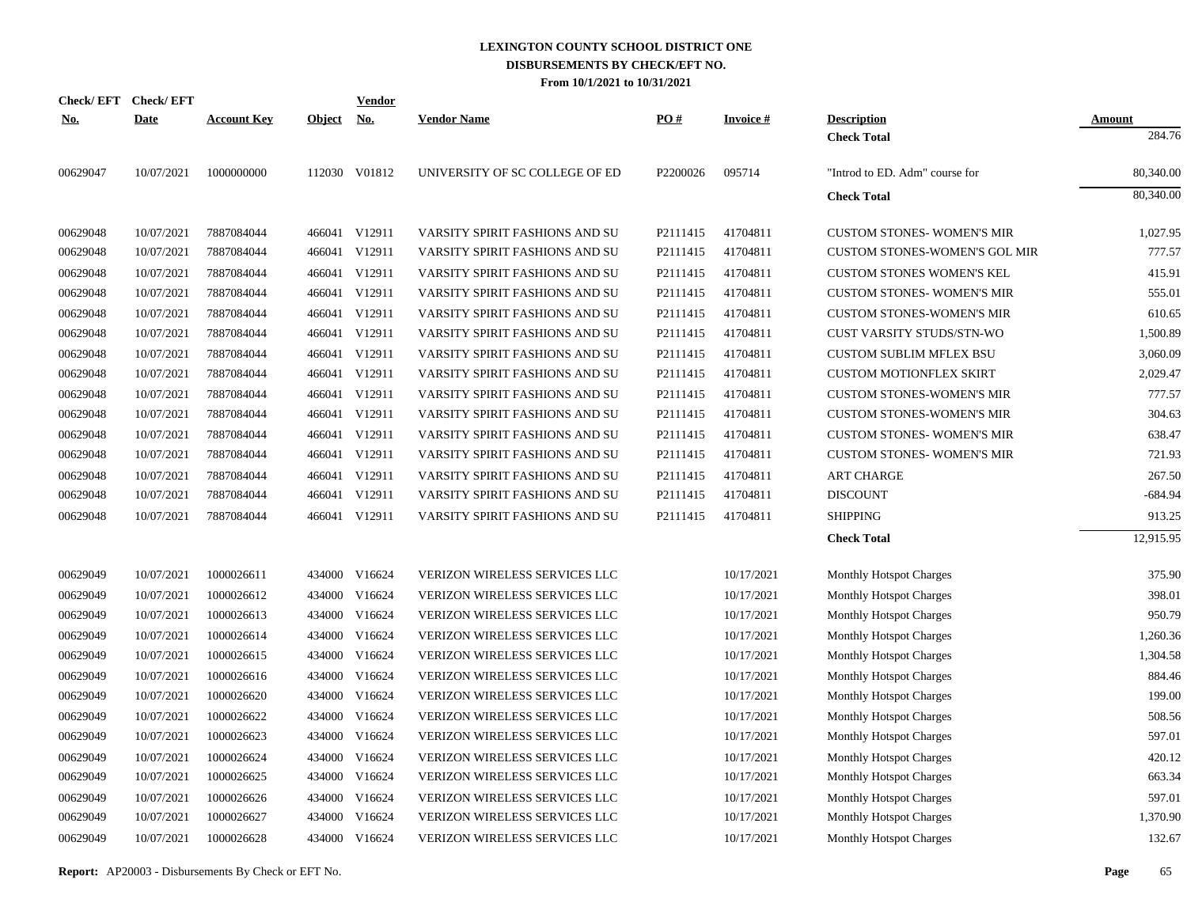| <b>Check/EFT</b> | <b>Check/EFT</b> |                    |               | Vendor        |                                |          |                 |                                      |               |
|------------------|------------------|--------------------|---------------|---------------|--------------------------------|----------|-----------------|--------------------------------------|---------------|
| <u>No.</u>       | <b>Date</b>      | <b>Account Key</b> | <b>Object</b> | <u>No.</u>    | <b>Vendor Name</b>             | PO#      | <b>Invoice#</b> | <b>Description</b>                   | <b>Amount</b> |
|                  |                  |                    |               |               |                                |          |                 | <b>Check Total</b>                   | 284.76        |
| 00629047         | 10/07/2021       | 1000000000         |               | 112030 V01812 | UNIVERSITY OF SC COLLEGE OF ED | P2200026 | 095714          | "Introd to ED. Adm" course for       | 80,340.00     |
|                  |                  |                    |               |               |                                |          |                 | <b>Check Total</b>                   | 80,340.00     |
| 00629048         | 10/07/2021       | 7887084044         |               | 466041 V12911 | VARSITY SPIRIT FASHIONS AND SU | P2111415 | 41704811        | <b>CUSTOM STONES- WOMEN'S MIR</b>    | 1.027.95      |
| 00629048         | 10/07/2021       | 7887084044         |               | 466041 V12911 | VARSITY SPIRIT FASHIONS AND SU | P2111415 | 41704811        | <b>CUSTOM STONES-WOMEN'S GOL MIR</b> | 777.57        |
| 00629048         | 10/07/2021       | 7887084044         |               | 466041 V12911 | VARSITY SPIRIT FASHIONS AND SU | P2111415 | 41704811        | <b>CUSTOM STONES WOMEN'S KEL</b>     | 415.91        |
| 00629048         | 10/07/2021       | 7887084044         |               | 466041 V12911 | VARSITY SPIRIT FASHIONS AND SU | P2111415 | 41704811        | <b>CUSTOM STONES- WOMEN'S MIR</b>    | 555.01        |
| 00629048         | 10/07/2021       | 7887084044         | 466041        | V12911        | VARSITY SPIRIT FASHIONS AND SU | P2111415 | 41704811        | <b>CUSTOM STONES-WOMEN'S MIR</b>     | 610.65        |
| 00629048         | 10/07/2021       | 7887084044         |               | 466041 V12911 | VARSITY SPIRIT FASHIONS AND SU | P2111415 | 41704811        | CUST VARSITY STUDS/STN-WO            | 1,500.89      |
| 00629048         | 10/07/2021       | 7887084044         | 466041        | V12911        | VARSITY SPIRIT FASHIONS AND SU | P2111415 | 41704811        | <b>CUSTOM SUBLIM MFLEX BSU</b>       | 3,060.09      |
| 00629048         | 10/07/2021       | 7887084044         | 466041        | V12911        | VARSITY SPIRIT FASHIONS AND SU | P2111415 | 41704811        | <b>CUSTOM MOTIONFLEX SKIRT</b>       | 2.029.47      |
| 00629048         | 10/07/2021       | 7887084044         |               | 466041 V12911 | VARSITY SPIRIT FASHIONS AND SU | P2111415 | 41704811        | <b>CUSTOM STONES-WOMEN'S MIR</b>     | 777.57        |
| 00629048         | 10/07/2021       | 7887084044         |               | 466041 V12911 | VARSITY SPIRIT FASHIONS AND SU | P2111415 | 41704811        | <b>CUSTOM STONES-WOMEN'S MIR</b>     | 304.63        |
| 00629048         | 10/07/2021       | 7887084044         |               | 466041 V12911 | VARSITY SPIRIT FASHIONS AND SU | P2111415 | 41704811        | <b>CUSTOM STONES- WOMEN'S MIR</b>    | 638.47        |
| 00629048         | 10/07/2021       | 7887084044         |               | 466041 V12911 | VARSITY SPIRIT FASHIONS AND SU | P2111415 | 41704811        | <b>CUSTOM STONES- WOMEN'S MIR</b>    | 721.93        |
| 00629048         | 10/07/2021       | 7887084044         |               | 466041 V12911 | VARSITY SPIRIT FASHIONS AND SU | P2111415 | 41704811        | <b>ART CHARGE</b>                    | 267.50        |
| 00629048         | 10/07/2021       | 7887084044         |               | 466041 V12911 | VARSITY SPIRIT FASHIONS AND SU | P2111415 | 41704811        | <b>DISCOUNT</b>                      | $-684.94$     |
| 00629048         | 10/07/2021       | 7887084044         |               | 466041 V12911 | VARSITY SPIRIT FASHIONS AND SU | P2111415 | 41704811        | <b>SHIPPING</b>                      | 913.25        |
|                  |                  |                    |               |               |                                |          |                 | <b>Check Total</b>                   | 12,915.95     |
| 00629049         | 10/07/2021       | 1000026611         |               | 434000 V16624 | VERIZON WIRELESS SERVICES LLC  |          | 10/17/2021      | <b>Monthly Hotspot Charges</b>       | 375.90        |
| 00629049         | 10/07/2021       | 1000026612         | 434000        | V16624        | VERIZON WIRELESS SERVICES LLC  |          | 10/17/2021      | <b>Monthly Hotspot Charges</b>       | 398.01        |
| 00629049         | 10/07/2021       | 1000026613         |               | 434000 V16624 | VERIZON WIRELESS SERVICES LLC  |          | 10/17/2021      | Monthly Hotspot Charges              | 950.79        |
| 00629049         | 10/07/2021       | 1000026614         | 434000        | V16624        | VERIZON WIRELESS SERVICES LLC  |          | 10/17/2021      | <b>Monthly Hotspot Charges</b>       | 1,260.36      |
| 00629049         | 10/07/2021       | 1000026615         |               | 434000 V16624 | VERIZON WIRELESS SERVICES LLC  |          | 10/17/2021      | <b>Monthly Hotspot Charges</b>       | 1,304.58      |
| 00629049         | 10/07/2021       | 1000026616         | 434000        | V16624        | VERIZON WIRELESS SERVICES LLC  |          | 10/17/2021      | <b>Monthly Hotspot Charges</b>       | 884.46        |
| 00629049         | 10/07/2021       | 1000026620         |               | 434000 V16624 | VERIZON WIRELESS SERVICES LLC  |          | 10/17/2021      | <b>Monthly Hotspot Charges</b>       | 199.00        |
| 00629049         | 10/07/2021       | 1000026622         | 434000        | V16624        | VERIZON WIRELESS SERVICES LLC  |          | 10/17/2021      | <b>Monthly Hotspot Charges</b>       | 508.56        |
| 00629049         | 10/07/2021       | 1000026623         |               | 434000 V16624 | VERIZON WIRELESS SERVICES LLC  |          | 10/17/2021      | <b>Monthly Hotspot Charges</b>       | 597.01        |
| 00629049         | 10/07/2021       | 1000026624         | 434000        | V16624        | VERIZON WIRELESS SERVICES LLC  |          | 10/17/2021      | <b>Monthly Hotspot Charges</b>       | 420.12        |
| 00629049         | 10/07/2021       | 1000026625         | 434000        | V16624        | VERIZON WIRELESS SERVICES LLC  |          | 10/17/2021      | Monthly Hotspot Charges              | 663.34        |
| 00629049         | 10/07/2021       | 1000026626         | 434000        | V16624        | VERIZON WIRELESS SERVICES LLC  |          | 10/17/2021      | Monthly Hotspot Charges              | 597.01        |
| 00629049         | 10/07/2021       | 1000026627         | 434000        | V16624        | VERIZON WIRELESS SERVICES LLC  |          | 10/17/2021      | Monthly Hotspot Charges              | 1,370.90      |
| 00629049         | 10/07/2021       | 1000026628         |               | 434000 V16624 | VERIZON WIRELESS SERVICES LLC  |          | 10/17/2021      | Monthly Hotspot Charges              | 132.67        |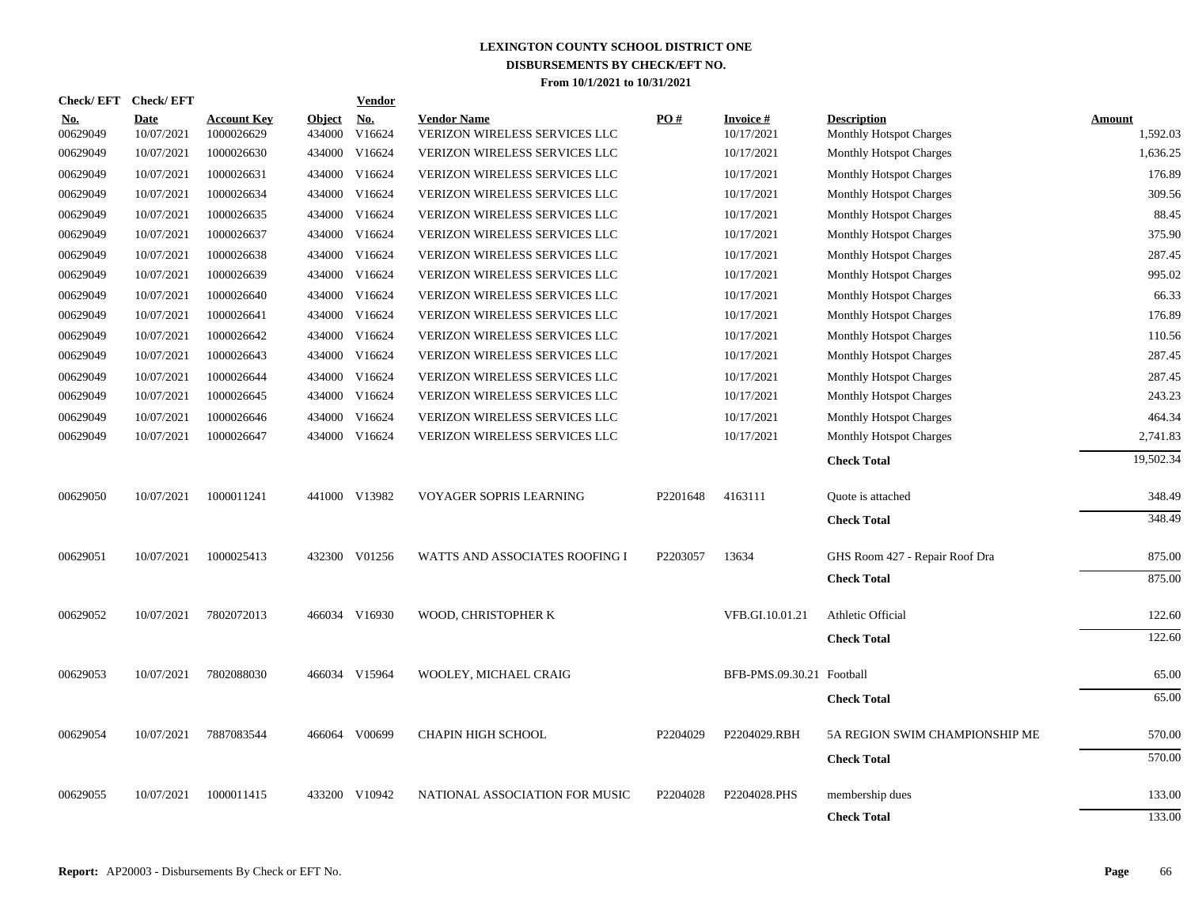| Check/EFT Check/EFT    |                           |                                  |                         | <b>Vendor</b>        |                                                            |          |                               |                                                      |                           |
|------------------------|---------------------------|----------------------------------|-------------------------|----------------------|------------------------------------------------------------|----------|-------------------------------|------------------------------------------------------|---------------------------|
| <u>No.</u><br>00629049 | <b>Date</b><br>10/07/2021 | <b>Account Key</b><br>1000026629 | <b>Object</b><br>434000 | <u>No.</u><br>V16624 | <b>Vendor Name</b><br><b>VERIZON WIRELESS SERVICES LLC</b> | PO#      | <b>Invoice#</b><br>10/17/2021 | <b>Description</b><br><b>Monthly Hotspot Charges</b> | <b>Amount</b><br>1,592.03 |
| 00629049               | 10/07/2021                | 1000026630                       | 434000                  | V16624               | VERIZON WIRELESS SERVICES LLC                              |          | 10/17/2021                    | <b>Monthly Hotspot Charges</b>                       | 1,636.25                  |
| 00629049               | 10/07/2021                | 1000026631                       | 434000                  | V16624               | VERIZON WIRELESS SERVICES LLC                              |          | 10/17/2021                    | <b>Monthly Hotspot Charges</b>                       | 176.89                    |
| 00629049               | 10/07/2021                | 1000026634                       | 434000                  | V16624               | <b>VERIZON WIRELESS SERVICES LLC</b>                       |          | 10/17/2021                    | <b>Monthly Hotspot Charges</b>                       | 309.56                    |
| 00629049               | 10/07/2021                | 1000026635                       | 434000                  | V16624               | <b>VERIZON WIRELESS SERVICES LLC</b>                       |          | 10/17/2021                    | <b>Monthly Hotspot Charges</b>                       | 88.45                     |
| 00629049               | 10/07/2021                | 1000026637                       | 434000                  | V16624               | VERIZON WIRELESS SERVICES LLC                              |          | 10/17/2021                    | <b>Monthly Hotspot Charges</b>                       | 375.90                    |
| 00629049               | 10/07/2021                | 1000026638                       | 434000                  | V16624               | VERIZON WIRELESS SERVICES LLC                              |          | 10/17/2021                    | <b>Monthly Hotspot Charges</b>                       | 287.45                    |
| 00629049               | 10/07/2021                | 1000026639                       | 434000                  | V16624               | <b>VERIZON WIRELESS SERVICES LLC</b>                       |          | 10/17/2021                    | <b>Monthly Hotspot Charges</b>                       | 995.02                    |
| 00629049               | 10/07/2021                | 1000026640                       | 434000                  | V16624               | VERIZON WIRELESS SERVICES LLC                              |          | 10/17/2021                    | <b>Monthly Hotspot Charges</b>                       | 66.33                     |
| 00629049               | 10/07/2021                | 1000026641                       | 434000                  | V16624               | VERIZON WIRELESS SERVICES LLC                              |          | 10/17/2021                    | <b>Monthly Hotspot Charges</b>                       | 176.89                    |
| 00629049               | 10/07/2021                | 1000026642                       | 434000                  | V16624               | VERIZON WIRELESS SERVICES LLC                              |          | 10/17/2021                    | <b>Monthly Hotspot Charges</b>                       | 110.56                    |
| 00629049               | 10/07/2021                | 1000026643                       | 434000                  | V16624               | VERIZON WIRELESS SERVICES LLC                              |          | 10/17/2021                    | <b>Monthly Hotspot Charges</b>                       | 287.45                    |
| 00629049               | 10/07/2021                | 1000026644                       |                         | 434000 V16624        | VERIZON WIRELESS SERVICES LLC                              |          | 10/17/2021                    | <b>Monthly Hotspot Charges</b>                       | 287.45                    |
| 00629049               | 10/07/2021                | 1000026645                       |                         | 434000 V16624        | VERIZON WIRELESS SERVICES LLC                              |          | 10/17/2021                    | <b>Monthly Hotspot Charges</b>                       | 243.23                    |
| 00629049               | 10/07/2021                | 1000026646                       | 434000                  | V16624               | VERIZON WIRELESS SERVICES LLC                              |          | 10/17/2021                    | <b>Monthly Hotspot Charges</b>                       | 464.34                    |
| 00629049               | 10/07/2021                | 1000026647                       |                         | 434000 V16624        | VERIZON WIRELESS SERVICES LLC                              |          | 10/17/2021                    | <b>Monthly Hotspot Charges</b>                       | 2,741.83                  |
|                        |                           |                                  |                         |                      |                                                            |          |                               | <b>Check Total</b>                                   | 19,502.34                 |
| 00629050               | 10/07/2021                | 1000011241                       |                         | 441000 V13982        | VOYAGER SOPRIS LEARNING                                    | P2201648 | 4163111                       | Quote is attached                                    | 348.49                    |
|                        |                           |                                  |                         |                      |                                                            |          |                               | <b>Check Total</b>                                   | 348.49                    |
| 00629051               | 10/07/2021                | 1000025413                       |                         | 432300 V01256        | WATTS AND ASSOCIATES ROOFING I                             | P2203057 | 13634                         | GHS Room 427 - Repair Roof Dra                       | 875.00                    |
|                        |                           |                                  |                         |                      |                                                            |          |                               | <b>Check Total</b>                                   | 875.00                    |
| 00629052               | 10/07/2021                | 7802072013                       |                         | 466034 V16930        | WOOD, CHRISTOPHER K                                        |          | VFB.GI.10.01.21               | Athletic Official                                    | 122.60                    |
|                        |                           |                                  |                         |                      |                                                            |          |                               | <b>Check Total</b>                                   | 122.60                    |
| 00629053               | 10/07/2021                | 7802088030                       |                         | 466034 V15964        | WOOLEY, MICHAEL CRAIG                                      |          | BFB-PMS.09.30.21 Football     |                                                      | 65.00                     |
|                        |                           |                                  |                         |                      |                                                            |          |                               | <b>Check Total</b>                                   | 65.00                     |
| 00629054               | 10/07/2021                | 7887083544                       |                         | 466064 V00699        | <b>CHAPIN HIGH SCHOOL</b>                                  | P2204029 | P2204029.RBH                  | 5A REGION SWIM CHAMPIONSHIP ME                       | 570.00                    |
|                        |                           |                                  |                         |                      |                                                            |          |                               | <b>Check Total</b>                                   | 570.00                    |
| 00629055               | 10/07/2021                | 1000011415                       | 433200                  | V10942               | NATIONAL ASSOCIATION FOR MUSIC                             | P2204028 | P2204028.PHS                  | membership dues                                      | 133.00                    |
|                        |                           |                                  |                         |                      |                                                            |          |                               | <b>Check Total</b>                                   | 133.00                    |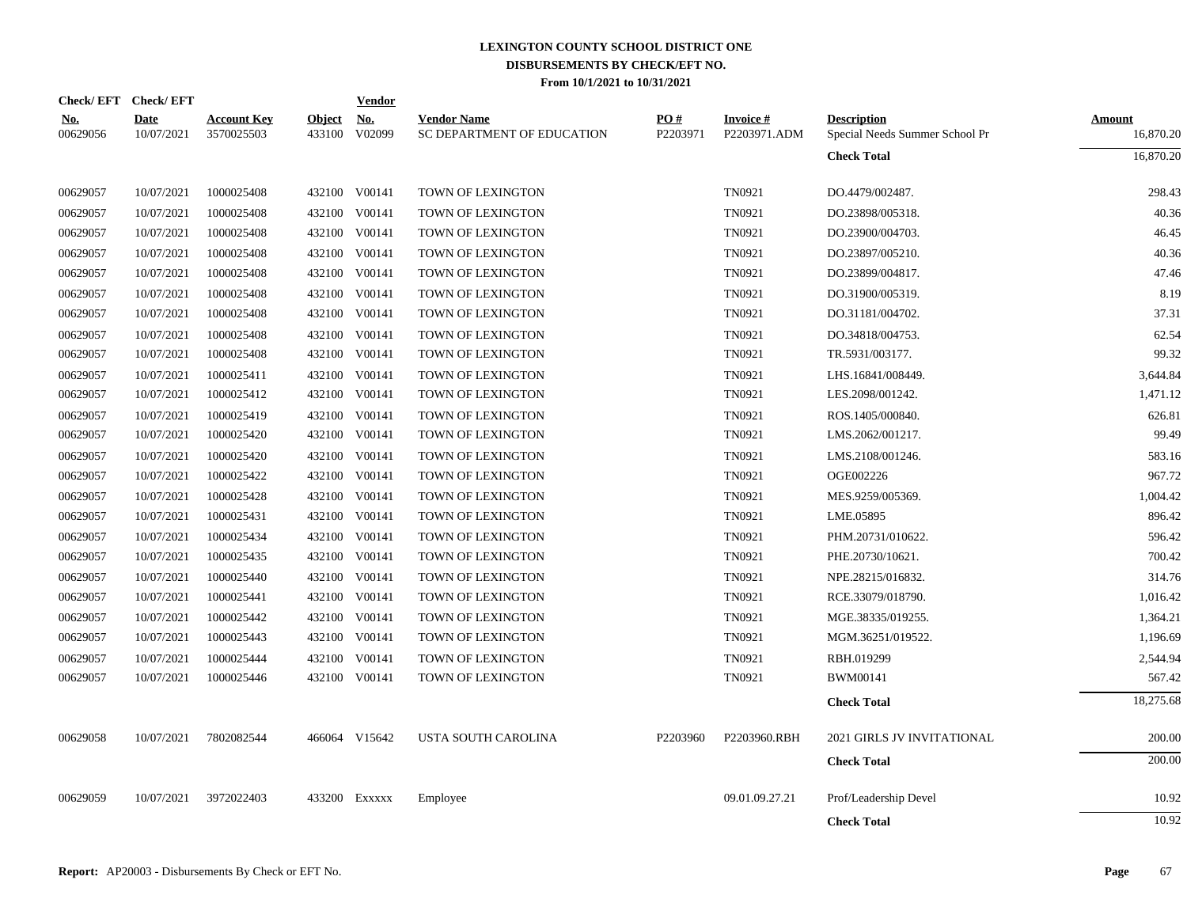|                 | Check/EFT Check/EFT       |                                  |                         | <b>Vendor</b>        |                                                  |                 |                                 |                                                      |                            |
|-----------------|---------------------------|----------------------------------|-------------------------|----------------------|--------------------------------------------------|-----------------|---------------------------------|------------------------------------------------------|----------------------------|
| No.<br>00629056 | <b>Date</b><br>10/07/2021 | <b>Account Key</b><br>3570025503 | <b>Object</b><br>433100 | <u>No.</u><br>V02099 | <b>Vendor Name</b><br>SC DEPARTMENT OF EDUCATION | PO#<br>P2203971 | <b>Invoice#</b><br>P2203971.ADM | <b>Description</b><br>Special Needs Summer School Pr | <b>Amount</b><br>16,870.20 |
|                 |                           |                                  |                         |                      |                                                  |                 |                                 | <b>Check Total</b>                                   | 16,870.20                  |
| 00629057        | 10/07/2021                | 1000025408                       |                         | 432100 V00141        | TOWN OF LEXINGTON                                |                 | TN0921                          | DO.4479/002487.                                      | 298.43                     |
| 00629057        | 10/07/2021                | 1000025408                       | 432100                  | V00141               | TOWN OF LEXINGTON                                |                 | TN0921                          | DO.23898/005318.                                     | 40.36                      |
| 00629057        | 10/07/2021                | 1000025408                       |                         | 432100 V00141        | TOWN OF LEXINGTON                                |                 | TN0921                          | DO.23900/004703.                                     | 46.45                      |
| 00629057        | 10/07/2021                | 1000025408                       | 432100                  | V00141               | TOWN OF LEXINGTON                                |                 | TN0921                          | DO.23897/005210.                                     | 40.36                      |
| 00629057        | 10/07/2021                | 1000025408                       |                         | 432100 V00141        | TOWN OF LEXINGTON                                |                 | TN0921                          | DO.23899/004817.                                     | 47.46                      |
| 00629057        | 10/07/2021                | 1000025408                       | 432100                  | V00141               | TOWN OF LEXINGTON                                |                 | TN0921                          | DO.31900/005319.                                     | 8.19                       |
| 00629057        | 10/07/2021                | 1000025408                       |                         | 432100 V00141        | TOWN OF LEXINGTON                                |                 | TN0921                          | DO.31181/004702.                                     | 37.31                      |
| 00629057        | 10/07/2021                | 1000025408                       |                         | 432100 V00141        | TOWN OF LEXINGTON                                |                 | TN0921                          | DO.34818/004753.                                     | 62.54                      |
| 00629057        | 10/07/2021                | 1000025408                       |                         | 432100 V00141        | TOWN OF LEXINGTON                                |                 | TN0921                          | TR.5931/003177.                                      | 99.32                      |
| 00629057        | 10/07/2021                | 1000025411                       |                         | 432100 V00141        | TOWN OF LEXINGTON                                |                 | TN0921                          | LHS.16841/008449.                                    | 3,644.84                   |
| 00629057        | 10/07/2021                | 1000025412                       |                         | 432100 V00141        | TOWN OF LEXINGTON                                |                 | TN0921                          | LES.2098/001242.                                     | 1,471.12                   |
| 00629057        | 10/07/2021                | 1000025419                       |                         | 432100 V00141        | TOWN OF LEXINGTON                                |                 | TN0921                          | ROS.1405/000840.                                     | 626.81                     |
| 00629057        | 10/07/2021                | 1000025420                       |                         | 432100 V00141        | TOWN OF LEXINGTON                                |                 | TN0921                          | LMS.2062/001217.                                     | 99.49                      |
| 00629057        | 10/07/2021                | 1000025420                       | 432100                  | V00141               | TOWN OF LEXINGTON                                |                 | TN0921                          | LMS.2108/001246.                                     | 583.16                     |
| 00629057        | 10/07/2021                | 1000025422                       | 432100                  | V00141               | TOWN OF LEXINGTON                                |                 | TN0921                          | OGE002226                                            | 967.72                     |
| 00629057        | 10/07/2021                | 1000025428                       | 432100                  | V00141               | TOWN OF LEXINGTON                                |                 | TN0921                          | MES.9259/005369.                                     | 1,004.42                   |
| 00629057        | 10/07/2021                | 1000025431                       | 432100                  | V00141               | TOWN OF LEXINGTON                                |                 | TN0921                          | LME.05895                                            | 896.42                     |
| 00629057        | 10/07/2021                | 1000025434                       |                         | 432100 V00141        | TOWN OF LEXINGTON                                |                 | TN0921                          | PHM.20731/010622.                                    | 596.42                     |
| 00629057        | 10/07/2021                | 1000025435                       |                         | 432100 V00141        | TOWN OF LEXINGTON                                |                 | TN0921                          | PHE.20730/10621.                                     | 700.42                     |
| 00629057        | 10/07/2021                | 1000025440                       |                         | 432100 V00141        | TOWN OF LEXINGTON                                |                 | TN0921                          | NPE.28215/016832.                                    | 314.76                     |
| 00629057        | 10/07/2021                | 1000025441                       |                         | 432100 V00141        | TOWN OF LEXINGTON                                |                 | TN0921                          | RCE.33079/018790.                                    | 1,016.42                   |
| 00629057        | 10/07/2021                | 1000025442                       |                         | 432100 V00141        | TOWN OF LEXINGTON                                |                 | TN0921                          | MGE.38335/019255.                                    | 1,364.21                   |
| 00629057        | 10/07/2021                | 1000025443                       |                         | 432100 V00141        | TOWN OF LEXINGTON                                |                 | TN0921                          | MGM.36251/019522.                                    | 1,196.69                   |
| 00629057        | 10/07/2021                | 1000025444                       |                         | 432100 V00141        | TOWN OF LEXINGTON                                |                 | TN0921                          | RBH.019299                                           | 2,544.94                   |
| 00629057        | 10/07/2021                | 1000025446                       |                         | 432100 V00141        | TOWN OF LEXINGTON                                |                 | TN0921                          | <b>BWM00141</b>                                      | 567.42                     |
|                 |                           |                                  |                         |                      |                                                  |                 |                                 | <b>Check Total</b>                                   | 18,275.68                  |
| 00629058        | 10/07/2021                | 7802082544                       |                         | 466064 V15642        | USTA SOUTH CAROLINA                              | P2203960        | P2203960.RBH                    | 2021 GIRLS JV INVITATIONAL                           | 200.00                     |
|                 |                           |                                  |                         |                      |                                                  |                 |                                 | <b>Check Total</b>                                   | 200.00                     |
| 00629059        | 10/07/2021                | 3972022403                       | 433200                  | EXXXXX               | Employee                                         |                 | 09.01.09.27.21                  | Prof/Leadership Devel                                | 10.92                      |
|                 |                           |                                  |                         |                      |                                                  |                 |                                 | <b>Check Total</b>                                   | 10.92                      |
|                 |                           |                                  |                         |                      |                                                  |                 |                                 |                                                      |                            |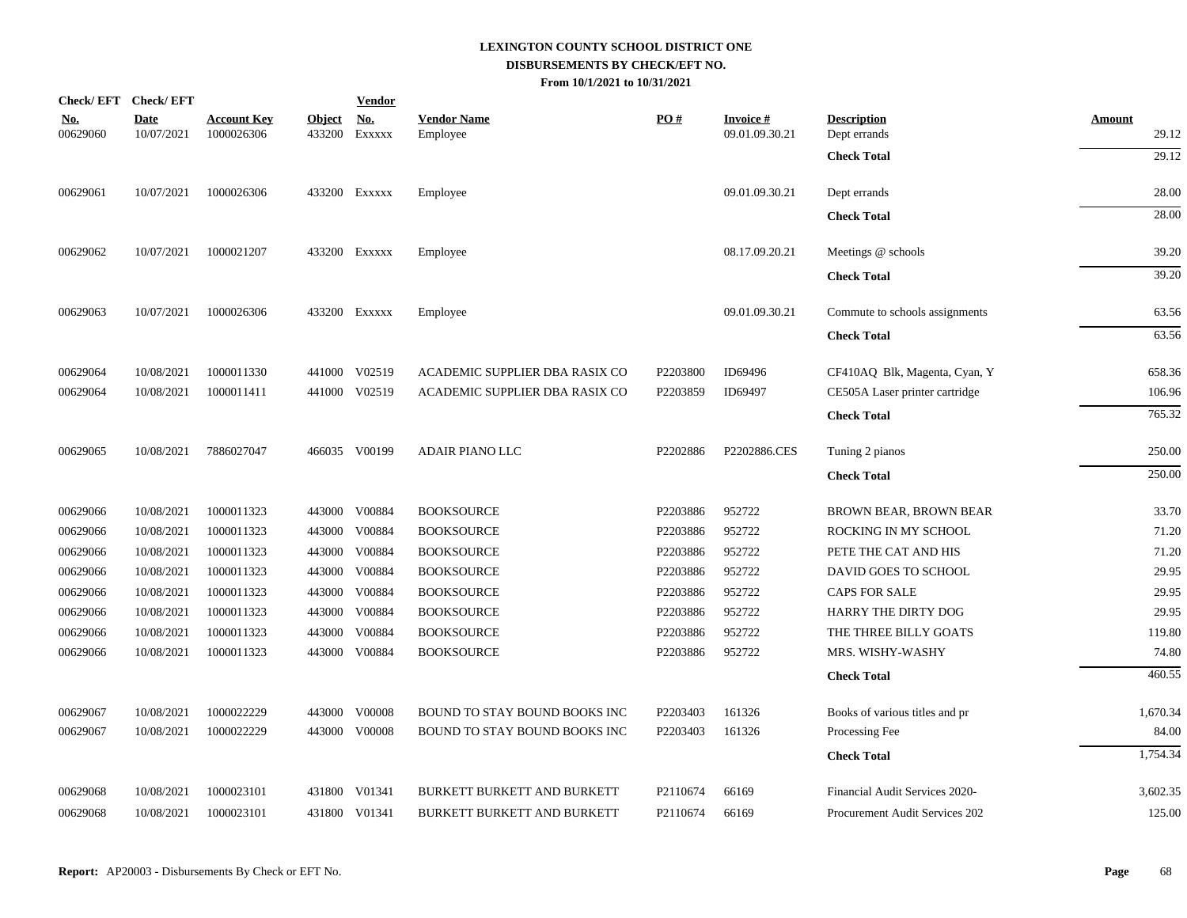|                        | Check/EFT Check/EFT       |                                  |               | <b>Vendor</b>               |                                    |          |                                   |                                    |                        |
|------------------------|---------------------------|----------------------------------|---------------|-----------------------------|------------------------------------|----------|-----------------------------------|------------------------------------|------------------------|
| <u>No.</u><br>00629060 | <b>Date</b><br>10/07/2021 | <b>Account Key</b><br>1000026306 | <b>Object</b> | <u>No.</u><br>433200 EXXXXX | <b>Vendor Name</b><br>Employee     | PO#      | <b>Invoice#</b><br>09.01.09.30.21 | <b>Description</b><br>Dept errands | <b>Amount</b><br>29.12 |
|                        |                           |                                  |               |                             |                                    |          |                                   | <b>Check Total</b>                 | 29.12                  |
| 00629061               | 10/07/2021                | 1000026306                       |               | 433200 Exxxxx               | Employee                           |          | 09.01.09.30.21                    | Dept errands                       | 28.00                  |
|                        |                           |                                  |               |                             |                                    |          |                                   | <b>Check Total</b>                 | 28.00                  |
| 00629062               | 10/07/2021                | 1000021207                       |               | 433200 Exxxxx               | Employee                           |          | 08.17.09.20.21                    | Meetings @ schools                 | 39.20                  |
|                        |                           |                                  |               |                             |                                    |          |                                   | <b>Check Total</b>                 | 39.20                  |
| 00629063               | 10/07/2021                | 1000026306                       |               | 433200 EXXXXX               | Employee                           |          | 09.01.09.30.21                    | Commute to schools assignments     | 63.56                  |
|                        |                           |                                  |               |                             |                                    |          |                                   | <b>Check Total</b>                 | 63.56                  |
| 00629064               | 10/08/2021                | 1000011330                       |               | 441000 V02519               | ACADEMIC SUPPLIER DBA RASIX CO     | P2203800 | ID69496                           | CF410AQ Blk, Magenta, Cyan, Y      | 658.36                 |
| 00629064               | 10/08/2021                | 1000011411                       |               | 441000 V02519               | ACADEMIC SUPPLIER DBA RASIX CO     | P2203859 | ID69497                           | CE505A Laser printer cartridge     | 106.96                 |
|                        |                           |                                  |               |                             |                                    |          |                                   | <b>Check Total</b>                 | 765.32                 |
| 00629065               | 10/08/2021                | 7886027047                       |               | 466035 V00199               | <b>ADAIR PIANO LLC</b>             | P2202886 | P2202886.CES                      | Tuning 2 pianos                    | 250.00                 |
|                        |                           |                                  |               |                             |                                    |          |                                   | <b>Check Total</b>                 | 250.00                 |
| 00629066               | 10/08/2021                | 1000011323                       | 443000        | V00884                      | <b>BOOKSOURCE</b>                  | P2203886 | 952722                            | BROWN BEAR, BROWN BEAR             | 33.70                  |
| 00629066               | 10/08/2021                | 1000011323                       | 443000        | V00884                      | <b>BOOKSOURCE</b>                  | P2203886 | 952722                            | ROCKING IN MY SCHOOL               | 71.20                  |
| 00629066               | 10/08/2021                | 1000011323                       | 443000        | V00884                      | <b>BOOKSOURCE</b>                  | P2203886 | 952722                            | PETE THE CAT AND HIS               | 71.20                  |
| 00629066               | 10/08/2021                | 1000011323                       | 443000        | V00884                      | <b>BOOKSOURCE</b>                  | P2203886 | 952722                            | DAVID GOES TO SCHOOL               | 29.95                  |
| 00629066               | 10/08/2021                | 1000011323                       | 443000        | V00884                      | <b>BOOKSOURCE</b>                  | P2203886 | 952722                            | <b>CAPS FOR SALE</b>               | 29.95                  |
| 00629066               | 10/08/2021                | 1000011323                       | 443000        | V00884                      | <b>BOOKSOURCE</b>                  | P2203886 | 952722                            | HARRY THE DIRTY DOG                | 29.95                  |
| 00629066               | 10/08/2021                | 1000011323                       | 443000        | V00884                      | <b>BOOKSOURCE</b>                  | P2203886 | 952722                            | THE THREE BILLY GOATS              | 119.80                 |
| 00629066               | 10/08/2021                | 1000011323                       |               | 443000 V00884               | <b>BOOKSOURCE</b>                  | P2203886 | 952722                            | MRS. WISHY-WASHY                   | 74.80                  |
|                        |                           |                                  |               |                             |                                    |          |                                   | <b>Check Total</b>                 | 460.55                 |
| 00629067               | 10/08/2021                | 1000022229                       |               | 443000 V00008               | BOUND TO STAY BOUND BOOKS INC      | P2203403 | 161326                            | Books of various titles and pr     | 1,670.34               |
| 00629067               | 10/08/2021                | 1000022229                       |               | 443000 V00008               | BOUND TO STAY BOUND BOOKS INC      | P2203403 | 161326                            | Processing Fee                     | 84.00                  |
|                        |                           |                                  |               |                             |                                    |          |                                   | <b>Check Total</b>                 | 1,754.34               |
| 00629068               | 10/08/2021                | 1000023101                       | 431800        | V01341                      | <b>BURKETT BURKETT AND BURKETT</b> | P2110674 | 66169                             | Financial Audit Services 2020-     | 3,602.35               |
| 00629068               | 10/08/2021                | 1000023101                       |               | 431800 V01341               | BURKETT BURKETT AND BURKETT        | P2110674 | 66169                             | Procurement Audit Services 202     | 125.00                 |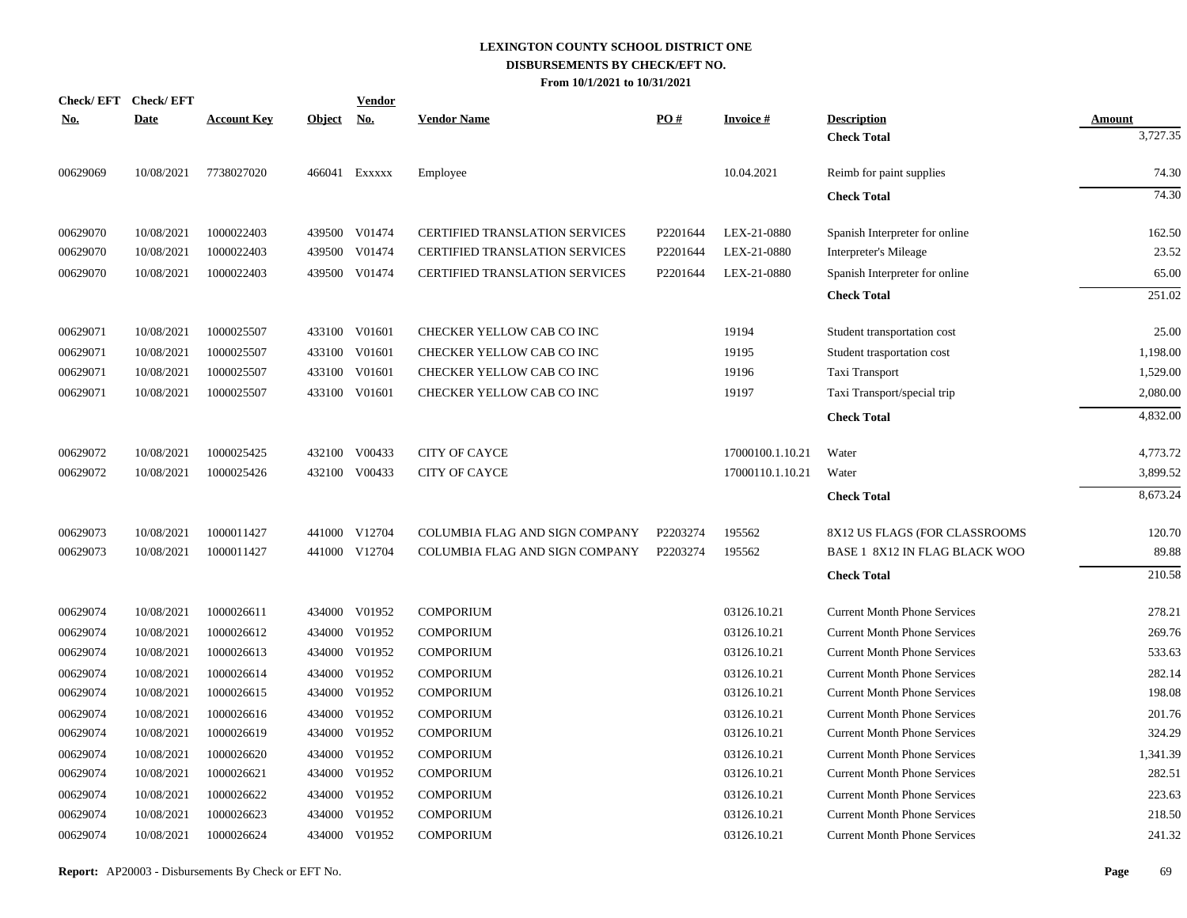| <b>Check/EFT</b> | <b>Check/EFT</b> |                    |               | <b>Vendor</b> |                                       |          |                  |                                     |               |
|------------------|------------------|--------------------|---------------|---------------|---------------------------------------|----------|------------------|-------------------------------------|---------------|
| <u>No.</u>       | <b>Date</b>      | <b>Account Key</b> | <u>Object</u> | <u>No.</u>    | <b>Vendor Name</b>                    | PO#      | <b>Invoice#</b>  | <b>Description</b>                  | <b>Amount</b> |
|                  |                  |                    |               |               |                                       |          |                  | <b>Check Total</b>                  | 3,727.35      |
| 00629069         | 10/08/2021       | 7738027020         | 466041        | Exxxxx        | Employee                              |          | 10.04.2021       | Reimb for paint supplies            | 74.30         |
|                  |                  |                    |               |               |                                       |          |                  | <b>Check Total</b>                  | 74.30         |
| 00629070         | 10/08/2021       | 1000022403         |               | 439500 V01474 | CERTIFIED TRANSLATION SERVICES        | P2201644 | LEX-21-0880      | Spanish Interpreter for online      | 162.50        |
| 00629070         | 10/08/2021       | 1000022403         | 439500        | V01474        | <b>CERTIFIED TRANSLATION SERVICES</b> | P2201644 | LEX-21-0880      | Interpreter's Mileage               | 23.52         |
| 00629070         | 10/08/2021       | 1000022403         |               | 439500 V01474 | CERTIFIED TRANSLATION SERVICES        | P2201644 | LEX-21-0880      | Spanish Interpreter for online      | 65.00         |
|                  |                  |                    |               |               |                                       |          |                  | <b>Check Total</b>                  | 251.02        |
| 00629071         | 10/08/2021       | 1000025507         |               | 433100 V01601 | CHECKER YELLOW CAB CO INC             |          | 19194            | Student transportation cost         | 25.00         |
| 00629071         | 10/08/2021       | 1000025507         | 433100        | V01601        | CHECKER YELLOW CAB CO INC             |          | 19195            | Student trasportation cost          | 1,198.00      |
| 00629071         | 10/08/2021       | 1000025507         | 433100        | V01601        | CHECKER YELLOW CAB CO INC             |          | 19196            | Taxi Transport                      | 1,529.00      |
| 00629071         | 10/08/2021       | 1000025507         |               | 433100 V01601 | CHECKER YELLOW CAB CO INC             |          | 19197            | Taxi Transport/special trip         | 2,080.00      |
|                  |                  |                    |               |               |                                       |          |                  | <b>Check Total</b>                  | 4,832.00      |
| 00629072         | 10/08/2021       | 1000025425         |               | 432100 V00433 | <b>CITY OF CAYCE</b>                  |          | 17000100.1.10.21 | Water                               | 4,773.72      |
| 00629072         | 10/08/2021       | 1000025426         |               | 432100 V00433 | <b>CITY OF CAYCE</b>                  |          | 17000110.1.10.21 | Water                               | 3,899.52      |
|                  |                  |                    |               |               |                                       |          |                  | <b>Check Total</b>                  | 8,673.24      |
| 00629073         | 10/08/2021       | 1000011427         |               | 441000 V12704 | COLUMBIA FLAG AND SIGN COMPANY        | P2203274 | 195562           | 8X12 US FLAGS (FOR CLASSROOMS       | 120.70        |
| 00629073         | 10/08/2021       | 1000011427         |               | 441000 V12704 | COLUMBIA FLAG AND SIGN COMPANY        | P2203274 | 195562           | BASE 1 8X12 IN FLAG BLACK WOO       | 89.88         |
|                  |                  |                    |               |               |                                       |          |                  | <b>Check Total</b>                  | 210.58        |
| 00629074         | 10/08/2021       | 1000026611         |               | 434000 V01952 | <b>COMPORIUM</b>                      |          | 03126.10.21      | <b>Current Month Phone Services</b> | 278.21        |
| 00629074         | 10/08/2021       | 1000026612         | 434000        | V01952        | <b>COMPORIUM</b>                      |          | 03126.10.21      | <b>Current Month Phone Services</b> | 269.76        |
| 00629074         | 10/08/2021       | 1000026613         | 434000        | V01952        | COMPORIUM                             |          | 03126.10.21      | <b>Current Month Phone Services</b> | 533.63        |
| 00629074         | 10/08/2021       | 1000026614         | 434000        | V01952        | <b>COMPORIUM</b>                      |          | 03126.10.21      | <b>Current Month Phone Services</b> | 282.14        |
| 00629074         | 10/08/2021       | 1000026615         | 434000        | V01952        | <b>COMPORIUM</b>                      |          | 03126.10.21      | <b>Current Month Phone Services</b> | 198.08        |
| 00629074         | 10/08/2021       | 1000026616         | 434000        | V01952        | <b>COMPORIUM</b>                      |          | 03126.10.21      | <b>Current Month Phone Services</b> | 201.76        |
| 00629074         | 10/08/2021       | 1000026619         | 434000        | V01952        | <b>COMPORIUM</b>                      |          | 03126.10.21      | <b>Current Month Phone Services</b> | 324.29        |
| 00629074         | 10/08/2021       | 1000026620         | 434000        | V01952        | <b>COMPORIUM</b>                      |          | 03126.10.21      | <b>Current Month Phone Services</b> | 1,341.39      |
| 00629074         | 10/08/2021       | 1000026621         | 434000        | V01952        | <b>COMPORIUM</b>                      |          | 03126.10.21      | <b>Current Month Phone Services</b> | 282.51        |
| 00629074         | 10/08/2021       | 1000026622         | 434000        | V01952        | <b>COMPORIUM</b>                      |          | 03126.10.21      | <b>Current Month Phone Services</b> | 223.63        |
| 00629074         | 10/08/2021       | 1000026623         | 434000        | V01952        | <b>COMPORIUM</b>                      |          | 03126.10.21      | <b>Current Month Phone Services</b> | 218.50        |
| 00629074         | 10/08/2021       | 1000026624         |               | 434000 V01952 | <b>COMPORIUM</b>                      |          | 03126.10.21      | <b>Current Month Phone Services</b> | 241.32        |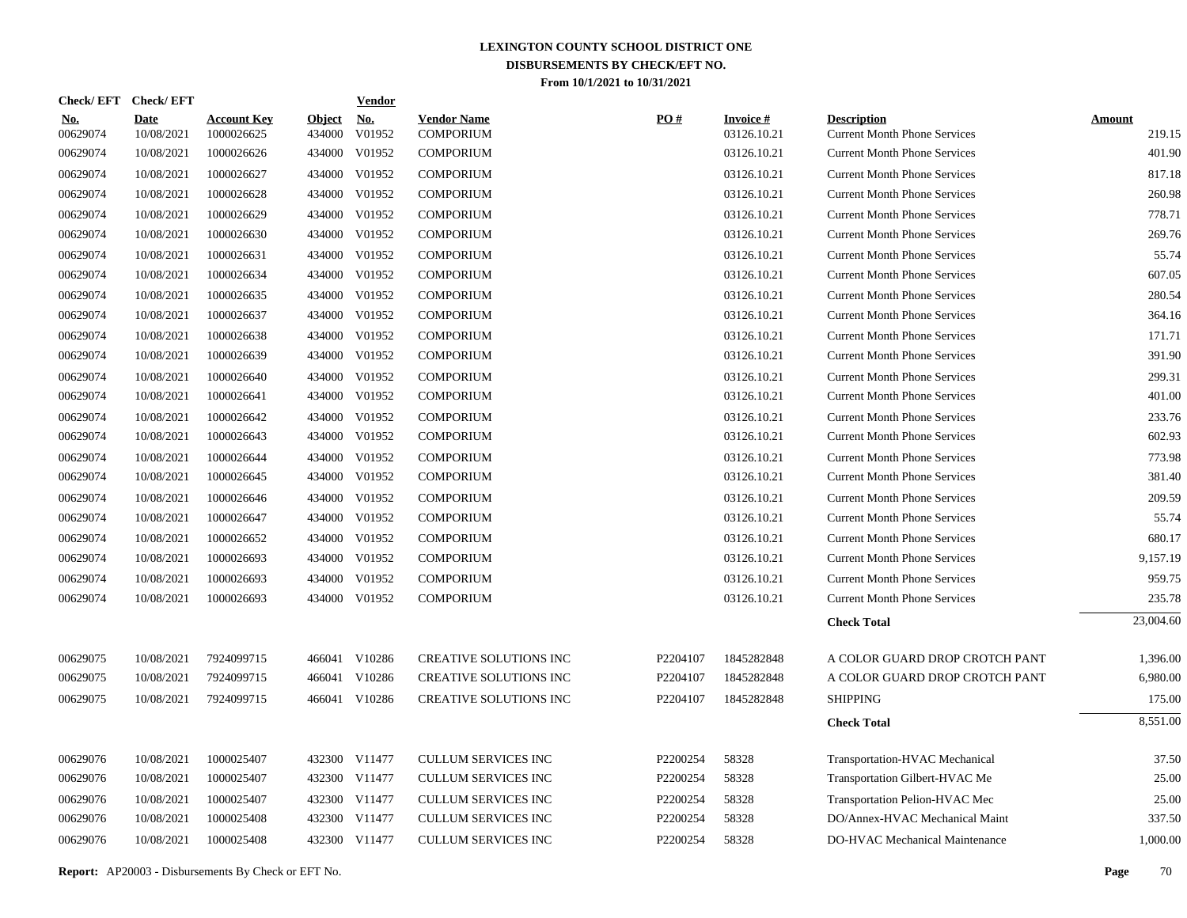| <b>Check/EFT</b>       | <b>Check/EFT</b>          |                                  |                         | <b>Vendor</b> |                                        |          |                                |                                                           |                         |
|------------------------|---------------------------|----------------------------------|-------------------------|---------------|----------------------------------------|----------|--------------------------------|-----------------------------------------------------------|-------------------------|
| <u>No.</u><br>00629074 | <b>Date</b><br>10/08/2021 | <b>Account Key</b><br>1000026625 | <b>Object</b><br>434000 | No.<br>V01952 | <b>Vendor Name</b><br><b>COMPORIUM</b> | PO#      | <b>Invoice#</b><br>03126.10.21 | <b>Description</b><br><b>Current Month Phone Services</b> | <b>Amount</b><br>219.15 |
| 00629074               | 10/08/2021                | 1000026626                       | 434000                  | V01952        | <b>COMPORIUM</b>                       |          | 03126.10.21                    | <b>Current Month Phone Services</b>                       | 401.90                  |
| 00629074               | 10/08/2021                | 1000026627                       | 434000                  | V01952        | <b>COMPORIUM</b>                       |          | 03126.10.21                    | <b>Current Month Phone Services</b>                       | 817.18                  |
| 00629074               | 10/08/2021                | 1000026628                       |                         | 434000 V01952 | <b>COMPORIUM</b>                       |          | 03126.10.21                    | <b>Current Month Phone Services</b>                       | 260.98                  |
| 00629074               | 10/08/2021                | 1000026629                       | 434000                  | V01952        | <b>COMPORIUM</b>                       |          | 03126.10.21                    | <b>Current Month Phone Services</b>                       | 778.71                  |
| 00629074               | 10/08/2021                | 1000026630                       |                         | 434000 V01952 | <b>COMPORIUM</b>                       |          | 03126.10.21                    | <b>Current Month Phone Services</b>                       | 269.76                  |
| 00629074               | 10/08/2021                | 1000026631                       | 434000                  | V01952        | <b>COMPORIUM</b>                       |          | 03126.10.21                    | <b>Current Month Phone Services</b>                       | 55.74                   |
| 00629074               | 10/08/2021                | 1000026634                       |                         | 434000 V01952 | <b>COMPORIUM</b>                       |          | 03126.10.21                    | <b>Current Month Phone Services</b>                       | 607.05                  |
| 00629074               | 10/08/2021                | 1000026635                       | 434000                  | V01952        | <b>COMPORIUM</b>                       |          | 03126.10.21                    | <b>Current Month Phone Services</b>                       | 280.54                  |
| 00629074               | 10/08/2021                | 1000026637                       |                         | 434000 V01952 | <b>COMPORIUM</b>                       |          | 03126.10.21                    | <b>Current Month Phone Services</b>                       | 364.16                  |
| 00629074               | 10/08/2021                | 1000026638                       | 434000                  | V01952        | <b>COMPORIUM</b>                       |          | 03126.10.21                    | <b>Current Month Phone Services</b>                       | 171.71                  |
| 00629074               | 10/08/2021                | 1000026639                       |                         | 434000 V01952 | <b>COMPORIUM</b>                       |          | 03126.10.21                    | <b>Current Month Phone Services</b>                       | 391.90                  |
| 00629074               | 10/08/2021                | 1000026640                       | 434000                  | V01952        | <b>COMPORIUM</b>                       |          | 03126.10.21                    | <b>Current Month Phone Services</b>                       | 299.31                  |
| 00629074               | 10/08/2021                | 1000026641                       |                         | 434000 V01952 | <b>COMPORIUM</b>                       |          | 03126.10.21                    | <b>Current Month Phone Services</b>                       | 401.00                  |
| 00629074               | 10/08/2021                | 1000026642                       | 434000                  | V01952        | <b>COMPORIUM</b>                       |          | 03126.10.21                    | <b>Current Month Phone Services</b>                       | 233.76                  |
| 00629074               | 10/08/2021                | 1000026643                       |                         | 434000 V01952 | <b>COMPORIUM</b>                       |          | 03126.10.21                    | <b>Current Month Phone Services</b>                       | 602.93                  |
| 00629074               | 10/08/2021                | 1000026644                       | 434000                  | V01952        | <b>COMPORIUM</b>                       |          | 03126.10.21                    | <b>Current Month Phone Services</b>                       | 773.98                  |
| 00629074               | 10/08/2021                | 1000026645                       |                         | 434000 V01952 | <b>COMPORIUM</b>                       |          | 03126.10.21                    | <b>Current Month Phone Services</b>                       | 381.40                  |
| 00629074               | 10/08/2021                | 1000026646                       | 434000                  | V01952        | <b>COMPORIUM</b>                       |          | 03126.10.21                    | <b>Current Month Phone Services</b>                       | 209.59                  |
| 00629074               | 10/08/2021                | 1000026647                       |                         | 434000 V01952 | <b>COMPORIUM</b>                       |          | 03126.10.21                    | <b>Current Month Phone Services</b>                       | 55.74                   |
| 00629074               | 10/08/2021                | 1000026652                       |                         | 434000 V01952 | <b>COMPORIUM</b>                       |          | 03126.10.21                    | <b>Current Month Phone Services</b>                       | 680.17                  |
| 00629074               | 10/08/2021                | 1000026693                       |                         | 434000 V01952 | <b>COMPORIUM</b>                       |          | 03126.10.21                    | <b>Current Month Phone Services</b>                       | 9,157.19                |
| 00629074               | 10/08/2021                | 1000026693                       | 434000                  | V01952        | <b>COMPORIUM</b>                       |          | 03126.10.21                    | <b>Current Month Phone Services</b>                       | 959.75                  |
| 00629074               | 10/08/2021                | 1000026693                       |                         | 434000 V01952 | <b>COMPORIUM</b>                       |          | 03126.10.21                    | <b>Current Month Phone Services</b>                       | 235.78                  |
|                        |                           |                                  |                         |               |                                        |          |                                | <b>Check Total</b>                                        | 23,004.60               |
| 00629075               | 10/08/2021                | 7924099715                       |                         | 466041 V10286 | <b>CREATIVE SOLUTIONS INC</b>          | P2204107 | 1845282848                     | A COLOR GUARD DROP CROTCH PANT                            | 1,396.00                |
| 00629075               | 10/08/2021                | 7924099715                       |                         | 466041 V10286 | CREATIVE SOLUTIONS INC                 | P2204107 | 1845282848                     | A COLOR GUARD DROP CROTCH PANT                            | 6,980.00                |
| 00629075               | 10/08/2021                | 7924099715                       |                         | 466041 V10286 | CREATIVE SOLUTIONS INC                 | P2204107 | 1845282848                     | <b>SHIPPING</b>                                           | 175.00                  |
|                        |                           |                                  |                         |               |                                        |          |                                | <b>Check Total</b>                                        | 8,551.00                |
| 00629076               | 10/08/2021                | 1000025407                       |                         | 432300 V11477 | <b>CULLUM SERVICES INC</b>             | P2200254 | 58328                          | Transportation-HVAC Mechanical                            | 37.50                   |
| 00629076               | 10/08/2021                | 1000025407                       |                         | 432300 V11477 | <b>CULLUM SERVICES INC</b>             | P2200254 | 58328                          | Transportation Gilbert-HVAC Me                            | 25.00                   |
| 00629076               | 10/08/2021                | 1000025407                       |                         | 432300 V11477 | <b>CULLUM SERVICES INC</b>             | P2200254 | 58328                          | Transportation Pelion-HVAC Mec                            | 25.00                   |
| 00629076               | 10/08/2021                | 1000025408                       |                         | 432300 V11477 | <b>CULLUM SERVICES INC</b>             | P2200254 | 58328                          | DO/Annex-HVAC Mechanical Maint                            | 337.50                  |
| 00629076               | 10/08/2021                | 1000025408                       |                         | 432300 V11477 | <b>CULLUM SERVICES INC</b>             | P2200254 | 58328                          | DO-HVAC Mechanical Maintenance                            | 1,000.00                |
|                        |                           |                                  |                         |               |                                        |          |                                |                                                           |                         |

**Report:** AP20003 - Disbursements By Check or EFT No. **Page** 70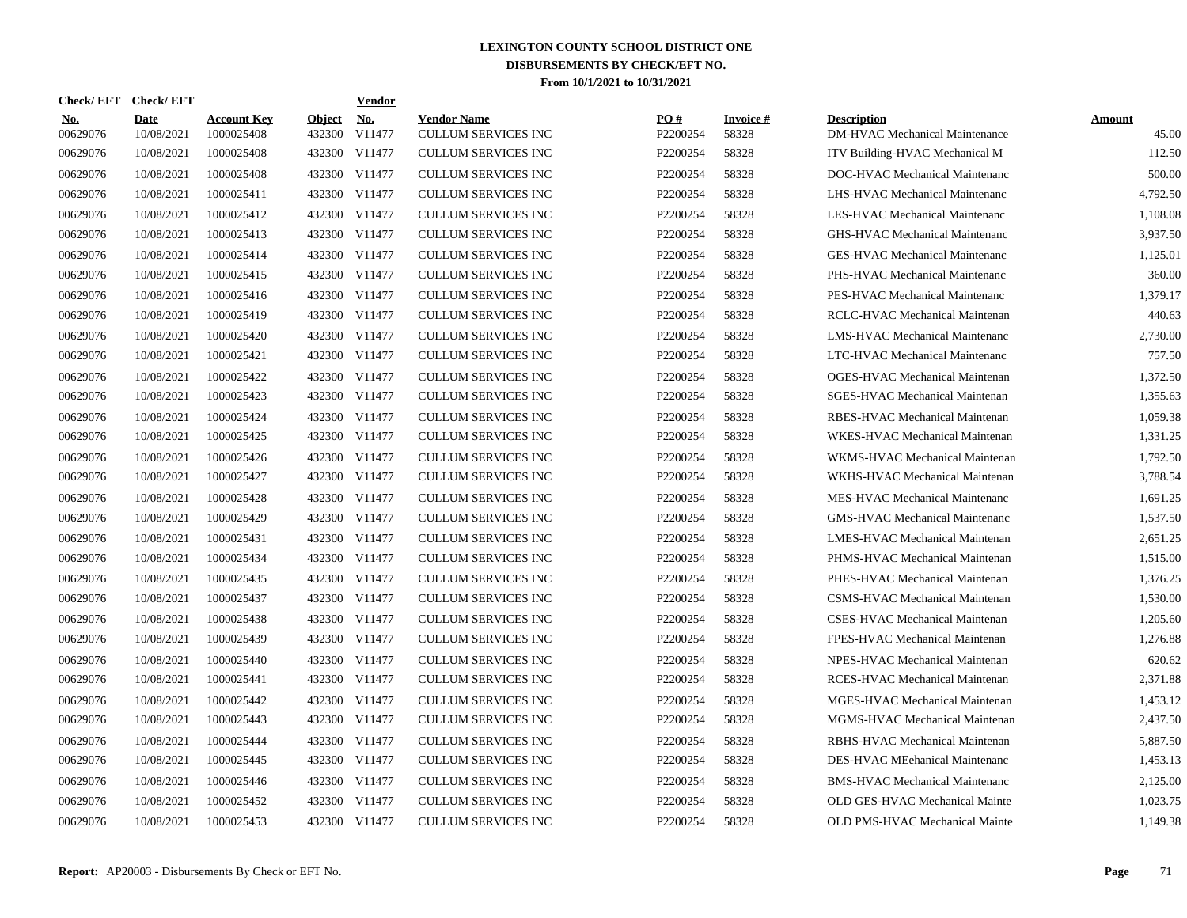| Check/EFT Check/EFT    |                           |                                  |                         | Vendor               |                                                  |                 |                    |                                                             |                 |
|------------------------|---------------------------|----------------------------------|-------------------------|----------------------|--------------------------------------------------|-----------------|--------------------|-------------------------------------------------------------|-----------------|
| <b>No.</b><br>00629076 | <b>Date</b><br>10/08/2021 | <b>Account Key</b><br>1000025408 | <b>Object</b><br>432300 | <b>No.</b><br>V11477 | <b>Vendor Name</b><br><b>CULLUM SERVICES INC</b> | PO#<br>P2200254 | Invoice #<br>58328 | <b>Description</b><br><b>DM-HVAC Mechanical Maintenance</b> | Amount<br>45.00 |
| 00629076               | 10/08/2021                | 1000025408                       | 432300                  | V11477               | <b>CULLUM SERVICES INC</b>                       | P2200254        | 58328              | ITV Building-HVAC Mechanical M                              | 112.50          |
| 00629076               | 10/08/2021                | 1000025408                       | 432300                  | V11477               | <b>CULLUM SERVICES INC</b>                       | P2200254        | 58328              | DOC-HVAC Mechanical Maintenanc                              | 500.00          |
| 00629076               | 10/08/2021                | 1000025411                       | 432300                  | V11477               | <b>CULLUM SERVICES INC</b>                       | P2200254        | 58328              | LHS-HVAC Mechanical Maintenanc                              | 4,792.50        |
| 00629076               | 10/08/2021                | 1000025412                       | 432300                  | V11477               | <b>CULLUM SERVICES INC</b>                       | P2200254        | 58328              | LES-HVAC Mechanical Maintenanc                              | 1.108.08        |
| 00629076               | 10/08/2021                | 1000025413                       | 432300                  | V11477               | <b>CULLUM SERVICES INC</b>                       | P2200254        | 58328              | <b>GHS-HVAC Mechanical Maintenanc</b>                       | 3,937.50        |
| 00629076               | 10/08/2021                | 1000025414                       | 432300                  | V11477               | <b>CULLUM SERVICES INC</b>                       | P2200254        | 58328              | <b>GES-HVAC Mechanical Maintenanc</b>                       | 1,125.01        |
| 00629076               | 10/08/2021                | 1000025415                       | 432300                  | V11477               | <b>CULLUM SERVICES INC</b>                       | P2200254        | 58328              | PHS-HVAC Mechanical Maintenanc                              | 360.00          |
| 00629076               | 10/08/2021                | 1000025416                       | 432300                  | V11477               | <b>CULLUM SERVICES INC</b>                       | P2200254        | 58328              | PES-HVAC Mechanical Maintenanc                              | 1.379.17        |
| 00629076               | 10/08/2021                | 1000025419                       | 432300                  | V11477               | <b>CULLUM SERVICES INC</b>                       | P2200254        | 58328              | RCLC-HVAC Mechanical Maintenan                              | 440.63          |
| 00629076               | 10/08/2021                | 1000025420                       | 432300                  | V11477               | <b>CULLUM SERVICES INC</b>                       | P2200254        | 58328              | LMS-HVAC Mechanical Maintenanc                              | 2,730.00        |
| 00629076               | 10/08/2021                | 1000025421                       | 432300                  | V11477               | <b>CULLUM SERVICES INC</b>                       | P2200254        | 58328              | LTC-HVAC Mechanical Maintenanc                              | 757.50          |
| 00629076               | 10/08/2021                | 1000025422                       | 432300                  | V11477               | <b>CULLUM SERVICES INC</b>                       | P2200254        | 58328              | OGES-HVAC Mechanical Maintenan                              | 1,372.50        |
| 00629076               | 10/08/2021                | 1000025423                       | 432300                  | V11477               | <b>CULLUM SERVICES INC</b>                       | P2200254        | 58328              | SGES-HVAC Mechanical Maintenan                              | 1,355.63        |
| 00629076               | 10/08/2021                | 1000025424                       | 432300                  | V11477               | <b>CULLUM SERVICES INC</b>                       | P2200254        | 58328              | RBES-HVAC Mechanical Maintenan                              | 1,059.38        |
| 00629076               | 10/08/2021                | 1000025425                       | 432300                  | V11477               | <b>CULLUM SERVICES INC</b>                       | P2200254        | 58328              | WKES-HVAC Mechanical Maintenan                              | 1,331.25        |
| 00629076               | 10/08/2021                | 1000025426                       |                         | 432300 V11477        | <b>CULLUM SERVICES INC</b>                       | P2200254        | 58328              | WKMS-HVAC Mechanical Maintenan                              | 1,792.50        |
| 00629076               | 10/08/2021                | 1000025427                       |                         | 432300 V11477        | <b>CULLUM SERVICES INC</b>                       | P2200254        | 58328              | WKHS-HVAC Mechanical Maintenan                              | 3,788.54        |
| 00629076               | 10/08/2021                | 1000025428                       |                         | 432300 V11477        | <b>CULLUM SERVICES INC</b>                       | P2200254        | 58328              | MES-HVAC Mechanical Maintenanc                              | 1,691.25        |
| 00629076               | 10/08/2021                | 1000025429                       |                         | 432300 V11477        | <b>CULLUM SERVICES INC</b>                       | P2200254        | 58328              | <b>GMS-HVAC Mechanical Maintenanc</b>                       | 1,537.50        |
| 00629076               | 10/08/2021                | 1000025431                       |                         | 432300 V11477        | <b>CULLUM SERVICES INC</b>                       | P2200254        | 58328              | LMES-HVAC Mechanical Maintenan                              | 2,651.25        |
| 00629076               | 10/08/2021                | 1000025434                       |                         | 432300 V11477        | CULLUM SERVICES INC                              | P2200254        | 58328              | PHMS-HVAC Mechanical Maintenan                              | 1,515.00        |
| 00629076               | 10/08/2021                | 1000025435                       |                         | 432300 V11477        | <b>CULLUM SERVICES INC</b>                       | P2200254        | 58328              | PHES-HVAC Mechanical Maintenan                              | 1,376.25        |
| 00629076               | 10/08/2021                | 1000025437                       |                         | 432300 V11477        | <b>CULLUM SERVICES INC</b>                       | P2200254        | 58328              | CSMS-HVAC Mechanical Maintenan                              | 1,530.00        |
| 00629076               | 10/08/2021                | 1000025438                       | 432300                  | V11477               | <b>CULLUM SERVICES INC</b>                       | P2200254        | 58328              | CSES-HVAC Mechanical Maintenan                              | 1.205.60        |
| 00629076               | 10/08/2021                | 1000025439                       | 432300                  | V11477               | <b>CULLUM SERVICES INC</b>                       | P2200254        | 58328              | FPES-HVAC Mechanical Maintenan                              | 1,276.88        |
| 00629076               | 10/08/2021                | 1000025440                       | 432300                  | V11477               | <b>CULLUM SERVICES INC</b>                       | P2200254        | 58328              | NPES-HVAC Mechanical Maintenan                              | 620.62          |
| 00629076               | 10/08/2021                | 1000025441                       |                         | 432300 V11477        | <b>CULLUM SERVICES INC</b>                       | P2200254        | 58328              | RCES-HVAC Mechanical Maintenan                              | 2,371.88        |
| 00629076               | 10/08/2021                | 1000025442                       | 432300                  | V11477               | <b>CULLUM SERVICES INC</b>                       | P2200254        | 58328              | MGES-HVAC Mechanical Maintenan                              | 1,453.12        |
| 00629076               | 10/08/2021                | 1000025443                       |                         | 432300 V11477        | <b>CULLUM SERVICES INC</b>                       | P2200254        | 58328              | MGMS-HVAC Mechanical Maintenan                              | 2,437.50        |
| 00629076               | 10/08/2021                | 1000025444                       | 432300                  | V11477               | <b>CULLUM SERVICES INC</b>                       | P2200254        | 58328              | RBHS-HVAC Mechanical Maintenan                              | 5,887.50        |
| 00629076               | 10/08/2021                | 1000025445                       | 432300                  | V11477               | <b>CULLUM SERVICES INC</b>                       | P2200254        | 58328              | DES-HVAC MEehanical Maintenanc                              | 1,453.13        |
| 00629076               | 10/08/2021                | 1000025446                       | 432300                  | V11477               | <b>CULLUM SERVICES INC</b>                       | P2200254        | 58328              | <b>BMS-HVAC Mechanical Maintenanc</b>                       | 2,125.00        |
| 00629076               | 10/08/2021                | 1000025452                       | 432300                  | V11477               | <b>CULLUM SERVICES INC</b>                       | P2200254        | 58328              | OLD GES-HVAC Mechanical Mainte                              | 1,023.75        |
| 00629076               | 10/08/2021                | 1000025453                       |                         | 432300 V11477        | <b>CULLUM SERVICES INC</b>                       | P2200254        | 58328              | OLD PMS-HVAC Mechanical Mainte                              | 1,149.38        |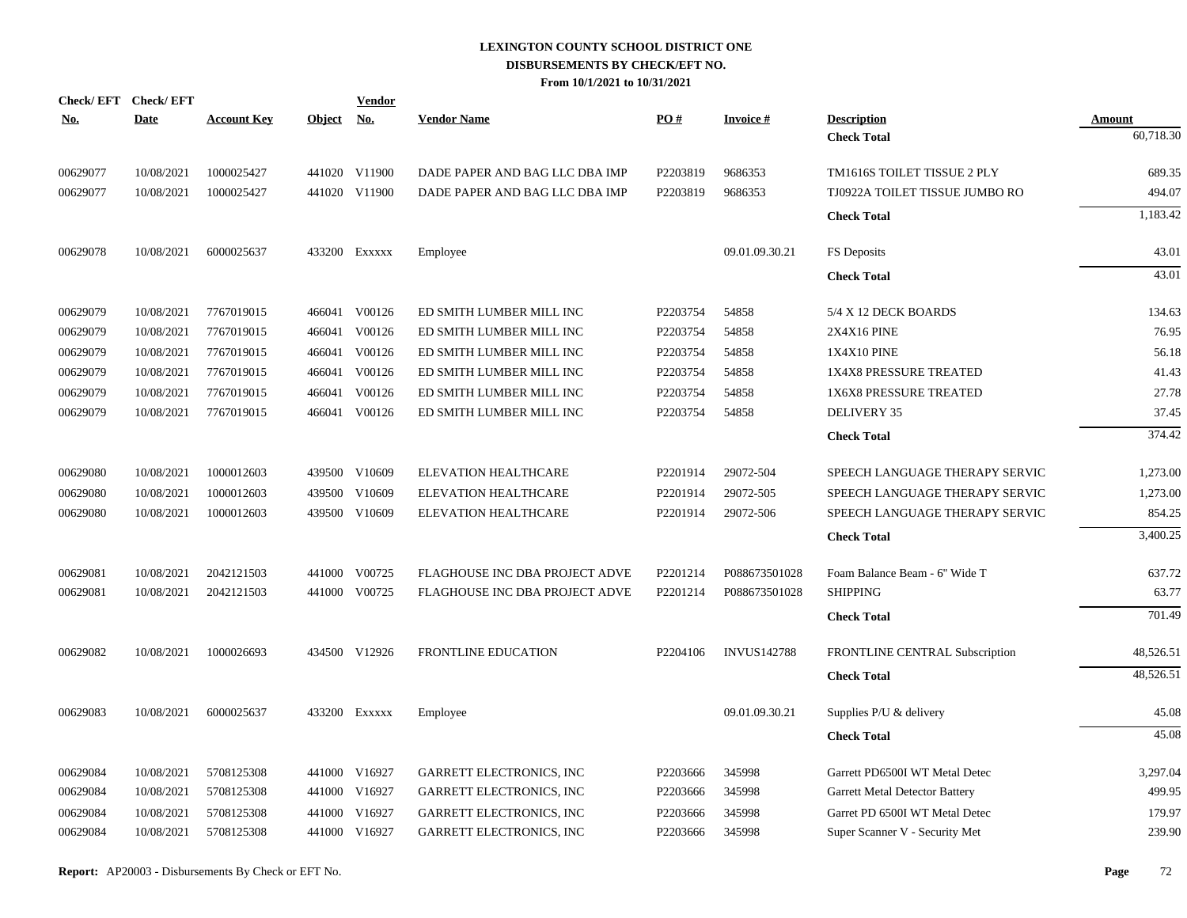| <u>No.</u> | Check/EFT Check/EFT<br><b>Date</b> | <b>Account Key</b> | Object No. | <b>Vendor</b> | <b>Vendor Name</b>              | PO#      | <b>Invoice#</b>    | <b>Description</b>             | <b>Amount</b> |
|------------|------------------------------------|--------------------|------------|---------------|---------------------------------|----------|--------------------|--------------------------------|---------------|
|            |                                    |                    |            |               |                                 |          |                    | <b>Check Total</b>             | 60,718.30     |
| 00629077   | 10/08/2021                         | 1000025427         |            | 441020 V11900 | DADE PAPER AND BAG LLC DBA IMP  | P2203819 | 9686353            | TM1616S TOILET TISSUE 2 PLY    | 689.35        |
| 00629077   | 10/08/2021                         | 1000025427         |            | 441020 V11900 | DADE PAPER AND BAG LLC DBA IMP  | P2203819 | 9686353            | TJ0922A TOILET TISSUE JUMBO RO | 494.07        |
|            |                                    |                    |            |               |                                 |          |                    | <b>Check Total</b>             | 1,183.42      |
| 00629078   | 10/08/2021                         | 6000025637         |            | 433200 Exxxxx | Employee                        |          | 09.01.09.30.21     | FS Deposits                    | 43.01         |
|            |                                    |                    |            |               |                                 |          |                    | <b>Check Total</b>             | 43.01         |
| 00629079   | 10/08/2021                         | 7767019015         |            | 466041 V00126 | ED SMITH LUMBER MILL INC        | P2203754 | 54858              | 5/4 X 12 DECK BOARDS           | 134.63        |
| 00629079   | 10/08/2021                         | 7767019015         |            | 466041 V00126 | ED SMITH LUMBER MILL INC        | P2203754 | 54858              | <b>2X4X16 PINE</b>             | 76.95         |
| 00629079   | 10/08/2021                         | 7767019015         |            | 466041 V00126 | ED SMITH LUMBER MILL INC        | P2203754 | 54858              | 1X4X10 PINE                    | 56.18         |
| 00629079   | 10/08/2021                         | 7767019015         |            | 466041 V00126 | ED SMITH LUMBER MILL INC        | P2203754 | 54858              | 1X4X8 PRESSURE TREATED         | 41.43         |
| 00629079   | 10/08/2021                         | 7767019015         |            | 466041 V00126 | ED SMITH LUMBER MILL INC        | P2203754 | 54858              | 1X6X8 PRESSURE TREATED         | 27.78         |
| 00629079   | 10/08/2021                         | 7767019015         |            | 466041 V00126 | ED SMITH LUMBER MILL INC        | P2203754 | 54858              | <b>DELIVERY 35</b>             | 37.45         |
|            |                                    |                    |            |               |                                 |          |                    | <b>Check Total</b>             | 374.42        |
| 00629080   | 10/08/2021                         | 1000012603         |            | 439500 V10609 | ELEVATION HEALTHCARE            | P2201914 | 29072-504          | SPEECH LANGUAGE THERAPY SERVIC | 1,273.00      |
| 00629080   | 10/08/2021                         | 1000012603         | 439500     | V10609        | <b>ELEVATION HEALTHCARE</b>     | P2201914 | 29072-505          | SPEECH LANGUAGE THERAPY SERVIC | 1,273.00      |
| 00629080   | 10/08/2021                         | 1000012603         |            | 439500 V10609 | <b>ELEVATION HEALTHCARE</b>     | P2201914 | 29072-506          | SPEECH LANGUAGE THERAPY SERVIC | 854.25        |
|            |                                    |                    |            |               |                                 |          |                    | <b>Check Total</b>             | 3,400.25      |
| 00629081   | 10/08/2021                         | 2042121503         | 441000     | V00725        | FLAGHOUSE INC DBA PROJECT ADVE  | P2201214 | P088673501028      | Foam Balance Beam - 6" Wide T  | 637.72        |
| 00629081   | 10/08/2021                         | 2042121503         |            | 441000 V00725 | FLAGHOUSE INC DBA PROJECT ADVE  | P2201214 | P088673501028      | <b>SHIPPING</b>                | 63.77         |
|            |                                    |                    |            |               |                                 |          |                    | <b>Check Total</b>             | 701.49        |
| 00629082   | 10/08/2021                         | 1000026693         |            | 434500 V12926 | FRONTLINE EDUCATION             | P2204106 | <b>INVUS142788</b> | FRONTLINE CENTRAL Subscription | 48,526.51     |
|            |                                    |                    |            |               |                                 |          |                    | <b>Check Total</b>             | 48,526.51     |
| 00629083   | 10/08/2021                         | 6000025637         |            | 433200 Exxxxx | Employee                        |          | 09.01.09.30.21     | Supplies P/U & delivery        | 45.08         |
|            |                                    |                    |            |               |                                 |          |                    | <b>Check Total</b>             | 45.08         |
| 00629084   | 10/08/2021                         | 5708125308         |            | 441000 V16927 | <b>GARRETT ELECTRONICS, INC</b> | P2203666 | 345998             | Garrett PD6500I WT Metal Detec | 3,297.04      |
| 00629084   | 10/08/2021                         | 5708125308         |            | 441000 V16927 | GARRETT ELECTRONICS, INC        | P2203666 | 345998             | Garrett Metal Detector Battery | 499.95        |
| 00629084   | 10/08/2021                         | 5708125308         | 441000     | V16927        | <b>GARRETT ELECTRONICS, INC</b> | P2203666 | 345998             | Garret PD 6500I WT Metal Detec | 179.97        |
| 00629084   | 10/08/2021                         | 5708125308         |            | 441000 V16927 | GARRETT ELECTRONICS, INC        | P2203666 | 345998             | Super Scanner V - Security Met | 239.90        |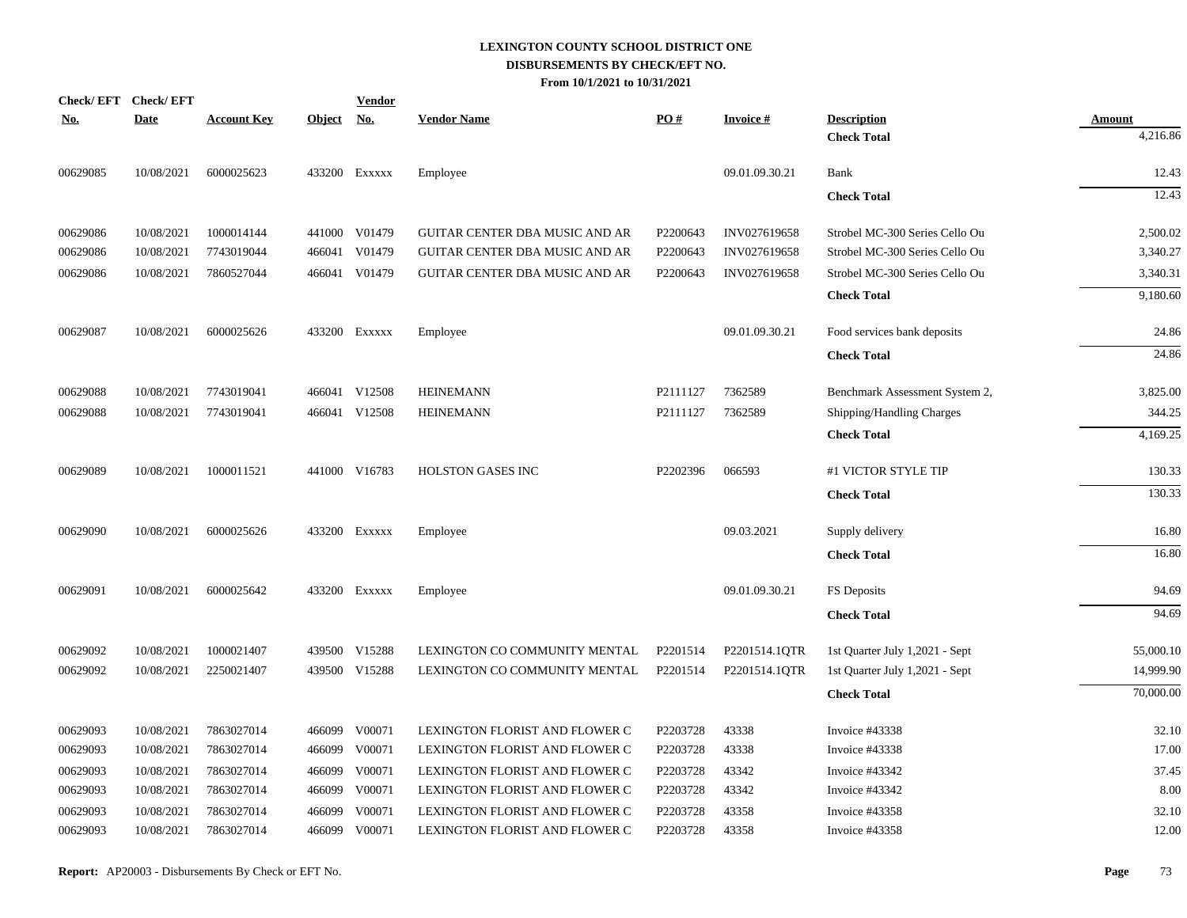| <b>Check/EFT</b> | <b>Check/EFT</b> |                    |               | <b>Vendor</b> |                                |          |                 |                                |               |
|------------------|------------------|--------------------|---------------|---------------|--------------------------------|----------|-----------------|--------------------------------|---------------|
| <u>No.</u>       | <b>Date</b>      | <b>Account Key</b> | <b>Object</b> | <u>No.</u>    | <b>Vendor Name</b>             | PO#      | <b>Invoice#</b> | <b>Description</b>             | <b>Amount</b> |
|                  |                  |                    |               |               |                                |          |                 | <b>Check Total</b>             | 4,216.86      |
| 00629085         | 10/08/2021       | 6000025623         |               | 433200 Exxxxx | Employee                       |          | 09.01.09.30.21  | Bank                           | 12.43         |
|                  |                  |                    |               |               |                                |          |                 | <b>Check Total</b>             | 12.43         |
| 00629086         | 10/08/2021       | 1000014144         |               | 441000 V01479 | GUITAR CENTER DBA MUSIC AND AR | P2200643 | INV027619658    | Strobel MC-300 Series Cello Ou | 2,500.02      |
| 00629086         | 10/08/2021       | 7743019044         | 466041        | V01479        | GUITAR CENTER DBA MUSIC AND AR | P2200643 | INV027619658    | Strobel MC-300 Series Cello Ou | 3,340.27      |
| 00629086         | 10/08/2021       | 7860527044         |               | 466041 V01479 | GUITAR CENTER DBA MUSIC AND AR | P2200643 | INV027619658    | Strobel MC-300 Series Cello Ou | 3,340.31      |
|                  |                  |                    |               |               |                                |          |                 | <b>Check Total</b>             | 9,180.60      |
| 00629087         | 10/08/2021       | 6000025626         |               | 433200 Exxxxx | Employee                       |          | 09.01.09.30.21  | Food services bank deposits    | 24.86         |
|                  |                  |                    |               |               |                                |          |                 | <b>Check Total</b>             | 24.86         |
| 00629088         | 10/08/2021       | 7743019041         |               | 466041 V12508 | <b>HEINEMANN</b>               | P2111127 | 7362589         | Benchmark Assessment System 2, | 3,825.00      |
| 00629088         | 10/08/2021       | 7743019041         |               | 466041 V12508 | <b>HEINEMANN</b>               | P2111127 | 7362589         | Shipping/Handling Charges      | 344.25        |
|                  |                  |                    |               |               |                                |          |                 | <b>Check Total</b>             | 4,169.25      |
| 00629089         | 10/08/2021       | 1000011521         |               | 441000 V16783 | <b>HOLSTON GASES INC</b>       | P2202396 | 066593          | #1 VICTOR STYLE TIP            | 130.33        |
|                  |                  |                    |               |               |                                |          |                 | <b>Check Total</b>             | 130.33        |
| 00629090         | 10/08/2021       | 6000025626         |               | 433200 Exxxxx | Employee                       |          | 09.03.2021      | Supply delivery                | 16.80         |
|                  |                  |                    |               |               |                                |          |                 | <b>Check Total</b>             | 16.80         |
| 00629091         | 10/08/2021       | 6000025642         |               | 433200 Exxxxx | Employee                       |          | 09.01.09.30.21  | FS Deposits                    | 94.69         |
|                  |                  |                    |               |               |                                |          |                 | <b>Check Total</b>             | 94.69         |
| 00629092         | 10/08/2021       | 1000021407         |               | 439500 V15288 | LEXINGTON CO COMMUNITY MENTAL  | P2201514 | P2201514.1QTR   | 1st Quarter July 1,2021 - Sept | 55,000.10     |
| 00629092         | 10/08/2021       | 2250021407         |               | 439500 V15288 | LEXINGTON CO COMMUNITY MENTAL  | P2201514 | P2201514.1QTR   | 1st Quarter July 1,2021 - Sept | 14,999.90     |
|                  |                  |                    |               |               |                                |          |                 | <b>Check Total</b>             | 70,000.00     |
| 00629093         | 10/08/2021       | 7863027014         |               | 466099 V00071 | LEXINGTON FLORIST AND FLOWER C | P2203728 | 43338           | Invoice #43338                 | 32.10         |
| 00629093         | 10/08/2021       | 7863027014         |               | 466099 V00071 | LEXINGTON FLORIST AND FLOWER C | P2203728 | 43338           | Invoice #43338                 | 17.00         |
| 00629093         | 10/08/2021       | 7863027014         | 466099        | V00071        | LEXINGTON FLORIST AND FLOWER C | P2203728 | 43342           | Invoice #43342                 | 37.45         |
| 00629093         | 10/08/2021       | 7863027014         | 466099        | V00071        | LEXINGTON FLORIST AND FLOWER C | P2203728 | 43342           | Invoice #43342                 | 8.00          |
| 00629093         | 10/08/2021       | 7863027014         | 466099        | V00071        | LEXINGTON FLORIST AND FLOWER C | P2203728 | 43358           | Invoice #43358                 | 32.10         |
| 00629093         | 10/08/2021       | 7863027014         |               | 466099 V00071 | LEXINGTON FLORIST AND FLOWER C | P2203728 | 43358           | Invoice #43358                 | 12.00         |
|                  |                  |                    |               |               |                                |          |                 |                                |               |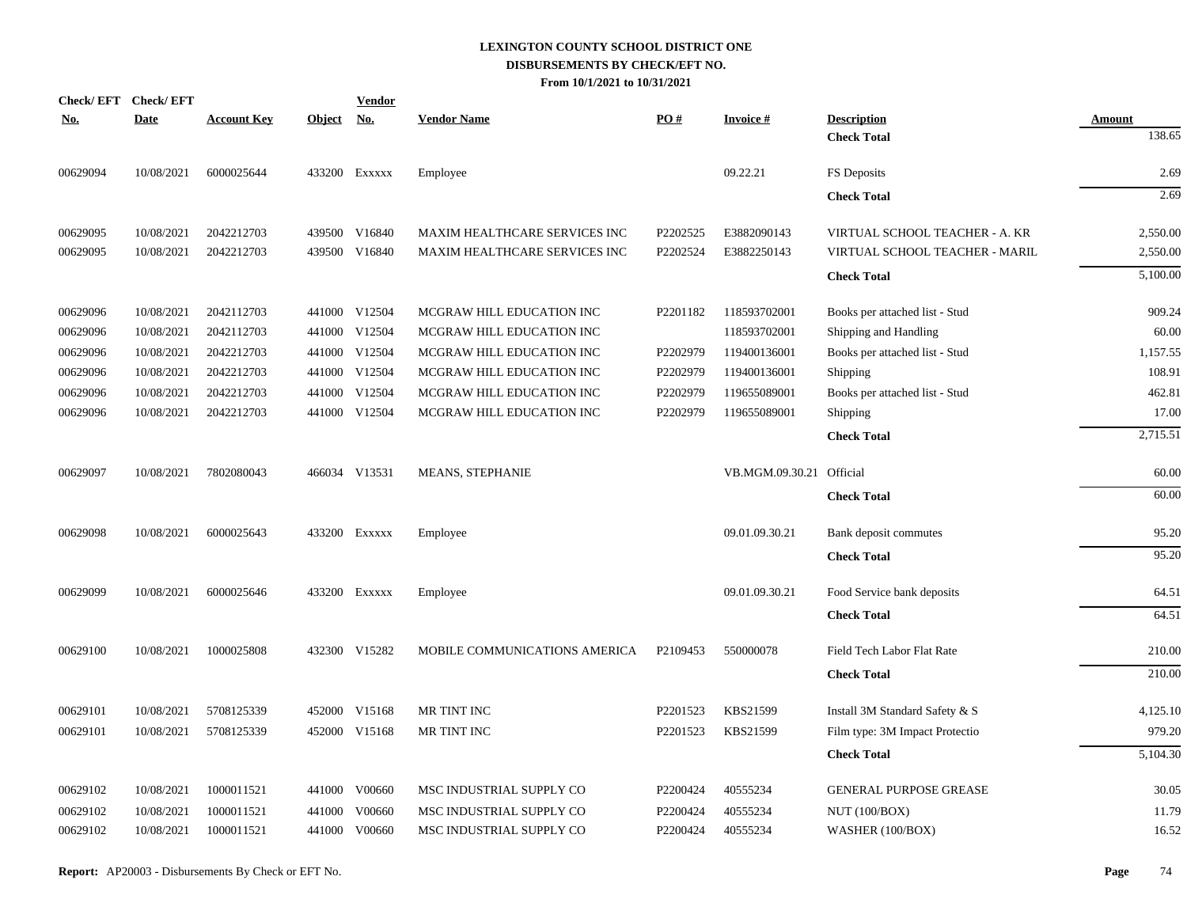| Check/EFT Check/EFT<br>No. | <b>Date</b> | <b>Account Key</b> | Object No. | <b>Vendor</b> | <b>Vendor Name</b>            | PO#      | <b>Invoice#</b>          | <b>Description</b>             | <b>Amount</b> |
|----------------------------|-------------|--------------------|------------|---------------|-------------------------------|----------|--------------------------|--------------------------------|---------------|
|                            |             |                    |            |               |                               |          |                          | <b>Check Total</b>             | 138.65        |
| 00629094                   | 10/08/2021  | 6000025644         |            | 433200 Exxxxx | Employee                      |          | 09.22.21                 | FS Deposits                    | 2.69          |
|                            |             |                    |            |               |                               |          |                          | <b>Check Total</b>             | 2.69          |
| 00629095                   | 10/08/2021  | 2042212703         |            | 439500 V16840 | MAXIM HEALTHCARE SERVICES INC | P2202525 | E3882090143              | VIRTUAL SCHOOL TEACHER - A. KR | 2,550.00      |
| 00629095                   | 10/08/2021  | 2042212703         |            | 439500 V16840 | MAXIM HEALTHCARE SERVICES INC | P2202524 | E3882250143              | VIRTUAL SCHOOL TEACHER - MARIL | 2,550.00      |
|                            |             |                    |            |               |                               |          |                          | <b>Check Total</b>             | 5,100.00      |
| 00629096                   | 10/08/2021  | 2042112703         |            | 441000 V12504 | MCGRAW HILL EDUCATION INC     | P2201182 | 118593702001             | Books per attached list - Stud | 909.24        |
| 00629096                   | 10/08/2021  | 2042112703         |            | 441000 V12504 | MCGRAW HILL EDUCATION INC     |          | 118593702001             | Shipping and Handling          | 60.00         |
| 00629096                   | 10/08/2021  | 2042212703         |            | 441000 V12504 | MCGRAW HILL EDUCATION INC     | P2202979 | 119400136001             | Books per attached list - Stud | 1,157.55      |
| 00629096                   | 10/08/2021  | 2042212703         |            | 441000 V12504 | MCGRAW HILL EDUCATION INC     | P2202979 | 119400136001             | <b>Shipping</b>                | 108.91        |
| 00629096                   | 10/08/2021  | 2042212703         |            | 441000 V12504 | MCGRAW HILL EDUCATION INC     | P2202979 | 119655089001             | Books per attached list - Stud | 462.81        |
| 00629096                   | 10/08/2021  | 2042212703         |            | 441000 V12504 | MCGRAW HILL EDUCATION INC     | P2202979 | 119655089001             | <b>Shipping</b>                | 17.00         |
|                            |             |                    |            |               |                               |          |                          | <b>Check Total</b>             | 2,715.51      |
| 00629097                   | 10/08/2021  | 7802080043         |            | 466034 V13531 | MEANS, STEPHANIE              |          | VB.MGM.09.30.21 Official |                                | 60.00         |
|                            |             |                    |            |               |                               |          |                          | <b>Check Total</b>             | 60.00         |
| 00629098                   | 10/08/2021  | 6000025643         |            | 433200 Exxxxx | Employee                      |          | 09.01.09.30.21           | Bank deposit commutes          | 95.20         |
|                            |             |                    |            |               |                               |          |                          | <b>Check Total</b>             | 95.20         |
| 00629099                   | 10/08/2021  | 6000025646         |            | 433200 Exxxxx | Employee                      |          | 09.01.09.30.21           | Food Service bank deposits     | 64.51         |
|                            |             |                    |            |               |                               |          |                          | <b>Check Total</b>             | 64.51         |
| 00629100                   | 10/08/2021  | 1000025808         |            | 432300 V15282 | MOBILE COMMUNICATIONS AMERICA | P2109453 | 550000078                | Field Tech Labor Flat Rate     | 210.00        |
|                            |             |                    |            |               |                               |          |                          | <b>Check Total</b>             | 210.00        |
| 00629101                   | 10/08/2021  | 5708125339         |            | 452000 V15168 | MR TINT INC                   | P2201523 | KBS21599                 | Install 3M Standard Safety & S | 4,125.10      |
| 00629101                   | 10/08/2021  | 5708125339         |            | 452000 V15168 | MR TINT INC                   | P2201523 | KBS21599                 | Film type: 3M Impact Protectio | 979.20        |
|                            |             |                    |            |               |                               |          |                          | <b>Check Total</b>             | 5,104.30      |
| 00629102                   | 10/08/2021  | 1000011521         |            | 441000 V00660 | MSC INDUSTRIAL SUPPLY CO      | P2200424 | 40555234                 | <b>GENERAL PURPOSE GREASE</b>  | 30.05         |
| 00629102                   | 10/08/2021  | 1000011521         | 441000     | V00660        | MSC INDUSTRIAL SUPPLY CO      | P2200424 | 40555234                 | <b>NUT (100/BOX)</b>           | 11.79         |
| 00629102                   | 10/08/2021  | 1000011521         |            | 441000 V00660 | MSC INDUSTRIAL SUPPLY CO      | P2200424 | 40555234                 | WASHER (100/BOX)               | 16.52         |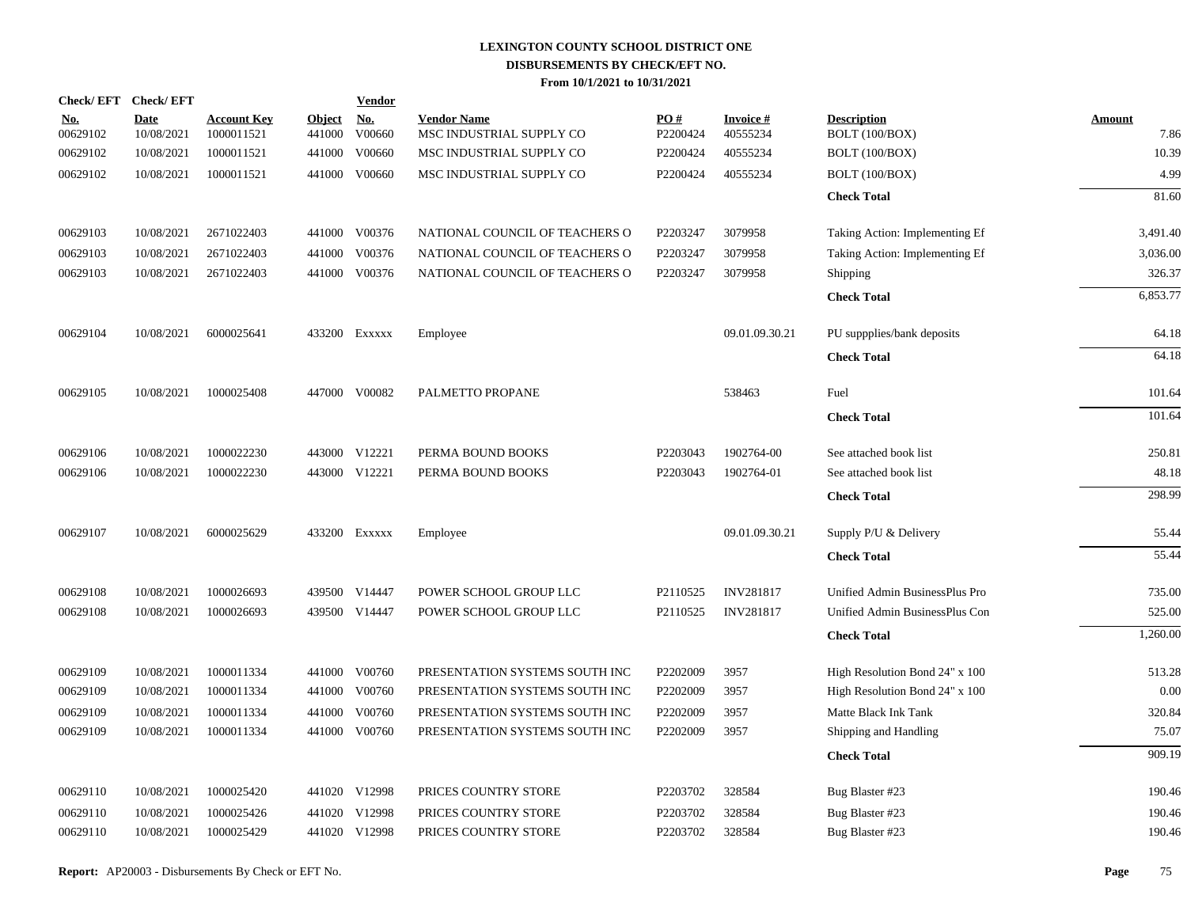|                        | Check/EFT Check/EFT       |                                  |                         | <b>Vendor</b>        |                                                |                 |                             |                                      |                       |
|------------------------|---------------------------|----------------------------------|-------------------------|----------------------|------------------------------------------------|-----------------|-----------------------------|--------------------------------------|-----------------------|
| <u>No.</u><br>00629102 | <b>Date</b><br>10/08/2021 | <b>Account Key</b><br>1000011521 | <b>Object</b><br>441000 | <u>No.</u><br>V00660 | <b>Vendor Name</b><br>MSC INDUSTRIAL SUPPLY CO | PO#<br>P2200424 | <b>Invoice#</b><br>40555234 | <b>Description</b><br>BOLT (100/BOX) | <b>Amount</b><br>7.86 |
| 00629102               | 10/08/2021                | 1000011521                       | 441000                  | V00660               | MSC INDUSTRIAL SUPPLY CO                       | P2200424        | 40555234                    | BOLT (100/BOX)                       | 10.39                 |
| 00629102               | 10/08/2021                | 1000011521                       |                         | 441000 V00660        | MSC INDUSTRIAL SUPPLY CO                       | P2200424        | 40555234                    | BOLT (100/BOX)                       | 4.99                  |
|                        |                           |                                  |                         |                      |                                                |                 |                             | <b>Check Total</b>                   | 81.60                 |
| 00629103               | 10/08/2021                | 2671022403                       |                         | 441000 V00376        | NATIONAL COUNCIL OF TEACHERS O                 | P2203247        | 3079958                     | Taking Action: Implementing Ef       | 3,491.40              |
| 00629103               | 10/08/2021                | 2671022403                       | 441000                  | V00376               | NATIONAL COUNCIL OF TEACHERS O                 | P2203247        | 3079958                     | Taking Action: Implementing Ef       | 3,036.00              |
| 00629103               | 10/08/2021                | 2671022403                       |                         | 441000 V00376        | NATIONAL COUNCIL OF TEACHERS O                 | P2203247        | 3079958                     | Shipping                             | 326.37                |
|                        |                           |                                  |                         |                      |                                                |                 |                             | <b>Check Total</b>                   | 6,853.77              |
| 00629104               | 10/08/2021                | 6000025641                       |                         | 433200 Exxxxx        | Employee                                       |                 | 09.01.09.30.21              | PU suppplies/bank deposits           | 64.18                 |
|                        |                           |                                  |                         |                      |                                                |                 |                             | <b>Check Total</b>                   | 64.18                 |
| 00629105               | 10/08/2021                | 1000025408                       |                         | 447000 V00082        | PALMETTO PROPANE                               |                 | 538463                      | Fuel                                 | 101.64                |
|                        |                           |                                  |                         |                      |                                                |                 |                             | <b>Check Total</b>                   | 101.64                |
| 00629106               | 10/08/2021                | 1000022230                       |                         | 443000 V12221        | PERMA BOUND BOOKS                              | P2203043        | 1902764-00                  | See attached book list               | 250.81                |
| 00629106               | 10/08/2021                | 1000022230                       |                         | 443000 V12221        | PERMA BOUND BOOKS                              | P2203043        | 1902764-01                  | See attached book list               | 48.18                 |
|                        |                           |                                  |                         |                      |                                                |                 |                             | <b>Check Total</b>                   | 298.99                |
| 00629107               | 10/08/2021                | 6000025629                       |                         | 433200 EXXXXX        | Employee                                       |                 | 09.01.09.30.21              | Supply P/U & Delivery                | 55.44                 |
|                        |                           |                                  |                         |                      |                                                |                 |                             | <b>Check Total</b>                   | 55.44                 |
| 00629108               | 10/08/2021                | 1000026693                       |                         | 439500 V14447        | POWER SCHOOL GROUP LLC                         | P2110525        | <b>INV281817</b>            | Unified Admin BusinessPlus Pro       | 735.00                |
| 00629108               | 10/08/2021                | 1000026693                       |                         | 439500 V14447        | POWER SCHOOL GROUP LLC                         | P2110525        | <b>INV281817</b>            | Unified Admin BusinessPlus Con       | 525.00                |
|                        |                           |                                  |                         |                      |                                                |                 |                             | <b>Check Total</b>                   | 1,260.00              |
| 00629109               | 10/08/2021                | 1000011334                       |                         | 441000 V00760        | PRESENTATION SYSTEMS SOUTH INC                 | P2202009        | 3957                        | High Resolution Bond 24" x 100       | 513.28                |
| 00629109               | 10/08/2021                | 1000011334                       |                         | 441000 V00760        | PRESENTATION SYSTEMS SOUTH INC                 | P2202009        | 3957                        | High Resolution Bond 24" x 100       | 0.00                  |
| 00629109               | 10/08/2021                | 1000011334                       | 441000                  | V00760               | PRESENTATION SYSTEMS SOUTH INC                 | P2202009        | 3957                        | Matte Black Ink Tank                 | 320.84                |
| 00629109               | 10/08/2021                | 1000011334                       |                         | 441000 V00760        | PRESENTATION SYSTEMS SOUTH INC                 | P2202009        | 3957                        | Shipping and Handling                | 75.07                 |
|                        |                           |                                  |                         |                      |                                                |                 |                             | <b>Check Total</b>                   | 909.19                |
| 00629110               | 10/08/2021                | 1000025420                       |                         | 441020 V12998        | PRICES COUNTRY STORE                           | P2203702        | 328584                      | Bug Blaster #23                      | 190.46                |
| 00629110               | 10/08/2021                | 1000025426                       | 441020                  | V12998               | PRICES COUNTRY STORE                           | P2203702        | 328584                      | Bug Blaster #23                      | 190.46                |
| 00629110               | 10/08/2021                | 1000025429                       |                         | 441020 V12998        | PRICES COUNTRY STORE                           | P2203702        | 328584                      | Bug Blaster #23                      | 190.46                |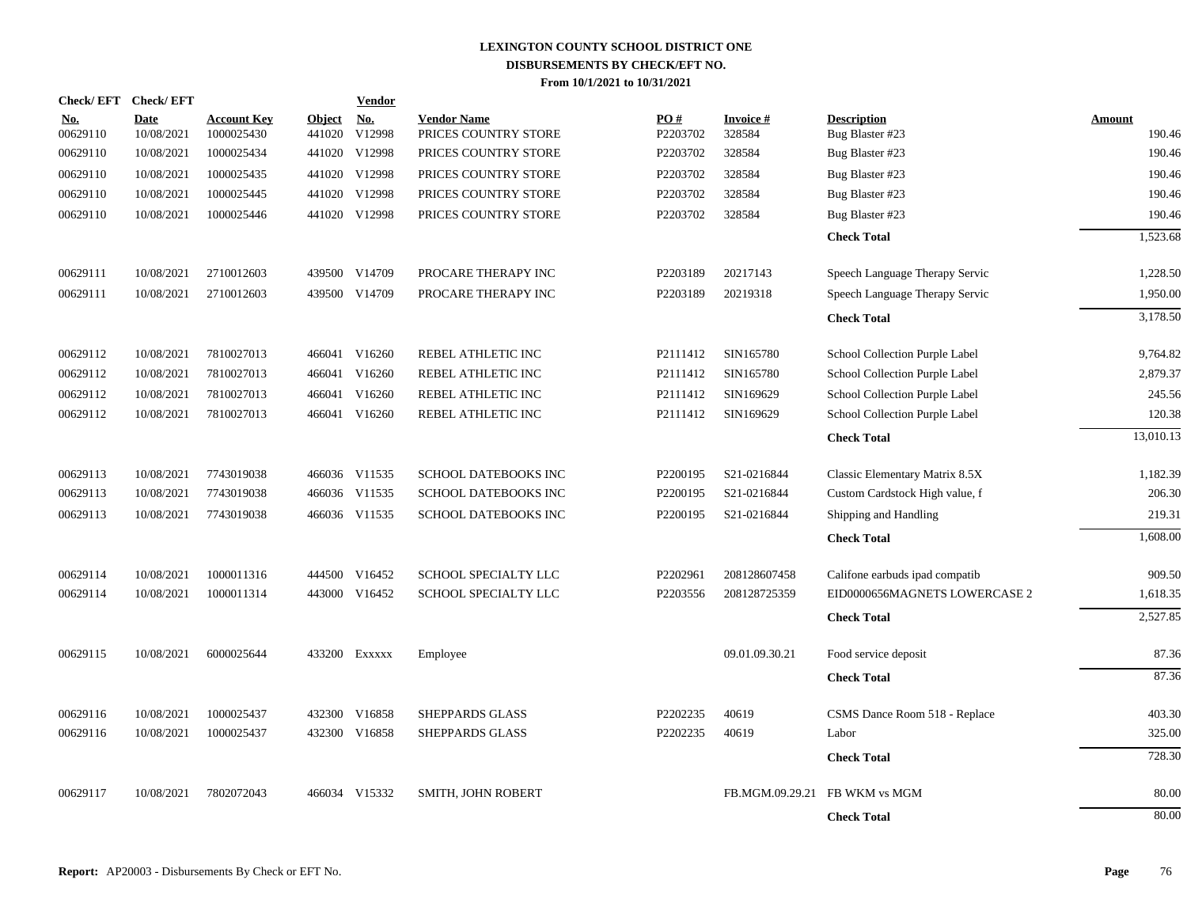|                        | Check/EFT Check/EFT       |                                  |                         | <b>Vendor</b>        |                                            |                 |                           |                                       |                         |
|------------------------|---------------------------|----------------------------------|-------------------------|----------------------|--------------------------------------------|-----------------|---------------------------|---------------------------------------|-------------------------|
| <u>No.</u><br>00629110 | <b>Date</b><br>10/08/2021 | <b>Account Key</b><br>1000025430 | <b>Object</b><br>441020 | <u>No.</u><br>V12998 | <b>Vendor Name</b><br>PRICES COUNTRY STORE | PO#<br>P2203702 | <b>Invoice#</b><br>328584 | <b>Description</b><br>Bug Blaster #23 | <b>Amount</b><br>190.46 |
| 00629110               | 10/08/2021                | 1000025434                       | 441020                  | V12998               | PRICES COUNTRY STORE                       | P2203702        | 328584                    | Bug Blaster #23                       | 190.46                  |
| 00629110               | 10/08/2021                | 1000025435                       | 441020                  | V12998               | PRICES COUNTRY STORE                       | P2203702        | 328584                    | Bug Blaster #23                       | 190.46                  |
| 00629110               | 10/08/2021                | 1000025445                       | 441020                  | V12998               | PRICES COUNTRY STORE                       | P2203702        | 328584                    | Bug Blaster #23                       | 190.46                  |
| 00629110               | 10/08/2021                | 1000025446                       |                         | 441020 V12998        | PRICES COUNTRY STORE                       | P2203702        | 328584                    | Bug Blaster #23                       | 190.46                  |
|                        |                           |                                  |                         |                      |                                            |                 |                           | <b>Check Total</b>                    | 1,523.68                |
| 00629111               | 10/08/2021                | 2710012603                       | 439500                  | V14709               | PROCARE THERAPY INC                        | P2203189        | 20217143                  | Speech Language Therapy Servic        | 1,228.50                |
| 00629111               | 10/08/2021                | 2710012603                       |                         | 439500 V14709        | PROCARE THERAPY INC                        | P2203189        | 20219318                  | Speech Language Therapy Servic        | 1,950.00                |
|                        |                           |                                  |                         |                      |                                            |                 |                           | <b>Check Total</b>                    | 3,178.50                |
| 00629112               | 10/08/2021                | 7810027013                       |                         | 466041 V16260        | REBEL ATHLETIC INC                         | P2111412        | SIN165780                 | School Collection Purple Label        | 9,764.82                |
| 00629112               | 10/08/2021                | 7810027013                       |                         | 466041 V16260        | REBEL ATHLETIC INC                         | P2111412        | SIN165780                 | School Collection Purple Label        | 2,879.37                |
| 00629112               | 10/08/2021                | 7810027013                       | 466041                  | V16260               | REBEL ATHLETIC INC                         | P2111412        | SIN169629                 | School Collection Purple Label        | 245.56                  |
| 00629112               | 10/08/2021                | 7810027013                       |                         | 466041 V16260        | REBEL ATHLETIC INC                         | P2111412        | SIN169629                 | School Collection Purple Label        | 120.38                  |
|                        |                           |                                  |                         |                      |                                            |                 |                           | <b>Check Total</b>                    | 13,010.13               |
| 00629113               | 10/08/2021                | 7743019038                       |                         | 466036 V11535        | SCHOOL DATEBOOKS INC                       | P2200195        | S21-0216844               | Classic Elementary Matrix 8.5X        | 1,182.39                |
| 00629113               | 10/08/2021                | 7743019038                       |                         | 466036 V11535        | SCHOOL DATEBOOKS INC                       | P2200195        | S21-0216844               | Custom Cardstock High value, f        | 206.30                  |
| 00629113               | 10/08/2021                | 7743019038                       |                         | 466036 V11535        | SCHOOL DATEBOOKS INC                       | P2200195        | S21-0216844               | Shipping and Handling                 | 219.31                  |
|                        |                           |                                  |                         |                      |                                            |                 |                           | <b>Check Total</b>                    | 1,608.00                |
| 00629114               | 10/08/2021                | 1000011316                       |                         | 444500 V16452        | SCHOOL SPECIALTY LLC                       | P2202961        | 208128607458              | Califone earbuds ipad compatib        | 909.50                  |
| 00629114               | 10/08/2021                | 1000011314                       |                         | 443000 V16452        | SCHOOL SPECIALTY LLC                       | P2203556        | 208128725359              | EID0000656MAGNETS LOWERCASE 2         | 1,618.35                |
|                        |                           |                                  |                         |                      |                                            |                 |                           | <b>Check Total</b>                    | 2,527.85                |
| 00629115               | 10/08/2021                | 6000025644                       |                         | 433200 EXXXXX        | Employee                                   |                 | 09.01.09.30.21            | Food service deposit                  | 87.36                   |
|                        |                           |                                  |                         |                      |                                            |                 |                           | <b>Check Total</b>                    | 87.36                   |
| 00629116               | 10/08/2021                | 1000025437                       | 432300                  | V16858               | <b>SHEPPARDS GLASS</b>                     | P2202235        | 40619                     | CSMS Dance Room 518 - Replace         | 403.30                  |
| 00629116               | 10/08/2021                | 1000025437                       |                         | 432300 V16858        | <b>SHEPPARDS GLASS</b>                     | P2202235        | 40619                     | Labor                                 | 325.00                  |
|                        |                           |                                  |                         |                      |                                            |                 |                           | <b>Check Total</b>                    | 728.30                  |
| 00629117               | 10/08/2021                | 7802072043                       |                         | 466034 V15332        | SMITH, JOHN ROBERT                         |                 | FB.MGM.09.29.21           | FB WKM vs MGM                         | 80.00                   |
|                        |                           |                                  |                         |                      |                                            |                 |                           | <b>Check Total</b>                    | 80.00                   |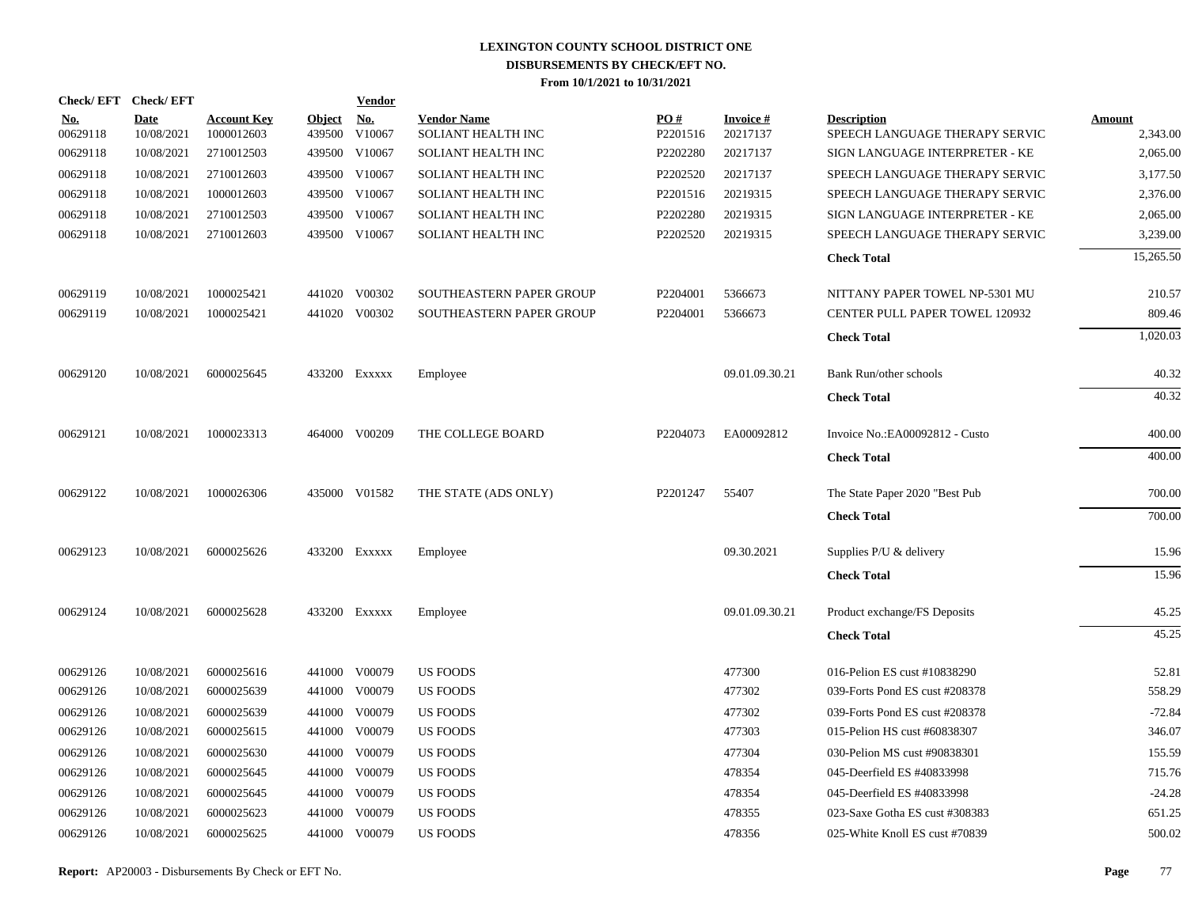|                        | Check/EFT Check/EFT       |                                  |                      | <b>Vendor</b> |                                          |                 |                              |                                                      |                           |
|------------------------|---------------------------|----------------------------------|----------------------|---------------|------------------------------------------|-----------------|------------------------------|------------------------------------------------------|---------------------------|
| <b>No.</b><br>00629118 | <b>Date</b><br>10/08/2021 | <b>Account Key</b><br>1000012603 | Object No.<br>439500 | V10067        | <b>Vendor Name</b><br>SOLIANT HEALTH INC | PO#<br>P2201516 | <b>Invoice #</b><br>20217137 | <b>Description</b><br>SPEECH LANGUAGE THERAPY SERVIC | <b>Amount</b><br>2,343.00 |
| 00629118               | 10/08/2021                | 2710012503                       |                      | 439500 V10067 | SOLIANT HEALTH INC                       | P2202280        | 20217137                     | SIGN LANGUAGE INTERPRETER - KE                       | 2,065.00                  |
| 00629118               | 10/08/2021                | 2710012603                       |                      | 439500 V10067 | SOLIANT HEALTH INC                       | P2202520        | 20217137                     | SPEECH LANGUAGE THERAPY SERVIC                       | 3,177.50                  |
| 00629118               | 10/08/2021                | 1000012603                       |                      | 439500 V10067 | SOLIANT HEALTH INC                       | P2201516        | 20219315                     | SPEECH LANGUAGE THERAPY SERVIC                       | 2,376.00                  |
| 00629118               | 10/08/2021                | 2710012503                       |                      | 439500 V10067 | SOLIANT HEALTH INC                       | P2202280        | 20219315                     | SIGN LANGUAGE INTERPRETER - KE                       | 2,065.00                  |
| 00629118               | 10/08/2021                | 2710012603                       |                      | 439500 V10067 | SOLIANT HEALTH INC                       | P2202520        | 20219315                     | SPEECH LANGUAGE THERAPY SERVIC                       | 3,239.00                  |
|                        |                           |                                  |                      |               |                                          |                 |                              | <b>Check Total</b>                                   | 15,265.50                 |
| 00629119               | 10/08/2021                | 1000025421                       |                      | 441020 V00302 | SOUTHEASTERN PAPER GROUP                 | P2204001        | 5366673                      | NITTANY PAPER TOWEL NP-5301 MU                       | 210.57                    |
| 00629119               | 10/08/2021                | 1000025421                       |                      | 441020 V00302 | SOUTHEASTERN PAPER GROUP                 | P2204001        | 5366673                      | <b>CENTER PULL PAPER TOWEL 120932</b>                | 809.46                    |
|                        |                           |                                  |                      |               |                                          |                 |                              | <b>Check Total</b>                                   | 1,020.03                  |
| 00629120               | 10/08/2021                | 6000025645                       |                      | 433200 Exxxxx | Employee                                 |                 | 09.01.09.30.21               | Bank Run/other schools                               | 40.32                     |
|                        |                           |                                  |                      |               |                                          |                 |                              | <b>Check Total</b>                                   | 40.32                     |
| 00629121               | 10/08/2021                | 1000023313                       |                      | 464000 V00209 | THE COLLEGE BOARD                        | P2204073        | EA00092812                   | Invoice No.: EA00092812 - Custo                      | 400.00                    |
|                        |                           |                                  |                      |               |                                          |                 |                              | <b>Check Total</b>                                   | 400.00                    |
| 00629122               | 10/08/2021                | 1000026306                       |                      | 435000 V01582 | THE STATE (ADS ONLY)                     | P2201247        | 55407                        | The State Paper 2020 "Best Pub                       | 700.00                    |
|                        |                           |                                  |                      |               |                                          |                 |                              | <b>Check Total</b>                                   | 700.00                    |
| 00629123               | 10/08/2021                | 6000025626                       |                      | 433200 Exxxxx | Employee                                 |                 | 09.30.2021                   | Supplies P/U & delivery                              | 15.96                     |
|                        |                           |                                  |                      |               |                                          |                 |                              | <b>Check Total</b>                                   | 15.96                     |
| 00629124               | 10/08/2021                | 6000025628                       |                      | 433200 Exxxxx | Employee                                 |                 | 09.01.09.30.21               | Product exchange/FS Deposits                         | 45.25                     |
|                        |                           |                                  |                      |               |                                          |                 |                              | <b>Check Total</b>                                   | 45.25                     |
| 00629126               | 10/08/2021                | 6000025616                       |                      | 441000 V00079 | US FOODS                                 |                 | 477300                       | 016-Pelion ES cust #10838290                         | 52.81                     |
| 00629126               | 10/08/2021                | 6000025639                       |                      | 441000 V00079 | <b>US FOODS</b>                          |                 | 477302                       | 039-Forts Pond ES cust #208378                       | 558.29                    |
| 00629126               | 10/08/2021                | 6000025639                       | 441000               | V00079        | <b>US FOODS</b>                          |                 | 477302                       | 039-Forts Pond ES cust #208378                       | $-72.84$                  |
| 00629126               | 10/08/2021                | 6000025615                       |                      | 441000 V00079 | <b>US FOODS</b>                          |                 | 477303                       | 015-Pelion HS cust #60838307                         | 346.07                    |
| 00629126               | 10/08/2021                | 6000025630                       | 441000               | V00079        | <b>US FOODS</b>                          |                 | 477304                       | 030-Pelion MS cust #90838301                         | 155.59                    |
| 00629126               | 10/08/2021                | 6000025645                       |                      | 441000 V00079 | US FOODS                                 |                 | 478354                       | 045-Deerfield ES #40833998                           | 715.76                    |
| 00629126               | 10/08/2021                | 6000025645                       | 441000               | V00079        | US FOODS                                 |                 | 478354                       | 045-Deerfield ES #40833998                           | $-24.28$                  |
| 00629126               | 10/08/2021                | 6000025623                       |                      | 441000 V00079 | <b>US FOODS</b>                          |                 | 478355                       | 023-Saxe Gotha ES cust #308383                       | 651.25                    |
| 00629126               | 10/08/2021                | 6000025625                       |                      | 441000 V00079 | <b>US FOODS</b>                          |                 | 478356                       | 025-White Knoll ES cust #70839                       | 500.02                    |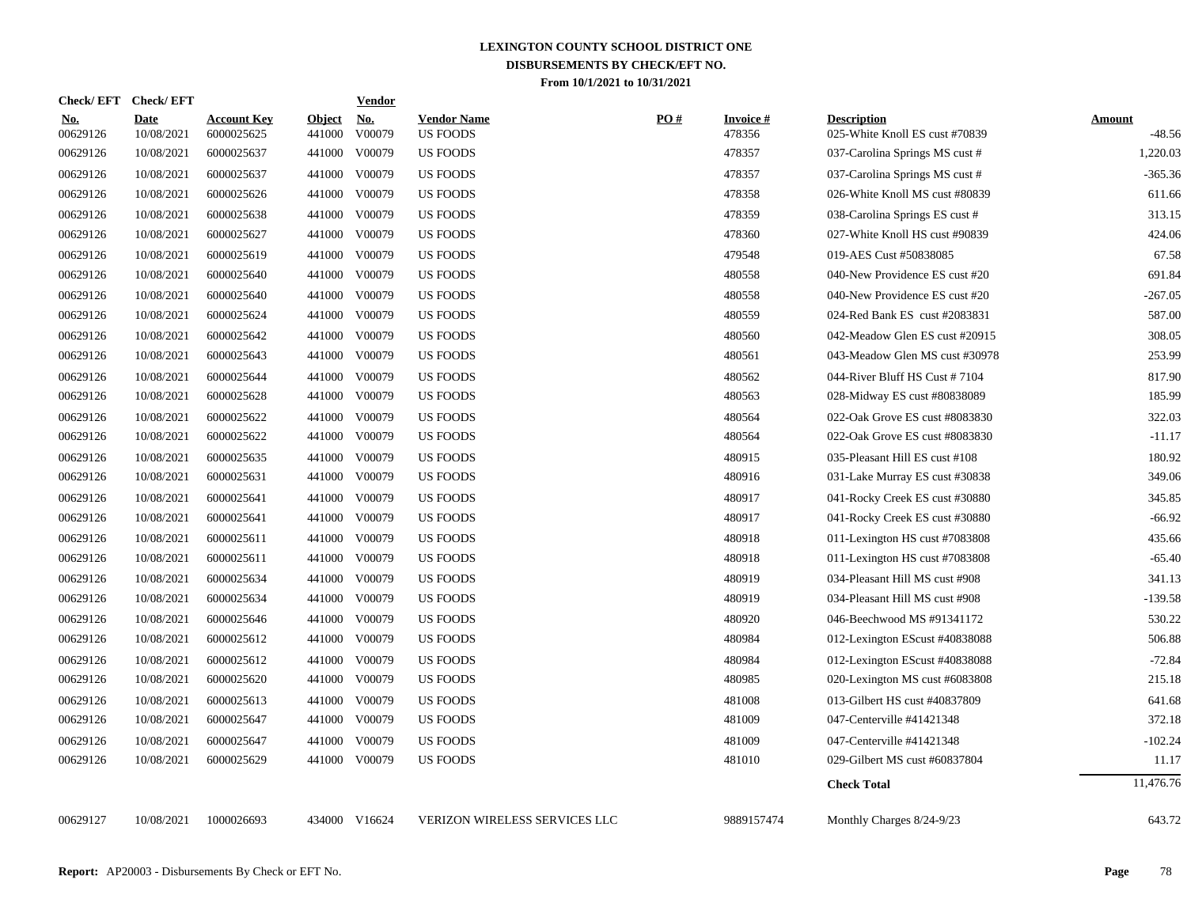| <b>Check/EFT</b>       | <b>Check/EFT</b>          |                                  |                         | <b>Vendor</b>        |                                       |     |                           |                                                      |                           |
|------------------------|---------------------------|----------------------------------|-------------------------|----------------------|---------------------------------------|-----|---------------------------|------------------------------------------------------|---------------------------|
| <u>No.</u><br>00629126 | <b>Date</b><br>10/08/2021 | <b>Account Key</b><br>6000025625 | <b>Object</b><br>441000 | <b>No.</b><br>V00079 | <b>Vendor Name</b><br><b>US FOODS</b> | PO# | <b>Invoice#</b><br>478356 | <b>Description</b><br>025-White Knoll ES cust #70839 | <b>Amount</b><br>$-48.56$ |
| 00629126               | 10/08/2021                | 6000025637                       | 441000                  | V00079               | <b>US FOODS</b>                       |     | 478357                    | 037-Carolina Springs MS cust #                       | 1,220.03                  |
| 00629126               | 10/08/2021                | 6000025637                       | 441000                  | V00079               | US FOODS                              |     | 478357                    | 037-Carolina Springs MS cust #                       | $-365.36$                 |
| 00629126               | 10/08/2021                | 6000025626                       | 441000                  | V00079               | US FOODS                              |     | 478358                    | 026-White Knoll MS cust #80839                       | 611.66                    |
| 00629126               | 10/08/2021                | 6000025638                       | 441000                  | V00079               | US FOODS                              |     | 478359                    | 038-Carolina Springs ES cust #                       | 313.15                    |
| 00629126               | 10/08/2021                | 6000025627                       | 441000                  | V00079               | <b>US FOODS</b>                       |     | 478360                    | 027-White Knoll HS cust #90839                       | 424.06                    |
| 00629126               | 10/08/2021                | 6000025619                       | 441000                  | V00079               | US FOODS                              |     | 479548                    | 019-AES Cust #50838085                               | 67.58                     |
| 00629126               | 10/08/2021                | 6000025640                       | 441000                  | V00079               | US FOODS                              |     | 480558                    | 040-New Providence ES cust #20                       | 691.84                    |
| 00629126               | 10/08/2021                | 6000025640                       | 441000                  | V00079               | <b>US FOODS</b>                       |     | 480558                    | 040-New Providence ES cust #20                       | $-267.05$                 |
| 00629126               | 10/08/2021                | 6000025624                       | 441000                  | V00079               | <b>US FOODS</b>                       |     | 480559                    | 024-Red Bank ES cust #2083831                        | 587.00                    |
| 00629126               | 10/08/2021                | 6000025642                       | 441000                  | V00079               | US FOODS                              |     | 480560                    | 042-Meadow Glen ES cust #20915                       | 308.05                    |
| 00629126               | 10/08/2021                | 6000025643                       |                         | 441000 V00079        | <b>US FOODS</b>                       |     | 480561                    | 043-Meadow Glen MS cust #30978                       | 253.99                    |
| 00629126               | 10/08/2021                | 6000025644                       |                         | 441000 V00079        | <b>US FOODS</b>                       |     | 480562                    | 044-River Bluff HS Cust #7104                        | 817.90                    |
| 00629126               | 10/08/2021                | 6000025628                       |                         | 441000 V00079        | <b>US FOODS</b>                       |     | 480563                    | 028-Midway ES cust #80838089                         | 185.99                    |
| 00629126               | 10/08/2021                | 6000025622                       |                         | 441000 V00079        | <b>US FOODS</b>                       |     | 480564                    | 022-Oak Grove ES cust #8083830                       | 322.03                    |
| 00629126               | 10/08/2021                | 6000025622                       |                         | 441000 V00079        | <b>US FOODS</b>                       |     | 480564                    | 022-Oak Grove ES cust #8083830                       | $-11.17$                  |
| 00629126               | 10/08/2021                | 6000025635                       | 441000                  | V00079               | <b>US FOODS</b>                       |     | 480915                    | 035-Pleasant Hill ES cust #108                       | 180.92                    |
| 00629126               | 10/08/2021                | 6000025631                       | 441000                  | V00079               | US FOODS                              |     | 480916                    | 031-Lake Murray ES cust #30838                       | 349.06                    |
| 00629126               | 10/08/2021                | 6000025641                       | 441000                  | V00079               | <b>US FOODS</b>                       |     | 480917                    | 041-Rocky Creek ES cust #30880                       | 345.85                    |
| 00629126               | 10/08/2021                | 6000025641                       | 441000                  | V00079               | <b>US FOODS</b>                       |     | 480917                    | 041-Rocky Creek ES cust #30880                       | $-66.92$                  |
| 00629126               | 10/08/2021                | 6000025611                       | 441000                  | V00079               | <b>US FOODS</b>                       |     | 480918                    | 011-Lexington HS cust #7083808                       | 435.66                    |
| 00629126               | 10/08/2021                | 6000025611                       | 441000                  | V00079               | <b>US FOODS</b>                       |     | 480918                    | 011-Lexington HS cust #7083808                       | $-65.40$                  |
| 00629126               | 10/08/2021                | 6000025634                       | 441000                  | V00079               | <b>US FOODS</b>                       |     | 480919                    | 034-Pleasant Hill MS cust #908                       | 341.13                    |
| 00629126               | 10/08/2021                | 6000025634                       | 441000                  | V00079               | <b>US FOODS</b>                       |     | 480919                    | 034-Pleasant Hill MS cust #908                       | $-139.58$                 |
| 00629126               | 10/08/2021                | 6000025646                       | 441000                  | V00079               | US FOODS                              |     | 480920                    | 046-Beechwood MS #91341172                           | 530.22                    |
| 00629126               | 10/08/2021                | 6000025612                       | 441000                  | V00079               | US FOODS                              |     | 480984                    | 012-Lexington EScust #40838088                       | 506.88                    |
| 00629126               | 10/08/2021                | 6000025612                       | 441000                  | V00079               | <b>US FOODS</b>                       |     | 480984                    | 012-Lexington EScust #40838088                       | $-72.84$                  |
| 00629126               | 10/08/2021                | 6000025620                       | 441000                  | V00079               | <b>US FOODS</b>                       |     | 480985                    | 020-Lexington MS cust #6083808                       | 215.18                    |
| 00629126               | 10/08/2021                | 6000025613                       | 441000                  | V00079               | US FOODS                              |     | 481008                    | 013-Gilbert HS cust #40837809                        | 641.68                    |
| 00629126               | 10/08/2021                | 6000025647                       | 441000                  | V00079               | US FOODS                              |     | 481009                    | 047-Centerville #41421348                            | 372.18                    |
| 00629126               | 10/08/2021                | 6000025647                       | 441000                  | V00079               | <b>US FOODS</b>                       |     | 481009                    | 047-Centerville #41421348                            | $-102.24$                 |
| 00629126               | 10/08/2021                | 6000025629                       |                         | 441000 V00079        | <b>US FOODS</b>                       |     | 481010                    | 029-Gilbert MS cust #60837804                        | 11.17                     |
|                        |                           |                                  |                         |                      |                                       |     |                           | <b>Check Total</b>                                   | 11,476.76                 |
| 00629127               | 10/08/2021                | 1000026693                       |                         | 434000 V16624        | VERIZON WIRELESS SERVICES LLC         |     | 9889157474                | Monthly Charges 8/24-9/23                            | 643.72                    |
|                        |                           |                                  |                         |                      |                                       |     |                           |                                                      |                           |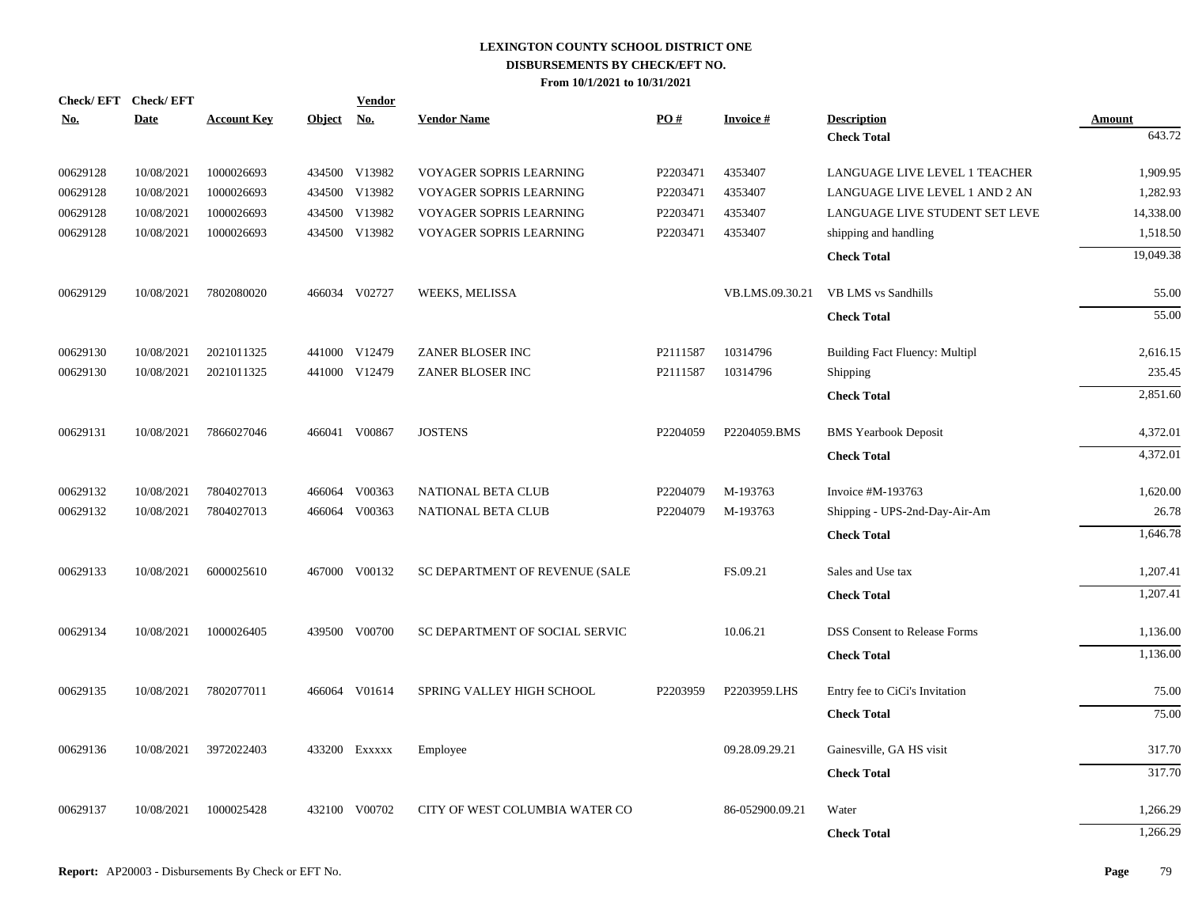|            | Check/EFT Check/EFT |                    |               | <b>Vendor</b> |                                |          |                 |                                       |               |
|------------|---------------------|--------------------|---------------|---------------|--------------------------------|----------|-----------------|---------------------------------------|---------------|
| <u>No.</u> | Date                | <b>Account Key</b> | <b>Object</b> | <b>No.</b>    | <b>Vendor Name</b>             | PO#      | <b>Invoice#</b> | <b>Description</b>                    | <b>Amount</b> |
|            |                     |                    |               |               |                                |          |                 | <b>Check Total</b>                    | 643.72        |
| 00629128   | 10/08/2021          | 1000026693         |               | 434500 V13982 | VOYAGER SOPRIS LEARNING        | P2203471 | 4353407         | LANGUAGE LIVE LEVEL 1 TEACHER         | 1,909.95      |
| 00629128   | 10/08/2021          | 1000026693         |               | 434500 V13982 | VOYAGER SOPRIS LEARNING        | P2203471 | 4353407         | LANGUAGE LIVE LEVEL 1 AND 2 AN        | 1,282.93      |
| 00629128   | 10/08/2021          | 1000026693         |               | 434500 V13982 | VOYAGER SOPRIS LEARNING        | P2203471 | 4353407         | LANGUAGE LIVE STUDENT SET LEVE        | 14,338.00     |
| 00629128   | 10/08/2021          | 1000026693         |               | 434500 V13982 | VOYAGER SOPRIS LEARNING        | P2203471 | 4353407         | shipping and handling                 | 1,518.50      |
|            |                     |                    |               |               |                                |          |                 | <b>Check Total</b>                    | 19,049.38     |
| 00629129   | 10/08/2021          | 7802080020         |               | 466034 V02727 | <b>WEEKS, MELISSA</b>          |          | VB.LMS.09.30.21 | VB LMS vs Sandhills                   | 55.00         |
|            |                     |                    |               |               |                                |          |                 | <b>Check Total</b>                    | 55.00         |
| 00629130   | 10/08/2021          | 2021011325         |               | 441000 V12479 | ZANER BLOSER INC               | P2111587 | 10314796        | <b>Building Fact Fluency: Multipl</b> | 2,616.15      |
| 00629130   | 10/08/2021          | 2021011325         |               | 441000 V12479 | ZANER BLOSER INC               | P2111587 | 10314796        | Shipping                              | 235.45        |
|            |                     |                    |               |               |                                |          |                 | <b>Check Total</b>                    | 2,851.60      |
| 00629131   | 10/08/2021          | 7866027046         |               | 466041 V00867 | <b>JOSTENS</b>                 | P2204059 | P2204059.BMS    | <b>BMS</b> Yearbook Deposit           | 4,372.01      |
|            |                     |                    |               |               |                                |          |                 | <b>Check Total</b>                    | 4,372.01      |
| 00629132   | 10/08/2021          | 7804027013         | 466064        | V00363        | <b>NATIONAL BETA CLUB</b>      | P2204079 | M-193763        | Invoice #M-193763                     | 1,620.00      |
| 00629132   | 10/08/2021          | 7804027013         | 466064        | V00363        | <b>NATIONAL BETA CLUB</b>      | P2204079 | M-193763        | Shipping - UPS-2nd-Day-Air-Am         | 26.78         |
|            |                     |                    |               |               |                                |          |                 | <b>Check Total</b>                    | 1,646.78      |
| 00629133   | 10/08/2021          | 6000025610         |               | 467000 V00132 | SC DEPARTMENT OF REVENUE (SALE |          | FS.09.21        | Sales and Use tax                     | 1,207.41      |
|            |                     |                    |               |               |                                |          |                 | <b>Check Total</b>                    | 1,207.41      |
| 00629134   | 10/08/2021          | 1000026405         |               | 439500 V00700 | SC DEPARTMENT OF SOCIAL SERVIC |          | 10.06.21        | <b>DSS Consent to Release Forms</b>   | 1,136.00      |
|            |                     |                    |               |               |                                |          |                 | <b>Check Total</b>                    | 1,136.00      |
| 00629135   | 10/08/2021          | 7802077011         |               | 466064 V01614 | SPRING VALLEY HIGH SCHOOL      | P2203959 | P2203959.LHS    | Entry fee to CiCi's Invitation        | 75.00         |
|            |                     |                    |               |               |                                |          |                 | <b>Check Total</b>                    | 75.00         |
| 00629136   | 10/08/2021          | 3972022403         |               | 433200 Exxxxx | Employee                       |          | 09.28.09.29.21  | Gainesville, GA HS visit              | 317.70        |
|            |                     |                    |               |               |                                |          |                 | <b>Check Total</b>                    | 317.70        |
| 00629137   | 10/08/2021          | 1000025428         | 432100        | V00702        | CITY OF WEST COLUMBIA WATER CO |          | 86-052900.09.21 | Water                                 | 1,266.29      |
|            |                     |                    |               |               |                                |          |                 | <b>Check Total</b>                    | 1,266.29      |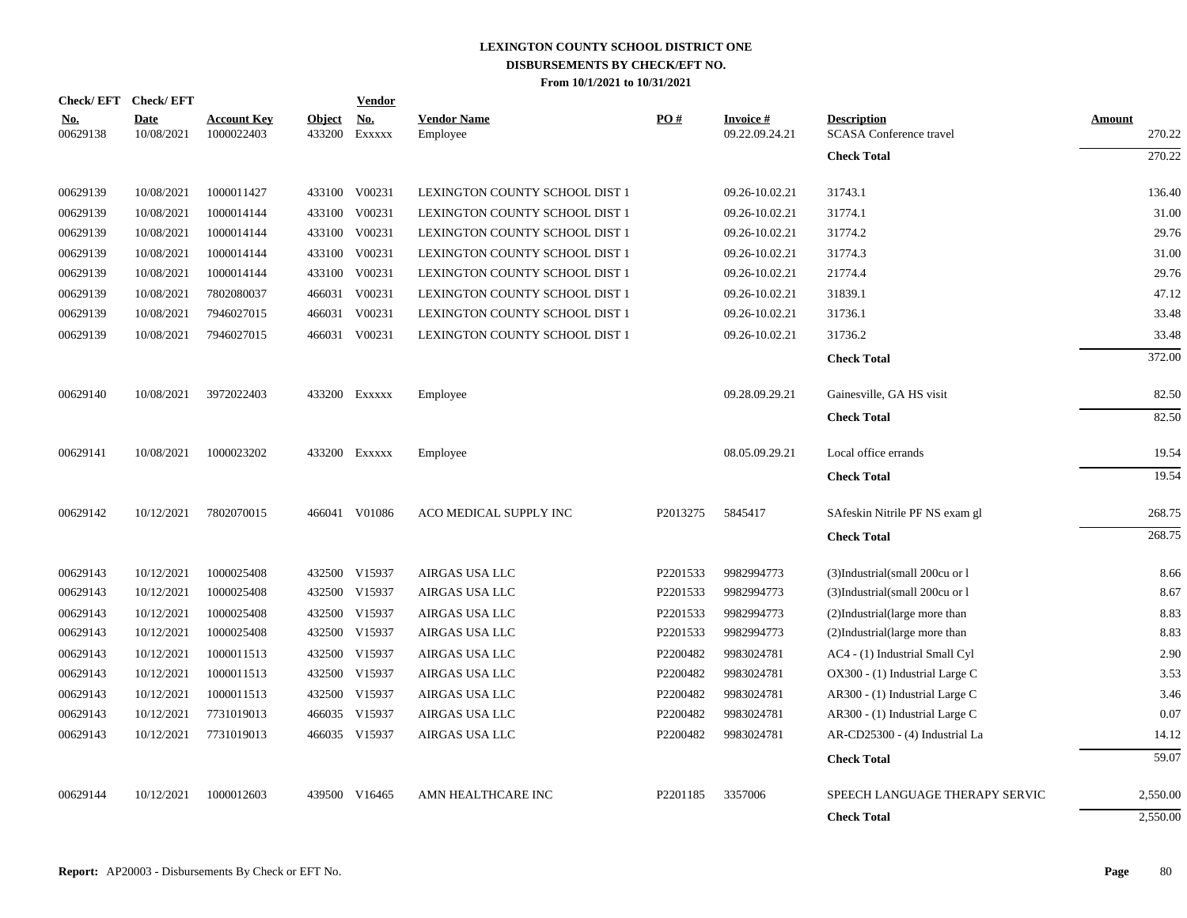|                        | Check/EFT Check/EFT       |                                  |                         | <b>Vendor</b>                       |                                |          |                                   |                                                      |                         |
|------------------------|---------------------------|----------------------------------|-------------------------|-------------------------------------|--------------------------------|----------|-----------------------------------|------------------------------------------------------|-------------------------|
| <u>No.</u><br>00629138 | <b>Date</b><br>10/08/2021 | <b>Account Key</b><br>1000022403 | <b>Object</b><br>433200 | $\underline{\textbf{No}}$<br>EXXXXX | <b>Vendor Name</b><br>Employee | PO#      | <b>Invoice#</b><br>09.22.09.24.21 | <b>Description</b><br><b>SCASA</b> Conference travel | <b>Amount</b><br>270.22 |
|                        |                           |                                  |                         |                                     |                                |          |                                   | <b>Check Total</b>                                   | 270.22                  |
| 00629139               | 10/08/2021                | 1000011427                       |                         | 433100 V00231                       | LEXINGTON COUNTY SCHOOL DIST 1 |          | 09.26-10.02.21                    | 31743.1                                              | 136.40                  |
| 00629139               | 10/08/2021                | 1000014144                       |                         | 433100 V00231                       | LEXINGTON COUNTY SCHOOL DIST 1 |          | 09.26-10.02.21                    | 31774.1                                              | 31.00                   |
| 00629139               | 10/08/2021                | 1000014144                       |                         | 433100 V00231                       | LEXINGTON COUNTY SCHOOL DIST 1 |          | 09.26-10.02.21                    | 31774.2                                              | 29.76                   |
| 00629139               | 10/08/2021                | 1000014144                       |                         | 433100 V00231                       | LEXINGTON COUNTY SCHOOL DIST 1 |          | 09.26-10.02.21                    | 31774.3                                              | 31.00                   |
| 00629139               | 10/08/2021                | 1000014144                       | 433100                  | V00231                              | LEXINGTON COUNTY SCHOOL DIST 1 |          | 09.26-10.02.21                    | 21774.4                                              | 29.76                   |
| 00629139               | 10/08/2021                | 7802080037                       |                         | 466031 V00231                       | LEXINGTON COUNTY SCHOOL DIST 1 |          | 09.26-10.02.21                    | 31839.1                                              | 47.12                   |
| 00629139               | 10/08/2021                | 7946027015                       | 466031                  | V00231                              | LEXINGTON COUNTY SCHOOL DIST 1 |          | 09.26-10.02.21                    | 31736.1                                              | 33.48                   |
| 00629139               | 10/08/2021                | 7946027015                       |                         | 466031 V00231                       | LEXINGTON COUNTY SCHOOL DIST 1 |          | 09.26-10.02.21                    | 31736.2                                              | 33.48                   |
|                        |                           |                                  |                         |                                     |                                |          |                                   | <b>Check Total</b>                                   | 372.00                  |
| 00629140               | 10/08/2021                | 3972022403                       |                         | 433200 EXXXXX                       | Employee                       |          | 09.28.09.29.21                    | Gainesville, GA HS visit                             | 82.50                   |
|                        |                           |                                  |                         |                                     |                                |          |                                   | <b>Check Total</b>                                   | 82.50                   |
| 00629141               | 10/08/2021                | 1000023202                       |                         | 433200 Exxxxx                       | Employee                       |          | 08.05.09.29.21                    | Local office errands                                 | 19.54                   |
|                        |                           |                                  |                         |                                     |                                |          |                                   | <b>Check Total</b>                                   | 19.54                   |
| 00629142               | 10/12/2021                | 7802070015                       |                         | 466041 V01086                       | ACO MEDICAL SUPPLY INC         | P2013275 | 5845417                           | SAfeskin Nitrile PF NS exam gl                       | 268.75                  |
|                        |                           |                                  |                         |                                     |                                |          |                                   | <b>Check Total</b>                                   | 268.75                  |
| 00629143               | 10/12/2021                | 1000025408                       |                         | 432500 V15937                       | AIRGAS USA LLC                 | P2201533 | 9982994773                        | (3)Industrial(small 200cu or l                       | 8.66                    |
| 00629143               | 10/12/2021                | 1000025408                       |                         | 432500 V15937                       | AIRGAS USA LLC                 | P2201533 | 9982994773                        | (3)Industrial(small 200cu or 1)                      | 8.67                    |
| 00629143               | 10/12/2021                | 1000025408                       |                         | 432500 V15937                       | AIRGAS USA LLC                 | P2201533 | 9982994773                        | (2)Industrial(large more than                        | 8.83                    |
| 00629143               | 10/12/2021                | 1000025408                       |                         | 432500 V15937                       | AIRGAS USA LLC                 | P2201533 | 9982994773                        | (2)Industrial(large more than                        | 8.83                    |
| 00629143               | 10/12/2021                | 1000011513                       |                         | 432500 V15937                       | AIRGAS USA LLC                 | P2200482 | 9983024781                        | AC4 - (1) Industrial Small Cyl                       | 2.90                    |
| 00629143               | 10/12/2021                | 1000011513                       |                         | 432500 V15937                       | AIRGAS USA LLC                 | P2200482 | 9983024781                        | OX300 - (1) Industrial Large C                       | 3.53                    |
| 00629143               | 10/12/2021                | 1000011513                       |                         | 432500 V15937                       | AIRGAS USA LLC                 | P2200482 | 9983024781                        | AR300 - (1) Industrial Large C                       | 3.46                    |
| 00629143               | 10/12/2021                | 7731019013                       |                         | 466035 V15937                       | AIRGAS USA LLC                 | P2200482 | 9983024781                        | AR300 - (1) Industrial Large C                       | 0.07                    |
| 00629143               | 10/12/2021                | 7731019013                       |                         | 466035 V15937                       | AIRGAS USA LLC                 | P2200482 | 9983024781                        | AR-CD25300 - (4) Industrial La                       | 14.12                   |
|                        |                           |                                  |                         |                                     |                                |          |                                   | <b>Check Total</b>                                   | 59.07                   |
| 00629144               | 10/12/2021                | 1000012603                       | 439500                  | V16465                              | AMN HEALTHCARE INC             | P2201185 | 3357006                           | SPEECH LANGUAGE THERAPY SERVIC                       | 2,550.00                |
|                        |                           |                                  |                         |                                     |                                |          |                                   | <b>Check Total</b>                                   | 2,550.00                |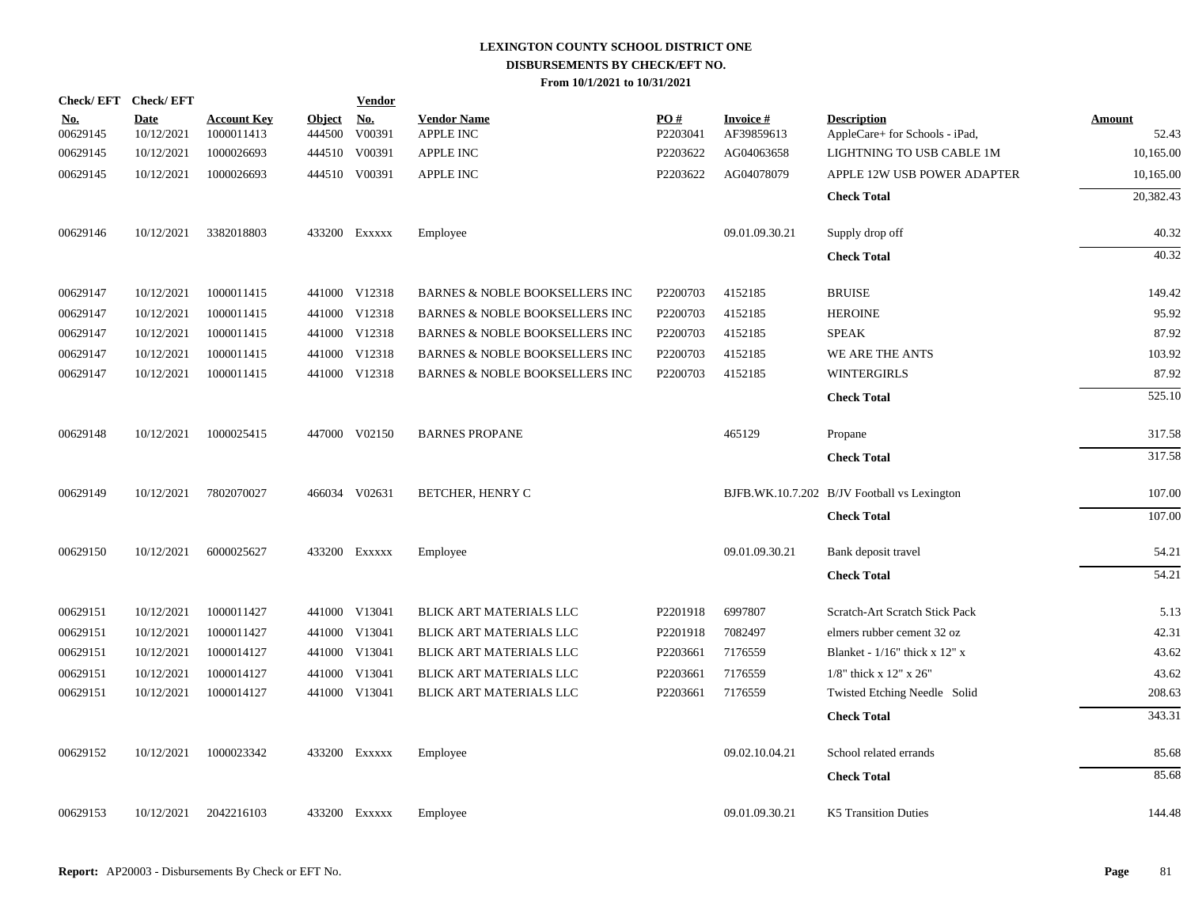| Check/EFT Check/EFT    |                           |                                  |                         | <b>Vendor</b>        |                                           |                 |                               |                                                      |                        |
|------------------------|---------------------------|----------------------------------|-------------------------|----------------------|-------------------------------------------|-----------------|-------------------------------|------------------------------------------------------|------------------------|
| <u>No.</u><br>00629145 | <b>Date</b><br>10/12/2021 | <b>Account Key</b><br>1000011413 | <b>Object</b><br>444500 | <u>No.</u><br>V00391 | <b>Vendor Name</b><br><b>APPLE INC</b>    | PO#<br>P2203041 | <b>Invoice#</b><br>AF39859613 | <b>Description</b><br>AppleCare+ for Schools - iPad, | <b>Amount</b><br>52.43 |
| 00629145               | 10/12/2021                | 1000026693                       |                         | 444510 V00391        | APPLE INC                                 | P2203622        | AG04063658                    | LIGHTNING TO USB CABLE 1M                            | 10,165.00              |
| 00629145               | 10/12/2021                | 1000026693                       |                         | 444510 V00391        | <b>APPLE INC</b>                          | P2203622        | AG04078079                    | APPLE 12W USB POWER ADAPTER                          | 10,165.00              |
|                        |                           |                                  |                         |                      |                                           |                 |                               | <b>Check Total</b>                                   | 20,382.43              |
| 00629146               | 10/12/2021                | 3382018803                       |                         | 433200 Exxxxx        | Employee                                  |                 | 09.01.09.30.21                | Supply drop off                                      | 40.32                  |
|                        |                           |                                  |                         |                      |                                           |                 |                               | <b>Check Total</b>                                   | 40.32                  |
| 00629147               | 10/12/2021                | 1000011415                       |                         | 441000 V12318        | <b>BARNES &amp; NOBLE BOOKSELLERS INC</b> | P2200703        | 4152185                       | <b>BRUISE</b>                                        | 149.42                 |
| 00629147               | 10/12/2021                | 1000011415                       |                         | 441000 V12318        | <b>BARNES &amp; NOBLE BOOKSELLERS INC</b> | P2200703        | 4152185                       | <b>HEROINE</b>                                       | 95.92                  |
| 00629147               | 10/12/2021                | 1000011415                       |                         | 441000 V12318        | BARNES & NOBLE BOOKSELLERS INC            | P2200703        | 4152185                       | <b>SPEAK</b>                                         | 87.92                  |
| 00629147               | 10/12/2021                | 1000011415                       |                         | 441000 V12318        | BARNES & NOBLE BOOKSELLERS INC            | P2200703        | 4152185                       | WE ARE THE ANTS                                      | 103.92                 |
| 00629147               | 10/12/2021                | 1000011415                       |                         | 441000 V12318        | BARNES & NOBLE BOOKSELLERS INC            | P2200703        | 4152185                       | <b>WINTERGIRLS</b>                                   | 87.92                  |
|                        |                           |                                  |                         |                      |                                           |                 |                               | <b>Check Total</b>                                   | 525.10                 |
| 00629148               | 10/12/2021                | 1000025415                       |                         | 447000 V02150        | <b>BARNES PROPANE</b>                     |                 | 465129                        | Propane                                              | 317.58                 |
|                        |                           |                                  |                         |                      |                                           |                 |                               | <b>Check Total</b>                                   | 317.58                 |
| 00629149               | 10/12/2021                | 7802070027                       |                         | 466034 V02631        | BETCHER, HENRY C                          |                 |                               | BJFB.WK.10.7.202 B/JV Football vs Lexington          | 107.00                 |
|                        |                           |                                  |                         |                      |                                           |                 |                               | <b>Check Total</b>                                   | 107.00                 |
| 00629150               | 10/12/2021                | 6000025627                       |                         | 433200 Exxxxx        | Employee                                  |                 | 09.01.09.30.21                | Bank deposit travel                                  | 54.21                  |
|                        |                           |                                  |                         |                      |                                           |                 |                               | <b>Check Total</b>                                   | 54.21                  |
| 00629151               | 10/12/2021                | 1000011427                       |                         | 441000 V13041        | BLICK ART MATERIALS LLC                   | P2201918        | 6997807                       | Scratch-Art Scratch Stick Pack                       | 5.13                   |
| 00629151               | 10/12/2021                | 1000011427                       |                         | 441000 V13041        | BLICK ART MATERIALS LLC                   | P2201918        | 7082497                       | elmers rubber cement 32 oz                           | 42.31                  |
| 00629151               | 10/12/2021                | 1000014127                       |                         | 441000 V13041        | BLICK ART MATERIALS LLC                   | P2203661        | 7176559                       | Blanket - $1/16$ " thick x 12" x                     | 43.62                  |
| 00629151               | 10/12/2021                | 1000014127                       | 441000                  | V13041               | BLICK ART MATERIALS LLC                   | P2203661        | 7176559                       | $1/8$ " thick x 12" x 26"                            | 43.62                  |
| 00629151               | 10/12/2021                | 1000014127                       |                         | 441000 V13041        | BLICK ART MATERIALS LLC                   | P2203661        | 7176559                       | Twisted Etching Needle Solid                         | 208.63                 |
|                        |                           |                                  |                         |                      |                                           |                 |                               | <b>Check Total</b>                                   | 343.31                 |
| 00629152               | 10/12/2021                | 1000023342                       |                         | 433200 Exxxxx        | Employee                                  |                 | 09.02.10.04.21                | School related errands                               | 85.68                  |
|                        |                           |                                  |                         |                      |                                           |                 |                               | <b>Check Total</b>                                   | 85.68                  |
| 00629153               | 10/12/2021                | 2042216103                       |                         | 433200 Exxxxx        | Employee                                  |                 | 09.01.09.30.21                | <b>K5 Transition Duties</b>                          | 144.48                 |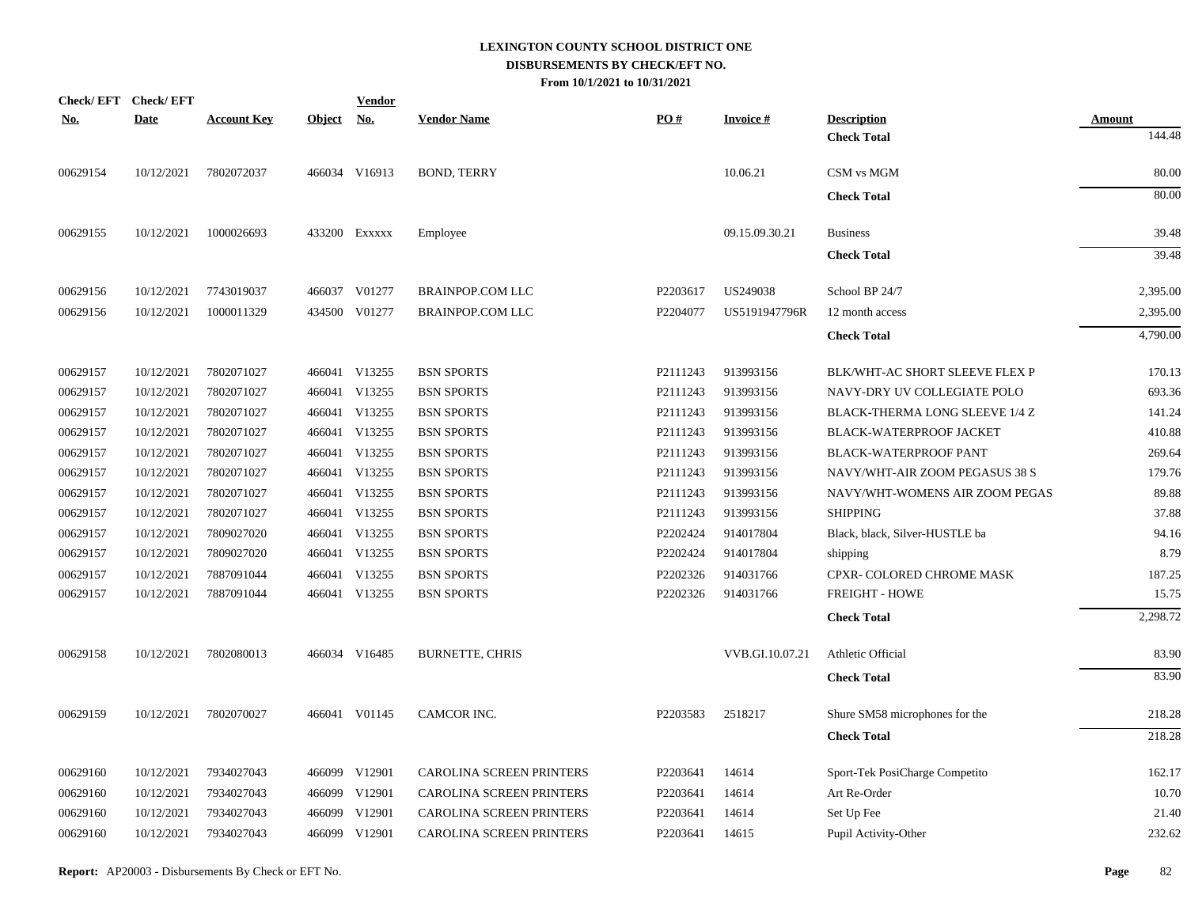| Check/EFT Check/EFT |             |                    |               | <u>Vendor</u> |                                 |          |                 |                                |               |
|---------------------|-------------|--------------------|---------------|---------------|---------------------------------|----------|-----------------|--------------------------------|---------------|
| <u>No.</u>          | <b>Date</b> | <b>Account Key</b> | <b>Object</b> | <u>No.</u>    | <b>Vendor Name</b>              | PO#      | <b>Invoice#</b> | <b>Description</b>             | <b>Amount</b> |
|                     |             |                    |               |               |                                 |          |                 | <b>Check Total</b>             | 144.48        |
| 00629154            | 10/12/2021  | 7802072037         |               | 466034 V16913 | <b>BOND, TERRY</b>              |          | 10.06.21        | CSM vs MGM                     | 80.00         |
|                     |             |                    |               |               |                                 |          |                 | <b>Check Total</b>             | 80.00         |
| 00629155            | 10/12/2021  | 1000026693         |               | 433200 Exxxxx | Employee                        |          | 09.15.09.30.21  | <b>Business</b>                | 39.48         |
|                     |             |                    |               |               |                                 |          |                 | <b>Check Total</b>             | 39.48         |
| 00629156            | 10/12/2021  | 7743019037         |               | 466037 V01277 | <b>BRAINPOP.COM LLC</b>         | P2203617 | US249038        | School BP 24/7                 | 2,395.00      |
| 00629156            | 10/12/2021  | 1000011329         |               | 434500 V01277 | <b>BRAINPOP.COM LLC</b>         | P2204077 | US5191947796R   | 12 month access                | 2,395.00      |
|                     |             |                    |               |               |                                 |          |                 | <b>Check Total</b>             | 4,790.00      |
| 00629157            | 10/12/2021  | 7802071027         |               | 466041 V13255 | <b>BSN SPORTS</b>               | P2111243 | 913993156       | BLK/WHT-AC SHORT SLEEVE FLEX P | 170.13        |
| 00629157            | 10/12/2021  | 7802071027         |               | 466041 V13255 | <b>BSN SPORTS</b>               | P2111243 | 913993156       | NAVY-DRY UV COLLEGIATE POLO    | 693.36        |
| 00629157            | 10/12/2021  | 7802071027         |               | 466041 V13255 | <b>BSN SPORTS</b>               | P2111243 | 913993156       | BLACK-THERMA LONG SLEEVE 1/4 Z | 141.24        |
| 00629157            | 10/12/2021  | 7802071027         |               | 466041 V13255 | <b>BSN SPORTS</b>               | P2111243 | 913993156       | BLACK-WATERPROOF JACKET        | 410.88        |
| 00629157            | 10/12/2021  | 7802071027         | 466041        | V13255        | <b>BSN SPORTS</b>               | P2111243 | 913993156       | <b>BLACK-WATERPROOF PANT</b>   | 269.64        |
| 00629157            | 10/12/2021  | 7802071027         |               | 466041 V13255 | <b>BSN SPORTS</b>               | P2111243 | 913993156       | NAVY/WHT-AIR ZOOM PEGASUS 38 S | 179.76        |
| 00629157            | 10/12/2021  | 7802071027         | 466041        | V13255        | <b>BSN SPORTS</b>               | P2111243 | 913993156       | NAVY/WHT-WOMENS AIR ZOOM PEGAS | 89.88         |
| 00629157            | 10/12/2021  | 7802071027         | 466041        | V13255        | <b>BSN SPORTS</b>               | P2111243 | 913993156       | <b>SHIPPING</b>                | 37.88         |
| 00629157            | 10/12/2021  | 7809027020         | 466041        | V13255        | <b>BSN SPORTS</b>               | P2202424 | 914017804       | Black, black, Silver-HUSTLE ba | 94.16         |
| 00629157            | 10/12/2021  | 7809027020         | 466041        | V13255        | <b>BSN SPORTS</b>               | P2202424 | 914017804       | shipping                       | 8.79          |
| 00629157            | 10/12/2021  | 7887091044         | 466041        | V13255        | <b>BSN SPORTS</b>               | P2202326 | 914031766       | CPXR- COLORED CHROME MASK      | 187.25        |
| 00629157            | 10/12/2021  | 7887091044         |               | 466041 V13255 | <b>BSN SPORTS</b>               | P2202326 | 914031766       | <b>FREIGHT - HOWE</b>          | 15.75         |
|                     |             |                    |               |               |                                 |          |                 | <b>Check Total</b>             | 2,298.72      |
| 00629158            | 10/12/2021  | 7802080013         |               | 466034 V16485 | <b>BURNETTE, CHRIS</b>          |          | VVB.GI.10.07.21 | Athletic Official              | 83.90         |
|                     |             |                    |               |               |                                 |          |                 | <b>Check Total</b>             | 83.90         |
| 00629159            | 10/12/2021  | 7802070027         |               | 466041 V01145 | CAMCOR INC.                     | P2203583 | 2518217         | Shure SM58 microphones for the | 218.28        |
|                     |             |                    |               |               |                                 |          |                 | <b>Check Total</b>             | 218.28        |
| 00629160            | 10/12/2021  | 7934027043         |               | 466099 V12901 | CAROLINA SCREEN PRINTERS        | P2203641 | 14614           | Sport-Tek PosiCharge Competito | 162.17        |
| 00629160            | 10/12/2021  | 7934027043         | 466099        | V12901        | CAROLINA SCREEN PRINTERS        | P2203641 | 14614           | Art Re-Order                   | 10.70         |
| 00629160            | 10/12/2021  | 7934027043         |               | 466099 V12901 | <b>CAROLINA SCREEN PRINTERS</b> | P2203641 | 14614           | Set Up Fee                     | 21.40         |
| 00629160            | 10/12/2021  | 7934027043         |               | 466099 V12901 | <b>CAROLINA SCREEN PRINTERS</b> | P2203641 | 14615           | Pupil Activity-Other           | 232.62        |
|                     |             |                    |               |               |                                 |          |                 |                                |               |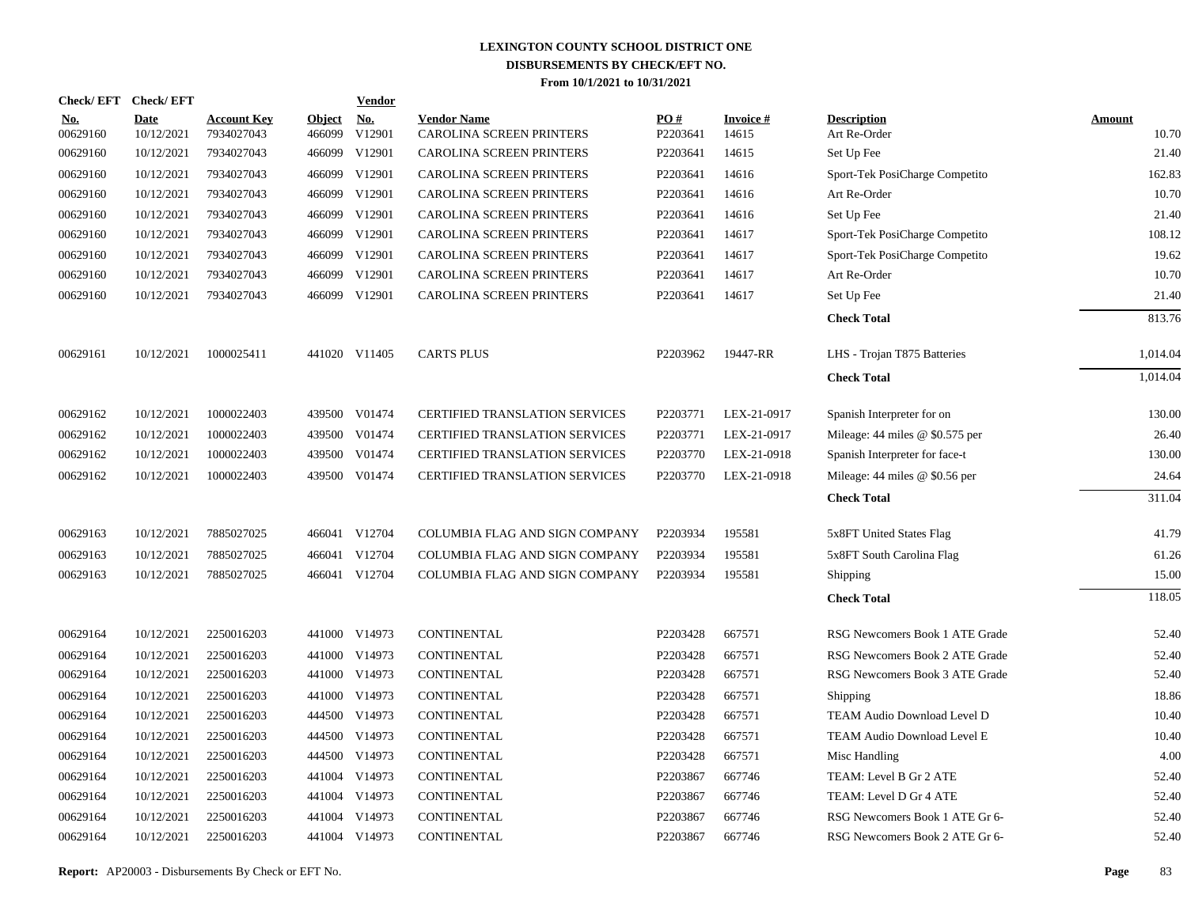| <b>Check/EFT</b>       | <b>Check/EFT</b>          |                                  |                         | <u>Vendor</u>        |                                                |                 |                          |                                    |                        |
|------------------------|---------------------------|----------------------------------|-------------------------|----------------------|------------------------------------------------|-----------------|--------------------------|------------------------------------|------------------------|
| <u>No.</u><br>00629160 | <b>Date</b><br>10/12/2021 | <b>Account Key</b><br>7934027043 | <b>Object</b><br>466099 | <u>No.</u><br>V12901 | <b>Vendor Name</b><br>CAROLINA SCREEN PRINTERS | PO#<br>P2203641 | <b>Invoice#</b><br>14615 | <b>Description</b><br>Art Re-Order | <b>Amount</b><br>10.70 |
| 00629160               | 10/12/2021                | 7934027043                       |                         | 466099 V12901        | CAROLINA SCREEN PRINTERS                       | P2203641        | 14615                    | Set Up Fee                         | 21.40                  |
| 00629160               | 10/12/2021                | 7934027043                       |                         | 466099 V12901        | CAROLINA SCREEN PRINTERS                       | P2203641        | 14616                    | Sport-Tek PosiCharge Competito     | 162.83                 |
| 00629160               | 10/12/2021                | 7934027043                       |                         | 466099 V12901        | CAROLINA SCREEN PRINTERS                       | P2203641        | 14616                    | Art Re-Order                       | 10.70                  |
| 00629160               | 10/12/2021                | 7934027043                       |                         | 466099 V12901        | CAROLINA SCREEN PRINTERS                       | P2203641        | 14616                    | Set Up Fee                         | 21.40                  |
| 00629160               | 10/12/2021                | 7934027043                       |                         | 466099 V12901        | CAROLINA SCREEN PRINTERS                       | P2203641        | 14617                    | Sport-Tek PosiCharge Competito     | 108.12                 |
| 00629160               | 10/12/2021                | 7934027043                       |                         | 466099 V12901        | CAROLINA SCREEN PRINTERS                       | P2203641        | 14617                    | Sport-Tek PosiCharge Competito     | 19.62                  |
| 00629160               | 10/12/2021                | 7934027043                       |                         | 466099 V12901        | CAROLINA SCREEN PRINTERS                       | P2203641        | 14617                    | Art Re-Order                       | 10.70                  |
| 00629160               | 10/12/2021                | 7934027043                       |                         | 466099 V12901        | CAROLINA SCREEN PRINTERS                       | P2203641        | 14617                    | Set Up Fee                         | 21.40                  |
|                        |                           |                                  |                         |                      |                                                |                 |                          | <b>Check Total</b>                 | 813.76                 |
| 00629161               | 10/12/2021                | 1000025411                       |                         | 441020 V11405        | <b>CARTS PLUS</b>                              | P2203962        | 19447-RR                 | LHS - Trojan T875 Batteries        | 1,014.04               |
|                        |                           |                                  |                         |                      |                                                |                 |                          | <b>Check Total</b>                 | 1,014.04               |
| 00629162               | 10/12/2021                | 1000022403                       |                         | 439500 V01474        | <b>CERTIFIED TRANSLATION SERVICES</b>          | P2203771        | LEX-21-0917              | Spanish Interpreter for on         | 130.00                 |
| 00629162               | 10/12/2021                | 1000022403                       |                         | 439500 V01474        | <b>CERTIFIED TRANSLATION SERVICES</b>          | P2203771        | LEX-21-0917              | Mileage: $44$ miles @ \$0.575 per  | 26.40                  |
| 00629162               | 10/12/2021                | 1000022403                       |                         | 439500 V01474        | CERTIFIED TRANSLATION SERVICES                 | P2203770        | LEX-21-0918              | Spanish Interpreter for face-t     | 130.00                 |
| 00629162               | 10/12/2021                | 1000022403                       |                         | 439500 V01474        | CERTIFIED TRANSLATION SERVICES                 | P2203770        | LEX-21-0918              | Mileage: $44$ miles @ \$0.56 per   | 24.64                  |
|                        |                           |                                  |                         |                      |                                                |                 |                          | <b>Check Total</b>                 | 311.04                 |
| 00629163               | 10/12/2021                | 7885027025                       |                         | 466041 V12704        | COLUMBIA FLAG AND SIGN COMPANY                 | P2203934        | 195581                   | 5x8FT United States Flag           | 41.79                  |
| 00629163               | 10/12/2021                | 7885027025                       | 466041                  | V12704               | COLUMBIA FLAG AND SIGN COMPANY                 | P2203934        | 195581                   | 5x8FT South Carolina Flag          | 61.26                  |
| 00629163               | 10/12/2021                | 7885027025                       |                         | 466041 V12704        | COLUMBIA FLAG AND SIGN COMPANY                 | P2203934        | 195581                   | Shipping                           | 15.00                  |
|                        |                           |                                  |                         |                      |                                                |                 |                          | <b>Check Total</b>                 | 118.05                 |
| 00629164               | 10/12/2021                | 2250016203                       |                         | 441000 V14973        | CONTINENTAL                                    | P2203428        | 667571                   | RSG Newcomers Book 1 ATE Grade     | 52.40                  |
| 00629164               | 10/12/2021                | 2250016203                       |                         | 441000 V14973        | CONTINENTAL                                    | P2203428        | 667571                   | RSG Newcomers Book 2 ATE Grade     | 52.40                  |
| 00629164               | 10/12/2021                | 2250016203                       |                         | 441000 V14973        | CONTINENTAL                                    | P2203428        | 667571                   | RSG Newcomers Book 3 ATE Grade     | 52.40                  |
| 00629164               | 10/12/2021                | 2250016203                       |                         | 441000 V14973        | <b>CONTINENTAL</b>                             | P2203428        | 667571                   | Shipping                           | 18.86                  |
| 00629164               | 10/12/2021                | 2250016203                       |                         | 444500 V14973        | CONTINENTAL                                    | P2203428        | 667571                   | TEAM Audio Download Level D        | 10.40                  |
| 00629164               | 10/12/2021                | 2250016203                       |                         | 444500 V14973        | CONTINENTAL                                    | P2203428        | 667571                   | TEAM Audio Download Level E        | 10.40                  |
| 00629164               | 10/12/2021                | 2250016203                       |                         | 444500 V14973        | <b>CONTINENTAL</b>                             | P2203428        | 667571                   | Misc Handling                      | 4.00                   |
| 00629164               | 10/12/2021                | 2250016203                       |                         | 441004 V14973        | <b>CONTINENTAL</b>                             | P2203867        | 667746                   | TEAM: Level B Gr 2 ATE             | 52.40                  |
| 00629164               | 10/12/2021                | 2250016203                       |                         | 441004 V14973        | CONTINENTAL                                    | P2203867        | 667746                   | TEAM: Level D Gr 4 ATE             | 52.40                  |
| 00629164               | 10/12/2021                | 2250016203                       |                         | 441004 V14973        | CONTINENTAL                                    | P2203867        | 667746                   | RSG Newcomers Book 1 ATE Gr 6-     | 52.40                  |
| 00629164               | 10/12/2021                | 2250016203                       |                         | 441004 V14973        | <b>CONTINENTAL</b>                             | P2203867        | 667746                   | RSG Newcomers Book 2 ATE Gr 6-     | 52.40                  |
|                        |                           |                                  |                         |                      |                                                |                 |                          |                                    |                        |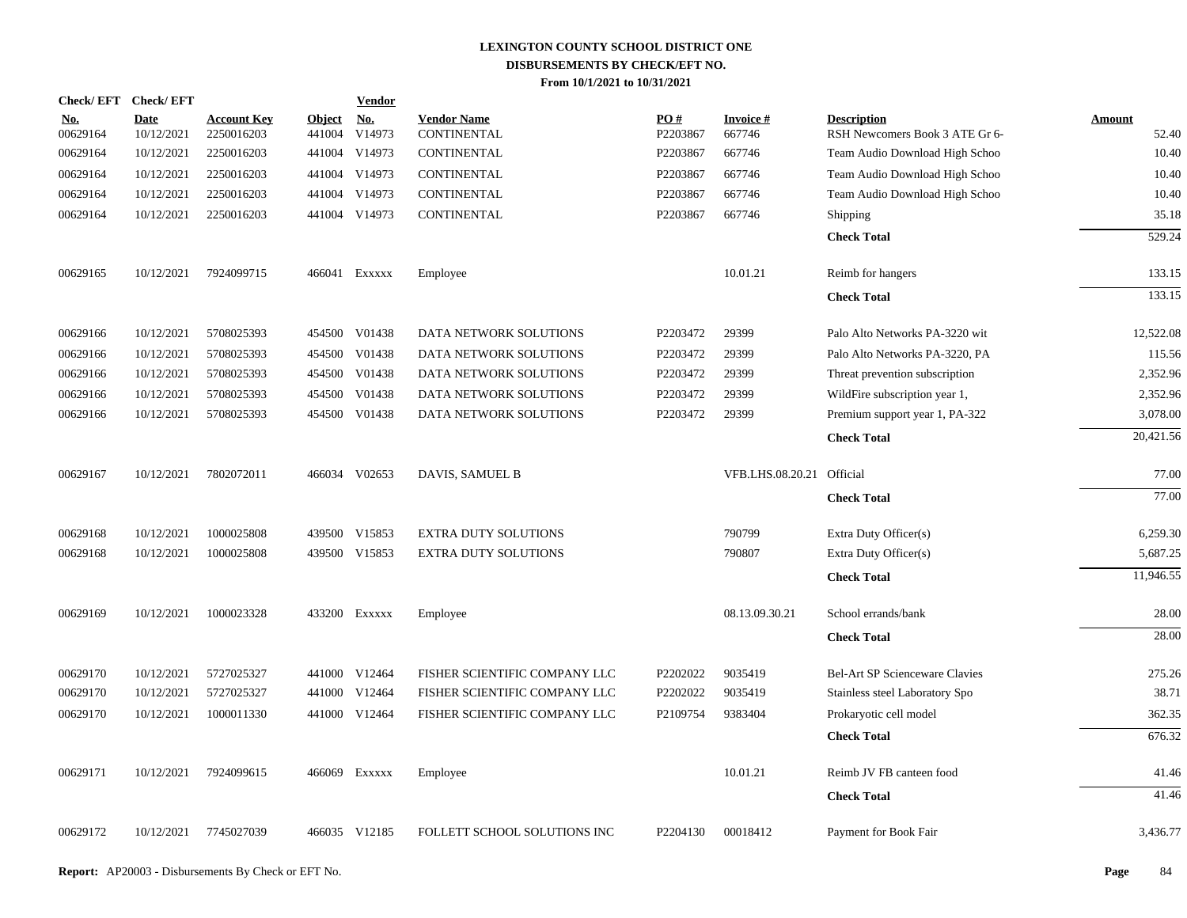| Check/EFT Check/EFT    |                           |                                  |                         | <b>Vendor</b> |                                   |                 |                           |                                                      |                        |
|------------------------|---------------------------|----------------------------------|-------------------------|---------------|-----------------------------------|-----------------|---------------------------|------------------------------------------------------|------------------------|
| <u>No.</u><br>00629164 | <b>Date</b><br>10/12/2021 | <b>Account Key</b><br>2250016203 | <b>Object</b><br>441004 | No.<br>V14973 | <b>Vendor Name</b><br>CONTINENTAL | PO#<br>P2203867 | <b>Invoice#</b><br>667746 | <b>Description</b><br>RSH Newcomers Book 3 ATE Gr 6- | <b>Amount</b><br>52.40 |
| 00629164               | 10/12/2021                | 2250016203                       |                         | 441004 V14973 | CONTINENTAL                       | P2203867        | 667746                    | Team Audio Download High Schoo                       | 10.40                  |
| 00629164               | 10/12/2021                | 2250016203                       |                         | 441004 V14973 | CONTINENTAL                       | P2203867        | 667746                    | Team Audio Download High Schoo                       | 10.40                  |
| 00629164               | 10/12/2021                | 2250016203                       |                         | 441004 V14973 | CONTINENTAL                       | P2203867        | 667746                    | Team Audio Download High Schoo                       | 10.40                  |
| 00629164               | 10/12/2021                | 2250016203                       |                         | 441004 V14973 | CONTINENTAL                       | P2203867        | 667746                    | Shipping                                             | 35.18                  |
|                        |                           |                                  |                         |               |                                   |                 |                           | <b>Check Total</b>                                   | 529.24                 |
| 00629165               | 10/12/2021                | 7924099715                       |                         | 466041 Exxxxx | Employee                          |                 | 10.01.21                  | Reimb for hangers                                    | 133.15                 |
|                        |                           |                                  |                         |               |                                   |                 |                           | <b>Check Total</b>                                   | 133.15                 |
| 00629166               | 10/12/2021                | 5708025393                       |                         | 454500 V01438 | DATA NETWORK SOLUTIONS            | P2203472        | 29399                     | Palo Alto Networks PA-3220 wit                       | 12,522.08              |
| 00629166               | 10/12/2021                | 5708025393                       | 454500                  | V01438        | DATA NETWORK SOLUTIONS            | P2203472        | 29399                     | Palo Alto Networks PA-3220, PA                       | 115.56                 |
| 00629166               | 10/12/2021                | 5708025393                       | 454500                  | V01438        | DATA NETWORK SOLUTIONS            | P2203472        | 29399                     | Threat prevention subscription                       | 2,352.96               |
| 00629166               | 10/12/2021                | 5708025393                       | 454500                  | V01438        | DATA NETWORK SOLUTIONS            | P2203472        | 29399                     | WildFire subscription year 1,                        | 2,352.96               |
| 00629166               | 10/12/2021                | 5708025393                       | 454500                  | V01438        | DATA NETWORK SOLUTIONS            | P2203472        | 29399                     | Premium support year 1, PA-322                       | 3,078.00               |
|                        |                           |                                  |                         |               |                                   |                 |                           | <b>Check Total</b>                                   | 20,421.56              |
| 00629167               | 10/12/2021                | 7802072011                       |                         | 466034 V02653 | DAVIS, SAMUEL B                   |                 | VFB.LHS.08.20.21 Official |                                                      | 77.00                  |
|                        |                           |                                  |                         |               |                                   |                 |                           | <b>Check Total</b>                                   | 77.00                  |
| 00629168               | 10/12/2021                | 1000025808                       |                         | 439500 V15853 | <b>EXTRA DUTY SOLUTIONS</b>       |                 | 790799                    | Extra Duty Officer(s)                                | 6,259.30               |
| 00629168               | 10/12/2021                | 1000025808                       |                         | 439500 V15853 | <b>EXTRA DUTY SOLUTIONS</b>       |                 | 790807                    | Extra Duty Officer(s)                                | 5,687.25               |
|                        |                           |                                  |                         |               |                                   |                 |                           | <b>Check Total</b>                                   | 11,946.55              |
| 00629169               | 10/12/2021                | 1000023328                       |                         | 433200 Exxxxx | Employee                          |                 | 08.13.09.30.21            | School errands/bank                                  | 28.00                  |
|                        |                           |                                  |                         |               |                                   |                 |                           | <b>Check Total</b>                                   | 28.00                  |
| 00629170               | 10/12/2021                | 5727025327                       |                         | 441000 V12464 | FISHER SCIENTIFIC COMPANY LLC     | P2202022        | 9035419                   | <b>Bel-Art SP Scienceware Clavies</b>                | 275.26                 |
| 00629170               | 10/12/2021                | 5727025327                       |                         | 441000 V12464 | FISHER SCIENTIFIC COMPANY LLC     | P2202022        | 9035419                   | Stainless steel Laboratory Spo                       | 38.71                  |
| 00629170               | 10/12/2021                | 1000011330                       |                         | 441000 V12464 | FISHER SCIENTIFIC COMPANY LLC     | P2109754        | 9383404                   | Prokaryotic cell model                               | 362.35                 |
|                        |                           |                                  |                         |               |                                   |                 |                           | <b>Check Total</b>                                   | 676.32                 |
| 00629171               | 10/12/2021                | 7924099615                       |                         | 466069 Exxxxx | Employee                          |                 | 10.01.21                  | Reimb JV FB canteen food                             | 41.46                  |
|                        |                           |                                  |                         |               |                                   |                 |                           | <b>Check Total</b>                                   | 41.46                  |
| 00629172               | 10/12/2021                | 7745027039                       |                         | 466035 V12185 | FOLLETT SCHOOL SOLUTIONS INC      | P2204130        | 00018412                  | Payment for Book Fair                                | 3,436.77               |
|                        |                           |                                  |                         |               |                                   |                 |                           |                                                      |                        |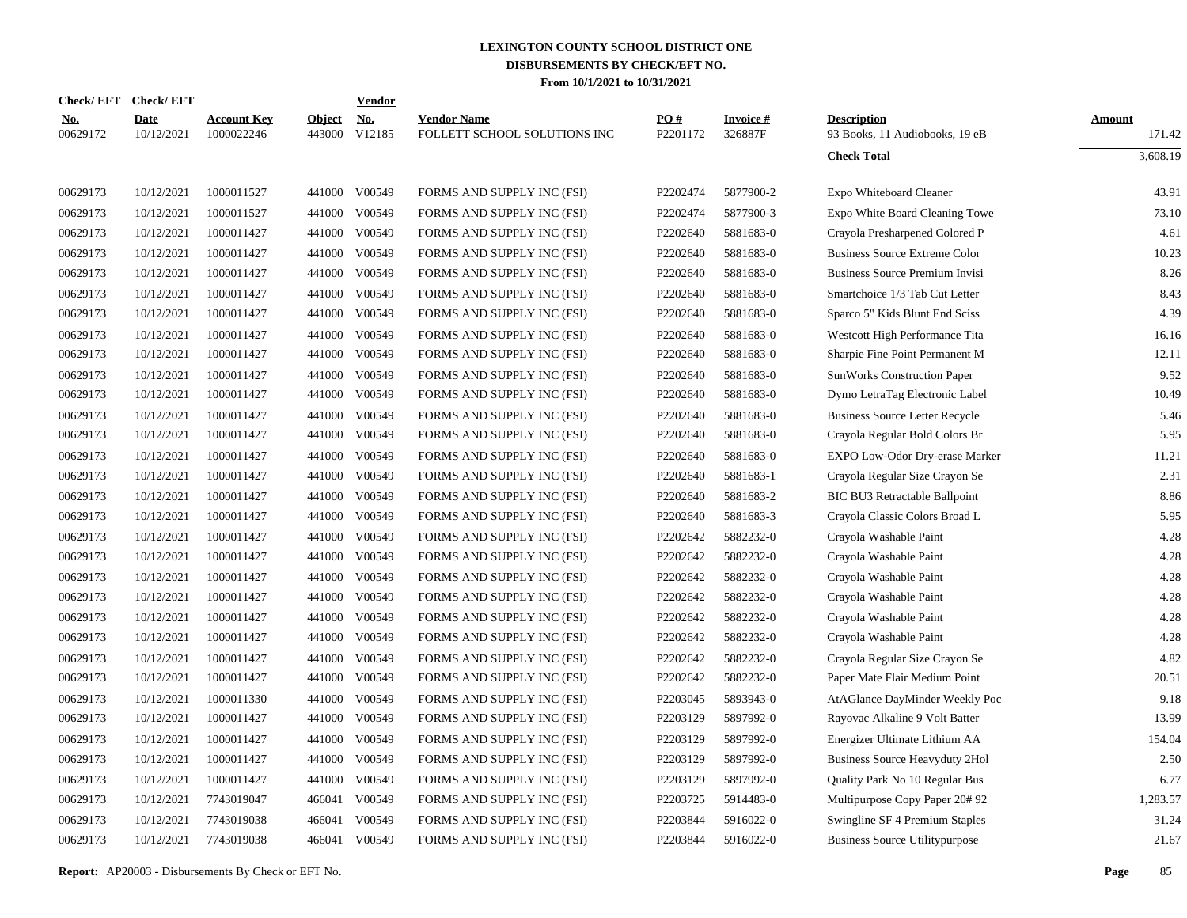|                        | Check/EFT Check/EFT |                                  |                         | Vendor        |                                                    |                 |                            |                                                      |                  |
|------------------------|---------------------|----------------------------------|-------------------------|---------------|----------------------------------------------------|-----------------|----------------------------|------------------------------------------------------|------------------|
| <u>No.</u><br>00629172 | Date<br>10/12/2021  | <b>Account Key</b><br>1000022246 | <b>Object</b><br>443000 | No.<br>V12185 | <b>Vendor Name</b><br>FOLLETT SCHOOL SOLUTIONS INC | PO#<br>P2201172 | <b>Invoice#</b><br>326887F | <b>Description</b><br>93 Books, 11 Audiobooks, 19 eB | Amount<br>171.42 |
|                        |                     |                                  |                         |               |                                                    |                 |                            | <b>Check Total</b>                                   | 3,608.19         |
| 00629173               | 10/12/2021          | 1000011527                       | 441000                  | V00549        | FORMS AND SUPPLY INC (FSI)                         | P2202474        | 5877900-2                  | Expo Whiteboard Cleaner                              | 43.91            |
| 00629173               | 10/12/2021          | 1000011527                       | 441000                  | V00549        | FORMS AND SUPPLY INC (FSI)                         | P2202474        | 5877900-3                  | Expo White Board Cleaning Towe                       | 73.10            |
| 00629173               | 10/12/2021          | 1000011427                       | 441000                  | V00549        | FORMS AND SUPPLY INC (FSI)                         | P2202640        | 5881683-0                  | Crayola Presharpened Colored P                       | 4.61             |
| 00629173               | 10/12/2021          | 1000011427                       | 441000                  | V00549        | FORMS AND SUPPLY INC (FSI)                         | P2202640        | 5881683-0                  | <b>Business Source Extreme Color</b>                 | 10.23            |
| 00629173               | 10/12/2021          | 1000011427                       | 441000                  | V00549        | FORMS AND SUPPLY INC (FSI)                         | P2202640        | 5881683-0                  | <b>Business Source Premium Invisi</b>                | 8.26             |
| 00629173               | 10/12/2021          | 1000011427                       | 441000                  | V00549        | FORMS AND SUPPLY INC (FSI)                         | P2202640        | 5881683-0                  | Smartchoice 1/3 Tab Cut Letter                       | 8.43             |
| 00629173               | 10/12/2021          | 1000011427                       | 441000                  | V00549        | FORMS AND SUPPLY INC (FSI)                         | P2202640        | 5881683-0                  | Sparco 5" Kids Blunt End Sciss                       | 4.39             |
| 00629173               | 10/12/2021          | 1000011427                       | 441000                  | V00549        | FORMS AND SUPPLY INC (FSI)                         | P2202640        | 5881683-0                  | Westcott High Performance Tita                       | 16.16            |
| 00629173               | 10/12/2021          | 1000011427                       | 441000                  | V00549        | FORMS AND SUPPLY INC (FSI)                         | P2202640        | 5881683-0                  | Sharpie Fine Point Permanent M                       | 12.11            |
| 00629173               | 10/12/2021          | 1000011427                       | 441000                  | V00549        | FORMS AND SUPPLY INC (FSI)                         | P2202640        | 5881683-0                  | <b>SunWorks Construction Paper</b>                   | 9.52             |
| 00629173               | 10/12/2021          | 1000011427                       | 441000                  | V00549        | FORMS AND SUPPLY INC (FSI)                         | P2202640        | 5881683-0                  | Dymo LetraTag Electronic Label                       | 10.49            |
| 00629173               | 10/12/2021          | 1000011427                       | 441000                  | V00549        | FORMS AND SUPPLY INC (FSI)                         | P2202640        | 5881683-0                  | <b>Business Source Letter Recycle</b>                | 5.46             |
| 00629173               | 10/12/2021          | 1000011427                       | 441000                  | V00549        | FORMS AND SUPPLY INC (FSI)                         | P2202640        | 5881683-0                  | Crayola Regular Bold Colors Br                       | 5.95             |
| 00629173               | 10/12/2021          | 1000011427                       | 441000                  | V00549        | FORMS AND SUPPLY INC (FSI)                         | P2202640        | 5881683-0                  | EXPO Low-Odor Dry-erase Marker                       | 11.21            |
| 00629173               | 10/12/2021          | 1000011427                       | 441000                  | V00549        | FORMS AND SUPPLY INC (FSI)                         | P2202640        | 5881683-1                  | Crayola Regular Size Crayon Se                       | 2.31             |
| 00629173               | 10/12/2021          | 1000011427                       | 441000                  | V00549        | FORMS AND SUPPLY INC (FSI)                         | P2202640        | 5881683-2                  | BIC BU3 Retractable Ballpoint                        | 8.86             |
| 00629173               | 10/12/2021          | 1000011427                       | 441000                  | V00549        | FORMS AND SUPPLY INC (FSI)                         | P2202640        | 5881683-3                  | Crayola Classic Colors Broad L                       | 5.95             |
| 00629173               | 10/12/2021          | 1000011427                       | 441000                  | V00549        | FORMS AND SUPPLY INC (FSI)                         | P2202642        | 5882232-0                  | Crayola Washable Paint                               | 4.28             |
| 00629173               | 10/12/2021          | 1000011427                       | 441000                  | V00549        | FORMS AND SUPPLY INC (FSI)                         | P2202642        | 5882232-0                  | Crayola Washable Paint                               | 4.28             |
| 00629173               | 10/12/2021          | 1000011427                       | 441000                  | V00549        | FORMS AND SUPPLY INC (FSI)                         | P2202642        | 5882232-0                  | Crayola Washable Paint                               | 4.28             |
| 00629173               | 10/12/2021          | 1000011427                       | 441000                  | V00549        | FORMS AND SUPPLY INC (FSI)                         | P2202642        | 5882232-0                  | Crayola Washable Paint                               | 4.28             |
| 00629173               | 10/12/2021          | 1000011427                       | 441000                  | V00549        | FORMS AND SUPPLY INC (FSI)                         | P2202642        | 5882232-0                  | Crayola Washable Paint                               | 4.28             |
| 00629173               | 10/12/2021          | 1000011427                       | 441000                  | V00549        | FORMS AND SUPPLY INC (FSI)                         | P2202642        | 5882232-0                  | Crayola Washable Paint                               | 4.28             |
| 00629173               | 10/12/2021          | 1000011427                       | 441000                  | V00549        | FORMS AND SUPPLY INC (FSI)                         | P2202642        | 5882232-0                  | Crayola Regular Size Crayon Se                       | 4.82             |
| 00629173               | 10/12/2021          | 1000011427                       | 441000                  | V00549        | FORMS AND SUPPLY INC (FSI)                         | P2202642        | 5882232-0                  | Paper Mate Flair Medium Point                        | 20.51            |
| 00629173               | 10/12/2021          | 1000011330                       | 441000                  | V00549        | FORMS AND SUPPLY INC (FSI)                         | P2203045        | 5893943-0                  | AtAGlance DayMinder Weekly Poc                       | 9.18             |
| 00629173               | 10/12/2021          | 1000011427                       | 441000                  | V00549        | FORMS AND SUPPLY INC (FSI)                         | P2203129        | 5897992-0                  | Rayovac Alkaline 9 Volt Batter                       | 13.99            |
| 00629173               | 10/12/2021          | 1000011427                       | 441000                  | V00549        | FORMS AND SUPPLY INC (FSI)                         | P2203129        | 5897992-0                  | Energizer Ultimate Lithium AA                        | 154.04           |
| 00629173               | 10/12/2021          | 1000011427                       | 441000                  | V00549        | FORMS AND SUPPLY INC (FSI)                         | P2203129        | 5897992-0                  | Business Source Heavyduty 2Hol                       | 2.50             |
| 00629173               | 10/12/2021          | 1000011427                       | 441000                  | V00549        | FORMS AND SUPPLY INC (FSI)                         | P2203129        | 5897992-0                  | Quality Park No 10 Regular Bus                       | 6.77             |
| 00629173               | 10/12/2021          | 7743019047                       | 466041                  | V00549        | FORMS AND SUPPLY INC (FSI)                         | P2203725        | 5914483-0                  | Multipurpose Copy Paper 20# 92                       | 1,283.57         |
| 00629173               | 10/12/2021          | 7743019038                       | 466041                  | V00549        | FORMS AND SUPPLY INC (FSI)                         | P2203844        | 5916022-0                  | Swingline SF 4 Premium Staples                       | 31.24            |
| 00629173               | 10/12/2021          | 7743019038                       | 466041                  | V00549        | FORMS AND SUPPLY INC (FSI)                         | P2203844        | 5916022-0                  | <b>Business Source Utilitypurpose</b>                | 21.67            |
|                        |                     |                                  |                         |               |                                                    |                 |                            |                                                      |                  |

**Report:** AP20003 - Disbursements By Check or EFT No. **Page** 85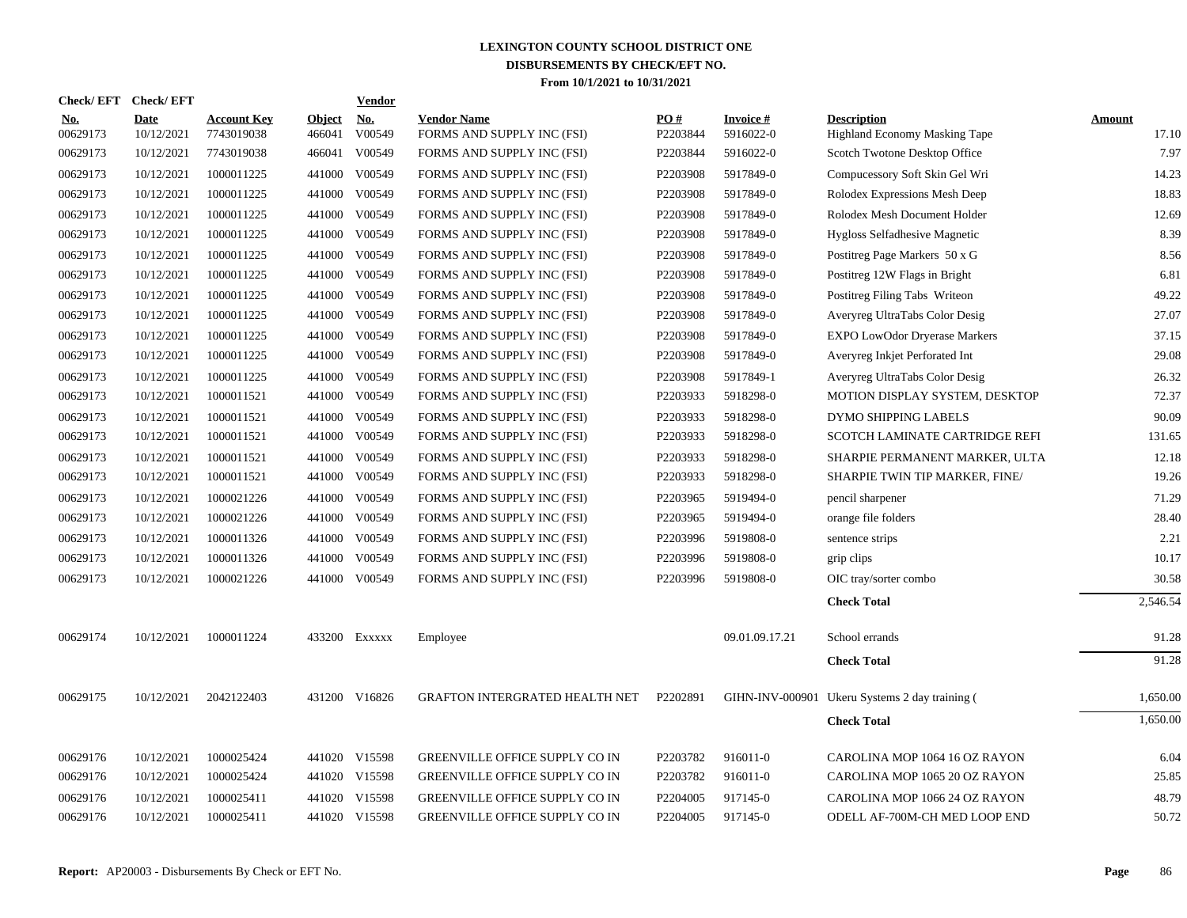| <b>Check/EFT</b>       | <b>Check/EFT</b>          |                                  |                         | <b>Vendor</b>        |                                                  |                 |                               |                                                            |                        |
|------------------------|---------------------------|----------------------------------|-------------------------|----------------------|--------------------------------------------------|-----------------|-------------------------------|------------------------------------------------------------|------------------------|
| <u>No.</u><br>00629173 | <b>Date</b><br>10/12/2021 | <b>Account Key</b><br>7743019038 | <b>Object</b><br>466041 | <u>No.</u><br>V00549 | <b>Vendor Name</b><br>FORMS AND SUPPLY INC (FSI) | PO#<br>P2203844 | <b>Invoice #</b><br>5916022-0 | <b>Description</b><br><b>Highland Economy Masking Tape</b> | <b>Amount</b><br>17.10 |
| 00629173               | 10/12/2021                | 7743019038                       | 466041                  | V00549               | FORMS AND SUPPLY INC (FSI)                       | P2203844        | 5916022-0                     | Scotch Twotone Desktop Office                              | 7.97                   |
| 00629173               | 10/12/2021                | 1000011225                       | 441000                  | V00549               | FORMS AND SUPPLY INC (FSI)                       | P2203908        | 5917849-0                     | Compucessory Soft Skin Gel Wri                             | 14.23                  |
| 00629173               | 10/12/2021                | 1000011225                       | 441000                  | V00549               | FORMS AND SUPPLY INC (FSI)                       | P2203908        | 5917849-0                     | Rolodex Expressions Mesh Deep                              | 18.83                  |
| 00629173               | 10/12/2021                | 1000011225                       | 441000                  | V00549               | FORMS AND SUPPLY INC (FSI)                       | P2203908        | 5917849-0                     | Rolodex Mesh Document Holder                               | 12.69                  |
| 00629173               | 10/12/2021                | 1000011225                       | 441000                  | V00549               | FORMS AND SUPPLY INC (FSI)                       | P2203908        | 5917849-0                     | Hygloss Selfadhesive Magnetic                              | 8.39                   |
| 00629173               | 10/12/2021                | 1000011225                       | 441000                  | V00549               | FORMS AND SUPPLY INC (FSI)                       | P2203908        | 5917849-0                     | Postitreg Page Markers 50 x G                              | 8.56                   |
| 00629173               | 10/12/2021                | 1000011225                       | 441000                  | V00549               | FORMS AND SUPPLY INC (FSI)                       | P2203908        | 5917849-0                     | Postitreg 12W Flags in Bright                              | 6.81                   |
| 00629173               | 10/12/2021                | 1000011225                       |                         | 441000 V00549        | FORMS AND SUPPLY INC (FSI)                       | P2203908        | 5917849-0                     | Postitreg Filing Tabs Writeon                              | 49.22                  |
| 00629173               | 10/12/2021                | 1000011225                       |                         | 441000 V00549        | FORMS AND SUPPLY INC (FSI)                       | P2203908        | 5917849-0                     | Averyreg UltraTabs Color Desig                             | 27.07                  |
| 00629173               | 10/12/2021                | 1000011225                       |                         | 441000 V00549        | FORMS AND SUPPLY INC (FSI)                       | P2203908        | 5917849-0                     | EXPO LowOdor Dryerase Markers                              | 37.15                  |
| 00629173               | 10/12/2021                | 1000011225                       |                         | 441000 V00549        | FORMS AND SUPPLY INC (FSI)                       | P2203908        | 5917849-0                     | Averyreg Inkjet Perforated Int                             | 29.08                  |
| 00629173               | 10/12/2021                | 1000011225                       | 441000                  | V00549               | FORMS AND SUPPLY INC (FSI)                       | P2203908        | 5917849-1                     | Averyreg UltraTabs Color Desig                             | 26.32                  |
| 00629173               | 10/12/2021                | 1000011521                       |                         | 441000 V00549        | FORMS AND SUPPLY INC (FSI)                       | P2203933        | 5918298-0                     | MOTION DISPLAY SYSTEM, DESKTOP                             | 72.37                  |
| 00629173               | 10/12/2021                | 1000011521                       | 441000                  | V00549               | FORMS AND SUPPLY INC (FSI)                       | P2203933        | 5918298-0                     | DYMO SHIPPING LABELS                                       | 90.09                  |
| 00629173               | 10/12/2021                | 1000011521                       | 441000                  | V00549               | FORMS AND SUPPLY INC (FSI)                       | P2203933        | 5918298-0                     | SCOTCH LAMINATE CARTRIDGE REFI                             | 131.65                 |
| 00629173               | 10/12/2021                | 1000011521                       | 441000                  | V00549               | FORMS AND SUPPLY INC (FSI)                       | P2203933        | 5918298-0                     | SHARPIE PERMANENT MARKER, ULTA                             | 12.18                  |
| 00629173               | 10/12/2021                | 1000011521                       | 441000                  | V00549               | FORMS AND SUPPLY INC (FSI)                       | P2203933        | 5918298-0                     | SHARPIE TWIN TIP MARKER, FINE/                             | 19.26                  |
| 00629173               | 10/12/2021                | 1000021226                       | 441000                  | V00549               | FORMS AND SUPPLY INC (FSI)                       | P2203965        | 5919494-0                     | pencil sharpener                                           | 71.29                  |
| 00629173               | 10/12/2021                | 1000021226                       | 441000                  | V00549               | FORMS AND SUPPLY INC (FSI)                       | P2203965        | 5919494-0                     | orange file folders                                        | 28.40                  |
| 00629173               | 10/12/2021                | 1000011326                       | 441000                  | V00549               | FORMS AND SUPPLY INC (FSI)                       | P2203996        | 5919808-0                     | sentence strips                                            | 2.21                   |
| 00629173               | 10/12/2021                | 1000011326                       | 441000                  | V00549               | FORMS AND SUPPLY INC (FSI)                       | P2203996        | 5919808-0                     | grip clips                                                 | 10.17                  |
| 00629173               | 10/12/2021                | 1000021226                       |                         | 441000 V00549        | FORMS AND SUPPLY INC (FSI)                       | P2203996        | 5919808-0                     | OIC tray/sorter combo                                      | 30.58                  |
|                        |                           |                                  |                         |                      |                                                  |                 |                               | <b>Check Total</b>                                         | 2,546.54               |
| 00629174               | 10/12/2021                | 1000011224                       |                         | 433200 Exxxxx        | Employee                                         |                 | 09.01.09.17.21                | School errands                                             | 91.28                  |
|                        |                           |                                  |                         |                      |                                                  |                 |                               | <b>Check Total</b>                                         | 91.28                  |
| 00629175               | 10/12/2021                | 2042122403                       |                         | 431200 V16826        | GRAFTON INTERGRATED HEALTH NET                   | P2202891        | <b>GIHN-INV-000901</b>        | Ukeru Systems 2 day training (                             | 1,650.00               |
|                        |                           |                                  |                         |                      |                                                  |                 |                               | <b>Check Total</b>                                         | 1,650.00               |
| 00629176               | 10/12/2021                | 1000025424                       |                         | 441020 V15598        | GREENVILLE OFFICE SUPPLY CO IN                   | P2203782        | 916011-0                      | CAROLINA MOP 1064 16 OZ RAYON                              | 6.04                   |
| 00629176               | 10/12/2021                | 1000025424                       |                         | 441020 V15598        | GREENVILLE OFFICE SUPPLY CO IN                   | P2203782        | 916011-0                      | CAROLINA MOP 1065 20 OZ RAYON                              | 25.85                  |
| 00629176               | 10/12/2021                | 1000025411                       |                         | 441020 V15598        | <b>GREENVILLE OFFICE SUPPLY CO IN</b>            | P2204005        | 917145-0                      | CAROLINA MOP 1066 24 OZ RAYON                              | 48.79                  |
| 00629176               | 10/12/2021                | 1000025411                       |                         | 441020 V15598        | GREENVILLE OFFICE SUPPLY CO IN                   | P2204005        | 917145-0                      | ODELL AF-700M-CH MED LOOP END                              | 50.72                  |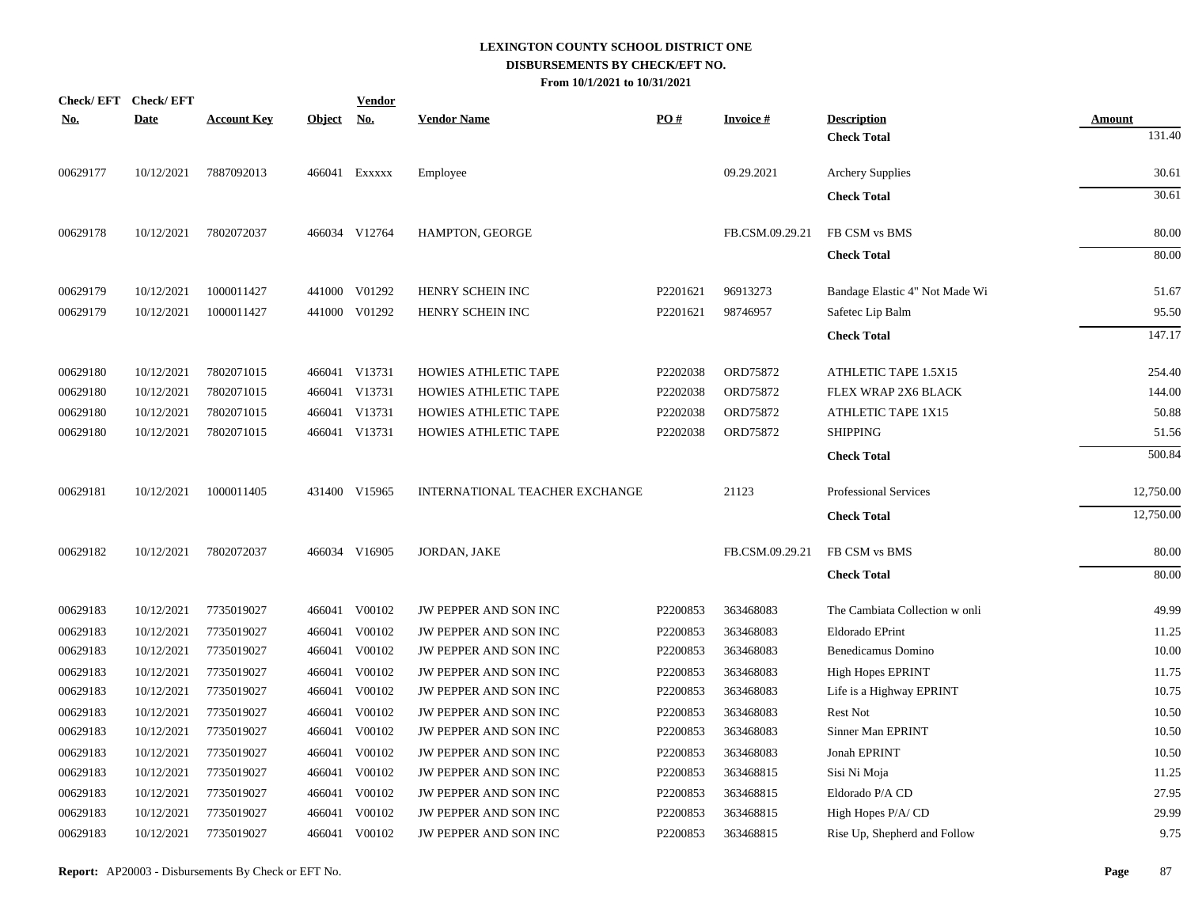|            | Check/EFT Check/EFT |                    |               | <b>Vendor</b> |                                |          |                 |                                |               |
|------------|---------------------|--------------------|---------------|---------------|--------------------------------|----------|-----------------|--------------------------------|---------------|
| <u>No.</u> | <b>Date</b>         | <b>Account Key</b> | <b>Object</b> | <u>No.</u>    | <b>Vendor Name</b>             | PO#      | <b>Invoice#</b> | <b>Description</b>             | <b>Amount</b> |
|            |                     |                    |               |               |                                |          |                 | <b>Check Total</b>             | 131.40        |
| 00629177   | 10/12/2021          | 7887092013         |               | 466041 EXXXXX | Employee                       |          | 09.29.2021      | <b>Archery Supplies</b>        | 30.61         |
|            |                     |                    |               |               |                                |          |                 | <b>Check Total</b>             | 30.61         |
| 00629178   | 10/12/2021          | 7802072037         |               | 466034 V12764 | HAMPTON, GEORGE                |          | FB.CSM.09.29.21 | FB CSM vs BMS                  | 80.00         |
|            |                     |                    |               |               |                                |          |                 | <b>Check Total</b>             | 80.00         |
| 00629179   | 10/12/2021          | 1000011427         |               | 441000 V01292 | HENRY SCHEIN INC               | P2201621 | 96913273        | Bandage Elastic 4" Not Made Wi | 51.67         |
| 00629179   | 10/12/2021          | 1000011427         |               | 441000 V01292 | HENRY SCHEIN INC               | P2201621 | 98746957        | Safetec Lip Balm               | 95.50         |
|            |                     |                    |               |               |                                |          |                 | <b>Check Total</b>             | 147.17        |
| 00629180   | 10/12/2021          | 7802071015         |               | 466041 V13731 | HOWIES ATHLETIC TAPE           | P2202038 | ORD75872        | ATHLETIC TAPE 1.5X15           | 254.40        |
| 00629180   | 10/12/2021          | 7802071015         |               | 466041 V13731 | HOWIES ATHLETIC TAPE           | P2202038 | ORD75872        | FLEX WRAP 2X6 BLACK            | 144.00        |
| 00629180   | 10/12/2021          | 7802071015         |               | 466041 V13731 | <b>HOWIES ATHLETIC TAPE</b>    | P2202038 | ORD75872        | ATHLETIC TAPE 1X15             | 50.88         |
| 00629180   | 10/12/2021          | 7802071015         |               | 466041 V13731 | HOWIES ATHLETIC TAPE           | P2202038 | ORD75872        | <b>SHIPPING</b>                | 51.56         |
|            |                     |                    |               |               |                                |          |                 | <b>Check Total</b>             | 500.84        |
| 00629181   | 10/12/2021          | 1000011405         |               | 431400 V15965 | INTERNATIONAL TEACHER EXCHANGE |          | 21123           | <b>Professional Services</b>   | 12,750.00     |
|            |                     |                    |               |               |                                |          |                 | <b>Check Total</b>             | 12,750.00     |
| 00629182   | 10/12/2021          | 7802072037         |               | 466034 V16905 | JORDAN, JAKE                   |          | FB.CSM.09.29.21 | FB CSM vs BMS                  | 80.00         |
|            |                     |                    |               |               |                                |          |                 | <b>Check Total</b>             | 80.00         |
| 00629183   | 10/12/2021          | 7735019027         |               | 466041 V00102 | JW PEPPER AND SON INC          | P2200853 | 363468083       | The Cambiata Collection w onli | 49.99         |
| 00629183   | 10/12/2021          | 7735019027         |               | 466041 V00102 | JW PEPPER AND SON INC          | P2200853 | 363468083       | Eldorado EPrint                | 11.25         |
| 00629183   | 10/12/2021          | 7735019027         |               | 466041 V00102 | JW PEPPER AND SON INC          | P2200853 | 363468083       | Benedicamus Domino             | 10.00         |
| 00629183   | 10/12/2021          | 7735019027         | 466041        | V00102        | JW PEPPER AND SON INC          | P2200853 | 363468083       | <b>High Hopes EPRINT</b>       | 11.75         |
| 00629183   | 10/12/2021          | 7735019027         |               | 466041 V00102 | JW PEPPER AND SON INC          | P2200853 | 363468083       | Life is a Highway EPRINT       | 10.75         |
| 00629183   | 10/12/2021          | 7735019027         |               | 466041 V00102 | <b>JW PEPPER AND SON INC</b>   | P2200853 | 363468083       | <b>Rest Not</b>                | 10.50         |
| 00629183   | 10/12/2021          | 7735019027         |               | 466041 V00102 | JW PEPPER AND SON INC          | P2200853 | 363468083       | Sinner Man EPRINT              | 10.50         |
| 00629183   | 10/12/2021          | 7735019027         |               | 466041 V00102 | JW PEPPER AND SON INC          | P2200853 | 363468083       | Jonah EPRINT                   | 10.50         |
| 00629183   | 10/12/2021          | 7735019027         |               | 466041 V00102 | JW PEPPER AND SON INC          | P2200853 | 363468815       | Sisi Ni Moja                   | 11.25         |
| 00629183   | 10/12/2021          | 7735019027         |               | 466041 V00102 | JW PEPPER AND SON INC          | P2200853 | 363468815       | Eldorado P/A CD                | 27.95         |
| 00629183   | 10/12/2021          | 7735019027         |               | 466041 V00102 | JW PEPPER AND SON INC          | P2200853 | 363468815       | High Hopes P/A/CD              | 29.99         |
| 00629183   | 10/12/2021          | 7735019027         |               | 466041 V00102 | JW PEPPER AND SON INC          | P2200853 | 363468815       | Rise Up, Shepherd and Follow   | 9.75          |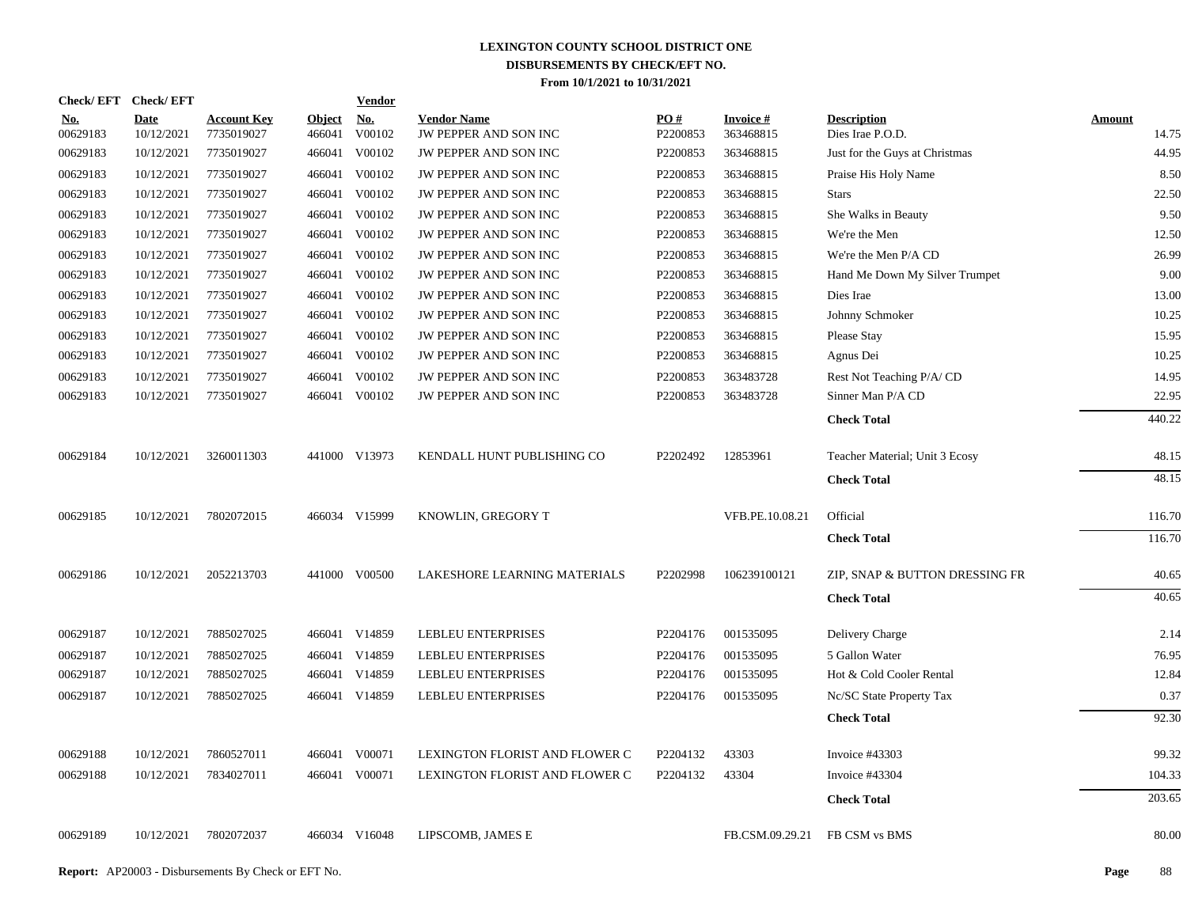|                        | Check/EFT Check/EFT       |                                  |                         | <b>Vendor</b> |                                             |                 |                              |                                        |                        |
|------------------------|---------------------------|----------------------------------|-------------------------|---------------|---------------------------------------------|-----------------|------------------------------|----------------------------------------|------------------------|
| <u>No.</u><br>00629183 | <b>Date</b><br>10/12/2021 | <b>Account Key</b><br>7735019027 | <b>Object</b><br>466041 | No.<br>V00102 | <b>Vendor Name</b><br>JW PEPPER AND SON INC | PO#<br>P2200853 | <b>Invoice#</b><br>363468815 | <b>Description</b><br>Dies Irae P.O.D. | <b>Amount</b><br>14.75 |
| 00629183               | 10/12/2021                | 7735019027                       | 466041                  | V00102        | JW PEPPER AND SON INC                       | P2200853        | 363468815                    | Just for the Guys at Christmas         | 44.95                  |
| 00629183               | 10/12/2021                | 7735019027                       | 466041                  | V00102        | JW PEPPER AND SON INC                       | P2200853        | 363468815                    | Praise His Holy Name                   | 8.50                   |
| 00629183               | 10/12/2021                | 7735019027                       | 466041                  | V00102        | JW PEPPER AND SON INC                       | P2200853        | 363468815                    | <b>Stars</b>                           | 22.50                  |
| 00629183               | 10/12/2021                | 7735019027                       | 466041                  | V00102        | JW PEPPER AND SON INC                       | P2200853        | 363468815                    | She Walks in Beauty                    | 9.50                   |
| 00629183               | 10/12/2021                | 7735019027                       | 466041                  | V00102        | JW PEPPER AND SON INC                       | P2200853        | 363468815                    | We're the Men                          | 12.50                  |
| 00629183               | 10/12/2021                | 7735019027                       | 466041                  | V00102        | JW PEPPER AND SON INC                       | P2200853        | 363468815                    | We're the Men P/A CD                   | 26.99                  |
| 00629183               | 10/12/2021                | 7735019027                       | 466041                  | V00102        | JW PEPPER AND SON INC                       | P2200853        | 363468815                    | Hand Me Down My Silver Trumpet         | 9.00                   |
| 00629183               | 10/12/2021                | 7735019027                       | 466041                  | V00102        | JW PEPPER AND SON INC                       | P2200853        | 363468815                    | Dies Irae                              | 13.00                  |
| 00629183               | 10/12/2021                | 7735019027                       | 466041                  | V00102        | JW PEPPER AND SON INC                       | P2200853        | 363468815                    | Johnny Schmoker                        | 10.25                  |
| 00629183               | 10/12/2021                | 7735019027                       | 466041                  | V00102        | JW PEPPER AND SON INC                       | P2200853        | 363468815                    | Please Stay                            | 15.95                  |
| 00629183               | 10/12/2021                | 7735019027                       | 466041                  | V00102        | JW PEPPER AND SON INC                       | P2200853        | 363468815                    | Agnus Dei                              | 10.25                  |
| 00629183               | 10/12/2021                | 7735019027                       | 466041                  | V00102        | JW PEPPER AND SON INC                       | P2200853        | 363483728                    | Rest Not Teaching P/A/CD               | 14.95                  |
| 00629183               | 10/12/2021                | 7735019027                       |                         | 466041 V00102 | JW PEPPER AND SON INC                       | P2200853        | 363483728                    | Sinner Man P/A CD                      | 22.95                  |
|                        |                           |                                  |                         |               |                                             |                 |                              | <b>Check Total</b>                     | 440.22                 |
| 00629184               | 10/12/2021                | 3260011303                       |                         | 441000 V13973 | KENDALL HUNT PUBLISHING CO                  | P2202492        | 12853961                     | Teacher Material; Unit 3 Ecosy         | 48.15                  |
|                        |                           |                                  |                         |               |                                             |                 |                              | <b>Check Total</b>                     | 48.15                  |
| 00629185               | 10/12/2021                | 7802072015                       |                         | 466034 V15999 | KNOWLIN, GREGORY T                          |                 | VFB.PE.10.08.21              | Official                               | 116.70                 |
|                        |                           |                                  |                         |               |                                             |                 |                              | <b>Check Total</b>                     | 116.70                 |
| 00629186               | 10/12/2021                | 2052213703                       |                         | 441000 V00500 | LAKESHORE LEARNING MATERIALS                | P2202998        | 106239100121                 | ZIP, SNAP & BUTTON DRESSING FR         | 40.65                  |
|                        |                           |                                  |                         |               |                                             |                 |                              | <b>Check Total</b>                     | 40.65                  |
| 00629187               | 10/12/2021                | 7885027025                       |                         | 466041 V14859 | <b>LEBLEU ENTERPRISES</b>                   | P2204176        | 001535095                    | Delivery Charge                        | 2.14                   |
| 00629187               | 10/12/2021                | 7885027025                       |                         | 466041 V14859 | <b>LEBLEU ENTERPRISES</b>                   | P2204176        | 001535095                    | 5 Gallon Water                         | 76.95                  |
| 00629187               | 10/12/2021                | 7885027025                       |                         | 466041 V14859 | <b>LEBLEU ENTERPRISES</b>                   | P2204176        | 001535095                    | Hot & Cold Cooler Rental               | 12.84                  |
| 00629187               | 10/12/2021                | 7885027025                       |                         | 466041 V14859 | <b>LEBLEU ENTERPRISES</b>                   | P2204176        | 001535095                    | Nc/SC State Property Tax               | 0.37                   |
|                        |                           |                                  |                         |               |                                             |                 |                              | <b>Check Total</b>                     | 92.30                  |
| 00629188               | 10/12/2021                | 7860527011                       |                         | 466041 V00071 | LEXINGTON FLORIST AND FLOWER C              | P2204132        | 43303                        | Invoice #43303                         | 99.32                  |
| 00629188               | 10/12/2021                | 7834027011                       |                         | 466041 V00071 | LEXINGTON FLORIST AND FLOWER C              | P2204132        | 43304                        | Invoice #43304                         | 104.33                 |
|                        |                           |                                  |                         |               |                                             |                 |                              | <b>Check Total</b>                     | 203.65                 |
| 00629189               | 10/12/2021                | 7802072037                       |                         | 466034 V16048 | LIPSCOMB, JAMES E                           |                 | FB.CSM.09.29.21              | FB CSM vs BMS                          | 80.00                  |
|                        |                           |                                  |                         |               |                                             |                 |                              |                                        |                        |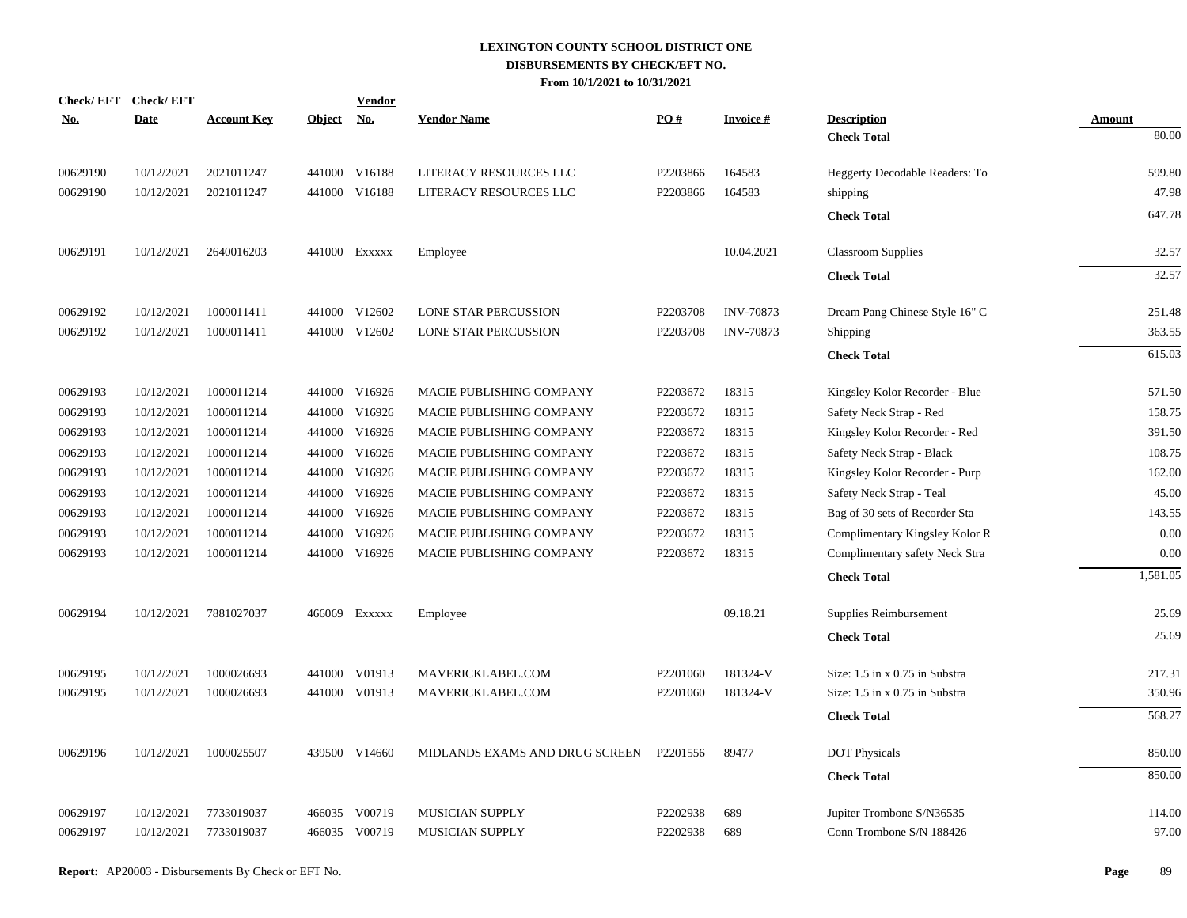| <b>Date</b><br><b>Account Key</b><br><u>No.</u><br><b>Vendor Name</b><br><b>Invoice#</b><br><b>Description</b><br><u>No.</u><br><u>Object</u><br>Amount<br>80.00<br><b>Check Total</b><br>00629190<br>10/12/2021<br>2021011247<br>441000 V16188<br>LITERACY RESOURCES LLC<br>P2203866<br>164583<br>Heggerty Decodable Readers: To<br>599.80<br>47.98<br>00629190<br>10/12/2021<br>2021011247<br>441000 V16188<br>LITERACY RESOURCES LLC<br>P2203866<br>164583<br>shipping<br>647.78<br><b>Check Total</b><br>00629191<br>10.04.2021<br>32.57<br>10/12/2021<br>2640016203<br>441000 Exxxxx<br>Employee<br><b>Classroom Supplies</b><br>32.57<br><b>Check Total</b><br>00629192<br>10/12/2021<br>1000011411<br>441000 V12602<br><b>LONE STAR PERCUSSION</b><br>P2203708<br><b>INV-70873</b><br>Dream Pang Chinese Style 16" C<br>251.48<br>363.55<br>00629192<br>10/12/2021<br>1000011411<br>441000 V12602<br>LONE STAR PERCUSSION<br>P2203708<br><b>INV-70873</b><br>Shipping<br>615.03<br><b>Check Total</b><br>00629193<br>10/12/2021<br>1000011214<br>441000 V16926<br>MACIE PUBLISHING COMPANY<br>P2203672<br>18315<br>571.50<br>Kingsley Kolor Recorder - Blue<br>1000011214<br>441000 V16926<br>P2203672<br>18315<br>Safety Neck Strap - Red<br>158.75<br>00629193<br>10/12/2021<br>MACIE PUBLISHING COMPANY<br>00629193<br>1000011214<br>441000 V16926<br>P2203672<br>18315<br>391.50<br>10/12/2021<br>MACIE PUBLISHING COMPANY<br>Kingsley Kolor Recorder - Red<br>1000011214<br>V16926<br>P2203672<br>18315<br>Safety Neck Strap - Black<br>108.75<br>00629193<br>10/12/2021<br>441000<br>MACIE PUBLISHING COMPANY<br>00629193<br>1000011214<br>441000 V16926<br>MACIE PUBLISHING COMPANY<br>P2203672<br>18315<br>162.00<br>10/12/2021<br>Kingsley Kolor Recorder - Purp<br>45.00<br>V16926<br>18315<br>Safety Neck Strap - Teal<br>00629193<br>10/12/2021<br>1000011214<br>441000<br>MACIE PUBLISHING COMPANY<br>P2203672<br>00629193<br>441000 V16926<br>18315<br>143.55<br>10/12/2021<br>1000011214<br>MACIE PUBLISHING COMPANY<br>P2203672<br>Bag of 30 sets of Recorder Sta<br>V16926<br>18315<br>0.00<br>00629193<br>10/12/2021<br>1000011214<br>441000<br>MACIE PUBLISHING COMPANY<br>P2203672<br>Complimentary Kingsley Kolor R<br>MACIE PUBLISHING COMPANY<br>P2203672<br>18315<br>0.00<br>00629193<br>10/12/2021<br>1000011214<br>441000 V16926<br>Complimentary safety Neck Stra<br><b>Check Total</b><br>09.18.21<br>25.69<br>00629194<br>10/12/2021<br>7881027037<br>466069 Exxxxx<br>Supplies Reimbursement<br>Employee<br>25.69<br><b>Check Total</b><br>00629195<br>10/12/2021<br>1000026693<br>441000 V01913<br>P2201060<br>181324-V<br>Size: 1.5 in x 0.75 in Substra<br>217.31<br>MAVERICKLABEL.COM<br>350.96<br>00629195<br>10/12/2021<br>1000026693<br>441000 V01913<br>MAVERICKLABEL.COM<br>P <sub>2201060</sub><br>181324-V<br>Size: 1.5 in x 0.75 in Substra<br>568.27<br><b>Check Total</b><br>850.00<br>00629196<br>10/12/2021<br>1000025507<br>439500 V14660<br>MIDLANDS EXAMS AND DRUG SCREEN<br>P2201556<br>89477<br><b>DOT Physicals</b><br>850.00<br><b>Check Total</b><br>00629197<br>10/12/2021<br>7733019037<br>466035 V00719<br><b>MUSICIAN SUPPLY</b><br>P2202938<br>689<br>Jupiter Trombone S/N36535<br>114.00<br>97.00<br>00629197<br>10/12/2021<br>7733019037<br>466035 V00719<br>MUSICIAN SUPPLY<br>P2202938<br>689<br>Conn Trombone S/N 188426 | Check/EFT Check/EFT |  | <b>Vendor</b> | PO# |  |          |
|-------------------------------------------------------------------------------------------------------------------------------------------------------------------------------------------------------------------------------------------------------------------------------------------------------------------------------------------------------------------------------------------------------------------------------------------------------------------------------------------------------------------------------------------------------------------------------------------------------------------------------------------------------------------------------------------------------------------------------------------------------------------------------------------------------------------------------------------------------------------------------------------------------------------------------------------------------------------------------------------------------------------------------------------------------------------------------------------------------------------------------------------------------------------------------------------------------------------------------------------------------------------------------------------------------------------------------------------------------------------------------------------------------------------------------------------------------------------------------------------------------------------------------------------------------------------------------------------------------------------------------------------------------------------------------------------------------------------------------------------------------------------------------------------------------------------------------------------------------------------------------------------------------------------------------------------------------------------------------------------------------------------------------------------------------------------------------------------------------------------------------------------------------------------------------------------------------------------------------------------------------------------------------------------------------------------------------------------------------------------------------------------------------------------------------------------------------------------------------------------------------------------------------------------------------------------------------------------------------------------------------------------------------------------------------------------------------------------------------------------------------------------------------------------------------------------------------------------------------------------------------------------------------------------------------------------------------------------------------------------------------------------------------------------------------------------------------------------------------------------------------------------------------------------------------------------------------------------------------------------------------------------------------------------------------------------------------------------------------------------------------------------------|---------------------|--|---------------|-----|--|----------|
|                                                                                                                                                                                                                                                                                                                                                                                                                                                                                                                                                                                                                                                                                                                                                                                                                                                                                                                                                                                                                                                                                                                                                                                                                                                                                                                                                                                                                                                                                                                                                                                                                                                                                                                                                                                                                                                                                                                                                                                                                                                                                                                                                                                                                                                                                                                                                                                                                                                                                                                                                                                                                                                                                                                                                                                                                                                                                                                                                                                                                                                                                                                                                                                                                                                                                                                                                                                                 |                     |  |               |     |  |          |
|                                                                                                                                                                                                                                                                                                                                                                                                                                                                                                                                                                                                                                                                                                                                                                                                                                                                                                                                                                                                                                                                                                                                                                                                                                                                                                                                                                                                                                                                                                                                                                                                                                                                                                                                                                                                                                                                                                                                                                                                                                                                                                                                                                                                                                                                                                                                                                                                                                                                                                                                                                                                                                                                                                                                                                                                                                                                                                                                                                                                                                                                                                                                                                                                                                                                                                                                                                                                 |                     |  |               |     |  |          |
|                                                                                                                                                                                                                                                                                                                                                                                                                                                                                                                                                                                                                                                                                                                                                                                                                                                                                                                                                                                                                                                                                                                                                                                                                                                                                                                                                                                                                                                                                                                                                                                                                                                                                                                                                                                                                                                                                                                                                                                                                                                                                                                                                                                                                                                                                                                                                                                                                                                                                                                                                                                                                                                                                                                                                                                                                                                                                                                                                                                                                                                                                                                                                                                                                                                                                                                                                                                                 |                     |  |               |     |  |          |
|                                                                                                                                                                                                                                                                                                                                                                                                                                                                                                                                                                                                                                                                                                                                                                                                                                                                                                                                                                                                                                                                                                                                                                                                                                                                                                                                                                                                                                                                                                                                                                                                                                                                                                                                                                                                                                                                                                                                                                                                                                                                                                                                                                                                                                                                                                                                                                                                                                                                                                                                                                                                                                                                                                                                                                                                                                                                                                                                                                                                                                                                                                                                                                                                                                                                                                                                                                                                 |                     |  |               |     |  |          |
|                                                                                                                                                                                                                                                                                                                                                                                                                                                                                                                                                                                                                                                                                                                                                                                                                                                                                                                                                                                                                                                                                                                                                                                                                                                                                                                                                                                                                                                                                                                                                                                                                                                                                                                                                                                                                                                                                                                                                                                                                                                                                                                                                                                                                                                                                                                                                                                                                                                                                                                                                                                                                                                                                                                                                                                                                                                                                                                                                                                                                                                                                                                                                                                                                                                                                                                                                                                                 |                     |  |               |     |  |          |
|                                                                                                                                                                                                                                                                                                                                                                                                                                                                                                                                                                                                                                                                                                                                                                                                                                                                                                                                                                                                                                                                                                                                                                                                                                                                                                                                                                                                                                                                                                                                                                                                                                                                                                                                                                                                                                                                                                                                                                                                                                                                                                                                                                                                                                                                                                                                                                                                                                                                                                                                                                                                                                                                                                                                                                                                                                                                                                                                                                                                                                                                                                                                                                                                                                                                                                                                                                                                 |                     |  |               |     |  |          |
|                                                                                                                                                                                                                                                                                                                                                                                                                                                                                                                                                                                                                                                                                                                                                                                                                                                                                                                                                                                                                                                                                                                                                                                                                                                                                                                                                                                                                                                                                                                                                                                                                                                                                                                                                                                                                                                                                                                                                                                                                                                                                                                                                                                                                                                                                                                                                                                                                                                                                                                                                                                                                                                                                                                                                                                                                                                                                                                                                                                                                                                                                                                                                                                                                                                                                                                                                                                                 |                     |  |               |     |  |          |
|                                                                                                                                                                                                                                                                                                                                                                                                                                                                                                                                                                                                                                                                                                                                                                                                                                                                                                                                                                                                                                                                                                                                                                                                                                                                                                                                                                                                                                                                                                                                                                                                                                                                                                                                                                                                                                                                                                                                                                                                                                                                                                                                                                                                                                                                                                                                                                                                                                                                                                                                                                                                                                                                                                                                                                                                                                                                                                                                                                                                                                                                                                                                                                                                                                                                                                                                                                                                 |                     |  |               |     |  |          |
|                                                                                                                                                                                                                                                                                                                                                                                                                                                                                                                                                                                                                                                                                                                                                                                                                                                                                                                                                                                                                                                                                                                                                                                                                                                                                                                                                                                                                                                                                                                                                                                                                                                                                                                                                                                                                                                                                                                                                                                                                                                                                                                                                                                                                                                                                                                                                                                                                                                                                                                                                                                                                                                                                                                                                                                                                                                                                                                                                                                                                                                                                                                                                                                                                                                                                                                                                                                                 |                     |  |               |     |  |          |
|                                                                                                                                                                                                                                                                                                                                                                                                                                                                                                                                                                                                                                                                                                                                                                                                                                                                                                                                                                                                                                                                                                                                                                                                                                                                                                                                                                                                                                                                                                                                                                                                                                                                                                                                                                                                                                                                                                                                                                                                                                                                                                                                                                                                                                                                                                                                                                                                                                                                                                                                                                                                                                                                                                                                                                                                                                                                                                                                                                                                                                                                                                                                                                                                                                                                                                                                                                                                 |                     |  |               |     |  |          |
|                                                                                                                                                                                                                                                                                                                                                                                                                                                                                                                                                                                                                                                                                                                                                                                                                                                                                                                                                                                                                                                                                                                                                                                                                                                                                                                                                                                                                                                                                                                                                                                                                                                                                                                                                                                                                                                                                                                                                                                                                                                                                                                                                                                                                                                                                                                                                                                                                                                                                                                                                                                                                                                                                                                                                                                                                                                                                                                                                                                                                                                                                                                                                                                                                                                                                                                                                                                                 |                     |  |               |     |  |          |
|                                                                                                                                                                                                                                                                                                                                                                                                                                                                                                                                                                                                                                                                                                                                                                                                                                                                                                                                                                                                                                                                                                                                                                                                                                                                                                                                                                                                                                                                                                                                                                                                                                                                                                                                                                                                                                                                                                                                                                                                                                                                                                                                                                                                                                                                                                                                                                                                                                                                                                                                                                                                                                                                                                                                                                                                                                                                                                                                                                                                                                                                                                                                                                                                                                                                                                                                                                                                 |                     |  |               |     |  |          |
|                                                                                                                                                                                                                                                                                                                                                                                                                                                                                                                                                                                                                                                                                                                                                                                                                                                                                                                                                                                                                                                                                                                                                                                                                                                                                                                                                                                                                                                                                                                                                                                                                                                                                                                                                                                                                                                                                                                                                                                                                                                                                                                                                                                                                                                                                                                                                                                                                                                                                                                                                                                                                                                                                                                                                                                                                                                                                                                                                                                                                                                                                                                                                                                                                                                                                                                                                                                                 |                     |  |               |     |  |          |
|                                                                                                                                                                                                                                                                                                                                                                                                                                                                                                                                                                                                                                                                                                                                                                                                                                                                                                                                                                                                                                                                                                                                                                                                                                                                                                                                                                                                                                                                                                                                                                                                                                                                                                                                                                                                                                                                                                                                                                                                                                                                                                                                                                                                                                                                                                                                                                                                                                                                                                                                                                                                                                                                                                                                                                                                                                                                                                                                                                                                                                                                                                                                                                                                                                                                                                                                                                                                 |                     |  |               |     |  |          |
|                                                                                                                                                                                                                                                                                                                                                                                                                                                                                                                                                                                                                                                                                                                                                                                                                                                                                                                                                                                                                                                                                                                                                                                                                                                                                                                                                                                                                                                                                                                                                                                                                                                                                                                                                                                                                                                                                                                                                                                                                                                                                                                                                                                                                                                                                                                                                                                                                                                                                                                                                                                                                                                                                                                                                                                                                                                                                                                                                                                                                                                                                                                                                                                                                                                                                                                                                                                                 |                     |  |               |     |  |          |
|                                                                                                                                                                                                                                                                                                                                                                                                                                                                                                                                                                                                                                                                                                                                                                                                                                                                                                                                                                                                                                                                                                                                                                                                                                                                                                                                                                                                                                                                                                                                                                                                                                                                                                                                                                                                                                                                                                                                                                                                                                                                                                                                                                                                                                                                                                                                                                                                                                                                                                                                                                                                                                                                                                                                                                                                                                                                                                                                                                                                                                                                                                                                                                                                                                                                                                                                                                                                 |                     |  |               |     |  |          |
|                                                                                                                                                                                                                                                                                                                                                                                                                                                                                                                                                                                                                                                                                                                                                                                                                                                                                                                                                                                                                                                                                                                                                                                                                                                                                                                                                                                                                                                                                                                                                                                                                                                                                                                                                                                                                                                                                                                                                                                                                                                                                                                                                                                                                                                                                                                                                                                                                                                                                                                                                                                                                                                                                                                                                                                                                                                                                                                                                                                                                                                                                                                                                                                                                                                                                                                                                                                                 |                     |  |               |     |  |          |
|                                                                                                                                                                                                                                                                                                                                                                                                                                                                                                                                                                                                                                                                                                                                                                                                                                                                                                                                                                                                                                                                                                                                                                                                                                                                                                                                                                                                                                                                                                                                                                                                                                                                                                                                                                                                                                                                                                                                                                                                                                                                                                                                                                                                                                                                                                                                                                                                                                                                                                                                                                                                                                                                                                                                                                                                                                                                                                                                                                                                                                                                                                                                                                                                                                                                                                                                                                                                 |                     |  |               |     |  |          |
|                                                                                                                                                                                                                                                                                                                                                                                                                                                                                                                                                                                                                                                                                                                                                                                                                                                                                                                                                                                                                                                                                                                                                                                                                                                                                                                                                                                                                                                                                                                                                                                                                                                                                                                                                                                                                                                                                                                                                                                                                                                                                                                                                                                                                                                                                                                                                                                                                                                                                                                                                                                                                                                                                                                                                                                                                                                                                                                                                                                                                                                                                                                                                                                                                                                                                                                                                                                                 |                     |  |               |     |  |          |
|                                                                                                                                                                                                                                                                                                                                                                                                                                                                                                                                                                                                                                                                                                                                                                                                                                                                                                                                                                                                                                                                                                                                                                                                                                                                                                                                                                                                                                                                                                                                                                                                                                                                                                                                                                                                                                                                                                                                                                                                                                                                                                                                                                                                                                                                                                                                                                                                                                                                                                                                                                                                                                                                                                                                                                                                                                                                                                                                                                                                                                                                                                                                                                                                                                                                                                                                                                                                 |                     |  |               |     |  | 1,581.05 |
|                                                                                                                                                                                                                                                                                                                                                                                                                                                                                                                                                                                                                                                                                                                                                                                                                                                                                                                                                                                                                                                                                                                                                                                                                                                                                                                                                                                                                                                                                                                                                                                                                                                                                                                                                                                                                                                                                                                                                                                                                                                                                                                                                                                                                                                                                                                                                                                                                                                                                                                                                                                                                                                                                                                                                                                                                                                                                                                                                                                                                                                                                                                                                                                                                                                                                                                                                                                                 |                     |  |               |     |  |          |
|                                                                                                                                                                                                                                                                                                                                                                                                                                                                                                                                                                                                                                                                                                                                                                                                                                                                                                                                                                                                                                                                                                                                                                                                                                                                                                                                                                                                                                                                                                                                                                                                                                                                                                                                                                                                                                                                                                                                                                                                                                                                                                                                                                                                                                                                                                                                                                                                                                                                                                                                                                                                                                                                                                                                                                                                                                                                                                                                                                                                                                                                                                                                                                                                                                                                                                                                                                                                 |                     |  |               |     |  |          |
|                                                                                                                                                                                                                                                                                                                                                                                                                                                                                                                                                                                                                                                                                                                                                                                                                                                                                                                                                                                                                                                                                                                                                                                                                                                                                                                                                                                                                                                                                                                                                                                                                                                                                                                                                                                                                                                                                                                                                                                                                                                                                                                                                                                                                                                                                                                                                                                                                                                                                                                                                                                                                                                                                                                                                                                                                                                                                                                                                                                                                                                                                                                                                                                                                                                                                                                                                                                                 |                     |  |               |     |  |          |
|                                                                                                                                                                                                                                                                                                                                                                                                                                                                                                                                                                                                                                                                                                                                                                                                                                                                                                                                                                                                                                                                                                                                                                                                                                                                                                                                                                                                                                                                                                                                                                                                                                                                                                                                                                                                                                                                                                                                                                                                                                                                                                                                                                                                                                                                                                                                                                                                                                                                                                                                                                                                                                                                                                                                                                                                                                                                                                                                                                                                                                                                                                                                                                                                                                                                                                                                                                                                 |                     |  |               |     |  |          |
|                                                                                                                                                                                                                                                                                                                                                                                                                                                                                                                                                                                                                                                                                                                                                                                                                                                                                                                                                                                                                                                                                                                                                                                                                                                                                                                                                                                                                                                                                                                                                                                                                                                                                                                                                                                                                                                                                                                                                                                                                                                                                                                                                                                                                                                                                                                                                                                                                                                                                                                                                                                                                                                                                                                                                                                                                                                                                                                                                                                                                                                                                                                                                                                                                                                                                                                                                                                                 |                     |  |               |     |  |          |
|                                                                                                                                                                                                                                                                                                                                                                                                                                                                                                                                                                                                                                                                                                                                                                                                                                                                                                                                                                                                                                                                                                                                                                                                                                                                                                                                                                                                                                                                                                                                                                                                                                                                                                                                                                                                                                                                                                                                                                                                                                                                                                                                                                                                                                                                                                                                                                                                                                                                                                                                                                                                                                                                                                                                                                                                                                                                                                                                                                                                                                                                                                                                                                                                                                                                                                                                                                                                 |                     |  |               |     |  |          |
|                                                                                                                                                                                                                                                                                                                                                                                                                                                                                                                                                                                                                                                                                                                                                                                                                                                                                                                                                                                                                                                                                                                                                                                                                                                                                                                                                                                                                                                                                                                                                                                                                                                                                                                                                                                                                                                                                                                                                                                                                                                                                                                                                                                                                                                                                                                                                                                                                                                                                                                                                                                                                                                                                                                                                                                                                                                                                                                                                                                                                                                                                                                                                                                                                                                                                                                                                                                                 |                     |  |               |     |  |          |
|                                                                                                                                                                                                                                                                                                                                                                                                                                                                                                                                                                                                                                                                                                                                                                                                                                                                                                                                                                                                                                                                                                                                                                                                                                                                                                                                                                                                                                                                                                                                                                                                                                                                                                                                                                                                                                                                                                                                                                                                                                                                                                                                                                                                                                                                                                                                                                                                                                                                                                                                                                                                                                                                                                                                                                                                                                                                                                                                                                                                                                                                                                                                                                                                                                                                                                                                                                                                 |                     |  |               |     |  |          |
|                                                                                                                                                                                                                                                                                                                                                                                                                                                                                                                                                                                                                                                                                                                                                                                                                                                                                                                                                                                                                                                                                                                                                                                                                                                                                                                                                                                                                                                                                                                                                                                                                                                                                                                                                                                                                                                                                                                                                                                                                                                                                                                                                                                                                                                                                                                                                                                                                                                                                                                                                                                                                                                                                                                                                                                                                                                                                                                                                                                                                                                                                                                                                                                                                                                                                                                                                                                                 |                     |  |               |     |  |          |
|                                                                                                                                                                                                                                                                                                                                                                                                                                                                                                                                                                                                                                                                                                                                                                                                                                                                                                                                                                                                                                                                                                                                                                                                                                                                                                                                                                                                                                                                                                                                                                                                                                                                                                                                                                                                                                                                                                                                                                                                                                                                                                                                                                                                                                                                                                                                                                                                                                                                                                                                                                                                                                                                                                                                                                                                                                                                                                                                                                                                                                                                                                                                                                                                                                                                                                                                                                                                 |                     |  |               |     |  |          |
|                                                                                                                                                                                                                                                                                                                                                                                                                                                                                                                                                                                                                                                                                                                                                                                                                                                                                                                                                                                                                                                                                                                                                                                                                                                                                                                                                                                                                                                                                                                                                                                                                                                                                                                                                                                                                                                                                                                                                                                                                                                                                                                                                                                                                                                                                                                                                                                                                                                                                                                                                                                                                                                                                                                                                                                                                                                                                                                                                                                                                                                                                                                                                                                                                                                                                                                                                                                                 |                     |  |               |     |  |          |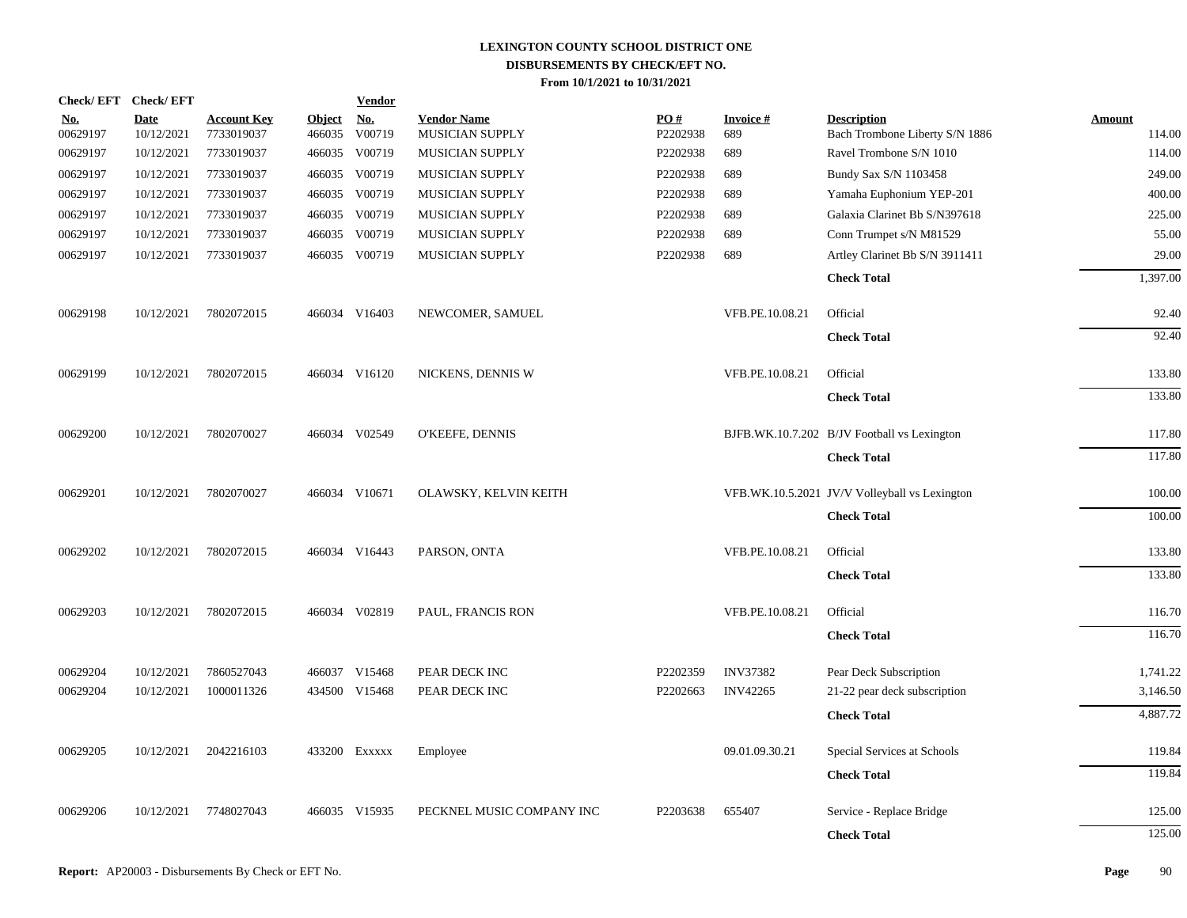| Check/EFT Check/EFT    |                    |                                  |                         | <b>Vendor</b>            |                                       |                 |                        |                                                      |                  |
|------------------------|--------------------|----------------------------------|-------------------------|--------------------------|---------------------------------------|-----------------|------------------------|------------------------------------------------------|------------------|
| <u>No.</u><br>00629197 | Date<br>10/12/2021 | <b>Account Key</b><br>7733019037 | <b>Object</b><br>466035 | N <sub>0</sub><br>V00719 | <b>Vendor Name</b><br>MUSICIAN SUPPLY | PO#<br>P2202938 | <b>Invoice#</b><br>689 | <b>Description</b><br>Bach Trombone Liberty S/N 1886 | Amount<br>114.00 |
| 00629197               | 10/12/2021         | 7733019037                       |                         | 466035 V00719            | MUSICIAN SUPPLY                       | P2202938        | 689                    | Ravel Trombone S/N 1010                              | 114.00           |
| 00629197               | 10/12/2021         | 7733019037                       |                         | 466035 V00719            | MUSICIAN SUPPLY                       | P2202938        | 689                    | Bundy Sax S/N 1103458                                | 249.00           |
| 00629197               | 10/12/2021         | 7733019037                       |                         | 466035 V00719            | MUSICIAN SUPPLY                       | P2202938        | 689                    | Yamaha Euphonium YEP-201                             | 400.00           |
| 00629197               | 10/12/2021         | 7733019037                       |                         | 466035 V00719            | MUSICIAN SUPPLY                       | P2202938        | 689                    | Galaxia Clarinet Bb S/N397618                        | 225.00           |
| 00629197               | 10/12/2021         | 7733019037                       |                         | 466035 V00719            | MUSICIAN SUPPLY                       | P2202938        | 689                    | Conn Trumpet s/N M81529                              | 55.00            |
| 00629197               | 10/12/2021         | 7733019037                       |                         | 466035 V00719            | MUSICIAN SUPPLY                       | P2202938        | 689                    | Artley Clarinet Bb S/N 3911411                       | 29.00            |
|                        |                    |                                  |                         |                          |                                       |                 |                        | <b>Check Total</b>                                   | 1,397.00         |
| 00629198               | 10/12/2021         | 7802072015                       |                         | 466034 V16403            | NEWCOMER, SAMUEL                      |                 | VFB.PE.10.08.21        | Official                                             | 92.40            |
|                        |                    |                                  |                         |                          |                                       |                 |                        | <b>Check Total</b>                                   | 92.40            |
| 00629199               | 10/12/2021         | 7802072015                       |                         | 466034 V16120            | NICKENS, DENNIS W                     |                 | VFB.PE.10.08.21        | Official                                             | 133.80           |
|                        |                    |                                  |                         |                          |                                       |                 |                        | <b>Check Total</b>                                   | 133.80           |
| 00629200               | 10/12/2021         | 7802070027                       |                         | 466034 V02549            | O'KEEFE, DENNIS                       |                 |                        | BJFB.WK.10.7.202 B/JV Football vs Lexington          | 117.80           |
|                        |                    |                                  |                         |                          |                                       |                 |                        | <b>Check Total</b>                                   | 117.80           |
| 00629201               | 10/12/2021         | 7802070027                       |                         | 466034 V10671            | OLAWSKY, KELVIN KEITH                 |                 |                        | VFB.WK.10.5.2021 JV/V Volleyball vs Lexington        | 100.00           |
|                        |                    |                                  |                         |                          |                                       |                 |                        | <b>Check Total</b>                                   | 100.00           |
| 00629202               | 10/12/2021         | 7802072015                       |                         | 466034 V16443            | PARSON, ONTA                          |                 | VFB.PE.10.08.21        | Official                                             | 133.80           |
|                        |                    |                                  |                         |                          |                                       |                 |                        | <b>Check Total</b>                                   | 133.80           |
| 00629203               | 10/12/2021         | 7802072015                       |                         | 466034 V02819            | PAUL, FRANCIS RON                     |                 | VFB.PE.10.08.21        | Official                                             | 116.70           |
|                        |                    |                                  |                         |                          |                                       |                 |                        | <b>Check Total</b>                                   | 116.70           |
| 00629204               | 10/12/2021         | 7860527043                       |                         | 466037 V15468            | PEAR DECK INC                         | P2202359        | <b>INV37382</b>        | Pear Deck Subscription                               | 1,741.22         |
| 00629204               | 10/12/2021         | 1000011326                       |                         | 434500 V15468            | PEAR DECK INC                         | P2202663        | <b>INV42265</b>        | 21-22 pear deck subscription                         | 3,146.50         |
|                        |                    |                                  |                         |                          |                                       |                 |                        | <b>Check Total</b>                                   | 4,887.72         |
| 00629205               | 10/12/2021         | 2042216103                       |                         | 433200 Exxxxx            | Employee                              |                 | 09.01.09.30.21         | Special Services at Schools                          | 119.84           |
|                        |                    |                                  |                         |                          |                                       |                 |                        | <b>Check Total</b>                                   | 119.84           |
| 00629206               | 10/12/2021         | 7748027043                       |                         | 466035 V15935            | PECKNEL MUSIC COMPANY INC             | P2203638        | 655407                 | Service - Replace Bridge                             | 125.00           |
|                        |                    |                                  |                         |                          |                                       |                 |                        | <b>Check Total</b>                                   | 125.00           |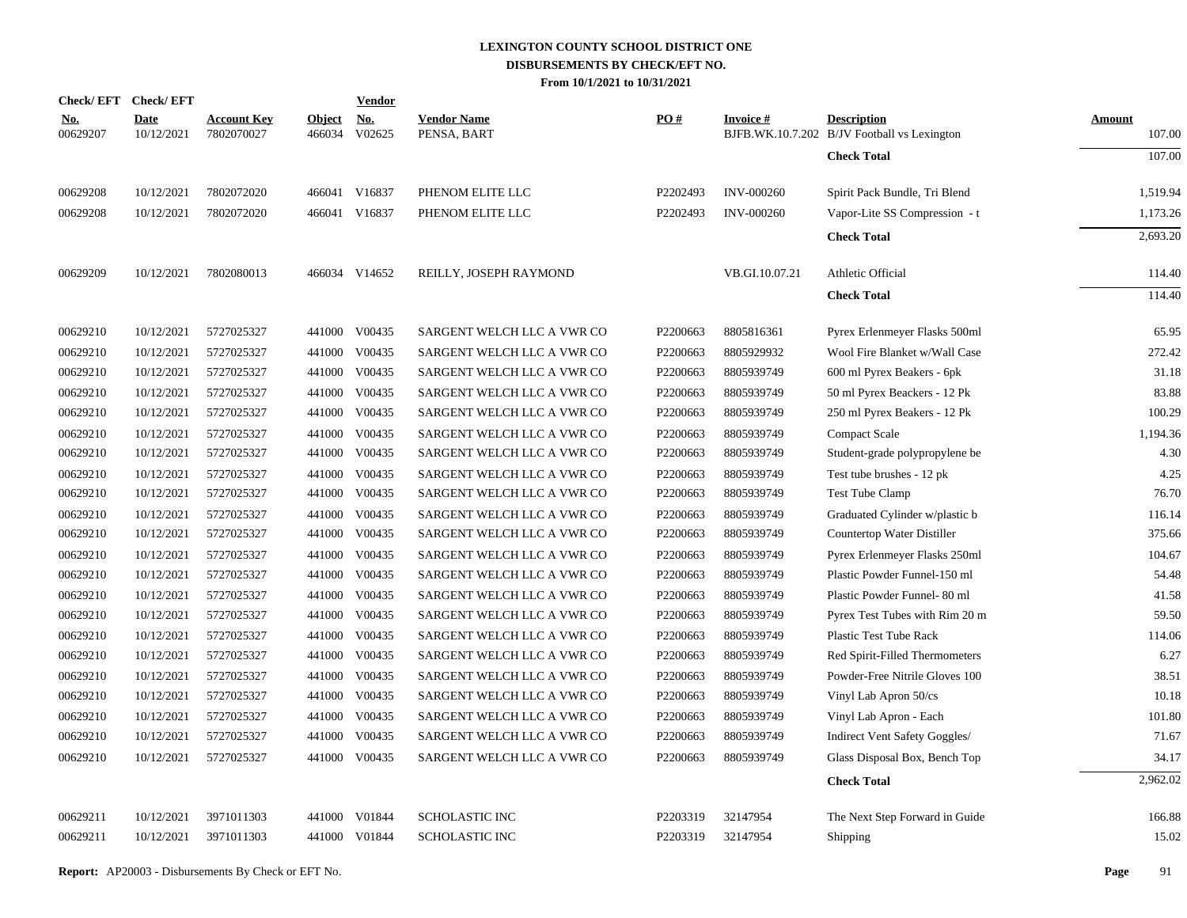| Check/EFT Check/EFT    |                           |                                  |                         | <b>Vendor</b>                         |                                   |          |                   |                                                                   |                         |
|------------------------|---------------------------|----------------------------------|-------------------------|---------------------------------------|-----------------------------------|----------|-------------------|-------------------------------------------------------------------|-------------------------|
| <u>No.</u><br>00629207 | <b>Date</b><br>10/12/2021 | <b>Account Key</b><br>7802070027 | <b>Object</b><br>466034 | $\underline{\mathrm{No}}$ .<br>V02625 | <b>Vendor Name</b><br>PENSA, BART | PO#      | <b>Invoice#</b>   | <b>Description</b><br>BJFB.WK.10.7.202 B/JV Football vs Lexington | <b>Amount</b><br>107.00 |
|                        |                           |                                  |                         |                                       |                                   |          |                   | <b>Check Total</b>                                                | 107.00                  |
| 00629208               | 10/12/2021                | 7802072020                       |                         | 466041 V16837                         | PHENOM ELITE LLC                  | P2202493 | <b>INV-000260</b> | Spirit Pack Bundle, Tri Blend                                     | 1,519.94                |
| 00629208               | 10/12/2021                | 7802072020                       |                         | 466041 V16837                         | PHENOM ELITE LLC                  | P2202493 | <b>INV-000260</b> | Vapor-Lite SS Compression - t                                     | 1,173.26                |
|                        |                           |                                  |                         |                                       |                                   |          |                   | <b>Check Total</b>                                                | 2,693.20                |
| 00629209               | 10/12/2021                | 7802080013                       |                         | 466034 V14652                         | REILLY, JOSEPH RAYMOND            |          | VB.GI.10.07.21    | Athletic Official                                                 | 114.40                  |
|                        |                           |                                  |                         |                                       |                                   |          |                   | <b>Check Total</b>                                                | 114.40                  |
| 00629210               | 10/12/2021                | 5727025327                       |                         | 441000 V00435                         | SARGENT WELCH LLC A VWR CO        | P2200663 | 8805816361        | Pyrex Erlenmeyer Flasks 500ml                                     | 65.95                   |
| 00629210               | 10/12/2021                | 5727025327                       |                         | 441000 V00435                         | SARGENT WELCH LLC A VWR CO        | P2200663 | 8805929932        | Wool Fire Blanket w/Wall Case                                     | 272.42                  |
| 00629210               | 10/12/2021                | 5727025327                       |                         | 441000 V00435                         | SARGENT WELCH LLC A VWR CO        | P2200663 | 8805939749        | 600 ml Pyrex Beakers - 6pk                                        | 31.18                   |
| 00629210               | 10/12/2021                | 5727025327                       |                         | 441000 V00435                         | SARGENT WELCH LLC A VWR CO        | P2200663 | 8805939749        | 50 ml Pyrex Beackers - 12 Pk                                      | 83.88                   |
| 00629210               | 10/12/2021                | 5727025327                       |                         | 441000 V00435                         | SARGENT WELCH LLC A VWR CO        | P2200663 | 8805939749        | 250 ml Pyrex Beakers - 12 Pk                                      | 100.29                  |
| 00629210               | 10/12/2021                | 5727025327                       |                         | 441000 V00435                         | SARGENT WELCH LLC A VWR CO        | P2200663 | 8805939749        | <b>Compact Scale</b>                                              | 1,194.36                |
| 00629210               | 10/12/2021                | 5727025327                       |                         | 441000 V00435                         | SARGENT WELCH LLC A VWR CO        | P2200663 | 8805939749        | Student-grade polypropylene be                                    | 4.30                    |
| 00629210               | 10/12/2021                | 5727025327                       |                         | 441000 V00435                         | SARGENT WELCH LLC A VWR CO        | P2200663 | 8805939749        | Test tube brushes - 12 pk                                         | 4.25                    |
| 00629210               | 10/12/2021                | 5727025327                       |                         | 441000 V00435                         | SARGENT WELCH LLC A VWR CO        | P2200663 | 8805939749        | Test Tube Clamp                                                   | 76.70                   |
| 00629210               | 10/12/2021                | 5727025327                       |                         | 441000 V00435                         | SARGENT WELCH LLC A VWR CO        | P2200663 | 8805939749        | Graduated Cylinder w/plastic b                                    | 116.14                  |
| 00629210               | 10/12/2021                | 5727025327                       |                         | 441000 V00435                         | SARGENT WELCH LLC A VWR CO        | P2200663 | 8805939749        | Countertop Water Distiller                                        | 375.66                  |
| 00629210               | 10/12/2021                | 5727025327                       |                         | 441000 V00435                         | SARGENT WELCH LLC A VWR CO        | P2200663 | 8805939749        | Pyrex Erlenmeyer Flasks 250ml                                     | 104.67                  |
| 00629210               | 10/12/2021                | 5727025327                       | 441000                  | V00435                                | SARGENT WELCH LLC A VWR CO        | P2200663 | 8805939749        | Plastic Powder Funnel-150 ml                                      | 54.48                   |
| 00629210               | 10/12/2021                | 5727025327                       |                         | 441000 V00435                         | SARGENT WELCH LLC A VWR CO        | P2200663 | 8805939749        | Plastic Powder Funnel-80 ml                                       | 41.58                   |
| 00629210               | 10/12/2021                | 5727025327                       | 441000                  | V00435                                | SARGENT WELCH LLC A VWR CO        | P2200663 | 8805939749        | Pyrex Test Tubes with Rim 20 m                                    | 59.50                   |
| 00629210               | 10/12/2021                | 5727025327                       |                         | 441000 V00435                         | SARGENT WELCH LLC A VWR CO        | P2200663 | 8805939749        | Plastic Test Tube Rack                                            | 114.06                  |
| 00629210               | 10/12/2021                | 5727025327                       |                         | 441000 V00435                         | SARGENT WELCH LLC A VWR CO        | P2200663 | 8805939749        | Red Spirit-Filled Thermometers                                    | 6.27                    |
| 00629210               | 10/12/2021                | 5727025327                       |                         | 441000 V00435                         | SARGENT WELCH LLC A VWR CO        | P2200663 | 8805939749        | Powder-Free Nitrile Gloves 100                                    | 38.51                   |
| 00629210               | 10/12/2021                | 5727025327                       |                         | 441000 V00435                         | SARGENT WELCH LLC A VWR CO        | P2200663 | 8805939749        | Vinyl Lab Apron 50/cs                                             | 10.18                   |
| 00629210               | 10/12/2021                | 5727025327                       |                         | 441000 V00435                         | SARGENT WELCH LLC A VWR CO        | P2200663 | 8805939749        | Vinyl Lab Apron - Each                                            | 101.80                  |
| 00629210               | 10/12/2021                | 5727025327                       |                         | 441000 V00435                         | SARGENT WELCH LLC A VWR CO        | P2200663 | 8805939749        | Indirect Vent Safety Goggles/                                     | 71.67                   |
| 00629210               | 10/12/2021                | 5727025327                       |                         | 441000 V00435                         | SARGENT WELCH LLC A VWR CO        | P2200663 | 8805939749        | Glass Disposal Box, Bench Top                                     | 34.17                   |
|                        |                           |                                  |                         |                                       |                                   |          |                   | <b>Check Total</b>                                                | 2,962.02                |
| 00629211               | 10/12/2021                | 3971011303                       |                         | 441000 V01844                         | <b>SCHOLASTIC INC</b>             | P2203319 | 32147954          | The Next Step Forward in Guide                                    | 166.88                  |
| 00629211               | 10/12/2021                | 3971011303                       |                         | 441000 V01844                         | <b>SCHOLASTIC INC</b>             | P2203319 | 32147954          | Shipping                                                          | 15.02                   |
|                        |                           |                                  |                         |                                       |                                   |          |                   |                                                                   |                         |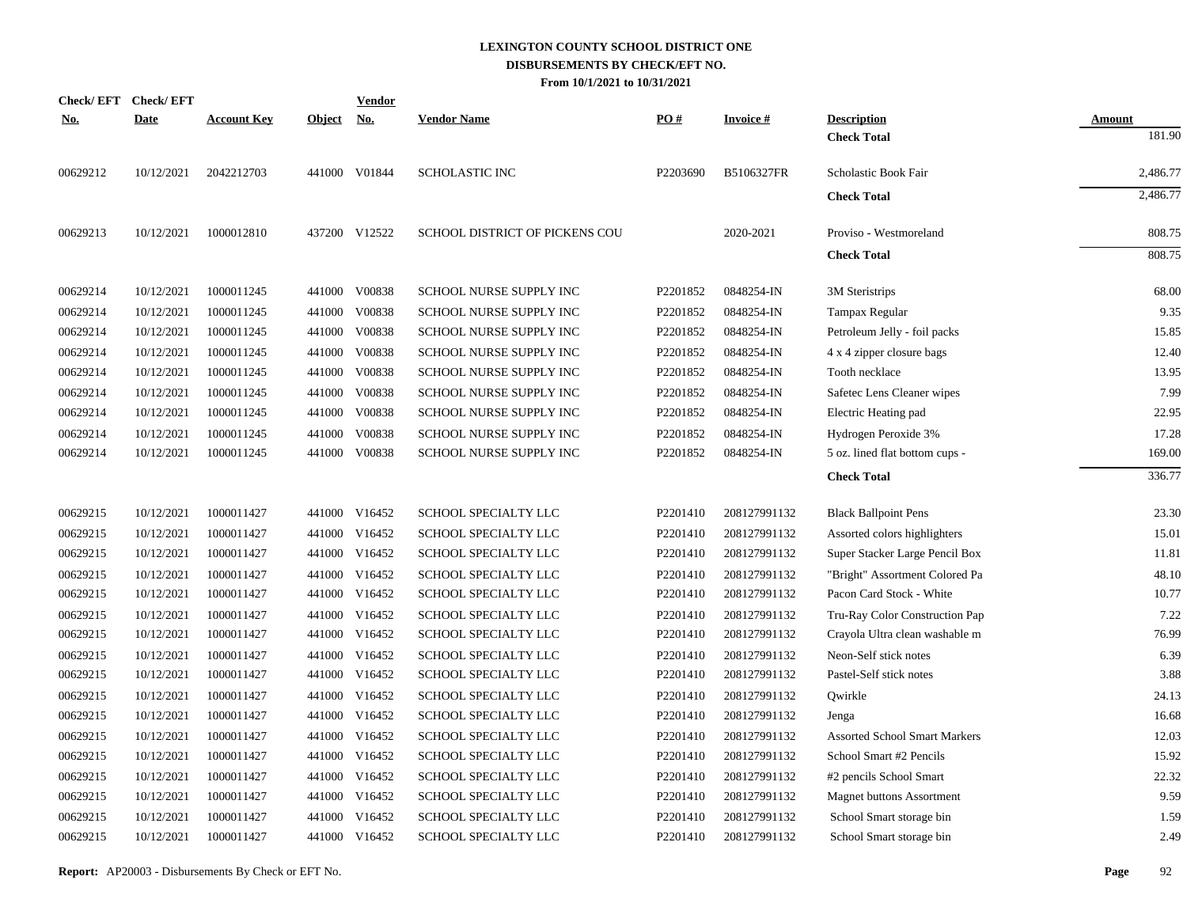| <b>Check/EFT</b> | <b>Check/EFT</b> |                    |               | Vendor        |                                |          |                 |                                      |               |
|------------------|------------------|--------------------|---------------|---------------|--------------------------------|----------|-----------------|--------------------------------------|---------------|
| <u>No.</u>       | <b>Date</b>      | <b>Account Key</b> | <b>Object</b> | <u>No.</u>    | <b>Vendor Name</b>             | PO#      | <b>Invoice#</b> | <b>Description</b>                   | <b>Amount</b> |
|                  |                  |                    |               |               |                                |          |                 | <b>Check Total</b>                   | 181.90        |
| 00629212         | 10/12/2021       | 2042212703         |               | 441000 V01844 | <b>SCHOLASTIC INC</b>          | P2203690 | B5106327FR      | Scholastic Book Fair                 | 2,486.77      |
|                  |                  |                    |               |               |                                |          |                 | <b>Check Total</b>                   | 2,486.77      |
| 00629213         | 10/12/2021       | 1000012810         |               | 437200 V12522 | SCHOOL DISTRICT OF PICKENS COU |          | 2020-2021       | Proviso - Westmoreland               | 808.75        |
|                  |                  |                    |               |               |                                |          |                 | <b>Check Total</b>                   | 808.75        |
| 00629214         | 10/12/2021       | 1000011245         |               | 441000 V00838 | <b>SCHOOL NURSE SUPPLY INC</b> | P2201852 | 0848254-IN      | 3M Steristrips                       | 68.00         |
| 00629214         | 10/12/2021       | 1000011245         | 441000        | V00838        | SCHOOL NURSE SUPPLY INC        | P2201852 | 0848254-IN      | Tampax Regular                       | 9.35          |
| 00629214         | 10/12/2021       | 1000011245         | 441000        | V00838        | SCHOOL NURSE SUPPLY INC        | P2201852 | 0848254-IN      | Petroleum Jelly - foil packs         | 15.85         |
| 00629214         | 10/12/2021       | 1000011245         | 441000        | V00838        | SCHOOL NURSE SUPPLY INC        | P2201852 | 0848254-IN      | 4 x 4 zipper closure bags            | 12.40         |
| 00629214         | 10/12/2021       | 1000011245         | 441000        | V00838        | SCHOOL NURSE SUPPLY INC        | P2201852 | 0848254-IN      | Tooth necklace                       | 13.95         |
| 00629214         | 10/12/2021       | 1000011245         | 441000        | V00838        | SCHOOL NURSE SUPPLY INC        | P2201852 | 0848254-IN      | Safetec Lens Cleaner wipes           | 7.99          |
| 00629214         | 10/12/2021       | 1000011245         | 441000        | V00838        | SCHOOL NURSE SUPPLY INC        | P2201852 | 0848254-IN      | Electric Heating pad                 | 22.95         |
| 00629214         | 10/12/2021       | 1000011245         | 441000        | V00838        | SCHOOL NURSE SUPPLY INC        | P2201852 | 0848254-IN      | Hydrogen Peroxide 3%                 | 17.28         |
| 00629214         | 10/12/2021       | 1000011245         | 441000        | V00838        | SCHOOL NURSE SUPPLY INC        | P2201852 | 0848254-IN      | 5 oz. lined flat bottom cups -       | 169.00        |
|                  |                  |                    |               |               |                                |          |                 | <b>Check Total</b>                   | 336.77        |
| 00629215         | 10/12/2021       | 1000011427         |               | 441000 V16452 | SCHOOL SPECIALTY LLC           | P2201410 | 208127991132    | <b>Black Ballpoint Pens</b>          | 23.30         |
| 00629215         | 10/12/2021       | 1000011427         | 441000        | V16452        | SCHOOL SPECIALTY LLC           | P2201410 | 208127991132    | Assorted colors highlighters         | 15.01         |
| 00629215         | 10/12/2021       | 1000011427         |               | 441000 V16452 | SCHOOL SPECIALTY LLC           | P2201410 | 208127991132    | Super Stacker Large Pencil Box       | 11.81         |
| 00629215         | 10/12/2021       | 1000011427         | 441000        | V16452        | SCHOOL SPECIALTY LLC           | P2201410 | 208127991132    | "Bright" Assortment Colored Pa       | 48.10         |
| 00629215         | 10/12/2021       | 1000011427         | 441000        | V16452        | SCHOOL SPECIALTY LLC           | P2201410 | 208127991132    | Pacon Card Stock - White             | 10.77         |
| 00629215         | 10/12/2021       | 1000011427         | 441000        | V16452        | SCHOOL SPECIALTY LLC           | P2201410 | 208127991132    | Tru-Ray Color Construction Pap       | 7.22          |
| 00629215         | 10/12/2021       | 1000011427         | 441000        | V16452        | SCHOOL SPECIALTY LLC           | P2201410 | 208127991132    | Crayola Ultra clean washable m       | 76.99         |
| 00629215         | 10/12/2021       | 1000011427         | 441000        | V16452        | SCHOOL SPECIALTY LLC           | P2201410 | 208127991132    | Neon-Self stick notes                | 6.39          |
| 00629215         | 10/12/2021       | 1000011427         |               | 441000 V16452 | SCHOOL SPECIALTY LLC           | P2201410 | 208127991132    | Pastel-Self stick notes              | 3.88          |
| 00629215         | 10/12/2021       | 1000011427         | 441000        | V16452        | SCHOOL SPECIALTY LLC           | P2201410 | 208127991132    | Qwirkle                              | 24.13         |
| 00629215         | 10/12/2021       | 1000011427         |               | 441000 V16452 | SCHOOL SPECIALTY LLC           | P2201410 | 208127991132    | Jenga                                | 16.68         |
| 00629215         | 10/12/2021       | 1000011427         | 441000        | V16452        | SCHOOL SPECIALTY LLC           | P2201410 | 208127991132    | <b>Assorted School Smart Markers</b> | 12.03         |
| 00629215         | 10/12/2021       | 1000011427         |               | 441000 V16452 | SCHOOL SPECIALTY LLC           | P2201410 | 208127991132    | School Smart #2 Pencils              | 15.92         |
| 00629215         | 10/12/2021       | 1000011427         | 441000        | V16452        | SCHOOL SPECIALTY LLC           | P2201410 | 208127991132    | #2 pencils School Smart              | 22.32         |
| 00629215         | 10/12/2021       | 1000011427         |               | 441000 V16452 | SCHOOL SPECIALTY LLC           | P2201410 | 208127991132    | <b>Magnet buttons Assortment</b>     | 9.59          |
| 00629215         | 10/12/2021       | 1000011427         | 441000        | V16452        | SCHOOL SPECIALTY LLC           | P2201410 | 208127991132    | School Smart storage bin             | 1.59          |
| 00629215         | 10/12/2021       | 1000011427         |               | 441000 V16452 | SCHOOL SPECIALTY LLC           | P2201410 | 208127991132    | School Smart storage bin             | 2.49          |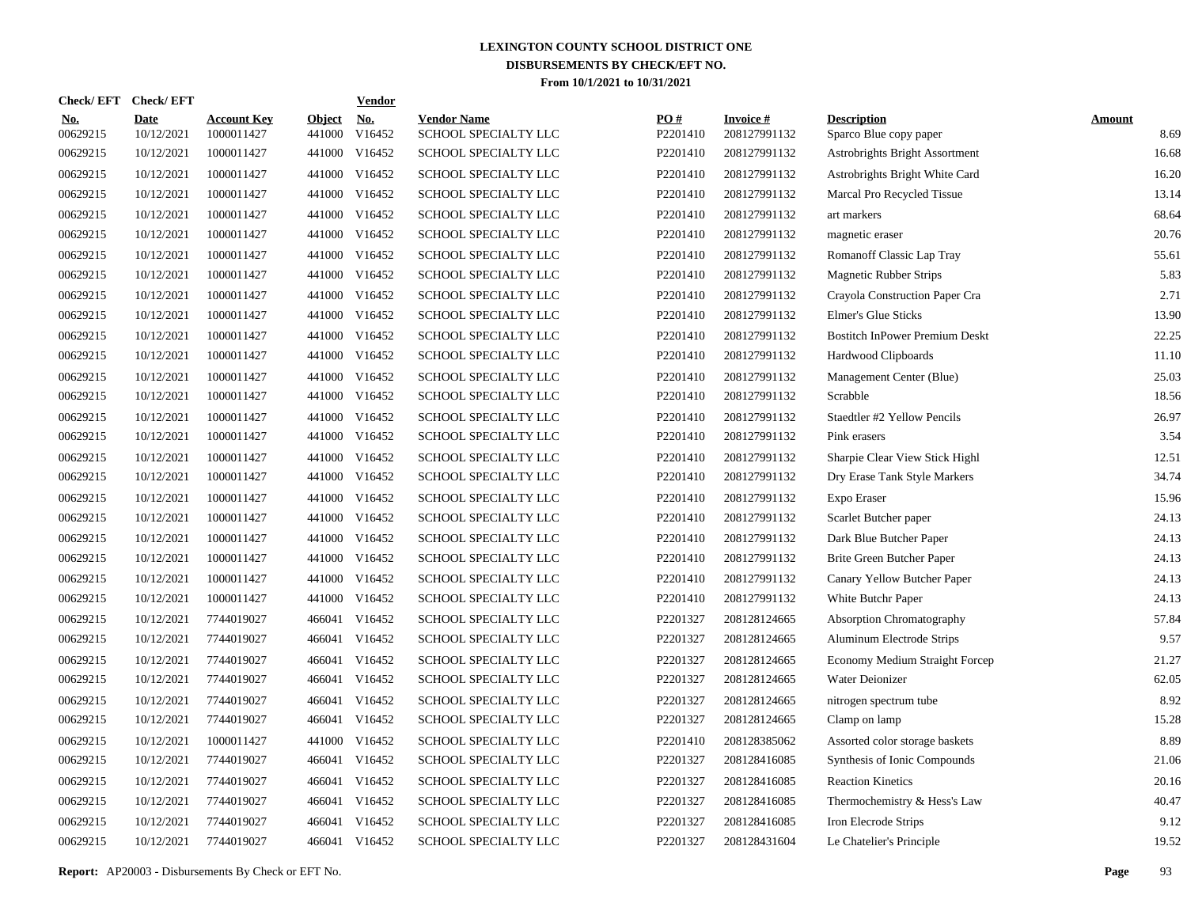| Check/EFT Check/EFT    |                           |                                  |                         | <u>Vendor</u>        |                                            |                 |                                 |                                              |                       |
|------------------------|---------------------------|----------------------------------|-------------------------|----------------------|--------------------------------------------|-----------------|---------------------------------|----------------------------------------------|-----------------------|
| <u>No.</u><br>00629215 | <b>Date</b><br>10/12/2021 | <b>Account Key</b><br>1000011427 | <b>Object</b><br>441000 | <u>No.</u><br>V16452 | <b>Vendor Name</b><br>SCHOOL SPECIALTY LLC | PQ#<br>P2201410 | <b>Invoice#</b><br>208127991132 | <b>Description</b><br>Sparco Blue copy paper | <b>Amount</b><br>8.69 |
| 00629215               | 10/12/2021                | 1000011427                       |                         | 441000 V16452        | SCHOOL SPECIALTY LLC                       | P2201410        | 208127991132                    | Astrobrights Bright Assortment               | 16.68                 |
| 00629215               | 10/12/2021                | 1000011427                       |                         | 441000 V16452        | SCHOOL SPECIALTY LLC                       | P2201410        | 208127991132                    | Astrobrights Bright White Card               | 16.20                 |
| 00629215               | 10/12/2021                | 1000011427                       |                         | 441000 V16452        | <b>SCHOOL SPECIALTY LLC</b>                | P2201410        | 208127991132                    | Marcal Pro Recycled Tissue                   | 13.14                 |
| 00629215               | 10/12/2021                | 1000011427                       |                         | 441000 V16452        | <b>SCHOOL SPECIALTY LLC</b>                | P2201410        | 208127991132                    | art markers                                  | 68.64                 |
| 00629215               | 10/12/2021                | 1000011427                       |                         | 441000 V16452        | SCHOOL SPECIALTY LLC                       | P2201410        | 208127991132                    | magnetic eraser                              | 20.76                 |
| 00629215               | 10/12/2021                | 1000011427                       |                         | 441000 V16452        | SCHOOL SPECIALTY LLC                       | P2201410        | 208127991132                    | Romanoff Classic Lap Tray                    | 55.61                 |
| 00629215               | 10/12/2021                | 1000011427                       |                         | 441000 V16452        | SCHOOL SPECIALTY LLC                       | P2201410        | 208127991132                    | <b>Magnetic Rubber Strips</b>                | 5.83                  |
| 00629215               | 10/12/2021                | 1000011427                       |                         | 441000 V16452        | SCHOOL SPECIALTY LLC                       | P2201410        | 208127991132                    | Crayola Construction Paper Cra               | 2.71                  |
| 00629215               | 10/12/2021                | 1000011427                       |                         | 441000 V16452        | SCHOOL SPECIALTY LLC                       | P2201410        | 208127991132                    | <b>Elmer's Glue Sticks</b>                   | 13.90                 |
| 00629215               | 10/12/2021                | 1000011427                       |                         | 441000 V16452        | SCHOOL SPECIALTY LLC                       | P2201410        | 208127991132                    | <b>Bostitch InPower Premium Deskt</b>        | 22.25                 |
| 00629215               | 10/12/2021                | 1000011427                       |                         | 441000 V16452        | SCHOOL SPECIALTY LLC                       | P2201410        | 208127991132                    | Hardwood Clipboards                          | 11.10                 |
| 00629215               | 10/12/2021                | 1000011427                       |                         | 441000 V16452        | SCHOOL SPECIALTY LLC                       | P2201410        | 208127991132                    | Management Center (Blue)                     | 25.03                 |
| 00629215               | 10/12/2021                | 1000011427                       |                         | 441000 V16452        | SCHOOL SPECIALTY LLC                       | P2201410        | 208127991132                    | Scrabble                                     | 18.56                 |
| 00629215               | 10/12/2021                | 1000011427                       |                         | 441000 V16452        | SCHOOL SPECIALTY LLC                       | P2201410        | 208127991132                    | Staedtler #2 Yellow Pencils                  | 26.97                 |
| 00629215               | 10/12/2021                | 1000011427                       |                         | 441000 V16452        | SCHOOL SPECIALTY LLC                       | P2201410        | 208127991132                    | Pink erasers                                 | 3.54                  |
| 00629215               | 10/12/2021                | 1000011427                       |                         | 441000 V16452        | SCHOOL SPECIALTY LLC                       | P2201410        | 208127991132                    | Sharpie Clear View Stick Highl               | 12.51                 |
| 00629215               | 10/12/2021                | 1000011427                       |                         | 441000 V16452        | SCHOOL SPECIALTY LLC                       | P2201410        | 208127991132                    | Dry Erase Tank Style Markers                 | 34.74                 |
| 00629215               | 10/12/2021                | 1000011427                       |                         | 441000 V16452        | SCHOOL SPECIALTY LLC                       | P2201410        | 208127991132                    | Expo Eraser                                  | 15.96                 |
| 00629215               | 10/12/2021                | 1000011427                       |                         | 441000 V16452        | SCHOOL SPECIALTY LLC                       | P2201410        | 208127991132                    | Scarlet Butcher paper                        | 24.13                 |
| 00629215               | 10/12/2021                | 1000011427                       |                         | 441000 V16452        | SCHOOL SPECIALTY LLC                       | P2201410        | 208127991132                    | Dark Blue Butcher Paper                      | 24.13                 |
| 00629215               | 10/12/2021                | 1000011427                       |                         | 441000 V16452        | SCHOOL SPECIALTY LLC                       | P2201410        | 208127991132                    | Brite Green Butcher Paper                    | 24.13                 |
| 00629215               | 10/12/2021                | 1000011427                       |                         | 441000 V16452        | SCHOOL SPECIALTY LLC                       | P2201410        | 208127991132                    | Canary Yellow Butcher Paper                  | 24.13                 |
| 00629215               | 10/12/2021                | 1000011427                       |                         | 441000 V16452        | SCHOOL SPECIALTY LLC                       | P2201410        | 208127991132                    | White Butchr Paper                           | 24.13                 |
| 00629215               | 10/12/2021                | 7744019027                       | 466041                  | V16452               | SCHOOL SPECIALTY LLC                       | P2201327        | 208128124665                    | <b>Absorption Chromatography</b>             | 57.84                 |
| 00629215               | 10/12/2021                | 7744019027                       |                         | 466041 V16452        | SCHOOL SPECIALTY LLC                       | P2201327        | 208128124665                    | Aluminum Electrode Strips                    | 9.57                  |
| 00629215               | 10/12/2021                | 7744019027                       | 466041                  | V16452               | <b>SCHOOL SPECIALTY LLC</b>                | P2201327        | 208128124665                    | Economy Medium Straight Forcep               | 21.27                 |
| 00629215               | 10/12/2021                | 7744019027                       | 466041                  | V16452               | SCHOOL SPECIALTY LLC                       | P2201327        | 208128124665                    | Water Deionizer                              | 62.05                 |
| 00629215               | 10/12/2021                | 7744019027                       | 466041                  | V16452               | SCHOOL SPECIALTY LLC                       | P2201327        | 208128124665                    | nitrogen spectrum tube                       | 8.92                  |
| 00629215               | 10/12/2021                | 7744019027                       |                         | 466041 V16452        | SCHOOL SPECIALTY LLC                       | P2201327        | 208128124665                    | Clamp on lamp                                | 15.28                 |
| 00629215               | 10/12/2021                | 1000011427                       | 441000                  | V16452               | SCHOOL SPECIALTY LLC                       | P2201410        | 208128385062                    | Assorted color storage baskets               | 8.89                  |
| 00629215               | 10/12/2021                | 7744019027                       | 466041                  | V16452               | SCHOOL SPECIALTY LLC                       | P2201327        | 208128416085                    | Synthesis of Ionic Compounds                 | 21.06                 |
| 00629215               | 10/12/2021                | 7744019027                       | 466041                  | V16452               | SCHOOL SPECIALTY LLC                       | P2201327        | 208128416085                    | <b>Reaction Kinetics</b>                     | 20.16                 |
| 00629215               | 10/12/2021                | 7744019027                       | 466041                  | V16452               | SCHOOL SPECIALTY LLC                       | P2201327        | 208128416085                    | Thermochemistry & Hess's Law                 | 40.47                 |
| 00629215               | 10/12/2021                | 7744019027                       | 466041                  | V16452               | SCHOOL SPECIALTY LLC                       | P2201327        | 208128416085                    | Iron Elecrode Strips                         | 9.12                  |
| 00629215               | 10/12/2021                | 7744019027                       |                         | 466041 V16452        | SCHOOL SPECIALTY LLC                       | P2201327        | 208128431604                    | Le Chatelier's Principle                     | 19.52                 |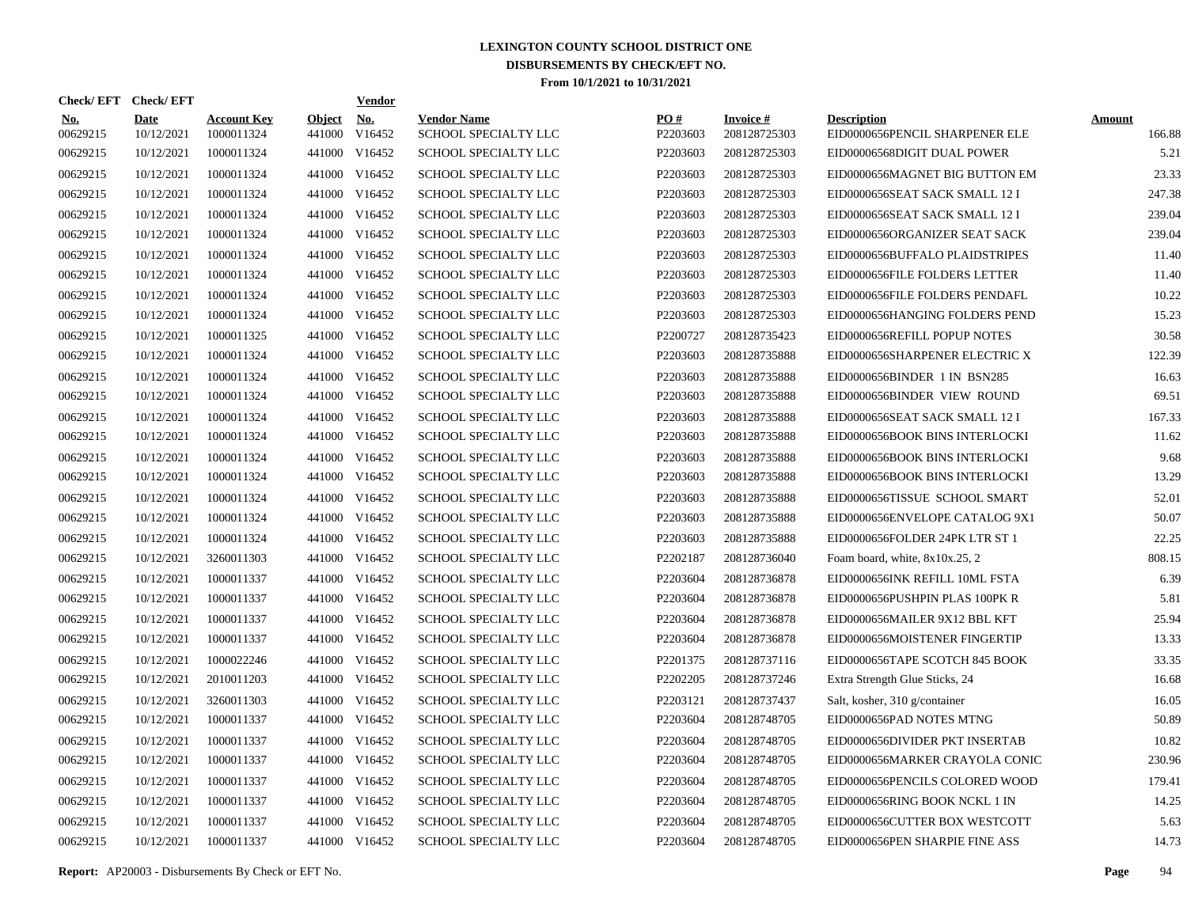|                        | Check/EFT Check/EFT       |                                  |                         | <u>Vendor</u>        |                                            |                      |                                 |                                                      |                         |
|------------------------|---------------------------|----------------------------------|-------------------------|----------------------|--------------------------------------------|----------------------|---------------------------------|------------------------------------------------------|-------------------------|
| <b>No.</b><br>00629215 | <b>Date</b><br>10/12/2021 | <b>Account Key</b><br>1000011324 | <b>Object</b><br>441000 | <b>No.</b><br>V16452 | <b>Vendor Name</b><br>SCHOOL SPECIALTY LLC | PQ#<br>P2203603      | <b>Invoice#</b><br>208128725303 | <b>Description</b><br>EID0000656PENCIL SHARPENER ELE | <b>Amount</b><br>166.88 |
| 00629215               | 10/12/2021                | 1000011324                       | 441000                  | V16452               | <b>SCHOOL SPECIALTY LLC</b>                | P2203603             | 208128725303                    | EID00006568DIGIT DUAL POWER                          | 5.21                    |
| 00629215               | 10/12/2021                | 1000011324                       | 441000                  | V16452               | SCHOOL SPECIALTY LLC                       | P2203603             | 208128725303                    | EID0000656MAGNET BIG BUTTON EM                       | 23.33                   |
| 00629215               | 10/12/2021                | 1000011324                       |                         | 441000 V16452        | <b>SCHOOL SPECIALTY LLC</b>                | P2203603             | 208128725303                    | EID0000656SEAT SACK SMALL 12 I                       | 247.38                  |
| 00629215               | 10/12/2021                | 1000011324                       |                         | 441000 V16452        | SCHOOL SPECIALTY LLC                       | P2203603             | 208128725303                    | EID0000656SEAT SACK SMALL 12 I                       | 239.04                  |
| 00629215               | 10/12/2021                | 1000011324                       |                         | 441000 V16452        | SCHOOL SPECIALTY LLC                       | P2203603             | 208128725303                    | EID0000656ORGANIZER SEAT SACK                        | 239.04                  |
| 00629215               | 10/12/2021                | 1000011324                       |                         | 441000 V16452        | SCHOOL SPECIALTY LLC                       | P2203603             | 208128725303                    | EID0000656BUFFALO PLAIDSTRIPES                       | 11.40                   |
| 00629215               | 10/12/2021                | 1000011324                       |                         | 441000 V16452        | SCHOOL SPECIALTY LLC                       | P2203603             | 208128725303                    | EID0000656FILE FOLDERS LETTER                        | 11.40                   |
| 00629215               | 10/12/2021                | 1000011324                       |                         | 441000 V16452        | SCHOOL SPECIALTY LLC                       | P2203603             | 208128725303                    | EID0000656FILE FOLDERS PENDAFL                       | 10.22                   |
| 00629215               | 10/12/2021                | 1000011324                       |                         | 441000 V16452        | SCHOOL SPECIALTY LLC                       | P2203603             | 208128725303                    | EID0000656HANGING FOLDERS PEND                       | 15.23                   |
| 00629215               | 10/12/2021                | 1000011325                       |                         | 441000 V16452        | SCHOOL SPECIALTY LLC                       | P2200727             | 208128735423                    | EID0000656REFILL POPUP NOTES                         | 30.58                   |
| 00629215               | 10/12/2021                | 1000011324                       |                         | 441000 V16452        | <b>SCHOOL SPECIALTY LLC</b>                | P <sub>2203603</sub> | 208128735888                    | EID0000656SHARPENER ELECTRIC X                       | 122.39                  |
| 00629215               | 10/12/2021                | 1000011324                       |                         | 441000 V16452        | <b>SCHOOL SPECIALTY LLC</b>                | P2203603             | 208128735888                    | EID0000656BINDER 1 IN BSN285                         | 16.63                   |
| 00629215               | 10/12/2021                | 1000011324                       |                         | 441000 V16452        | SCHOOL SPECIALTY LLC                       | P2203603             | 208128735888                    | EID0000656BINDER VIEW ROUND                          | 69.51                   |
| 00629215               | 10/12/2021                | 1000011324                       |                         | 441000 V16452        | SCHOOL SPECIALTY LLC                       | P2203603             | 208128735888                    | EID0000656SEAT SACK SMALL 12 I                       | 167.33                  |
| 00629215               | 10/12/2021                | 1000011324                       |                         | 441000 V16452        | SCHOOL SPECIALTY LLC                       | P2203603             | 208128735888                    | EID0000656BOOK BINS INTERLOCKI                       | 11.62                   |
| 00629215               | 10/12/2021                | 1000011324                       |                         | 441000 V16452        | SCHOOL SPECIALTY LLC                       | P2203603             | 208128735888                    | EID0000656BOOK BINS INTERLOCKI                       | 9.68                    |
| 00629215               | 10/12/2021                | 1000011324                       |                         | 441000 V16452        | SCHOOL SPECIALTY LLC                       | P2203603             | 208128735888                    | EID0000656BOOK BINS INTERLOCKI                       | 13.29                   |
| 00629215               | 10/12/2021                | 1000011324                       |                         | 441000 V16452        | SCHOOL SPECIALTY LLC                       | P2203603             | 208128735888                    | EID0000656TISSUE SCHOOL SMART                        | 52.01                   |
| 00629215               | 10/12/2021                | 1000011324                       |                         | 441000 V16452        | <b>SCHOOL SPECIALTY LLC</b>                | P2203603             | 208128735888                    | EID0000656ENVELOPE CATALOG 9X1                       | 50.07                   |
| 00629215               | 10/12/2021                | 1000011324                       | 441000                  | V16452               | <b>SCHOOL SPECIALTY LLC</b>                | P2203603             | 208128735888                    | EID0000656FOLDER 24PK LTR ST 1                       | 22.25                   |
| 00629215               | 10/12/2021                | 3260011303                       |                         | 441000 V16452        | SCHOOL SPECIALTY LLC                       | P2202187             | 208128736040                    | Foam board, white, 8x10x.25, 2                       | 808.15                  |
| 00629215               | 10/12/2021                | 1000011337                       | 441000                  | V16452               | SCHOOL SPECIALTY LLC                       | P2203604             | 208128736878                    | EID0000656INK REFILL 10ML FSTA                       | 6.39                    |
| 00629215               | 10/12/2021                | 1000011337                       |                         | 441000 V16452        | SCHOOL SPECIALTY LLC                       | P2203604             | 208128736878                    | EID0000656PUSHPIN PLAS 100PK R                       | 5.81                    |
| 00629215               | 10/12/2021                | 1000011337                       | 441000                  | V16452               | <b>SCHOOL SPECIALTY LLC</b>                | P2203604             | 208128736878                    | EID0000656MAILER 9X12 BBL KFT                        | 25.94                   |
| 00629215               | 10/12/2021                | 1000011337                       | 441000                  | V16452               | SCHOOL SPECIALTY LLC                       | P2203604             | 208128736878                    | EID0000656MOISTENER FINGERTIP                        | 13.33                   |
| 00629215               | 10/12/2021                | 1000022246                       | 441000                  | V16452               | <b>SCHOOL SPECIALTY LLC</b>                | P2201375             | 208128737116                    | EID0000656TAPE SCOTCH 845 BOOK                       | 33.35                   |
| 00629215               | 10/12/2021                | 2010011203                       | 441000                  | V16452               | <b>SCHOOL SPECIALTY LLC</b>                | P2202205             | 208128737246                    | Extra Strength Glue Sticks, 24                       | 16.68                   |
| 00629215               | 10/12/2021                | 3260011303                       | 441000                  | V16452               | <b>SCHOOL SPECIALTY LLC</b>                | P2203121             | 208128737437                    | Salt, kosher, 310 g/container                        | 16.05                   |
| 00629215               | 10/12/2021                | 1000011337                       | 441000                  | V16452               | SCHOOL SPECIALTY LLC                       | P2203604             | 208128748705                    | EID0000656PAD NOTES MTNG                             | 50.89                   |
| 00629215               | 10/12/2021                | 1000011337                       | 441000                  | V16452               | SCHOOL SPECIALTY LLC                       | P2203604             | 208128748705                    | EID0000656DIVIDER PKT INSERTAB                       | 10.82                   |
| 00629215               | 10/12/2021                | 1000011337                       | 441000                  | V16452               | <b>SCHOOL SPECIALTY LLC</b>                | P2203604             | 208128748705                    | EID0000656MARKER CRAYOLA CONIC                       | 230.96                  |
| 00629215               | 10/12/2021                | 1000011337                       | 441000                  | V16452               | SCHOOL SPECIALTY LLC                       | P2203604             | 208128748705                    | EID0000656PENCILS COLORED WOOD                       | 179.41                  |
| 00629215               | 10/12/2021                | 1000011337                       |                         | 441000 V16452        | SCHOOL SPECIALTY LLC                       | P2203604             | 208128748705                    | EID0000656RING BOOK NCKL 1 IN                        | 14.25                   |
| 00629215               | 10/12/2021                | 1000011337                       | 441000                  | V16452               | SCHOOL SPECIALTY LLC                       | P2203604             | 208128748705                    | EID0000656CUTTER BOX WESTCOTT                        | 5.63                    |
| 00629215               | 10/12/2021                | 1000011337                       |                         | 441000 V16452        | SCHOOL SPECIALTY LLC                       | P2203604             | 208128748705                    | EID0000656PEN SHARPIE FINE ASS                       | 14.73                   |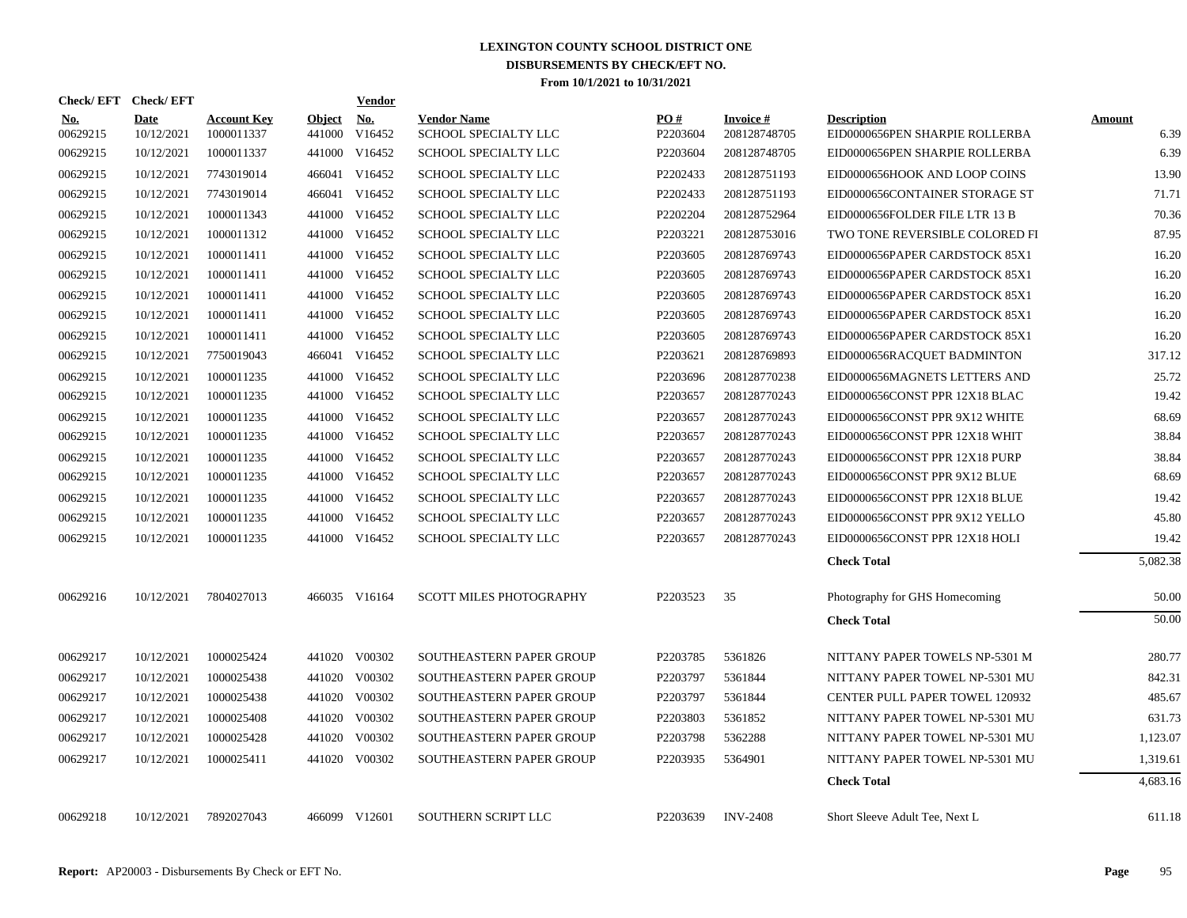| Check/EFT Check/EFT    |                           |                                  |                      | Vendor        |                                            |                 |                           |                                                      |                |
|------------------------|---------------------------|----------------------------------|----------------------|---------------|--------------------------------------------|-----------------|---------------------------|------------------------------------------------------|----------------|
| <b>No.</b><br>00629215 | <b>Date</b><br>10/12/2021 | <b>Account Key</b><br>1000011337 | Object No.<br>441000 | V16452        | <b>Vendor Name</b><br>SCHOOL SPECIALTY LLC | PO#<br>P2203604 | Invoice #<br>208128748705 | <b>Description</b><br>EID0000656PEN SHARPIE ROLLERBA | Amount<br>6.39 |
| 00629215               | 10/12/2021                | 1000011337                       | 441000               | V16452        | SCHOOL SPECIALTY LLC                       | P2203604        | 208128748705              | EID0000656PEN SHARPIE ROLLERBA                       | 6.39           |
| 00629215               | 10/12/2021                | 7743019014                       |                      | 466041 V16452 | SCHOOL SPECIALTY LLC                       | P2202433        | 208128751193              | EID0000656HOOK AND LOOP COINS                        | 13.90          |
| 00629215               | 10/12/2021                | 7743019014                       |                      | 466041 V16452 | <b>SCHOOL SPECIALTY LLC</b>                | P2202433        | 208128751193              | EID0000656CONTAINER STORAGE ST                       | 71.71          |
| 00629215               | 10/12/2021                | 1000011343                       |                      | 441000 V16452 | SCHOOL SPECIALTY LLC                       | P2202204        | 208128752964              | EID0000656FOLDER FILE LTR 13 B                       | 70.36          |
| 00629215               | 10/12/2021                | 1000011312                       |                      | 441000 V16452 | SCHOOL SPECIALTY LLC                       | P2203221        | 208128753016              | TWO TONE REVERSIBLE COLORED FI                       | 87.95          |
| 00629215               | 10/12/2021                | 1000011411                       |                      | 441000 V16452 | SCHOOL SPECIALTY LLC                       | P2203605        | 208128769743              | EID0000656PAPER CARDSTOCK 85X1                       | 16.20          |
| 00629215               | 10/12/2021                | 1000011411                       |                      | 441000 V16452 | SCHOOL SPECIALTY LLC                       | P2203605        | 208128769743              | EID0000656PAPER CARDSTOCK 85X1                       | 16.20          |
| 00629215               | 10/12/2021                | 1000011411                       |                      | 441000 V16452 | SCHOOL SPECIALTY LLC                       | P2203605        | 208128769743              | EID0000656PAPER CARDSTOCK 85X1                       | 16.20          |
| 00629215               | 10/12/2021                | 1000011411                       |                      | 441000 V16452 | <b>SCHOOL SPECIALTY LLC</b>                | P2203605        | 208128769743              | EID0000656PAPER CARDSTOCK 85X1                       | 16.20          |
| 00629215               | 10/12/2021                | 1000011411                       |                      | 441000 V16452 | SCHOOL SPECIALTY LLC                       | P2203605        | 208128769743              | EID0000656PAPER CARDSTOCK 85X1                       | 16.20          |
| 00629215               | 10/12/2021                | 7750019043                       |                      | 466041 V16452 | SCHOOL SPECIALTY LLC                       | P2203621        | 208128769893              | EID0000656RACQUET BADMINTON                          | 317.12         |
| 00629215               | 10/12/2021                | 1000011235                       |                      | 441000 V16452 | <b>SCHOOL SPECIALTY LLC</b>                | P2203696        | 208128770238              | EID0000656MAGNETS LETTERS AND                        | 25.72          |
| 00629215               | 10/12/2021                | 1000011235                       |                      | 441000 V16452 | <b>SCHOOL SPECIALTY LLC</b>                | P2203657        | 208128770243              | EID0000656CONST PPR 12X18 BLAC                       | 19.42          |
| 00629215               | 10/12/2021                | 1000011235                       |                      | 441000 V16452 | SCHOOL SPECIALTY LLC                       | P2203657        | 208128770243              | EID0000656CONST PPR 9X12 WHITE                       | 68.69          |
| 00629215               | 10/12/2021                | 1000011235                       |                      | 441000 V16452 | SCHOOL SPECIALTY LLC                       | P2203657        | 208128770243              | EID0000656CONST PPR 12X18 WHIT                       | 38.84          |
| 00629215               | 10/12/2021                | 1000011235                       |                      | 441000 V16452 | SCHOOL SPECIALTY LLC                       | P2203657        | 208128770243              | EID0000656CONST PPR 12X18 PURP                       | 38.84          |
| 00629215               | 10/12/2021                | 1000011235                       |                      | 441000 V16452 | SCHOOL SPECIALTY LLC                       | P2203657        | 208128770243              | EID0000656CONST PPR 9X12 BLUE                        | 68.69          |
| 00629215               | 10/12/2021                | 1000011235                       |                      | 441000 V16452 | SCHOOL SPECIALTY LLC                       | P2203657        | 208128770243              | EID0000656CONST PPR 12X18 BLUE                       | 19.42          |
| 00629215               | 10/12/2021                | 1000011235                       |                      | 441000 V16452 | <b>SCHOOL SPECIALTY LLC</b>                | P2203657        | 208128770243              | EID0000656CONST PPR 9X12 YELLO                       | 45.80          |
| 00629215               | 10/12/2021                | 1000011235                       |                      | 441000 V16452 | SCHOOL SPECIALTY LLC                       | P2203657        | 208128770243              | EID0000656CONST PPR 12X18 HOLI                       | 19.42          |
|                        |                           |                                  |                      |               |                                            |                 |                           | <b>Check Total</b>                                   | 5,082.38       |
| 00629216               | 10/12/2021                | 7804027013                       |                      | 466035 V16164 | <b>SCOTT MILES PHOTOGRAPHY</b>             | P2203523        | 35                        | Photography for GHS Homecoming                       | 50.00          |
|                        |                           |                                  |                      |               |                                            |                 |                           | <b>Check Total</b>                                   | 50.00          |
| 00629217               | 10/12/2021                | 1000025424                       |                      | 441020 V00302 | SOUTHEASTERN PAPER GROUP                   | P2203785        | 5361826                   | NITTANY PAPER TOWELS NP-5301 M                       | 280.77         |
| 00629217               | 10/12/2021                | 1000025438                       |                      | 441020 V00302 | SOUTHEASTERN PAPER GROUP                   | P2203797        | 5361844                   | NITTANY PAPER TOWEL NP-5301 MU                       | 842.31         |
| 00629217               | 10/12/2021                | 1000025438                       |                      | 441020 V00302 | SOUTHEASTERN PAPER GROUP                   | P2203797        | 5361844                   | <b>CENTER PULL PAPER TOWEL 120932</b>                | 485.67         |
| 00629217               | 10/12/2021                | 1000025408                       |                      | 441020 V00302 | SOUTHEASTERN PAPER GROUP                   | P2203803        | 5361852                   | NITTANY PAPER TOWEL NP-5301 MU                       | 631.73         |
| 00629217               | 10/12/2021                | 1000025428                       |                      | 441020 V00302 | SOUTHEASTERN PAPER GROUP                   | P2203798        | 5362288                   | NITTANY PAPER TOWEL NP-5301 MU                       | 1,123.07       |
| 00629217               | 10/12/2021                | 1000025411                       |                      | 441020 V00302 | SOUTHEASTERN PAPER GROUP                   | P2203935        | 5364901                   | NITTANY PAPER TOWEL NP-5301 MU                       | 1,319.61       |
|                        |                           |                                  |                      |               |                                            |                 |                           | <b>Check Total</b>                                   | 4,683.16       |
| 00629218               | 10/12/2021                | 7892027043                       |                      | 466099 V12601 | SOUTHERN SCRIPT LLC                        | P2203639        | <b>INV-2408</b>           | Short Sleeve Adult Tee, Next L                       | 611.18         |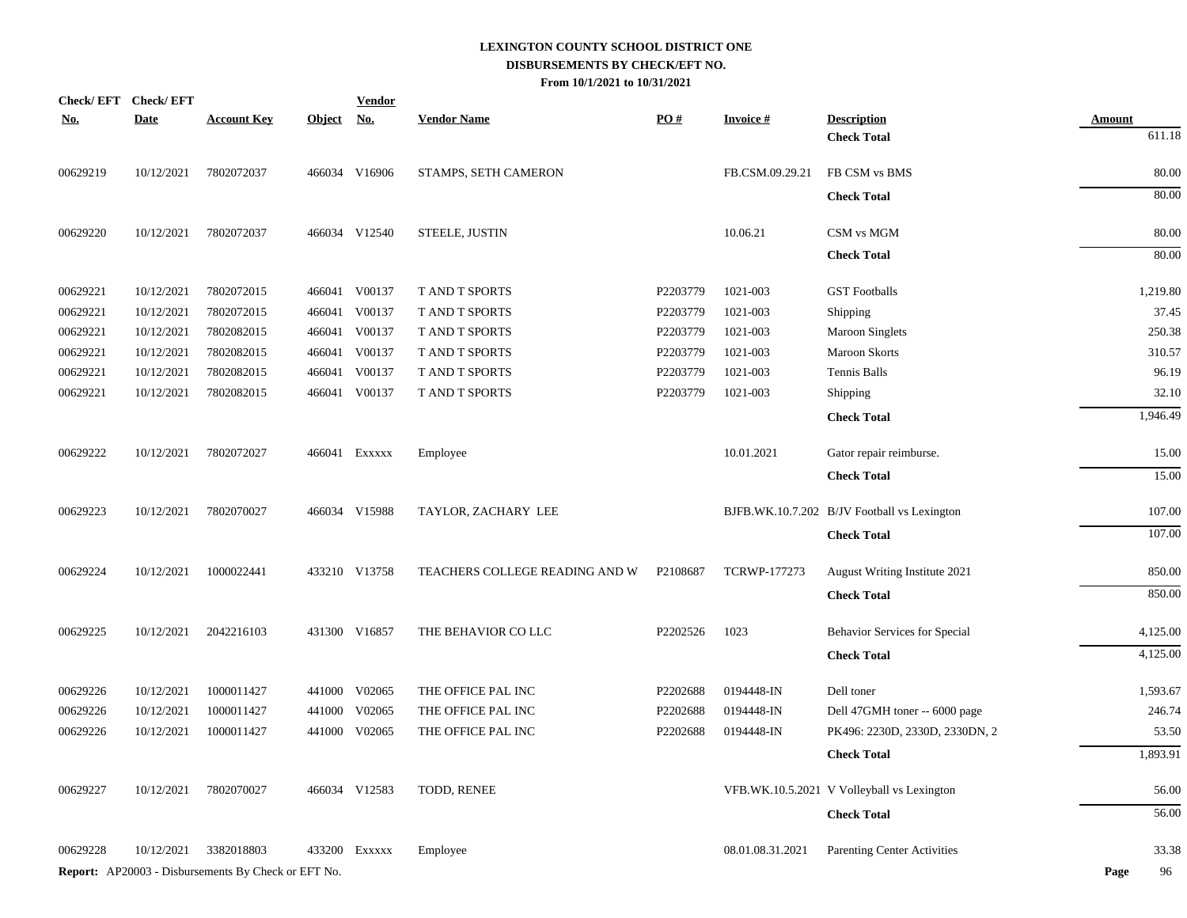| Check/EFT Check/EFT |             |                                                            |            | <b>Vendor</b> |                                |          |                     |                                             |               |
|---------------------|-------------|------------------------------------------------------------|------------|---------------|--------------------------------|----------|---------------------|---------------------------------------------|---------------|
| <b>No.</b>          | <b>Date</b> | <b>Account Key</b>                                         | Object No. |               | <b>Vendor Name</b>             | PO#      | <b>Invoice#</b>     | <b>Description</b>                          | <b>Amount</b> |
|                     |             |                                                            |            |               |                                |          |                     | <b>Check Total</b>                          | 611.18        |
| 00629219            | 10/12/2021  | 7802072037                                                 |            | 466034 V16906 | STAMPS, SETH CAMERON           |          | FB.CSM.09.29.21     | FB CSM vs BMS                               | 80.00         |
|                     |             |                                                            |            |               |                                |          |                     | <b>Check Total</b>                          | 80.00         |
| 00629220            | 10/12/2021  | 7802072037                                                 |            | 466034 V12540 | STEELE, JUSTIN                 |          | 10.06.21            | CSM vs MGM                                  | 80.00         |
|                     |             |                                                            |            |               |                                |          |                     | <b>Check Total</b>                          | 80.00         |
| 00629221            | 10/12/2021  | 7802072015                                                 |            | 466041 V00137 | T AND T SPORTS                 | P2203779 | 1021-003            | <b>GST Footballs</b>                        | 1,219.80      |
| 00629221            | 10/12/2021  | 7802072015                                                 |            | 466041 V00137 | <b>T AND T SPORTS</b>          | P2203779 | 1021-003            | Shipping                                    | 37.45         |
| 00629221            | 10/12/2021  | 7802082015                                                 |            | 466041 V00137 | T AND T SPORTS                 | P2203779 | 1021-003            | <b>Maroon Singlets</b>                      | 250.38        |
| 00629221            | 10/12/2021  | 7802082015                                                 |            | 466041 V00137 | <b>T AND T SPORTS</b>          | P2203779 | 1021-003            | <b>Maroon Skorts</b>                        | 310.57        |
| 00629221            | 10/12/2021  | 7802082015                                                 |            | 466041 V00137 | T AND T SPORTS                 | P2203779 | 1021-003            | Tennis Balls                                | 96.19         |
| 00629221            | 10/12/2021  | 7802082015                                                 |            | 466041 V00137 | T AND T SPORTS                 | P2203779 | 1021-003            | Shipping                                    | 32.10         |
|                     |             |                                                            |            |               |                                |          |                     | <b>Check Total</b>                          | 1,946.49      |
| 00629222            | 10/12/2021  | 7802072027                                                 |            | 466041 EXXXXX | Employee                       |          | 10.01.2021          | Gator repair reimburse.                     | 15.00         |
|                     |             |                                                            |            |               |                                |          |                     | <b>Check Total</b>                          | 15.00         |
| 00629223            | 10/12/2021  | 7802070027                                                 |            | 466034 V15988 | TAYLOR, ZACHARY LEE            |          |                     | BJFB.WK.10.7.202 B/JV Football vs Lexington | 107.00        |
|                     |             |                                                            |            |               |                                |          |                     | <b>Check Total</b>                          | 107.00        |
| 00629224            | 10/12/2021  | 1000022441                                                 |            | 433210 V13758 | TEACHERS COLLEGE READING AND W | P2108687 | <b>TCRWP-177273</b> | August Writing Institute 2021               | 850.00        |
|                     |             |                                                            |            |               |                                |          |                     | <b>Check Total</b>                          | 850.00        |
| 00629225            | 10/12/2021  | 2042216103                                                 |            | 431300 V16857 | THE BEHAVIOR CO LLC            | P2202526 | 1023                | Behavior Services for Special               | 4,125.00      |
|                     |             |                                                            |            |               |                                |          |                     | <b>Check Total</b>                          | 4,125.00      |
| 00629226            | 10/12/2021  | 1000011427                                                 |            | 441000 V02065 | THE OFFICE PAL INC             | P2202688 | 0194448-IN          | Dell toner                                  | 1,593.67      |
| 00629226            | 10/12/2021  | 1000011427                                                 | 441000     | V02065        | THE OFFICE PAL INC             | P2202688 | 0194448-IN          | Dell 47GMH toner -- 6000 page               | 246.74        |
| 00629226            | 10/12/2021  | 1000011427                                                 |            | 441000 V02065 | THE OFFICE PAL INC             | P2202688 | 0194448-IN          | PK496: 2230D, 2330D, 2330DN, 2              | 53.50         |
|                     |             |                                                            |            |               |                                |          |                     | <b>Check Total</b>                          | 1,893.91      |
| 00629227            | 10/12/2021  | 7802070027                                                 |            | 466034 V12583 | TODD, RENEE                    |          |                     | VFB.WK.10.5.2021 V Volleyball vs Lexington  | 56.00         |
|                     |             |                                                            |            |               |                                |          |                     | <b>Check Total</b>                          | 56.00         |
| 00629228            | 10/12/2021  | 3382018803                                                 |            | 433200 EXXXXX | Employee                       |          | 08.01.08.31.2021    | <b>Parenting Center Activities</b>          | 33.38         |
|                     |             | <b>Report:</b> AP20003 - Disbursements By Check or EFT No. |            |               |                                |          |                     |                                             | Page<br>96    |
|                     |             |                                                            |            |               |                                |          |                     |                                             |               |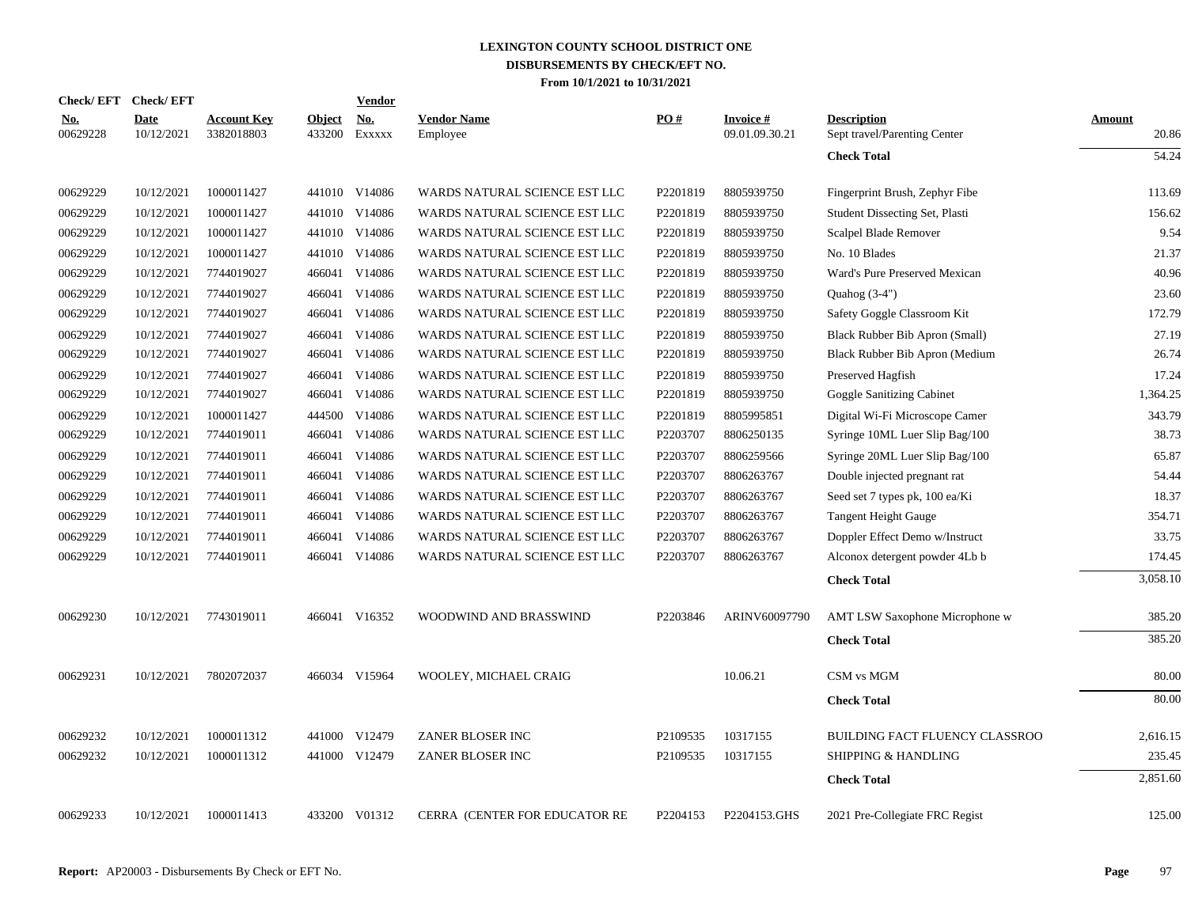|                        | Check/EFT Check/EFT       |                                  |                         | <b>Vendor</b>                         |                                      |          |                                   |                                                    |                        |
|------------------------|---------------------------|----------------------------------|-------------------------|---------------------------------------|--------------------------------------|----------|-----------------------------------|----------------------------------------------------|------------------------|
| <u>No.</u><br>00629228 | <b>Date</b><br>10/12/2021 | <b>Account Key</b><br>3382018803 | <b>Object</b><br>433200 | $\underline{\mathrm{No}}$ .<br>EXXXXX | <b>Vendor Name</b><br>Employee       | PO#      | <b>Invoice#</b><br>09.01.09.30.21 | <b>Description</b><br>Sept travel/Parenting Center | <b>Amount</b><br>20.86 |
|                        |                           |                                  |                         |                                       |                                      |          |                                   | <b>Check Total</b>                                 | 54.24                  |
| 00629229               | 10/12/2021                | 1000011427                       |                         | 441010 V14086                         | WARDS NATURAL SCIENCE EST LLC        | P2201819 | 8805939750                        | Fingerprint Brush, Zephyr Fibe                     | 113.69                 |
| 00629229               | 10/12/2021                | 1000011427                       |                         | 441010 V14086                         | WARDS NATURAL SCIENCE EST LLC        | P2201819 | 8805939750                        | Student Dissecting Set, Plasti                     | 156.62                 |
| 00629229               | 10/12/2021                | 1000011427                       |                         | 441010 V14086                         | WARDS NATURAL SCIENCE EST LLC        | P2201819 | 8805939750                        | Scalpel Blade Remover                              | 9.54                   |
| 00629229               | 10/12/2021                | 1000011427                       |                         | 441010 V14086                         | WARDS NATURAL SCIENCE EST LLC        | P2201819 | 8805939750                        | No. 10 Blades                                      | 21.37                  |
| 00629229               | 10/12/2021                | 7744019027                       |                         | 466041 V14086                         | WARDS NATURAL SCIENCE EST LLC        | P2201819 | 8805939750                        | Ward's Pure Preserved Mexican                      | 40.96                  |
| 00629229               | 10/12/2021                | 7744019027                       |                         | 466041 V14086                         | WARDS NATURAL SCIENCE EST LLC        | P2201819 | 8805939750                        | Quahog $(3-4)$                                     | 23.60                  |
| 00629229               | 10/12/2021                | 7744019027                       |                         | 466041 V14086                         | WARDS NATURAL SCIENCE EST LLC        | P2201819 | 8805939750                        | Safety Goggle Classroom Kit                        | 172.79                 |
| 00629229               | 10/12/2021                | 7744019027                       |                         | 466041 V14086                         | WARDS NATURAL SCIENCE EST LLC        | P2201819 | 8805939750                        | Black Rubber Bib Apron (Small)                     | 27.19                  |
| 00629229               | 10/12/2021                | 7744019027                       |                         | 466041 V14086                         | WARDS NATURAL SCIENCE EST LLC        | P2201819 | 8805939750                        | Black Rubber Bib Apron (Medium                     | 26.74                  |
| 00629229               | 10/12/2021                | 7744019027                       |                         | 466041 V14086                         | WARDS NATURAL SCIENCE EST LLC        | P2201819 | 8805939750                        | Preserved Hagfish                                  | 17.24                  |
| 00629229               | 10/12/2021                | 7744019027                       |                         | 466041 V14086                         | WARDS NATURAL SCIENCE EST LLC        | P2201819 | 8805939750                        | Goggle Sanitizing Cabinet                          | 1,364.25               |
| 00629229               | 10/12/2021                | 1000011427                       |                         | 444500 V14086                         | WARDS NATURAL SCIENCE EST LLC        | P2201819 | 8805995851                        | Digital Wi-Fi Microscope Camer                     | 343.79                 |
| 00629229               | 10/12/2021                | 7744019011                       |                         | 466041 V14086                         | WARDS NATURAL SCIENCE EST LLC        | P2203707 | 8806250135                        | Syringe 10ML Luer Slip Bag/100                     | 38.73                  |
| 00629229               | 10/12/2021                | 7744019011                       |                         | 466041 V14086                         | WARDS NATURAL SCIENCE EST LLC        | P2203707 | 8806259566                        | Syringe 20ML Luer Slip Bag/100                     | 65.87                  |
| 00629229               | 10/12/2021                | 7744019011                       | 466041                  | V14086                                | WARDS NATURAL SCIENCE EST LLC        | P2203707 | 8806263767                        | Double injected pregnant rat                       | 54.44                  |
| 00629229               | 10/12/2021                | 7744019011                       |                         | 466041 V14086                         | WARDS NATURAL SCIENCE EST LLC        | P2203707 | 8806263767                        | Seed set 7 types pk, 100 ea/Ki                     | 18.37                  |
| 00629229               | 10/12/2021                | 7744019011                       |                         | 466041 V14086                         | WARDS NATURAL SCIENCE EST LLC        | P2203707 | 8806263767                        | Tangent Height Gauge                               | 354.71                 |
| 00629229               | 10/12/2021                | 7744019011                       |                         | 466041 V14086                         | WARDS NATURAL SCIENCE EST LLC        | P2203707 | 8806263767                        | Doppler Effect Demo w/Instruct                     | 33.75                  |
| 00629229               | 10/12/2021                | 7744019011                       |                         | 466041 V14086                         | WARDS NATURAL SCIENCE EST LLC        | P2203707 | 8806263767                        | Alconox detergent powder 4Lb b                     | 174.45                 |
|                        |                           |                                  |                         |                                       |                                      |          |                                   | <b>Check Total</b>                                 | 3,058.10               |
| 00629230               | 10/12/2021                | 7743019011                       |                         | 466041 V16352                         | WOODWIND AND BRASSWIND               | P2203846 | ARINV60097790                     | AMT LSW Saxophone Microphone w                     | 385.20                 |
|                        |                           |                                  |                         |                                       |                                      |          |                                   | <b>Check Total</b>                                 | 385.20                 |
| 00629231               | 10/12/2021                | 7802072037                       |                         | 466034 V15964                         | WOOLEY, MICHAEL CRAIG                |          | 10.06.21                          | CSM vs MGM                                         | 80.00                  |
|                        |                           |                                  |                         |                                       |                                      |          |                                   | <b>Check Total</b>                                 | 80.00                  |
| 00629232               | 10/12/2021                | 1000011312                       |                         | 441000 V12479                         | ZANER BLOSER INC                     | P2109535 | 10317155                          | <b>BUILDING FACT FLUENCY CLASSROO</b>              | 2,616.15               |
| 00629232               | 10/12/2021                | 1000011312                       |                         | 441000 V12479                         | ZANER BLOSER INC                     | P2109535 | 10317155                          | <b>SHIPPING &amp; HANDLING</b>                     | 235.45                 |
|                        |                           |                                  |                         |                                       |                                      |          |                                   | <b>Check Total</b>                                 | 2,851.60               |
| 00629233               | 10/12/2021                | 1000011413                       |                         | 433200 V01312                         | <b>CERRA (CENTER FOR EDUCATOR RE</b> | P2204153 | P2204153.GHS                      | 2021 Pre-Collegiate FRC Regist                     | 125.00                 |
|                        |                           |                                  |                         |                                       |                                      |          |                                   |                                                    |                        |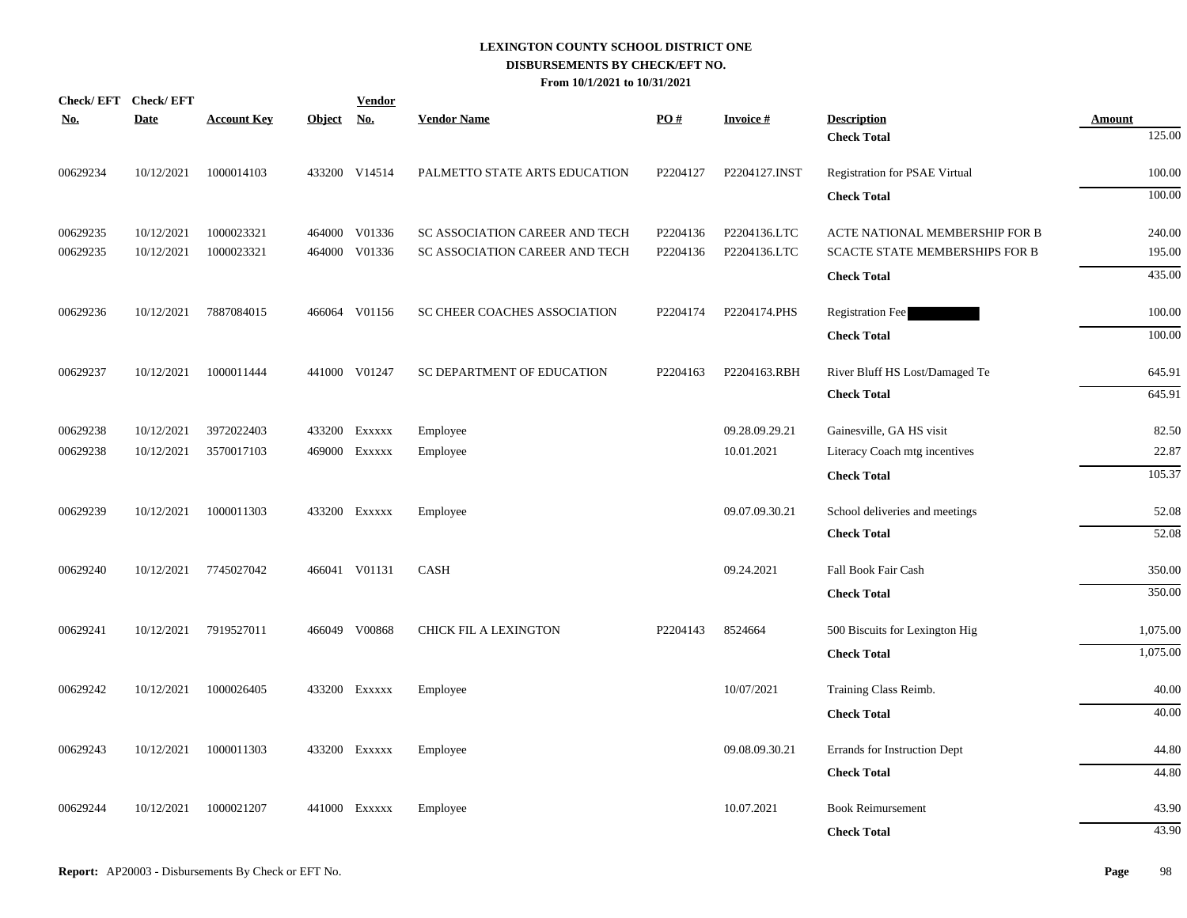| Check/EFT Check/EFT |             |                    |            | <b>Vendor</b> |                                |          |                 |                                          |                         |
|---------------------|-------------|--------------------|------------|---------------|--------------------------------|----------|-----------------|------------------------------------------|-------------------------|
| <u>No.</u>          | <b>Date</b> | <b>Account Key</b> | Object No. |               | <b>Vendor Name</b>             | PO#      | <b>Invoice#</b> | <b>Description</b><br><b>Check Total</b> | <b>Amount</b><br>125.00 |
|                     |             |                    |            |               |                                |          |                 |                                          |                         |
| 00629234            | 10/12/2021  | 1000014103         |            | 433200 V14514 | PALMETTO STATE ARTS EDUCATION  | P2204127 | P2204127.INST   | <b>Registration for PSAE Virtual</b>     | 100.00                  |
|                     |             |                    |            |               |                                |          |                 | <b>Check Total</b>                       | 100.00                  |
| 00629235            | 10/12/2021  | 1000023321         |            | 464000 V01336 | SC ASSOCIATION CAREER AND TECH | P2204136 | P2204136.LTC    | ACTE NATIONAL MEMBERSHIP FOR B           | 240.00                  |
| 00629235            | 10/12/2021  | 1000023321         |            | 464000 V01336 | SC ASSOCIATION CAREER AND TECH | P2204136 | P2204136.LTC    | SCACTE STATE MEMBERSHIPS FOR B           | 195.00                  |
|                     |             |                    |            |               |                                |          |                 | <b>Check Total</b>                       | 435.00                  |
| 00629236            | 10/12/2021  | 7887084015         |            | 466064 V01156 | SC CHEER COACHES ASSOCIATION   | P2204174 | P2204174.PHS    | <b>Registration Fee</b>                  | 100.00                  |
|                     |             |                    |            |               |                                |          |                 | <b>Check Total</b>                       | 100.00                  |
| 00629237            | 10/12/2021  | 1000011444         |            | 441000 V01247 | SC DEPARTMENT OF EDUCATION     | P2204163 | P2204163.RBH    | River Bluff HS Lost/Damaged Te           | 645.91                  |
|                     |             |                    |            |               |                                |          |                 | <b>Check Total</b>                       | 645.91                  |
| 00629238            | 10/12/2021  | 3972022403         |            | 433200 Exxxxx | Employee                       |          | 09.28.09.29.21  | Gainesville, GA HS visit                 | 82.50                   |
| 00629238            | 10/12/2021  | 3570017103         |            | 469000 Exxxxx | Employee                       |          | 10.01.2021      | Literacy Coach mtg incentives            | 22.87                   |
|                     |             |                    |            |               |                                |          |                 | <b>Check Total</b>                       | 105.37                  |
| 00629239            | 10/12/2021  | 1000011303         |            | 433200 Exxxxx | Employee                       |          | 09.07.09.30.21  | School deliveries and meetings           | 52.08                   |
|                     |             |                    |            |               |                                |          |                 | <b>Check Total</b>                       | 52.08                   |
| 00629240            | 10/12/2021  | 7745027042         |            | 466041 V01131 | <b>CASH</b>                    |          | 09.24.2021      | Fall Book Fair Cash                      | 350.00                  |
|                     |             |                    |            |               |                                |          |                 | <b>Check Total</b>                       | 350.00                  |
| 00629241            | 10/12/2021  | 7919527011         |            | 466049 V00868 | <b>CHICK FIL A LEXINGTON</b>   | P2204143 | 8524664         | 500 Biscuits for Lexington Hig           | 1,075.00                |
|                     |             |                    |            |               |                                |          |                 | <b>Check Total</b>                       | 1,075.00                |
| 00629242            | 10/12/2021  | 1000026405         |            | 433200 Exxxxx | Employee                       |          | 10/07/2021      | Training Class Reimb.                    | 40.00                   |
|                     |             |                    |            |               |                                |          |                 | <b>Check Total</b>                       | 40.00                   |
| 00629243            | 10/12/2021  | 1000011303         |            | 433200 Exxxxx | Employee                       |          | 09.08.09.30.21  | Errands for Instruction Dept             | 44.80                   |
|                     |             |                    |            |               |                                |          |                 | <b>Check Total</b>                       | 44.80                   |
|                     |             |                    |            |               |                                |          |                 |                                          |                         |
| 00629244            | 10/12/2021  | 1000021207         |            | 441000 Exxxxx | Employee                       |          | 10.07.2021      | <b>Book Reimursement</b>                 | 43.90                   |
|                     |             |                    |            |               |                                |          |                 | <b>Check Total</b>                       | 43.90                   |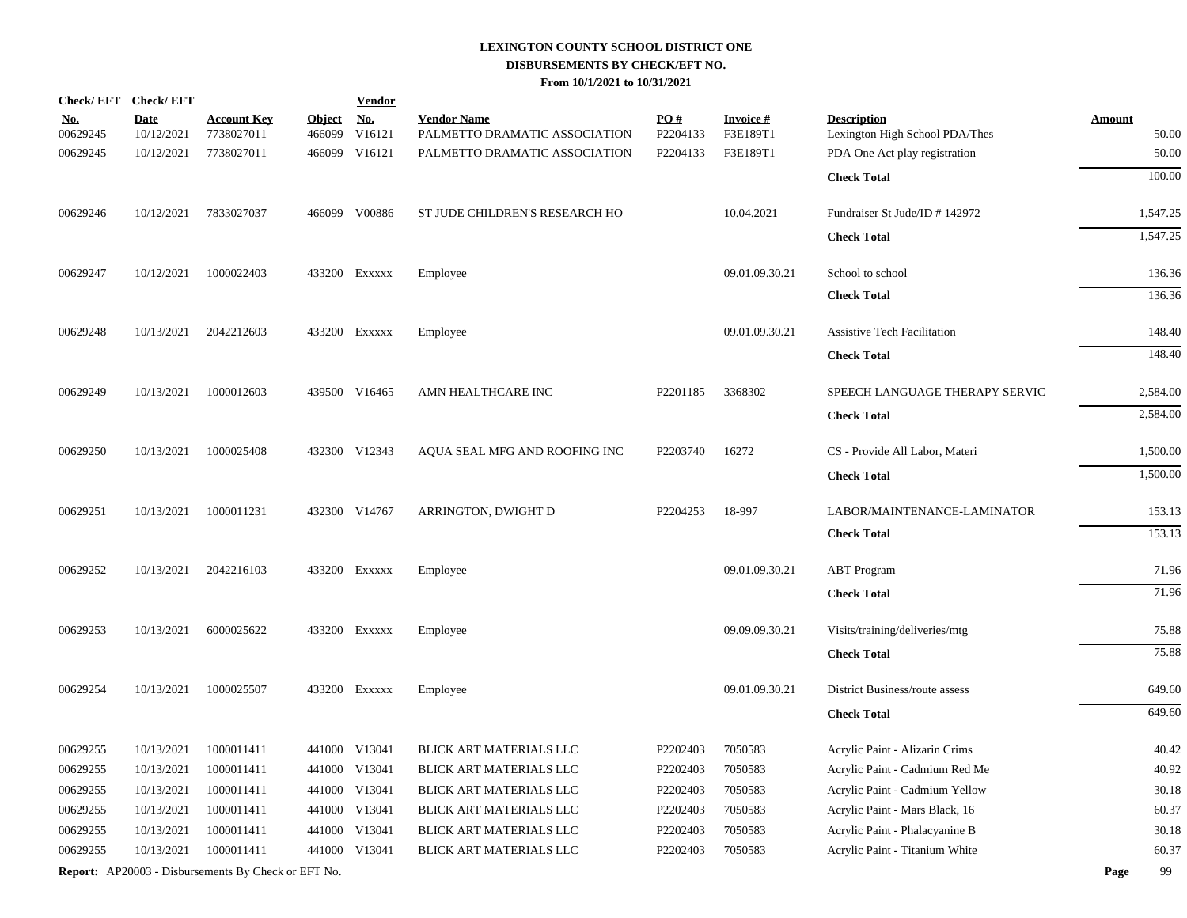| Check/EFT Check/EFT |             |                                                            |               | <b>Vendor</b> |                                |                      |                 |                                    |               |        |
|---------------------|-------------|------------------------------------------------------------|---------------|---------------|--------------------------------|----------------------|-----------------|------------------------------------|---------------|--------|
| <u>No.</u>          | <b>Date</b> | <u>Account Key</u>                                         | <b>Object</b> | <u>No.</u>    | <b>Vendor Name</b>             | $\underline{PO#}$    | <b>Invoice#</b> | <b>Description</b>                 | <b>Amount</b> |        |
| 00629245            | 10/12/2021  | 7738027011                                                 | 466099        | V16121        | PALMETTO DRAMATIC ASSOCIATION  | P2204133             | F3E189T1        | Lexington High School PDA/Thes     |               | 50.00  |
| 00629245            | 10/12/2021  | 7738027011                                                 | 466099        | V16121        | PALMETTO DRAMATIC ASSOCIATION  | P2204133             | F3E189T1        | PDA One Act play registration      |               | 50.00  |
|                     |             |                                                            |               |               |                                |                      |                 | <b>Check Total</b>                 |               | 100.00 |
| 00629246            | 10/12/2021  | 7833027037                                                 |               | 466099 V00886 | ST JUDE CHILDREN'S RESEARCH HO |                      | 10.04.2021      | Fundraiser St Jude/ID # 142972     | 1,547.25      |        |
|                     |             |                                                            |               |               |                                |                      |                 | <b>Check Total</b>                 | 1,547.25      |        |
| 00629247            | 10/12/2021  | 1000022403                                                 |               | 433200 Exxxxx | Employee                       |                      | 09.01.09.30.21  | School to school                   |               | 136.36 |
|                     |             |                                                            |               |               |                                |                      |                 | <b>Check Total</b>                 |               | 136.36 |
| 00629248            | 10/13/2021  | 2042212603                                                 |               | 433200 Exxxxx | Employee                       |                      | 09.01.09.30.21  | <b>Assistive Tech Facilitation</b> |               | 148.40 |
|                     |             |                                                            |               |               |                                |                      |                 | <b>Check Total</b>                 |               | 148.40 |
| 00629249            | 10/13/2021  | 1000012603                                                 |               | 439500 V16465 | AMN HEALTHCARE INC             | P <sub>2201185</sub> | 3368302         | SPEECH LANGUAGE THERAPY SERVIC     | 2,584.00      |        |
|                     |             |                                                            |               |               |                                |                      |                 | <b>Check Total</b>                 | 2,584.00      |        |
| 00629250            | 10/13/2021  | 1000025408                                                 |               | 432300 V12343 | AQUA SEAL MFG AND ROOFING INC  | P2203740             | 16272           | CS - Provide All Labor, Materi     | 1,500.00      |        |
|                     |             |                                                            |               |               |                                |                      |                 | <b>Check Total</b>                 | 1,500.00      |        |
| 00629251            | 10/13/2021  | 1000011231                                                 |               | 432300 V14767 | ARRINGTON, DWIGHT D            | P2204253             | 18-997          | LABOR/MAINTENANCE-LAMINATOR        |               | 153.13 |
|                     |             |                                                            |               |               |                                |                      |                 | <b>Check Total</b>                 |               | 153.13 |
| 00629252            | 10/13/2021  | 2042216103                                                 |               | 433200 Exxxxx | Employee                       |                      | 09.01.09.30.21  | <b>ABT</b> Program                 |               | 71.96  |
|                     |             |                                                            |               |               |                                |                      |                 | <b>Check Total</b>                 |               | 71.96  |
| 00629253            | 10/13/2021  | 6000025622                                                 |               | 433200 Exxxxx | Employee                       |                      | 09.09.09.30.21  | Visits/training/deliveries/mtg     |               | 75.88  |
|                     |             |                                                            |               |               |                                |                      |                 | <b>Check Total</b>                 |               | 75.88  |
| 00629254            | 10/13/2021  | 1000025507                                                 |               | 433200 Exxxxx | Employee                       |                      | 09.01.09.30.21  | District Business/route assess     |               | 649.60 |
|                     |             |                                                            |               |               |                                |                      |                 | <b>Check Total</b>                 |               | 649.60 |
| 00629255            | 10/13/2021  | 1000011411                                                 |               | 441000 V13041 | BLICK ART MATERIALS LLC        | P <sub>2202403</sub> | 7050583         | Acrylic Paint - Alizarin Crims     |               | 40.42  |
| 00629255            | 10/13/2021  | 1000011411                                                 |               | 441000 V13041 | BLICK ART MATERIALS LLC        | P2202403             | 7050583         | Acrylic Paint - Cadmium Red Me     |               | 40.92  |
| 00629255            | 10/13/2021  | 1000011411                                                 |               | 441000 V13041 | BLICK ART MATERIALS LLC        | P2202403             | 7050583         | Acrylic Paint - Cadmium Yellow     |               | 30.18  |
| 00629255            | 10/13/2021  | 1000011411                                                 |               | 441000 V13041 | BLICK ART MATERIALS LLC        | P2202403             | 7050583         | Acrylic Paint - Mars Black, 16     |               | 60.37  |
| 00629255            | 10/13/2021  | 1000011411                                                 |               | 441000 V13041 | BLICK ART MATERIALS LLC        | P2202403             | 7050583         | Acrylic Paint - Phalacyanine B     |               | 30.18  |
| 00629255            | 10/13/2021  | 1000011411                                                 |               | 441000 V13041 | BLICK ART MATERIALS LLC        | P2202403             | 7050583         | Acrylic Paint - Titanium White     |               | 60.37  |
|                     |             | <b>Report:</b> AP20003 - Disbursements By Check or EFT No. |               |               |                                |                      |                 |                                    | Page          | 99     |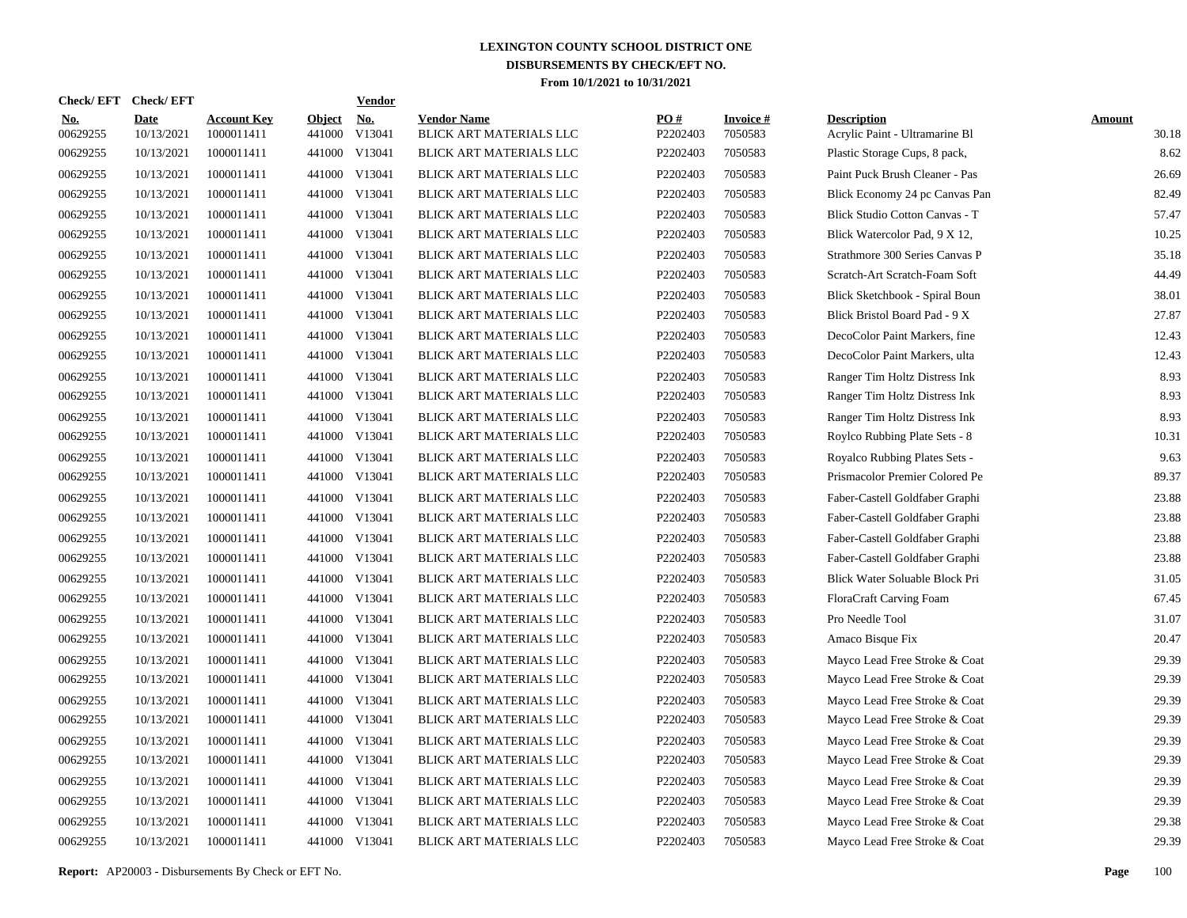|                        | Check/EFT Check/EFT       |                                  |                         | <b>Vendor</b>        |                                               |                 |                            |                                                      |                        |
|------------------------|---------------------------|----------------------------------|-------------------------|----------------------|-----------------------------------------------|-----------------|----------------------------|------------------------------------------------------|------------------------|
| <u>No.</u><br>00629255 | <b>Date</b><br>10/13/2021 | <b>Account Key</b><br>1000011411 | <b>Object</b><br>441000 | <u>No.</u><br>V13041 | <b>Vendor Name</b><br>BLICK ART MATERIALS LLC | PQ#<br>P2202403 | <b>Invoice#</b><br>7050583 | <b>Description</b><br>Acrylic Paint - Ultramarine Bl | <b>Amount</b><br>30.18 |
| 00629255               | 10/13/2021                | 1000011411                       |                         | 441000 V13041        | BLICK ART MATERIALS LLC                       | P2202403        | 7050583                    | Plastic Storage Cups, 8 pack,                        | 8.62                   |
| 00629255               | 10/13/2021                | 1000011411                       |                         | 441000 V13041        | BLICK ART MATERIALS LLC                       | P2202403        | 7050583                    | Paint Puck Brush Cleaner - Pas                       | 26.69                  |
| 00629255               | 10/13/2021                | 1000011411                       |                         | 441000 V13041        | BLICK ART MATERIALS LLC                       | P2202403        | 7050583                    | Blick Economy 24 pc Canvas Pan                       | 82.49                  |
| 00629255               | 10/13/2021                | 1000011411                       |                         | 441000 V13041        | BLICK ART MATERIALS LLC                       | P2202403        | 7050583                    | Blick Studio Cotton Canvas - T                       | 57.47                  |
| 00629255               | 10/13/2021                | 1000011411                       |                         | 441000 V13041        | BLICK ART MATERIALS LLC                       | P2202403        | 7050583                    | Blick Watercolor Pad, 9 X 12,                        | 10.25                  |
| 00629255               | 10/13/2021                | 1000011411                       |                         | 441000 V13041        | BLICK ART MATERIALS LLC                       | P2202403        | 7050583                    | Strathmore 300 Series Canvas P                       | 35.18                  |
| 00629255               | 10/13/2021                | 1000011411                       |                         | 441000 V13041        | BLICK ART MATERIALS LLC                       | P2202403        | 7050583                    | Scratch-Art Scratch-Foam Soft                        | 44.49                  |
| 00629255               | 10/13/2021                | 1000011411                       |                         | 441000 V13041        | BLICK ART MATERIALS LLC                       | P2202403        | 7050583                    | Blick Sketchbook - Spiral Boun                       | 38.01                  |
| 00629255               | 10/13/2021                | 1000011411                       |                         | 441000 V13041        | BLICK ART MATERIALS LLC                       | P2202403        | 7050583                    | Blick Bristol Board Pad - 9 X                        | 27.87                  |
| 00629255               | 10/13/2021                | 1000011411                       |                         | 441000 V13041        | BLICK ART MATERIALS LLC                       | P2202403        | 7050583                    | DecoColor Paint Markers, fine                        | 12.43                  |
| 00629255               | 10/13/2021                | 1000011411                       |                         | 441000 V13041        | BLICK ART MATERIALS LLC                       | P2202403        | 7050583                    | DecoColor Paint Markers, ulta                        | 12.43                  |
| 00629255               | 10/13/2021                | 1000011411                       |                         | 441000 V13041        | BLICK ART MATERIALS LLC                       | P2202403        | 7050583                    | Ranger Tim Holtz Distress Ink                        | 8.93                   |
| 00629255               | 10/13/2021                | 1000011411                       |                         | 441000 V13041        | BLICK ART MATERIALS LLC                       | P2202403        | 7050583                    | Ranger Tim Holtz Distress Ink                        | 8.93                   |
| 00629255               | 10/13/2021                | 1000011411                       |                         | 441000 V13041        | BLICK ART MATERIALS LLC                       | P2202403        | 7050583                    | Ranger Tim Holtz Distress Ink                        | 8.93                   |
| 00629255               | 10/13/2021                | 1000011411                       |                         | 441000 V13041        | BLICK ART MATERIALS LLC                       | P2202403        | 7050583                    | Roylco Rubbing Plate Sets - 8                        | 10.31                  |
| 00629255               | 10/13/2021                | 1000011411                       |                         | 441000 V13041        | BLICK ART MATERIALS LLC                       | P2202403        | 7050583                    | Royalco Rubbing Plates Sets -                        | 9.63                   |
| 00629255               | 10/13/2021                | 1000011411                       |                         | 441000 V13041        | BLICK ART MATERIALS LLC                       | P2202403        | 7050583                    | Prismacolor Premier Colored Pe                       | 89.37                  |
| 00629255               | 10/13/2021                | 1000011411                       |                         | 441000 V13041        | BLICK ART MATERIALS LLC                       | P2202403        | 7050583                    | Faber-Castell Goldfaber Graphi                       | 23.88                  |
| 00629255               | 10/13/2021                | 1000011411                       |                         | 441000 V13041        | BLICK ART MATERIALS LLC                       | P2202403        | 7050583                    | Faber-Castell Goldfaber Graphi                       | 23.88                  |
| 00629255               | 10/13/2021                | 1000011411                       |                         | 441000 V13041        | BLICK ART MATERIALS LLC                       | P2202403        | 7050583                    | Faber-Castell Goldfaber Graphi                       | 23.88                  |
| 00629255               | 10/13/2021                | 1000011411                       |                         | 441000 V13041        | BLICK ART MATERIALS LLC                       | P2202403        | 7050583                    | Faber-Castell Goldfaber Graphi                       | 23.88                  |
| 00629255               | 10/13/2021                | 1000011411                       |                         | 441000 V13041        | BLICK ART MATERIALS LLC                       | P2202403        | 7050583                    | Blick Water Soluable Block Pri                       | 31.05                  |
| 00629255               | 10/13/2021                | 1000011411                       |                         | 441000 V13041        | BLICK ART MATERIALS LLC                       | P2202403        | 7050583                    | FloraCraft Carving Foam                              | 67.45                  |
| 00629255               | 10/13/2021                | 1000011411                       | 441000                  | V13041               | BLICK ART MATERIALS LLC                       | P2202403        | 7050583                    | Pro Needle Tool                                      | 31.07                  |
| 00629255               | 10/13/2021                | 1000011411                       |                         | 441000 V13041        | BLICK ART MATERIALS LLC                       | P2202403        | 7050583                    | Amaco Bisque Fix                                     | 20.47                  |
| 00629255               | 10/13/2021                | 1000011411                       | 441000                  | V13041               | BLICK ART MATERIALS LLC                       | P2202403        | 7050583                    | Mayco Lead Free Stroke & Coat                        | 29.39                  |
| 00629255               | 10/13/2021                | 1000011411                       |                         | 441000 V13041        | BLICK ART MATERIALS LLC                       | P2202403        | 7050583                    | Mayco Lead Free Stroke & Coat                        | 29.39                  |
| 00629255               | 10/13/2021                | 1000011411                       | 441000                  | V13041               | BLICK ART MATERIALS LLC                       | P2202403        | 7050583                    | Mayco Lead Free Stroke & Coat                        | 29.39                  |
| 00629255               | 10/13/2021                | 1000011411                       |                         | 441000 V13041        | BLICK ART MATERIALS LLC                       | P2202403        | 7050583                    | Mayco Lead Free Stroke & Coat                        | 29.39                  |
| 00629255               | 10/13/2021                | 1000011411                       | 441000                  | V13041               | BLICK ART MATERIALS LLC                       | P2202403        | 7050583                    | Mayco Lead Free Stroke & Coat                        | 29.39                  |
| 00629255               | 10/13/2021                | 1000011411                       |                         | 441000 V13041        | BLICK ART MATERIALS LLC                       | P2202403        | 7050583                    | Mayco Lead Free Stroke & Coat                        | 29.39                  |
| 00629255               | 10/13/2021                | 1000011411                       | 441000                  | V13041               | BLICK ART MATERIALS LLC                       | P2202403        | 7050583                    | Mayco Lead Free Stroke & Coat                        | 29.39                  |
| 00629255               | 10/13/2021                | 1000011411                       |                         | 441000 V13041        | BLICK ART MATERIALS LLC                       | P2202403        | 7050583                    | Mayco Lead Free Stroke & Coat                        | 29.39                  |
| 00629255               | 10/13/2021                | 1000011411                       | 441000                  | V13041               | BLICK ART MATERIALS LLC                       | P2202403        | 7050583                    | Mayco Lead Free Stroke & Coat                        | 29.38                  |
| 00629255               | 10/13/2021                | 1000011411                       |                         | 441000 V13041        | BLICK ART MATERIALS LLC                       | P2202403        | 7050583                    | Mayco Lead Free Stroke & Coat                        | 29.39                  |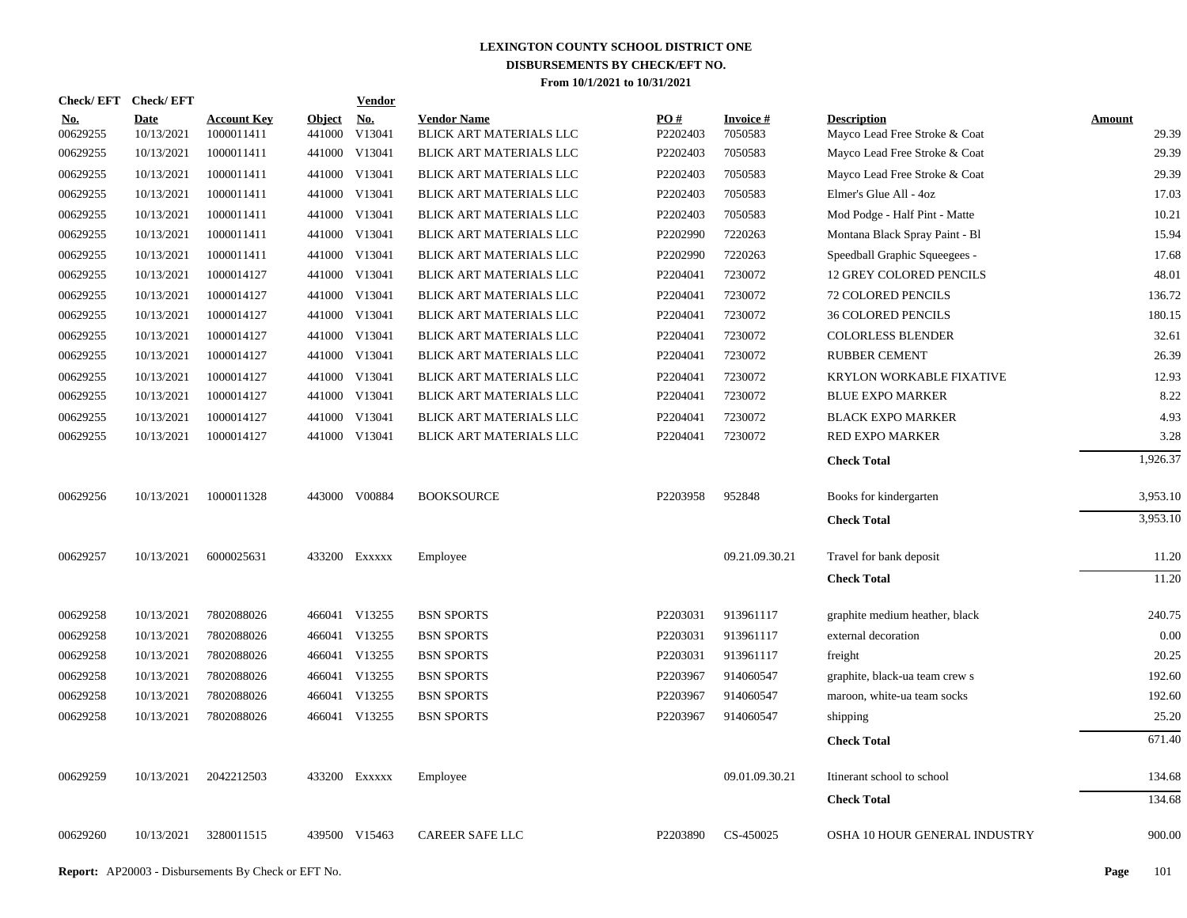| Check/EFT Check/EFT    |                           |                                  |                         | Vendor               |                                               |                 |                            |                                                     |                        |
|------------------------|---------------------------|----------------------------------|-------------------------|----------------------|-----------------------------------------------|-----------------|----------------------------|-----------------------------------------------------|------------------------|
| <u>No.</u><br>00629255 | <b>Date</b><br>10/13/2021 | <b>Account Key</b><br>1000011411 | <b>Object</b><br>441000 | <u>No.</u><br>V13041 | <b>Vendor Name</b><br>BLICK ART MATERIALS LLC | PO#<br>P2202403 | <b>Invoice#</b><br>7050583 | <b>Description</b><br>Mayco Lead Free Stroke & Coat | <b>Amount</b><br>29.39 |
| 00629255               | 10/13/2021                | 1000011411                       |                         | 441000 V13041        | BLICK ART MATERIALS LLC                       | P2202403        | 7050583                    | Mayco Lead Free Stroke & Coat                       | 29.39                  |
| 00629255               | 10/13/2021                | 1000011411                       |                         | 441000 V13041        | BLICK ART MATERIALS LLC                       | P2202403        | 7050583                    | Mayco Lead Free Stroke & Coat                       | 29.39                  |
| 00629255               | 10/13/2021                | 1000011411                       |                         | 441000 V13041        | BLICK ART MATERIALS LLC                       | P2202403        | 7050583                    | Elmer's Glue All - 4oz                              | 17.03                  |
| 00629255               | 10/13/2021                | 1000011411                       |                         | 441000 V13041        | BLICK ART MATERIALS LLC                       | P2202403        | 7050583                    | Mod Podge - Half Pint - Matte                       | 10.21                  |
| 00629255               | 10/13/2021                | 1000011411                       |                         | 441000 V13041        | BLICK ART MATERIALS LLC                       | P2202990        | 7220263                    | Montana Black Spray Paint - Bl                      | 15.94                  |
| 00629255               | 10/13/2021                | 1000011411                       |                         | 441000 V13041        | BLICK ART MATERIALS LLC                       | P2202990        | 7220263                    | Speedball Graphic Squeegees -                       | 17.68                  |
| 00629255               | 10/13/2021                | 1000014127                       |                         | 441000 V13041        | BLICK ART MATERIALS LLC                       | P2204041        | 7230072                    | 12 GREY COLORED PENCILS                             | 48.01                  |
| 00629255               | 10/13/2021                | 1000014127                       |                         | 441000 V13041        | BLICK ART MATERIALS LLC                       | P2204041        | 7230072                    | <b>72 COLORED PENCILS</b>                           | 136.72                 |
| 00629255               | 10/13/2021                | 1000014127                       |                         | 441000 V13041        | BLICK ART MATERIALS LLC                       | P2204041        | 7230072                    | <b>36 COLORED PENCILS</b>                           | 180.15                 |
| 00629255               | 10/13/2021                | 1000014127                       |                         | 441000 V13041        | BLICK ART MATERIALS LLC                       | P2204041        | 7230072                    | <b>COLORLESS BLENDER</b>                            | 32.61                  |
| 00629255               | 10/13/2021                | 1000014127                       |                         | 441000 V13041        | BLICK ART MATERIALS LLC                       | P2204041        | 7230072                    | <b>RUBBER CEMENT</b>                                | 26.39                  |
| 00629255               | 10/13/2021                | 1000014127                       |                         | 441000 V13041        | BLICK ART MATERIALS LLC                       | P2204041        | 7230072                    | KRYLON WORKABLE FIXATIVE                            | 12.93                  |
| 00629255               | 10/13/2021                | 1000014127                       |                         | 441000 V13041        | BLICK ART MATERIALS LLC                       | P2204041        | 7230072                    | <b>BLUE EXPO MARKER</b>                             | 8.22                   |
| 00629255               | 10/13/2021                | 1000014127                       |                         | 441000 V13041        | BLICK ART MATERIALS LLC                       | P2204041        | 7230072                    | <b>BLACK EXPO MARKER</b>                            | 4.93                   |
| 00629255               | 10/13/2021                | 1000014127                       |                         | 441000 V13041        | BLICK ART MATERIALS LLC                       | P2204041        | 7230072                    | <b>RED EXPO MARKER</b>                              | 3.28                   |
|                        |                           |                                  |                         |                      |                                               |                 |                            | <b>Check Total</b>                                  | 1,926.37               |
| 00629256               | 10/13/2021                | 1000011328                       |                         | 443000 V00884        | <b>BOOKSOURCE</b>                             | P2203958        | 952848                     | Books for kindergarten                              | 3,953.10               |
|                        |                           |                                  |                         |                      |                                               |                 |                            | <b>Check Total</b>                                  | 3,953.10               |
| 00629257               | 10/13/2021                | 6000025631                       |                         | 433200 Exxxxx        | Employee                                      |                 | 09.21.09.30.21             | Travel for bank deposit                             | 11.20                  |
|                        |                           |                                  |                         |                      |                                               |                 |                            | <b>Check Total</b>                                  | 11.20                  |
| 00629258               | 10/13/2021                | 7802088026                       |                         | 466041 V13255        | <b>BSN SPORTS</b>                             | P2203031        | 913961117                  | graphite medium heather, black                      | 240.75                 |
| 00629258               | 10/13/2021                | 7802088026                       | 466041                  | V13255               | <b>BSN SPORTS</b>                             | P2203031        | 913961117                  | external decoration                                 | 0.00                   |
| 00629258               | 10/13/2021                | 7802088026                       |                         | 466041 V13255        | <b>BSN SPORTS</b>                             | P2203031        | 913961117                  | freight                                             | 20.25                  |
| 00629258               | 10/13/2021                | 7802088026                       |                         | 466041 V13255        | <b>BSN SPORTS</b>                             | P2203967        | 914060547                  | graphite, black-ua team crew s                      | 192.60                 |
| 00629258               | 10/13/2021                | 7802088026                       |                         | 466041 V13255        | <b>BSN SPORTS</b>                             | P2203967        | 914060547                  | maroon, white-ua team socks                         | 192.60                 |
| 00629258               | 10/13/2021                | 7802088026                       |                         | 466041 V13255        | <b>BSN SPORTS</b>                             | P2203967        | 914060547                  | shipping                                            | 25.20                  |
|                        |                           |                                  |                         |                      |                                               |                 |                            | <b>Check Total</b>                                  | 671.40                 |
| 00629259               | 10/13/2021                | 2042212503                       |                         | 433200 Exxxxx        | Employee                                      |                 | 09.01.09.30.21             | Itinerant school to school                          | 134.68                 |
|                        |                           |                                  |                         |                      |                                               |                 |                            | <b>Check Total</b>                                  | 134.68                 |
| 00629260               | 10/13/2021                | 3280011515                       |                         | 439500 V15463        | <b>CAREER SAFE LLC</b>                        | P2203890        | CS-450025                  | OSHA 10 HOUR GENERAL INDUSTRY                       | 900.00                 |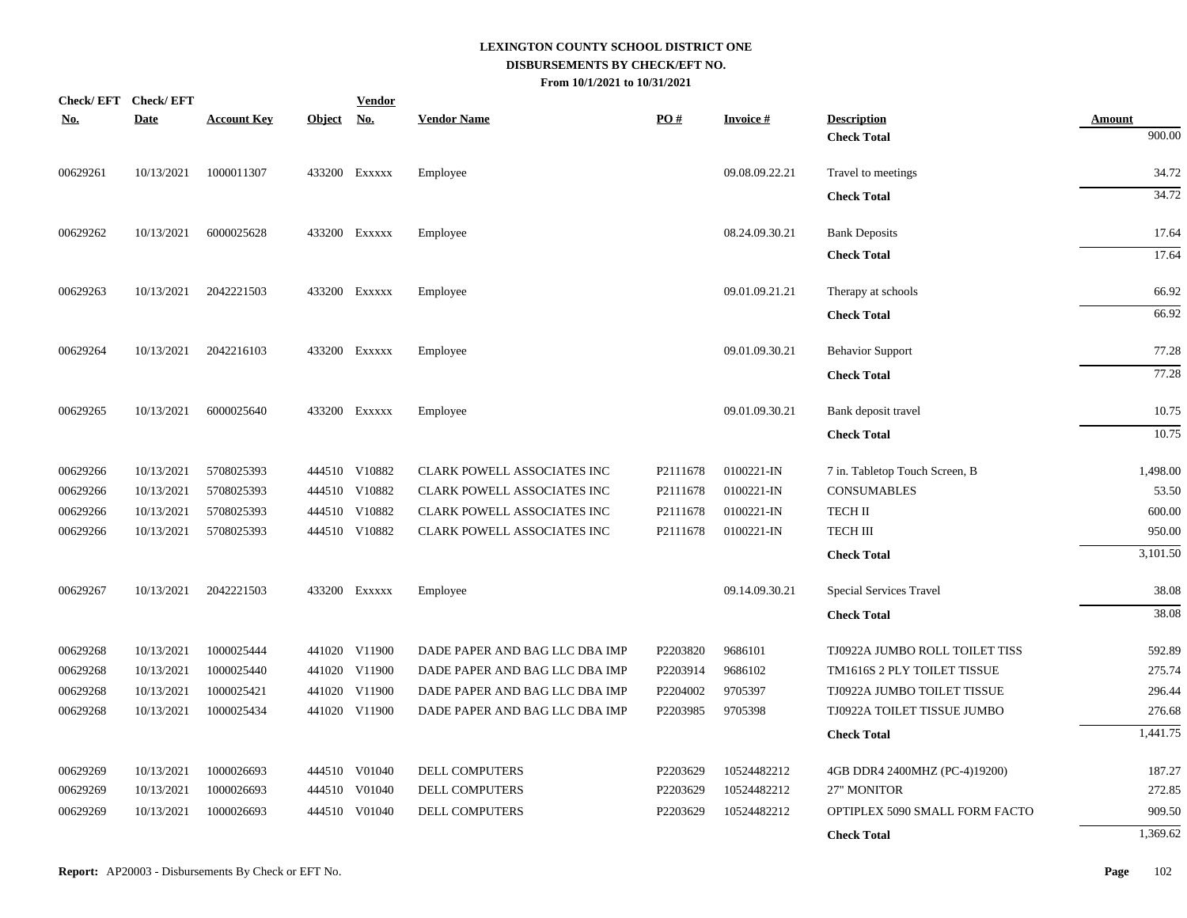| $\underline{\textbf{No}}$ . | Check/EFT Check/EFT<br><b>Date</b> | <b>Account Key</b> | Object No. | <b>Vendor</b> | <b>Vendor Name</b>                 | PO#      | Invoice #      | <b>Description</b>             | <b>Amount</b> |
|-----------------------------|------------------------------------|--------------------|------------|---------------|------------------------------------|----------|----------------|--------------------------------|---------------|
|                             |                                    |                    |            |               |                                    |          |                | <b>Check Total</b>             | 900.00        |
| 00629261                    | 10/13/2021                         | 1000011307         |            | 433200 Exxxxx | Employee                           |          | 09.08.09.22.21 | Travel to meetings             | 34.72         |
|                             |                                    |                    |            |               |                                    |          |                | <b>Check Total</b>             | 34.72         |
| 00629262                    | 10/13/2021                         | 6000025628         |            | 433200 Exxxxx | Employee                           |          | 08.24.09.30.21 | <b>Bank Deposits</b>           | 17.64         |
|                             |                                    |                    |            |               |                                    |          |                | <b>Check Total</b>             | 17.64         |
| 00629263                    | 10/13/2021                         | 2042221503         |            | 433200 EXXXXX | Employee                           |          | 09.01.09.21.21 | Therapy at schools             | 66.92         |
|                             |                                    |                    |            |               |                                    |          |                | <b>Check Total</b>             | 66.92         |
| 00629264                    | 10/13/2021                         | 2042216103         |            | 433200 EXXXXX | Employee                           |          | 09.01.09.30.21 | <b>Behavior Support</b>        | 77.28         |
|                             |                                    |                    |            |               |                                    |          |                | <b>Check Total</b>             | 77.28         |
| 00629265                    | 10/13/2021                         | 6000025640         |            | 433200 Exxxxx | Employee                           |          | 09.01.09.30.21 | Bank deposit travel            | 10.75         |
|                             |                                    |                    |            |               |                                    |          |                | <b>Check Total</b>             | 10.75         |
| 00629266                    | 10/13/2021                         | 5708025393         |            | 444510 V10882 | <b>CLARK POWELL ASSOCIATES INC</b> | P2111678 | 0100221-IN     | 7 in. Tabletop Touch Screen, B | 1,498.00      |
| 00629266                    | 10/13/2021                         | 5708025393         |            | 444510 V10882 | CLARK POWELL ASSOCIATES INC        | P2111678 | 0100221-IN     | <b>CONSUMABLES</b>             | 53.50         |
| 00629266                    | 10/13/2021                         | 5708025393         |            | 444510 V10882 | CLARK POWELL ASSOCIATES INC        | P2111678 | 0100221-IN     | <b>TECH II</b>                 | 600.00        |
| 00629266                    | 10/13/2021                         | 5708025393         |            | 444510 V10882 | CLARK POWELL ASSOCIATES INC        | P2111678 | 0100221-IN     | <b>TECH III</b>                | 950.00        |
|                             |                                    |                    |            |               |                                    |          |                | <b>Check Total</b>             | 3,101.50      |
| 00629267                    | 10/13/2021                         | 2042221503         |            | 433200 EXXXXX | Employee                           |          | 09.14.09.30.21 | Special Services Travel        | 38.08         |
|                             |                                    |                    |            |               |                                    |          |                | <b>Check Total</b>             | 38.08         |
| 00629268                    | 10/13/2021                         | 1000025444         |            | 441020 V11900 | DADE PAPER AND BAG LLC DBA IMP     | P2203820 | 9686101        | TJ0922A JUMBO ROLL TOILET TISS | 592.89        |
| 00629268                    | 10/13/2021                         | 1000025440         |            | 441020 V11900 | DADE PAPER AND BAG LLC DBA IMP     | P2203914 | 9686102        | TM1616S 2 PLY TOILET TISSUE    | 275.74        |
| 00629268                    | 10/13/2021                         | 1000025421         |            | 441020 V11900 | DADE PAPER AND BAG LLC DBA IMP     | P2204002 | 9705397        | TJ0922A JUMBO TOILET TISSUE    | 296.44        |
| 00629268                    | 10/13/2021                         | 1000025434         |            | 441020 V11900 | DADE PAPER AND BAG LLC DBA IMP     | P2203985 | 9705398        | TJ0922A TOILET TISSUE JUMBO    | 276.68        |
|                             |                                    |                    |            |               |                                    |          |                | <b>Check Total</b>             | 1,441.75      |
| 00629269                    | 10/13/2021                         | 1000026693         |            | 444510 V01040 | <b>DELL COMPUTERS</b>              | P2203629 | 10524482212    | 4GB DDR4 2400MHZ (PC-4)19200)  | 187.27        |
| 00629269                    | 10/13/2021                         | 1000026693         |            | 444510 V01040 | DELL COMPUTERS                     | P2203629 | 10524482212    | 27" MONITOR                    | 272.85        |
| 00629269                    | 10/13/2021                         | 1000026693         |            | 444510 V01040 | DELL COMPUTERS                     | P2203629 | 10524482212    | OPTIPLEX 5090 SMALL FORM FACTO | 909.50        |
|                             |                                    |                    |            |               |                                    |          |                | <b>Check Total</b>             | 1,369.62      |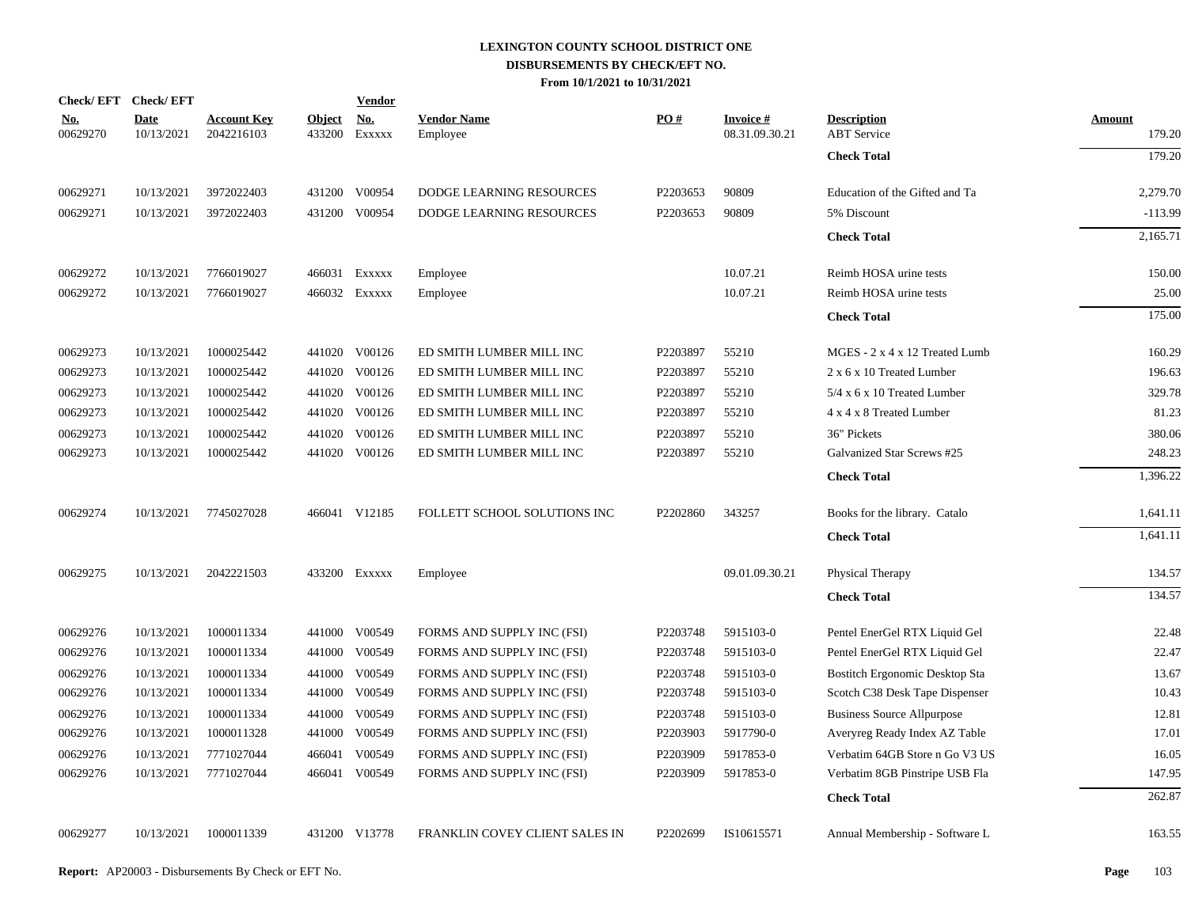| Check/EFT Check/EFT    |                           |                                  |                         | <b>Vendor</b>        |                                |          |                                   |                                          |                         |
|------------------------|---------------------------|----------------------------------|-------------------------|----------------------|--------------------------------|----------|-----------------------------------|------------------------------------------|-------------------------|
| <u>No.</u><br>00629270 | <b>Date</b><br>10/13/2021 | <b>Account Key</b><br>2042216103 | <b>Object</b><br>433200 | <u>No.</u><br>Exxxxx | <b>Vendor Name</b><br>Employee | PO#      | <b>Invoice#</b><br>08.31.09.30.21 | <b>Description</b><br><b>ABT</b> Service | <b>Amount</b><br>179.20 |
|                        |                           |                                  |                         |                      |                                |          |                                   | <b>Check Total</b>                       | 179.20                  |
| 00629271               | 10/13/2021                | 3972022403                       | 431200                  | V00954               | DODGE LEARNING RESOURCES       | P2203653 | 90809                             | Education of the Gifted and Ta           | 2,279.70                |
| 00629271               | 10/13/2021                | 3972022403                       |                         | 431200 V00954        | DODGE LEARNING RESOURCES       | P2203653 | 90809                             | 5% Discount                              | $-113.99$               |
|                        |                           |                                  |                         |                      |                                |          |                                   | <b>Check Total</b>                       | 2,165.71                |
| 00629272               | 10/13/2021                | 7766019027                       |                         | 466031 Exxxxx        | Employee                       |          | 10.07.21                          | Reimb HOSA urine tests                   | 150.00                  |
| 00629272               | 10/13/2021                | 7766019027                       |                         | 466032 Exxxxx        | Employee                       |          | 10.07.21                          | Reimb HOSA urine tests                   | 25.00                   |
|                        |                           |                                  |                         |                      |                                |          |                                   | <b>Check Total</b>                       | 175.00                  |
| 00629273               | 10/13/2021                | 1000025442                       |                         | 441020 V00126        | ED SMITH LUMBER MILL INC       | P2203897 | 55210                             | MGES - 2 x 4 x 12 Treated Lumb           | 160.29                  |
| 00629273               | 10/13/2021                | 1000025442                       | 441020                  | V00126               | ED SMITH LUMBER MILL INC       | P2203897 | 55210                             | 2 x 6 x 10 Treated Lumber                | 196.63                  |
| 00629273               | 10/13/2021                | 1000025442                       | 441020                  | V00126               | ED SMITH LUMBER MILL INC       | P2203897 | 55210                             | $5/4$ x 6 x 10 Treated Lumber            | 329.78                  |
| 00629273               | 10/13/2021                | 1000025442                       | 441020                  | V00126               | ED SMITH LUMBER MILL INC       | P2203897 | 55210                             | 4 x 4 x 8 Treated Lumber                 | 81.23                   |
| 00629273               | 10/13/2021                | 1000025442                       | 441020                  | V00126               | ED SMITH LUMBER MILL INC       | P2203897 | 55210                             | 36" Pickets                              | 380.06                  |
| 00629273               | 10/13/2021                | 1000025442                       | 441020                  | V00126               | ED SMITH LUMBER MILL INC       | P2203897 | 55210                             | Galvanized Star Screws #25               | 248.23                  |
|                        |                           |                                  |                         |                      |                                |          |                                   | <b>Check Total</b>                       | 1,396.22                |
| 00629274               | 10/13/2021                | 7745027028                       |                         | 466041 V12185        | FOLLETT SCHOOL SOLUTIONS INC   | P2202860 | 343257                            | Books for the library. Catalo            | 1,641.11                |
|                        |                           |                                  |                         |                      |                                |          |                                   | <b>Check Total</b>                       | 1,641.11                |
| 00629275               | 10/13/2021                | 2042221503                       |                         | 433200 Exxxxx        | Employee                       |          | 09.01.09.30.21                    | Physical Therapy                         | 134.57                  |
|                        |                           |                                  |                         |                      |                                |          |                                   | <b>Check Total</b>                       | 134.57                  |
| 00629276               | 10/13/2021                | 1000011334                       | 441000                  | V00549               | FORMS AND SUPPLY INC (FSI)     | P2203748 | 5915103-0                         | Pentel EnerGel RTX Liquid Gel            | 22.48                   |
| 00629276               | 10/13/2021                | 1000011334                       | 441000                  | V00549               | FORMS AND SUPPLY INC (FSI)     | P2203748 | 5915103-0                         | Pentel EnerGel RTX Liquid Gel            | 22.47                   |
| 00629276               | 10/13/2021                | 1000011334                       | 441000                  | V00549               | FORMS AND SUPPLY INC (FSI)     | P2203748 | 5915103-0                         | <b>Bostitch Ergonomic Desktop Sta</b>    | 13.67                   |
| 00629276               | 10/13/2021                | 1000011334                       | 441000                  | V00549               | FORMS AND SUPPLY INC (FSI)     | P2203748 | 5915103-0                         | Scotch C38 Desk Tape Dispenser           | 10.43                   |
| 00629276               | 10/13/2021                | 1000011334                       | 441000                  | V00549               | FORMS AND SUPPLY INC (FSI)     | P2203748 | 5915103-0                         | <b>Business Source Allpurpose</b>        | 12.81                   |
| 00629276               | 10/13/2021                | 1000011328                       | 441000                  | V00549               | FORMS AND SUPPLY INC (FSI)     | P2203903 | 5917790-0                         | Averyreg Ready Index AZ Table            | 17.01                   |
| 00629276               | 10/13/2021                | 7771027044                       | 466041                  | V00549               | FORMS AND SUPPLY INC (FSI)     | P2203909 | 5917853-0                         | Verbatim 64GB Store n Go V3 US           | 16.05                   |
| 00629276               | 10/13/2021                | 7771027044                       | 466041                  | V00549               | FORMS AND SUPPLY INC (FSI)     | P2203909 | 5917853-0                         | Verbatim 8GB Pinstripe USB Fla           | 147.95                  |
|                        |                           |                                  |                         |                      |                                |          |                                   | <b>Check Total</b>                       | 262.87                  |
| 00629277               | 10/13/2021                | 1000011339                       |                         | 431200 V13778        | FRANKLIN COVEY CLIENT SALES IN | P2202699 | IS10615571                        | Annual Membership - Software L           | 163.55                  |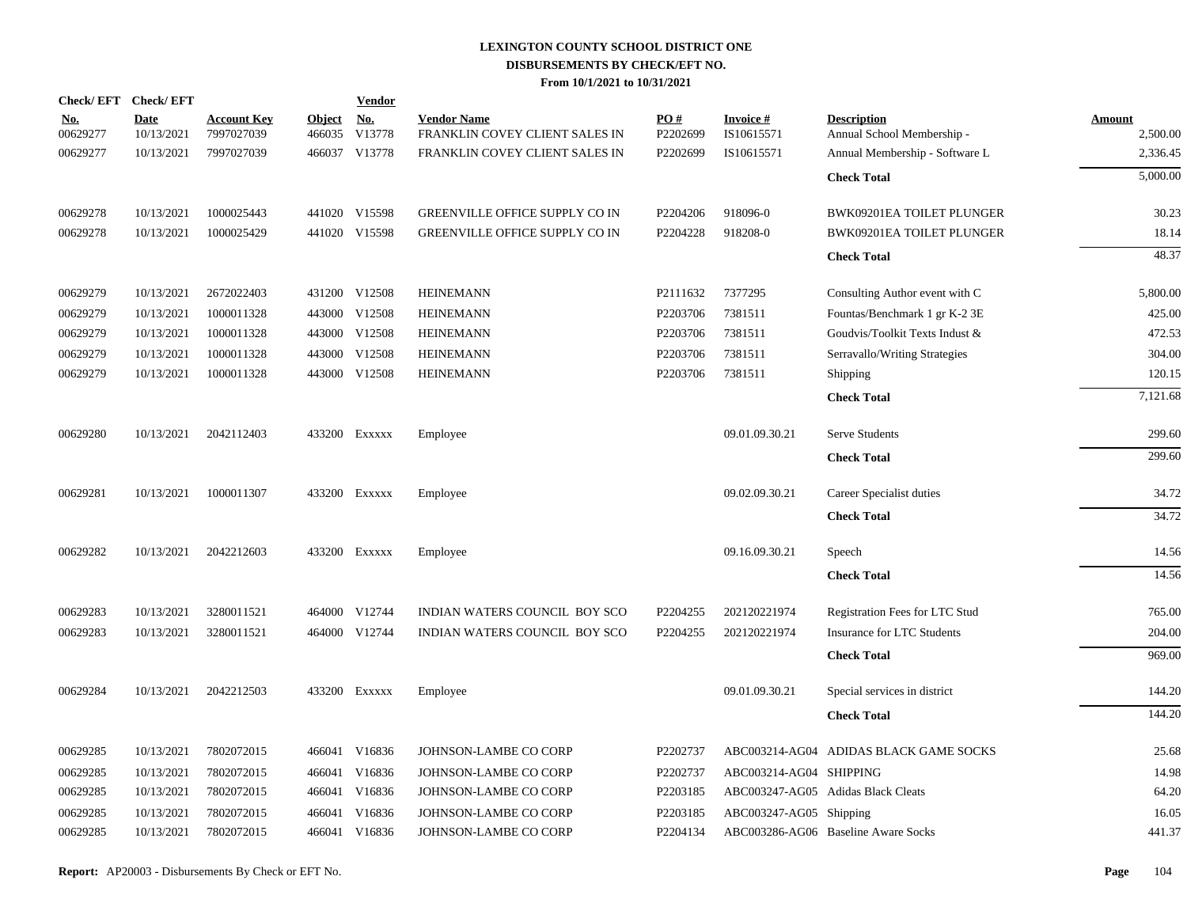| Check/EFT Check/EFT    |                           |                                  |                      | <b>Vendor</b> |                                                      |                               |                               |                                                  |                    |
|------------------------|---------------------------|----------------------------------|----------------------|---------------|------------------------------------------------------|-------------------------------|-------------------------------|--------------------------------------------------|--------------------|
| <u>No.</u><br>00629277 | <b>Date</b><br>10/13/2021 | <b>Account Key</b><br>7997027039 | Object No.<br>466035 | V13778        | <b>Vendor Name</b><br>FRANKLIN COVEY CLIENT SALES IN | $\underline{PO#}$<br>P2202699 | <b>Invoice#</b><br>IS10615571 | <b>Description</b><br>Annual School Membership - | Amount<br>2,500.00 |
| 00629277               | 10/13/2021                | 7997027039                       |                      | 466037 V13778 | FRANKLIN COVEY CLIENT SALES IN                       | P2202699                      | IS10615571                    | Annual Membership - Software L                   | 2,336.45           |
|                        |                           |                                  |                      |               |                                                      |                               |                               | <b>Check Total</b>                               | 5,000.00           |
| 00629278               | 10/13/2021                | 1000025443                       |                      | 441020 V15598 | GREENVILLE OFFICE SUPPLY CO IN                       | P2204206                      | 918096-0                      | BWK09201EA TOILET PLUNGER                        | 30.23              |
| 00629278               | 10/13/2021                | 1000025429                       |                      | 441020 V15598 | GREENVILLE OFFICE SUPPLY CO IN                       | P2204228                      | 918208-0                      | BWK09201EA TOILET PLUNGER                        | 18.14              |
|                        |                           |                                  |                      |               |                                                      |                               |                               | <b>Check Total</b>                               | 48.37              |
| 00629279               | 10/13/2021                | 2672022403                       |                      | 431200 V12508 | <b>HEINEMANN</b>                                     | P2111632                      | 7377295                       | Consulting Author event with C                   | 5,800.00           |
| 00629279               | 10/13/2021                | 1000011328                       |                      | 443000 V12508 | <b>HEINEMANN</b>                                     | P2203706                      | 7381511                       | Fountas/Benchmark 1 gr K-2 3E                    | 425.00             |
| 00629279               | 10/13/2021                | 1000011328                       |                      | 443000 V12508 | <b>HEINEMANN</b>                                     | P2203706                      | 7381511                       | Goudvis/Toolkit Texts Indust &                   | 472.53             |
| 00629279               | 10/13/2021                | 1000011328                       |                      | 443000 V12508 | <b>HEINEMANN</b>                                     | P2203706                      | 7381511                       | Serravallo/Writing Strategies                    | 304.00             |
| 00629279               | 10/13/2021                | 1000011328                       |                      | 443000 V12508 | <b>HEINEMANN</b>                                     | P2203706                      | 7381511                       | <b>Shipping</b>                                  | 120.15             |
|                        |                           |                                  |                      |               |                                                      |                               |                               | <b>Check Total</b>                               | 7,121.68           |
| 00629280               | 10/13/2021                | 2042112403                       |                      | 433200 Exxxxx | Employee                                             |                               | 09.01.09.30.21                | <b>Serve Students</b>                            | 299.60             |
|                        |                           |                                  |                      |               |                                                      |                               |                               | <b>Check Total</b>                               | 299.60             |
| 00629281               | 10/13/2021                | 1000011307                       |                      | 433200 Exxxxx | Employee                                             |                               | 09.02.09.30.21                | Career Specialist duties                         | 34.72              |
|                        |                           |                                  |                      |               |                                                      |                               |                               | <b>Check Total</b>                               | 34.72              |
| 00629282               | 10/13/2021                | 2042212603                       |                      | 433200 Exxxxx | Employee                                             |                               | 09.16.09.30.21                | Speech                                           | 14.56              |
|                        |                           |                                  |                      |               |                                                      |                               |                               | <b>Check Total</b>                               | 14.56              |
| 00629283               | 10/13/2021                | 3280011521                       |                      | 464000 V12744 | INDIAN WATERS COUNCIL BOY SCO                        | P2204255                      | 202120221974                  | Registration Fees for LTC Stud                   | 765.00             |
| 00629283               | 10/13/2021                | 3280011521                       |                      | 464000 V12744 | INDIAN WATERS COUNCIL BOY SCO                        | P2204255                      | 202120221974                  | Insurance for LTC Students                       | 204.00             |
|                        |                           |                                  |                      |               |                                                      |                               |                               | <b>Check Total</b>                               | 969.00             |
| 00629284               | 10/13/2021                | 2042212503                       |                      | 433200 Exxxxx | Employee                                             |                               | 09.01.09.30.21                | Special services in district                     | 144.20             |
|                        |                           |                                  |                      |               |                                                      |                               |                               | <b>Check Total</b>                               | 144.20             |
| 00629285               | 10/13/2021                | 7802072015                       |                      | 466041 V16836 | JOHNSON-LAMBE CO CORP                                | P2202737                      |                               | ABC003214-AG04 ADIDAS BLACK GAME SOCKS           | 25.68              |
| 00629285               | 10/13/2021                | 7802072015                       | 466041               | V16836        | JOHNSON-LAMBE CO CORP                                | P2202737                      | ABC003214-AG04 SHIPPING       |                                                  | 14.98              |
| 00629285               | 10/13/2021                | 7802072015                       |                      | 466041 V16836 | JOHNSON-LAMBE CO CORP                                | P2203185                      |                               | ABC003247-AG05 Adidas Black Cleats               | 64.20              |
| 00629285               | 10/13/2021                | 7802072015                       | 466041               | V16836        | JOHNSON-LAMBE CO CORP                                | P2203185                      | ABC003247-AG05 Shipping       |                                                  | 16.05              |
| 00629285               | 10/13/2021                | 7802072015                       |                      | 466041 V16836 | JOHNSON-LAMBE CO CORP                                | P2204134                      |                               | ABC003286-AG06 Baseline Aware Socks              | 441.37             |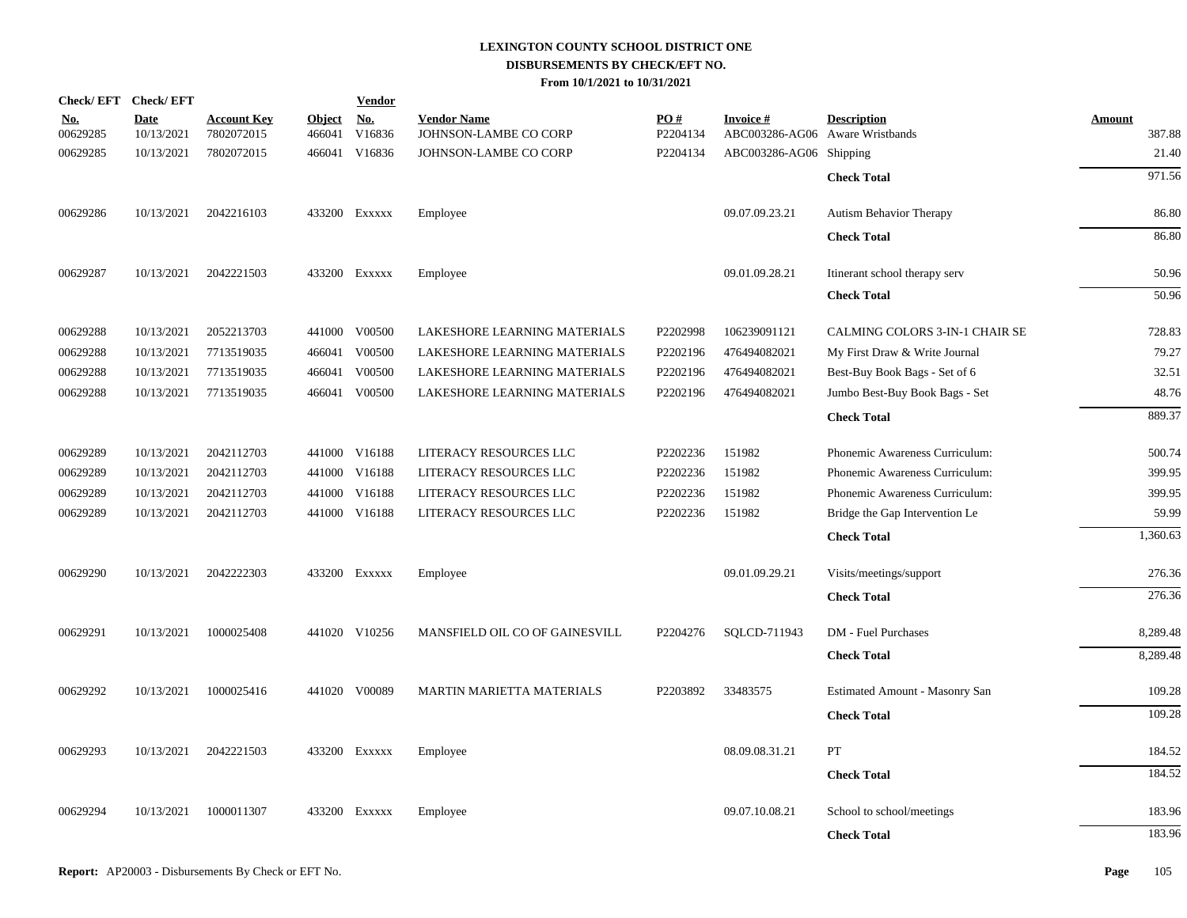| Check/EFT Check/EFT    |                           |                                  |                         | <b>Vendor</b>        |                                             |                               |                                              |                                       |                  |
|------------------------|---------------------------|----------------------------------|-------------------------|----------------------|---------------------------------------------|-------------------------------|----------------------------------------------|---------------------------------------|------------------|
| <u>No.</u><br>00629285 | <b>Date</b><br>10/13/2021 | <b>Account Key</b><br>7802072015 | <b>Object</b><br>466041 | <u>No.</u><br>V16836 | <b>Vendor Name</b><br>JOHNSON-LAMBE CO CORP | $\underline{PO#}$<br>P2204134 | Invoice #<br>ABC003286-AG06 Aware Wristbands | <b>Description</b>                    | Amount<br>387.88 |
| 00629285               | 10/13/2021                | 7802072015                       |                         | 466041 V16836        | JOHNSON-LAMBE CO CORP                       | P2204134                      | ABC003286-AG06 Shipping                      |                                       | 21.40            |
|                        |                           |                                  |                         |                      |                                             |                               |                                              | <b>Check Total</b>                    | 971.56           |
| 00629286               | 10/13/2021                | 2042216103                       |                         | 433200 EXXXXX        | Employee                                    |                               | 09.07.09.23.21                               | Autism Behavior Therapy               | 86.80            |
|                        |                           |                                  |                         |                      |                                             |                               |                                              | <b>Check Total</b>                    | 86.80            |
| 00629287               | 10/13/2021                | 2042221503                       |                         | 433200 EXXXXX        | Employee                                    |                               | 09.01.09.28.21                               | Itinerant school therapy serv         | 50.96            |
|                        |                           |                                  |                         |                      |                                             |                               |                                              | <b>Check Total</b>                    | 50.96            |
| 00629288               | 10/13/2021                | 2052213703                       |                         | 441000 V00500        | LAKESHORE LEARNING MATERIALS                | P2202998                      | 106239091121                                 | CALMING COLORS 3-IN-1 CHAIR SE        | 728.83           |
| 00629288               | 10/13/2021                | 7713519035                       |                         | 466041 V00500        | LAKESHORE LEARNING MATERIALS                | P2202196                      | 476494082021                                 | My First Draw & Write Journal         | 79.27            |
| 00629288               | 10/13/2021                | 7713519035                       |                         | 466041 V00500        | LAKESHORE LEARNING MATERIALS                | P2202196                      | 476494082021                                 | Best-Buy Book Bags - Set of 6         | 32.51            |
| 00629288               | 10/13/2021                | 7713519035                       |                         | 466041 V00500        | LAKESHORE LEARNING MATERIALS                | P2202196                      | 476494082021                                 | Jumbo Best-Buy Book Bags - Set        | 48.76            |
|                        |                           |                                  |                         |                      |                                             |                               |                                              | <b>Check Total</b>                    | 889.37           |
| 00629289               | 10/13/2021                | 2042112703                       |                         | 441000 V16188        | LITERACY RESOURCES LLC                      | P2202236                      | 151982                                       | Phonemic Awareness Curriculum:        | 500.74           |
| 00629289               | 10/13/2021                | 2042112703                       |                         | 441000 V16188        | LITERACY RESOURCES LLC                      | P2202236                      | 151982                                       | Phonemic Awareness Curriculum:        | 399.95           |
| 00629289               | 10/13/2021                | 2042112703                       |                         | 441000 V16188        | LITERACY RESOURCES LLC                      | P2202236                      | 151982                                       | Phonemic Awareness Curriculum:        | 399.95           |
| 00629289               | 10/13/2021                | 2042112703                       |                         | 441000 V16188        | LITERACY RESOURCES LLC                      | P2202236                      | 151982                                       | Bridge the Gap Intervention Le        | 59.99            |
|                        |                           |                                  |                         |                      |                                             |                               |                                              | <b>Check Total</b>                    | 1,360.63         |
| 00629290               | 10/13/2021                | 2042222303                       |                         | 433200 EXXXXX        | Employee                                    |                               | 09.01.09.29.21                               | Visits/meetings/support               | 276.36           |
|                        |                           |                                  |                         |                      |                                             |                               |                                              | <b>Check Total</b>                    | 276.36           |
| 00629291               | 10/13/2021                | 1000025408                       |                         | 441020 V10256        | MANSFIELD OIL CO OF GAINESVILL              | P2204276                      | SQLCD-711943                                 | DM - Fuel Purchases                   | 8,289.48         |
|                        |                           |                                  |                         |                      |                                             |                               |                                              | <b>Check Total</b>                    | 8,289.48         |
| 00629292               | 10/13/2021                | 1000025416                       |                         | 441020 V00089        | MARTIN MARIETTA MATERIALS                   | P2203892                      | 33483575                                     | <b>Estimated Amount - Masonry San</b> | 109.28           |
|                        |                           |                                  |                         |                      |                                             |                               |                                              | <b>Check Total</b>                    | 109.28           |
| 00629293               | 10/13/2021                | 2042221503                       |                         | 433200 EXXXXX        | Employee                                    |                               | 08.09.08.31.21                               | PT                                    | 184.52           |
|                        |                           |                                  |                         |                      |                                             |                               |                                              | <b>Check Total</b>                    | 184.52           |
| 00629294               | 10/13/2021                | 1000011307                       |                         | 433200 Exxxxx        | Employee                                    |                               | 09.07.10.08.21                               | School to school/meetings             | 183.96           |
|                        |                           |                                  |                         |                      |                                             |                               |                                              | <b>Check Total</b>                    | 183.96           |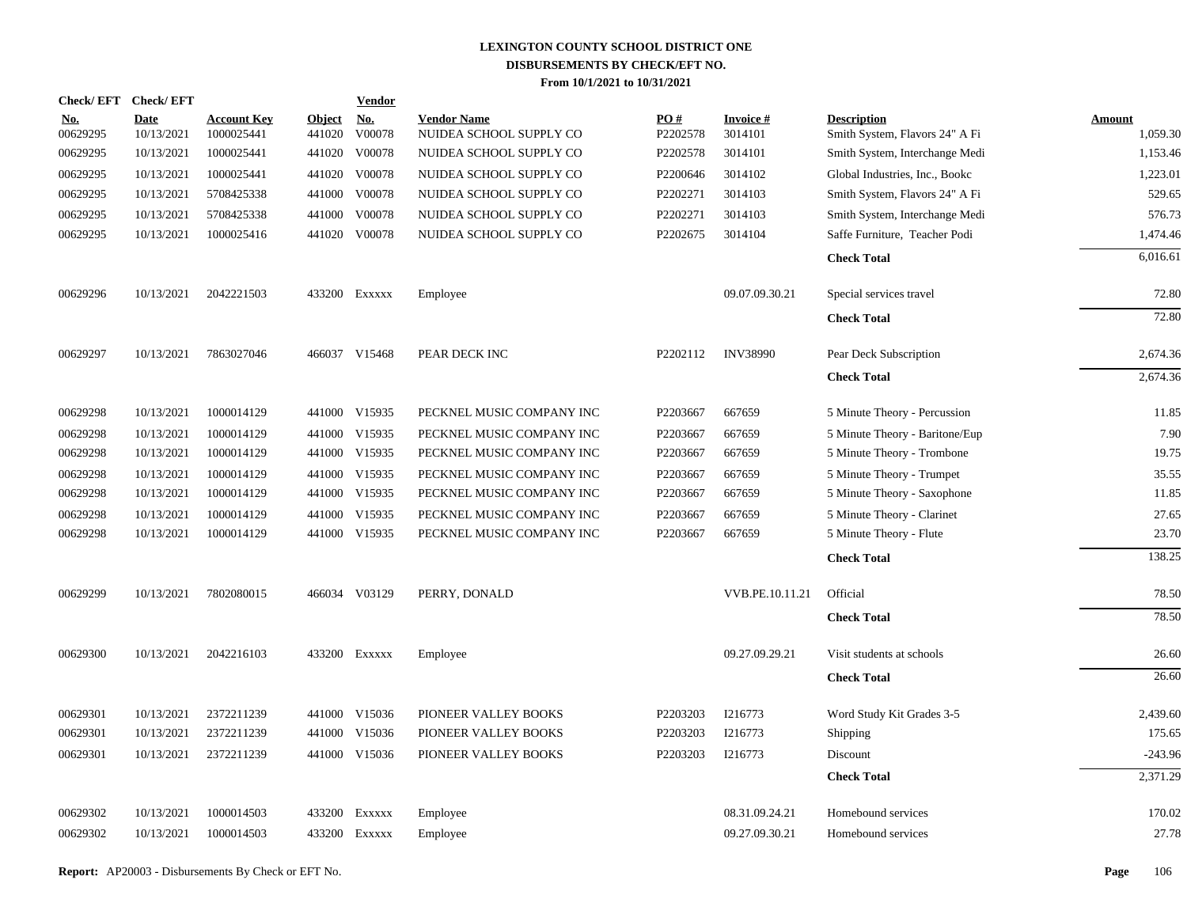| Check/EFT Check/EFT    |                           |                                  |                         | <b>Vendor</b>        |                                               |                 |                            |                                                      |                           |
|------------------------|---------------------------|----------------------------------|-------------------------|----------------------|-----------------------------------------------|-----------------|----------------------------|------------------------------------------------------|---------------------------|
| <u>No.</u><br>00629295 | <b>Date</b><br>10/13/2021 | <b>Account Key</b><br>1000025441 | <b>Object</b><br>441020 | <u>No.</u><br>V00078 | <b>Vendor Name</b><br>NUIDEA SCHOOL SUPPLY CO | PO#<br>P2202578 | <b>Invoice#</b><br>3014101 | <b>Description</b><br>Smith System, Flavors 24" A Fi | <b>Amount</b><br>1,059.30 |
| 00629295               | 10/13/2021                | 1000025441                       |                         | 441020 V00078        | NUIDEA SCHOOL SUPPLY CO                       | P2202578        | 3014101                    | Smith System, Interchange Medi                       | 1,153.46                  |
| 00629295               | 10/13/2021                | 1000025441                       |                         | 441020 V00078        | NUIDEA SCHOOL SUPPLY CO                       | P2200646        | 3014102                    | Global Industries, Inc., Bookc                       | 1,223.01                  |
| 00629295               | 10/13/2021                | 5708425338                       |                         | 441000 V00078        | NUIDEA SCHOOL SUPPLY CO                       | P2202271        | 3014103                    | Smith System, Flavors 24" A Fi                       | 529.65                    |
| 00629295               | 10/13/2021                | 5708425338                       | 441000                  | V00078               | NUIDEA SCHOOL SUPPLY CO                       | P2202271        | 3014103                    | Smith System, Interchange Medi                       | 576.73                    |
| 00629295               | 10/13/2021                | 1000025416                       |                         | 441020 V00078        | NUIDEA SCHOOL SUPPLY CO                       | P2202675        | 3014104                    | Saffe Furniture, Teacher Podi                        | 1,474.46                  |
|                        |                           |                                  |                         |                      |                                               |                 |                            | <b>Check Total</b>                                   | 6,016.61                  |
| 00629296               | 10/13/2021                | 2042221503                       |                         | 433200 Exxxxx        | Employee                                      |                 | 09.07.09.30.21             | Special services travel                              | 72.80                     |
|                        |                           |                                  |                         |                      |                                               |                 |                            | <b>Check Total</b>                                   | 72.80                     |
| 00629297               | 10/13/2021                | 7863027046                       |                         | 466037 V15468        | PEAR DECK INC                                 | P2202112        | <b>INV38990</b>            | Pear Deck Subscription                               | 2,674.36                  |
|                        |                           |                                  |                         |                      |                                               |                 |                            | <b>Check Total</b>                                   | 2,674.36                  |
| 00629298               | 10/13/2021                | 1000014129                       |                         | 441000 V15935        | PECKNEL MUSIC COMPANY INC                     | P2203667        | 667659                     | 5 Minute Theory - Percussion                         | 11.85                     |
| 00629298               | 10/13/2021                | 1000014129                       |                         | 441000 V15935        | PECKNEL MUSIC COMPANY INC                     | P2203667        | 667659                     | 5 Minute Theory - Baritone/Eup                       | 7.90                      |
| 00629298               | 10/13/2021                | 1000014129                       |                         | 441000 V15935        | PECKNEL MUSIC COMPANY INC                     | P2203667        | 667659                     | 5 Minute Theory - Trombone                           | 19.75                     |
| 00629298               | 10/13/2021                | 1000014129                       |                         | 441000 V15935        | PECKNEL MUSIC COMPANY INC                     | P2203667        | 667659                     | 5 Minute Theory - Trumpet                            | 35.55                     |
| 00629298               | 10/13/2021                | 1000014129                       |                         | 441000 V15935        | PECKNEL MUSIC COMPANY INC                     | P2203667        | 667659                     | 5 Minute Theory - Saxophone                          | 11.85                     |
| 00629298               | 10/13/2021                | 1000014129                       |                         | 441000 V15935        | PECKNEL MUSIC COMPANY INC                     | P2203667        | 667659                     | 5 Minute Theory - Clarinet                           | 27.65                     |
| 00629298               | 10/13/2021                | 1000014129                       |                         | 441000 V15935        | PECKNEL MUSIC COMPANY INC                     | P2203667        | 667659                     | 5 Minute Theory - Flute                              | 23.70                     |
|                        |                           |                                  |                         |                      |                                               |                 |                            | <b>Check Total</b>                                   | 138.25                    |
| 00629299               | 10/13/2021                | 7802080015                       |                         | 466034 V03129        | PERRY, DONALD                                 |                 | VVB.PE.10.11.21            | Official                                             | 78.50                     |
|                        |                           |                                  |                         |                      |                                               |                 |                            | <b>Check Total</b>                                   | 78.50                     |
| 00629300               | 10/13/2021                | 2042216103                       |                         | 433200 Exxxxx        | Employee                                      |                 | 09.27.09.29.21             | Visit students at schools                            | 26.60                     |
|                        |                           |                                  |                         |                      |                                               |                 |                            | <b>Check Total</b>                                   | 26.60                     |
| 00629301               | 10/13/2021                | 2372211239                       |                         | 441000 V15036        | PIONEER VALLEY BOOKS                          | P2203203        | I216773                    | Word Study Kit Grades 3-5                            | 2,439.60                  |
| 00629301               | 10/13/2021                | 2372211239                       |                         | 441000 V15036        | PIONEER VALLEY BOOKS                          | P2203203        | I216773                    | Shipping                                             | 175.65                    |
| 00629301               | 10/13/2021                | 2372211239                       |                         | 441000 V15036        | PIONEER VALLEY BOOKS                          | P2203203        | I216773                    | Discount                                             | $-243.96$                 |
|                        |                           |                                  |                         |                      |                                               |                 |                            | <b>Check Total</b>                                   | 2,371.29                  |
| 00629302               | 10/13/2021                | 1000014503                       |                         | 433200 EXXXXX        | Employee                                      |                 | 08.31.09.24.21             | Homebound services                                   | 170.02                    |
| 00629302               | 10/13/2021                | 1000014503                       |                         | 433200 Exxxxx        | Employee                                      |                 | 09.27.09.30.21             | Homebound services                                   | 27.78                     |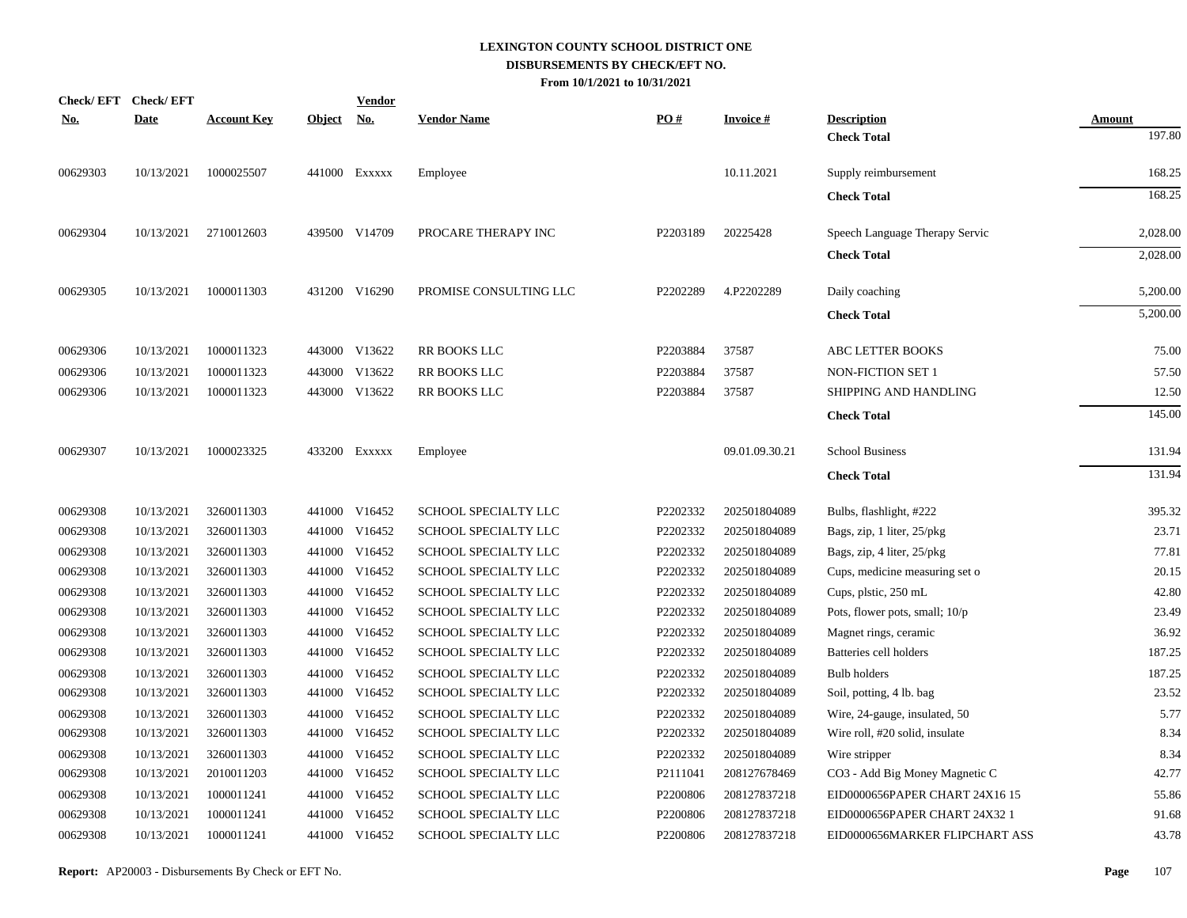| <b>Check/EFT</b> | <b>Check/EFT</b> |                    |               | <b>Vendor</b> |                        |          |                 |                                |               |
|------------------|------------------|--------------------|---------------|---------------|------------------------|----------|-----------------|--------------------------------|---------------|
| <u>No.</u>       | <b>Date</b>      | <b>Account Key</b> | <b>Object</b> | <u>No.</u>    | <b>Vendor Name</b>     | PO#      | <b>Invoice#</b> | <b>Description</b>             | <b>Amount</b> |
|                  |                  |                    |               |               |                        |          |                 | <b>Check Total</b>             | 197.80        |
| 00629303         | 10/13/2021       | 1000025507         |               | 441000 Exxxxx | Employee               |          | 10.11.2021      | Supply reimbursement           | 168.25        |
|                  |                  |                    |               |               |                        |          |                 | <b>Check Total</b>             | 168.25        |
| 00629304         | 10/13/2021       | 2710012603         |               | 439500 V14709 | PROCARE THERAPY INC    | P2203189 | 20225428        | Speech Language Therapy Servic | 2,028.00      |
|                  |                  |                    |               |               |                        |          |                 | <b>Check Total</b>             | 2,028.00      |
| 00629305         | 10/13/2021       | 1000011303         |               | 431200 V16290 | PROMISE CONSULTING LLC | P2202289 | 4.P2202289      | Daily coaching                 | 5,200.00      |
|                  |                  |                    |               |               |                        |          |                 | <b>Check Total</b>             | 5,200.00      |
| 00629306         | 10/13/2021       | 1000011323         |               | 443000 V13622 | RR BOOKS LLC           | P2203884 | 37587           | ABC LETTER BOOKS               | 75.00         |
| 00629306         | 10/13/2021       | 1000011323         |               | 443000 V13622 | <b>RR BOOKS LLC</b>    | P2203884 | 37587           | <b>NON-FICTION SET 1</b>       | 57.50         |
| 00629306         | 10/13/2021       | 1000011323         |               | 443000 V13622 | <b>RR BOOKS LLC</b>    | P2203884 | 37587           | SHIPPING AND HANDLING          | 12.50         |
|                  |                  |                    |               |               |                        |          |                 | <b>Check Total</b>             | 145.00        |
| 00629307         | 10/13/2021       | 1000023325         |               | 433200 Exxxxx | Employee               |          | 09.01.09.30.21  | <b>School Business</b>         | 131.94        |
|                  |                  |                    |               |               |                        |          |                 | <b>Check Total</b>             | 131.94        |
| 00629308         | 10/13/2021       | 3260011303         |               | 441000 V16452 | SCHOOL SPECIALTY LLC   | P2202332 | 202501804089    | Bulbs, flashlight, #222        | 395.32        |
| 00629308         | 10/13/2021       | 3260011303         |               | 441000 V16452 | SCHOOL SPECIALTY LLC   | P2202332 | 202501804089    | Bags, zip, 1 liter, 25/pkg     | 23.71         |
| 00629308         | 10/13/2021       | 3260011303         |               | 441000 V16452 | SCHOOL SPECIALTY LLC   | P2202332 | 202501804089    | Bags, zip, 4 liter, 25/pkg     | 77.81         |
| 00629308         | 10/13/2021       | 3260011303         |               | 441000 V16452 | SCHOOL SPECIALTY LLC   | P2202332 | 202501804089    | Cups, medicine measuring set o | 20.15         |
| 00629308         | 10/13/2021       | 3260011303         |               | 441000 V16452 | SCHOOL SPECIALTY LLC   | P2202332 | 202501804089    | Cups, plstic, 250 mL           | 42.80         |
| 00629308         | 10/13/2021       | 3260011303         |               | 441000 V16452 | SCHOOL SPECIALTY LLC   | P2202332 | 202501804089    | Pots, flower pots, small; 10/p | 23.49         |
| 00629308         | 10/13/2021       | 3260011303         |               | 441000 V16452 | SCHOOL SPECIALTY LLC   | P2202332 | 202501804089    | Magnet rings, ceramic          | 36.92         |
| 00629308         | 10/13/2021       | 3260011303         |               | 441000 V16452 | SCHOOL SPECIALTY LLC   | P2202332 | 202501804089    | Batteries cell holders         | 187.25        |
| 00629308         | 10/13/2021       | 3260011303         |               | 441000 V16452 | SCHOOL SPECIALTY LLC   | P2202332 | 202501804089    | <b>Bulb</b> holders            | 187.25        |
| 00629308         | 10/13/2021       | 3260011303         |               | 441000 V16452 | SCHOOL SPECIALTY LLC   | P2202332 | 202501804089    | Soil, potting, 4 lb. bag       | 23.52         |
| 00629308         | 10/13/2021       | 3260011303         |               | 441000 V16452 | SCHOOL SPECIALTY LLC   | P2202332 | 202501804089    | Wire, 24-gauge, insulated, 50  | 5.77          |
| 00629308         | 10/13/2021       | 3260011303         |               | 441000 V16452 | SCHOOL SPECIALTY LLC   | P2202332 | 202501804089    | Wire roll, #20 solid, insulate | 8.34          |
| 00629308         | 10/13/2021       | 3260011303         | 441000        | V16452        | SCHOOL SPECIALTY LLC   | P2202332 | 202501804089    | Wire stripper                  | 8.34          |
| 00629308         | 10/13/2021       | 2010011203         |               | 441000 V16452 | SCHOOL SPECIALTY LLC   | P2111041 | 208127678469    | CO3 - Add Big Money Magnetic C | 42.77         |
| 00629308         | 10/13/2021       | 1000011241         | 441000        | V16452        | SCHOOL SPECIALTY LLC   | P2200806 | 208127837218    | EID0000656PAPER CHART 24X16 15 | 55.86         |
| 00629308         | 10/13/2021       | 1000011241         | 441000        | V16452        | SCHOOL SPECIALTY LLC   | P2200806 | 208127837218    | EID0000656PAPER CHART 24X32 1  | 91.68         |
| 00629308         | 10/13/2021       | 1000011241         |               | 441000 V16452 | SCHOOL SPECIALTY LLC   | P2200806 | 208127837218    | EID0000656MARKER FLIPCHART ASS | 43.78         |
|                  |                  |                    |               |               |                        |          |                 |                                |               |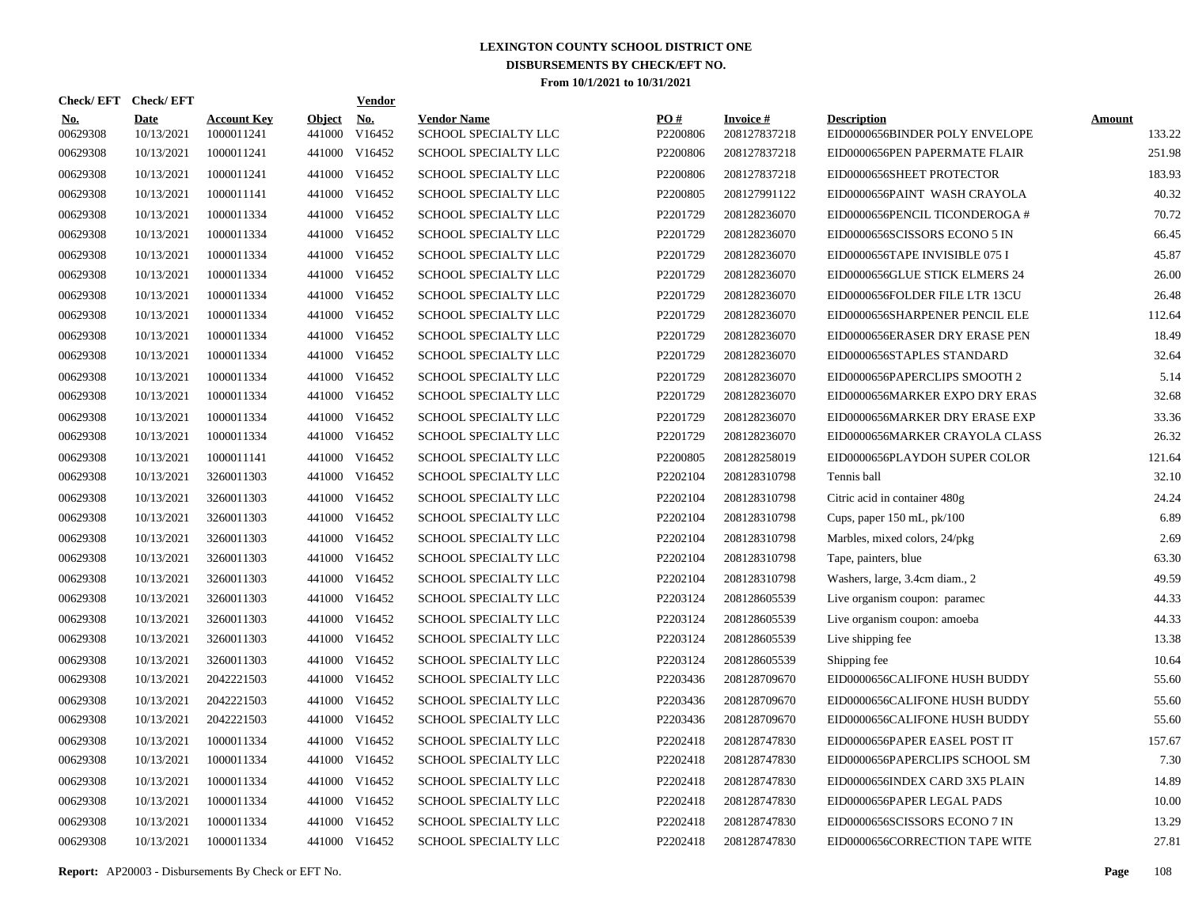|                        | Check/EFT Check/EFT       |                                  |                         | <b>Vendor</b>        |                                            |                 |                                 |                                                      |                         |
|------------------------|---------------------------|----------------------------------|-------------------------|----------------------|--------------------------------------------|-----------------|---------------------------------|------------------------------------------------------|-------------------------|
| <u>No.</u><br>00629308 | <b>Date</b><br>10/13/2021 | <b>Account Key</b><br>1000011241 | <b>Object</b><br>441000 | <u>No.</u><br>V16452 | <b>Vendor Name</b><br>SCHOOL SPECIALTY LLC | PQ#<br>P2200806 | <b>Invoice#</b><br>208127837218 | <b>Description</b><br>EID0000656BINDER POLY ENVELOPE | <b>Amount</b><br>133.22 |
| 00629308               | 10/13/2021                | 1000011241                       | 441000                  | V16452               | SCHOOL SPECIALTY LLC                       | P2200806        | 208127837218                    | EID0000656PEN PAPERMATE FLAIR                        | 251.98                  |
| 00629308               | 10/13/2021                | 1000011241                       | 441000                  | V16452               | SCHOOL SPECIALTY LLC                       | P2200806        | 208127837218                    | EID0000656SHEET PROTECTOR                            | 183.93                  |
| 00629308               | 10/13/2021                | 1000011141                       |                         | 441000 V16452        | <b>SCHOOL SPECIALTY LLC</b>                | P2200805        | 208127991122                    | EID0000656PAINT WASH CRAYOLA                         | 40.32                   |
| 00629308               | 10/13/2021                | 1000011334                       |                         | 441000 V16452        | <b>SCHOOL SPECIALTY LLC</b>                | P2201729        | 208128236070                    | EID0000656PENCIL TICONDEROGA #                       | 70.72                   |
| 00629308               | 10/13/2021                | 1000011334                       |                         | 441000 V16452        | SCHOOL SPECIALTY LLC                       | P2201729        | 208128236070                    | EID0000656SCISSORS ECONO 5 IN                        | 66.45                   |
| 00629308               | 10/13/2021                | 1000011334                       |                         | 441000 V16452        | SCHOOL SPECIALTY LLC                       | P2201729        | 208128236070                    | EID0000656TAPE INVISIBLE 075 I                       | 45.87                   |
| 00629308               | 10/13/2021                | 1000011334                       |                         | 441000 V16452        | SCHOOL SPECIALTY LLC                       | P2201729        | 208128236070                    | EID0000656GLUE STICK ELMERS 24                       | 26.00                   |
| 00629308               | 10/13/2021                | 1000011334                       |                         | 441000 V16452        | SCHOOL SPECIALTY LLC                       | P2201729        | 208128236070                    | EID0000656FOLDER FILE LTR 13CU                       | 26.48                   |
| 00629308               | 10/13/2021                | 1000011334                       |                         | 441000 V16452        | SCHOOL SPECIALTY LLC                       | P2201729        | 208128236070                    | EID0000656SHARPENER PENCIL ELE                       | 112.64                  |
| 00629308               | 10/13/2021                | 1000011334                       |                         | 441000 V16452        | SCHOOL SPECIALTY LLC                       | P2201729        | 208128236070                    | EID0000656ERASER DRY ERASE PEN                       | 18.49                   |
| 00629308               | 10/13/2021                | 1000011334                       |                         | 441000 V16452        | SCHOOL SPECIALTY LLC                       | P2201729        | 208128236070                    | EID0000656STAPLES STANDARD                           | 32.64                   |
| 00629308               | 10/13/2021                | 1000011334                       |                         | 441000 V16452        | SCHOOL SPECIALTY LLC                       | P2201729        | 208128236070                    | EID0000656PAPERCLIPS SMOOTH 2                        | 5.14                    |
| 00629308               | 10/13/2021                | 1000011334                       |                         | 441000 V16452        | SCHOOL SPECIALTY LLC                       | P2201729        | 208128236070                    | EID0000656MARKER EXPO DRY ERAS                       | 32.68                   |
| 00629308               | 10/13/2021                | 1000011334                       |                         | 441000 V16452        | SCHOOL SPECIALTY LLC                       | P2201729        | 208128236070                    | EID0000656MARKER DRY ERASE EXP                       | 33.36                   |
| 00629308               | 10/13/2021                | 1000011334                       |                         | 441000 V16452        | SCHOOL SPECIALTY LLC                       | P2201729        | 208128236070                    | EID0000656MARKER CRAYOLA CLASS                       | 26.32                   |
| 00629308               | 10/13/2021                | 1000011141                       |                         | 441000 V16452        | SCHOOL SPECIALTY LLC                       | P2200805        | 208128258019                    | EID0000656PLAYDOH SUPER COLOR                        | 121.64                  |
| 00629308               | 10/13/2021                | 3260011303                       |                         | 441000 V16452        | SCHOOL SPECIALTY LLC                       | P2202104        | 208128310798                    | Tennis ball                                          | 32.10                   |
| 00629308               | 10/13/2021                | 3260011303                       |                         | 441000 V16452        | SCHOOL SPECIALTY LLC                       | P2202104        | 208128310798                    | Citric acid in container 480g                        | 24.24                   |
| 00629308               | 10/13/2021                | 3260011303                       |                         | 441000 V16452        | SCHOOL SPECIALTY LLC                       | P2202104        | 208128310798                    | Cups, paper 150 mL, pk/100                           | 6.89                    |
| 00629308               | 10/13/2021                | 3260011303                       |                         | 441000 V16452        | SCHOOL SPECIALTY LLC                       | P2202104        | 208128310798                    | Marbles, mixed colors, 24/pkg                        | 2.69                    |
| 00629308               | 10/13/2021                | 3260011303                       |                         | 441000 V16452        | SCHOOL SPECIALTY LLC                       | P2202104        | 208128310798                    | Tape, painters, blue                                 | 63.30                   |
| 00629308               | 10/13/2021                | 3260011303                       |                         | 441000 V16452        | SCHOOL SPECIALTY LLC                       | P2202104        | 208128310798                    | Washers, large, 3.4cm diam., 2                       | 49.59                   |
| 00629308               | 10/13/2021                | 3260011303                       |                         | 441000 V16452        | SCHOOL SPECIALTY LLC                       | P2203124        | 208128605539                    | Live organism coupon: paramec                        | 44.33                   |
| 00629308               | 10/13/2021                | 3260011303                       | 441000                  | V16452               | SCHOOL SPECIALTY LLC                       | P2203124        | 208128605539                    | Live organism coupon: amoeba                         | 44.33                   |
| 00629308               | 10/13/2021                | 3260011303                       |                         | 441000 V16452        | <b>SCHOOL SPECIALTY LLC</b>                | P2203124        | 208128605539                    | Live shipping fee                                    | 13.38                   |
| 00629308               | 10/13/2021                | 3260011303                       | 441000                  | V16452               | <b>SCHOOL SPECIALTY LLC</b>                | P2203124        | 208128605539                    | Shipping fee                                         | 10.64                   |
| 00629308               | 10/13/2021                | 2042221503                       |                         | 441000 V16452        | SCHOOL SPECIALTY LLC                       | P2203436        | 208128709670                    | EID0000656CALIFONE HUSH BUDDY                        | 55.60                   |
| 00629308               | 10/13/2021                | 2042221503                       | 441000                  | V16452               | SCHOOL SPECIALTY LLC                       | P2203436        | 208128709670                    | EID0000656CALIFONE HUSH BUDDY                        | 55.60                   |
| 00629308               | 10/13/2021                | 2042221503                       |                         | 441000 V16452        | SCHOOL SPECIALTY LLC                       | P2203436        | 208128709670                    | EID0000656CALIFONE HUSH BUDDY                        | 55.60                   |
| 00629308               | 10/13/2021                | 1000011334                       | 441000                  | V16452               | SCHOOL SPECIALTY LLC                       | P2202418        | 208128747830                    | EID0000656PAPER EASEL POST IT                        | 157.67                  |
| 00629308               | 10/13/2021                | 1000011334                       |                         | 441000 V16452        | SCHOOL SPECIALTY LLC                       | P2202418        | 208128747830                    | EID0000656PAPERCLIPS SCHOOL SM                       | 7.30                    |
| 00629308               | 10/13/2021                | 1000011334                       | 441000                  | V16452               | SCHOOL SPECIALTY LLC                       | P2202418        | 208128747830                    | EID0000656INDEX CARD 3X5 PLAIN                       | 14.89                   |
| 00629308               | 10/13/2021                | 1000011334                       |                         | 441000 V16452        | SCHOOL SPECIALTY LLC                       | P2202418        | 208128747830                    | EID0000656PAPER LEGAL PADS                           | 10.00                   |
| 00629308               | 10/13/2021                | 1000011334                       | 441000                  | V16452               | SCHOOL SPECIALTY LLC                       | P2202418        | 208128747830                    | EID0000656SCISSORS ECONO 7 IN                        | 13.29                   |
| 00629308               | 10/13/2021                | 1000011334                       |                         | 441000 V16452        | SCHOOL SPECIALTY LLC                       | P2202418        | 208128747830                    | EID0000656CORRECTION TAPE WITE                       | 27.81                   |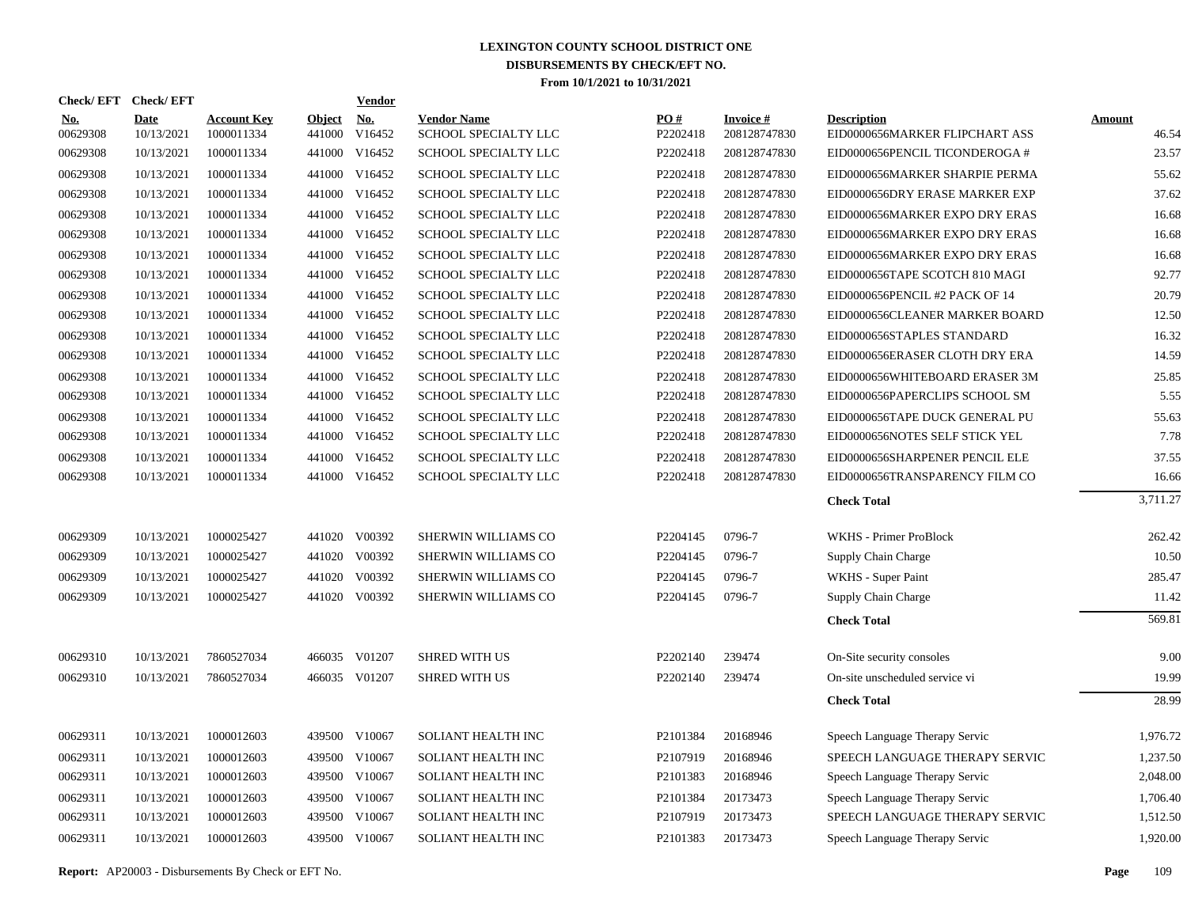| Check/EFT Check/EFT    |                           |                                  |                         | <b>Vendor</b>        |                                            |                 |                                 |                                                      |                 |
|------------------------|---------------------------|----------------------------------|-------------------------|----------------------|--------------------------------------------|-----------------|---------------------------------|------------------------------------------------------|-----------------|
| <b>No.</b><br>00629308 | <b>Date</b><br>10/13/2021 | <b>Account Key</b><br>1000011334 | <b>Object</b><br>441000 | <u>No.</u><br>V16452 | <b>Vendor Name</b><br>SCHOOL SPECIALTY LLC | PO#<br>P2202418 | <b>Invoice#</b><br>208128747830 | <b>Description</b><br>EID0000656MARKER FLIPCHART ASS | Amount<br>46.54 |
| 00629308               | 10/13/2021                | 1000011334                       | 441000                  | V16452               | SCHOOL SPECIALTY LLC                       | P2202418        | 208128747830                    | EID0000656PENCIL TICONDEROGA #                       | 23.57           |
| 00629308               | 10/13/2021                | 1000011334                       |                         | 441000 V16452        | SCHOOL SPECIALTY LLC                       | P2202418        | 208128747830                    | EID0000656MARKER SHARPIE PERMA                       | 55.62           |
| 00629308               | 10/13/2021                | 1000011334                       |                         | 441000 V16452        | SCHOOL SPECIALTY LLC                       | P2202418        | 208128747830                    | EID0000656DRY ERASE MARKER EXP                       | 37.62           |
| 00629308               | 10/13/2021                | 1000011334                       |                         | 441000 V16452        | SCHOOL SPECIALTY LLC                       | P2202418        | 208128747830                    | EID0000656MARKER EXPO DRY ERAS                       | 16.68           |
| 00629308               | 10/13/2021                | 1000011334                       |                         | 441000 V16452        | SCHOOL SPECIALTY LLC                       | P2202418        | 208128747830                    | EID0000656MARKER EXPO DRY ERAS                       | 16.68           |
| 00629308               | 10/13/2021                | 1000011334                       |                         | 441000 V16452        | SCHOOL SPECIALTY LLC                       | P2202418        | 208128747830                    | EID0000656MARKER EXPO DRY ERAS                       | 16.68           |
| 00629308               | 10/13/2021                | 1000011334                       |                         | 441000 V16452        | SCHOOL SPECIALTY LLC                       | P2202418        | 208128747830                    | EID0000656TAPE SCOTCH 810 MAGI                       | 92.77           |
| 00629308               | 10/13/2021                | 1000011334                       |                         | 441000 V16452        | SCHOOL SPECIALTY LLC                       | P2202418        | 208128747830                    | EID0000656PENCIL #2 PACK OF 14                       | 20.79           |
| 00629308               | 10/13/2021                | 1000011334                       |                         | 441000 V16452        | SCHOOL SPECIALTY LLC                       | P2202418        | 208128747830                    | EID0000656CLEANER MARKER BOARD                       | 12.50           |
| 00629308               | 10/13/2021                | 1000011334                       | 441000                  | V16452               | SCHOOL SPECIALTY LLC                       | P2202418        | 208128747830                    | EID0000656STAPLES STANDARD                           | 16.32           |
| 00629308               | 10/13/2021                | 1000011334                       |                         | 441000 V16452        | SCHOOL SPECIALTY LLC                       | P2202418        | 208128747830                    | EID0000656ERASER CLOTH DRY ERA                       | 14.59           |
| 00629308               | 10/13/2021                | 1000011334                       | 441000                  | V16452               | SCHOOL SPECIALTY LLC                       | P2202418        | 208128747830                    | EID0000656WHITEBOARD ERASER 3M                       | 25.85           |
| 00629308               | 10/13/2021                | 1000011334                       |                         | 441000 V16452        | SCHOOL SPECIALTY LLC                       | P2202418        | 208128747830                    | EID0000656PAPERCLIPS SCHOOL SM                       | 5.55            |
| 00629308               | 10/13/2021                | 1000011334                       |                         | 441000 V16452        | SCHOOL SPECIALTY LLC                       | P2202418        | 208128747830                    | EID0000656TAPE DUCK GENERAL PU                       | 55.63           |
| 00629308               | 10/13/2021                | 1000011334                       |                         | 441000 V16452        | SCHOOL SPECIALTY LLC                       | P2202418        | 208128747830                    | EID0000656NOTES SELF STICK YEL                       | 7.78            |
| 00629308               | 10/13/2021                | 1000011334                       |                         | 441000 V16452        | SCHOOL SPECIALTY LLC                       | P2202418        | 208128747830                    | EID0000656SHARPENER PENCIL ELE                       | 37.55           |
| 00629308               | 10/13/2021                | 1000011334                       |                         | 441000 V16452        | SCHOOL SPECIALTY LLC                       | P2202418        | 208128747830                    | EID0000656TRANSPARENCY FILM CO                       | 16.66           |
|                        |                           |                                  |                         |                      |                                            |                 |                                 | <b>Check Total</b>                                   | 3,711.27        |
| 00629309               | 10/13/2021                | 1000025427                       |                         | 441020 V00392        | SHERWIN WILLIAMS CO                        | P2204145        | 0796-7                          | <b>WKHS</b> - Primer ProBlock                        | 262.42          |
| 00629309               | 10/13/2021                | 1000025427                       |                         | 441020 V00392        | SHERWIN WILLIAMS CO                        | P2204145        | 0796-7                          | Supply Chain Charge                                  | 10.50           |
| 00629309               | 10/13/2021                | 1000025427                       | 441020                  | V00392               | SHERWIN WILLIAMS CO                        | P2204145        | 0796-7                          | WKHS - Super Paint                                   | 285.47          |
| 00629309               | 10/13/2021                | 1000025427                       |                         | 441020 V00392        | SHERWIN WILLIAMS CO                        | P2204145        | 0796-7                          | Supply Chain Charge                                  | 11.42           |
|                        |                           |                                  |                         |                      |                                            |                 |                                 | <b>Check Total</b>                                   | 569.81          |
| 00629310               | 10/13/2021                | 7860527034                       |                         | 466035 V01207        | <b>SHRED WITH US</b>                       | P2202140        | 239474                          | On-Site security consoles                            | 9.00            |
| 00629310               | 10/13/2021                | 7860527034                       |                         | 466035 V01207        | <b>SHRED WITH US</b>                       | P2202140        | 239474                          | On-site unscheduled service vi                       | 19.99           |
|                        |                           |                                  |                         |                      |                                            |                 |                                 | <b>Check Total</b>                                   | 28.99           |
| 00629311               | 10/13/2021                | 1000012603                       |                         | 439500 V10067        | SOLIANT HEALTH INC                         | P2101384        | 20168946                        | Speech Language Therapy Servic                       | 1,976.72        |
| 00629311               | 10/13/2021                | 1000012603                       | 439500                  | V10067               | SOLIANT HEALTH INC                         | P2107919        | 20168946                        | SPEECH LANGUAGE THERAPY SERVIC                       | 1,237.50        |
| 00629311               | 10/13/2021                | 1000012603                       |                         | 439500 V10067        | SOLIANT HEALTH INC                         | P2101383        | 20168946                        | Speech Language Therapy Servic                       | 2,048.00        |
| 00629311               | 10/13/2021                | 1000012603                       | 439500                  | V10067               | SOLIANT HEALTH INC                         | P2101384        | 20173473                        | Speech Language Therapy Servic                       | 1,706.40        |
| 00629311               | 10/13/2021                | 1000012603                       |                         | 439500 V10067        | SOLIANT HEALTH INC                         | P2107919        | 20173473                        | SPEECH LANGUAGE THERAPY SERVIC                       | 1,512.50        |
| 00629311               | 10/13/2021                | 1000012603                       |                         | 439500 V10067        | SOLIANT HEALTH INC                         | P2101383        | 20173473                        | Speech Language Therapy Servic                       | 1,920.00        |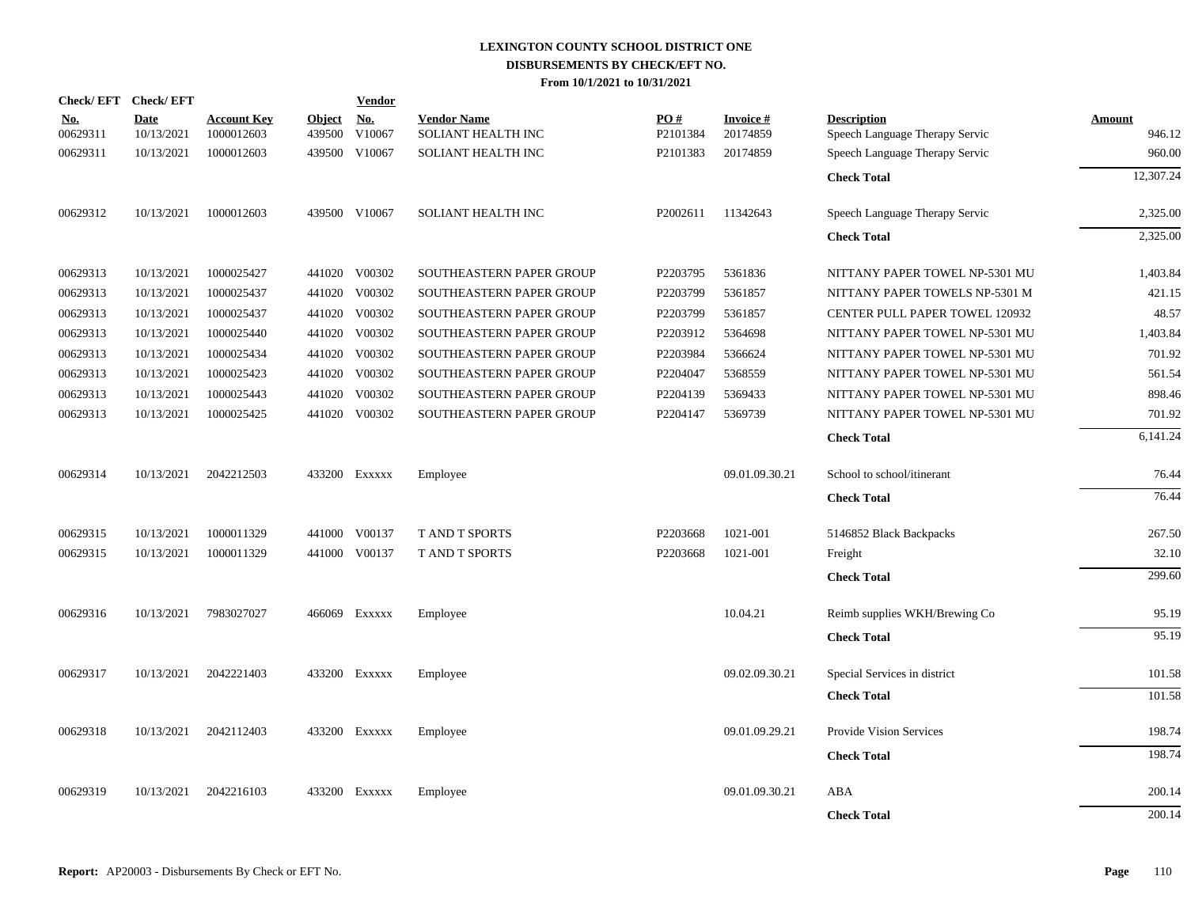| <b>Check/EFT</b>       | <b>Check/EFT</b>          |                                  |                         | <b>Vendor</b>        |                                          |                 |                                |                                                      |                  |
|------------------------|---------------------------|----------------------------------|-------------------------|----------------------|------------------------------------------|-----------------|--------------------------------|------------------------------------------------------|------------------|
| <u>No.</u><br>00629311 | <b>Date</b><br>10/13/2021 | <b>Account Key</b><br>1000012603 | <b>Object</b><br>439500 | <u>No.</u><br>V10067 | <b>Vendor Name</b><br>SOLIANT HEALTH INC | PO#<br>P2101384 | <b>Invoice</b> $#$<br>20174859 | <b>Description</b><br>Speech Language Therapy Servic | Amount<br>946.12 |
| 00629311               | 10/13/2021                | 1000012603                       | 439500                  | V10067               | SOLIANT HEALTH INC                       | P2101383        | 20174859                       | Speech Language Therapy Servic                       | 960.00           |
|                        |                           |                                  |                         |                      |                                          |                 |                                | <b>Check Total</b>                                   | 12,307.24        |
| 00629312               | 10/13/2021                | 1000012603                       |                         | 439500 V10067        | SOLIANT HEALTH INC                       | P2002611        | 11342643                       | Speech Language Therapy Servic                       | 2,325.00         |
|                        |                           |                                  |                         |                      |                                          |                 |                                | <b>Check Total</b>                                   | 2,325.00         |
| 00629313               | 10/13/2021                | 1000025427                       |                         | 441020 V00302        | SOUTHEASTERN PAPER GROUP                 | P2203795        | 5361836                        | NITTANY PAPER TOWEL NP-5301 MU                       | 1,403.84         |
| 00629313               | 10/13/2021                | 1000025437                       |                         | 441020 V00302        | SOUTHEASTERN PAPER GROUP                 | P2203799        | 5361857                        | NITTANY PAPER TOWELS NP-5301 M                       | 421.15           |
| 00629313               | 10/13/2021                | 1000025437                       |                         | 441020 V00302        | SOUTHEASTERN PAPER GROUP                 | P2203799        | 5361857                        | CENTER PULL PAPER TOWEL 120932                       | 48.57            |
| 00629313               | 10/13/2021                | 1000025440                       |                         | 441020 V00302        | SOUTHEASTERN PAPER GROUP                 | P2203912        | 5364698                        | NITTANY PAPER TOWEL NP-5301 MU                       | 1,403.84         |
| 00629313               | 10/13/2021                | 1000025434                       | 441020                  | V00302               | SOUTHEASTERN PAPER GROUP                 | P2203984        | 5366624                        | NITTANY PAPER TOWEL NP-5301 MU                       | 701.92           |
| 00629313               | 10/13/2021                | 1000025423                       | 441020                  | V00302               | SOUTHEASTERN PAPER GROUP                 | P2204047        | 5368559                        | NITTANY PAPER TOWEL NP-5301 MU                       | 561.54           |
| 00629313               | 10/13/2021                | 1000025443                       | 441020                  | V00302               | SOUTHEASTERN PAPER GROUP                 | P2204139        | 5369433                        | NITTANY PAPER TOWEL NP-5301 MU                       | 898.46           |
| 00629313               | 10/13/2021                | 1000025425                       |                         | 441020 V00302        | SOUTHEASTERN PAPER GROUP                 | P2204147        | 5369739                        | NITTANY PAPER TOWEL NP-5301 MU                       | 701.92           |
|                        |                           |                                  |                         |                      |                                          |                 |                                | <b>Check Total</b>                                   | 6,141.24         |
| 00629314               | 10/13/2021                | 2042212503                       |                         | 433200 Exxxxx        | Employee                                 |                 | 09.01.09.30.21                 | School to school/itinerant                           | 76.44            |
|                        |                           |                                  |                         |                      |                                          |                 |                                | <b>Check Total</b>                                   | 76.44            |
| 00629315               | 10/13/2021                | 1000011329                       |                         | 441000 V00137        | <b>T AND T SPORTS</b>                    | P2203668        | 1021-001                       | 5146852 Black Backpacks                              | 267.50           |
| 00629315               | 10/13/2021                | 1000011329                       |                         | 441000 V00137        | <b>T AND T SPORTS</b>                    | P2203668        | 1021-001                       | Freight                                              | 32.10            |
|                        |                           |                                  |                         |                      |                                          |                 |                                | <b>Check Total</b>                                   | 299.60           |
| 00629316               | 10/13/2021                | 7983027027                       |                         | 466069 Exxxxx        | Employee                                 |                 | 10.04.21                       | Reimb supplies WKH/Brewing Co                        | 95.19            |
|                        |                           |                                  |                         |                      |                                          |                 |                                | <b>Check Total</b>                                   | 95.19            |
| 00629317               | 10/13/2021                | 2042221403                       |                         | 433200 Exxxxx        | Employee                                 |                 | 09.02.09.30.21                 | Special Services in district                         | 101.58           |
|                        |                           |                                  |                         |                      |                                          |                 |                                | <b>Check Total</b>                                   | 101.58           |
| 00629318               | 10/13/2021                | 2042112403                       |                         | 433200 Exxxxx        | Employee                                 |                 | 09.01.09.29.21                 | <b>Provide Vision Services</b>                       | 198.74           |
|                        |                           |                                  |                         |                      |                                          |                 |                                | <b>Check Total</b>                                   | 198.74           |
| 00629319               | 10/13/2021                | 2042216103                       |                         | 433200 Exxxxx        | Employee                                 |                 | 09.01.09.30.21                 | ABA                                                  | 200.14           |
|                        |                           |                                  |                         |                      |                                          |                 |                                | <b>Check Total</b>                                   | 200.14           |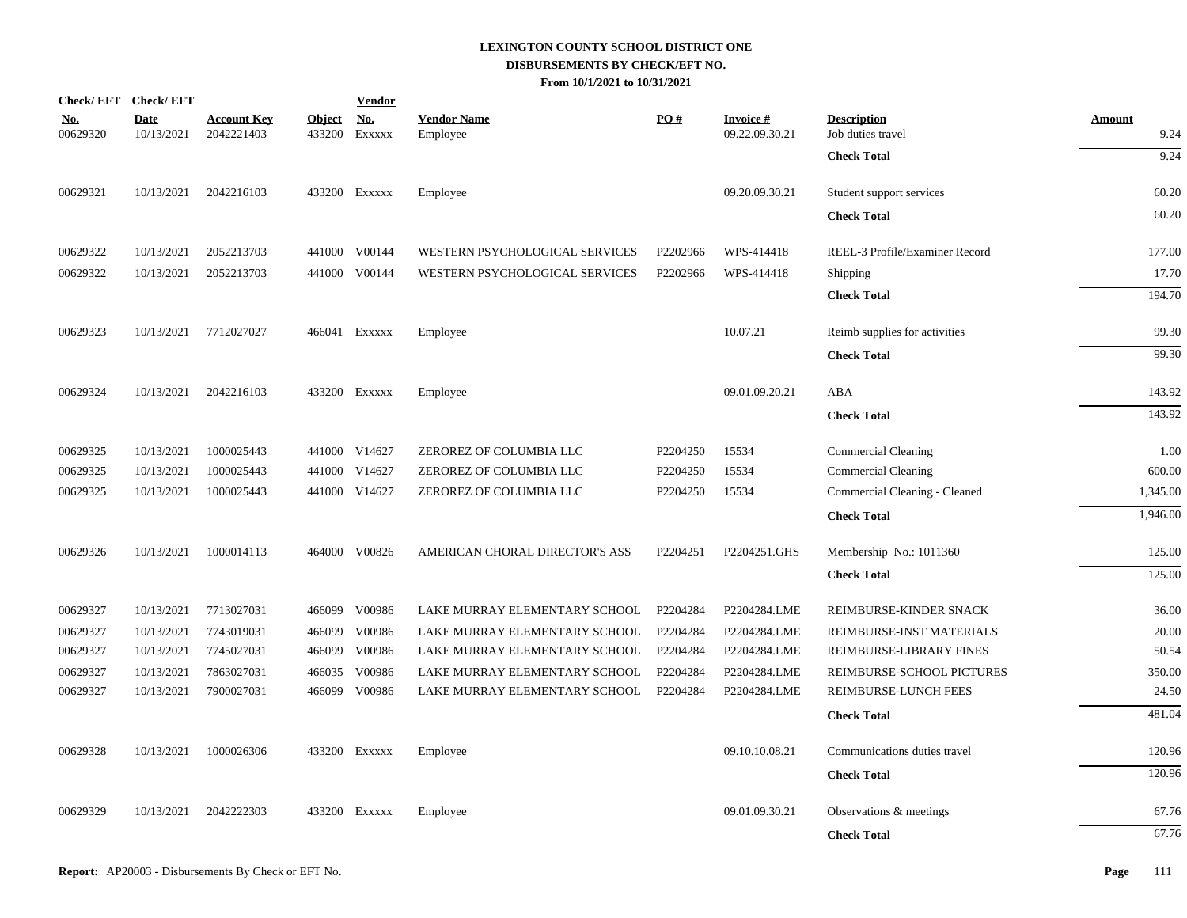|                        | Check/EFT Check/EFT       |                                  |               | <b>Vendor</b>               |                                |          |                                    |                                         |                       |
|------------------------|---------------------------|----------------------------------|---------------|-----------------------------|--------------------------------|----------|------------------------------------|-----------------------------------------|-----------------------|
| <u>No.</u><br>00629320 | <b>Date</b><br>10/13/2021 | <b>Account Key</b><br>2042221403 | <b>Object</b> | <u>No.</u><br>433200 EXXXXX | <b>Vendor Name</b><br>Employee | PO#      | <b>Invoice #</b><br>09.22.09.30.21 | <b>Description</b><br>Job duties travel | <b>Amount</b><br>9.24 |
|                        |                           |                                  |               |                             |                                |          |                                    | <b>Check Total</b>                      | 9.24                  |
| 00629321               | 10/13/2021                | 2042216103                       |               | 433200 Exxxxx               | Employee                       |          | 09.20.09.30.21                     | Student support services                | 60.20                 |
|                        |                           |                                  |               |                             |                                |          |                                    | <b>Check Total</b>                      | 60.20                 |
| 00629322               | 10/13/2021                | 2052213703                       |               | 441000 V00144               | WESTERN PSYCHOLOGICAL SERVICES | P2202966 | WPS-414418                         | REEL-3 Profile/Examiner Record          | 177.00                |
| 00629322               | 10/13/2021                | 2052213703                       |               | 441000 V00144               | WESTERN PSYCHOLOGICAL SERVICES | P2202966 | WPS-414418                         | Shipping                                | 17.70                 |
|                        |                           |                                  |               |                             |                                |          |                                    | <b>Check Total</b>                      | 194.70                |
| 00629323               | 10/13/2021                | 7712027027                       |               | 466041 Exxxxx               | Employee                       |          | 10.07.21                           | Reimb supplies for activities           | 99.30                 |
|                        |                           |                                  |               |                             |                                |          |                                    | <b>Check Total</b>                      | 99.30                 |
| 00629324               | 10/13/2021                | 2042216103                       |               | 433200 Exxxxx               | Employee                       |          | 09.01.09.20.21                     | ABA                                     | 143.92                |
|                        |                           |                                  |               |                             |                                |          |                                    | <b>Check Total</b>                      | 143.92                |
| 00629325               | 10/13/2021                | 1000025443                       |               | 441000 V14627               | ZEROREZ OF COLUMBIA LLC        | P2204250 | 15534                              | Commercial Cleaning                     | 1.00                  |
| 00629325               | 10/13/2021                | 1000025443                       |               | 441000 V14627               | ZEROREZ OF COLUMBIA LLC        | P2204250 | 15534                              | Commercial Cleaning                     | 600.00                |
| 00629325               | 10/13/2021                | 1000025443                       |               | 441000 V14627               | ZEROREZ OF COLUMBIA LLC        | P2204250 | 15534                              | Commercial Cleaning - Cleaned           | 1,345.00              |
|                        |                           |                                  |               |                             |                                |          |                                    | <b>Check Total</b>                      | 1,946.00              |
| 00629326               | 10/13/2021                | 1000014113                       |               | 464000 V00826               | AMERICAN CHORAL DIRECTOR'S ASS | P2204251 | P2204251.GHS                       | Membership No.: 1011360                 | 125.00                |
|                        |                           |                                  |               |                             |                                |          |                                    | <b>Check Total</b>                      | 125.00                |
| 00629327               | 10/13/2021                | 7713027031                       |               | 466099 V00986               | LAKE MURRAY ELEMENTARY SCHOOL  | P2204284 | P2204284.LME                       | REIMBURSE-KINDER SNACK                  | 36.00                 |
| 00629327               | 10/13/2021                | 7743019031                       | 466099        | V00986                      | LAKE MURRAY ELEMENTARY SCHOOL  | P2204284 | P2204284.LME                       | REIMBURSE-INST MATERIALS                | 20.00                 |
| 00629327               | 10/13/2021                | 7745027031                       |               | 466099 V00986               | LAKE MURRAY ELEMENTARY SCHOOL  | P2204284 | P2204284.LME                       | REIMBURSE-LIBRARY FINES                 | 50.54                 |
| 00629327               | 10/13/2021                | 7863027031                       | 466035        | V00986                      | LAKE MURRAY ELEMENTARY SCHOOL  | P2204284 | P2204284.LME                       | REIMBURSE-SCHOOL PICTURES               | 350.00                |
| 00629327               | 10/13/2021                | 7900027031                       |               | 466099 V00986               | LAKE MURRAY ELEMENTARY SCHOOL  | P2204284 | P2204284.LME                       | REIMBURSE-LUNCH FEES                    | 24.50                 |
|                        |                           |                                  |               |                             |                                |          |                                    | <b>Check Total</b>                      | 481.04                |
| 00629328               | 10/13/2021                | 1000026306                       |               | 433200 Exxxxx               | Employee                       |          | 09.10.10.08.21                     | Communications duties travel            | 120.96                |
|                        |                           |                                  |               |                             |                                |          |                                    | <b>Check Total</b>                      | 120.96                |
| 00629329               | 10/13/2021                | 2042222303                       |               | 433200 Exxxxx               | Employee                       |          | 09.01.09.30.21                     | Observations & meetings                 | 67.76                 |
|                        |                           |                                  |               |                             |                                |          |                                    | <b>Check Total</b>                      | 67.76                 |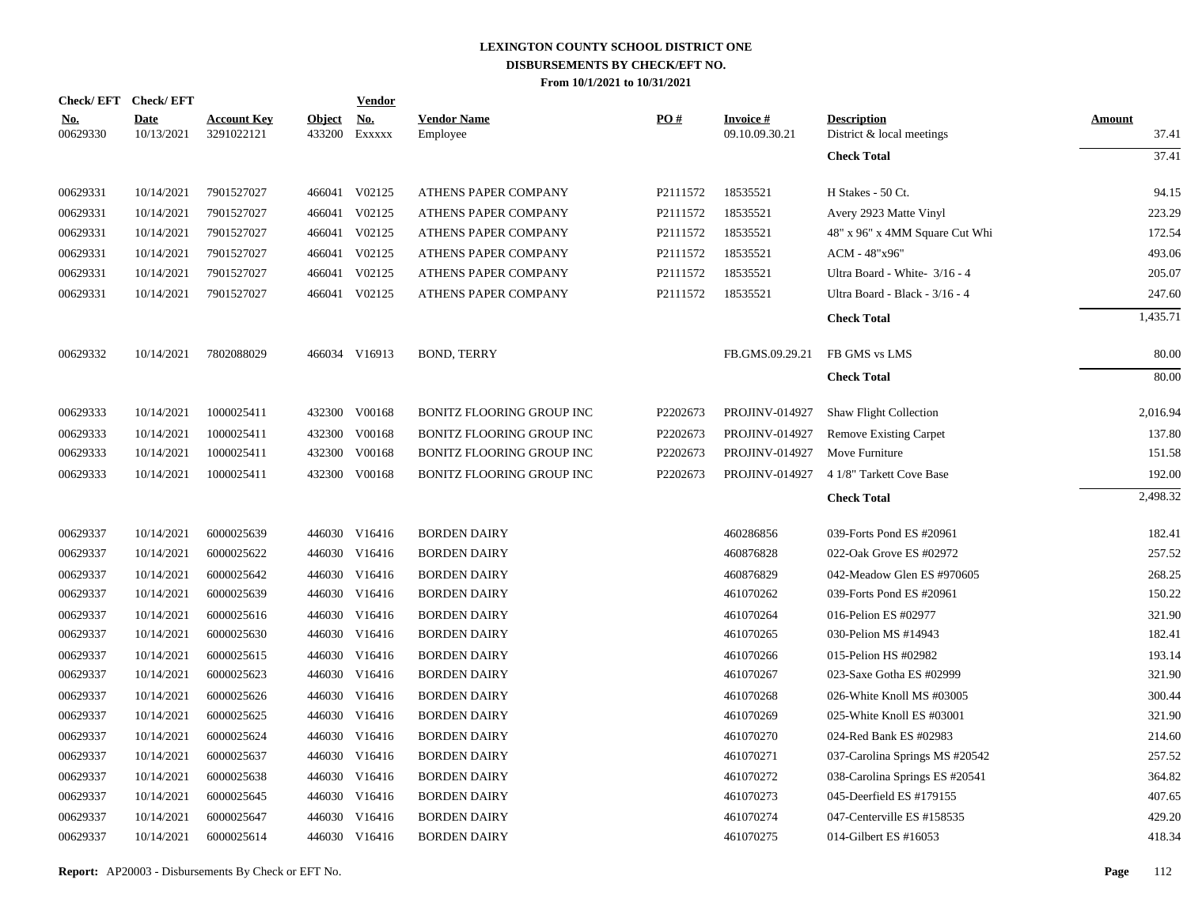| Check/EFT Check/EFT    |                           |                                  |                         | <b>Vendor</b>        |                                  |          |                                   |                                                 |                        |
|------------------------|---------------------------|----------------------------------|-------------------------|----------------------|----------------------------------|----------|-----------------------------------|-------------------------------------------------|------------------------|
| <u>No.</u><br>00629330 | <b>Date</b><br>10/13/2021 | <b>Account Key</b><br>3291022121 | <b>Object</b><br>433200 | <u>No.</u><br>EXXXXX | <b>Vendor Name</b><br>Employee   | PO#      | <b>Invoice#</b><br>09.10.09.30.21 | <b>Description</b><br>District & local meetings | <b>Amount</b><br>37.41 |
|                        |                           |                                  |                         |                      |                                  |          |                                   | <b>Check Total</b>                              | 37.41                  |
| 00629331               | 10/14/2021                | 7901527027                       |                         | 466041 V02125        | ATHENS PAPER COMPANY             | P2111572 | 18535521                          | H Stakes - 50 Ct.                               | 94.15                  |
| 00629331               | 10/14/2021                | 7901527027                       |                         | 466041 V02125        | ATHENS PAPER COMPANY             | P2111572 | 18535521                          | Avery 2923 Matte Vinyl                          | 223.29                 |
| 00629331               | 10/14/2021                | 7901527027                       |                         | 466041 V02125        | ATHENS PAPER COMPANY             | P2111572 | 18535521                          | 48" x 96" x 4MM Square Cut Whi                  | 172.54                 |
| 00629331               | 10/14/2021                | 7901527027                       |                         | 466041 V02125        | ATHENS PAPER COMPANY             | P2111572 | 18535521                          | ACM - 48"x96"                                   | 493.06                 |
| 00629331               | 10/14/2021                | 7901527027                       |                         | 466041 V02125        | ATHENS PAPER COMPANY             | P2111572 | 18535521                          | Ultra Board - White- 3/16 - 4                   | 205.07                 |
| 00629331               | 10/14/2021                | 7901527027                       |                         | 466041 V02125        | ATHENS PAPER COMPANY             | P2111572 | 18535521                          | Ultra Board - Black - 3/16 - 4                  | 247.60                 |
|                        |                           |                                  |                         |                      |                                  |          |                                   | <b>Check Total</b>                              | 1,435.71               |
| 00629332               | 10/14/2021                | 7802088029                       |                         | 466034 V16913        | <b>BOND, TERRY</b>               |          | FB.GMS.09.29.21                   | FB GMS vs LMS                                   | 80.00                  |
|                        |                           |                                  |                         |                      |                                  |          |                                   | <b>Check Total</b>                              | 80.00                  |
| 00629333               | 10/14/2021                | 1000025411                       |                         | 432300 V00168        | <b>BONITZ FLOORING GROUP INC</b> | P2202673 | PROJINV-014927                    | <b>Shaw Flight Collection</b>                   | 2,016.94               |
| 00629333               | 10/14/2021                | 1000025411                       |                         | 432300 V00168        | <b>BONITZ FLOORING GROUP INC</b> | P2202673 | <b>PROJINV-014927</b>             | Remove Existing Carpet                          | 137.80                 |
| 00629333               | 10/14/2021                | 1000025411                       |                         | 432300 V00168        | BONITZ FLOORING GROUP INC        | P2202673 | PROJINV-014927                    | Move Furniture                                  | 151.58                 |
| 00629333               | 10/14/2021                | 1000025411                       |                         | 432300 V00168        | <b>BONITZ FLOORING GROUP INC</b> | P2202673 | <b>PROJINV-014927</b>             | 4 1/8" Tarkett Cove Base                        | 192.00                 |
|                        |                           |                                  |                         |                      |                                  |          |                                   | <b>Check Total</b>                              | 2,498.32               |
| 00629337               | 10/14/2021                | 6000025639                       |                         | 446030 V16416        | <b>BORDEN DAIRY</b>              |          | 460286856                         | 039-Forts Pond ES #20961                        | 182.41                 |
| 00629337               | 10/14/2021                | 6000025622                       |                         | 446030 V16416        | <b>BORDEN DAIRY</b>              |          | 460876828                         | 022-Oak Grove ES #02972                         | 257.52                 |
| 00629337               | 10/14/2021                | 6000025642                       |                         | 446030 V16416        | <b>BORDEN DAIRY</b>              |          | 460876829                         | 042-Meadow Glen ES #970605                      | 268.25                 |
| 00629337               | 10/14/2021                | 6000025639                       |                         | 446030 V16416        | <b>BORDEN DAIRY</b>              |          | 461070262                         | 039-Forts Pond ES #20961                        | 150.22                 |
| 00629337               | 10/14/2021                | 6000025616                       |                         | 446030 V16416        | <b>BORDEN DAIRY</b>              |          | 461070264                         | 016-Pelion ES #02977                            | 321.90                 |
| 00629337               | 10/14/2021                | 6000025630                       |                         | 446030 V16416        | <b>BORDEN DAIRY</b>              |          | 461070265                         | 030-Pelion MS #14943                            | 182.41                 |
| 00629337               | 10/14/2021                | 6000025615                       |                         | 446030 V16416        | <b>BORDEN DAIRY</b>              |          | 461070266                         | 015-Pelion HS #02982                            | 193.14                 |
| 00629337               | 10/14/2021                | 6000025623                       |                         | 446030 V16416        | <b>BORDEN DAIRY</b>              |          | 461070267                         | 023-Saxe Gotha ES #02999                        | 321.90                 |
| 00629337               | 10/14/2021                | 6000025626                       |                         | 446030 V16416        | <b>BORDEN DAIRY</b>              |          | 461070268                         | 026-White Knoll MS #03005                       | 300.44                 |
| 00629337               | 10/14/2021                | 6000025625                       |                         | 446030 V16416        | <b>BORDEN DAIRY</b>              |          | 461070269                         | 025-White Knoll ES #03001                       | 321.90                 |
| 00629337               | 10/14/2021                | 6000025624                       |                         | 446030 V16416        | <b>BORDEN DAIRY</b>              |          | 461070270                         | 024-Red Bank ES #02983                          | 214.60                 |
| 00629337               | 10/14/2021                | 6000025637                       |                         | 446030 V16416        | <b>BORDEN DAIRY</b>              |          | 461070271                         | 037-Carolina Springs MS #20542                  | 257.52                 |
| 00629337               | 10/14/2021                | 6000025638                       |                         | 446030 V16416        | <b>BORDEN DAIRY</b>              |          | 461070272                         | 038-Carolina Springs ES #20541                  | 364.82                 |
| 00629337               | 10/14/2021                | 6000025645                       |                         | 446030 V16416        | <b>BORDEN DAIRY</b>              |          | 461070273                         | 045-Deerfield ES #179155                        | 407.65                 |
| 00629337               | 10/14/2021                | 6000025647                       |                         | 446030 V16416        | <b>BORDEN DAIRY</b>              |          | 461070274                         | 047-Centerville ES #158535                      | 429.20                 |
| 00629337               | 10/14/2021                | 6000025614                       |                         | 446030 V16416        | <b>BORDEN DAIRY</b>              |          | 461070275                         | 014-Gilbert ES #16053                           | 418.34                 |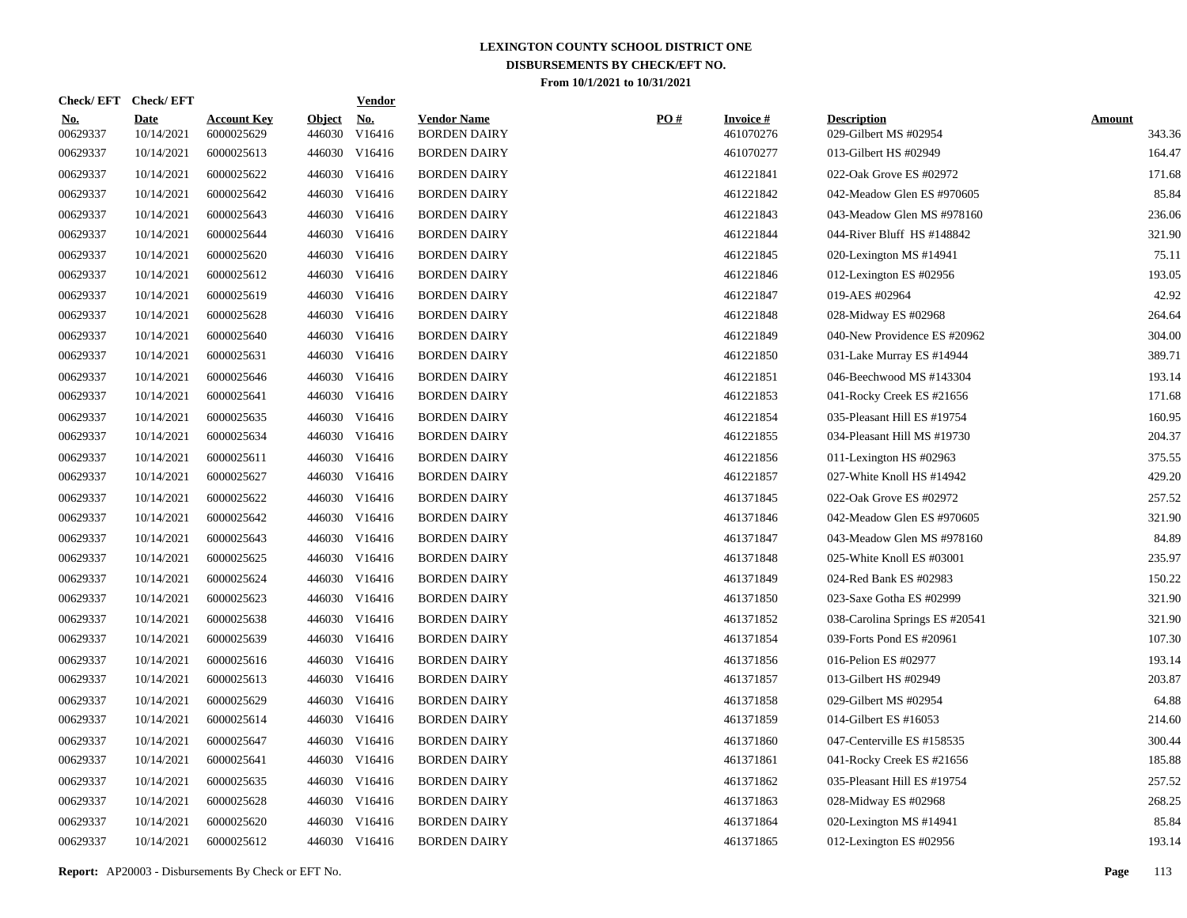| Check/EFT Check/EFT    |                           |                                  |               | <b>Vendor</b>               |                                           |     |                               |                                             |                         |
|------------------------|---------------------------|----------------------------------|---------------|-----------------------------|-------------------------------------------|-----|-------------------------------|---------------------------------------------|-------------------------|
| <u>No.</u><br>00629337 | <b>Date</b><br>10/14/2021 | <b>Account Key</b><br>6000025629 | <b>Object</b> | <b>No.</b><br>446030 V16416 | <b>Vendor Name</b><br><b>BORDEN DAIRY</b> | PO# | <b>Invoice #</b><br>461070276 | <b>Description</b><br>029-Gilbert MS #02954 | <b>Amount</b><br>343.36 |
| 00629337               | 10/14/2021                | 6000025613                       |               | 446030 V16416               | <b>BORDEN DAIRY</b>                       |     | 461070277                     | 013-Gilbert HS #02949                       | 164.47                  |
| 00629337               | 10/14/2021                | 6000025622                       |               | 446030 V16416               | <b>BORDEN DAIRY</b>                       |     | 461221841                     | 022-Oak Grove ES #02972                     | 171.68                  |
| 00629337               | 10/14/2021                | 6000025642                       |               | 446030 V16416               | <b>BORDEN DAIRY</b>                       |     | 461221842                     | 042-Meadow Glen ES #970605                  | 85.84                   |
| 00629337               | 10/14/2021                | 6000025643                       |               | 446030 V16416               | <b>BORDEN DAIRY</b>                       |     | 461221843                     | 043-Meadow Glen MS #978160                  | 236.06                  |
| 00629337               | 10/14/2021                | 6000025644                       |               | 446030 V16416               | <b>BORDEN DAIRY</b>                       |     | 461221844                     | 044-River Bluff HS #148842                  | 321.90                  |
| 00629337               | 10/14/2021                | 6000025620                       |               | 446030 V16416               | <b>BORDEN DAIRY</b>                       |     | 461221845                     | 020-Lexington MS #14941                     | 75.11                   |
| 00629337               | 10/14/2021                | 6000025612                       |               | 446030 V16416               | <b>BORDEN DAIRY</b>                       |     | 461221846                     | 012-Lexington ES #02956                     | 193.05                  |
| 00629337               | 10/14/2021                | 6000025619                       |               | 446030 V16416               | <b>BORDEN DAIRY</b>                       |     | 461221847                     | 019-AES #02964                              | 42.92                   |
| 00629337               | 10/14/2021                | 6000025628                       |               | 446030 V16416               | <b>BORDEN DAIRY</b>                       |     | 461221848                     | 028-Midway ES #02968                        | 264.64                  |
| 00629337               | 10/14/2021                | 6000025640                       |               | 446030 V16416               | <b>BORDEN DAIRY</b>                       |     | 461221849                     | 040-New Providence ES #20962                | 304.00                  |
| 00629337               | 10/14/2021                | 6000025631                       |               | 446030 V16416               | <b>BORDEN DAIRY</b>                       |     | 461221850                     | 031-Lake Murray ES #14944                   | 389.71                  |
| 00629337               | 10/14/2021                | 6000025646                       |               | 446030 V16416               | <b>BORDEN DAIRY</b>                       |     | 461221851                     | 046-Beechwood MS #143304                    | 193.14                  |
| 00629337               | 10/14/2021                | 6000025641                       |               | 446030 V16416               | <b>BORDEN DAIRY</b>                       |     | 461221853                     | 041-Rocky Creek ES #21656                   | 171.68                  |
| 00629337               | 10/14/2021                | 6000025635                       |               | 446030 V16416               | <b>BORDEN DAIRY</b>                       |     | 461221854                     | 035-Pleasant Hill ES #19754                 | 160.95                  |
| 00629337               | 10/14/2021                | 6000025634                       |               | 446030 V16416               | <b>BORDEN DAIRY</b>                       |     | 461221855                     | 034-Pleasant Hill MS #19730                 | 204.37                  |
| 00629337               | 10/14/2021                | 6000025611                       |               | 446030 V16416               | <b>BORDEN DAIRY</b>                       |     | 461221856                     | 011-Lexington HS #02963                     | 375.55                  |
| 00629337               | 10/14/2021                | 6000025627                       |               | 446030 V16416               | <b>BORDEN DAIRY</b>                       |     | 461221857                     | 027-White Knoll HS #14942                   | 429.20                  |
| 00629337               | 10/14/2021                | 6000025622                       |               | 446030 V16416               | <b>BORDEN DAIRY</b>                       |     | 461371845                     | 022-Oak Grove ES #02972                     | 257.52                  |
| 00629337               | 10/14/2021                | 6000025642                       |               | 446030 V16416               | <b>BORDEN DAIRY</b>                       |     | 461371846                     | 042-Meadow Glen ES #970605                  | 321.90                  |
| 00629337               | 10/14/2021                | 6000025643                       |               | 446030 V16416               | <b>BORDEN DAIRY</b>                       |     | 461371847                     | 043-Meadow Glen MS #978160                  | 84.89                   |
| 00629337               | 10/14/2021                | 6000025625                       |               | 446030 V16416               | <b>BORDEN DAIRY</b>                       |     | 461371848                     | 025-White Knoll ES #03001                   | 235.97                  |
| 00629337               | 10/14/2021                | 6000025624                       |               | 446030 V16416               | <b>BORDEN DAIRY</b>                       |     | 461371849                     | 024-Red Bank ES #02983                      | 150.22                  |
| 00629337               | 10/14/2021                | 6000025623                       |               | 446030 V16416               | <b>BORDEN DAIRY</b>                       |     | 461371850                     | 023-Saxe Gotha ES #02999                    | 321.90                  |
| 00629337               | 10/14/2021                | 6000025638                       |               | 446030 V16416               | <b>BORDEN DAIRY</b>                       |     | 461371852                     | 038-Carolina Springs ES #20541              | 321.90                  |
| 00629337               | 10/14/2021                | 6000025639                       |               | 446030 V16416               | <b>BORDEN DAIRY</b>                       |     | 461371854                     | 039-Forts Pond ES #20961                    | 107.30                  |
| 00629337               | 10/14/2021                | 6000025616                       |               | 446030 V16416               | <b>BORDEN DAIRY</b>                       |     | 461371856                     | 016-Pelion ES #02977                        | 193.14                  |
| 00629337               | 10/14/2021                | 6000025613                       |               | 446030 V16416               | <b>BORDEN DAIRY</b>                       |     | 461371857                     | 013-Gilbert HS #02949                       | 203.87                  |
| 00629337               | 10/14/2021                | 6000025629                       |               | 446030 V16416               | <b>BORDEN DAIRY</b>                       |     | 461371858                     | 029-Gilbert MS #02954                       | 64.88                   |
| 00629337               | 10/14/2021                | 6000025614                       |               | 446030 V16416               | <b>BORDEN DAIRY</b>                       |     | 461371859                     | 014-Gilbert ES #16053                       | 214.60                  |
| 00629337               | 10/14/2021                | 6000025647                       |               | 446030 V16416               | <b>BORDEN DAIRY</b>                       |     | 461371860                     | 047-Centerville ES #158535                  | 300.44                  |
| 00629337               | 10/14/2021                | 6000025641                       |               | 446030 V16416               | <b>BORDEN DAIRY</b>                       |     | 461371861                     | 041-Rocky Creek ES #21656                   | 185.88                  |
| 00629337               | 10/14/2021                | 6000025635                       |               | 446030 V16416               | <b>BORDEN DAIRY</b>                       |     | 461371862                     | 035-Pleasant Hill ES #19754                 | 257.52                  |
| 00629337               | 10/14/2021                | 6000025628                       |               | 446030 V16416               | <b>BORDEN DAIRY</b>                       |     | 461371863                     | 028-Midway ES #02968                        | 268.25                  |
| 00629337               | 10/14/2021                | 6000025620                       |               | 446030 V16416               | <b>BORDEN DAIRY</b>                       |     | 461371864                     | 020-Lexington MS #14941                     | 85.84                   |
| 00629337               | 10/14/2021                | 6000025612                       |               | 446030 V16416               | <b>BORDEN DAIRY</b>                       |     | 461371865                     | 012-Lexington ES #02956                     | 193.14                  |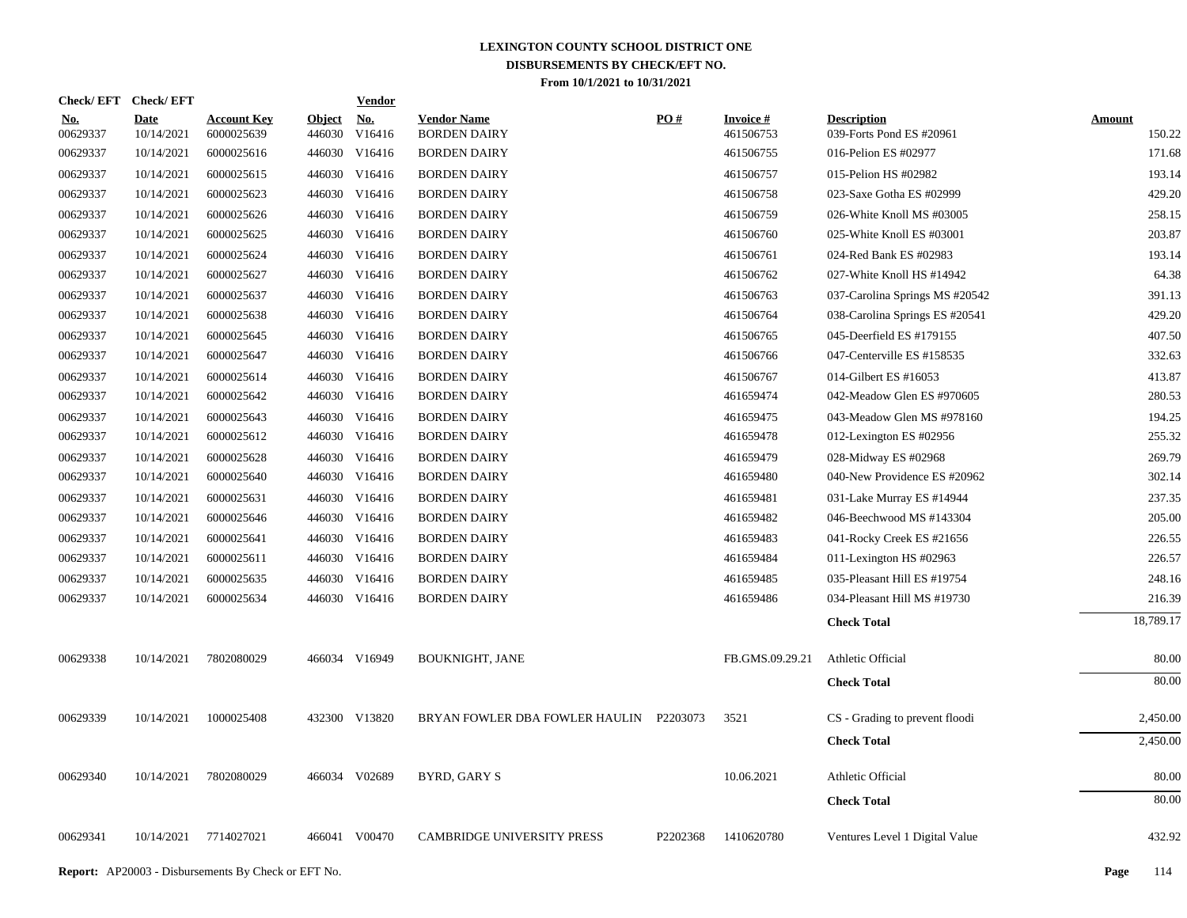| Check/EFT Check/EFT    |                           |                                  |                         | <b>Vendor</b>        |                                           |          |                              |                                                |                  |
|------------------------|---------------------------|----------------------------------|-------------------------|----------------------|-------------------------------------------|----------|------------------------------|------------------------------------------------|------------------|
| <u>No.</u><br>00629337 | <b>Date</b><br>10/14/2021 | <b>Account Key</b><br>6000025639 | <u>Object</u><br>446030 | <u>No.</u><br>V16416 | <b>Vendor Name</b><br><b>BORDEN DAIRY</b> | PO#      | <b>Invoice#</b><br>461506753 | <b>Description</b><br>039-Forts Pond ES #20961 | Amount<br>150.22 |
| 00629337               | 10/14/2021                | 6000025616                       | 446030                  | V16416               | <b>BORDEN DAIRY</b>                       |          | 461506755                    | 016-Pelion ES #02977                           | 171.68           |
| 00629337               | 10/14/2021                | 6000025615                       | 446030                  | V16416               | <b>BORDEN DAIRY</b>                       |          | 461506757                    | 015-Pelion HS #02982                           | 193.14           |
| 00629337               | 10/14/2021                | 6000025623                       |                         | 446030 V16416        | <b>BORDEN DAIRY</b>                       |          | 461506758                    | 023-Saxe Gotha ES #02999                       | 429.20           |
| 00629337               | 10/14/2021                | 6000025626                       | 446030                  | V16416               | <b>BORDEN DAIRY</b>                       |          | 461506759                    | 026-White Knoll MS #03005                      | 258.15           |
| 00629337               | 10/14/2021                | 6000025625                       |                         | 446030 V16416        | <b>BORDEN DAIRY</b>                       |          | 461506760                    | 025-White Knoll ES #03001                      | 203.87           |
| 00629337               | 10/14/2021                | 6000025624                       | 446030                  | V16416               | <b>BORDEN DAIRY</b>                       |          | 461506761                    | 024-Red Bank ES #02983                         | 193.14           |
| 00629337               | 10/14/2021                | 6000025627                       |                         | 446030 V16416        | <b>BORDEN DAIRY</b>                       |          | 461506762                    | 027-White Knoll HS #14942                      | 64.38            |
| 00629337               | 10/14/2021                | 6000025637                       |                         | 446030 V16416        | <b>BORDEN DAIRY</b>                       |          | 461506763                    | 037-Carolina Springs MS #20542                 | 391.13           |
| 00629337               | 10/14/2021                | 6000025638                       |                         | 446030 V16416        | <b>BORDEN DAIRY</b>                       |          | 461506764                    | 038-Carolina Springs ES #20541                 | 429.20           |
| 00629337               | 10/14/2021                | 6000025645                       |                         | 446030 V16416        | <b>BORDEN DAIRY</b>                       |          | 461506765                    | 045-Deerfield ES #179155                       | 407.50           |
| 00629337               | 10/14/2021                | 6000025647                       |                         | 446030 V16416        | <b>BORDEN DAIRY</b>                       |          | 461506766                    | 047-Centerville ES #158535                     | 332.63           |
| 00629337               | 10/14/2021                | 6000025614                       |                         | 446030 V16416        | <b>BORDEN DAIRY</b>                       |          | 461506767                    | 014-Gilbert ES #16053                          | 413.87           |
| 00629337               | 10/14/2021                | 6000025642                       |                         | 446030 V16416        | <b>BORDEN DAIRY</b>                       |          | 461659474                    | 042-Meadow Glen ES #970605                     | 280.53           |
| 00629337               | 10/14/2021                | 6000025643                       |                         | 446030 V16416        | <b>BORDEN DAIRY</b>                       |          | 461659475                    | 043-Meadow Glen MS #978160                     | 194.25           |
| 00629337               | 10/14/2021                | 6000025612                       |                         | 446030 V16416        | <b>BORDEN DAIRY</b>                       |          | 461659478                    | 012-Lexington ES #02956                        | 255.32           |
| 00629337               | 10/14/2021                | 6000025628                       |                         | 446030 V16416        | <b>BORDEN DAIRY</b>                       |          | 461659479                    | 028-Midway ES #02968                           | 269.79           |
| 00629337               | 10/14/2021                | 6000025640                       |                         | 446030 V16416        | <b>BORDEN DAIRY</b>                       |          | 461659480                    | 040-New Providence ES #20962                   | 302.14           |
| 00629337               | 10/14/2021                | 6000025631                       |                         | 446030 V16416        | <b>BORDEN DAIRY</b>                       |          | 461659481                    | 031-Lake Murray ES #14944                      | 237.35           |
| 00629337               | 10/14/2021                | 6000025646                       |                         | 446030 V16416        | <b>BORDEN DAIRY</b>                       |          | 461659482                    | 046-Beechwood MS #143304                       | 205.00           |
| 00629337               | 10/14/2021                | 6000025641                       |                         | 446030 V16416        | <b>BORDEN DAIRY</b>                       |          | 461659483                    | 041-Rocky Creek ES #21656                      | 226.55           |
| 00629337               | 10/14/2021                | 6000025611                       |                         | 446030 V16416        | <b>BORDEN DAIRY</b>                       |          | 461659484                    | 011-Lexington HS #02963                        | 226.57           |
| 00629337               | 10/14/2021                | 6000025635                       |                         | 446030 V16416        | <b>BORDEN DAIRY</b>                       |          | 461659485                    | 035-Pleasant Hill ES #19754                    | 248.16           |
| 00629337               | 10/14/2021                | 6000025634                       |                         | 446030 V16416        | <b>BORDEN DAIRY</b>                       |          | 461659486                    | 034-Pleasant Hill MS #19730                    | 216.39           |
|                        |                           |                                  |                         |                      |                                           |          |                              | <b>Check Total</b>                             | 18,789.17        |
| 00629338               | 10/14/2021                | 7802080029                       |                         | 466034 V16949        | <b>BOUKNIGHT, JANE</b>                    |          | FB.GMS.09.29.21              | Athletic Official                              | 80.00            |
|                        |                           |                                  |                         |                      |                                           |          |                              | <b>Check Total</b>                             | 80.00            |
| 00629339               | 10/14/2021                | 1000025408                       |                         | 432300 V13820        | BRYAN FOWLER DBA FOWLER HAULIN P2203073   |          | 3521                         | CS - Grading to prevent floodi                 | 2,450.00         |
|                        |                           |                                  |                         |                      |                                           |          |                              | <b>Check Total</b>                             | 2,450.00         |
| 00629340               | 10/14/2021                | 7802080029                       |                         | 466034 V02689        | BYRD, GARY S                              |          | 10.06.2021                   | Athletic Official                              | 80.00            |
|                        |                           |                                  |                         |                      |                                           |          |                              | <b>Check Total</b>                             | 80.00            |
| 00629341               | 10/14/2021                | 7714027021                       |                         | 466041 V00470        | <b>CAMBRIDGE UNIVERSITY PRESS</b>         | P2202368 | 1410620780                   | Ventures Level 1 Digital Value                 | 432.92           |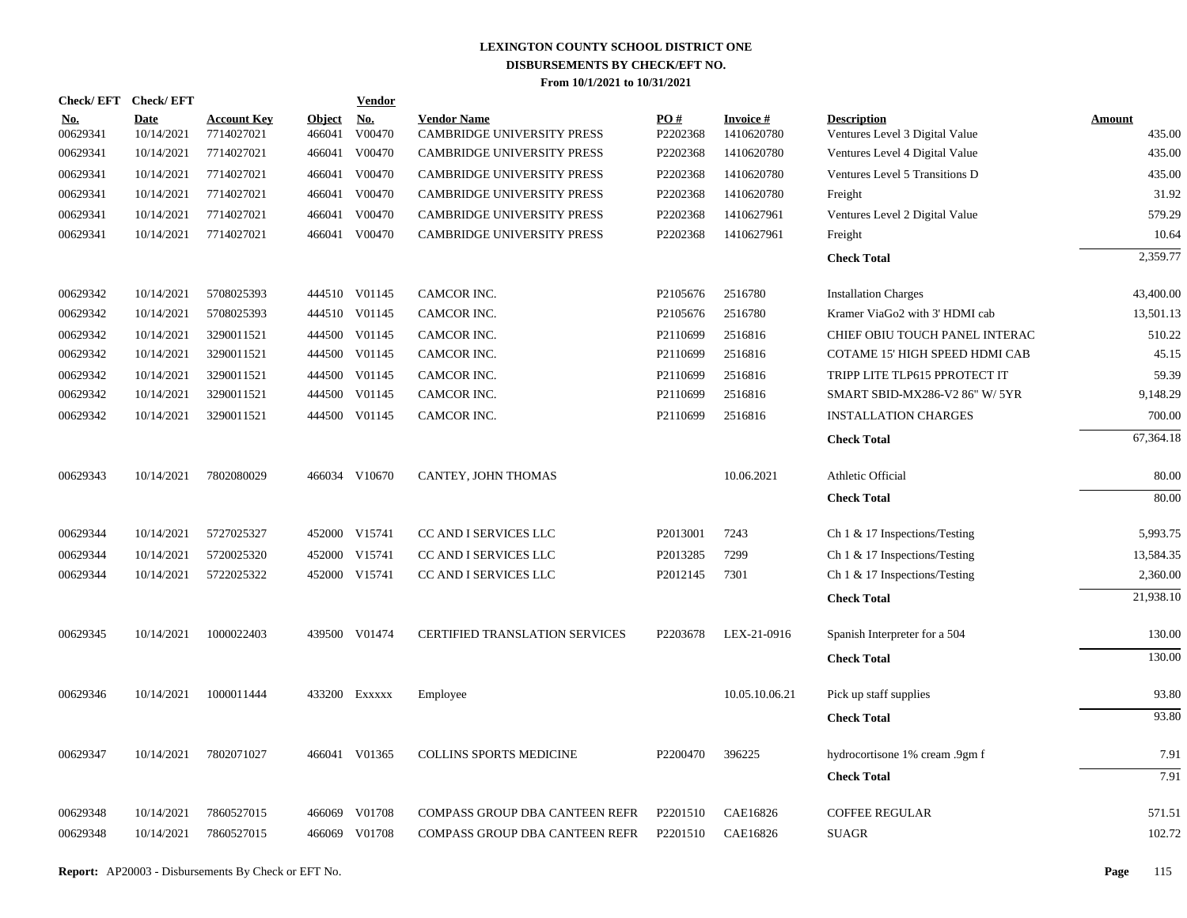|                        | Check/EFT Check/EFT       |                                  |                         | Vendor               |                                                         |                 |                               |                                                      |                         |
|------------------------|---------------------------|----------------------------------|-------------------------|----------------------|---------------------------------------------------------|-----------------|-------------------------------|------------------------------------------------------|-------------------------|
| <u>No.</u><br>00629341 | <b>Date</b><br>10/14/2021 | <b>Account Key</b><br>7714027021 | <b>Object</b><br>466041 | <u>No.</u><br>V00470 | <b>Vendor Name</b><br><b>CAMBRIDGE UNIVERSITY PRESS</b> | PO#<br>P2202368 | <b>Invoice#</b><br>1410620780 | <b>Description</b><br>Ventures Level 3 Digital Value | <b>Amount</b><br>435.00 |
| 00629341               | 10/14/2021                | 7714027021                       | 466041                  | V00470               | CAMBRIDGE UNIVERSITY PRESS                              | P2202368        | 1410620780                    | Ventures Level 4 Digital Value                       | 435.00                  |
| 00629341               | 10/14/2021                | 7714027021                       | 466041                  | V00470               | <b>CAMBRIDGE UNIVERSITY PRESS</b>                       | P2202368        | 1410620780                    | Ventures Level 5 Transitions D                       | 435.00                  |
| 00629341               | 10/14/2021                | 7714027021                       | 466041                  | V00470               | <b>CAMBRIDGE UNIVERSITY PRESS</b>                       | P2202368        | 1410620780                    | Freight                                              | 31.92                   |
| 00629341               | 10/14/2021                | 7714027021                       | 466041                  | V00470               | <b>CAMBRIDGE UNIVERSITY PRESS</b>                       | P2202368        | 1410627961                    | Ventures Level 2 Digital Value                       | 579.29                  |
| 00629341               | 10/14/2021                | 7714027021                       | 466041                  | V00470               | <b>CAMBRIDGE UNIVERSITY PRESS</b>                       | P2202368        | 1410627961                    | Freight                                              | 10.64                   |
|                        |                           |                                  |                         |                      |                                                         |                 |                               | <b>Check Total</b>                                   | 2,359.77                |
| 00629342               | 10/14/2021                | 5708025393                       |                         | 444510 V01145        | CAMCOR INC.                                             | P2105676        | 2516780                       | <b>Installation Charges</b>                          | 43,400.00               |
| 00629342               | 10/14/2021                | 5708025393                       |                         | 444510 V01145        | CAMCOR INC.                                             | P2105676        | 2516780                       | Kramer ViaGo2 with 3' HDMI cab                       | 13,501.13               |
| 00629342               | 10/14/2021                | 3290011521                       |                         | 444500 V01145        | CAMCOR INC.                                             | P2110699        | 2516816                       | CHIEF OBIU TOUCH PANEL INTERAC                       | 510.22                  |
| 00629342               | 10/14/2021                | 3290011521                       |                         | 444500 V01145        | CAMCOR INC.                                             | P2110699        | 2516816                       | COTAME 15' HIGH SPEED HDMI CAB                       | 45.15                   |
| 00629342               | 10/14/2021                | 3290011521                       |                         | 444500 V01145        | CAMCOR INC.                                             | P2110699        | 2516816                       | TRIPP LITE TLP615 PPROTECT IT                        | 59.39                   |
| 00629342               | 10/14/2021                | 3290011521                       |                         | 444500 V01145        | CAMCOR INC.                                             | P2110699        | 2516816                       | SMART SBID-MX286-V2 86" W/ 5YR                       | 9,148.29                |
| 00629342               | 10/14/2021                | 3290011521                       |                         | 444500 V01145        | CAMCOR INC.                                             | P2110699        | 2516816                       | <b>INSTALLATION CHARGES</b>                          | 700.00                  |
|                        |                           |                                  |                         |                      |                                                         |                 |                               | <b>Check Total</b>                                   | 67,364.18               |
| 00629343               | 10/14/2021                | 7802080029                       |                         | 466034 V10670        | CANTEY, JOHN THOMAS                                     |                 | 10.06.2021                    | Athletic Official                                    | 80.00                   |
|                        |                           |                                  |                         |                      |                                                         |                 |                               | <b>Check Total</b>                                   | 80.00                   |
| 00629344               | 10/14/2021                | 5727025327                       |                         | 452000 V15741        | CC AND I SERVICES LLC                                   | P2013001        | 7243                          | Ch $1 \& 17$ Inspections/Testing                     | 5,993.75                |
| 00629344               | 10/14/2021                | 5720025320                       |                         | 452000 V15741        | CC AND I SERVICES LLC                                   | P2013285        | 7299                          | Ch $1 \& 17$ Inspections/Testing                     | 13,584.35               |
| 00629344               | 10/14/2021                | 5722025322                       |                         | 452000 V15741        | CC AND I SERVICES LLC                                   | P2012145        | 7301                          | Ch 1 & 17 Inspections/Testing                        | 2,360.00                |
|                        |                           |                                  |                         |                      |                                                         |                 |                               | <b>Check Total</b>                                   | 21,938.10               |
| 00629345               | 10/14/2021                | 1000022403                       |                         | 439500 V01474        | CERTIFIED TRANSLATION SERVICES                          | P2203678        | LEX-21-0916                   | Spanish Interpreter for a 504                        | 130.00                  |
|                        |                           |                                  |                         |                      |                                                         |                 |                               | <b>Check Total</b>                                   | 130.00                  |
| 00629346               | 10/14/2021                | 1000011444                       |                         | 433200 EXXXXX        | Employee                                                |                 | 10.05.10.06.21                | Pick up staff supplies                               | 93.80                   |
|                        |                           |                                  |                         |                      |                                                         |                 |                               | <b>Check Total</b>                                   | 93.80                   |
| 00629347               | 10/14/2021                | 7802071027                       |                         | 466041 V01365        | <b>COLLINS SPORTS MEDICINE</b>                          | P2200470        | 396225                        | hydrocortisone 1% cream .9gm f                       | 7.91                    |
|                        |                           |                                  |                         |                      |                                                         |                 |                               | <b>Check Total</b>                                   | 7.91                    |
| 00629348               | 10/14/2021                | 7860527015                       |                         | 466069 V01708        | COMPASS GROUP DBA CANTEEN REFR                          | P2201510        | CAE16826                      | <b>COFFEE REGULAR</b>                                | 571.51                  |
| 00629348               | 10/14/2021                | 7860527015                       |                         | 466069 V01708        | COMPASS GROUP DBA CANTEEN REFR                          | P2201510        | CAE16826                      | <b>SUAGR</b>                                         | 102.72                  |
|                        |                           |                                  |                         |                      |                                                         |                 |                               |                                                      |                         |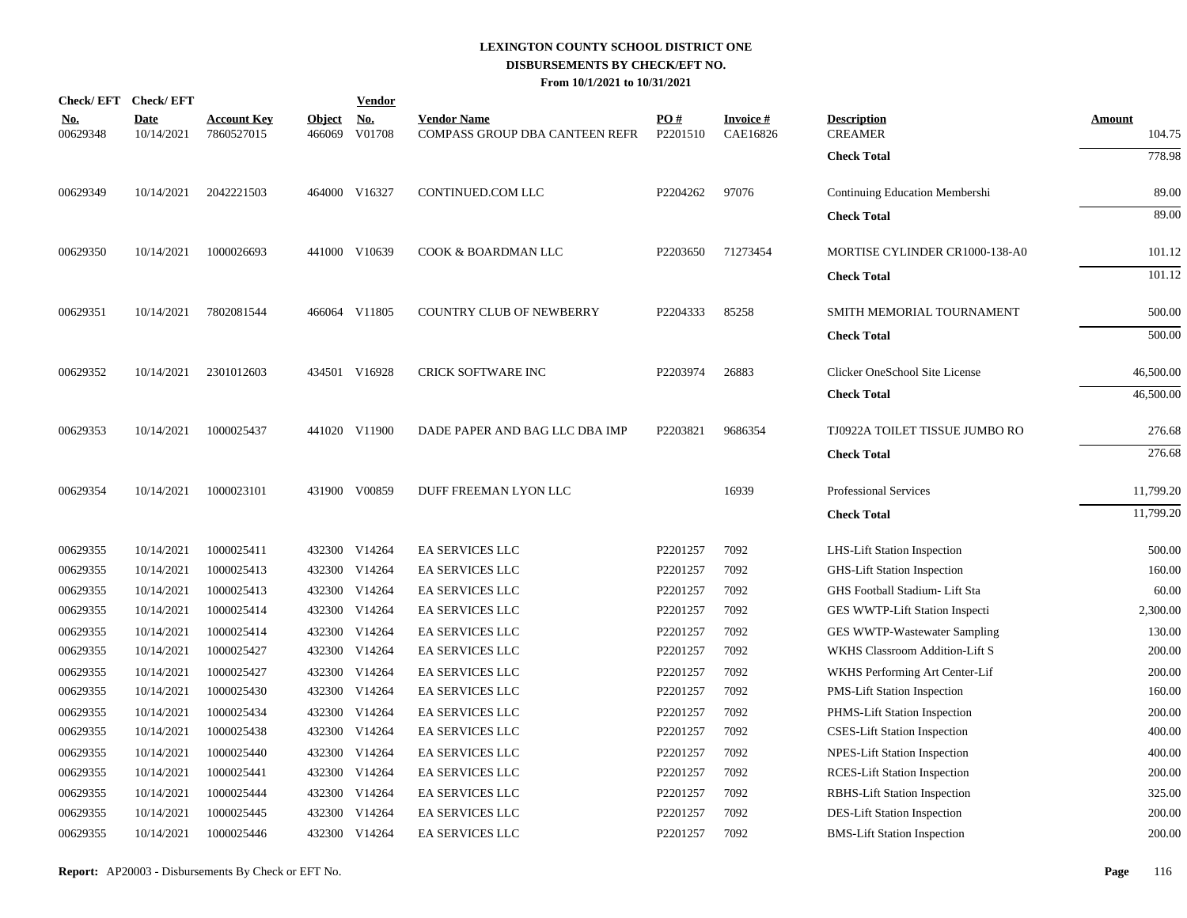|                        | Check/EFT Check/EFT       |                                  |                         | <b>Vendor</b>                         |                                                      |                 |                             |                                      |                  |
|------------------------|---------------------------|----------------------------------|-------------------------|---------------------------------------|------------------------------------------------------|-----------------|-----------------------------|--------------------------------------|------------------|
| <u>No.</u><br>00629348 | <b>Date</b><br>10/14/2021 | <b>Account Key</b><br>7860527015 | <b>Object</b><br>466069 | $\underline{\mathrm{No}}$ .<br>V01708 | <b>Vendor Name</b><br>COMPASS GROUP DBA CANTEEN REFR | PO#<br>P2201510 | <b>Invoice#</b><br>CAE16826 | <b>Description</b><br><b>CREAMER</b> | Amount<br>104.75 |
|                        |                           |                                  |                         |                                       |                                                      |                 |                             | <b>Check Total</b>                   | 778.98           |
| 00629349               | 10/14/2021                | 2042221503                       |                         | 464000 V16327                         | CONTINUED.COM LLC                                    | P2204262        | 97076                       | Continuing Education Membershi       | 89.00            |
|                        |                           |                                  |                         |                                       |                                                      |                 |                             | <b>Check Total</b>                   | 89.00            |
| 00629350               | 10/14/2021                | 1000026693                       |                         | 441000 V10639                         | COOK & BOARDMAN LLC                                  | P2203650        | 71273454                    | MORTISE CYLINDER CR1000-138-A0       | 101.12           |
|                        |                           |                                  |                         |                                       |                                                      |                 |                             | <b>Check Total</b>                   | 101.12           |
| 00629351               | 10/14/2021                | 7802081544                       |                         | 466064 V11805                         | <b>COUNTRY CLUB OF NEWBERRY</b>                      | P2204333        | 85258                       | SMITH MEMORIAL TOURNAMENT            | 500.00           |
|                        |                           |                                  |                         |                                       |                                                      |                 |                             | <b>Check Total</b>                   | 500.00           |
| 00629352               | 10/14/2021                | 2301012603                       |                         | 434501 V16928                         | CRICK SOFTWARE INC                                   | P2203974        | 26883                       | Clicker OneSchool Site License       | 46,500.00        |
|                        |                           |                                  |                         |                                       |                                                      |                 |                             | <b>Check Total</b>                   | 46,500.00        |
| 00629353               | 10/14/2021                | 1000025437                       |                         | 441020 V11900                         | DADE PAPER AND BAG LLC DBA IMP                       | P2203821        | 9686354                     | TJ0922A TOILET TISSUE JUMBO RO       | 276.68           |
|                        |                           |                                  |                         |                                       |                                                      |                 |                             | <b>Check Total</b>                   | 276.68           |
| 00629354               | 10/14/2021                | 1000023101                       |                         | 431900 V00859                         | DUFF FREEMAN LYON LLC                                |                 | 16939                       | <b>Professional Services</b>         | 11,799.20        |
|                        |                           |                                  |                         |                                       |                                                      |                 |                             | <b>Check Total</b>                   | 11,799.20        |
| 00629355               | 10/14/2021                | 1000025411                       |                         | 432300 V14264                         | EA SERVICES LLC                                      | P2201257        | 7092                        | LHS-Lift Station Inspection          | 500.00           |
| 00629355               | 10/14/2021                | 1000025413                       |                         | 432300 V14264                         | <b>EA SERVICES LLC</b>                               | P2201257        | 7092                        | <b>GHS-Lift Station Inspection</b>   | 160.00           |
| 00629355               | 10/14/2021                | 1000025413                       | 432300                  | V14264                                | <b>EA SERVICES LLC</b>                               | P2201257        | 7092                        | GHS Football Stadium- Lift Sta       | 60.00            |
| 00629355               | 10/14/2021                | 1000025414                       |                         | 432300 V14264                         | EA SERVICES LLC                                      | P2201257        | 7092                        | GES WWTP-Lift Station Inspecti       | 2,300.00         |
| 00629355               | 10/14/2021                | 1000025414                       |                         | 432300 V14264                         | EA SERVICES LLC                                      | P2201257        | 7092                        | GES WWTP-Wastewater Sampling         | 130.00           |
| 00629355               | 10/14/2021                | 1000025427                       |                         | 432300 V14264                         | <b>EA SERVICES LLC</b>                               | P2201257        | 7092                        | WKHS Classroom Addition-Lift S       | 200.00           |
| 00629355               | 10/14/2021                | 1000025427                       | 432300                  | V14264                                | EA SERVICES LLC                                      | P2201257        | 7092                        | WKHS Performing Art Center-Lif       | 200.00           |
| 00629355               | 10/14/2021                | 1000025430                       | 432300                  | V14264                                | EA SERVICES LLC                                      | P2201257        | 7092                        | <b>PMS-Lift Station Inspection</b>   | 160.00           |
| 00629355               | 10/14/2021                | 1000025434                       | 432300                  | V14264                                | EA SERVICES LLC                                      | P2201257        | 7092                        | PHMS-Lift Station Inspection         | 200.00           |
| 00629355               | 10/14/2021                | 1000025438                       |                         | 432300 V14264                         | EA SERVICES LLC                                      | P2201257        | 7092                        | <b>CSES-Lift Station Inspection</b>  | 400.00           |
| 00629355               | 10/14/2021                | 1000025440                       | 432300                  | V14264                                | EA SERVICES LLC                                      | P2201257        | 7092                        | <b>NPES-Lift Station Inspection</b>  | 400.00           |
| 00629355               | 10/14/2021                | 1000025441                       |                         | 432300 V14264                         | EA SERVICES LLC                                      | P2201257        | 7092                        | <b>RCES-Lift Station Inspection</b>  | 200.00           |
| 00629355               | 10/14/2021                | 1000025444                       |                         | 432300 V14264                         | EA SERVICES LLC                                      | P2201257        | 7092                        | RBHS-Lift Station Inspection         | 325.00           |
| 00629355               | 10/14/2021                | 1000025445                       | 432300                  | V14264                                | EA SERVICES LLC                                      | P2201257        | 7092                        | DES-Lift Station Inspection          | 200.00           |
| 00629355               | 10/14/2021                | 1000025446                       |                         | 432300 V14264                         | <b>EA SERVICES LLC</b>                               | P2201257        | 7092                        | <b>BMS-Lift Station Inspection</b>   | 200.00           |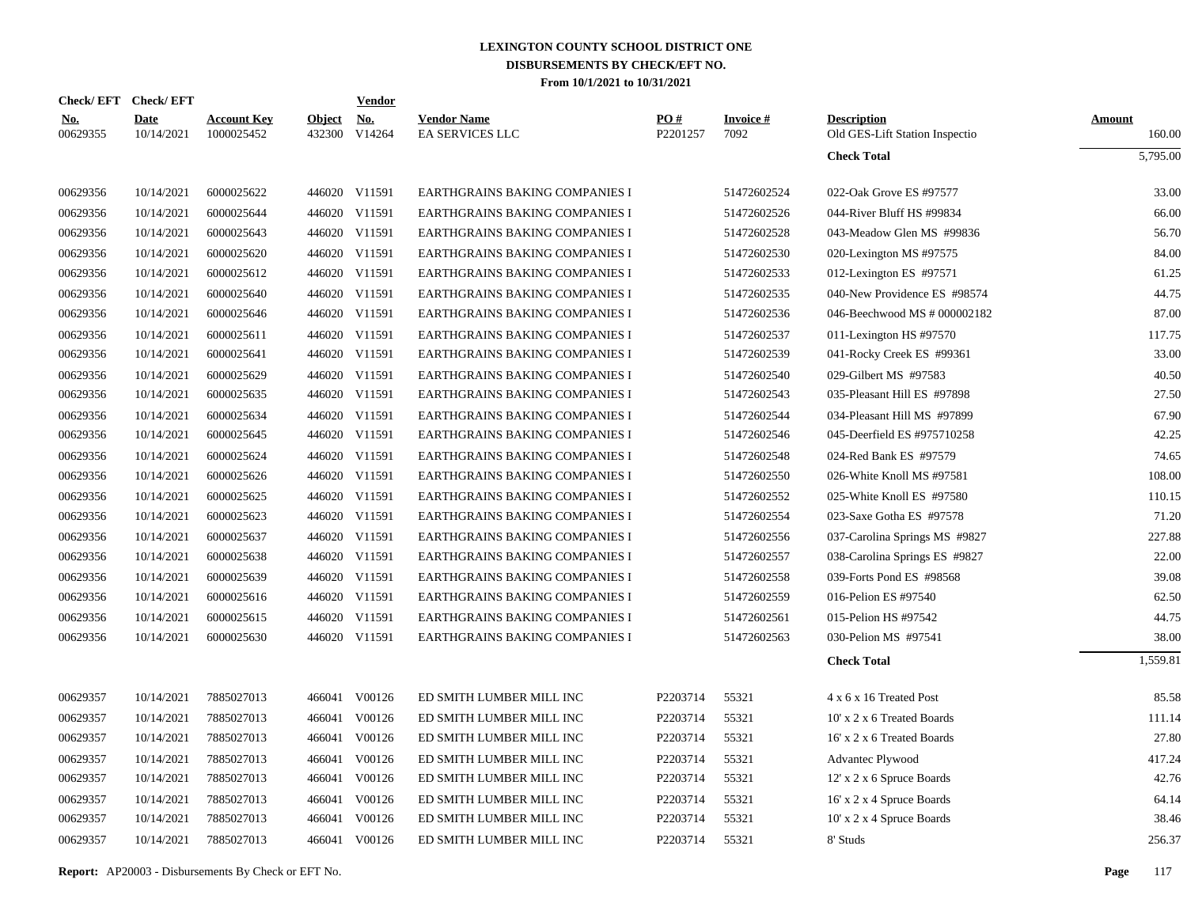|                        | Check/EFT Check/EFT       |                                  |                         | <b>Vendor</b> |                                              |                 |                         |                                                      |                  |
|------------------------|---------------------------|----------------------------------|-------------------------|---------------|----------------------------------------------|-----------------|-------------------------|------------------------------------------------------|------------------|
| <b>No.</b><br>00629355 | <b>Date</b><br>10/14/2021 | <b>Account Key</b><br>1000025452 | <b>Object</b><br>432300 | No.<br>V14264 | <b>Vendor Name</b><br><b>EA SERVICES LLC</b> | PO#<br>P2201257 | <b>Invoice#</b><br>7092 | <b>Description</b><br>Old GES-Lift Station Inspectio | Amount<br>160.00 |
|                        |                           |                                  |                         |               |                                              |                 |                         | <b>Check Total</b>                                   | 5,795.00         |
| 00629356               | 10/14/2021                | 6000025622                       |                         | 446020 V11591 | EARTHGRAINS BAKING COMPANIES I               |                 | 51472602524             | 022-Oak Grove ES #97577                              | 33.00            |
| 00629356               | 10/14/2021                | 6000025644                       |                         | 446020 V11591 | EARTHGRAINS BAKING COMPANIES I               |                 | 51472602526             | 044-River Bluff HS #99834                            | 66.00            |
| 00629356               | 10/14/2021                | 6000025643                       |                         | 446020 V11591 | EARTHGRAINS BAKING COMPANIES I               |                 | 51472602528             | 043-Meadow Glen MS #99836                            | 56.70            |
| 00629356               | 10/14/2021                | 6000025620                       |                         | 446020 V11591 | EARTHGRAINS BAKING COMPANIES I               |                 | 51472602530             | 020-Lexington MS #97575                              | 84.00            |
| 00629356               | 10/14/2021                | 6000025612                       |                         | 446020 V11591 | EARTHGRAINS BAKING COMPANIES I               |                 | 51472602533             | 012-Lexington ES #97571                              | 61.25            |
| 00629356               | 10/14/2021                | 6000025640                       |                         | 446020 V11591 | EARTHGRAINS BAKING COMPANIES I               |                 | 51472602535             | 040-New Providence ES #98574                         | 44.75            |
| 00629356               | 10/14/2021                | 6000025646                       |                         | 446020 V11591 | EARTHGRAINS BAKING COMPANIES I               |                 | 51472602536             | 046-Beechwood MS # 000002182                         | 87.00            |
| 00629356               | 10/14/2021                | 6000025611                       |                         | 446020 V11591 | EARTHGRAINS BAKING COMPANIES I               |                 | 51472602537             | 011-Lexington HS #97570                              | 117.75           |
| 00629356               | 10/14/2021                | 6000025641                       |                         | 446020 V11591 | EARTHGRAINS BAKING COMPANIES I               |                 | 51472602539             | 041-Rocky Creek ES #99361                            | 33.00            |
| 00629356               | 10/14/2021                | 6000025629                       |                         | 446020 V11591 | <b>EARTHGRAINS BAKING COMPANIES I</b>        |                 | 51472602540             | 029-Gilbert MS #97583                                | 40.50            |
| 00629356               | 10/14/2021                | 6000025635                       |                         | 446020 V11591 | EARTHGRAINS BAKING COMPANIES I               |                 | 51472602543             | 035-Pleasant Hill ES #97898                          | 27.50            |
| 00629356               | 10/14/2021                | 6000025634                       | 446020                  | V11591        | <b>EARTHGRAINS BAKING COMPANIES I</b>        |                 | 51472602544             | 034-Pleasant Hill MS #97899                          | 67.90            |
| 00629356               | 10/14/2021                | 6000025645                       |                         | 446020 V11591 | EARTHGRAINS BAKING COMPANIES I               |                 | 51472602546             | 045-Deerfield ES #975710258                          | 42.25            |
| 00629356               | 10/14/2021                | 6000025624                       | 446020                  | V11591        | EARTHGRAINS BAKING COMPANIES I               |                 | 51472602548             | 024-Red Bank ES #97579                               | 74.65            |
| 00629356               | 10/14/2021                | 6000025626                       |                         | 446020 V11591 | EARTHGRAINS BAKING COMPANIES I               |                 | 51472602550             | 026-White Knoll MS #97581                            | 108.00           |
| 00629356               | 10/14/2021                | 6000025625                       |                         | 446020 V11591 | <b>EARTHGRAINS BAKING COMPANIES I</b>        |                 | 51472602552             | 025-White Knoll ES #97580                            | 110.15           |
| 00629356               | 10/14/2021                | 6000025623                       |                         | 446020 V11591 | EARTHGRAINS BAKING COMPANIES I               |                 | 51472602554             | 023-Saxe Gotha ES #97578                             | 71.20            |
| 00629356               | 10/14/2021                | 6000025637                       | 446020                  | V11591        | EARTHGRAINS BAKING COMPANIES I               |                 | 51472602556             | 037-Carolina Springs MS #9827                        | 227.88           |
| 00629356               | 10/14/2021                | 6000025638                       |                         | 446020 V11591 | EARTHGRAINS BAKING COMPANIES I               |                 | 51472602557             | 038-Carolina Springs ES #9827                        | 22.00            |
| 00629356               | 10/14/2021                | 6000025639                       | 446020                  | V11591        | EARTHGRAINS BAKING COMPANIES I               |                 | 51472602558             | 039-Forts Pond ES #98568                             | 39.08            |
| 00629356               | 10/14/2021                | 6000025616                       |                         | 446020 V11591 | EARTHGRAINS BAKING COMPANIES I               |                 | 51472602559             | 016-Pelion ES #97540                                 | 62.50            |
| 00629356               | 10/14/2021                | 6000025615                       | 446020                  | V11591        | EARTHGRAINS BAKING COMPANIES I               |                 | 51472602561             | 015-Pelion HS #97542                                 | 44.75            |
| 00629356               | 10/14/2021                | 6000025630                       |                         | 446020 V11591 | EARTHGRAINS BAKING COMPANIES I               |                 | 51472602563             | 030-Pelion MS #97541                                 | 38.00            |
|                        |                           |                                  |                         |               |                                              |                 |                         | <b>Check Total</b>                                   | 1,559.81         |
| 00629357               | 10/14/2021                | 7885027013                       |                         | 466041 V00126 | ED SMITH LUMBER MILL INC                     | P2203714        | 55321                   | 4 x 6 x 16 Treated Post                              | 85.58            |
| 00629357               | 10/14/2021                | 7885027013                       | 466041                  | V00126        | ED SMITH LUMBER MILL INC                     | P2203714        | 55321                   | 10' x 2 x 6 Treated Boards                           | 111.14           |
| 00629357               | 10/14/2021                | 7885027013                       | 466041                  | V00126        | ED SMITH LUMBER MILL INC                     | P2203714        | 55321                   | 16' x 2 x 6 Treated Boards                           | 27.80            |
| 00629357               | 10/14/2021                | 7885027013                       | 466041                  | V00126        | ED SMITH LUMBER MILL INC                     | P2203714        | 55321                   | Advantec Plywood                                     | 417.24           |
| 00629357               | 10/14/2021                | 7885027013                       |                         | 466041 V00126 | ED SMITH LUMBER MILL INC                     | P2203714        | 55321                   | 12' x 2 x 6 Spruce Boards                            | 42.76            |
| 00629357               | 10/14/2021                | 7885027013                       | 466041                  | V00126        | ED SMITH LUMBER MILL INC                     | P2203714        | 55321                   | 16' x 2 x 4 Spruce Boards                            | 64.14            |
| 00629357               | 10/14/2021                | 7885027013                       | 466041                  | V00126        | ED SMITH LUMBER MILL INC                     | P2203714        | 55321                   | 10' x 2 x 4 Spruce Boards                            | 38.46            |
| 00629357               | 10/14/2021                | 7885027013                       |                         | 466041 V00126 | ED SMITH LUMBER MILL INC                     | P2203714        | 55321                   | 8' Studs                                             | 256.37           |
|                        |                           |                                  |                         |               |                                              |                 |                         |                                                      |                  |

**Report:** AP20003 - Disbursements By Check or EFT No. **Page** 117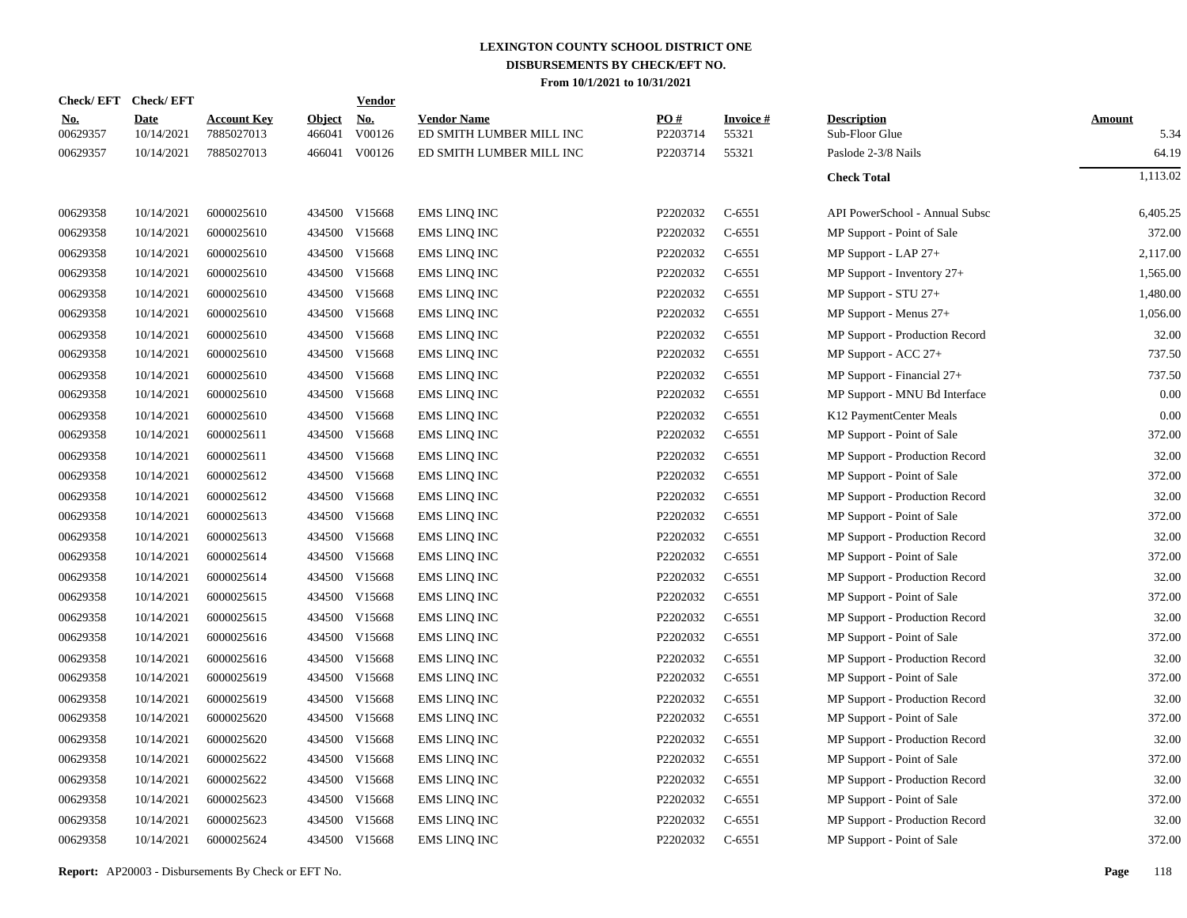|                        | Check/EFT Check/EFT       |                                  |                         | <b>Vendor</b>        |                                                |                 |                          |                                      |                       |
|------------------------|---------------------------|----------------------------------|-------------------------|----------------------|------------------------------------------------|-----------------|--------------------------|--------------------------------------|-----------------------|
| <u>No.</u><br>00629357 | <b>Date</b><br>10/14/2021 | <b>Account Key</b><br>7885027013 | <b>Object</b><br>466041 | <u>No.</u><br>V00126 | <b>Vendor Name</b><br>ED SMITH LUMBER MILL INC | PO#<br>P2203714 | <b>Invoice#</b><br>55321 | <b>Description</b><br>Sub-Floor Glue | <b>Amount</b><br>5.34 |
| 00629357               | 10/14/2021                | 7885027013                       |                         | 466041 V00126        | ED SMITH LUMBER MILL INC                       | P2203714        | 55321                    | Paslode 2-3/8 Nails                  | 64.19                 |
|                        |                           |                                  |                         |                      |                                                |                 |                          | <b>Check Total</b>                   | 1,113.02              |
| 00629358               | 10/14/2021                | 6000025610                       |                         | 434500 V15668        | <b>EMS LINQ INC</b>                            | P2202032        | $C-6551$                 | API PowerSchool - Annual Subsc       | 6,405.25              |
| 00629358               | 10/14/2021                | 6000025610                       |                         | 434500 V15668        | <b>EMS LINQ INC</b>                            | P2202032        | $C-6551$                 | MP Support - Point of Sale           | 372.00                |
| 00629358               | 10/14/2021                | 6000025610                       |                         | 434500 V15668        | <b>EMS LINQ INC</b>                            | P2202032        | $C-6551$                 | MP Support - LAP 27+                 | 2.117.00              |
| 00629358               | 10/14/2021                | 6000025610                       |                         | 434500 V15668        | EMS LINQ INC                                   | P2202032        | $C-6551$                 | MP Support - Inventory 27+           | 1,565.00              |
| 00629358               | 10/14/2021                | 6000025610                       | 434500                  | V15668               | <b>EMS LINQ INC</b>                            | P2202032        | $C-6551$                 | MP Support - STU 27+                 | 1,480.00              |
| 00629358               | 10/14/2021                | 6000025610                       |                         | 434500 V15668        | <b>EMS LINQ INC</b>                            | P2202032        | $C-6551$                 | MP Support - Menus 27+               | 1,056.00              |
| 00629358               | 10/14/2021                | 6000025610                       | 434500                  | V15668               | <b>EMS LINQ INC</b>                            | P2202032        | $C-6551$                 | MP Support - Production Record       | 32.00                 |
| 00629358               | 10/14/2021                | 6000025610                       |                         | 434500 V15668        | <b>EMS LINQ INC</b>                            | P2202032        | $C-6551$                 | MP Support - ACC 27+                 | 737.50                |
| 00629358               | 10/14/2021                | 6000025610                       | 434500                  | V15668               | <b>EMS LINQ INC</b>                            | P2202032        | $C-6551$                 | $MP$ Support - Financial $27+$       | 737.50                |
| 00629358               | 10/14/2021                | 6000025610                       |                         | 434500 V15668        | EMS LINQ INC                                   | P2202032        | $C-6551$                 | MP Support - MNU Bd Interface        | 0.00                  |
| 00629358               | 10/14/2021                | 6000025610                       | 434500                  | V15668               | <b>EMS LINQ INC</b>                            | P2202032        | $C-6551$                 | K12 PaymentCenter Meals              | 0.00                  |
| 00629358               | 10/14/2021                | 6000025611                       |                         | 434500 V15668        | EMS LINQ INC                                   | P2202032        | $C-6551$                 | MP Support - Point of Sale           | 372.00                |
| 00629358               | 10/14/2021                | 6000025611                       |                         | 434500 V15668        | <b>EMS LINQ INC</b>                            | P2202032        | $C-6551$                 | MP Support - Production Record       | 32.00                 |
| 00629358               | 10/14/2021                | 6000025612                       |                         | 434500 V15668        | <b>EMS LINQ INC</b>                            | P2202032        | $C-6551$                 | MP Support - Point of Sale           | 372.00                |
| 00629358               | 10/14/2021                | 6000025612                       |                         | 434500 V15668        | <b>EMS LINQ INC</b>                            | P2202032        | $C-6551$                 | MP Support - Production Record       | 32.00                 |
| 00629358               | 10/14/2021                | 6000025613                       |                         | 434500 V15668        | EMS LINQ INC                                   | P2202032        | $C-6551$                 | MP Support - Point of Sale           | 372.00                |
| 00629358               | 10/14/2021                | 6000025613                       |                         | 434500 V15668        | <b>EMS LINQ INC</b>                            | P2202032        | $C-6551$                 | MP Support - Production Record       | 32.00                 |
| 00629358               | 10/14/2021                | 6000025614                       |                         | 434500 V15668        | EMS LINQ INC                                   | P2202032        | $C-6551$                 | MP Support - Point of Sale           | 372.00                |
| 00629358               | 10/14/2021                | 6000025614                       | 434500                  | V15668               | <b>EMS LINQ INC</b>                            | P2202032        | $C-6551$                 | MP Support - Production Record       | 32.00                 |
| 00629358               | 10/14/2021                | 6000025615                       | 434500                  | V15668               | <b>EMS LINQ INC</b>                            | P2202032        | $C-6551$                 | MP Support - Point of Sale           | 372.00                |
| 00629358               | 10/14/2021                | 6000025615                       | 434500                  | V15668               | <b>EMS LINQ INC</b>                            | P2202032        | $C-6551$                 | MP Support - Production Record       | 32.00                 |
| 00629358               | 10/14/2021                | 6000025616                       | 434500                  | V15668               | <b>EMS LINQ INC</b>                            | P2202032        | $C-6551$                 | MP Support - Point of Sale           | 372.00                |
| 00629358               | 10/14/2021                | 6000025616                       | 434500                  | V15668               | EMS LINQ INC                                   | P2202032        | $C-6551$                 | MP Support - Production Record       | 32.00                 |
| 00629358               | 10/14/2021                | 6000025619                       | 434500                  | V15668               | <b>EMS LINQ INC</b>                            | P2202032        | $C-6551$                 | MP Support - Point of Sale           | 372.00                |
| 00629358               | 10/14/2021                | 6000025619                       | 434500                  | V15668               | <b>EMS LINQ INC</b>                            | P2202032        | $C-6551$                 | MP Support - Production Record       | 32.00                 |
| 00629358               | 10/14/2021                | 6000025620                       | 434500                  | V15668               | <b>EMS LINQ INC</b>                            | P2202032        | $C-6551$                 | MP Support - Point of Sale           | 372.00                |
| 00629358               | 10/14/2021                | 6000025620                       | 434500                  | V15668               | EMS LINQ INC                                   | P2202032        | $C-6551$                 | MP Support - Production Record       | 32.00                 |
| 00629358               | 10/14/2021                | 6000025622                       | 434500                  | V15668               | <b>EMS LINQ INC</b>                            | P2202032        | $C-6551$                 | MP Support - Point of Sale           | 372.00                |
| 00629358               | 10/14/2021                | 6000025622                       | 434500                  | V15668               | <b>EMS LINQ INC</b>                            | P2202032        | $C-6551$                 | MP Support - Production Record       | 32.00                 |
| 00629358               | 10/14/2021                | 6000025623                       |                         | 434500 V15668        | <b>EMS LINQ INC</b>                            | P2202032        | $C-6551$                 | MP Support - Point of Sale           | 372.00                |
| 00629358               | 10/14/2021                | 6000025623                       | 434500                  | V15668               | <b>EMS LINQ INC</b>                            | P2202032        | $C-6551$                 | MP Support - Production Record       | 32.00                 |
| 00629358               | 10/14/2021                | 6000025624                       |                         | 434500 V15668        | <b>EMS LINQ INC</b>                            | P2202032        | $C-6551$                 | MP Support - Point of Sale           | 372.00                |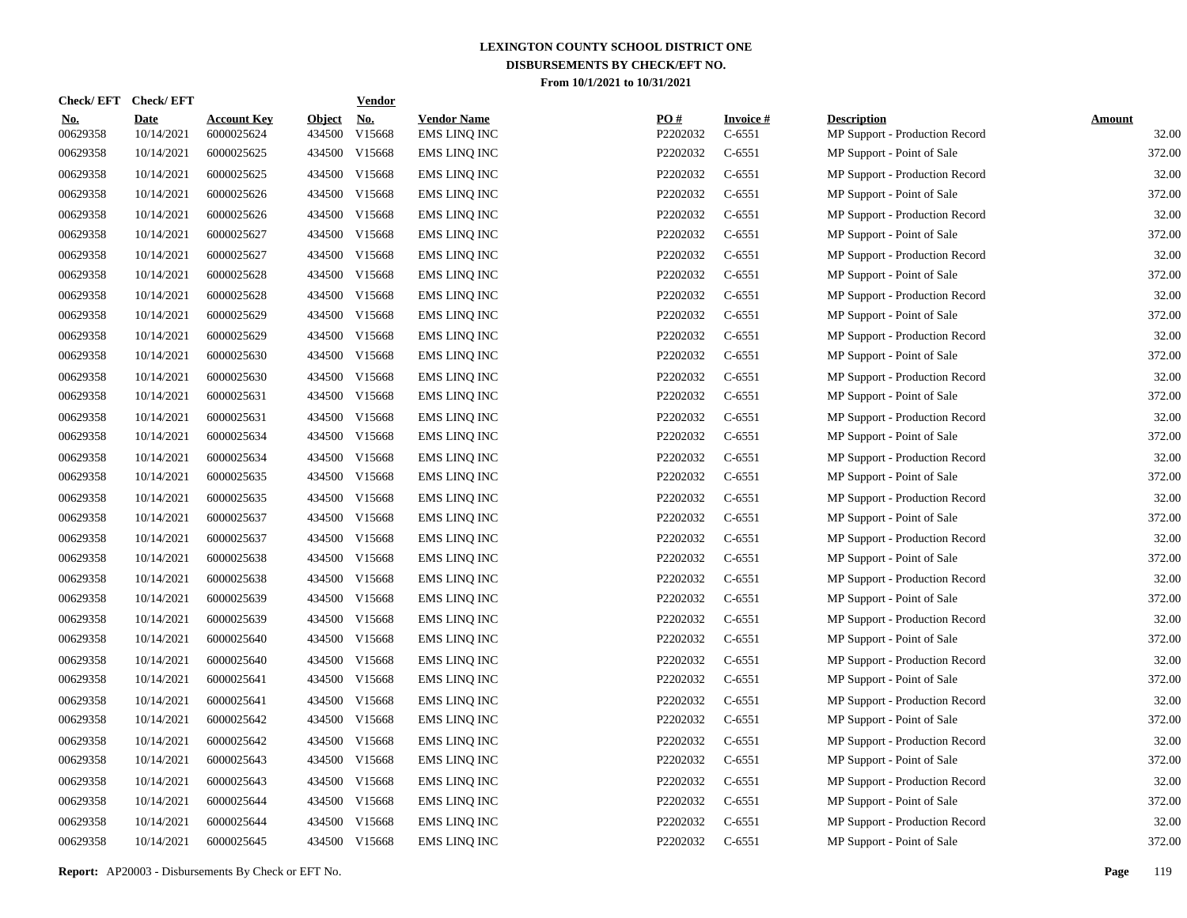| Check/ EFT             | <b>Check/EFT</b>          |                                  |                         | <b>Vendor</b>        |                                           |                 |                             |                                                      |                        |
|------------------------|---------------------------|----------------------------------|-------------------------|----------------------|-------------------------------------------|-----------------|-----------------------------|------------------------------------------------------|------------------------|
| <u>No.</u><br>00629358 | <b>Date</b><br>10/14/2021 | <b>Account Key</b><br>6000025624 | <b>Object</b><br>434500 | <u>No.</u><br>V15668 | <b>Vendor Name</b><br><b>EMS LINQ INC</b> | PQ#<br>P2202032 | <b>Invoice#</b><br>$C-6551$ | <b>Description</b><br>MP Support - Production Record | <b>Amount</b><br>32.00 |
| 00629358               | 10/14/2021                | 6000025625                       | 434500                  | V15668               | EMS LINQ INC                              | P2202032        | $C-6551$                    | MP Support - Point of Sale                           | 372.00                 |
| 00629358               | 10/14/2021                | 6000025625                       | 434500                  | V15668               | <b>EMS LINQ INC</b>                       | P2202032        | $C-6551$                    | MP Support - Production Record                       | 32.00                  |
| 00629358               | 10/14/2021                | 6000025626                       | 434500                  | V15668               | <b>EMS LINQ INC</b>                       | P2202032        | $C-6551$                    | MP Support - Point of Sale                           | 372.00                 |
| 00629358               | 10/14/2021                | 6000025626                       | 434500                  | V15668               | <b>EMS LINQ INC</b>                       | P2202032        | $C-6551$                    | MP Support - Production Record                       | 32.00                  |
| 00629358               | 10/14/2021                | 6000025627                       | 434500                  | V15668               | <b>EMS LINQ INC</b>                       | P2202032        | $C-6551$                    | MP Support - Point of Sale                           | 372.00                 |
| 00629358               | 10/14/2021                | 6000025627                       |                         | 434500 V15668        | <b>EMS LINQ INC</b>                       | P2202032        | $C-6551$                    | MP Support - Production Record                       | 32.00                  |
| 00629358               | 10/14/2021                | 6000025628                       | 434500                  | V15668               | <b>EMS LINQ INC</b>                       | P2202032        | $C-6551$                    | MP Support - Point of Sale                           | 372.00                 |
| 00629358               | 10/14/2021                | 6000025628                       |                         | 434500 V15668        | <b>EMS LINQ INC</b>                       | P2202032        | $C-6551$                    | MP Support - Production Record                       | 32.00                  |
| 00629358               | 10/14/2021                | 6000025629                       |                         | 434500 V15668        | EMS LINQ INC                              | P2202032        | $C-6551$                    | MP Support - Point of Sale                           | 372.00                 |
| 00629358               | 10/14/2021                | 6000025629                       | 434500                  | V15668               | <b>EMS LINQ INC</b>                       | P2202032        | $C-6551$                    | MP Support - Production Record                       | 32.00                  |
| 00629358               | 10/14/2021                | 6000025630                       |                         | 434500 V15668        | <b>EMS LINQ INC</b>                       | P2202032        | $C-6551$                    | MP Support - Point of Sale                           | 372.00                 |
| 00629358               | 10/14/2021                | 6000025630                       | 434500                  | V15668               | <b>EMS LINQ INC</b>                       | P2202032        | $C-6551$                    | MP Support - Production Record                       | 32.00                  |
| 00629358               | 10/14/2021                | 6000025631                       |                         | 434500 V15668        | <b>EMS LINQ INC</b>                       | P2202032        | $C-6551$                    | MP Support - Point of Sale                           | 372.00                 |
| 00629358               | 10/14/2021                | 6000025631                       | 434500                  | V15668               | <b>EMS LINQ INC</b>                       | P2202032        | $C-6551$                    | MP Support - Production Record                       | 32.00                  |
| 00629358               | 10/14/2021                | 6000025634                       |                         | 434500 V15668        | <b>EMS LINQ INC</b>                       | P2202032        | $C-6551$                    | MP Support - Point of Sale                           | 372.00                 |
| 00629358               | 10/14/2021                | 6000025634                       | 434500                  | V15668               | <b>EMS LINQ INC</b>                       | P2202032        | $C-6551$                    | MP Support - Production Record                       | 32.00                  |
| 00629358               | 10/14/2021                | 6000025635                       | 434500                  | V15668               | <b>EMS LINQ INC</b>                       | P2202032        | $C-6551$                    | MP Support - Point of Sale                           | 372.00                 |
| 00629358               | 10/14/2021                | 6000025635                       | 434500                  | V15668               | <b>EMS LINQ INC</b>                       | P2202032        | $C-6551$                    | MP Support - Production Record                       | 32.00                  |
| 00629358               | 10/14/2021                | 6000025637                       | 434500                  | V15668               | EMS LINQ INC                              | P2202032        | $C-6551$                    | MP Support - Point of Sale                           | 372.00                 |
| 00629358               | 10/14/2021                | 6000025637                       | 434500                  | V15668               | EMS LINQ INC                              | P2202032        | $C-6551$                    | MP Support - Production Record                       | 32.00                  |
| 00629358               | 10/14/2021                | 6000025638                       | 434500                  | V15668               | <b>EMS LINQ INC</b>                       | P2202032        | $C-6551$                    | MP Support - Point of Sale                           | 372.00                 |
| 00629358               | 10/14/2021                | 6000025638                       | 434500                  | V15668               | <b>EMS LINQ INC</b>                       | P2202032        | $C-6551$                    | MP Support - Production Record                       | 32.00                  |
| 00629358               | 10/14/2021                | 6000025639                       | 434500                  | V15668               | <b>EMS LINQ INC</b>                       | P2202032        | $C-6551$                    | MP Support - Point of Sale                           | 372.00                 |
| 00629358               | 10/14/2021                | 6000025639                       | 434500                  | V15668               | EMS LINQ INC                              | P2202032        | $C-6551$                    | MP Support - Production Record                       | 32.00                  |
| 00629358               | 10/14/2021                | 6000025640                       | 434500                  | V15668               | EMS LINQ INC                              | P2202032        | $C-6551$                    | MP Support - Point of Sale                           | 372.00                 |
| 00629358               | 10/14/2021                | 6000025640                       | 434500                  | V15668               | <b>EMS LINQ INC</b>                       | P2202032        | $C-6551$                    | MP Support - Production Record                       | 32.00                  |
| 00629358               | 10/14/2021                | 6000025641                       | 434500                  | V15668               | EMS LINQ INC                              | P2202032        | $C-6551$                    | MP Support - Point of Sale                           | 372.00                 |
| 00629358               | 10/14/2021                | 6000025641                       | 434500                  | V15668               | EMS LINQ INC                              | P2202032        | $C-6551$                    | MP Support - Production Record                       | 32.00                  |
| 00629358               | 10/14/2021                | 6000025642                       | 434500                  | V15668               | <b>EMS LINQ INC</b>                       | P2202032        | $C-6551$                    | MP Support - Point of Sale                           | 372.00                 |
| 00629358               | 10/14/2021                | 6000025642                       | 434500                  | V15668               | <b>EMS LINQ INC</b>                       | P2202032        | $C-6551$                    | MP Support - Production Record                       | 32.00                  |
| 00629358               | 10/14/2021                | 6000025643                       | 434500                  | V15668               | EMS LINQ INC                              | P2202032        | $C-6551$                    | MP Support - Point of Sale                           | 372.00                 |
| 00629358               | 10/14/2021                | 6000025643                       | 434500                  | V15668               | <b>EMS LINQ INC</b>                       | P2202032        | $C-6551$                    | MP Support - Production Record                       | 32.00                  |
| 00629358               | 10/14/2021                | 6000025644                       | 434500                  | V15668               | EMS LINQ INC                              | P2202032        | $C-6551$                    | MP Support - Point of Sale                           | 372.00                 |
| 00629358               | 10/14/2021                | 6000025644                       | 434500                  | V15668               | <b>EMS LINQ INC</b>                       | P2202032        | $C-6551$                    | MP Support - Production Record                       | 32.00                  |
| 00629358               | 10/14/2021                | 6000025645                       |                         | 434500 V15668        | <b>EMS LINQ INC</b>                       | P2202032        | $C-6551$                    | MP Support - Point of Sale                           | 372.00                 |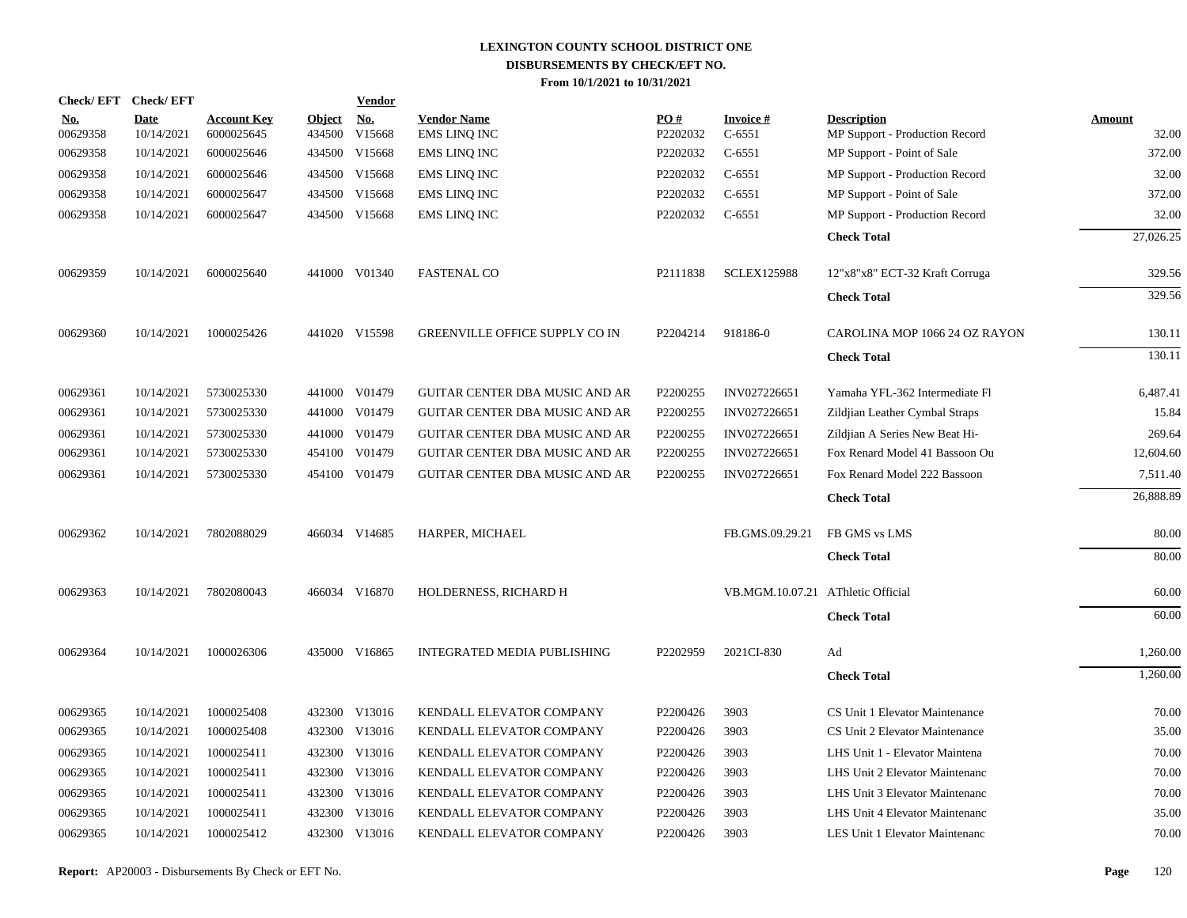| Check/EFT Check/EFT    |                           |                                  |                         | <b>Vendor</b> |                                           |                 |                                   |                                                      |                 |
|------------------------|---------------------------|----------------------------------|-------------------------|---------------|-------------------------------------------|-----------------|-----------------------------------|------------------------------------------------------|-----------------|
| <b>No.</b><br>00629358 | <b>Date</b><br>10/14/2021 | <b>Account Key</b><br>6000025645 | <b>Object</b><br>434500 | No.<br>V15668 | <b>Vendor Name</b><br><b>EMS LINQ INC</b> | PO#<br>P2202032 | Invoice #<br>$C-6551$             | <b>Description</b><br>MP Support - Production Record | Amount<br>32.00 |
| 00629358               | 10/14/2021                | 6000025646                       |                         | 434500 V15668 | <b>EMS LINQ INC</b>                       | P2202032        | $C-6551$                          | MP Support - Point of Sale                           | 372.00          |
| 00629358               | 10/14/2021                | 6000025646                       |                         | 434500 V15668 | <b>EMS LINQ INC</b>                       | P2202032        | $C-6551$                          | MP Support - Production Record                       | 32.00           |
| 00629358               | 10/14/2021                | 6000025647                       |                         | 434500 V15668 | <b>EMS LINQ INC</b>                       | P2202032        | $C-6551$                          | MP Support - Point of Sale                           | 372.00          |
| 00629358               | 10/14/2021                | 6000025647                       |                         | 434500 V15668 | <b>EMS LINQ INC</b>                       | P2202032        | $C-6551$                          | MP Support - Production Record                       | 32.00           |
|                        |                           |                                  |                         |               |                                           |                 |                                   | <b>Check Total</b>                                   | 27,026.25       |
| 00629359               | 10/14/2021                | 6000025640                       |                         | 441000 V01340 | <b>FASTENAL CO</b>                        | P2111838        | <b>SCLEX125988</b>                | 12"x8"x8" ECT-32 Kraft Corruga                       | 329.56          |
|                        |                           |                                  |                         |               |                                           |                 |                                   | <b>Check Total</b>                                   | 329.56          |
| 00629360               | 10/14/2021                | 1000025426                       |                         | 441020 V15598 | GREENVILLE OFFICE SUPPLY CO IN            | P2204214        | 918186-0                          | CAROLINA MOP 1066 24 OZ RAYON                        | 130.11          |
|                        |                           |                                  |                         |               |                                           |                 |                                   | <b>Check Total</b>                                   | 130.11          |
| 00629361               | 10/14/2021                | 5730025330                       |                         | 441000 V01479 | <b>GUITAR CENTER DBA MUSIC AND AR</b>     | P2200255        | INV027226651                      | Yamaha YFL-362 Intermediate Fl                       | 6,487.41        |
| 00629361               | 10/14/2021                | 5730025330                       |                         | 441000 V01479 | GUITAR CENTER DBA MUSIC AND AR            | P2200255        | INV027226651                      | Zildjian Leather Cymbal Straps                       | 15.84           |
| 00629361               | 10/14/2021                | 5730025330                       |                         | 441000 V01479 | GUITAR CENTER DBA MUSIC AND AR            | P2200255        | INV027226651                      | Zildjian A Series New Beat Hi-                       | 269.64          |
| 00629361               | 10/14/2021                | 5730025330                       | 454100                  | V01479        | GUITAR CENTER DBA MUSIC AND AR            | P2200255        | INV027226651                      | Fox Renard Model 41 Bassoon Ou                       | 12,604.60       |
| 00629361               | 10/14/2021                | 5730025330                       |                         | 454100 V01479 | <b>GUITAR CENTER DBA MUSIC AND AR</b>     | P2200255        | INV027226651                      | Fox Renard Model 222 Bassoon                         | 7,511.40        |
|                        |                           |                                  |                         |               |                                           |                 |                                   | <b>Check Total</b>                                   | 26,888.89       |
| 00629362               | 10/14/2021                | 7802088029                       |                         | 466034 V14685 | HARPER, MICHAEL                           |                 | FB.GMS.09.29.21                   | FB GMS vs LMS                                        | 80.00           |
|                        |                           |                                  |                         |               |                                           |                 |                                   | <b>Check Total</b>                                   | 80.00           |
| 00629363               | 10/14/2021                | 7802080043                       |                         | 466034 V16870 | HOLDERNESS, RICHARD H                     |                 | VB.MGM.10.07.21 AThletic Official |                                                      | 60.00           |
|                        |                           |                                  |                         |               |                                           |                 |                                   | <b>Check Total</b>                                   | 60.00           |
| 00629364               | 10/14/2021                | 1000026306                       |                         | 435000 V16865 | INTEGRATED MEDIA PUBLISHING               | P2202959        | 2021CI-830                        | Ad                                                   | 1,260.00        |
|                        |                           |                                  |                         |               |                                           |                 |                                   | <b>Check Total</b>                                   | 1,260.00        |
| 00629365               | 10/14/2021                | 1000025408                       |                         | 432300 V13016 | KENDALL ELEVATOR COMPANY                  | P2200426        | 3903                              | CS Unit 1 Elevator Maintenance                       | 70.00           |
| 00629365               | 10/14/2021                | 1000025408                       |                         | 432300 V13016 | KENDALL ELEVATOR COMPANY                  | P2200426        | 3903                              | CS Unit 2 Elevator Maintenance                       | 35.00           |
| 00629365               | 10/14/2021                | 1000025411                       |                         | 432300 V13016 | KENDALL ELEVATOR COMPANY                  | P2200426        | 3903                              | LHS Unit 1 - Elevator Maintena                       | 70.00           |
| 00629365               | 10/14/2021                | 1000025411                       |                         | 432300 V13016 | KENDALL ELEVATOR COMPANY                  | P2200426        | 3903                              | LHS Unit 2 Elevator Maintenanc                       | 70.00           |
| 00629365               | 10/14/2021                | 1000025411                       |                         | 432300 V13016 | KENDALL ELEVATOR COMPANY                  | P2200426        | 3903                              | LHS Unit 3 Elevator Maintenanc                       | 70.00           |
| 00629365               | 10/14/2021                | 1000025411                       |                         | 432300 V13016 | KENDALL ELEVATOR COMPANY                  | P2200426        | 3903                              | LHS Unit 4 Elevator Maintenanc                       | 35.00           |
| 00629365               | 10/14/2021                | 1000025412                       |                         | 432300 V13016 | KENDALL ELEVATOR COMPANY                  | P2200426        | 3903                              | LES Unit 1 Elevator Maintenanc                       | 70.00           |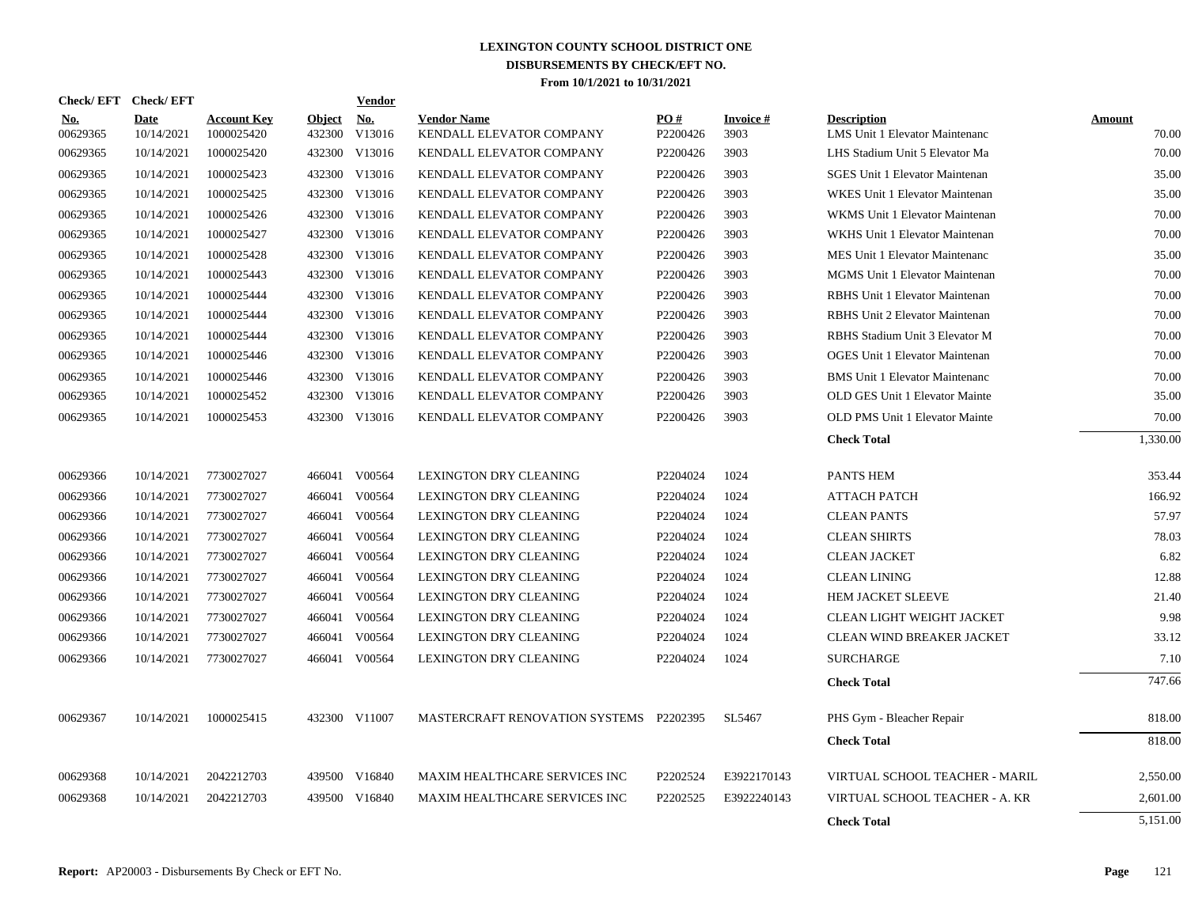| Check/EFT Check/EFT    |                           |                                  |                         | Vendor               |                                                |                 |                   |                                                      |                 |
|------------------------|---------------------------|----------------------------------|-------------------------|----------------------|------------------------------------------------|-----------------|-------------------|------------------------------------------------------|-----------------|
| <b>No.</b><br>00629365 | <b>Date</b><br>10/14/2021 | <b>Account Key</b><br>1000025420 | <b>Object</b><br>432300 | <b>No.</b><br>V13016 | <b>Vendor Name</b><br>KENDALL ELEVATOR COMPANY | PO#<br>P2200426 | Invoice #<br>3903 | <b>Description</b><br>LMS Unit 1 Elevator Maintenanc | Amount<br>70.00 |
| 00629365               | 10/14/2021                | 1000025420                       | 432300                  | V13016               | KENDALL ELEVATOR COMPANY                       | P2200426        | 3903              | LHS Stadium Unit 5 Elevator Ma                       | 70.00           |
| 00629365               | 10/14/2021                | 1000025423                       | 432300                  | V13016               | KENDALL ELEVATOR COMPANY                       | P2200426        | 3903              | <b>SGES Unit 1 Elevator Maintenan</b>                | 35.00           |
| 00629365               | 10/14/2021                | 1000025425                       | 432300                  | V13016               | KENDALL ELEVATOR COMPANY                       | P2200426        | 3903              | WKES Unit 1 Elevator Maintenan                       | 35.00           |
| 00629365               | 10/14/2021                | 1000025426                       | 432300                  | V13016               | KENDALL ELEVATOR COMPANY                       | P2200426        | 3903              | WKMS Unit 1 Elevator Maintenan                       | 70.00           |
| 00629365               | 10/14/2021                | 1000025427                       | 432300                  | V13016               | KENDALL ELEVATOR COMPANY                       | P2200426        | 3903              | WKHS Unit 1 Elevator Maintenan                       | 70.00           |
| 00629365               | 10/14/2021                | 1000025428                       | 432300                  | V13016               | KENDALL ELEVATOR COMPANY                       | P2200426        | 3903              | MES Unit 1 Elevator Maintenanc                       | 35.00           |
| 00629365               | 10/14/2021                | 1000025443                       | 432300                  | V13016               | KENDALL ELEVATOR COMPANY                       | P2200426        | 3903              | <b>MGMS Unit 1 Elevator Maintenan</b>                | 70.00           |
| 00629365               | 10/14/2021                | 1000025444                       | 432300                  | V13016               | KENDALL ELEVATOR COMPANY                       | P2200426        | 3903              | <b>RBHS Unit 1 Elevator Maintenan</b>                | 70.00           |
| 00629365               | 10/14/2021                | 1000025444                       | 432300                  | V13016               | KENDALL ELEVATOR COMPANY                       | P2200426        | 3903              | RBHS Unit 2 Elevator Maintenan                       | 70.00           |
| 00629365               | 10/14/2021                | 1000025444                       | 432300                  | V13016               | KENDALL ELEVATOR COMPANY                       | P2200426        | 3903              | RBHS Stadium Unit 3 Elevator M                       | 70.00           |
| 00629365               | 10/14/2021                | 1000025446                       | 432300                  | V13016               | KENDALL ELEVATOR COMPANY                       | P2200426        | 3903              | <b>OGES Unit 1 Elevator Maintenan</b>                | 70.00           |
| 00629365               | 10/14/2021                | 1000025446                       | 432300                  | V13016               | KENDALL ELEVATOR COMPANY                       | P2200426        | 3903              | <b>BMS</b> Unit 1 Elevator Maintenanc                | 70.00           |
| 00629365               | 10/14/2021                | 1000025452                       | 432300                  | V13016               | KENDALL ELEVATOR COMPANY                       | P2200426        | 3903              | OLD GES Unit 1 Elevator Mainte                       | 35.00           |
| 00629365               | 10/14/2021                | 1000025453                       |                         | 432300 V13016        | KENDALL ELEVATOR COMPANY                       | P2200426        | 3903              | OLD PMS Unit 1 Elevator Mainte                       | 70.00           |
|                        |                           |                                  |                         |                      |                                                |                 |                   | <b>Check Total</b>                                   | 1,330.00        |
|                        |                           |                                  |                         |                      |                                                |                 |                   |                                                      |                 |
| 00629366               | 10/14/2021                | 7730027027                       |                         | 466041 V00564        | <b>LEXINGTON DRY CLEANING</b>                  | P2204024        | 1024              | <b>PANTS HEM</b>                                     | 353.44          |
| 00629366               | 10/14/2021                | 7730027027                       |                         | 466041 V00564        | LEXINGTON DRY CLEANING                         | P2204024        | 1024              | <b>ATTACH PATCH</b>                                  | 166.92          |
| 00629366               | 10/14/2021                | 7730027027                       |                         | 466041 V00564        | LEXINGTON DRY CLEANING                         | P2204024        | 1024              | <b>CLEAN PANTS</b>                                   | 57.97           |
| 00629366               | 10/14/2021                | 7730027027                       |                         | 466041 V00564        | LEXINGTON DRY CLEANING                         | P2204024        | 1024              | <b>CLEAN SHIRTS</b>                                  | 78.03           |
| 00629366               | 10/14/2021                | 7730027027                       |                         | 466041 V00564        | LEXINGTON DRY CLEANING                         | P2204024        | 1024              | <b>CLEAN JACKET</b>                                  | 6.82            |
| 00629366               | 10/14/2021                | 7730027027                       |                         | 466041 V00564        | <b>LEXINGTON DRY CLEANING</b>                  | P2204024        | 1024              | <b>CLEAN LINING</b>                                  | 12.88           |
| 00629366               | 10/14/2021                | 7730027027                       |                         | 466041 V00564        | <b>LEXINGTON DRY CLEANING</b>                  | P2204024        | 1024              | <b>HEM JACKET SLEEVE</b>                             | 21.40           |
| 00629366               | 10/14/2021                | 7730027027                       | 466041                  | V00564               | LEXINGTON DRY CLEANING                         | P2204024        | 1024              | <b>CLEAN LIGHT WEIGHT JACKET</b>                     | 9.98            |
| 00629366               | 10/14/2021                | 7730027027                       | 466041                  | V00564               | LEXINGTON DRY CLEANING                         | P2204024        | 1024              | CLEAN WIND BREAKER JACKET                            | 33.12           |
| 00629366               | 10/14/2021                | 7730027027                       |                         | 466041 V00564        | LEXINGTON DRY CLEANING                         | P2204024        | 1024              | <b>SURCHARGE</b>                                     | 7.10            |
|                        |                           |                                  |                         |                      |                                                |                 |                   | <b>Check Total</b>                                   | 747.66          |
| 00629367               | 10/14/2021                | 1000025415                       |                         | 432300 V11007        | MASTERCRAFT RENOVATION SYSTEMS P2202395        |                 | SL5467            | PHS Gym - Bleacher Repair                            | 818.00          |
|                        |                           |                                  |                         |                      |                                                |                 |                   | <b>Check Total</b>                                   | 818.00          |
|                        |                           |                                  |                         |                      |                                                |                 |                   |                                                      |                 |
| 00629368               | 10/14/2021                | 2042212703                       |                         | 439500 V16840        | MAXIM HEALTHCARE SERVICES INC                  | P2202524        | E3922170143       | VIRTUAL SCHOOL TEACHER - MARIL                       | 2,550.00        |
| 00629368               | 10/14/2021                | 2042212703                       |                         | 439500 V16840        | MAXIM HEALTHCARE SERVICES INC                  | P2202525        | E3922240143       | VIRTUAL SCHOOL TEACHER - A. KR                       | 2,601.00        |
|                        |                           |                                  |                         |                      |                                                |                 |                   | <b>Check Total</b>                                   | 5,151.00        |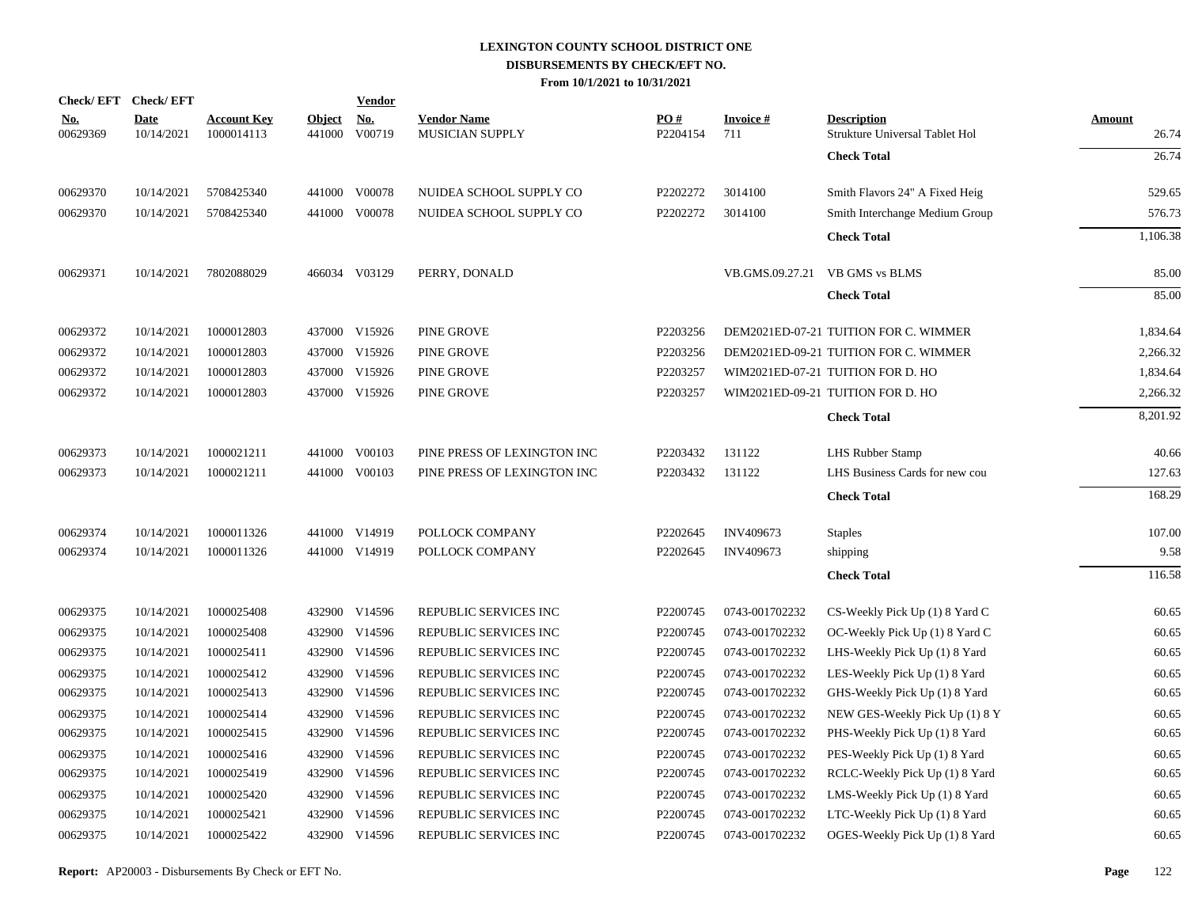|                        | Check/EFT Check/EFT       |                                  |                         | <b>Vendor</b> |                                              |                 |                                |                                                      |                        |
|------------------------|---------------------------|----------------------------------|-------------------------|---------------|----------------------------------------------|-----------------|--------------------------------|------------------------------------------------------|------------------------|
| <u>No.</u><br>00629369 | <b>Date</b><br>10/14/2021 | <b>Account Key</b><br>1000014113 | <b>Object</b><br>441000 | No.<br>V00719 | <b>Vendor Name</b><br><b>MUSICIAN SUPPLY</b> | PO#<br>P2204154 | <b>Invoice</b> $#$<br>711      | <b>Description</b><br>Strukture Universal Tablet Hol | <b>Amount</b><br>26.74 |
|                        |                           |                                  |                         |               |                                              |                 |                                | <b>Check Total</b>                                   | 26.74                  |
| 00629370               | 10/14/2021                | 5708425340                       |                         | 441000 V00078 | NUIDEA SCHOOL SUPPLY CO                      | P2202272        | 3014100                        | Smith Flavors 24" A Fixed Heig                       | 529.65                 |
| 00629370               | 10/14/2021                | 5708425340                       |                         | 441000 V00078 | NUIDEA SCHOOL SUPPLY CO                      | P2202272        | 3014100                        | Smith Interchange Medium Group                       | 576.73                 |
|                        |                           |                                  |                         |               |                                              |                 |                                | <b>Check Total</b>                                   | 1,106.38               |
| 00629371               | 10/14/2021                | 7802088029                       |                         | 466034 V03129 | PERRY, DONALD                                |                 | VB.GMS.09.27.21 VB GMS vs BLMS |                                                      | 85.00                  |
|                        |                           |                                  |                         |               |                                              |                 |                                | <b>Check Total</b>                                   | 85.00                  |
| 00629372               | 10/14/2021                | 1000012803                       |                         | 437000 V15926 | PINE GROVE                                   | P2203256        |                                | DEM2021ED-07-21 TUITION FOR C. WIMMER                | 1,834.64               |
| 00629372               | 10/14/2021                | 1000012803                       |                         | 437000 V15926 | PINE GROVE                                   | P2203256        |                                | DEM2021ED-09-21 TUITION FOR C. WIMMER                | 2,266.32               |
| 00629372               | 10/14/2021                | 1000012803                       |                         | 437000 V15926 | PINE GROVE                                   | P2203257        |                                | WIM2021ED-07-21 TUITION FOR D. HO                    | 1,834.64               |
| 00629372               | 10/14/2021                | 1000012803                       |                         | 437000 V15926 | PINE GROVE                                   | P2203257        |                                | WIM2021ED-09-21 TUITION FOR D. HO                    | 2,266.32               |
|                        |                           |                                  |                         |               |                                              |                 |                                | <b>Check Total</b>                                   | 8,201.92               |
| 00629373               | 10/14/2021                | 1000021211                       |                         | 441000 V00103 | PINE PRESS OF LEXINGTON INC                  | P2203432        | 131122                         | LHS Rubber Stamp                                     | 40.66                  |
| 00629373               | 10/14/2021                | 1000021211                       |                         | 441000 V00103 | PINE PRESS OF LEXINGTON INC                  | P2203432        | 131122                         | LHS Business Cards for new cou                       | 127.63                 |
|                        |                           |                                  |                         |               |                                              |                 |                                | <b>Check Total</b>                                   | 168.29                 |
| 00629374               | 10/14/2021                | 1000011326                       |                         | 441000 V14919 | POLLOCK COMPANY                              | P2202645        | INV409673                      | <b>Staples</b>                                       | 107.00                 |
| 00629374               | 10/14/2021                | 1000011326                       |                         | 441000 V14919 | POLLOCK COMPANY                              | P2202645        | INV409673                      | shipping                                             | 9.58                   |
|                        |                           |                                  |                         |               |                                              |                 |                                | <b>Check Total</b>                                   | 116.58                 |
| 00629375               | 10/14/2021                | 1000025408                       |                         | 432900 V14596 | REPUBLIC SERVICES INC                        | P2200745        | 0743-001702232                 | CS-Weekly Pick Up (1) 8 Yard C                       | 60.65                  |
| 00629375               | 10/14/2021                | 1000025408                       |                         | 432900 V14596 | REPUBLIC SERVICES INC                        | P2200745        | 0743-001702232                 | OC-Weekly Pick Up (1) 8 Yard C                       | 60.65                  |
| 00629375               | 10/14/2021                | 1000025411                       |                         | 432900 V14596 | REPUBLIC SERVICES INC                        | P2200745        | 0743-001702232                 | LHS-Weekly Pick Up (1) 8 Yard                        | 60.65                  |
| 00629375               | 10/14/2021                | 1000025412                       |                         | 432900 V14596 | REPUBLIC SERVICES INC                        | P2200745        | 0743-001702232                 | LES-Weekly Pick Up (1) 8 Yard                        | 60.65                  |
| 00629375               | 10/14/2021                | 1000025413                       |                         | 432900 V14596 | REPUBLIC SERVICES INC                        | P2200745        | 0743-001702232                 | GHS-Weekly Pick Up (1) 8 Yard                        | 60.65                  |
| 00629375               | 10/14/2021                | 1000025414                       |                         | 432900 V14596 | REPUBLIC SERVICES INC                        | P2200745        | 0743-001702232                 | NEW GES-Weekly Pick Up (1) 8 Y                       | 60.65                  |
| 00629375               | 10/14/2021                | 1000025415                       |                         | 432900 V14596 | REPUBLIC SERVICES INC                        | P2200745        | 0743-001702232                 | PHS-Weekly Pick Up (1) 8 Yard                        | 60.65                  |
| 00629375               | 10/14/2021                | 1000025416                       |                         | 432900 V14596 | REPUBLIC SERVICES INC                        | P2200745        | 0743-001702232                 | PES-Weekly Pick Up (1) 8 Yard                        | 60.65                  |
| 00629375               | 10/14/2021                | 1000025419                       |                         | 432900 V14596 | REPUBLIC SERVICES INC                        | P2200745        | 0743-001702232                 | RCLC-Weekly Pick Up (1) 8 Yard                       | 60.65                  |
| 00629375               | 10/14/2021                | 1000025420                       |                         | 432900 V14596 | REPUBLIC SERVICES INC                        | P2200745        | 0743-001702232                 | LMS-Weekly Pick Up (1) 8 Yard                        | 60.65                  |
| 00629375               | 10/14/2021                | 1000025421                       |                         | 432900 V14596 | REPUBLIC SERVICES INC                        | P2200745        | 0743-001702232                 | LTC-Weekly Pick Up (1) 8 Yard                        | 60.65                  |
| 00629375               | 10/14/2021                | 1000025422                       |                         | 432900 V14596 | REPUBLIC SERVICES INC                        | P2200745        | 0743-001702232                 | OGES-Weekly Pick Up (1) 8 Yard                       | 60.65                  |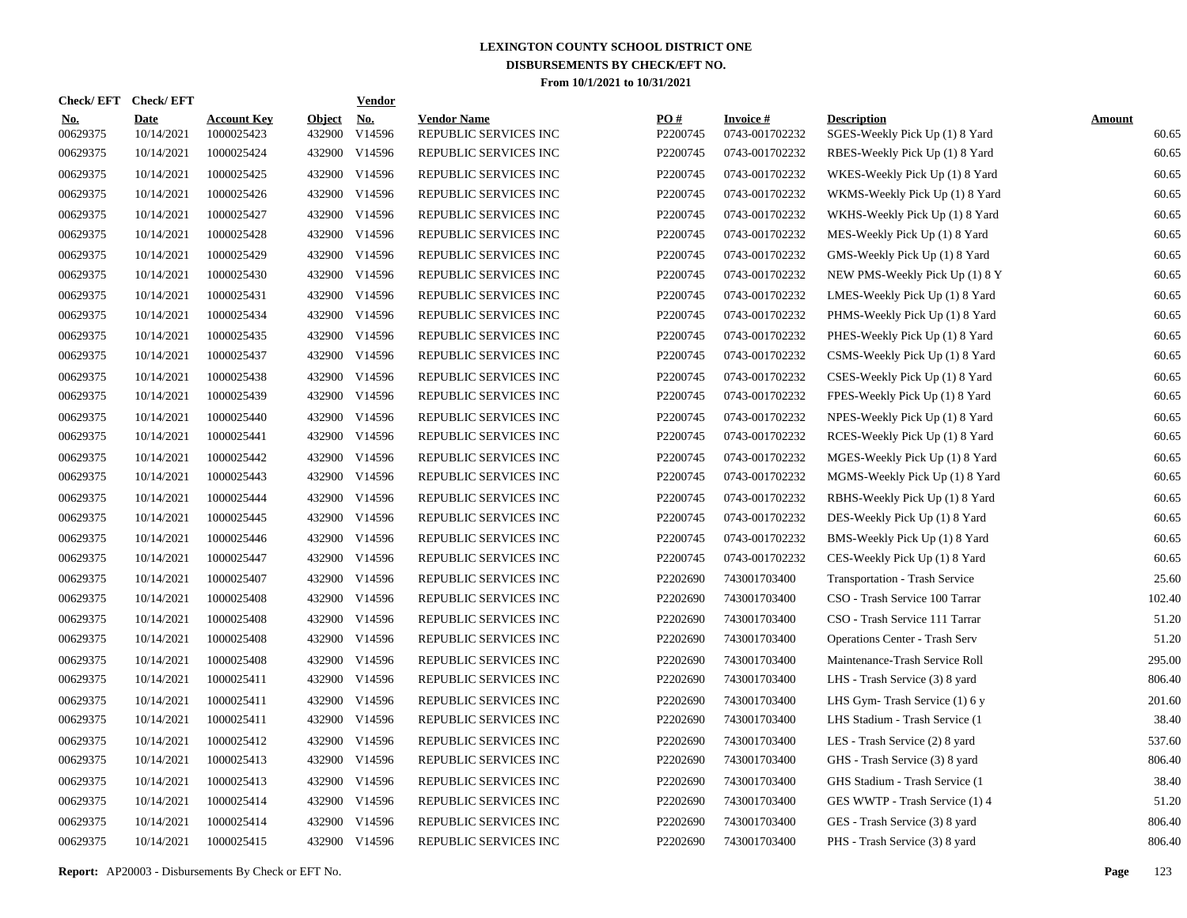| Check/ EFT             | <b>Check/EFT</b>          |                                  |                         | <b>Vendor</b>        |                                             |                 |                                   |                                                      |                        |
|------------------------|---------------------------|----------------------------------|-------------------------|----------------------|---------------------------------------------|-----------------|-----------------------------------|------------------------------------------------------|------------------------|
| <u>No.</u><br>00629375 | <b>Date</b><br>10/14/2021 | <b>Account Key</b><br>1000025423 | <b>Object</b><br>432900 | <u>No.</u><br>V14596 | <b>Vendor Name</b><br>REPUBLIC SERVICES INC | PO#<br>P2200745 | <b>Invoice#</b><br>0743-001702232 | <b>Description</b><br>SGES-Weekly Pick Up (1) 8 Yard | <b>Amount</b><br>60.65 |
| 00629375               | 10/14/2021                | 1000025424                       |                         | 432900 V14596        | REPUBLIC SERVICES INC                       | P2200745        | 0743-001702232                    | RBES-Weekly Pick Up (1) 8 Yard                       | 60.65                  |
| 00629375               | 10/14/2021                | 1000025425                       |                         | 432900 V14596        | REPUBLIC SERVICES INC                       | P2200745        | 0743-001702232                    | WKES-Weekly Pick Up (1) 8 Yard                       | 60.65                  |
| 00629375               | 10/14/2021                | 1000025426                       |                         | 432900 V14596        | REPUBLIC SERVICES INC                       | P2200745        | 0743-001702232                    | WKMS-Weekly Pick Up (1) 8 Yard                       | 60.65                  |
| 00629375               | 10/14/2021                | 1000025427                       |                         | 432900 V14596        | REPUBLIC SERVICES INC                       | P2200745        | 0743-001702232                    | WKHS-Weekly Pick Up (1) 8 Yard                       | 60.65                  |
| 00629375               | 10/14/2021                | 1000025428                       |                         | 432900 V14596        | REPUBLIC SERVICES INC                       | P2200745        | 0743-001702232                    | MES-Weekly Pick Up (1) 8 Yard                        | 60.65                  |
| 00629375               | 10/14/2021                | 1000025429                       |                         | 432900 V14596        | REPUBLIC SERVICES INC                       | P2200745        | 0743-001702232                    | GMS-Weekly Pick Up (1) 8 Yard                        | 60.65                  |
| 00629375               | 10/14/2021                | 1000025430                       |                         | 432900 V14596        | REPUBLIC SERVICES INC                       | P2200745        | 0743-001702232                    | NEW PMS-Weekly Pick Up (1) 8 Y                       | 60.65                  |
| 00629375               | 10/14/2021                | 1000025431                       |                         | 432900 V14596        | REPUBLIC SERVICES INC                       | P2200745        | 0743-001702232                    | LMES-Weekly Pick Up (1) 8 Yard                       | 60.65                  |
| 00629375               | 10/14/2021                | 1000025434                       |                         | 432900 V14596        | REPUBLIC SERVICES INC                       | P2200745        | 0743-001702232                    | PHMS-Weekly Pick Up (1) 8 Yard                       | 60.65                  |
| 00629375               | 10/14/2021                | 1000025435                       |                         | 432900 V14596        | REPUBLIC SERVICES INC                       | P2200745        | 0743-001702232                    | PHES-Weekly Pick Up (1) 8 Yard                       | 60.65                  |
| 00629375               | 10/14/2021                | 1000025437                       |                         | 432900 V14596        | REPUBLIC SERVICES INC                       | P2200745        | 0743-001702232                    | CSMS-Weekly Pick Up (1) 8 Yard                       | 60.65                  |
| 00629375               | 10/14/2021                | 1000025438                       |                         | 432900 V14596        | REPUBLIC SERVICES INC                       | P2200745        | 0743-001702232                    | CSES-Weekly Pick Up (1) 8 Yard                       | 60.65                  |
| 00629375               | 10/14/2021                | 1000025439                       |                         | 432900 V14596        | REPUBLIC SERVICES INC                       | P2200745        | 0743-001702232                    | FPES-Weekly Pick Up (1) 8 Yard                       | 60.65                  |
| 00629375               | 10/14/2021                | 1000025440                       |                         | 432900 V14596        | REPUBLIC SERVICES INC                       | P2200745        | 0743-001702232                    | NPES-Weekly Pick Up (1) 8 Yard                       | 60.65                  |
| 00629375               | 10/14/2021                | 1000025441                       |                         | 432900 V14596        | REPUBLIC SERVICES INC                       | P2200745        | 0743-001702232                    | RCES-Weekly Pick Up (1) 8 Yard                       | 60.65                  |
| 00629375               | 10/14/2021                | 1000025442                       |                         | 432900 V14596        | REPUBLIC SERVICES INC                       | P2200745        | 0743-001702232                    | MGES-Weekly Pick Up (1) 8 Yard                       | 60.65                  |
| 00629375               | 10/14/2021                | 1000025443                       |                         | 432900 V14596        | REPUBLIC SERVICES INC                       | P2200745        | 0743-001702232                    | MGMS-Weekly Pick Up (1) 8 Yard                       | 60.65                  |
| 00629375               | 10/14/2021                | 1000025444                       |                         | 432900 V14596        | REPUBLIC SERVICES INC                       | P2200745        | 0743-001702232                    | RBHS-Weekly Pick Up (1) 8 Yard                       | 60.65                  |
| 00629375               | 10/14/2021                | 1000025445                       |                         | 432900 V14596        | REPUBLIC SERVICES INC                       | P2200745        | 0743-001702232                    | DES-Weekly Pick Up (1) 8 Yard                        | 60.65                  |
| 00629375               | 10/14/2021                | 1000025446                       |                         | 432900 V14596        | REPUBLIC SERVICES INC                       | P2200745        | 0743-001702232                    | BMS-Weekly Pick Up (1) 8 Yard                        | 60.65                  |
| 00629375               | 10/14/2021                | 1000025447                       |                         | 432900 V14596        | REPUBLIC SERVICES INC                       | P2200745        | 0743-001702232                    | CES-Weekly Pick Up (1) 8 Yard                        | 60.65                  |
| 00629375               | 10/14/2021                | 1000025407                       |                         | 432900 V14596        | REPUBLIC SERVICES INC                       | P2202690        | 743001703400                      | <b>Transportation - Trash Service</b>                | 25.60                  |
| 00629375               | 10/14/2021                | 1000025408                       |                         | 432900 V14596        | REPUBLIC SERVICES INC                       | P2202690        | 743001703400                      | CSO - Trash Service 100 Tarrar                       | 102.40                 |
| 00629375               | 10/14/2021                | 1000025408                       |                         | 432900 V14596        | REPUBLIC SERVICES INC                       | P2202690        | 743001703400                      | CSO - Trash Service 111 Tarrar                       | 51.20                  |
| 00629375               | 10/14/2021                | 1000025408                       |                         | 432900 V14596        | REPUBLIC SERVICES INC                       | P2202690        | 743001703400                      | <b>Operations Center - Trash Serv</b>                | 51.20                  |
| 00629375               | 10/14/2021                | 1000025408                       |                         | 432900 V14596        | REPUBLIC SERVICES INC                       | P2202690        | 743001703400                      | Maintenance-Trash Service Roll                       | 295.00                 |
| 00629375               | 10/14/2021                | 1000025411                       |                         | 432900 V14596        | REPUBLIC SERVICES INC                       | P2202690        | 743001703400                      | LHS - Trash Service (3) 8 yard                       | 806.40                 |
| 00629375               | 10/14/2021                | 1000025411                       | 432900                  | V14596               | REPUBLIC SERVICES INC                       | P2202690        | 743001703400                      | LHS Gym-Trash Service (1) 6 y                        | 201.60                 |
| 00629375               | 10/14/2021                | 1000025411                       |                         | 432900 V14596        | REPUBLIC SERVICES INC                       | P2202690        | 743001703400                      | LHS Stadium - Trash Service (1                       | 38.40                  |
| 00629375               | 10/14/2021                | 1000025412                       |                         | 432900 V14596        | REPUBLIC SERVICES INC                       | P2202690        | 743001703400                      | LES - Trash Service (2) 8 yard                       | 537.60                 |
| 00629375               | 10/14/2021                | 1000025413                       |                         | 432900 V14596        | REPUBLIC SERVICES INC                       | P2202690        | 743001703400                      | GHS - Trash Service (3) 8 yard                       | 806.40                 |
| 00629375               | 10/14/2021                | 1000025413                       |                         | 432900 V14596        | REPUBLIC SERVICES INC                       | P2202690        | 743001703400                      | GHS Stadium - Trash Service (1                       | 38.40                  |
| 00629375               | 10/14/2021                | 1000025414                       |                         | 432900 V14596        | REPUBLIC SERVICES INC                       | P2202690        | 743001703400                      | GES WWTP - Trash Service (1) 4                       | 51.20                  |
| 00629375               | 10/14/2021                | 1000025414                       |                         | 432900 V14596        | REPUBLIC SERVICES INC                       | P2202690        | 743001703400                      | GES - Trash Service (3) 8 yard                       | 806.40                 |
| 00629375               | 10/14/2021                | 1000025415                       |                         | 432900 V14596        | REPUBLIC SERVICES INC                       | P2202690        | 743001703400                      | PHS - Trash Service (3) 8 yard                       | 806.40                 |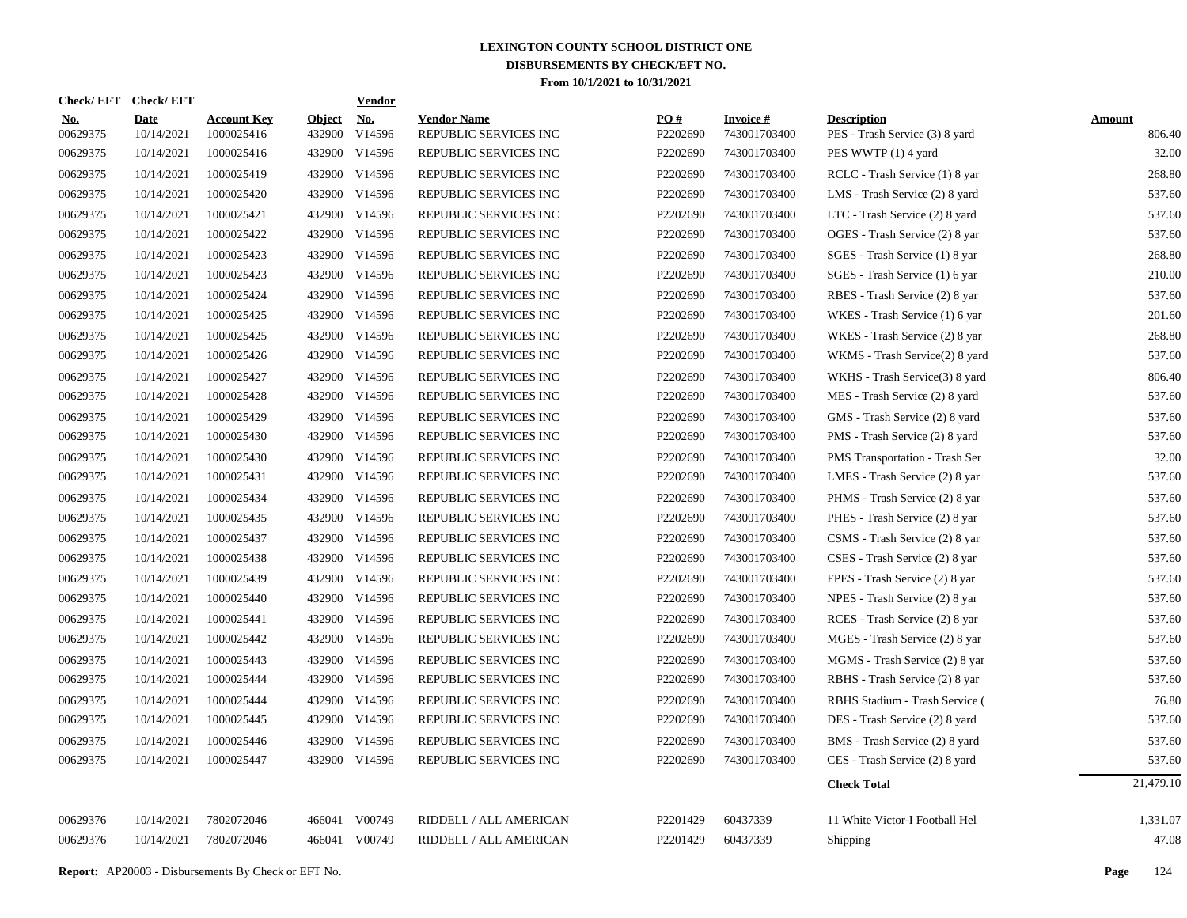|                        | Check/EFT Check/EFT       |                                                            |                      | <b>Vendor</b> |                                             |                 |                                 |                                                      |                         |
|------------------------|---------------------------|------------------------------------------------------------|----------------------|---------------|---------------------------------------------|-----------------|---------------------------------|------------------------------------------------------|-------------------------|
| <u>No.</u><br>00629375 | <b>Date</b><br>10/14/2021 | <b>Account Key</b><br>1000025416                           | Object No.<br>432900 | V14596        | <b>Vendor Name</b><br>REPUBLIC SERVICES INC | PQ#<br>P2202690 | <b>Invoice#</b><br>743001703400 | <b>Description</b><br>PES - Trash Service (3) 8 yard | <b>Amount</b><br>806.40 |
| 00629375               | 10/14/2021                | 1000025416                                                 |                      | 432900 V14596 | REPUBLIC SERVICES INC                       | P2202690        | 743001703400                    | PES WWTP (1) 4 yard                                  | 32.00                   |
| 00629375               | 10/14/2021                | 1000025419                                                 |                      | 432900 V14596 | REPUBLIC SERVICES INC                       | P2202690        | 743001703400                    | RCLC - Trash Service (1) 8 yar                       | 268.80                  |
| 00629375               | 10/14/2021                | 1000025420                                                 |                      | 432900 V14596 | REPUBLIC SERVICES INC                       | P2202690        | 743001703400                    | LMS - Trash Service (2) 8 yard                       | 537.60                  |
| 00629375               | 10/14/2021                | 1000025421                                                 |                      | 432900 V14596 | REPUBLIC SERVICES INC                       | P2202690        | 743001703400                    | LTC - Trash Service (2) 8 yard                       | 537.60                  |
| 00629375               | 10/14/2021                | 1000025422                                                 |                      | 432900 V14596 | REPUBLIC SERVICES INC                       | P2202690        | 743001703400                    | OGES - Trash Service (2) 8 yar                       | 537.60                  |
| 00629375               | 10/14/2021                | 1000025423                                                 |                      | 432900 V14596 | REPUBLIC SERVICES INC                       | P2202690        | 743001703400                    | SGES - Trash Service (1) 8 yar                       | 268.80                  |
| 00629375               | 10/14/2021                | 1000025423                                                 |                      | 432900 V14596 | REPUBLIC SERVICES INC                       | P2202690        | 743001703400                    | SGES - Trash Service (1) 6 yar                       | 210.00                  |
| 00629375               | 10/14/2021                | 1000025424                                                 |                      | 432900 V14596 | REPUBLIC SERVICES INC                       | P2202690        | 743001703400                    | RBES - Trash Service (2) 8 yar                       | 537.60                  |
| 00629375               | 10/14/2021                | 1000025425                                                 |                      | 432900 V14596 | REPUBLIC SERVICES INC                       | P2202690        | 743001703400                    | WKES - Trash Service (1) 6 yar                       | 201.60                  |
| 00629375               | 10/14/2021                | 1000025425                                                 |                      | 432900 V14596 | REPUBLIC SERVICES INC                       | P2202690        | 743001703400                    | WKES - Trash Service (2) 8 yar                       | 268.80                  |
| 00629375               | 10/14/2021                | 1000025426                                                 |                      | 432900 V14596 | REPUBLIC SERVICES INC                       | P2202690        | 743001703400                    | WKMS - Trash Service(2) 8 yard                       | 537.60                  |
| 00629375               | 10/14/2021                | 1000025427                                                 |                      | 432900 V14596 | REPUBLIC SERVICES INC                       | P2202690        | 743001703400                    | WKHS - Trash Service(3) 8 yard                       | 806.40                  |
| 00629375               | 10/14/2021                | 1000025428                                                 |                      | 432900 V14596 | REPUBLIC SERVICES INC                       | P2202690        | 743001703400                    | MES - Trash Service (2) 8 yard                       | 537.60                  |
| 00629375               | 10/14/2021                | 1000025429                                                 |                      | 432900 V14596 | REPUBLIC SERVICES INC                       | P2202690        | 743001703400                    | GMS - Trash Service (2) 8 yard                       | 537.60                  |
| 00629375               | 10/14/2021                | 1000025430                                                 |                      | 432900 V14596 | REPUBLIC SERVICES INC                       | P2202690        | 743001703400                    | PMS - Trash Service (2) 8 yard                       | 537.60                  |
| 00629375               | 10/14/2021                | 1000025430                                                 |                      | 432900 V14596 | REPUBLIC SERVICES INC                       | P2202690        | 743001703400                    | PMS Transportation - Trash Ser                       | 32.00                   |
| 00629375               | 10/14/2021                | 1000025431                                                 |                      | 432900 V14596 | REPUBLIC SERVICES INC                       | P2202690        | 743001703400                    | LMES - Trash Service (2) 8 yar                       | 537.60                  |
| 00629375               | 10/14/2021                | 1000025434                                                 |                      | 432900 V14596 | REPUBLIC SERVICES INC                       | P2202690        | 743001703400                    | PHMS - Trash Service (2) 8 yar                       | 537.60                  |
| 00629375               | 10/14/2021                | 1000025435                                                 |                      | 432900 V14596 | REPUBLIC SERVICES INC                       | P2202690        | 743001703400                    | PHES - Trash Service (2) 8 yar                       | 537.60                  |
| 00629375               | 10/14/2021                | 1000025437                                                 |                      | 432900 V14596 | REPUBLIC SERVICES INC                       | P2202690        | 743001703400                    | CSMS - Trash Service (2) 8 yar                       | 537.60                  |
| 00629375               | 10/14/2021                | 1000025438                                                 |                      | 432900 V14596 | REPUBLIC SERVICES INC                       | P2202690        | 743001703400                    | CSES - Trash Service (2) 8 yar                       | 537.60                  |
| 00629375               | 10/14/2021                | 1000025439                                                 |                      | 432900 V14596 | REPUBLIC SERVICES INC                       | P2202690        | 743001703400                    | FPES - Trash Service (2) 8 yar                       | 537.60                  |
| 00629375               | 10/14/2021                | 1000025440                                                 |                      | 432900 V14596 | REPUBLIC SERVICES INC                       | P2202690        | 743001703400                    | NPES - Trash Service (2) 8 yar                       | 537.60                  |
| 00629375               | 10/14/2021                | 1000025441                                                 |                      | 432900 V14596 | REPUBLIC SERVICES INC                       | P2202690        | 743001703400                    | RCES - Trash Service (2) 8 yar                       | 537.60                  |
| 00629375               | 10/14/2021                | 1000025442                                                 |                      | 432900 V14596 | REPUBLIC SERVICES INC                       | P2202690        | 743001703400                    | MGES - Trash Service (2) 8 yar                       | 537.60                  |
| 00629375               | 10/14/2021                | 1000025443                                                 |                      | 432900 V14596 | REPUBLIC SERVICES INC                       | P2202690        | 743001703400                    | MGMS - Trash Service (2) 8 yar                       | 537.60                  |
| 00629375               | 10/14/2021                | 1000025444                                                 |                      | 432900 V14596 | REPUBLIC SERVICES INC                       | P2202690        | 743001703400                    | RBHS - Trash Service (2) 8 yar                       | 537.60                  |
| 00629375               | 10/14/2021                | 1000025444                                                 |                      | 432900 V14596 | REPUBLIC SERVICES INC                       | P2202690        | 743001703400                    | RBHS Stadium - Trash Service (                       | 76.80                   |
| 00629375               | 10/14/2021                | 1000025445                                                 |                      | 432900 V14596 | REPUBLIC SERVICES INC                       | P2202690        | 743001703400                    | DES - Trash Service (2) 8 yard                       | 537.60                  |
| 00629375               | 10/14/2021                | 1000025446                                                 |                      | 432900 V14596 | REPUBLIC SERVICES INC                       | P2202690        | 743001703400                    | BMS - Trash Service (2) 8 yard                       | 537.60                  |
| 00629375               | 10/14/2021                | 1000025447                                                 |                      | 432900 V14596 | REPUBLIC SERVICES INC                       | P2202690        | 743001703400                    | CES - Trash Service (2) 8 yard                       | 537.60                  |
|                        |                           |                                                            |                      |               |                                             |                 |                                 | <b>Check Total</b>                                   | 21,479.10               |
| 00629376               | 10/14/2021                | 7802072046                                                 |                      | 466041 V00749 | RIDDELL / ALL AMERICAN                      | P2201429        | 60437339                        | 11 White Victor-I Football Hel                       | 1,331.07                |
| 00629376               | 10/14/2021                | 7802072046                                                 |                      | 466041 V00749 | RIDDELL / ALL AMERICAN                      | P2201429        | 60437339                        | Shipping                                             | 47.08                   |
|                        |                           | <b>Report:</b> AP20003 - Disbursements By Check or EFT No. |                      |               |                                             |                 |                                 |                                                      | Page<br>124             |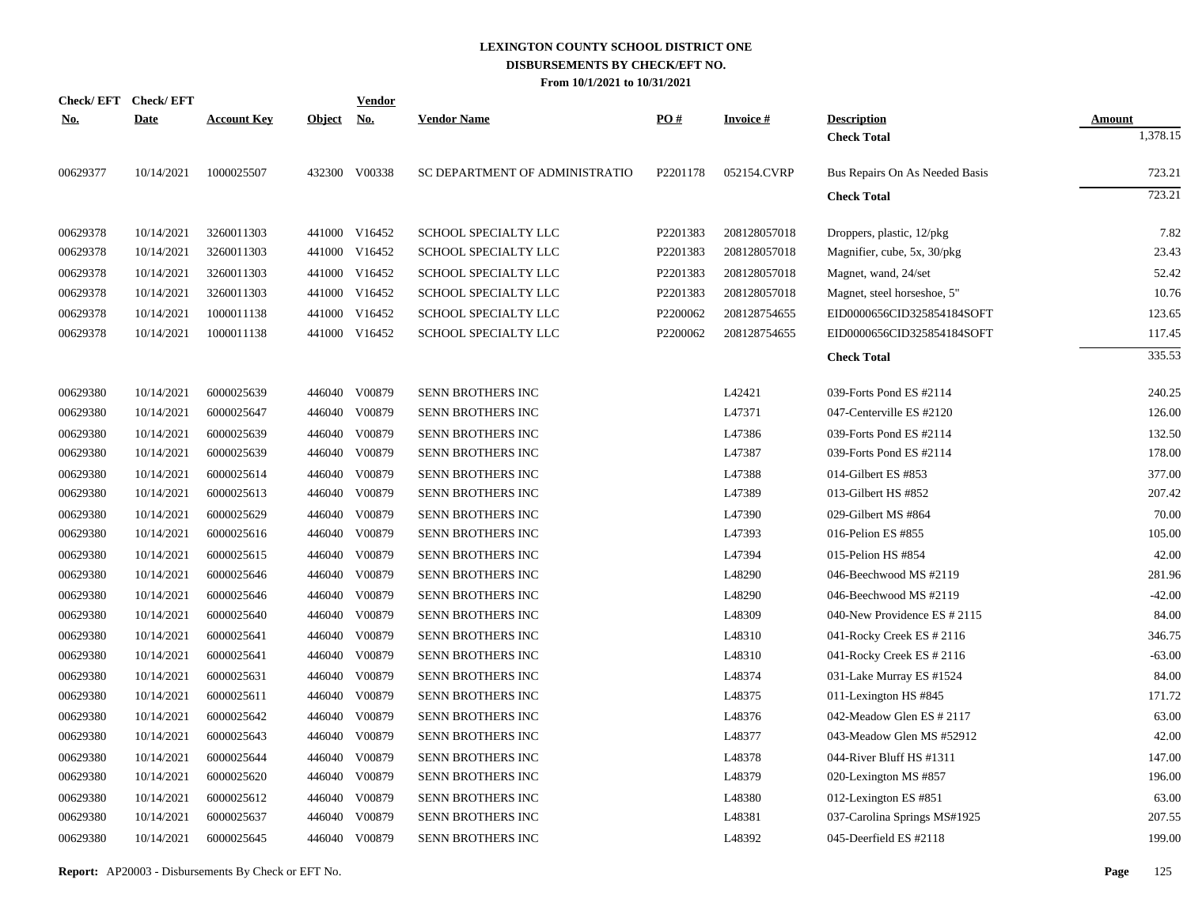| <b>Check/EFT</b> | <b>Check/EFT</b> |                    |            | <u>Vendor</u> |                                |          |                 |                                |               |
|------------------|------------------|--------------------|------------|---------------|--------------------------------|----------|-----------------|--------------------------------|---------------|
| <u>No.</u>       | <b>Date</b>      | <b>Account Key</b> | Object No. |               | <b>Vendor Name</b>             | PO#      | <b>Invoice#</b> | <b>Description</b>             | <b>Amount</b> |
|                  |                  |                    |            |               |                                |          |                 | <b>Check Total</b>             | 1,378.15      |
| 00629377         | 10/14/2021       | 1000025507         |            | 432300 V00338 | SC DEPARTMENT OF ADMINISTRATIO | P2201178 | 052154.CVRP     | Bus Repairs On As Needed Basis | 723.21        |
|                  |                  |                    |            |               |                                |          |                 | <b>Check Total</b>             | 723.21        |
| 00629378         | 10/14/2021       | 3260011303         |            | 441000 V16452 | SCHOOL SPECIALTY LLC           | P2201383 | 208128057018    | Droppers, plastic, 12/pkg      | 7.82          |
| 00629378         | 10/14/2021       | 3260011303         |            | 441000 V16452 | SCHOOL SPECIALTY LLC           | P2201383 | 208128057018    | Magnifier, cube, 5x, 30/pkg    | 23.43         |
| 00629378         | 10/14/2021       | 3260011303         |            | 441000 V16452 | SCHOOL SPECIALTY LLC           | P2201383 | 208128057018    | Magnet, wand, 24/set           | 52.42         |
| 00629378         | 10/14/2021       | 3260011303         |            | 441000 V16452 | SCHOOL SPECIALTY LLC           | P2201383 | 208128057018    | Magnet, steel horseshoe, 5"    | 10.76         |
| 00629378         | 10/14/2021       | 1000011138         |            | 441000 V16452 | SCHOOL SPECIALTY LLC           | P2200062 | 208128754655    | EID0000656CID325854184SOFT     | 123.65        |
| 00629378         | 10/14/2021       | 1000011138         |            | 441000 V16452 | SCHOOL SPECIALTY LLC           | P2200062 | 208128754655    | EID0000656CID325854184SOFT     | 117.45        |
|                  |                  |                    |            |               |                                |          |                 | <b>Check Total</b>             | 335.53        |
| 00629380         | 10/14/2021       | 6000025639         |            | 446040 V00879 | SENN BROTHERS INC              |          | L42421          | 039-Forts Pond ES #2114        | 240.25        |
| 00629380         | 10/14/2021       | 6000025647         |            | 446040 V00879 | SENN BROTHERS INC              |          | L47371          | 047-Centerville ES #2120       | 126.00        |
| 00629380         | 10/14/2021       | 6000025639         | 446040     | V00879        | SENN BROTHERS INC              |          | L47386          | 039-Forts Pond ES #2114        | 132.50        |
| 00629380         | 10/14/2021       | 6000025639         |            | 446040 V00879 | SENN BROTHERS INC              |          | L47387          | 039-Forts Pond ES #2114        | 178.00        |
| 00629380         | 10/14/2021       | 6000025614         | 446040     | V00879        | SENN BROTHERS INC              |          | L47388          | 014-Gilbert ES #853            | 377.00        |
| 00629380         | 10/14/2021       | 6000025613         | 446040     | V00879        | SENN BROTHERS INC              |          | L47389          | 013-Gilbert HS #852            | 207.42        |
| 00629380         | 10/14/2021       | 6000025629         | 446040     | V00879        | <b>SENN BROTHERS INC</b>       |          | L47390          | 029-Gilbert MS #864            | 70.00         |
| 00629380         | 10/14/2021       | 6000025616         | 446040     | V00879        | SENN BROTHERS INC              |          | L47393          | 016-Pelion ES #855             | 105.00        |
| 00629380         | 10/14/2021       | 6000025615         | 446040     | V00879        | SENN BROTHERS INC              |          | L47394          | 015-Pelion HS #854             | 42.00         |
| 00629380         | 10/14/2021       | 6000025646         | 446040     | V00879        | SENN BROTHERS INC              |          | L48290          | 046-Beechwood MS #2119         | 281.96        |
| 00629380         | 10/14/2021       | 6000025646         | 446040     | V00879        | SENN BROTHERS INC              |          | L48290          | 046-Beechwood MS #2119         | $-42.00$      |
| 00629380         | 10/14/2021       | 6000025640         | 446040     | V00879        | SENN BROTHERS INC              |          | L48309          | 040-New Providence ES # 2115   | 84.00         |
| 00629380         | 10/14/2021       | 6000025641         | 446040     | V00879        | SENN BROTHERS INC              |          | L48310          | 041-Rocky Creek ES # 2116      | 346.75        |
| 00629380         | 10/14/2021       | 6000025641         | 446040     | V00879        | SENN BROTHERS INC              |          | L48310          | 041-Rocky Creek ES # 2116      | $-63.00$      |
| 00629380         | 10/14/2021       | 6000025631         | 446040     | V00879        | SENN BROTHERS INC              |          | L48374          | 031-Lake Murray ES #1524       | 84.00         |
| 00629380         | 10/14/2021       | 6000025611         | 446040     | V00879        | SENN BROTHERS INC              |          | L48375          | 011-Lexington HS #845          | 171.72        |
| 00629380         | 10/14/2021       | 6000025642         | 446040     | V00879        | SENN BROTHERS INC              |          | L48376          | 042-Meadow Glen ES $\#2117$    | 63.00         |
| 00629380         | 10/14/2021       | 6000025643         | 446040     | V00879        | SENN BROTHERS INC              |          | L48377          | 043-Meadow Glen MS #52912      | 42.00         |
| 00629380         | 10/14/2021       | 6000025644         | 446040     | V00879        | SENN BROTHERS INC              |          | L48378          | 044-River Bluff HS #1311       | 147.00        |
| 00629380         | 10/14/2021       | 6000025620         | 446040     | V00879        | <b>SENN BROTHERS INC</b>       |          | L48379          | 020-Lexington MS #857          | 196.00        |
| 00629380         | 10/14/2021       | 6000025612         | 446040     | V00879        | <b>SENN BROTHERS INC</b>       |          | L48380          | 012-Lexington ES #851          | 63.00         |
| 00629380         | 10/14/2021       | 6000025637         | 446040     | V00879        | SENN BROTHERS INC              |          | L48381          | 037-Carolina Springs MS#1925   | 207.55        |
| 00629380         | 10/14/2021       | 6000025645         |            | 446040 V00879 | SENN BROTHERS INC              |          | L48392          | 045-Deerfield ES #2118         | 199.00        |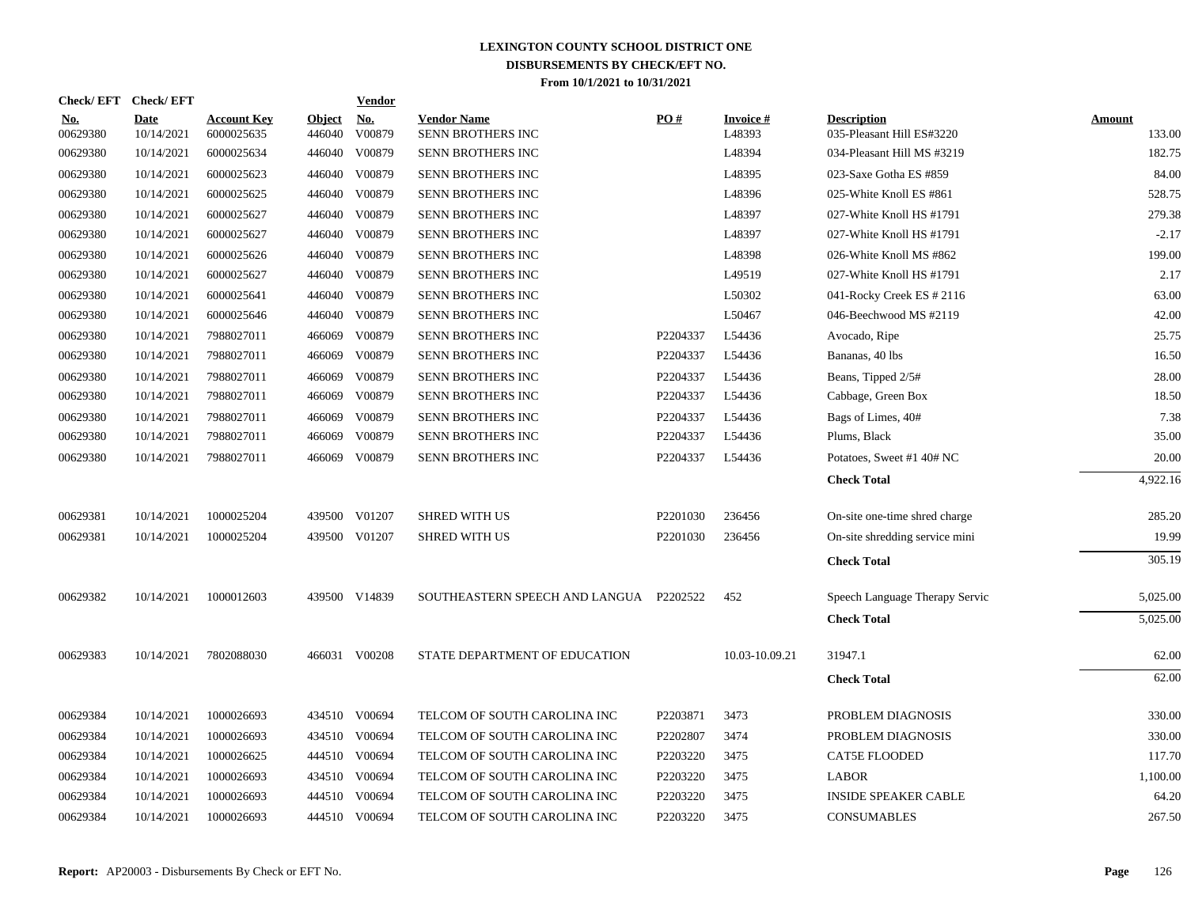| <b>Check/EFT</b>       | <b>Check/EFT</b>          |                                  |                         | <b>Vendor</b>        |                                         |                      |                           |                                                 |                         |
|------------------------|---------------------------|----------------------------------|-------------------------|----------------------|-----------------------------------------|----------------------|---------------------------|-------------------------------------------------|-------------------------|
| <u>No.</u><br>00629380 | <b>Date</b><br>10/14/2021 | <b>Account Key</b><br>6000025635 | <b>Object</b><br>446040 | <u>No.</u><br>V00879 | <b>Vendor Name</b><br>SENN BROTHERS INC | PO#                  | <b>Invoice#</b><br>L48393 | <b>Description</b><br>035-Pleasant Hill ES#3220 | <b>Amount</b><br>133.00 |
| 00629380               | 10/14/2021                | 6000025634                       | 446040                  | V00879               | <b>SENN BROTHERS INC</b>                |                      | L48394                    | 034-Pleasant Hill MS #3219                      | 182.75                  |
| 00629380               | 10/14/2021                | 6000025623                       | 446040                  | V00879               | SENN BROTHERS INC                       |                      | L48395                    | 023-Saxe Gotha ES #859                          | 84.00                   |
| 00629380               | 10/14/2021                | 6000025625                       | 446040                  | V00879               | <b>SENN BROTHERS INC</b>                |                      | L48396                    | 025-White Knoll ES #861                         | 528.75                  |
| 00629380               | 10/14/2021                | 6000025627                       | 446040                  | V00879               | SENN BROTHERS INC                       |                      | L48397                    | 027-White Knoll HS #1791                        | 279.38                  |
| 00629380               | 10/14/2021                | 6000025627                       | 446040                  | V00879               | SENN BROTHERS INC                       |                      | L48397                    | 027-White Knoll HS #1791                        | $-2.17$                 |
| 00629380               | 10/14/2021                | 6000025626                       | 446040                  | V00879               | SENN BROTHERS INC                       |                      | L48398                    | 026-White Knoll MS #862                         | 199.00                  |
| 00629380               | 10/14/2021                | 6000025627                       |                         | 446040 V00879        | SENN BROTHERS INC                       |                      | L49519                    | 027-White Knoll HS #1791                        | 2.17                    |
| 00629380               | 10/14/2021                | 6000025641                       | 446040                  | V00879               | SENN BROTHERS INC                       |                      | L50302                    | 041-Rocky Creek ES # 2116                       | 63.00                   |
| 00629380               | 10/14/2021                | 6000025646                       | 446040                  | V00879               | SENN BROTHERS INC                       |                      | L50467                    | 046-Beechwood MS #2119                          | 42.00                   |
| 00629380               | 10/14/2021                | 7988027011                       | 466069                  | V00879               | SENN BROTHERS INC                       | P2204337             | L54436                    | Avocado, Ripe                                   | 25.75                   |
| 00629380               | 10/14/2021                | 7988027011                       | 466069                  | V00879               | SENN BROTHERS INC                       | P2204337             | L54436                    | Bananas, 40 lbs                                 | 16.50                   |
| 00629380               | 10/14/2021                | 7988027011                       | 466069                  | V00879               | SENN BROTHERS INC                       | P2204337             | L54436                    | Beans, Tipped 2/5#                              | 28.00                   |
| 00629380               | 10/14/2021                | 7988027011                       | 466069                  | V00879               | SENN BROTHERS INC                       | P2204337             | L54436                    | Cabbage, Green Box                              | 18.50                   |
| 00629380               | 10/14/2021                | 7988027011                       | 466069                  | V00879               | SENN BROTHERS INC                       | P2204337             | L54436                    | Bags of Limes, 40#                              | 7.38                    |
| 00629380               | 10/14/2021                | 7988027011                       | 466069                  | V00879               | SENN BROTHERS INC                       | P2204337             | L54436                    | Plums, Black                                    | 35.00                   |
| 00629380               | 10/14/2021                | 7988027011                       | 466069                  | V00879               | SENN BROTHERS INC                       | P2204337             | L54436                    | Potatoes, Sweet #1 40# NC                       | 20.00                   |
|                        |                           |                                  |                         |                      |                                         |                      |                           | <b>Check Total</b>                              | 4,922.16                |
| 00629381               | 10/14/2021                | 1000025204                       | 439500                  | V01207               | <b>SHRED WITH US</b>                    | P <sub>2201030</sub> | 236456                    | On-site one-time shred charge                   | 285.20                  |
| 00629381               | 10/14/2021                | 1000025204                       |                         | 439500 V01207        | <b>SHRED WITH US</b>                    | P2201030             | 236456                    | On-site shredding service mini                  | 19.99                   |
|                        |                           |                                  |                         |                      |                                         |                      |                           | <b>Check Total</b>                              | 305.19                  |
| 00629382               | 10/14/2021                | 1000012603                       |                         | 439500 V14839        | SOUTHEASTERN SPEECH AND LANGUA P2202522 |                      | 452                       | Speech Language Therapy Servic                  | 5,025.00                |
|                        |                           |                                  |                         |                      |                                         |                      |                           | <b>Check Total</b>                              | 5,025.00                |
| 00629383               | 10/14/2021                | 7802088030                       |                         | 466031 V00208        | STATE DEPARTMENT OF EDUCATION           |                      | 10.03-10.09.21            | 31947.1                                         | 62.00                   |
|                        |                           |                                  |                         |                      |                                         |                      |                           | <b>Check Total</b>                              | 62.00                   |
| 00629384               | 10/14/2021                | 1000026693                       |                         | 434510 V00694        | TELCOM OF SOUTH CAROLINA INC            | P2203871             | 3473                      | PROBLEM DIAGNOSIS                               | 330.00                  |
| 00629384               | 10/14/2021                | 1000026693                       |                         | 434510 V00694        | TELCOM OF SOUTH CAROLINA INC            | P2202807             | 3474                      | PROBLEM DIAGNOSIS                               | 330.00                  |
| 00629384               | 10/14/2021                | 1000026625                       |                         | 444510 V00694        | TELCOM OF SOUTH CAROLINA INC            | P2203220             | 3475                      | <b>CAT5E FLOODED</b>                            | 117.70                  |
| 00629384               | 10/14/2021                | 1000026693                       |                         | 434510 V00694        | TELCOM OF SOUTH CAROLINA INC            | P2203220             | 3475                      | <b>LABOR</b>                                    | 1,100.00                |
| 00629384               | 10/14/2021                | 1000026693                       | 444510                  | V00694               | TELCOM OF SOUTH CAROLINA INC            | P2203220             | 3475                      | <b>INSIDE SPEAKER CABLE</b>                     | 64.20                   |
| 00629384               | 10/14/2021                | 1000026693                       |                         | 444510 V00694        | TELCOM OF SOUTH CAROLINA INC            | P2203220             | 3475                      | <b>CONSUMABLES</b>                              | 267.50                  |
|                        |                           |                                  |                         |                      |                                         |                      |                           |                                                 |                         |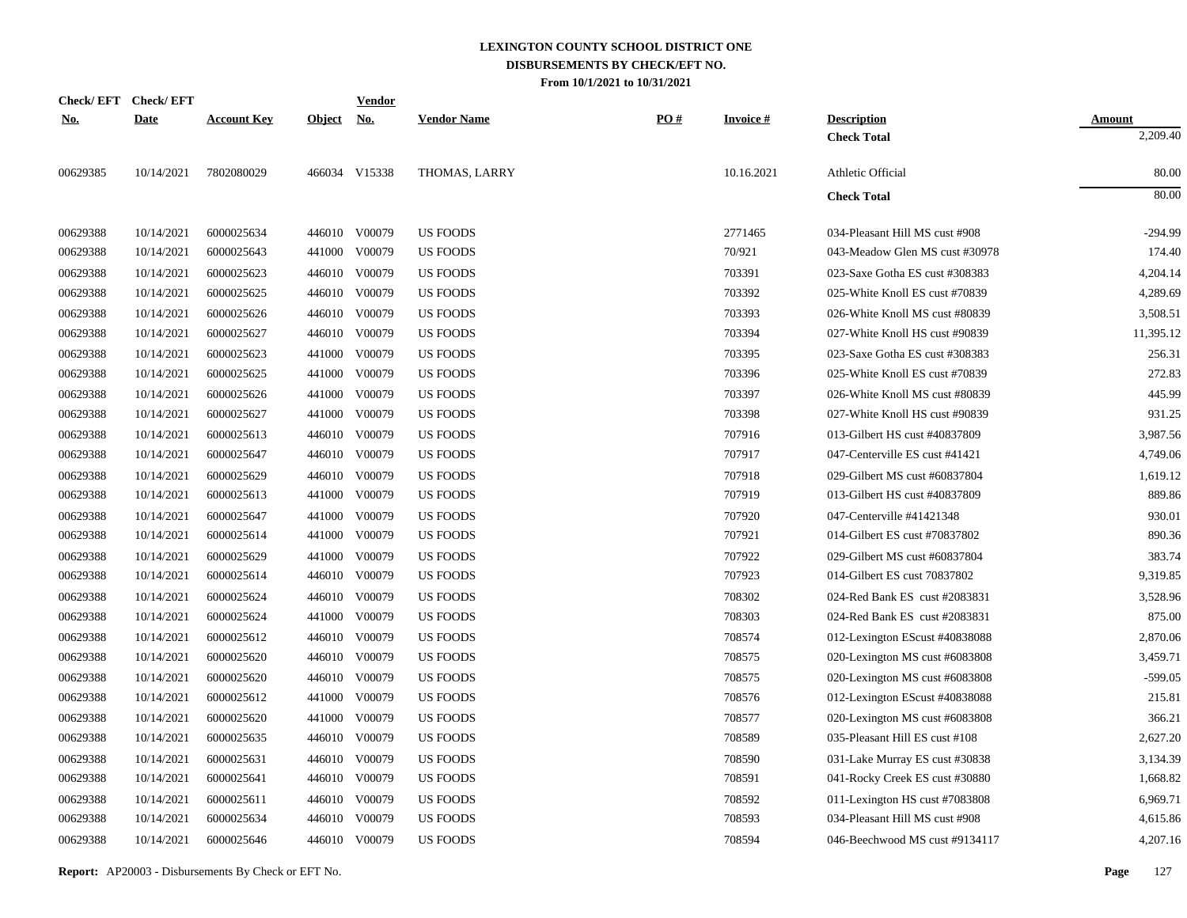| <b>Check/EFT</b> | <b>Check/EFT</b> |                    |               | <b>Vendor</b> |                    |     |                 |                                |               |
|------------------|------------------|--------------------|---------------|---------------|--------------------|-----|-----------------|--------------------------------|---------------|
| <u>No.</u>       | <b>Date</b>      | <b>Account Key</b> | <b>Object</b> | <u>No.</u>    | <b>Vendor Name</b> | PO# | <b>Invoice#</b> | <b>Description</b>             | <b>Amount</b> |
|                  |                  |                    |               |               |                    |     |                 | <b>Check Total</b>             | 2,209.40      |
| 00629385         | 10/14/2021       | 7802080029         |               | 466034 V15338 | THOMAS, LARRY      |     | 10.16.2021      | Athletic Official              | 80.00         |
|                  |                  |                    |               |               |                    |     |                 | <b>Check Total</b>             | 80.00         |
| 00629388         | 10/14/2021       | 6000025634         |               | 446010 V00079 | <b>US FOODS</b>    |     | 2771465         | 034-Pleasant Hill MS cust #908 | $-294.99$     |
| 00629388         | 10/14/2021       | 6000025643         | 441000        | V00079        | <b>US FOODS</b>    |     | 70/921          | 043-Meadow Glen MS cust #30978 | 174.40        |
| 00629388         | 10/14/2021       | 6000025623         |               | 446010 V00079 | <b>US FOODS</b>    |     | 703391          | 023-Saxe Gotha ES cust #308383 | 4,204.14      |
| 00629388         | 10/14/2021       | 6000025625         |               | 446010 V00079 | <b>US FOODS</b>    |     | 703392          | 025-White Knoll ES cust #70839 | 4,289.69      |
| 00629388         | 10/14/2021       | 6000025626         | 446010        | V00079        | <b>US FOODS</b>    |     | 703393          | 026-White Knoll MS cust #80839 | 3,508.51      |
| 00629388         | 10/14/2021       | 6000025627         |               | 446010 V00079 | <b>US FOODS</b>    |     | 703394          | 027-White Knoll HS cust #90839 | 11,395.12     |
| 00629388         | 10/14/2021       | 6000025623         | 441000        | V00079        | <b>US FOODS</b>    |     | 703395          | 023-Saxe Gotha ES cust #308383 | 256.31        |
| 00629388         | 10/14/2021       | 6000025625         | 441000        | V00079        | <b>US FOODS</b>    |     | 703396          | 025-White Knoll ES cust #70839 | 272.83        |
| 00629388         | 10/14/2021       | 6000025626         | 441000        | V00079        | <b>US FOODS</b>    |     | 703397          | 026-White Knoll MS cust #80839 | 445.99        |
| 00629388         | 10/14/2021       | 6000025627         | 441000        | V00079        | <b>US FOODS</b>    |     | 703398          | 027-White Knoll HS cust #90839 | 931.25        |
| 00629388         | 10/14/2021       | 6000025613         | 446010        | V00079        | <b>US FOODS</b>    |     | 707916          | 013-Gilbert HS cust #40837809  | 3,987.56      |
| 00629388         | 10/14/2021       | 6000025647         |               | 446010 V00079 | <b>US FOODS</b>    |     | 707917          | 047-Centerville ES cust #41421 | 4,749.06      |
| 00629388         | 10/14/2021       | 6000025629         | 446010        | V00079        | <b>US FOODS</b>    |     | 707918          | 029-Gilbert MS cust #60837804  | 1,619.12      |
| 00629388         | 10/14/2021       | 6000025613         | 441000        | V00079        | <b>US FOODS</b>    |     | 707919          | 013-Gilbert HS cust #40837809  | 889.86        |
| 00629388         | 10/14/2021       | 6000025647         | 441000        | V00079        | <b>US FOODS</b>    |     | 707920          | 047-Centerville #41421348      | 930.01        |
| 00629388         | 10/14/2021       | 6000025614         | 441000        | V00079        | <b>US FOODS</b>    |     | 707921          | 014-Gilbert ES cust #70837802  | 890.36        |
| 00629388         | 10/14/2021       | 6000025629         | 441000        | V00079        | <b>US FOODS</b>    |     | 707922          | 029-Gilbert MS cust #60837804  | 383.74        |
| 00629388         | 10/14/2021       | 6000025614         |               | 446010 V00079 | <b>US FOODS</b>    |     | 707923          | 014-Gilbert ES cust 70837802   | 9,319.85      |
| 00629388         | 10/14/2021       | 6000025624         |               | 446010 V00079 | US FOODS           |     | 708302          | 024-Red Bank ES cust #2083831  | 3,528.96      |
| 00629388         | 10/14/2021       | 6000025624         |               | 441000 V00079 | <b>US FOODS</b>    |     | 708303          | 024-Red Bank ES cust #2083831  | 875.00        |
| 00629388         | 10/14/2021       | 6000025612         |               | 446010 V00079 | <b>US FOODS</b>    |     | 708574          | 012-Lexington EScust #40838088 | 2,870.06      |
| 00629388         | 10/14/2021       | 6000025620         |               | 446010 V00079 | <b>US FOODS</b>    |     | 708575          | 020-Lexington MS cust #6083808 | 3,459.71      |
| 00629388         | 10/14/2021       | 6000025620         |               | 446010 V00079 | <b>US FOODS</b>    |     | 708575          | 020-Lexington MS cust #6083808 | $-599.05$     |
| 00629388         | 10/14/2021       | 6000025612         |               | 441000 V00079 | US FOODS           |     | 708576          | 012-Lexington EScust #40838088 | 215.81        |
| 00629388         | 10/14/2021       | 6000025620         |               | 441000 V00079 | <b>US FOODS</b>    |     | 708577          | 020-Lexington MS cust #6083808 | 366.21        |
| 00629388         | 10/14/2021       | 6000025635         |               | 446010 V00079 | <b>US FOODS</b>    |     | 708589          | 035-Pleasant Hill ES cust #108 | 2,627.20      |
| 00629388         | 10/14/2021       | 6000025631         |               | 446010 V00079 | <b>US FOODS</b>    |     | 708590          | 031-Lake Murray ES cust #30838 | 3,134.39      |
| 00629388         | 10/14/2021       | 6000025641         |               | 446010 V00079 | <b>US FOODS</b>    |     | 708591          | 041-Rocky Creek ES cust #30880 | 1,668.82      |
| 00629388         | 10/14/2021       | 6000025611         |               | 446010 V00079 | <b>US FOODS</b>    |     | 708592          | 011-Lexington HS cust #7083808 | 6,969.71      |
| 00629388         | 10/14/2021       | 6000025634         |               | 446010 V00079 | <b>US FOODS</b>    |     | 708593          | 034-Pleasant Hill MS cust #908 | 4,615.86      |
| 00629388         | 10/14/2021       | 6000025646         |               | 446010 V00079 | <b>US FOODS</b>    |     | 708594          | 046-Beechwood MS cust #9134117 | 4,207.16      |
|                  |                  |                    |               |               |                    |     |                 |                                |               |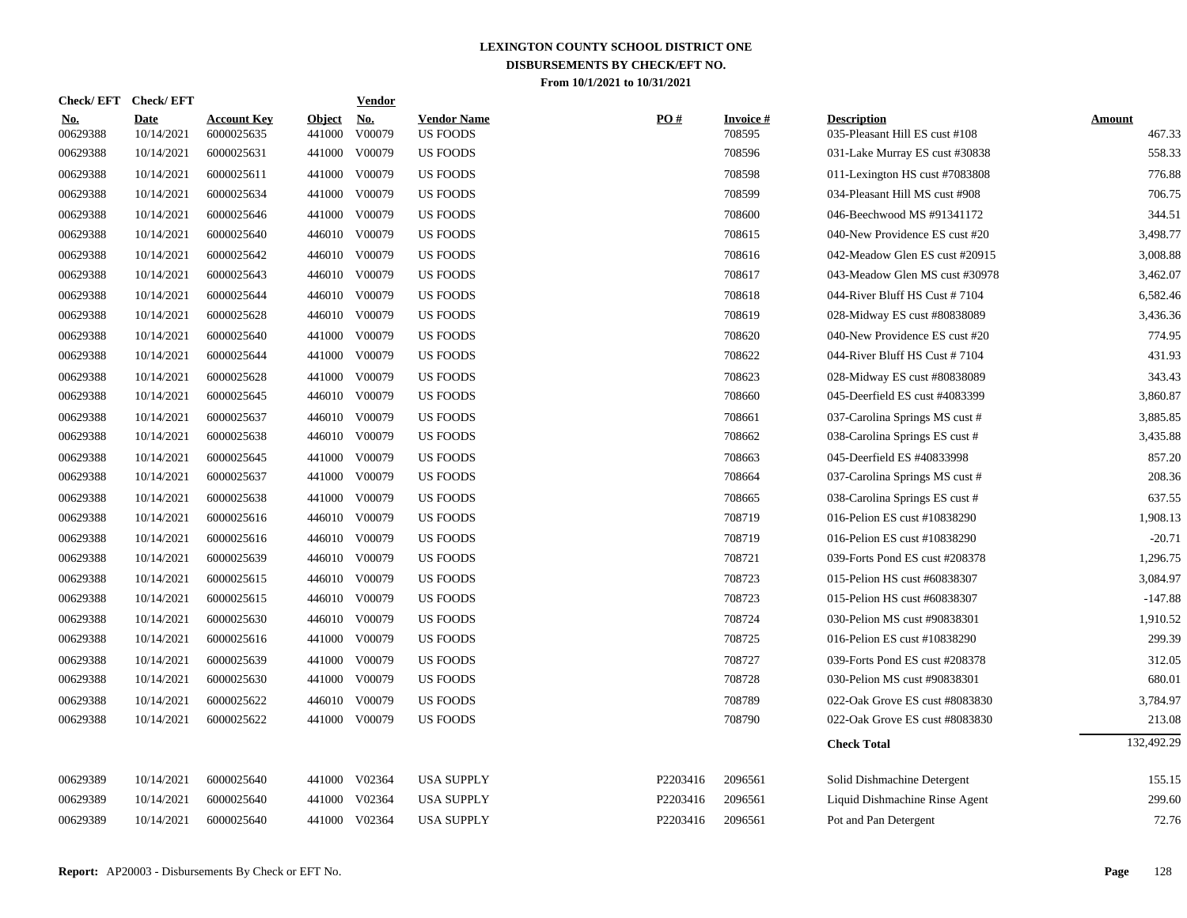| <b>Check/EFT</b>       | <b>Check/EFT</b>          |                                  |                         | <b>Vendor</b>        |                                       |          |                           |                                                      |                         |
|------------------------|---------------------------|----------------------------------|-------------------------|----------------------|---------------------------------------|----------|---------------------------|------------------------------------------------------|-------------------------|
| <u>No.</u><br>00629388 | <b>Date</b><br>10/14/2021 | <b>Account Key</b><br>6000025635 | <b>Object</b><br>441000 | <u>No.</u><br>V00079 | <b>Vendor Name</b><br><b>US FOODS</b> | PO#      | <b>Invoice#</b><br>708595 | <b>Description</b><br>035-Pleasant Hill ES cust #108 | <b>Amount</b><br>467.33 |
| 00629388               | 10/14/2021                | 6000025631                       |                         | 441000 V00079        | US FOODS                              |          | 708596                    | 031-Lake Murray ES cust #30838                       | 558.33                  |
| 00629388               | 10/14/2021                | 6000025611                       | 441000                  | V00079               | <b>US FOODS</b>                       |          | 708598                    | 011-Lexington HS cust #7083808                       | 776.88                  |
| 00629388               | 10/14/2021                | 6000025634                       | 441000                  | V00079               | <b>US FOODS</b>                       |          | 708599                    | 034-Pleasant Hill MS cust #908                       | 706.75                  |
| 00629388               | 10/14/2021                | 6000025646                       | 441000                  | V00079               | <b>US FOODS</b>                       |          | 708600                    | 046-Beechwood MS #91341172                           | 344.51                  |
| 00629388               | 10/14/2021                | 6000025640                       |                         | 446010 V00079        | US FOODS                              |          | 708615                    | 040-New Providence ES cust #20                       | 3,498.77                |
| 00629388               | 10/14/2021                | 6000025642                       |                         | 446010 V00079        | <b>US FOODS</b>                       |          | 708616                    | 042-Meadow Glen ES cust #20915                       | 3,008.88                |
| 00629388               | 10/14/2021                | 6000025643                       |                         | 446010 V00079        | <b>US FOODS</b>                       |          | 708617                    | 043-Meadow Glen MS cust #30978                       | 3,462.07                |
| 00629388               | 10/14/2021                | 6000025644                       |                         | 446010 V00079        | <b>US FOODS</b>                       |          | 708618                    | 044-River Bluff HS Cust #7104                        | 6,582.46                |
| 00629388               | 10/14/2021                | 6000025628                       |                         | 446010 V00079        | <b>US FOODS</b>                       |          | 708619                    | 028-Midway ES cust #80838089                         | 3,436.36                |
| 00629388               | 10/14/2021                | 6000025640                       |                         | 441000 V00079        | US FOODS                              |          | 708620                    | 040-New Providence ES cust #20                       | 774.95                  |
| 00629388               | 10/14/2021                | 6000025644                       |                         | 441000 V00079        | US FOODS                              |          | 708622                    | 044-River Bluff HS Cust #7104                        | 431.93                  |
| 00629388               | 10/14/2021                | 6000025628                       | 441000                  | V00079               | <b>US FOODS</b>                       |          | 708623                    | 028-Midway ES cust #80838089                         | 343.43                  |
| 00629388               | 10/14/2021                | 6000025645                       |                         | 446010 V00079        | <b>US FOODS</b>                       |          | 708660                    | 045-Deerfield ES cust #4083399                       | 3,860.87                |
| 00629388               | 10/14/2021                | 6000025637                       |                         | 446010 V00079        | <b>US FOODS</b>                       |          | 708661                    | 037-Carolina Springs MS cust #                       | 3,885.85                |
| 00629388               | 10/14/2021                | 6000025638                       |                         | 446010 V00079        | <b>US FOODS</b>                       |          | 708662                    | 038-Carolina Springs ES cust #                       | 3,435.88                |
| 00629388               | 10/14/2021                | 6000025645                       | 441000                  | V00079               | <b>US FOODS</b>                       |          | 708663                    | 045-Deerfield ES #40833998                           | 857.20                  |
| 00629388               | 10/14/2021                | 6000025637                       | 441000                  | V00079               | <b>US FOODS</b>                       |          | 708664                    | 037-Carolina Springs MS cust #                       | 208.36                  |
| 00629388               | 10/14/2021                | 6000025638                       | 441000                  | V00079               | <b>US FOODS</b>                       |          | 708665                    | 038-Carolina Springs ES cust #                       | 637.55                  |
| 00629388               | 10/14/2021                | 6000025616                       |                         | 446010 V00079        | <b>US FOODS</b>                       |          | 708719                    | 016-Pelion ES cust #10838290                         | 1,908.13                |
| 00629388               | 10/14/2021                | 6000025616                       |                         | 446010 V00079        | <b>US FOODS</b>                       |          | 708719                    | 016-Pelion ES cust #10838290                         | $-20.71$                |
| 00629388               | 10/14/2021                | 6000025639                       |                         | 446010 V00079        | <b>US FOODS</b>                       |          | 708721                    | 039-Forts Pond ES cust #208378                       | 1,296.75                |
| 00629388               | 10/14/2021                | 6000025615                       |                         | 446010 V00079        | <b>US FOODS</b>                       |          | 708723                    | 015-Pelion HS cust #60838307                         | 3,084.97                |
| 00629388               | 10/14/2021                | 6000025615                       |                         | 446010 V00079        | <b>US FOODS</b>                       |          | 708723                    | 015-Pelion HS cust #60838307                         | $-147.88$               |
| 00629388               | 10/14/2021                | 6000025630                       |                         | 446010 V00079        | <b>US FOODS</b>                       |          | 708724                    | 030-Pelion MS cust #90838301                         | 1,910.52                |
| 00629388               | 10/14/2021                | 6000025616                       |                         | 441000 V00079        | <b>US FOODS</b>                       |          | 708725                    | 016-Pelion ES cust #10838290                         | 299.39                  |
| 00629388               | 10/14/2021                | 6000025639                       | 441000                  | V00079               | <b>US FOODS</b>                       |          | 708727                    | 039-Forts Pond ES cust #208378                       | 312.05                  |
| 00629388               | 10/14/2021                | 6000025630                       |                         | 441000 V00079        | <b>US FOODS</b>                       |          | 708728                    | 030-Pelion MS cust #90838301                         | 680.01                  |
| 00629388               | 10/14/2021                | 6000025622                       |                         | 446010 V00079        | <b>US FOODS</b>                       |          | 708789                    | 022-Oak Grove ES cust #8083830                       | 3,784.97                |
| 00629388               | 10/14/2021                | 6000025622                       |                         | 441000 V00079        | <b>US FOODS</b>                       |          | 708790                    | 022-Oak Grove ES cust #8083830                       | 213.08                  |
|                        |                           |                                  |                         |                      |                                       |          |                           | <b>Check Total</b>                                   | 132,492.29              |
| 00629389               | 10/14/2021                | 6000025640                       |                         | 441000 V02364        | <b>USA SUPPLY</b>                     | P2203416 | 2096561                   | Solid Dishmachine Detergent                          | 155.15                  |
| 00629389               | 10/14/2021                | 6000025640                       |                         | 441000 V02364        | <b>USA SUPPLY</b>                     | P2203416 | 2096561                   | Liquid Dishmachine Rinse Agent                       | 299.60                  |
| 00629389               | 10/14/2021                | 6000025640                       |                         | 441000 V02364        | <b>USA SUPPLY</b>                     | P2203416 | 2096561                   | Pot and Pan Detergent                                | 72.76                   |
|                        |                           |                                  |                         |                      |                                       |          |                           |                                                      |                         |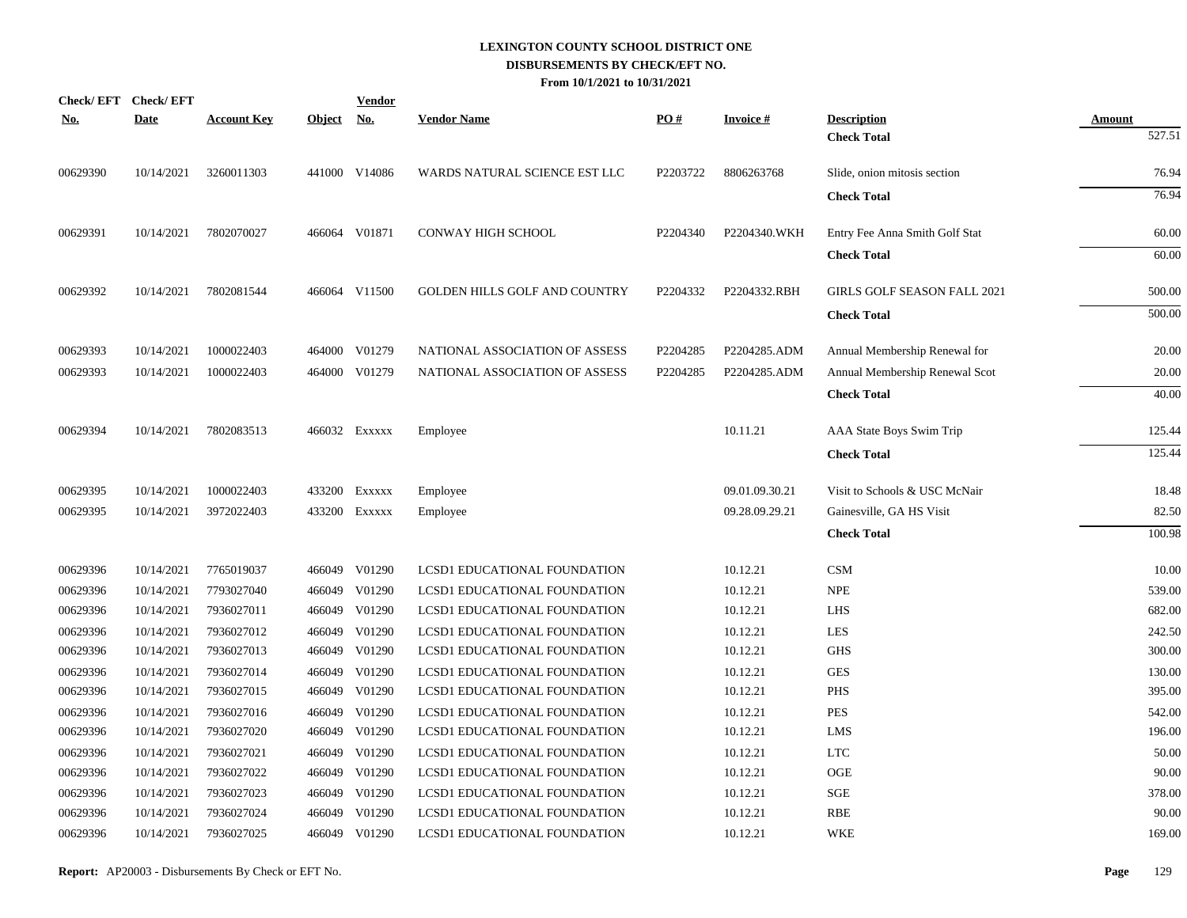| <u>No.</u> | Check/EFT Check/EFT<br><b>Date</b> | <b>Account Key</b> | Object No. | <b>Vendor</b> | <b>Vendor Name</b>                   | PO#      | <b>Invoice#</b> | <b>Description</b>                 | <b>Amount</b> |
|------------|------------------------------------|--------------------|------------|---------------|--------------------------------------|----------|-----------------|------------------------------------|---------------|
|            |                                    |                    |            |               |                                      |          |                 | <b>Check Total</b>                 | 527.51        |
| 00629390   | 10/14/2021                         | 3260011303         |            | 441000 V14086 | WARDS NATURAL SCIENCE EST LLC        | P2203722 | 8806263768      | Slide, onion mitosis section       | 76.94         |
|            |                                    |                    |            |               |                                      |          |                 | <b>Check Total</b>                 | 76.94         |
| 00629391   | 10/14/2021                         | 7802070027         |            | 466064 V01871 | <b>CONWAY HIGH SCHOOL</b>            | P2204340 | P2204340.WKH    | Entry Fee Anna Smith Golf Stat     | 60.00         |
|            |                                    |                    |            |               |                                      |          |                 | <b>Check Total</b>                 | 60.00         |
| 00629392   | 10/14/2021                         | 7802081544         |            | 466064 V11500 | <b>GOLDEN HILLS GOLF AND COUNTRY</b> | P2204332 | P2204332.RBH    | <b>GIRLS GOLF SEASON FALL 2021</b> | 500.00        |
|            |                                    |                    |            |               |                                      |          |                 | <b>Check Total</b>                 | 500.00        |
| 00629393   | 10/14/2021                         | 1000022403         |            | 464000 V01279 | NATIONAL ASSOCIATION OF ASSESS       | P2204285 | P2204285.ADM    | Annual Membership Renewal for      | 20.00         |
| 00629393   | 10/14/2021                         | 1000022403         |            | 464000 V01279 | NATIONAL ASSOCIATION OF ASSESS       | P2204285 | P2204285.ADM    | Annual Membership Renewal Scot     | 20.00         |
|            |                                    |                    |            |               |                                      |          |                 | <b>Check Total</b>                 | 40.00         |
| 00629394   | 10/14/2021                         | 7802083513         |            | 466032 Exxxxx | Employee                             |          | 10.11.21        | AAA State Boys Swim Trip           | 125.44        |
|            |                                    |                    |            |               |                                      |          |                 | <b>Check Total</b>                 | 125.44        |
| 00629395   | 10/14/2021                         | 1000022403         |            | 433200 Exxxxx | Employee                             |          | 09.01.09.30.21  | Visit to Schools & USC McNair      | 18.48         |
| 00629395   | 10/14/2021                         | 3972022403         |            | 433200 Exxxxx | Employee                             |          | 09.28.09.29.21  | Gainesville, GA HS Visit           | 82.50         |
|            |                                    |                    |            |               |                                      |          |                 | <b>Check Total</b>                 | 100.98        |
| 00629396   | 10/14/2021                         | 7765019037         |            | 466049 V01290 | LCSD1 EDUCATIONAL FOUNDATION         |          | 10.12.21        | CSM                                | 10.00         |
| 00629396   | 10/14/2021                         | 7793027040         |            | 466049 V01290 | LCSD1 EDUCATIONAL FOUNDATION         |          | 10.12.21        | <b>NPE</b>                         | 539.00        |
| 00629396   | 10/14/2021                         | 7936027011         |            | 466049 V01290 | LCSD1 EDUCATIONAL FOUNDATION         |          | 10.12.21        | <b>LHS</b>                         | 682.00        |
| 00629396   | 10/14/2021                         | 7936027012         |            | 466049 V01290 | LCSD1 EDUCATIONAL FOUNDATION         |          | 10.12.21        | <b>LES</b>                         | 242.50        |
| 00629396   | 10/14/2021                         | 7936027013         |            | 466049 V01290 | LCSD1 EDUCATIONAL FOUNDATION         |          | 10.12.21        | <b>GHS</b>                         | 300.00        |
| 00629396   | 10/14/2021                         | 7936027014         |            | 466049 V01290 | LCSD1 EDUCATIONAL FOUNDATION         |          | 10.12.21        | <b>GES</b>                         | 130.00        |
| 00629396   | 10/14/2021                         | 7936027015         |            | 466049 V01290 | LCSD1 EDUCATIONAL FOUNDATION         |          | 10.12.21        | <b>PHS</b>                         | 395.00        |
| 00629396   | 10/14/2021                         | 7936027016         |            | 466049 V01290 | LCSD1 EDUCATIONAL FOUNDATION         |          | 10.12.21        | PES                                | 542.00        |
| 00629396   | 10/14/2021                         | 7936027020         |            | 466049 V01290 | LCSD1 EDUCATIONAL FOUNDATION         |          | 10.12.21        | <b>LMS</b>                         | 196.00        |
| 00629396   | 10/14/2021                         | 7936027021         |            | 466049 V01290 | LCSD1 EDUCATIONAL FOUNDATION         |          | 10.12.21        | <b>LTC</b>                         | 50.00         |
| 00629396   | 10/14/2021                         | 7936027022         |            | 466049 V01290 | LCSD1 EDUCATIONAL FOUNDATION         |          | 10.12.21        | OGE                                | 90.00         |
| 00629396   | 10/14/2021                         | 7936027023         |            | 466049 V01290 | LCSD1 EDUCATIONAL FOUNDATION         |          | 10.12.21        | SGE                                | 378.00        |
| 00629396   | 10/14/2021                         | 7936027024         |            | 466049 V01290 | LCSD1 EDUCATIONAL FOUNDATION         |          | 10.12.21        | <b>RBE</b>                         | 90.00         |
| 00629396   | 10/14/2021                         | 7936027025         |            | 466049 V01290 | LCSD1 EDUCATIONAL FOUNDATION         |          | 10.12.21        | <b>WKE</b>                         | 169.00        |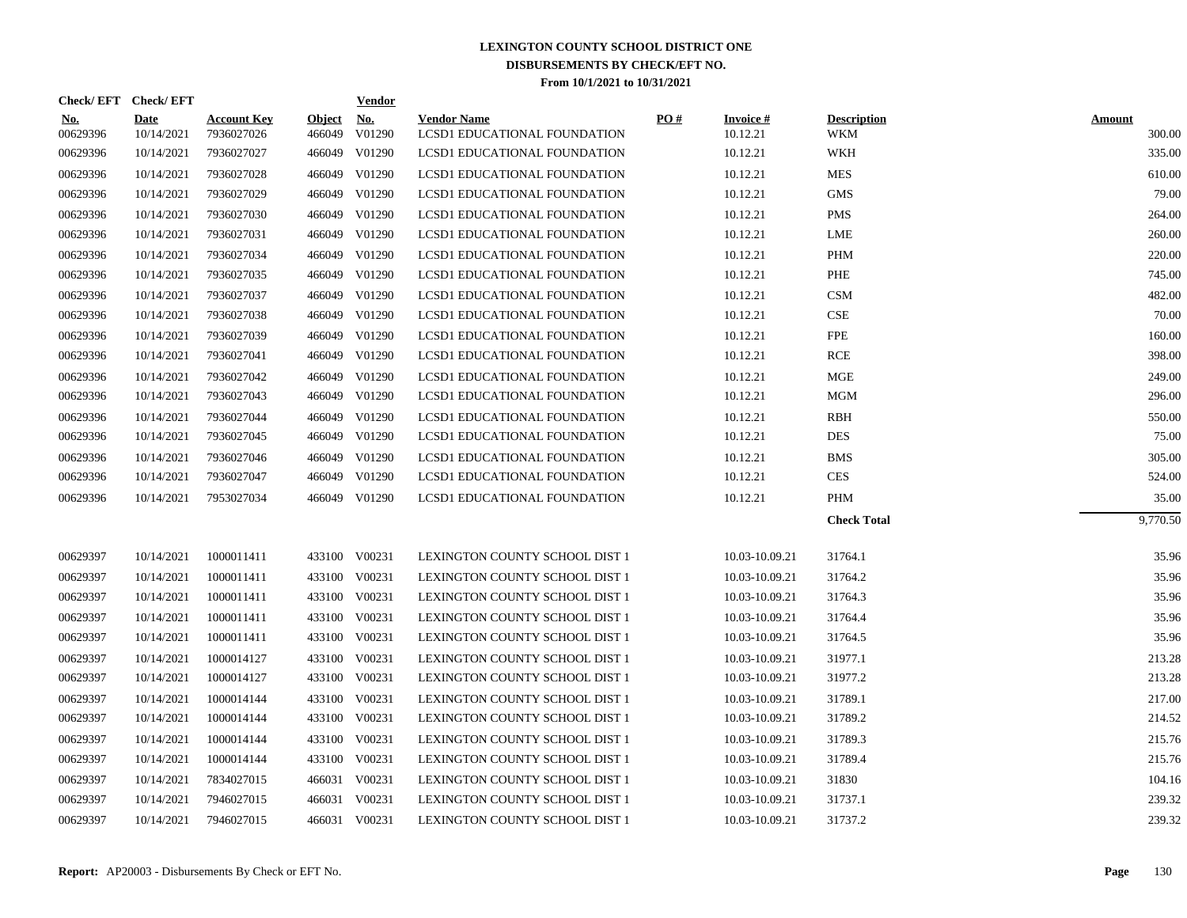| Check/EFT Check/EFT    |                           |                                  |                         | <b>Vendor</b>        |                                                    |     |                             |                                  |                         |
|------------------------|---------------------------|----------------------------------|-------------------------|----------------------|----------------------------------------------------|-----|-----------------------------|----------------------------------|-------------------------|
| <u>No.</u><br>00629396 | <b>Date</b><br>10/14/2021 | <b>Account Key</b><br>7936027026 | <u>Object</u><br>466049 | <u>No.</u><br>V01290 | <b>Vendor Name</b><br>LCSD1 EDUCATIONAL FOUNDATION | PO# | <b>Invoice#</b><br>10.12.21 | <b>Description</b><br><b>WKM</b> | <u>Amount</u><br>300.00 |
| 00629396               | 10/14/2021                | 7936027027                       |                         | 466049 V01290        | LCSD1 EDUCATIONAL FOUNDATION                       |     | 10.12.21                    | <b>WKH</b>                       | 335.00                  |
| 00629396               | 10/14/2021                | 7936027028                       | 466049                  | V01290               | LCSD1 EDUCATIONAL FOUNDATION                       |     | 10.12.21                    | <b>MES</b>                       | 610.00                  |
| 00629396               | 10/14/2021                | 7936027029                       |                         | 466049 V01290        | LCSD1 EDUCATIONAL FOUNDATION                       |     | 10.12.21                    | <b>GMS</b>                       | 79.00                   |
| 00629396               | 10/14/2021                | 7936027030                       |                         | 466049 V01290        | LCSD1 EDUCATIONAL FOUNDATION                       |     | 10.12.21                    | <b>PMS</b>                       | 264.00                  |
| 00629396               | 10/14/2021                | 7936027031                       |                         | 466049 V01290        | LCSD1 EDUCATIONAL FOUNDATION                       |     | 10.12.21                    | LME                              | 260.00                  |
| 00629396               | 10/14/2021                | 7936027034                       |                         | 466049 V01290        | LCSD1 EDUCATIONAL FOUNDATION                       |     | 10.12.21                    | <b>PHM</b>                       | 220.00                  |
| 00629396               | 10/14/2021                | 7936027035                       |                         | 466049 V01290        | LCSD1 EDUCATIONAL FOUNDATION                       |     | 10.12.21                    | PHE                              | 745.00                  |
| 00629396               | 10/14/2021                | 7936027037                       |                         | 466049 V01290        | LCSD1 EDUCATIONAL FOUNDATION                       |     | 10.12.21                    | <b>CSM</b>                       | 482.00                  |
| 00629396               | 10/14/2021                | 7936027038                       |                         | 466049 V01290        | LCSD1 EDUCATIONAL FOUNDATION                       |     | 10.12.21                    | CSE                              | 70.00                   |
| 00629396               | 10/14/2021                | 7936027039                       |                         | 466049 V01290        | LCSD1 EDUCATIONAL FOUNDATION                       |     | 10.12.21                    | FPE                              | 160.00                  |
| 00629396               | 10/14/2021                | 7936027041                       |                         | 466049 V01290        | LCSD1 EDUCATIONAL FOUNDATION                       |     | 10.12.21                    | <b>RCE</b>                       | 398.00                  |
| 00629396               | 10/14/2021                | 7936027042                       | 466049                  | V01290               | LCSD1 EDUCATIONAL FOUNDATION                       |     | 10.12.21                    | <b>MGE</b>                       | 249.00                  |
| 00629396               | 10/14/2021                | 7936027043                       |                         | 466049 V01290        | LCSD1 EDUCATIONAL FOUNDATION                       |     | 10.12.21                    | <b>MGM</b>                       | 296.00                  |
| 00629396               | 10/14/2021                | 7936027044                       |                         | 466049 V01290        | <b>LCSD1 EDUCATIONAL FOUNDATION</b>                |     | 10.12.21                    | RBH                              | 550.00                  |
| 00629396               | 10/14/2021                | 7936027045                       |                         | 466049 V01290        | LCSD1 EDUCATIONAL FOUNDATION                       |     | 10.12.21                    | <b>DES</b>                       | 75.00                   |
| 00629396               | 10/14/2021                | 7936027046                       |                         | 466049 V01290        | LCSD1 EDUCATIONAL FOUNDATION                       |     | 10.12.21                    | <b>BMS</b>                       | 305.00                  |
| 00629396               | 10/14/2021                | 7936027047                       |                         | 466049 V01290        | LCSD1 EDUCATIONAL FOUNDATION                       |     | 10.12.21                    | <b>CES</b>                       | 524.00                  |
| 00629396               | 10/14/2021                | 7953027034                       |                         | 466049 V01290        | LCSD1 EDUCATIONAL FOUNDATION                       |     | 10.12.21                    | PHM                              | 35.00                   |
|                        |                           |                                  |                         |                      |                                                    |     |                             | <b>Check Total</b>               | 9,770.50                |
| 00629397               | 10/14/2021                | 1000011411                       |                         | 433100 V00231        | LEXINGTON COUNTY SCHOOL DIST 1                     |     | 10.03-10.09.21              | 31764.1                          | 35.96                   |
| 00629397               | 10/14/2021                | 1000011411                       |                         | 433100 V00231        | LEXINGTON COUNTY SCHOOL DIST 1                     |     | 10.03-10.09.21              | 31764.2                          | 35.96                   |
| 00629397               | 10/14/2021                | 1000011411                       |                         | 433100 V00231        | LEXINGTON COUNTY SCHOOL DIST 1                     |     | 10.03-10.09.21              | 31764.3                          | 35.96                   |
| 00629397               | 10/14/2021                | 1000011411                       |                         | 433100 V00231        | LEXINGTON COUNTY SCHOOL DIST 1                     |     | 10.03-10.09.21              | 31764.4                          | 35.96                   |
| 00629397               | 10/14/2021                | 1000011411                       |                         | 433100 V00231        | LEXINGTON COUNTY SCHOOL DIST 1                     |     | 10.03-10.09.21              | 31764.5                          | 35.96                   |
| 00629397               | 10/14/2021                | 1000014127                       |                         | 433100 V00231        | LEXINGTON COUNTY SCHOOL DIST 1                     |     | 10.03-10.09.21              | 31977.1                          | 213.28                  |
| 00629397               | 10/14/2021                | 1000014127                       |                         | 433100 V00231        | LEXINGTON COUNTY SCHOOL DIST 1                     |     | 10.03-10.09.21              | 31977.2                          | 213.28                  |
| 00629397               | 10/14/2021                | 1000014144                       |                         | 433100 V00231        | LEXINGTON COUNTY SCHOOL DIST 1                     |     | 10.03-10.09.21              | 31789.1                          | 217.00                  |
| 00629397               | 10/14/2021                | 1000014144                       |                         | 433100 V00231        | LEXINGTON COUNTY SCHOOL DIST 1                     |     | 10.03-10.09.21              | 31789.2                          | 214.52                  |
| 00629397               | 10/14/2021                | 1000014144                       |                         | 433100 V00231        | LEXINGTON COUNTY SCHOOL DIST 1                     |     | 10.03-10.09.21              | 31789.3                          | 215.76                  |
| 00629397               | 10/14/2021                | 1000014144                       |                         | 433100 V00231        | LEXINGTON COUNTY SCHOOL DIST 1                     |     | 10.03-10.09.21              | 31789.4                          | 215.76                  |
| 00629397               | 10/14/2021                | 7834027015                       |                         | 466031 V00231        | LEXINGTON COUNTY SCHOOL DIST 1                     |     | 10.03-10.09.21              | 31830                            | 104.16                  |
| 00629397               | 10/14/2021                | 7946027015                       |                         | 466031 V00231        | LEXINGTON COUNTY SCHOOL DIST 1                     |     | 10.03-10.09.21              | 31737.1                          | 239.32                  |
| 00629397               | 10/14/2021                | 7946027015                       |                         | 466031 V00231        | <b>LEXINGTON COUNTY SCHOOL DIST 1</b>              |     | 10.03-10.09.21              | 31737.2                          | 239.32                  |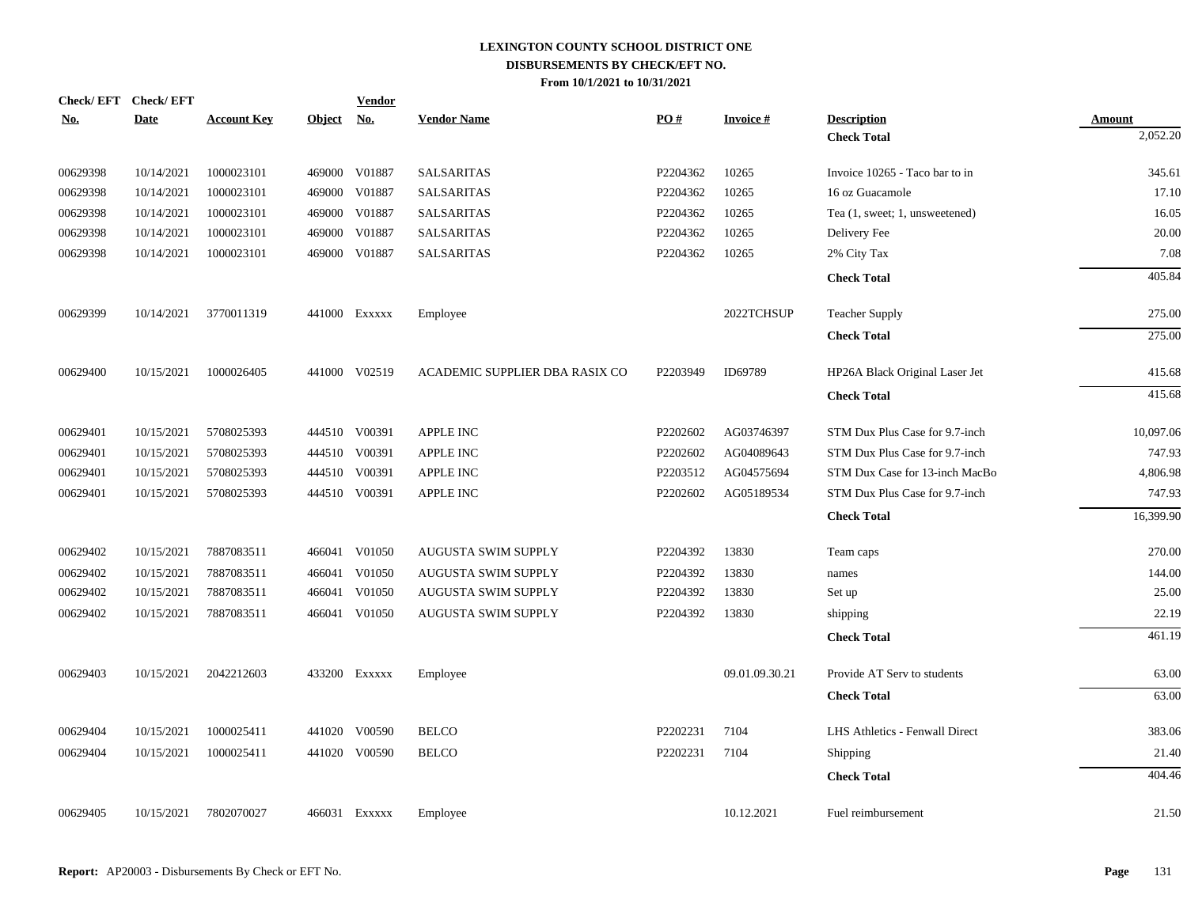| Check/EFT Check/EFT |             |                    |               | <b>Vendor</b> |                                |          |                 |                                |               |
|---------------------|-------------|--------------------|---------------|---------------|--------------------------------|----------|-----------------|--------------------------------|---------------|
| <u>No.</u>          | <b>Date</b> | <b>Account Key</b> | <b>Object</b> | <u>No.</u>    | <b>Vendor Name</b>             | PO#      | <b>Invoice#</b> | <b>Description</b>             | <b>Amount</b> |
|                     |             |                    |               |               |                                |          |                 | <b>Check Total</b>             | 2,052.20      |
| 00629398            | 10/14/2021  | 1000023101         |               | 469000 V01887 | <b>SALSARITAS</b>              | P2204362 | 10265           | Invoice 10265 - Taco bar to in | 345.61        |
| 00629398            | 10/14/2021  | 1000023101         |               | 469000 V01887 | <b>SALSARITAS</b>              | P2204362 | 10265           | 16 oz Guacamole                | 17.10         |
| 00629398            | 10/14/2021  | 1000023101         |               | 469000 V01887 | <b>SALSARITAS</b>              | P2204362 | 10265           | Tea (1, sweet; 1, unsweetened) | 16.05         |
| 00629398            | 10/14/2021  | 1000023101         | 469000        | V01887        | <b>SALSARITAS</b>              | P2204362 | 10265           | Delivery Fee                   | 20.00         |
| 00629398            | 10/14/2021  | 1000023101         |               | 469000 V01887 | <b>SALSARITAS</b>              | P2204362 | 10265           | 2% City Tax                    | 7.08          |
|                     |             |                    |               |               |                                |          |                 | <b>Check Total</b>             | 405.84        |
| 00629399            | 10/14/2021  | 3770011319         |               | 441000 Exxxxx | Employee                       |          | 2022TCHSUP      | <b>Teacher Supply</b>          | 275.00        |
|                     |             |                    |               |               |                                |          |                 | <b>Check Total</b>             | 275.00        |
| 00629400            | 10/15/2021  | 1000026405         |               | 441000 V02519 | ACADEMIC SUPPLIER DBA RASIX CO | P2203949 | ID69789         | HP26A Black Original Laser Jet | 415.68        |
|                     |             |                    |               |               |                                |          |                 | <b>Check Total</b>             | 415.68        |
| 00629401            | 10/15/2021  | 5708025393         |               | 444510 V00391 | APPLE INC                      | P2202602 | AG03746397      | STM Dux Plus Case for 9.7-inch | 10,097.06     |
| 00629401            | 10/15/2021  | 5708025393         |               | 444510 V00391 | <b>APPLE INC</b>               | P2202602 | AG04089643      | STM Dux Plus Case for 9.7-inch | 747.93        |
| 00629401            | 10/15/2021  | 5708025393         |               | 444510 V00391 | <b>APPLE INC</b>               | P2203512 | AG04575694      | STM Dux Case for 13-inch MacBo | 4,806.98      |
| 00629401            | 10/15/2021  | 5708025393         |               | 444510 V00391 | <b>APPLE INC</b>               | P2202602 | AG05189534      | STM Dux Plus Case for 9.7-inch | 747.93        |
|                     |             |                    |               |               |                                |          |                 | <b>Check Total</b>             | 16,399.90     |
| 00629402            | 10/15/2021  | 7887083511         |               | 466041 V01050 | <b>AUGUSTA SWIM SUPPLY</b>     | P2204392 | 13830           | Team caps                      | 270.00        |
| 00629402            | 10/15/2021  | 7887083511         |               | 466041 V01050 | <b>AUGUSTA SWIM SUPPLY</b>     | P2204392 | 13830           | names                          | 144.00        |
| 00629402            | 10/15/2021  | 7887083511         | 466041        | V01050        | <b>AUGUSTA SWIM SUPPLY</b>     | P2204392 | 13830           | Set up                         | 25.00         |
| 00629402            | 10/15/2021  | 7887083511         |               | 466041 V01050 | <b>AUGUSTA SWIM SUPPLY</b>     | P2204392 | 13830           | shipping                       | 22.19         |
|                     |             |                    |               |               |                                |          |                 | <b>Check Total</b>             | 461.19        |
| 00629403            | 10/15/2021  | 2042212603         |               | 433200 EXXXXX | Employee                       |          | 09.01.09.30.21  | Provide AT Serv to students    | 63.00         |
|                     |             |                    |               |               |                                |          |                 | <b>Check Total</b>             | 63.00         |
| 00629404            | 10/15/2021  | 1000025411         |               | 441020 V00590 | <b>BELCO</b>                   | P2202231 | 7104            | LHS Athletics - Fenwall Direct | 383.06        |
| 00629404            | 10/15/2021  | 1000025411         |               | 441020 V00590 | <b>BELCO</b>                   | P2202231 | 7104            | Shipping                       | 21.40         |
|                     |             |                    |               |               |                                |          |                 | <b>Check Total</b>             | 404.46        |
| 00629405            | 10/15/2021  | 7802070027         |               | 466031 Exxxxx | Employee                       |          | 10.12.2021      | Fuel reimbursement             | 21.50         |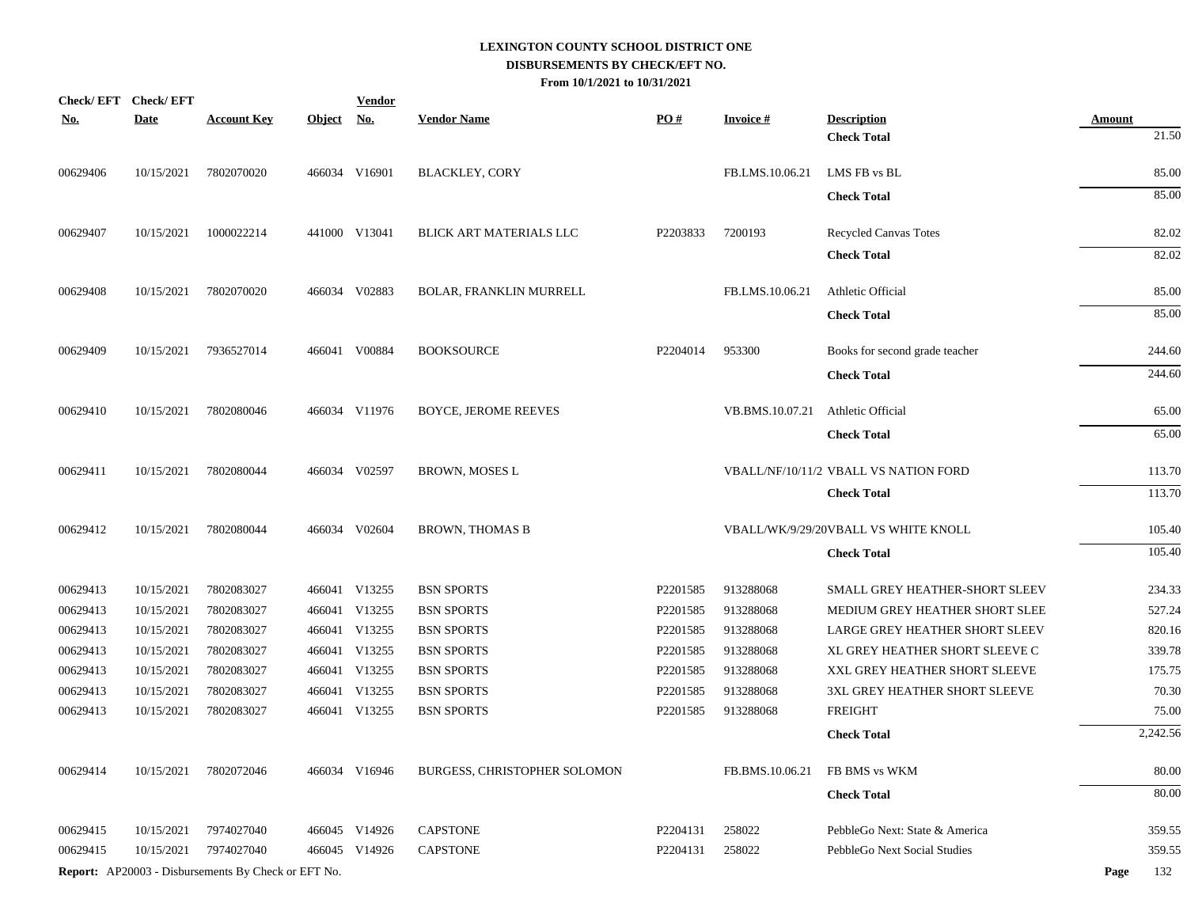| <u>No.</u> | Check/EFT Check/EFT<br><b>Date</b> | <b>Account Key</b>                                         | <b>Object</b> | <b>Vendor</b><br><u>No.</u> | <b>Vendor Name</b>             | PO#      | <b>Invoice#</b> | <b>Description</b>                    | Amount      |
|------------|------------------------------------|------------------------------------------------------------|---------------|-----------------------------|--------------------------------|----------|-----------------|---------------------------------------|-------------|
|            |                                    |                                                            |               |                             |                                |          |                 | <b>Check Total</b>                    | 21.50       |
| 00629406   | 10/15/2021                         | 7802070020                                                 |               | 466034 V16901               | <b>BLACKLEY, CORY</b>          |          | FB.LMS.10.06.21 | LMS FB vs BL                          | 85.00       |
|            |                                    |                                                            |               |                             |                                |          |                 | <b>Check Total</b>                    | 85.00       |
| 00629407   | 10/15/2021                         | 1000022214                                                 |               | 441000 V13041               | BLICK ART MATERIALS LLC        | P2203833 | 7200193         | Recycled Canvas Totes                 | 82.02       |
|            |                                    |                                                            |               |                             |                                |          |                 | <b>Check Total</b>                    | 82.02       |
| 00629408   | 10/15/2021                         | 7802070020                                                 |               | 466034 V02883               | <b>BOLAR, FRANKLIN MURRELL</b> |          | FB.LMS.10.06.21 | Athletic Official                     | 85.00       |
|            |                                    |                                                            |               |                             |                                |          |                 | <b>Check Total</b>                    | 85.00       |
| 00629409   | 10/15/2021                         | 7936527014                                                 |               | 466041 V00884               | <b>BOOKSOURCE</b>              | P2204014 | 953300          | Books for second grade teacher        | 244.60      |
|            |                                    |                                                            |               |                             |                                |          |                 | <b>Check Total</b>                    | 244.60      |
| 00629410   | 10/15/2021                         | 7802080046                                                 |               | 466034 V11976               | <b>BOYCE, JEROME REEVES</b>    |          | VB.BMS.10.07.21 | Athletic Official                     | 65.00       |
|            |                                    |                                                            |               |                             |                                |          |                 | <b>Check Total</b>                    | 65.00       |
| 00629411   | 10/15/2021                         | 7802080044                                                 |               | 466034 V02597               | <b>BROWN, MOSES L</b>          |          |                 | VBALL/NF/10/11/2 VBALL VS NATION FORD | 113.70      |
|            |                                    |                                                            |               |                             |                                |          |                 | <b>Check Total</b>                    | 113.70      |
| 00629412   | 10/15/2021                         | 7802080044                                                 |               | 466034 V02604               | <b>BROWN, THOMAS B</b>         |          |                 | VBALL/WK/9/29/20VBALL VS WHITE KNOLL  | 105.40      |
|            |                                    |                                                            |               |                             |                                |          |                 | <b>Check Total</b>                    | 105.40      |
| 00629413   | 10/15/2021                         | 7802083027                                                 |               | 466041 V13255               | <b>BSN SPORTS</b>              | P2201585 | 913288068       | SMALL GREY HEATHER-SHORT SLEEV        | 234.33      |
| 00629413   | 10/15/2021                         | 7802083027                                                 |               | 466041 V13255               | <b>BSN SPORTS</b>              | P2201585 | 913288068       | MEDIUM GREY HEATHER SHORT SLEE        | 527.24      |
| 00629413   | 10/15/2021                         | 7802083027                                                 |               | 466041 V13255               | <b>BSN SPORTS</b>              | P2201585 | 913288068       | LARGE GREY HEATHER SHORT SLEEV        | 820.16      |
| 00629413   | 10/15/2021                         | 7802083027                                                 |               | 466041 V13255               | <b>BSN SPORTS</b>              | P2201585 | 913288068       | XL GREY HEATHER SHORT SLEEVE C        | 339.78      |
| 00629413   | 10/15/2021                         | 7802083027                                                 |               | 466041 V13255               | <b>BSN SPORTS</b>              | P2201585 | 913288068       | XXL GREY HEATHER SHORT SLEEVE         | 175.75      |
| 00629413   | 10/15/2021                         | 7802083027                                                 |               | 466041 V13255               | <b>BSN SPORTS</b>              | P2201585 | 913288068       | 3XL GREY HEATHER SHORT SLEEVE         | 70.30       |
| 00629413   | 10/15/2021                         | 7802083027                                                 |               | 466041 V13255               | <b>BSN SPORTS</b>              | P2201585 | 913288068       | <b>FREIGHT</b>                        | 75.00       |
|            |                                    |                                                            |               |                             |                                |          |                 | <b>Check Total</b>                    | 2,242.56    |
| 00629414   | 10/15/2021                         | 7802072046                                                 |               | 466034 V16946               | BURGESS, CHRISTOPHER SOLOMON   |          | FB.BMS.10.06.21 | FB BMS vs WKM                         | 80.00       |
|            |                                    |                                                            |               |                             |                                |          |                 | <b>Check Total</b>                    | 80.00       |
| 00629415   | 10/15/2021                         | 7974027040                                                 |               | 466045 V14926               | <b>CAPSTONE</b>                | P2204131 | 258022          | PebbleGo Next: State & America        | 359.55      |
| 00629415   | 10/15/2021                         | 7974027040                                                 |               | 466045 V14926               | <b>CAPSTONE</b>                | P2204131 | 258022          | PebbleGo Next Social Studies          | 359.55      |
|            |                                    | <b>Report:</b> AP20003 - Disbursements By Check or EFT No. |               |                             |                                |          |                 |                                       | 132<br>Page |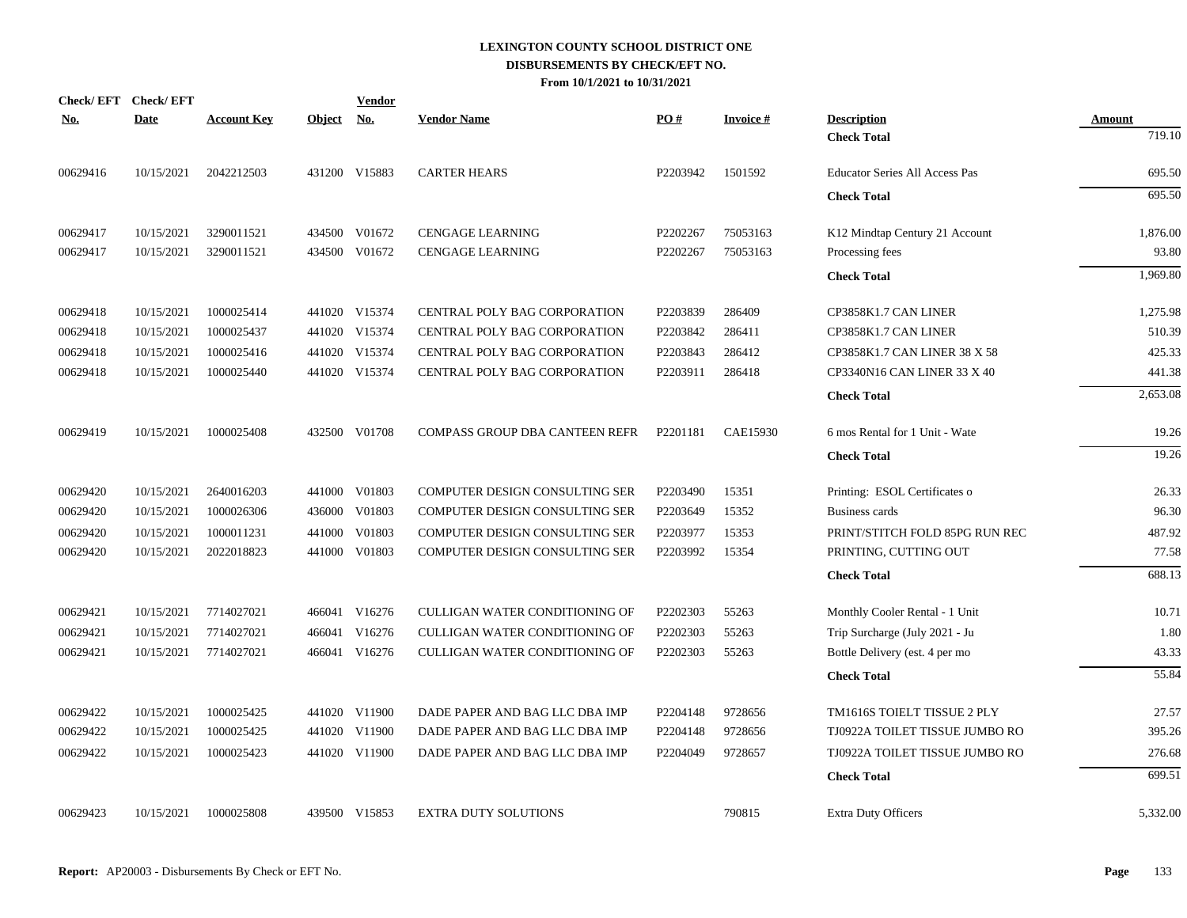|          | Check/EFT Check/EFT |                    |               | <b>Vendor</b>             |                                |          |                 |                                       |               |
|----------|---------------------|--------------------|---------------|---------------------------|--------------------------------|----------|-----------------|---------------------------------------|---------------|
| No.      | <b>Date</b>         | <b>Account Key</b> | <b>Object</b> | $\underline{\mathrm{No}}$ | <b>Vendor Name</b>             | PO#      | <b>Invoice#</b> | <b>Description</b>                    | <b>Amount</b> |
|          |                     |                    |               |                           |                                |          |                 | <b>Check Total</b>                    | 719.10        |
| 00629416 | 10/15/2021          | 2042212503         |               | 431200 V15883             | <b>CARTER HEARS</b>            | P2203942 | 1501592         | <b>Educator Series All Access Pas</b> | 695.50        |
|          |                     |                    |               |                           |                                |          |                 | <b>Check Total</b>                    | 695.50        |
| 00629417 | 10/15/2021          | 3290011521         |               | 434500 V01672             | <b>CENGAGE LEARNING</b>        | P2202267 | 75053163        | K12 Mindtap Century 21 Account        | 1,876.00      |
| 00629417 | 10/15/2021          | 3290011521         |               | 434500 V01672             | <b>CENGAGE LEARNING</b>        | P2202267 | 75053163        | Processing fees                       | 93.80         |
|          |                     |                    |               |                           |                                |          |                 | <b>Check Total</b>                    | 1.969.80      |
| 00629418 | 10/15/2021          | 1000025414         |               | 441020 V15374             | CENTRAL POLY BAG CORPORATION   | P2203839 | 286409          | CP3858K1.7 CAN LINER                  | 1,275.98      |
| 00629418 | 10/15/2021          | 1000025437         |               | 441020 V15374             | CENTRAL POLY BAG CORPORATION   | P2203842 | 286411          | CP3858K1.7 CAN LINER                  | 510.39        |
| 00629418 | 10/15/2021          | 1000025416         |               | 441020 V15374             | CENTRAL POLY BAG CORPORATION   | P2203843 | 286412          | CP3858K1.7 CAN LINER 38 X 58          | 425.33        |
| 00629418 | 10/15/2021          | 1000025440         |               | 441020 V15374             | CENTRAL POLY BAG CORPORATION   | P2203911 | 286418          | CP3340N16 CAN LINER 33 X 40           | 441.38        |
|          |                     |                    |               |                           |                                |          |                 | <b>Check Total</b>                    | 2,653.08      |
| 00629419 | 10/15/2021          | 1000025408         |               | 432500 V01708             | COMPASS GROUP DBA CANTEEN REFR | P2201181 | <b>CAE15930</b> | 6 mos Rental for 1 Unit - Wate        | 19.26         |
|          |                     |                    |               |                           |                                |          |                 | <b>Check Total</b>                    | 19.26         |
| 00629420 | 10/15/2021          | 2640016203         |               | 441000 V01803             | COMPUTER DESIGN CONSULTING SER | P2203490 | 15351           | Printing: ESOL Certificates o         | 26.33         |
| 00629420 | 10/15/2021          | 1000026306         |               | 436000 V01803             | COMPUTER DESIGN CONSULTING SER | P2203649 | 15352           | Business cards                        | 96.30         |
| 00629420 | 10/15/2021          | 1000011231         | 441000        | V01803                    | COMPUTER DESIGN CONSULTING SER | P2203977 | 15353           | PRINT/STITCH FOLD 85PG RUN REC        | 487.92        |
| 00629420 | 10/15/2021          | 2022018823         |               | 441000 V01803             | COMPUTER DESIGN CONSULTING SER | P2203992 | 15354           | PRINTING, CUTTING OUT                 | 77.58         |
|          |                     |                    |               |                           |                                |          |                 | <b>Check Total</b>                    | 688.13        |
| 00629421 | 10/15/2021          | 7714027021         |               | 466041 V16276             | CULLIGAN WATER CONDITIONING OF | P2202303 | 55263           | Monthly Cooler Rental - 1 Unit        | 10.71         |
| 00629421 | 10/15/2021          | 7714027021         |               | 466041 V16276             | CULLIGAN WATER CONDITIONING OF | P2202303 | 55263           | Trip Surcharge (July 2021 - Ju        | 1.80          |
| 00629421 | 10/15/2021          | 7714027021         |               | 466041 V16276             | CULLIGAN WATER CONDITIONING OF | P2202303 | 55263           | Bottle Delivery (est. 4 per mo        | 43.33         |
|          |                     |                    |               |                           |                                |          |                 | <b>Check Total</b>                    | 55.84         |
| 00629422 | 10/15/2021          | 1000025425         |               | 441020 V11900             | DADE PAPER AND BAG LLC DBA IMP | P2204148 | 9728656         | TM1616S TOIELT TISSUE 2 PLY           | 27.57         |
| 00629422 | 10/15/2021          | 1000025425         |               | 441020 V11900             | DADE PAPER AND BAG LLC DBA IMP | P2204148 | 9728656         | TJ0922A TOILET TISSUE JUMBO RO        | 395.26        |
| 00629422 | 10/15/2021          | 1000025423         |               | 441020 V11900             | DADE PAPER AND BAG LLC DBA IMP | P2204049 | 9728657         | TJ0922A TOILET TISSUE JUMBO RO        | 276.68        |
|          |                     |                    |               |                           |                                |          |                 | <b>Check Total</b>                    | 699.51        |
| 00629423 | 10/15/2021          | 1000025808         |               | 439500 V15853             | <b>EXTRA DUTY SOLUTIONS</b>    |          | 790815          | <b>Extra Duty Officers</b>            | 5,332.00      |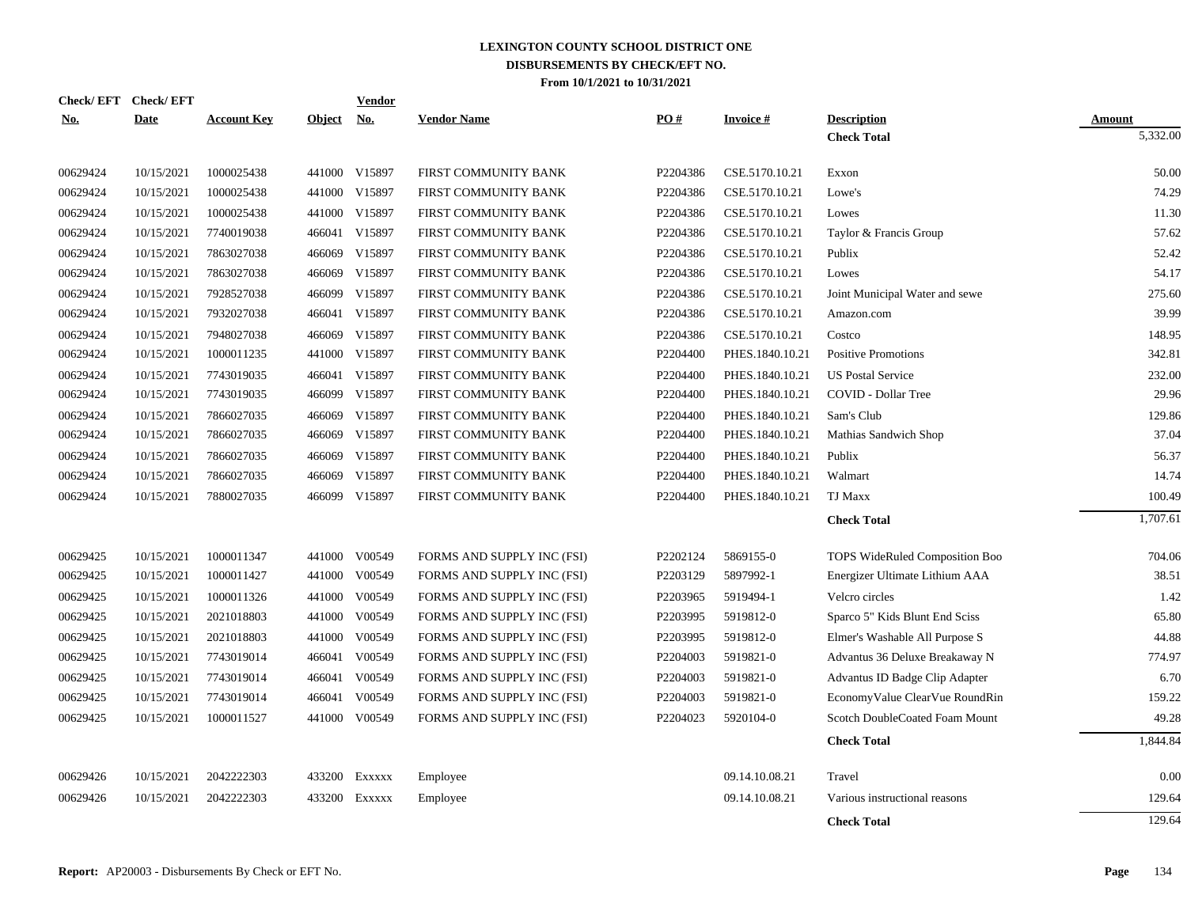|            | Check/EFT Check/EFT |                    |               | Vendor        |                            |          |                 |                                       |                    |
|------------|---------------------|--------------------|---------------|---------------|----------------------------|----------|-----------------|---------------------------------------|--------------------|
| <b>No.</b> | <b>Date</b>         | <b>Account Key</b> | <b>Object</b> | <b>No.</b>    | <b>Vendor Name</b>         | PO#      | <b>Invoice#</b> | <b>Description</b>                    | Amount<br>5,332.00 |
|            |                     |                    |               |               |                            |          |                 | <b>Check Total</b>                    |                    |
| 00629424   | 10/15/2021          | 1000025438         |               | 441000 V15897 | FIRST COMMUNITY BANK       | P2204386 | CSE.5170.10.21  | Exxon                                 | 50.00              |
| 00629424   | 10/15/2021          | 1000025438         |               | 441000 V15897 | FIRST COMMUNITY BANK       | P2204386 | CSE.5170.10.21  | Lowe's                                | 74.29              |
| 00629424   | 10/15/2021          | 1000025438         |               | 441000 V15897 | FIRST COMMUNITY BANK       | P2204386 | CSE.5170.10.21  | Lowes                                 | 11.30              |
| 00629424   | 10/15/2021          | 7740019038         |               | 466041 V15897 | FIRST COMMUNITY BANK       | P2204386 | CSE.5170.10.21  | Taylor & Francis Group                | 57.62              |
| 00629424   | 10/15/2021          | 7863027038         | 466069        | V15897        | FIRST COMMUNITY BANK       | P2204386 | CSE.5170.10.21  | Publix                                | 52.42              |
| 00629424   | 10/15/2021          | 7863027038         | 466069        | V15897        | FIRST COMMUNITY BANK       | P2204386 | CSE.5170.10.21  | Lowes                                 | 54.17              |
| 00629424   | 10/15/2021          | 7928527038         | 466099        | V15897        | FIRST COMMUNITY BANK       | P2204386 | CSE.5170.10.21  | Joint Municipal Water and sewe        | 275.60             |
| 00629424   | 10/15/2021          | 7932027038         | 466041        | V15897        | FIRST COMMUNITY BANK       | P2204386 | CSE.5170.10.21  | Amazon.com                            | 39.99              |
| 00629424   | 10/15/2021          | 7948027038         | 466069        | V15897        | FIRST COMMUNITY BANK       | P2204386 | CSE.5170.10.21  | Costco                                | 148.95             |
| 00629424   | 10/15/2021          | 1000011235         | 441000        | V15897        | FIRST COMMUNITY BANK       | P2204400 | PHES.1840.10.21 | <b>Positive Promotions</b>            | 342.81             |
| 00629424   | 10/15/2021          | 7743019035         |               | 466041 V15897 | FIRST COMMUNITY BANK       | P2204400 | PHES.1840.10.21 | <b>US Postal Service</b>              | 232.00             |
| 00629424   | 10/15/2021          | 7743019035         | 466099        | V15897        | FIRST COMMUNITY BANK       | P2204400 | PHES.1840.10.21 | COVID - Dollar Tree                   | 29.96              |
| 00629424   | 10/15/2021          | 7866027035         |               | 466069 V15897 | FIRST COMMUNITY BANK       | P2204400 | PHES.1840.10.21 | Sam's Club                            | 129.86             |
| 00629424   | 10/15/2021          | 7866027035         | 466069        | V15897        | FIRST COMMUNITY BANK       | P2204400 | PHES.1840.10.21 | Mathias Sandwich Shop                 | 37.04              |
| 00629424   | 10/15/2021          | 7866027035         | 466069        | V15897        | FIRST COMMUNITY BANK       | P2204400 | PHES.1840.10.21 | Publix                                | 56.37              |
| 00629424   | 10/15/2021          | 7866027035         | 466069        | V15897        | FIRST COMMUNITY BANK       | P2204400 | PHES.1840.10.21 | Walmart                               | 14.74              |
| 00629424   | 10/15/2021          | 7880027035         |               | 466099 V15897 | FIRST COMMUNITY BANK       | P2204400 | PHES.1840.10.21 | TJ Maxx                               | 100.49             |
|            |                     |                    |               |               |                            |          |                 | <b>Check Total</b>                    | 1,707.61           |
|            |                     |                    |               |               |                            |          |                 |                                       |                    |
| 00629425   | 10/15/2021          | 1000011347         |               | 441000 V00549 | FORMS AND SUPPLY INC (FSI) | P2202124 | 5869155-0       | <b>TOPS WideRuled Composition Boo</b> | 704.06             |
| 00629425   | 10/15/2021          | 1000011427         |               | 441000 V00549 | FORMS AND SUPPLY INC (FSI) | P2203129 | 5897992-1       | Energizer Ultimate Lithium AAA        | 38.51              |
| 00629425   | 10/15/2021          | 1000011326         |               | 441000 V00549 | FORMS AND SUPPLY INC (FSI) | P2203965 | 5919494-1       | Velcro circles                        | 1.42               |
| 00629425   | 10/15/2021          | 2021018803         |               | 441000 V00549 | FORMS AND SUPPLY INC (FSI) | P2203995 | 5919812-0       | Sparco 5" Kids Blunt End Sciss        | 65.80              |
| 00629425   | 10/15/2021          | 2021018803         |               | 441000 V00549 | FORMS AND SUPPLY INC (FSI) | P2203995 | 5919812-0       | Elmer's Washable All Purpose S        | 44.88              |
| 00629425   | 10/15/2021          | 7743019014         |               | 466041 V00549 | FORMS AND SUPPLY INC (FSI) | P2204003 | 5919821-0       | Advantus 36 Deluxe Breakaway N        | 774.97             |
| 00629425   | 10/15/2021          | 7743019014         | 466041        | V00549        | FORMS AND SUPPLY INC (FSI) | P2204003 | 5919821-0       | Advantus ID Badge Clip Adapter        | 6.70               |
| 00629425   | 10/15/2021          | 7743019014         | 466041        | V00549        | FORMS AND SUPPLY INC (FSI) | P2204003 | 5919821-0       | EconomyValue ClearVue RoundRin        | 159.22             |
| 00629425   | 10/15/2021          | 1000011527         | 441000        | V00549        | FORMS AND SUPPLY INC (FSI) | P2204023 | 5920104-0       | Scotch DoubleCoated Foam Mount        | 49.28              |
|            |                     |                    |               |               |                            |          |                 | <b>Check Total</b>                    | 1,844.84           |
| 00629426   | 10/15/2021          | 2042222303         |               | 433200 Exxxxx | Employee                   |          | 09.14.10.08.21  | Travel                                | 0.00               |
| 00629426   | 10/15/2021          | 2042222303         | 433200        | Exxxxx        | Employee                   |          | 09.14.10.08.21  | Various instructional reasons         | 129.64             |
|            |                     |                    |               |               |                            |          |                 |                                       |                    |
|            |                     |                    |               |               |                            |          |                 | <b>Check Total</b>                    | 129.64             |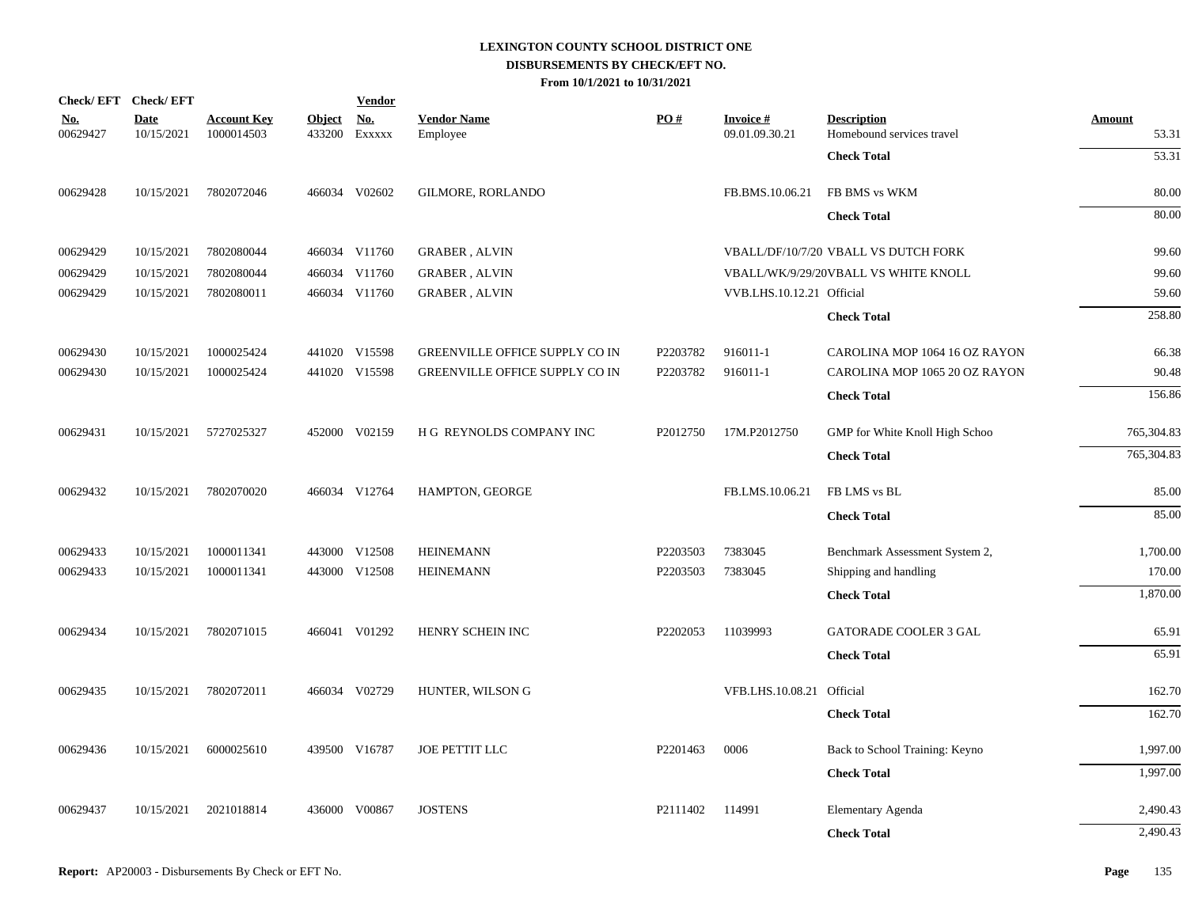| Check/EFT Check/EFT    |                           |                                  |                         | <b>Vendor</b>        |                                |          |                                    |                                                 |                        |
|------------------------|---------------------------|----------------------------------|-------------------------|----------------------|--------------------------------|----------|------------------------------------|-------------------------------------------------|------------------------|
| <u>No.</u><br>00629427 | <b>Date</b><br>10/15/2021 | <b>Account Key</b><br>1000014503 | <b>Object</b><br>433200 | <u>No.</u><br>EXXXXX | <b>Vendor Name</b><br>Employee | PO#      | <b>Invoice #</b><br>09.01.09.30.21 | <b>Description</b><br>Homebound services travel | <b>Amount</b><br>53.31 |
|                        |                           |                                  |                         |                      |                                |          |                                    | <b>Check Total</b>                              | $\overline{53.31}$     |
| 00629428               | 10/15/2021                | 7802072046                       |                         | 466034 V02602        | GILMORE, RORLANDO              |          | FB.BMS.10.06.21                    | FB BMS vs WKM                                   | 80.00                  |
|                        |                           |                                  |                         |                      |                                |          |                                    | <b>Check Total</b>                              | 80.00                  |
| 00629429               | 10/15/2021                | 7802080044                       |                         | 466034 V11760        | <b>GRABER, ALVIN</b>           |          |                                    | VBALL/DF/10/7/20 VBALL VS DUTCH FORK            | 99.60                  |
| 00629429               | 10/15/2021                | 7802080044                       |                         | 466034 V11760        | <b>GRABER, ALVIN</b>           |          |                                    | VBALL/WK/9/29/20VBALL VS WHITE KNOLL            | 99.60                  |
| 00629429               | 10/15/2021                | 7802080011                       |                         | 466034 V11760        | <b>GRABER, ALVIN</b>           |          | VVB.LHS.10.12.21 Official          |                                                 | 59.60                  |
|                        |                           |                                  |                         |                      |                                |          |                                    | <b>Check Total</b>                              | 258.80                 |
| 00629430               | 10/15/2021                | 1000025424                       |                         | 441020 V15598        | GREENVILLE OFFICE SUPPLY CO IN | P2203782 | 916011-1                           | CAROLINA MOP 1064 16 OZ RAYON                   | 66.38                  |
| 00629430               | 10/15/2021                | 1000025424                       |                         | 441020 V15598        | GREENVILLE OFFICE SUPPLY CO IN | P2203782 | 916011-1                           | CAROLINA MOP 1065 20 OZ RAYON                   | 90.48                  |
|                        |                           |                                  |                         |                      |                                |          |                                    | <b>Check Total</b>                              | 156.86                 |
| 00629431               |                           | 10/15/2021 5727025327            |                         | 452000 V02159        | H G REYNOLDS COMPANY INC       | P2012750 | 17M.P2012750                       | GMP for White Knoll High Schoo                  | 765,304.83             |
|                        |                           |                                  |                         |                      |                                |          |                                    | <b>Check Total</b>                              | 765,304.83             |
| 00629432               | 10/15/2021                | 7802070020                       |                         | 466034 V12764        | HAMPTON, GEORGE                |          | FB.LMS.10.06.21                    | FB LMS vs BL                                    | 85.00                  |
|                        |                           |                                  |                         |                      |                                |          |                                    | <b>Check Total</b>                              | 85.00                  |
| 00629433               | 10/15/2021                | 1000011341                       |                         | 443000 V12508        | <b>HEINEMANN</b>               | P2203503 | 7383045                            | Benchmark Assessment System 2,                  | 1,700.00               |
| 00629433               | 10/15/2021                | 1000011341                       |                         | 443000 V12508        | <b>HEINEMANN</b>               | P2203503 | 7383045                            | Shipping and handling                           | 170.00                 |
|                        |                           |                                  |                         |                      |                                |          |                                    | <b>Check Total</b>                              | 1,870.00               |
| 00629434               | 10/15/2021                | 7802071015                       |                         | 466041 V01292        | HENRY SCHEIN INC               | P2202053 | 11039993                           | <b>GATORADE COOLER 3 GAL</b>                    | 65.91                  |
|                        |                           |                                  |                         |                      |                                |          |                                    | <b>Check Total</b>                              | 65.91                  |
| 00629435               | 10/15/2021                | 7802072011                       |                         | 466034 V02729        | HUNTER, WILSON G               |          | VFB.LHS.10.08.21 Official          |                                                 | 162.70                 |
|                        |                           |                                  |                         |                      |                                |          |                                    | <b>Check Total</b>                              | 162.70                 |
| 00629436               | 10/15/2021                | 6000025610                       |                         | 439500 V16787        | JOE PETTIT LLC                 | P2201463 | 0006                               | Back to School Training: Keyno                  | 1,997.00               |
|                        |                           |                                  |                         |                      |                                |          |                                    | <b>Check Total</b>                              | 1,997.00               |
| 00629437               | 10/15/2021                | 2021018814                       |                         | 436000 V00867        | <b>JOSTENS</b>                 | P2111402 | 114991                             | Elementary Agenda                               | 2,490.43               |
|                        |                           |                                  |                         |                      |                                |          |                                    | <b>Check Total</b>                              | 2,490.43               |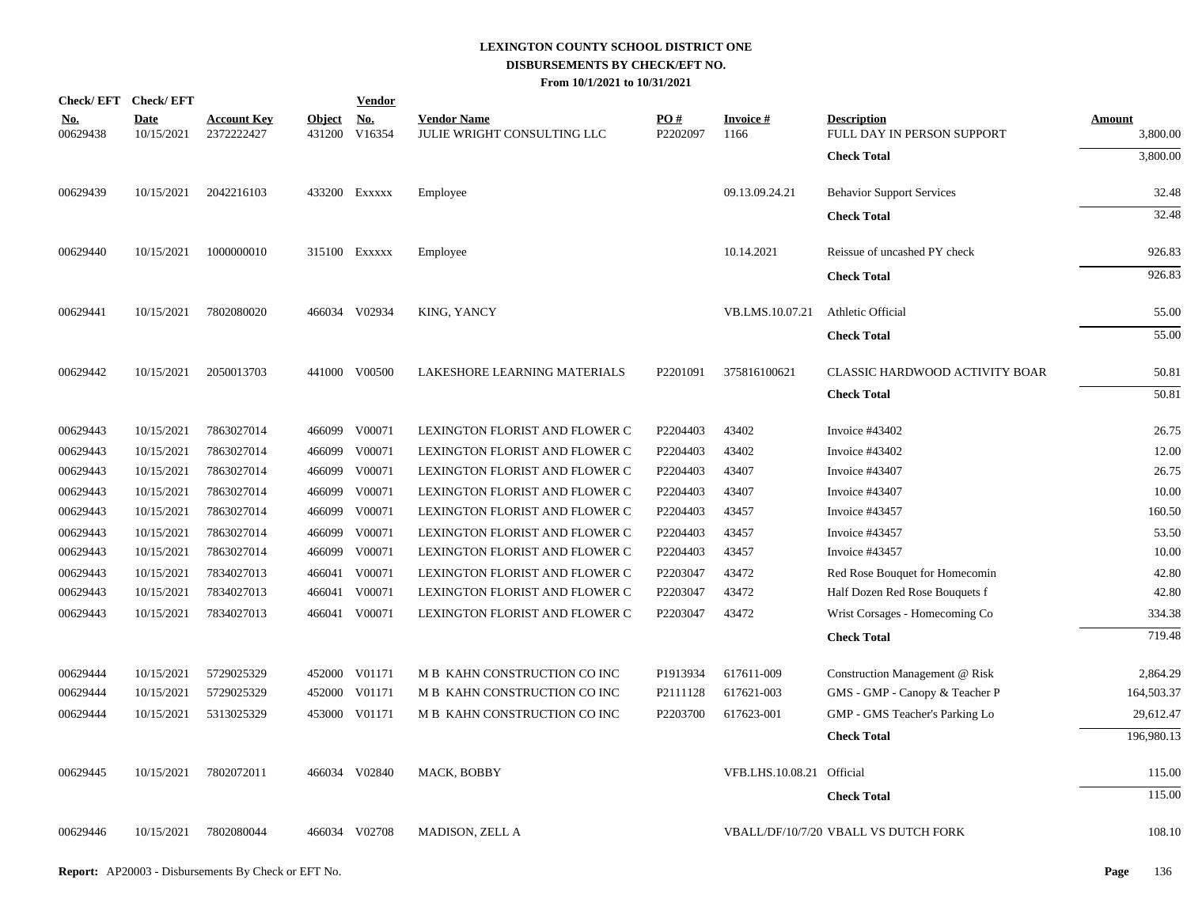| Check/EFT Check/EFT    |                           |                                  |               | <b>Vendor</b>               |                                                   |                      |                           |                                                  |                           |
|------------------------|---------------------------|----------------------------------|---------------|-----------------------------|---------------------------------------------------|----------------------|---------------------------|--------------------------------------------------|---------------------------|
| <u>No.</u><br>00629438 | <u>Date</u><br>10/15/2021 | <b>Account Key</b><br>2372222427 | <b>Object</b> | <u>No.</u><br>431200 V16354 | <b>Vendor Name</b><br>JULIE WRIGHT CONSULTING LLC | PO#<br>P2202097      | <u>Invoice #</u><br>1166  | <b>Description</b><br>FULL DAY IN PERSON SUPPORT | <b>Amount</b><br>3,800.00 |
|                        |                           |                                  |               |                             |                                                   |                      |                           | <b>Check Total</b>                               | 3,800.00                  |
| 00629439               | 10/15/2021                | 2042216103                       |               | 433200 EXXXXX               | Employee                                          |                      | 09.13.09.24.21            | <b>Behavior Support Services</b>                 | 32.48                     |
|                        |                           |                                  |               |                             |                                                   |                      |                           | <b>Check Total</b>                               | 32.48                     |
| 00629440               | 10/15/2021                | 1000000010                       |               | 315100 EXXXXX               | Employee                                          |                      | 10.14.2021                | Reissue of uncashed PY check                     | 926.83                    |
|                        |                           |                                  |               |                             |                                                   |                      |                           | <b>Check Total</b>                               | 926.83                    |
| 00629441               | 10/15/2021                | 7802080020                       |               | 466034 V02934               | KING, YANCY                                       |                      | VB.LMS.10.07.21           | Athletic Official                                | 55.00                     |
|                        |                           |                                  |               |                             |                                                   |                      |                           | <b>Check Total</b>                               | 55.00                     |
| 00629442               | 10/15/2021                | 2050013703                       |               | 441000 V00500               | LAKESHORE LEARNING MATERIALS                      | P <sub>2201091</sub> | 375816100621              | CLASSIC HARDWOOD ACTIVITY BOAR                   | 50.81                     |
|                        |                           |                                  |               |                             |                                                   |                      |                           | <b>Check Total</b>                               | 50.81                     |
| 00629443               | 10/15/2021                | 7863027014                       |               | 466099 V00071               | LEXINGTON FLORIST AND FLOWER C                    | P2204403             | 43402                     | Invoice #43402                                   | 26.75                     |
| 00629443               | 10/15/2021                | 7863027014                       |               | 466099 V00071               | LEXINGTON FLORIST AND FLOWER C                    | P2204403             | 43402                     | Invoice #43402                                   | 12.00                     |
| 00629443               | 10/15/2021                | 7863027014                       |               | 466099 V00071               | LEXINGTON FLORIST AND FLOWER C                    | P2204403             | 43407                     | Invoice #43407                                   | 26.75                     |
| 00629443               | 10/15/2021                | 7863027014                       |               | 466099 V00071               | LEXINGTON FLORIST AND FLOWER C                    | P2204403             | 43407                     | Invoice #43407                                   | 10.00                     |
| 00629443               | 10/15/2021                | 7863027014                       |               | 466099 V00071               | LEXINGTON FLORIST AND FLOWER C                    | P2204403             | 43457                     | Invoice #43457                                   | 160.50                    |
| 00629443               | 10/15/2021                | 7863027014                       |               | 466099 V00071               | LEXINGTON FLORIST AND FLOWER C                    | P2204403             | 43457                     | Invoice #43457                                   | 53.50                     |
| 00629443               | 10/15/2021                | 7863027014                       |               | 466099 V00071               | LEXINGTON FLORIST AND FLOWER C                    | P2204403             | 43457                     | Invoice #43457                                   | 10.00                     |
| 00629443               | 10/15/2021                | 7834027013                       |               | 466041 V00071               | LEXINGTON FLORIST AND FLOWER C                    | P2203047             | 43472                     | Red Rose Bouquet for Homecomin                   | 42.80                     |
| 00629443               | 10/15/2021                | 7834027013                       | 466041        | V00071                      | LEXINGTON FLORIST AND FLOWER C                    | P2203047             | 43472                     | Half Dozen Red Rose Bouquets f                   | 42.80                     |
| 00629443               | 10/15/2021                | 7834027013                       |               | 466041 V00071               | LEXINGTON FLORIST AND FLOWER C                    | P2203047             | 43472                     | Wrist Corsages - Homecoming Co                   | 334.38                    |
|                        |                           |                                  |               |                             |                                                   |                      |                           | <b>Check Total</b>                               | 719.48                    |
| 00629444               | 10/15/2021                | 5729025329                       |               | 452000 V01171               | M B KAHN CONSTRUCTION CO INC                      | P1913934             | 617611-009                | Construction Management @ Risk                   | 2,864.29                  |
| 00629444               | 10/15/2021                | 5729025329                       |               | 452000 V01171               | M B KAHN CONSTRUCTION CO INC                      | P2111128             | 617621-003                | GMS - GMP - Canopy & Teacher P                   | 164,503.37                |
| 00629444               | 10/15/2021                | 5313025329                       |               | 453000 V01171               | M B KAHN CONSTRUCTION CO INC                      | P2203700             | 617623-001                | GMP - GMS Teacher's Parking Lo                   | 29,612.47                 |
|                        |                           |                                  |               |                             |                                                   |                      |                           | <b>Check Total</b>                               | 196,980.13                |
| 00629445               | 10/15/2021                | 7802072011                       |               | 466034 V02840               | MACK, BOBBY                                       |                      | VFB.LHS.10.08.21 Official |                                                  | 115.00                    |
|                        |                           |                                  |               |                             |                                                   |                      |                           | <b>Check Total</b>                               | 115.00                    |
| 00629446               | 10/15/2021                | 7802080044                       |               | 466034 V02708               | MADISON, ZELL A                                   |                      |                           | <b>VBALL/DF/10/7/20 VBALL VS DUTCH FORK</b>      | 108.10                    |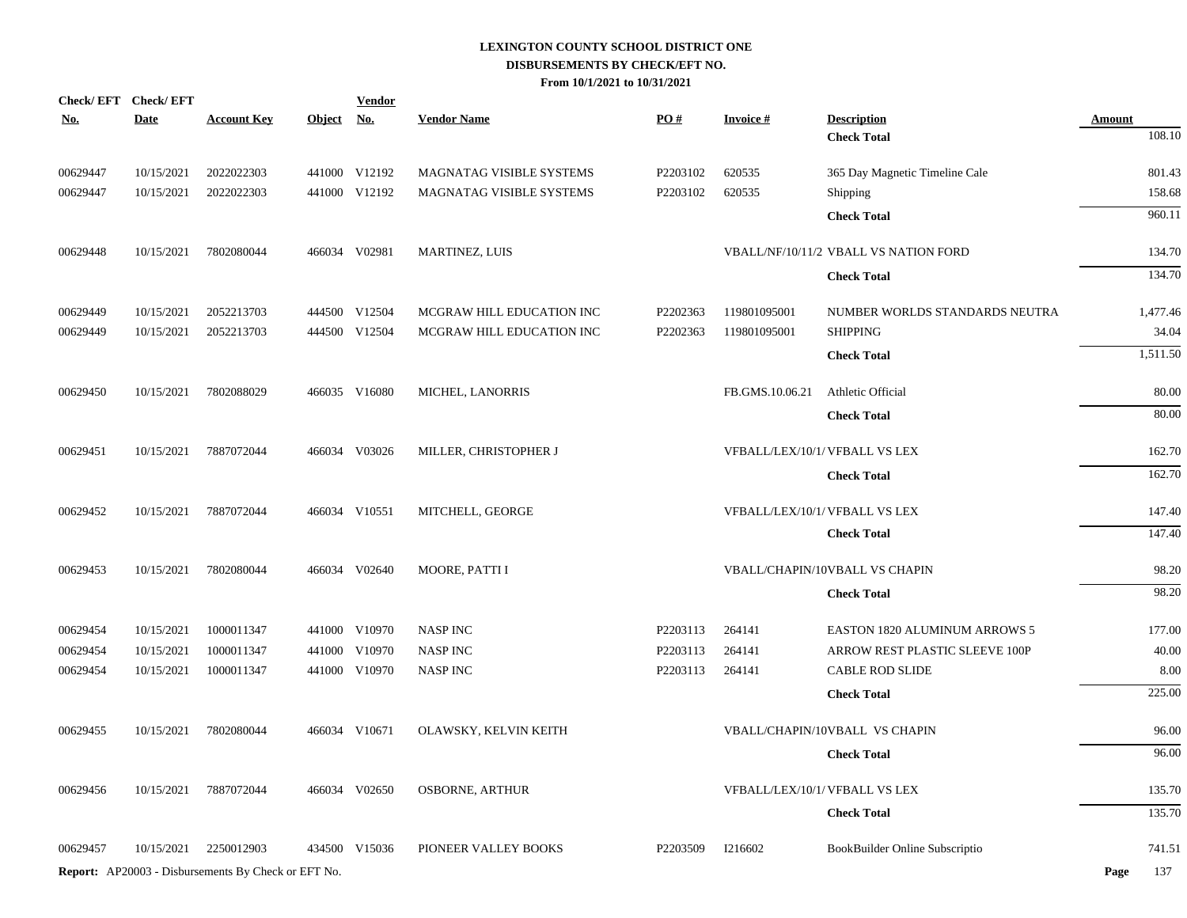| Check/EFT Check/EFT |             |                                                            |               | <b>Vendor</b> |                           |          |                                |                                       |               |
|---------------------|-------------|------------------------------------------------------------|---------------|---------------|---------------------------|----------|--------------------------------|---------------------------------------|---------------|
| <b>No.</b>          | <b>Date</b> | <b>Account Key</b>                                         | Object No.    |               | <b>Vendor Name</b>        | PO#      | <b>Invoice#</b>                | <b>Description</b>                    | <b>Amount</b> |
|                     |             |                                                            |               |               |                           |          |                                | <b>Check Total</b>                    | 108.10        |
| 00629447            | 10/15/2021  | 2022022303                                                 |               | 441000 V12192 | MAGNATAG VISIBLE SYSTEMS  | P2203102 | 620535                         | 365 Day Magnetic Timeline Cale        | 801.43        |
| 00629447            | 10/15/2021  | 2022022303                                                 |               | 441000 V12192 | MAGNATAG VISIBLE SYSTEMS  | P2203102 | 620535                         | <b>Shipping</b>                       | 158.68        |
|                     |             |                                                            |               |               |                           |          |                                | <b>Check Total</b>                    | 960.11        |
| 00629448            | 10/15/2021  | 7802080044                                                 | 466034 V02981 |               | MARTINEZ, LUIS            |          |                                | VBALL/NF/10/11/2 VBALL VS NATION FORD | 134.70        |
|                     |             |                                                            |               |               |                           |          |                                | <b>Check Total</b>                    | 134.70        |
| 00629449            | 10/15/2021  | 2052213703                                                 |               | 444500 V12504 | MCGRAW HILL EDUCATION INC | P2202363 | 119801095001                   | NUMBER WORLDS STANDARDS NEUTRA        | 1,477.46      |
| 00629449            | 10/15/2021  | 2052213703                                                 |               | 444500 V12504 | MCGRAW HILL EDUCATION INC | P2202363 | 119801095001                   | <b>SHIPPING</b>                       | 34.04         |
|                     |             |                                                            |               |               |                           |          |                                | <b>Check Total</b>                    | 1,511.50      |
| 00629450            | 10/15/2021  | 7802088029                                                 |               | 466035 V16080 | MICHEL, LANORRIS          |          | FB.GMS.10.06.21                | Athletic Official                     | 80.00         |
|                     |             |                                                            |               |               |                           |          |                                | <b>Check Total</b>                    | 80.00         |
| 00629451            | 10/15/2021  | 7887072044                                                 |               | 466034 V03026 | MILLER, CHRISTOPHER J     |          | VFBALL/LEX/10/1/ VFBALL VS LEX |                                       | 162.70        |
|                     |             |                                                            |               |               |                           |          |                                | <b>Check Total</b>                    | 162.70        |
| 00629452            | 10/15/2021  | 7887072044                                                 |               | 466034 V10551 | MITCHELL, GEORGE          |          | VFBALL/LEX/10/1/ VFBALL VS LEX |                                       | 147.40        |
|                     |             |                                                            |               |               |                           |          |                                | <b>Check Total</b>                    | 147.40        |
| 00629453            | 10/15/2021  | 7802080044                                                 |               | 466034 V02640 | MOORE, PATTI I            |          |                                | VBALL/CHAPIN/10VBALL VS CHAPIN        | 98.20         |
|                     |             |                                                            |               |               |                           |          |                                | <b>Check Total</b>                    | 98.20         |
| 00629454            | 10/15/2021  | 1000011347                                                 |               | 441000 V10970 | <b>NASP INC</b>           | P2203113 | 264141                         | <b>EASTON 1820 ALUMINUM ARROWS 5</b>  | 177.00        |
| 00629454            | 10/15/2021  | 1000011347                                                 |               | 441000 V10970 | <b>NASP INC</b>           | P2203113 | 264141                         | ARROW REST PLASTIC SLEEVE 100P        | 40.00         |
| 00629454            | 10/15/2021  | 1000011347                                                 |               | 441000 V10970 | <b>NASP INC</b>           | P2203113 | 264141                         | <b>CABLE ROD SLIDE</b>                | 8.00          |
|                     |             |                                                            |               |               |                           |          |                                | <b>Check Total</b>                    | 225.00        |
| 00629455            | 10/15/2021  | 7802080044                                                 |               | 466034 V10671 | OLAWSKY, KELVIN KEITH     |          |                                | VBALL/CHAPIN/10VBALL VS CHAPIN        | 96.00         |
|                     |             |                                                            |               |               |                           |          |                                | <b>Check Total</b>                    | 96.00         |
| 00629456            | 10/15/2021  | 7887072044                                                 |               | 466034 V02650 | <b>OSBORNE, ARTHUR</b>    |          | VFBALL/LEX/10/1/ VFBALL VS LEX |                                       | 135.70        |
|                     |             |                                                            |               |               |                           |          |                                | <b>Check Total</b>                    | 135.70        |
| 00629457            | 10/15/2021  | 2250012903                                                 |               | 434500 V15036 | PIONEER VALLEY BOOKS      | P2203509 | I216602                        | BookBuilder Online Subscriptio        | 741.51        |
|                     |             | <b>Report:</b> AP20003 - Disbursements By Check or EFT No. |               |               |                           |          |                                |                                       | 137<br>Page   |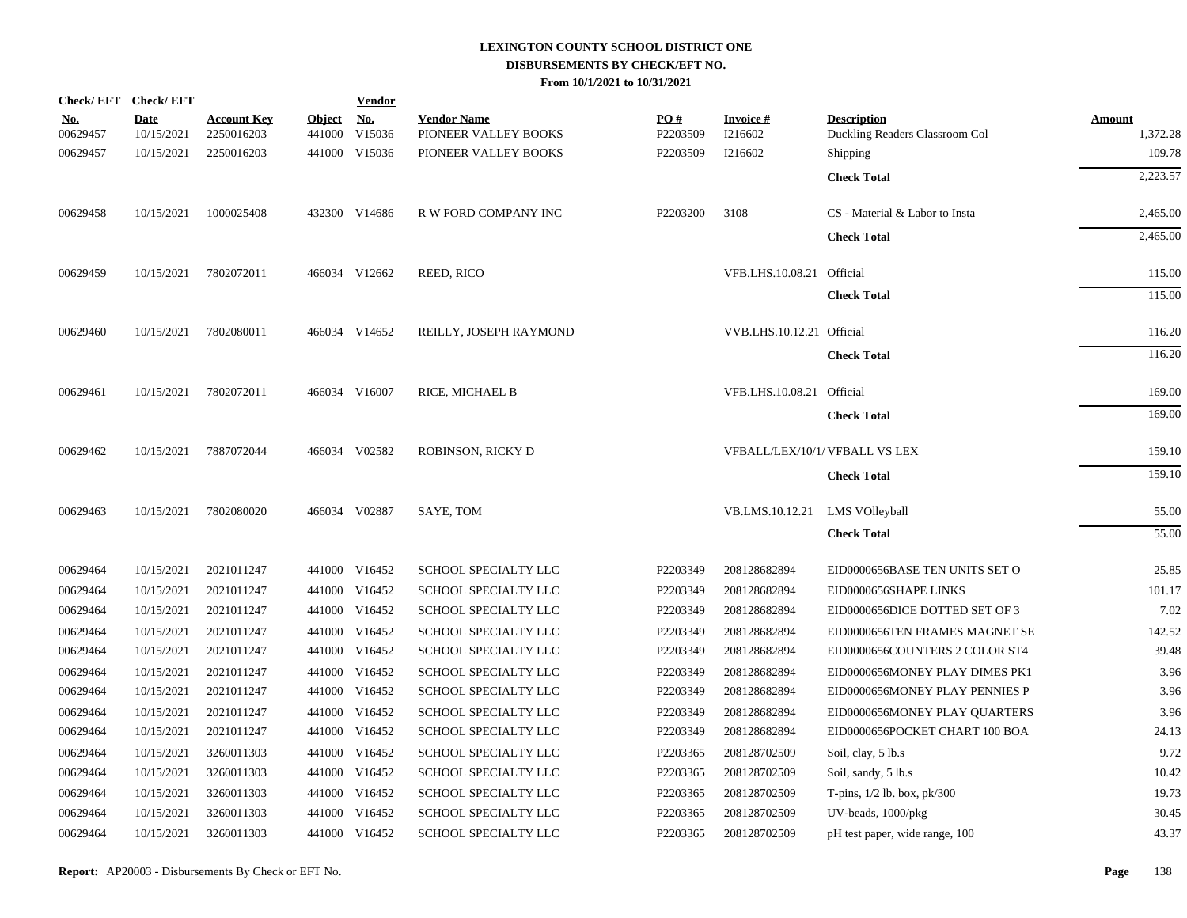| Check/EFT Check/EFT    |                    |                                  |               | <b>Vendor</b>               |                                            |                 |                           |                                                      |                    |
|------------------------|--------------------|----------------------------------|---------------|-----------------------------|--------------------------------------------|-----------------|---------------------------|------------------------------------------------------|--------------------|
| <u>No.</u><br>00629457 | Date<br>10/15/2021 | <b>Account Key</b><br>2250016203 | <b>Object</b> | <u>No.</u><br>441000 V15036 | <b>Vendor Name</b><br>PIONEER VALLEY BOOKS | PO#<br>P2203509 | Invoice #<br>I216602      | <b>Description</b><br>Duckling Readers Classroom Col | Amount<br>1,372.28 |
| 00629457               | 10/15/2021         | 2250016203                       |               | 441000 V15036               | PIONEER VALLEY BOOKS                       | P2203509        | I216602                   | Shipping                                             | 109.78             |
|                        |                    |                                  |               |                             |                                            |                 |                           |                                                      | 2,223.57           |
|                        |                    |                                  |               |                             |                                            |                 |                           | <b>Check Total</b>                                   |                    |
| 00629458               | 10/15/2021         | 1000025408                       |               | 432300 V14686               | R W FORD COMPANY INC                       | P2203200        | 3108                      | CS - Material & Labor to Insta                       | 2,465.00           |
|                        |                    |                                  |               |                             |                                            |                 |                           | <b>Check Total</b>                                   | 2,465.00           |
|                        |                    |                                  |               |                             |                                            |                 |                           |                                                      |                    |
| 00629459               | 10/15/2021         | 7802072011                       |               | 466034 V12662               | REED, RICO                                 |                 | VFB.LHS.10.08.21 Official |                                                      | 115.00             |
|                        |                    |                                  |               |                             |                                            |                 |                           | <b>Check Total</b>                                   | 115.00             |
| 00629460               | 10/15/2021         | 7802080011                       |               | 466034 V14652               | REILLY, JOSEPH RAYMOND                     |                 | VVB.LHS.10.12.21 Official |                                                      | 116.20             |
|                        |                    |                                  |               |                             |                                            |                 |                           | <b>Check Total</b>                                   | 116.20             |
| 00629461               | 10/15/2021         | 7802072011                       |               | 466034 V16007               | RICE, MICHAEL B                            |                 | VFB.LHS.10.08.21 Official |                                                      | 169.00             |
|                        |                    |                                  |               |                             |                                            |                 |                           | <b>Check Total</b>                                   | 169.00             |
| 00629462               | 10/15/2021         | 7887072044                       |               | 466034 V02582               | ROBINSON, RICKY D                          |                 |                           | VFBALL/LEX/10/1/ VFBALL VS LEX                       | 159.10             |
|                        |                    |                                  |               |                             |                                            |                 |                           | <b>Check Total</b>                                   | 159.10             |
|                        |                    |                                  |               |                             |                                            |                 |                           |                                                      |                    |
| 00629463               | 10/15/2021         | 7802080020                       |               | 466034 V02887               | SAYE, TOM                                  |                 | VB.LMS.10.12.21           | <b>LMS VOlleyball</b>                                | 55.00              |
|                        |                    |                                  |               |                             |                                            |                 |                           | <b>Check Total</b>                                   | 55.00              |
| 00629464               | 10/15/2021         | 2021011247                       |               | 441000 V16452               | SCHOOL SPECIALTY LLC                       | P2203349        | 208128682894              | EID0000656BASE TEN UNITS SET O                       | 25.85              |
| 00629464               | 10/15/2021         | 2021011247                       |               | 441000 V16452               | SCHOOL SPECIALTY LLC                       | P2203349        | 208128682894              | EID0000656SHAPE LINKS                                | 101.17             |
| 00629464               | 10/15/2021         | 2021011247                       |               | 441000 V16452               | SCHOOL SPECIALTY LLC                       | P2203349        | 208128682894              | EID0000656DICE DOTTED SET OF 3                       | 7.02               |
| 00629464               | 10/15/2021         | 2021011247                       |               | 441000 V16452               | SCHOOL SPECIALTY LLC                       | P2203349        | 208128682894              | EID0000656TEN FRAMES MAGNET SE                       | 142.52             |
| 00629464               | 10/15/2021         | 2021011247                       |               | 441000 V16452               | SCHOOL SPECIALTY LLC                       | P2203349        | 208128682894              | EID0000656COUNTERS 2 COLOR ST4                       | 39.48              |
| 00629464               | 10/15/2021         | 2021011247                       |               | 441000 V16452               | SCHOOL SPECIALTY LLC                       | P2203349        | 208128682894              | EID0000656MONEY PLAY DIMES PK1                       | 3.96               |
| 00629464               | 10/15/2021         | 2021011247                       |               | 441000 V16452               | SCHOOL SPECIALTY LLC                       | P2203349        | 208128682894              | EID0000656MONEY PLAY PENNIES P                       | 3.96               |
| 00629464               | 10/15/2021         | 2021011247                       |               | 441000 V16452               | SCHOOL SPECIALTY LLC                       | P2203349        | 208128682894              | EID0000656MONEY PLAY QUARTERS                        | 3.96               |
| 00629464               | 10/15/2021         | 2021011247                       |               | 441000 V16452               | SCHOOL SPECIALTY LLC                       | P2203349        | 208128682894              | EID0000656POCKET CHART 100 BOA                       | 24.13              |
| 00629464               | 10/15/2021         | 3260011303                       |               | 441000 V16452               | SCHOOL SPECIALTY LLC                       | P2203365        | 208128702509              | Soil, clay, 5 lb.s                                   | 9.72               |
| 00629464               | 10/15/2021         | 3260011303                       |               | 441000 V16452               | SCHOOL SPECIALTY LLC                       | P2203365        | 208128702509              | Soil, sandy, 5 lb.s                                  | 10.42              |
| 00629464               | 10/15/2021         | 3260011303                       |               | 441000 V16452               | SCHOOL SPECIALTY LLC                       | P2203365        | 208128702509              | T-pins, $1/2$ lb. box, $pk/300$                      | 19.73              |
| 00629464               | 10/15/2021         | 3260011303                       |               | 441000 V16452               | SCHOOL SPECIALTY LLC                       | P2203365        | 208128702509              | UV-beads, 1000/pkg                                   | 30.45              |
| 00629464               | 10/15/2021         | 3260011303                       |               | 441000 V16452               | SCHOOL SPECIALTY LLC                       | P2203365        | 208128702509              | pH test paper, wide range, 100                       | 43.37              |
|                        |                    |                                  |               |                             |                                            |                 |                           |                                                      |                    |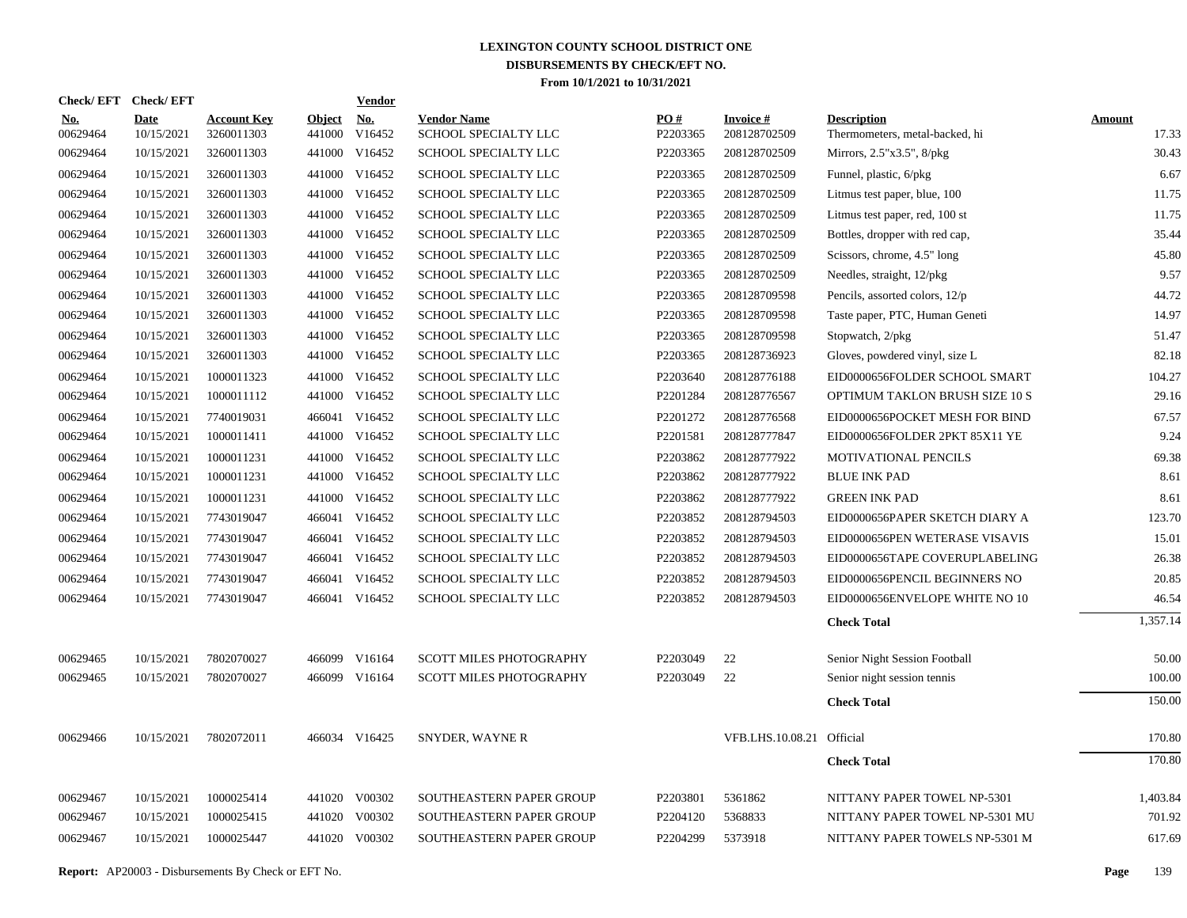| Check/EFT Check/EFT    |                    |                                  |                         | <b>Vendor</b>                         |                                            |                 |                           |                                                      |                 |
|------------------------|--------------------|----------------------------------|-------------------------|---------------------------------------|--------------------------------------------|-----------------|---------------------------|------------------------------------------------------|-----------------|
| <u>No.</u><br>00629464 | Date<br>10/15/2021 | <b>Account Key</b><br>3260011303 | <b>Object</b><br>441000 | $\underline{\mathrm{No}}$ .<br>V16452 | <b>Vendor Name</b><br>SCHOOL SPECIALTY LLC | PO#<br>P2203365 | Invoice #<br>208128702509 | <b>Description</b><br>Thermometers, metal-backed, hi | Amount<br>17.33 |
| 00629464               | 10/15/2021         | 3260011303                       |                         | 441000 V16452                         | SCHOOL SPECIALTY LLC                       | P2203365        | 208128702509              | Mirrors, 2.5"x3.5", 8/pkg                            | 30.43           |
| 00629464               | 10/15/2021         | 3260011303                       | 441000                  | V16452                                | SCHOOL SPECIALTY LLC                       | P2203365        | 208128702509              | Funnel, plastic, 6/pkg                               | 6.67            |
| 00629464               | 10/15/2021         | 3260011303                       |                         | 441000 V16452                         | SCHOOL SPECIALTY LLC                       | P2203365        | 208128702509              | Litmus test paper, blue, 100                         | 11.75           |
| 00629464               | 10/15/2021         | 3260011303                       |                         | 441000 V16452                         | SCHOOL SPECIALTY LLC                       | P2203365        | 208128702509              | Litmus test paper, red, 100 st                       | 11.75           |
| 00629464               | 10/15/2021         | 3260011303                       |                         | 441000 V16452                         | SCHOOL SPECIALTY LLC                       | P2203365        | 208128702509              | Bottles, dropper with red cap,                       | 35.44           |
| 00629464               | 10/15/2021         | 3260011303                       |                         | 441000 V16452                         | SCHOOL SPECIALTY LLC                       | P2203365        | 208128702509              | Scissors, chrome, 4.5" long                          | 45.80           |
| 00629464               | 10/15/2021         | 3260011303                       |                         | 441000 V16452                         | SCHOOL SPECIALTY LLC                       | P2203365        | 208128702509              | Needles, straight, 12/pkg                            | 9.57            |
| 00629464               | 10/15/2021         | 3260011303                       |                         | 441000 V16452                         | SCHOOL SPECIALTY LLC                       | P2203365        | 208128709598              | Pencils, assorted colors, 12/p                       | 44.72           |
| 00629464               | 10/15/2021         | 3260011303                       | 441000                  | V16452                                | SCHOOL SPECIALTY LLC                       | P2203365        | 208128709598              | Taste paper, PTC, Human Geneti                       | 14.97           |
| 00629464               | 10/15/2021         | 3260011303                       | 441000                  | V16452                                | SCHOOL SPECIALTY LLC                       | P2203365        | 208128709598              | Stopwatch, 2/pkg                                     | 51.47           |
| 00629464               | 10/15/2021         | 3260011303                       | 441000                  | V16452                                | SCHOOL SPECIALTY LLC                       | P2203365        | 208128736923              | Gloves, powdered vinyl, size L                       | 82.18           |
| 00629464               | 10/15/2021         | 1000011323                       | 441000                  | V16452                                | SCHOOL SPECIALTY LLC                       | P2203640        | 208128776188              | EID0000656FOLDER SCHOOL SMART                        | 104.27          |
| 00629464               | 10/15/2021         | 1000011112                       |                         | 441000 V16452                         | SCHOOL SPECIALTY LLC                       | P2201284        | 208128776567              | OPTIMUM TAKLON BRUSH SIZE 10 S                       | 29.16           |
| 00629464               | 10/15/2021         | 7740019031                       |                         | 466041 V16452                         | SCHOOL SPECIALTY LLC                       | P2201272        | 208128776568              | EID0000656POCKET MESH FOR BIND                       | 67.57           |
| 00629464               | 10/15/2021         | 1000011411                       |                         | 441000 V16452                         | SCHOOL SPECIALTY LLC                       | P2201581        | 208128777847              | EID0000656FOLDER 2PKT 85X11 YE                       | 9.24            |
| 00629464               | 10/15/2021         | 1000011231                       |                         | 441000 V16452                         | SCHOOL SPECIALTY LLC                       | P2203862        | 208128777922              | MOTIVATIONAL PENCILS                                 | 69.38           |
| 00629464               | 10/15/2021         | 1000011231                       |                         | 441000 V16452                         | SCHOOL SPECIALTY LLC                       | P2203862        | 208128777922              | <b>BLUE INK PAD</b>                                  | 8.61            |
| 00629464               | 10/15/2021         | 1000011231                       |                         | 441000 V16452                         | SCHOOL SPECIALTY LLC                       | P2203862        | 208128777922              | <b>GREEN INK PAD</b>                                 | 8.61            |
| 00629464               | 10/15/2021         | 7743019047                       |                         | 466041 V16452                         | SCHOOL SPECIALTY LLC                       | P2203852        | 208128794503              | EID0000656PAPER SKETCH DIARY A                       | 123.70          |
| 00629464               | 10/15/2021         | 7743019047                       | 466041                  | V16452                                | SCHOOL SPECIALTY LLC                       | P2203852        | 208128794503              | EID0000656PEN WETERASE VISAVIS                       | 15.01           |
| 00629464               | 10/15/2021         | 7743019047                       |                         | 466041 V16452                         | SCHOOL SPECIALTY LLC                       | P2203852        | 208128794503              | EID0000656TAPE COVERUPLABELING                       | 26.38           |
| 00629464               | 10/15/2021         | 7743019047                       | 466041                  | V16452                                | SCHOOL SPECIALTY LLC                       | P2203852        | 208128794503              | EID0000656PENCIL BEGINNERS NO                        | 20.85           |
| 00629464               | 10/15/2021         | 7743019047                       |                         | 466041 V16452                         | SCHOOL SPECIALTY LLC                       | P2203852        | 208128794503              | EID0000656ENVELOPE WHITE NO 10                       | 46.54           |
|                        |                    |                                  |                         |                                       |                                            |                 |                           | <b>Check Total</b>                                   | 1,357.14        |
| 00629465               | 10/15/2021         | 7802070027                       |                         | 466099 V16164                         | <b>SCOTT MILES PHOTOGRAPHY</b>             | P2203049        | 22                        | Senior Night Session Football                        | 50.00           |
| 00629465               | 10/15/2021         | 7802070027                       |                         | 466099 V16164                         | <b>SCOTT MILES PHOTOGRAPHY</b>             | P2203049        | 22                        | Senior night session tennis                          | 100.00          |
|                        |                    |                                  |                         |                                       |                                            |                 |                           | <b>Check Total</b>                                   | 150.00          |
| 00629466               | 10/15/2021         | 7802072011                       |                         | 466034 V16425                         | <b>SNYDER, WAYNE R</b>                     |                 | VFB.LHS.10.08.21 Official |                                                      | 170.80          |
|                        |                    |                                  |                         |                                       |                                            |                 |                           | <b>Check Total</b>                                   | 170.80          |
| 00629467               | 10/15/2021         | 1000025414                       |                         | 441020 V00302                         | SOUTHEASTERN PAPER GROUP                   | P2203801        | 5361862                   | NITTANY PAPER TOWEL NP-5301                          | 1,403.84        |
| 00629467               | 10/15/2021         | 1000025415                       | 441020                  | V00302                                | <b>SOUTHEASTERN PAPER GROUP</b>            | P2204120        | 5368833                   | NITTANY PAPER TOWEL NP-5301 MU                       | 701.92          |
| 00629467               | 10/15/2021         | 1000025447                       |                         | 441020 V00302                         | SOUTHEASTERN PAPER GROUP                   | P2204299        | 5373918                   | NITTANY PAPER TOWELS NP-5301 M                       | 617.69          |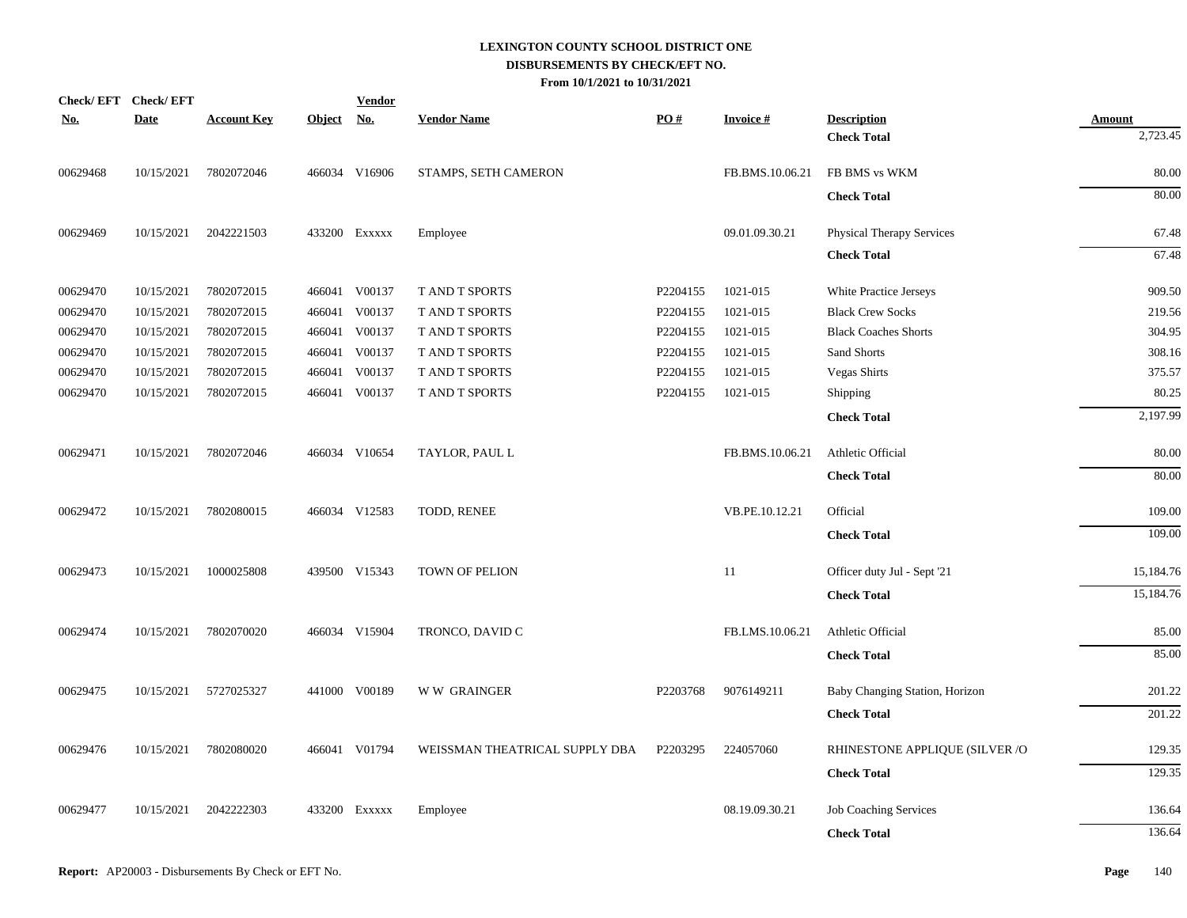|            | Check/EFT Check/EFT |                    |               | <b>Vendor</b> |                                |                   |                 |                                |               |
|------------|---------------------|--------------------|---------------|---------------|--------------------------------|-------------------|-----------------|--------------------------------|---------------|
| <u>No.</u> | <b>Date</b>         | <b>Account Key</b> | <b>Object</b> | <u>No.</u>    | <b>Vendor Name</b>             | $\underline{PO#}$ | <b>Invoice#</b> | <b>Description</b>             | <u>Amount</u> |
|            |                     |                    |               |               |                                |                   |                 | <b>Check Total</b>             | 2,723.45      |
| 00629468   | 10/15/2021          | 7802072046         |               | 466034 V16906 | STAMPS, SETH CAMERON           |                   | FB.BMS.10.06.21 | FB BMS vs WKM                  | 80.00         |
|            |                     |                    |               |               |                                |                   |                 | <b>Check Total</b>             | 80.00         |
| 00629469   | 10/15/2021          | 2042221503         |               | 433200 EXXXXX | Employee                       |                   | 09.01.09.30.21  | Physical Therapy Services      | 67.48         |
|            |                     |                    |               |               |                                |                   |                 | <b>Check Total</b>             | 67.48         |
| 00629470   | 10/15/2021          | 7802072015         |               | 466041 V00137 | T AND T SPORTS                 | P2204155          | 1021-015        | White Practice Jerseys         | 909.50        |
| 00629470   | 10/15/2021          | 7802072015         | 466041        | V00137        | T AND T SPORTS                 | P2204155          | 1021-015        | <b>Black Crew Socks</b>        | 219.56        |
| 00629470   | 10/15/2021          | 7802072015         | 466041        | V00137        | T AND T SPORTS                 | P2204155          | 1021-015        | <b>Black Coaches Shorts</b>    | 304.95        |
| 00629470   | 10/15/2021          | 7802072015         | 466041        | V00137        | T AND T SPORTS                 | P2204155          | 1021-015        | Sand Shorts                    | 308.16        |
| 00629470   | 10/15/2021          | 7802072015         | 466041        | V00137        | T AND T SPORTS                 | P2204155          | 1021-015        | <b>Vegas Shirts</b>            | 375.57        |
| 00629470   | 10/15/2021          | 7802072015         |               | 466041 V00137 | T AND T SPORTS                 | P2204155          | 1021-015        | Shipping                       | 80.25         |
|            |                     |                    |               |               |                                |                   |                 | <b>Check Total</b>             | 2,197.99      |
| 00629471   | 10/15/2021          | 7802072046         |               | 466034 V10654 | TAYLOR, PAUL L                 |                   | FB.BMS.10.06.21 | Athletic Official              | 80.00         |
|            |                     |                    |               |               |                                |                   |                 | <b>Check Total</b>             | 80.00         |
| 00629472   | 10/15/2021          | 7802080015         |               | 466034 V12583 | TODD, RENEE                    |                   | VB.PE.10.12.21  | Official                       | 109.00        |
|            |                     |                    |               |               |                                |                   |                 | <b>Check Total</b>             | 109.00        |
| 00629473   | 10/15/2021          | 1000025808         |               | 439500 V15343 | TOWN OF PELION                 |                   | 11              | Officer duty Jul - Sept '21    | 15,184.76     |
|            |                     |                    |               |               |                                |                   |                 | <b>Check Total</b>             | 15,184.76     |
| 00629474   | 10/15/2021          | 7802070020         |               | 466034 V15904 | TRONCO, DAVID C                |                   | FB.LMS.10.06.21 | Athletic Official              | 85.00         |
|            |                     |                    |               |               |                                |                   |                 | <b>Check Total</b>             | 85.00         |
| 00629475   | 10/15/2021          | 5727025327         |               | 441000 V00189 | W W GRAINGER                   | P2203768          | 9076149211      | Baby Changing Station, Horizon | 201.22        |
|            |                     |                    |               |               |                                |                   |                 | <b>Check Total</b>             | 201.22        |
| 00629476   | 10/15/2021          | 7802080020         |               | 466041 V01794 | WEISSMAN THEATRICAL SUPPLY DBA | P2203295          | 224057060       | RHINESTONE APPLIQUE (SILVER /O | 129.35        |
|            |                     |                    |               |               |                                |                   |                 | <b>Check Total</b>             | 129.35        |
| 00629477   | 10/15/2021          | 2042222303         |               | 433200 Exxxxx | Employee                       |                   | 08.19.09.30.21  | Job Coaching Services          | 136.64        |
|            |                     |                    |               |               |                                |                   |                 | <b>Check Total</b>             | 136.64        |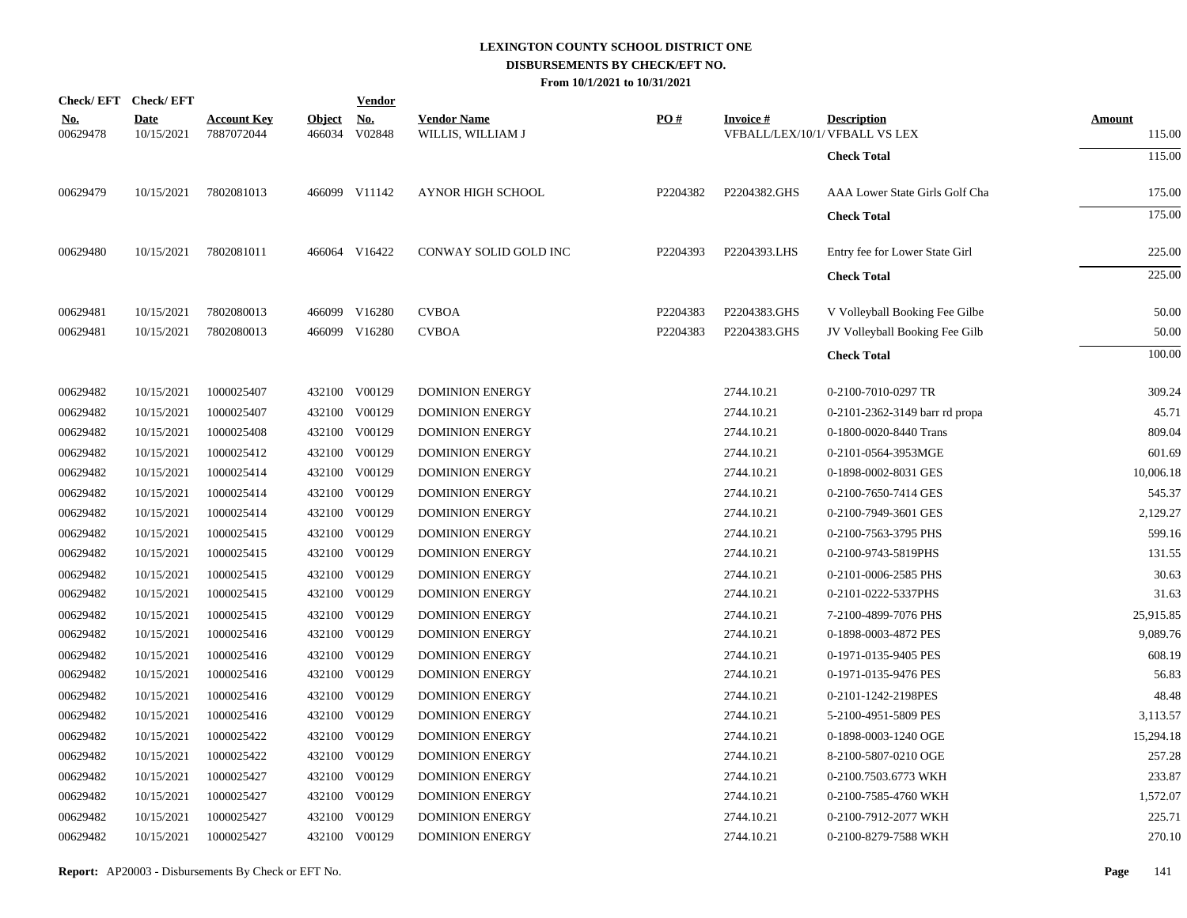|                        | Check/EFT Check/EFT       |                                  |                         | <u>Vendor</u>        |                                         |          |                 |                                                      |                         |
|------------------------|---------------------------|----------------------------------|-------------------------|----------------------|-----------------------------------------|----------|-----------------|------------------------------------------------------|-------------------------|
| <u>No.</u><br>00629478 | <b>Date</b><br>10/15/2021 | <b>Account Key</b><br>7887072044 | <b>Object</b><br>466034 | <u>No.</u><br>V02848 | <b>Vendor Name</b><br>WILLIS, WILLIAM J | PO#      | <b>Invoice#</b> | <b>Description</b><br>VFBALL/LEX/10/1/ VFBALL VS LEX | <b>Amount</b><br>115.00 |
|                        |                           |                                  |                         |                      |                                         |          |                 | <b>Check Total</b>                                   | 115.00                  |
| 00629479               | 10/15/2021                | 7802081013                       |                         | 466099 V11142        | <b>AYNOR HIGH SCHOOL</b>                | P2204382 | P2204382.GHS    | AAA Lower State Girls Golf Cha                       | 175.00                  |
|                        |                           |                                  |                         |                      |                                         |          |                 | <b>Check Total</b>                                   | 175.00                  |
| 00629480               | 10/15/2021                | 7802081011                       |                         | 466064 V16422        | CONWAY SOLID GOLD INC                   | P2204393 | P2204393.LHS    | Entry fee for Lower State Girl                       | 225.00                  |
|                        |                           |                                  |                         |                      |                                         |          |                 | <b>Check Total</b>                                   | 225.00                  |
| 00629481               | 10/15/2021                | 7802080013                       |                         | 466099 V16280        | <b>CVBOA</b>                            | P2204383 | P2204383.GHS    | V Volleyball Booking Fee Gilbe                       | 50.00                   |
| 00629481               | 10/15/2021                | 7802080013                       |                         | 466099 V16280        | <b>CVBOA</b>                            | P2204383 | P2204383.GHS    | JV Volleyball Booking Fee Gilb                       | 50.00                   |
|                        |                           |                                  |                         |                      |                                         |          |                 | <b>Check Total</b>                                   | 100.00                  |
| 00629482               | 10/15/2021                | 1000025407                       |                         | 432100 V00129        | <b>DOMINION ENERGY</b>                  |          | 2744.10.21      | 0-2100-7010-0297 TR                                  | 309.24                  |
| 00629482               | 10/15/2021                | 1000025407                       |                         | 432100 V00129        | <b>DOMINION ENERGY</b>                  |          | 2744.10.21      | 0-2101-2362-3149 barr rd propa                       | 45.71                   |
| 00629482               | 10/15/2021                | 1000025408                       |                         | 432100 V00129        | <b>DOMINION ENERGY</b>                  |          | 2744.10.21      | 0-1800-0020-8440 Trans                               | 809.04                  |
| 00629482               | 10/15/2021                | 1000025412                       |                         | 432100 V00129        | <b>DOMINION ENERGY</b>                  |          | 2744.10.21      | 0-2101-0564-3953MGE                                  | 601.69                  |
| 00629482               | 10/15/2021                | 1000025414                       |                         | 432100 V00129        | <b>DOMINION ENERGY</b>                  |          | 2744.10.21      | 0-1898-0002-8031 GES                                 | 10,006.18               |
| 00629482               | 10/15/2021                | 1000025414                       |                         | 432100 V00129        | <b>DOMINION ENERGY</b>                  |          | 2744.10.21      | 0-2100-7650-7414 GES                                 | 545.37                  |
| 00629482               | 10/15/2021                | 1000025414                       |                         | 432100 V00129        | <b>DOMINION ENERGY</b>                  |          | 2744.10.21      | 0-2100-7949-3601 GES                                 | 2,129.27                |
| 00629482               | 10/15/2021                | 1000025415                       |                         | 432100 V00129        | <b>DOMINION ENERGY</b>                  |          | 2744.10.21      | 0-2100-7563-3795 PHS                                 | 599.16                  |
| 00629482               | 10/15/2021                | 1000025415                       |                         | 432100 V00129        | <b>DOMINION ENERGY</b>                  |          | 2744.10.21      | 0-2100-9743-5819PHS                                  | 131.55                  |
| 00629482               | 10/15/2021                | 1000025415                       |                         | 432100 V00129        | <b>DOMINION ENERGY</b>                  |          | 2744.10.21      | 0-2101-0006-2585 PHS                                 | 30.63                   |
| 00629482               | 10/15/2021                | 1000025415                       |                         | 432100 V00129        | <b>DOMINION ENERGY</b>                  |          | 2744.10.21      | 0-2101-0222-5337PHS                                  | 31.63                   |
| 00629482               | 10/15/2021                | 1000025415                       |                         | 432100 V00129        | <b>DOMINION ENERGY</b>                  |          | 2744.10.21      | 7-2100-4899-7076 PHS                                 | 25,915.85               |
| 00629482               | 10/15/2021                | 1000025416                       |                         | 432100 V00129        | <b>DOMINION ENERGY</b>                  |          | 2744.10.21      | 0-1898-0003-4872 PES                                 | 9,089.76                |
| 00629482               | 10/15/2021                | 1000025416                       |                         | 432100 V00129        | <b>DOMINION ENERGY</b>                  |          | 2744.10.21      | 0-1971-0135-9405 PES                                 | 608.19                  |
| 00629482               | 10/15/2021                | 1000025416                       |                         | 432100 V00129        | <b>DOMINION ENERGY</b>                  |          | 2744.10.21      | 0-1971-0135-9476 PES                                 | 56.83                   |
| 00629482               | 10/15/2021                | 1000025416                       |                         | 432100 V00129        | <b>DOMINION ENERGY</b>                  |          | 2744.10.21      | 0-2101-1242-2198PES                                  | 48.48                   |
| 00629482               | 10/15/2021                | 1000025416                       |                         | 432100 V00129        | <b>DOMINION ENERGY</b>                  |          | 2744.10.21      | 5-2100-4951-5809 PES                                 | 3,113.57                |
| 00629482               | 10/15/2021                | 1000025422                       |                         | 432100 V00129        | <b>DOMINION ENERGY</b>                  |          | 2744.10.21      | 0-1898-0003-1240 OGE                                 | 15,294.18               |
| 00629482               | 10/15/2021                | 1000025422                       |                         | 432100 V00129        | <b>DOMINION ENERGY</b>                  |          | 2744.10.21      | 8-2100-5807-0210 OGE                                 | 257.28                  |
| 00629482               | 10/15/2021                | 1000025427                       |                         | 432100 V00129        | <b>DOMINION ENERGY</b>                  |          | 2744.10.21      | 0-2100.7503.6773 WKH                                 | 233.87                  |
| 00629482               | 10/15/2021                | 1000025427                       |                         | 432100 V00129        | <b>DOMINION ENERGY</b>                  |          | 2744.10.21      | 0-2100-7585-4760 WKH                                 | 1,572.07                |
| 00629482               | 10/15/2021                | 1000025427                       |                         | 432100 V00129        | <b>DOMINION ENERGY</b>                  |          | 2744.10.21      | 0-2100-7912-2077 WKH                                 | 225.71                  |
| 00629482               | 10/15/2021                | 1000025427                       |                         | 432100 V00129        | <b>DOMINION ENERGY</b>                  |          | 2744.10.21      | 0-2100-8279-7588 WKH                                 | 270.10                  |
|                        |                           |                                  |                         |                      |                                         |          |                 |                                                      |                         |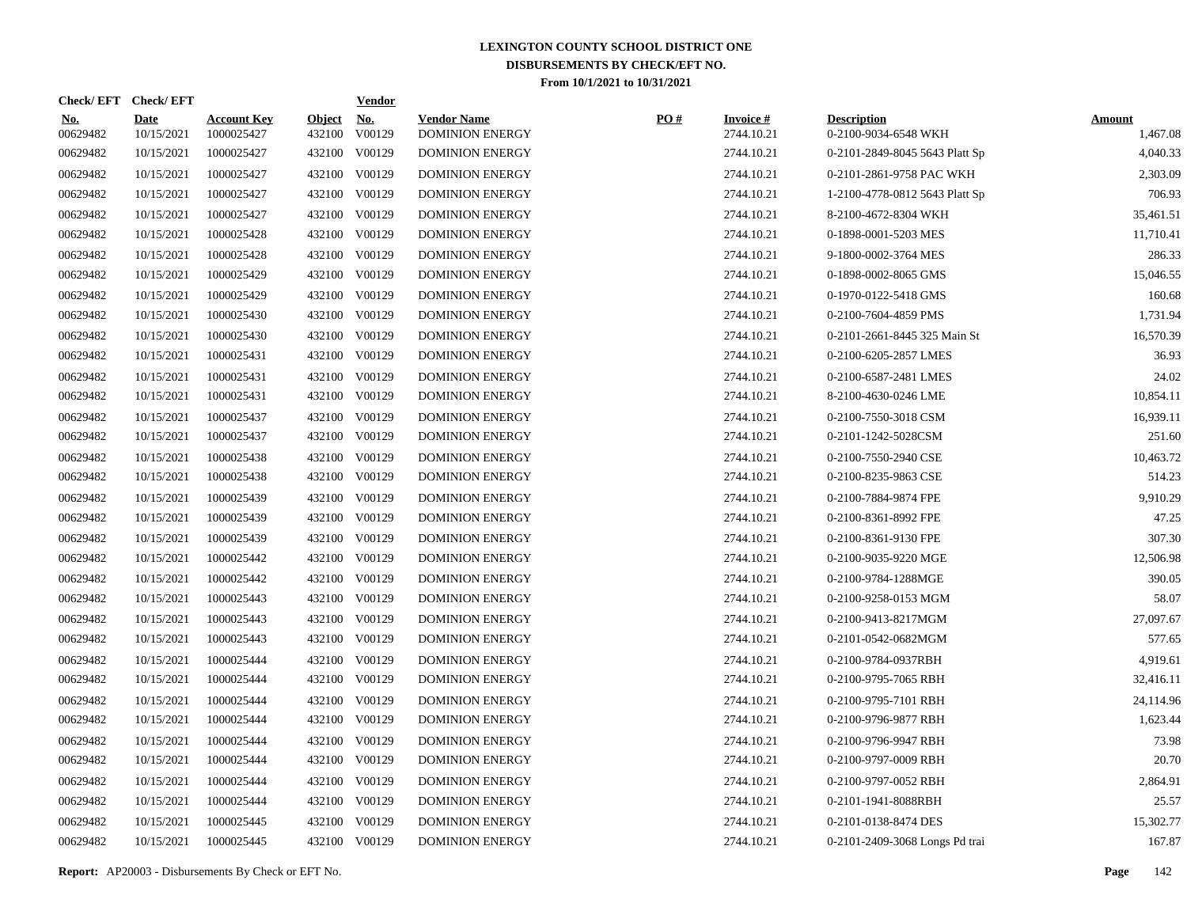| Check/EFT Check/EFT    |                           |                                  |                         | <b>Vendor</b>        |                                              |     |                               |                                            |                           |
|------------------------|---------------------------|----------------------------------|-------------------------|----------------------|----------------------------------------------|-----|-------------------------------|--------------------------------------------|---------------------------|
| <u>No.</u><br>00629482 | <b>Date</b><br>10/15/2021 | <b>Account Key</b><br>1000025427 | <b>Object</b><br>432100 | <u>No.</u><br>V00129 | <b>Vendor Name</b><br><b>DOMINION ENERGY</b> | PO# | <b>Invoice#</b><br>2744.10.21 | <b>Description</b><br>0-2100-9034-6548 WKH | <b>Amount</b><br>1,467.08 |
| 00629482               | 10/15/2021                | 1000025427                       |                         | 432100 V00129        | <b>DOMINION ENERGY</b>                       |     | 2744.10.21                    | 0-2101-2849-8045 5643 Platt Sp             | 4,040.33                  |
| 00629482               | 10/15/2021                | 1000025427                       |                         | 432100 V00129        | <b>DOMINION ENERGY</b>                       |     | 2744.10.21                    | 0-2101-2861-9758 PAC WKH                   | 2,303.09                  |
| 00629482               | 10/15/2021                | 1000025427                       |                         | 432100 V00129        | <b>DOMINION ENERGY</b>                       |     | 2744.10.21                    | 1-2100-4778-0812 5643 Platt Sp             | 706.93                    |
| 00629482               | 10/15/2021                | 1000025427                       |                         | 432100 V00129        | <b>DOMINION ENERGY</b>                       |     | 2744.10.21                    | 8-2100-4672-8304 WKH                       | 35,461.51                 |
| 00629482               | 10/15/2021                | 1000025428                       |                         | 432100 V00129        | <b>DOMINION ENERGY</b>                       |     | 2744.10.21                    | 0-1898-0001-5203 MES                       | 11,710.41                 |
| 00629482               | 10/15/2021                | 1000025428                       |                         | 432100 V00129        | <b>DOMINION ENERGY</b>                       |     | 2744.10.21                    | 9-1800-0002-3764 MES                       | 286.33                    |
| 00629482               | 10/15/2021                | 1000025429                       |                         | 432100 V00129        | <b>DOMINION ENERGY</b>                       |     | 2744.10.21                    | 0-1898-0002-8065 GMS                       | 15,046.55                 |
| 00629482               | 10/15/2021                | 1000025429                       |                         | 432100 V00129        | <b>DOMINION ENERGY</b>                       |     | 2744.10.21                    | 0-1970-0122-5418 GMS                       | 160.68                    |
| 00629482               | 10/15/2021                | 1000025430                       |                         | 432100 V00129        | <b>DOMINION ENERGY</b>                       |     | 2744.10.21                    | 0-2100-7604-4859 PMS                       | 1,731.94                  |
| 00629482               | 10/15/2021                | 1000025430                       |                         | 432100 V00129        | <b>DOMINION ENERGY</b>                       |     | 2744.10.21                    | 0-2101-2661-8445 325 Main St               | 16,570.39                 |
| 00629482               | 10/15/2021                | 1000025431                       |                         | 432100 V00129        | <b>DOMINION ENERGY</b>                       |     | 2744.10.21                    | 0-2100-6205-2857 LMES                      | 36.93                     |
| 00629482               | 10/15/2021                | 1000025431                       |                         | 432100 V00129        | <b>DOMINION ENERGY</b>                       |     | 2744.10.21                    | 0-2100-6587-2481 LMES                      | 24.02                     |
| 00629482               | 10/15/2021                | 1000025431                       |                         | 432100 V00129        | <b>DOMINION ENERGY</b>                       |     | 2744.10.21                    | 8-2100-4630-0246 LME                       | 10,854.11                 |
| 00629482               | 10/15/2021                | 1000025437                       |                         | 432100 V00129        | <b>DOMINION ENERGY</b>                       |     | 2744.10.21                    | 0-2100-7550-3018 CSM                       | 16,939.11                 |
| 00629482               | 10/15/2021                | 1000025437                       |                         | 432100 V00129        | <b>DOMINION ENERGY</b>                       |     | 2744.10.21                    | 0-2101-1242-5028CSM                        | 251.60                    |
| 00629482               | 10/15/2021                | 1000025438                       |                         | 432100 V00129        | <b>DOMINION ENERGY</b>                       |     | 2744.10.21                    | 0-2100-7550-2940 CSE                       | 10,463.72                 |
| 00629482               | 10/15/2021                | 1000025438                       |                         | 432100 V00129        | <b>DOMINION ENERGY</b>                       |     | 2744.10.21                    | 0-2100-8235-9863 CSE                       | 514.23                    |
| 00629482               | 10/15/2021                | 1000025439                       |                         | 432100 V00129        | <b>DOMINION ENERGY</b>                       |     | 2744.10.21                    | 0-2100-7884-9874 FPE                       | 9,910.29                  |
| 00629482               | 10/15/2021                | 1000025439                       |                         | 432100 V00129        | <b>DOMINION ENERGY</b>                       |     | 2744.10.21                    | 0-2100-8361-8992 FPE                       | 47.25                     |
| 00629482               | 10/15/2021                | 1000025439                       |                         | 432100 V00129        | <b>DOMINION ENERGY</b>                       |     | 2744.10.21                    | 0-2100-8361-9130 FPE                       | 307.30                    |
| 00629482               | 10/15/2021                | 1000025442                       |                         | 432100 V00129        | <b>DOMINION ENERGY</b>                       |     | 2744.10.21                    | 0-2100-9035-9220 MGE                       | 12,506.98                 |
| 00629482               | 10/15/2021                | 1000025442                       |                         | 432100 V00129        | <b>DOMINION ENERGY</b>                       |     | 2744.10.21                    | 0-2100-9784-1288MGE                        | 390.05                    |
| 00629482               | 10/15/2021                | 1000025443                       |                         | 432100 V00129        | <b>DOMINION ENERGY</b>                       |     | 2744.10.21                    | 0-2100-9258-0153 MGM                       | 58.07                     |
| 00629482               | 10/15/2021                | 1000025443                       |                         | 432100 V00129        | <b>DOMINION ENERGY</b>                       |     | 2744.10.21                    | 0-2100-9413-8217MGM                        | 27,097.67                 |
| 00629482               | 10/15/2021                | 1000025443                       |                         | 432100 V00129        | <b>DOMINION ENERGY</b>                       |     | 2744.10.21                    | 0-2101-0542-0682MGM                        | 577.65                    |
| 00629482               | 10/15/2021                | 1000025444                       |                         | 432100 V00129        | <b>DOMINION ENERGY</b>                       |     | 2744.10.21                    | 0-2100-9784-0937RBH                        | 4,919.61                  |
| 00629482               | 10/15/2021                | 1000025444                       |                         | 432100 V00129        | <b>DOMINION ENERGY</b>                       |     | 2744.10.21                    | 0-2100-9795-7065 RBH                       | 32,416.11                 |
| 00629482               | 10/15/2021                | 1000025444                       |                         | 432100 V00129        | <b>DOMINION ENERGY</b>                       |     | 2744.10.21                    | 0-2100-9795-7101 RBH                       | 24,114.96                 |
| 00629482               | 10/15/2021                | 1000025444                       |                         | 432100 V00129        | <b>DOMINION ENERGY</b>                       |     | 2744.10.21                    | 0-2100-9796-9877 RBH                       | 1,623.44                  |
| 00629482               | 10/15/2021                | 1000025444                       |                         | 432100 V00129        | <b>DOMINION ENERGY</b>                       |     | 2744.10.21                    | 0-2100-9796-9947 RBH                       | 73.98                     |
| 00629482               | 10/15/2021                | 1000025444                       |                         | 432100 V00129        | <b>DOMINION ENERGY</b>                       |     | 2744.10.21                    | 0-2100-9797-0009 RBH                       | 20.70                     |
| 00629482               | 10/15/2021                | 1000025444                       |                         | 432100 V00129        | <b>DOMINION ENERGY</b>                       |     | 2744.10.21                    | 0-2100-9797-0052 RBH                       | 2,864.91                  |
| 00629482               | 10/15/2021                | 1000025444                       |                         | 432100 V00129        | <b>DOMINION ENERGY</b>                       |     | 2744.10.21                    | 0-2101-1941-8088RBH                        | 25.57                     |
| 00629482               | 10/15/2021                | 1000025445                       | 432100                  | V00129               | <b>DOMINION ENERGY</b>                       |     | 2744.10.21                    | 0-2101-0138-8474 DES                       | 15,302.77                 |
| 00629482               | 10/15/2021                | 1000025445                       |                         | 432100 V00129        | <b>DOMINION ENERGY</b>                       |     | 2744.10.21                    | 0-2101-2409-3068 Longs Pd trai             | 167.87                    |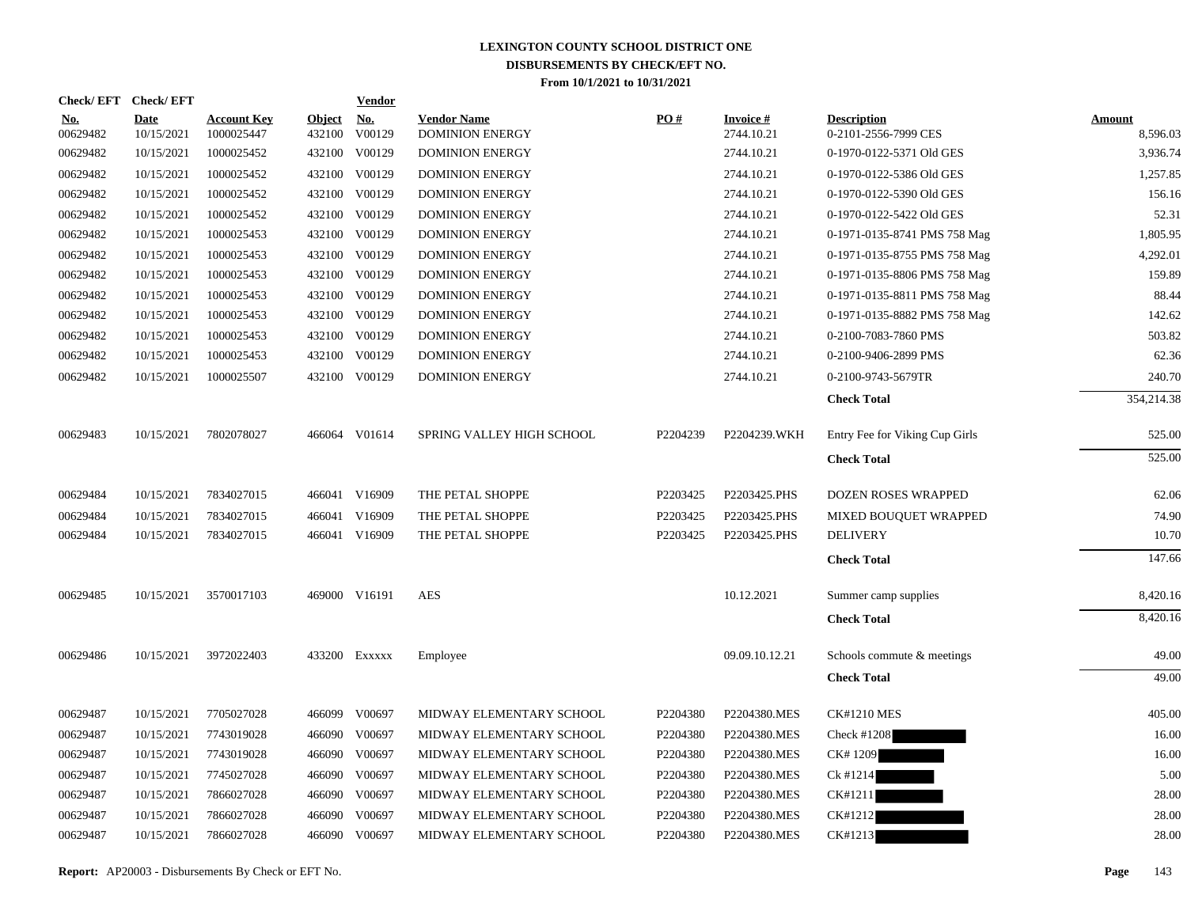|                        | Check/EFT Check/EFT       |                                  |                         | <b>Vendor</b>        |                                              |          |                         |                                            |                           |
|------------------------|---------------------------|----------------------------------|-------------------------|----------------------|----------------------------------------------|----------|-------------------------|--------------------------------------------|---------------------------|
| <u>No.</u><br>00629482 | <b>Date</b><br>10/15/2021 | <b>Account Key</b><br>1000025447 | <b>Object</b><br>432100 | <u>No.</u><br>V00129 | <b>Vendor Name</b><br><b>DOMINION ENERGY</b> | PO#      | Invoice #<br>2744.10.21 | <b>Description</b><br>0-2101-2556-7999 CES | <b>Amount</b><br>8,596.03 |
| 00629482               | 10/15/2021                | 1000025452                       |                         | 432100 V00129        | <b>DOMINION ENERGY</b>                       |          | 2744.10.21              | 0-1970-0122-5371 Old GES                   | 3,936.74                  |
| 00629482               | 10/15/2021                | 1000025452                       |                         | 432100 V00129        | <b>DOMINION ENERGY</b>                       |          | 2744.10.21              | 0-1970-0122-5386 Old GES                   | 1.257.85                  |
| 00629482               | 10/15/2021                | 1000025452                       |                         | 432100 V00129        | <b>DOMINION ENERGY</b>                       |          | 2744.10.21              | 0-1970-0122-5390 Old GES                   | 156.16                    |
| 00629482               | 10/15/2021                | 1000025452                       |                         | 432100 V00129        | <b>DOMINION ENERGY</b>                       |          | 2744.10.21              | 0-1970-0122-5422 Old GES                   | 52.31                     |
| 00629482               | 10/15/2021                | 1000025453                       |                         | 432100 V00129        | <b>DOMINION ENERGY</b>                       |          | 2744.10.21              | 0-1971-0135-8741 PMS 758 Mag               | 1,805.95                  |
| 00629482               | 10/15/2021                | 1000025453                       |                         | 432100 V00129        | <b>DOMINION ENERGY</b>                       |          | 2744.10.21              | 0-1971-0135-8755 PMS 758 Mag               | 4,292.01                  |
| 00629482               | 10/15/2021                | 1000025453                       |                         | 432100 V00129        | <b>DOMINION ENERGY</b>                       |          | 2744.10.21              | 0-1971-0135-8806 PMS 758 Mag               | 159.89                    |
| 00629482               | 10/15/2021                | 1000025453                       |                         | 432100 V00129        | <b>DOMINION ENERGY</b>                       |          | 2744.10.21              | 0-1971-0135-8811 PMS 758 Mag               | 88.44                     |
| 00629482               | 10/15/2021                | 1000025453                       |                         | 432100 V00129        | <b>DOMINION ENERGY</b>                       |          | 2744.10.21              | 0-1971-0135-8882 PMS 758 Mag               | 142.62                    |
| 00629482               | 10/15/2021                | 1000025453                       |                         | 432100 V00129        | <b>DOMINION ENERGY</b>                       |          | 2744.10.21              | 0-2100-7083-7860 PMS                       | 503.82                    |
| 00629482               | 10/15/2021                | 1000025453                       |                         | 432100 V00129        | <b>DOMINION ENERGY</b>                       |          | 2744.10.21              | 0-2100-9406-2899 PMS                       | 62.36                     |
| 00629482               | 10/15/2021                | 1000025507                       |                         | 432100 V00129        | <b>DOMINION ENERGY</b>                       |          | 2744.10.21              | 0-2100-9743-5679TR                         | 240.70                    |
|                        |                           |                                  |                         |                      |                                              |          |                         | <b>Check Total</b>                         | 354,214.38                |
| 00629483               | 10/15/2021                | 7802078027                       |                         | 466064 V01614        | SPRING VALLEY HIGH SCHOOL                    | P2204239 | P2204239.WKH            | Entry Fee for Viking Cup Girls             | 525.00                    |
|                        |                           |                                  |                         |                      |                                              |          |                         | <b>Check Total</b>                         | 525.00                    |
| 00629484               | 10/15/2021                | 7834027015                       |                         | 466041 V16909        | THE PETAL SHOPPE                             | P2203425 | P2203425.PHS            | DOZEN ROSES WRAPPED                        | 62.06                     |
| 00629484               | 10/15/2021                | 7834027015                       |                         | 466041 V16909        | THE PETAL SHOPPE                             | P2203425 | P2203425.PHS            | MIXED BOUQUET WRAPPED                      | 74.90                     |
| 00629484               | 10/15/2021                | 7834027015                       |                         | 466041 V16909        | THE PETAL SHOPPE                             | P2203425 | P2203425.PHS            | <b>DELIVERY</b>                            | 10.70                     |
|                        |                           |                                  |                         |                      |                                              |          |                         | <b>Check Total</b>                         | 147.66                    |
| 00629485               | 10/15/2021                | 3570017103                       |                         | 469000 V16191        | <b>AES</b>                                   |          | 10.12.2021              | Summer camp supplies                       | 8,420.16                  |
|                        |                           |                                  |                         |                      |                                              |          |                         | <b>Check Total</b>                         | 8,420.16                  |
| 00629486               | 10/15/2021                | 3972022403                       |                         | 433200 Exxxxx        | Employee                                     |          | 09.09.10.12.21          | Schools commute & meetings                 | 49.00                     |
|                        |                           |                                  |                         |                      |                                              |          |                         | <b>Check Total</b>                         | 49.00                     |
| 00629487               | 10/15/2021                | 7705027028                       |                         | 466099 V00697        | MIDWAY ELEMENTARY SCHOOL                     | P2204380 | P2204380.MES            | <b>CK#1210 MES</b>                         | 405.00                    |
| 00629487               | 10/15/2021                | 7743019028                       |                         | 466090 V00697        | MIDWAY ELEMENTARY SCHOOL                     | P2204380 | P2204380.MES            | Check #1208                                | 16.00                     |
| 00629487               | 10/15/2021                | 7743019028                       |                         | 466090 V00697        | MIDWAY ELEMENTARY SCHOOL                     | P2204380 | P2204380.MES            | CK#1209                                    | 16.00                     |
| 00629487               | 10/15/2021                | 7745027028                       | 466090                  | V00697               | MIDWAY ELEMENTARY SCHOOL                     | P2204380 | P2204380.MES            | Ck #1214                                   | 5.00                      |
| 00629487               | 10/15/2021                | 7866027028                       |                         | 466090 V00697        | MIDWAY ELEMENTARY SCHOOL                     | P2204380 | P2204380.MES            | CK#1211                                    | 28.00                     |
| 00629487               | 10/15/2021                | 7866027028                       | 466090                  | V00697               | MIDWAY ELEMENTARY SCHOOL                     | P2204380 | P2204380.MES            | CK#1212                                    | 28.00                     |
| 00629487               | 10/15/2021                | 7866027028                       |                         | 466090 V00697        | MIDWAY ELEMENTARY SCHOOL                     | P2204380 | P2204380.MES            | CK#1213                                    | 28.00                     |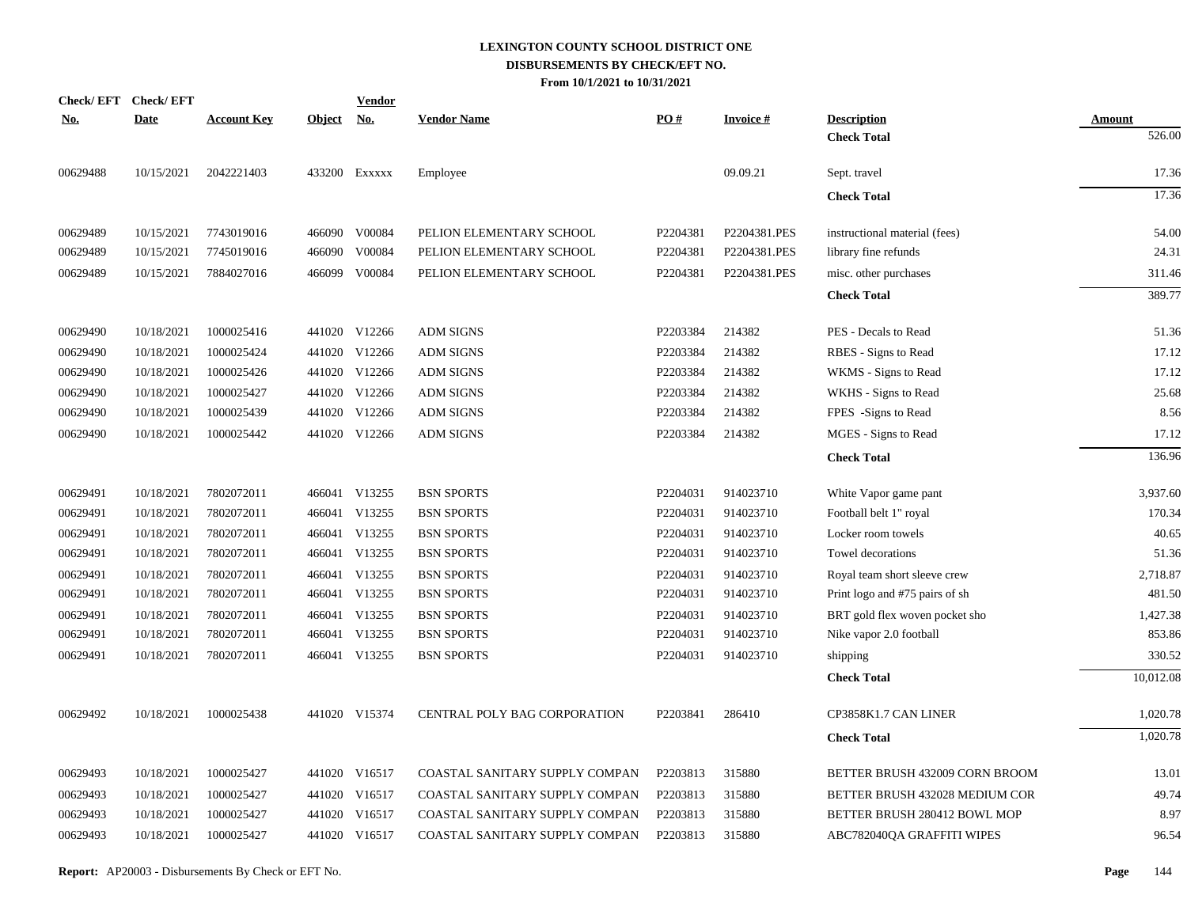| <b>Check/EFT</b> | <b>Check/EFT</b> |                    |               | <b>Vendor</b> |                                |          |                 |                                |               |
|------------------|------------------|--------------------|---------------|---------------|--------------------------------|----------|-----------------|--------------------------------|---------------|
| <u>No.</u>       | <b>Date</b>      | <b>Account Key</b> | <b>Object</b> | <u>No.</u>    | <b>Vendor Name</b>             | PO#      | <b>Invoice#</b> | <b>Description</b>             | <b>Amount</b> |
|                  |                  |                    |               |               |                                |          |                 | <b>Check Total</b>             | 526.00        |
| 00629488         | 10/15/2021       | 2042221403         |               | 433200 Exxxxx | Employee                       |          | 09.09.21        | Sept. travel                   | 17.36         |
|                  |                  |                    |               |               |                                |          |                 | <b>Check Total</b>             | 17.36         |
| 00629489         | 10/15/2021       | 7743019016         |               | 466090 V00084 | PELION ELEMENTARY SCHOOL       | P2204381 | P2204381.PES    | instructional material (fees)  | 54.00         |
| 00629489         | 10/15/2021       | 7745019016         | 466090        | V00084        | PELION ELEMENTARY SCHOOL       | P2204381 | P2204381.PES    | library fine refunds           | 24.31         |
| 00629489         | 10/15/2021       | 7884027016         | 466099        | V00084        | PELION ELEMENTARY SCHOOL       | P2204381 | P2204381.PES    | misc. other purchases          | 311.46        |
|                  |                  |                    |               |               |                                |          |                 | <b>Check Total</b>             | 389.77        |
| 00629490         | 10/18/2021       | 1000025416         |               | 441020 V12266 | <b>ADM SIGNS</b>               | P2203384 | 214382          | PES - Decals to Read           | 51.36         |
| 00629490         | 10/18/2021       | 1000025424         |               | 441020 V12266 | <b>ADM SIGNS</b>               | P2203384 | 214382          | RBES - Signs to Read           | 17.12         |
| 00629490         | 10/18/2021       | 1000025426         |               | 441020 V12266 | <b>ADM SIGNS</b>               | P2203384 | 214382          | WKMS - Signs to Read           | 17.12         |
| 00629490         | 10/18/2021       | 1000025427         |               | 441020 V12266 | <b>ADM SIGNS</b>               | P2203384 | 214382          | WKHS - Signs to Read           | 25.68         |
| 00629490         | 10/18/2021       | 1000025439         |               | 441020 V12266 | <b>ADM SIGNS</b>               | P2203384 | 214382          | FPES -Signs to Read            | 8.56          |
| 00629490         | 10/18/2021       | 1000025442         |               | 441020 V12266 | <b>ADM SIGNS</b>               | P2203384 | 214382          | MGES - Signs to Read           | 17.12         |
|                  |                  |                    |               |               |                                |          |                 | <b>Check Total</b>             | 136.96        |
| 00629491         | 10/18/2021       | 7802072011         |               | 466041 V13255 | <b>BSN SPORTS</b>              | P2204031 | 914023710       | White Vapor game pant          | 3,937.60      |
| 00629491         | 10/18/2021       | 7802072011         |               | 466041 V13255 | <b>BSN SPORTS</b>              | P2204031 | 914023710       | Football belt 1" royal         | 170.34        |
| 00629491         | 10/18/2021       | 7802072011         |               | 466041 V13255 | <b>BSN SPORTS</b>              | P2204031 | 914023710       | Locker room towels             | 40.65         |
| 00629491         | 10/18/2021       | 7802072011         |               | 466041 V13255 | <b>BSN SPORTS</b>              | P2204031 | 914023710       | Towel decorations              | 51.36         |
| 00629491         | 10/18/2021       | 7802072011         |               | 466041 V13255 | <b>BSN SPORTS</b>              | P2204031 | 914023710       | Royal team short sleeve crew   | 2,718.87      |
| 00629491         | 10/18/2021       | 7802072011         |               | 466041 V13255 | <b>BSN SPORTS</b>              | P2204031 | 914023710       | Print logo and #75 pairs of sh | 481.50        |
| 00629491         | 10/18/2021       | 7802072011         |               | 466041 V13255 | <b>BSN SPORTS</b>              | P2204031 | 914023710       | BRT gold flex woven pocket sho | 1,427.38      |
| 00629491         | 10/18/2021       | 7802072011         |               | 466041 V13255 | <b>BSN SPORTS</b>              | P2204031 | 914023710       | Nike vapor 2.0 football        | 853.86        |
| 00629491         | 10/18/2021       | 7802072011         |               | 466041 V13255 | <b>BSN SPORTS</b>              | P2204031 | 914023710       | shipping                       | 330.52        |
|                  |                  |                    |               |               |                                |          |                 | <b>Check Total</b>             | 10,012.08     |
| 00629492         | 10/18/2021       | 1000025438         |               | 441020 V15374 | CENTRAL POLY BAG CORPORATION   | P2203841 | 286410          | CP3858K1.7 CAN LINER           | 1,020.78      |
|                  |                  |                    |               |               |                                |          |                 | <b>Check Total</b>             | 1,020.78      |
| 00629493         | 10/18/2021       | 1000025427         |               | 441020 V16517 | COASTAL SANITARY SUPPLY COMPAN | P2203813 | 315880          | BETTER BRUSH 432009 CORN BROOM | 13.01         |
| 00629493         | 10/18/2021       | 1000025427         |               | 441020 V16517 | COASTAL SANITARY SUPPLY COMPAN | P2203813 | 315880          | BETTER BRUSH 432028 MEDIUM COR | 49.74         |
| 00629493         | 10/18/2021       | 1000025427         |               | 441020 V16517 | COASTAL SANITARY SUPPLY COMPAN | P2203813 | 315880          | BETTER BRUSH 280412 BOWL MOP   | 8.97          |
| 00629493         | 10/18/2021       | 1000025427         |               | 441020 V16517 | COASTAL SANITARY SUPPLY COMPAN | P2203813 | 315880          | ABC782040QA GRAFFITI WIPES     | 96.54         |
|                  |                  |                    |               |               |                                |          |                 |                                |               |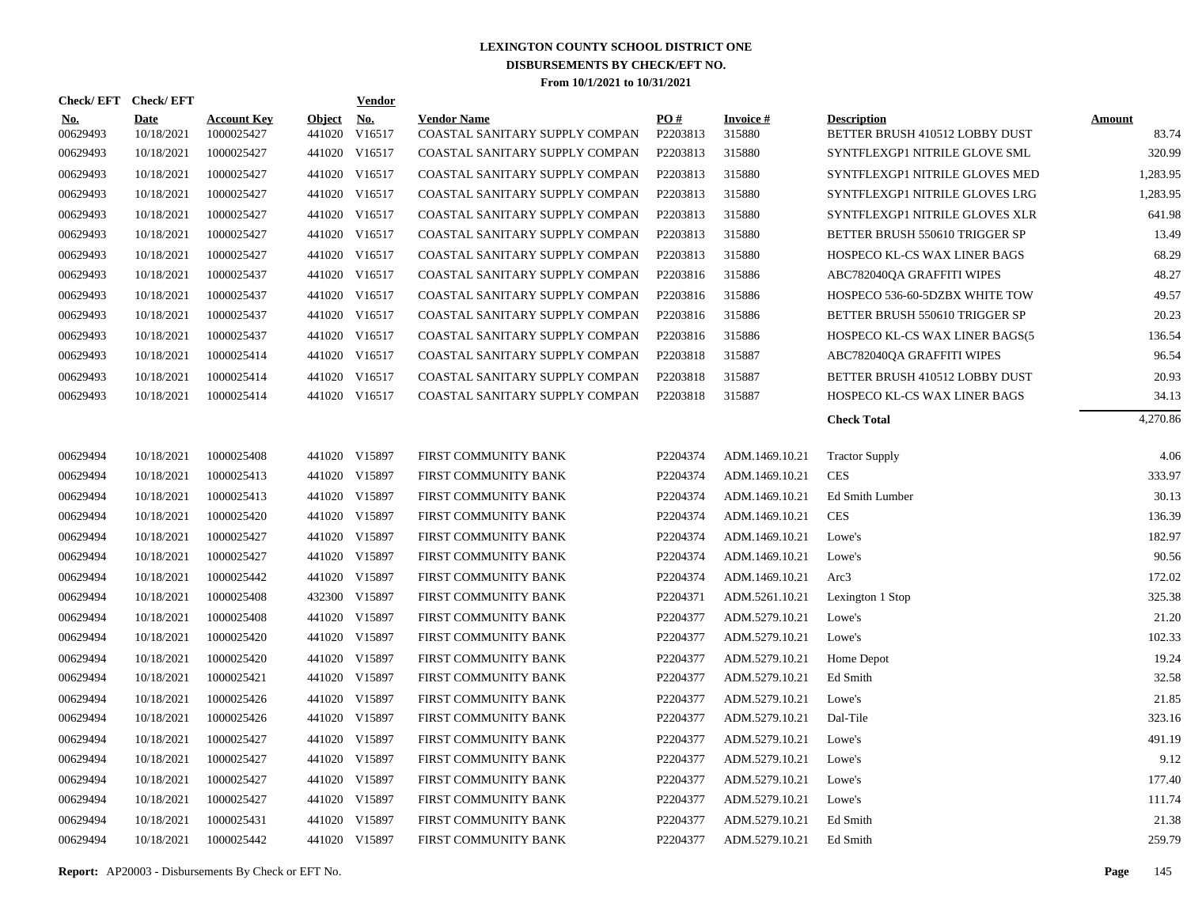| Check/EFT Check/EFT    |                           |                                  |               | <b>Vendor</b>               |                                                      |                 |                           |                                                      |                        |
|------------------------|---------------------------|----------------------------------|---------------|-----------------------------|------------------------------------------------------|-----------------|---------------------------|------------------------------------------------------|------------------------|
| <u>No.</u><br>00629493 | <b>Date</b><br>10/18/2021 | <b>Account Key</b><br>1000025427 | <b>Object</b> | <u>No.</u><br>441020 V16517 | <b>Vendor Name</b><br>COASTAL SANITARY SUPPLY COMPAN | PO#<br>P2203813 | <b>Invoice#</b><br>315880 | <b>Description</b><br>BETTER BRUSH 410512 LOBBY DUST | <b>Amount</b><br>83.74 |
| 00629493               | 10/18/2021                | 1000025427                       |               | 441020 V16517               | COASTAL SANITARY SUPPLY COMPAN                       | P2203813        | 315880                    | SYNTFLEXGP1 NITRILE GLOVE SML                        | 320.99                 |
| 00629493               | 10/18/2021                | 1000025427                       |               | 441020 V16517               | COASTAL SANITARY SUPPLY COMPAN                       | P2203813        | 315880                    | SYNTFLEXGP1 NITRILE GLOVES MED                       | 1,283.95               |
| 00629493               | 10/18/2021                | 1000025427                       |               | 441020 V16517               | COASTAL SANITARY SUPPLY COMPAN                       | P2203813        | 315880                    | SYNTFLEXGP1 NITRILE GLOVES LRG                       | 1,283.95               |
| 00629493               | 10/18/2021                | 1000025427                       |               | 441020 V16517               | COASTAL SANITARY SUPPLY COMPAN                       | P2203813        | 315880                    | SYNTFLEXGP1 NITRILE GLOVES XLR                       | 641.98                 |
| 00629493               | 10/18/2021                | 1000025427                       |               | 441020 V16517               | COASTAL SANITARY SUPPLY COMPAN                       | P2203813        | 315880                    | BETTER BRUSH 550610 TRIGGER SP                       | 13.49                  |
| 00629493               | 10/18/2021                | 1000025427                       |               | 441020 V16517               | COASTAL SANITARY SUPPLY COMPAN                       | P2203813        | 315880                    | HOSPECO KL-CS WAX LINER BAGS                         | 68.29                  |
| 00629493               | 10/18/2021                | 1000025437                       |               | 441020 V16517               | COASTAL SANITARY SUPPLY COMPAN                       | P2203816        | 315886                    | ABC782040QA GRAFFITI WIPES                           | 48.27                  |
| 00629493               | 10/18/2021                | 1000025437                       |               | 441020 V16517               | COASTAL SANITARY SUPPLY COMPAN                       | P2203816        | 315886                    | HOSPECO 536-60-5DZBX WHITE TOW                       | 49.57                  |
| 00629493               | 10/18/2021                | 1000025437                       |               | 441020 V16517               | COASTAL SANITARY SUPPLY COMPAN                       | P2203816        | 315886                    | BETTER BRUSH 550610 TRIGGER SP                       | 20.23                  |
| 00629493               | 10/18/2021                | 1000025437                       |               | 441020 V16517               | COASTAL SANITARY SUPPLY COMPAN                       | P2203816        | 315886                    | HOSPECO KL-CS WAX LINER BAGS(5                       | 136.54                 |
| 00629493               | 10/18/2021                | 1000025414                       |               | 441020 V16517               | COASTAL SANITARY SUPPLY COMPAN                       | P2203818        | 315887                    | ABC782040QA GRAFFITI WIPES                           | 96.54                  |
| 00629493               | 10/18/2021                | 1000025414                       |               | 441020 V16517               | COASTAL SANITARY SUPPLY COMPAN                       | P2203818        | 315887                    | BETTER BRUSH 410512 LOBBY DUST                       | 20.93                  |
| 00629493               | 10/18/2021                | 1000025414                       |               | 441020 V16517               | COASTAL SANITARY SUPPLY COMPAN                       | P2203818        | 315887                    | HOSPECO KL-CS WAX LINER BAGS                         | 34.13                  |
|                        |                           |                                  |               |                             |                                                      |                 |                           | <b>Check Total</b>                                   | 4,270.86               |
|                        |                           |                                  |               |                             |                                                      |                 |                           |                                                      |                        |
| 00629494               | 10/18/2021                | 1000025408                       |               | 441020 V15897               | FIRST COMMUNITY BANK                                 | P2204374        | ADM.1469.10.21            | <b>Tractor Supply</b>                                | 4.06                   |
| 00629494               | 10/18/2021                | 1000025413                       |               | 441020 V15897               | FIRST COMMUNITY BANK                                 | P2204374        | ADM.1469.10.21            | <b>CES</b>                                           | 333.97                 |
| 00629494               | 10/18/2021                | 1000025413                       |               | 441020 V15897               | FIRST COMMUNITY BANK                                 | P2204374        | ADM.1469.10.21            | Ed Smith Lumber                                      | 30.13                  |
| 00629494               | 10/18/2021                | 1000025420                       |               | 441020 V15897               | FIRST COMMUNITY BANK                                 | P2204374        | ADM.1469.10.21            | <b>CES</b>                                           | 136.39                 |
| 00629494               | 10/18/2021                | 1000025427                       |               | 441020 V15897               | FIRST COMMUNITY BANK                                 | P2204374        | ADM.1469.10.21            | Lowe's                                               | 182.97                 |
| 00629494               | 10/18/2021                | 1000025427                       |               | 441020 V15897               | FIRST COMMUNITY BANK                                 | P2204374        | ADM.1469.10.21            | Lowe's                                               | 90.56                  |
| 00629494               | 10/18/2021                | 1000025442                       |               | 441020 V15897               | FIRST COMMUNITY BANK                                 | P2204374        | ADM.1469.10.21            | Arc3                                                 | 172.02                 |
| 00629494               | 10/18/2021                | 1000025408                       |               | 432300 V15897               | FIRST COMMUNITY BANK                                 | P2204371        | ADM.5261.10.21            | Lexington 1 Stop                                     | 325.38                 |
| 00629494               | 10/18/2021                | 1000025408                       |               | 441020 V15897               | FIRST COMMUNITY BANK                                 | P2204377        | ADM.5279.10.21            | Lowe's                                               | 21.20                  |
| 00629494               | 10/18/2021                | 1000025420                       |               | 441020 V15897               | FIRST COMMUNITY BANK                                 | P2204377        | ADM.5279.10.21            | Lowe's                                               | 102.33                 |
| 00629494               | 10/18/2021                | 1000025420                       |               | 441020 V15897               | FIRST COMMUNITY BANK                                 | P2204377        | ADM.5279.10.21            | Home Depot                                           | 19.24                  |
| 00629494               | 10/18/2021                | 1000025421                       |               | 441020 V15897               | FIRST COMMUNITY BANK                                 | P2204377        | ADM.5279.10.21            | Ed Smith                                             | 32.58                  |
| 00629494               | 10/18/2021                | 1000025426                       |               | 441020 V15897               | FIRST COMMUNITY BANK                                 | P2204377        | ADM.5279.10.21            | Lowe's                                               | 21.85                  |
| 00629494               | 10/18/2021                | 1000025426                       |               | 441020 V15897               | FIRST COMMUNITY BANK                                 | P2204377        | ADM.5279.10.21            | Dal-Tile                                             | 323.16                 |
| 00629494               | 10/18/2021                | 1000025427                       |               | 441020 V15897               | FIRST COMMUNITY BANK                                 | P2204377        | ADM.5279.10.21            | Lowe's                                               | 491.19                 |
| 00629494               | 10/18/2021                | 1000025427                       |               | 441020 V15897               | FIRST COMMUNITY BANK                                 | P2204377        | ADM.5279.10.21            | Lowe's                                               | 9.12                   |
| 00629494               | 10/18/2021                | 1000025427                       |               | 441020 V15897               | FIRST COMMUNITY BANK                                 | P2204377        | ADM.5279.10.21            | Lowe's                                               | 177.40                 |
| 00629494               | 10/18/2021                | 1000025427                       |               | 441020 V15897               | FIRST COMMUNITY BANK                                 | P2204377        | ADM.5279.10.21            | Lowe's                                               | 111.74                 |
| 00629494               | 10/18/2021                | 1000025431                       |               | 441020 V15897               | FIRST COMMUNITY BANK                                 | P2204377        | ADM.5279.10.21            | Ed Smith                                             | 21.38                  |
| 00629494               | 10/18/2021                | 1000025442                       |               | 441020 V15897               | <b>FIRST COMMUNITY BANK</b>                          | P2204377        | ADM.5279.10.21            | Ed Smith                                             | 259.79                 |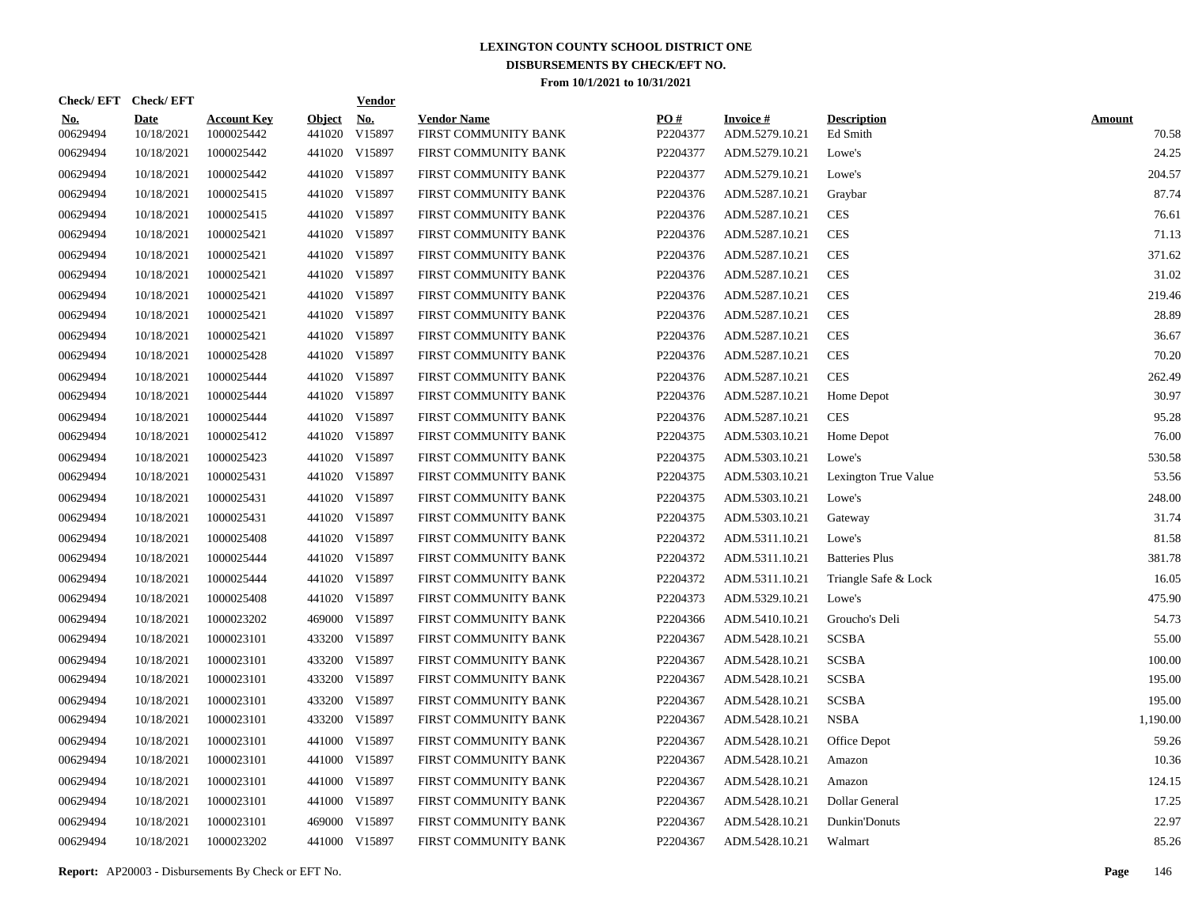| Check/EFT Check/EFT    |                           |                                  |                         | <u>Vendor</u>        |                                            |                 |                                   |                                |                        |
|------------------------|---------------------------|----------------------------------|-------------------------|----------------------|--------------------------------------------|-----------------|-----------------------------------|--------------------------------|------------------------|
| <u>No.</u><br>00629494 | <b>Date</b><br>10/18/2021 | <b>Account Key</b><br>1000025442 | <b>Object</b><br>441020 | <u>No.</u><br>V15897 | <b>Vendor Name</b><br>FIRST COMMUNITY BANK | PO#<br>P2204377 | <b>Invoice#</b><br>ADM.5279.10.21 | <b>Description</b><br>Ed Smith | <b>Amount</b><br>70.58 |
| 00629494               | 10/18/2021                | 1000025442                       |                         | 441020 V15897        | FIRST COMMUNITY BANK                       | P2204377        | ADM.5279.10.21                    | Lowe's                         | 24.25                  |
| 00629494               | 10/18/2021                | 1000025442                       |                         | 441020 V15897        | FIRST COMMUNITY BANK                       | P2204377        | ADM.5279.10.21                    | Lowe's                         | 204.57                 |
| 00629494               | 10/18/2021                | 1000025415                       |                         | 441020 V15897        | FIRST COMMUNITY BANK                       | P2204376        | ADM.5287.10.21                    | Graybar                        | 87.74                  |
| 00629494               | 10/18/2021                | 1000025415                       |                         | 441020 V15897        | FIRST COMMUNITY BANK                       | P2204376        | ADM.5287.10.21                    | <b>CES</b>                     | 76.61                  |
| 00629494               | 10/18/2021                | 1000025421                       |                         | 441020 V15897        | FIRST COMMUNITY BANK                       | P2204376        | ADM.5287.10.21                    | <b>CES</b>                     | 71.13                  |
| 00629494               | 10/18/2021                | 1000025421                       |                         | 441020 V15897        | FIRST COMMUNITY BANK                       | P2204376        | ADM.5287.10.21                    | <b>CES</b>                     | 371.62                 |
| 00629494               | 10/18/2021                | 1000025421                       |                         | 441020 V15897        | FIRST COMMUNITY BANK                       | P2204376        | ADM.5287.10.21                    | <b>CES</b>                     | 31.02                  |
| 00629494               | 10/18/2021                | 1000025421                       |                         | 441020 V15897        | FIRST COMMUNITY BANK                       | P2204376        | ADM.5287.10.21                    | <b>CES</b>                     | 219.46                 |
| 00629494               | 10/18/2021                | 1000025421                       |                         | 441020 V15897        | FIRST COMMUNITY BANK                       | P2204376        | ADM.5287.10.21                    | <b>CES</b>                     | 28.89                  |
| 00629494               | 10/18/2021                | 1000025421                       |                         | 441020 V15897        | FIRST COMMUNITY BANK                       | P2204376        | ADM.5287.10.21                    | <b>CES</b>                     | 36.67                  |
| 00629494               | 10/18/2021                | 1000025428                       |                         | 441020 V15897        | FIRST COMMUNITY BANK                       | P2204376        | ADM.5287.10.21                    | <b>CES</b>                     | 70.20                  |
| 00629494               | 10/18/2021                | 1000025444                       |                         | 441020 V15897        | FIRST COMMUNITY BANK                       | P2204376        | ADM.5287.10.21                    | <b>CES</b>                     | 262.49                 |
| 00629494               | 10/18/2021                | 1000025444                       |                         | 441020 V15897        | FIRST COMMUNITY BANK                       | P2204376        | ADM.5287.10.21                    | Home Depot                     | 30.97                  |
| 00629494               | 10/18/2021                | 1000025444                       |                         | 441020 V15897        | FIRST COMMUNITY BANK                       | P2204376        | ADM.5287.10.21                    | <b>CES</b>                     | 95.28                  |
| 00629494               | 10/18/2021                | 1000025412                       |                         | 441020 V15897        | FIRST COMMUNITY BANK                       | P2204375        | ADM.5303.10.21                    | Home Depot                     | 76.00                  |
| 00629494               | 10/18/2021                | 1000025423                       |                         | 441020 V15897        | FIRST COMMUNITY BANK                       | P2204375        | ADM.5303.10.21                    | Lowe's                         | 530.58                 |
| 00629494               | 10/18/2021                | 1000025431                       |                         | 441020 V15897        | FIRST COMMUNITY BANK                       | P2204375        | ADM.5303.10.21                    | Lexington True Value           | 53.56                  |
| 00629494               | 10/18/2021                | 1000025431                       |                         | 441020 V15897        | FIRST COMMUNITY BANK                       | P2204375        | ADM.5303.10.21                    | Lowe's                         | 248.00                 |
| 00629494               | 10/18/2021                | 1000025431                       |                         | 441020 V15897        | FIRST COMMUNITY BANK                       | P2204375        | ADM.5303.10.21                    | Gateway                        | 31.74                  |
| 00629494               | 10/18/2021                | 1000025408                       |                         | 441020 V15897        | FIRST COMMUNITY BANK                       | P2204372        | ADM.5311.10.21                    | Lowe's                         | 81.58                  |
| 00629494               | 10/18/2021                | 1000025444                       |                         | 441020 V15897        | FIRST COMMUNITY BANK                       | P2204372        | ADM.5311.10.21                    | <b>Batteries Plus</b>          | 381.78                 |
| 00629494               | 10/18/2021                | 1000025444                       |                         | 441020 V15897        | FIRST COMMUNITY BANK                       | P2204372        | ADM.5311.10.21                    | Triangle Safe & Lock           | 16.05                  |
| 00629494               | 10/18/2021                | 1000025408                       |                         | 441020 V15897        | FIRST COMMUNITY BANK                       | P2204373        | ADM.5329.10.21                    | Lowe's                         | 475.90                 |
| 00629494               | 10/18/2021                | 1000023202                       |                         | 469000 V15897        | FIRST COMMUNITY BANK                       | P2204366        | ADM.5410.10.21                    | Groucho's Deli                 | 54.73                  |
| 00629494               | 10/18/2021                | 1000023101                       | 433200                  | V15897               | FIRST COMMUNITY BANK                       | P2204367        | ADM.5428.10.21                    | <b>SCSBA</b>                   | 55.00                  |
| 00629494               | 10/18/2021                | 1000023101                       | 433200                  | V15897               | FIRST COMMUNITY BANK                       | P2204367        | ADM.5428.10.21                    | <b>SCSBA</b>                   | 100.00                 |
| 00629494               | 10/18/2021                | 1000023101                       |                         | 433200 V15897        | FIRST COMMUNITY BANK                       | P2204367        | ADM.5428.10.21                    | <b>SCSBA</b>                   | 195.00                 |
| 00629494               | 10/18/2021                | 1000023101                       | 433200                  | V15897               | FIRST COMMUNITY BANK                       | P2204367        | ADM.5428.10.21                    | <b>SCSBA</b>                   | 195.00                 |
| 00629494               | 10/18/2021                | 1000023101                       |                         | 433200 V15897        | FIRST COMMUNITY BANK                       | P2204367        | ADM.5428.10.21                    | <b>NSBA</b>                    | 1.190.00               |
| 00629494               | 10/18/2021                | 1000023101                       | 441000                  | V15897               | FIRST COMMUNITY BANK                       | P2204367        | ADM.5428.10.21                    | Office Depot                   | 59.26                  |
| 00629494               | 10/18/2021                | 1000023101                       |                         | 441000 V15897        | FIRST COMMUNITY BANK                       | P2204367        | ADM.5428.10.21                    | Amazon                         | 10.36                  |
| 00629494               | 10/18/2021                | 1000023101                       |                         | 441000 V15897        | FIRST COMMUNITY BANK                       | P2204367        | ADM.5428.10.21                    | Amazon                         | 124.15                 |
| 00629494               | 10/18/2021                | 1000023101                       |                         | 441000 V15897        | FIRST COMMUNITY BANK                       | P2204367        | ADM.5428.10.21                    | Dollar General                 | 17.25                  |
| 00629494               | 10/18/2021                | 1000023101                       |                         | 469000 V15897        | FIRST COMMUNITY BANK                       | P2204367        | ADM.5428.10.21                    | Dunkin'Donuts                  | 22.97                  |
| 00629494               | 10/18/2021                | 1000023202                       |                         | 441000 V15897        | FIRST COMMUNITY BANK                       | P2204367        | ADM.5428.10.21                    | Walmart                        | 85.26                  |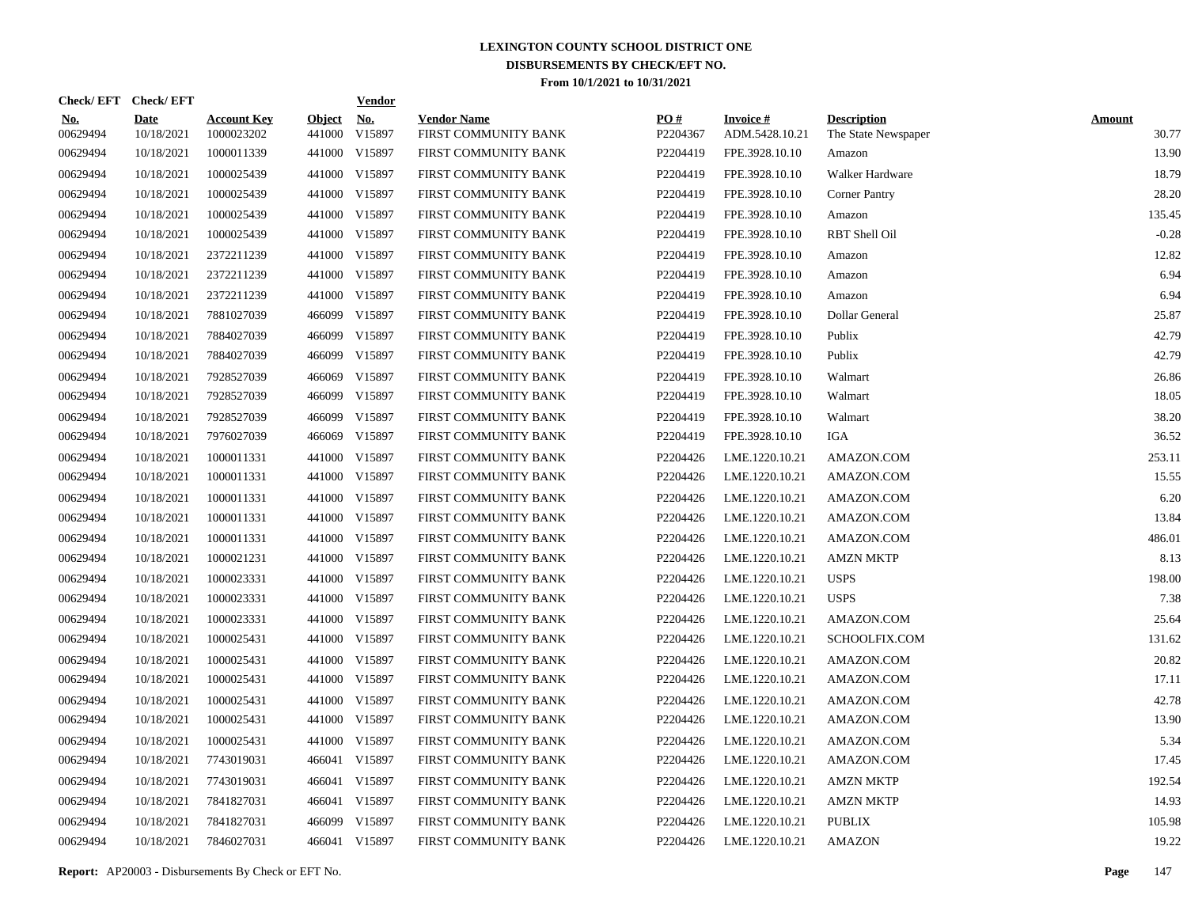|                        | Check/EFT Check/EFT |                                  |                         | <b>Vendor</b> |                                            |                 |                                   |                                           |                        |
|------------------------|---------------------|----------------------------------|-------------------------|---------------|--------------------------------------------|-----------------|-----------------------------------|-------------------------------------------|------------------------|
| <u>No.</u><br>00629494 | Date<br>10/18/2021  | <b>Account Key</b><br>1000023202 | <b>Object</b><br>441000 | No.<br>V15897 | <b>Vendor Name</b><br>FIRST COMMUNITY BANK | PO#<br>P2204367 | <b>Invoice#</b><br>ADM.5428.10.21 | <b>Description</b><br>The State Newspaper | <b>Amount</b><br>30.77 |
| 00629494               | 10/18/2021          | 1000011339                       |                         | 441000 V15897 | FIRST COMMUNITY BANK                       | P2204419        | FPE.3928.10.10                    | Amazon                                    | 13.90                  |
| 00629494               | 10/18/2021          | 1000025439                       |                         | 441000 V15897 | FIRST COMMUNITY BANK                       | P2204419        | FPE.3928.10.10                    | Walker Hardware                           | 18.79                  |
| 00629494               | 10/18/2021          | 1000025439                       |                         | 441000 V15897 | FIRST COMMUNITY BANK                       | P2204419        | FPE.3928.10.10                    | <b>Corner Pantry</b>                      | 28.20                  |
| 00629494               | 10/18/2021          | 1000025439                       |                         | 441000 V15897 | FIRST COMMUNITY BANK                       | P2204419        | FPE.3928.10.10                    | Amazon                                    | 135.45                 |
| 00629494               | 10/18/2021          | 1000025439                       |                         | 441000 V15897 | FIRST COMMUNITY BANK                       | P2204419        | FPE.3928.10.10                    | RBT Shell Oil                             | $-0.28$                |
| 00629494               | 10/18/2021          | 2372211239                       |                         | 441000 V15897 | FIRST COMMUNITY BANK                       | P2204419        | FPE.3928.10.10                    | Amazon                                    | 12.82                  |
| 00629494               | 10/18/2021          | 2372211239                       |                         | 441000 V15897 | FIRST COMMUNITY BANK                       | P2204419        | FPE.3928.10.10                    | Amazon                                    | 6.94                   |
| 00629494               | 10/18/2021          | 2372211239                       |                         | 441000 V15897 | FIRST COMMUNITY BANK                       | P2204419        | FPE.3928.10.10                    | Amazon                                    | 6.94                   |
| 00629494               | 10/18/2021          | 7881027039                       |                         | 466099 V15897 | FIRST COMMUNITY BANK                       | P2204419        | FPE.3928.10.10                    | Dollar General                            | 25.87                  |
| 00629494               | 10/18/2021          | 7884027039                       |                         | 466099 V15897 | FIRST COMMUNITY BANK                       | P2204419        | FPE.3928.10.10                    | Publix                                    | 42.79                  |
| 00629494               | 10/18/2021          | 7884027039                       | 466099                  | V15897        | FIRST COMMUNITY BANK                       | P2204419        | FPE.3928.10.10                    | Publix                                    | 42.79                  |
| 00629494               | 10/18/2021          | 7928527039                       | 466069                  | V15897        | FIRST COMMUNITY BANK                       | P2204419        | FPE.3928.10.10                    | Walmart                                   | 26.86                  |
| 00629494               | 10/18/2021          | 7928527039                       |                         | 466099 V15897 | FIRST COMMUNITY BANK                       | P2204419        | FPE.3928.10.10                    | Walmart                                   | 18.05                  |
| 00629494               | 10/18/2021          | 7928527039                       | 466099                  | V15897        | FIRST COMMUNITY BANK                       | P2204419        | FPE.3928.10.10                    | Walmart                                   | 38.20                  |
| 00629494               | 10/18/2021          | 7976027039                       | 466069                  | V15897        | FIRST COMMUNITY BANK                       | P2204419        | FPE.3928.10.10                    | IGA                                       | 36.52                  |
| 00629494               | 10/18/2021          | 1000011331                       |                         | 441000 V15897 | FIRST COMMUNITY BANK                       | P2204426        | LME.1220.10.21                    | AMAZON.COM                                | 253.11                 |
| 00629494               | 10/18/2021          | 1000011331                       |                         | 441000 V15897 | FIRST COMMUNITY BANK                       | P2204426        | LME.1220.10.21                    | AMAZON.COM                                | 15.55                  |
| 00629494               | 10/18/2021          | 1000011331                       |                         | 441000 V15897 | FIRST COMMUNITY BANK                       | P2204426        | LME.1220.10.21                    | AMAZON.COM                                | 6.20                   |
| 00629494               | 10/18/2021          | 1000011331                       |                         | 441000 V15897 | FIRST COMMUNITY BANK                       | P2204426        | LME.1220.10.21                    | AMAZON.COM                                | 13.84                  |
| 00629494               | 10/18/2021          | 1000011331                       |                         | 441000 V15897 | FIRST COMMUNITY BANK                       | P2204426        | LME.1220.10.21                    | AMAZON.COM                                | 486.01                 |
| 00629494               | 10/18/2021          | 1000021231                       |                         | 441000 V15897 | FIRST COMMUNITY BANK                       | P2204426        | LME.1220.10.21                    | <b>AMZN MKTP</b>                          | 8.13                   |
| 00629494               | 10/18/2021          | 1000023331                       |                         | 441000 V15897 | FIRST COMMUNITY BANK                       | P2204426        | LME.1220.10.21                    | <b>USPS</b>                               | 198.00                 |
| 00629494               | 10/18/2021          | 1000023331                       |                         | 441000 V15897 | FIRST COMMUNITY BANK                       | P2204426        | LME.1220.10.21                    | <b>USPS</b>                               | 7.38                   |
| 00629494               | 10/18/2021          | 1000023331                       |                         | 441000 V15897 | FIRST COMMUNITY BANK                       | P2204426        | LME.1220.10.21                    | AMAZON.COM                                | 25.64                  |
| 00629494               | 10/18/2021          | 1000025431                       |                         | 441000 V15897 | FIRST COMMUNITY BANK                       | P2204426        | LME.1220.10.21                    | SCHOOLFIX.COM                             | 131.62                 |
| 00629494               | 10/18/2021          | 1000025431                       |                         | 441000 V15897 | FIRST COMMUNITY BANK                       | P2204426        | LME.1220.10.21                    | AMAZON.COM                                | 20.82                  |
| 00629494               | 10/18/2021          | 1000025431                       |                         | 441000 V15897 | FIRST COMMUNITY BANK                       | P2204426        | LME.1220.10.21                    | AMAZON.COM                                | 17.11                  |
| 00629494               | 10/18/2021          | 1000025431                       |                         | 441000 V15897 | FIRST COMMUNITY BANK                       | P2204426        | LME.1220.10.21                    | AMAZON.COM                                | 42.78                  |
| 00629494               | 10/18/2021          | 1000025431                       |                         | 441000 V15897 | FIRST COMMUNITY BANK                       | P2204426        | LME.1220.10.21                    | AMAZON.COM                                | 13.90                  |
| 00629494               | 10/18/2021          | 1000025431                       |                         | 441000 V15897 | FIRST COMMUNITY BANK                       | P2204426        | LME.1220.10.21                    | AMAZON.COM                                | 5.34                   |
| 00629494               | 10/18/2021          | 7743019031                       | 466041                  | V15897        | FIRST COMMUNITY BANK                       | P2204426        | LME.1220.10.21                    | AMAZON.COM                                | 17.45                  |
| 00629494               | 10/18/2021          | 7743019031                       | 466041                  | V15897        | FIRST COMMUNITY BANK                       | P2204426        | LME.1220.10.21                    | <b>AMZN MKTP</b>                          | 192.54                 |
| 00629494               | 10/18/2021          | 7841827031                       | 466041                  | V15897        | FIRST COMMUNITY BANK                       | P2204426        | LME.1220.10.21                    | <b>AMZN MKTP</b>                          | 14.93                  |
| 00629494               | 10/18/2021          | 7841827031                       | 466099                  | V15897        | FIRST COMMUNITY BANK                       | P2204426        | LME.1220.10.21                    | <b>PUBLIX</b>                             | 105.98                 |
| 00629494               | 10/18/2021          | 7846027031                       |                         | 466041 V15897 | FIRST COMMUNITY BANK                       | P2204426        | LME.1220.10.21                    | <b>AMAZON</b>                             | 19.22                  |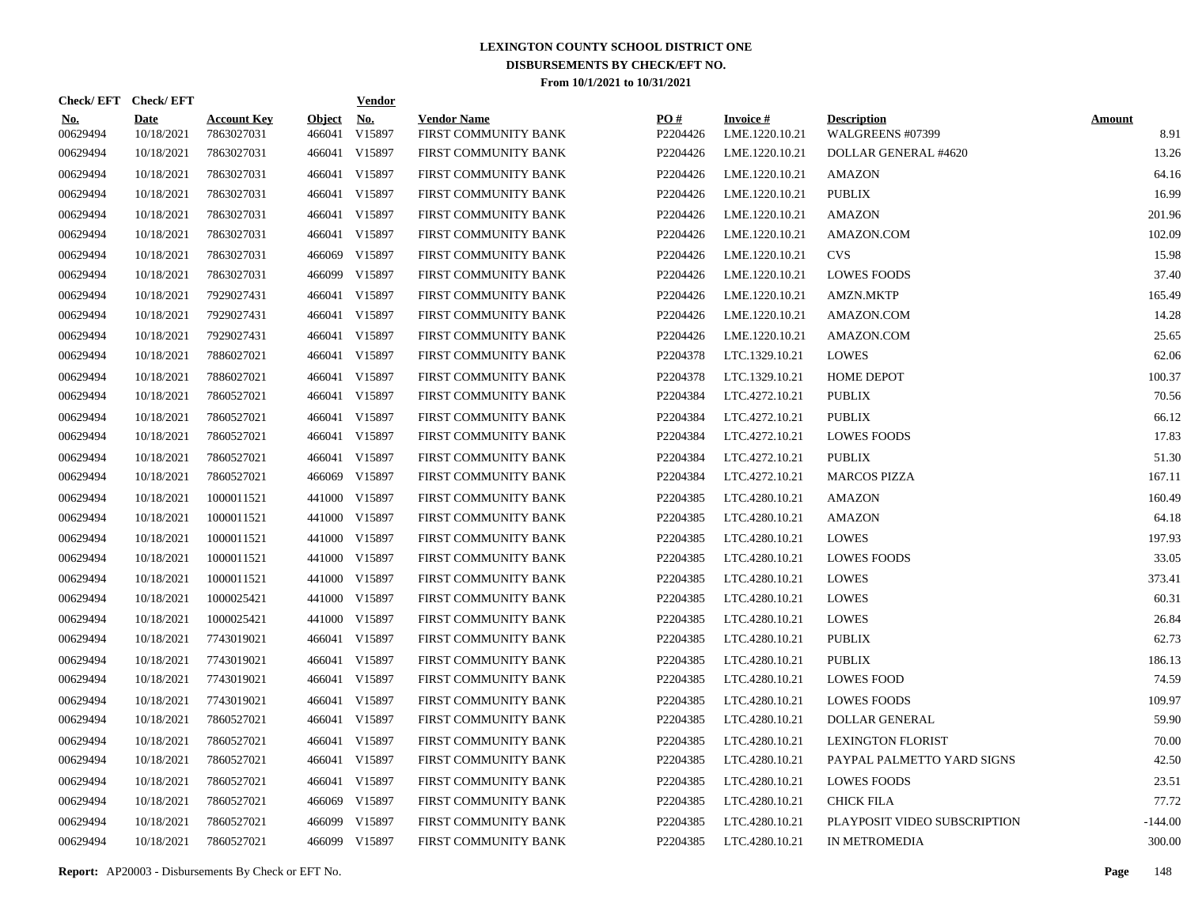|                        | Check/EFT Check/EFT       |                                  |                         | <u>Vendor</u> |                                            |                 |                                   |                                        |                       |
|------------------------|---------------------------|----------------------------------|-------------------------|---------------|--------------------------------------------|-----------------|-----------------------------------|----------------------------------------|-----------------------|
| <u>No.</u><br>00629494 | <b>Date</b><br>10/18/2021 | <b>Account Key</b><br>7863027031 | <b>Object</b><br>466041 | No.<br>V15897 | <b>Vendor Name</b><br>FIRST COMMUNITY BANK | PO#<br>P2204426 | <b>Invoice#</b><br>LME.1220.10.21 | <b>Description</b><br>WALGREENS #07399 | <b>Amount</b><br>8.91 |
| 00629494               | 10/18/2021                | 7863027031                       | 466041                  | V15897        | FIRST COMMUNITY BANK                       | P2204426        | LME.1220.10.21                    | DOLLAR GENERAL #4620                   | 13.26                 |
| 00629494               | 10/18/2021                | 7863027031                       | 466041                  | V15897        | FIRST COMMUNITY BANK                       | P2204426        | LME.1220.10.21                    | <b>AMAZON</b>                          | 64.16                 |
| 00629494               | 10/18/2021                | 7863027031                       | 466041                  | V15897        | FIRST COMMUNITY BANK                       | P2204426        | LME.1220.10.21                    | <b>PUBLIX</b>                          | 16.99                 |
| 00629494               | 10/18/2021                | 7863027031                       | 466041                  | V15897        | FIRST COMMUNITY BANK                       | P2204426        | LME.1220.10.21                    | <b>AMAZON</b>                          | 201.96                |
| 00629494               | 10/18/2021                | 7863027031                       | 466041                  | V15897        | FIRST COMMUNITY BANK                       | P2204426        | LME.1220.10.21                    | AMAZON.COM                             | 102.09                |
| 00629494               | 10/18/2021                | 7863027031                       | 466069                  | V15897        | FIRST COMMUNITY BANK                       | P2204426        | LME.1220.10.21                    | <b>CVS</b>                             | 15.98                 |
| 00629494               | 10/18/2021                | 7863027031                       | 466099                  | V15897        | FIRST COMMUNITY BANK                       | P2204426        | LME.1220.10.21                    | <b>LOWES FOODS</b>                     | 37.40                 |
| 00629494               | 10/18/2021                | 7929027431                       | 466041                  | V15897        | FIRST COMMUNITY BANK                       | P2204426        | LME.1220.10.21                    | <b>AMZN.MKTP</b>                       | 165.49                |
| 00629494               | 10/18/2021                | 7929027431                       | 466041                  | V15897        | FIRST COMMUNITY BANK                       | P2204426        | LME.1220.10.21                    | AMAZON.COM                             | 14.28                 |
| 00629494               | 10/18/2021                | 7929027431                       | 466041                  | V15897        | FIRST COMMUNITY BANK                       | P2204426        | LME.1220.10.21                    | AMAZON.COM                             | 25.65                 |
| 00629494               | 10/18/2021                | 7886027021                       |                         | 466041 V15897 | FIRST COMMUNITY BANK                       | P2204378        | LTC.1329.10.21                    | <b>LOWES</b>                           | 62.06                 |
| 00629494               | 10/18/2021                | 7886027021                       | 466041                  | V15897        | FIRST COMMUNITY BANK                       | P2204378        | LTC.1329.10.21                    | <b>HOME DEPOT</b>                      | 100.37                |
| 00629494               | 10/18/2021                | 7860527021                       |                         | 466041 V15897 | FIRST COMMUNITY BANK                       | P2204384        | LTC.4272.10.21                    | <b>PUBLIX</b>                          | 70.56                 |
| 00629494               | 10/18/2021                | 7860527021                       | 466041                  | V15897        | FIRST COMMUNITY BANK                       | P2204384        | LTC.4272.10.21                    | <b>PUBLIX</b>                          | 66.12                 |
| 00629494               | 10/18/2021                | 7860527021                       | 466041                  | V15897        | FIRST COMMUNITY BANK                       | P2204384        | LTC.4272.10.21                    | <b>LOWES FOODS</b>                     | 17.83                 |
| 00629494               | 10/18/2021                | 7860527021                       | 466041                  | V15897        | FIRST COMMUNITY BANK                       | P2204384        | LTC.4272.10.21                    | <b>PUBLIX</b>                          | 51.30                 |
| 00629494               | 10/18/2021                | 7860527021                       | 466069                  | V15897        | FIRST COMMUNITY BANK                       | P2204384        | LTC.4272.10.21                    | <b>MARCOS PIZZA</b>                    | 167.11                |
| 00629494               | 10/18/2021                | 1000011521                       | 441000                  | V15897        | FIRST COMMUNITY BANK                       | P2204385        | LTC.4280.10.21                    | AMAZON                                 | 160.49                |
| 00629494               | 10/18/2021                | 1000011521                       |                         | 441000 V15897 | FIRST COMMUNITY BANK                       | P2204385        | LTC.4280.10.21                    | <b>AMAZON</b>                          | 64.18                 |
| 00629494               | 10/18/2021                | 1000011521                       |                         | 441000 V15897 | FIRST COMMUNITY BANK                       | P2204385        | LTC.4280.10.21                    | <b>LOWES</b>                           | 197.93                |
| 00629494               | 10/18/2021                | 1000011521                       |                         | 441000 V15897 | FIRST COMMUNITY BANK                       | P2204385        | LTC.4280.10.21                    | <b>LOWES FOODS</b>                     | 33.05                 |
| 00629494               | 10/18/2021                | 1000011521                       |                         | 441000 V15897 | FIRST COMMUNITY BANK                       | P2204385        | LTC.4280.10.21                    | <b>LOWES</b>                           | 373.41                |
| 00629494               | 10/18/2021                | 1000025421                       |                         | 441000 V15897 | FIRST COMMUNITY BANK                       | P2204385        | LTC.4280.10.21                    | <b>LOWES</b>                           | 60.31                 |
| 00629494               | 10/18/2021                | 1000025421                       |                         | 441000 V15897 | FIRST COMMUNITY BANK                       | P2204385        | LTC.4280.10.21                    | <b>LOWES</b>                           | 26.84                 |
| 00629494               | 10/18/2021                | 7743019021                       | 466041                  | V15897        | FIRST COMMUNITY BANK                       | P2204385        | LTC.4280.10.21                    | <b>PUBLIX</b>                          | 62.73                 |
| 00629494               | 10/18/2021                | 7743019021                       | 466041                  | V15897        | FIRST COMMUNITY BANK                       | P2204385        | LTC.4280.10.21                    | <b>PUBLIX</b>                          | 186.13                |
| 00629494               | 10/18/2021                | 7743019021                       | 466041                  | V15897        | FIRST COMMUNITY BANK                       | P2204385        | LTC.4280.10.21                    | <b>LOWES FOOD</b>                      | 74.59                 |
| 00629494               | 10/18/2021                | 7743019021                       | 466041                  | V15897        | FIRST COMMUNITY BANK                       | P2204385        | LTC.4280.10.21                    | <b>LOWES FOODS</b>                     | 109.97                |
| 00629494               | 10/18/2021                | 7860527021                       | 466041                  | V15897        | FIRST COMMUNITY BANK                       | P2204385        | LTC.4280.10.21                    | <b>DOLLAR GENERAL</b>                  | 59.90                 |
| 00629494               | 10/18/2021                | 7860527021                       | 466041                  | V15897        | FIRST COMMUNITY BANK                       | P2204385        | LTC.4280.10.21                    | <b>LEXINGTON FLORIST</b>               | 70.00                 |
| 00629494               | 10/18/2021                | 7860527021                       | 466041                  | V15897        | FIRST COMMUNITY BANK                       | P2204385        | LTC.4280.10.21                    | PAYPAL PALMETTO YARD SIGNS             | 42.50                 |
| 00629494               | 10/18/2021                | 7860527021                       | 466041                  | V15897        | FIRST COMMUNITY BANK                       | P2204385        | LTC.4280.10.21                    | <b>LOWES FOODS</b>                     | 23.51                 |
| 00629494               | 10/18/2021                | 7860527021                       | 466069                  | V15897        | FIRST COMMUNITY BANK                       | P2204385        | LTC.4280.10.21                    | <b>CHICK FILA</b>                      | 77.72                 |
| 00629494               | 10/18/2021                | 7860527021                       | 466099                  | V15897        | FIRST COMMUNITY BANK                       | P2204385        | LTC.4280.10.21                    | PLAYPOSIT VIDEO SUBSCRIPTION           | $-144.00$             |
| 00629494               | 10/18/2021                | 7860527021                       |                         | 466099 V15897 | FIRST COMMUNITY BANK                       | P2204385        | LTC.4280.10.21                    | IN METROMEDIA                          | 300.00                |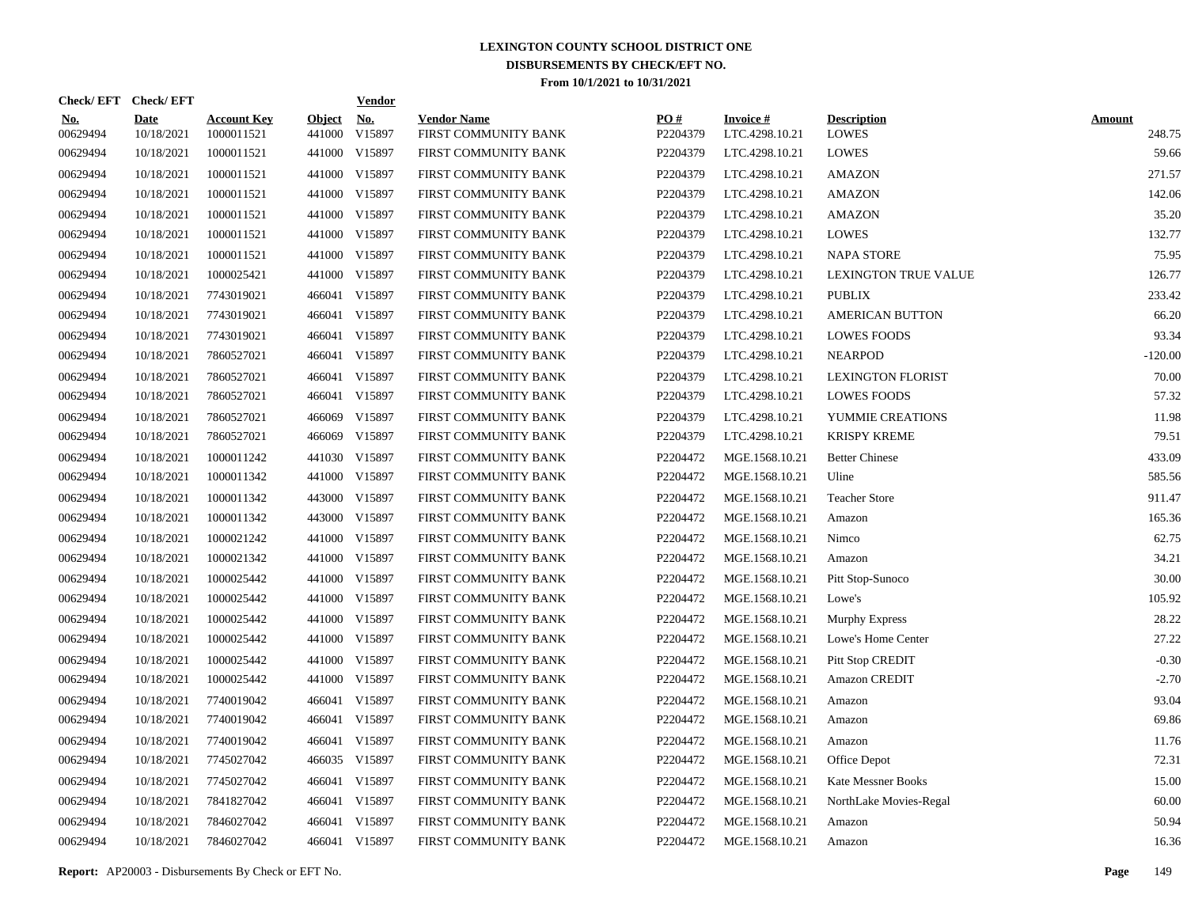|                        | Check/EFT Check/EFT |                                  |                         | <b>Vendor</b> |                                            |                 |                                   |                                    |                         |
|------------------------|---------------------|----------------------------------|-------------------------|---------------|--------------------------------------------|-----------------|-----------------------------------|------------------------------------|-------------------------|
| <u>No.</u><br>00629494 | Date<br>10/18/2021  | <b>Account Key</b><br>1000011521 | <b>Object</b><br>441000 | No.<br>V15897 | <b>Vendor Name</b><br>FIRST COMMUNITY BANK | PO#<br>P2204379 | <b>Invoice#</b><br>LTC.4298.10.21 | <b>Description</b><br><b>LOWES</b> | <b>Amount</b><br>248.75 |
| 00629494               | 10/18/2021          | 1000011521                       | 441000                  | V15897        | FIRST COMMUNITY BANK                       | P2204379        | LTC.4298.10.21                    | <b>LOWES</b>                       | 59.66                   |
| 00629494               | 10/18/2021          | 1000011521                       | 441000                  | V15897        | FIRST COMMUNITY BANK                       | P2204379        | LTC.4298.10.21                    | <b>AMAZON</b>                      | 271.57                  |
| 00629494               | 10/18/2021          | 1000011521                       | 441000                  | V15897        | FIRST COMMUNITY BANK                       | P2204379        | LTC.4298.10.21                    | <b>AMAZON</b>                      | 142.06                  |
| 00629494               | 10/18/2021          | 1000011521                       |                         | 441000 V15897 | FIRST COMMUNITY BANK                       | P2204379        | LTC.4298.10.21                    | <b>AMAZON</b>                      | 35.20                   |
| 00629494               | 10/18/2021          | 1000011521                       | 441000                  | V15897        | FIRST COMMUNITY BANK                       | P2204379        | LTC.4298.10.21                    | <b>LOWES</b>                       | 132.77                  |
| 00629494               | 10/18/2021          | 1000011521                       |                         | 441000 V15897 | FIRST COMMUNITY BANK                       | P2204379        | LTC.4298.10.21                    | <b>NAPA STORE</b>                  | 75.95                   |
| 00629494               | 10/18/2021          | 1000025421                       | 441000                  | V15897        | FIRST COMMUNITY BANK                       | P2204379        | LTC.4298.10.21                    | LEXINGTON TRUE VALUE               | 126.77                  |
| 00629494               | 10/18/2021          | 7743019021                       | 466041                  | V15897        | FIRST COMMUNITY BANK                       | P2204379        | LTC.4298.10.21                    | <b>PUBLIX</b>                      | 233.42                  |
| 00629494               | 10/18/2021          | 7743019021                       | 466041                  | V15897        | FIRST COMMUNITY BANK                       | P2204379        | LTC.4298.10.21                    | <b>AMERICAN BUTTON</b>             | 66.20                   |
| 00629494               | 10/18/2021          | 7743019021                       | 466041                  | V15897        | FIRST COMMUNITY BANK                       | P2204379        | LTC.4298.10.21                    | <b>LOWES FOODS</b>                 | 93.34                   |
| 00629494               | 10/18/2021          | 7860527021                       | 466041                  | V15897        | FIRST COMMUNITY BANK                       | P2204379        | LTC.4298.10.21                    | <b>NEARPOD</b>                     | $-120.00$               |
| 00629494               | 10/18/2021          | 7860527021                       | 466041                  | V15897        | FIRST COMMUNITY BANK                       | P2204379        | LTC.4298.10.21                    | <b>LEXINGTON FLORIST</b>           | 70.00                   |
| 00629494               | 10/18/2021          | 7860527021                       | 466041                  | V15897        | FIRST COMMUNITY BANK                       | P2204379        | LTC.4298.10.21                    | <b>LOWES FOODS</b>                 | 57.32                   |
| 00629494               | 10/18/2021          | 7860527021                       | 466069                  | V15897        | FIRST COMMUNITY BANK                       | P2204379        | LTC.4298.10.21                    | YUMMIE CREATIONS                   | 11.98                   |
| 00629494               | 10/18/2021          | 7860527021                       | 466069                  | V15897        | FIRST COMMUNITY BANK                       | P2204379        | LTC.4298.10.21                    | <b>KRISPY KREME</b>                | 79.51                   |
| 00629494               | 10/18/2021          | 1000011242                       |                         | 441030 V15897 | FIRST COMMUNITY BANK                       | P2204472        | MGE.1568.10.21                    | <b>Better Chinese</b>              | 433.09                  |
| 00629494               | 10/18/2021          | 1000011342                       |                         | 441000 V15897 | FIRST COMMUNITY BANK                       | P2204472        | MGE.1568.10.21                    | Uline                              | 585.56                  |
| 00629494               | 10/18/2021          | 1000011342                       |                         | 443000 V15897 | FIRST COMMUNITY BANK                       | P2204472        | MGE.1568.10.21                    | <b>Teacher Store</b>               | 911.47                  |
| 00629494               | 10/18/2021          | 1000011342                       |                         | 443000 V15897 | FIRST COMMUNITY BANK                       | P2204472        | MGE.1568.10.21                    | Amazon                             | 165.36                  |
| 00629494               | 10/18/2021          | 1000021242                       |                         | 441000 V15897 | FIRST COMMUNITY BANK                       | P2204472        | MGE.1568.10.21                    | Nimco                              | 62.75                   |
| 00629494               | 10/18/2021          | 1000021342                       |                         | 441000 V15897 | FIRST COMMUNITY BANK                       | P2204472        | MGE.1568.10.21                    | Amazon                             | 34.21                   |
| 00629494               | 10/18/2021          | 1000025442                       |                         | 441000 V15897 | FIRST COMMUNITY BANK                       | P2204472        | MGE.1568.10.21                    | Pitt Stop-Sunoco                   | 30.00                   |
| 00629494               | 10/18/2021          | 1000025442                       |                         | 441000 V15897 | FIRST COMMUNITY BANK                       | P2204472        | MGE.1568.10.21                    | Lowe's                             | 105.92                  |
| 00629494               | 10/18/2021          | 1000025442                       |                         | 441000 V15897 | FIRST COMMUNITY BANK                       | P2204472        | MGE.1568.10.21                    | Murphy Express                     | 28.22                   |
| 00629494               | 10/18/2021          | 1000025442                       |                         | 441000 V15897 | FIRST COMMUNITY BANK                       | P2204472        | MGE.1568.10.21                    | Lowe's Home Center                 | 27.22                   |
| 00629494               | 10/18/2021          | 1000025442                       |                         | 441000 V15897 | FIRST COMMUNITY BANK                       | P2204472        | MGE.1568.10.21                    | <b>Pitt Stop CREDIT</b>            | $-0.30$                 |
| 00629494               | 10/18/2021          | 1000025442                       |                         | 441000 V15897 | FIRST COMMUNITY BANK                       | P2204472        | MGE.1568.10.21                    | <b>Amazon CREDIT</b>               | $-2.70$                 |
| 00629494               | 10/18/2021          | 7740019042                       | 466041                  | V15897        | FIRST COMMUNITY BANK                       | P2204472        | MGE.1568.10.21                    | Amazon                             | 93.04                   |
| 00629494               | 10/18/2021          | 7740019042                       | 466041                  | V15897        | FIRST COMMUNITY BANK                       | P2204472        | MGE.1568.10.21                    | Amazon                             | 69.86                   |
| 00629494               | 10/18/2021          | 7740019042                       | 466041                  | V15897        | FIRST COMMUNITY BANK                       | P2204472        | MGE.1568.10.21                    | Amazon                             | 11.76                   |
| 00629494               | 10/18/2021          | 7745027042                       |                         | 466035 V15897 | FIRST COMMUNITY BANK                       | P2204472        | MGE.1568.10.21                    | Office Depot                       | 72.31                   |
| 00629494               | 10/18/2021          | 7745027042                       | 466041                  | V15897        | FIRST COMMUNITY BANK                       | P2204472        | MGE.1568.10.21                    | <b>Kate Messner Books</b>          | 15.00                   |
| 00629494               | 10/18/2021          | 7841827042                       | 466041                  | V15897        | FIRST COMMUNITY BANK                       | P2204472        | MGE.1568.10.21                    | NorthLake Movies-Regal             | 60.00                   |
| 00629494               | 10/18/2021          | 7846027042                       | 466041                  | V15897        | FIRST COMMUNITY BANK                       | P2204472        | MGE.1568.10.21                    | Amazon                             | 50.94                   |
| 00629494               | 10/18/2021          | 7846027042                       |                         | 466041 V15897 | FIRST COMMUNITY BANK                       | P2204472        | MGE.1568.10.21                    | Amazon                             | 16.36                   |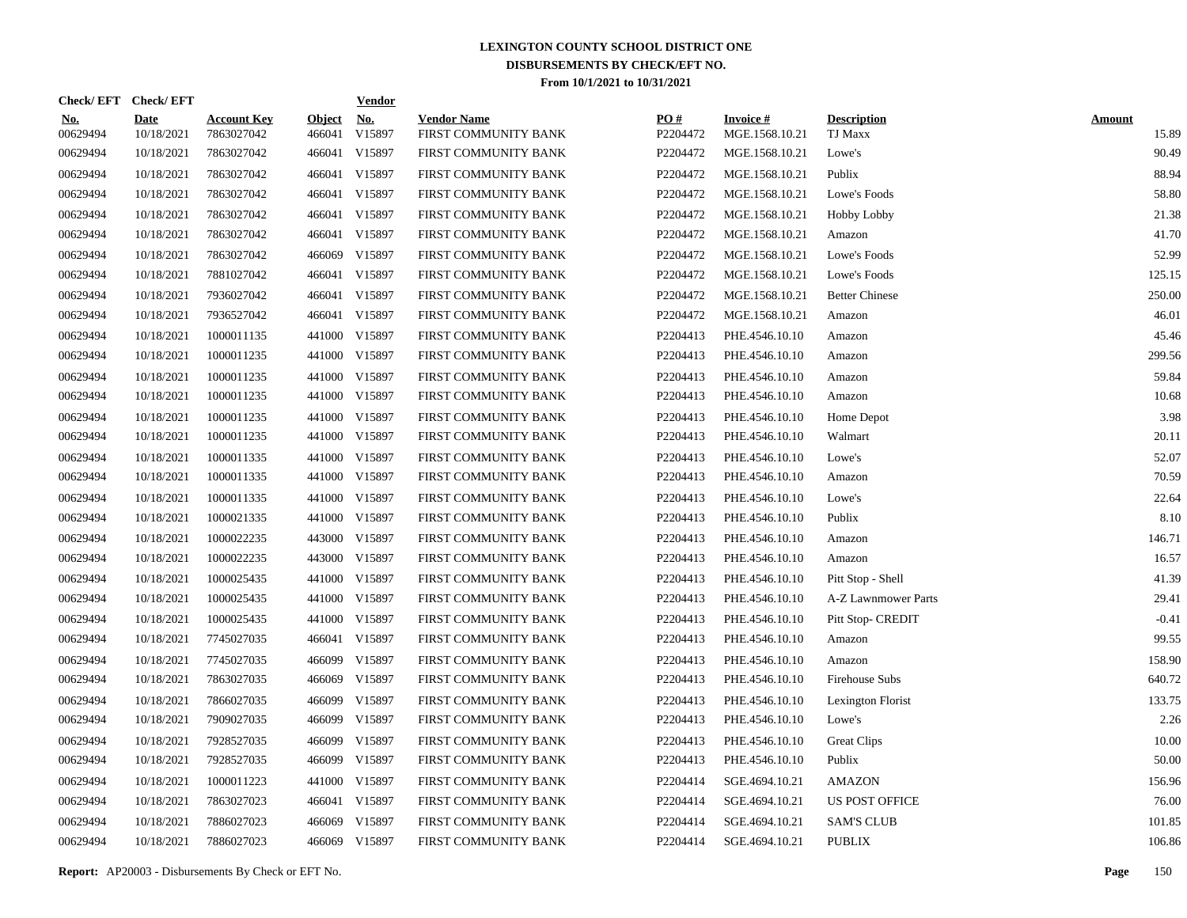|                        | Check/EFT Check/EFT |                                  |                         | <b>Vendor</b> |                                            |                 |                                   |                                      |                        |
|------------------------|---------------------|----------------------------------|-------------------------|---------------|--------------------------------------------|-----------------|-----------------------------------|--------------------------------------|------------------------|
| <u>No.</u><br>00629494 | Date<br>10/18/2021  | <b>Account Key</b><br>7863027042 | <b>Object</b><br>466041 | No.<br>V15897 | <b>Vendor Name</b><br>FIRST COMMUNITY BANK | PO#<br>P2204472 | <b>Invoice#</b><br>MGE.1568.10.21 | <b>Description</b><br><b>TJ Maxx</b> | <b>Amount</b><br>15.89 |
| 00629494               | 10/18/2021          | 7863027042                       | 466041                  | V15897        | FIRST COMMUNITY BANK                       | P2204472        | MGE.1568.10.21                    | Lowe's                               | 90.49                  |
| 00629494               | 10/18/2021          | 7863027042                       | 466041                  | V15897        | FIRST COMMUNITY BANK                       | P2204472        | MGE.1568.10.21                    | Publix                               | 88.94                  |
| 00629494               | 10/18/2021          | 7863027042                       | 466041                  | V15897        | FIRST COMMUNITY BANK                       | P2204472        | MGE.1568.10.21                    | Lowe's Foods                         | 58.80                  |
| 00629494               | 10/18/2021          | 7863027042                       | 466041                  | V15897        | FIRST COMMUNITY BANK                       | P2204472        | MGE.1568.10.21                    | Hobby Lobby                          | 21.38                  |
| 00629494               | 10/18/2021          | 7863027042                       | 466041                  | V15897        | FIRST COMMUNITY BANK                       | P2204472        | MGE.1568.10.21                    | Amazon                               | 41.70                  |
| 00629494               | 10/18/2021          | 7863027042                       | 466069                  | V15897        | FIRST COMMUNITY BANK                       | P2204472        | MGE.1568.10.21                    | Lowe's Foods                         | 52.99                  |
| 00629494               | 10/18/2021          | 7881027042                       | 466041                  | V15897        | FIRST COMMUNITY BANK                       | P2204472        | MGE.1568.10.21                    | Lowe's Foods                         | 125.15                 |
| 00629494               | 10/18/2021          | 7936027042                       |                         | 466041 V15897 | FIRST COMMUNITY BANK                       | P2204472        | MGE.1568.10.21                    | <b>Better Chinese</b>                | 250.00                 |
| 00629494               | 10/18/2021          | 7936527042                       | 466041                  | V15897        | FIRST COMMUNITY BANK                       | P2204472        | MGE.1568.10.21                    | Amazon                               | 46.01                  |
| 00629494               | 10/18/2021          | 1000011135                       |                         | 441000 V15897 | FIRST COMMUNITY BANK                       | P2204413        | PHE.4546.10.10                    | Amazon                               | 45.46                  |
| 00629494               | 10/18/2021          | 1000011235                       |                         | 441000 V15897 | FIRST COMMUNITY BANK                       | P2204413        | PHE.4546.10.10                    | Amazon                               | 299.56                 |
| 00629494               | 10/18/2021          | 1000011235                       |                         | 441000 V15897 | FIRST COMMUNITY BANK                       | P2204413        | PHE.4546.10.10                    | Amazon                               | 59.84                  |
| 00629494               | 10/18/2021          | 1000011235                       |                         | 441000 V15897 | FIRST COMMUNITY BANK                       | P2204413        | PHE.4546.10.10                    | Amazon                               | 10.68                  |
| 00629494               | 10/18/2021          | 1000011235                       |                         | 441000 V15897 | FIRST COMMUNITY BANK                       | P2204413        | PHE.4546.10.10                    | Home Depot                           | 3.98                   |
| 00629494               | 10/18/2021          | 1000011235                       |                         | 441000 V15897 | FIRST COMMUNITY BANK                       | P2204413        | PHE.4546.10.10                    | Walmart                              | 20.11                  |
| 00629494               | 10/18/2021          | 1000011335                       |                         | 441000 V15897 | FIRST COMMUNITY BANK                       | P2204413        | PHE.4546.10.10                    | Lowe's                               | 52.07                  |
| 00629494               | 10/18/2021          | 1000011335                       |                         | 441000 V15897 | FIRST COMMUNITY BANK                       | P2204413        | PHE.4546.10.10                    | Amazon                               | 70.59                  |
| 00629494               | 10/18/2021          | 1000011335                       |                         | 441000 V15897 | FIRST COMMUNITY BANK                       | P2204413        | PHE.4546.10.10                    | Lowe's                               | 22.64                  |
| 00629494               | 10/18/2021          | 1000021335                       |                         | 441000 V15897 | FIRST COMMUNITY BANK                       | P2204413        | PHE.4546.10.10                    | Publix                               | 8.10                   |
| 00629494               | 10/18/2021          | 1000022235                       |                         | 443000 V15897 | FIRST COMMUNITY BANK                       | P2204413        | PHE.4546.10.10                    | Amazon                               | 146.71                 |
| 00629494               | 10/18/2021          | 1000022235                       |                         | 443000 V15897 | FIRST COMMUNITY BANK                       | P2204413        | PHE.4546.10.10                    | Amazon                               | 16.57                  |
| 00629494               | 10/18/2021          | 1000025435                       |                         | 441000 V15897 | FIRST COMMUNITY BANK                       | P2204413        | PHE.4546.10.10                    | Pitt Stop - Shell                    | 41.39                  |
| 00629494               | 10/18/2021          | 1000025435                       |                         | 441000 V15897 | FIRST COMMUNITY BANK                       | P2204413        | PHE.4546.10.10                    | A-Z Lawnmower Parts                  | 29.41                  |
| 00629494               | 10/18/2021          | 1000025435                       |                         | 441000 V15897 | FIRST COMMUNITY BANK                       | P2204413        | PHE.4546.10.10                    | Pitt Stop- CREDIT                    | $-0.41$                |
| 00629494               | 10/18/2021          | 7745027035                       | 466041                  | V15897        | FIRST COMMUNITY BANK                       | P2204413        | PHE.4546.10.10                    | Amazon                               | 99.55                  |
| 00629494               | 10/18/2021          | 7745027035                       |                         | 466099 V15897 | FIRST COMMUNITY BANK                       | P2204413        | PHE.4546.10.10                    | Amazon                               | 158.90                 |
| 00629494               | 10/18/2021          | 7863027035                       | 466069                  | V15897        | FIRST COMMUNITY BANK                       | P2204413        | PHE.4546.10.10                    | Firehouse Subs                       | 640.72                 |
| 00629494               | 10/18/2021          | 7866027035                       | 466099                  | V15897        | FIRST COMMUNITY BANK                       | P2204413        | PHE.4546.10.10                    | Lexington Florist                    | 133.75                 |
| 00629494               | 10/18/2021          | 7909027035                       | 466099                  | V15897        | FIRST COMMUNITY BANK                       | P2204413        | PHE.4546.10.10                    | Lowe's                               | 2.26                   |
| 00629494               | 10/18/2021          | 7928527035                       | 466099                  | V15897        | FIRST COMMUNITY BANK                       | P2204413        | PHE.4546.10.10                    | <b>Great Clips</b>                   | 10.00                  |
| 00629494               | 10/18/2021          | 7928527035                       |                         | 466099 V15897 | FIRST COMMUNITY BANK                       | P2204413        | PHE.4546.10.10                    | Publix                               | 50.00                  |
| 00629494               | 10/18/2021          | 1000011223                       | 441000                  | V15897        | FIRST COMMUNITY BANK                       | P2204414        | SGE.4694.10.21                    | <b>AMAZON</b>                        | 156.96                 |
| 00629494               | 10/18/2021          | 7863027023                       | 466041                  | V15897        | FIRST COMMUNITY BANK                       | P2204414        | SGE.4694.10.21                    | <b>US POST OFFICE</b>                | 76.00                  |
| 00629494               | 10/18/2021          | 7886027023                       | 466069                  | V15897        | FIRST COMMUNITY BANK                       | P2204414        | SGE.4694.10.21                    | <b>SAM'S CLUB</b>                    | 101.85                 |
| 00629494               | 10/18/2021          | 7886027023                       |                         | 466069 V15897 | FIRST COMMUNITY BANK                       | P2204414        | SGE.4694.10.21                    | <b>PUBLIX</b>                        | 106.86                 |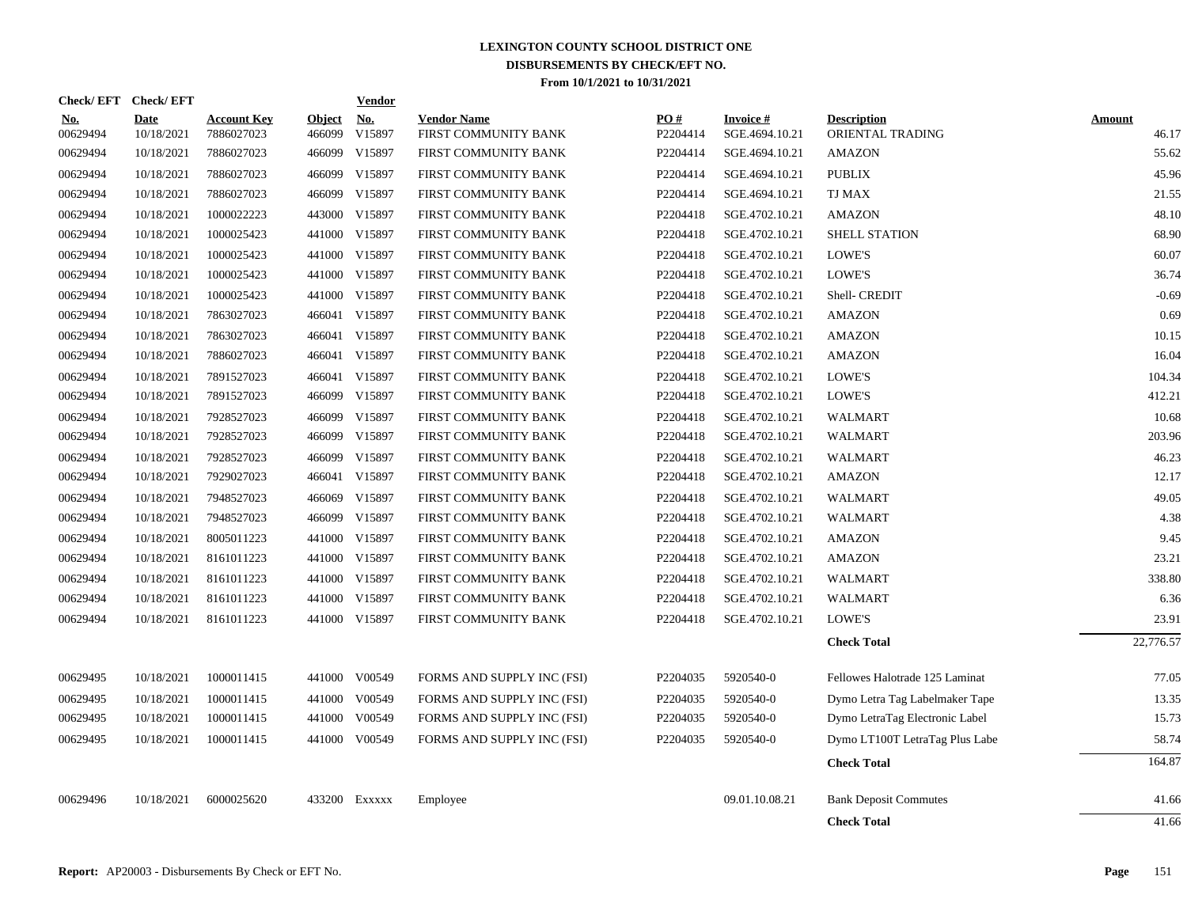| Check/EFT Check/EFT    |                           |                                  |                         | <b>Vendor</b>        |                                            |                      |                                   |                                        |                        |
|------------------------|---------------------------|----------------------------------|-------------------------|----------------------|--------------------------------------------|----------------------|-----------------------------------|----------------------------------------|------------------------|
| <u>No.</u><br>00629494 | <b>Date</b><br>10/18/2021 | <b>Account Key</b><br>7886027023 | <b>Object</b><br>466099 | <u>No.</u><br>V15897 | <b>Vendor Name</b><br>FIRST COMMUNITY BANK | PO#<br>P2204414      | <b>Invoice#</b><br>SGE.4694.10.21 | <b>Description</b><br>ORIENTAL TRADING | <b>Amount</b><br>46.17 |
| 00629494               | 10/18/2021                | 7886027023                       |                         | 466099 V15897        | FIRST COMMUNITY BANK                       | P2204414             | SGE.4694.10.21                    | <b>AMAZON</b>                          | 55.62                  |
| 00629494               | 10/18/2021                | 7886027023                       | 466099                  | V15897               | FIRST COMMUNITY BANK                       | P2204414             | SGE.4694.10.21                    | <b>PUBLIX</b>                          | 45.96                  |
| 00629494               | 10/18/2021                | 7886027023                       | 466099                  | V15897               | FIRST COMMUNITY BANK                       | P2204414             | SGE.4694.10.21                    | TJ MAX                                 | 21.55                  |
| 00629494               | 10/18/2021                | 1000022223                       | 443000                  | V15897               | FIRST COMMUNITY BANK                       | P2204418             | SGE.4702.10.21                    | <b>AMAZON</b>                          | 48.10                  |
| 00629494               | 10/18/2021                | 1000025423                       |                         | 441000 V15897        | FIRST COMMUNITY BANK                       | P2204418             | SGE.4702.10.21                    | <b>SHELL STATION</b>                   | 68.90                  |
| 00629494               | 10/18/2021                | 1000025423                       | 441000                  | V15897               | FIRST COMMUNITY BANK                       | P2204418             | SGE.4702.10.21                    | LOWE'S                                 | 60.07                  |
| 00629494               | 10/18/2021                | 1000025423                       |                         | 441000 V15897        | FIRST COMMUNITY BANK                       | P2204418             | SGE.4702.10.21                    | LOWE'S                                 | 36.74                  |
| 00629494               | 10/18/2021                | 1000025423                       |                         | 441000 V15897        | FIRST COMMUNITY BANK                       | P2204418             | SGE.4702.10.21                    | Shell- CREDIT                          | $-0.69$                |
| 00629494               | 10/18/2021                | 7863027023                       |                         | 466041 V15897        | FIRST COMMUNITY BANK                       | P2204418             | SGE.4702.10.21                    | <b>AMAZON</b>                          | 0.69                   |
| 00629494               | 10/18/2021                | 7863027023                       |                         | 466041 V15897        | FIRST COMMUNITY BANK                       | P2204418             | SGE.4702.10.21                    | <b>AMAZON</b>                          | 10.15                  |
| 00629494               | 10/18/2021                | 7886027023                       |                         | 466041 V15897        | FIRST COMMUNITY BANK                       | P2204418             | SGE.4702.10.21                    | <b>AMAZON</b>                          | 16.04                  |
| 00629494               | 10/18/2021                | 7891527023                       | 466041                  | V15897               | FIRST COMMUNITY BANK                       | P2204418             | SGE.4702.10.21                    | LOWE'S                                 | 104.34                 |
| 00629494               | 10/18/2021                | 7891527023                       |                         | 466099 V15897        | FIRST COMMUNITY BANK                       | P2204418             | SGE.4702.10.21                    | LOWE'S                                 | 412.21                 |
| 00629494               | 10/18/2021                | 7928527023                       | 466099                  | V15897               | FIRST COMMUNITY BANK                       | P2204418             | SGE.4702.10.21                    | <b>WALMART</b>                         | 10.68                  |
| 00629494               | 10/18/2021                | 7928527023                       | 466099                  | V15897               | FIRST COMMUNITY BANK                       | P2204418             | SGE.4702.10.21                    | <b>WALMART</b>                         | 203.96                 |
| 00629494               | 10/18/2021                | 7928527023                       | 466099                  | V15897               | FIRST COMMUNITY BANK                       | P2204418             | SGE.4702.10.21                    | <b>WALMART</b>                         | 46.23                  |
| 00629494               | 10/18/2021                | 7929027023                       | 466041                  | V15897               | FIRST COMMUNITY BANK                       | P2204418             | SGE.4702.10.21                    | <b>AMAZON</b>                          | 12.17                  |
| 00629494               | 10/18/2021                | 7948527023                       | 466069                  | V15897               | FIRST COMMUNITY BANK                       | P2204418             | SGE.4702.10.21                    | <b>WALMART</b>                         | 49.05                  |
| 00629494               | 10/18/2021                | 7948527023                       | 466099                  | V15897               | FIRST COMMUNITY BANK                       | P2204418             | SGE.4702.10.21                    | <b>WALMART</b>                         | 4.38                   |
| 00629494               | 10/18/2021                | 8005011223                       | 441000                  | V15897               | FIRST COMMUNITY BANK                       | P2204418             | SGE.4702.10.21                    | <b>AMAZON</b>                          | 9.45                   |
| 00629494               | 10/18/2021                | 8161011223                       | 441000                  | V15897               | FIRST COMMUNITY BANK                       | P2204418             | SGE.4702.10.21                    | <b>AMAZON</b>                          | 23.21                  |
| 00629494               | 10/18/2021                | 8161011223                       |                         | 441000 V15897        | FIRST COMMUNITY BANK                       | P2204418             | SGE.4702.10.21                    | <b>WALMART</b>                         | 338.80                 |
| 00629494               | 10/18/2021                | 8161011223                       | 441000                  | V15897               | FIRST COMMUNITY BANK                       | P2204418             | SGE.4702.10.21                    | <b>WALMART</b>                         | 6.36                   |
| 00629494               | 10/18/2021                | 8161011223                       |                         | 441000 V15897        | FIRST COMMUNITY BANK                       | P2204418             | SGE.4702.10.21                    | LOWE'S                                 | 23.91                  |
|                        |                           |                                  |                         |                      |                                            |                      |                                   | <b>Check Total</b>                     | 22,776.57              |
| 00629495               | 10/18/2021                | 1000011415                       | 441000                  | V00549               | FORMS AND SUPPLY INC (FSI)                 | P <sub>2204035</sub> | 5920540-0                         | Fellowes Halotrade 125 Laminat         | 77.05                  |
| 00629495               | 10/18/2021                | 1000011415                       |                         | 441000 V00549        | FORMS AND SUPPLY INC (FSI)                 | P2204035             | 5920540-0                         | Dymo Letra Tag Labelmaker Tape         | 13.35                  |
| 00629495               | 10/18/2021                | 1000011415                       | 441000                  | V00549               | FORMS AND SUPPLY INC (FSI)                 | P2204035             | 5920540-0                         | Dymo LetraTag Electronic Label         | 15.73                  |
| 00629495               | 10/18/2021                | 1000011415                       |                         | 441000 V00549        | FORMS AND SUPPLY INC (FSI)                 | P2204035             | 5920540-0                         | Dymo LT100T LetraTag Plus Labe         | 58.74                  |
|                        |                           |                                  |                         |                      |                                            |                      |                                   | <b>Check Total</b>                     | 164.87                 |
| 00629496               | 10/18/2021                | 6000025620                       |                         | 433200 Exxxxx        | Employee                                   |                      | 09.01.10.08.21                    | <b>Bank Deposit Commutes</b>           | 41.66                  |
|                        |                           |                                  |                         |                      |                                            |                      |                                   | <b>Check Total</b>                     | 41.66                  |
|                        |                           |                                  |                         |                      |                                            |                      |                                   |                                        |                        |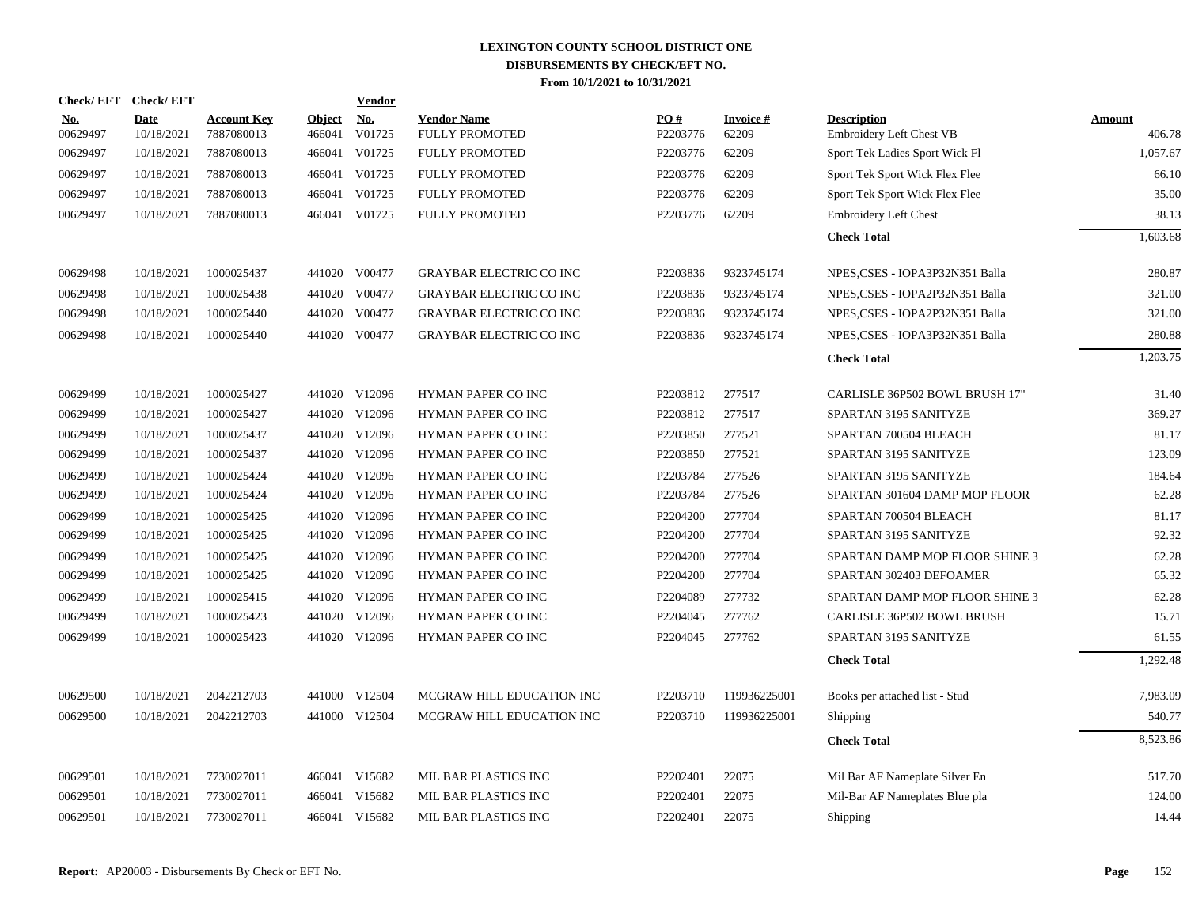| Check/EFT Check/EFT    |                           |                                  |                         | Vendor        |                                             |                 |                    |                                                |                  |
|------------------------|---------------------------|----------------------------------|-------------------------|---------------|---------------------------------------------|-----------------|--------------------|------------------------------------------------|------------------|
| <b>No.</b><br>00629497 | <b>Date</b><br>10/18/2021 | <b>Account Key</b><br>7887080013 | <b>Object</b><br>466041 | No.<br>V01725 | <b>Vendor Name</b><br><b>FULLY PROMOTED</b> | PO#<br>P2203776 | Invoice #<br>62209 | <b>Description</b><br>Embroidery Left Chest VB | Amount<br>406.78 |
| 00629497               | 10/18/2021                | 7887080013                       | 466041                  | V01725        | FULLY PROMOTED                              | P2203776        | 62209              | Sport Tek Ladies Sport Wick Fl                 | 1,057.67         |
| 00629497               | 10/18/2021                | 7887080013                       | 466041                  | V01725        | <b>FULLY PROMOTED</b>                       | P2203776        | 62209              | Sport Tek Sport Wick Flex Flee                 | 66.10            |
| 00629497               | 10/18/2021                | 7887080013                       | 466041                  | V01725        | <b>FULLY PROMOTED</b>                       | P2203776        | 62209              | Sport Tek Sport Wick Flex Flee                 | 35.00            |
| 00629497               | 10/18/2021                | 7887080013                       | 466041                  | V01725        | <b>FULLY PROMOTED</b>                       | P2203776        | 62209              | <b>Embroidery Left Chest</b>                   | 38.13            |
|                        |                           |                                  |                         |               |                                             |                 |                    | <b>Check Total</b>                             | 1,603.68         |
| 00629498               | 10/18/2021                | 1000025437                       |                         | 441020 V00477 | <b>GRAYBAR ELECTRIC CO INC</b>              | P2203836        | 9323745174         | NPES,CSES - IOPA3P32N351 Balla                 | 280.87           |
| 00629498               | 10/18/2021                | 1000025438                       | 441020                  | V00477        | <b>GRAYBAR ELECTRIC CO INC</b>              | P2203836        | 9323745174         | NPES, CSES - IOPA2P32N351 Balla                | 321.00           |
| 00629498               | 10/18/2021                | 1000025440                       | 441020                  | V00477        | <b>GRAYBAR ELECTRIC CO INC</b>              | P2203836        | 9323745174         | NPES, CSES - IOPA2P32N351 Balla                | 321.00           |
| 00629498               | 10/18/2021                | 1000025440                       |                         | 441020 V00477 | <b>GRAYBAR ELECTRIC CO INC</b>              | P2203836        | 9323745174         | NPES,CSES - IOPA3P32N351 Balla                 | 280.88           |
|                        |                           |                                  |                         |               |                                             |                 |                    | <b>Check Total</b>                             | 1,203.75         |
| 00629499               | 10/18/2021                | 1000025427                       |                         | 441020 V12096 | <b>HYMAN PAPER CO INC</b>                   | P2203812        | 277517             | CARLISLE 36P502 BOWL BRUSH 17"                 | 31.40            |
| 00629499               | 10/18/2021                | 1000025427                       |                         | 441020 V12096 | HYMAN PAPER CO INC                          | P2203812        | 277517             | SPARTAN 3195 SANITYZE                          | 369.27           |
| 00629499               | 10/18/2021                | 1000025437                       |                         | 441020 V12096 | HYMAN PAPER CO INC                          | P2203850        | 277521             | SPARTAN 700504 BLEACH                          | 81.17            |
| 00629499               | 10/18/2021                | 1000025437                       |                         | 441020 V12096 | <b>HYMAN PAPER CO INC</b>                   | P2203850        | 277521             | SPARTAN 3195 SANITYZE                          | 123.09           |
| 00629499               | 10/18/2021                | 1000025424                       | 441020                  | V12096        | HYMAN PAPER CO INC                          | P2203784        | 277526             | SPARTAN 3195 SANITYZE                          | 184.64           |
| 00629499               | 10/18/2021                | 1000025424                       | 441020                  | V12096        | HYMAN PAPER CO INC                          | P2203784        | 277526             | SPARTAN 301604 DAMP MOP FLOOR                  | 62.28            |
| 00629499               | 10/18/2021                | 1000025425                       |                         | 441020 V12096 | HYMAN PAPER CO INC                          | P2204200        | 277704             | SPARTAN 700504 BLEACH                          | 81.17            |
| 00629499               | 10/18/2021                | 1000025425                       |                         | 441020 V12096 | HYMAN PAPER CO INC                          | P2204200        | 277704             | SPARTAN 3195 SANITYZE                          | 92.32            |
| 00629499               | 10/18/2021                | 1000025425                       |                         | 441020 V12096 | HYMAN PAPER CO INC                          | P2204200        | 277704             | SPARTAN DAMP MOP FLOOR SHINE 3                 | 62.28            |
| 00629499               | 10/18/2021                | 1000025425                       |                         | 441020 V12096 | HYMAN PAPER CO INC                          | P2204200        | 277704             | SPARTAN 302403 DEFOAMER                        | 65.32            |
| 00629499               | 10/18/2021                | 1000025415                       |                         | 441020 V12096 | HYMAN PAPER CO INC                          | P2204089        | 277732             | SPARTAN DAMP MOP FLOOR SHINE 3                 | 62.28            |
| 00629499               | 10/18/2021                | 1000025423                       | 441020                  | V12096        | HYMAN PAPER CO INC                          | P2204045        | 277762             | <b>CARLISLE 36P502 BOWL BRUSH</b>              | 15.71            |
| 00629499               | 10/18/2021                | 1000025423                       |                         | 441020 V12096 | HYMAN PAPER CO INC                          | P2204045        | 277762             | SPARTAN 3195 SANITYZE                          | 61.55            |
|                        |                           |                                  |                         |               |                                             |                 |                    | <b>Check Total</b>                             | 1,292.48         |
| 00629500               | 10/18/2021                | 2042212703                       |                         | 441000 V12504 | MCGRAW HILL EDUCATION INC                   | P2203710        | 119936225001       | Books per attached list - Stud                 | 7,983.09         |
| 00629500               | 10/18/2021                | 2042212703                       |                         | 441000 V12504 | MCGRAW HILL EDUCATION INC                   | P2203710        | 119936225001       | Shipping                                       | 540.77           |
|                        |                           |                                  |                         |               |                                             |                 |                    | <b>Check Total</b>                             | 8,523.86         |
| 00629501               | 10/18/2021                | 7730027011                       |                         | 466041 V15682 | MIL BAR PLASTICS INC                        | P2202401        | 22075              | Mil Bar AF Nameplate Silver En                 | 517.70           |
| 00629501               | 10/18/2021                | 7730027011                       |                         | 466041 V15682 | MIL BAR PLASTICS INC                        | P2202401        | 22075              | Mil-Bar AF Nameplates Blue pla                 | 124.00           |
| 00629501               | 10/18/2021                | 7730027011                       |                         | 466041 V15682 | MIL BAR PLASTICS INC                        | P2202401        | 22075              | Shipping                                       | 14.44            |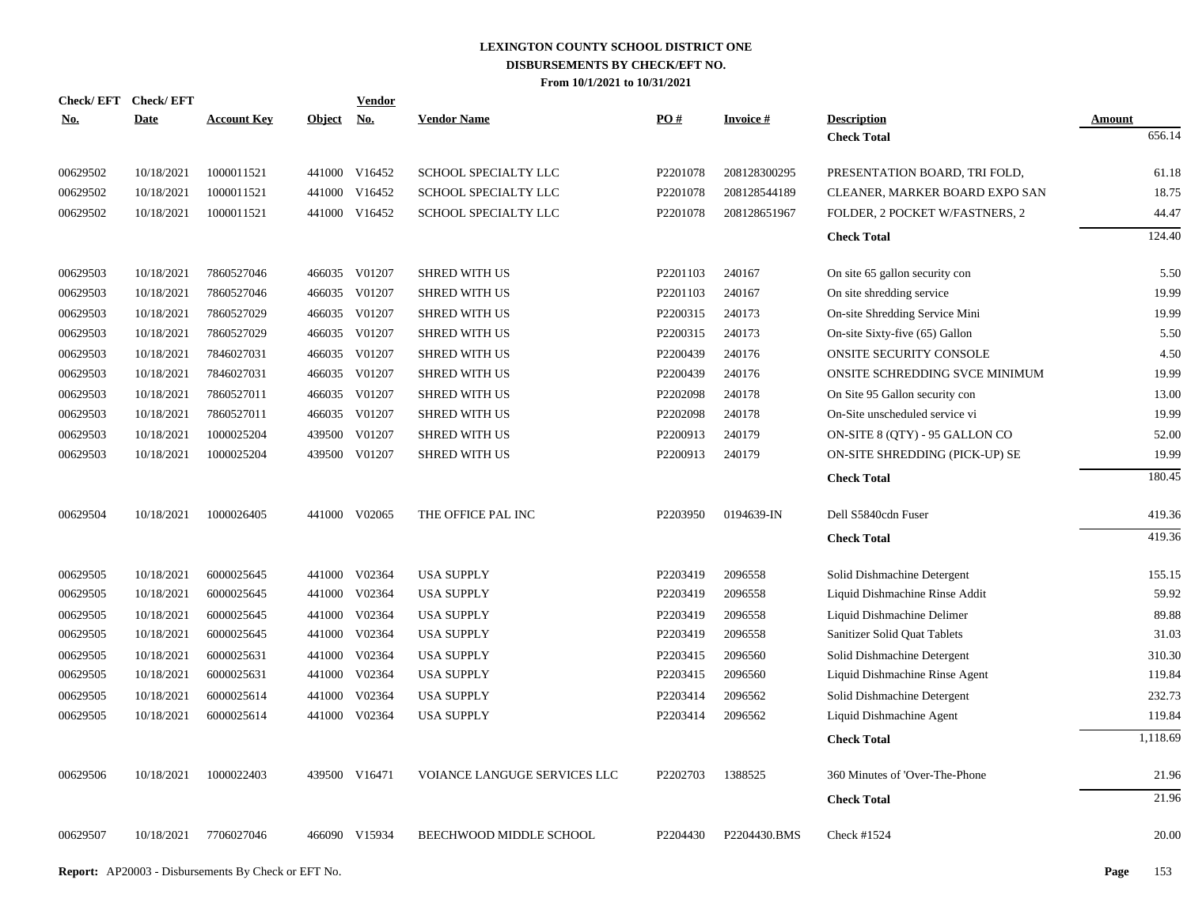| Check/EFT Check/EFT |            |                    |            | <b>Vendor</b> |                              |            |                 |                                          |                  |
|---------------------|------------|--------------------|------------|---------------|------------------------------|------------|-----------------|------------------------------------------|------------------|
| No.                 | Date       | <b>Account Key</b> | Object No. |               | <b>Vendor Name</b>           | <b>PO#</b> | <b>Invoice#</b> | <b>Description</b><br><b>Check Total</b> | Amount<br>656.14 |
|                     |            |                    |            |               |                              |            |                 |                                          |                  |
| 00629502            | 10/18/2021 | 1000011521         |            | 441000 V16452 | SCHOOL SPECIALTY LLC         | P2201078   | 208128300295    | PRESENTATION BOARD, TRI FOLD,            | 61.18            |
| 00629502            | 10/18/2021 | 1000011521         |            | 441000 V16452 | SCHOOL SPECIALTY LLC         | P2201078   | 208128544189    | CLEANER, MARKER BOARD EXPO SAN           | 18.75            |
| 00629502            | 10/18/2021 | 1000011521         |            | 441000 V16452 | SCHOOL SPECIALTY LLC         | P2201078   | 208128651967    | FOLDER, 2 POCKET W/FASTNERS, 2           | 44.47            |
|                     |            |                    |            |               |                              |            |                 | <b>Check Total</b>                       | 124.40           |
|                     |            |                    |            |               |                              |            |                 |                                          |                  |
| 00629503            | 10/18/2021 | 7860527046         |            | 466035 V01207 | <b>SHRED WITH US</b>         | P2201103   | 240167          | On site 65 gallon security con           | 5.50             |
| 00629503            | 10/18/2021 | 7860527046         |            | 466035 V01207 | <b>SHRED WITH US</b>         | P2201103   | 240167          | On site shredding service                | 19.99            |
| 00629503            | 10/18/2021 | 7860527029         |            | 466035 V01207 | <b>SHRED WITH US</b>         | P2200315   | 240173          | On-site Shredding Service Mini           | 19.99            |
| 00629503            | 10/18/2021 | 7860527029         |            | 466035 V01207 | <b>SHRED WITH US</b>         | P2200315   | 240173          | On-site Sixty-five (65) Gallon           | 5.50             |
| 00629503            | 10/18/2021 | 7846027031         |            | 466035 V01207 | <b>SHRED WITH US</b>         | P2200439   | 240176          | ONSITE SECURITY CONSOLE                  | 4.50             |
| 00629503            | 10/18/2021 | 7846027031         |            | 466035 V01207 | <b>SHRED WITH US</b>         | P2200439   | 240176          | ONSITE SCHREDDING SVCE MINIMUM           | 19.99            |
| 00629503            | 10/18/2021 | 7860527011         |            | 466035 V01207 | <b>SHRED WITH US</b>         | P2202098   | 240178          | On Site 95 Gallon security con           | 13.00            |
| 00629503            | 10/18/2021 | 7860527011         |            | 466035 V01207 | <b>SHRED WITH US</b>         | P2202098   | 240178          | On-Site unscheduled service vi           | 19.99            |
| 00629503            | 10/18/2021 | 1000025204         | 439500     | V01207        | <b>SHRED WITH US</b>         | P2200913   | 240179          | ON-SITE 8 (QTY) - 95 GALLON CO           | 52.00            |
| 00629503            | 10/18/2021 | 1000025204         |            | 439500 V01207 | <b>SHRED WITH US</b>         | P2200913   | 240179          | ON-SITE SHREDDING (PICK-UP) SE           | 19.99            |
|                     |            |                    |            |               |                              |            |                 | <b>Check Total</b>                       | 180.45           |
|                     |            |                    |            |               |                              |            |                 |                                          |                  |
| 00629504            | 10/18/2021 | 1000026405         |            | 441000 V02065 | THE OFFICE PAL INC           | P2203950   | 0194639-IN      | Dell S5840cdn Fuser                      | 419.36           |
|                     |            |                    |            |               |                              |            |                 | <b>Check Total</b>                       | 419.36           |
|                     |            |                    |            |               |                              |            |                 |                                          |                  |
| 00629505            | 10/18/2021 | 6000025645         |            | 441000 V02364 | <b>USA SUPPLY</b>            | P2203419   | 2096558         | Solid Dishmachine Detergent              | 155.15           |
| 00629505            | 10/18/2021 | 6000025645         |            | 441000 V02364 | <b>USA SUPPLY</b>            | P2203419   | 2096558         | Liquid Dishmachine Rinse Addit           | 59.92            |
| 00629505            | 10/18/2021 | 6000025645         |            | 441000 V02364 | <b>USA SUPPLY</b>            | P2203419   | 2096558         | Liquid Dishmachine Delimer               | 89.88            |
| 00629505            | 10/18/2021 | 6000025645         |            | 441000 V02364 | <b>USA SUPPLY</b>            | P2203419   | 2096558         | Sanitizer Solid Quat Tablets             | 31.03            |
| 00629505            | 10/18/2021 | 6000025631         |            | 441000 V02364 | <b>USA SUPPLY</b>            | P2203415   | 2096560         | Solid Dishmachine Detergent              | 310.30           |
| 00629505            | 10/18/2021 | 6000025631         |            | 441000 V02364 | <b>USA SUPPLY</b>            | P2203415   | 2096560         | Liquid Dishmachine Rinse Agent           | 119.84           |
| 00629505            | 10/18/2021 | 6000025614         | 441000     | V02364        | <b>USA SUPPLY</b>            | P2203414   | 2096562         | Solid Dishmachine Detergent              | 232.73           |
| 00629505            | 10/18/2021 | 6000025614         |            | 441000 V02364 | <b>USA SUPPLY</b>            | P2203414   | 2096562         | Liquid Dishmachine Agent                 | 119.84           |
|                     |            |                    |            |               |                              |            |                 | <b>Check Total</b>                       | 1,118.69         |
|                     |            |                    |            |               |                              |            |                 |                                          |                  |
| 00629506            | 10/18/2021 | 1000022403         |            | 439500 V16471 | VOIANCE LANGUGE SERVICES LLC | P2202703   | 1388525         | 360 Minutes of 'Over-The-Phone           | 21.96            |
|                     |            |                    |            |               |                              |            |                 | <b>Check Total</b>                       | 21.96            |
| 00629507            | 10/18/2021 | 7706027046         |            | 466090 V15934 | BEECHWOOD MIDDLE SCHOOL      | P2204430   | P2204430.BMS    | Check #1524                              | 20.00            |
|                     |            |                    |            |               |                              |            |                 |                                          |                  |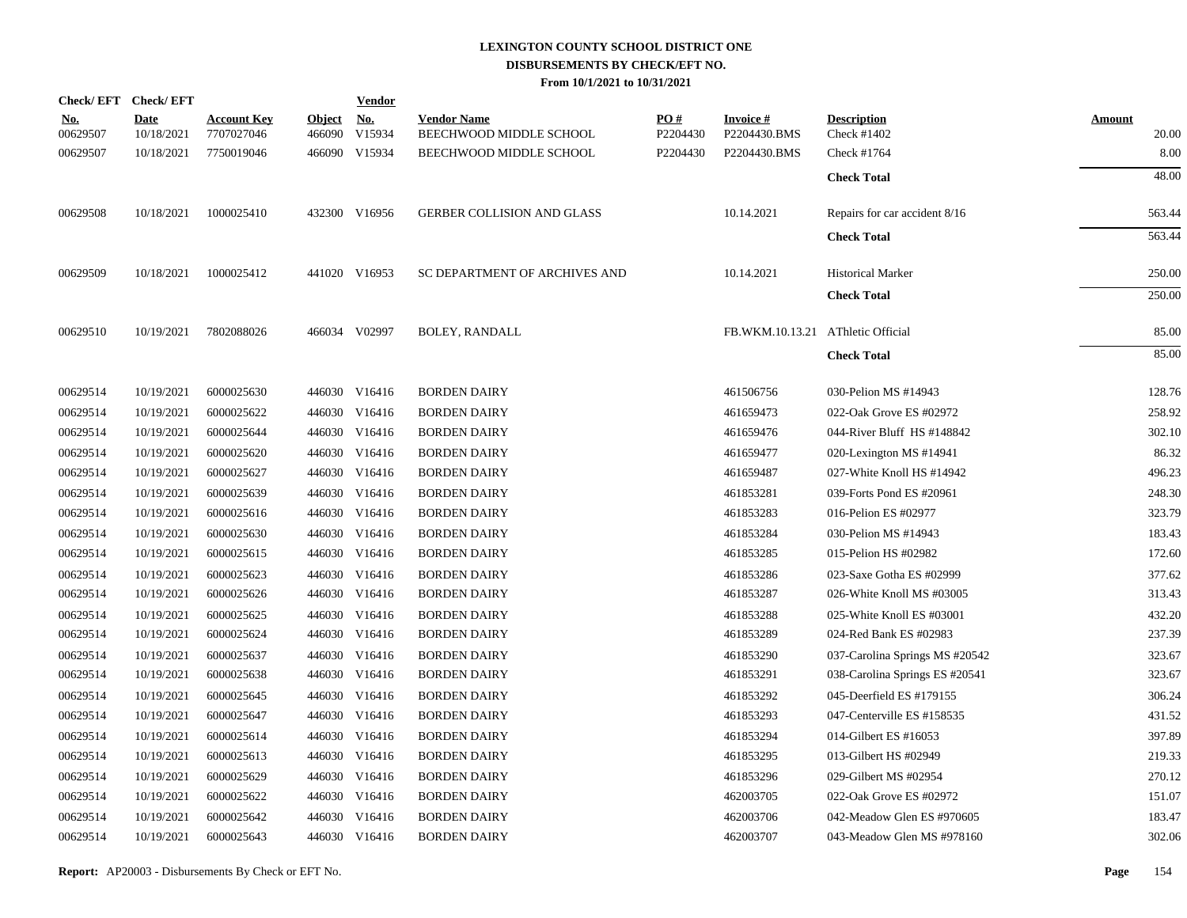|                        | Check/EFT Check/EFT       |                                  |                      | <b>Vendor</b> |                                               |                               |                                   |                                   |                        |
|------------------------|---------------------------|----------------------------------|----------------------|---------------|-----------------------------------------------|-------------------------------|-----------------------------------|-----------------------------------|------------------------|
| <u>No.</u><br>00629507 | <b>Date</b><br>10/18/2021 | <b>Account Key</b><br>7707027046 | Object No.<br>466090 | V15934        | <b>Vendor Name</b><br>BEECHWOOD MIDDLE SCHOOL | $\underline{PO#}$<br>P2204430 | <b>Invoice#</b><br>P2204430.BMS   | <b>Description</b><br>Check #1402 | <b>Amount</b><br>20.00 |
| 00629507               | 10/18/2021                | 7750019046                       |                      | 466090 V15934 | BEECHWOOD MIDDLE SCHOOL                       | P2204430                      | P2204430.BMS                      | Check #1764                       | 8.00                   |
|                        |                           |                                  |                      |               |                                               |                               |                                   | <b>Check Total</b>                | 48.00                  |
| 00629508               | 10/18/2021                | 1000025410                       |                      | 432300 V16956 | GERBER COLLISION AND GLASS                    |                               | 10.14.2021                        | Repairs for car accident 8/16     | 563.44                 |
|                        |                           |                                  |                      |               |                                               |                               |                                   | <b>Check Total</b>                | 563.44                 |
| 00629509               | 10/18/2021                | 1000025412                       |                      | 441020 V16953 | SC DEPARTMENT OF ARCHIVES AND                 |                               | 10.14.2021                        | <b>Historical Marker</b>          | 250.00                 |
|                        |                           |                                  |                      |               |                                               |                               |                                   | <b>Check Total</b>                | 250.00                 |
| 00629510               | 10/19/2021                | 7802088026                       |                      | 466034 V02997 | <b>BOLEY, RANDALL</b>                         |                               | FB.WKM.10.13.21 AThletic Official |                                   | 85.00                  |
|                        |                           |                                  |                      |               |                                               |                               |                                   | <b>Check Total</b>                | 85.00                  |
| 00629514               | 10/19/2021                | 6000025630                       |                      | 446030 V16416 | <b>BORDEN DAIRY</b>                           |                               | 461506756                         | 030-Pelion MS #14943              | 128.76                 |
| 00629514               | 10/19/2021                | 6000025622                       |                      | 446030 V16416 | <b>BORDEN DAIRY</b>                           |                               | 461659473                         | 022-Oak Grove ES #02972           | 258.92                 |
| 00629514               | 10/19/2021                | 6000025644                       |                      | 446030 V16416 | <b>BORDEN DAIRY</b>                           |                               | 461659476                         | 044-River Bluff HS #148842        | 302.10                 |
| 00629514               | 10/19/2021                | 6000025620                       |                      | 446030 V16416 | <b>BORDEN DAIRY</b>                           |                               | 461659477                         | 020-Lexington MS #14941           | 86.32                  |
| 00629514               | 10/19/2021                | 6000025627                       |                      | 446030 V16416 | <b>BORDEN DAIRY</b>                           |                               | 461659487                         | 027-White Knoll HS #14942         | 496.23                 |
| 00629514               | 10/19/2021                | 6000025639                       |                      | 446030 V16416 | <b>BORDEN DAIRY</b>                           |                               | 461853281                         | 039-Forts Pond ES #20961          | 248.30                 |
| 00629514               | 10/19/2021                | 6000025616                       |                      | 446030 V16416 | <b>BORDEN DAIRY</b>                           |                               | 461853283                         | 016-Pelion ES #02977              | 323.79                 |
| 00629514               | 10/19/2021                | 6000025630                       |                      | 446030 V16416 | <b>BORDEN DAIRY</b>                           |                               | 461853284                         | 030-Pelion MS #14943              | 183.43                 |
| 00629514               | 10/19/2021                | 6000025615                       |                      | 446030 V16416 | <b>BORDEN DAIRY</b>                           |                               | 461853285                         | 015-Pelion HS #02982              | 172.60                 |
| 00629514               | 10/19/2021                | 6000025623                       |                      | 446030 V16416 | <b>BORDEN DAIRY</b>                           |                               | 461853286                         | 023-Saxe Gotha ES #02999          | 377.62                 |
| 00629514               | 10/19/2021                | 6000025626                       |                      | 446030 V16416 | <b>BORDEN DAIRY</b>                           |                               | 461853287                         | 026-White Knoll MS #03005         | 313.43                 |
| 00629514               | 10/19/2021                | 6000025625                       |                      | 446030 V16416 | <b>BORDEN DAIRY</b>                           |                               | 461853288                         | 025-White Knoll ES #03001         | 432.20                 |
| 00629514               | 10/19/2021                | 6000025624                       |                      | 446030 V16416 | <b>BORDEN DAIRY</b>                           |                               | 461853289                         | 024-Red Bank ES #02983            | 237.39                 |
| 00629514               | 10/19/2021                | 6000025637                       |                      | 446030 V16416 | <b>BORDEN DAIRY</b>                           |                               | 461853290                         | 037-Carolina Springs MS #20542    | 323.67                 |
| 00629514               | 10/19/2021                | 6000025638                       |                      | 446030 V16416 | <b>BORDEN DAIRY</b>                           |                               | 461853291                         | 038-Carolina Springs ES #20541    | 323.67                 |
| 00629514               | 10/19/2021                | 6000025645                       |                      | 446030 V16416 | <b>BORDEN DAIRY</b>                           |                               | 461853292                         | 045-Deerfield ES #179155          | 306.24                 |
| 00629514               | 10/19/2021                | 6000025647                       |                      | 446030 V16416 | <b>BORDEN DAIRY</b>                           |                               | 461853293                         | 047-Centerville ES #158535        | 431.52                 |
| 00629514               | 10/19/2021                | 6000025614                       |                      | 446030 V16416 | <b>BORDEN DAIRY</b>                           |                               | 461853294                         | 014-Gilbert ES #16053             | 397.89                 |
| 00629514               | 10/19/2021                | 6000025613                       |                      | 446030 V16416 | <b>BORDEN DAIRY</b>                           |                               | 461853295                         | 013-Gilbert HS #02949             | 219.33                 |
| 00629514               | 10/19/2021                | 6000025629                       |                      | 446030 V16416 | <b>BORDEN DAIRY</b>                           |                               | 461853296                         | 029-Gilbert MS #02954             | 270.12                 |
| 00629514               | 10/19/2021                | 6000025622                       |                      | 446030 V16416 | <b>BORDEN DAIRY</b>                           |                               | 462003705                         | 022-Oak Grove ES #02972           | 151.07                 |
| 00629514               | 10/19/2021                | 6000025642                       |                      | 446030 V16416 | <b>BORDEN DAIRY</b>                           |                               | 462003706                         | 042-Meadow Glen ES #970605        | 183.47                 |
| 00629514               | 10/19/2021                | 6000025643                       |                      | 446030 V16416 | <b>BORDEN DAIRY</b>                           |                               | 462003707                         | 043-Meadow Glen MS #978160        | 302.06                 |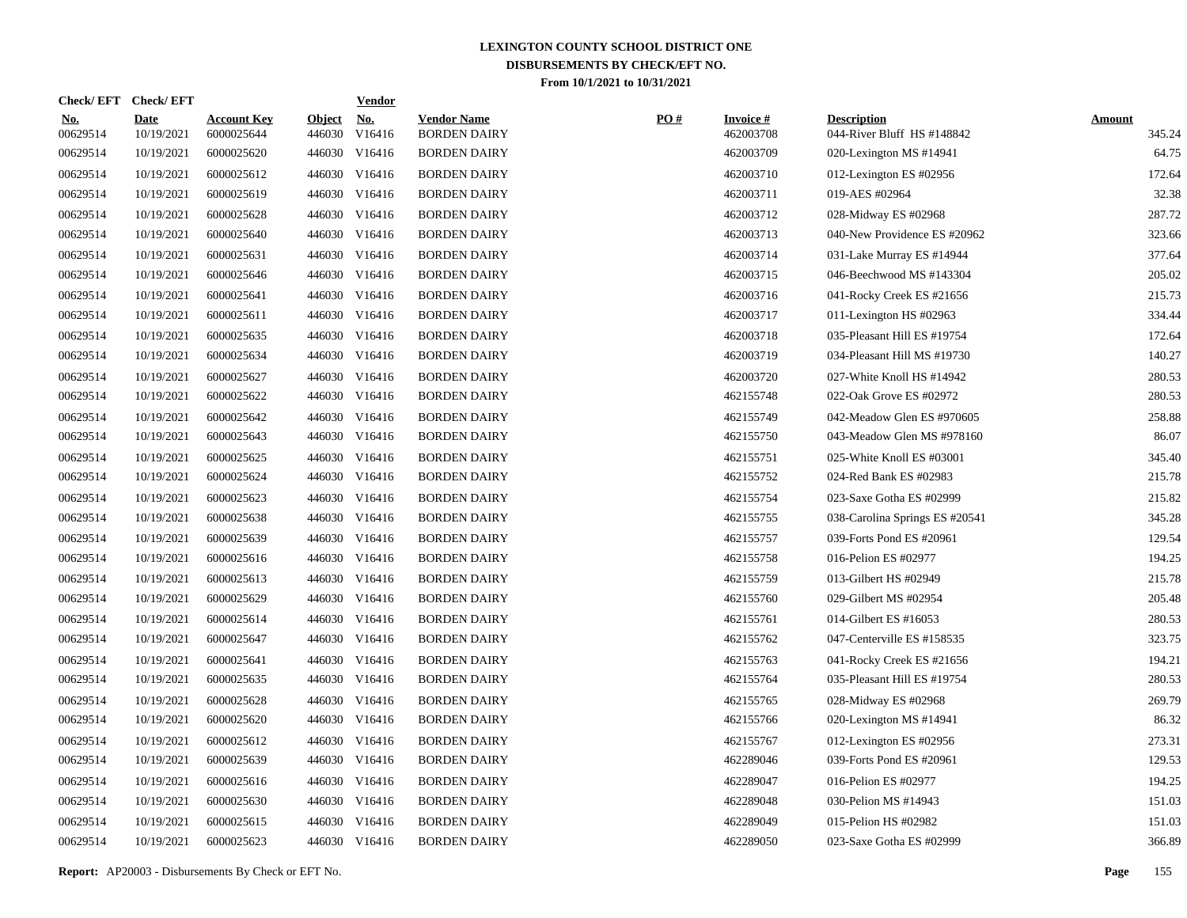| <b>Check/EFT</b>       | <b>Check/EFT</b>          |                                  |                         | <u>Vendor</u>        |                                           |     |                              |                                                  |                         |
|------------------------|---------------------------|----------------------------------|-------------------------|----------------------|-------------------------------------------|-----|------------------------------|--------------------------------------------------|-------------------------|
| <u>No.</u><br>00629514 | <b>Date</b><br>10/19/2021 | <b>Account Key</b><br>6000025644 | <b>Object</b><br>446030 | <u>No.</u><br>V16416 | <b>Vendor Name</b><br><b>BORDEN DAIRY</b> | PO# | <b>Invoice#</b><br>462003708 | <b>Description</b><br>044-River Bluff HS #148842 | <b>Amount</b><br>345.24 |
| 00629514               | 10/19/2021                | 6000025620                       | 446030                  | V16416               | <b>BORDEN DAIRY</b>                       |     | 462003709                    | 020-Lexington MS #14941                          | 64.75                   |
| 00629514               | 10/19/2021                | 6000025612                       | 446030                  | V16416               | <b>BORDEN DAIRY</b>                       |     | 462003710                    | 012-Lexington ES #02956                          | 172.64                  |
| 00629514               | 10/19/2021                | 6000025619                       | 446030                  | V16416               | <b>BORDEN DAIRY</b>                       |     | 462003711                    | 019-AES #02964                                   | 32.38                   |
| 00629514               | 10/19/2021                | 6000025628                       | 446030                  | V16416               | <b>BORDEN DAIRY</b>                       |     | 462003712                    | 028-Midway ES #02968                             | 287.72                  |
| 00629514               | 10/19/2021                | 6000025640                       | 446030                  | V16416               | <b>BORDEN DAIRY</b>                       |     | 462003713                    | 040-New Providence ES #20962                     | 323.66                  |
| 00629514               | 10/19/2021                | 6000025631                       | 446030                  | V16416               | <b>BORDEN DAIRY</b>                       |     | 462003714                    | 031-Lake Murray ES #14944                        | 377.64                  |
| 00629514               | 10/19/2021                | 6000025646                       | 446030                  | V16416               | <b>BORDEN DAIRY</b>                       |     | 462003715                    | 046-Beechwood MS #143304                         | 205.02                  |
| 00629514               | 10/19/2021                | 6000025641                       | 446030                  | V16416               | <b>BORDEN DAIRY</b>                       |     | 462003716                    | 041-Rocky Creek ES #21656                        | 215.73                  |
| 00629514               | 10/19/2021                | 6000025611                       |                         | 446030 V16416        | <b>BORDEN DAIRY</b>                       |     | 462003717                    | 011-Lexington HS #02963                          | 334.44                  |
| 00629514               | 10/19/2021                | 6000025635                       |                         | 446030 V16416        | <b>BORDEN DAIRY</b>                       |     | 462003718                    | 035-Pleasant Hill ES #19754                      | 172.64                  |
| 00629514               | 10/19/2021                | 6000025634                       |                         | 446030 V16416        | <b>BORDEN DAIRY</b>                       |     | 462003719                    | 034-Pleasant Hill MS #19730                      | 140.27                  |
| 00629514               | 10/19/2021                | 6000025627                       |                         | 446030 V16416        | <b>BORDEN DAIRY</b>                       |     | 462003720                    | 027-White Knoll HS #14942                        | 280.53                  |
| 00629514               | 10/19/2021                | 6000025622                       |                         | 446030 V16416        | <b>BORDEN DAIRY</b>                       |     | 462155748                    | 022-Oak Grove ES #02972                          | 280.53                  |
| 00629514               | 10/19/2021                | 6000025642                       |                         | 446030 V16416        | <b>BORDEN DAIRY</b>                       |     | 462155749                    | 042-Meadow Glen ES #970605                       | 258.88                  |
| 00629514               | 10/19/2021                | 6000025643                       |                         | 446030 V16416        | <b>BORDEN DAIRY</b>                       |     | 462155750                    | 043-Meadow Glen MS #978160                       | 86.07                   |
| 00629514               | 10/19/2021                | 6000025625                       |                         | 446030 V16416        | <b>BORDEN DAIRY</b>                       |     | 462155751                    | 025-White Knoll ES #03001                        | 345.40                  |
| 00629514               | 10/19/2021                | 6000025624                       |                         | 446030 V16416        | <b>BORDEN DAIRY</b>                       |     | 462155752                    | 024-Red Bank ES #02983                           | 215.78                  |
| 00629514               | 10/19/2021                | 6000025623                       |                         | 446030 V16416        | <b>BORDEN DAIRY</b>                       |     | 462155754                    | 023-Saxe Gotha ES #02999                         | 215.82                  |
| 00629514               | 10/19/2021                | 6000025638                       |                         | 446030 V16416        | <b>BORDEN DAIRY</b>                       |     | 462155755                    | 038-Carolina Springs ES #20541                   | 345.28                  |
| 00629514               | 10/19/2021                | 6000025639                       |                         | 446030 V16416        | <b>BORDEN DAIRY</b>                       |     | 462155757                    | 039-Forts Pond ES #20961                         | 129.54                  |
| 00629514               | 10/19/2021                | 6000025616                       |                         | 446030 V16416        | <b>BORDEN DAIRY</b>                       |     | 462155758                    | 016-Pelion ES #02977                             | 194.25                  |
| 00629514               | 10/19/2021                | 6000025613                       |                         | 446030 V16416        | <b>BORDEN DAIRY</b>                       |     | 462155759                    | 013-Gilbert HS #02949                            | 215.78                  |
| 00629514               | 10/19/2021                | 6000025629                       |                         | 446030 V16416        | <b>BORDEN DAIRY</b>                       |     | 462155760                    | 029-Gilbert MS #02954                            | 205.48                  |
| 00629514               | 10/19/2021                | 6000025614                       |                         | 446030 V16416        | <b>BORDEN DAIRY</b>                       |     | 462155761                    | 014-Gilbert ES #16053                            | 280.53                  |
| 00629514               | 10/19/2021                | 6000025647                       |                         | 446030 V16416        | <b>BORDEN DAIRY</b>                       |     | 462155762                    | 047-Centerville ES #158535                       | 323.75                  |
| 00629514               | 10/19/2021                | 6000025641                       | 446030                  | V16416               | <b>BORDEN DAIRY</b>                       |     | 462155763                    | 041-Rocky Creek ES #21656                        | 194.21                  |
| 00629514               | 10/19/2021                | 6000025635                       |                         | 446030 V16416        | <b>BORDEN DAIRY</b>                       |     | 462155764                    | 035-Pleasant Hill ES #19754                      | 280.53                  |
| 00629514               | 10/19/2021                | 6000025628                       | 446030                  | V16416               | <b>BORDEN DAIRY</b>                       |     | 462155765                    | 028-Midway ES #02968                             | 269.79                  |
| 00629514               | 10/19/2021                | 6000025620                       |                         | 446030 V16416        | <b>BORDEN DAIRY</b>                       |     | 462155766                    | 020-Lexington MS #14941                          | 86.32                   |
| 00629514               | 10/19/2021                | 6000025612                       | 446030                  | V16416               | <b>BORDEN DAIRY</b>                       |     | 462155767                    | 012-Lexington ES #02956                          | 273.31                  |
| 00629514               | 10/19/2021                | 6000025639                       |                         | 446030 V16416        | <b>BORDEN DAIRY</b>                       |     | 462289046                    | 039-Forts Pond ES #20961                         | 129.53                  |
| 00629514               | 10/19/2021                | 6000025616                       | 446030                  | V16416               | <b>BORDEN DAIRY</b>                       |     | 462289047                    | 016-Pelion ES #02977                             | 194.25                  |
| 00629514               | 10/19/2021                | 6000025630                       |                         | 446030 V16416        | <b>BORDEN DAIRY</b>                       |     | 462289048                    | 030-Pelion MS #14943                             | 151.03                  |
| 00629514               | 10/19/2021                | 6000025615                       | 446030                  | V16416               | <b>BORDEN DAIRY</b>                       |     | 462289049                    | 015-Pelion HS #02982                             | 151.03                  |
| 00629514               | 10/19/2021                | 6000025623                       |                         | 446030 V16416        | <b>BORDEN DAIRY</b>                       |     | 462289050                    | 023-Saxe Gotha ES #02999                         | 366.89                  |
|                        |                           |                                  |                         |                      |                                           |     |                              |                                                  |                         |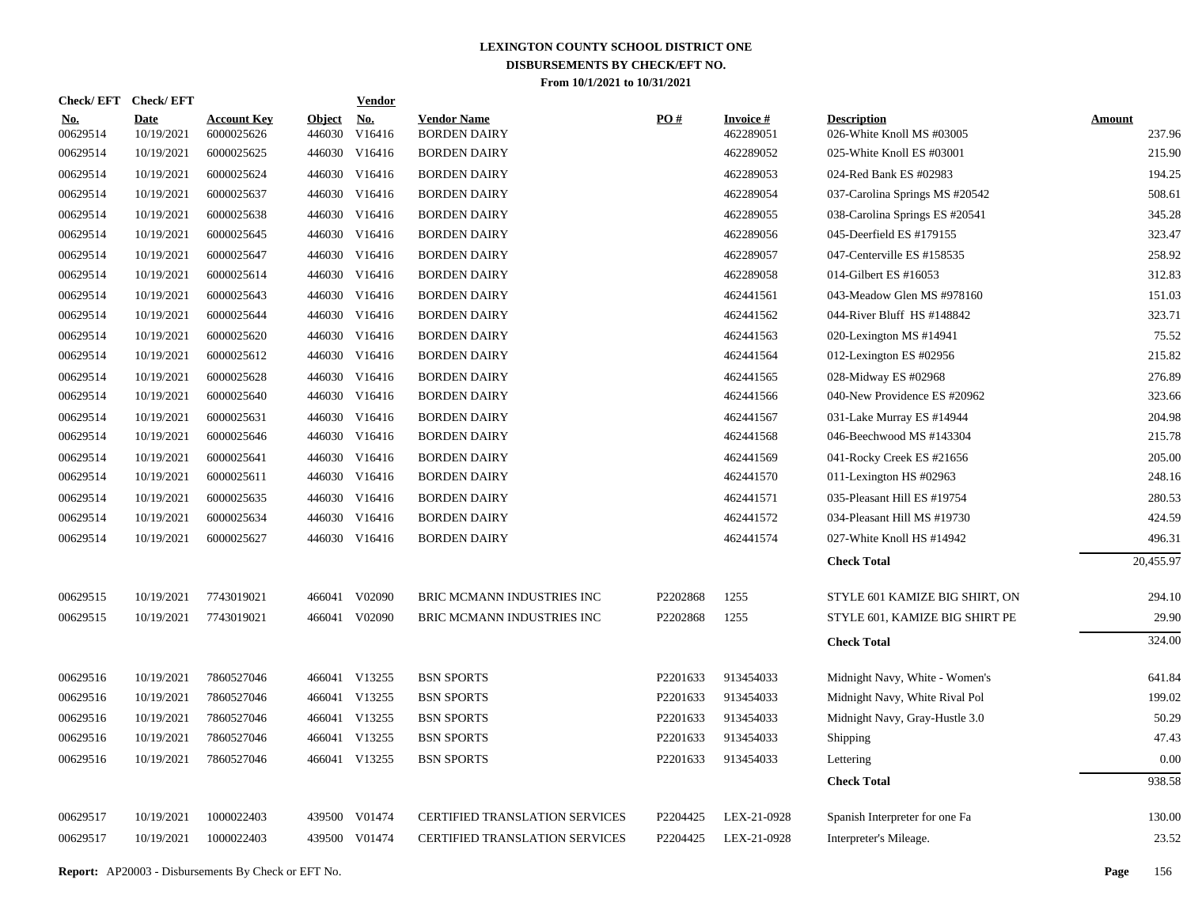|                        | Check/EFT Check/EFT       |                                  |                         | <b>Vendor</b> |                                           |          |                              |                                                 |                         |
|------------------------|---------------------------|----------------------------------|-------------------------|---------------|-------------------------------------------|----------|------------------------------|-------------------------------------------------|-------------------------|
| <u>No.</u><br>00629514 | <b>Date</b><br>10/19/2021 | <b>Account Key</b><br>6000025626 | <b>Object</b><br>446030 | No.<br>V16416 | <b>Vendor Name</b><br><b>BORDEN DAIRY</b> | PO#      | <b>Invoice#</b><br>462289051 | <b>Description</b><br>026-White Knoll MS #03005 | <b>Amount</b><br>237.96 |
| 00629514               | 10/19/2021                | 6000025625                       | 446030                  | V16416        | <b>BORDEN DAIRY</b>                       |          | 462289052                    | 025-White Knoll ES #03001                       | 215.90                  |
| 00629514               | 10/19/2021                | 6000025624                       |                         | 446030 V16416 | <b>BORDEN DAIRY</b>                       |          | 462289053                    | 024-Red Bank ES #02983                          | 194.25                  |
| 00629514               | 10/19/2021                | 6000025637                       | 446030                  | V16416        | <b>BORDEN DAIRY</b>                       |          | 462289054                    | 037-Carolina Springs MS #20542                  | 508.61                  |
| 00629514               | 10/19/2021                | 6000025638                       |                         | 446030 V16416 | <b>BORDEN DAIRY</b>                       |          | 462289055                    | 038-Carolina Springs ES #20541                  | 345.28                  |
| 00629514               | 10/19/2021                | 6000025645                       | 446030                  | V16416        | <b>BORDEN DAIRY</b>                       |          | 462289056                    | 045-Deerfield ES #179155                        | 323.47                  |
| 00629514               | 10/19/2021                | 6000025647                       |                         | 446030 V16416 | <b>BORDEN DAIRY</b>                       |          | 462289057                    | 047-Centerville ES #158535                      | 258.92                  |
| 00629514               | 10/19/2021                | 6000025614                       | 446030                  | V16416        | <b>BORDEN DAIRY</b>                       |          | 462289058                    | 014-Gilbert ES #16053                           | 312.83                  |
| 00629514               | 10/19/2021                | 6000025643                       | 446030                  | V16416        | <b>BORDEN DAIRY</b>                       |          | 462441561                    | 043-Meadow Glen MS #978160                      | 151.03                  |
| 00629514               | 10/19/2021                | 6000025644                       | 446030                  | V16416        | <b>BORDEN DAIRY</b>                       |          | 462441562                    | 044-River Bluff HS #148842                      | 323.71                  |
| 00629514               | 10/19/2021                | 6000025620                       | 446030                  | V16416        | <b>BORDEN DAIRY</b>                       |          | 462441563                    | 020-Lexington MS #14941                         | 75.52                   |
| 00629514               | 10/19/2021                | 6000025612                       | 446030                  | V16416        | <b>BORDEN DAIRY</b>                       |          | 462441564                    | 012-Lexington ES #02956                         | 215.82                  |
| 00629514               | 10/19/2021                | 6000025628                       | 446030                  | V16416        | <b>BORDEN DAIRY</b>                       |          | 462441565                    | 028-Midway ES #02968                            | 276.89                  |
| 00629514               | 10/19/2021                | 6000025640                       | 446030                  | V16416        | <b>BORDEN DAIRY</b>                       |          | 462441566                    | 040-New Providence ES #20962                    | 323.66                  |
| 00629514               | 10/19/2021                | 6000025631                       | 446030                  | V16416        | <b>BORDEN DAIRY</b>                       |          | 462441567                    | 031-Lake Murray ES #14944                       | 204.98                  |
| 00629514               | 10/19/2021                | 6000025646                       |                         | 446030 V16416 | <b>BORDEN DAIRY</b>                       |          | 462441568                    | 046-Beechwood MS #143304                        | 215.78                  |
| 00629514               | 10/19/2021                | 6000025641                       | 446030                  | V16416        | <b>BORDEN DAIRY</b>                       |          | 462441569                    | 041-Rocky Creek ES #21656                       | 205.00                  |
| 00629514               | 10/19/2021                | 6000025611                       | 446030                  | V16416        | <b>BORDEN DAIRY</b>                       |          | 462441570                    | 011-Lexington HS #02963                         | 248.16                  |
| 00629514               | 10/19/2021                | 6000025635                       | 446030                  | V16416        | <b>BORDEN DAIRY</b>                       |          | 462441571                    | 035-Pleasant Hill ES #19754                     | 280.53                  |
| 00629514               | 10/19/2021                | 6000025634                       | 446030                  | V16416        | <b>BORDEN DAIRY</b>                       |          | 462441572                    | 034-Pleasant Hill MS #19730                     | 424.59                  |
| 00629514               | 10/19/2021                | 6000025627                       | 446030                  | V16416        | <b>BORDEN DAIRY</b>                       |          | 462441574                    | 027-White Knoll HS #14942                       | 496.31                  |
|                        |                           |                                  |                         |               |                                           |          |                              | <b>Check Total</b>                              | 20,455.97               |
| 00629515               | 10/19/2021                | 7743019021                       |                         | 466041 V02090 | BRIC MCMANN INDUSTRIES INC                | P2202868 | 1255                         | STYLE 601 KAMIZE BIG SHIRT, ON                  | 294.10                  |
| 00629515               | 10/19/2021                | 7743019021                       |                         | 466041 V02090 | BRIC MCMANN INDUSTRIES INC                | P2202868 | 1255                         | STYLE 601, KAMIZE BIG SHIRT PE                  | 29.90                   |
|                        |                           |                                  |                         |               |                                           |          |                              | <b>Check Total</b>                              | 324.00                  |
| 00629516               | 10/19/2021                | 7860527046                       |                         | 466041 V13255 | <b>BSN SPORTS</b>                         | P2201633 | 913454033                    | Midnight Navy, White - Women's                  | 641.84                  |
| 00629516               | 10/19/2021                | 7860527046                       |                         | 466041 V13255 | <b>BSN SPORTS</b>                         | P2201633 | 913454033                    | Midnight Navy, White Rival Pol                  | 199.02                  |
| 00629516               | 10/19/2021                | 7860527046                       |                         | 466041 V13255 | <b>BSN SPORTS</b>                         | P2201633 | 913454033                    | Midnight Navy, Gray-Hustle 3.0                  | 50.29                   |
| 00629516               | 10/19/2021                | 7860527046                       |                         | 466041 V13255 | <b>BSN SPORTS</b>                         | P2201633 | 913454033                    | <b>Shipping</b>                                 | 47.43                   |
| 00629516               | 10/19/2021                | 7860527046                       |                         | 466041 V13255 | <b>BSN SPORTS</b>                         | P2201633 | 913454033                    | Lettering                                       | 0.00                    |
|                        |                           |                                  |                         |               |                                           |          |                              | <b>Check Total</b>                              | 938.58                  |
| 00629517               | 10/19/2021                | 1000022403                       | 439500                  | V01474        | <b>CERTIFIED TRANSLATION SERVICES</b>     | P2204425 | LEX-21-0928                  | Spanish Interpreter for one Fa                  | 130.00                  |
| 00629517               | 10/19/2021                | 1000022403                       |                         | 439500 V01474 | CERTIFIED TRANSLATION SERVICES            | P2204425 | LEX-21-0928                  | Interpreter's Mileage.                          | 23.52                   |
|                        |                           |                                  |                         |               |                                           |          |                              |                                                 |                         |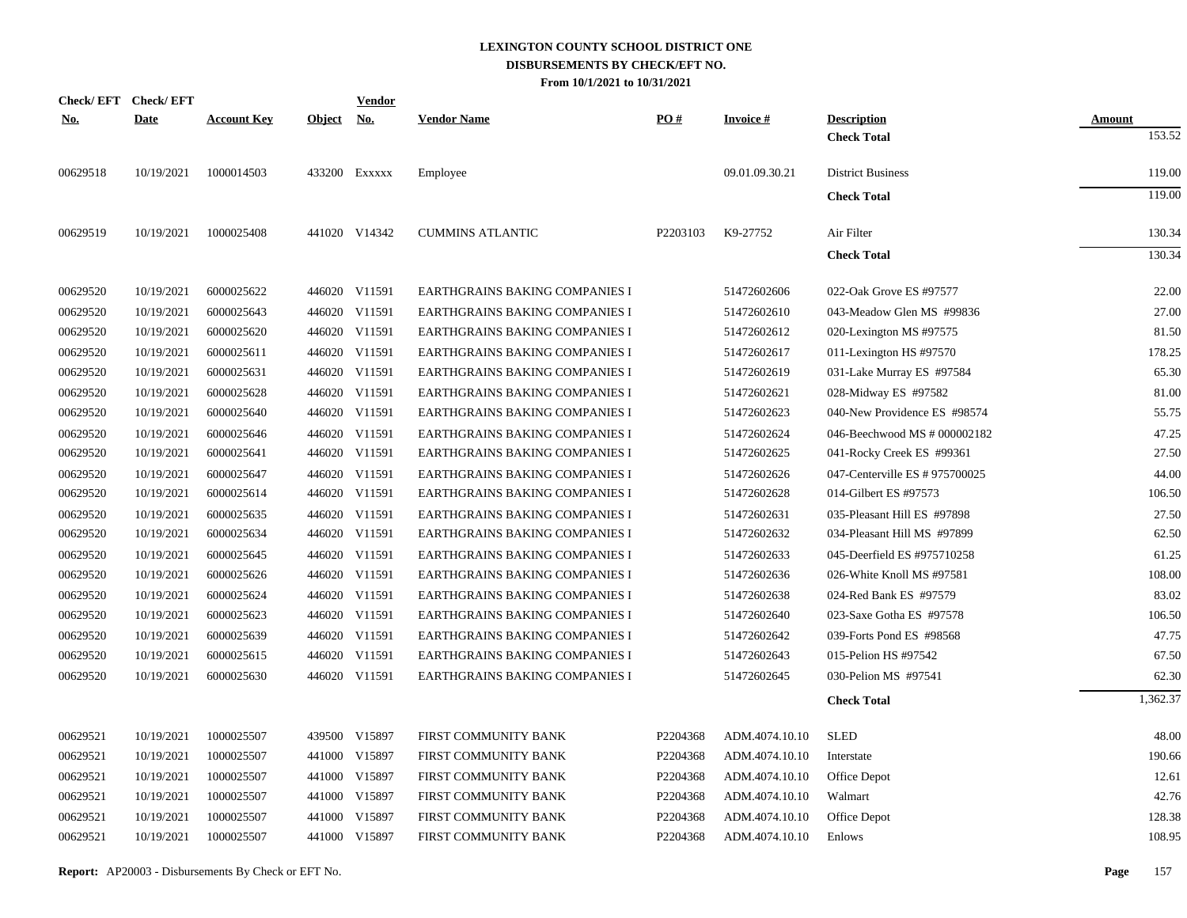| Check/EFT Check/EFT |             |                    |               | <u>Vendor</u>             |                                       |          |                 |                                |               |
|---------------------|-------------|--------------------|---------------|---------------------------|---------------------------------------|----------|-----------------|--------------------------------|---------------|
| <u>No.</u>          | <b>Date</b> | <b>Account Key</b> | <b>Object</b> | $\underline{\textbf{No}}$ | <b>Vendor Name</b>                    | PO#      | <b>Invoice#</b> | <b>Description</b>             | <b>Amount</b> |
|                     |             |                    |               |                           |                                       |          |                 | <b>Check Total</b>             | 153.52        |
| 00629518            | 10/19/2021  | 1000014503         |               | 433200 EXXXXX             | Employee                              |          | 09.01.09.30.21  | <b>District Business</b>       | 119.00        |
|                     |             |                    |               |                           |                                       |          |                 | <b>Check Total</b>             | 119.00        |
| 00629519            | 10/19/2021  | 1000025408         |               | 441020 V14342             | <b>CUMMINS ATLANTIC</b>               | P2203103 | K9-27752        | Air Filter                     | 130.34        |
|                     |             |                    |               |                           |                                       |          |                 | <b>Check Total</b>             | 130.34        |
| 00629520            | 10/19/2021  | 6000025622         |               | 446020 V11591             | EARTHGRAINS BAKING COMPANIES I        |          | 51472602606     | 022-Oak Grove ES #97577        | 22.00         |
| 00629520            | 10/19/2021  | 6000025643         |               | 446020 V11591             | EARTHGRAINS BAKING COMPANIES I        |          | 51472602610     | 043-Meadow Glen MS #99836      | 27.00         |
| 00629520            | 10/19/2021  | 6000025620         |               | 446020 V11591             | EARTHGRAINS BAKING COMPANIES I        |          | 51472602612     | 020-Lexington MS #97575        | 81.50         |
| 00629520            | 10/19/2021  | 6000025611         |               | 446020 V11591             | EARTHGRAINS BAKING COMPANIES I        |          | 51472602617     | 011-Lexington HS #97570        | 178.25        |
| 00629520            | 10/19/2021  | 6000025631         |               | 446020 V11591             | EARTHGRAINS BAKING COMPANIES I        |          | 51472602619     | 031-Lake Murray ES #97584      | 65.30         |
| 00629520            | 10/19/2021  | 6000025628         |               | 446020 V11591             | <b>EARTHGRAINS BAKING COMPANIES I</b> |          | 51472602621     | 028-Midway ES #97582           | 81.00         |
| 00629520            | 10/19/2021  | 6000025640         |               | 446020 V11591             | EARTHGRAINS BAKING COMPANIES I        |          | 51472602623     | 040-New Providence ES #98574   | 55.75         |
| 00629520            | 10/19/2021  | 6000025646         |               | 446020 V11591             | EARTHGRAINS BAKING COMPANIES I        |          | 51472602624     | 046-Beechwood MS # 000002182   | 47.25         |
| 00629520            | 10/19/2021  | 6000025641         |               | 446020 V11591             | EARTHGRAINS BAKING COMPANIES I        |          | 51472602625     | 041-Rocky Creek ES #99361      | 27.50         |
| 00629520            | 10/19/2021  | 6000025647         |               | 446020 V11591             | EARTHGRAINS BAKING COMPANIES I        |          | 51472602626     | 047-Centerville ES # 975700025 | 44.00         |
| 00629520            | 10/19/2021  | 6000025614         |               | 446020 V11591             | EARTHGRAINS BAKING COMPANIES I        |          | 51472602628     | 014-Gilbert ES #97573          | 106.50        |
| 00629520            | 10/19/2021  | 6000025635         |               | 446020 V11591             | EARTHGRAINS BAKING COMPANIES I        |          | 51472602631     | 035-Pleasant Hill ES #97898    | 27.50         |
| 00629520            | 10/19/2021  | 6000025634         |               | 446020 V11591             | EARTHGRAINS BAKING COMPANIES I        |          | 51472602632     | 034-Pleasant Hill MS #97899    | 62.50         |
| 00629520            | 10/19/2021  | 6000025645         |               | 446020 V11591             | EARTHGRAINS BAKING COMPANIES I        |          | 51472602633     | 045-Deerfield ES #975710258    | 61.25         |
| 00629520            | 10/19/2021  | 6000025626         |               | 446020 V11591             | EARTHGRAINS BAKING COMPANIES I        |          | 51472602636     | 026-White Knoll MS #97581      | 108.00        |
| 00629520            | 10/19/2021  | 6000025624         |               | 446020 V11591             | EARTHGRAINS BAKING COMPANIES I        |          | 51472602638     | 024-Red Bank ES #97579         | 83.02         |
| 00629520            | 10/19/2021  | 6000025623         |               | 446020 V11591             | EARTHGRAINS BAKING COMPANIES I        |          | 51472602640     | 023-Saxe Gotha ES #97578       | 106.50        |
| 00629520            | 10/19/2021  | 6000025639         |               | 446020 V11591             | EARTHGRAINS BAKING COMPANIES I        |          | 51472602642     | 039-Forts Pond ES #98568       | 47.75         |
| 00629520            | 10/19/2021  | 6000025615         |               | 446020 V11591             | EARTHGRAINS BAKING COMPANIES I        |          | 51472602643     | 015-Pelion HS #97542           | 67.50         |
| 00629520            | 10/19/2021  | 6000025630         |               | 446020 V11591             | <b>EARTHGRAINS BAKING COMPANIES I</b> |          | 51472602645     | 030-Pelion MS #97541           | 62.30         |
|                     |             |                    |               |                           |                                       |          |                 | <b>Check Total</b>             | 1,362.37      |
| 00629521            | 10/19/2021  | 1000025507         |               | 439500 V15897             | FIRST COMMUNITY BANK                  | P2204368 | ADM.4074.10.10  | <b>SLED</b>                    | 48.00         |
| 00629521            | 10/19/2021  | 1000025507         |               | 441000 V15897             | FIRST COMMUNITY BANK                  | P2204368 | ADM.4074.10.10  | Interstate                     | 190.66        |
| 00629521            | 10/19/2021  | 1000025507         |               | 441000 V15897             | FIRST COMMUNITY BANK                  | P2204368 | ADM.4074.10.10  | Office Depot                   | 12.61         |
| 00629521            | 10/19/2021  | 1000025507         |               | 441000 V15897             | FIRST COMMUNITY BANK                  | P2204368 | ADM.4074.10.10  | Walmart                        | 42.76         |
| 00629521            | 10/19/2021  | 1000025507         |               | 441000 V15897             | FIRST COMMUNITY BANK                  | P2204368 | ADM.4074.10.10  | Office Depot                   | 128.38        |
| 00629521            | 10/19/2021  | 1000025507         |               | 441000 V15897             | FIRST COMMUNITY BANK                  | P2204368 | ADM.4074.10.10  | Enlows                         | 108.95        |
|                     |             |                    |               |                           |                                       |          |                 |                                |               |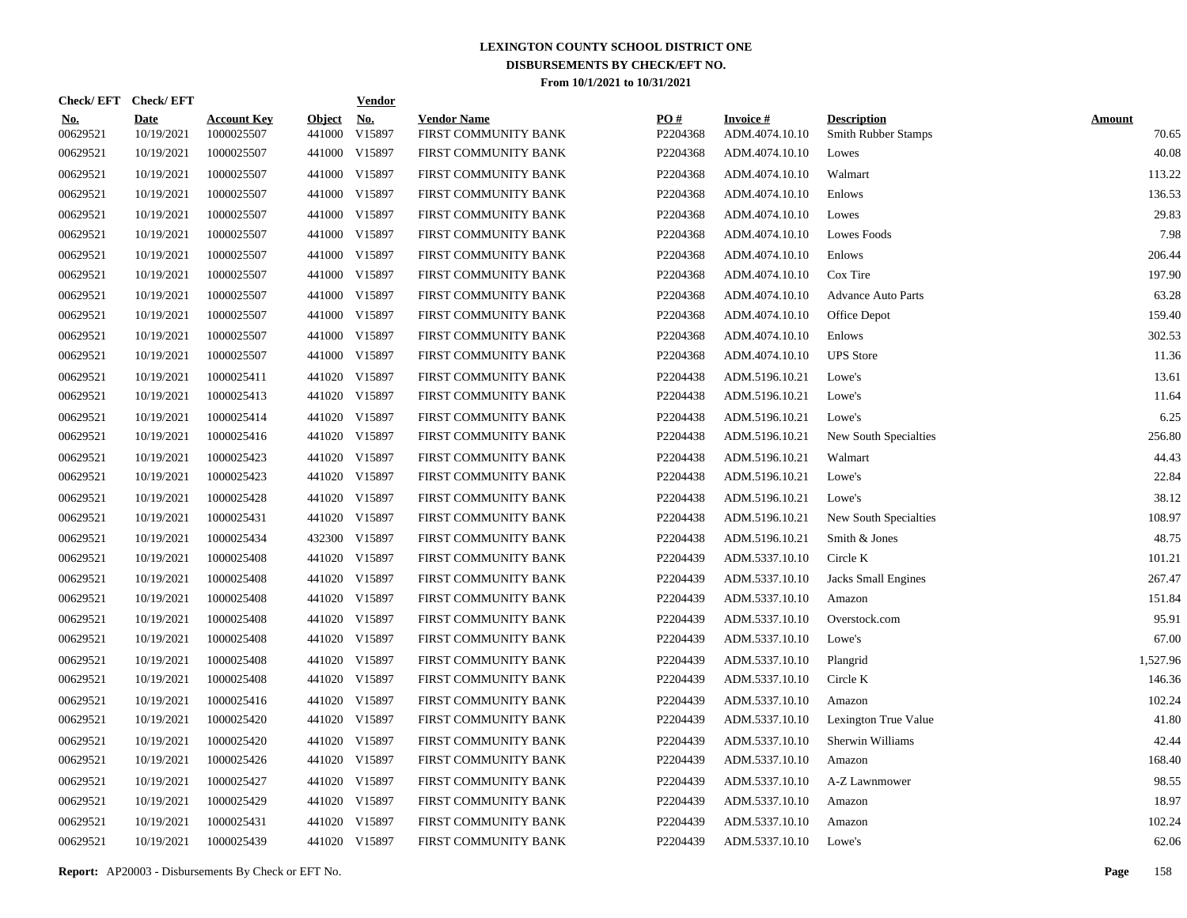|                        | Check/EFT Check/EFT       |                                  |                         | <b>Vendor</b>        |                                            |                 |                                   |                                                  |                        |
|------------------------|---------------------------|----------------------------------|-------------------------|----------------------|--------------------------------------------|-----------------|-----------------------------------|--------------------------------------------------|------------------------|
| <u>No.</u><br>00629521 | <b>Date</b><br>10/19/2021 | <b>Account Key</b><br>1000025507 | <b>Object</b><br>441000 | <u>No.</u><br>V15897 | <b>Vendor Name</b><br>FIRST COMMUNITY BANK | PO#<br>P2204368 | <b>Invoice#</b><br>ADM.4074.10.10 | <b>Description</b><br><b>Smith Rubber Stamps</b> | <b>Amount</b><br>70.65 |
| 00629521               | 10/19/2021                | 1000025507                       |                         | 441000 V15897        | FIRST COMMUNITY BANK                       | P2204368        | ADM.4074.10.10                    | Lowes                                            | 40.08                  |
| 00629521               | 10/19/2021                | 1000025507                       |                         | 441000 V15897        | FIRST COMMUNITY BANK                       | P2204368        | ADM.4074.10.10                    | Walmart                                          | 113.22                 |
| 00629521               | 10/19/2021                | 1000025507                       |                         | 441000 V15897        | FIRST COMMUNITY BANK                       | P2204368        | ADM.4074.10.10                    | Enlows                                           | 136.53                 |
| 00629521               | 10/19/2021                | 1000025507                       |                         | 441000 V15897        | FIRST COMMUNITY BANK                       | P2204368        | ADM.4074.10.10                    | Lowes                                            | 29.83                  |
| 00629521               | 10/19/2021                | 1000025507                       |                         | 441000 V15897        | FIRST COMMUNITY BANK                       | P2204368        | ADM.4074.10.10                    | Lowes Foods                                      | 7.98                   |
| 00629521               | 10/19/2021                | 1000025507                       |                         | 441000 V15897        | FIRST COMMUNITY BANK                       | P2204368        | ADM.4074.10.10                    | Enlows                                           | 206.44                 |
| 00629521               | 10/19/2021                | 1000025507                       |                         | 441000 V15897        | FIRST COMMUNITY BANK                       | P2204368        | ADM.4074.10.10                    | Cox Tire                                         | 197.90                 |
| 00629521               | 10/19/2021                | 1000025507                       |                         | 441000 V15897        | FIRST COMMUNITY BANK                       | P2204368        | ADM.4074.10.10                    | <b>Advance Auto Parts</b>                        | 63.28                  |
| 00629521               | 10/19/2021                | 1000025507                       |                         | 441000 V15897        | FIRST COMMUNITY BANK                       | P2204368        | ADM.4074.10.10                    | Office Depot                                     | 159.40                 |
| 00629521               | 10/19/2021                | 1000025507                       |                         | 441000 V15897        | FIRST COMMUNITY BANK                       | P2204368        | ADM.4074.10.10                    | Enlows                                           | 302.53                 |
| 00629521               | 10/19/2021                | 1000025507                       |                         | 441000 V15897        | FIRST COMMUNITY BANK                       | P2204368        | ADM.4074.10.10                    | <b>UPS</b> Store                                 | 11.36                  |
| 00629521               | 10/19/2021                | 1000025411                       |                         | 441020 V15897        | FIRST COMMUNITY BANK                       | P2204438        | ADM.5196.10.21                    | Lowe's                                           | 13.61                  |
| 00629521               | 10/19/2021                | 1000025413                       |                         | 441020 V15897        | FIRST COMMUNITY BANK                       | P2204438        | ADM.5196.10.21                    | Lowe's                                           | 11.64                  |
| 00629521               | 10/19/2021                | 1000025414                       |                         | 441020 V15897        | FIRST COMMUNITY BANK                       | P2204438        | ADM.5196.10.21                    | Lowe's                                           | 6.25                   |
| 00629521               | 10/19/2021                | 1000025416                       |                         | 441020 V15897        | FIRST COMMUNITY BANK                       | P2204438        | ADM.5196.10.21                    | New South Specialties                            | 256.80                 |
| 00629521               | 10/19/2021                | 1000025423                       |                         | 441020 V15897        | FIRST COMMUNITY BANK                       | P2204438        | ADM.5196.10.21                    | Walmart                                          | 44.43                  |
| 00629521               | 10/19/2021                | 1000025423                       |                         | 441020 V15897        | FIRST COMMUNITY BANK                       | P2204438        | ADM.5196.10.21                    | Lowe's                                           | 22.84                  |
| 00629521               | 10/19/2021                | 1000025428                       |                         | 441020 V15897        | FIRST COMMUNITY BANK                       | P2204438        | ADM.5196.10.21                    | Lowe's                                           | 38.12                  |
| 00629521               | 10/19/2021                | 1000025431                       |                         | 441020 V15897        | FIRST COMMUNITY BANK                       | P2204438        | ADM.5196.10.21                    | New South Specialties                            | 108.97                 |
| 00629521               | 10/19/2021                | 1000025434                       | 432300                  | V15897               | FIRST COMMUNITY BANK                       | P2204438        | ADM.5196.10.21                    | Smith & Jones                                    | 48.75                  |
| 00629521               | 10/19/2021                | 1000025408                       |                         | 441020 V15897        | FIRST COMMUNITY BANK                       | P2204439        | ADM.5337.10.10                    | Circle K                                         | 101.21                 |
| 00629521               | 10/19/2021                | 1000025408                       |                         | 441020 V15897        | FIRST COMMUNITY BANK                       | P2204439        | ADM.5337.10.10                    | <b>Jacks Small Engines</b>                       | 267.47                 |
| 00629521               | 10/19/2021                | 1000025408                       |                         | 441020 V15897        | FIRST COMMUNITY BANK                       | P2204439        | ADM.5337.10.10                    | Amazon                                           | 151.84                 |
| 00629521               | 10/19/2021                | 1000025408                       |                         | 441020 V15897        | FIRST COMMUNITY BANK                       | P2204439        | ADM.5337.10.10                    | Overstock.com                                    | 95.91                  |
| 00629521               | 10/19/2021                | 1000025408                       |                         | 441020 V15897        | FIRST COMMUNITY BANK                       | P2204439        | ADM.5337.10.10                    | Lowe's                                           | 67.00                  |
| 00629521               | 10/19/2021                | 1000025408                       |                         | 441020 V15897        | FIRST COMMUNITY BANK                       | P2204439        | ADM.5337.10.10                    | Plangrid                                         | 1,527.96               |
| 00629521               | 10/19/2021                | 1000025408                       |                         | 441020 V15897        | FIRST COMMUNITY BANK                       | P2204439        | ADM.5337.10.10                    | Circle K                                         | 146.36                 |
| 00629521               | 10/19/2021                | 1000025416                       |                         | 441020 V15897        | FIRST COMMUNITY BANK                       | P2204439        | ADM.5337.10.10                    | Amazon                                           | 102.24                 |
| 00629521               | 10/19/2021                | 1000025420                       |                         | 441020 V15897        | FIRST COMMUNITY BANK                       | P2204439        | ADM.5337.10.10                    | Lexington True Value                             | 41.80                  |
| 00629521               | 10/19/2021                | 1000025420                       |                         | 441020 V15897        | FIRST COMMUNITY BANK                       | P2204439        | ADM.5337.10.10                    | Sherwin Williams                                 | 42.44                  |
| 00629521               | 10/19/2021                | 1000025426                       |                         | 441020 V15897        | FIRST COMMUNITY BANK                       | P2204439        | ADM.5337.10.10                    | Amazon                                           | 168.40                 |
| 00629521               | 10/19/2021                | 1000025427                       |                         | 441020 V15897        | FIRST COMMUNITY BANK                       | P2204439        | ADM.5337.10.10                    | A-Z Lawnmower                                    | 98.55                  |
| 00629521               | 10/19/2021                | 1000025429                       |                         | 441020 V15897        | FIRST COMMUNITY BANK                       | P2204439        | ADM.5337.10.10                    | Amazon                                           | 18.97                  |
| 00629521               | 10/19/2021                | 1000025431                       |                         | 441020 V15897        | FIRST COMMUNITY BANK                       | P2204439        | ADM.5337.10.10                    | Amazon                                           | 102.24                 |
| 00629521               | 10/19/2021                | 1000025439                       |                         | 441020 V15897        | FIRST COMMUNITY BANK                       | P2204439        | ADM.5337.10.10                    | Lowe's                                           | 62.06                  |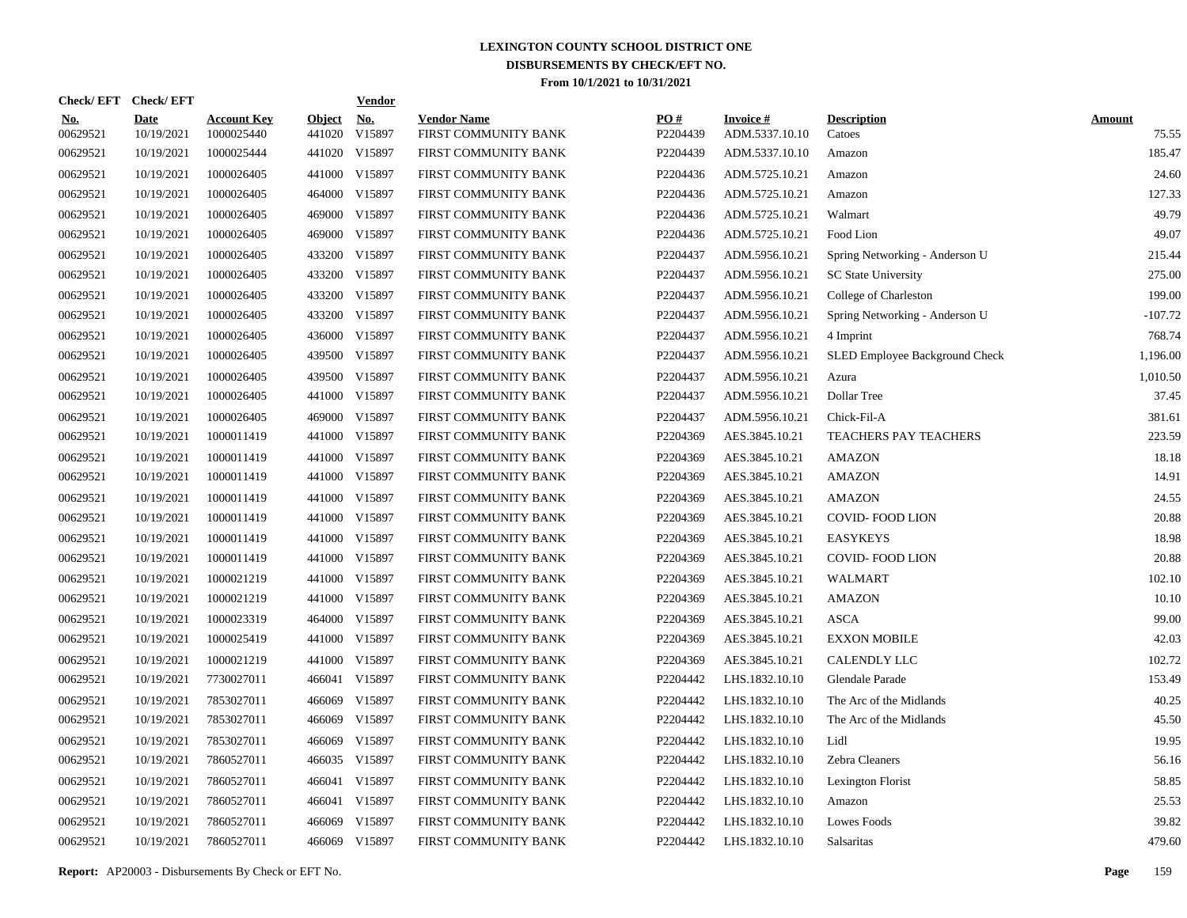|                        | Check/EFT Check/EFT       |                                  |                         | <b>Vendor</b>        |                                            |                 |                                   |                                |                        |
|------------------------|---------------------------|----------------------------------|-------------------------|----------------------|--------------------------------------------|-----------------|-----------------------------------|--------------------------------|------------------------|
| <u>No.</u><br>00629521 | <b>Date</b><br>10/19/2021 | <b>Account Key</b><br>1000025440 | <b>Object</b><br>441020 | <u>No.</u><br>V15897 | <b>Vendor Name</b><br>FIRST COMMUNITY BANK | PO#<br>P2204439 | <b>Invoice#</b><br>ADM.5337.10.10 | <b>Description</b><br>Catoes   | <b>Amount</b><br>75.55 |
| 00629521               | 10/19/2021                | 1000025444                       | 441020                  | V15897               | FIRST COMMUNITY BANK                       | P2204439        | ADM.5337.10.10                    | Amazon                         | 185.47                 |
| 00629521               | 10/19/2021                | 1000026405                       |                         | 441000 V15897        | FIRST COMMUNITY BANK                       | P2204436        | ADM.5725.10.21                    | Amazon                         | 24.60                  |
| 00629521               | 10/19/2021                | 1000026405                       | 464000                  | V15897               | FIRST COMMUNITY BANK                       | P2204436        | ADM.5725.10.21                    | Amazon                         | 127.33                 |
| 00629521               | 10/19/2021                | 1000026405                       |                         | 469000 V15897        | FIRST COMMUNITY BANK                       | P2204436        | ADM.5725.10.21                    | Walmart                        | 49.79                  |
| 00629521               | 10/19/2021                | 1000026405                       | 469000                  | V15897               | FIRST COMMUNITY BANK                       | P2204436        | ADM.5725.10.21                    | Food Lion                      | 49.07                  |
| 00629521               | 10/19/2021                | 1000026405                       |                         | 433200 V15897        | FIRST COMMUNITY BANK                       | P2204437        | ADM.5956.10.21                    | Spring Networking - Anderson U | 215.44                 |
| 00629521               | 10/19/2021                | 1000026405                       |                         | 433200 V15897        | FIRST COMMUNITY BANK                       | P2204437        | ADM.5956.10.21                    | <b>SC State University</b>     | 275.00                 |
| 00629521               | 10/19/2021                | 1000026405                       |                         | 433200 V15897        | FIRST COMMUNITY BANK                       | P2204437        | ADM.5956.10.21                    | College of Charleston          | 199.00                 |
| 00629521               | 10/19/2021                | 1000026405                       |                         | 433200 V15897        | FIRST COMMUNITY BANK                       | P2204437        | ADM.5956.10.21                    | Spring Networking - Anderson U | $-107.72$              |
| 00629521               | 10/19/2021                | 1000026405                       |                         | 436000 V15897        | FIRST COMMUNITY BANK                       | P2204437        | ADM.5956.10.21                    | 4 Imprint                      | 768.74                 |
| 00629521               | 10/19/2021                | 1000026405                       |                         | 439500 V15897        | FIRST COMMUNITY BANK                       | P2204437        | ADM.5956.10.21                    | SLED Employee Background Check | 1,196.00               |
| 00629521               | 10/19/2021                | 1000026405                       |                         | 439500 V15897        | FIRST COMMUNITY BANK                       | P2204437        | ADM.5956.10.21                    | Azura                          | 1,010.50               |
| 00629521               | 10/19/2021                | 1000026405                       |                         | 441000 V15897        | FIRST COMMUNITY BANK                       | P2204437        | ADM.5956.10.21                    | Dollar Tree                    | 37.45                  |
| 00629521               | 10/19/2021                | 1000026405                       |                         | 469000 V15897        | FIRST COMMUNITY BANK                       | P2204437        | ADM.5956.10.21                    | Chick-Fil-A                    | 381.61                 |
| 00629521               | 10/19/2021                | 1000011419                       |                         | 441000 V15897        | FIRST COMMUNITY BANK                       | P2204369        | AES.3845.10.21                    | TEACHERS PAY TEACHERS          | 223.59                 |
| 00629521               | 10/19/2021                | 1000011419                       |                         | 441000 V15897        | FIRST COMMUNITY BANK                       | P2204369        | AES.3845.10.21                    | AMAZON                         | 18.18                  |
| 00629521               | 10/19/2021                | 1000011419                       |                         | 441000 V15897        | FIRST COMMUNITY BANK                       | P2204369        | AES.3845.10.21                    | AMAZON                         | 14.91                  |
| 00629521               | 10/19/2021                | 1000011419                       |                         | 441000 V15897        | FIRST COMMUNITY BANK                       | P2204369        | AES.3845.10.21                    | <b>AMAZON</b>                  | 24.55                  |
| 00629521               | 10/19/2021                | 1000011419                       |                         | 441000 V15897        | FIRST COMMUNITY BANK                       | P2204369        | AES.3845.10.21                    | COVID-FOOD LION                | 20.88                  |
| 00629521               | 10/19/2021                | 1000011419                       |                         | 441000 V15897        | FIRST COMMUNITY BANK                       | P2204369        | AES.3845.10.21                    | <b>EASYKEYS</b>                | 18.98                  |
| 00629521               | 10/19/2021                | 1000011419                       |                         | 441000 V15897        | FIRST COMMUNITY BANK                       | P2204369        | AES.3845.10.21                    | <b>COVID-FOOD LION</b>         | 20.88                  |
| 00629521               | 10/19/2021                | 1000021219                       |                         | 441000 V15897        | FIRST COMMUNITY BANK                       | P2204369        | AES.3845.10.21                    | <b>WALMART</b>                 | 102.10                 |
| 00629521               | 10/19/2021                | 1000021219                       |                         | 441000 V15897        | FIRST COMMUNITY BANK                       | P2204369        | AES.3845.10.21                    | <b>AMAZON</b>                  | 10.10                  |
| 00629521               | 10/19/2021                | 1000023319                       |                         | 464000 V15897        | FIRST COMMUNITY BANK                       | P2204369        | AES.3845.10.21                    | <b>ASCA</b>                    | 99.00                  |
| 00629521               | 10/19/2021                | 1000025419                       |                         | 441000 V15897        | FIRST COMMUNITY BANK                       | P2204369        | AES.3845.10.21                    | <b>EXXON MOBILE</b>            | 42.03                  |
| 00629521               | 10/19/2021                | 1000021219                       |                         | 441000 V15897        | FIRST COMMUNITY BANK                       | P2204369        | AES.3845.10.21                    | <b>CALENDLY LLC</b>            | 102.72                 |
| 00629521               | 10/19/2021                | 7730027011                       | 466041                  | V15897               | FIRST COMMUNITY BANK                       | P2204442        | LHS.1832.10.10                    | Glendale Parade                | 153.49                 |
| 00629521               | 10/19/2021                | 7853027011                       | 466069                  | V15897               | FIRST COMMUNITY BANK                       | P2204442        | LHS.1832.10.10                    | The Arc of the Midlands        | 40.25                  |
| 00629521               | 10/19/2021                | 7853027011                       | 466069                  | V15897               | FIRST COMMUNITY BANK                       | P2204442        | LHS.1832.10.10                    | The Arc of the Midlands        | 45.50                  |
| 00629521               | 10/19/2021                | 7853027011                       | 466069                  | V15897               | FIRST COMMUNITY BANK                       | P2204442        | LHS.1832.10.10                    | Lidl                           | 19.95                  |
| 00629521               | 10/19/2021                | 7860527011                       |                         | 466035 V15897        | FIRST COMMUNITY BANK                       | P2204442        | LHS.1832.10.10                    | Zebra Cleaners                 | 56.16                  |
| 00629521               | 10/19/2021                | 7860527011                       | 466041                  | V15897               | FIRST COMMUNITY BANK                       | P2204442        | LHS.1832.10.10                    | Lexington Florist              | 58.85                  |
| 00629521               | 10/19/2021                | 7860527011                       | 466041                  | V15897               | FIRST COMMUNITY BANK                       | P2204442        | LHS.1832.10.10                    | Amazon                         | 25.53                  |
| 00629521               | 10/19/2021                | 7860527011                       | 466069                  | V15897               | FIRST COMMUNITY BANK                       | P2204442        | LHS.1832.10.10                    | Lowes Foods                    | 39.82                  |
| 00629521               | 10/19/2021                | 7860527011                       |                         | 466069 V15897        | FIRST COMMUNITY BANK                       | P2204442        | LHS.1832.10.10                    | Salsaritas                     | 479.60                 |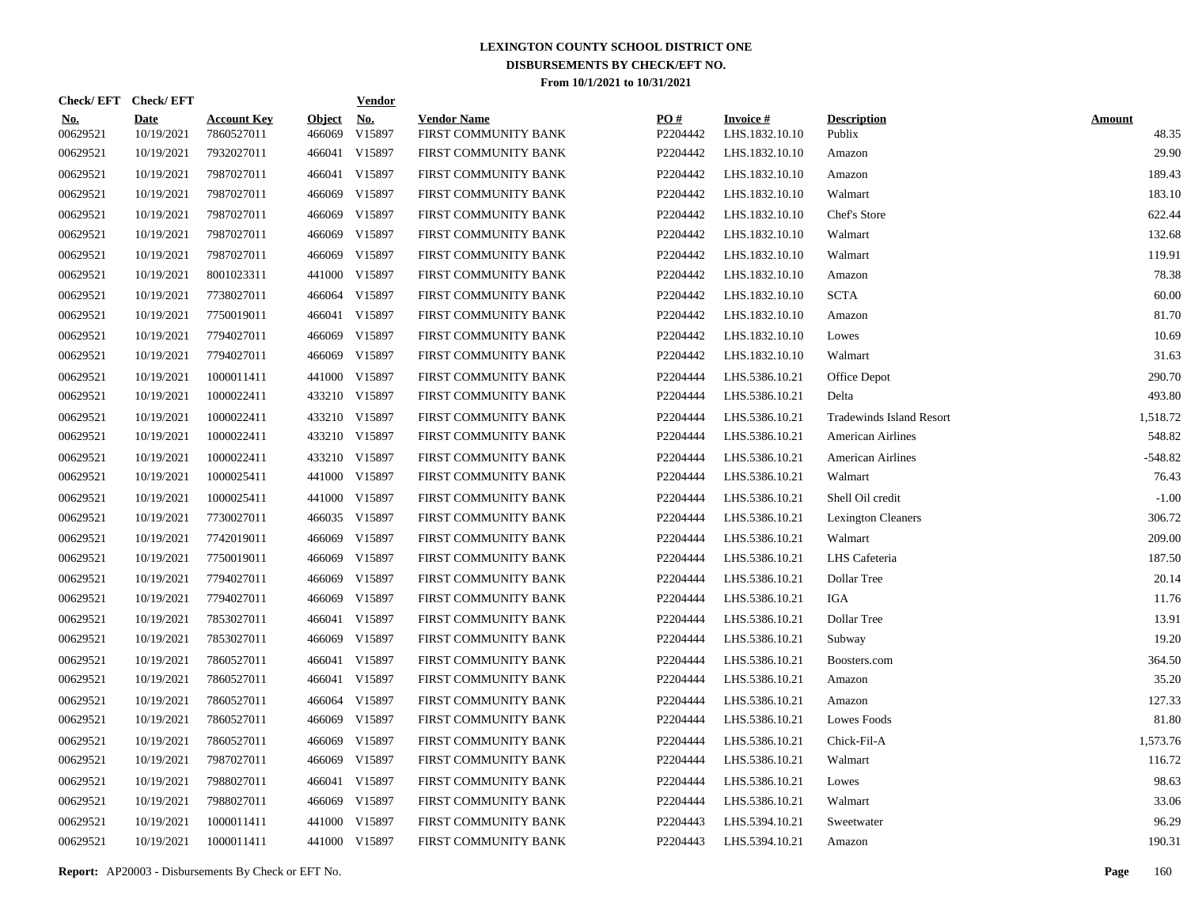|                        | Check/EFT Check/EFT       |                                  |                         | <b>Vendor</b>        |                                            |                 |                                   |                                 |                        |
|------------------------|---------------------------|----------------------------------|-------------------------|----------------------|--------------------------------------------|-----------------|-----------------------------------|---------------------------------|------------------------|
| <u>No.</u><br>00629521 | <b>Date</b><br>10/19/2021 | <b>Account Key</b><br>7860527011 | <b>Object</b><br>466069 | <u>No.</u><br>V15897 | <b>Vendor Name</b><br>FIRST COMMUNITY BANK | PQ#<br>P2204442 | <b>Invoice#</b><br>LHS.1832.10.10 | <b>Description</b><br>Publix    | <b>Amount</b><br>48.35 |
| 00629521               | 10/19/2021                | 7932027011                       |                         | 466041 V15897        | FIRST COMMUNITY BANK                       | P2204442        | LHS.1832.10.10                    | Amazon                          | 29.90                  |
| 00629521               | 10/19/2021                | 7987027011                       |                         | 466041 V15897        | FIRST COMMUNITY BANK                       | P2204442        | LHS.1832.10.10                    | Amazon                          | 189.43                 |
| 00629521               | 10/19/2021                | 7987027011                       | 466069                  | V15897               | FIRST COMMUNITY BANK                       | P2204442        | LHS.1832.10.10                    | Walmart                         | 183.10                 |
| 00629521               | 10/19/2021                | 7987027011                       | 466069                  | V15897               | FIRST COMMUNITY BANK                       | P2204442        | LHS.1832.10.10                    | Chef's Store                    | 622.44                 |
| 00629521               | 10/19/2021                | 7987027011                       | 466069                  | V15897               | FIRST COMMUNITY BANK                       | P2204442        | LHS.1832.10.10                    | Walmart                         | 132.68                 |
| 00629521               | 10/19/2021                | 7987027011                       | 466069                  | V15897               | FIRST COMMUNITY BANK                       | P2204442        | LHS.1832.10.10                    | Walmart                         | 119.91                 |
| 00629521               | 10/19/2021                | 8001023311                       | 441000                  | V15897               | FIRST COMMUNITY BANK                       | P2204442        | LHS.1832.10.10                    | Amazon                          | 78.38                  |
| 00629521               | 10/19/2021                | 7738027011                       |                         | 466064 V15897        | FIRST COMMUNITY BANK                       | P2204442        | LHS.1832.10.10                    | <b>SCTA</b>                     | 60.00                  |
| 00629521               | 10/19/2021                | 7750019011                       |                         | 466041 V15897        | FIRST COMMUNITY BANK                       | P2204442        | LHS.1832.10.10                    | Amazon                          | 81.70                  |
| 00629521               | 10/19/2021                | 7794027011                       | 466069                  | V15897               | FIRST COMMUNITY BANK                       | P2204442        | LHS.1832.10.10                    | Lowes                           | 10.69                  |
| 00629521               | 10/19/2021                | 7794027011                       | 466069                  | V15897               | FIRST COMMUNITY BANK                       | P2204442        | LHS.1832.10.10                    | Walmart                         | 31.63                  |
| 00629521               | 10/19/2021                | 1000011411                       | 441000                  | V15897               | FIRST COMMUNITY BANK                       | P2204444        | LHS.5386.10.21                    | Office Depot                    | 290.70                 |
| 00629521               | 10/19/2021                | 1000022411                       |                         | 433210 V15897        | FIRST COMMUNITY BANK                       | P2204444        | LHS.5386.10.21                    | Delta                           | 493.80                 |
| 00629521               | 10/19/2021                | 1000022411                       |                         | 433210 V15897        | FIRST COMMUNITY BANK                       | P2204444        | LHS.5386.10.21                    | <b>Tradewinds Island Resort</b> | 1,518.72               |
| 00629521               | 10/19/2021                | 1000022411                       |                         | 433210 V15897        | FIRST COMMUNITY BANK                       | P2204444        | LHS.5386.10.21                    | <b>American Airlines</b>        | 548.82                 |
| 00629521               | 10/19/2021                | 1000022411                       |                         | 433210 V15897        | FIRST COMMUNITY BANK                       | P2204444        | LHS.5386.10.21                    | American Airlines               | $-548.82$              |
| 00629521               | 10/19/2021                | 1000025411                       |                         | 441000 V15897        | FIRST COMMUNITY BANK                       | P2204444        | LHS.5386.10.21                    | Walmart                         | 76.43                  |
| 00629521               | 10/19/2021                | 1000025411                       |                         | 441000 V15897        | FIRST COMMUNITY BANK                       | P2204444        | LHS.5386.10.21                    | Shell Oil credit                | $-1.00$                |
| 00629521               | 10/19/2021                | 7730027011                       |                         | 466035 V15897        | FIRST COMMUNITY BANK                       | P2204444        | LHS.5386.10.21                    | <b>Lexington Cleaners</b>       | 306.72                 |
| 00629521               | 10/19/2021                | 7742019011                       | 466069                  | V15897               | FIRST COMMUNITY BANK                       | P2204444        | LHS.5386.10.21                    | Walmart                         | 209.00                 |
| 00629521               | 10/19/2021                | 7750019011                       | 466069                  | V15897               | FIRST COMMUNITY BANK                       | P2204444        | LHS.5386.10.21                    | LHS Cafeteria                   | 187.50                 |
| 00629521               | 10/19/2021                | 7794027011                       | 466069                  | V15897               | FIRST COMMUNITY BANK                       | P2204444        | LHS.5386.10.21                    | Dollar Tree                     | 20.14                  |
| 00629521               | 10/19/2021                | 7794027011                       | 466069                  | V15897               | FIRST COMMUNITY BANK                       | P2204444        | LHS.5386.10.21                    | IGA                             | 11.76                  |
| 00629521               | 10/19/2021                | 7853027011                       |                         | 466041 V15897        | FIRST COMMUNITY BANK                       | P2204444        | LHS.5386.10.21                    | Dollar Tree                     | 13.91                  |
| 00629521               | 10/19/2021                | 7853027011                       |                         | 466069 V15897        | FIRST COMMUNITY BANK                       | P2204444        | LHS.5386.10.21                    | Subway                          | 19.20                  |
| 00629521               | 10/19/2021                | 7860527011                       |                         | 466041 V15897        | FIRST COMMUNITY BANK                       | P2204444        | LHS.5386.10.21                    | Boosters.com                    | 364.50                 |
| 00629521               | 10/19/2021                | 7860527011                       |                         | 466041 V15897        | FIRST COMMUNITY BANK                       | P2204444        | LHS.5386.10.21                    | Amazon                          | 35.20                  |
| 00629521               | 10/19/2021                | 7860527011                       |                         | 466064 V15897        | FIRST COMMUNITY BANK                       | P2204444        | LHS.5386.10.21                    | Amazon                          | 127.33                 |
| 00629521               | 10/19/2021                | 7860527011                       |                         | 466069 V15897        | FIRST COMMUNITY BANK                       | P2204444        | LHS.5386.10.21                    | Lowes Foods                     | 81.80                  |
| 00629521               | 10/19/2021                | 7860527011                       | 466069                  | V15897               | FIRST COMMUNITY BANK                       | P2204444        | LHS.5386.10.21                    | Chick-Fil-A                     | 1,573.76               |
| 00629521               | 10/19/2021                | 7987027011                       | 466069                  | V15897               | FIRST COMMUNITY BANK                       | P2204444        | LHS.5386.10.21                    | Walmart                         | 116.72                 |
| 00629521               | 10/19/2021                | 7988027011                       |                         | 466041 V15897        | FIRST COMMUNITY BANK                       | P2204444        | LHS.5386.10.21                    | Lowes                           | 98.63                  |
| 00629521               | 10/19/2021                | 7988027011                       |                         | 466069 V15897        | FIRST COMMUNITY BANK                       | P2204444        | LHS.5386.10.21                    | Walmart                         | 33.06                  |
| 00629521               | 10/19/2021                | 1000011411                       |                         | 441000 V15897        | FIRST COMMUNITY BANK                       | P2204443        | LHS.5394.10.21                    | Sweetwater                      | 96.29                  |
| 00629521               | 10/19/2021                | 1000011411                       |                         | 441000 V15897        | FIRST COMMUNITY BANK                       | P2204443        | LHS.5394.10.21                    | Amazon                          | 190.31                 |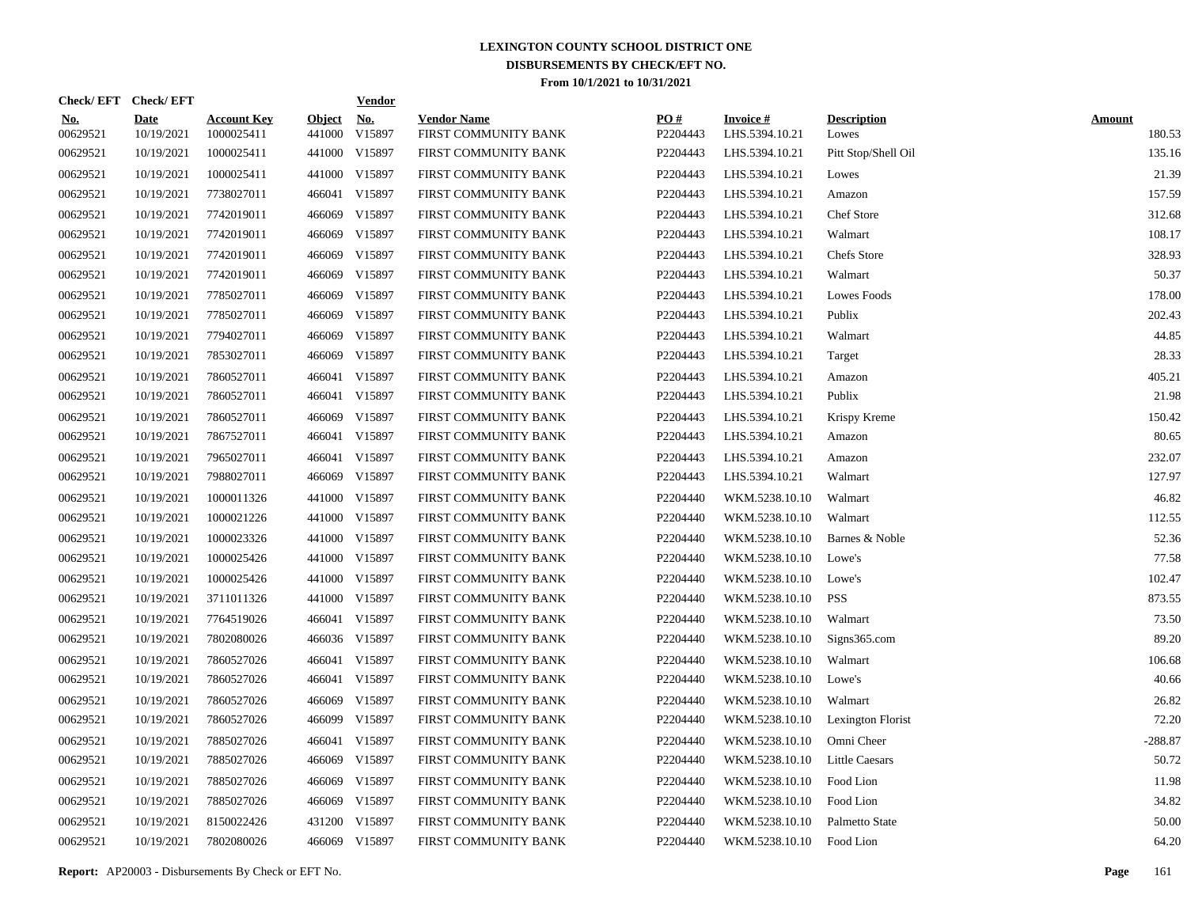| Check/EFT Check/EFT    |                           |                                  |                         | <b>Vendor</b>        |                                            |                 |                                   |                             |                         |
|------------------------|---------------------------|----------------------------------|-------------------------|----------------------|--------------------------------------------|-----------------|-----------------------------------|-----------------------------|-------------------------|
| <u>No.</u><br>00629521 | <b>Date</b><br>10/19/2021 | <b>Account Key</b><br>1000025411 | <b>Object</b><br>441000 | <u>No.</u><br>V15897 | <b>Vendor Name</b><br>FIRST COMMUNITY BANK | PQ#<br>P2204443 | <b>Invoice#</b><br>LHS.5394.10.21 | <b>Description</b><br>Lowes | <b>Amount</b><br>180.53 |
| 00629521               | 10/19/2021                | 1000025411                       |                         | 441000 V15897        | FIRST COMMUNITY BANK                       | P2204443        | LHS.5394.10.21                    | Pitt Stop/Shell Oil         | 135.16                  |
| 00629521               | 10/19/2021                | 1000025411                       |                         | 441000 V15897        | FIRST COMMUNITY BANK                       | P2204443        | LHS.5394.10.21                    | Lowes                       | 21.39                   |
| 00629521               | 10/19/2021                | 7738027011                       |                         | 466041 V15897        | FIRST COMMUNITY BANK                       | P2204443        | LHS.5394.10.21                    | Amazon                      | 157.59                  |
| 00629521               | 10/19/2021                | 7742019011                       | 466069                  | V15897               | FIRST COMMUNITY BANK                       | P2204443        | LHS.5394.10.21                    | Chef Store                  | 312.68                  |
| 00629521               | 10/19/2021                | 7742019011                       | 466069                  | V15897               | FIRST COMMUNITY BANK                       | P2204443        | LHS.5394.10.21                    | Walmart                     | 108.17                  |
| 00629521               | 10/19/2021                | 7742019011                       | 466069                  | V15897               | FIRST COMMUNITY BANK                       | P2204443        | LHS.5394.10.21                    | Chefs Store                 | 328.93                  |
| 00629521               | 10/19/2021                | 7742019011                       | 466069                  | V15897               | FIRST COMMUNITY BANK                       | P2204443        | LHS.5394.10.21                    | Walmart                     | 50.37                   |
| 00629521               | 10/19/2021                | 7785027011                       | 466069                  | V15897               | FIRST COMMUNITY BANK                       | P2204443        | LHS.5394.10.21                    | Lowes Foods                 | 178.00                  |
| 00629521               | 10/19/2021                | 7785027011                       | 466069                  | V15897               | FIRST COMMUNITY BANK                       | P2204443        | LHS.5394.10.21                    | Publix                      | 202.43                  |
| 00629521               | 10/19/2021                | 7794027011                       | 466069                  | V15897               | FIRST COMMUNITY BANK                       | P2204443        | LHS.5394.10.21                    | Walmart                     | 44.85                   |
| 00629521               | 10/19/2021                | 7853027011                       | 466069                  | V15897               | FIRST COMMUNITY BANK                       | P2204443        | LHS.5394.10.21                    | Target                      | 28.33                   |
| 00629521               | 10/19/2021                | 7860527011                       |                         | 466041 V15897        | FIRST COMMUNITY BANK                       | P2204443        | LHS.5394.10.21                    | Amazon                      | 405.21                  |
| 00629521               | 10/19/2021                | 7860527011                       |                         | 466041 V15897        | FIRST COMMUNITY BANK                       | P2204443        | LHS.5394.10.21                    | Publix                      | 21.98                   |
| 00629521               | 10/19/2021                | 7860527011                       | 466069                  | V15897               | FIRST COMMUNITY BANK                       | P2204443        | LHS.5394.10.21                    | Krispy Kreme                | 150.42                  |
| 00629521               | 10/19/2021                | 7867527011                       |                         | 466041 V15897        | FIRST COMMUNITY BANK                       | P2204443        | LHS.5394.10.21                    | Amazon                      | 80.65                   |
| 00629521               | 10/19/2021                | 7965027011                       |                         | 466041 V15897        | FIRST COMMUNITY BANK                       | P2204443        | LHS.5394.10.21                    | Amazon                      | 232.07                  |
| 00629521               | 10/19/2021                | 7988027011                       |                         | 466069 V15897        | FIRST COMMUNITY BANK                       | P2204443        | LHS.5394.10.21                    | Walmart                     | 127.97                  |
| 00629521               | 10/19/2021                | 1000011326                       |                         | 441000 V15897        | FIRST COMMUNITY BANK                       | P2204440        | WKM.5238.10.10                    | Walmart                     | 46.82                   |
| 00629521               | 10/19/2021                | 1000021226                       |                         | 441000 V15897        | FIRST COMMUNITY BANK                       | P2204440        | WKM.5238.10.10                    | Walmart                     | 112.55                  |
| 00629521               | 10/19/2021                | 1000023326                       |                         | 441000 V15897        | FIRST COMMUNITY BANK                       | P2204440        | WKM.5238.10.10                    | Barnes & Noble              | 52.36                   |
| 00629521               | 10/19/2021                | 1000025426                       |                         | 441000 V15897        | FIRST COMMUNITY BANK                       | P2204440        | WKM.5238.10.10                    | Lowe's                      | 77.58                   |
| 00629521               | 10/19/2021                | 1000025426                       |                         | 441000 V15897        | FIRST COMMUNITY BANK                       | P2204440        | WKM.5238.10.10                    | Lowe's                      | 102.47                  |
| 00629521               | 10/19/2021                | 3711011326                       |                         | 441000 V15897        | FIRST COMMUNITY BANK                       | P2204440        | WKM.5238.10.10                    | <b>PSS</b>                  | 873.55                  |
| 00629521               | 10/19/2021                | 7764519026                       |                         | 466041 V15897        | FIRST COMMUNITY BANK                       | P2204440        | WKM.5238.10.10                    | Walmart                     | 73.50                   |
| 00629521               | 10/19/2021                | 7802080026                       |                         | 466036 V15897        | FIRST COMMUNITY BANK                       | P2204440        | WKM.5238.10.10                    | Signs365.com                | 89.20                   |
| 00629521               | 10/19/2021                | 7860527026                       |                         | 466041 V15897        | FIRST COMMUNITY BANK                       | P2204440        | WKM.5238.10.10                    | Walmart                     | 106.68                  |
| 00629521               | 10/19/2021                | 7860527026                       |                         | 466041 V15897        | FIRST COMMUNITY BANK                       | P2204440        | WKM.5238.10.10                    | Lowe's                      | 40.66                   |
| 00629521               | 10/19/2021                | 7860527026                       |                         | 466069 V15897        | FIRST COMMUNITY BANK                       | P2204440        | WKM.5238.10.10                    | Walmart                     | 26.82                   |
| 00629521               | 10/19/2021                | 7860527026                       |                         | 466099 V15897        | FIRST COMMUNITY BANK                       | P2204440        | WKM.5238.10.10                    | Lexington Florist           | 72.20                   |
| 00629521               | 10/19/2021                | 7885027026                       |                         | 466041 V15897        | FIRST COMMUNITY BANK                       | P2204440        | WKM.5238.10.10                    | Omni Cheer                  | $-288.87$               |
| 00629521               | 10/19/2021                | 7885027026                       |                         | 466069 V15897        | FIRST COMMUNITY BANK                       | P2204440        | WKM.5238.10.10                    | <b>Little Caesars</b>       | 50.72                   |
| 00629521               | 10/19/2021                | 7885027026                       |                         | 466069 V15897        | FIRST COMMUNITY BANK                       | P2204440        | WKM.5238.10.10                    | Food Lion                   | 11.98                   |
| 00629521               | 10/19/2021                | 7885027026                       |                         | 466069 V15897        | FIRST COMMUNITY BANK                       | P2204440        | WKM.5238.10.10                    | Food Lion                   | 34.82                   |
| 00629521               | 10/19/2021                | 8150022426                       |                         | 431200 V15897        | FIRST COMMUNITY BANK                       | P2204440        | WKM.5238.10.10                    | Palmetto State              | 50.00                   |
| 00629521               | 10/19/2021                | 7802080026                       |                         | 466069 V15897        | FIRST COMMUNITY BANK                       | P2204440        | WKM.5238.10.10 Food Lion          |                             | 64.20                   |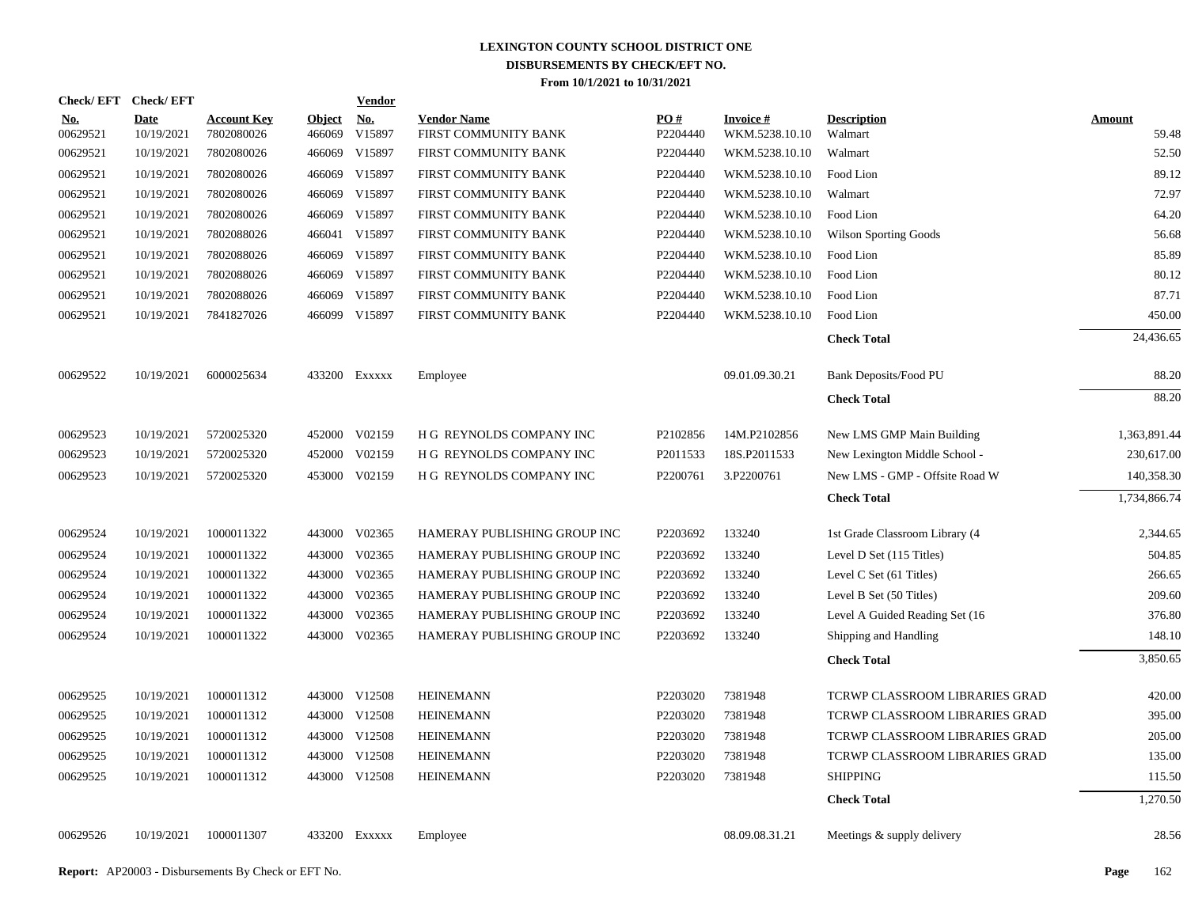| Check/EFT Check/EFT    |                           |                                  |                         | <b>Vendor</b> |                                            |                 |                                   |                                 |                        |
|------------------------|---------------------------|----------------------------------|-------------------------|---------------|--------------------------------------------|-----------------|-----------------------------------|---------------------------------|------------------------|
| <u>No.</u><br>00629521 | <b>Date</b><br>10/19/2021 | <b>Account Key</b><br>7802080026 | <b>Object</b><br>466069 | No.<br>V15897 | <b>Vendor Name</b><br>FIRST COMMUNITY BANK | PQ#<br>P2204440 | <b>Invoice#</b><br>WKM.5238.10.10 | <b>Description</b><br>Walmart   | <b>Amount</b><br>59.48 |
| 00629521               | 10/19/2021                | 7802080026                       |                         | 466069 V15897 | FIRST COMMUNITY BANK                       | P2204440        | WKM.5238.10.10                    | Walmart                         | 52.50                  |
| 00629521               | 10/19/2021                | 7802080026                       |                         | 466069 V15897 | FIRST COMMUNITY BANK                       | P2204440        | WKM.5238.10.10                    | Food Lion                       | 89.12                  |
| 00629521               | 10/19/2021                | 7802080026                       |                         | 466069 V15897 | FIRST COMMUNITY BANK                       | P2204440        | WKM.5238.10.10                    | Walmart                         | 72.97                  |
| 00629521               | 10/19/2021                | 7802080026                       |                         | 466069 V15897 | FIRST COMMUNITY BANK                       | P2204440        | WKM.5238.10.10                    | Food Lion                       | 64.20                  |
| 00629521               | 10/19/2021                | 7802088026                       |                         | 466041 V15897 | FIRST COMMUNITY BANK                       | P2204440        | WKM.5238.10.10                    | <b>Wilson Sporting Goods</b>    | 56.68                  |
| 00629521               | 10/19/2021                | 7802088026                       |                         | 466069 V15897 | FIRST COMMUNITY BANK                       | P2204440        | WKM.5238.10.10                    | Food Lion                       | 85.89                  |
| 00629521               | 10/19/2021                | 7802088026                       |                         | 466069 V15897 | FIRST COMMUNITY BANK                       | P2204440        | WKM.5238.10.10                    | Food Lion                       | 80.12                  |
| 00629521               | 10/19/2021                | 7802088026                       |                         | 466069 V15897 | FIRST COMMUNITY BANK                       | P2204440        | WKM.5238.10.10                    | Food Lion                       | 87.71                  |
| 00629521               | 10/19/2021                | 7841827026                       |                         | 466099 V15897 | FIRST COMMUNITY BANK                       | P2204440        | WKM.5238.10.10                    | Food Lion                       | 450.00                 |
|                        |                           |                                  |                         |               |                                            |                 |                                   | <b>Check Total</b>              | 24,436.65              |
| 00629522               | 10/19/2021                | 6000025634                       |                         | 433200 EXXXXX | Employee                                   |                 | 09.01.09.30.21                    | Bank Deposits/Food PU           | 88.20                  |
|                        |                           |                                  |                         |               |                                            |                 |                                   | <b>Check Total</b>              | 88.20                  |
| 00629523               | 10/19/2021                | 5720025320                       |                         | 452000 V02159 | H G REYNOLDS COMPANY INC                   | P2102856        | 14M.P2102856                      | New LMS GMP Main Building       | 1,363,891.44           |
| 00629523               | 10/19/2021                | 5720025320                       |                         | 452000 V02159 | H G REYNOLDS COMPANY INC                   | P2011533        | 18S.P2011533                      | New Lexington Middle School -   | 230,617.00             |
| 00629523               | 10/19/2021                | 5720025320                       |                         | 453000 V02159 | H G REYNOLDS COMPANY INC                   | P2200761        | 3.P2200761                        | New LMS - GMP - Offsite Road W  | 140,358.30             |
|                        |                           |                                  |                         |               |                                            |                 |                                   | <b>Check Total</b>              | 1,734,866.74           |
| 00629524               | 10/19/2021                | 1000011322                       |                         | 443000 V02365 | HAMERAY PUBLISHING GROUP INC               | P2203692        | 133240                            | 1st Grade Classroom Library (4  | 2,344.65               |
| 00629524               | 10/19/2021                | 1000011322                       |                         | 443000 V02365 | HAMERAY PUBLISHING GROUP INC               | P2203692        | 133240                            | Level D Set (115 Titles)        | 504.85                 |
| 00629524               | 10/19/2021                | 1000011322                       |                         | 443000 V02365 | HAMERAY PUBLISHING GROUP INC               | P2203692        | 133240                            | Level C Set (61 Titles)         | 266.65                 |
| 00629524               | 10/19/2021                | 1000011322                       |                         | 443000 V02365 | HAMERAY PUBLISHING GROUP INC               | P2203692        | 133240                            | Level B Set (50 Titles)         | 209.60                 |
| 00629524               | 10/19/2021                | 1000011322                       |                         | 443000 V02365 | HAMERAY PUBLISHING GROUP INC               | P2203692        | 133240                            | Level A Guided Reading Set (16) | 376.80                 |
| 00629524               | 10/19/2021                | 1000011322                       |                         | 443000 V02365 | HAMERAY PUBLISHING GROUP INC               | P2203692        | 133240                            | Shipping and Handling           | 148.10                 |
|                        |                           |                                  |                         |               |                                            |                 |                                   | <b>Check Total</b>              | 3,850.65               |
| 00629525               | 10/19/2021                | 1000011312                       |                         | 443000 V12508 | <b>HEINEMANN</b>                           | P2203020        | 7381948                           | TCRWP CLASSROOM LIBRARIES GRAD  | 420.00                 |
| 00629525               | 10/19/2021                | 1000011312                       |                         | 443000 V12508 | <b>HEINEMANN</b>                           | P2203020        | 7381948                           | TCRWP CLASSROOM LIBRARIES GRAD  | 395.00                 |
| 00629525               | 10/19/2021                | 1000011312                       |                         | 443000 V12508 | <b>HEINEMANN</b>                           | P2203020        | 7381948                           | TCRWP CLASSROOM LIBRARIES GRAD  | 205.00                 |
| 00629525               | 10/19/2021                | 1000011312                       |                         | 443000 V12508 | <b>HEINEMANN</b>                           | P2203020        | 7381948                           | TCRWP CLASSROOM LIBRARIES GRAD  | 135.00                 |
| 00629525               | 10/19/2021                | 1000011312                       |                         | 443000 V12508 | <b>HEINEMANN</b>                           | P2203020        | 7381948                           | <b>SHIPPING</b>                 | 115.50                 |
|                        |                           |                                  |                         |               |                                            |                 |                                   | <b>Check Total</b>              | 1,270.50               |
| 00629526               | 10/19/2021                | 1000011307                       |                         | 433200 EXXXXX | Employee                                   |                 | 08.09.08.31.21                    | Meetings & supply delivery      | 28.56                  |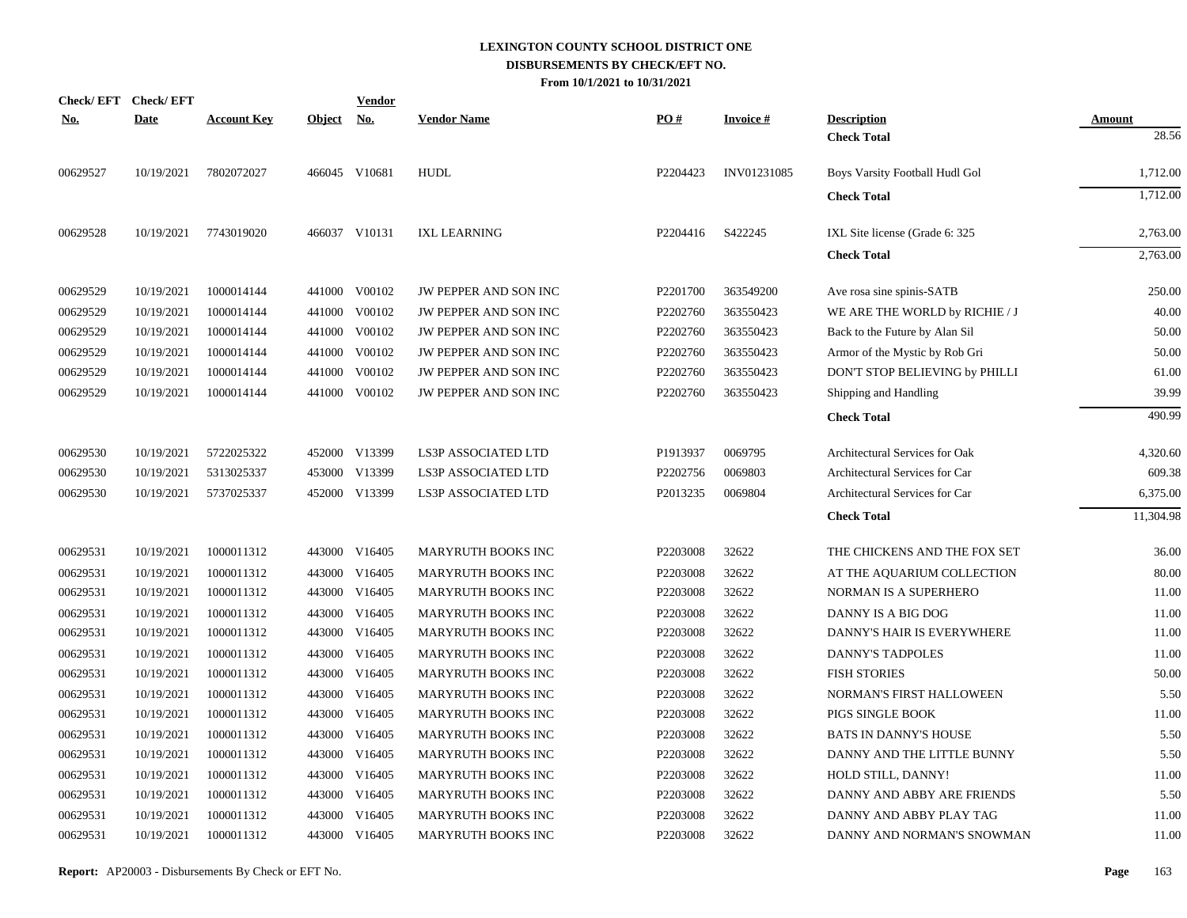|            | Check/EFT Check/EFT |                    |               | Vendor        |                              |                      |                 |                                |               |
|------------|---------------------|--------------------|---------------|---------------|------------------------------|----------------------|-----------------|--------------------------------|---------------|
| <u>No.</u> | <b>Date</b>         | <b>Account Key</b> | <b>Object</b> | <u>No.</u>    | <b>Vendor Name</b>           | PO#                  | <b>Invoice#</b> | <b>Description</b>             | <b>Amount</b> |
|            |                     |                    |               |               |                              |                      |                 | <b>Check Total</b>             | 28.56         |
| 00629527   | 10/19/2021          | 7802072027         |               | 466045 V10681 | <b>HUDL</b>                  | P2204423             | INV01231085     | Boys Varsity Football Hudl Gol | 1,712.00      |
|            |                     |                    |               |               |                              |                      |                 | <b>Check Total</b>             | 1,712.00      |
| 00629528   | 10/19/2021          | 7743019020         |               | 466037 V10131 | <b>IXL LEARNING</b>          | P2204416             | S422245         | IXL Site license (Grade 6: 325 | 2,763.00      |
|            |                     |                    |               |               |                              |                      |                 | <b>Check Total</b>             | 2,763.00      |
| 00629529   | 10/19/2021          | 1000014144         |               | 441000 V00102 | <b>JW PEPPER AND SON INC</b> | P <sub>2201700</sub> | 363549200       | Ave rosa sine spinis-SATB      | 250.00        |
| 00629529   | 10/19/2021          | 1000014144         | 441000        | V00102        | JW PEPPER AND SON INC        | P2202760             | 363550423       | WE ARE THE WORLD by RICHIE / J | 40.00         |
| 00629529   | 10/19/2021          | 1000014144         |               | 441000 V00102 | JW PEPPER AND SON INC        | P2202760             | 363550423       | Back to the Future by Alan Sil | 50.00         |
| 00629529   | 10/19/2021          | 1000014144         | 441000        | V00102        | JW PEPPER AND SON INC        | P2202760             | 363550423       | Armor of the Mystic by Rob Gri | 50.00         |
| 00629529   | 10/19/2021          | 1000014144         | 441000        | V00102        | JW PEPPER AND SON INC        | P2202760             | 363550423       | DON'T STOP BELIEVING by PHILLI | 61.00         |
| 00629529   | 10/19/2021          | 1000014144         | 441000        | V00102        | JW PEPPER AND SON INC        | P2202760             | 363550423       | Shipping and Handling          | 39.99         |
|            |                     |                    |               |               |                              |                      |                 | <b>Check Total</b>             | 490.99        |
| 00629530   | 10/19/2021          | 5722025322         |               | 452000 V13399 | <b>LS3P ASSOCIATED LTD</b>   | P1913937             | 0069795         | Architectural Services for Oak | 4,320.60      |
| 00629530   | 10/19/2021          | 5313025337         | 453000        | V13399        | <b>LS3P ASSOCIATED LTD</b>   | P2202756             | 0069803         | Architectural Services for Car | 609.38        |
| 00629530   | 10/19/2021          | 5737025337         |               | 452000 V13399 | LS3P ASSOCIATED LTD          | P2013235             | 0069804         | Architectural Services for Car | 6,375.00      |
|            |                     |                    |               |               |                              |                      |                 | <b>Check Total</b>             | 11,304.98     |
| 00629531   | 10/19/2021          | 1000011312         |               | 443000 V16405 | MARYRUTH BOOKS INC           | P2203008             | 32622           | THE CHICKENS AND THE FOX SET   | 36.00         |
| 00629531   | 10/19/2021          | 1000011312         | 443000        | V16405        | <b>MARYRUTH BOOKS INC</b>    | P2203008             | 32622           | AT THE AQUARIUM COLLECTION     | 80.00         |
| 00629531   | 10/19/2021          | 1000011312         | 443000        | V16405        | MARYRUTH BOOKS INC           | P2203008             | 32622           | NORMAN IS A SUPERHERO          | 11.00         |
| 00629531   | 10/19/2021          | 1000011312         | 443000        | V16405        | MARYRUTH BOOKS INC           | P2203008             | 32622           | DANNY IS A BIG DOG             | 11.00         |
| 00629531   | 10/19/2021          | 1000011312         | 443000        | V16405        | <b>MARYRUTH BOOKS INC</b>    | P2203008             | 32622           | DANNY'S HAIR IS EVERYWHERE     | 11.00         |
| 00629531   | 10/19/2021          | 1000011312         | 443000        | V16405        | <b>MARYRUTH BOOKS INC</b>    | P2203008             | 32622           | DANNY'S TADPOLES               | 11.00         |
| 00629531   | 10/19/2021          | 1000011312         | 443000        | V16405        | MARYRUTH BOOKS INC           | P2203008             | 32622           | <b>FISH STORIES</b>            | 50.00         |
| 00629531   | 10/19/2021          | 1000011312         | 443000        | V16405        | <b>MARYRUTH BOOKS INC</b>    | P2203008             | 32622           | NORMAN'S FIRST HALLOWEEN       | 5.50          |
| 00629531   | 10/19/2021          | 1000011312         | 443000        | V16405        | MARYRUTH BOOKS INC           | P2203008             | 32622           | PIGS SINGLE BOOK               | 11.00         |
| 00629531   | 10/19/2021          | 1000011312         | 443000        | V16405        | MARYRUTH BOOKS INC           | P2203008             | 32622           | <b>BATS IN DANNY'S HOUSE</b>   | 5.50          |
| 00629531   | 10/19/2021          | 1000011312         | 443000        | V16405        | <b>MARYRUTH BOOKS INC</b>    | P2203008             | 32622           | DANNY AND THE LITTLE BUNNY     | 5.50          |
| 00629531   | 10/19/2021          | 1000011312         | 443000        | V16405        | MARYRUTH BOOKS INC           | P2203008             | 32622           | HOLD STILL, DANNY!             | 11.00         |
| 00629531   | 10/19/2021          | 1000011312         | 443000        | V16405        | <b>MARYRUTH BOOKS INC</b>    | P2203008             | 32622           | DANNY AND ABBY ARE FRIENDS     | 5.50          |
| 00629531   | 10/19/2021          | 1000011312         | 443000        | V16405        | <b>MARYRUTH BOOKS INC</b>    | P2203008             | 32622           | DANNY AND ABBY PLAY TAG        | 11.00         |
| 00629531   | 10/19/2021          | 1000011312         |               | 443000 V16405 | <b>MARYRUTH BOOKS INC</b>    | P2203008             | 32622           | DANNY AND NORMAN'S SNOWMAN     | 11.00         |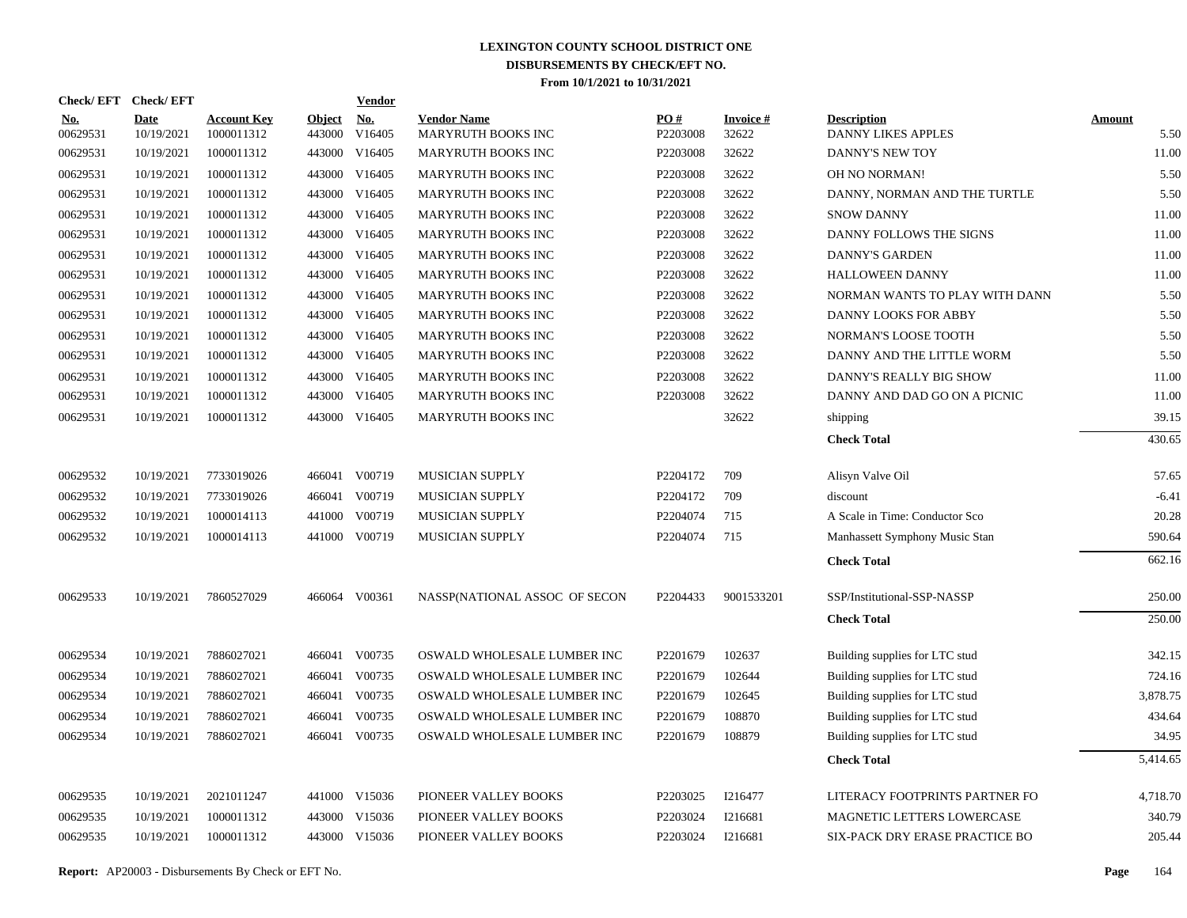|                        | Check/EFT Check/EFT       |                                  |                         | <b>Vendor</b> |                                          |                 |                          |                                                 |                       |
|------------------------|---------------------------|----------------------------------|-------------------------|---------------|------------------------------------------|-----------------|--------------------------|-------------------------------------------------|-----------------------|
| <u>No.</u><br>00629531 | <b>Date</b><br>10/19/2021 | <b>Account Key</b><br>1000011312 | <b>Object</b><br>443000 | No.<br>V16405 | <b>Vendor Name</b><br>MARYRUTH BOOKS INC | PO#<br>P2203008 | <b>Invoice#</b><br>32622 | <b>Description</b><br><b>DANNY LIKES APPLES</b> | <b>Amount</b><br>5.50 |
| 00629531               | 10/19/2021                | 1000011312                       | 443000                  | V16405        | MARYRUTH BOOKS INC                       | P2203008        | 32622                    | DANNY'S NEW TOY                                 | 11.00                 |
| 00629531               | 10/19/2021                | 1000011312                       | 443000                  | V16405        | MARYRUTH BOOKS INC                       | P2203008        | 32622                    | OH NO NORMAN!                                   | 5.50                  |
| 00629531               | 10/19/2021                | 1000011312                       | 443000                  | V16405        | MARYRUTH BOOKS INC                       | P2203008        | 32622                    | DANNY, NORMAN AND THE TURTLE                    | 5.50                  |
| 00629531               | 10/19/2021                | 1000011312                       | 443000                  | V16405        | MARYRUTH BOOKS INC                       | P2203008        | 32622                    | <b>SNOW DANNY</b>                               | 11.00                 |
| 00629531               | 10/19/2021                | 1000011312                       | 443000                  | V16405        | MARYRUTH BOOKS INC                       | P2203008        | 32622                    | DANNY FOLLOWS THE SIGNS                         | 11.00                 |
| 00629531               | 10/19/2021                | 1000011312                       | 443000                  | V16405        | MARYRUTH BOOKS INC                       | P2203008        | 32622                    | <b>DANNY'S GARDEN</b>                           | 11.00                 |
| 00629531               | 10/19/2021                | 1000011312                       | 443000                  | V16405        | MARYRUTH BOOKS INC                       | P2203008        | 32622                    | <b>HALLOWEEN DANNY</b>                          | 11.00                 |
| 00629531               | 10/19/2021                | 1000011312                       | 443000                  | V16405        | MARYRUTH BOOKS INC                       | P2203008        | 32622                    | NORMAN WANTS TO PLAY WITH DANN                  | 5.50                  |
| 00629531               | 10/19/2021                | 1000011312                       | 443000                  | V16405        | MARYRUTH BOOKS INC                       | P2203008        | 32622                    | DANNY LOOKS FOR ABBY                            | 5.50                  |
| 00629531               | 10/19/2021                | 1000011312                       | 443000                  | V16405        | MARYRUTH BOOKS INC                       | P2203008        | 32622                    | NORMAN'S LOOSE TOOTH                            | 5.50                  |
| 00629531               | 10/19/2021                | 1000011312                       | 443000                  | V16405        | MARYRUTH BOOKS INC                       | P2203008        | 32622                    | DANNY AND THE LITTLE WORM                       | 5.50                  |
| 00629531               | 10/19/2021                | 1000011312                       | 443000                  | V16405        | MARYRUTH BOOKS INC                       | P2203008        | 32622                    | DANNY'S REALLY BIG SHOW                         | 11.00                 |
| 00629531               | 10/19/2021                | 1000011312                       | 443000                  | V16405        | MARYRUTH BOOKS INC                       | P2203008        | 32622                    | DANNY AND DAD GO ON A PICNIC                    | 11.00                 |
| 00629531               | 10/19/2021                | 1000011312                       |                         | 443000 V16405 | MARYRUTH BOOKS INC                       |                 | 32622                    | shipping                                        | 39.15                 |
|                        |                           |                                  |                         |               |                                          |                 |                          | <b>Check Total</b>                              | 430.65                |
| 00629532               | 10/19/2021                | 7733019026                       |                         | 466041 V00719 | MUSICIAN SUPPLY                          | P2204172        | 709                      | Alisyn Valve Oil                                | 57.65                 |
| 00629532               | 10/19/2021                | 7733019026                       | 466041                  | V00719        | MUSICIAN SUPPLY                          | P2204172        | 709                      | discount                                        | $-6.41$               |
| 00629532               | 10/19/2021                | 1000014113                       | 441000                  | V00719        | MUSICIAN SUPPLY                          | P2204074        | 715                      | A Scale in Time: Conductor Sco                  | 20.28                 |
| 00629532               | 10/19/2021                | 1000014113                       | 441000                  | V00719        | MUSICIAN SUPPLY                          | P2204074        | 715                      | Manhassett Symphony Music Stan                  | 590.64                |
|                        |                           |                                  |                         |               |                                          |                 |                          | <b>Check Total</b>                              | 662.16                |
| 00629533               | 10/19/2021                | 7860527029                       |                         | 466064 V00361 | NASSP(NATIONAL ASSOC OF SECON            | P2204433        | 9001533201               | SSP/Institutional-SSP-NASSP                     | 250.00                |
|                        |                           |                                  |                         |               |                                          |                 |                          | <b>Check Total</b>                              | 250.00                |
| 00629534               | 10/19/2021                | 7886027021                       |                         | 466041 V00735 | OSWALD WHOLESALE LUMBER INC              | P2201679        | 102637                   | Building supplies for LTC stud                  | 342.15                |
| 00629534               | 10/19/2021                | 7886027021                       |                         | 466041 V00735 | OSWALD WHOLESALE LUMBER INC              | P2201679        | 102644                   | Building supplies for LTC stud                  | 724.16                |
| 00629534               | 10/19/2021                | 7886027021                       |                         | 466041 V00735 | OSWALD WHOLESALE LUMBER INC              | P2201679        | 102645                   | Building supplies for LTC stud                  | 3,878.75              |
| 00629534               | 10/19/2021                | 7886027021                       | 466041                  | V00735        | OSWALD WHOLESALE LUMBER INC              | P2201679        | 108870                   | Building supplies for LTC stud                  | 434.64                |
| 00629534               | 10/19/2021                | 7886027021                       |                         | 466041 V00735 | OSWALD WHOLESALE LUMBER INC              | P2201679        | 108879                   | Building supplies for LTC stud                  | 34.95                 |
|                        |                           |                                  |                         |               |                                          |                 |                          | <b>Check Total</b>                              | 5,414.65              |
| 00629535               | 10/19/2021                | 2021011247                       |                         | 441000 V15036 | PIONEER VALLEY BOOKS                     | P2203025        | I216477                  | LITERACY FOOTPRINTS PARTNER FO                  | 4,718.70              |
| 00629535               | 10/19/2021                | 1000011312                       |                         | 443000 V15036 | PIONEER VALLEY BOOKS                     | P2203024        | I216681                  | MAGNETIC LETTERS LOWERCASE                      | 340.79                |
| 00629535               | 10/19/2021                | 1000011312                       |                         | 443000 V15036 | PIONEER VALLEY BOOKS                     | P2203024        | I216681                  | SIX-PACK DRY ERASE PRACTICE BO                  | 205.44                |
|                        |                           |                                  |                         |               |                                          |                 |                          |                                                 |                       |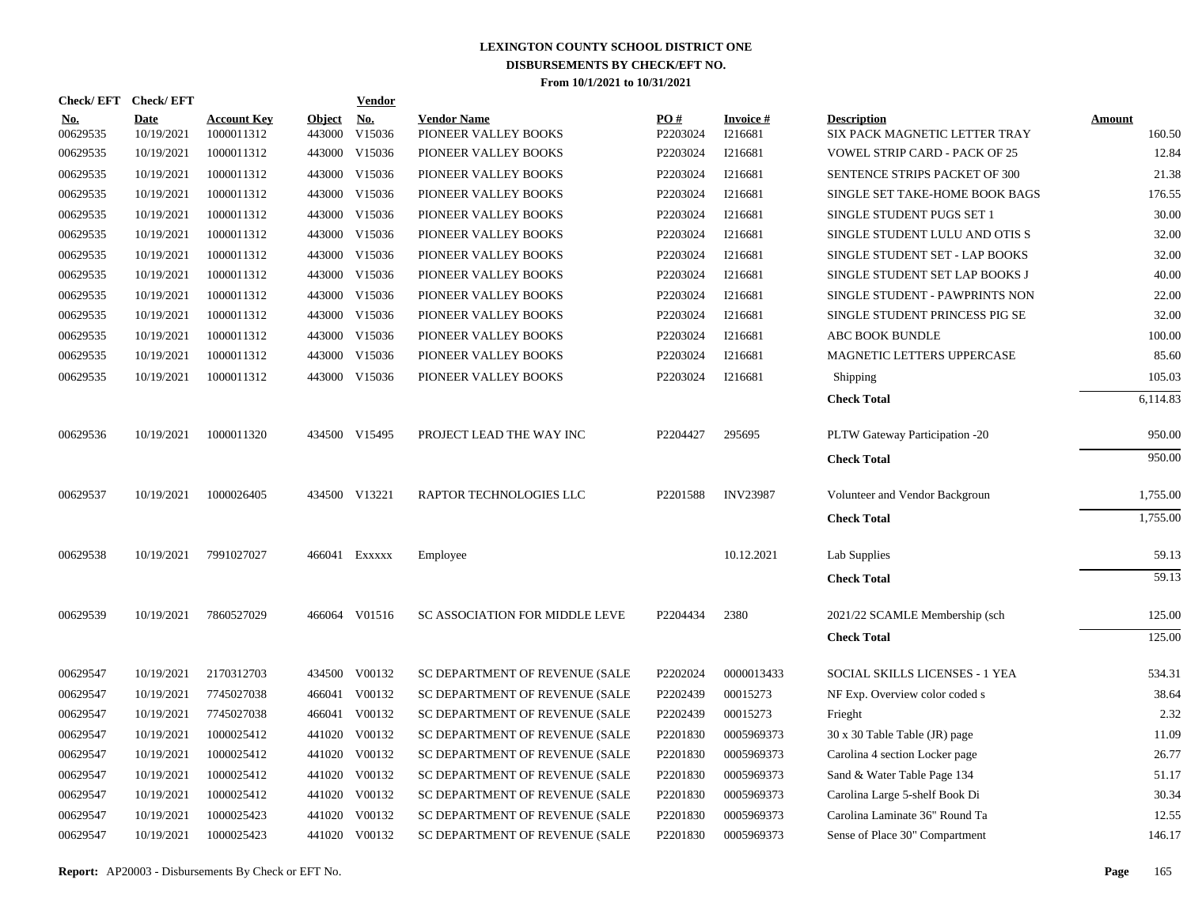| <b>Check/EFT</b>       | <b>Check/EFT</b>          |                                  |                         | <b>Vendor</b>        |                                            |                 |                               |                                                     |                         |
|------------------------|---------------------------|----------------------------------|-------------------------|----------------------|--------------------------------------------|-----------------|-------------------------------|-----------------------------------------------------|-------------------------|
| <u>No.</u><br>00629535 | <b>Date</b><br>10/19/2021 | <b>Account Key</b><br>1000011312 | <b>Object</b><br>443000 | <u>No.</u><br>V15036 | <b>Vendor Name</b><br>PIONEER VALLEY BOOKS | PO#<br>P2203024 | <b>Invoice</b> $#$<br>I216681 | <b>Description</b><br>SIX PACK MAGNETIC LETTER TRAY | <b>Amount</b><br>160.50 |
| 00629535               | 10/19/2021                | 1000011312                       |                         | 443000 V15036        | PIONEER VALLEY BOOKS                       | P2203024        | I216681                       | <b>VOWEL STRIP CARD - PACK OF 25</b>                | 12.84                   |
| 00629535               | 10/19/2021                | 1000011312                       |                         | 443000 V15036        | PIONEER VALLEY BOOKS                       | P2203024        | I216681                       | SENTENCE STRIPS PACKET OF 300                       | 21.38                   |
| 00629535               | 10/19/2021                | 1000011312                       |                         | 443000 V15036        | PIONEER VALLEY BOOKS                       | P2203024        | I216681                       | SINGLE SET TAKE-HOME BOOK BAGS                      | 176.55                  |
| 00629535               | 10/19/2021                | 1000011312                       |                         | 443000 V15036        | PIONEER VALLEY BOOKS                       | P2203024        | I216681                       | SINGLE STUDENT PUGS SET 1                           | 30.00                   |
| 00629535               | 10/19/2021                | 1000011312                       |                         | 443000 V15036        | PIONEER VALLEY BOOKS                       | P2203024        | I216681                       | SINGLE STUDENT LULU AND OTIS S                      | 32.00                   |
| 00629535               | 10/19/2021                | 1000011312                       |                         | 443000 V15036        | PIONEER VALLEY BOOKS                       | P2203024        | I216681                       | SINGLE STUDENT SET - LAP BOOKS                      | 32.00                   |
| 00629535               | 10/19/2021                | 1000011312                       |                         | 443000 V15036        | PIONEER VALLEY BOOKS                       | P2203024        | I216681                       | SINGLE STUDENT SET LAP BOOKS J                      | 40.00                   |
| 00629535               | 10/19/2021                | 1000011312                       |                         | 443000 V15036        | PIONEER VALLEY BOOKS                       | P2203024        | I216681                       | SINGLE STUDENT - PAWPRINTS NON                      | 22.00                   |
| 00629535               | 10/19/2021                | 1000011312                       |                         | 443000 V15036        | PIONEER VALLEY BOOKS                       | P2203024        | I216681                       | SINGLE STUDENT PRINCESS PIG SE                      | 32.00                   |
| 00629535               | 10/19/2021                | 1000011312                       |                         | 443000 V15036        | PIONEER VALLEY BOOKS                       | P2203024        | I216681                       | ABC BOOK BUNDLE                                     | 100.00                  |
| 00629535               | 10/19/2021                | 1000011312                       |                         | 443000 V15036        | PIONEER VALLEY BOOKS                       | P2203024        | I216681                       | MAGNETIC LETTERS UPPERCASE                          | 85.60                   |
| 00629535               | 10/19/2021                | 1000011312                       |                         | 443000 V15036        | PIONEER VALLEY BOOKS                       | P2203024        | I216681                       | Shipping                                            | 105.03                  |
|                        |                           |                                  |                         |                      |                                            |                 |                               | <b>Check Total</b>                                  | 6,114.83                |
| 00629536               | 10/19/2021                | 1000011320                       |                         | 434500 V15495        | PROJECT LEAD THE WAY INC                   | P2204427        | 295695                        | PLTW Gateway Participation -20                      | 950.00                  |
|                        |                           |                                  |                         |                      |                                            |                 |                               | <b>Check Total</b>                                  | 950.00                  |
| 00629537               | 10/19/2021                | 1000026405                       |                         | 434500 V13221        | RAPTOR TECHNOLOGIES LLC                    | P2201588        | <b>INV23987</b>               | Volunteer and Vendor Backgroun                      | 1,755.00                |
|                        |                           |                                  |                         |                      |                                            |                 |                               | <b>Check Total</b>                                  | 1,755.00                |
| 00629538               | 10/19/2021                | 7991027027                       |                         | 466041 EXXXXX        | Employee                                   |                 | 10.12.2021                    | Lab Supplies                                        | 59.13                   |
|                        |                           |                                  |                         |                      |                                            |                 |                               | <b>Check Total</b>                                  | 59.13                   |
| 00629539               | 10/19/2021                | 7860527029                       |                         | 466064 V01516        | SC ASSOCIATION FOR MIDDLE LEVE             | P2204434        | 2380                          | 2021/22 SCAMLE Membership (sch                      | 125.00                  |
|                        |                           |                                  |                         |                      |                                            |                 |                               | <b>Check Total</b>                                  | 125.00                  |
| 00629547               | 10/19/2021                | 2170312703                       |                         | 434500 V00132        | SC DEPARTMENT OF REVENUE (SALE             | P2202024        | 0000013433                    | SOCIAL SKILLS LICENSES - 1 YEA                      | 534.31                  |
| 00629547               | 10/19/2021                | 7745027038                       | 466041                  | V00132               | SC DEPARTMENT OF REVENUE (SALE             | P2202439        | 00015273                      | NF Exp. Overview color coded s                      | 38.64                   |
| 00629547               | 10/19/2021                | 7745027038                       |                         | 466041 V00132        | SC DEPARTMENT OF REVENUE (SALE             | P2202439        | 00015273                      | Frieght                                             | 2.32                    |
| 00629547               | 10/19/2021                | 1000025412                       | 441020                  | V00132               | SC DEPARTMENT OF REVENUE (SALE             | P2201830        | 0005969373                    | 30 x 30 Table Table (JR) page                       | 11.09                   |
| 00629547               | 10/19/2021                | 1000025412                       |                         | 441020 V00132        | SC DEPARTMENT OF REVENUE (SALE             | P2201830        | 0005969373                    | Carolina 4 section Locker page                      | 26.77                   |
| 00629547               | 10/19/2021                | 1000025412                       |                         | 441020 V00132        | SC DEPARTMENT OF REVENUE (SALE             | P2201830        | 0005969373                    | Sand & Water Table Page 134                         | 51.17                   |
| 00629547               | 10/19/2021                | 1000025412                       |                         | 441020 V00132        | SC DEPARTMENT OF REVENUE (SALE             | P2201830        | 0005969373                    | Carolina Large 5-shelf Book Di                      | 30.34                   |
| 00629547               | 10/19/2021                | 1000025423                       |                         | 441020 V00132        | SC DEPARTMENT OF REVENUE (SALE             | P2201830        | 0005969373                    | Carolina Laminate 36" Round Ta                      | 12.55                   |
| 00629547               | 10/19/2021                | 1000025423                       |                         | 441020 V00132        | SC DEPARTMENT OF REVENUE (SALE             | P2201830        | 0005969373                    | Sense of Place 30" Compartment                      | 146.17                  |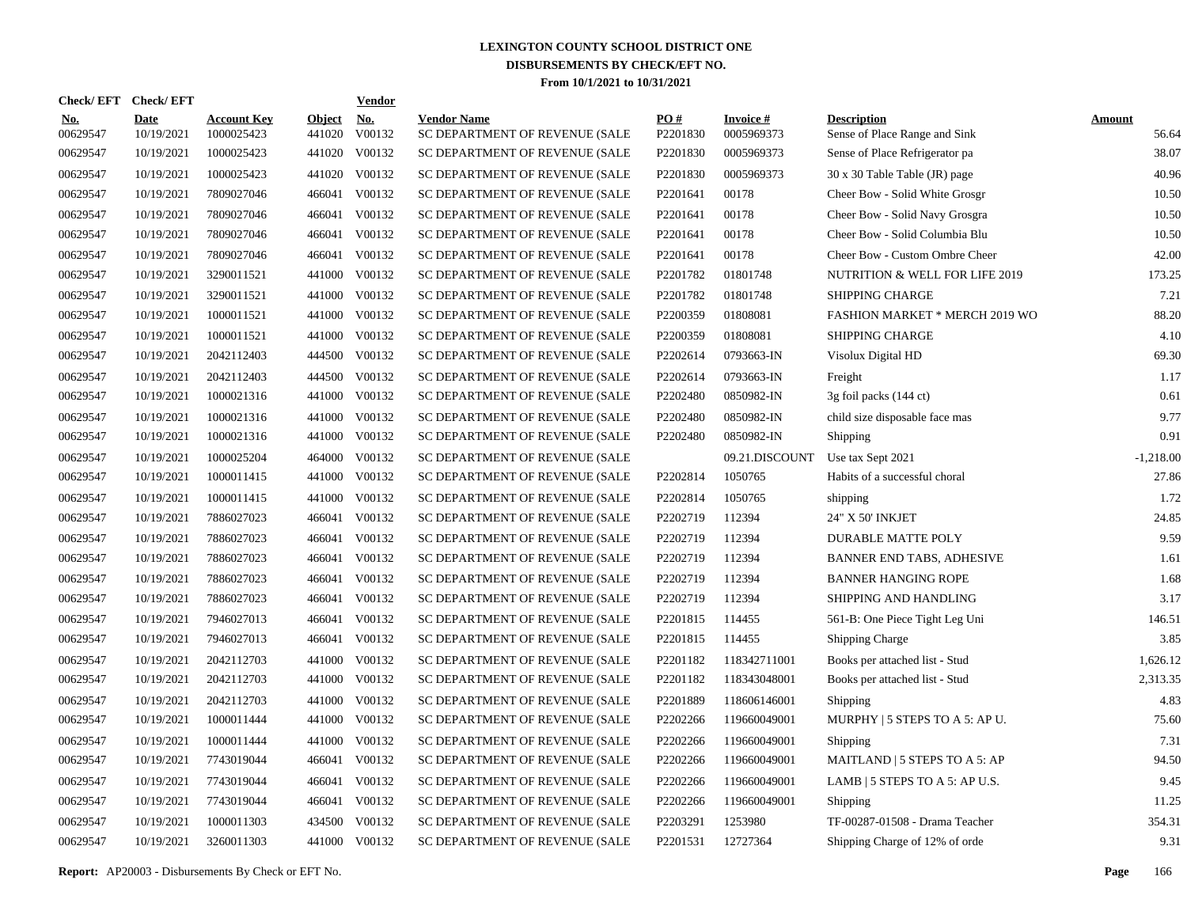|                        | Check/EFT Check/EFT       |                                  |                         | <b>Vendor</b> |                                                      |                 |                               |                                                     |                        |
|------------------------|---------------------------|----------------------------------|-------------------------|---------------|------------------------------------------------------|-----------------|-------------------------------|-----------------------------------------------------|------------------------|
| <b>No.</b><br>00629547 | <b>Date</b><br>10/19/2021 | <b>Account Key</b><br>1000025423 | <b>Object</b><br>441020 | No.<br>V00132 | <b>Vendor Name</b><br>SC DEPARTMENT OF REVENUE (SALE | PQ#<br>P2201830 | <b>Invoice#</b><br>0005969373 | <b>Description</b><br>Sense of Place Range and Sink | <b>Amount</b><br>56.64 |
| 00629547               | 10/19/2021                | 1000025423                       | 441020                  | V00132        | SC DEPARTMENT OF REVENUE (SALE                       | P2201830        | 0005969373                    | Sense of Place Refrigerator pa                      | 38.07                  |
| 00629547               | 10/19/2021                | 1000025423                       | 441020                  | V00132        | SC DEPARTMENT OF REVENUE (SALE                       | P2201830        | 0005969373                    | 30 x 30 Table Table (JR) page                       | 40.96                  |
| 00629547               | 10/19/2021                | 7809027046                       | 466041                  | V00132        | SC DEPARTMENT OF REVENUE (SALE                       | P2201641        | 00178                         | Cheer Bow - Solid White Grosgr                      | 10.50                  |
| 00629547               | 10/19/2021                | 7809027046                       | 466041                  | V00132        | SC DEPARTMENT OF REVENUE (SALE                       | P2201641        | 00178                         | Cheer Bow - Solid Navy Grosgra                      | 10.50                  |
| 00629547               | 10/19/2021                | 7809027046                       | 466041                  | V00132        | SC DEPARTMENT OF REVENUE (SALE                       | P2201641        | 00178                         | Cheer Bow - Solid Columbia Blu                      | 10.50                  |
| 00629547               | 10/19/2021                | 7809027046                       | 466041                  | V00132        | SC DEPARTMENT OF REVENUE (SALE                       | P2201641        | 00178                         | Cheer Bow - Custom Ombre Cheer                      | 42.00                  |
| 00629547               | 10/19/2021                | 3290011521                       | 441000                  | V00132        | SC DEPARTMENT OF REVENUE (SALE                       | P2201782        | 01801748                      | NUTRITION & WELL FOR LIFE 2019                      | 173.25                 |
| 00629547               | 10/19/2021                | 3290011521                       | 441000                  | V00132        | SC DEPARTMENT OF REVENUE (SALE                       | P2201782        | 01801748                      | SHIPPING CHARGE                                     | 7.21                   |
| 00629547               | 10/19/2021                | 1000011521                       | 441000                  | V00132        | SC DEPARTMENT OF REVENUE (SALE                       | P2200359        | 01808081                      | <b>FASHION MARKET * MERCH 2019 WO</b>               | 88.20                  |
| 00629547               | 10/19/2021                | 1000011521                       | 441000                  | V00132        | SC DEPARTMENT OF REVENUE (SALE                       | P2200359        | 01808081                      | <b>SHIPPING CHARGE</b>                              | 4.10                   |
| 00629547               | 10/19/2021                | 2042112403                       | 444500                  | V00132        | SC DEPARTMENT OF REVENUE (SALE                       | P2202614        | 0793663-IN                    | Visolux Digital HD                                  | 69.30                  |
| 00629547               | 10/19/2021                | 2042112403                       | 444500                  | V00132        | SC DEPARTMENT OF REVENUE (SALE                       | P2202614        | 0793663-IN                    | Freight                                             | 1.17                   |
| 00629547               | 10/19/2021                | 1000021316                       | 441000                  | V00132        | SC DEPARTMENT OF REVENUE (SALE                       | P2202480        | 0850982-IN                    | 3g foil packs (144 ct)                              | 0.61                   |
| 00629547               | 10/19/2021                | 1000021316                       | 441000                  | V00132        | SC DEPARTMENT OF REVENUE (SALE                       | P2202480        | 0850982-IN                    | child size disposable face mas                      | 9.77                   |
| 00629547               | 10/19/2021                | 1000021316                       | 441000                  | V00132        | SC DEPARTMENT OF REVENUE (SALE                       | P2202480        | 0850982-IN                    | Shipping                                            | 0.91                   |
| 00629547               | 10/19/2021                | 1000025204                       | 464000                  | V00132        | SC DEPARTMENT OF REVENUE (SALE                       |                 | 09.21.DISCOUNT                | Use tax Sept 2021                                   | $-1,218.00$            |
| 00629547               | 10/19/2021                | 1000011415                       | 441000                  | V00132        | SC DEPARTMENT OF REVENUE (SALE                       | P2202814        | 1050765                       | Habits of a successful choral                       | 27.86                  |
| 00629547               | 10/19/2021                | 1000011415                       | 441000                  | V00132        | SC DEPARTMENT OF REVENUE (SALE                       | P2202814        | 1050765                       | shipping                                            | 1.72                   |
| 00629547               | 10/19/2021                | 7886027023                       | 466041                  | V00132        | SC DEPARTMENT OF REVENUE (SALE                       | P2202719        | 112394                        | 24" X 50' INKJET                                    | 24.85                  |
| 00629547               | 10/19/2021                | 7886027023                       | 466041                  | V00132        | SC DEPARTMENT OF REVENUE (SALE                       | P2202719        | 112394                        | DURABLE MATTE POLY                                  | 9.59                   |
| 00629547               | 10/19/2021                | 7886027023                       | 466041                  | V00132        | SC DEPARTMENT OF REVENUE (SALE                       | P2202719        | 112394                        | <b>BANNER END TABS, ADHESIVE</b>                    | 1.61                   |
| 00629547               | 10/19/2021                | 7886027023                       | 466041                  | V00132        | SC DEPARTMENT OF REVENUE (SALE                       | P2202719        | 112394                        | <b>BANNER HANGING ROPE</b>                          | 1.68                   |
| 00629547               | 10/19/2021                | 7886027023                       | 466041                  | V00132        | SC DEPARTMENT OF REVENUE (SALE                       | P2202719        | 112394                        | SHIPPING AND HANDLING                               | 3.17                   |
| 00629547               | 10/19/2021                | 7946027013                       | 466041                  | V00132        | SC DEPARTMENT OF REVENUE (SALE                       | P2201815        | 114455                        | 561-B: One Piece Tight Leg Uni                      | 146.51                 |
| 00629547               | 10/19/2021                | 7946027013                       | 466041                  | V00132        | SC DEPARTMENT OF REVENUE (SALE                       | P2201815        | 114455                        | <b>Shipping Charge</b>                              | 3.85                   |
| 00629547               | 10/19/2021                | 2042112703                       | 441000                  | V00132        | SC DEPARTMENT OF REVENUE (SALE                       | P2201182        | 118342711001                  | Books per attached list - Stud                      | 1,626.12               |
| 00629547               | 10/19/2021                | 2042112703                       |                         | 441000 V00132 | SC DEPARTMENT OF REVENUE (SALE                       | P2201182        | 118343048001                  | Books per attached list - Stud                      | 2,313.35               |
| 00629547               | 10/19/2021                | 2042112703                       |                         | 441000 V00132 | SC DEPARTMENT OF REVENUE (SALE                       | P2201889        | 118606146001                  | Shipping                                            | 4.83                   |
| 00629547               | 10/19/2021                | 1000011444                       |                         | 441000 V00132 | SC DEPARTMENT OF REVENUE (SALE                       | P2202266        | 119660049001                  | MURPHY   5 STEPS TO A 5: AP U.                      | 75.60                  |
| 00629547               | 10/19/2021                | 1000011444                       |                         | 441000 V00132 | SC DEPARTMENT OF REVENUE (SALE                       | P2202266        | 119660049001                  | Shipping                                            | 7.31                   |
| 00629547               | 10/19/2021                | 7743019044                       | 466041                  | V00132        | SC DEPARTMENT OF REVENUE (SALE                       | P2202266        | 119660049001                  | MAITLAND   5 STEPS TO A 5: AP                       | 94.50                  |
| 00629547               | 10/19/2021                | 7743019044                       | 466041                  | V00132        | SC DEPARTMENT OF REVENUE (SALE                       | P2202266        | 119660049001                  | LAMB   5 STEPS TO A 5: AP U.S.                      | 9.45                   |
| 00629547               | 10/19/2021                | 7743019044                       | 466041                  | V00132        | SC DEPARTMENT OF REVENUE (SALE                       | P2202266        | 119660049001                  | Shipping                                            | 11.25                  |
| 00629547               | 10/19/2021                | 1000011303                       | 434500                  | V00132        | SC DEPARTMENT OF REVENUE (SALE                       | P2203291        | 1253980                       | TF-00287-01508 - Drama Teacher                      | 354.31                 |
| 00629547               | 10/19/2021                | 3260011303                       |                         | 441000 V00132 | SC DEPARTMENT OF REVENUE (SALE                       | P2201531        | 12727364                      | Shipping Charge of 12% of orde                      | 9.31                   |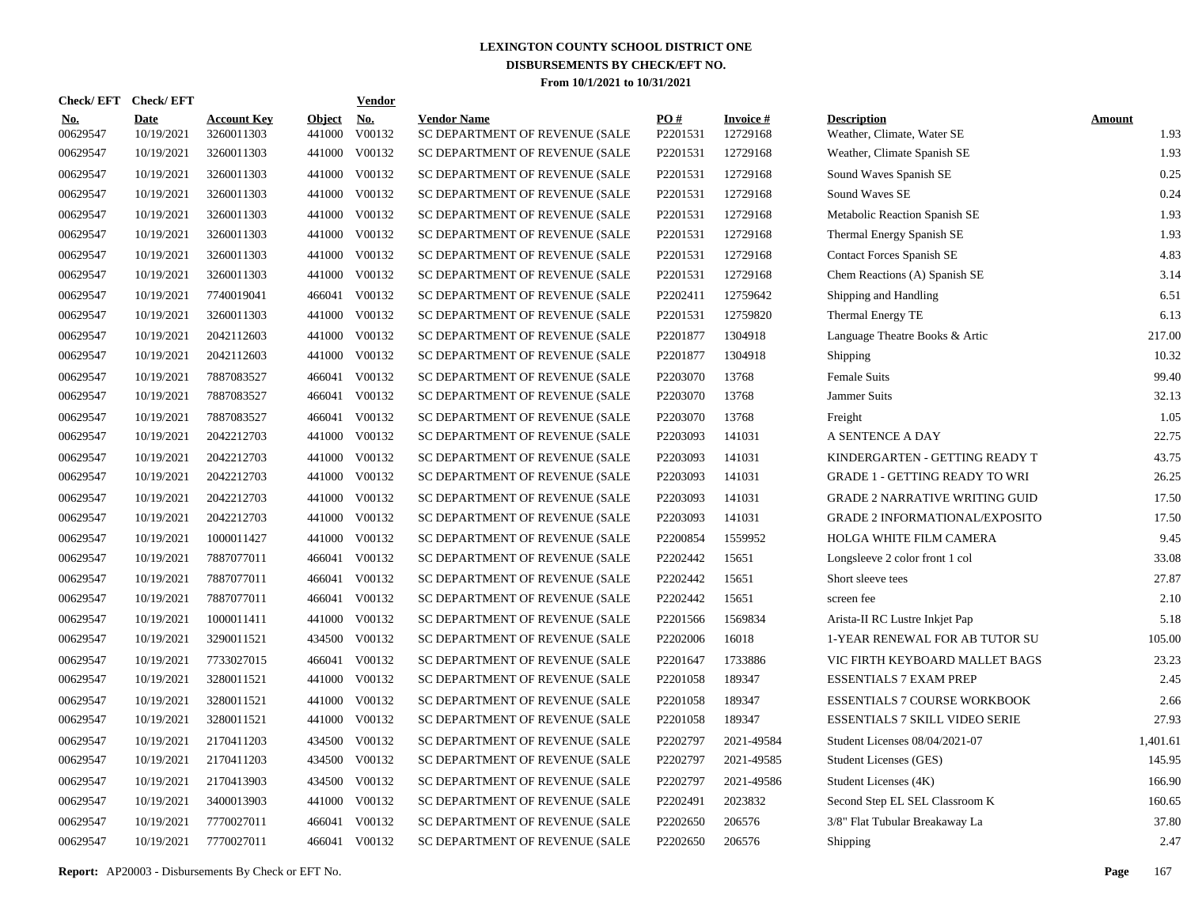|                        | Check/EFT Check/EFT       |                                  |                         | <b>Vendor</b> |                                                      |                 |                             |                                                  |                       |
|------------------------|---------------------------|----------------------------------|-------------------------|---------------|------------------------------------------------------|-----------------|-----------------------------|--------------------------------------------------|-----------------------|
| <u>No.</u><br>00629547 | <b>Date</b><br>10/19/2021 | <b>Account Key</b><br>3260011303 | <b>Object</b><br>441000 | No.<br>V00132 | <b>Vendor Name</b><br>SC DEPARTMENT OF REVENUE (SALE | PO#<br>P2201531 | <b>Invoice#</b><br>12729168 | <b>Description</b><br>Weather, Climate, Water SE | <b>Amount</b><br>1.93 |
| 00629547               | 10/19/2021                | 3260011303                       | 441000                  | V00132        | SC DEPARTMENT OF REVENUE (SALE                       | P2201531        | 12729168                    | Weather, Climate Spanish SE                      | 1.93                  |
| 00629547               | 10/19/2021                | 3260011303                       | 441000                  | V00132        | SC DEPARTMENT OF REVENUE (SALE                       | P2201531        | 12729168                    | Sound Waves Spanish SE                           | 0.25                  |
| 00629547               | 10/19/2021                | 3260011303                       | 441000                  | V00132        | SC DEPARTMENT OF REVENUE (SALE                       | P2201531        | 12729168                    | Sound Waves SE                                   | 0.24                  |
| 00629547               | 10/19/2021                | 3260011303                       | 441000                  | V00132        | SC DEPARTMENT OF REVENUE (SALE                       | P2201531        | 12729168                    | Metabolic Reaction Spanish SE                    | 1.93                  |
| 00629547               | 10/19/2021                | 3260011303                       | 441000                  | V00132        | SC DEPARTMENT OF REVENUE (SALE                       | P2201531        | 12729168                    | Thermal Energy Spanish SE                        | 1.93                  |
| 00629547               | 10/19/2021                | 3260011303                       | 441000                  | V00132        | SC DEPARTMENT OF REVENUE (SALE                       | P2201531        | 12729168                    | <b>Contact Forces Spanish SE</b>                 | 4.83                  |
| 00629547               | 10/19/2021                | 3260011303                       | 441000                  | V00132        | SC DEPARTMENT OF REVENUE (SALE                       | P2201531        | 12729168                    | Chem Reactions (A) Spanish SE                    | 3.14                  |
| 00629547               | 10/19/2021                | 7740019041                       | 466041                  | V00132        | SC DEPARTMENT OF REVENUE (SALE                       | P2202411        | 12759642                    | Shipping and Handling                            | 6.51                  |
| 00629547               | 10/19/2021                | 3260011303                       | 441000                  | V00132        | SC DEPARTMENT OF REVENUE (SALE                       | P2201531        | 12759820                    | Thermal Energy TE                                | 6.13                  |
| 00629547               | 10/19/2021                | 2042112603                       | 441000                  | V00132        | SC DEPARTMENT OF REVENUE (SALE                       | P2201877        | 1304918                     | Language Theatre Books & Artic                   | 217.00                |
| 00629547               | 10/19/2021                | 2042112603                       | 441000                  | V00132        | SC DEPARTMENT OF REVENUE (SALE                       | P2201877        | 1304918                     | Shipping                                         | 10.32                 |
| 00629547               | 10/19/2021                | 7887083527                       |                         | 466041 V00132 | SC DEPARTMENT OF REVENUE (SALE                       | P2203070        | 13768                       | Female Suits                                     | 99.40                 |
| 00629547               | 10/19/2021                | 7887083527                       | 466041                  | V00132        | SC DEPARTMENT OF REVENUE (SALE                       | P2203070        | 13768                       | Jammer Suits                                     | 32.13                 |
| 00629547               | 10/19/2021                | 7887083527                       | 466041                  | V00132        | SC DEPARTMENT OF REVENUE (SALE                       | P2203070        | 13768                       | Freight                                          | 1.05                  |
| 00629547               | 10/19/2021                | 2042212703                       | 441000                  | V00132        | SC DEPARTMENT OF REVENUE (SALE                       | P2203093        | 141031                      | A SENTENCE A DAY                                 | 22.75                 |
| 00629547               | 10/19/2021                | 2042212703                       | 441000                  | V00132        | SC DEPARTMENT OF REVENUE (SALE                       | P2203093        | 141031                      | KINDERGARTEN - GETTING READY T                   | 43.75                 |
| 00629547               | 10/19/2021                | 2042212703                       | 441000                  | V00132        | SC DEPARTMENT OF REVENUE (SALE                       | P2203093        | 141031                      | <b>GRADE 1 - GETTING READY TO WRI</b>            | 26.25                 |
| 00629547               | 10/19/2021                | 2042212703                       | 441000                  | V00132        | SC DEPARTMENT OF REVENUE (SALE                       | P2203093        | 141031                      | <b>GRADE 2 NARRATIVE WRITING GUID</b>            | 17.50                 |
| 00629547               | 10/19/2021                | 2042212703                       | 441000                  | V00132        | SC DEPARTMENT OF REVENUE (SALE                       | P2203093        | 141031                      | <b>GRADE 2 INFORMATIONAL/EXPOSITO</b>            | 17.50                 |
| 00629547               | 10/19/2021                | 1000011427                       | 441000                  | V00132        | SC DEPARTMENT OF REVENUE (SALE                       | P2200854        | 1559952                     | HOLGA WHITE FILM CAMERA                          | 9.45                  |
| 00629547               | 10/19/2021                | 7887077011                       | 466041                  | V00132        | SC DEPARTMENT OF REVENUE (SALE                       | P2202442        | 15651                       | Longsleeve 2 color front 1 col                   | 33.08                 |
| 00629547               | 10/19/2021                | 7887077011                       | 466041                  | V00132        | SC DEPARTMENT OF REVENUE (SALE                       | P2202442        | 15651                       | Short sleeve tees                                | 27.87                 |
| 00629547               | 10/19/2021                | 7887077011                       | 466041                  | V00132        | SC DEPARTMENT OF REVENUE (SALE                       | P2202442        | 15651                       | screen fee                                       | 2.10                  |
| 00629547               | 10/19/2021                | 1000011411                       | 441000                  | V00132        | SC DEPARTMENT OF REVENUE (SALE                       | P2201566        | 1569834                     | Arista-II RC Lustre Inkjet Pap                   | 5.18                  |
| 00629547               | 10/19/2021                | 3290011521                       | 434500                  | V00132        | SC DEPARTMENT OF REVENUE (SALE                       | P2202006        | 16018                       | 1-YEAR RENEWAL FOR AB TUTOR SU                   | 105.00                |
| 00629547               | 10/19/2021                | 7733027015                       | 466041                  | V00132        | SC DEPARTMENT OF REVENUE (SALE                       | P2201647        | 1733886                     | VIC FIRTH KEYBOARD MALLET BAGS                   | 23.23                 |
| 00629547               | 10/19/2021                | 3280011521                       | 441000                  | V00132        | SC DEPARTMENT OF REVENUE (SALE                       | P2201058        | 189347                      | <b>ESSENTIALS 7 EXAM PREP</b>                    | 2.45                  |
| 00629547               | 10/19/2021                | 3280011521                       | 441000                  | V00132        | SC DEPARTMENT OF REVENUE (SALE                       | P2201058        | 189347                      | <b>ESSENTIALS 7 COURSE WORKBOOK</b>              | 2.66                  |
| 00629547               | 10/19/2021                | 3280011521                       | 441000                  | V00132        | SC DEPARTMENT OF REVENUE (SALE                       | P2201058        | 189347                      | <b>ESSENTIALS 7 SKILL VIDEO SERIE</b>            | 27.93                 |
| 00629547               | 10/19/2021                | 2170411203                       | 434500                  | V00132        | SC DEPARTMENT OF REVENUE (SALE                       | P2202797        | 2021-49584                  | Student Licenses 08/04/2021-07                   | 1,401.61              |
| 00629547               | 10/19/2021                | 2170411203                       | 434500                  | V00132        | SC DEPARTMENT OF REVENUE (SALE                       | P2202797        | 2021-49585                  | <b>Student Licenses (GES)</b>                    | 145.95                |
| 00629547               | 10/19/2021                | 2170413903                       | 434500                  | V00132        | SC DEPARTMENT OF REVENUE (SALE                       | P2202797        | 2021-49586                  | Student Licenses (4K)                            | 166.90                |
| 00629547               | 10/19/2021                | 3400013903                       | 441000                  | V00132        | SC DEPARTMENT OF REVENUE (SALE                       | P2202491        | 2023832                     | Second Step EL SEL Classroom K                   | 160.65                |
| 00629547               | 10/19/2021                | 7770027011                       | 466041                  | V00132        | SC DEPARTMENT OF REVENUE (SALE                       | P2202650        | 206576                      | 3/8" Flat Tubular Breakaway La                   | 37.80                 |
| 00629547               | 10/19/2021                | 7770027011                       |                         | 466041 V00132 | SC DEPARTMENT OF REVENUE (SALE                       | P2202650        | 206576                      | Shipping                                         | 2.47                  |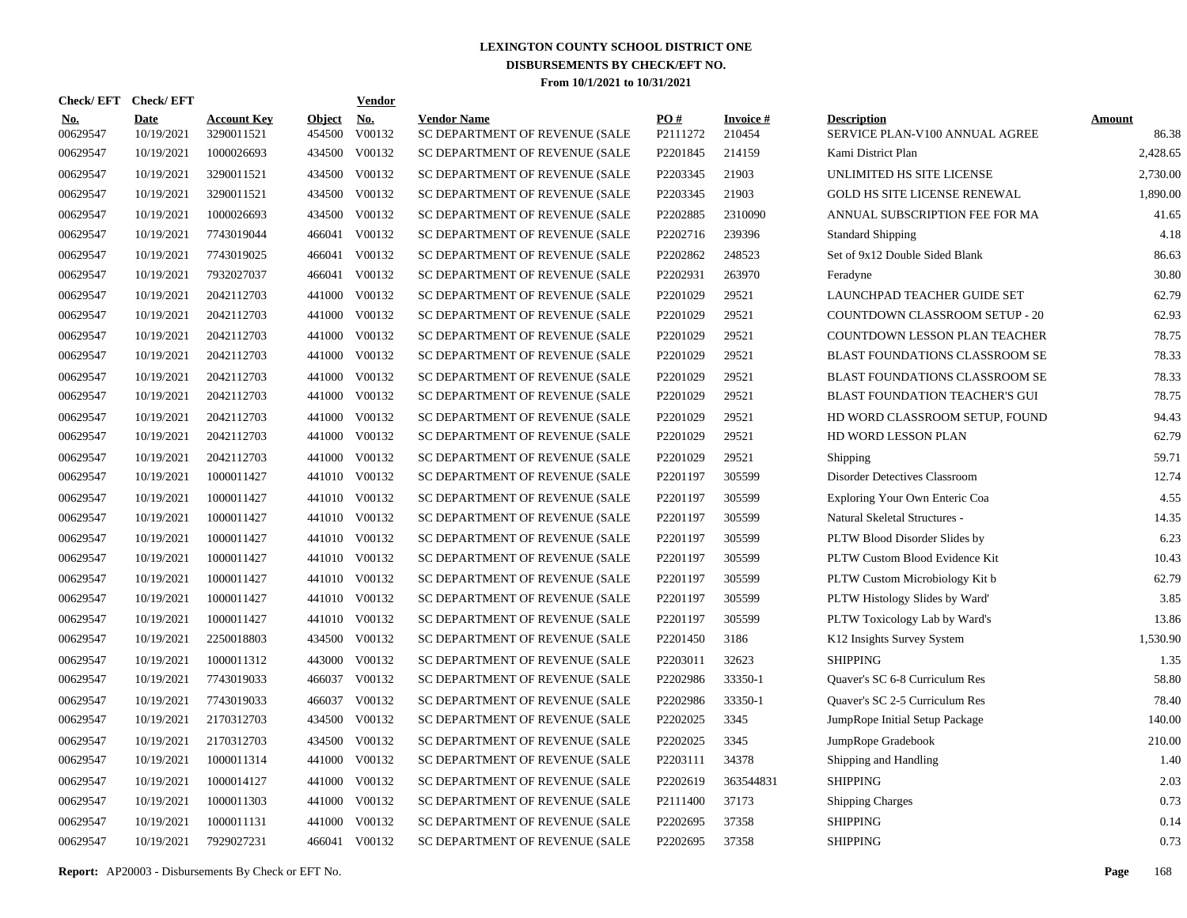|                        |                           |                                  |                         | <b>Vendor</b> |                                                                                                                                                                                                                                                                                                                                                                                                                                                                       |                      |                           |                                                      |                        |
|------------------------|---------------------------|----------------------------------|-------------------------|---------------|-----------------------------------------------------------------------------------------------------------------------------------------------------------------------------------------------------------------------------------------------------------------------------------------------------------------------------------------------------------------------------------------------------------------------------------------------------------------------|----------------------|---------------------------|------------------------------------------------------|------------------------|
| <u>No.</u><br>00629547 | <b>Date</b><br>10/19/2021 | <b>Account Key</b><br>3290011521 | <b>Object</b><br>454500 | No.<br>V00132 | <b>Vendor Name</b><br>SC DEPARTMENT OF REVENUE (SALE                                                                                                                                                                                                                                                                                                                                                                                                                  | PO#<br>P2111272      | <b>Invoice#</b><br>210454 | <b>Description</b><br>SERVICE PLAN-V100 ANNUAL AGREE | <b>Amount</b><br>86.38 |
| 00629547               | 10/19/2021                | 1000026693                       |                         | V00132        | SC DEPARTMENT OF REVENUE (SALE                                                                                                                                                                                                                                                                                                                                                                                                                                        | P2201845             | 214159                    | Kami District Plan                                   | 2,428.65               |
| 00629547               | 10/19/2021                | 3290011521                       |                         | V00132        | SC DEPARTMENT OF REVENUE (SALE                                                                                                                                                                                                                                                                                                                                                                                                                                        | P2203345             | 21903                     | UNLIMITED HS SITE LICENSE                            | 2,730.00               |
| 00629547               | 10/19/2021                | 3290011521                       |                         | V00132        | SC DEPARTMENT OF REVENUE (SALE                                                                                                                                                                                                                                                                                                                                                                                                                                        | P2203345             | 21903                     | <b>GOLD HS SITE LICENSE RENEWAL</b>                  | 1,890.00               |
| 00629547               | 10/19/2021                | 1000026693                       |                         |               | SC DEPARTMENT OF REVENUE (SALE                                                                                                                                                                                                                                                                                                                                                                                                                                        | P2202885             | 2310090                   | ANNUAL SUBSCRIPTION FEE FOR MA                       | 41.65                  |
| 00629547               | 10/19/2021                | 7743019044                       | 466041                  | V00132        | SC DEPARTMENT OF REVENUE (SALE                                                                                                                                                                                                                                                                                                                                                                                                                                        | P2202716             | 239396                    | <b>Standard Shipping</b>                             | 4.18                   |
| 00629547               | 10/19/2021                | 7743019025                       | 466041                  | V00132        | SC DEPARTMENT OF REVENUE (SALE                                                                                                                                                                                                                                                                                                                                                                                                                                        | P2202862             | 248523                    | Set of 9x12 Double Sided Blank                       | 86.63                  |
| 00629547               | 10/19/2021                | 7932027037                       |                         | V00132        | SC DEPARTMENT OF REVENUE (SALE                                                                                                                                                                                                                                                                                                                                                                                                                                        | P2202931             | 263970                    | Feradyne                                             | 30.80                  |
| 00629547               | 10/19/2021                | 2042112703                       |                         |               | SC DEPARTMENT OF REVENUE (SALE                                                                                                                                                                                                                                                                                                                                                                                                                                        | P2201029             | 29521                     | LAUNCHPAD TEACHER GUIDE SET                          | 62.79                  |
| 00629547               | 10/19/2021                | 2042112703                       |                         |               | SC DEPARTMENT OF REVENUE (SALE                                                                                                                                                                                                                                                                                                                                                                                                                                        | P2201029             | 29521                     | COUNTDOWN CLASSROOM SETUP - 20                       | 62.93                  |
| 00629547               | 10/19/2021                | 2042112703                       |                         |               | SC DEPARTMENT OF REVENUE (SALE                                                                                                                                                                                                                                                                                                                                                                                                                                        | P2201029             | 29521                     | COUNTDOWN LESSON PLAN TEACHER                        | 78.75                  |
| 00629547               | 10/19/2021                | 2042112703                       |                         |               | SC DEPARTMENT OF REVENUE (SALE                                                                                                                                                                                                                                                                                                                                                                                                                                        | P2201029             | 29521                     | BLAST FOUNDATIONS CLASSROOM SE                       | 78.33                  |
| 00629547               | 10/19/2021                | 2042112703                       |                         |               | SC DEPARTMENT OF REVENUE (SALE                                                                                                                                                                                                                                                                                                                                                                                                                                        | P2201029             | 29521                     | BLAST FOUNDATIONS CLASSROOM SE                       | 78.33                  |
| 00629547               | 10/19/2021                | 2042112703                       |                         |               | SC DEPARTMENT OF REVENUE (SALE                                                                                                                                                                                                                                                                                                                                                                                                                                        | P2201029             | 29521                     | <b>BLAST FOUNDATION TEACHER'S GUI</b>                | 78.75                  |
| 00629547               | 10/19/2021                | 2042112703                       |                         |               | SC DEPARTMENT OF REVENUE (SALE                                                                                                                                                                                                                                                                                                                                                                                                                                        | P2201029             | 29521                     | HD WORD CLASSROOM SETUP, FOUND                       | 94.43                  |
| 00629547               | 10/19/2021                | 2042112703                       |                         |               | SC DEPARTMENT OF REVENUE (SALE                                                                                                                                                                                                                                                                                                                                                                                                                                        | P2201029             | 29521                     | HD WORD LESSON PLAN                                  | 62.79                  |
| 00629547               | 10/19/2021                | 2042112703                       |                         |               | SC DEPARTMENT OF REVENUE (SALE                                                                                                                                                                                                                                                                                                                                                                                                                                        | P2201029             | 29521                     | Shipping                                             | 59.71                  |
| 00629547               | 10/19/2021                | 1000011427                       |                         |               | SC DEPARTMENT OF REVENUE (SALE                                                                                                                                                                                                                                                                                                                                                                                                                                        | P2201197             | 305599                    | Disorder Detectives Classroom                        | 12.74                  |
| 00629547               | 10/19/2021                | 1000011427                       |                         |               | SC DEPARTMENT OF REVENUE (SALE                                                                                                                                                                                                                                                                                                                                                                                                                                        | P2201197             | 305599                    | Exploring Your Own Enteric Coa                       | 4.55                   |
| 00629547               | 10/19/2021                | 1000011427                       |                         |               | SC DEPARTMENT OF REVENUE (SALE                                                                                                                                                                                                                                                                                                                                                                                                                                        | P2201197             | 305599                    | Natural Skeletal Structures -                        | 14.35                  |
| 00629547               | 10/19/2021                | 1000011427                       |                         |               | SC DEPARTMENT OF REVENUE (SALE                                                                                                                                                                                                                                                                                                                                                                                                                                        | P2201197             | 305599                    | PLTW Blood Disorder Slides by                        | 6.23                   |
| 00629547               | 10/19/2021                | 1000011427                       |                         |               | SC DEPARTMENT OF REVENUE (SALE                                                                                                                                                                                                                                                                                                                                                                                                                                        | P2201197             | 305599                    | PLTW Custom Blood Evidence Kit                       | 10.43                  |
| 00629547               | 10/19/2021                | 1000011427                       |                         |               | SC DEPARTMENT OF REVENUE (SALE                                                                                                                                                                                                                                                                                                                                                                                                                                        | P2201197             | 305599                    | PLTW Custom Microbiology Kit b                       | 62.79                  |
| 00629547               | 10/19/2021                | 1000011427                       |                         |               | SC DEPARTMENT OF REVENUE (SALE                                                                                                                                                                                                                                                                                                                                                                                                                                        | P2201197             | 305599                    | PLTW Histology Slides by Ward'                       | 3.85                   |
| 00629547               | 10/19/2021                | 1000011427                       |                         |               | SC DEPARTMENT OF REVENUE (SALE                                                                                                                                                                                                                                                                                                                                                                                                                                        | P2201197             | 305599                    | PLTW Toxicology Lab by Ward's                        | 13.86                  |
| 00629547               | 10/19/2021                | 2250018803                       |                         |               | SC DEPARTMENT OF REVENUE (SALE                                                                                                                                                                                                                                                                                                                                                                                                                                        | P <sub>2201450</sub> | 3186                      | K12 Insights Survey System                           | 1,530.90               |
| 00629547               | 10/19/2021                | 1000011312                       |                         | V00132        | SC DEPARTMENT OF REVENUE (SALE                                                                                                                                                                                                                                                                                                                                                                                                                                        | P2203011             | 32623                     | <b>SHIPPING</b>                                      | 1.35                   |
| 00629547               | 10/19/2021                | 7743019033                       |                         |               | SC DEPARTMENT OF REVENUE (SALE                                                                                                                                                                                                                                                                                                                                                                                                                                        | P2202986             | 33350-1                   | Quaver's SC 6-8 Curriculum Res                       | 58.80                  |
| 00629547               | 10/19/2021                | 7743019033                       |                         | V00132        | SC DEPARTMENT OF REVENUE (SALE                                                                                                                                                                                                                                                                                                                                                                                                                                        | P2202986             | 33350-1                   | Quaver's SC 2-5 Curriculum Res                       | 78.40                  |
| 00629547               | 10/19/2021                | 2170312703                       |                         | V00132        | SC DEPARTMENT OF REVENUE (SALE                                                                                                                                                                                                                                                                                                                                                                                                                                        | P2202025             | 3345                      | JumpRope Initial Setup Package                       | 140.00                 |
| 00629547               | 10/19/2021                | 2170312703                       |                         | V00132        | SC DEPARTMENT OF REVENUE (SALE                                                                                                                                                                                                                                                                                                                                                                                                                                        | P2202025             | 3345                      | JumpRope Gradebook                                   | 210.00                 |
| 00629547               | 10/19/2021                | 1000011314                       |                         | V00132        | SC DEPARTMENT OF REVENUE (SALE                                                                                                                                                                                                                                                                                                                                                                                                                                        | P2203111             | 34378                     | Shipping and Handling                                | 1.40                   |
| 00629547               | 10/19/2021                | 1000014127                       | 441000                  | V00132        | SC DEPARTMENT OF REVENUE (SALE                                                                                                                                                                                                                                                                                                                                                                                                                                        | P2202619             | 363544831                 | <b>SHIPPING</b>                                      | 2.03                   |
| 00629547               | 10/19/2021                | 1000011303                       |                         | V00132        | SC DEPARTMENT OF REVENUE (SALE                                                                                                                                                                                                                                                                                                                                                                                                                                        | P2111400             | 37173                     | <b>Shipping Charges</b>                              | 0.73                   |
| 00629547               | 10/19/2021                | 1000011131                       | 441000                  | V00132        | SC DEPARTMENT OF REVENUE (SALE                                                                                                                                                                                                                                                                                                                                                                                                                                        | P2202695             | 37358                     | <b>SHIPPING</b>                                      | 0.14                   |
| 00629547               | 10/19/2021                | 7929027231                       |                         |               | SC DEPARTMENT OF REVENUE (SALE                                                                                                                                                                                                                                                                                                                                                                                                                                        | P2202695             | 37358                     | <b>SHIPPING</b>                                      | 0.73                   |
|                        |                           | Check/EFT Check/EFT              |                         |               | 434500<br>434500<br>434500<br>434500 V00132<br>466041<br>441000 V00132<br>441000 V00132<br>441000 V00132<br>441000 V00132<br>441000 V00132<br>441000 V00132<br>441000 V00132<br>441000 V00132<br>441000 V00132<br>441010 V00132<br>441010 V00132<br>441010 V00132<br>441010 V00132<br>441010 V00132<br>441010 V00132<br>441010 V00132<br>441010 V00132<br>434500 V00132<br>443000<br>466037 V00132<br>466037<br>434500<br>434500<br>441000<br>441000<br>466041 V00132 |                      |                           |                                                      |                        |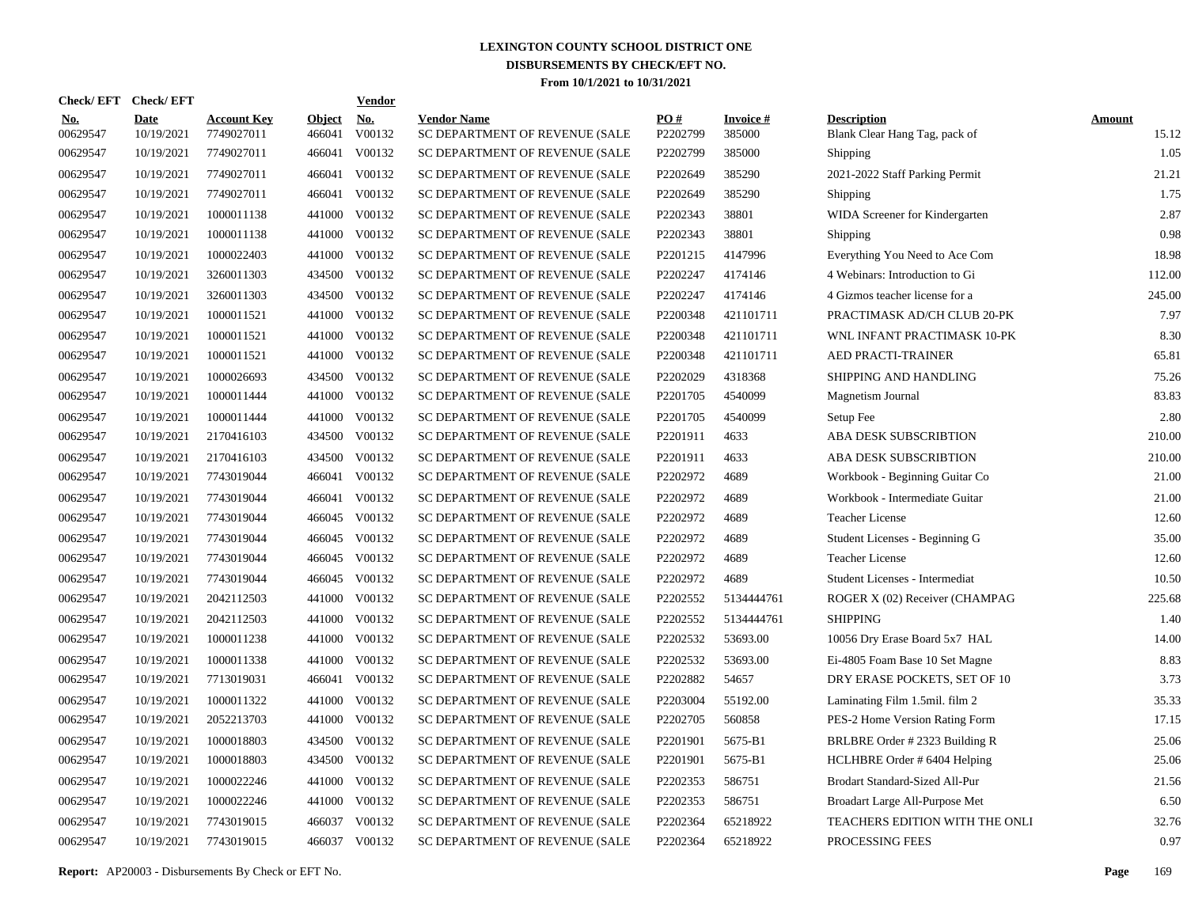| <b>Check/EFT</b>       | <b>Check/EFT</b>          |                                  |                         | <b>Vendor</b> |                                                      |                 |                           |                                                     |                        |
|------------------------|---------------------------|----------------------------------|-------------------------|---------------|------------------------------------------------------|-----------------|---------------------------|-----------------------------------------------------|------------------------|
| <u>No.</u><br>00629547 | <b>Date</b><br>10/19/2021 | <b>Account Key</b><br>7749027011 | <b>Object</b><br>466041 | No.<br>V00132 | <b>Vendor Name</b><br>SC DEPARTMENT OF REVENUE (SALE | PO#<br>P2202799 | <b>Invoice#</b><br>385000 | <b>Description</b><br>Blank Clear Hang Tag, pack of | <b>Amount</b><br>15.12 |
| 00629547               | 10/19/2021                | 7749027011                       | 466041                  | V00132        | SC DEPARTMENT OF REVENUE (SALE                       | P2202799        | 385000                    | Shipping                                            | 1.05                   |
| 00629547               | 10/19/2021                | 7749027011                       | 466041                  | V00132        | SC DEPARTMENT OF REVENUE (SALE                       | P2202649        | 385290                    | 2021-2022 Staff Parking Permit                      | 21.21                  |
| 00629547               | 10/19/2021                | 7749027011                       | 466041                  | V00132        | SC DEPARTMENT OF REVENUE (SALE                       | P2202649        | 385290                    | <b>Shipping</b>                                     | 1.75                   |
| 00629547               | 10/19/2021                | 1000011138                       | 441000                  | V00132        | SC DEPARTMENT OF REVENUE (SALE                       | P2202343        | 38801                     | WIDA Screener for Kindergarten                      | 2.87                   |
| 00629547               | 10/19/2021                | 1000011138                       | 441000                  | V00132        | SC DEPARTMENT OF REVENUE (SALE                       | P2202343        | 38801                     | Shipping                                            | 0.98                   |
| 00629547               | 10/19/2021                | 1000022403                       | 441000                  | V00132        | SC DEPARTMENT OF REVENUE (SALE                       | P2201215        | 4147996                   | Everything You Need to Ace Com                      | 18.98                  |
| 00629547               | 10/19/2021                | 3260011303                       | 434500                  | V00132        | SC DEPARTMENT OF REVENUE (SALE                       | P2202247        | 4174146                   | 4 Webinars: Introduction to Gi                      | 112.00                 |
| 00629547               | 10/19/2021                | 3260011303                       | 434500                  | V00132        | SC DEPARTMENT OF REVENUE (SALE                       | P2202247        | 4174146                   | 4 Gizmos teacher license for a                      | 245.00                 |
| 00629547               | 10/19/2021                | 1000011521                       | 441000                  | V00132        | SC DEPARTMENT OF REVENUE (SALE                       | P2200348        | 421101711                 | PRACTIMASK AD/CH CLUB 20-PK                         | 7.97                   |
| 00629547               | 10/19/2021                | 1000011521                       | 441000                  | V00132        | SC DEPARTMENT OF REVENUE (SALE                       | P2200348        | 421101711                 | WNL INFANT PRACTIMASK 10-PK                         | 8.30                   |
| 00629547               | 10/19/2021                | 1000011521                       | 441000                  | V00132        | SC DEPARTMENT OF REVENUE (SALE                       | P2200348        | 421101711                 | <b>AED PRACTI-TRAINER</b>                           | 65.81                  |
| 00629547               | 10/19/2021                | 1000026693                       | 434500                  | V00132        | SC DEPARTMENT OF REVENUE (SALE                       | P2202029        | 4318368                   | SHIPPING AND HANDLING                               | 75.26                  |
| 00629547               | 10/19/2021                | 1000011444                       | 441000                  | V00132        | SC DEPARTMENT OF REVENUE (SALE                       | P2201705        | 4540099                   | Magnetism Journal                                   | 83.83                  |
| 00629547               | 10/19/2021                | 1000011444                       | 441000                  | V00132        | SC DEPARTMENT OF REVENUE (SALE                       | P2201705        | 4540099                   | Setup Fee                                           | 2.80                   |
| 00629547               | 10/19/2021                | 2170416103                       | 434500                  | V00132        | SC DEPARTMENT OF REVENUE (SALE                       | P2201911        | 4633                      | ABA DESK SUBSCRIBTION                               | 210.00                 |
| 00629547               | 10/19/2021                | 2170416103                       | 434500                  | V00132        | SC DEPARTMENT OF REVENUE (SALE                       | P2201911        | 4633                      | ABA DESK SUBSCRIBTION                               | 210.00                 |
| 00629547               | 10/19/2021                | 7743019044                       | 466041                  | V00132        | SC DEPARTMENT OF REVENUE (SALE                       | P2202972        | 4689                      | Workbook - Beginning Guitar Co                      | 21.00                  |
| 00629547               | 10/19/2021                | 7743019044                       | 466041                  | V00132        | SC DEPARTMENT OF REVENUE (SALE                       | P2202972        | 4689                      | Workbook - Intermediate Guitar                      | 21.00                  |
| 00629547               | 10/19/2021                | 7743019044                       |                         | 466045 V00132 | SC DEPARTMENT OF REVENUE (SALE                       | P2202972        | 4689                      | <b>Teacher License</b>                              | 12.60                  |
| 00629547               | 10/19/2021                | 7743019044                       | 466045                  | V00132        | SC DEPARTMENT OF REVENUE (SALE                       | P2202972        | 4689                      | Student Licenses - Beginning G                      | 35.00                  |
| 00629547               | 10/19/2021                | 7743019044                       |                         | 466045 V00132 | SC DEPARTMENT OF REVENUE (SALE                       | P2202972        | 4689                      | <b>Teacher License</b>                              | 12.60                  |
| 00629547               | 10/19/2021                | 7743019044                       | 466045                  | V00132        | SC DEPARTMENT OF REVENUE (SALE                       | P2202972        | 4689                      | Student Licenses - Intermediat                      | 10.50                  |
| 00629547               | 10/19/2021                | 2042112503                       | 441000                  | V00132        | SC DEPARTMENT OF REVENUE (SALE                       | P2202552        | 5134444761                | ROGER X (02) Receiver (CHAMPAG                      | 225.68                 |
| 00629547               | 10/19/2021                | 2042112503                       | 441000                  | V00132        | SC DEPARTMENT OF REVENUE (SALE                       | P2202552        | 5134444761                | <b>SHIPPING</b>                                     | 1.40                   |
| 00629547               | 10/19/2021                | 1000011238                       | 441000                  | V00132        | SC DEPARTMENT OF REVENUE (SALE                       | P2202532        | 53693.00                  | 10056 Dry Erase Board 5x7 HAL                       | 14.00                  |
| 00629547               | 10/19/2021                | 1000011338                       | 441000                  | V00132        | SC DEPARTMENT OF REVENUE (SALE                       | P2202532        | 53693.00                  | Ei-4805 Foam Base 10 Set Magne                      | 8.83                   |
| 00629547               | 10/19/2021                | 7713019031                       | 466041                  | V00132        | SC DEPARTMENT OF REVENUE (SALE                       | P2202882        | 54657                     | DRY ERASE POCKETS, SET OF 10                        | 3.73                   |
| 00629547               | 10/19/2021                | 1000011322                       | 441000                  | V00132        | SC DEPARTMENT OF REVENUE (SALE                       | P2203004        | 55192.00                  | Laminating Film 1.5mil. film 2                      | 35.33                  |
| 00629547               | 10/19/2021                | 2052213703                       | 441000                  | V00132        | SC DEPARTMENT OF REVENUE (SALE                       | P2202705        | 560858                    | PES-2 Home Version Rating Form                      | 17.15                  |
| 00629547               | 10/19/2021                | 1000018803                       | 434500                  | V00132        | SC DEPARTMENT OF REVENUE (SALE                       | P2201901        | 5675-B1                   | BRLBRE Order #2323 Building R                       | 25.06                  |
| 00629547               | 10/19/2021                | 1000018803                       | 434500                  | V00132        | SC DEPARTMENT OF REVENUE (SALE                       | P2201901        | 5675-B1                   | HCLHBRE Order # 6404 Helping                        | 25.06                  |
| 00629547               | 10/19/2021                | 1000022246                       | 441000                  | V00132        | SC DEPARTMENT OF REVENUE (SALE                       | P2202353        | 586751                    | Brodart Standard-Sized All-Pur                      | 21.56                  |
| 00629547               | 10/19/2021                | 1000022246                       | 441000                  | V00132        | SC DEPARTMENT OF REVENUE (SALE                       | P2202353        | 586751                    | Broadart Large All-Purpose Met                      | 6.50                   |
| 00629547               | 10/19/2021                | 7743019015                       | 466037                  | V00132        | SC DEPARTMENT OF REVENUE (SALE                       | P2202364        | 65218922                  | TEACHERS EDITION WITH THE ONLI                      | 32.76                  |
| 00629547               | 10/19/2021                | 7743019015                       |                         | 466037 V00132 | SC DEPARTMENT OF REVENUE (SALE                       | P2202364        | 65218922                  | PROCESSING FEES                                     | 0.97                   |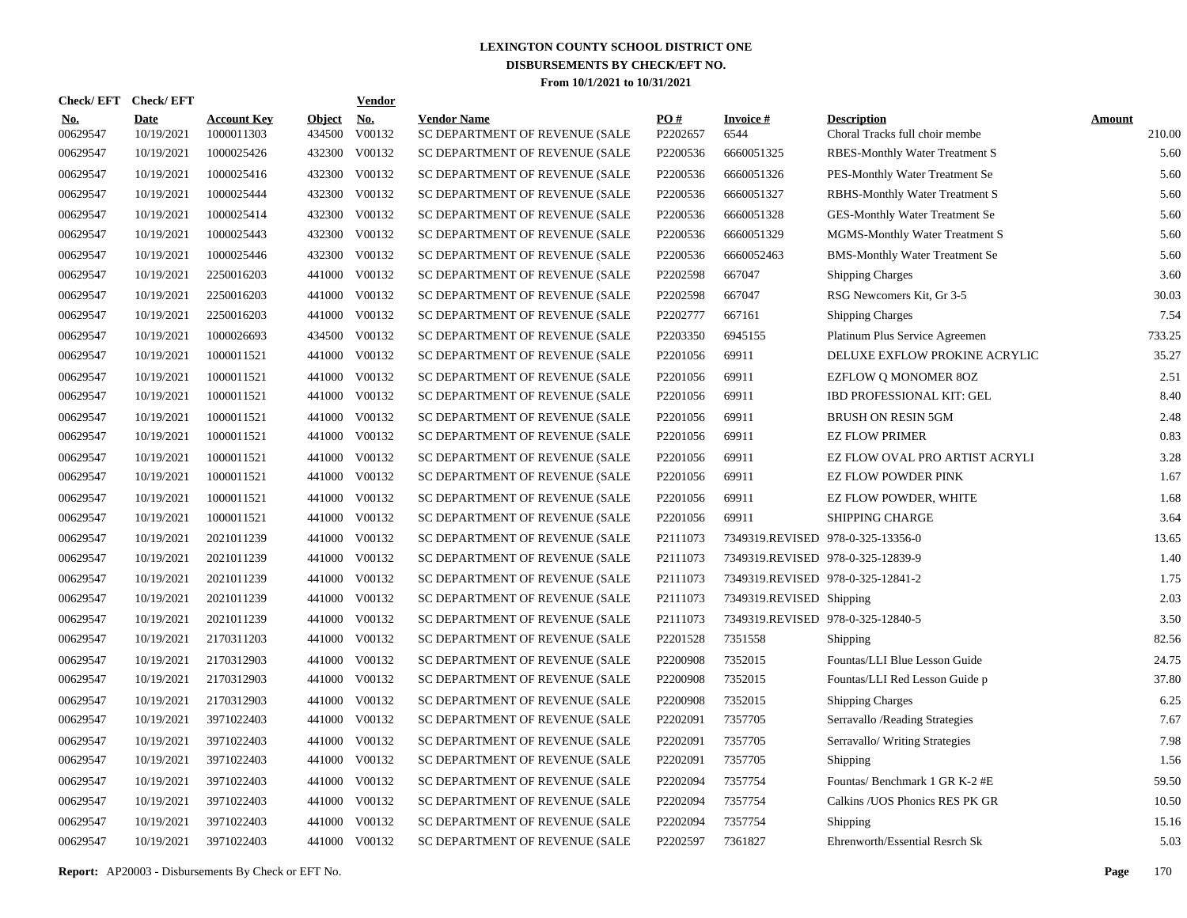|                        | Check/EFT Check/EFT       |                                  |                         | <b>Vendor</b> |                                                      |                      |                                   |                                                      |                         |
|------------------------|---------------------------|----------------------------------|-------------------------|---------------|------------------------------------------------------|----------------------|-----------------------------------|------------------------------------------------------|-------------------------|
| <b>No.</b><br>00629547 | <b>Date</b><br>10/19/2021 | <b>Account Key</b><br>1000011303 | <b>Object</b><br>434500 | No.<br>V00132 | <b>Vendor Name</b><br>SC DEPARTMENT OF REVENUE (SALE | PQ#<br>P2202657      | <b>Invoice#</b><br>6544           | <b>Description</b><br>Choral Tracks full choir membe | <b>Amount</b><br>210.00 |
| 00629547               | 10/19/2021                | 1000025426                       | 432300                  | V00132        | SC DEPARTMENT OF REVENUE (SALE                       | P2200536             | 6660051325                        | <b>RBES-Monthly Water Treatment S</b>                | 5.60                    |
| 00629547               | 10/19/2021                | 1000025416                       | 432300                  | V00132        | SC DEPARTMENT OF REVENUE (SALE                       | P2200536             | 6660051326                        | PES-Monthly Water Treatment Se                       | 5.60                    |
| 00629547               | 10/19/2021                | 1000025444                       | 432300                  | V00132        | SC DEPARTMENT OF REVENUE (SALE                       | P2200536             | 6660051327                        | RBHS-Monthly Water Treatment S                       | 5.60                    |
| 00629547               | 10/19/2021                | 1000025414                       | 432300                  | V00132        | SC DEPARTMENT OF REVENUE (SALE                       | P2200536             | 6660051328                        | GES-Monthly Water Treatment Se                       | 5.60                    |
| 00629547               | 10/19/2021                | 1000025443                       | 432300                  | V00132        | SC DEPARTMENT OF REVENUE (SALE                       | P2200536             | 6660051329                        | MGMS-Monthly Water Treatment S                       | 5.60                    |
| 00629547               | 10/19/2021                | 1000025446                       | 432300                  | V00132        | SC DEPARTMENT OF REVENUE (SALE                       | P2200536             | 6660052463                        | <b>BMS-Monthly Water Treatment Se</b>                | 5.60                    |
| 00629547               | 10/19/2021                | 2250016203                       | 441000                  | V00132        | SC DEPARTMENT OF REVENUE (SALE                       | P2202598             | 667047                            | <b>Shipping Charges</b>                              | 3.60                    |
| 00629547               | 10/19/2021                | 2250016203                       | 441000                  | V00132        | SC DEPARTMENT OF REVENUE (SALE                       | P2202598             | 667047                            | RSG Newcomers Kit, Gr 3-5                            | 30.03                   |
| 00629547               | 10/19/2021                | 2250016203                       | 441000                  | V00132        | SC DEPARTMENT OF REVENUE (SALE                       | P2202777             | 667161                            | <b>Shipping Charges</b>                              | 7.54                    |
| 00629547               | 10/19/2021                | 1000026693                       | 434500                  | V00132        | SC DEPARTMENT OF REVENUE (SALE                       | P2203350             | 6945155                           | Platinum Plus Service Agreemen                       | 733.25                  |
| 00629547               | 10/19/2021                | 1000011521                       | 441000                  | V00132        | SC DEPARTMENT OF REVENUE (SALE                       | P2201056             | 69911                             | DELUXE EXFLOW PROKINE ACRYLIC                        | 35.27                   |
| 00629547               | 10/19/2021                | 1000011521                       | 441000                  | V00132        | SC DEPARTMENT OF REVENUE (SALE                       | P <sub>2201056</sub> | 69911                             | <b>EZFLOW Q MONOMER 8OZ</b>                          | 2.51                    |
| 00629547               | 10/19/2021                | 1000011521                       | 441000                  | V00132        | SC DEPARTMENT OF REVENUE (SALE                       | P2201056             | 69911                             | IBD PROFESSIONAL KIT: GEL                            | 8.40                    |
| 00629547               | 10/19/2021                | 1000011521                       | 441000                  | V00132        | SC DEPARTMENT OF REVENUE (SALE                       | P2201056             | 69911                             | <b>BRUSH ON RESIN 5GM</b>                            | 2.48                    |
| 00629547               | 10/19/2021                | 1000011521                       | 441000                  | V00132        | SC DEPARTMENT OF REVENUE (SALE                       | P2201056             | 69911                             | <b>EZ FLOW PRIMER</b>                                | 0.83                    |
| 00629547               | 10/19/2021                | 1000011521                       | 441000                  | V00132        | SC DEPARTMENT OF REVENUE (SALE                       | P2201056             | 69911                             | EZ FLOW OVAL PRO ARTIST ACRYLI                       | 3.28                    |
| 00629547               | 10/19/2021                | 1000011521                       | 441000                  | V00132        | SC DEPARTMENT OF REVENUE (SALE                       | P2201056             | 69911                             | <b>EZ FLOW POWDER PINK</b>                           | 1.67                    |
| 00629547               | 10/19/2021                | 1000011521                       | 441000                  | V00132        | SC DEPARTMENT OF REVENUE (SALE                       | P2201056             | 69911                             | EZ FLOW POWDER, WHITE                                | 1.68                    |
| 00629547               | 10/19/2021                | 1000011521                       | 441000                  | V00132        | SC DEPARTMENT OF REVENUE (SALE                       | P2201056             | 69911                             | <b>SHIPPING CHARGE</b>                               | 3.64                    |
| 00629547               | 10/19/2021                | 2021011239                       | 441000                  | V00132        | SC DEPARTMENT OF REVENUE (SALE                       | P2111073             | 7349319.REVISED 978-0-325-13356-0 |                                                      | 13.65                   |
| 00629547               | 10/19/2021                | 2021011239                       | 441000                  | V00132        | SC DEPARTMENT OF REVENUE (SALE                       | P2111073             | 7349319.REVISED 978-0-325-12839-9 |                                                      | 1.40                    |
| 00629547               | 10/19/2021                | 2021011239                       | 441000                  | V00132        | SC DEPARTMENT OF REVENUE (SALE                       | P2111073             | 7349319.REVISED 978-0-325-12841-2 |                                                      | 1.75                    |
| 00629547               | 10/19/2021                | 2021011239                       | 441000                  | V00132        | SC DEPARTMENT OF REVENUE (SALE                       | P2111073             | 7349319.REVISED Shipping          |                                                      | 2.03                    |
| 00629547               | 10/19/2021                | 2021011239                       | 441000                  | V00132        | SC DEPARTMENT OF REVENUE (SALE                       | P2111073             | 7349319.REVISED 978-0-325-12840-5 |                                                      | 3.50                    |
| 00629547               | 10/19/2021                | 2170311203                       | 441000                  | V00132        | SC DEPARTMENT OF REVENUE (SALE                       | P2201528             | 7351558                           | Shipping                                             | 82.56                   |
| 00629547               | 10/19/2021                | 2170312903                       | 441000                  | V00132        | SC DEPARTMENT OF REVENUE (SALE                       | P2200908             | 7352015                           | Fountas/LLI Blue Lesson Guide                        | 24.75                   |
| 00629547               | 10/19/2021                | 2170312903                       | 441000                  | V00132        | SC DEPARTMENT OF REVENUE (SALE                       | P2200908             | 7352015                           | Fountas/LLI Red Lesson Guide p                       | 37.80                   |
| 00629547               | 10/19/2021                | 2170312903                       | 441000                  | V00132        | SC DEPARTMENT OF REVENUE (SALE                       | P2200908             | 7352015                           | <b>Shipping Charges</b>                              | 6.25                    |
| 00629547               | 10/19/2021                | 3971022403                       |                         | 441000 V00132 | SC DEPARTMENT OF REVENUE (SALE                       | P2202091             | 7357705                           | Serravallo / Reading Strategies                      | 7.67                    |
| 00629547               | 10/19/2021                | 3971022403                       | 441000                  | V00132        | SC DEPARTMENT OF REVENUE (SALE                       | P2202091             | 7357705                           | Serravallo/ Writing Strategies                       | 7.98                    |
| 00629547               | 10/19/2021                | 3971022403                       |                         | 441000 V00132 | SC DEPARTMENT OF REVENUE (SALE                       | P2202091             | 7357705                           | Shipping                                             | 1.56                    |
| 00629547               | 10/19/2021                | 3971022403                       | 441000                  | V00132        | SC DEPARTMENT OF REVENUE (SALE                       | P2202094             | 7357754                           | Fountas/Benchmark 1 GR K-2 #E                        | 59.50                   |
| 00629547               | 10/19/2021                | 3971022403                       |                         | 441000 V00132 | SC DEPARTMENT OF REVENUE (SALE                       | P2202094             | 7357754                           | Calkins / UOS Phonics RES PK GR                      | 10.50                   |
| 00629547               | 10/19/2021                | 3971022403                       | 441000                  | V00132        | SC DEPARTMENT OF REVENUE (SALE                       | P2202094             | 7357754                           | Shipping                                             | 15.16                   |
| 00629547               | 10/19/2021                | 3971022403                       |                         | 441000 V00132 | SC DEPARTMENT OF REVENUE (SALE                       | P2202597             | 7361827                           | Ehrenworth/Essential Resrch Sk                       | 5.03                    |
|                        |                           |                                  |                         |               |                                                      |                      |                                   |                                                      |                         |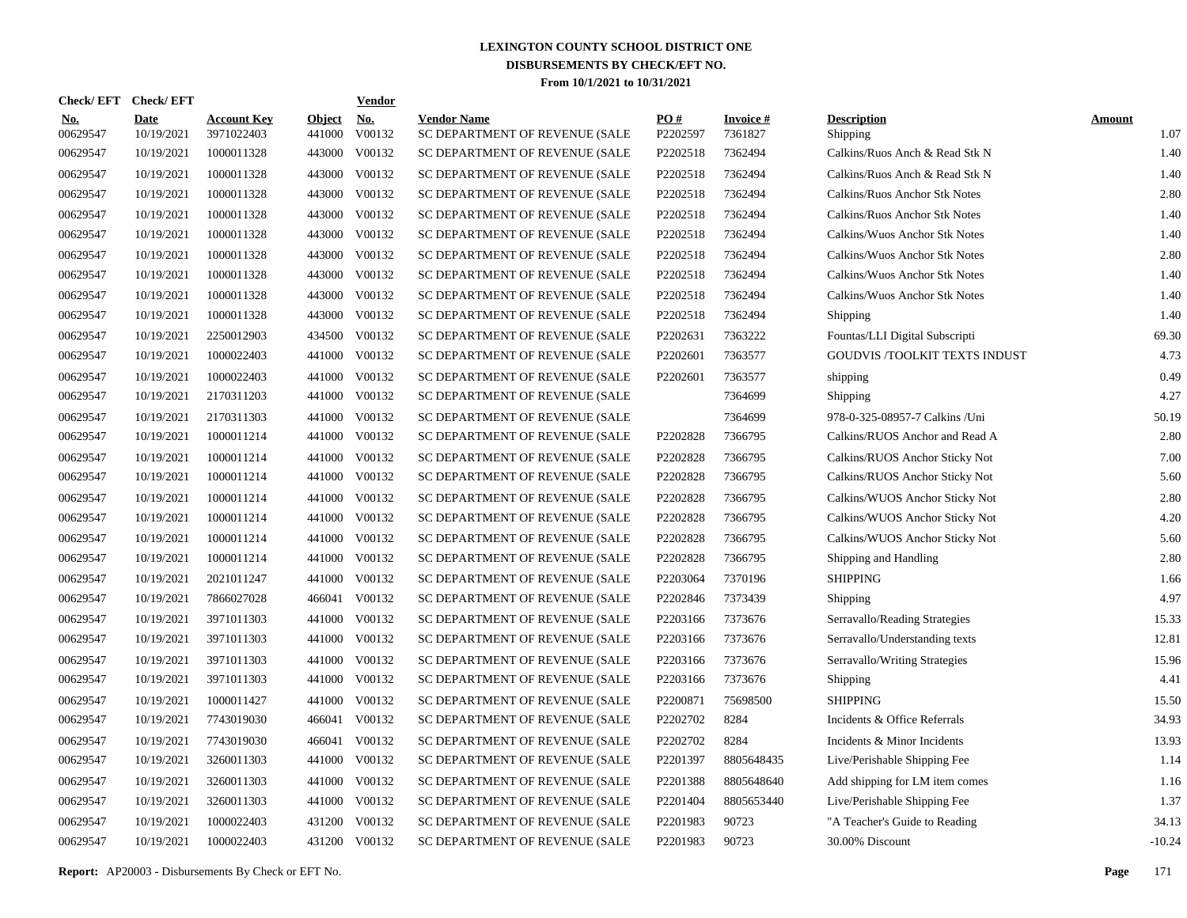| <b>Check/EFT</b>       | <b>Check/EFT</b>          |                                  |                         | <b>Vendor</b> |                                                      |                 |                            |                                      |                       |
|------------------------|---------------------------|----------------------------------|-------------------------|---------------|------------------------------------------------------|-----------------|----------------------------|--------------------------------------|-----------------------|
| <u>No.</u><br>00629547 | <b>Date</b><br>10/19/2021 | <b>Account Key</b><br>3971022403 | <b>Object</b><br>441000 | No.<br>V00132 | <b>Vendor Name</b><br>SC DEPARTMENT OF REVENUE (SALE | PO#<br>P2202597 | <b>Invoice#</b><br>7361827 | <b>Description</b><br>Shipping       | <b>Amount</b><br>1.07 |
| 00629547               | 10/19/2021                | 1000011328                       | 443000                  | V00132        | SC DEPARTMENT OF REVENUE (SALE                       | P2202518        | 7362494                    | Calkins/Ruos Anch & Read Stk N       | 1.40                  |
| 00629547               | 10/19/2021                | 1000011328                       | 443000                  | V00132        | SC DEPARTMENT OF REVENUE (SALE                       | P2202518        | 7362494                    | Calkins/Ruos Anch & Read Stk N       | 1.40                  |
| 00629547               | 10/19/2021                | 1000011328                       | 443000                  | V00132        | SC DEPARTMENT OF REVENUE (SALE                       | P2202518        | 7362494                    | Calkins/Ruos Anchor Stk Notes        | 2.80                  |
| 00629547               | 10/19/2021                | 1000011328                       | 443000                  | V00132        | SC DEPARTMENT OF REVENUE (SALE                       | P2202518        | 7362494                    | Calkins/Ruos Anchor Stk Notes        | 1.40                  |
| 00629547               | 10/19/2021                | 1000011328                       | 443000                  | V00132        | SC DEPARTMENT OF REVENUE (SALE                       | P2202518        | 7362494                    | Calkins/Wuos Anchor Stk Notes        | 1.40                  |
| 00629547               | 10/19/2021                | 1000011328                       |                         | 443000 V00132 | SC DEPARTMENT OF REVENUE (SALE                       | P2202518        | 7362494                    | Calkins/Wuos Anchor Stk Notes        | 2.80                  |
| 00629547               | 10/19/2021                | 1000011328                       | 443000                  | V00132        | SC DEPARTMENT OF REVENUE (SALE                       | P2202518        | 7362494                    | Calkins/Wuos Anchor Stk Notes        | 1.40                  |
| 00629547               | 10/19/2021                | 1000011328                       |                         | 443000 V00132 | SC DEPARTMENT OF REVENUE (SALE                       | P2202518        | 7362494                    | Calkins/Wuos Anchor Stk Notes        | 1.40                  |
| 00629547               | 10/19/2021                | 1000011328                       | 443000                  | V00132        | SC DEPARTMENT OF REVENUE (SALE                       | P2202518        | 7362494                    | Shipping                             | 1.40                  |
| 00629547               | 10/19/2021                | 2250012903                       |                         | 434500 V00132 | SC DEPARTMENT OF REVENUE (SALE                       | P2202631        | 7363222                    | Fountas/LLI Digital Subscripti       | 69.30                 |
| 00629547               | 10/19/2021                | 1000022403                       |                         | 441000 V00132 | SC DEPARTMENT OF REVENUE (SALE                       | P2202601        | 7363577                    | <b>GOUDVIS /TOOLKIT TEXTS INDUST</b> | 4.73                  |
| 00629547               | 10/19/2021                | 1000022403                       |                         | 441000 V00132 | SC DEPARTMENT OF REVENUE (SALE                       | P2202601        | 7363577                    | shipping                             | 0.49                  |
| 00629547               | 10/19/2021                | 2170311203                       |                         | 441000 V00132 | SC DEPARTMENT OF REVENUE (SALE                       |                 | 7364699                    | Shipping                             | 4.27                  |
| 00629547               | 10/19/2021                | 2170311303                       |                         | 441000 V00132 | SC DEPARTMENT OF REVENUE (SALE                       |                 | 7364699                    | 978-0-325-08957-7 Calkins /Uni       | 50.19                 |
| 00629547               | 10/19/2021                | 1000011214                       |                         | 441000 V00132 | SC DEPARTMENT OF REVENUE (SALE                       | P2202828        | 7366795                    | Calkins/RUOS Anchor and Read A       | 2.80                  |
| 00629547               | 10/19/2021                | 1000011214                       |                         | 441000 V00132 | SC DEPARTMENT OF REVENUE (SALE                       | P2202828        | 7366795                    | Calkins/RUOS Anchor Sticky Not       | 7.00                  |
| 00629547               | 10/19/2021                | 1000011214                       |                         | 441000 V00132 | SC DEPARTMENT OF REVENUE (SALE                       | P2202828        | 7366795                    | Calkins/RUOS Anchor Sticky Not       | 5.60                  |
| 00629547               | 10/19/2021                | 1000011214                       |                         | 441000 V00132 | SC DEPARTMENT OF REVENUE (SALE                       | P2202828        | 7366795                    | Calkins/WUOS Anchor Sticky Not       | 2.80                  |
| 00629547               | 10/19/2021                | 1000011214                       |                         | 441000 V00132 | SC DEPARTMENT OF REVENUE (SALE                       | P2202828        | 7366795                    | Calkins/WUOS Anchor Sticky Not       | 4.20                  |
| 00629547               | 10/19/2021                | 1000011214                       |                         | 441000 V00132 | SC DEPARTMENT OF REVENUE (SALE                       | P2202828        | 7366795                    | Calkins/WUOS Anchor Sticky Not       | 5.60                  |
| 00629547               | 10/19/2021                | 1000011214                       |                         | 441000 V00132 | SC DEPARTMENT OF REVENUE (SALE                       | P2202828        | 7366795                    | Shipping and Handling                | 2.80                  |
| 00629547               | 10/19/2021                | 2021011247                       |                         | 441000 V00132 | SC DEPARTMENT OF REVENUE (SALE                       | P2203064        | 7370196                    | <b>SHIPPING</b>                      | 1.66                  |
| 00629547               | 10/19/2021                | 7866027028                       |                         | 466041 V00132 | SC DEPARTMENT OF REVENUE (SALE                       | P2202846        | 7373439                    | Shipping                             | 4.97                  |
| 00629547               | 10/19/2021                | 3971011303                       | 441000                  | V00132        | SC DEPARTMENT OF REVENUE (SALE                       | P2203166        | 7373676                    | Serravallo/Reading Strategies        | 15.33                 |
| 00629547               | 10/19/2021                | 3971011303                       |                         | 441000 V00132 | SC DEPARTMENT OF REVENUE (SALE                       | P2203166        | 7373676                    | Serravallo/Understanding texts       | 12.81                 |
| 00629547               | 10/19/2021                | 3971011303                       | 441000                  | V00132        | SC DEPARTMENT OF REVENUE (SALE                       | P2203166        | 7373676                    | Serravallo/Writing Strategies        | 15.96                 |
| 00629547               | 10/19/2021                | 3971011303                       |                         | 441000 V00132 | SC DEPARTMENT OF REVENUE (SALE                       | P2203166        | 7373676                    | Shipping                             | 4.41                  |
| 00629547               | 10/19/2021                | 1000011427                       | 441000                  | V00132        | SC DEPARTMENT OF REVENUE (SALE                       | P2200871        | 75698500                   | <b>SHIPPING</b>                      | 15.50                 |
| 00629547               | 10/19/2021                | 7743019030                       |                         | 466041 V00132 | SC DEPARTMENT OF REVENUE (SALE                       | P2202702        | 8284                       | Incidents & Office Referrals         | 34.93                 |
| 00629547               | 10/19/2021                | 7743019030                       | 466041                  | V00132        | SC DEPARTMENT OF REVENUE (SALE                       | P2202702        | 8284                       | Incidents & Minor Incidents          | 13.93                 |
| 00629547               | 10/19/2021                | 3260011303                       | 441000                  | V00132        | SC DEPARTMENT OF REVENUE (SALE                       | P2201397        | 8805648435                 | Live/Perishable Shipping Fee         | 1.14                  |
| 00629547               | 10/19/2021                | 3260011303                       | 441000                  | V00132        | SC DEPARTMENT OF REVENUE (SALE                       | P2201388        | 8805648640                 | Add shipping for LM item comes       | 1.16                  |
| 00629547               | 10/19/2021                | 3260011303                       |                         | 441000 V00132 | SC DEPARTMENT OF REVENUE (SALE                       | P2201404        | 8805653440                 | Live/Perishable Shipping Fee         | 1.37                  |
| 00629547               | 10/19/2021                | 1000022403                       | 431200                  | V00132        | SC DEPARTMENT OF REVENUE (SALE                       | P2201983        | 90723                      | "A Teacher's Guide to Reading        | 34.13                 |
| 00629547               | 10/19/2021                | 1000022403                       |                         | 431200 V00132 | SC DEPARTMENT OF REVENUE (SALE                       | P2201983        | 90723                      | 30.00% Discount                      | $-10.24$              |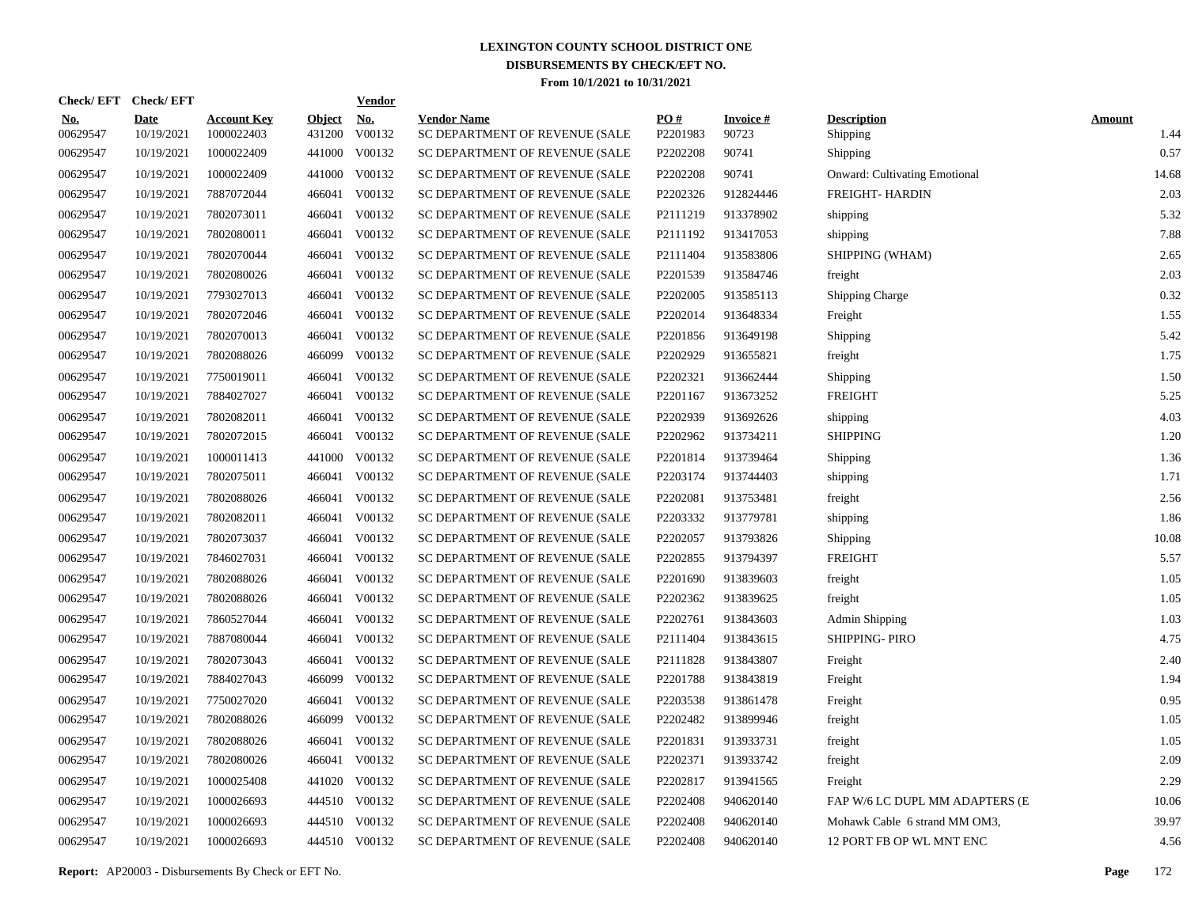| <b>Check/EFT</b>       | <b>Check/EFT</b>          |                                  |                         | <b>Vendor</b>        |                                                      |                      |                          |                                      |                       |
|------------------------|---------------------------|----------------------------------|-------------------------|----------------------|------------------------------------------------------|----------------------|--------------------------|--------------------------------------|-----------------------|
| <u>No.</u><br>00629547 | <b>Date</b><br>10/19/2021 | <b>Account Key</b><br>1000022403 | <b>Object</b><br>431200 | <u>No.</u><br>V00132 | <b>Vendor Name</b><br>SC DEPARTMENT OF REVENUE (SALE | PO#<br>P2201983      | <b>Invoice#</b><br>90723 | <b>Description</b><br>Shipping       | <b>Amount</b><br>1.44 |
| 00629547               | 10/19/2021                | 1000022409                       | 441000                  | V00132               | SC DEPARTMENT OF REVENUE (SALE                       | P2202208             | 90741                    | Shipping                             | 0.57                  |
| 00629547               | 10/19/2021                | 1000022409                       |                         | 441000 V00132        | SC DEPARTMENT OF REVENUE (SALE                       | P2202208             | 90741                    | <b>Onward: Cultivating Emotional</b> | 14.68                 |
| 00629547               | 10/19/2021                | 7887072044                       | 466041                  | V00132               | SC DEPARTMENT OF REVENUE (SALE                       | P2202326             | 912824446                | FREIGHT- HARDIN                      | 2.03                  |
| 00629547               | 10/19/2021                | 7802073011                       | 466041                  | V00132               | SC DEPARTMENT OF REVENUE (SALE                       | P2111219             | 913378902                | shipping                             | 5.32                  |
| 00629547               | 10/19/2021                | 7802080011                       | 466041                  | V00132               | SC DEPARTMENT OF REVENUE (SALE                       | P2111192             | 913417053                | shipping                             | 7.88                  |
| 00629547               | 10/19/2021                | 7802070044                       | 466041                  | V00132               | SC DEPARTMENT OF REVENUE (SALE                       | P2111404             | 913583806                | SHIPPING (WHAM)                      | 2.65                  |
| 00629547               | 10/19/2021                | 7802080026                       | 466041                  | V00132               | SC DEPARTMENT OF REVENUE (SALE                       | P2201539             | 913584746                | freight                              | 2.03                  |
| 00629547               | 10/19/2021                | 7793027013                       | 466041                  | V00132               | SC DEPARTMENT OF REVENUE (SALE                       | P2202005             | 913585113                | <b>Shipping Charge</b>               | 0.32                  |
| 00629547               | 10/19/2021                | 7802072046                       | 466041                  | V00132               | SC DEPARTMENT OF REVENUE (SALE                       | P2202014             | 913648334                | Freight                              | 1.55                  |
| 00629547               | 10/19/2021                | 7802070013                       | 466041                  | V00132               | SC DEPARTMENT OF REVENUE (SALE                       | P2201856             | 913649198                | Shipping                             | 5.42                  |
| 00629547               | 10/19/2021                | 7802088026                       | 466099                  | V00132               | SC DEPARTMENT OF REVENUE (SALE                       | P2202929             | 913655821                | freight                              | 1.75                  |
| 00629547               | 10/19/2021                | 7750019011                       | 466041                  | V00132               | SC DEPARTMENT OF REVENUE (SALE                       | P2202321             | 913662444                | Shipping                             | 1.50                  |
| 00629547               | 10/19/2021                | 7884027027                       | 466041                  | V00132               | SC DEPARTMENT OF REVENUE (SALE                       | P <sub>2201167</sub> | 913673252                | <b>FREIGHT</b>                       | 5.25                  |
| 00629547               | 10/19/2021                | 7802082011                       | 466041                  | V00132               | SC DEPARTMENT OF REVENUE (SALE                       | P2202939             | 913692626                | shipping                             | 4.03                  |
| 00629547               | 10/19/2021                | 7802072015                       | 466041                  | V00132               | SC DEPARTMENT OF REVENUE (SALE                       | P2202962             | 913734211                | <b>SHIPPING</b>                      | 1.20                  |
| 00629547               | 10/19/2021                | 1000011413                       | 441000                  | V00132               | SC DEPARTMENT OF REVENUE (SALE                       | P2201814             | 913739464                | Shipping                             | 1.36                  |
| 00629547               | 10/19/2021                | 7802075011                       |                         | 466041 V00132        | SC DEPARTMENT OF REVENUE (SALE                       | P2203174             | 913744403                | shipping                             | 1.71                  |
| 00629547               | 10/19/2021                | 7802088026                       | 466041                  | V00132               | SC DEPARTMENT OF REVENUE (SALE                       | P2202081             | 913753481                | freight                              | 2.56                  |
| 00629547               | 10/19/2021                | 7802082011                       | 466041                  | V00132               | SC DEPARTMENT OF REVENUE (SALE                       | P2203332             | 913779781                | shipping                             | 1.86                  |
| 00629547               | 10/19/2021                | 7802073037                       | 466041                  | V00132               | SC DEPARTMENT OF REVENUE (SALE                       | P2202057             | 913793826                | Shipping                             | 10.08                 |
| 00629547               | 10/19/2021                | 7846027031                       | 466041                  | V00132               | SC DEPARTMENT OF REVENUE (SALE                       | P2202855             | 913794397                | <b>FREIGHT</b>                       | 5.57                  |
| 00629547               | 10/19/2021                | 7802088026                       |                         | 466041 V00132        | SC DEPARTMENT OF REVENUE (SALE                       | P2201690             | 913839603                | freight                              | 1.05                  |
| 00629547               | 10/19/2021                | 7802088026                       |                         | 466041 V00132        | SC DEPARTMENT OF REVENUE (SALE                       | P2202362             | 913839625                | freight                              | 1.05                  |
| 00629547               | 10/19/2021                | 7860527044                       | 466041                  | V00132               | SC DEPARTMENT OF REVENUE (SALE                       | P2202761             | 913843603                | Admin Shipping                       | 1.03                  |
| 00629547               | 10/19/2021                | 7887080044                       |                         | 466041 V00132        | SC DEPARTMENT OF REVENUE (SALE                       | P2111404             | 913843615                | SHIPPING-PIRO                        | 4.75                  |
| 00629547               | 10/19/2021                | 7802073043                       | 466041                  | V00132               | SC DEPARTMENT OF REVENUE (SALE                       | P2111828             | 913843807                | Freight                              | 2.40                  |
| 00629547               | 10/19/2021                | 7884027043                       | 466099                  | V00132               | SC DEPARTMENT OF REVENUE (SALE                       | P2201788             | 913843819                | Freight                              | 1.94                  |
| 00629547               | 10/19/2021                | 7750027020                       | 466041                  | V00132               | SC DEPARTMENT OF REVENUE (SALE                       | P2203538             | 913861478                | Freight                              | 0.95                  |
| 00629547               | 10/19/2021                | 7802088026                       | 466099                  | V00132               | SC DEPARTMENT OF REVENUE (SALE                       | P2202482             | 913899946                | freight                              | 1.05                  |
| 00629547               | 10/19/2021                | 7802088026                       | 466041                  | V00132               | SC DEPARTMENT OF REVENUE (SALE                       | P2201831             | 913933731                | freight                              | 1.05                  |
| 00629547               | 10/19/2021                | 7802080026                       |                         | 466041 V00132        | SC DEPARTMENT OF REVENUE (SALE                       | P2202371             | 913933742                | freight                              | 2.09                  |
| 00629547               | 10/19/2021                | 1000025408                       | 441020                  | V00132               | SC DEPARTMENT OF REVENUE (SALE                       | P2202817             | 913941565                | Freight                              | 2.29                  |
| 00629547               | 10/19/2021                | 1000026693                       |                         | 444510 V00132        | SC DEPARTMENT OF REVENUE (SALE                       | P2202408             | 940620140                | FAP W/6 LC DUPL MM ADAPTERS (E       | 10.06                 |
| 00629547               | 10/19/2021                | 1000026693                       | 444510                  | V00132               | SC DEPARTMENT OF REVENUE (SALE                       | P2202408             | 940620140                | Mohawk Cable 6 strand MM OM3,        | 39.97                 |
| 00629547               | 10/19/2021                | 1000026693                       |                         | 444510 V00132        | SC DEPARTMENT OF REVENUE (SALE                       | P2202408             | 940620140                | 12 PORT FB OP WL MNT ENC             | 4.56                  |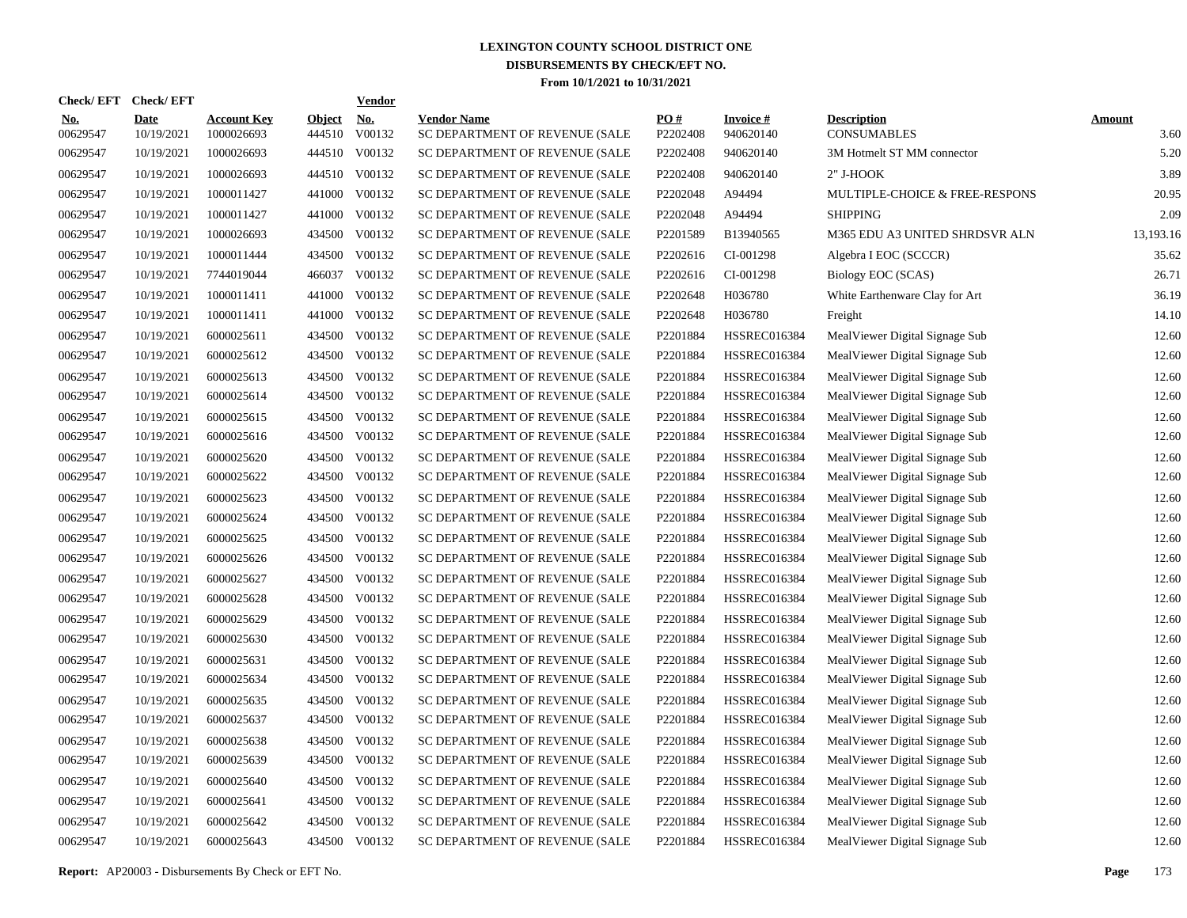| Check/ EFT             | <b>Check/EFT</b>          |                                  |                         | <b>Vendor</b>        |                                                      |                 |                                 |                                          |                       |
|------------------------|---------------------------|----------------------------------|-------------------------|----------------------|------------------------------------------------------|-----------------|---------------------------------|------------------------------------------|-----------------------|
| <u>No.</u><br>00629547 | <b>Date</b><br>10/19/2021 | <b>Account Key</b><br>1000026693 | <b>Object</b><br>444510 | <u>No.</u><br>V00132 | <b>Vendor Name</b><br>SC DEPARTMENT OF REVENUE (SALE | PO#<br>P2202408 | <b>Invoice</b> $#$<br>940620140 | <b>Description</b><br><b>CONSUMABLES</b> | <b>Amount</b><br>3.60 |
| 00629547               | 10/19/2021                | 1000026693                       |                         | 444510 V00132        | SC DEPARTMENT OF REVENUE (SALE                       | P2202408        | 940620140                       | 3M Hotmelt ST MM connector               | 5.20                  |
| 00629547               | 10/19/2021                | 1000026693                       |                         | 444510 V00132        | SC DEPARTMENT OF REVENUE (SALE                       | P2202408        | 940620140                       | 2" J-HOOK                                | 3.89                  |
| 00629547               | 10/19/2021                | 1000011427                       | 441000                  | V00132               | SC DEPARTMENT OF REVENUE (SALE                       | P2202048        | A94494                          | MULTIPLE-CHOICE & FREE-RESPONS           | 20.95                 |
| 00629547               | 10/19/2021                | 1000011427                       | 441000                  | V00132               | SC DEPARTMENT OF REVENUE (SALE                       | P2202048        | A94494                          | <b>SHIPPING</b>                          | 2.09                  |
| 00629547               | 10/19/2021                | 1000026693                       |                         | 434500 V00132        | SC DEPARTMENT OF REVENUE (SALE                       | P2201589        | B13940565                       | M365 EDU A3 UNITED SHRDSVR ALN           | 13,193.16             |
| 00629547               | 10/19/2021                | 1000011444                       |                         | 434500 V00132        | SC DEPARTMENT OF REVENUE (SALE                       | P2202616        | CI-001298                       | Algebra I EOC (SCCCR)                    | 35.62                 |
| 00629547               | 10/19/2021                | 7744019044                       |                         | 466037 V00132        | SC DEPARTMENT OF REVENUE (SALE                       | P2202616        | CI-001298                       | Biology EOC (SCAS)                       | 26.71                 |
| 00629547               | 10/19/2021                | 1000011411                       | 441000                  | V00132               | SC DEPARTMENT OF REVENUE (SALE                       | P2202648        | H036780                         | White Earthenware Clay for Art           | 36.19                 |
| 00629547               | 10/19/2021                | 1000011411                       | 441000                  | V00132               | SC DEPARTMENT OF REVENUE (SALE                       | P2202648        | H036780                         | Freight                                  | 14.10                 |
| 00629547               | 10/19/2021                | 6000025611                       |                         | 434500 V00132        | SC DEPARTMENT OF REVENUE (SALE                       | P2201884        | <b>HSSREC016384</b>             | MealViewer Digital Signage Sub           | 12.60                 |
| 00629547               | 10/19/2021                | 6000025612                       | 434500                  | V00132               | SC DEPARTMENT OF REVENUE (SALE                       | P2201884        | <b>HSSREC016384</b>             | MealViewer Digital Signage Sub           | 12.60                 |
| 00629547               | 10/19/2021                | 6000025613                       |                         | 434500 V00132        | SC DEPARTMENT OF REVENUE (SALE                       | P2201884        | <b>HSSREC016384</b>             | MealViewer Digital Signage Sub           | 12.60                 |
| 00629547               | 10/19/2021                | 6000025614                       |                         | 434500 V00132        | SC DEPARTMENT OF REVENUE (SALE                       | P2201884        | <b>HSSREC016384</b>             | MealViewer Digital Signage Sub           | 12.60                 |
| 00629547               | 10/19/2021                | 6000025615                       | 434500                  | V00132               | SC DEPARTMENT OF REVENUE (SALE                       | P2201884        | <b>HSSREC016384</b>             | MealViewer Digital Signage Sub           | 12.60                 |
| 00629547               | 10/19/2021                | 6000025616                       |                         | 434500 V00132        | SC DEPARTMENT OF REVENUE (SALE                       | P2201884        | <b>HSSREC016384</b>             | MealViewer Digital Signage Sub           | 12.60                 |
| 00629547               | 10/19/2021                | 6000025620                       | 434500                  | V00132               | SC DEPARTMENT OF REVENUE (SALE                       | P2201884        | <b>HSSREC016384</b>             | MealViewer Digital Signage Sub           | 12.60                 |
| 00629547               | 10/19/2021                | 6000025622                       |                         | 434500 V00132        | SC DEPARTMENT OF REVENUE (SALE                       | P2201884        | <b>HSSREC016384</b>             | MealViewer Digital Signage Sub           | 12.60                 |
| 00629547               | 10/19/2021                | 6000025623                       | 434500                  | V00132               | SC DEPARTMENT OF REVENUE (SALE                       | P2201884        | <b>HSSREC016384</b>             | MealViewer Digital Signage Sub           | 12.60                 |
| 00629547               | 10/19/2021                | 6000025624                       |                         | 434500 V00132        | SC DEPARTMENT OF REVENUE (SALE                       | P2201884        | <b>HSSREC016384</b>             | MealViewer Digital Signage Sub           | 12.60                 |
| 00629547               | 10/19/2021                | 6000025625                       | 434500                  | V00132               | SC DEPARTMENT OF REVENUE (SALE                       | P2201884        | <b>HSSREC016384</b>             | MealViewer Digital Signage Sub           | 12.60                 |
| 00629547               | 10/19/2021                | 6000025626                       |                         | 434500 V00132        | SC DEPARTMENT OF REVENUE (SALE                       | P2201884        | <b>HSSREC016384</b>             | MealViewer Digital Signage Sub           | 12.60                 |
| 00629547               | 10/19/2021                | 6000025627                       | 434500                  | V00132               | SC DEPARTMENT OF REVENUE (SALE                       | P2201884        | <b>HSSREC016384</b>             | MealViewer Digital Signage Sub           | 12.60                 |
| 00629547               | 10/19/2021                | 6000025628                       |                         | 434500 V00132        | SC DEPARTMENT OF REVENUE (SALE                       | P2201884        | <b>HSSREC016384</b>             | MealViewer Digital Signage Sub           | 12.60                 |
| 00629547               | 10/19/2021                | 6000025629                       | 434500                  | V00132               | SC DEPARTMENT OF REVENUE (SALE                       | P2201884        | <b>HSSREC016384</b>             | MealViewer Digital Signage Sub           | 12.60                 |
| 00629547               | 10/19/2021                | 6000025630                       | 434500                  | V00132               | SC DEPARTMENT OF REVENUE (SALE                       | P2201884        | <b>HSSREC016384</b>             | MealViewer Digital Signage Sub           | 12.60                 |
| 00629547               | 10/19/2021                | 6000025631                       | 434500                  | V00132               | SC DEPARTMENT OF REVENUE (SALE                       | P2201884        | <b>HSSREC016384</b>             | MealViewer Digital Signage Sub           | 12.60                 |
| 00629547               | 10/19/2021                | 6000025634                       | 434500                  | V00132               | SC DEPARTMENT OF REVENUE (SALE                       | P2201884        | <b>HSSREC016384</b>             | MealViewer Digital Signage Sub           | 12.60                 |
| 00629547               | 10/19/2021                | 6000025635                       | 434500                  | V00132               | SC DEPARTMENT OF REVENUE (SALE                       | P2201884        | <b>HSSREC016384</b>             | MealViewer Digital Signage Sub           | 12.60                 |
| 00629547               | 10/19/2021                | 6000025637                       | 434500                  | V00132               | SC DEPARTMENT OF REVENUE (SALE                       | P2201884        | <b>HSSREC016384</b>             | MealViewer Digital Signage Sub           | 12.60                 |
| 00629547               | 10/19/2021                | 6000025638                       | 434500                  | V00132               | SC DEPARTMENT OF REVENUE (SALE                       | P2201884        | <b>HSSREC016384</b>             | MealViewer Digital Signage Sub           | 12.60                 |
| 00629547               | 10/19/2021                | 6000025639                       | 434500                  | V00132               | SC DEPARTMENT OF REVENUE (SALE                       | P2201884        | <b>HSSREC016384</b>             | MealViewer Digital Signage Sub           | 12.60                 |
| 00629547               | 10/19/2021                | 6000025640                       | 434500                  | V00132               | SC DEPARTMENT OF REVENUE (SALE                       | P2201884        | <b>HSSREC016384</b>             | MealViewer Digital Signage Sub           | 12.60                 |
| 00629547               | 10/19/2021                | 6000025641                       | 434500                  | V00132               | SC DEPARTMENT OF REVENUE (SALE                       | P2201884        | <b>HSSREC016384</b>             | MealViewer Digital Signage Sub           | 12.60                 |
| 00629547               | 10/19/2021                | 6000025642                       | 434500                  | V00132               | SC DEPARTMENT OF REVENUE (SALE                       | P2201884        | <b>HSSREC016384</b>             | MealViewer Digital Signage Sub           | 12.60                 |
| 00629547               | 10/19/2021                | 6000025643                       |                         | 434500 V00132        | SC DEPARTMENT OF REVENUE (SALE                       | P2201884        | <b>HSSREC016384</b>             | MealViewer Digital Signage Sub           | 12.60                 |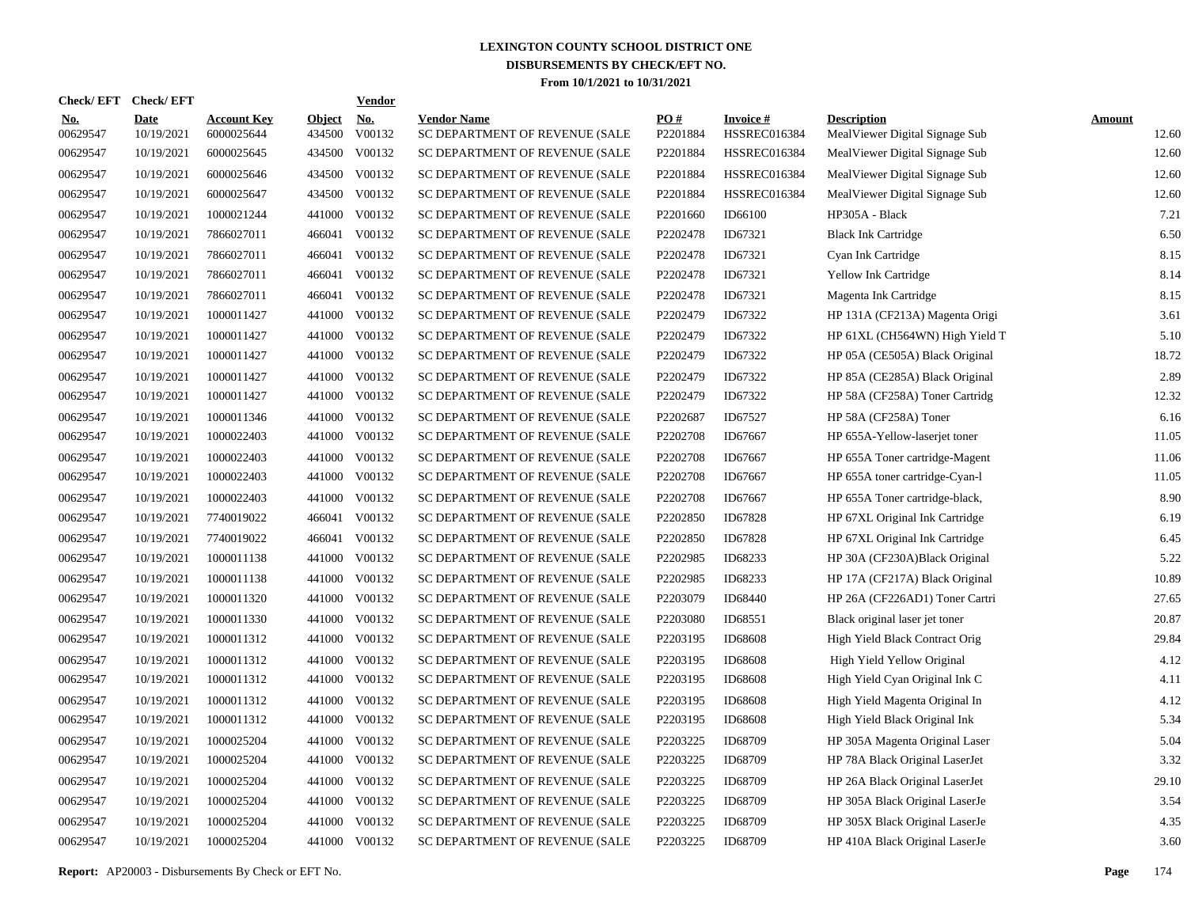|                        | Check/EFT Check/EFT       |                                  |                         | <u>Vendor</u>        |                                                      |                 |                                        |                                                      |                        |
|------------------------|---------------------------|----------------------------------|-------------------------|----------------------|------------------------------------------------------|-----------------|----------------------------------------|------------------------------------------------------|------------------------|
| <u>No.</u><br>00629547 | <b>Date</b><br>10/19/2021 | <b>Account Key</b><br>6000025644 | <b>Object</b><br>434500 | <u>No.</u><br>V00132 | <b>Vendor Name</b><br>SC DEPARTMENT OF REVENUE (SALE | PQ#<br>P2201884 | <b>Invoice#</b><br><b>HSSREC016384</b> | <b>Description</b><br>MealViewer Digital Signage Sub | <b>Amount</b><br>12.60 |
| 00629547               | 10/19/2021                | 6000025645                       | 434500                  | V00132               | SC DEPARTMENT OF REVENUE (SALE                       | P2201884        | <b>HSSREC016384</b>                    | MealViewer Digital Signage Sub                       | 12.60                  |
| 00629547               | 10/19/2021                | 6000025646                       | 434500                  | V00132               | SC DEPARTMENT OF REVENUE (SALE                       | P2201884        | <b>HSSREC016384</b>                    | MealViewer Digital Signage Sub                       | 12.60                  |
| 00629547               | 10/19/2021                | 6000025647                       | 434500                  | V00132               | SC DEPARTMENT OF REVENUE (SALE                       | P2201884        | <b>HSSREC016384</b>                    | MealViewer Digital Signage Sub                       | 12.60                  |
| 00629547               | 10/19/2021                | 1000021244                       | 441000                  | V00132               | SC DEPARTMENT OF REVENUE (SALE                       | P2201660        | ID66100                                | HP305A - Black                                       | 7.21                   |
| 00629547               | 10/19/2021                | 7866027011                       | 466041                  | V00132               | SC DEPARTMENT OF REVENUE (SALE                       | P2202478        | ID67321                                | <b>Black Ink Cartridge</b>                           | 6.50                   |
| 00629547               | 10/19/2021                | 7866027011                       | 466041                  | V00132               | SC DEPARTMENT OF REVENUE (SALE                       | P2202478        | ID67321                                | Cyan Ink Cartridge                                   | 8.15                   |
| 00629547               | 10/19/2021                | 7866027011                       | 466041                  | V00132               | SC DEPARTMENT OF REVENUE (SALE                       | P2202478        | ID67321                                | Yellow Ink Cartridge                                 | 8.14                   |
| 00629547               | 10/19/2021                | 7866027011                       | 466041                  | V00132               | SC DEPARTMENT OF REVENUE (SALE                       | P2202478        | ID67321                                | Magenta Ink Cartridge                                | 8.15                   |
| 00629547               | 10/19/2021                | 1000011427                       |                         | 441000 V00132        | SC DEPARTMENT OF REVENUE (SALE                       | P2202479        | ID67322                                | HP 131A (CF213A) Magenta Origi                       | 3.61                   |
| 00629547               | 10/19/2021                | 1000011427                       |                         | 441000 V00132        | SC DEPARTMENT OF REVENUE (SALE                       | P2202479        | ID67322                                | HP 61XL (CH564WN) High Yield T                       | 5.10                   |
| 00629547               | 10/19/2021                | 1000011427                       |                         | 441000 V00132        | SC DEPARTMENT OF REVENUE (SALE                       | P2202479        | ID67322                                | HP 05A (CE505A) Black Original                       | 18.72                  |
| 00629547               | 10/19/2021                | 1000011427                       |                         | 441000 V00132        | SC DEPARTMENT OF REVENUE (SALE                       | P2202479        | ID67322                                | HP 85A (CE285A) Black Original                       | 2.89                   |
| 00629547               | 10/19/2021                | 1000011427                       |                         | 441000 V00132        | SC DEPARTMENT OF REVENUE (SALE                       | P2202479        | ID67322                                | HP 58A (CF258A) Toner Cartridg                       | 12.32                  |
| 00629547               | 10/19/2021                | 1000011346                       |                         | 441000 V00132        | SC DEPARTMENT OF REVENUE (SALE                       | P2202687        | ID67527                                | HP 58A (CF258A) Toner                                | 6.16                   |
| 00629547               | 10/19/2021                | 1000022403                       |                         | 441000 V00132        | SC DEPARTMENT OF REVENUE (SALE                       | P2202708        | ID67667                                | HP 655A-Yellow-laserjet toner                        | 11.05                  |
| 00629547               | 10/19/2021                | 1000022403                       | 441000                  | V00132               | SC DEPARTMENT OF REVENUE (SALE                       | P2202708        | ID67667                                | HP 655A Toner cartridge-Magent                       | 11.06                  |
| 00629547               | 10/19/2021                | 1000022403                       |                         | 441000 V00132        | SC DEPARTMENT OF REVENUE (SALE                       | P2202708        | ID67667                                | HP 655A toner cartridge-Cyan-l                       | 11.05                  |
| 00629547               | 10/19/2021                | 1000022403                       | 441000                  | V00132               | SC DEPARTMENT OF REVENUE (SALE                       | P2202708        | ID67667                                | HP 655A Toner cartridge-black,                       | 8.90                   |
| 00629547               | 10/19/2021                | 7740019022                       | 466041                  | V00132               | SC DEPARTMENT OF REVENUE (SALE                       | P2202850        | ID67828                                | HP 67XL Original Ink Cartridge                       | 6.19                   |
| 00629547               | 10/19/2021                | 7740019022                       | 466041                  | V00132               | SC DEPARTMENT OF REVENUE (SALE                       | P2202850        | ID67828                                | HP 67XL Original Ink Cartridge                       | 6.45                   |
| 00629547               | 10/19/2021                | 1000011138                       | 441000                  | V00132               | SC DEPARTMENT OF REVENUE (SALE                       | P2202985        | ID68233                                | HP 30A (CF230A)Black Original                        | 5.22                   |
| 00629547               | 10/19/2021                | 1000011138                       | 441000                  | V00132               | SC DEPARTMENT OF REVENUE (SALE                       | P2202985        | ID68233                                | HP 17A (CF217A) Black Original                       | 10.89                  |
| 00629547               | 10/19/2021                | 1000011320                       | 441000                  | V00132               | SC DEPARTMENT OF REVENUE (SALE                       | P2203079        | ID68440                                | HP 26A (CF226AD1) Toner Cartri                       | 27.65                  |
| 00629547               | 10/19/2021                | 1000011330                       | 441000                  | V00132               | SC DEPARTMENT OF REVENUE (SALE                       | P2203080        | ID68551                                | Black original laser jet toner                       | 20.87                  |
| 00629547               | 10/19/2021                | 1000011312                       | 441000                  | V00132               | SC DEPARTMENT OF REVENUE (SALE                       | P2203195        | ID68608                                | High Yield Black Contract Orig                       | 29.84                  |
| 00629547               | 10/19/2021                | 1000011312                       | 441000                  | V00132               | SC DEPARTMENT OF REVENUE (SALE                       | P2203195        | ID68608                                | High Yield Yellow Original                           | 4.12                   |
| 00629547               | 10/19/2021                | 1000011312                       | 441000                  | V00132               | SC DEPARTMENT OF REVENUE (SALE                       | P2203195        | ID68608                                | High Yield Cyan Original Ink C                       | 4.11                   |
| 00629547               | 10/19/2021                | 1000011312                       | 441000                  | V00132               | SC DEPARTMENT OF REVENUE (SALE                       | P2203195        | <b>ID68608</b>                         | High Yield Magenta Original In                       | 4.12                   |
| 00629547               | 10/19/2021                | 1000011312                       | 441000                  | V00132               | SC DEPARTMENT OF REVENUE (SALE                       | P2203195        | <b>ID68608</b>                         | High Yield Black Original Ink                        | 5.34                   |
| 00629547               | 10/19/2021                | 1000025204                       | 441000                  | V00132               | SC DEPARTMENT OF REVENUE (SALE                       | P2203225        | ID68709                                | HP 305A Magenta Original Laser                       | 5.04                   |
| 00629547               | 10/19/2021                | 1000025204                       | 441000                  | V00132               | SC DEPARTMENT OF REVENUE (SALE                       | P2203225        | ID68709                                | HP 78A Black Original LaserJet                       | 3.32                   |
| 00629547               | 10/19/2021                | 1000025204                       | 441000                  | V00132               | SC DEPARTMENT OF REVENUE (SALE                       | P2203225        | ID68709                                | HP 26A Black Original LaserJet                       | 29.10                  |
| 00629547               | 10/19/2021                | 1000025204                       | 441000                  | V00132               | SC DEPARTMENT OF REVENUE (SALE                       | P2203225        | ID68709                                | HP 305A Black Original LaserJe                       | 3.54                   |
| 00629547               | 10/19/2021                | 1000025204                       | 441000                  | V00132               | SC DEPARTMENT OF REVENUE (SALE                       | P2203225        | ID68709                                | HP 305X Black Original LaserJe                       | 4.35                   |
| 00629547               | 10/19/2021                | 1000025204                       |                         | 441000 V00132        | SC DEPARTMENT OF REVENUE (SALE                       | P2203225        | ID68709                                | HP 410A Black Original LaserJe                       | 3.60                   |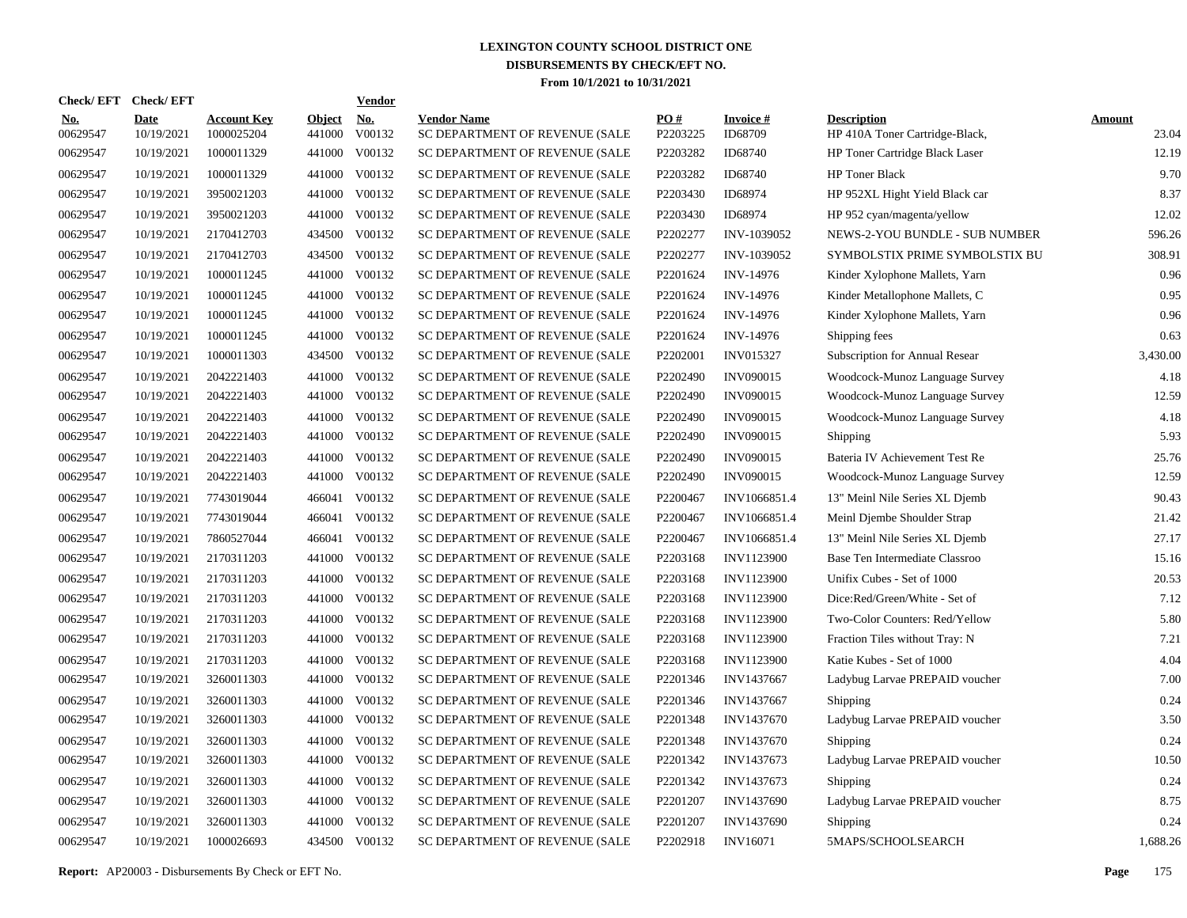| <b>Check/EFT</b>       | <b>Check/EFT</b>          |                                  |                         | <b>Vendor</b> |                                                      |                 |                            |                                                      |                        |
|------------------------|---------------------------|----------------------------------|-------------------------|---------------|------------------------------------------------------|-----------------|----------------------------|------------------------------------------------------|------------------------|
| <u>No.</u><br>00629547 | <b>Date</b><br>10/19/2021 | <b>Account Key</b><br>1000025204 | <b>Object</b><br>441000 | No.<br>V00132 | <b>Vendor Name</b><br>SC DEPARTMENT OF REVENUE (SALE | PO#<br>P2203225 | <b>Invoice#</b><br>ID68709 | <b>Description</b><br>HP 410A Toner Cartridge-Black, | <b>Amount</b><br>23.04 |
| 00629547               | 10/19/2021                | 1000011329                       | 441000                  | V00132        | SC DEPARTMENT OF REVENUE (SALE                       | P2203282        | ID68740                    | HP Toner Cartridge Black Laser                       | 12.19                  |
| 00629547               | 10/19/2021                | 1000011329                       | 441000                  | V00132        | SC DEPARTMENT OF REVENUE (SALE                       | P2203282        | ID68740                    | HP Toner Black                                       | 9.70                   |
| 00629547               | 10/19/2021                | 3950021203                       | 441000                  | V00132        | SC DEPARTMENT OF REVENUE (SALE                       | P2203430        | ID68974                    | HP 952XL Hight Yield Black car                       | 8.37                   |
| 00629547               | 10/19/2021                | 3950021203                       |                         | 441000 V00132 | SC DEPARTMENT OF REVENUE (SALE                       | P2203430        | ID68974                    | HP 952 cyan/magenta/yellow                           | 12.02                  |
| 00629547               | 10/19/2021                | 2170412703                       | 434500                  | V00132        | SC DEPARTMENT OF REVENUE (SALE                       | P2202277        | INV-1039052                | <b>NEWS-2-YOU BUNDLE - SUB NUMBER</b>                | 596.26                 |
| 00629547               | 10/19/2021                | 2170412703                       |                         | 434500 V00132 | SC DEPARTMENT OF REVENUE (SALE                       | P2202277        | INV-1039052                | SYMBOLSTIX PRIME SYMBOLSTIX BU                       | 308.91                 |
| 00629547               | 10/19/2021                | 1000011245                       | 441000                  | V00132        | SC DEPARTMENT OF REVENUE (SALE                       | P2201624        | INV-14976                  | Kinder Xylophone Mallets, Yarn                       | 0.96                   |
| 00629547               | 10/19/2021                | 1000011245                       |                         | 441000 V00132 | SC DEPARTMENT OF REVENUE (SALE                       | P2201624        | INV-14976                  | Kinder Metallophone Mallets, C                       | 0.95                   |
| 00629547               | 10/19/2021                | 1000011245                       | 441000                  | V00132        | SC DEPARTMENT OF REVENUE (SALE                       | P2201624        | INV-14976                  | Kinder Xylophone Mallets, Yarn                       | 0.96                   |
| 00629547               | 10/19/2021                | 1000011245                       |                         | 441000 V00132 | SC DEPARTMENT OF REVENUE (SALE                       | P2201624        | INV-14976                  | Shipping fees                                        | 0.63                   |
| 00629547               | 10/19/2021                | 1000011303                       |                         | 434500 V00132 | SC DEPARTMENT OF REVENUE (SALE                       | P2202001        | <b>INV015327</b>           | Subscription for Annual Resear                       | 3,430.00               |
| 00629547               | 10/19/2021                | 2042221403                       |                         | 441000 V00132 | SC DEPARTMENT OF REVENUE (SALE                       | P2202490        | <b>INV090015</b>           | Woodcock-Munoz Language Survey                       | 4.18                   |
| 00629547               | 10/19/2021                | 2042221403                       |                         | 441000 V00132 | SC DEPARTMENT OF REVENUE (SALE                       | P2202490        | <b>INV090015</b>           | Woodcock-Munoz Language Survey                       | 12.59                  |
| 00629547               | 10/19/2021                | 2042221403                       |                         | 441000 V00132 | SC DEPARTMENT OF REVENUE (SALE                       | P2202490        | <b>INV090015</b>           | Woodcock-Munoz Language Survey                       | 4.18                   |
| 00629547               | 10/19/2021                | 2042221403                       |                         | 441000 V00132 | SC DEPARTMENT OF REVENUE (SALE                       | P2202490        | <b>INV090015</b>           | Shipping                                             | 5.93                   |
| 00629547               | 10/19/2021                | 2042221403                       |                         | 441000 V00132 | SC DEPARTMENT OF REVENUE (SALE                       | P2202490        | <b>INV090015</b>           | Bateria IV Achievement Test Re                       | 25.76                  |
| 00629547               | 10/19/2021                | 2042221403                       |                         | 441000 V00132 | SC DEPARTMENT OF REVENUE (SALE                       | P2202490        | <b>INV090015</b>           | Woodcock-Munoz Language Survey                       | 12.59                  |
| 00629547               | 10/19/2021                | 7743019044                       |                         | 466041 V00132 | SC DEPARTMENT OF REVENUE (SALE                       | P2200467        | INV1066851.4               | 13" Meinl Nile Series XL Djemb                       | 90.43                  |
| 00629547               | 10/19/2021                | 7743019044                       | 466041                  | V00132        | SC DEPARTMENT OF REVENUE (SALE                       | P2200467        | INV1066851.4               | Meinl Djembe Shoulder Strap                          | 21.42                  |
| 00629547               | 10/19/2021                | 7860527044                       | 466041                  | V00132        | SC DEPARTMENT OF REVENUE (SALE                       | P2200467        | INV1066851.4               | 13" Meinl Nile Series XL Djemb                       | 27.17                  |
| 00629547               | 10/19/2021                | 2170311203                       |                         | 441000 V00132 | SC DEPARTMENT OF REVENUE (SALE                       | P2203168        | INV1123900                 | Base Ten Intermediate Classroo                       | 15.16                  |
| 00629547               | 10/19/2021                | 2170311203                       | 441000                  | V00132        | SC DEPARTMENT OF REVENUE (SALE                       | P2203168        | INV1123900                 | Unifix Cubes - Set of 1000                           | 20.53                  |
| 00629547               | 10/19/2021                | 2170311203                       |                         | 441000 V00132 | SC DEPARTMENT OF REVENUE (SALE                       | P2203168        | INV1123900                 | Dice:Red/Green/White - Set of                        | 7.12                   |
| 00629547               | 10/19/2021                | 2170311203                       | 441000                  | V00132        | SC DEPARTMENT OF REVENUE (SALE                       | P2203168        | INV1123900                 | Two-Color Counters: Red/Yellow                       | 5.80                   |
| 00629547               | 10/19/2021                | 2170311203                       |                         | 441000 V00132 | SC DEPARTMENT OF REVENUE (SALE                       | P2203168        | INV1123900                 | Fraction Tiles without Tray: N                       | 7.21                   |
| 00629547               | 10/19/2021                | 2170311203                       | 441000                  | V00132        | SC DEPARTMENT OF REVENUE (SALE                       | P2203168        | INV1123900                 | Katie Kubes - Set of 1000                            | 4.04                   |
| 00629547               | 10/19/2021                | 3260011303                       |                         | 441000 V00132 | SC DEPARTMENT OF REVENUE (SALE                       | P2201346        | INV1437667                 | Ladybug Larvae PREPAID voucher                       | 7.00                   |
| 00629547               | 10/19/2021                | 3260011303                       | 441000                  | V00132        | SC DEPARTMENT OF REVENUE (SALE                       | P2201346        | INV1437667                 | Shipping                                             | 0.24                   |
| 00629547               | 10/19/2021                | 3260011303                       |                         | 441000 V00132 | SC DEPARTMENT OF REVENUE (SALE                       | P2201348        | INV1437670                 | Ladybug Larvae PREPAID voucher                       | 3.50                   |
| 00629547               | 10/19/2021                | 3260011303                       | 441000                  | V00132        | SC DEPARTMENT OF REVENUE (SALE                       | P2201348        | INV1437670                 | Shipping                                             | 0.24                   |
| 00629547               | 10/19/2021                | 3260011303                       |                         | 441000 V00132 | SC DEPARTMENT OF REVENUE (SALE                       | P2201342        | INV1437673                 | Ladybug Larvae PREPAID voucher                       | 10.50                  |
| 00629547               | 10/19/2021                | 3260011303                       | 441000                  | V00132        | SC DEPARTMENT OF REVENUE (SALE                       | P2201342        | INV1437673                 | Shipping                                             | 0.24                   |
| 00629547               | 10/19/2021                | 3260011303                       |                         | 441000 V00132 | SC DEPARTMENT OF REVENUE (SALE                       | P2201207        | <b>INV1437690</b>          | Ladybug Larvae PREPAID voucher                       | 8.75                   |
| 00629547               | 10/19/2021                | 3260011303                       | 441000                  | V00132        | SC DEPARTMENT OF REVENUE (SALE                       | P2201207        | INV1437690                 | Shipping                                             | 0.24                   |
| 00629547               | 10/19/2021                | 1000026693                       |                         | 434500 V00132 | SC DEPARTMENT OF REVENUE (SALE                       | P2202918        | <b>INV16071</b>            | 5MAPS/SCHOOLSEARCH                                   | 1,688.26               |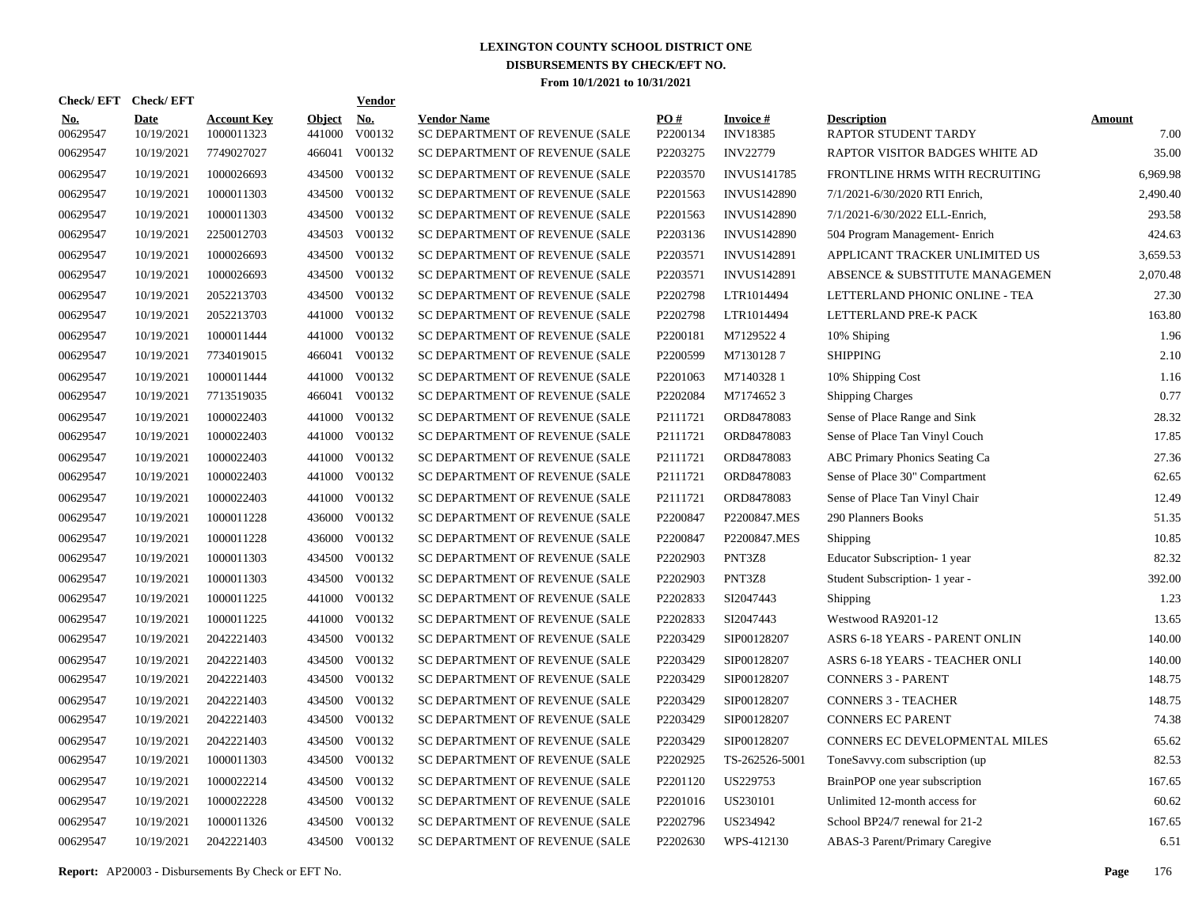| Check/ EFT             | <b>Check/EFT</b>          |                                  |                         | <b>Vendor</b>        |                                                      |                      |                                    |                                            |                       |
|------------------------|---------------------------|----------------------------------|-------------------------|----------------------|------------------------------------------------------|----------------------|------------------------------------|--------------------------------------------|-----------------------|
| <b>No.</b><br>00629547 | <b>Date</b><br>10/19/2021 | <b>Account Key</b><br>1000011323 | <b>Object</b><br>441000 | <u>No.</u><br>V00132 | <b>Vendor Name</b><br>SC DEPARTMENT OF REVENUE (SALE | PQ#<br>P2200134      | <b>Invoice#</b><br><b>INV18385</b> | <b>Description</b><br>RAPTOR STUDENT TARDY | <b>Amount</b><br>7.00 |
| 00629547               | 10/19/2021                | 7749027027                       | 466041                  | V00132               | SC DEPARTMENT OF REVENUE (SALE                       | P2203275             | <b>INV22779</b>                    | RAPTOR VISITOR BADGES WHITE AD             | 35.00                 |
| 00629547               | 10/19/2021                | 1000026693                       | 434500                  | V00132               | SC DEPARTMENT OF REVENUE (SALE                       | P2203570             | <b>INVUS141785</b>                 | FRONTLINE HRMS WITH RECRUITING             | 6,969.98              |
| 00629547               | 10/19/2021                | 1000011303                       | 434500                  | V00132               | SC DEPARTMENT OF REVENUE (SALE                       | P2201563             | <b>INVUS142890</b>                 | 7/1/2021-6/30/2020 RTI Enrich,             | 2,490.40              |
| 00629547               | 10/19/2021                | 1000011303                       | 434500                  | V00132               | SC DEPARTMENT OF REVENUE (SALE                       | P <sub>2201563</sub> | <b>INVUS142890</b>                 | 7/1/2021-6/30/2022 ELL-Enrich,             | 293.58                |
| 00629547               | 10/19/2021                | 2250012703                       | 434503                  | V00132               | SC DEPARTMENT OF REVENUE (SALE                       | P2203136             | <b>INVUS142890</b>                 | 504 Program Management- Enrich             | 424.63                |
| 00629547               | 10/19/2021                | 1000026693                       | 434500                  | V00132               | SC DEPARTMENT OF REVENUE (SALE                       | P2203571             | <b>INVUS142891</b>                 | APPLICANT TRACKER UNLIMITED US             | 3,659.53              |
| 00629547               | 10/19/2021                | 1000026693                       | 434500                  | V00132               | SC DEPARTMENT OF REVENUE (SALE                       | P2203571             | <b>INVUS142891</b>                 | ABSENCE & SUBSTITUTE MANAGEMEN             | 2,070.48              |
| 00629547               | 10/19/2021                | 2052213703                       |                         | 434500 V00132        | SC DEPARTMENT OF REVENUE (SALE                       | P2202798             | LTR1014494                         | LETTERLAND PHONIC ONLINE - TEA             | 27.30                 |
| 00629547               | 10/19/2021                | 2052213703                       | 441000                  | V00132               | SC DEPARTMENT OF REVENUE (SALE                       | P2202798             | LTR1014494                         | LETTERLAND PRE-K PACK                      | 163.80                |
| 00629547               | 10/19/2021                | 1000011444                       |                         | 441000 V00132        | SC DEPARTMENT OF REVENUE (SALE                       | P2200181             | M71295224                          | 10% Shiping                                | 1.96                  |
| 00629547               | 10/19/2021                | 7734019015                       |                         | 466041 V00132        | SC DEPARTMENT OF REVENUE (SALE                       | P2200599             | M71301287                          | <b>SHIPPING</b>                            | 2.10                  |
| 00629547               | 10/19/2021                | 1000011444                       |                         | 441000 V00132        | SC DEPARTMENT OF REVENUE (SALE                       | P2201063             | M71403281                          | 10% Shipping Cost                          | 1.16                  |
| 00629547               | 10/19/2021                | 7713519035                       |                         | 466041 V00132        | SC DEPARTMENT OF REVENUE (SALE                       | P2202084             | M71746523                          | <b>Shipping Charges</b>                    | 0.77                  |
| 00629547               | 10/19/2021                | 1000022403                       | 441000                  | V00132               | SC DEPARTMENT OF REVENUE (SALE                       | P2111721             | ORD8478083                         | Sense of Place Range and Sink              | 28.32                 |
| 00629547               | 10/19/2021                | 1000022403                       | 441000                  | V00132               | SC DEPARTMENT OF REVENUE (SALE                       | P2111721             | ORD8478083                         | Sense of Place Tan Vinyl Couch             | 17.85                 |
| 00629547               | 10/19/2021                | 1000022403                       | 441000                  | V00132               | SC DEPARTMENT OF REVENUE (SALE                       | P2111721             | ORD8478083                         | <b>ABC Primary Phonics Seating Ca</b>      | 27.36                 |
| 00629547               | 10/19/2021                | 1000022403                       |                         | 441000 V00132        | SC DEPARTMENT OF REVENUE (SALE                       | P2111721             | ORD8478083                         | Sense of Place 30" Compartment             | 62.65                 |
| 00629547               | 10/19/2021                | 1000022403                       | 441000                  | V00132               | SC DEPARTMENT OF REVENUE (SALE                       | P2111721             | ORD8478083                         | Sense of Place Tan Vinyl Chair             | 12.49                 |
| 00629547               | 10/19/2021                | 1000011228                       |                         | 436000 V00132        | SC DEPARTMENT OF REVENUE (SALE                       | P2200847             | P2200847.MES                       | 290 Planners Books                         | 51.35                 |
| 00629547               | 10/19/2021                | 1000011228                       | 436000                  | V00132               | SC DEPARTMENT OF REVENUE (SALE                       | P2200847             | P2200847.MES                       | <b>Shipping</b>                            | 10.85                 |
| 00629547               | 10/19/2021                | 1000011303                       |                         | 434500 V00132        | SC DEPARTMENT OF REVENUE (SALE                       | P2202903             | PNT3Z8                             | Educator Subscription-1 year               | 82.32                 |
| 00629547               | 10/19/2021                | 1000011303                       | 434500                  | V00132               | SC DEPARTMENT OF REVENUE (SALE                       | P2202903             | PNT3Z8                             | Student Subscription- 1 year -             | 392.00                |
| 00629547               | 10/19/2021                | 1000011225                       | 441000                  | V00132               | SC DEPARTMENT OF REVENUE (SALE                       | P2202833             | SI2047443                          | <b>Shipping</b>                            | 1.23                  |
| 00629547               | 10/19/2021                | 1000011225                       | 441000                  | V00132               | SC DEPARTMENT OF REVENUE (SALE                       | P2202833             | SI2047443                          | Westwood RA9201-12                         | 13.65                 |
| 00629547               | 10/19/2021                | 2042221403                       | 434500                  | V00132               | SC DEPARTMENT OF REVENUE (SALE                       | P2203429             | SIP00128207                        | ASRS 6-18 YEARS - PARENT ONLIN             | 140.00                |
| 00629547               | 10/19/2021                | 2042221403                       | 434500                  | V00132               | SC DEPARTMENT OF REVENUE (SALE                       | P2203429             | SIP00128207                        | ASRS 6-18 YEARS - TEACHER ONLI             | 140.00                |
| 00629547               | 10/19/2021                | 2042221403                       | 434500                  | V00132               | SC DEPARTMENT OF REVENUE (SALE                       | P2203429             | SIP00128207                        | <b>CONNERS 3 - PARENT</b>                  | 148.75                |
| 00629547               | 10/19/2021                | 2042221403                       | 434500                  | V00132               | SC DEPARTMENT OF REVENUE (SALE                       | P2203429             | SIP00128207                        | <b>CONNERS 3 - TEACHER</b>                 | 148.75                |
| 00629547               | 10/19/2021                | 2042221403                       | 434500                  | V00132               | SC DEPARTMENT OF REVENUE (SALE                       | P2203429             | SIP00128207                        | <b>CONNERS EC PARENT</b>                   | 74.38                 |
| 00629547               | 10/19/2021                | 2042221403                       | 434500                  | V00132               | SC DEPARTMENT OF REVENUE (SALE                       | P2203429             | SIP00128207                        | CONNERS EC DEVELOPMENTAL MILES             | 65.62                 |
| 00629547               | 10/19/2021                | 1000011303                       | 434500                  | V00132               | SC DEPARTMENT OF REVENUE (SALE                       | P2202925             | TS-262526-5001                     | ToneSavvy.com subscription (up             | 82.53                 |
| 00629547               | 10/19/2021                | 1000022214                       | 434500                  | V00132               | SC DEPARTMENT OF REVENUE (SALE                       | P2201120             | US229753                           | BrainPOP one year subscription             | 167.65                |
| 00629547               | 10/19/2021                | 1000022228                       | 434500                  | V00132               | SC DEPARTMENT OF REVENUE (SALE                       | P2201016             | US230101                           | Unlimited 12-month access for              | 60.62                 |
| 00629547               | 10/19/2021                | 1000011326                       | 434500                  | V00132               | SC DEPARTMENT OF REVENUE (SALE                       | P2202796             | US234942                           | School BP24/7 renewal for 21-2             | 167.65                |
| 00629547               | 10/19/2021                | 2042221403                       |                         | 434500 V00132        | SC DEPARTMENT OF REVENUE (SALE                       | P2202630             | WPS-412130                         | <b>ABAS-3 Parent/Primary Caregive</b>      | 6.51                  |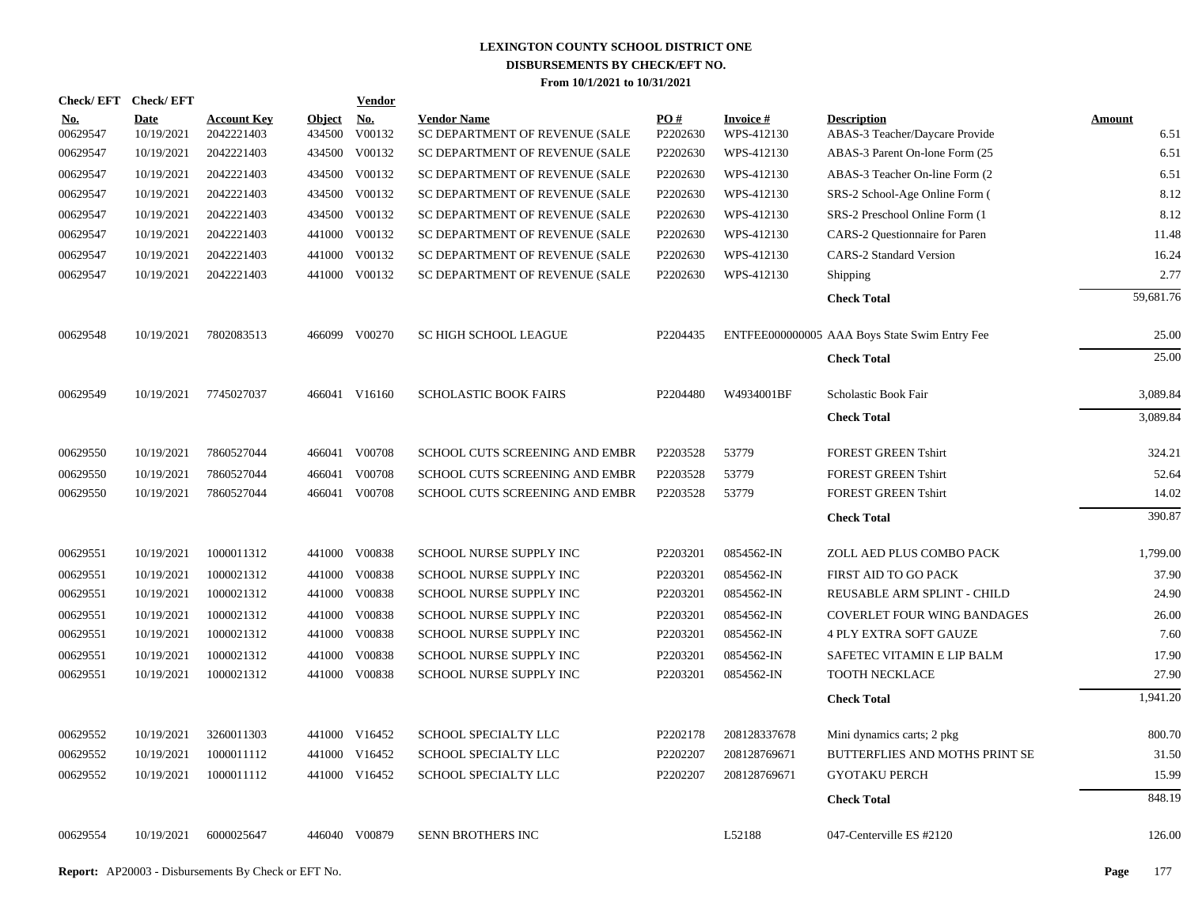| <b>Check/EFT</b> | <b>Check/EFT</b>          |                                  |                         | <b>Vendor</b> |                                                      |                 |                                |                                                      |                       |
|------------------|---------------------------|----------------------------------|-------------------------|---------------|------------------------------------------------------|-----------------|--------------------------------|------------------------------------------------------|-----------------------|
| No.<br>00629547  | <b>Date</b><br>10/19/2021 | <b>Account Key</b><br>2042221403 | <b>Object</b><br>434500 | No.<br>V00132 | <b>Vendor Name</b><br>SC DEPARTMENT OF REVENUE (SALE | PO#<br>P2202630 | <b>Invoice #</b><br>WPS-412130 | <b>Description</b><br>ABAS-3 Teacher/Daycare Provide | <b>Amount</b><br>6.51 |
| 00629547         | 10/19/2021                | 2042221403                       | 434500                  | V00132        | SC DEPARTMENT OF REVENUE (SALE                       | P2202630        | WPS-412130                     | ABAS-3 Parent On-lone Form (25                       | 6.51                  |
| 00629547         | 10/19/2021                | 2042221403                       | 434500                  | V00132        | SC DEPARTMENT OF REVENUE (SALE                       | P2202630        | WPS-412130                     | ABAS-3 Teacher On-line Form (2)                      | 6.51                  |
| 00629547         | 10/19/2021                | 2042221403                       | 434500                  | V00132        | SC DEPARTMENT OF REVENUE (SALE                       | P2202630        | WPS-412130                     | SRS-2 School-Age Online Form (                       | 8.12                  |
| 00629547         | 10/19/2021                | 2042221403                       | 434500                  | V00132        | SC DEPARTMENT OF REVENUE (SALE                       | P2202630        | WPS-412130                     | SRS-2 Preschool Online Form (1)                      | 8.12                  |
| 00629547         | 10/19/2021                | 2042221403                       | 441000                  | V00132        | SC DEPARTMENT OF REVENUE (SALE                       | P2202630        | WPS-412130                     | CARS-2 Questionnaire for Paren                       | 11.48                 |
| 00629547         | 10/19/2021                | 2042221403                       | 441000                  | V00132        | SC DEPARTMENT OF REVENUE (SALE                       | P2202630        | WPS-412130                     | <b>CARS-2 Standard Version</b>                       | 16.24                 |
| 00629547         | 10/19/2021                | 2042221403                       |                         | 441000 V00132 | SC DEPARTMENT OF REVENUE (SALE                       | P2202630        | WPS-412130                     | Shipping                                             | 2.77                  |
|                  |                           |                                  |                         |               |                                                      |                 |                                | <b>Check Total</b>                                   | 59,681.76             |
| 00629548         | 10/19/2021                | 7802083513                       |                         | 466099 V00270 | <b>SC HIGH SCHOOL LEAGUE</b>                         | P2204435        |                                | ENTFEE000000005 AAA Boys State Swim Entry Fee        | 25.00                 |
|                  |                           |                                  |                         |               |                                                      |                 |                                | <b>Check Total</b>                                   | 25.00                 |
| 00629549         | 10/19/2021                | 7745027037                       |                         | 466041 V16160 | <b>SCHOLASTIC BOOK FAIRS</b>                         | P2204480        | W4934001BF                     | Scholastic Book Fair                                 | 3,089.84              |
|                  |                           |                                  |                         |               |                                                      |                 |                                | <b>Check Total</b>                                   | 3,089.84              |
| 00629550         | 10/19/2021                | 7860527044                       | 466041                  | V00708        | SCHOOL CUTS SCREENING AND EMBR                       | P2203528        | 53779                          | <b>FOREST GREEN Tshirt</b>                           | 324.21                |
| 00629550         | 10/19/2021                | 7860527044                       | 466041                  | V00708        | SCHOOL CUTS SCREENING AND EMBR                       | P2203528        | 53779                          | <b>FOREST GREEN Tshirt</b>                           | 52.64                 |
| 00629550         | 10/19/2021                | 7860527044                       |                         | 466041 V00708 | SCHOOL CUTS SCREENING AND EMBR                       | P2203528        | 53779                          | <b>FOREST GREEN Tshirt</b>                           | 14.02                 |
|                  |                           |                                  |                         |               |                                                      |                 |                                | <b>Check Total</b>                                   | 390.87                |
| 00629551         | 10/19/2021                | 1000011312                       |                         | 441000 V00838 | SCHOOL NURSE SUPPLY INC                              | P2203201        | 0854562-IN                     | ZOLL AED PLUS COMBO PACK                             | 1,799.00              |
| 00629551         | 10/19/2021                | 1000021312                       |                         | 441000 V00838 | SCHOOL NURSE SUPPLY INC                              | P2203201        | 0854562-IN                     | FIRST AID TO GO PACK                                 | 37.90                 |
| 00629551         | 10/19/2021                | 1000021312                       |                         | 441000 V00838 | SCHOOL NURSE SUPPLY INC                              | P2203201        | 0854562-IN                     | REUSABLE ARM SPLINT - CHILD                          | 24.90                 |
| 00629551         | 10/19/2021                | 1000021312                       |                         | 441000 V00838 | SCHOOL NURSE SUPPLY INC                              | P2203201        | 0854562-IN                     | <b>COVERLET FOUR WING BANDAGES</b>                   | 26.00                 |
| 00629551         | 10/19/2021                | 1000021312                       | 441000                  | V00838        | SCHOOL NURSE SUPPLY INC                              | P2203201        | 0854562-IN                     | <b>4 PLY EXTRA SOFT GAUZE</b>                        | 7.60                  |
| 00629551         | 10/19/2021                | 1000021312                       | 441000                  | V00838        | SCHOOL NURSE SUPPLY INC                              | P2203201        | 0854562-IN                     | SAFETEC VITAMIN E LIP BALM                           | 17.90                 |
| 00629551         | 10/19/2021                | 1000021312                       |                         | 441000 V00838 | SCHOOL NURSE SUPPLY INC                              | P2203201        | 0854562-IN                     | <b>TOOTH NECKLACE</b>                                | 27.90                 |
|                  |                           |                                  |                         |               |                                                      |                 |                                | <b>Check Total</b>                                   | 1,941.20              |
| 00629552         | 10/19/2021                | 3260011303                       |                         | 441000 V16452 | SCHOOL SPECIALTY LLC                                 | P2202178        | 208128337678                   | Mini dynamics carts; 2 pkg                           | 800.70                |
| 00629552         | 10/19/2021                | 1000011112                       | 441000                  | V16452        | <b>SCHOOL SPECIALTY LLC</b>                          | P2202207        | 208128769671                   | BUTTERFLIES AND MOTHS PRINT SE                       | 31.50                 |
| 00629552         | 10/19/2021                | 1000011112                       |                         | 441000 V16452 | SCHOOL SPECIALTY LLC                                 | P2202207        | 208128769671                   | <b>GYOTAKU PERCH</b>                                 | 15.99                 |
|                  |                           |                                  |                         |               |                                                      |                 |                                | <b>Check Total</b>                                   | 848.19                |
| 00629554         | 10/19/2021                | 6000025647                       |                         | 446040 V00879 | <b>SENN BROTHERS INC</b>                             |                 | L52188                         | 047-Centerville ES #2120                             | 126.00                |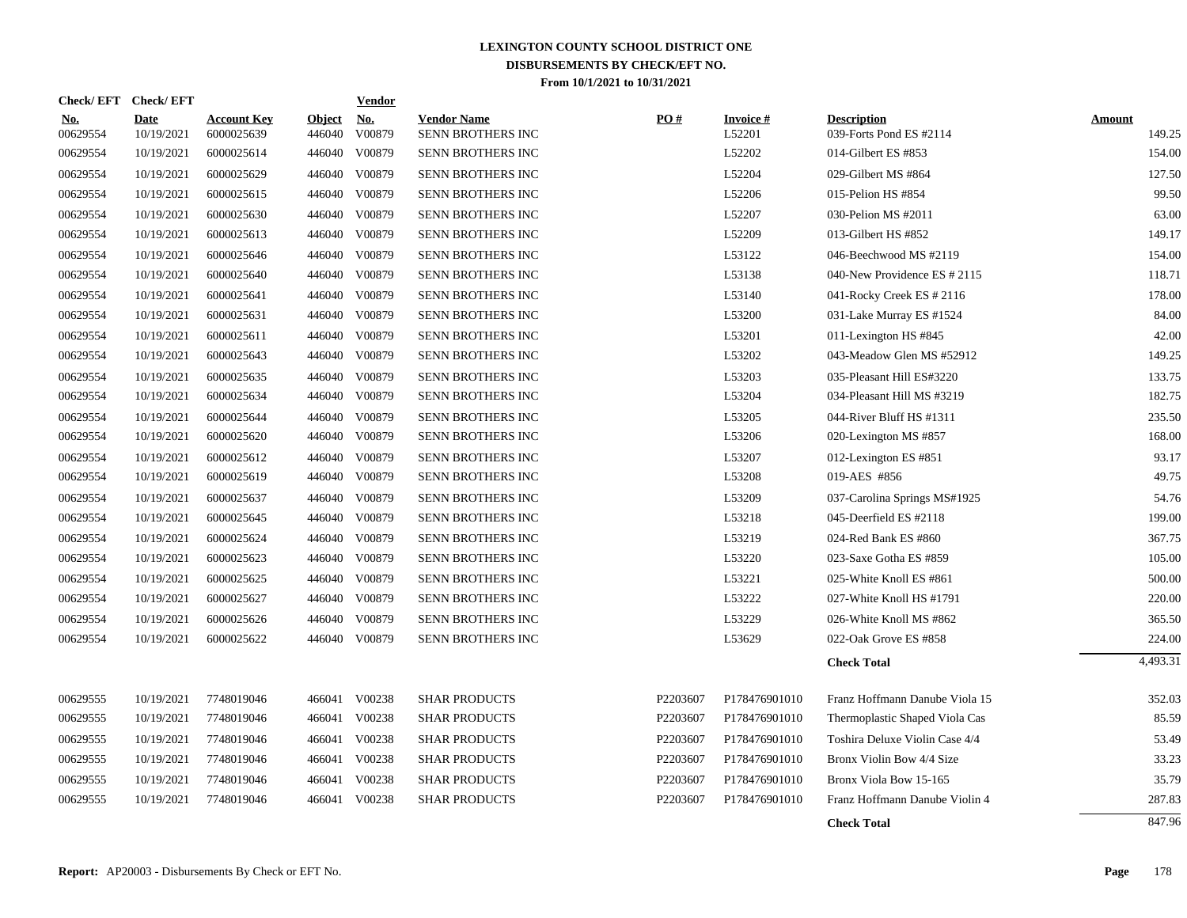| Check/EFT Check/EFT    |                           |                                  |                         | <b>Vendor</b>                       |                                         |          |                              |                                               |                         |
|------------------------|---------------------------|----------------------------------|-------------------------|-------------------------------------|-----------------------------------------|----------|------------------------------|-----------------------------------------------|-------------------------|
| <u>No.</u><br>00629554 | <b>Date</b><br>10/19/2021 | <b>Account Key</b><br>6000025639 | <b>Object</b><br>446040 | $\underline{\mathrm{No}}$<br>V00879 | <b>Vendor Name</b><br>SENN BROTHERS INC | PO#      | <b>Invoice</b> $#$<br>L52201 | <b>Description</b><br>039-Forts Pond ES #2114 | <b>Amount</b><br>149.25 |
| 00629554               | 10/19/2021                | 6000025614                       | 446040                  | V00879                              | SENN BROTHERS INC                       |          | L52202                       | 014-Gilbert ES #853                           | 154.00                  |
| 00629554               | 10/19/2021                | 6000025629                       | 446040                  | V00879                              | SENN BROTHERS INC                       |          | L52204                       | 029-Gilbert MS #864                           | 127.50                  |
| 00629554               | 10/19/2021                | 6000025615                       | 446040                  | V00879                              | <b>SENN BROTHERS INC</b>                |          | L52206                       | 015-Pelion HS #854                            | 99.50                   |
| 00629554               | 10/19/2021                | 6000025630                       | 446040                  | V00879                              | SENN BROTHERS INC                       |          | L52207                       | 030-Pelion MS #2011                           | 63.00                   |
| 00629554               | 10/19/2021                | 6000025613                       | 446040                  | V00879                              | SENN BROTHERS INC                       |          | L52209                       | 013-Gilbert HS #852                           | 149.17                  |
| 00629554               | 10/19/2021                | 6000025646                       | 446040                  | V00879                              | SENN BROTHERS INC                       |          | L53122                       | 046-Beechwood MS #2119                        | 154.00                  |
| 00629554               | 10/19/2021                | 6000025640                       | 446040                  | V00879                              | SENN BROTHERS INC                       |          | L53138                       | 040-New Providence ES # 2115                  | 118.71                  |
| 00629554               | 10/19/2021                | 6000025641                       | 446040                  | V00879                              | SENN BROTHERS INC                       |          | L53140                       | 041-Rocky Creek ES # 2116                     | 178.00                  |
| 00629554               | 10/19/2021                | 6000025631                       | 446040                  | V00879                              | SENN BROTHERS INC                       |          | L53200                       | 031-Lake Murray ES #1524                      | 84.00                   |
| 00629554               | 10/19/2021                | 6000025611                       | 446040                  | V00879                              | SENN BROTHERS INC                       |          | L53201                       | 011-Lexington HS #845                         | 42.00                   |
| 00629554               | 10/19/2021                | 6000025643                       | 446040                  | V00879                              | SENN BROTHERS INC                       |          | L53202                       | 043-Meadow Glen MS #52912                     | 149.25                  |
| 00629554               | 10/19/2021                | 6000025635                       | 446040                  | V00879                              | SENN BROTHERS INC                       |          | L53203                       | 035-Pleasant Hill ES#3220                     | 133.75                  |
| 00629554               | 10/19/2021                | 6000025634                       | 446040                  | V00879                              | SENN BROTHERS INC                       |          | L53204                       | 034-Pleasant Hill MS #3219                    | 182.75                  |
| 00629554               | 10/19/2021                | 6000025644                       | 446040                  | V00879                              | SENN BROTHERS INC                       |          | L53205                       | 044-River Bluff HS #1311                      | 235.50                  |
| 00629554               | 10/19/2021                | 6000025620                       | 446040                  | V00879                              | SENN BROTHERS INC                       |          | L53206                       | 020-Lexington MS #857                         | 168.00                  |
| 00629554               | 10/19/2021                | 6000025612                       | 446040                  | V00879                              | SENN BROTHERS INC                       |          | L53207                       | 012-Lexington ES #851                         | 93.17                   |
| 00629554               | 10/19/2021                | 6000025619                       | 446040                  | V00879                              | SENN BROTHERS INC                       |          | L53208                       | 019-AES #856                                  | 49.75                   |
| 00629554               | 10/19/2021                | 6000025637                       | 446040                  | V00879                              | SENN BROTHERS INC                       |          | L53209                       | 037-Carolina Springs MS#1925                  | 54.76                   |
| 00629554               | 10/19/2021                | 6000025645                       | 446040                  | V00879                              | SENN BROTHERS INC                       |          | L53218                       | 045-Deerfield ES #2118                        | 199.00                  |
| 00629554               | 10/19/2021                | 6000025624                       | 446040                  | V00879                              | SENN BROTHERS INC                       |          | L53219                       | 024-Red Bank ES #860                          | 367.75                  |
| 00629554               | 10/19/2021                | 6000025623                       |                         | 446040 V00879                       | SENN BROTHERS INC                       |          | L53220                       | 023-Saxe Gotha ES #859                        | 105.00                  |
| 00629554               | 10/19/2021                | 6000025625                       |                         | 446040 V00879                       | SENN BROTHERS INC                       |          | L53221                       | 025-White Knoll ES #861                       | 500.00                  |
| 00629554               | 10/19/2021                | 6000025627                       |                         | 446040 V00879                       | SENN BROTHERS INC                       |          | L53222                       | 027-White Knoll HS #1791                      | 220.00                  |
| 00629554               | 10/19/2021                | 6000025626                       | 446040                  | V00879                              | SENN BROTHERS INC                       |          | L53229                       | 026-White Knoll MS #862                       | 365.50                  |
| 00629554               | 10/19/2021                | 6000025622                       |                         | 446040 V00879                       | SENN BROTHERS INC                       |          | L53629                       | 022-Oak Grove ES #858                         | 224.00                  |
|                        |                           |                                  |                         |                                     |                                         |          |                              | <b>Check Total</b>                            | 4,493.31                |
| 00629555               | 10/19/2021                | 7748019046                       |                         | 466041 V00238                       | <b>SHAR PRODUCTS</b>                    | P2203607 | P178476901010                | Franz Hoffmann Danube Viola 15                | 352.03                  |
| 00629555               | 10/19/2021                | 7748019046                       | 466041                  | V00238                              | <b>SHAR PRODUCTS</b>                    | P2203607 | P178476901010                | Thermoplastic Shaped Viola Cas                | 85.59                   |
| 00629555               | 10/19/2021                | 7748019046                       | 466041                  | V00238                              | <b>SHAR PRODUCTS</b>                    | P2203607 | P178476901010                | Toshira Deluxe Violin Case 4/4                | 53.49                   |
| 00629555               | 10/19/2021                | 7748019046                       | 466041                  | V00238                              | <b>SHAR PRODUCTS</b>                    | P2203607 | P178476901010                | Bronx Violin Bow 4/4 Size                     | 33.23                   |
| 00629555               | 10/19/2021                | 7748019046                       | 466041                  | V00238                              | <b>SHAR PRODUCTS</b>                    | P2203607 | P178476901010                | Bronx Viola Bow 15-165                        | 35.79                   |
| 00629555               | 10/19/2021                | 7748019046                       | 466041                  | V00238                              | <b>SHAR PRODUCTS</b>                    | P2203607 | P178476901010                | Franz Hoffmann Danube Violin 4                | 287.83                  |
|                        |                           |                                  |                         |                                     |                                         |          |                              | <b>Check Total</b>                            | 847.96                  |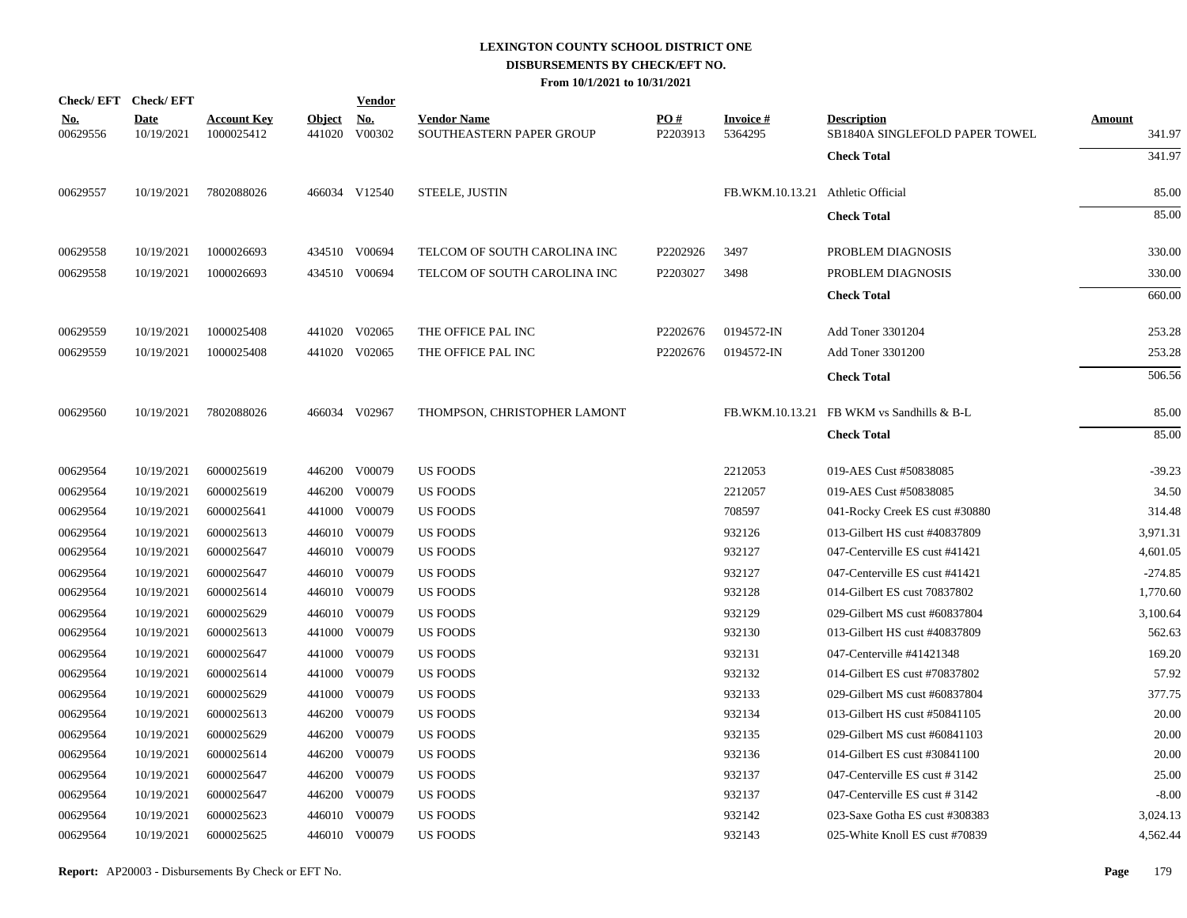| Check/EFT Check/EFT    |                           |                                  |                         | <b>Vendor</b>        |                                                |                 |                                   |                                                      |                         |
|------------------------|---------------------------|----------------------------------|-------------------------|----------------------|------------------------------------------------|-----------------|-----------------------------------|------------------------------------------------------|-------------------------|
| <u>No.</u><br>00629556 | <b>Date</b><br>10/19/2021 | <b>Account Key</b><br>1000025412 | <b>Object</b><br>441020 | <u>No.</u><br>V00302 | <b>Vendor Name</b><br>SOUTHEASTERN PAPER GROUP | PO#<br>P2203913 | <b>Invoice#</b><br>5364295        | <b>Description</b><br>SB1840A SINGLEFOLD PAPER TOWEL | <b>Amount</b><br>341.97 |
|                        |                           |                                  |                         |                      |                                                |                 |                                   | <b>Check Total</b>                                   | 341.97                  |
| 00629557               | 10/19/2021                | 7802088026                       |                         | 466034 V12540        | STEELE, JUSTIN                                 |                 | FB.WKM.10.13.21 Athletic Official |                                                      | 85.00                   |
|                        |                           |                                  |                         |                      |                                                |                 |                                   | <b>Check Total</b>                                   | 85.00                   |
| 00629558               | 10/19/2021                | 1000026693                       |                         | 434510 V00694        | TELCOM OF SOUTH CAROLINA INC                   | P2202926        | 3497                              | PROBLEM DIAGNOSIS                                    | 330.00                  |
| 00629558               | 10/19/2021                | 1000026693                       |                         | 434510 V00694        | TELCOM OF SOUTH CAROLINA INC                   | P2203027        | 3498                              | PROBLEM DIAGNOSIS                                    | 330.00                  |
|                        |                           |                                  |                         |                      |                                                |                 |                                   | <b>Check Total</b>                                   | 660.00                  |
| 00629559               | 10/19/2021                | 1000025408                       |                         | 441020 V02065        | THE OFFICE PAL INC                             | P2202676        | 0194572-IN                        | Add Toner 3301204                                    | 253.28                  |
| 00629559               | 10/19/2021                | 1000025408                       |                         | 441020 V02065        | THE OFFICE PAL INC                             | P2202676        | 0194572-IN                        | <b>Add Toner 3301200</b>                             | 253.28                  |
|                        |                           |                                  |                         |                      |                                                |                 |                                   | <b>Check Total</b>                                   | 506.56                  |
| 00629560               | 10/19/2021                | 7802088026                       |                         | 466034 V02967        | THOMPSON, CHRISTOPHER LAMONT                   |                 |                                   | FB.WKM.10.13.21 FB WKM vs Sandhills & B-L            | 85.00                   |
|                        |                           |                                  |                         |                      |                                                |                 |                                   | <b>Check Total</b>                                   | 85.00                   |
| 00629564               | 10/19/2021                | 6000025619                       |                         | 446200 V00079        | <b>US FOODS</b>                                |                 | 2212053                           | 019-AES Cust #50838085                               | $-39.23$                |
| 00629564               | 10/19/2021                | 6000025619                       |                         | 446200 V00079        | <b>US FOODS</b>                                |                 | 2212057                           | 019-AES Cust #50838085                               | 34.50                   |
| 00629564               | 10/19/2021                | 6000025641                       |                         | 441000 V00079        | <b>US FOODS</b>                                |                 | 708597                            | 041-Rocky Creek ES cust #30880                       | 314.48                  |
| 00629564               | 10/19/2021                | 6000025613                       |                         | 446010 V00079        | <b>US FOODS</b>                                |                 | 932126                            | 013-Gilbert HS cust #40837809                        | 3,971.31                |
| 00629564               | 10/19/2021                | 6000025647                       |                         | 446010 V00079        | <b>US FOODS</b>                                |                 | 932127                            | 047-Centerville ES cust #41421                       | 4,601.05                |
| 00629564               | 10/19/2021                | 6000025647                       |                         | 446010 V00079        | <b>US FOODS</b>                                |                 | 932127                            | 047-Centerville ES cust #41421                       | $-274.85$               |
| 00629564               | 10/19/2021                | 6000025614                       |                         | 446010 V00079        | US FOODS                                       |                 | 932128                            | 014-Gilbert ES cust 70837802                         | 1,770.60                |
| 00629564               | 10/19/2021                | 6000025629                       |                         | 446010 V00079        | <b>US FOODS</b>                                |                 | 932129                            | 029-Gilbert MS cust #60837804                        | 3,100.64                |
| 00629564               | 10/19/2021                | 6000025613                       |                         | 441000 V00079        | US FOODS                                       |                 | 932130                            | 013-Gilbert HS cust #40837809                        | 562.63                  |
| 00629564               | 10/19/2021                | 6000025647                       |                         | 441000 V00079        | US FOODS                                       |                 | 932131                            | 047-Centerville #41421348                            | 169.20                  |
| 00629564               | 10/19/2021                | 6000025614                       |                         | 441000 V00079        | <b>US FOODS</b>                                |                 | 932132                            | 014-Gilbert ES cust #70837802                        | 57.92                   |
| 00629564               | 10/19/2021                | 6000025629                       |                         | 441000 V00079        | US FOODS                                       |                 | 932133                            | 029-Gilbert MS cust #60837804                        | 377.75                  |
| 00629564               | 10/19/2021                | 6000025613                       |                         | 446200 V00079        | <b>US FOODS</b>                                |                 | 932134                            | 013-Gilbert HS cust #50841105                        | 20.00                   |
| 00629564               | 10/19/2021                | 6000025629                       |                         | 446200 V00079        | US FOODS                                       |                 | 932135                            | 029-Gilbert MS cust #60841103                        | 20.00                   |
| 00629564               | 10/19/2021                | 6000025614                       |                         | 446200 V00079        | <b>US FOODS</b>                                |                 | 932136                            | 014-Gilbert ES cust #30841100                        | 20.00                   |
| 00629564               | 10/19/2021                | 6000025647                       |                         | 446200 V00079        | <b>US FOODS</b>                                |                 | 932137                            | 047-Centerville ES cust #3142                        | 25.00                   |
| 00629564               | 10/19/2021                | 6000025647                       |                         | 446200 V00079        | <b>US FOODS</b>                                |                 | 932137                            | 047-Centerville ES cust #3142                        | $-8.00$                 |
| 00629564               | 10/19/2021                | 6000025623                       |                         | 446010 V00079        | <b>US FOODS</b>                                |                 | 932142                            | 023-Saxe Gotha ES cust #308383                       | 3,024.13                |
| 00629564               | 10/19/2021                | 6000025625                       |                         | 446010 V00079        | <b>US FOODS</b>                                |                 | 932143                            | 025-White Knoll ES cust #70839                       | 4,562.44                |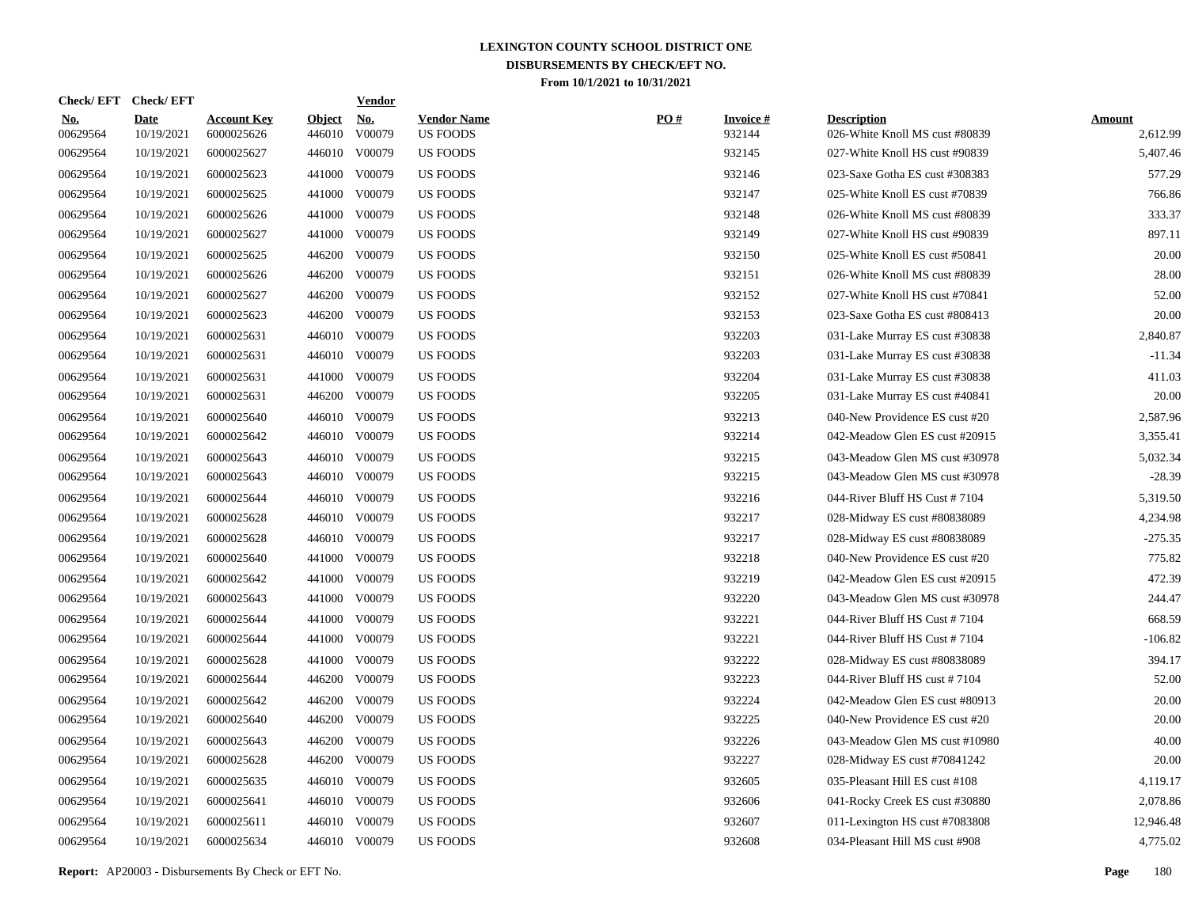| <b>Check/EFT</b>       | <b>Check/EFT</b>          |                                  |                         | <u>Vendor</u>        |                                       |     |                           |                                                      |                           |
|------------------------|---------------------------|----------------------------------|-------------------------|----------------------|---------------------------------------|-----|---------------------------|------------------------------------------------------|---------------------------|
| <u>No.</u><br>00629564 | <b>Date</b><br>10/19/2021 | <b>Account Key</b><br>6000025626 | <b>Object</b><br>446010 | <u>No.</u><br>V00079 | <b>Vendor Name</b><br><b>US FOODS</b> | PO# | <b>Invoice#</b><br>932144 | <b>Description</b><br>026-White Knoll MS cust #80839 | <b>Amount</b><br>2,612.99 |
| 00629564               | 10/19/2021                | 6000025627                       | 446010                  | V00079               | <b>US FOODS</b>                       |     | 932145                    | 027-White Knoll HS cust #90839                       | 5,407.46                  |
| 00629564               | 10/19/2021                | 6000025623                       | 441000                  | V00079               | US FOODS                              |     | 932146                    | 023-Saxe Gotha ES cust #308383                       | 577.29                    |
| 00629564               | 10/19/2021                | 6000025625                       | 441000                  | V00079               | <b>US FOODS</b>                       |     | 932147                    | 025-White Knoll ES cust #70839                       | 766.86                    |
| 00629564               | 10/19/2021                | 6000025626                       | 441000                  | V00079               | <b>US FOODS</b>                       |     | 932148                    | 026-White Knoll MS cust #80839                       | 333.37                    |
| 00629564               | 10/19/2021                | 6000025627                       | 441000                  | V00079               | <b>US FOODS</b>                       |     | 932149                    | 027-White Knoll HS cust #90839                       | 897.11                    |
| 00629564               | 10/19/2021                | 6000025625                       | 446200                  | V00079               | <b>US FOODS</b>                       |     | 932150                    | 025-White Knoll ES cust #50841                       | 20.00                     |
| 00629564               | 10/19/2021                | 6000025626                       | 446200                  | V00079               | <b>US FOODS</b>                       |     | 932151                    | 026-White Knoll MS cust #80839                       | 28.00                     |
| 00629564               | 10/19/2021                | 6000025627                       | 446200                  | V00079               | <b>US FOODS</b>                       |     | 932152                    | 027-White Knoll HS cust #70841                       | 52.00                     |
| 00629564               | 10/19/2021                | 6000025623                       | 446200                  | V00079               | US FOODS                              |     | 932153                    | 023-Saxe Gotha ES cust #808413                       | 20.00                     |
| 00629564               | 10/19/2021                | 6000025631                       | 446010                  | V00079               | <b>US FOODS</b>                       |     | 932203                    | 031-Lake Murray ES cust #30838                       | 2,840.87                  |
| 00629564               | 10/19/2021                | 6000025631                       | 446010                  | V00079               | <b>US FOODS</b>                       |     | 932203                    | 031-Lake Murray ES cust #30838                       | $-11.34$                  |
| 00629564               | 10/19/2021                | 6000025631                       | 441000                  | V00079               | <b>US FOODS</b>                       |     | 932204                    | 031-Lake Murray ES cust #30838                       | 411.03                    |
| 00629564               | 10/19/2021                | 6000025631                       | 446200                  | V00079               | <b>US FOODS</b>                       |     | 932205                    | 031-Lake Murray ES cust #40841                       | 20.00                     |
| 00629564               | 10/19/2021                | 6000025640                       | 446010                  | V00079               | <b>US FOODS</b>                       |     | 932213                    | 040-New Providence ES cust #20                       | 2,587.96                  |
| 00629564               | 10/19/2021                | 6000025642                       | 446010                  | V00079               | US FOODS                              |     | 932214                    | 042-Meadow Glen ES cust #20915                       | 3,355.41                  |
| 00629564               | 10/19/2021                | 6000025643                       | 446010                  | V00079               | US FOODS                              |     | 932215                    | 043-Meadow Glen MS cust #30978                       | 5,032.34                  |
| 00629564               | 10/19/2021                | 6000025643                       | 446010                  | V00079               | <b>US FOODS</b>                       |     | 932215                    | 043-Meadow Glen MS cust #30978                       | $-28.39$                  |
| 00629564               | 10/19/2021                | 6000025644                       | 446010                  | V00079               | <b>US FOODS</b>                       |     | 932216                    | 044-River Bluff HS Cust #7104                        | 5,319.50                  |
| 00629564               | 10/19/2021                | 6000025628                       | 446010                  | V00079               | <b>US FOODS</b>                       |     | 932217                    | 028-Midway ES cust #80838089                         | 4,234.98                  |
| 00629564               | 10/19/2021                | 6000025628                       | 446010                  | V00079               | <b>US FOODS</b>                       |     | 932217                    | 028-Midway ES cust #80838089                         | $-275.35$                 |
| 00629564               | 10/19/2021                | 6000025640                       | 441000                  | V00079               | <b>US FOODS</b>                       |     | 932218                    | 040-New Providence ES cust #20                       | 775.82                    |
| 00629564               | 10/19/2021                | 6000025642                       | 441000                  | V00079               | <b>US FOODS</b>                       |     | 932219                    | 042-Meadow Glen ES cust #20915                       | 472.39                    |
| 00629564               | 10/19/2021                | 6000025643                       | 441000                  | V00079               | <b>US FOODS</b>                       |     | 932220                    | 043-Meadow Glen MS cust #30978                       | 244.47                    |
| 00629564               | 10/19/2021                | 6000025644                       | 441000                  | V00079               | <b>US FOODS</b>                       |     | 932221                    | 044-River Bluff HS Cust #7104                        | 668.59                    |
| 00629564               | 10/19/2021                | 6000025644                       | 441000                  | V00079               | <b>US FOODS</b>                       |     | 932221                    | 044-River Bluff HS Cust #7104                        | $-106.82$                 |
| 00629564               | 10/19/2021                | 6000025628                       | 441000                  | V00079               | <b>US FOODS</b>                       |     | 932222                    | 028-Midway ES cust #80838089                         | 394.17                    |
| 00629564               | 10/19/2021                | 6000025644                       | 446200                  | V00079               | <b>US FOODS</b>                       |     | 932223                    | 044-River Bluff HS cust #7104                        | 52.00                     |
| 00629564               | 10/19/2021                | 6000025642                       | 446200                  | V00079               | US FOODS                              |     | 932224                    | 042-Meadow Glen ES cust #80913                       | 20.00                     |
| 00629564               | 10/19/2021                | 6000025640                       | 446200                  | V00079               | US FOODS                              |     | 932225                    | 040-New Providence ES cust #20                       | 20.00                     |
| 00629564               | 10/19/2021                | 6000025643                       | 446200                  | V00079               | <b>US FOODS</b>                       |     | 932226                    | 043-Meadow Glen MS cust #10980                       | 40.00                     |
| 00629564               | 10/19/2021                | 6000025628                       | 446200                  | V00079               | <b>US FOODS</b>                       |     | 932227                    | 028-Midway ES cust #70841242                         | 20.00                     |
| 00629564               | 10/19/2021                | 6000025635                       | 446010                  | V00079               | <b>US FOODS</b>                       |     | 932605                    | 035-Pleasant Hill ES cust #108                       | 4,119.17                  |
| 00629564               | 10/19/2021                | 6000025641                       | 446010                  | V00079               | <b>US FOODS</b>                       |     | 932606                    | 041-Rocky Creek ES cust #30880                       | 2,078.86                  |
| 00629564               | 10/19/2021                | 6000025611                       | 446010                  | V00079               | <b>US FOODS</b>                       |     | 932607                    | 011-Lexington HS cust #7083808                       | 12,946.48                 |
| 00629564               | 10/19/2021                | 6000025634                       |                         | 446010 V00079        | <b>US FOODS</b>                       |     | 932608                    | 034-Pleasant Hill MS cust #908                       | 4,775.02                  |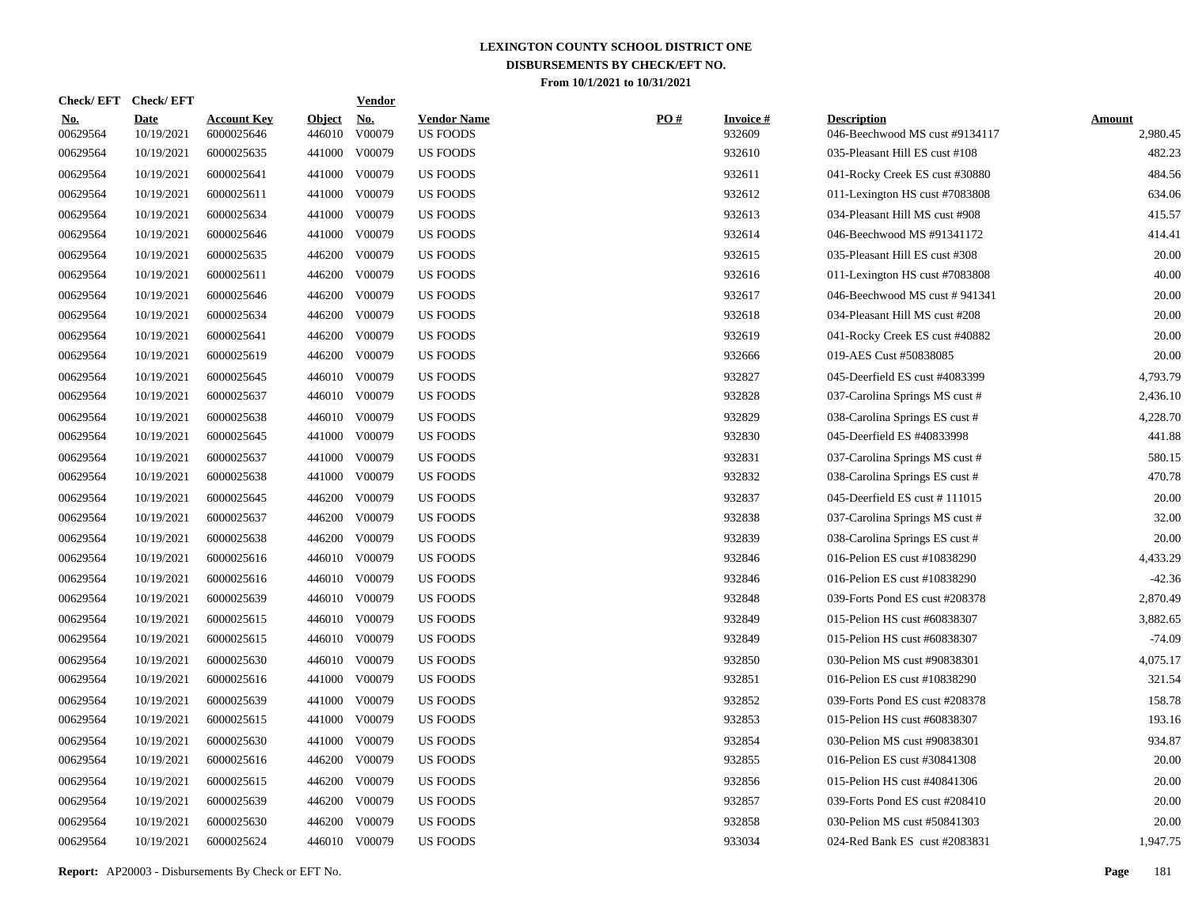| <b>Check/EFT</b>       | <b>Check/EFT</b>          |                                  |                         | <b>Vendor</b>        |                                       |     |                           |                                                      |                           |
|------------------------|---------------------------|----------------------------------|-------------------------|----------------------|---------------------------------------|-----|---------------------------|------------------------------------------------------|---------------------------|
| <u>No.</u><br>00629564 | <b>Date</b><br>10/19/2021 | <b>Account Key</b><br>6000025646 | <b>Object</b><br>446010 | <u>No.</u><br>V00079 | <b>Vendor Name</b><br><b>US FOODS</b> | PO# | <b>Invoice#</b><br>932609 | <b>Description</b><br>046-Beechwood MS cust #9134117 | <b>Amount</b><br>2,980.45 |
| 00629564               | 10/19/2021                | 6000025635                       | 441000                  | V00079               | <b>US FOODS</b>                       |     | 932610                    | 035-Pleasant Hill ES cust #108                       | 482.23                    |
| 00629564               | 10/19/2021                | 6000025641                       | 441000                  | V00079               | US FOODS                              |     | 932611                    | 041-Rocky Creek ES cust #30880                       | 484.56                    |
| 00629564               | 10/19/2021                | 6000025611                       | 441000                  | V00079               | <b>US FOODS</b>                       |     | 932612                    | 011-Lexington HS cust #7083808                       | 634.06                    |
| 00629564               | 10/19/2021                | 6000025634                       | 441000                  | V00079               | <b>US FOODS</b>                       |     | 932613                    | 034-Pleasant Hill MS cust #908                       | 415.57                    |
| 00629564               | 10/19/2021                | 6000025646                       | 441000                  | V00079               | <b>US FOODS</b>                       |     | 932614                    | 046-Beechwood MS #91341172                           | 414.41                    |
| 00629564               | 10/19/2021                | 6000025635                       | 446200                  | V00079               | <b>US FOODS</b>                       |     | 932615                    | 035-Pleasant Hill ES cust #308                       | 20.00                     |
| 00629564               | 10/19/2021                | 6000025611                       | 446200                  | V00079               | US FOODS                              |     | 932616                    | 011-Lexington HS cust #7083808                       | 40.00                     |
| 00629564               | 10/19/2021                | 6000025646                       | 446200                  | V00079               | <b>US FOODS</b>                       |     | 932617                    | 046-Beechwood MS cust #941341                        | 20.00                     |
| 00629564               | 10/19/2021                | 6000025634                       | 446200                  | V00079               | US FOODS                              |     | 932618                    | 034-Pleasant Hill MS cust #208                       | 20.00                     |
| 00629564               | 10/19/2021                | 6000025641                       | 446200                  | V00079               | US FOODS                              |     | 932619                    | 041-Rocky Creek ES cust #40882                       | 20.00                     |
| 00629564               | 10/19/2021                | 6000025619                       | 446200                  | V00079               | <b>US FOODS</b>                       |     | 932666                    | 019-AES Cust #50838085                               | 20.00                     |
| 00629564               | 10/19/2021                | 6000025645                       |                         | 446010 V00079        | <b>US FOODS</b>                       |     | 932827                    | 045-Deerfield ES cust #4083399                       | 4,793.79                  |
| 00629564               | 10/19/2021                | 6000025637                       | 446010                  | V00079               | <b>US FOODS</b>                       |     | 932828                    | 037-Carolina Springs MS cust #                       | 2,436.10                  |
| 00629564               | 10/19/2021                | 6000025638                       |                         | 446010 V00079        | <b>US FOODS</b>                       |     | 932829                    | 038-Carolina Springs ES cust #                       | 4,228.70                  |
| 00629564               | 10/19/2021                | 6000025645                       | 441000                  | V00079               | <b>US FOODS</b>                       |     | 932830                    | 045-Deerfield ES #40833998                           | 441.88                    |
| 00629564               | 10/19/2021                | 6000025637                       | 441000                  | V00079               | US FOODS                              |     | 932831                    | 037-Carolina Springs MS cust #                       | 580.15                    |
| 00629564               | 10/19/2021                | 6000025638                       | 441000                  | V00079               | <b>US FOODS</b>                       |     | 932832                    | 038-Carolina Springs ES cust #                       | 470.78                    |
| 00629564               | 10/19/2021                | 6000025645                       | 446200                  | V00079               | <b>US FOODS</b>                       |     | 932837                    | 045-Deerfield ES cust #111015                        | 20.00                     |
| 00629564               | 10/19/2021                | 6000025637                       | 446200                  | V00079               | <b>US FOODS</b>                       |     | 932838                    | 037-Carolina Springs MS cust #                       | 32.00                     |
| 00629564               | 10/19/2021                | 6000025638                       | 446200                  | V00079               | <b>US FOODS</b>                       |     | 932839                    | 038-Carolina Springs ES cust #                       | 20.00                     |
| 00629564               | 10/19/2021                | 6000025616                       |                         | 446010 V00079        | US FOODS                              |     | 932846                    | 016-Pelion ES cust #10838290                         | 4,433.29                  |
| 00629564               | 10/19/2021                | 6000025616                       |                         | 446010 V00079        | <b>US FOODS</b>                       |     | 932846                    | 016-Pelion ES cust #10838290                         | $-42.36$                  |
| 00629564               | 10/19/2021                | 6000025639                       |                         | 446010 V00079        | US FOODS                              |     | 932848                    | 039-Forts Pond ES cust #208378                       | 2,870.49                  |
| 00629564               | 10/19/2021                | 6000025615                       |                         | 446010 V00079        | US FOODS                              |     | 932849                    | 015-Pelion HS cust #60838307                         | 3,882.65                  |
| 00629564               | 10/19/2021                | 6000025615                       |                         | 446010 V00079        | <b>US FOODS</b>                       |     | 932849                    | 015-Pelion HS cust #60838307                         | $-74.09$                  |
| 00629564               | 10/19/2021                | 6000025630                       |                         | 446010 V00079        | <b>US FOODS</b>                       |     | 932850                    | 030-Pelion MS cust #90838301                         | 4,075.17                  |
| 00629564               | 10/19/2021                | 6000025616                       | 441000                  | V00079               | <b>US FOODS</b>                       |     | 932851                    | 016-Pelion ES cust #10838290                         | 321.54                    |
| 00629564               | 10/19/2021                | 6000025639                       | 441000                  | V00079               | US FOODS                              |     | 932852                    | 039-Forts Pond ES cust #208378                       | 158.78                    |
| 00629564               | 10/19/2021                | 6000025615                       | 441000                  | V00079               | US FOODS                              |     | 932853                    | 015-Pelion HS cust #60838307                         | 193.16                    |
| 00629564               | 10/19/2021                | 6000025630                       | 441000                  | V00079               | US FOODS                              |     | 932854                    | 030-Pelion MS cust #90838301                         | 934.87                    |
| 00629564               | 10/19/2021                | 6000025616                       | 446200                  | V00079               | <b>US FOODS</b>                       |     | 932855                    | 016-Pelion ES cust #30841308                         | 20.00                     |
| 00629564               | 10/19/2021                | 6000025615                       | 446200                  | V00079               | <b>US FOODS</b>                       |     | 932856                    | 015-Pelion HS cust #40841306                         | 20.00                     |
| 00629564               | 10/19/2021                | 6000025639                       | 446200                  | V00079               | <b>US FOODS</b>                       |     | 932857                    | 039-Forts Pond ES cust #208410                       | 20.00                     |
| 00629564               | 10/19/2021                | 6000025630                       | 446200                  | V00079               | <b>US FOODS</b>                       |     | 932858                    | 030-Pelion MS cust #50841303                         | 20.00                     |
| 00629564               | 10/19/2021                | 6000025624                       |                         | 446010 V00079        | <b>US FOODS</b>                       |     | 933034                    | 024-Red Bank ES cust #2083831                        | 1,947.75                  |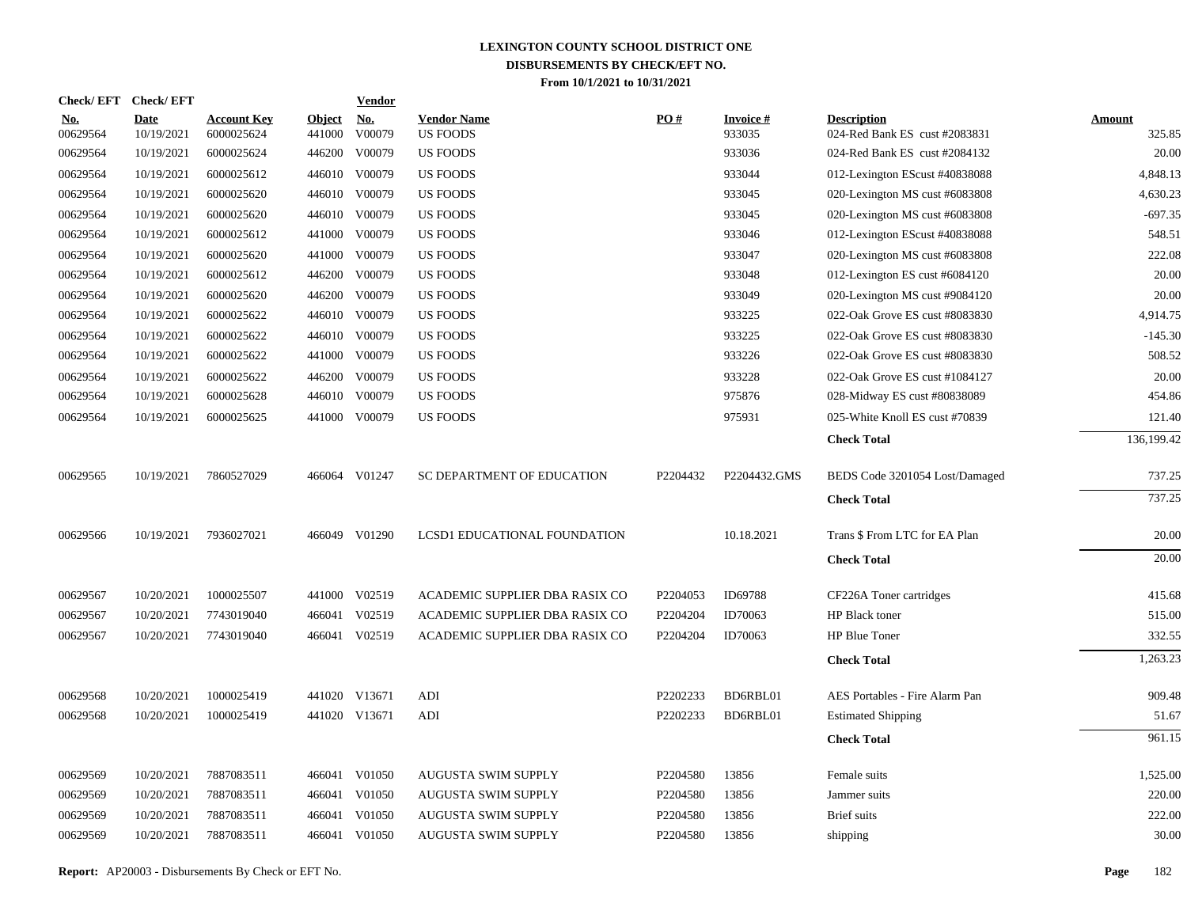|                        | Check/EFT Check/EFT       |                                  |                         | <b>Vendor</b>        |                                       |          |                           |                                                     |                         |
|------------------------|---------------------------|----------------------------------|-------------------------|----------------------|---------------------------------------|----------|---------------------------|-----------------------------------------------------|-------------------------|
| <u>No.</u><br>00629564 | <b>Date</b><br>10/19/2021 | <b>Account Key</b><br>6000025624 | <b>Object</b><br>441000 | <u>No.</u><br>V00079 | <b>Vendor Name</b><br><b>US FOODS</b> | PO#      | <b>Invoice#</b><br>933035 | <b>Description</b><br>024-Red Bank ES cust #2083831 | <b>Amount</b><br>325.85 |
| 00629564               | 10/19/2021                | 6000025624                       | 446200                  | V00079               | <b>US FOODS</b>                       |          | 933036                    | 024-Red Bank ES cust #2084132                       | 20.00                   |
| 00629564               | 10/19/2021                | 6000025612                       |                         | 446010 V00079        | US FOODS                              |          | 933044                    | 012-Lexington EScust #40838088                      | 4,848.13                |
| 00629564               | 10/19/2021                | 6000025620                       |                         | 446010 V00079        | <b>US FOODS</b>                       |          | 933045                    | 020-Lexington MS cust #6083808                      | 4,630.23                |
| 00629564               | 10/19/2021                | 6000025620                       |                         | 446010 V00079        | <b>US FOODS</b>                       |          | 933045                    | 020-Lexington MS cust #6083808                      | $-697.35$               |
| 00629564               | 10/19/2021                | 6000025612                       |                         | 441000 V00079        | <b>US FOODS</b>                       |          | 933046                    | 012-Lexington EScust #40838088                      | 548.51                  |
| 00629564               | 10/19/2021                | 6000025620                       |                         | 441000 V00079        | <b>US FOODS</b>                       |          | 933047                    | 020-Lexington MS cust #6083808                      | 222.08                  |
| 00629564               | 10/19/2021                | 6000025612                       |                         | 446200 V00079        | US FOODS                              |          | 933048                    | 012-Lexington ES cust #6084120                      | 20.00                   |
| 00629564               | 10/19/2021                | 6000025620                       |                         | 446200 V00079        | US FOODS                              |          | 933049                    | 020-Lexington MS cust #9084120                      | 20.00                   |
| 00629564               | 10/19/2021                | 6000025622                       |                         | 446010 V00079        | <b>US FOODS</b>                       |          | 933225                    | 022-Oak Grove ES cust #8083830                      | 4,914.75                |
| 00629564               | 10/19/2021                | 6000025622                       |                         | 446010 V00079        | <b>US FOODS</b>                       |          | 933225                    | 022-Oak Grove ES cust #8083830                      | $-145.30$               |
| 00629564               | 10/19/2021                | 6000025622                       |                         | 441000 V00079        | <b>US FOODS</b>                       |          | 933226                    | 022-Oak Grove ES cust #8083830                      | 508.52                  |
| 00629564               | 10/19/2021                | 6000025622                       | 446200                  | V00079               | US FOODS                              |          | 933228                    | 022-Oak Grove ES cust #1084127                      | 20.00                   |
| 00629564               | 10/19/2021                | 6000025628                       |                         | 446010 V00079        | US FOODS                              |          | 975876                    | 028-Midway ES cust #80838089                        | 454.86                  |
| 00629564               | 10/19/2021                | 6000025625                       |                         | 441000 V00079        | <b>US FOODS</b>                       |          | 975931                    | 025-White Knoll ES cust #70839                      | 121.40                  |
|                        |                           |                                  |                         |                      |                                       |          |                           | <b>Check Total</b>                                  | 136,199.42              |
| 00629565               | 10/19/2021                | 7860527029                       |                         | 466064 V01247        | SC DEPARTMENT OF EDUCATION            | P2204432 | P2204432.GMS              | BEDS Code 3201054 Lost/Damaged                      | 737.25                  |
|                        |                           |                                  |                         |                      |                                       |          |                           | <b>Check Total</b>                                  | 737.25                  |
| 00629566               | 10/19/2021                | 7936027021                       |                         | 466049 V01290        | LCSD1 EDUCATIONAL FOUNDATION          |          | 10.18.2021                | Trans \$ From LTC for EA Plan                       | 20.00                   |
|                        |                           |                                  |                         |                      |                                       |          |                           | <b>Check Total</b>                                  | 20.00                   |
| 00629567               | 10/20/2021                | 1000025507                       |                         | 441000 V02519        | ACADEMIC SUPPLIER DBA RASIX CO        | P2204053 | ID69788                   | CF226A Toner cartridges                             | 415.68                  |
| 00629567               | 10/20/2021                | 7743019040                       |                         | 466041 V02519        | ACADEMIC SUPPLIER DBA RASIX CO        | P2204204 | ID70063                   | HP Black toner                                      | 515.00                  |
| 00629567               | 10/20/2021                | 7743019040                       |                         | 466041 V02519        | ACADEMIC SUPPLIER DBA RASIX CO        | P2204204 | ID70063                   | HP Blue Toner                                       | 332.55                  |
|                        |                           |                                  |                         |                      |                                       |          |                           | <b>Check Total</b>                                  | 1,263.23                |
| 00629568               | 10/20/2021                | 1000025419                       |                         | 441020 V13671        | ADI                                   | P2202233 | BD6RBL01                  | AES Portables - Fire Alarm Pan                      | 909.48                  |
| 00629568               | 10/20/2021                | 1000025419                       |                         | 441020 V13671        | ADI                                   | P2202233 | BD6RBL01                  | <b>Estimated Shipping</b>                           | 51.67                   |
|                        |                           |                                  |                         |                      |                                       |          |                           | <b>Check Total</b>                                  | 961.15                  |
| 00629569               | 10/20/2021                | 7887083511                       |                         | 466041 V01050        | AUGUSTA SWIM SUPPLY                   | P2204580 | 13856                     | Female suits                                        | 1,525.00                |
| 00629569               | 10/20/2021                | 7887083511                       |                         | 466041 V01050        | AUGUSTA SWIM SUPPLY                   | P2204580 | 13856                     | Jammer suits                                        | 220.00                  |
| 00629569               | 10/20/2021                | 7887083511                       | 466041                  | V01050               | AUGUSTA SWIM SUPPLY                   | P2204580 | 13856                     | <b>Brief</b> suits                                  | 222.00                  |
| 00629569               | 10/20/2021                | 7887083511                       |                         | 466041 V01050        | AUGUSTA SWIM SUPPLY                   | P2204580 | 13856                     | shipping                                            | 30.00                   |
|                        |                           |                                  |                         |                      |                                       |          |                           |                                                     |                         |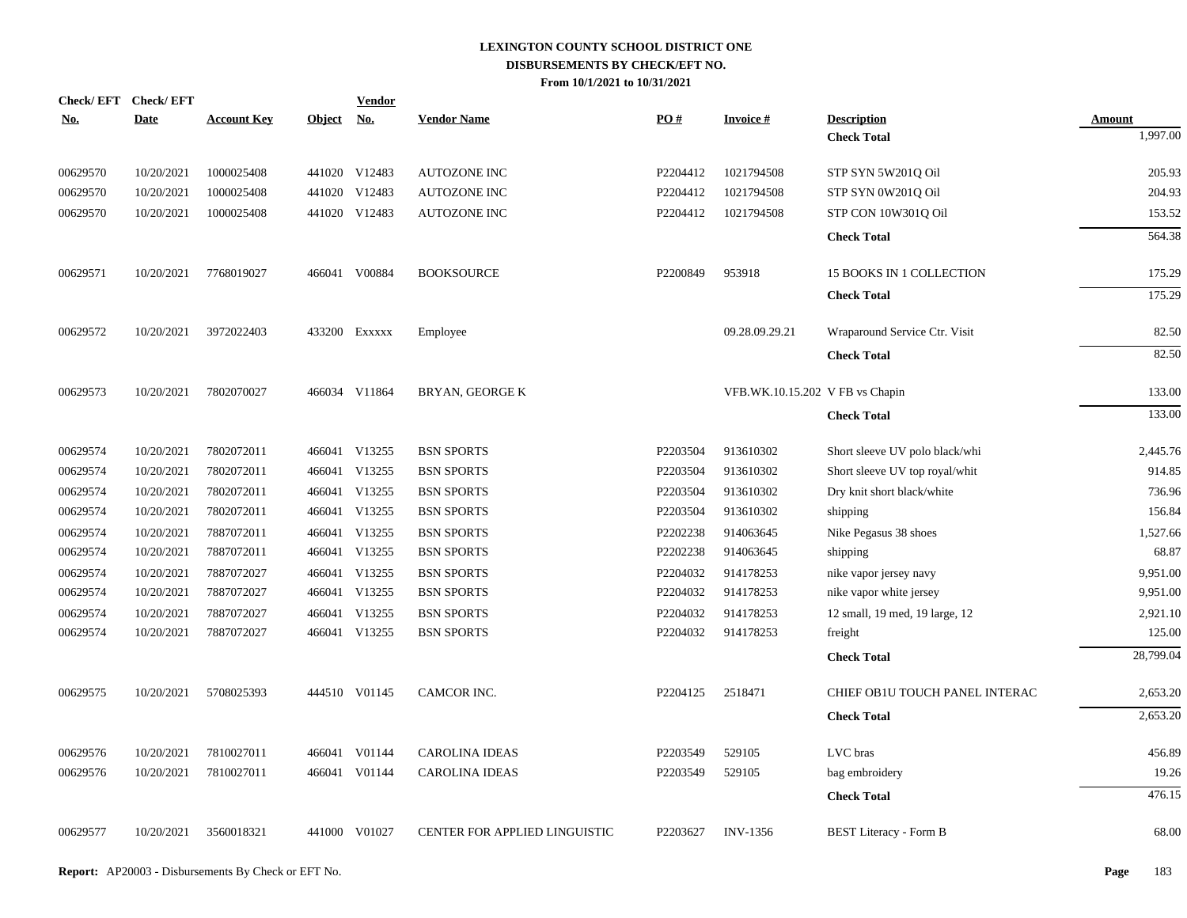| Check/EFT Check/EFT |             |                    |            | <b>Vendor</b> |                               |          |                                 |                                |                           |
|---------------------|-------------|--------------------|------------|---------------|-------------------------------|----------|---------------------------------|--------------------------------|---------------------------|
| <u>No.</u>          | <b>Date</b> | <b>Account Key</b> | Object No. |               | <b>Vendor Name</b>            | PO#      | <b>Invoice#</b>                 | <b>Description</b>             | <b>Amount</b><br>1,997.00 |
|                     |             |                    |            |               |                               |          |                                 | <b>Check Total</b>             |                           |
| 00629570            | 10/20/2021  | 1000025408         |            | 441020 V12483 | AUTOZONE INC                  | P2204412 | 1021794508                      | STP SYN 5W201Q Oil             | 205.93                    |
| 00629570            | 10/20/2021  | 1000025408         |            | 441020 V12483 | <b>AUTOZONE INC</b>           | P2204412 | 1021794508                      | STP SYN 0W201Q Oil             | 204.93                    |
| 00629570            | 10/20/2021  | 1000025408         |            | 441020 V12483 | <b>AUTOZONE INC</b>           | P2204412 | 1021794508                      | STP CON 10W301Q Oil            | 153.52                    |
|                     |             |                    |            |               |                               |          |                                 | <b>Check Total</b>             | 564.38                    |
| 00629571            | 10/20/2021  | 7768019027         |            | 466041 V00884 | <b>BOOKSOURCE</b>             | P2200849 | 953918                          | 15 BOOKS IN 1 COLLECTION       | 175.29                    |
|                     |             |                    |            |               |                               |          |                                 | <b>Check Total</b>             | 175.29                    |
| 00629572            | 10/20/2021  | 3972022403         |            | 433200 EXXXXX | Employee                      |          | 09.28.09.29.21                  | Wraparound Service Ctr. Visit  | 82.50                     |
|                     |             |                    |            |               |                               |          |                                 | <b>Check Total</b>             | 82.50                     |
| 00629573            | 10/20/2021  | 7802070027         |            | 466034 V11864 | BRYAN, GEORGE K               |          | VFB.WK.10.15.202 V FB vs Chapin |                                | 133.00                    |
|                     |             |                    |            |               |                               |          |                                 | <b>Check Total</b>             | 133.00                    |
| 00629574            | 10/20/2021  | 7802072011         |            | 466041 V13255 | <b>BSN SPORTS</b>             | P2203504 | 913610302                       | Short sleeve UV polo black/whi | 2,445.76                  |
| 00629574            | 10/20/2021  | 7802072011         |            | 466041 V13255 | <b>BSN SPORTS</b>             | P2203504 | 913610302                       | Short sleeve UV top royal/whit | 914.85                    |
| 00629574            | 10/20/2021  | 7802072011         |            | 466041 V13255 | <b>BSN SPORTS</b>             | P2203504 | 913610302                       | Dry knit short black/white     | 736.96                    |
| 00629574            | 10/20/2021  | 7802072011         |            | 466041 V13255 | <b>BSN SPORTS</b>             | P2203504 | 913610302                       | shipping                       | 156.84                    |
| 00629574            | 10/20/2021  | 7887072011         |            | 466041 V13255 | <b>BSN SPORTS</b>             | P2202238 | 914063645                       | Nike Pegasus 38 shoes          | 1,527.66                  |
| 00629574            | 10/20/2021  | 7887072011         |            | 466041 V13255 | <b>BSN SPORTS</b>             | P2202238 | 914063645                       | shipping                       | 68.87                     |
| 00629574            | 10/20/2021  | 7887072027         |            | 466041 V13255 | <b>BSN SPORTS</b>             | P2204032 | 914178253                       | nike vapor jersey navy         | 9,951.00                  |
| 00629574            | 10/20/2021  | 7887072027         |            | 466041 V13255 | <b>BSN SPORTS</b>             | P2204032 | 914178253                       | nike vapor white jersey        | 9,951.00                  |
| 00629574            | 10/20/2021  | 7887072027         |            | 466041 V13255 | <b>BSN SPORTS</b>             | P2204032 | 914178253                       | 12 small, 19 med, 19 large, 12 | 2,921.10                  |
| 00629574            | 10/20/2021  | 7887072027         |            | 466041 V13255 | <b>BSN SPORTS</b>             | P2204032 | 914178253                       | freight                        | 125.00                    |
|                     |             |                    |            |               |                               |          |                                 | <b>Check Total</b>             | 28,799.04                 |
| 00629575            | 10/20/2021  | 5708025393         |            | 444510 V01145 | CAMCOR INC.                   | P2204125 | 2518471                         | CHIEF OB1U TOUCH PANEL INTERAC | 2,653.20                  |
|                     |             |                    |            |               |                               |          |                                 | <b>Check Total</b>             | 2,653.20                  |
| 00629576            | 10/20/2021  | 7810027011         |            | 466041 V01144 | <b>CAROLINA IDEAS</b>         | P2203549 | 529105                          | LVC bras                       | 456.89                    |
| 00629576            | 10/20/2021  | 7810027011         |            | 466041 V01144 | <b>CAROLINA IDEAS</b>         | P2203549 | 529105                          | bag embroidery                 | 19.26                     |
|                     |             |                    |            |               |                               |          |                                 | <b>Check Total</b>             | 476.15                    |
| 00629577            | 10/20/2021  | 3560018321         |            | 441000 V01027 | CENTER FOR APPLIED LINGUISTIC | P2203627 | <b>INV-1356</b>                 | <b>BEST Literacy - Form B</b>  | 68.00                     |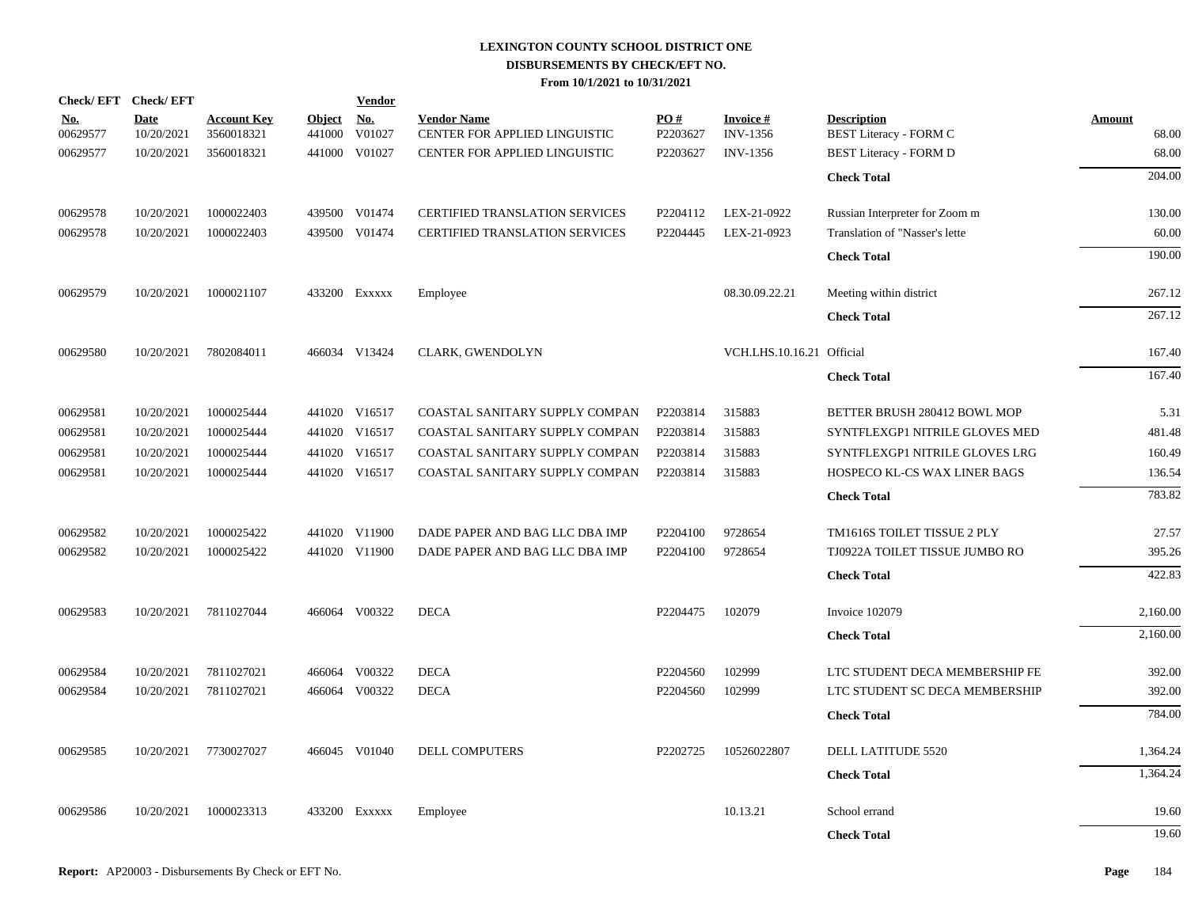|                        | Check/EFT Check/EFT       |                                  |                         | <b>Vendor</b>        |                                                     |                 |                                       |                                                     |                        |
|------------------------|---------------------------|----------------------------------|-------------------------|----------------------|-----------------------------------------------------|-----------------|---------------------------------------|-----------------------------------------------------|------------------------|
| <u>No.</u><br>00629577 | <b>Date</b><br>10/20/2021 | <b>Account Key</b><br>3560018321 | <b>Object</b><br>441000 | <u>No.</u><br>V01027 | <b>Vendor Name</b><br>CENTER FOR APPLIED LINGUISTIC | PO#<br>P2203627 | <b>Invoice</b> $#$<br><b>INV-1356</b> | <b>Description</b><br><b>BEST Literacy - FORM C</b> | <b>Amount</b><br>68.00 |
| 00629577               | 10/20/2021                | 3560018321                       |                         | 441000 V01027        | CENTER FOR APPLIED LINGUISTIC                       | P2203627        | <b>INV-1356</b>                       | <b>BEST Literacy - FORM D</b>                       | 68.00                  |
|                        |                           |                                  |                         |                      |                                                     |                 |                                       | <b>Check Total</b>                                  | 204.00                 |
| 00629578               | 10/20/2021                | 1000022403                       |                         | 439500 V01474        | CERTIFIED TRANSLATION SERVICES                      | P2204112        | LEX-21-0922                           | Russian Interpreter for Zoom m                      | 130.00                 |
| 00629578               | 10/20/2021                | 1000022403                       |                         | 439500 V01474        | <b>CERTIFIED TRANSLATION SERVICES</b>               | P2204445        | LEX-21-0923                           | Translation of "Nasser's lette                      | 60.00                  |
|                        |                           |                                  |                         |                      |                                                     |                 |                                       | <b>Check Total</b>                                  | 190.00                 |
| 00629579               | 10/20/2021                | 1000021107                       |                         | 433200 Exxxxx        | Employee                                            |                 | 08.30.09.22.21                        | Meeting within district                             | 267.12                 |
|                        |                           |                                  |                         |                      |                                                     |                 |                                       | <b>Check Total</b>                                  | 267.12                 |
| 00629580               | 10/20/2021                | 7802084011                       |                         | 466034 V13424        | CLARK, GWENDOLYN                                    |                 | VCH.LHS.10.16.21 Official             |                                                     | 167.40                 |
|                        |                           |                                  |                         |                      |                                                     |                 |                                       | <b>Check Total</b>                                  | 167.40                 |
| 00629581               | 10/20/2021                | 1000025444                       |                         | 441020 V16517        | COASTAL SANITARY SUPPLY COMPAN                      | P2203814        | 315883                                | BETTER BRUSH 280412 BOWL MOP                        | 5.31                   |
| 00629581               | 10/20/2021                | 1000025444                       |                         | 441020 V16517        | COASTAL SANITARY SUPPLY COMPAN                      | P2203814        | 315883                                | SYNTFLEXGP1 NITRILE GLOVES MED                      | 481.48                 |
| 00629581               | 10/20/2021                | 1000025444                       |                         | 441020 V16517        | COASTAL SANITARY SUPPLY COMPAN                      | P2203814        | 315883                                | SYNTFLEXGP1 NITRILE GLOVES LRG                      | 160.49                 |
| 00629581               | 10/20/2021                | 1000025444                       |                         | 441020 V16517        | COASTAL SANITARY SUPPLY COMPAN                      | P2203814        | 315883                                | HOSPECO KL-CS WAX LINER BAGS                        | 136.54                 |
|                        |                           |                                  |                         |                      |                                                     |                 |                                       | <b>Check Total</b>                                  | 783.82                 |
| 00629582               | 10/20/2021                | 1000025422                       |                         | 441020 V11900        | DADE PAPER AND BAG LLC DBA IMP                      | P2204100        | 9728654                               | TM1616S TOILET TISSUE 2 PLY                         | 27.57                  |
| 00629582               | 10/20/2021                | 1000025422                       |                         | 441020 V11900        | DADE PAPER AND BAG LLC DBA IMP                      | P2204100        | 9728654                               | TJ0922A TOILET TISSUE JUMBO RO                      | 395.26                 |
|                        |                           |                                  |                         |                      |                                                     |                 |                                       | <b>Check Total</b>                                  | 422.83                 |
| 00629583               | 10/20/2021                | 7811027044                       |                         | 466064 V00322        | <b>DECA</b>                                         | P2204475        | 102079                                | Invoice 102079                                      | 2,160.00               |
|                        |                           |                                  |                         |                      |                                                     |                 |                                       | <b>Check Total</b>                                  | 2,160.00               |
| 00629584               | 10/20/2021                | 7811027021                       |                         | 466064 V00322        | <b>DECA</b>                                         | P2204560        | 102999                                | LTC STUDENT DECA MEMBERSHIP FE                      | 392.00                 |
| 00629584               | 10/20/2021                | 7811027021                       |                         | 466064 V00322        | <b>DECA</b>                                         | P2204560        | 102999                                | LTC STUDENT SC DECA MEMBERSHIP                      | 392.00                 |
|                        |                           |                                  |                         |                      |                                                     |                 |                                       | <b>Check Total</b>                                  | 784.00                 |
| 00629585               | 10/20/2021                | 7730027027                       |                         | 466045 V01040        | DELL COMPUTERS                                      | P2202725        | 10526022807                           | DELL LATITUDE 5520                                  | 1,364.24               |
|                        |                           |                                  |                         |                      |                                                     |                 |                                       | <b>Check Total</b>                                  | 1,364.24               |
| 00629586               | 10/20/2021                | 1000023313                       |                         | 433200 Exxxxx        | Employee                                            |                 | 10.13.21                              | School errand                                       | 19.60                  |
|                        |                           |                                  |                         |                      |                                                     |                 |                                       | <b>Check Total</b>                                  | 19.60                  |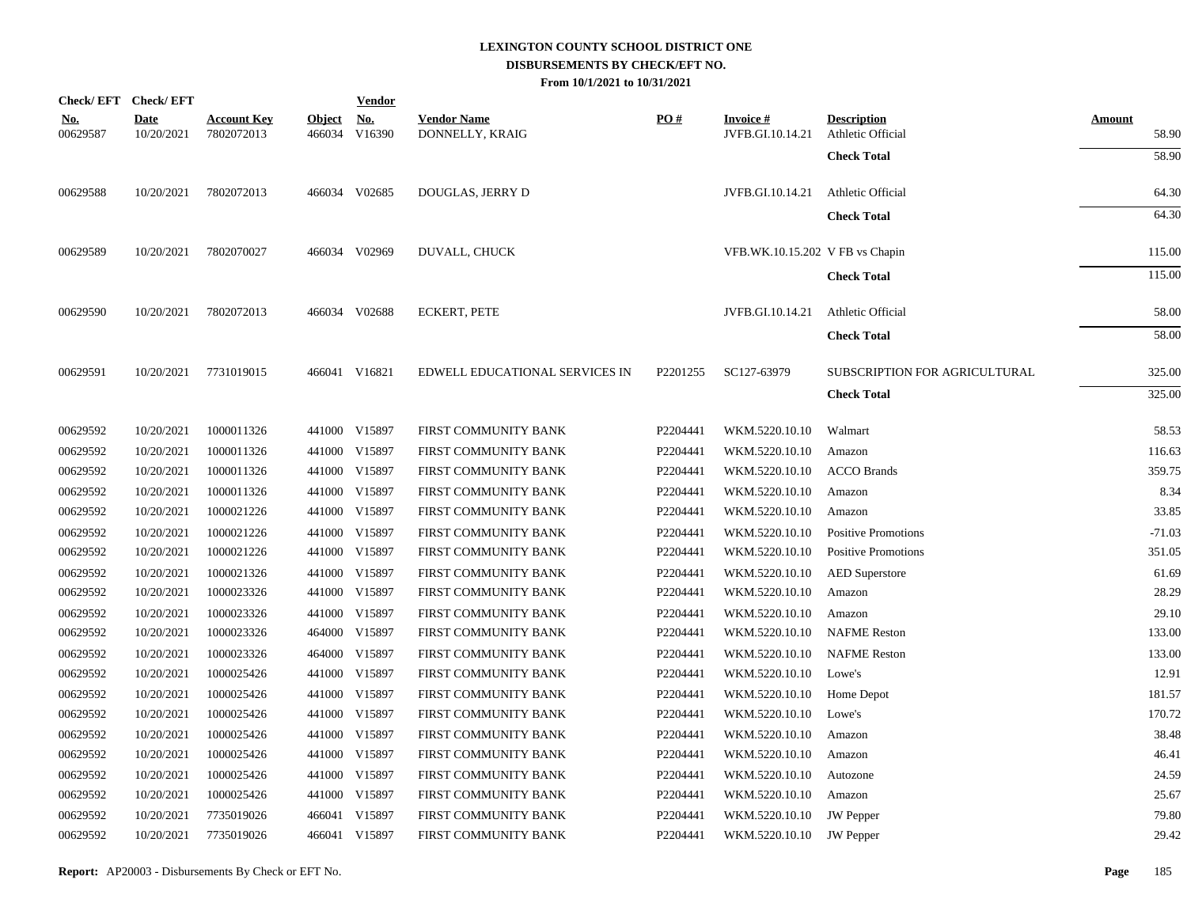|                        | Check/EFT Check/EFT       |                                  |               | <b>Vendor</b>                                |                                       |          |                                     |                                         |                 |
|------------------------|---------------------------|----------------------------------|---------------|----------------------------------------------|---------------------------------------|----------|-------------------------------------|-----------------------------------------|-----------------|
| <u>No.</u><br>00629587 | <b>Date</b><br>10/20/2021 | <b>Account Key</b><br>7802072013 | <b>Object</b> | $\underline{\mathrm{No}}$ .<br>466034 V16390 | <b>Vendor Name</b><br>DONNELLY, KRAIG | PO#      | <b>Invoice#</b><br>JVFB.GI.10.14.21 | <b>Description</b><br>Athletic Official | Amount<br>58.90 |
|                        |                           |                                  |               |                                              |                                       |          |                                     | <b>Check Total</b>                      | 58.90           |
| 00629588               | 10/20/2021                | 7802072013                       |               | 466034 V02685                                | DOUGLAS, JERRY D                      |          | JVFB.GI.10.14.21                    | Athletic Official                       | 64.30           |
|                        |                           |                                  |               |                                              |                                       |          |                                     | <b>Check Total</b>                      | 64.30           |
| 00629589               | 10/20/2021                | 7802070027                       |               | 466034 V02969                                | DUVALL, CHUCK                         |          | VFB.WK.10.15.202 V FB vs Chapin     |                                         | 115.00          |
|                        |                           |                                  |               |                                              |                                       |          |                                     | <b>Check Total</b>                      | 115.00          |
| 00629590               | 10/20/2021                | 7802072013                       |               | 466034 V02688                                | <b>ECKERT, PETE</b>                   |          | JVFB.GI.10.14.21                    | Athletic Official                       | 58.00           |
|                        |                           |                                  |               |                                              |                                       |          |                                     | <b>Check Total</b>                      | 58.00           |
| 00629591               | 10/20/2021                | 7731019015                       |               | 466041 V16821                                | EDWELL EDUCATIONAL SERVICES IN        | P2201255 | SC127-63979                         | SUBSCRIPTION FOR AGRICULTURAL           | 325.00          |
|                        |                           |                                  |               |                                              |                                       |          |                                     | <b>Check Total</b>                      | 325.00          |
| 00629592               | 10/20/2021                | 1000011326                       |               | 441000 V15897                                | FIRST COMMUNITY BANK                  | P2204441 | WKM.5220.10.10                      | Walmart                                 | 58.53           |
| 00629592               | 10/20/2021                | 1000011326                       |               | 441000 V15897                                | FIRST COMMUNITY BANK                  | P2204441 | WKM.5220.10.10                      | Amazon                                  | 116.63          |
| 00629592               | 10/20/2021                | 1000011326                       |               | 441000 V15897                                | FIRST COMMUNITY BANK                  | P2204441 | WKM.5220.10.10                      | <b>ACCO</b> Brands                      | 359.75          |
| 00629592               | 10/20/2021                | 1000011326                       |               | 441000 V15897                                | FIRST COMMUNITY BANK                  | P2204441 | WKM.5220.10.10                      | Amazon                                  | 8.34            |
| 00629592               | 10/20/2021                | 1000021226                       |               | 441000 V15897                                | FIRST COMMUNITY BANK                  | P2204441 | WKM.5220.10.10                      | Amazon                                  | 33.85           |
| 00629592               | 10/20/2021                | 1000021226                       |               | 441000 V15897                                | FIRST COMMUNITY BANK                  | P2204441 | WKM.5220.10.10                      | <b>Positive Promotions</b>              | $-71.03$        |
| 00629592               | 10/20/2021                | 1000021226                       |               | 441000 V15897                                | FIRST COMMUNITY BANK                  | P2204441 | WKM.5220.10.10                      | <b>Positive Promotions</b>              | 351.05          |
| 00629592               | 10/20/2021                | 1000021326                       |               | 441000 V15897                                | FIRST COMMUNITY BANK                  | P2204441 | WKM.5220.10.10                      | <b>AED</b> Superstore                   | 61.69           |
| 00629592               | 10/20/2021                | 1000023326                       |               | 441000 V15897                                | FIRST COMMUNITY BANK                  | P2204441 | WKM.5220.10.10                      | Amazon                                  | 28.29           |
| 00629592               | 10/20/2021                | 1000023326                       |               | 441000 V15897                                | FIRST COMMUNITY BANK                  | P2204441 | WKM.5220.10.10                      | Amazon                                  | 29.10           |
| 00629592               | 10/20/2021                | 1000023326                       |               | 464000 V15897                                | FIRST COMMUNITY BANK                  | P2204441 | WKM.5220.10.10                      | <b>NAFME</b> Reston                     | 133.00          |
| 00629592               | 10/20/2021                | 1000023326                       |               | 464000 V15897                                | FIRST COMMUNITY BANK                  | P2204441 | WKM.5220.10.10                      | <b>NAFME</b> Reston                     | 133.00          |
| 00629592               | 10/20/2021                | 1000025426                       |               | 441000 V15897                                | FIRST COMMUNITY BANK                  | P2204441 | WKM.5220.10.10                      | Lowe's                                  | 12.91           |
| 00629592               | 10/20/2021                | 1000025426                       |               | 441000 V15897                                | FIRST COMMUNITY BANK                  | P2204441 | WKM.5220.10.10                      | Home Depot                              | 181.57          |
| 00629592               | 10/20/2021                | 1000025426                       |               | 441000 V15897                                | FIRST COMMUNITY BANK                  | P2204441 | WKM.5220.10.10                      | Lowe's                                  | 170.72          |
| 00629592               | 10/20/2021                | 1000025426                       |               | 441000 V15897                                | FIRST COMMUNITY BANK                  | P2204441 | WKM.5220.10.10                      | Amazon                                  | 38.48           |
| 00629592               | 10/20/2021                | 1000025426                       |               | 441000 V15897                                | FIRST COMMUNITY BANK                  | P2204441 | WKM.5220.10.10                      | Amazon                                  | 46.41           |
| 00629592               | 10/20/2021                | 1000025426                       |               | 441000 V15897                                | FIRST COMMUNITY BANK                  | P2204441 | WKM.5220.10.10                      | Autozone                                | 24.59           |
| 00629592               | 10/20/2021                | 1000025426                       |               | 441000 V15897                                | FIRST COMMUNITY BANK                  | P2204441 | WKM.5220.10.10                      | Amazon                                  | 25.67           |
| 00629592               | 10/20/2021                | 7735019026                       |               | 466041 V15897                                | FIRST COMMUNITY BANK                  | P2204441 | WKM.5220.10.10                      | <b>JW</b> Pepper                        | 79.80           |
| 00629592               | 10/20/2021                | 7735019026                       |               | 466041 V15897                                | FIRST COMMUNITY BANK                  | P2204441 | WKM.5220.10.10 JW Pepper            |                                         | 29.42           |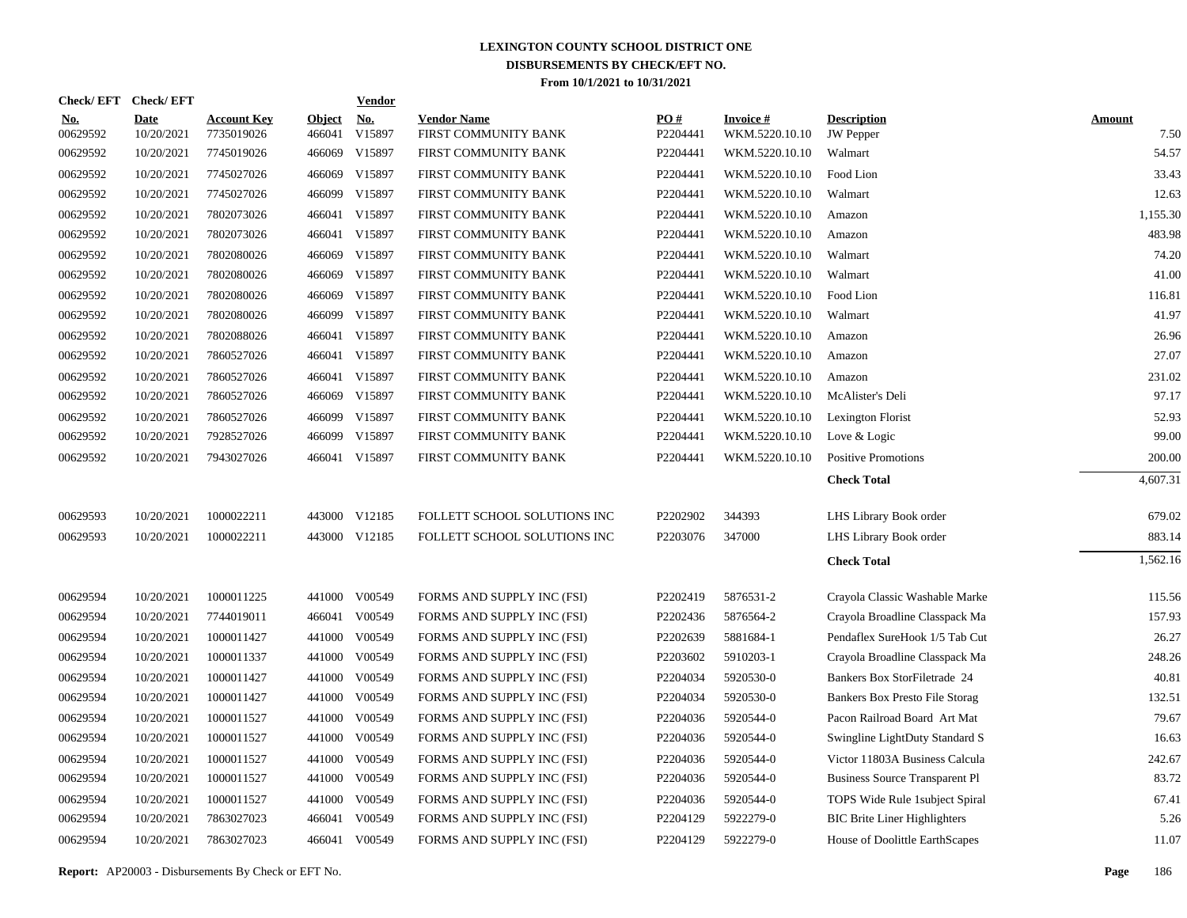|                        | Check/EFT Check/EFT       |                                  |                         | <u>Vendor</u>        |                                            |                 |                                   |                                        |                       |
|------------------------|---------------------------|----------------------------------|-------------------------|----------------------|--------------------------------------------|-----------------|-----------------------------------|----------------------------------------|-----------------------|
| <u>No.</u><br>00629592 | <b>Date</b><br>10/20/2021 | <b>Account Key</b><br>7735019026 | <b>Object</b><br>466041 | <u>No.</u><br>V15897 | <b>Vendor Name</b><br>FIRST COMMUNITY BANK | PQ#<br>P2204441 | <b>Invoice#</b><br>WKM.5220.10.10 | <b>Description</b><br><b>JW</b> Pepper | <b>Amount</b><br>7.50 |
| 00629592               | 10/20/2021                | 7745019026                       | 466069                  | V15897               | FIRST COMMUNITY BANK                       | P2204441        | WKM.5220.10.10                    | Walmart                                | 54.57                 |
| 00629592               | 10/20/2021                | 7745027026                       | 466069                  | V15897               | FIRST COMMUNITY BANK                       | P2204441        | WKM.5220.10.10                    | Food Lion                              | 33.43                 |
| 00629592               | 10/20/2021                | 7745027026                       | 466099                  | V15897               | FIRST COMMUNITY BANK                       | P2204441        | WKM.5220.10.10                    | Walmart                                | 12.63                 |
| 00629592               | 10/20/2021                | 7802073026                       | 466041                  | V15897               | FIRST COMMUNITY BANK                       | P2204441        | WKM.5220.10.10                    | Amazon                                 | 1,155.30              |
| 00629592               | 10/20/2021                | 7802073026                       | 466041                  | V15897               | FIRST COMMUNITY BANK                       | P2204441        | WKM.5220.10.10                    | Amazon                                 | 483.98                |
| 00629592               | 10/20/2021                | 7802080026                       | 466069                  | V15897               | FIRST COMMUNITY BANK                       | P2204441        | WKM.5220.10.10                    | Walmart                                | 74.20                 |
| 00629592               | 10/20/2021                | 7802080026                       | 466069                  | V15897               | FIRST COMMUNITY BANK                       | P2204441        | WKM.5220.10.10                    | Walmart                                | 41.00                 |
| 00629592               | 10/20/2021                | 7802080026                       | 466069                  | V15897               | FIRST COMMUNITY BANK                       | P2204441        | WKM.5220.10.10                    | Food Lion                              | 116.81                |
| 00629592               | 10/20/2021                | 7802080026                       | 466099                  | V15897               | FIRST COMMUNITY BANK                       | P2204441        | WKM.5220.10.10                    | Walmart                                | 41.97                 |
| 00629592               | 10/20/2021                | 7802088026                       | 466041                  | V15897               | FIRST COMMUNITY BANK                       | P2204441        | WKM.5220.10.10                    | Amazon                                 | 26.96                 |
| 00629592               | 10/20/2021                | 7860527026                       | 466041                  | V15897               | FIRST COMMUNITY BANK                       | P2204441        | WKM.5220.10.10                    | Amazon                                 | 27.07                 |
| 00629592               | 10/20/2021                | 7860527026                       | 466041                  | V15897               | FIRST COMMUNITY BANK                       | P2204441        | WKM.5220.10.10                    | Amazon                                 | 231.02                |
| 00629592               | 10/20/2021                | 7860527026                       | 466069                  | V15897               | FIRST COMMUNITY BANK                       | P2204441        | WKM.5220.10.10                    | McAlister's Deli                       | 97.17                 |
| 00629592               | 10/20/2021                | 7860527026                       |                         | 466099 V15897        | FIRST COMMUNITY BANK                       | P2204441        | WKM.5220.10.10                    | Lexington Florist                      | 52.93                 |
| 00629592               | 10/20/2021                | 7928527026                       |                         | 466099 V15897        | FIRST COMMUNITY BANK                       | P2204441        | WKM.5220.10.10                    | Love & Logic                           | 99.00                 |
| 00629592               | 10/20/2021                | 7943027026                       |                         | 466041 V15897        | FIRST COMMUNITY BANK                       | P2204441        | WKM.5220.10.10                    | <b>Positive Promotions</b>             | 200.00                |
|                        |                           |                                  |                         |                      |                                            |                 |                                   | <b>Check Total</b>                     | 4,607.31              |
| 00629593               | 10/20/2021                | 1000022211                       |                         | 443000 V12185        | FOLLETT SCHOOL SOLUTIONS INC               | P2202902        | 344393                            | LHS Library Book order                 | 679.02                |
| 00629593               | 10/20/2021                | 1000022211                       |                         | 443000 V12185        | FOLLETT SCHOOL SOLUTIONS INC               | P2203076        | 347000                            | LHS Library Book order                 | 883.14                |
|                        |                           |                                  |                         |                      |                                            |                 |                                   | <b>Check Total</b>                     | 1,562.16              |
|                        |                           |                                  |                         |                      |                                            |                 |                                   |                                        |                       |
| 00629594               | 10/20/2021                | 1000011225                       |                         | 441000 V00549        | FORMS AND SUPPLY INC (FSI)                 | P2202419        | 5876531-2                         | Crayola Classic Washable Marke         | 115.56                |
| 00629594               | 10/20/2021                | 7744019011                       | 466041                  | V00549               | FORMS AND SUPPLY INC (FSI)                 | P2202436        | 5876564-2                         | Crayola Broadline Classpack Ma         | 157.93                |
| 00629594               | 10/20/2021                | 1000011427                       | 441000                  | V00549               | FORMS AND SUPPLY INC (FSI)                 | P2202639        | 5881684-1                         | Pendaflex SureHook 1/5 Tab Cut         | 26.27                 |
| 00629594               | 10/20/2021                | 1000011337                       | 441000                  | V00549               | FORMS AND SUPPLY INC (FSI)                 | P2203602        | 5910203-1                         | Crayola Broadline Classpack Ma         | 248.26                |
| 00629594               | 10/20/2021                | 1000011427                       | 441000                  | V00549               | FORMS AND SUPPLY INC (FSI)                 | P2204034        | 5920530-0                         | Bankers Box StorFiletrade 24           | 40.81                 |
| 00629594               | 10/20/2021                | 1000011427                       | 441000                  | V00549               | FORMS AND SUPPLY INC (FSI)                 | P2204034        | 5920530-0                         | Bankers Box Presto File Storag         | 132.51                |
| 00629594               | 10/20/2021                | 1000011527                       | 441000                  | V00549               | FORMS AND SUPPLY INC (FSI)                 | P2204036        | 5920544-0                         | Pacon Railroad Board Art Mat           | 79.67                 |
| 00629594               | 10/20/2021                | 1000011527                       | 441000                  | V00549               | FORMS AND SUPPLY INC (FSI)                 | P2204036        | 5920544-0                         | Swingline LightDuty Standard S         | 16.63                 |
| 00629594               | 10/20/2021                | 1000011527                       | 441000                  | V00549               | FORMS AND SUPPLY INC (FSI)                 | P2204036        | 5920544-0                         | Victor 11803A Business Calcula         | 242.67                |
| 00629594               | 10/20/2021                | 1000011527                       | 441000                  | V00549               | FORMS AND SUPPLY INC (FSI)                 | P2204036        | 5920544-0                         | <b>Business Source Transparent Pl</b>  | 83.72                 |
| 00629594               | 10/20/2021                | 1000011527                       | 441000                  | V00549               | FORMS AND SUPPLY INC (FSI)                 | P2204036        | 5920544-0                         | TOPS Wide Rule 1subject Spiral         | 67.41                 |
| 00629594               | 10/20/2021                | 7863027023                       | 466041                  | V00549               | FORMS AND SUPPLY INC (FSI)                 | P2204129        | 5922279-0                         | <b>BIC Brite Liner Highlighters</b>    | 5.26                  |
| 00629594               | 10/20/2021                | 7863027023                       |                         | 466041 V00549        | FORMS AND SUPPLY INC (FSI)                 | P2204129        | 5922279-0                         | House of Doolittle EarthScapes         | 11.07                 |
|                        |                           |                                  |                         |                      |                                            |                 |                                   |                                        |                       |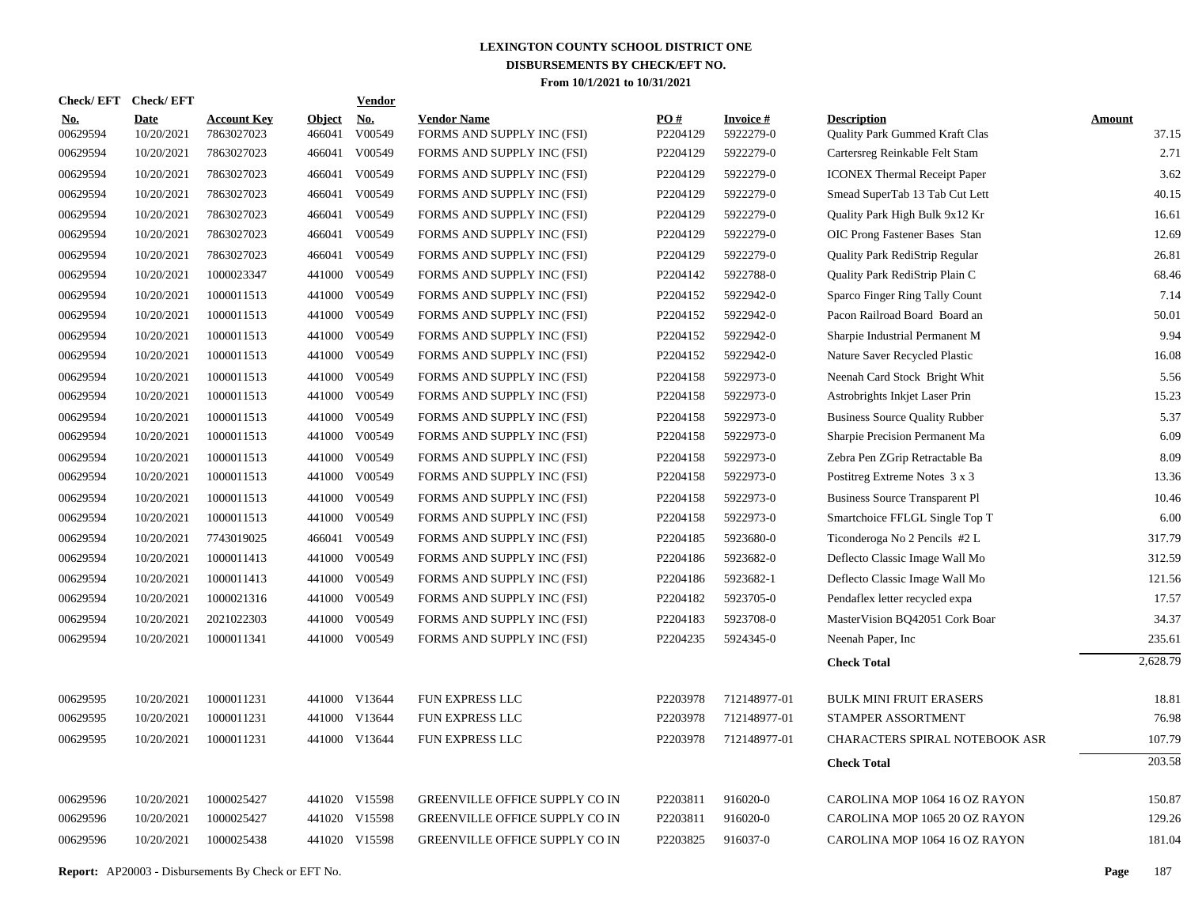| <b>Check/EFT</b>       | <b>Check/EFT</b>   |                                  |                         | <b>Vendor</b>        |                                                  |                               |                              |                                                      |                 |
|------------------------|--------------------|----------------------------------|-------------------------|----------------------|--------------------------------------------------|-------------------------------|------------------------------|------------------------------------------------------|-----------------|
| <u>No.</u><br>00629594 | Date<br>10/20/2021 | <b>Account Key</b><br>7863027023 | <u>Object</u><br>466041 | <u>No.</u><br>V00549 | <b>Vendor Name</b><br>FORMS AND SUPPLY INC (FSI) | $\underline{PO#}$<br>P2204129 | <b>Invoice#</b><br>5922279-0 | <b>Description</b><br>Quality Park Gummed Kraft Clas | Amount<br>37.15 |
| 00629594               | 10/20/2021         | 7863027023                       | 466041                  | V00549               | FORMS AND SUPPLY INC (FSI)                       | P2204129                      | 5922279-0                    | Cartersreg Reinkable Felt Stam                       | 2.71            |
| 00629594               | 10/20/2021         | 7863027023                       | 466041                  | V00549               | FORMS AND SUPPLY INC (FSI)                       | P2204129                      | 5922279-0                    | <b>ICONEX Thermal Receipt Paper</b>                  | 3.62            |
| 00629594               | 10/20/2021         | 7863027023                       | 466041                  | V00549               | FORMS AND SUPPLY INC (FSI)                       | P2204129                      | 5922279-0                    | Smead SuperTab 13 Tab Cut Lett                       | 40.15           |
| 00629594               | 10/20/2021         | 7863027023                       | 466041                  | V00549               | FORMS AND SUPPLY INC (FSI)                       | P2204129                      | 5922279-0                    | Quality Park High Bulk 9x12 Kr                       | 16.61           |
| 00629594               | 10/20/2021         | 7863027023                       |                         | 466041 V00549        | FORMS AND SUPPLY INC (FSI)                       | P2204129                      | 5922279-0                    | OIC Prong Fastener Bases Stan                        | 12.69           |
| 00629594               | 10/20/2021         | 7863027023                       | 466041                  | V00549               | FORMS AND SUPPLY INC (FSI)                       | P2204129                      | 5922279-0                    | Quality Park RediStrip Regular                       | 26.81           |
| 00629594               | 10/20/2021         | 1000023347                       | 441000                  | V00549               | FORMS AND SUPPLY INC (FSI)                       | P2204142                      | 5922788-0                    | Quality Park RediStrip Plain C                       | 68.46           |
| 00629594               | 10/20/2021         | 1000011513                       | 441000                  | V00549               | FORMS AND SUPPLY INC (FSI)                       | P2204152                      | 5922942-0                    | Sparco Finger Ring Tally Count                       | 7.14            |
| 00629594               | 10/20/2021         | 1000011513                       | 441000                  | V00549               | FORMS AND SUPPLY INC (FSI)                       | P2204152                      | 5922942-0                    | Pacon Railroad Board Board an                        | 50.01           |
| 00629594               | 10/20/2021         | 1000011513                       | 441000                  | V00549               | FORMS AND SUPPLY INC (FSI)                       | P2204152                      | 5922942-0                    | Sharpie Industrial Permanent M                       | 9.94            |
| 00629594               | 10/20/2021         | 1000011513                       | 441000                  | V00549               | FORMS AND SUPPLY INC (FSI)                       | P2204152                      | 5922942-0                    | Nature Saver Recycled Plastic                        | 16.08           |
| 00629594               | 10/20/2021         | 1000011513                       | 441000                  | V00549               | FORMS AND SUPPLY INC (FSI)                       | P2204158                      | 5922973-0                    | Neenah Card Stock Bright Whit                        | 5.56            |
| 00629594               | 10/20/2021         | 1000011513                       | 441000                  | V00549               | FORMS AND SUPPLY INC (FSI)                       | P2204158                      | 5922973-0                    | Astrobrights Inkjet Laser Prin                       | 15.23           |
| 00629594               | 10/20/2021         | 1000011513                       | 441000                  | V00549               | FORMS AND SUPPLY INC (FSI)                       | P2204158                      | 5922973-0                    | <b>Business Source Quality Rubber</b>                | 5.37            |
| 00629594               | 10/20/2021         | 1000011513                       | 441000                  | V00549               | FORMS AND SUPPLY INC (FSI)                       | P2204158                      | 5922973-0                    | Sharpie Precision Permanent Ma                       | 6.09            |
| 00629594               | 10/20/2021         | 1000011513                       | 441000                  | V00549               | FORMS AND SUPPLY INC (FSI)                       | P2204158                      | 5922973-0                    | Zebra Pen ZGrip Retractable Ba                       | 8.09            |
| 00629594               | 10/20/2021         | 1000011513                       | 441000                  | V00549               | FORMS AND SUPPLY INC (FSI)                       | P2204158                      | 5922973-0                    | Postitreg Extreme Notes 3 x 3                        | 13.36           |
| 00629594               | 10/20/2021         | 1000011513                       | 441000                  | V00549               | FORMS AND SUPPLY INC (FSI)                       | P2204158                      | 5922973-0                    | <b>Business Source Transparent Pl</b>                | 10.46           |
| 00629594               | 10/20/2021         | 1000011513                       | 441000                  | V00549               | FORMS AND SUPPLY INC (FSI)                       | P2204158                      | 5922973-0                    | Smartchoice FFLGL Single Top T                       | 6.00            |
| 00629594               | 10/20/2021         | 7743019025                       |                         | 466041 V00549        | FORMS AND SUPPLY INC (FSI)                       | P2204185                      | 5923680-0                    | Ticonderoga No 2 Pencils #2 L                        | 317.79          |
| 00629594               | 10/20/2021         | 1000011413                       |                         | 441000 V00549        | FORMS AND SUPPLY INC (FSI)                       | P2204186                      | 5923682-0                    | Deflecto Classic Image Wall Mo                       | 312.59          |
| 00629594               | 10/20/2021         | 1000011413                       | 441000                  | V00549               | FORMS AND SUPPLY INC (FSI)                       | P2204186                      | 5923682-1                    | Deflecto Classic Image Wall Mo                       | 121.56          |
| 00629594               | 10/20/2021         | 1000021316                       |                         | 441000 V00549        | FORMS AND SUPPLY INC (FSI)                       | P2204182                      | 5923705-0                    | Pendaflex letter recycled expa                       | 17.57           |
| 00629594               | 10/20/2021         | 2021022303                       | 441000                  | V00549               | FORMS AND SUPPLY INC (FSI)                       | P2204183                      | 5923708-0                    | MasterVision BQ42051 Cork Boar                       | 34.37           |
| 00629594               | 10/20/2021         | 1000011341                       |                         | 441000 V00549        | FORMS AND SUPPLY INC (FSI)                       | P2204235                      | 5924345-0                    | Neenah Paper, Inc.                                   | 235.61          |
|                        |                    |                                  |                         |                      |                                                  |                               |                              | <b>Check Total</b>                                   | 2,628.79        |
| 00629595               | 10/20/2021         | 1000011231                       |                         | 441000 V13644        | FUN EXPRESS LLC                                  | P2203978                      | 712148977-01                 | <b>BULK MINI FRUIT ERASERS</b>                       | 18.81           |
| 00629595               | 10/20/2021         | 1000011231                       | 441000                  | V13644               | FUN EXPRESS LLC                                  | P2203978                      | 712148977-01                 | STAMPER ASSORTMENT                                   | 76.98           |
| 00629595               | 10/20/2021         | 1000011231                       |                         | 441000 V13644        | FUN EXPRESS LLC                                  | P2203978                      | 712148977-01                 | CHARACTERS SPIRAL NOTEBOOK ASR                       | 107.79          |
|                        |                    |                                  |                         |                      |                                                  |                               |                              | <b>Check Total</b>                                   | 203.58          |
| 00629596               | 10/20/2021         | 1000025427                       |                         | 441020 V15598        | <b>GREENVILLE OFFICE SUPPLY CO IN</b>            | P2203811                      | 916020-0                     | CAROLINA MOP 1064 16 OZ RAYON                        | 150.87          |
| 00629596               | 10/20/2021         | 1000025427                       |                         | 441020 V15598        | <b>GREENVILLE OFFICE SUPPLY CO IN</b>            | P2203811                      | 916020-0                     | CAROLINA MOP 1065 20 OZ RAYON                        | 129.26          |
| 00629596               | 10/20/2021         | 1000025438                       |                         | 441020 V15598        | <b>GREENVILLE OFFICE SUPPLY CO IN</b>            | P2203825                      | 916037-0                     | CAROLINA MOP 1064 16 OZ RAYON                        | 181.04          |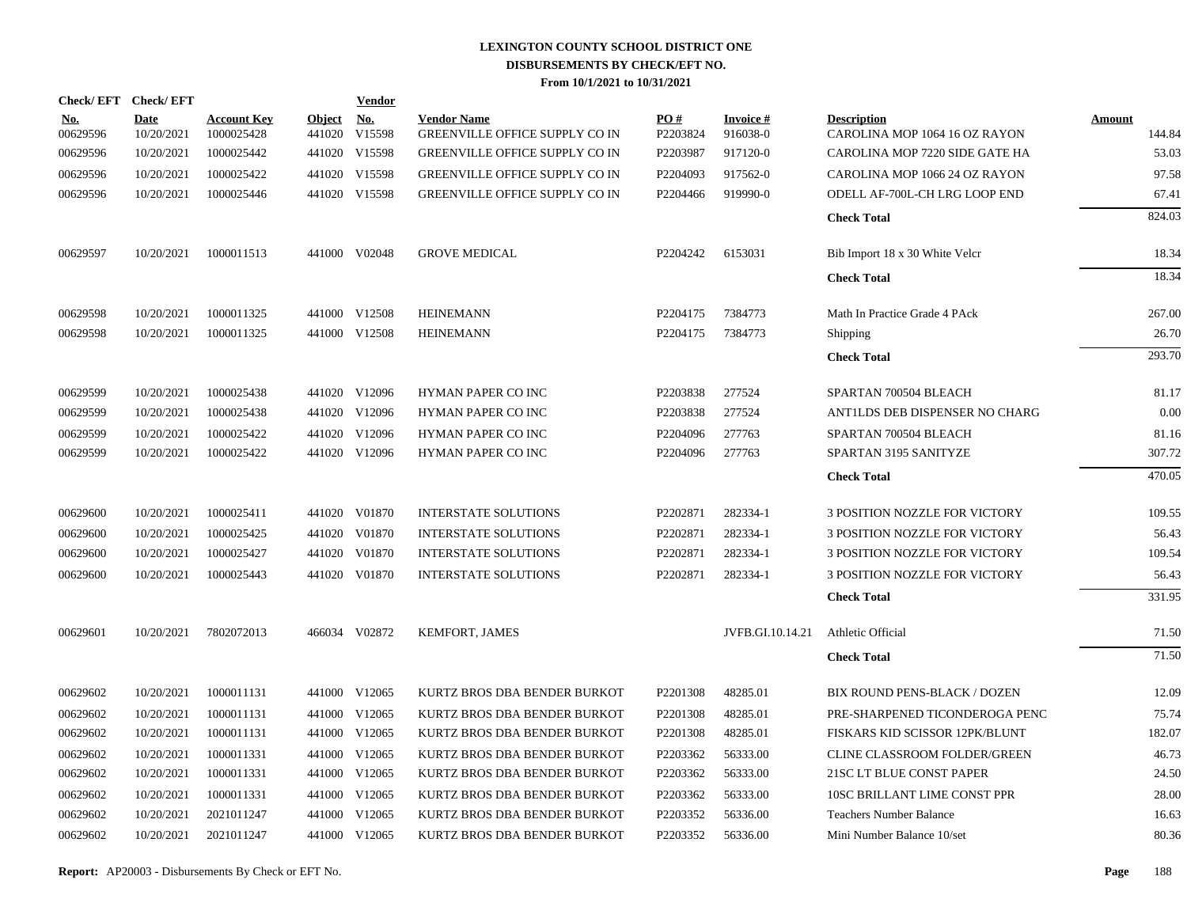| Check/EFT Check/EFT    |                           |                                  |                         | Vendor               |                                                             |                 |                             |                                                     |                         |
|------------------------|---------------------------|----------------------------------|-------------------------|----------------------|-------------------------------------------------------------|-----------------|-----------------------------|-----------------------------------------------------|-------------------------|
| <u>No.</u><br>00629596 | <b>Date</b><br>10/20/2021 | <b>Account Key</b><br>1000025428 | <b>Object</b><br>441020 | <b>No.</b><br>V15598 | <b>Vendor Name</b><br><b>GREENVILLE OFFICE SUPPLY CO IN</b> | PO#<br>P2203824 | <b>Invoice#</b><br>916038-0 | <b>Description</b><br>CAROLINA MOP 1064 16 OZ RAYON | <b>Amount</b><br>144.84 |
| 00629596               | 10/20/2021                | 1000025442                       |                         | 441020 V15598        | GREENVILLE OFFICE SUPPLY CO IN                              | P2203987        | 917120-0                    | CAROLINA MOP 7220 SIDE GATE HA                      | 53.03                   |
| 00629596               | 10/20/2021                | 1000025422                       |                         | 441020 V15598        | GREENVILLE OFFICE SUPPLY CO IN                              | P2204093        | 917562-0                    | CAROLINA MOP 1066 24 OZ RAYON                       | 97.58                   |
| 00629596               | 10/20/2021                | 1000025446                       |                         | 441020 V15598        | <b>GREENVILLE OFFICE SUPPLY CO IN</b>                       | P2204466        | 919990-0                    | ODELL AF-700L-CH LRG LOOP END                       | 67.41                   |
|                        |                           |                                  |                         |                      |                                                             |                 |                             | <b>Check Total</b>                                  | 824.03                  |
| 00629597               | 10/20/2021                | 1000011513                       |                         | 441000 V02048        | <b>GROVE MEDICAL</b>                                        | P2204242        | 6153031                     | Bib Import 18 x 30 White Velcr                      | 18.34                   |
|                        |                           |                                  |                         |                      |                                                             |                 |                             | <b>Check Total</b>                                  | 18.34                   |
| 00629598               | 10/20/2021                | 1000011325                       |                         | 441000 V12508        | <b>HEINEMANN</b>                                            | P2204175        | 7384773                     | Math In Practice Grade 4 PAck                       | 267.00                  |
| 00629598               | 10/20/2021                | 1000011325                       |                         | 441000 V12508        | <b>HEINEMANN</b>                                            | P2204175        | 7384773                     | <b>Shipping</b>                                     | 26.70                   |
|                        |                           |                                  |                         |                      |                                                             |                 |                             | <b>Check Total</b>                                  | 293.70                  |
| 00629599               | 10/20/2021                | 1000025438                       |                         | 441020 V12096        | HYMAN PAPER CO INC                                          | P2203838        | 277524                      | SPARTAN 700504 BLEACH                               | 81.17                   |
| 00629599               | 10/20/2021                | 1000025438                       |                         | 441020 V12096        | HYMAN PAPER CO INC                                          | P2203838        | 277524                      | ANTILDS DEB DISPENSER NO CHARG                      | 0.00                    |
| 00629599               | 10/20/2021                | 1000025422                       |                         | 441020 V12096        | HYMAN PAPER CO INC                                          | P2204096        | 277763                      | SPARTAN 700504 BLEACH                               | 81.16                   |
| 00629599               | 10/20/2021                | 1000025422                       |                         | 441020 V12096        | <b>HYMAN PAPER CO INC</b>                                   | P2204096        | 277763                      | SPARTAN 3195 SANITYZE                               | 307.72                  |
|                        |                           |                                  |                         |                      |                                                             |                 |                             | <b>Check Total</b>                                  | 470.05                  |
| 00629600               | 10/20/2021                | 1000025411                       |                         | 441020 V01870        | <b>INTERSTATE SOLUTIONS</b>                                 | P2202871        | 282334-1                    | <b>3 POSITION NOZZLE FOR VICTORY</b>                | 109.55                  |
| 00629600               | 10/20/2021                | 1000025425                       |                         | 441020 V01870        | <b>INTERSTATE SOLUTIONS</b>                                 | P2202871        | 282334-1                    | 3 POSITION NOZZLE FOR VICTORY                       | 56.43                   |
| 00629600               | 10/20/2021                | 1000025427                       | 441020                  | V01870               | <b>INTERSTATE SOLUTIONS</b>                                 | P2202871        | 282334-1                    | 3 POSITION NOZZLE FOR VICTORY                       | 109.54                  |
| 00629600               | 10/20/2021                | 1000025443                       |                         | 441020 V01870        | <b>INTERSTATE SOLUTIONS</b>                                 | P2202871        | 282334-1                    | 3 POSITION NOZZLE FOR VICTORY                       | 56.43                   |
|                        |                           |                                  |                         |                      |                                                             |                 |                             | <b>Check Total</b>                                  | 331.95                  |
| 00629601               | 10/20/2021                | 7802072013                       |                         | 466034 V02872        | <b>KEMFORT, JAMES</b>                                       |                 | JVFB.GI.10.14.21            | Athletic Official                                   | 71.50                   |
|                        |                           |                                  |                         |                      |                                                             |                 |                             | <b>Check Total</b>                                  | 71.50                   |
| 00629602               | 10/20/2021                | 1000011131                       |                         | 441000 V12065        | KURTZ BROS DBA BENDER BURKOT                                | P2201308        | 48285.01                    | BIX ROUND PENS-BLACK / DOZEN                        | 12.09                   |
| 00629602               | 10/20/2021                | 1000011131                       |                         | 441000 V12065        | KURTZ BROS DBA BENDER BURKOT                                | P2201308        | 48285.01                    | PRE-SHARPENED TICONDEROGA PENC                      | 75.74                   |
| 00629602               | 10/20/2021                | 1000011131                       |                         | 441000 V12065        | KURTZ BROS DBA BENDER BURKOT                                | P2201308        | 48285.01                    | FISKARS KID SCISSOR 12PK/BLUNT                      | 182.07                  |
| 00629602               | 10/20/2021                | 1000011331                       |                         | 441000 V12065        | KURTZ BROS DBA BENDER BURKOT                                | P2203362        | 56333.00                    | CLINE CLASSROOM FOLDER/GREEN                        | 46.73                   |
| 00629602               | 10/20/2021                | 1000011331                       |                         | 441000 V12065        | KURTZ BROS DBA BENDER BURKOT                                | P2203362        | 56333.00                    | 21SC LT BLUE CONST PAPER                            | 24.50                   |
| 00629602               | 10/20/2021                | 1000011331                       |                         | 441000 V12065        | KURTZ BROS DBA BENDER BURKOT                                | P2203362        | 56333.00                    | 10SC BRILLANT LIME CONST PPR                        | 28.00                   |
| 00629602               | 10/20/2021                | 2021011247                       |                         | 441000 V12065        | KURTZ BROS DBA BENDER BURKOT                                | P2203352        | 56336.00                    | <b>Teachers Number Balance</b>                      | 16.63                   |
| 00629602               | 10/20/2021                | 2021011247                       |                         | 441000 V12065        | KURTZ BROS DBA BENDER BURKOT                                | P2203352        | 56336.00                    | Mini Number Balance 10/set                          | 80.36                   |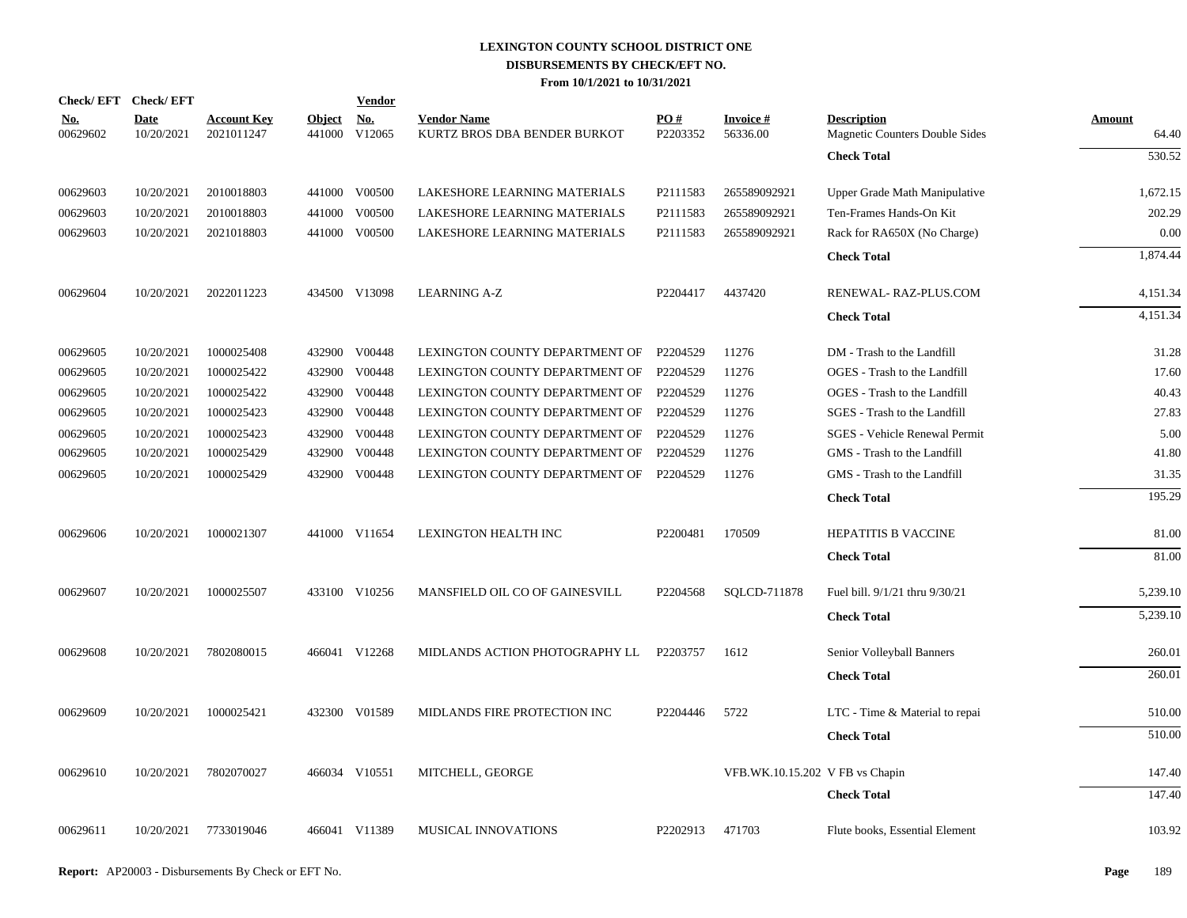|                        | Check/EFT Check/EFT       |                                  |                         | <b>Vendor</b>        |                                                    |                 |                                 |                                                      |                        |
|------------------------|---------------------------|----------------------------------|-------------------------|----------------------|----------------------------------------------------|-----------------|---------------------------------|------------------------------------------------------|------------------------|
| <u>No.</u><br>00629602 | <b>Date</b><br>10/20/2021 | <b>Account Key</b><br>2021011247 | <b>Object</b><br>441000 | <b>No.</b><br>V12065 | <b>Vendor Name</b><br>KURTZ BROS DBA BENDER BURKOT | PO#<br>P2203352 | <b>Invoice#</b><br>56336.00     | <b>Description</b><br>Magnetic Counters Double Sides | <b>Amount</b><br>64.40 |
|                        |                           |                                  |                         |                      |                                                    |                 |                                 | <b>Check Total</b>                                   | $\overline{530.52}$    |
| 00629603               | 10/20/2021                | 2010018803                       |                         | 441000 V00500        | LAKESHORE LEARNING MATERIALS                       | P2111583        | 265589092921                    | Upper Grade Math Manipulative                        | 1,672.15               |
| 00629603               | 10/20/2021                | 2010018803                       | 441000                  | V00500               | LAKESHORE LEARNING MATERIALS                       | P2111583        | 265589092921                    | Ten-Frames Hands-On Kit                              | 202.29                 |
| 00629603               | 10/20/2021                | 2021018803                       | 441000                  | V00500               | LAKESHORE LEARNING MATERIALS                       | P2111583        | 265589092921                    | Rack for RA650X (No Charge)                          | 0.00                   |
|                        |                           |                                  |                         |                      |                                                    |                 |                                 | <b>Check Total</b>                                   | 1,874.44               |
| 00629604               | 10/20/2021                | 2022011223                       |                         | 434500 V13098        | <b>LEARNING A-Z</b>                                | P2204417        | 4437420                         | RENEWAL-RAZ-PLUS.COM                                 | 4,151.34               |
|                        |                           |                                  |                         |                      |                                                    |                 |                                 | <b>Check Total</b>                                   | 4,151.34               |
| 00629605               | 10/20/2021                | 1000025408                       | 432900                  | V00448               | LEXINGTON COUNTY DEPARTMENT OF                     | P2204529        | 11276                           | DM - Trash to the Landfill                           | 31.28                  |
| 00629605               | 10/20/2021                | 1000025422                       | 432900                  | V00448               | LEXINGTON COUNTY DEPARTMENT OF                     | P2204529        | 11276                           | OGES - Trash to the Landfill                         | 17.60                  |
| 00629605               | 10/20/2021                | 1000025422                       | 432900                  | V00448               | LEXINGTON COUNTY DEPARTMENT OF                     | P2204529        | 11276                           | OGES - Trash to the Landfill                         | 40.43                  |
| 00629605               | 10/20/2021                | 1000025423                       | 432900                  | V00448               | LEXINGTON COUNTY DEPARTMENT OF                     | P2204529        | 11276                           | SGES - Trash to the Landfill                         | 27.83                  |
| 00629605               | 10/20/2021                | 1000025423                       | 432900                  | V00448               | LEXINGTON COUNTY DEPARTMENT OF                     | P2204529        | 11276                           | <b>SGES - Vehicle Renewal Permit</b>                 | 5.00                   |
| 00629605               | 10/20/2021                | 1000025429                       | 432900                  | V00448               | LEXINGTON COUNTY DEPARTMENT OF                     | P2204529        | 11276                           | GMS - Trash to the Landfill                          | 41.80                  |
| 00629605               | 10/20/2021                | 1000025429                       | 432900                  | V00448               | LEXINGTON COUNTY DEPARTMENT OF                     | P2204529        | 11276                           | GMS - Trash to the Landfill                          | 31.35                  |
|                        |                           |                                  |                         |                      |                                                    |                 |                                 | <b>Check Total</b>                                   | 195.29                 |
| 00629606               | 10/20/2021                | 1000021307                       |                         | 441000 V11654        | LEXINGTON HEALTH INC                               | P2200481        | 170509                          | HEPATITIS B VACCINE                                  | 81.00                  |
|                        |                           |                                  |                         |                      |                                                    |                 |                                 | <b>Check Total</b>                                   | 81.00                  |
| 00629607               | 10/20/2021                | 1000025507                       |                         | 433100 V10256        | MANSFIELD OIL CO OF GAINESVILL                     | P2204568        | SQLCD-711878                    | Fuel bill. 9/1/21 thru 9/30/21                       | 5,239.10               |
|                        |                           |                                  |                         |                      |                                                    |                 |                                 | <b>Check Total</b>                                   | 5,239.10               |
| 00629608               | 10/20/2021                | 7802080015                       |                         | 466041 V12268        | MIDLANDS ACTION PHOTOGRAPHY LL                     | P2203757        | 1612                            | Senior Volleyball Banners                            | 260.01                 |
|                        |                           |                                  |                         |                      |                                                    |                 |                                 | <b>Check Total</b>                                   | 260.01                 |
| 00629609               | 10/20/2021                | 1000025421                       |                         | 432300 V01589        | MIDLANDS FIRE PROTECTION INC                       | P2204446        | 5722                            | LTC - Time & Material to repai                       | 510.00                 |
|                        |                           |                                  |                         |                      |                                                    |                 |                                 | <b>Check Total</b>                                   | 510.00                 |
| 00629610               | 10/20/2021                | 7802070027                       |                         | 466034 V10551        | MITCHELL, GEORGE                                   |                 | VFB.WK.10.15.202 V FB vs Chapin |                                                      | 147.40                 |
|                        |                           |                                  |                         |                      |                                                    |                 |                                 | <b>Check Total</b>                                   | 147.40                 |
| 00629611               | 10/20/2021                | 7733019046                       |                         | 466041 V11389        | MUSICAL INNOVATIONS                                | P2202913        | 471703                          | Flute books, Essential Element                       | 103.92                 |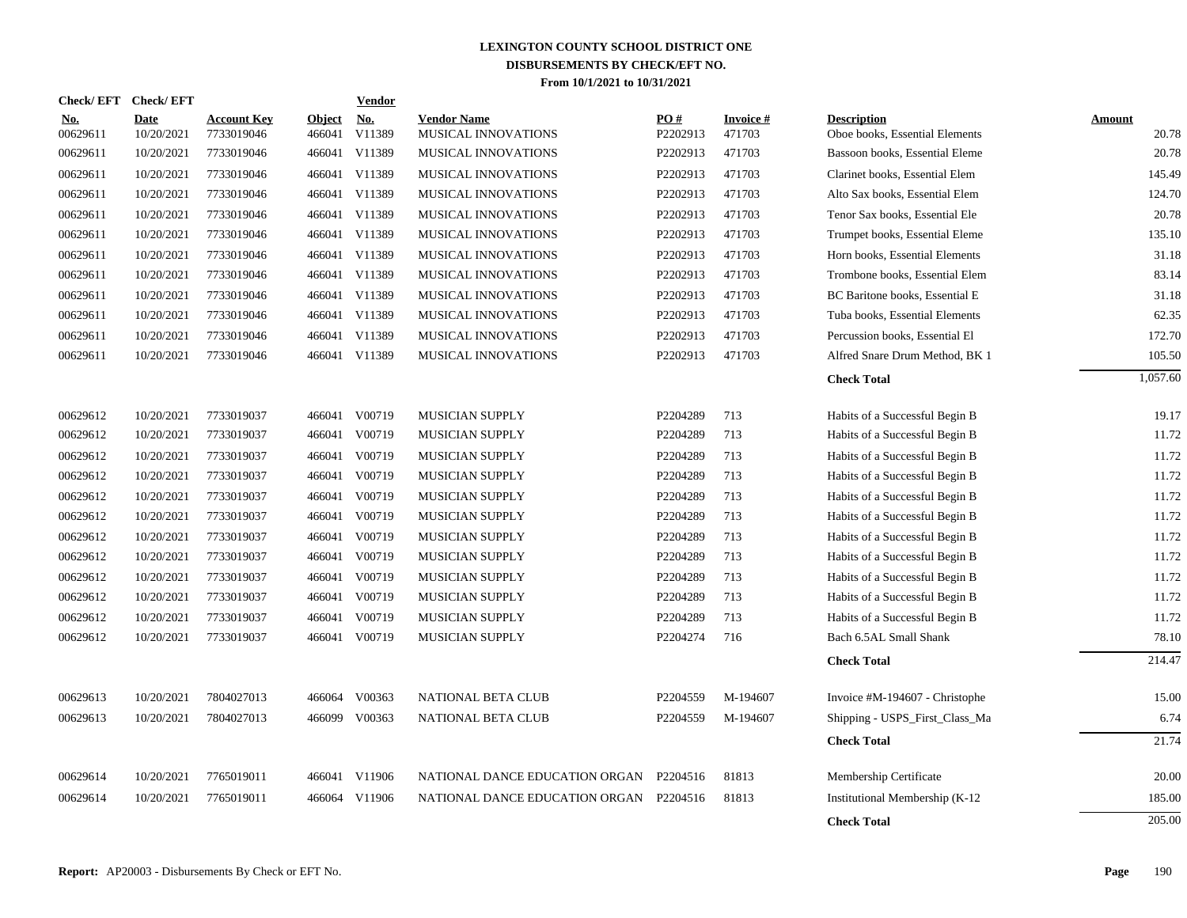| <b>Check/EFT</b>       | <b>Check/EFT</b>   |                                  |                         | <b>Vendor</b>                       |                                           |                 |                           |                                                      |                        |
|------------------------|--------------------|----------------------------------|-------------------------|-------------------------------------|-------------------------------------------|-----------------|---------------------------|------------------------------------------------------|------------------------|
| <u>No.</u><br>00629611 | Date<br>10/20/2021 | <b>Account Key</b><br>7733019046 | <b>Object</b><br>466041 | $\underline{\textbf{No}}$<br>V11389 | <b>Vendor Name</b><br>MUSICAL INNOVATIONS | PO#<br>P2202913 | <b>Invoice#</b><br>471703 | <b>Description</b><br>Oboe books, Essential Elements | <b>Amount</b><br>20.78 |
| 00629611               | 10/20/2021         | 7733019046                       | 466041                  | V11389                              | <b>MUSICAL INNOVATIONS</b>                | P2202913        | 471703                    | Bassoon books, Essential Eleme                       | 20.78                  |
| 00629611               | 10/20/2021         | 7733019046                       |                         | 466041 V11389                       | <b>MUSICAL INNOVATIONS</b>                | P2202913        | 471703                    | Clarinet books, Essential Elem                       | 145.49                 |
| 00629611               | 10/20/2021         | 7733019046                       |                         | 466041 V11389                       | MUSICAL INNOVATIONS                       | P2202913        | 471703                    | Alto Sax books, Essential Elem                       | 124.70                 |
| 00629611               | 10/20/2021         | 7733019046                       |                         | 466041 V11389                       | MUSICAL INNOVATIONS                       | P2202913        | 471703                    | Tenor Sax books, Essential Ele                       | 20.78                  |
| 00629611               | 10/20/2021         | 7733019046                       |                         | 466041 V11389                       | MUSICAL INNOVATIONS                       | P2202913        | 471703                    | Trumpet books, Essential Eleme                       | 135.10                 |
| 00629611               | 10/20/2021         | 7733019046                       |                         | 466041 V11389                       | MUSICAL INNOVATIONS                       | P2202913        | 471703                    | Horn books, Essential Elements                       | 31.18                  |
| 00629611               | 10/20/2021         | 7733019046                       |                         | 466041 V11389                       | MUSICAL INNOVATIONS                       | P2202913        | 471703                    | Trombone books, Essential Elem                       | 83.14                  |
| 00629611               | 10/20/2021         | 7733019046                       |                         | 466041 V11389                       | MUSICAL INNOVATIONS                       | P2202913        | 471703                    | BC Baritone books, Essential E                       | 31.18                  |
| 00629611               | 10/20/2021         | 7733019046                       |                         | 466041 V11389                       | MUSICAL INNOVATIONS                       | P2202913        | 471703                    | Tuba books, Essential Elements                       | 62.35                  |
| 00629611               | 10/20/2021         | 7733019046                       |                         | 466041 V11389                       | MUSICAL INNOVATIONS                       | P2202913        | 471703                    | Percussion books, Essential El                       | 172.70                 |
| 00629611               | 10/20/2021         | 7733019046                       |                         | 466041 V11389                       | MUSICAL INNOVATIONS                       | P2202913        | 471703                    | Alfred Snare Drum Method, BK 1                       | 105.50                 |
|                        |                    |                                  |                         |                                     |                                           |                 |                           | <b>Check Total</b>                                   | 1,057.60               |
| 00629612               | 10/20/2021         | 7733019037                       |                         | 466041 V00719                       | MUSICIAN SUPPLY                           | P2204289        | 713                       | Habits of a Successful Begin B                       | 19.17                  |
| 00629612               | 10/20/2021         | 7733019037                       | 466041                  | V00719                              | <b>MUSICIAN SUPPLY</b>                    | P2204289        | 713                       | Habits of a Successful Begin B                       | 11.72                  |
| 00629612               | 10/20/2021         | 7733019037                       | 466041                  | V00719                              | MUSICIAN SUPPLY                           | P2204289        | 713                       | Habits of a Successful Begin B                       | 11.72                  |
| 00629612               | 10/20/2021         | 7733019037                       | 466041                  | V00719                              | <b>MUSICIAN SUPPLY</b>                    | P2204289        | 713                       | Habits of a Successful Begin B                       | 11.72                  |
| 00629612               | 10/20/2021         | 7733019037                       | 466041                  | V00719                              | MUSICIAN SUPPLY                           | P2204289        | 713                       | Habits of a Successful Begin B                       | 11.72                  |
| 00629612               | 10/20/2021         | 7733019037                       | 466041                  | V00719                              | <b>MUSICIAN SUPPLY</b>                    | P2204289        | 713                       | Habits of a Successful Begin B                       | 11.72                  |
| 00629612               | 10/20/2021         | 7733019037                       | 466041                  | V00719                              | MUSICIAN SUPPLY                           | P2204289        | 713                       | Habits of a Successful Begin B                       | 11.72                  |
| 00629612               | 10/20/2021         | 7733019037                       | 466041                  | V00719                              | MUSICIAN SUPPLY                           | P2204289        | 713                       | Habits of a Successful Begin B                       | 11.72                  |
| 00629612               | 10/20/2021         | 7733019037                       |                         | 466041 V00719                       | MUSICIAN SUPPLY                           | P2204289        | 713                       | Habits of a Successful Begin B                       | 11.72                  |
| 00629612               | 10/20/2021         | 7733019037                       | 466041                  | V00719                              | MUSICIAN SUPPLY                           | P2204289        | 713                       | Habits of a Successful Begin B                       | 11.72                  |
| 00629612               | 10/20/2021         | 7733019037                       | 466041                  | V00719                              | <b>MUSICIAN SUPPLY</b>                    | P2204289        | 713                       | Habits of a Successful Begin B                       | 11.72                  |
| 00629612               | 10/20/2021         | 7733019037                       |                         | 466041 V00719                       | MUSICIAN SUPPLY                           | P2204274        | 716                       | Bach 6.5AL Small Shank                               | 78.10                  |
|                        |                    |                                  |                         |                                     |                                           |                 |                           | <b>Check Total</b>                                   | 214.47                 |
| 00629613               | 10/20/2021         | 7804027013                       |                         | 466064 V00363                       | NATIONAL BETA CLUB                        | P2204559        | M-194607                  | Invoice #M-194607 - Christophe                       | 15.00                  |
| 00629613               | 10/20/2021         | 7804027013                       |                         | 466099 V00363                       | NATIONAL BETA CLUB                        | P2204559        | M-194607                  | Shipping - USPS_First_Class_Ma                       | 6.74                   |
|                        |                    |                                  |                         |                                     |                                           |                 |                           | <b>Check Total</b>                                   | 21.74                  |
| 00629614               | 10/20/2021         | 7765019011                       |                         | 466041 V11906                       | NATIONAL DANCE EDUCATION ORGAN            | P2204516        | 81813                     | Membership Certificate                               | 20.00                  |
| 00629614               | 10/20/2021         | 7765019011                       |                         | 466064 V11906                       | NATIONAL DANCE EDUCATION ORGAN P2204516   |                 | 81813                     | Institutional Membership (K-12                       | 185.00                 |
|                        |                    |                                  |                         |                                     |                                           |                 |                           | <b>Check Total</b>                                   | 205.00                 |
|                        |                    |                                  |                         |                                     |                                           |                 |                           |                                                      |                        |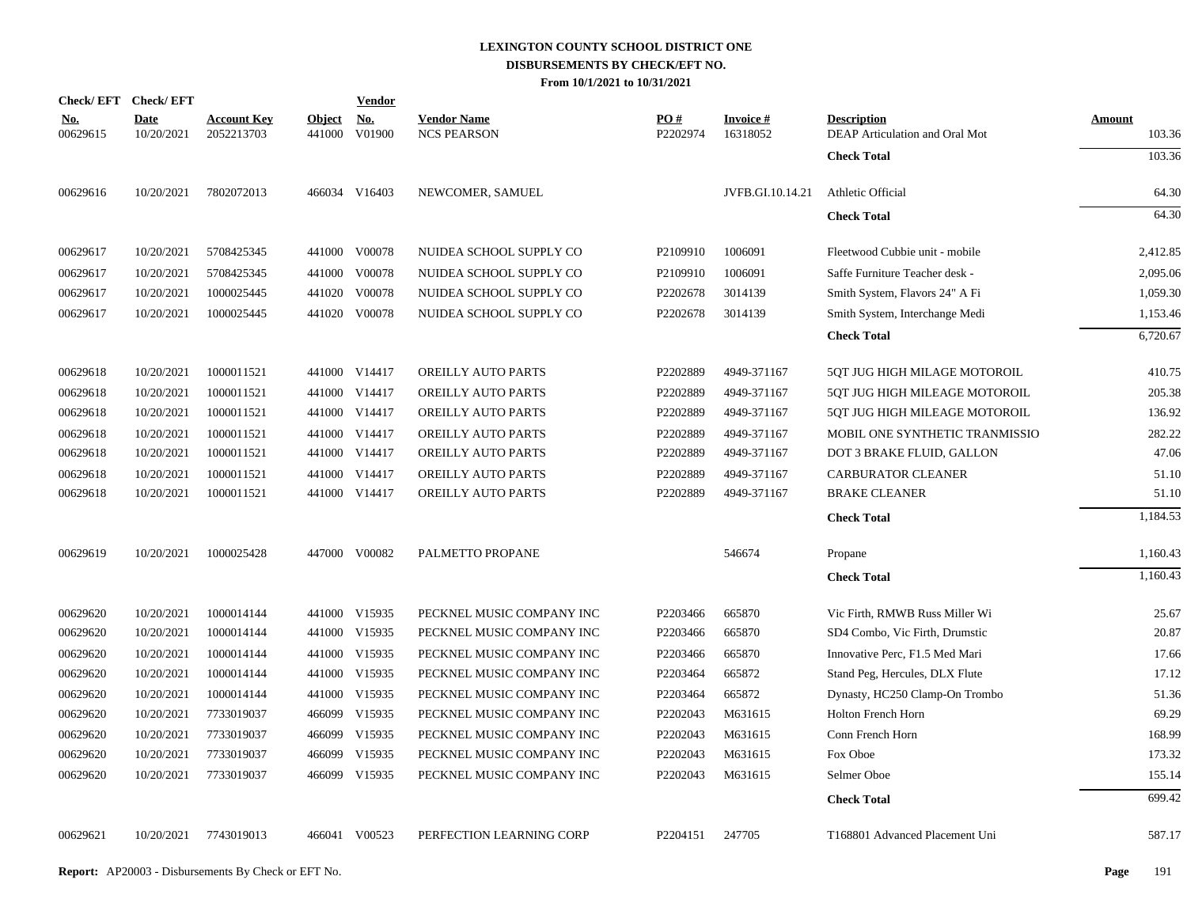|                        | Check/EFT Check/EFT       |                                  |               | <b>Vendor</b>        |                                          |                      |                             |                                                      |                         |
|------------------------|---------------------------|----------------------------------|---------------|----------------------|------------------------------------------|----------------------|-----------------------------|------------------------------------------------------|-------------------------|
| <u>No.</u><br>00629615 | <b>Date</b><br>10/20/2021 | <b>Account Key</b><br>2052213703 | <b>Object</b> | No.<br>441000 V01900 | <b>Vendor Name</b><br><b>NCS PEARSON</b> | PO#<br>P2202974      | <b>Invoice#</b><br>16318052 | <b>Description</b><br>DEAP Articulation and Oral Mot | <b>Amount</b><br>103.36 |
|                        |                           |                                  |               |                      |                                          |                      |                             | <b>Check Total</b>                                   | 103.36                  |
| 00629616               | 10/20/2021                | 7802072013                       |               | 466034 V16403        | NEWCOMER, SAMUEL                         |                      | JVFB.GI.10.14.21            | Athletic Official                                    | 64.30                   |
|                        |                           |                                  |               |                      |                                          |                      |                             | <b>Check Total</b>                                   | 64.30                   |
| 00629617               | 10/20/2021                | 5708425345                       |               | 441000 V00078        | NUIDEA SCHOOL SUPPLY CO                  | P <sub>2109910</sub> | 1006091                     | Fleetwood Cubbie unit - mobile                       | 2,412.85                |
| 00629617               | 10/20/2021                | 5708425345                       |               | 441000 V00078        | NUIDEA SCHOOL SUPPLY CO                  | P2109910             | 1006091                     | Saffe Furniture Teacher desk -                       | 2,095.06                |
| 00629617               | 10/20/2021                | 1000025445                       | 441020        | V00078               | NUIDEA SCHOOL SUPPLY CO                  | P2202678             | 3014139                     | Smith System, Flavors 24" A Fi                       | 1,059.30                |
| 00629617               | 10/20/2021                | 1000025445                       |               | 441020 V00078        | NUIDEA SCHOOL SUPPLY CO                  | P2202678             | 3014139                     | Smith System, Interchange Medi                       | 1,153.46                |
|                        |                           |                                  |               |                      |                                          |                      |                             | <b>Check Total</b>                                   | 6,720.67                |
| 00629618               | 10/20/2021                | 1000011521                       |               | 441000 V14417        | OREILLY AUTO PARTS                       | P2202889             | 4949-371167                 | 5QT JUG HIGH MILAGE MOTOROIL                         | 410.75                  |
| 00629618               | 10/20/2021                | 1000011521                       |               | 441000 V14417        | OREILLY AUTO PARTS                       | P2202889             | 4949-371167                 | 5QT JUG HIGH MILEAGE MOTOROIL                        | 205.38                  |
| 00629618               | 10/20/2021                | 1000011521                       |               | 441000 V14417        | OREILLY AUTO PARTS                       | P2202889             | 4949-371167                 | 5QT JUG HIGH MILEAGE MOTOROIL                        | 136.92                  |
| 00629618               | 10/20/2021                | 1000011521                       |               | 441000 V14417        | OREILLY AUTO PARTS                       | P2202889             | 4949-371167                 | MOBIL ONE SYNTHETIC TRANMISSIO                       | 282.22                  |
| 00629618               | 10/20/2021                | 1000011521                       |               | 441000 V14417        | OREILLY AUTO PARTS                       | P2202889             | 4949-371167                 | DOT 3 BRAKE FLUID, GALLON                            | 47.06                   |
| 00629618               | 10/20/2021                | 1000011521                       |               | 441000 V14417        | OREILLY AUTO PARTS                       | P2202889             | 4949-371167                 | <b>CARBURATOR CLEANER</b>                            | 51.10                   |
| 00629618               | 10/20/2021                | 1000011521                       |               | 441000 V14417        | OREILLY AUTO PARTS                       | P2202889             | 4949-371167                 | <b>BRAKE CLEANER</b>                                 | 51.10                   |
|                        |                           |                                  |               |                      |                                          |                      |                             | <b>Check Total</b>                                   | 1,184.53                |
| 00629619               | 10/20/2021                | 1000025428                       |               | 447000 V00082        | PALMETTO PROPANE                         |                      | 546674                      | Propane                                              | 1,160.43                |
|                        |                           |                                  |               |                      |                                          |                      |                             | <b>Check Total</b>                                   | 1,160.43                |
| 00629620               | 10/20/2021                | 1000014144                       |               | 441000 V15935        | PECKNEL MUSIC COMPANY INC                | P2203466             | 665870                      | Vic Firth, RMWB Russ Miller Wi                       | 25.67                   |
| 00629620               | 10/20/2021                | 1000014144                       |               | 441000 V15935        | PECKNEL MUSIC COMPANY INC                | P2203466             | 665870                      | SD4 Combo, Vic Firth, Drumstic                       | 20.87                   |
| 00629620               | 10/20/2021                | 1000014144                       |               | 441000 V15935        | PECKNEL MUSIC COMPANY INC                | P2203466             | 665870                      | Innovative Perc, F1.5 Med Mari                       | 17.66                   |
| 00629620               | 10/20/2021                | 1000014144                       |               | 441000 V15935        | PECKNEL MUSIC COMPANY INC                | P2203464             | 665872                      | Stand Peg, Hercules, DLX Flute                       | 17.12                   |
| 00629620               | 10/20/2021                | 1000014144                       |               | 441000 V15935        | PECKNEL MUSIC COMPANY INC                | P2203464             | 665872                      | Dynasty, HC250 Clamp-On Trombo                       | 51.36                   |
| 00629620               | 10/20/2021                | 7733019037                       |               | 466099 V15935        | PECKNEL MUSIC COMPANY INC                | P2202043             | M631615                     | <b>Holton French Horn</b>                            | 69.29                   |
| 00629620               | 10/20/2021                | 7733019037                       |               | 466099 V15935        | PECKNEL MUSIC COMPANY INC                | P2202043             | M631615                     | Conn French Horn                                     | 168.99                  |
| 00629620               | 10/20/2021                | 7733019037                       |               | 466099 V15935        | PECKNEL MUSIC COMPANY INC                | P2202043             | M631615                     | Fox Oboe                                             | 173.32                  |
| 00629620               | 10/20/2021                | 7733019037                       |               | 466099 V15935        | PECKNEL MUSIC COMPANY INC                | P2202043             | M631615                     | Selmer Oboe                                          | 155.14                  |
|                        |                           |                                  |               |                      |                                          |                      |                             | <b>Check Total</b>                                   | 699.42                  |
| 00629621               |                           | 10/20/2021 7743019013            |               | 466041 V00523        | PERFECTION LEARNING CORP                 | P2204151             | 247705                      | T168801 Advanced Placement Uni                       | 587.17                  |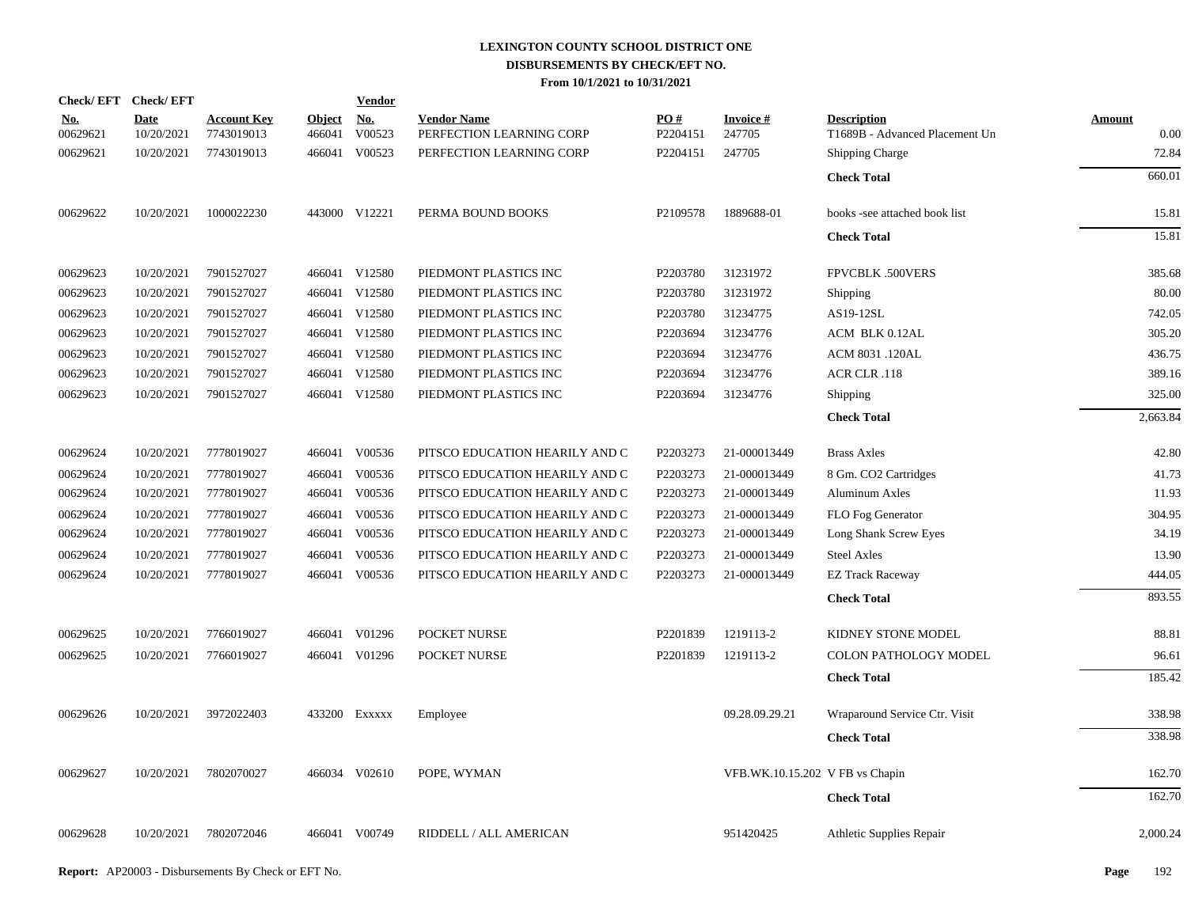| Check/EFT Check/EFT |                           |                                  |                         | <b>Vendor</b>                       |                                                |                 |                                 |                                                      |                       |
|---------------------|---------------------------|----------------------------------|-------------------------|-------------------------------------|------------------------------------------------|-----------------|---------------------------------|------------------------------------------------------|-----------------------|
| No.<br>00629621     | <b>Date</b><br>10/20/2021 | <b>Account Key</b><br>7743019013 | <b>Object</b><br>466041 | $\underline{\textbf{No}}$<br>V00523 | <b>Vendor Name</b><br>PERFECTION LEARNING CORP | PO#<br>P2204151 | <b>Invoice#</b><br>247705       | <b>Description</b><br>T1689B - Advanced Placement Un | <b>Amount</b><br>0.00 |
| 00629621            | 10/20/2021                | 7743019013                       | 466041                  | V00523                              | PERFECTION LEARNING CORP                       | P2204151        | 247705                          | <b>Shipping Charge</b>                               | 72.84                 |
|                     |                           |                                  |                         |                                     |                                                |                 |                                 | <b>Check Total</b>                                   | 660.01                |
| 00629622            | 10/20/2021                | 1000022230                       |                         | 443000 V12221                       | PERMA BOUND BOOKS                              | P2109578        | 1889688-01                      | books -see attached book list                        | 15.81                 |
|                     |                           |                                  |                         |                                     |                                                |                 |                                 | <b>Check Total</b>                                   | 15.81                 |
| 00629623            | 10/20/2021                | 7901527027                       |                         | 466041 V12580                       | PIEDMONT PLASTICS INC                          | P2203780        | 31231972                        | FPVCBLK .500VERS                                     | 385.68                |
| 00629623            | 10/20/2021                | 7901527027                       |                         | 466041 V12580                       | PIEDMONT PLASTICS INC                          | P2203780        | 31231972                        | Shipping                                             | 80.00                 |
| 00629623            | 10/20/2021                | 7901527027                       |                         | 466041 V12580                       | PIEDMONT PLASTICS INC                          | P2203780        | 31234775                        | AS19-12SL                                            | 742.05                |
| 00629623            | 10/20/2021                | 7901527027                       |                         | 466041 V12580                       | PIEDMONT PLASTICS INC                          | P2203694        | 31234776                        | ACM BLK 0.12AL                                       | 305.20                |
| 00629623            | 10/20/2021                | 7901527027                       |                         | 466041 V12580                       | PIEDMONT PLASTICS INC                          | P2203694        | 31234776                        | ACM 8031 .120AL                                      | 436.75                |
| 00629623            | 10/20/2021                | 7901527027                       |                         | 466041 V12580                       | PIEDMONT PLASTICS INC                          | P2203694        | 31234776                        | ACR CLR .118                                         | 389.16                |
| 00629623            | 10/20/2021                | 7901527027                       |                         | 466041 V12580                       | PIEDMONT PLASTICS INC                          | P2203694        | 31234776                        | Shipping                                             | 325.00                |
|                     |                           |                                  |                         |                                     |                                                |                 |                                 | <b>Check Total</b>                                   | 2,663.84              |
| 00629624            | 10/20/2021                | 7778019027                       |                         | 466041 V00536                       | PITSCO EDUCATION HEARILY AND C                 | P2203273        | 21-000013449                    | <b>Brass Axles</b>                                   | 42.80                 |
| 00629624            | 10/20/2021                | 7778019027                       | 466041                  | V00536                              | PITSCO EDUCATION HEARILY AND C                 | P2203273        | 21-000013449                    | 8 Gm. CO2 Cartridges                                 | 41.73                 |
| 00629624            | 10/20/2021                | 7778019027                       |                         | 466041 V00536                       | PITSCO EDUCATION HEARILY AND C                 | P2203273        | 21-000013449                    | <b>Aluminum Axles</b>                                | 11.93                 |
| 00629624            | 10/20/2021                | 7778019027                       | 466041                  | V00536                              | PITSCO EDUCATION HEARILY AND C                 | P2203273        | 21-000013449                    | FLO Fog Generator                                    | 304.95                |
| 00629624            | 10/20/2021                | 7778019027                       | 466041                  | V00536                              | PITSCO EDUCATION HEARILY AND C                 | P2203273        | 21-000013449                    | Long Shank Screw Eyes                                | 34.19                 |
| 00629624            | 10/20/2021                | 7778019027                       | 466041                  | V00536                              | PITSCO EDUCATION HEARILY AND C                 | P2203273        | 21-000013449                    | <b>Steel Axles</b>                                   | 13.90                 |
| 00629624            | 10/20/2021                | 7778019027                       |                         | 466041 V00536                       | PITSCO EDUCATION HEARILY AND C                 | P2203273        | 21-000013449                    | <b>EZ Track Raceway</b>                              | 444.05                |
|                     |                           |                                  |                         |                                     |                                                |                 |                                 | <b>Check Total</b>                                   | 893.55                |
| 00629625            | 10/20/2021                | 7766019027                       |                         | 466041 V01296                       | POCKET NURSE                                   | P2201839        | 1219113-2                       | KIDNEY STONE MODEL                                   | 88.81                 |
| 00629625            | 10/20/2021                | 7766019027                       |                         | 466041 V01296                       | POCKET NURSE                                   | P2201839        | 1219113-2                       | COLON PATHOLOGY MODEL                                | 96.61                 |
|                     |                           |                                  |                         |                                     |                                                |                 |                                 | <b>Check Total</b>                                   | 185.42                |
| 00629626            | 10/20/2021                | 3972022403                       |                         | 433200 Exxxxx                       | Employee                                       |                 | 09.28.09.29.21                  | Wraparound Service Ctr. Visit                        | 338.98                |
|                     |                           |                                  |                         |                                     |                                                |                 |                                 | <b>Check Total</b>                                   | 338.98                |
| 00629627            | 10/20/2021                | 7802070027                       |                         | 466034 V02610                       | POPE, WYMAN                                    |                 | VFB.WK.10.15.202 V FB vs Chapin |                                                      | 162.70                |
|                     |                           |                                  |                         |                                     |                                                |                 |                                 | <b>Check Total</b>                                   | 162.70                |
| 00629628            | 10/20/2021                | 7802072046                       |                         | 466041 V00749                       | RIDDELL / ALL AMERICAN                         |                 | 951420425                       | Athletic Supplies Repair                             | 2,000.24              |
|                     |                           |                                  |                         |                                     |                                                |                 |                                 |                                                      |                       |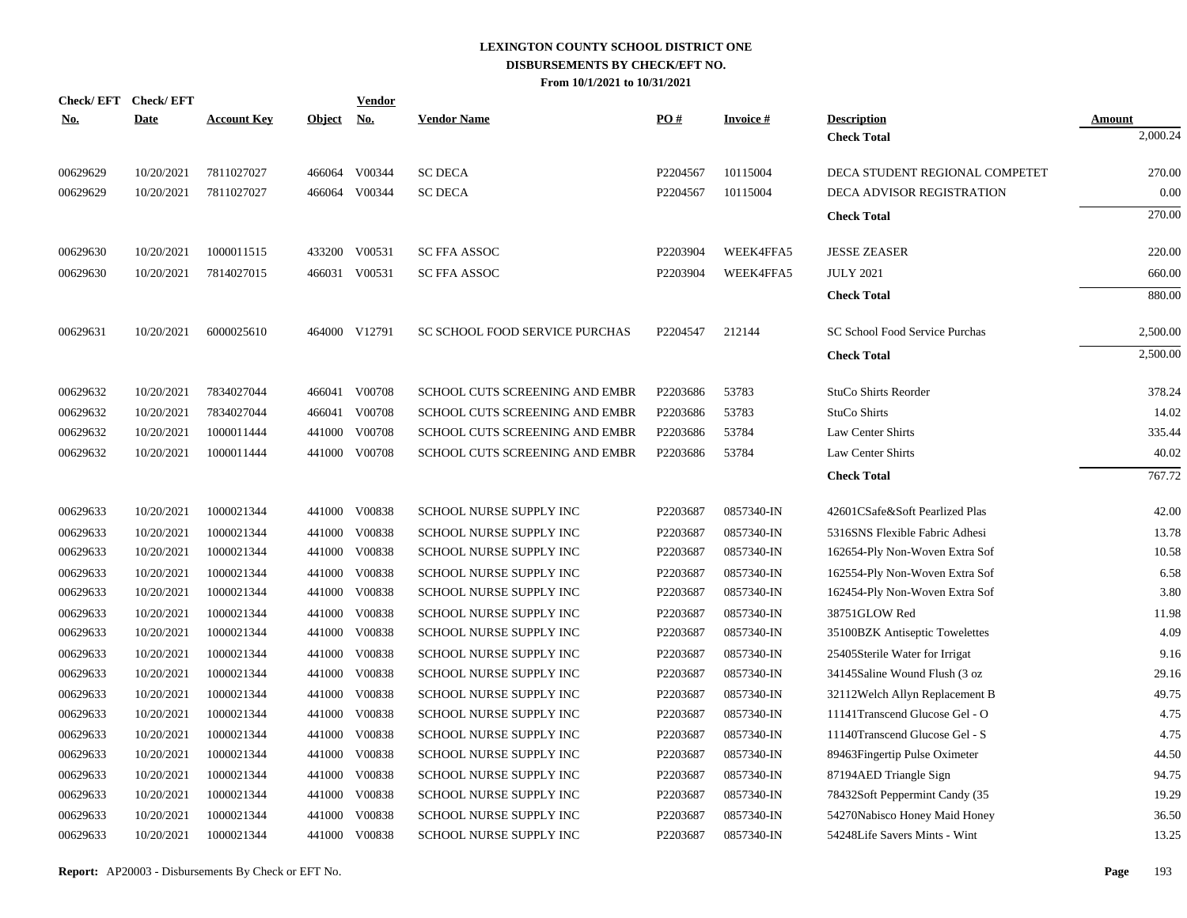|            | Check/EFT Check/EFT |                    |               | <b>Vendor</b> |                                |          |                 |                                |               |
|------------|---------------------|--------------------|---------------|---------------|--------------------------------|----------|-----------------|--------------------------------|---------------|
| <u>No.</u> | <b>Date</b>         | <b>Account Key</b> | <b>Object</b> | <u>No.</u>    | <b>Vendor Name</b>             | PO#      | <b>Invoice#</b> | <b>Description</b>             | <b>Amount</b> |
|            |                     |                    |               |               |                                |          |                 | <b>Check Total</b>             | 2,000.24      |
| 00629629   | 10/20/2021          | 7811027027         |               | 466064 V00344 | <b>SC DECA</b>                 | P2204567 | 10115004        | DECA STUDENT REGIONAL COMPETET | 270.00        |
| 00629629   | 10/20/2021          | 7811027027         |               | 466064 V00344 | <b>SC DECA</b>                 | P2204567 | 10115004        | DECA ADVISOR REGISTRATION      | 0.00          |
|            |                     |                    |               |               |                                |          |                 | <b>Check Total</b>             | 270.00        |
| 00629630   | 10/20/2021          | 1000011515         |               | 433200 V00531 | <b>SC FFA ASSOC</b>            | P2203904 | WEEK4FFA5       | <b>JESSE ZEASER</b>            | 220.00        |
| 00629630   | 10/20/2021          | 7814027015         |               | 466031 V00531 | <b>SC FFA ASSOC</b>            | P2203904 | WEEK4FFA5       | <b>JULY 2021</b>               | 660.00        |
|            |                     |                    |               |               |                                |          |                 | <b>Check Total</b>             | 880.00        |
| 00629631   | 10/20/2021          | 6000025610         |               | 464000 V12791 | SC SCHOOL FOOD SERVICE PURCHAS | P2204547 | 212144          | SC School Food Service Purchas | 2,500.00      |
|            |                     |                    |               |               |                                |          |                 | <b>Check Total</b>             | 2,500.00      |
| 00629632   | 10/20/2021          | 7834027044         |               | 466041 V00708 | SCHOOL CUTS SCREENING AND EMBR | P2203686 | 53783           | StuCo Shirts Reorder           | 378.24        |
| 00629632   | 10/20/2021          | 7834027044         | 466041        | V00708        | SCHOOL CUTS SCREENING AND EMBR | P2203686 | 53783           | StuCo Shirts                   | 14.02         |
| 00629632   | 10/20/2021          | 1000011444         | 441000        | V00708        | SCHOOL CUTS SCREENING AND EMBR | P2203686 | 53784           | Law Center Shirts              | 335.44        |
| 00629632   | 10/20/2021          | 1000011444         |               | 441000 V00708 | SCHOOL CUTS SCREENING AND EMBR | P2203686 | 53784           | Law Center Shirts              | 40.02         |
|            |                     |                    |               |               |                                |          |                 | <b>Check Total</b>             | 767.72        |
| 00629633   | 10/20/2021          | 1000021344         |               | 441000 V00838 | <b>SCHOOL NURSE SUPPLY INC</b> | P2203687 | 0857340-IN      | 42601CSafe&Soft Pearlized Plas | 42.00         |
| 00629633   | 10/20/2021          | 1000021344         | 441000        | V00838        | SCHOOL NURSE SUPPLY INC        | P2203687 | 0857340-IN      | 5316SNS Flexible Fabric Adhesi | 13.78         |
| 00629633   | 10/20/2021          | 1000021344         |               | 441000 V00838 | SCHOOL NURSE SUPPLY INC        | P2203687 | 0857340-IN      | 162654-Ply Non-Woven Extra Sof | 10.58         |
| 00629633   | 10/20/2021          | 1000021344         | 441000        | V00838        | SCHOOL NURSE SUPPLY INC        | P2203687 | 0857340-IN      | 162554-Ply Non-Woven Extra Sof | 6.58          |
| 00629633   | 10/20/2021          | 1000021344         |               | 441000 V00838 | SCHOOL NURSE SUPPLY INC        | P2203687 | 0857340-IN      | 162454-Ply Non-Woven Extra Sof | 3.80          |
| 00629633   | 10/20/2021          | 1000021344         | 441000        | V00838        | SCHOOL NURSE SUPPLY INC        | P2203687 | 0857340-IN      | 38751GLOW Red                  | 11.98         |
| 00629633   | 10/20/2021          | 1000021344         |               | 441000 V00838 | SCHOOL NURSE SUPPLY INC        | P2203687 | 0857340-IN      | 35100BZK Antiseptic Towelettes | 4.09          |
| 00629633   | 10/20/2021          | 1000021344         | 441000        | V00838        | SCHOOL NURSE SUPPLY INC        | P2203687 | 0857340-IN      | 25405Sterile Water for Irrigat | 9.16          |
| 00629633   | 10/20/2021          | 1000021344         |               | 441000 V00838 | SCHOOL NURSE SUPPLY INC        | P2203687 | 0857340-IN      | 34145Saline Wound Flush (3 oz  | 29.16         |
| 00629633   | 10/20/2021          | 1000021344         | 441000        | V00838        | SCHOOL NURSE SUPPLY INC        | P2203687 | 0857340-IN      | 32112Welch Allyn Replacement B | 49.75         |
| 00629633   | 10/20/2021          | 1000021344         |               | 441000 V00838 | SCHOOL NURSE SUPPLY INC        | P2203687 | 0857340-IN      | 11141Transcend Glucose Gel - O | 4.75          |
| 00629633   | 10/20/2021          | 1000021344         | 441000        | V00838        | SCHOOL NURSE SUPPLY INC        | P2203687 | 0857340-IN      | 11140Transcend Glucose Gel - S | 4.75          |
| 00629633   | 10/20/2021          | 1000021344         | 441000        | V00838        | SCHOOL NURSE SUPPLY INC        | P2203687 | 0857340-IN      | 89463Fingertip Pulse Oximeter  | 44.50         |
| 00629633   | 10/20/2021          | 1000021344         | 441000        | V00838        | SCHOOL NURSE SUPPLY INC        | P2203687 | 0857340-IN      | 87194AED Triangle Sign         | 94.75         |
| 00629633   | 10/20/2021          | 1000021344         | 441000        | V00838        | SCHOOL NURSE SUPPLY INC        | P2203687 | 0857340-IN      | 78432Soft Peppermint Candy (35 | 19.29         |
| 00629633   | 10/20/2021          | 1000021344         | 441000        | V00838        | SCHOOL NURSE SUPPLY INC        | P2203687 | 0857340-IN      | 54270Nabisco Honey Maid Honey  | 36.50         |
| 00629633   | 10/20/2021          | 1000021344         |               | 441000 V00838 | SCHOOL NURSE SUPPLY INC        | P2203687 | 0857340-IN      | 54248Life Savers Mints - Wint  | 13.25         |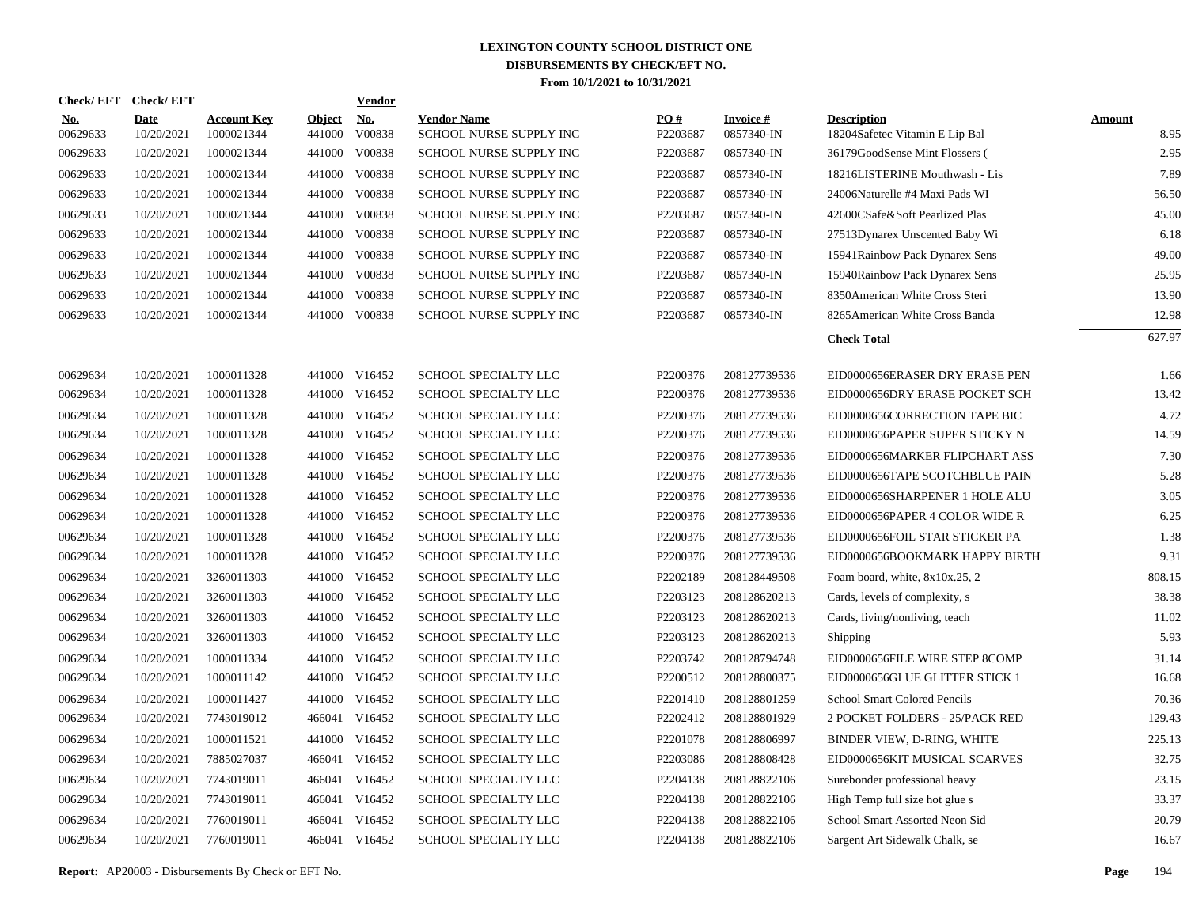| <b>Check/EFT</b>       | <b>Check/EFT</b>          |                                  |                         | <b>Vendor</b> |                                               |                 |                               |                                                      |                       |
|------------------------|---------------------------|----------------------------------|-------------------------|---------------|-----------------------------------------------|-----------------|-------------------------------|------------------------------------------------------|-----------------------|
| <b>No.</b><br>00629633 | <b>Date</b><br>10/20/2021 | <b>Account Key</b><br>1000021344 | <b>Object</b><br>441000 | No.<br>V00838 | <b>Vendor Name</b><br>SCHOOL NURSE SUPPLY INC | PO#<br>P2203687 | <b>Invoice#</b><br>0857340-IN | <b>Description</b><br>18204Safetec Vitamin E Lip Bal | <b>Amount</b><br>8.95 |
| 00629633               | 10/20/2021                | 1000021344                       | 441000                  | V00838        | SCHOOL NURSE SUPPLY INC                       | P2203687        | 0857340-IN                    | 36179GoodSense Mint Flossers (                       | 2.95                  |
| 00629633               | 10/20/2021                | 1000021344                       | 441000                  | V00838        | SCHOOL NURSE SUPPLY INC                       | P2203687        | 0857340-IN                    | 18216LISTERINE Mouthwash - Lis                       | 7.89                  |
| 00629633               | 10/20/2021                | 1000021344                       | 441000                  | V00838        | SCHOOL NURSE SUPPLY INC                       | P2203687        | 0857340-IN                    | 24006Naturelle #4 Maxi Pads WI                       | 56.50                 |
| 00629633               | 10/20/2021                | 1000021344                       | 441000                  | V00838        | SCHOOL NURSE SUPPLY INC                       | P2203687        | 0857340-IN                    | 42600CSafe&Soft Pearlized Plas                       | 45.00                 |
| 00629633               | 10/20/2021                | 1000021344                       | 441000                  | V00838        | SCHOOL NURSE SUPPLY INC                       | P2203687        | 0857340-IN                    | 27513Dynarex Unscented Baby Wi                       | 6.18                  |
| 00629633               | 10/20/2021                | 1000021344                       | 441000                  | V00838        | <b>SCHOOL NURSE SUPPLY INC</b>                | P2203687        | 0857340-IN                    | 15941Rainbow Pack Dynarex Sens                       | 49.00                 |
| 00629633               | 10/20/2021                | 1000021344                       | 441000                  | V00838        | <b>SCHOOL NURSE SUPPLY INC</b>                | P2203687        | 0857340-IN                    | 15940Rainbow Pack Dynarex Sens                       | 25.95                 |
| 00629633               | 10/20/2021                | 1000021344                       | 441000                  | V00838        | <b>SCHOOL NURSE SUPPLY INC</b>                | P2203687        | 0857340-IN                    | 8350American White Cross Steri                       | 13.90                 |
| 00629633               | 10/20/2021                | 1000021344                       | 441000                  | V00838        | <b>SCHOOL NURSE SUPPLY INC</b>                | P2203687        | 0857340-IN                    | 8265American White Cross Banda                       | 12.98                 |
|                        |                           |                                  |                         |               |                                               |                 |                               | <b>Check Total</b>                                   | 627.97                |
| 00629634               | 10/20/2021                | 1000011328                       |                         | 441000 V16452 | SCHOOL SPECIALTY LLC                          | P2200376        | 208127739536                  | EID0000656ERASER DRY ERASE PEN                       | 1.66                  |
| 00629634               | 10/20/2021                | 1000011328                       |                         | 441000 V16452 | SCHOOL SPECIALTY LLC                          | P2200376        | 208127739536                  | EID0000656DRY ERASE POCKET SCH                       | 13.42                 |
| 00629634               | 10/20/2021                | 1000011328                       | 441000                  | V16452        | SCHOOL SPECIALTY LLC                          | P2200376        | 208127739536                  | EID0000656CORRECTION TAPE BIC                        | 4.72                  |
| 00629634               | 10/20/2021                | 1000011328                       |                         | 441000 V16452 | <b>SCHOOL SPECIALTY LLC</b>                   | P2200376        | 208127739536                  | EID0000656PAPER SUPER STICKY N                       | 14.59                 |
| 00629634               | 10/20/2021                | 1000011328                       | 441000                  | V16452        | SCHOOL SPECIALTY LLC                          | P2200376        | 208127739536                  | EID0000656MARKER FLIPCHART ASS                       | 7.30                  |
| 00629634               | 10/20/2021                | 1000011328                       |                         | 441000 V16452 | SCHOOL SPECIALTY LLC                          | P2200376        | 208127739536                  | EID0000656TAPE SCOTCHBLUE PAIN                       | 5.28                  |
| 00629634               | 10/20/2021                | 1000011328                       | 441000                  | V16452        | SCHOOL SPECIALTY LLC                          | P2200376        | 208127739536                  | EID0000656SHARPENER 1 HOLE ALU                       | 3.05                  |
| 00629634               | 10/20/2021                | 1000011328                       |                         | 441000 V16452 | SCHOOL SPECIALTY LLC                          | P2200376        | 208127739536                  | EID0000656PAPER 4 COLOR WIDE R                       | 6.25                  |
| 00629634               | 10/20/2021                | 1000011328                       | 441000                  | V16452        | SCHOOL SPECIALTY LLC                          | P2200376        | 208127739536                  | EID0000656FOIL STAR STICKER PA                       | 1.38                  |
| 00629634               | 10/20/2021                | 1000011328                       |                         | 441000 V16452 | SCHOOL SPECIALTY LLC                          | P2200376        | 208127739536                  | EID0000656BOOKMARK HAPPY BIRTH                       | 9.31                  |
| 00629634               | 10/20/2021                | 3260011303                       | 441000                  | V16452        | SCHOOL SPECIALTY LLC                          | P2202189        | 208128449508                  | Foam board, white, 8x10x.25, 2                       | 808.15                |
| 00629634               | 10/20/2021                | 3260011303                       |                         | 441000 V16452 | SCHOOL SPECIALTY LLC                          | P2203123        | 208128620213                  | Cards, levels of complexity, s                       | 38.38                 |
| 00629634               | 10/20/2021                | 3260011303                       | 441000                  | V16452        | SCHOOL SPECIALTY LLC                          | P2203123        | 208128620213                  | Cards, living/nonliving, teach                       | 11.02                 |
| 00629634               | 10/20/2021                | 3260011303                       |                         | 441000 V16452 | SCHOOL SPECIALTY LLC                          | P2203123        | 208128620213                  | Shipping                                             | 5.93                  |
| 00629634               | 10/20/2021                | 1000011334                       | 441000                  | V16452        | SCHOOL SPECIALTY LLC                          | P2203742        | 208128794748                  | EID0000656FILE WIRE STEP 8COMP                       | 31.14                 |
| 00629634               | 10/20/2021                | 1000011142                       |                         | 441000 V16452 | SCHOOL SPECIALTY LLC                          | P2200512        | 208128800375                  | EID0000656GLUE GLITTER STICK 1                       | 16.68                 |
| 00629634               | 10/20/2021                | 1000011427                       | 441000                  | V16452        | SCHOOL SPECIALTY LLC                          | P2201410        | 208128801259                  | <b>School Smart Colored Pencils</b>                  | 70.36                 |
| 00629634               | 10/20/2021                | 7743019012                       |                         | 466041 V16452 | SCHOOL SPECIALTY LLC                          | P2202412        | 208128801929                  | 2 POCKET FOLDERS - 25/PACK RED                       | 129.43                |
| 00629634               | 10/20/2021                | 1000011521                       | 441000                  | V16452        | SCHOOL SPECIALTY LLC                          | P2201078        | 208128806997                  | BINDER VIEW, D-RING, WHITE                           | 225.13                |
| 00629634               | 10/20/2021                | 7885027037                       | 466041                  | V16452        | SCHOOL SPECIALTY LLC                          | P2203086        | 208128808428                  | EID0000656KIT MUSICAL SCARVES                        | 32.75                 |
| 00629634               | 10/20/2021                | 7743019011                       | 466041                  | V16452        | SCHOOL SPECIALTY LLC                          | P2204138        | 208128822106                  | Surebonder professional heavy                        | 23.15                 |
| 00629634               | 10/20/2021                | 7743019011                       | 466041                  | V16452        | SCHOOL SPECIALTY LLC                          | P2204138        | 208128822106                  | High Temp full size hot glue s                       | 33.37                 |
| 00629634               | 10/20/2021                | 7760019011                       | 466041                  | V16452        | SCHOOL SPECIALTY LLC                          | P2204138        | 208128822106                  | School Smart Assorted Neon Sid                       | 20.79                 |
| 00629634               | 10/20/2021                | 7760019011                       |                         | 466041 V16452 | SCHOOL SPECIALTY LLC                          | P2204138        | 208128822106                  | Sargent Art Sidewalk Chalk, se                       | 16.67                 |
|                        |                           |                                  |                         |               |                                               |                 |                               |                                                      |                       |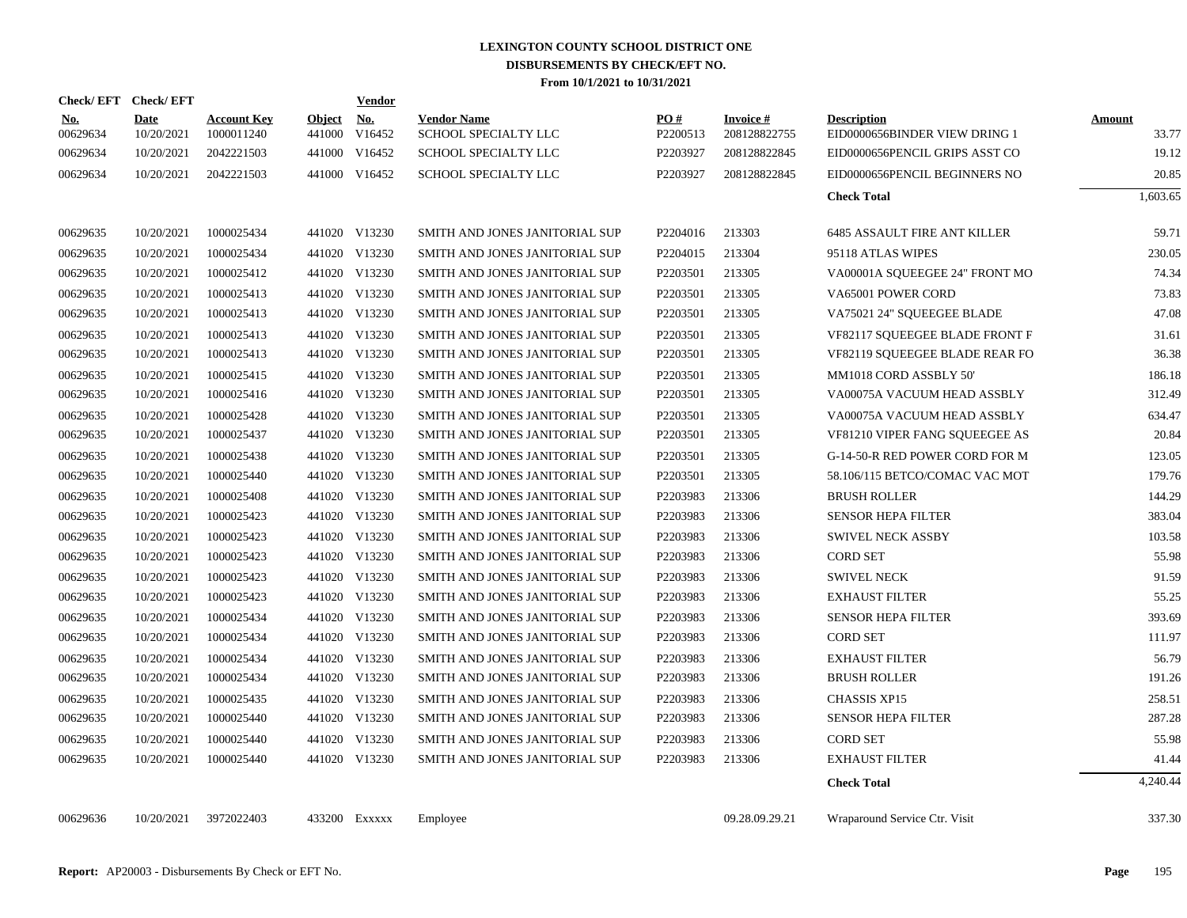| Check/EFT Check/EFT    |                           |                                  |                         | <b>Vendor</b> |                                            |                      |                                 |                                                     |                        |
|------------------------|---------------------------|----------------------------------|-------------------------|---------------|--------------------------------------------|----------------------|---------------------------------|-----------------------------------------------------|------------------------|
| <u>No.</u><br>00629634 | <b>Date</b><br>10/20/2021 | <b>Account Key</b><br>1000011240 | <b>Object</b><br>441000 | No.<br>V16452 | <b>Vendor Name</b><br>SCHOOL SPECIALTY LLC | PO#<br>P2200513      | <b>Invoice#</b><br>208128822755 | <b>Description</b><br>EID0000656BINDER VIEW DRING 1 | <b>Amount</b><br>33.77 |
| 00629634               | 10/20/2021                | 2042221503                       |                         | 441000 V16452 | SCHOOL SPECIALTY LLC                       | P2203927             | 208128822845                    | EID0000656PENCIL GRIPS ASST CO                      | 19.12                  |
| 00629634               | 10/20/2021                | 2042221503                       |                         | 441000 V16452 | <b>SCHOOL SPECIALTY LLC</b>                | P2203927             | 208128822845                    | EID0000656PENCIL BEGINNERS NO                       | 20.85                  |
|                        |                           |                                  |                         |               |                                            |                      |                                 | <b>Check Total</b>                                  | 1,603.65               |
| 00629635               | 10/20/2021                | 1000025434                       |                         | 441020 V13230 | SMITH AND JONES JANITORIAL SUP             | P2204016             | 213303                          | <b>6485 ASSAULT FIRE ANT KILLER</b>                 | 59.71                  |
| 00629635               | 10/20/2021                | 1000025434                       |                         | 441020 V13230 | SMITH AND JONES JANITORIAL SUP             | P <sub>2204015</sub> | 213304                          | 95118 ATLAS WIPES                                   | 230.05                 |
| 00629635               | 10/20/2021                | 1000025412                       |                         | 441020 V13230 | SMITH AND JONES JANITORIAL SUP             | P2203501             | 213305                          | VA00001A SQUEEGEE 24" FRONT MO                      | 74.34                  |
| 00629635               | 10/20/2021                | 1000025413                       |                         | 441020 V13230 | SMITH AND JONES JANITORIAL SUP             | P2203501             | 213305                          | VA65001 POWER CORD                                  | 73.83                  |
| 00629635               | 10/20/2021                | 1000025413                       |                         | 441020 V13230 | SMITH AND JONES JANITORIAL SUP             | P2203501             | 213305                          | VA75021 24" SQUEEGEE BLADE                          | 47.08                  |
| 00629635               | 10/20/2021                | 1000025413                       |                         | 441020 V13230 | SMITH AND JONES JANITORIAL SUP             | P2203501             | 213305                          | <b>VF82117 SOUEEGEE BLADE FRONT F</b>               | 31.61                  |
| 00629635               | 10/20/2021                | 1000025413                       |                         | 441020 V13230 | SMITH AND JONES JANITORIAL SUP             | P2203501             | 213305                          | VF82119 SQUEEGEE BLADE REAR FO                      | 36.38                  |
| 00629635               | 10/20/2021                | 1000025415                       |                         | 441020 V13230 | SMITH AND JONES JANITORIAL SUP             | P2203501             | 213305                          | MM1018 CORD ASSBLY 50'                              | 186.18                 |
| 00629635               | 10/20/2021                | 1000025416                       |                         | 441020 V13230 | SMITH AND JONES JANITORIAL SUP             | P2203501             | 213305                          | VA00075A VACUUM HEAD ASSBLY                         | 312.49                 |
| 00629635               | 10/20/2021                | 1000025428                       |                         | 441020 V13230 | SMITH AND JONES JANITORIAL SUP             | P2203501             | 213305                          | VA00075A VACUUM HEAD ASSBLY                         | 634.47                 |
| 00629635               | 10/20/2021                | 1000025437                       |                         | 441020 V13230 | SMITH AND JONES JANITORIAL SUP             | P2203501             | 213305                          | VF81210 VIPER FANG SQUEEGEE AS                      | 20.84                  |
| 00629635               | 10/20/2021                | 1000025438                       | 441020                  | V13230        | SMITH AND JONES JANITORIAL SUP             | P2203501             | 213305                          | G-14-50-R RED POWER CORD FOR M                      | 123.05                 |
| 00629635               | 10/20/2021                | 1000025440                       |                         | 441020 V13230 | SMITH AND JONES JANITORIAL SUP             | P2203501             | 213305                          | 58.106/115 BETCO/COMAC VAC MOT                      | 179.76                 |
| 00629635               | 10/20/2021                | 1000025408                       |                         | 441020 V13230 | SMITH AND JONES JANITORIAL SUP             | P2203983             | 213306                          | <b>BRUSH ROLLER</b>                                 | 144.29                 |
| 00629635               | 10/20/2021                | 1000025423                       |                         | 441020 V13230 | SMITH AND JONES JANITORIAL SUP             | P2203983             | 213306                          | <b>SENSOR HEPA FILTER</b>                           | 383.04                 |
| 00629635               | 10/20/2021                | 1000025423                       |                         | 441020 V13230 | SMITH AND JONES JANITORIAL SUP             | P2203983             | 213306                          | <b>SWIVEL NECK ASSBY</b>                            | 103.58                 |
| 00629635               | 10/20/2021                | 1000025423                       |                         | 441020 V13230 | SMITH AND JONES JANITORIAL SUP             | P2203983             | 213306                          | <b>CORD SET</b>                                     | 55.98                  |
| 00629635               | 10/20/2021                | 1000025423                       |                         | 441020 V13230 | SMITH AND JONES JANITORIAL SUP             | P2203983             | 213306                          | <b>SWIVEL NECK</b>                                  | 91.59                  |
| 00629635               | 10/20/2021                | 1000025423                       |                         | 441020 V13230 | SMITH AND JONES JANITORIAL SUP             | P2203983             | 213306                          | <b>EXHAUST FILTER</b>                               | 55.25                  |
| 00629635               | 10/20/2021                | 1000025434                       |                         | 441020 V13230 | SMITH AND JONES JANITORIAL SUP             | P2203983             | 213306                          | <b>SENSOR HEPA FILTER</b>                           | 393.69                 |
| 00629635               | 10/20/2021                | 1000025434                       |                         | 441020 V13230 | SMITH AND JONES JANITORIAL SUP             | P2203983             | 213306                          | <b>CORD SET</b>                                     | 111.97                 |
| 00629635               | 10/20/2021                | 1000025434                       |                         | 441020 V13230 | SMITH AND JONES JANITORIAL SUP             | P2203983             | 213306                          | <b>EXHAUST FILTER</b>                               | 56.79                  |
| 00629635               | 10/20/2021                | 1000025434                       |                         | 441020 V13230 | SMITH AND JONES JANITORIAL SUP             | P2203983             | 213306                          | <b>BRUSH ROLLER</b>                                 | 191.26                 |
| 00629635               | 10/20/2021                | 1000025435                       |                         | 441020 V13230 | SMITH AND JONES JANITORIAL SUP             | P2203983             | 213306                          | <b>CHASSIS XP15</b>                                 | 258.51                 |
| 00629635               | 10/20/2021                | 1000025440                       |                         | 441020 V13230 | SMITH AND JONES JANITORIAL SUP             | P2203983             | 213306                          | <b>SENSOR HEPA FILTER</b>                           | 287.28                 |
| 00629635               | 10/20/2021                | 1000025440                       |                         | 441020 V13230 | SMITH AND JONES JANITORIAL SUP             | P2203983             | 213306                          | <b>CORD SET</b>                                     | 55.98                  |
| 00629635               | 10/20/2021                | 1000025440                       |                         | 441020 V13230 | SMITH AND JONES JANITORIAL SUP             | P2203983             | 213306                          | <b>EXHAUST FILTER</b>                               | 41.44                  |
|                        |                           |                                  |                         |               |                                            |                      |                                 | <b>Check Total</b>                                  | 4,240.44               |
| 00629636               | 10/20/2021                | 3972022403                       |                         | 433200 Exxxxx | Employee                                   |                      | 09.28.09.29.21                  | Wraparound Service Ctr. Visit                       | 337.30                 |
|                        |                           |                                  |                         |               |                                            |                      |                                 |                                                     |                        |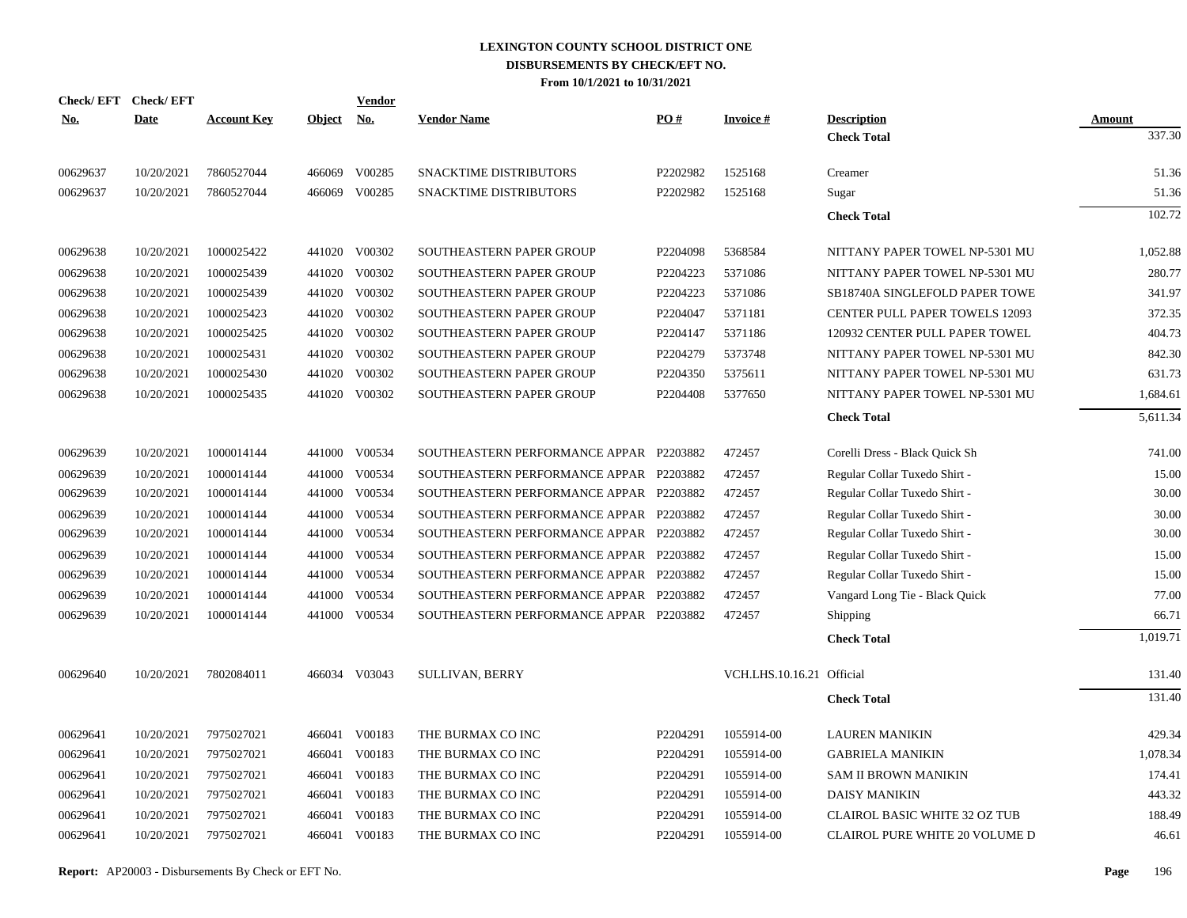| Check/EFT Check/EFT<br><u>No.</u> | <b>Date</b>              | <b>Account Key</b>       | <b>Object</b> | <b>Vendor</b><br>No.           | <b>Vendor Name</b>                      | PO#      | <b>Invoice#</b>           | <b>Description</b>                    | Amount         |
|-----------------------------------|--------------------------|--------------------------|---------------|--------------------------------|-----------------------------------------|----------|---------------------------|---------------------------------------|----------------|
|                                   |                          |                          |               |                                |                                         |          |                           | <b>Check Total</b>                    | 337.30         |
| 00629637                          | 10/20/2021               | 7860527044               |               | 466069 V00285                  | SNACKTIME DISTRIBUTORS                  | P2202982 | 1525168                   | Creamer                               | 51.36          |
| 00629637                          | 10/20/2021               | 7860527044               |               | 466069 V00285                  | <b>SNACKTIME DISTRIBUTORS</b>           | P2202982 | 1525168                   | Sugar                                 | 51.36          |
|                                   |                          |                          |               |                                |                                         |          |                           | <b>Check Total</b>                    | 102.72         |
| 00629638                          | 10/20/2021               | 1000025422               |               | 441020 V00302                  | SOUTHEASTERN PAPER GROUP                | P2204098 | 5368584                   | NITTANY PAPER TOWEL NP-5301 MU        | 1,052.88       |
| 00629638                          | 10/20/2021               | 1000025439               |               | 441020 V00302                  | SOUTHEASTERN PAPER GROUP                | P2204223 | 5371086                   | NITTANY PAPER TOWEL NP-5301 MU        | 280.77         |
| 00629638                          | 10/20/2021               | 1000025439               |               | 441020 V00302                  | SOUTHEASTERN PAPER GROUP                | P2204223 | 5371086                   | SB18740A SINGLEFOLD PAPER TOWE        | 341.97         |
| 00629638                          | 10/20/2021               | 1000025423               |               | 441020 V00302                  | SOUTHEASTERN PAPER GROUP                | P2204047 | 5371181                   | <b>CENTER PULL PAPER TOWELS 12093</b> | 372.35         |
| 00629638                          | 10/20/2021               | 1000025425               |               | 441020 V00302                  | SOUTHEASTERN PAPER GROUP                | P2204147 | 5371186                   | 120932 CENTER PULL PAPER TOWEL        | 404.73         |
| 00629638                          | 10/20/2021               | 1000025431               |               | 441020 V00302                  | SOUTHEASTERN PAPER GROUP                | P2204279 | 5373748                   | NITTANY PAPER TOWEL NP-5301 MU        | 842.30         |
| 00629638                          | 10/20/2021               | 1000025430               |               | 441020 V00302                  | SOUTHEASTERN PAPER GROUP                | P2204350 | 5375611                   | NITTANY PAPER TOWEL NP-5301 MU        | 631.73         |
| 00629638                          | 10/20/2021               | 1000025435               |               | 441020 V00302                  | SOUTHEASTERN PAPER GROUP                | P2204408 | 5377650                   | NITTANY PAPER TOWEL NP-5301 MU        | 1,684.61       |
|                                   |                          |                          |               |                                |                                         |          |                           | <b>Check Total</b>                    | 5,611.34       |
| 00629639                          | 10/20/2021               | 1000014144               |               | 441000 V00534                  | SOUTHEASTERN PERFORMANCE APPAR P2203882 |          | 472457                    | Corelli Dress - Black Quick Sh        | 741.00         |
|                                   |                          |                          |               |                                |                                         |          |                           |                                       |                |
| 00629639                          | 10/20/2021<br>10/20/2021 | 1000014144<br>1000014144 |               | 441000 V00534<br>441000 V00534 | SOUTHEASTERN PERFORMANCE APPAR P2203882 |          | 472457<br>472457          | Regular Collar Tuxedo Shirt -         | 15.00<br>30.00 |
| 00629639                          |                          |                          |               |                                | SOUTHEASTERN PERFORMANCE APPAR P2203882 |          |                           | Regular Collar Tuxedo Shirt -         |                |
| 00629639                          | 10/20/2021               | 1000014144               | 441000        | V00534<br>441000 V00534        | SOUTHEASTERN PERFORMANCE APPAR P2203882 |          | 472457<br>472457          | Regular Collar Tuxedo Shirt -         | 30.00<br>30.00 |
| 00629639                          | 10/20/2021               | 1000014144               |               |                                | SOUTHEASTERN PERFORMANCE APPAR P2203882 |          |                           | Regular Collar Tuxedo Shirt -         |                |
| 00629639                          | 10/20/2021               | 1000014144               | 441000        | V00534                         | SOUTHEASTERN PERFORMANCE APPAR P2203882 |          | 472457                    | Regular Collar Tuxedo Shirt -         | 15.00          |
| 00629639                          | 10/20/2021               | 1000014144               |               | 441000 V00534                  | SOUTHEASTERN PERFORMANCE APPAR P2203882 |          | 472457                    | Regular Collar Tuxedo Shirt -         | 15.00          |
| 00629639                          | 10/20/2021               | 1000014144               | 441000        | V00534                         | SOUTHEASTERN PERFORMANCE APPAR P2203882 |          | 472457                    | Vangard Long Tie - Black Quick        | 77.00          |
| 00629639                          | 10/20/2021               | 1000014144               |               | 441000 V00534                  | SOUTHEASTERN PERFORMANCE APPAR P2203882 |          | 472457                    | Shipping                              | 66.71          |
|                                   |                          |                          |               |                                |                                         |          |                           | <b>Check Total</b>                    | 1,019.71       |
| 00629640                          | 10/20/2021               | 7802084011               |               | 466034 V03043                  | <b>SULLIVAN, BERRY</b>                  |          | VCH.LHS.10.16.21 Official |                                       | 131.40         |
|                                   |                          |                          |               |                                |                                         |          |                           | <b>Check Total</b>                    | 131.40         |
| 00629641                          | 10/20/2021               | 7975027021               |               | 466041 V00183                  | THE BURMAX CO INC                       | P2204291 | 1055914-00                | <b>LAUREN MANIKIN</b>                 | 429.34         |
| 00629641                          | 10/20/2021               | 7975027021               |               | 466041 V00183                  | THE BURMAX CO INC                       | P2204291 | 1055914-00                | <b>GABRIELA MANIKIN</b>               | 1,078.34       |
| 00629641                          | 10/20/2021               | 7975027021               |               | 466041 V00183                  | THE BURMAX CO INC                       | P2204291 | 1055914-00                | <b>SAM II BROWN MANIKIN</b>           | 174.41         |
| 00629641                          | 10/20/2021               | 7975027021               |               | 466041 V00183                  | THE BURMAX CO INC                       | P2204291 | 1055914-00                | <b>DAISY MANIKIN</b>                  | 443.32         |
| 00629641                          | 10/20/2021               | 7975027021               |               | 466041 V00183                  | THE BURMAX CO INC                       | P2204291 | 1055914-00                | CLAIROL BASIC WHITE 32 OZ TUB         | 188.49         |
| 00629641                          | 10/20/2021               | 7975027021               |               | 466041 V00183                  | THE BURMAX CO INC                       | P2204291 | 1055914-00                | <b>CLAIROL PURE WHITE 20 VOLUME D</b> | 46.61          |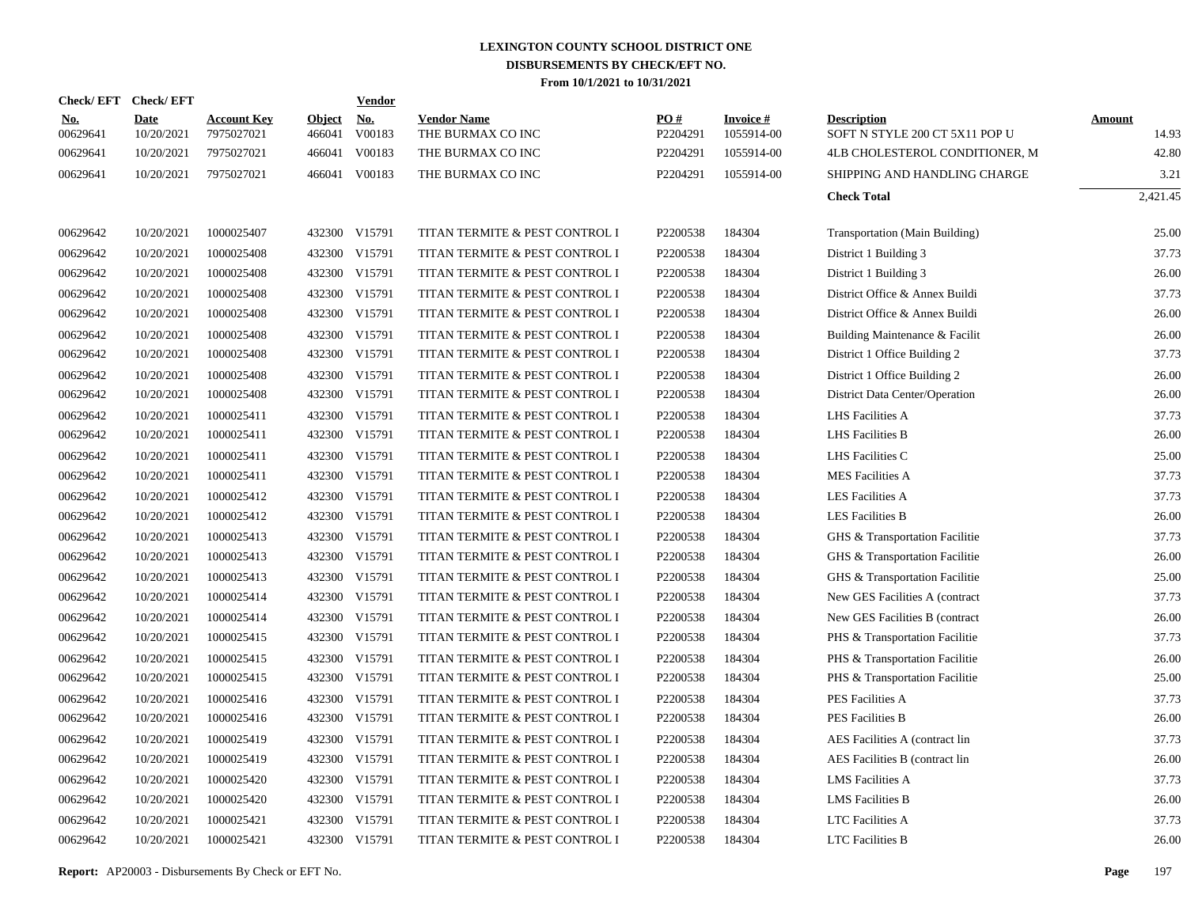|                        | Check/EFT Check/EFT       |                                  |                         | Vendor               |                                         |                 |                               |                                                      |                        |
|------------------------|---------------------------|----------------------------------|-------------------------|----------------------|-----------------------------------------|-----------------|-------------------------------|------------------------------------------------------|------------------------|
| <u>No.</u><br>00629641 | <b>Date</b><br>10/20/2021 | <b>Account Key</b><br>7975027021 | <b>Object</b><br>466041 | <u>No.</u><br>V00183 | <b>Vendor Name</b><br>THE BURMAX CO INC | PO#<br>P2204291 | <b>Invoice#</b><br>1055914-00 | <b>Description</b><br>SOFT N STYLE 200 CT 5X11 POP U | <b>Amount</b><br>14.93 |
| 00629641               | 10/20/2021                | 7975027021                       | 466041                  | V00183               | THE BURMAX CO INC                       | P2204291        | 1055914-00                    | 4LB CHOLESTEROL CONDITIONER, M                       | 42.80                  |
| 00629641               | 10/20/2021                | 7975027021                       |                         | 466041 V00183        | THE BURMAX CO INC                       | P2204291        | 1055914-00                    | SHIPPING AND HANDLING CHARGE                         | 3.21                   |
|                        |                           |                                  |                         |                      |                                         |                 |                               | <b>Check Total</b>                                   | 2,421.45               |
| 00629642               | 10/20/2021                | 1000025407                       |                         | 432300 V15791        | TITAN TERMITE & PEST CONTROL I          | P2200538        | 184304                        | Transportation (Main Building)                       | 25.00                  |
| 00629642               | 10/20/2021                | 1000025408                       | 432300                  | V15791               | TITAN TERMITE & PEST CONTROL I          | P2200538        | 184304                        | District 1 Building 3                                | 37.73                  |
| 00629642               | 10/20/2021                | 1000025408                       |                         | 432300 V15791        | TITAN TERMITE & PEST CONTROL I          | P2200538        | 184304                        | District 1 Building 3                                | 26.00                  |
| 00629642               | 10/20/2021                | 1000025408                       |                         | 432300 V15791        | TITAN TERMITE & PEST CONTROL I          | P2200538        | 184304                        | District Office & Annex Buildi                       | 37.73                  |
| 00629642               | 10/20/2021                | 1000025408                       |                         | 432300 V15791        | TITAN TERMITE & PEST CONTROL I          | P2200538        | 184304                        | District Office & Annex Buildi                       | 26.00                  |
| 00629642               | 10/20/2021                | 1000025408                       |                         | 432300 V15791        | TITAN TERMITE & PEST CONTROL I          | P2200538        | 184304                        | Building Maintenance & Facilit                       | 26.00                  |
| 00629642               | 10/20/2021                | 1000025408                       |                         | 432300 V15791        | TITAN TERMITE & PEST CONTROL I          | P2200538        | 184304                        | District 1 Office Building 2                         | 37.73                  |
| 00629642               | 10/20/2021                | 1000025408                       |                         | 432300 V15791        | TITAN TERMITE & PEST CONTROL I          | P2200538        | 184304                        | District 1 Office Building 2                         | 26.00                  |
| 00629642               | 10/20/2021                | 1000025408                       |                         | 432300 V15791        | TITAN TERMITE & PEST CONTROL I          | P2200538        | 184304                        | District Data Center/Operation                       | 26.00                  |
| 00629642               | 10/20/2021                | 1000025411                       |                         | 432300 V15791        | TITAN TERMITE & PEST CONTROL I          | P2200538        | 184304                        | LHS Facilities A                                     | 37.73                  |
| 00629642               | 10/20/2021                | 1000025411                       |                         | 432300 V15791        | TITAN TERMITE & PEST CONTROL I          | P2200538        | 184304                        | <b>LHS Facilities B</b>                              | 26.00                  |
| 00629642               | 10/20/2021                | 1000025411                       |                         | 432300 V15791        | TITAN TERMITE & PEST CONTROL I          | P2200538        | 184304                        | LHS Facilities C                                     | 25.00                  |
| 00629642               | 10/20/2021                | 1000025411                       |                         | 432300 V15791        | TITAN TERMITE & PEST CONTROL I          | P2200538        | 184304                        | <b>MES</b> Facilities A                              | 37.73                  |
| 00629642               | 10/20/2021                | 1000025412                       |                         | 432300 V15791        | TITAN TERMITE & PEST CONTROL I          | P2200538        | 184304                        | <b>LES Facilities A</b>                              | 37.73                  |
| 00629642               | 10/20/2021                | 1000025412                       |                         | 432300 V15791        | TITAN TERMITE & PEST CONTROL I          | P2200538        | 184304                        | <b>LES Facilities B</b>                              | 26.00                  |
| 00629642               | 10/20/2021                | 1000025413                       |                         | 432300 V15791        | TITAN TERMITE & PEST CONTROL I          | P2200538        | 184304                        | GHS & Transportation Facilitie                       | 37.73                  |
| 00629642               | 10/20/2021                | 1000025413                       |                         | 432300 V15791        | TITAN TERMITE & PEST CONTROL I          | P2200538        | 184304                        | GHS & Transportation Facilitie                       | 26.00                  |
| 00629642               | 10/20/2021                | 1000025413                       | 432300                  | V15791               | TITAN TERMITE & PEST CONTROL I          | P2200538        | 184304                        | GHS & Transportation Facilitie                       | 25.00                  |
| 00629642               | 10/20/2021                | 1000025414                       |                         | 432300 V15791        | TITAN TERMITE & PEST CONTROL I          | P2200538        | 184304                        | New GES Facilities A (contract                       | 37.73                  |
| 00629642               | 10/20/2021                | 1000025414                       | 432300                  | V15791               | TITAN TERMITE & PEST CONTROL I          | P2200538        | 184304                        | New GES Facilities B (contract                       | 26.00                  |
| 00629642               | 10/20/2021                | 1000025415                       |                         | 432300 V15791        | TITAN TERMITE & PEST CONTROL I          | P2200538        | 184304                        | PHS & Transportation Facilitie                       | 37.73                  |
| 00629642               | 10/20/2021                | 1000025415                       | 432300                  | V15791               | TITAN TERMITE & PEST CONTROL I          | P2200538        | 184304                        | PHS & Transportation Facilitie                       | 26.00                  |
| 00629642               | 10/20/2021                | 1000025415                       |                         | 432300 V15791        | TITAN TERMITE & PEST CONTROL I          | P2200538        | 184304                        | PHS & Transportation Facilitie                       | 25.00                  |
| 00629642               | 10/20/2021                | 1000025416                       | 432300                  | V15791               | TITAN TERMITE & PEST CONTROL I          | P2200538        | 184304                        | PES Facilities A                                     | 37.73                  |
| 00629642               | 10/20/2021                | 1000025416                       |                         | 432300 V15791        | TITAN TERMITE & PEST CONTROL I          | P2200538        | 184304                        | PES Facilities B                                     | 26.00                  |
| 00629642               | 10/20/2021                | 1000025419                       | 432300                  | V15791               | TITAN TERMITE & PEST CONTROL I          | P2200538        | 184304                        | AES Facilities A (contract lin                       | 37.73                  |
| 00629642               | 10/20/2021                | 1000025419                       |                         | 432300 V15791        | TITAN TERMITE & PEST CONTROL I          | P2200538        | 184304                        | AES Facilities B (contract lin                       | 26.00                  |
| 00629642               | 10/20/2021                | 1000025420                       | 432300                  | V15791               | TITAN TERMITE & PEST CONTROL I          | P2200538        | 184304                        | <b>LMS</b> Facilities A                              | 37.73                  |
| 00629642               | 10/20/2021                | 1000025420                       |                         | 432300 V15791        | TITAN TERMITE & PEST CONTROL I          | P2200538        | 184304                        | <b>LMS</b> Facilities B                              | 26.00                  |
| 00629642               | 10/20/2021                | 1000025421                       | 432300                  | V15791               | TITAN TERMITE & PEST CONTROL I          | P2200538        | 184304                        | <b>LTC Facilities A</b>                              | 37.73                  |
| 00629642               | 10/20/2021                | 1000025421                       |                         | 432300 V15791        | TITAN TERMITE & PEST CONTROL I          | P2200538        | 184304                        | <b>LTC Facilities B</b>                              | 26.00                  |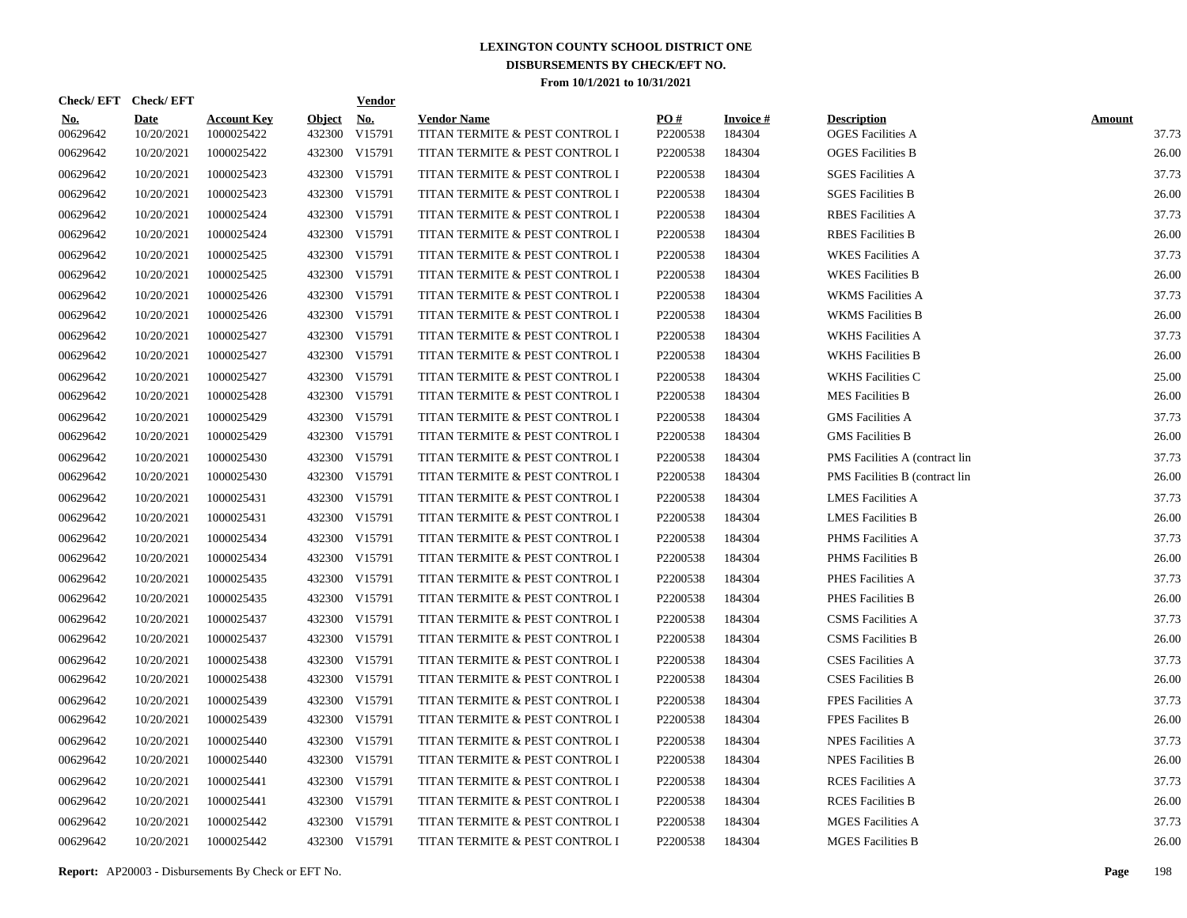|                        | Check/EFT Check/EFT       |                                  |                         | <b>Vendor</b>        |                                                      |                 |                           |                                                |                        |
|------------------------|---------------------------|----------------------------------|-------------------------|----------------------|------------------------------------------------------|-----------------|---------------------------|------------------------------------------------|------------------------|
| <u>No.</u><br>00629642 | <b>Date</b><br>10/20/2021 | <b>Account Key</b><br>1000025422 | <b>Object</b><br>432300 | <b>No.</b><br>V15791 | <b>Vendor Name</b><br>TITAN TERMITE & PEST CONTROL I | PO#<br>P2200538 | <b>Invoice#</b><br>184304 | <b>Description</b><br><b>OGES</b> Facilities A | <b>Amount</b><br>37.73 |
| 00629642               | 10/20/2021                | 1000025422                       |                         | 432300 V15791        | TITAN TERMITE & PEST CONTROL I                       | P2200538        | 184304                    | <b>OGES</b> Facilities B                       | 26.00                  |
| 00629642               | 10/20/2021                | 1000025423                       |                         | 432300 V15791        | TITAN TERMITE & PEST CONTROL I                       | P2200538        | 184304                    | <b>SGES Facilities A</b>                       | 37.73                  |
| 00629642               | 10/20/2021                | 1000025423                       |                         | 432300 V15791        | TITAN TERMITE & PEST CONTROL I                       | P2200538        | 184304                    | <b>SGES Facilities B</b>                       | 26.00                  |
| 00629642               | 10/20/2021                | 1000025424                       |                         | 432300 V15791        | TITAN TERMITE & PEST CONTROL I                       | P2200538        | 184304                    | <b>RBES</b> Facilities A                       | 37.73                  |
| 00629642               | 10/20/2021                | 1000025424                       |                         | 432300 V15791        | TITAN TERMITE & PEST CONTROL I                       | P2200538        | 184304                    | <b>RBES</b> Facilities <b>B</b>                | 26.00                  |
| 00629642               | 10/20/2021                | 1000025425                       |                         | 432300 V15791        | TITAN TERMITE & PEST CONTROL I                       | P2200538        | 184304                    | <b>WKES</b> Facilities A                       | 37.73                  |
| 00629642               | 10/20/2021                | 1000025425                       |                         | 432300 V15791        | TITAN TERMITE & PEST CONTROL I                       | P2200538        | 184304                    | <b>WKES Facilities B</b>                       | 26.00                  |
| 00629642               | 10/20/2021                | 1000025426                       |                         | 432300 V15791        | TITAN TERMITE & PEST CONTROL I                       | P2200538        | 184304                    | <b>WKMS</b> Facilities A                       | 37.73                  |
| 00629642               | 10/20/2021                | 1000025426                       |                         | 432300 V15791        | TITAN TERMITE & PEST CONTROL I                       | P2200538        | 184304                    | <b>WKMS</b> Facilities B                       | 26.00                  |
| 00629642               | 10/20/2021                | 1000025427                       | 432300                  | V15791               | TITAN TERMITE & PEST CONTROL I                       | P2200538        | 184304                    | <b>WKHS Facilities A</b>                       | 37.73                  |
| 00629642               | 10/20/2021                | 1000025427                       |                         | 432300 V15791        | TITAN TERMITE & PEST CONTROL I                       | P2200538        | 184304                    | <b>WKHS Facilities B</b>                       | 26.00                  |
| 00629642               | 10/20/2021                | 1000025427                       | 432300                  | V15791               | TITAN TERMITE & PEST CONTROL I                       | P2200538        | 184304                    | <b>WKHS Facilities C</b>                       | 25.00                  |
| 00629642               | 10/20/2021                | 1000025428                       | 432300                  | V15791               | TITAN TERMITE & PEST CONTROL I                       | P2200538        | 184304                    | <b>MES Facilities B</b>                        | 26.00                  |
| 00629642               | 10/20/2021                | 1000025429                       | 432300                  | V15791               | TITAN TERMITE & PEST CONTROL I                       | P2200538        | 184304                    | <b>GMS</b> Facilities A                        | 37.73                  |
| 00629642               | 10/20/2021                | 1000025429                       | 432300                  | V15791               | TITAN TERMITE & PEST CONTROL I                       | P2200538        | 184304                    | <b>GMS</b> Facilities B                        | 26.00                  |
| 00629642               | 10/20/2021                | 1000025430                       | 432300                  | V15791               | TITAN TERMITE & PEST CONTROL I                       | P2200538        | 184304                    | PMS Facilities A (contract lin                 | 37.73                  |
| 00629642               | 10/20/2021                | 1000025430                       | 432300                  | V15791               | TITAN TERMITE & PEST CONTROL I                       | P2200538        | 184304                    | PMS Facilities B (contract lin                 | 26.00                  |
| 00629642               | 10/20/2021                | 1000025431                       | 432300                  | V15791               | TITAN TERMITE & PEST CONTROL I                       | P2200538        | 184304                    | <b>LMES Facilities A</b>                       | 37.73                  |
| 00629642               | 10/20/2021                | 1000025431                       | 432300                  | V15791               | TITAN TERMITE & PEST CONTROL I                       | P2200538        | 184304                    | <b>LMES</b> Facilities B                       | 26.00                  |
| 00629642               | 10/20/2021                | 1000025434                       | 432300                  | V15791               | TITAN TERMITE & PEST CONTROL I                       | P2200538        | 184304                    | PHMS Facilities A                              | 37.73                  |
| 00629642               | 10/20/2021                | 1000025434                       | 432300                  | V15791               | TITAN TERMITE & PEST CONTROL I                       | P2200538        | 184304                    | PHMS Facilities B                              | 26.00                  |
| 00629642               | 10/20/2021                | 1000025435                       | 432300                  | V15791               | TITAN TERMITE & PEST CONTROL I                       | P2200538        | 184304                    | PHES Facilities A                              | 37.73                  |
| 00629642               | 10/20/2021                | 1000025435                       | 432300                  | V15791               | TITAN TERMITE & PEST CONTROL I                       | P2200538        | 184304                    | <b>PHES Facilities B</b>                       | 26.00                  |
| 00629642               | 10/20/2021                | 1000025437                       | 432300                  | V15791               | TITAN TERMITE & PEST CONTROL I                       | P2200538        | 184304                    | <b>CSMS</b> Facilities A                       | 37.73                  |
| 00629642               | 10/20/2021                | 1000025437                       | 432300                  | V15791               | TITAN TERMITE & PEST CONTROL I                       | P2200538        | 184304                    | <b>CSMS</b> Facilities B                       | 26.00                  |
| 00629642               | 10/20/2021                | 1000025438                       | 432300                  | V15791               | TITAN TERMITE & PEST CONTROL I                       | P2200538        | 184304                    | <b>CSES</b> Facilities A                       | 37.73                  |
| 00629642               | 10/20/2021                | 1000025438                       | 432300                  | V15791               | TITAN TERMITE & PEST CONTROL I                       | P2200538        | 184304                    | <b>CSES Facilities B</b>                       | 26.00                  |
| 00629642               | 10/20/2021                | 1000025439                       | 432300                  | V15791               | TITAN TERMITE & PEST CONTROL I                       | P2200538        | 184304                    | <b>FPES Facilities A</b>                       | 37.73                  |
| 00629642               | 10/20/2021                | 1000025439                       |                         | 432300 V15791        | TITAN TERMITE & PEST CONTROL I                       | P2200538        | 184304                    | FPES Facilites B                               | 26.00                  |
| 00629642               | 10/20/2021                | 1000025440                       | 432300                  | V15791               | TITAN TERMITE & PEST CONTROL I                       | P2200538        | 184304                    | <b>NPES Facilities A</b>                       | 37.73                  |
| 00629642               | 10/20/2021                | 1000025440                       |                         | 432300 V15791        | TITAN TERMITE & PEST CONTROL I                       | P2200538        | 184304                    | <b>NPES Facilities B</b>                       | 26.00                  |
| 00629642               | 10/20/2021                | 1000025441                       | 432300                  | V15791               | TITAN TERMITE & PEST CONTROL I                       | P2200538        | 184304                    | <b>RCES</b> Facilities A                       | 37.73                  |
| 00629642               | 10/20/2021                | 1000025441                       | 432300                  | V15791               | TITAN TERMITE & PEST CONTROL I                       | P2200538        | 184304                    | <b>RCES</b> Facilities B                       | 26.00                  |
| 00629642               | 10/20/2021                | 1000025442                       | 432300                  | V15791               | TITAN TERMITE & PEST CONTROL I                       | P2200538        | 184304                    | <b>MGES Facilities A</b>                       | 37.73                  |
| 00629642               | 10/20/2021                | 1000025442                       |                         | 432300 V15791        | TITAN TERMITE & PEST CONTROL I                       | P2200538        | 184304                    | <b>MGES Facilities B</b>                       | 26.00                  |

**Report:** AP20003 - Disbursements By Check or EFT No. **Page** 198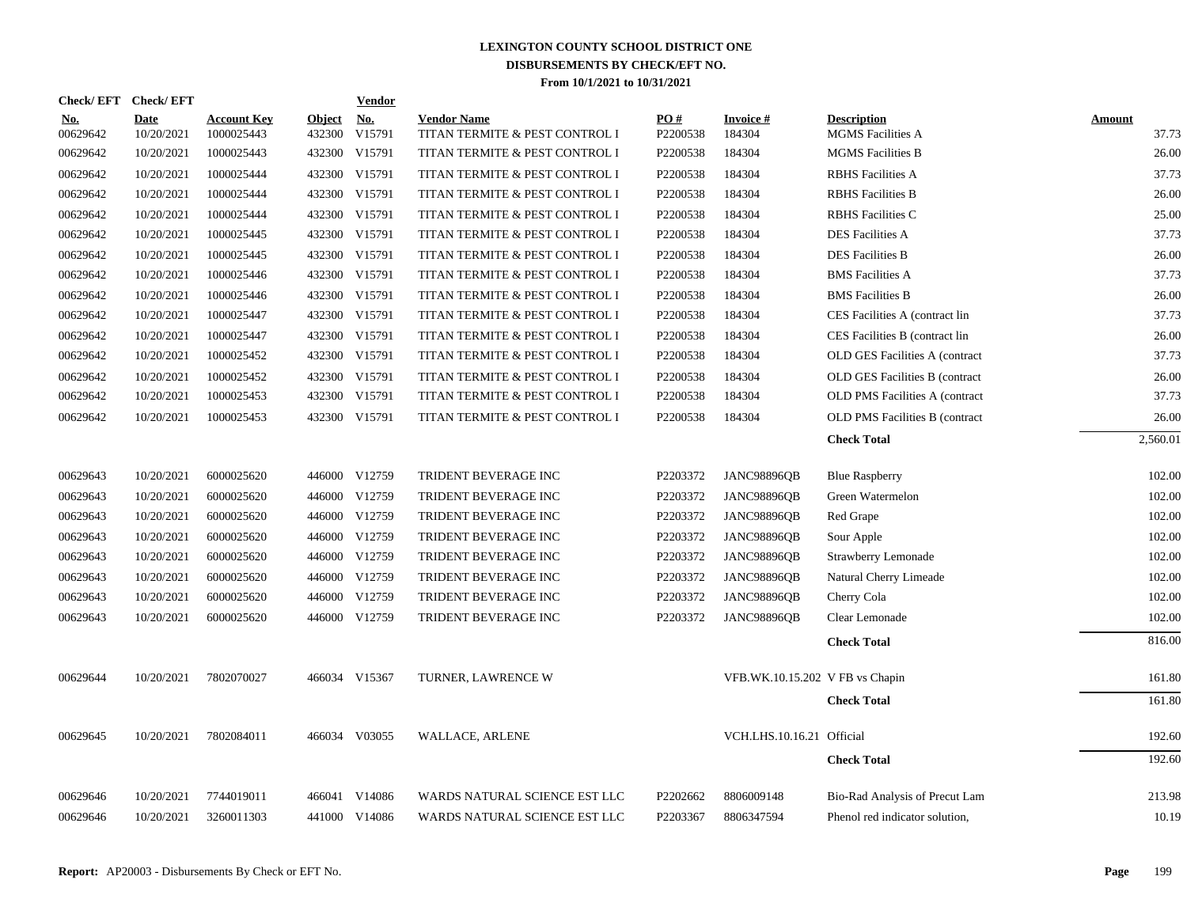|                        | Check/EFT Check/EFT       |                                  |                         | <b>Vendor</b> |                                                      |                 |                                 |                                         |                 |
|------------------------|---------------------------|----------------------------------|-------------------------|---------------|------------------------------------------------------|-----------------|---------------------------------|-----------------------------------------|-----------------|
| <u>No.</u><br>00629642 | <b>Date</b><br>10/20/2021 | <b>Account Key</b><br>1000025443 | <b>Object</b><br>432300 | No.<br>V15791 | <b>Vendor Name</b><br>TITAN TERMITE & PEST CONTROL I | PO#<br>P2200538 | Invoice #<br>184304             | <b>Description</b><br>MGMS Facilities A | Amount<br>37.73 |
| 00629642               | 10/20/2021                | 1000025443                       |                         | 432300 V15791 | TITAN TERMITE & PEST CONTROL I                       | P2200538        | 184304                          | <b>MGMS</b> Facilities B                | 26.00           |
| 00629642               | 10/20/2021                | 1000025444                       |                         | 432300 V15791 | TITAN TERMITE & PEST CONTROL I                       | P2200538        | 184304                          | <b>RBHS</b> Facilities A                | 37.73           |
| 00629642               | 10/20/2021                | 1000025444                       |                         | 432300 V15791 | TITAN TERMITE & PEST CONTROL I                       | P2200538        | 184304                          | <b>RBHS</b> Facilities B                | 26.00           |
| 00629642               | 10/20/2021                | 1000025444                       |                         | 432300 V15791 | TITAN TERMITE & PEST CONTROL I                       | P2200538        | 184304                          | <b>RBHS</b> Facilities C                | 25.00           |
| 00629642               | 10/20/2021                | 1000025445                       |                         | 432300 V15791 | TITAN TERMITE & PEST CONTROL I                       | P2200538        | 184304                          | <b>DES Facilities A</b>                 | 37.73           |
| 00629642               | 10/20/2021                | 1000025445                       |                         | 432300 V15791 | TITAN TERMITE & PEST CONTROL I                       | P2200538        | 184304                          | <b>DES Facilities B</b>                 | 26.00           |
| 00629642               | 10/20/2021                | 1000025446                       |                         | 432300 V15791 | TITAN TERMITE & PEST CONTROL I                       | P2200538        | 184304                          | <b>BMS</b> Facilities A                 | 37.73           |
| 00629642               | 10/20/2021                | 1000025446                       |                         | 432300 V15791 | TITAN TERMITE & PEST CONTROL I                       | P2200538        | 184304                          | <b>BMS</b> Facilities B                 | 26.00           |
| 00629642               | 10/20/2021                | 1000025447                       |                         | 432300 V15791 | TITAN TERMITE & PEST CONTROL I                       | P2200538        | 184304                          | CES Facilities A (contract lin          | 37.73           |
| 00629642               | 10/20/2021                | 1000025447                       |                         | 432300 V15791 | TITAN TERMITE & PEST CONTROL I                       | P2200538        | 184304                          | CES Facilities B (contract lin          | 26.00           |
| 00629642               | 10/20/2021                | 1000025452                       |                         | 432300 V15791 | TITAN TERMITE & PEST CONTROL I                       | P2200538        | 184304                          | OLD GES Facilities A (contract          | 37.73           |
| 00629642               | 10/20/2021                | 1000025452                       |                         | 432300 V15791 | TITAN TERMITE & PEST CONTROL I                       | P2200538        | 184304                          | OLD GES Facilities B (contract          | 26.00           |
| 00629642               | 10/20/2021                | 1000025453                       |                         | 432300 V15791 | TITAN TERMITE & PEST CONTROL I                       | P2200538        | 184304                          | OLD PMS Facilities A (contract          | 37.73           |
| 00629642               | 10/20/2021                | 1000025453                       |                         | 432300 V15791 | TITAN TERMITE & PEST CONTROL I                       | P2200538        | 184304                          | OLD PMS Facilities B (contract          | 26.00           |
|                        |                           |                                  |                         |               |                                                      |                 |                                 | <b>Check Total</b>                      | 2,560.01        |
|                        |                           |                                  |                         |               |                                                      |                 |                                 |                                         |                 |
| 00629643               | 10/20/2021                | 6000025620                       |                         | 446000 V12759 | TRIDENT BEVERAGE INC                                 | P2203372        | <b>JANC98896OB</b>              | <b>Blue Raspberry</b>                   | 102.00          |
| 00629643               | 10/20/2021                | 6000025620                       |                         | 446000 V12759 | TRIDENT BEVERAGE INC                                 | P2203372        | <b>JANC98896QB</b>              | Green Watermelon                        | 102.00          |
| 00629643               | 10/20/2021                | 6000025620                       |                         | 446000 V12759 | TRIDENT BEVERAGE INC                                 | P2203372        | <b>JANC98896QB</b>              | Red Grape                               | 102.00          |
| 00629643               | 10/20/2021                | 6000025620                       |                         | 446000 V12759 | TRIDENT BEVERAGE INC                                 | P2203372        | <b>JANC98896QB</b>              | Sour Apple                              | 102.00          |
| 00629643               | 10/20/2021                | 6000025620                       |                         | 446000 V12759 | TRIDENT BEVERAGE INC                                 | P2203372        | <b>JANC98896QB</b>              | Strawberry Lemonade                     | 102.00          |
| 00629643               | 10/20/2021                | 6000025620                       |                         | 446000 V12759 | TRIDENT BEVERAGE INC                                 | P2203372        | <b>JANC98896QB</b>              | Natural Cherry Limeade                  | 102.00          |
| 00629643               | 10/20/2021                | 6000025620                       |                         | 446000 V12759 | TRIDENT BEVERAGE INC                                 | P2203372        | <b>JANC98896QB</b>              | Cherry Cola                             | 102.00          |
| 00629643               | 10/20/2021                | 6000025620                       |                         | 446000 V12759 | TRIDENT BEVERAGE INC                                 | P2203372        | <b>JANC98896QB</b>              | Clear Lemonade                          | 102.00          |
|                        |                           |                                  |                         |               |                                                      |                 |                                 | <b>Check Total</b>                      | 816.00          |
| 00629644               | 10/20/2021                | 7802070027                       |                         | 466034 V15367 | TURNER, LAWRENCE W                                   |                 | VFB.WK.10.15.202 V FB vs Chapin |                                         | 161.80          |
|                        |                           |                                  |                         |               |                                                      |                 |                                 | <b>Check Total</b>                      | 161.80          |
|                        |                           |                                  |                         |               |                                                      |                 |                                 |                                         |                 |
| 00629645               | 10/20/2021                | 7802084011                       |                         | 466034 V03055 | <b>WALLACE, ARLENE</b>                               |                 | VCH.LHS.10.16.21 Official       |                                         | 192.60          |
|                        |                           |                                  |                         |               |                                                      |                 |                                 | <b>Check Total</b>                      | 192.60          |
| 00629646               | 10/20/2021                | 7744019011                       |                         | 466041 V14086 | WARDS NATURAL SCIENCE EST LLC                        | P2202662        | 8806009148                      | Bio-Rad Analysis of Precut Lam          | 213.98          |
| 00629646               | 10/20/2021                | 3260011303                       |                         | 441000 V14086 | WARDS NATURAL SCIENCE EST LLC                        | P2203367        | 8806347594                      | Phenol red indicator solution,          | 10.19           |
|                        |                           |                                  |                         |               |                                                      |                 |                                 |                                         |                 |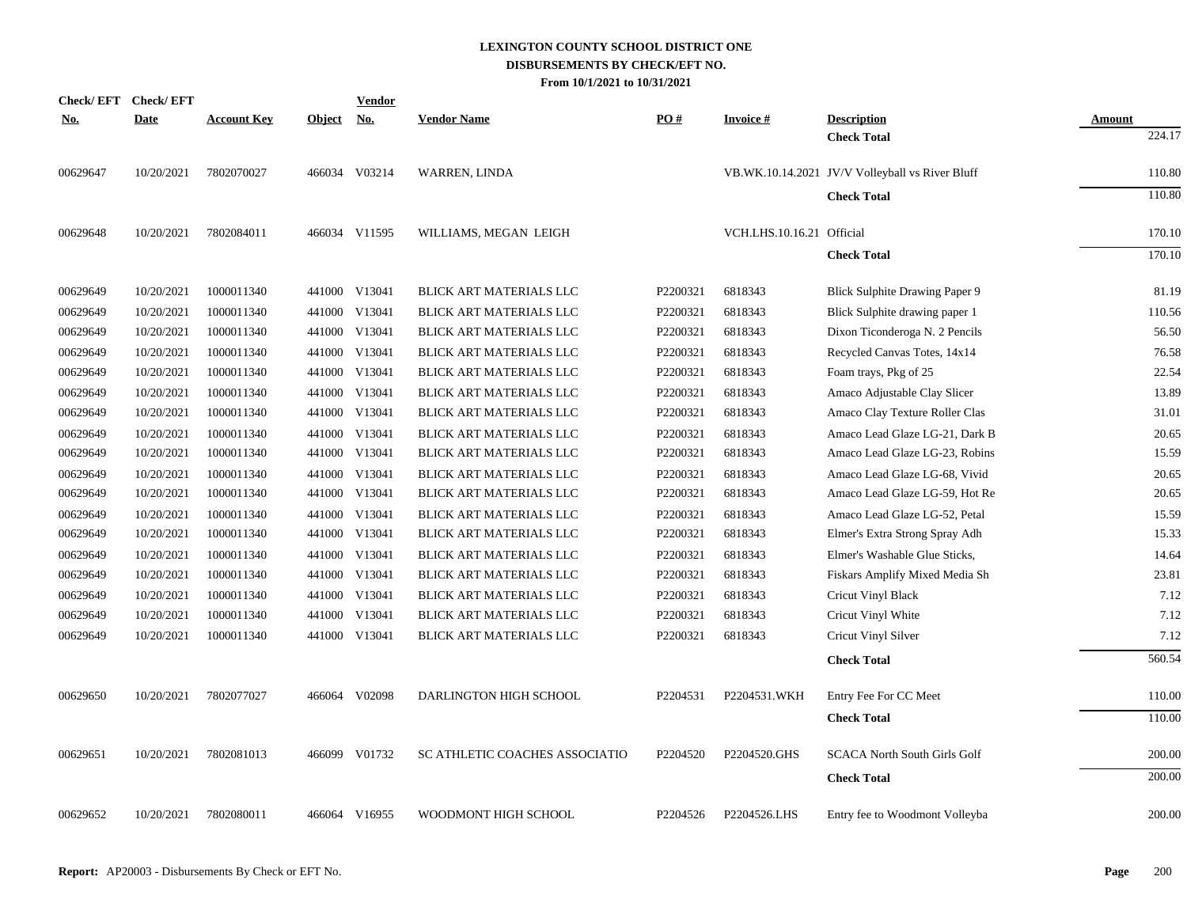| <b>Check/EFT</b> | <b>Check/EFT</b> |                    |        | <b>Vendor</b> |                                |          |                           |                                                 |                  |
|------------------|------------------|--------------------|--------|---------------|--------------------------------|----------|---------------------------|-------------------------------------------------|------------------|
| <u>No.</u>       | <b>Date</b>      | <b>Account Key</b> | Object | <u>No.</u>    | <b>Vendor Name</b>             | PO#      | <b>Invoice#</b>           | <b>Description</b><br><b>Check Total</b>        | Amount<br>224.17 |
| 00629647         | 10/20/2021       | 7802070027         |        | 466034 V03214 | <b>WARREN, LINDA</b>           |          |                           | VB.WK.10.14.2021 JV/V Volleyball vs River Bluff | 110.80           |
|                  |                  |                    |        |               |                                |          |                           | <b>Check Total</b>                              | 110.80           |
| 00629648         | 10/20/2021       | 7802084011         |        | 466034 V11595 | WILLIAMS, MEGAN LEIGH          |          | VCH.LHS.10.16.21 Official |                                                 | 170.10           |
|                  |                  |                    |        |               |                                |          |                           | <b>Check Total</b>                              | 170.10           |
| 00629649         | 10/20/2021       | 1000011340         |        | 441000 V13041 | BLICK ART MATERIALS LLC        | P2200321 | 6818343                   | Blick Sulphite Drawing Paper 9                  | 81.19            |
| 00629649         | 10/20/2021       | 1000011340         | 441000 | V13041        | <b>BLICK ART MATERIALS LLC</b> | P2200321 | 6818343                   | Blick Sulphite drawing paper 1                  | 110.56           |
| 00629649         | 10/20/2021       | 1000011340         |        | 441000 V13041 | BLICK ART MATERIALS LLC        | P2200321 | 6818343                   | Dixon Ticonderoga N. 2 Pencils                  | 56.50            |
| 00629649         | 10/20/2021       | 1000011340         |        | 441000 V13041 | <b>BLICK ART MATERIALS LLC</b> | P2200321 | 6818343                   | Recycled Canvas Totes, 14x14                    | 76.58            |
| 00629649         | 10/20/2021       | 1000011340         |        | 441000 V13041 | BLICK ART MATERIALS LLC        | P2200321 | 6818343                   | Foam trays, Pkg of 25                           | 22.54            |
| 00629649         | 10/20/2021       | 1000011340         |        | 441000 V13041 | BLICK ART MATERIALS LLC        | P2200321 | 6818343                   | Amaco Adjustable Clay Slicer                    | 13.89            |
| 00629649         | 10/20/2021       | 1000011340         |        | 441000 V13041 | <b>BLICK ART MATERIALS LLC</b> | P2200321 | 6818343                   | Amaco Clay Texture Roller Clas                  | 31.01            |
| 00629649         | 10/20/2021       | 1000011340         |        | 441000 V13041 | <b>BLICK ART MATERIALS LLC</b> | P2200321 | 6818343                   | Amaco Lead Glaze LG-21, Dark B                  | 20.65            |
| 00629649         | 10/20/2021       | 1000011340         |        | 441000 V13041 | BLICK ART MATERIALS LLC        | P2200321 | 6818343                   | Amaco Lead Glaze LG-23, Robins                  | 15.59            |
| 00629649         | 10/20/2021       | 1000011340         |        | 441000 V13041 | BLICK ART MATERIALS LLC        | P2200321 | 6818343                   | Amaco Lead Glaze LG-68, Vivid                   | 20.65            |
| 00629649         | 10/20/2021       | 1000011340         |        | 441000 V13041 | BLICK ART MATERIALS LLC        | P2200321 | 6818343                   | Amaco Lead Glaze LG-59, Hot Re                  | 20.65            |
| 00629649         | 10/20/2021       | 1000011340         |        | 441000 V13041 | BLICK ART MATERIALS LLC        | P2200321 | 6818343                   | Amaco Lead Glaze LG-52, Petal                   | 15.59            |
| 00629649         | 10/20/2021       | 1000011340         | 441000 | V13041        | <b>BLICK ART MATERIALS LLC</b> | P2200321 | 6818343                   | Elmer's Extra Strong Spray Adh                  | 15.33            |
| 00629649         | 10/20/2021       | 1000011340         |        | 441000 V13041 | BLICK ART MATERIALS LLC        | P2200321 | 6818343                   | Elmer's Washable Glue Sticks,                   | 14.64            |
| 00629649         | 10/20/2021       | 1000011340         |        | 441000 V13041 | BLICK ART MATERIALS LLC        | P2200321 | 6818343                   | Fiskars Amplify Mixed Media Sh                  | 23.81            |
| 00629649         | 10/20/2021       | 1000011340         |        | 441000 V13041 | BLICK ART MATERIALS LLC        | P2200321 | 6818343                   | Cricut Vinyl Black                              | 7.12             |
| 00629649         | 10/20/2021       | 1000011340         |        | 441000 V13041 | BLICK ART MATERIALS LLC        | P2200321 | 6818343                   | Cricut Vinyl White                              | 7.12             |
| 00629649         | 10/20/2021       | 1000011340         |        | 441000 V13041 | BLICK ART MATERIALS LLC        | P2200321 | 6818343                   | Cricut Vinyl Silver                             | 7.12             |
|                  |                  |                    |        |               |                                |          |                           | <b>Check Total</b>                              | 560.54           |
| 00629650         | 10/20/2021       | 7802077027         |        | 466064 V02098 | DARLINGTON HIGH SCHOOL         | P2204531 | P2204531.WKH              | Entry Fee For CC Meet                           | 110.00           |
|                  |                  |                    |        |               |                                |          |                           | <b>Check Total</b>                              | 110.00           |
| 00629651         | 10/20/2021       | 7802081013         |        | 466099 V01732 | SC ATHLETIC COACHES ASSOCIATIO | P2204520 | P2204520.GHS              | <b>SCACA North South Girls Golf</b>             | 200.00           |
|                  |                  |                    |        |               |                                |          |                           |                                                 |                  |
|                  |                  |                    |        |               |                                |          |                           | <b>Check Total</b>                              | 200.00           |
| 00629652         | 10/20/2021       | 7802080011         |        | 466064 V16955 | WOODMONT HIGH SCHOOL           | P2204526 | P2204526.LHS              | Entry fee to Woodmont Volleyba                  | 200.00           |
|                  |                  |                    |        |               |                                |          |                           |                                                 |                  |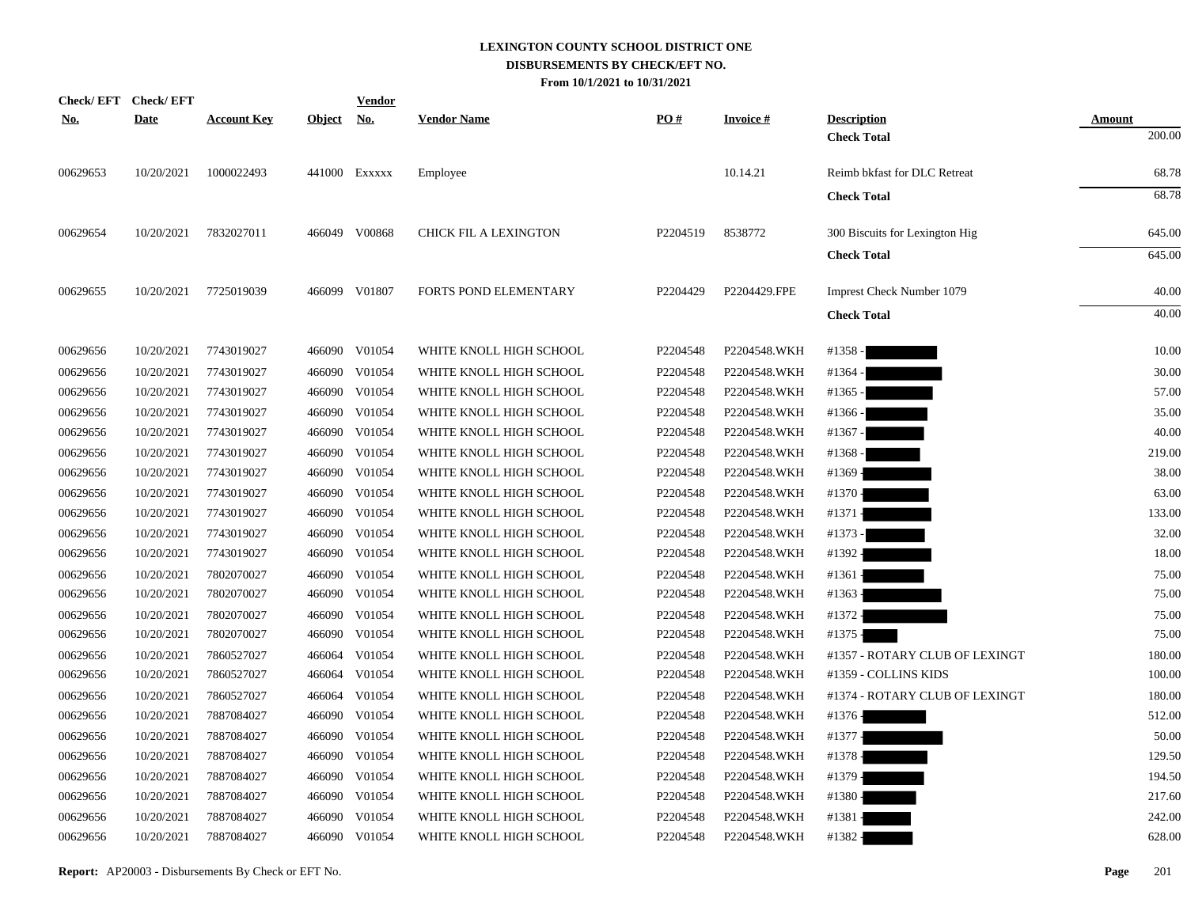| <b>Check/EFT</b> | <b>Check/EFT</b> |                    |               | <u>Vendor</u> |                         |          |                 |                                |               |
|------------------|------------------|--------------------|---------------|---------------|-------------------------|----------|-----------------|--------------------------------|---------------|
| <u>No.</u>       | <b>Date</b>      | <b>Account Key</b> | <b>Object</b> | <u>No.</u>    | <b>Vendor Name</b>      | PO#      | <b>Invoice#</b> | <b>Description</b>             | <b>Amount</b> |
|                  |                  |                    |               |               |                         |          |                 | <b>Check Total</b>             | 200.00        |
| 00629653         | 10/20/2021       | 1000022493         |               | 441000 EXXXXX | Employee                |          | 10.14.21        | Reimb bkfast for DLC Retreat   | 68.78         |
|                  |                  |                    |               |               |                         |          |                 | <b>Check Total</b>             | 68.78         |
| 00629654         | 10/20/2021       | 7832027011         |               | 466049 V00868 | CHICK FIL A LEXINGTON   | P2204519 | 8538772         | 300 Biscuits for Lexington Hig | 645.00        |
|                  |                  |                    |               |               |                         |          |                 | <b>Check Total</b>             | 645.00        |
| 00629655         | 10/20/2021       | 7725019039         |               | 466099 V01807 | FORTS POND ELEMENTARY   | P2204429 | P2204429.FPE    | Imprest Check Number 1079      | 40.00         |
|                  |                  |                    |               |               |                         |          |                 | <b>Check Total</b>             | 40.00         |
| 00629656         | 10/20/2021       | 7743019027         |               | 466090 V01054 | WHITE KNOLL HIGH SCHOOL | P2204548 | P2204548.WKH    | #1358-                         | 10.00         |
| 00629656         | 10/20/2021       | 7743019027         |               | 466090 V01054 | WHITE KNOLL HIGH SCHOOL | P2204548 | P2204548.WKH    | #1364 -                        | 30.00         |
| 00629656         | 10/20/2021       | 7743019027         |               | 466090 V01054 | WHITE KNOLL HIGH SCHOOL | P2204548 | P2204548.WKH    | #1365 -                        | 57.00         |
| 00629656         | 10/20/2021       | 7743019027         |               | 466090 V01054 | WHITE KNOLL HIGH SCHOOL | P2204548 | P2204548.WKH    | #1366 -                        | 35.00         |
| 00629656         | 10/20/2021       | 7743019027         |               | 466090 V01054 | WHITE KNOLL HIGH SCHOOL | P2204548 | P2204548.WKH    | #1367 -                        | 40.00         |
| 00629656         | 10/20/2021       | 7743019027         |               | 466090 V01054 | WHITE KNOLL HIGH SCHOOL | P2204548 | P2204548.WKH    | #1368 -                        | 219.00        |
| 00629656         | 10/20/2021       | 7743019027         |               | 466090 V01054 | WHITE KNOLL HIGH SCHOOL | P2204548 | P2204548.WKH    | #1369 -                        | 38.00         |
| 00629656         | 10/20/2021       | 7743019027         |               | 466090 V01054 | WHITE KNOLL HIGH SCHOOL | P2204548 | P2204548.WKH    | #1370 -                        | 63.00         |
| 00629656         | 10/20/2021       | 7743019027         |               | 466090 V01054 | WHITE KNOLL HIGH SCHOOL | P2204548 | P2204548.WKH    | #1371 -                        | 133.00        |
| 00629656         | 10/20/2021       | 7743019027         |               | 466090 V01054 | WHITE KNOLL HIGH SCHOOL | P2204548 | P2204548.WKH    | #1373 -                        | 32.00         |
| 00629656         | 10/20/2021       | 7743019027         |               | 466090 V01054 | WHITE KNOLL HIGH SCHOOL | P2204548 | P2204548.WKH    | #1392 -                        | 18.00         |
| 00629656         | 10/20/2021       | 7802070027         |               | 466090 V01054 | WHITE KNOLL HIGH SCHOOL | P2204548 | P2204548.WKH    | $#1361 -$                      | 75.00         |
| 00629656         | 10/20/2021       | 7802070027         |               | 466090 V01054 | WHITE KNOLL HIGH SCHOOL | P2204548 | P2204548.WKH    | #1363 -                        | 75.00         |
| 00629656         | 10/20/2021       | 7802070027         |               | 466090 V01054 | WHITE KNOLL HIGH SCHOOL | P2204548 | P2204548.WKH    | #1372 -                        | 75.00         |
| 00629656         | 10/20/2021       | 7802070027         |               | 466090 V01054 | WHITE KNOLL HIGH SCHOOL | P2204548 | P2204548.WKH    | #1375 -                        | 75.00         |
| 00629656         | 10/20/2021       | 7860527027         | 466064        | V01054        | WHITE KNOLL HIGH SCHOOL | P2204548 | P2204548.WKH    | #1357 - ROTARY CLUB OF LEXINGT | 180.00        |
| 00629656         | 10/20/2021       | 7860527027         | 466064        | V01054        | WHITE KNOLL HIGH SCHOOL | P2204548 | P2204548.WKH    | #1359 - COLLINS KIDS           | 100.00        |
| 00629656         | 10/20/2021       | 7860527027         |               | 466064 V01054 | WHITE KNOLL HIGH SCHOOL | P2204548 | P2204548.WKH    | #1374 - ROTARY CLUB OF LEXINGT | 180.00        |
| 00629656         | 10/20/2021       | 7887084027         |               | 466090 V01054 | WHITE KNOLL HIGH SCHOOL | P2204548 | P2204548.WKH    | #1376 -                        | 512.00        |
| 00629656         | 10/20/2021       | 7887084027         | 466090        | V01054        | WHITE KNOLL HIGH SCHOOL | P2204548 | P2204548.WKH    | #1377 -                        | 50.00         |
| 00629656         | 10/20/2021       | 7887084027         | 466090        | V01054        | WHITE KNOLL HIGH SCHOOL | P2204548 | P2204548.WKH    | #1378-                         | 129.50        |
| 00629656         | 10/20/2021       | 7887084027         | 466090        | V01054        | WHITE KNOLL HIGH SCHOOL | P2204548 | P2204548.WKH    | #1379 -                        | 194.50        |
| 00629656         | 10/20/2021       | 7887084027         | 466090        | V01054        | WHITE KNOLL HIGH SCHOOL | P2204548 | P2204548.WKH    | #1380 -                        | 217.60        |
| 00629656         | 10/20/2021       | 7887084027         | 466090        | V01054        | WHITE KNOLL HIGH SCHOOL | P2204548 | P2204548.WKH    | #1381 -                        | 242.00        |
| 00629656         | 10/20/2021       | 7887084027         |               | 466090 V01054 | WHITE KNOLL HIGH SCHOOL | P2204548 | P2204548.WKH    | #1382 -                        | 628.00        |
|                  |                  |                    |               |               |                         |          |                 |                                |               |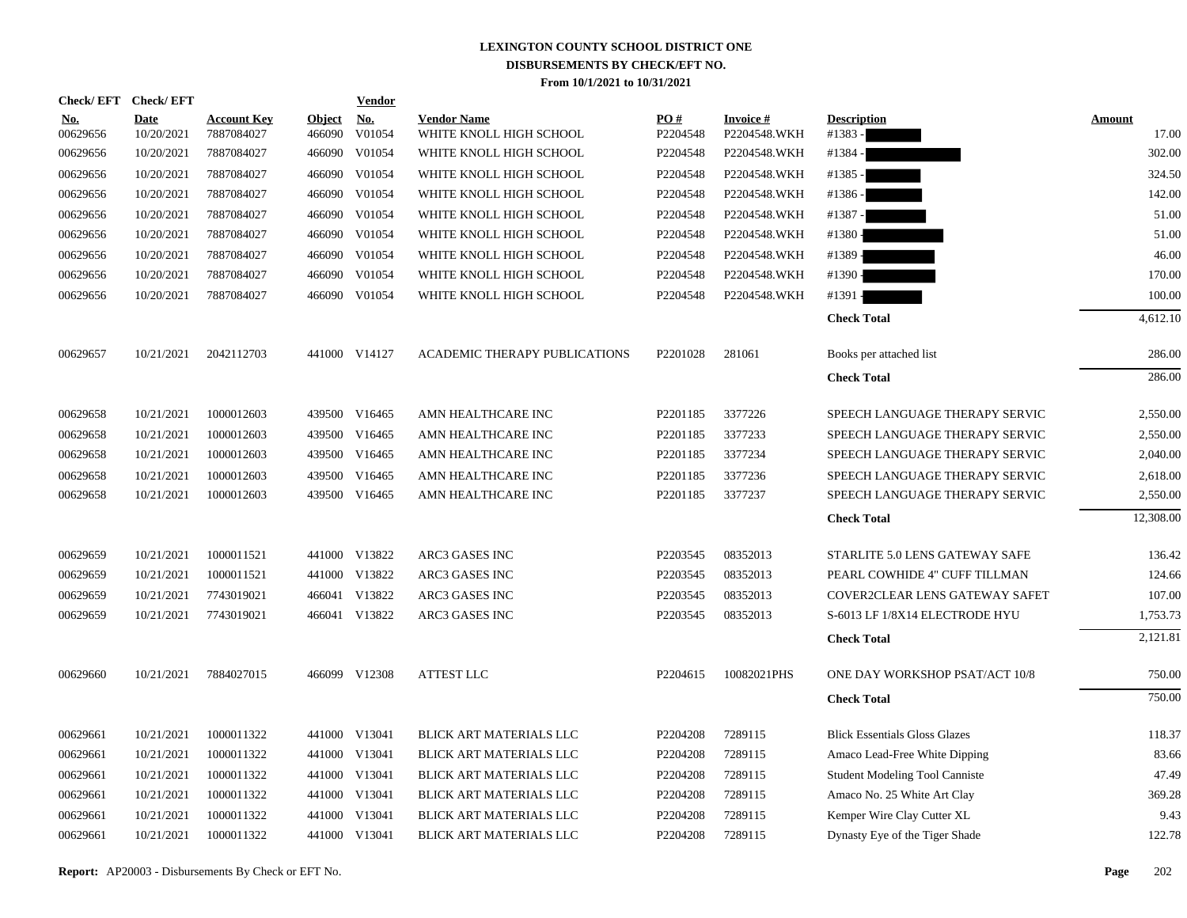|                        | Check/EFT Check/EFT       |                                  |                         | <b>Vendor</b>        |                                               |                      |                                 |                                       |                        |
|------------------------|---------------------------|----------------------------------|-------------------------|----------------------|-----------------------------------------------|----------------------|---------------------------------|---------------------------------------|------------------------|
| <u>No.</u><br>00629656 | <b>Date</b><br>10/20/2021 | <b>Account Key</b><br>7887084027 | <b>Object</b><br>466090 | <u>No.</u><br>V01054 | <b>Vendor Name</b><br>WHITE KNOLL HIGH SCHOOL | PO#<br>P2204548      | <b>Invoice#</b><br>P2204548.WKH | <b>Description</b><br>#1383 -         | <b>Amount</b><br>17.00 |
| 00629656               | 10/20/2021                | 7887084027                       | 466090                  | V01054               | WHITE KNOLL HIGH SCHOOL                       | P2204548             | P2204548.WKH                    | #1384 -                               | 302.00                 |
| 00629656               | 10/20/2021                | 7887084027                       |                         | 466090 V01054        | WHITE KNOLL HIGH SCHOOL                       | P2204548             | P2204548.WKH                    | #1385 -                               | 324.50                 |
| 00629656               | 10/20/2021                | 7887084027                       |                         | 466090 V01054        | WHITE KNOLL HIGH SCHOOL                       | P2204548             | P2204548.WKH                    | #1386 -                               | 142.00                 |
| 00629656               | 10/20/2021                | 7887084027                       |                         | 466090 V01054        | WHITE KNOLL HIGH SCHOOL                       | P2204548             | P2204548.WKH                    | #1387 -                               | 51.00                  |
| 00629656               | 10/20/2021                | 7887084027                       |                         | 466090 V01054        | WHITE KNOLL HIGH SCHOOL                       | P2204548             | P2204548.WKH                    | #1380 -                               | 51.00                  |
| 00629656               | 10/20/2021                | 7887084027                       |                         | 466090 V01054        | WHITE KNOLL HIGH SCHOOL                       | P2204548             | P2204548.WKH                    | #1389 -                               | 46.00                  |
| 00629656               | 10/20/2021                | 7887084027                       |                         | 466090 V01054        | WHITE KNOLL HIGH SCHOOL                       | P2204548             | P2204548.WKH                    | #1390 -                               | 170.00                 |
| 00629656               | 10/20/2021                | 7887084027                       |                         | 466090 V01054        | WHITE KNOLL HIGH SCHOOL                       | P2204548             | P2204548.WKH                    | #1391                                 | 100.00                 |
|                        |                           |                                  |                         |                      |                                               |                      |                                 | <b>Check Total</b>                    | 4,612.10               |
| 00629657               | 10/21/2021                | 2042112703                       |                         | 441000 V14127        | ACADEMIC THERAPY PUBLICATIONS                 | P2201028             | 281061                          | Books per attached list               | 286.00                 |
|                        |                           |                                  |                         |                      |                                               |                      |                                 | <b>Check Total</b>                    | 286.00                 |
| 00629658               | 10/21/2021                | 1000012603                       |                         | 439500 V16465        | AMN HEALTHCARE INC                            | P <sub>2201185</sub> | 3377226                         | SPEECH LANGUAGE THERAPY SERVIC        | 2,550.00               |
| 00629658               | 10/21/2021                | 1000012603                       |                         | 439500 V16465        | AMN HEALTHCARE INC                            | P2201185             | 3377233                         | SPEECH LANGUAGE THERAPY SERVIC        | 2,550.00               |
| 00629658               | 10/21/2021                | 1000012603                       |                         | 439500 V16465        | AMN HEALTHCARE INC                            | P2201185             | 3377234                         | SPEECH LANGUAGE THERAPY SERVIC        | 2,040.00               |
| 00629658               | 10/21/2021                | 1000012603                       |                         | 439500 V16465        | AMN HEALTHCARE INC                            | P2201185             | 3377236                         | SPEECH LANGUAGE THERAPY SERVIC        | 2,618.00               |
| 00629658               | 10/21/2021                | 1000012603                       |                         | 439500 V16465        | AMN HEALTHCARE INC                            | P2201185             | 3377237                         | SPEECH LANGUAGE THERAPY SERVIC        | 2,550.00               |
|                        |                           |                                  |                         |                      |                                               |                      |                                 | <b>Check Total</b>                    | 12,308.00              |
| 00629659               | 10/21/2021                | 1000011521                       |                         | 441000 V13822        | <b>ARC3 GASES INC</b>                         | P2203545             | 08352013                        | STARLITE 5.0 LENS GATEWAY SAFE        | 136.42                 |
| 00629659               | 10/21/2021                | 1000011521                       |                         | 441000 V13822        | ARC3 GASES INC                                | P2203545             | 08352013                        | PEARL COWHIDE 4" CUFF TILLMAN         | 124.66                 |
| 00629659               | 10/21/2021                | 7743019021                       | 466041                  | V13822               | ARC3 GASES INC                                | P2203545             | 08352013                        | COVER2CLEAR LENS GATEWAY SAFET        | 107.00                 |
| 00629659               | 10/21/2021                | 7743019021                       |                         | 466041 V13822        | <b>ARC3 GASES INC</b>                         | P2203545             | 08352013                        | S-6013 LF 1/8X14 ELECTRODE HYU        | 1,753.73               |
|                        |                           |                                  |                         |                      |                                               |                      |                                 | <b>Check Total</b>                    | 2,121.81               |
| 00629660               | 10/21/2021                | 7884027015                       |                         | 466099 V12308        | <b>ATTEST LLC</b>                             | P2204615             | 10082021PHS                     | ONE DAY WORKSHOP PSAT/ACT 10/8        | 750.00                 |
|                        |                           |                                  |                         |                      |                                               |                      |                                 | <b>Check Total</b>                    | 750.00                 |
| 00629661               | 10/21/2021                | 1000011322                       |                         | 441000 V13041        | BLICK ART MATERIALS LLC                       | P2204208             | 7289115                         | <b>Blick Essentials Gloss Glazes</b>  | 118.37                 |
| 00629661               | 10/21/2021                | 1000011322                       |                         | 441000 V13041        | BLICK ART MATERIALS LLC                       | P2204208             | 7289115                         | Amaco Lead-Free White Dipping         | 83.66                  |
| 00629661               | 10/21/2021                | 1000011322                       |                         | 441000 V13041        | BLICK ART MATERIALS LLC                       | P2204208             | 7289115                         | <b>Student Modeling Tool Canniste</b> | 47.49                  |
| 00629661               | 10/21/2021                | 1000011322                       |                         | 441000 V13041        | BLICK ART MATERIALS LLC                       | P2204208             | 7289115                         | Amaco No. 25 White Art Clay           | 369.28                 |
| 00629661               | 10/21/2021                | 1000011322                       |                         | 441000 V13041        | BLICK ART MATERIALS LLC                       | P2204208             | 7289115                         | Kemper Wire Clay Cutter XL            | 9.43                   |
| 00629661               | 10/21/2021                | 1000011322                       |                         | 441000 V13041        | BLICK ART MATERIALS LLC                       | P2204208             | 7289115                         | Dynasty Eye of the Tiger Shade        | 122.78                 |
|                        |                           |                                  |                         |                      |                                               |                      |                                 |                                       |                        |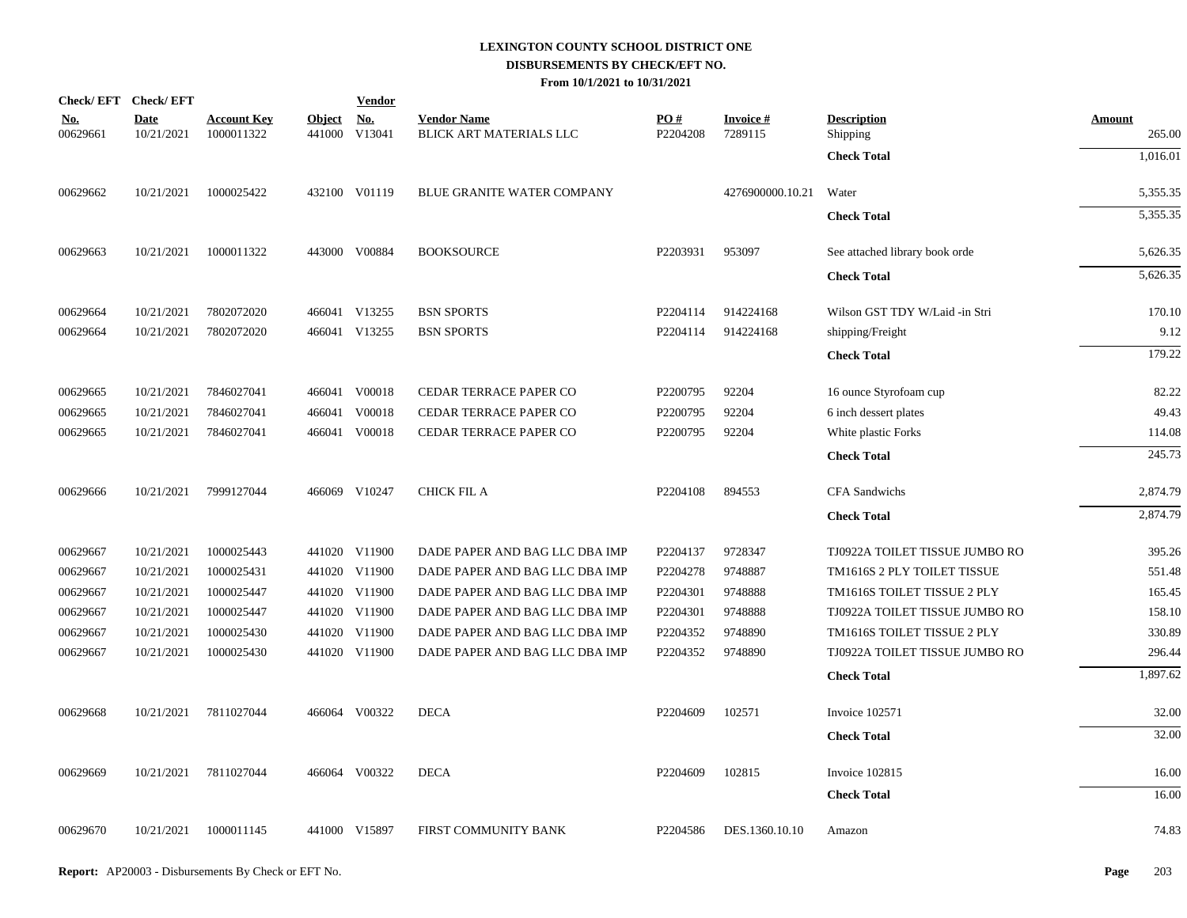|                        | Check/EFT Check/EFT       |                                  |                         | <b>Vendor</b> |                                               |                 |                            |                                |                         |
|------------------------|---------------------------|----------------------------------|-------------------------|---------------|-----------------------------------------------|-----------------|----------------------------|--------------------------------|-------------------------|
| <u>No.</u><br>00629661 | <b>Date</b><br>10/21/2021 | <b>Account Key</b><br>1000011322 | <b>Object</b><br>441000 | No.<br>V13041 | <b>Vendor Name</b><br>BLICK ART MATERIALS LLC | PO#<br>P2204208 | <b>Invoice#</b><br>7289115 | <b>Description</b><br>Shipping | <b>Amount</b><br>265.00 |
|                        |                           |                                  |                         |               |                                               |                 |                            | <b>Check Total</b>             | 1,016.01                |
| 00629662               | 10/21/2021                | 1000025422                       |                         | 432100 V01119 | <b>BLUE GRANITE WATER COMPANY</b>             |                 | 4276900000.10.21           | Water                          | 5,355.35                |
|                        |                           |                                  |                         |               |                                               |                 |                            | <b>Check Total</b>             | 5,355.35                |
| 00629663               | 10/21/2021                | 1000011322                       |                         | 443000 V00884 | <b>BOOKSOURCE</b>                             | P2203931        | 953097                     | See attached library book orde | 5,626.35                |
|                        |                           |                                  |                         |               |                                               |                 |                            | <b>Check Total</b>             | 5,626.35                |
| 00629664               | 10/21/2021                | 7802072020                       |                         | 466041 V13255 | <b>BSN SPORTS</b>                             | P2204114        | 914224168                  | Wilson GST TDY W/Laid -in Stri | 170.10                  |
| 00629664               | 10/21/2021                | 7802072020                       |                         | 466041 V13255 | <b>BSN SPORTS</b>                             | P2204114        | 914224168                  | shipping/Freight               | 9.12                    |
|                        |                           |                                  |                         |               |                                               |                 |                            | <b>Check Total</b>             | 179.22                  |
| 00629665               | 10/21/2021                | 7846027041                       |                         | 466041 V00018 | CEDAR TERRACE PAPER CO                        | P2200795        | 92204                      | 16 ounce Styrofoam cup         | 82.22                   |
| 00629665               | 10/21/2021                | 7846027041                       | 466041                  | V00018        | CEDAR TERRACE PAPER CO                        | P2200795        | 92204                      | 6 inch dessert plates          | 49.43                   |
| 00629665               | 10/21/2021                | 7846027041                       | 466041                  | V00018        | CEDAR TERRACE PAPER CO                        | P2200795        | 92204                      | White plastic Forks            | 114.08                  |
|                        |                           |                                  |                         |               |                                               |                 |                            | <b>Check Total</b>             | 245.73                  |
| 00629666               | 10/21/2021                | 7999127044                       |                         | 466069 V10247 | <b>CHICK FIL A</b>                            | P2204108        | 894553                     | <b>CFA</b> Sandwichs           | 2,874.79                |
|                        |                           |                                  |                         |               |                                               |                 |                            | <b>Check Total</b>             | 2,874.79                |
| 00629667               | 10/21/2021                | 1000025443                       |                         | 441020 V11900 | DADE PAPER AND BAG LLC DBA IMP                | P2204137        | 9728347                    | TJ0922A TOILET TISSUE JUMBO RO | 395.26                  |
| 00629667               | 10/21/2021                | 1000025431                       |                         | 441020 V11900 | DADE PAPER AND BAG LLC DBA IMP                | P2204278        | 9748887                    | TM1616S 2 PLY TOILET TISSUE    | 551.48                  |
| 00629667               | 10/21/2021                | 1000025447                       | 441020                  | V11900        | DADE PAPER AND BAG LLC DBA IMP                | P2204301        | 9748888                    | TM1616S TOILET TISSUE 2 PLY    | 165.45                  |
| 00629667               | 10/21/2021                | 1000025447                       |                         | 441020 V11900 | DADE PAPER AND BAG LLC DBA IMP                | P2204301        | 9748888                    | TJ0922A TOILET TISSUE JUMBO RO | 158.10                  |
| 00629667               | 10/21/2021                | 1000025430                       |                         | 441020 V11900 | DADE PAPER AND BAG LLC DBA IMP                | P2204352        | 9748890                    | TM1616S TOILET TISSUE 2 PLY    | 330.89                  |
| 00629667               | 10/21/2021                | 1000025430                       |                         | 441020 V11900 | DADE PAPER AND BAG LLC DBA IMP                | P2204352        | 9748890                    | TJ0922A TOILET TISSUE JUMBO RO | 296.44                  |
|                        |                           |                                  |                         |               |                                               |                 |                            | <b>Check Total</b>             | 1,897.62                |
| 00629668               | 10/21/2021                | 7811027044                       |                         | 466064 V00322 | <b>DECA</b>                                   | P2204609        | 102571                     | Invoice 102571                 | 32.00                   |
|                        |                           |                                  |                         |               |                                               |                 |                            | <b>Check Total</b>             | 32.00                   |
| 00629669               | 10/21/2021                | 7811027044                       |                         | 466064 V00322 | <b>DECA</b>                                   | P2204609        | 102815                     | Invoice 102815                 | 16.00                   |
|                        |                           |                                  |                         |               |                                               |                 |                            | <b>Check Total</b>             | 16.00                   |
| 00629670               | 10/21/2021                | 1000011145                       |                         | 441000 V15897 | FIRST COMMUNITY BANK                          | P2204586        | DES.1360.10.10             | Amazon                         | 74.83                   |
|                        |                           |                                  |                         |               |                                               |                 |                            |                                |                         |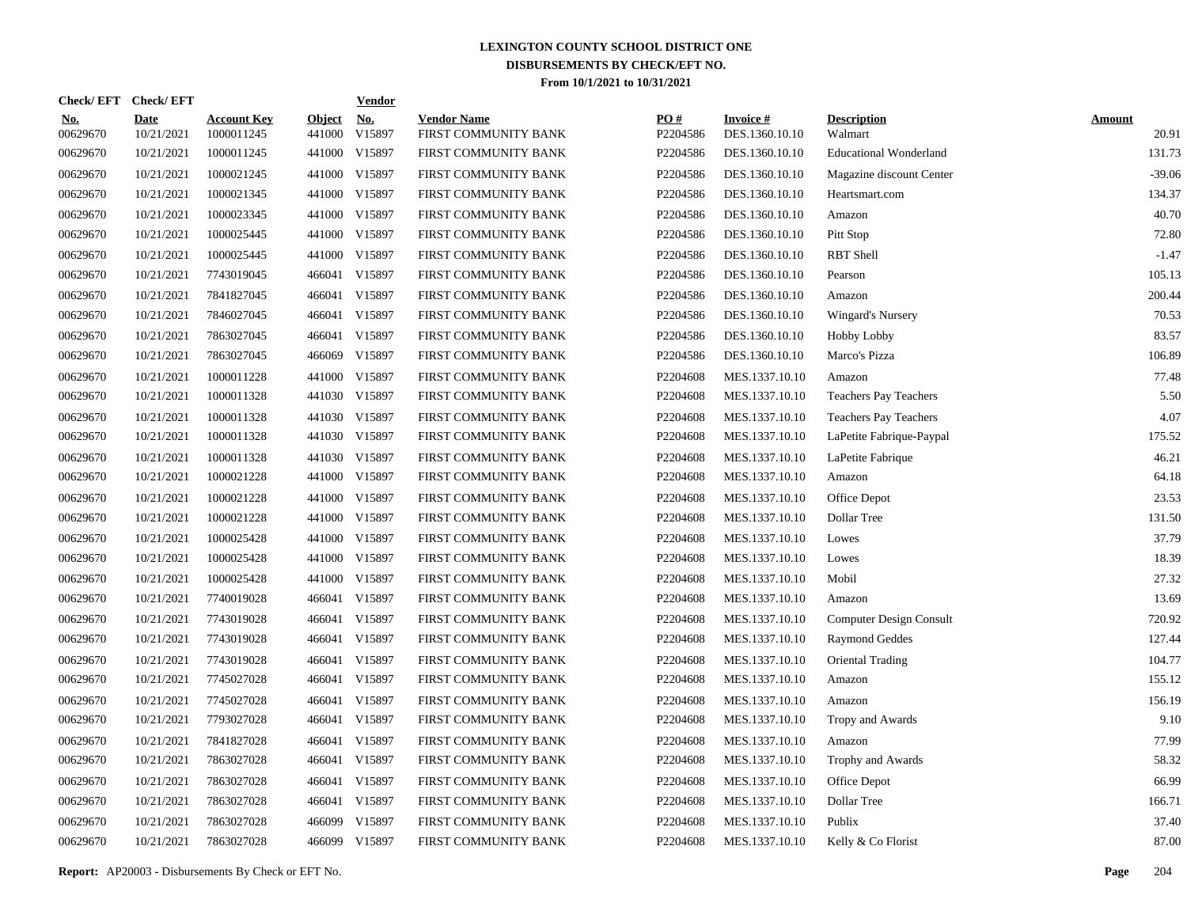| Check/EFT Check/EFT    |                           |                                  |                         | <b>Vendor</b>        |                                            |                      |                                   |                               |                        |
|------------------------|---------------------------|----------------------------------|-------------------------|----------------------|--------------------------------------------|----------------------|-----------------------------------|-------------------------------|------------------------|
| <u>No.</u><br>00629670 | <b>Date</b><br>10/21/2021 | <b>Account Key</b><br>1000011245 | <b>Object</b><br>441000 | <u>No.</u><br>V15897 | <b>Vendor Name</b><br>FIRST COMMUNITY BANK | PQ#<br>P2204586      | <b>Invoice#</b><br>DES.1360.10.10 | <b>Description</b><br>Walmart | <b>Amount</b><br>20.91 |
| 00629670               | 10/21/2021                | 1000011245                       |                         | 441000 V15897        | FIRST COMMUNITY BANK                       | P2204586             | DES.1360.10.10                    | <b>Educational Wonderland</b> | 131.73                 |
| 00629670               | 10/21/2021                | 1000021245                       |                         | 441000 V15897        | FIRST COMMUNITY BANK                       | P2204586             | DES.1360.10.10                    | Magazine discount Center      | $-39.06$               |
| 00629670               | 10/21/2021                | 1000021345                       |                         | 441000 V15897        | FIRST COMMUNITY BANK                       | P2204586             | DES.1360.10.10                    | Heartsmart.com                | 134.37                 |
| 00629670               | 10/21/2021                | 1000023345                       |                         | 441000 V15897        | FIRST COMMUNITY BANK                       | P2204586             | DES.1360.10.10                    | Amazon                        | 40.70                  |
| 00629670               | 10/21/2021                | 1000025445                       |                         | 441000 V15897        | FIRST COMMUNITY BANK                       | P2204586             | DES.1360.10.10                    | Pitt Stop                     | 72.80                  |
| 00629670               | 10/21/2021                | 1000025445                       |                         | 441000 V15897        | FIRST COMMUNITY BANK                       | P2204586             | DES.1360.10.10                    | <b>RBT</b> Shell              | $-1.47$                |
| 00629670               | 10/21/2021                | 7743019045                       |                         | 466041 V15897        | FIRST COMMUNITY BANK                       | P2204586             | DES.1360.10.10                    | Pearson                       | 105.13                 |
| 00629670               | 10/21/2021                | 7841827045                       |                         | 466041 V15897        | FIRST COMMUNITY BANK                       | P2204586             | DES.1360.10.10                    | Amazon                        | 200.44                 |
| 00629670               | 10/21/2021                | 7846027045                       |                         | 466041 V15897        | FIRST COMMUNITY BANK                       | P2204586             | DES.1360.10.10                    | <b>Wingard's Nursery</b>      | 70.53                  |
| 00629670               | 10/21/2021                | 7863027045                       |                         | 466041 V15897        | FIRST COMMUNITY BANK                       | P2204586             | DES.1360.10.10                    | Hobby Lobby                   | 83.57                  |
| 00629670               | 10/21/2021                | 7863027045                       | 466069                  | V15897               | FIRST COMMUNITY BANK                       | P2204586             | DES.1360.10.10                    | Marco's Pizza                 | 106.89                 |
| 00629670               | 10/21/2021                | 1000011228                       |                         | 441000 V15897        | FIRST COMMUNITY BANK                       | P2204608             | MES.1337.10.10                    | Amazon                        | 77.48                  |
| 00629670               | 10/21/2021                | 1000011328                       |                         | 441030 V15897        | FIRST COMMUNITY BANK                       | P2204608             | MES.1337.10.10                    | Teachers Pay Teachers         | 5.50                   |
| 00629670               | 10/21/2021                | 1000011328                       |                         | 441030 V15897        | FIRST COMMUNITY BANK                       | P2204608             | MES.1337.10.10                    | <b>Teachers Pay Teachers</b>  | 4.07                   |
| 00629670               | 10/21/2021                | 1000011328                       |                         | 441030 V15897        | FIRST COMMUNITY BANK                       | P2204608             | MES.1337.10.10                    | LaPetite Fabrique-Paypal      | 175.52                 |
| 00629670               | 10/21/2021                | 1000011328                       |                         | 441030 V15897        | FIRST COMMUNITY BANK                       | P2204608             | MES.1337.10.10                    | LaPetite Fabrique             | 46.21                  |
| 00629670               | 10/21/2021                | 1000021228                       |                         | 441000 V15897        | FIRST COMMUNITY BANK                       | P2204608             | MES.1337.10.10                    | Amazon                        | 64.18                  |
| 00629670               | 10/21/2021                | 1000021228                       | 441000                  | V15897               | FIRST COMMUNITY BANK                       | P2204608             | MES.1337.10.10                    | Office Depot                  | 23.53                  |
| 00629670               | 10/21/2021                | 1000021228                       |                         | 441000 V15897        | FIRST COMMUNITY BANK                       | P2204608             | MES.1337.10.10                    | Dollar Tree                   | 131.50                 |
| 00629670               | 10/21/2021                | 1000025428                       | 441000                  | V15897               | FIRST COMMUNITY BANK                       | P2204608             | MES.1337.10.10                    | Lowes                         | 37.79                  |
| 00629670               | 10/21/2021                | 1000025428                       |                         | 441000 V15897        | FIRST COMMUNITY BANK                       | P2204608             | MES.1337.10.10                    | Lowes                         | 18.39                  |
| 00629670               | 10/21/2021                | 1000025428                       |                         | 441000 V15897        | FIRST COMMUNITY BANK                       | P2204608             | MES.1337.10.10                    | Mobil                         | 27.32                  |
| 00629670               | 10/21/2021                | 7740019028                       |                         | 466041 V15897        | FIRST COMMUNITY BANK                       | P2204608             | MES.1337.10.10                    | Amazon                        | 13.69                  |
| 00629670               | 10/21/2021                | 7743019028                       |                         | 466041 V15897        | FIRST COMMUNITY BANK                       | P2204608             | MES.1337.10.10                    | Computer Design Consult       | 720.92                 |
| 00629670               | 10/21/2021                | 7743019028                       |                         | 466041 V15897        | FIRST COMMUNITY BANK                       | P2204608             | MES.1337.10.10                    | <b>Raymond Geddes</b>         | 127.44                 |
| 00629670               | 10/21/2021                | 7743019028                       |                         | 466041 V15897        | FIRST COMMUNITY BANK                       | P2204608             | MES.1337.10.10                    | Oriental Trading              | 104.77                 |
| 00629670               | 10/21/2021                | 7745027028                       |                         | 466041 V15897        | FIRST COMMUNITY BANK                       | P2204608             | MES.1337.10.10                    | Amazon                        | 155.12                 |
| 00629670               | 10/21/2021                | 7745027028                       |                         | 466041 V15897        | FIRST COMMUNITY BANK                       | P2204608             | MES.1337.10.10                    | Amazon                        | 156.19                 |
| 00629670               | 10/21/2021                | 7793027028                       |                         | 466041 V15897        | FIRST COMMUNITY BANK                       | P2204608             | MES.1337.10.10                    | Tropy and Awards              | 9.10                   |
| 00629670               | 10/21/2021                | 7841827028                       |                         | 466041 V15897        | FIRST COMMUNITY BANK                       | P <sub>2204608</sub> | MES.1337.10.10                    | Amazon                        | 77.99                  |
| 00629670               | 10/21/2021                | 7863027028                       |                         | 466041 V15897        | FIRST COMMUNITY BANK                       | P2204608             | MES.1337.10.10                    | Trophy and Awards             | 58.32                  |
| 00629670               | 10/21/2021                | 7863027028                       |                         | 466041 V15897        | FIRST COMMUNITY BANK                       | P2204608             | MES.1337.10.10                    | Office Depot                  | 66.99                  |
| 00629670               | 10/21/2021                | 7863027028                       |                         | 466041 V15897        | FIRST COMMUNITY BANK                       | P2204608             | MES.1337.10.10                    | Dollar Tree                   | 166.71                 |
| 00629670               | 10/21/2021                | 7863027028                       |                         | 466099 V15897        | FIRST COMMUNITY BANK                       | P2204608             | MES.1337.10.10                    | Publix                        | 37.40                  |
| 00629670               | 10/21/2021                | 7863027028                       |                         | 466099 V15897        | FIRST COMMUNITY BANK                       | P2204608             | MES.1337.10.10                    | Kelly & Co Florist            | 87.00                  |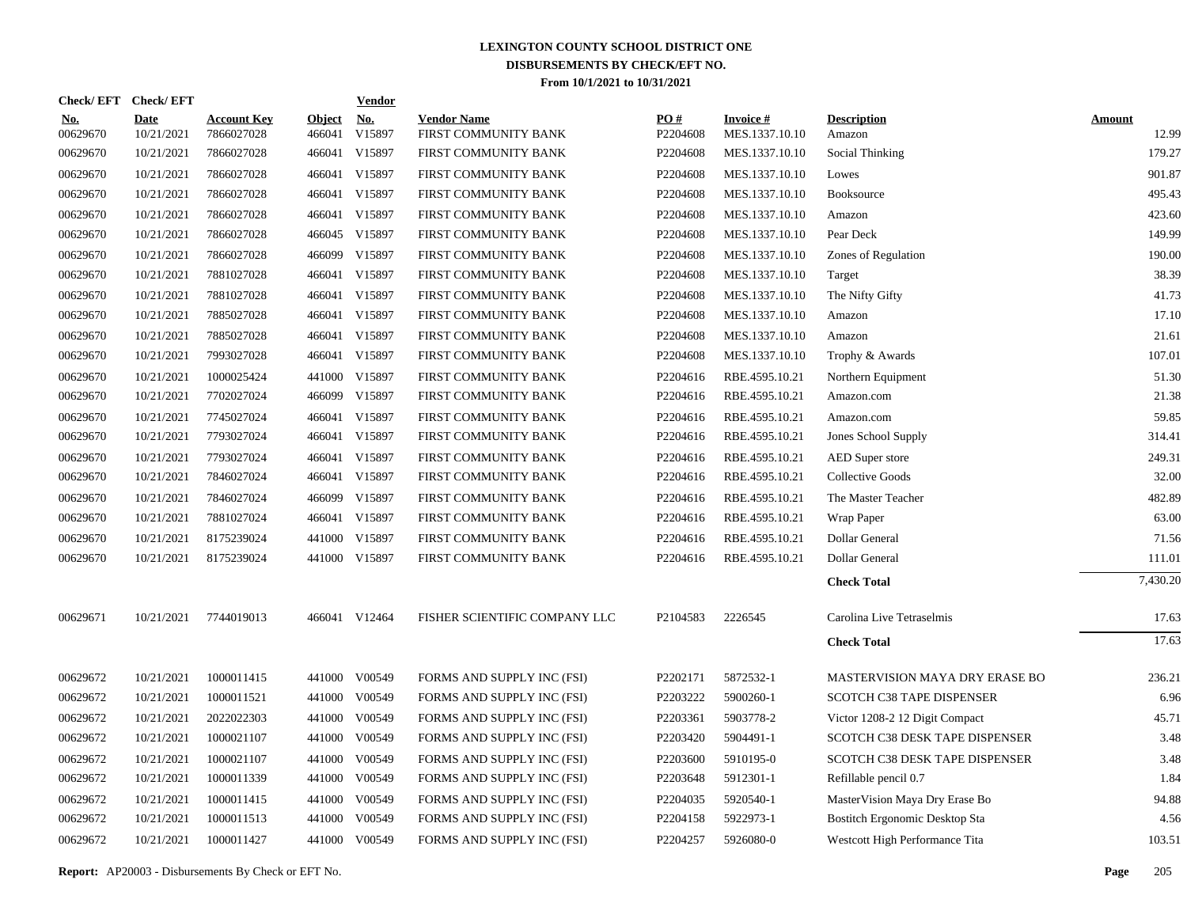| Check/EFT Check/EFT    |                           |                                  |                         | <b>Vendor</b> |                                            |                 |                                   |                                |                        |
|------------------------|---------------------------|----------------------------------|-------------------------|---------------|--------------------------------------------|-----------------|-----------------------------------|--------------------------------|------------------------|
| <u>No.</u><br>00629670 | <b>Date</b><br>10/21/2021 | <b>Account Key</b><br>7866027028 | <b>Object</b><br>466041 | No.<br>V15897 | <b>Vendor Name</b><br>FIRST COMMUNITY BANK | PO#<br>P2204608 | <b>Invoice#</b><br>MES.1337.10.10 | <b>Description</b><br>Amazon   | <b>Amount</b><br>12.99 |
| 00629670               | 10/21/2021                | 7866027028                       | 466041                  | V15897        | FIRST COMMUNITY BANK                       | P2204608        | MES.1337.10.10                    | Social Thinking                | 179.27                 |
| 00629670               | 10/21/2021                | 7866027028                       | 466041                  | V15897        | FIRST COMMUNITY BANK                       | P2204608        | MES.1337.10.10                    | Lowes                          | 901.87                 |
| 00629670               | 10/21/2021                | 7866027028                       | 466041                  | V15897        | FIRST COMMUNITY BANK                       | P2204608        | MES.1337.10.10                    | Booksource                     | 495.43                 |
| 00629670               | 10/21/2021                | 7866027028                       | 466041                  | V15897        | FIRST COMMUNITY BANK                       | P2204608        | MES.1337.10.10                    | Amazon                         | 423.60                 |
| 00629670               | 10/21/2021                | 7866027028                       |                         | 466045 V15897 | FIRST COMMUNITY BANK                       | P2204608        | MES.1337.10.10                    | Pear Deck                      | 149.99                 |
| 00629670               | 10/21/2021                | 7866027028                       |                         | 466099 V15897 | FIRST COMMUNITY BANK                       | P2204608        | MES.1337.10.10                    | Zones of Regulation            | 190.00                 |
| 00629670               | 10/21/2021                | 7881027028                       | 466041                  | V15897        | FIRST COMMUNITY BANK                       | P2204608        | MES.1337.10.10                    | Target                         | 38.39                  |
| 00629670               | 10/21/2021                | 7881027028                       | 466041                  | V15897        | FIRST COMMUNITY BANK                       | P2204608        | MES.1337.10.10                    | The Nifty Gifty                | 41.73                  |
| 00629670               | 10/21/2021                | 7885027028                       | 466041                  | V15897        | FIRST COMMUNITY BANK                       | P2204608        | MES.1337.10.10                    | Amazon                         | 17.10                  |
| 00629670               | 10/21/2021                | 7885027028                       | 466041                  | V15897        | FIRST COMMUNITY BANK                       | P2204608        | MES.1337.10.10                    | Amazon                         | 21.61                  |
| 00629670               | 10/21/2021                | 7993027028                       |                         | 466041 V15897 | FIRST COMMUNITY BANK                       | P2204608        | MES.1337.10.10                    | Trophy & Awards                | 107.01                 |
| 00629670               | 10/21/2021                | 1000025424                       | 441000                  | V15897        | FIRST COMMUNITY BANK                       | P2204616        | RBE.4595.10.21                    | Northern Equipment             | 51.30                  |
| 00629670               | 10/21/2021                | 7702027024                       |                         | 466099 V15897 | FIRST COMMUNITY BANK                       | P2204616        | RBE.4595.10.21                    | Amazon.com                     | 21.38                  |
| 00629670               | 10/21/2021                | 7745027024                       | 466041                  | V15897        | FIRST COMMUNITY BANK                       | P2204616        | RBE.4595.10.21                    | Amazon.com                     | 59.85                  |
| 00629670               | 10/21/2021                | 7793027024                       |                         | 466041 V15897 | FIRST COMMUNITY BANK                       | P2204616        | RBE.4595.10.21                    | Jones School Supply            | 314.41                 |
| 00629670               | 10/21/2021                | 7793027024                       | 466041                  | V15897        | FIRST COMMUNITY BANK                       | P2204616        | RBE.4595.10.21                    | <b>AED</b> Super store         | 249.31                 |
| 00629670               | 10/21/2021                | 7846027024                       |                         | 466041 V15897 | FIRST COMMUNITY BANK                       | P2204616        | RBE.4595.10.21                    | Collective Goods               | 32.00                  |
| 00629670               | 10/21/2021                | 7846027024                       | 466099                  | V15897        | FIRST COMMUNITY BANK                       | P2204616        | RBE.4595.10.21                    | The Master Teacher             | 482.89                 |
| 00629670               | 10/21/2021                | 7881027024                       |                         | 466041 V15897 | FIRST COMMUNITY BANK                       | P2204616        | RBE.4595.10.21                    | Wrap Paper                     | 63.00                  |
| 00629670               | 10/21/2021                | 8175239024                       | 441000                  | V15897        | FIRST COMMUNITY BANK                       | P2204616        | RBE.4595.10.21                    | <b>Dollar General</b>          | 71.56                  |
| 00629670               | 10/21/2021                | 8175239024                       |                         | 441000 V15897 | FIRST COMMUNITY BANK                       | P2204616        | RBE.4595.10.21                    | <b>Dollar General</b>          | 111.01                 |
|                        |                           |                                  |                         |               |                                            |                 |                                   | <b>Check Total</b>             | 7,430.20               |
| 00629671               | 10/21/2021                | 7744019013                       |                         | 466041 V12464 | FISHER SCIENTIFIC COMPANY LLC              | P2104583        | 2226545                           | Carolina Live Tetraselmis      | 17.63                  |
|                        |                           |                                  |                         |               |                                            |                 |                                   | <b>Check Total</b>             | 17.63                  |
| 00629672               | 10/21/2021                | 1000011415                       |                         | 441000 V00549 | FORMS AND SUPPLY INC (FSI)                 | P2202171        | 5872532-1                         | MASTERVISION MAYA DRY ERASE BO | 236.21                 |
| 00629672               | 10/21/2021                | 1000011521                       | 441000                  | V00549        | FORMS AND SUPPLY INC (FSI)                 | P2203222        | 5900260-1                         | SCOTCH C38 TAPE DISPENSER      | 6.96                   |
| 00629672               | 10/21/2021                | 2022022303                       | 441000                  | V00549        | FORMS AND SUPPLY INC (FSI)                 | P2203361        | 5903778-2                         | Victor 1208-2 12 Digit Compact | 45.71                  |
| 00629672               | 10/21/2021                | 1000021107                       |                         | 441000 V00549 | FORMS AND SUPPLY INC (FSI)                 | P2203420        | 5904491-1                         | SCOTCH C38 DESK TAPE DISPENSER | 3.48                   |
| 00629672               | 10/21/2021                | 1000021107                       | 441000                  | V00549        | FORMS AND SUPPLY INC (FSI)                 | P2203600        | 5910195-0                         | SCOTCH C38 DESK TAPE DISPENSER | 3.48                   |
| 00629672               | 10/21/2021                | 1000011339                       | 441000                  | V00549        | FORMS AND SUPPLY INC (FSI)                 | P2203648        | 5912301-1                         | Refillable pencil 0.7          | 1.84                   |
| 00629672               | 10/21/2021                | 1000011415                       | 441000                  | V00549        | FORMS AND SUPPLY INC (FSI)                 | P2204035        | 5920540-1                         | MasterVision Maya Dry Erase Bo | 94.88                  |
| 00629672               | 10/21/2021                | 1000011513                       | 441000                  | V00549        | FORMS AND SUPPLY INC (FSI)                 | P2204158        | 5922973-1                         | Bostitch Ergonomic Desktop Sta | 4.56                   |
| 00629672               | 10/21/2021                | 1000011427                       |                         | 441000 V00549 | FORMS AND SUPPLY INC (FSI)                 | P2204257        | 5926080-0                         | Westcott High Performance Tita | 103.51                 |
|                        |                           |                                  |                         |               |                                            |                 |                                   |                                |                        |

**Report:** AP20003 - Disbursements By Check or EFT No. **Page** 205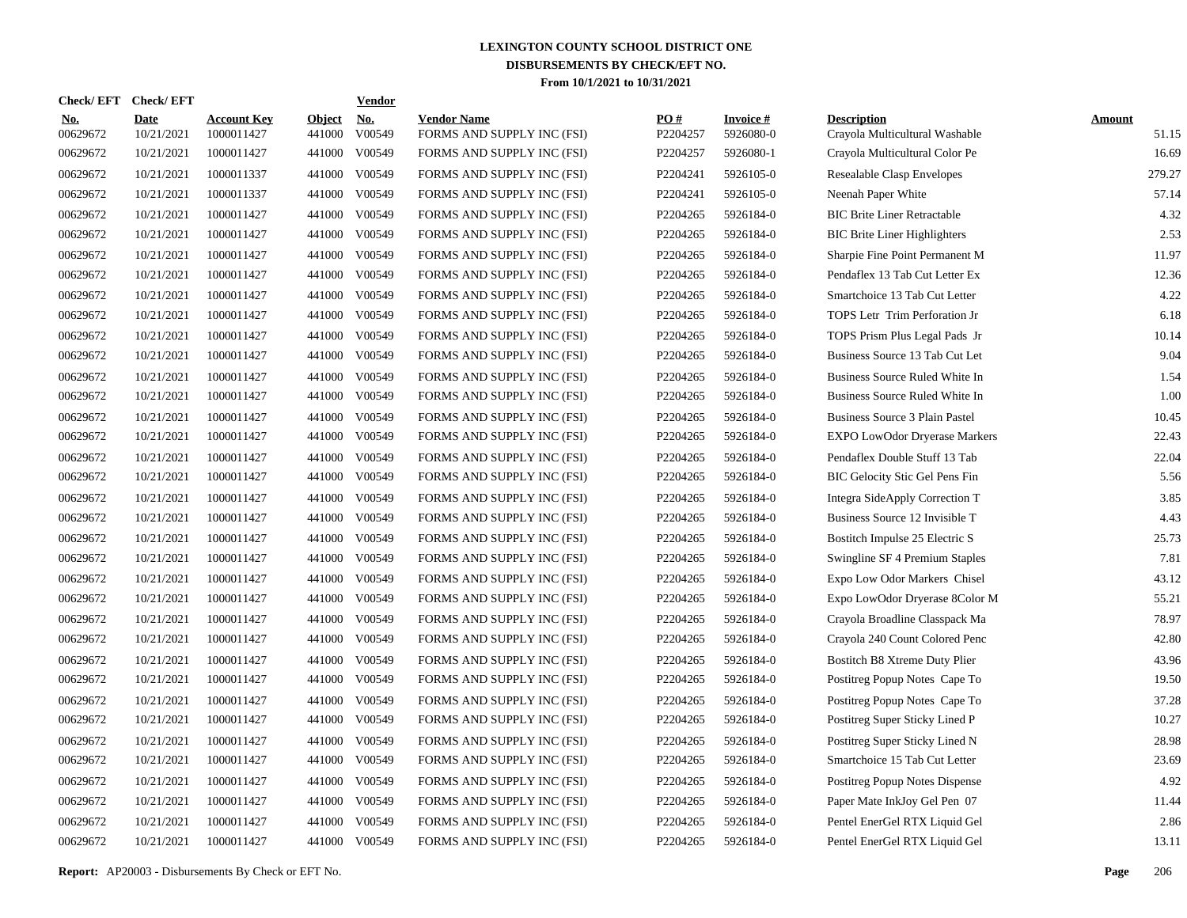| Check/EFT Check/EFT    |                           |                                  |                         | <b>Vendor</b>        |                                                  |                 |                              |                                                      |                        |
|------------------------|---------------------------|----------------------------------|-------------------------|----------------------|--------------------------------------------------|-----------------|------------------------------|------------------------------------------------------|------------------------|
| <u>No.</u><br>00629672 | <b>Date</b><br>10/21/2021 | <b>Account Key</b><br>1000011427 | <b>Object</b><br>441000 | <u>No.</u><br>V00549 | <b>Vendor Name</b><br>FORMS AND SUPPLY INC (FSI) | PQ#<br>P2204257 | <b>Invoice#</b><br>5926080-0 | <b>Description</b><br>Crayola Multicultural Washable | <b>Amount</b><br>51.15 |
| 00629672               | 10/21/2021                | 1000011427                       | 441000                  | V00549               | FORMS AND SUPPLY INC (FSI)                       | P2204257        | 5926080-1                    | Crayola Multicultural Color Pe                       | 16.69                  |
| 00629672               | 10/21/2021                | 1000011337                       | 441000                  | V00549               | FORMS AND SUPPLY INC (FSI)                       | P2204241        | 5926105-0                    | Resealable Clasp Envelopes                           | 279.27                 |
| 00629672               | 10/21/2021                | 1000011337                       | 441000                  | V00549               | FORMS AND SUPPLY INC (FSI)                       | P2204241        | 5926105-0                    | Neenah Paper White                                   | 57.14                  |
| 00629672               | 10/21/2021                | 1000011427                       | 441000                  | V00549               | FORMS AND SUPPLY INC (FSI)                       | P2204265        | 5926184-0                    | <b>BIC Brite Liner Retractable</b>                   | 4.32                   |
| 00629672               | 10/21/2021                | 1000011427                       | 441000                  | V00549               | FORMS AND SUPPLY INC (FSI)                       | P2204265        | 5926184-0                    | <b>BIC Brite Liner Highlighters</b>                  | 2.53                   |
| 00629672               | 10/21/2021                | 1000011427                       | 441000                  | V00549               | FORMS AND SUPPLY INC (FSI)                       | P2204265        | 5926184-0                    | Sharpie Fine Point Permanent M                       | 11.97                  |
| 00629672               | 10/21/2021                | 1000011427                       | 441000                  | V00549               | FORMS AND SUPPLY INC (FSI)                       | P2204265        | 5926184-0                    | Pendaflex 13 Tab Cut Letter Ex                       | 12.36                  |
| 00629672               | 10/21/2021                | 1000011427                       | 441000                  | V00549               | FORMS AND SUPPLY INC (FSI)                       | P2204265        | 5926184-0                    | Smartchoice 13 Tab Cut Letter                        | 4.22                   |
| 00629672               | 10/21/2021                | 1000011427                       | 441000                  | V00549               | FORMS AND SUPPLY INC (FSI)                       | P2204265        | 5926184-0                    | TOPS Letr Trim Perforation Jr                        | 6.18                   |
| 00629672               | 10/21/2021                | 1000011427                       | 441000                  | V00549               | FORMS AND SUPPLY INC (FSI)                       | P2204265        | 5926184-0                    | TOPS Prism Plus Legal Pads Jr                        | 10.14                  |
| 00629672               | 10/21/2021                | 1000011427                       | 441000                  | V00549               | FORMS AND SUPPLY INC (FSI)                       | P2204265        | 5926184-0                    | Business Source 13 Tab Cut Let                       | 9.04                   |
| 00629672               | 10/21/2021                | 1000011427                       | 441000                  | V00549               | FORMS AND SUPPLY INC (FSI)                       | P2204265        | 5926184-0                    | Business Source Ruled White In                       | 1.54                   |
| 00629672               | 10/21/2021                | 1000011427                       | 441000                  | V00549               | FORMS AND SUPPLY INC (FSI)                       | P2204265        | 5926184-0                    | Business Source Ruled White In                       | 1.00                   |
| 00629672               | 10/21/2021                | 1000011427                       | 441000                  | V00549               | FORMS AND SUPPLY INC (FSI)                       | P2204265        | 5926184-0                    | Business Source 3 Plain Pastel                       | 10.45                  |
| 00629672               | 10/21/2021                | 1000011427                       | 441000                  | V00549               | FORMS AND SUPPLY INC (FSI)                       | P2204265        | 5926184-0                    | <b>EXPO LowOdor Dryerase Markers</b>                 | 22.43                  |
| 00629672               | 10/21/2021                | 1000011427                       | 441000                  | V00549               | FORMS AND SUPPLY INC (FSI)                       | P2204265        | 5926184-0                    | Pendaflex Double Stuff 13 Tab                        | 22.04                  |
| 00629672               | 10/21/2021                | 1000011427                       | 441000                  | V00549               | FORMS AND SUPPLY INC (FSI)                       | P2204265        | 5926184-0                    | BIC Gelocity Stic Gel Pens Fin                       | 5.56                   |
| 00629672               | 10/21/2021                | 1000011427                       | 441000                  | V00549               | FORMS AND SUPPLY INC (FSI)                       | P2204265        | 5926184-0                    | Integra SideApply Correction T                       | 3.85                   |
| 00629672               | 10/21/2021                | 1000011427                       | 441000                  | V00549               | FORMS AND SUPPLY INC (FSI)                       | P2204265        | 5926184-0                    | Business Source 12 Invisible T                       | 4.43                   |
| 00629672               | 10/21/2021                | 1000011427                       | 441000                  | V00549               | FORMS AND SUPPLY INC (FSI)                       | P2204265        | 5926184-0                    | Bostitch Impulse 25 Electric S                       | 25.73                  |
| 00629672               | 10/21/2021                | 1000011427                       | 441000                  | V00549               | FORMS AND SUPPLY INC (FSI)                       | P2204265        | 5926184-0                    | Swingline SF 4 Premium Staples                       | 7.81                   |
| 00629672               | 10/21/2021                | 1000011427                       | 441000                  | V00549               | FORMS AND SUPPLY INC (FSI)                       | P2204265        | 5926184-0                    | Expo Low Odor Markers Chisel                         | 43.12                  |
| 00629672               | 10/21/2021                | 1000011427                       | 441000                  | V00549               | FORMS AND SUPPLY INC (FSI)                       | P2204265        | 5926184-0                    | Expo LowOdor Dryerase 8Color M                       | 55.21                  |
| 00629672               | 10/21/2021                | 1000011427                       | 441000                  | V00549               | FORMS AND SUPPLY INC (FSI)                       | P2204265        | 5926184-0                    | Crayola Broadline Classpack Ma                       | 78.97                  |
| 00629672               | 10/21/2021                | 1000011427                       | 441000                  | V00549               | FORMS AND SUPPLY INC (FSI)                       | P2204265        | 5926184-0                    | Crayola 240 Count Colored Penc                       | 42.80                  |
| 00629672               | 10/21/2021                | 1000011427                       | 441000                  | V00549               | FORMS AND SUPPLY INC (FSI)                       | P2204265        | 5926184-0                    | Bostitch B8 Xtreme Duty Plier                        | 43.96                  |
| 00629672               | 10/21/2021                | 1000011427                       | 441000                  | V00549               | FORMS AND SUPPLY INC (FSI)                       | P2204265        | 5926184-0                    | Postitreg Popup Notes Cape To                        | 19.50                  |
| 00629672               | 10/21/2021                | 1000011427                       | 441000                  | V00549               | FORMS AND SUPPLY INC (FSI)                       | P2204265        | 5926184-0                    | Postitreg Popup Notes Cape To                        | 37.28                  |
| 00629672               | 10/21/2021                | 1000011427                       | 441000                  | V00549               | FORMS AND SUPPLY INC (FSI)                       | P2204265        | 5926184-0                    | Postitreg Super Sticky Lined P                       | 10.27                  |
| 00629672               | 10/21/2021                | 1000011427                       | 441000                  | V00549               | FORMS AND SUPPLY INC (FSI)                       | P2204265        | 5926184-0                    | Postitreg Super Sticky Lined N                       | 28.98                  |
| 00629672               | 10/21/2021                | 1000011427                       | 441000                  | V00549               | FORMS AND SUPPLY INC (FSI)                       | P2204265        | 5926184-0                    | Smartchoice 15 Tab Cut Letter                        | 23.69                  |
| 00629672               | 10/21/2021                | 1000011427                       | 441000                  | V00549               | FORMS AND SUPPLY INC (FSI)                       | P2204265        | 5926184-0                    | Postitreg Popup Notes Dispense                       | 4.92                   |
| 00629672               | 10/21/2021                | 1000011427                       |                         | 441000 V00549        | FORMS AND SUPPLY INC (FSI)                       | P2204265        | 5926184-0                    | Paper Mate InkJoy Gel Pen 07                         | 11.44                  |
| 00629672               | 10/21/2021                | 1000011427                       | 441000                  | V00549               | FORMS AND SUPPLY INC (FSI)                       | P2204265        | 5926184-0                    | Pentel EnerGel RTX Liquid Gel                        | 2.86                   |
| 00629672               | 10/21/2021                | 1000011427                       |                         | 441000 V00549        | FORMS AND SUPPLY INC (FSI)                       | P2204265        | 5926184-0                    | Pentel EnerGel RTX Liquid Gel                        | 13.11                  |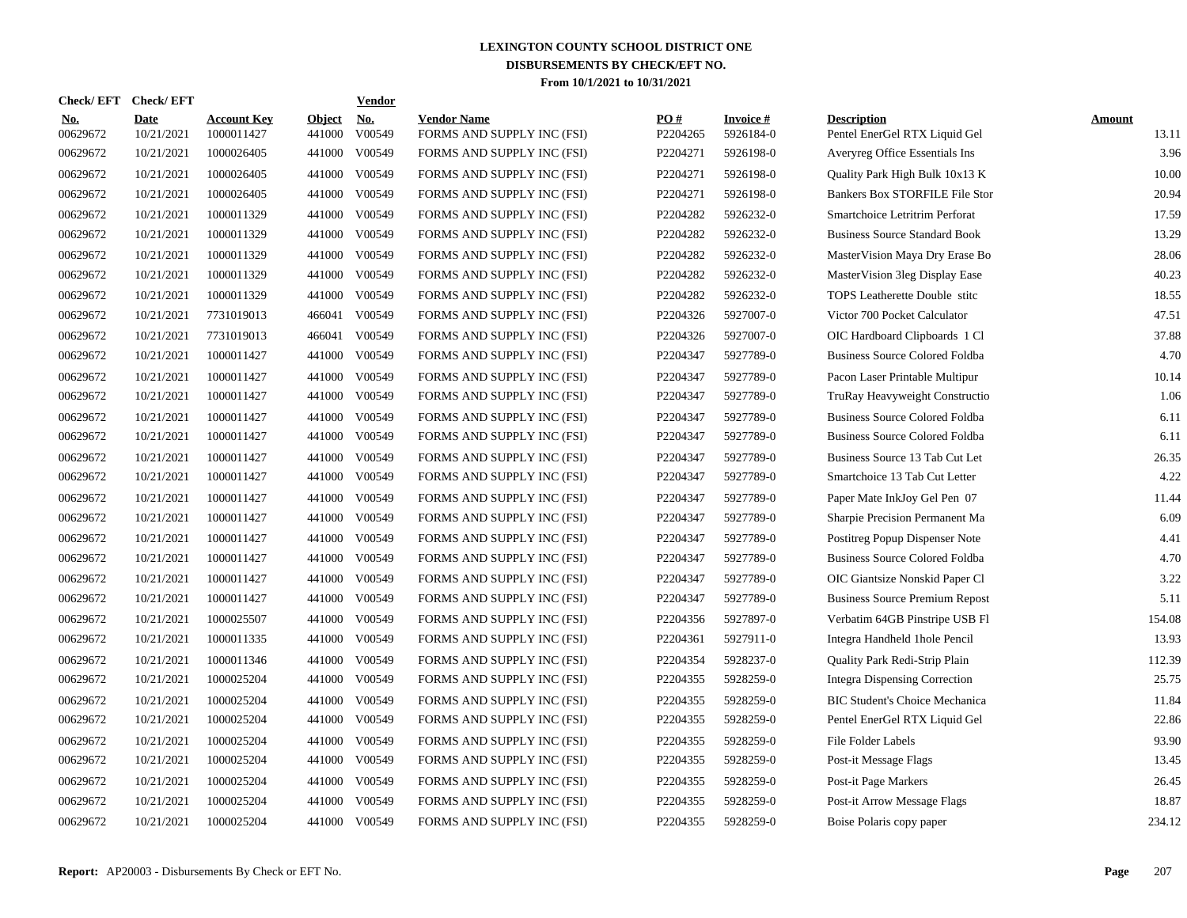|                        | Check/EFT Check/EFT       |                                  |                         | Vendor               |                                                  |                 |                        |                                                     |                 |
|------------------------|---------------------------|----------------------------------|-------------------------|----------------------|--------------------------------------------------|-----------------|------------------------|-----------------------------------------------------|-----------------|
| <b>No.</b><br>00629672 | <b>Date</b><br>10/21/2021 | <b>Account Key</b><br>1000011427 | <b>Object</b><br>441000 | <b>No.</b><br>V00549 | <b>Vendor Name</b><br>FORMS AND SUPPLY INC (FSI) | PO#<br>P2204265 | Invoice #<br>5926184-0 | <b>Description</b><br>Pentel EnerGel RTX Liquid Gel | Amount<br>13.11 |
| 00629672               | 10/21/2021                | 1000026405                       | 441000                  | V00549               | FORMS AND SUPPLY INC (FSI)                       | P2204271        | 5926198-0              | Averyreg Office Essentials Ins                      | 3.96            |
| 00629672               | 10/21/2021                | 1000026405                       | 441000                  | V00549               | FORMS AND SUPPLY INC (FSI)                       | P2204271        | 5926198-0              | Quality Park High Bulk 10x13 K                      | 10.00           |
| 00629672               | 10/21/2021                | 1000026405                       | 441000                  | V00549               | FORMS AND SUPPLY INC (FSI)                       | P2204271        | 5926198-0              | Bankers Box STORFILE File Stor                      | 20.94           |
| 00629672               | 10/21/2021                | 1000011329                       | 441000                  | V00549               | FORMS AND SUPPLY INC (FSI)                       | P2204282        | 5926232-0              | Smartchoice Letritrim Perforat                      | 17.59           |
| 00629672               | 10/21/2021                | 1000011329                       | 441000                  | V00549               | FORMS AND SUPPLY INC (FSI)                       | P2204282        | 5926232-0              | <b>Business Source Standard Book</b>                | 13.29           |
| 00629672               | 10/21/2021                | 1000011329                       | 441000                  | V00549               | FORMS AND SUPPLY INC (FSI)                       | P2204282        | 5926232-0              | MasterVision Maya Dry Erase Bo                      | 28.06           |
| 00629672               | 10/21/2021                | 1000011329                       | 441000                  | V00549               | FORMS AND SUPPLY INC (FSI)                       | P2204282        | 5926232-0              | MasterVision 3leg Display Ease                      | 40.23           |
| 00629672               | 10/21/2021                | 1000011329                       | 441000                  | V00549               | FORMS AND SUPPLY INC (FSI)                       | P2204282        | 5926232-0              | TOPS Leatherette Double stitc                       | 18.55           |
| 00629672               | 10/21/2021                | 7731019013                       | 466041                  | V00549               | FORMS AND SUPPLY INC (FSI)                       | P2204326        | 5927007-0              | Victor 700 Pocket Calculator                        | 47.51           |
| 00629672               | 10/21/2021                | 7731019013                       | 466041                  | V00549               | FORMS AND SUPPLY INC (FSI)                       | P2204326        | 5927007-0              | OIC Hardboard Clipboards 1 Cl                       | 37.88           |
| 00629672               | 10/21/2021                | 1000011427                       | 441000                  | V00549               | FORMS AND SUPPLY INC (FSI)                       | P2204347        | 5927789-0              | <b>Business Source Colored Foldba</b>               | 4.70            |
| 00629672               | 10/21/2021                | 1000011427                       | 441000                  | V00549               | FORMS AND SUPPLY INC (FSI)                       | P2204347        | 5927789-0              | Pacon Laser Printable Multipur                      | 10.14           |
| 00629672               | 10/21/2021                | 1000011427                       | 441000                  | V00549               | FORMS AND SUPPLY INC (FSI)                       | P2204347        | 5927789-0              | TruRay Heavyweight Constructio                      | 1.06            |
| 00629672               | 10/21/2021                | 1000011427                       | 441000                  | V00549               | FORMS AND SUPPLY INC (FSI)                       | P2204347        | 5927789-0              | <b>Business Source Colored Foldba</b>               | 6.11            |
| 00629672               | 10/21/2021                | 1000011427                       | 441000                  | V00549               | FORMS AND SUPPLY INC (FSI)                       | P2204347        | 5927789-0              | <b>Business Source Colored Foldba</b>               | 6.11            |
| 00629672               | 10/21/2021                | 1000011427                       | 441000                  | V00549               | FORMS AND SUPPLY INC (FSI)                       | P2204347        | 5927789-0              | Business Source 13 Tab Cut Let                      | 26.35           |
| 00629672               | 10/21/2021                | 1000011427                       | 441000                  | V00549               | FORMS AND SUPPLY INC (FSI)                       | P2204347        | 5927789-0              | Smartchoice 13 Tab Cut Letter                       | 4.22            |
| 00629672               | 10/21/2021                | 1000011427                       | 441000                  | V00549               | FORMS AND SUPPLY INC (FSI)                       | P2204347        | 5927789-0              | Paper Mate InkJoy Gel Pen 07                        | 11.44           |
| 00629672               | 10/21/2021                | 1000011427                       | 441000                  | V00549               | FORMS AND SUPPLY INC (FSI)                       | P2204347        | 5927789-0              | Sharpie Precision Permanent Ma                      | 6.09            |
| 00629672               | 10/21/2021                | 1000011427                       | 441000                  | V00549               | FORMS AND SUPPLY INC (FSI)                       | P2204347        | 5927789-0              | Postitreg Popup Dispenser Note                      | 4.41            |
| 00629672               | 10/21/2021                | 1000011427                       | 441000                  | V00549               | FORMS AND SUPPLY INC (FSI)                       | P2204347        | 5927789-0              | <b>Business Source Colored Foldba</b>               | 4.70            |
| 00629672               | 10/21/2021                | 1000011427                       | 441000                  | V00549               | FORMS AND SUPPLY INC (FSI)                       | P2204347        | 5927789-0              | OIC Giantsize Nonskid Paper Cl                      | 3.22            |
| 00629672               | 10/21/2021                | 1000011427                       | 441000                  | V00549               | FORMS AND SUPPLY INC (FSI)                       | P2204347        | 5927789-0              | <b>Business Source Premium Repost</b>               | 5.11            |
| 00629672               | 10/21/2021                | 1000025507                       | 441000                  | V00549               | FORMS AND SUPPLY INC (FSI)                       | P2204356        | 5927897-0              | Verbatim 64GB Pinstripe USB Fl                      | 154.08          |
| 00629672               | 10/21/2021                | 1000011335                       | 441000                  | V00549               | FORMS AND SUPPLY INC (FSI)                       | P2204361        | 5927911-0              | Integra Handheld 1hole Pencil                       | 13.93           |
| 00629672               | 10/21/2021                | 1000011346                       | 441000                  | V00549               | FORMS AND SUPPLY INC (FSI)                       | P2204354        | 5928237-0              | Quality Park Redi-Strip Plain                       | 112.39          |
| 00629672               | 10/21/2021                | 1000025204                       | 441000                  | V00549               | FORMS AND SUPPLY INC (FSI)                       | P2204355        | 5928259-0              | <b>Integra Dispensing Correction</b>                | 25.75           |
| 00629672               | 10/21/2021                | 1000025204                       | 441000                  | V00549               | FORMS AND SUPPLY INC (FSI)                       | P2204355        | 5928259-0              | <b>BIC Student's Choice Mechanica</b>               | 11.84           |
| 00629672               | 10/21/2021                | 1000025204                       | 441000                  | V00549               | FORMS AND SUPPLY INC (FSI)                       | P2204355        | 5928259-0              | Pentel EnerGel RTX Liquid Gel                       | 22.86           |
| 00629672               | 10/21/2021                | 1000025204                       | 441000                  | V00549               | FORMS AND SUPPLY INC (FSI)                       | P2204355        | 5928259-0              | File Folder Labels                                  | 93.90           |
| 00629672               | 10/21/2021                | 1000025204                       | 441000                  | V00549               | FORMS AND SUPPLY INC (FSI)                       | P2204355        | 5928259-0              | Post-it Message Flags                               | 13.45           |
| 00629672               | 10/21/2021                | 1000025204                       | 441000                  | V00549               | FORMS AND SUPPLY INC (FSI)                       | P2204355        | 5928259-0              | Post-it Page Markers                                | 26.45           |
| 00629672               | 10/21/2021                | 1000025204                       | 441000                  | V00549               | FORMS AND SUPPLY INC (FSI)                       | P2204355        | 5928259-0              | Post-it Arrow Message Flags                         | 18.87           |
| 00629672               | 10/21/2021                | 1000025204                       |                         | 441000 V00549        | FORMS AND SUPPLY INC (FSI)                       | P2204355        | 5928259-0              | Boise Polaris copy paper                            | 234.12          |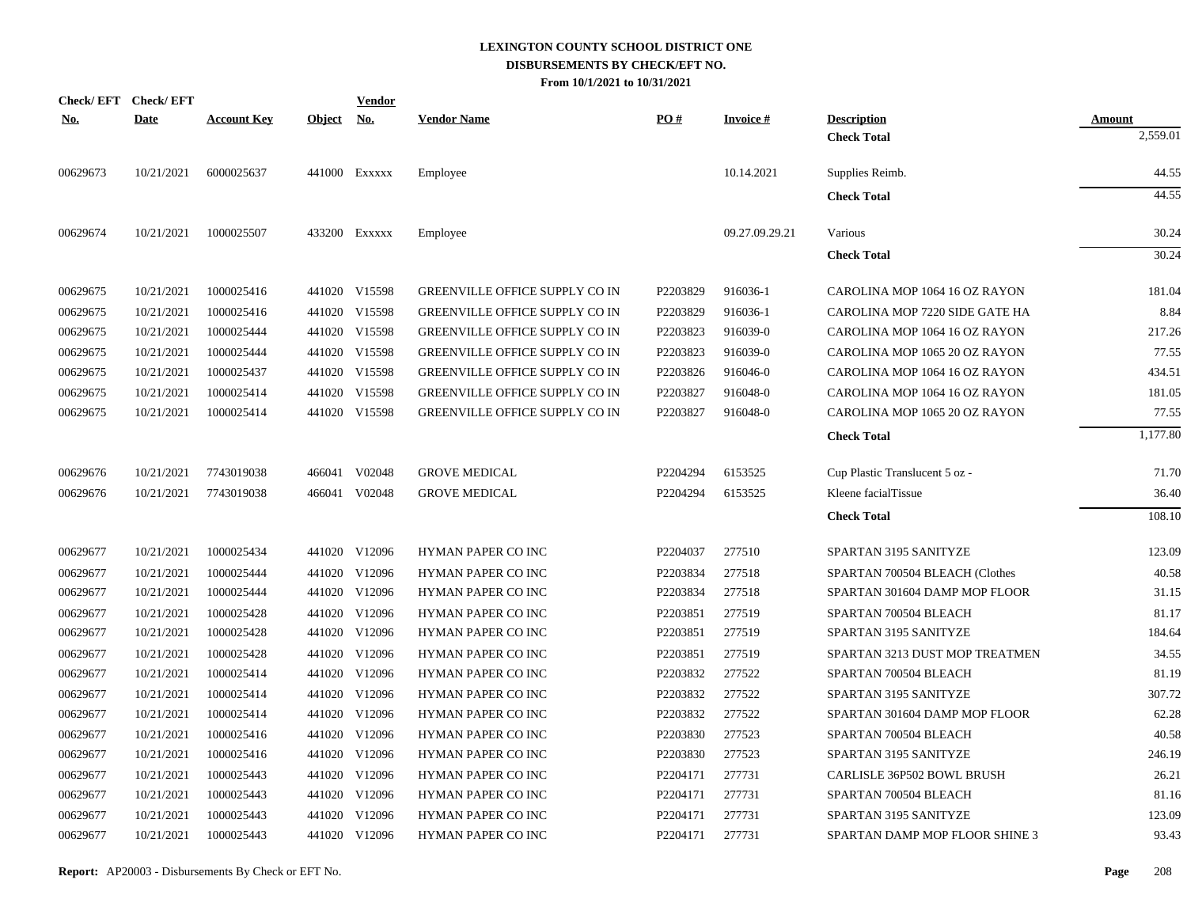| <b>Check/EFT</b> | <b>Check/EFT</b> |                    |               | <b>Vendor</b> |                                       |          |                 |                                   |               |
|------------------|------------------|--------------------|---------------|---------------|---------------------------------------|----------|-----------------|-----------------------------------|---------------|
| <u>No.</u>       | <b>Date</b>      | <b>Account Key</b> | <b>Object</b> | <u>No.</u>    | <b>Vendor Name</b>                    | PO#      | <b>Invoice#</b> | <b>Description</b>                | <u>Amount</u> |
|                  |                  |                    |               |               |                                       |          |                 | <b>Check Total</b>                | 2,559.01      |
| 00629673         | 10/21/2021       | 6000025637         |               | 441000 Exxxxx | Employee                              |          | 10.14.2021      | Supplies Reimb.                   | 44.55         |
|                  |                  |                    |               |               |                                       |          |                 | <b>Check Total</b>                | 44.55         |
| 00629674         | 10/21/2021       | 1000025507         |               | 433200 Exxxxx | Employee                              |          | 09.27.09.29.21  | Various                           | 30.24         |
|                  |                  |                    |               |               |                                       |          |                 | <b>Check Total</b>                | 30.24         |
| 00629675         | 10/21/2021       | 1000025416         |               | 441020 V15598 | <b>GREENVILLE OFFICE SUPPLY CO IN</b> | P2203829 | 916036-1        | CAROLINA MOP 1064 16 OZ RAYON     | 181.04        |
| 00629675         | 10/21/2021       | 1000025416         |               | 441020 V15598 | <b>GREENVILLE OFFICE SUPPLY CO IN</b> | P2203829 | 916036-1        | CAROLINA MOP 7220 SIDE GATE HA    | 8.84          |
| 00629675         | 10/21/2021       | 1000025444         |               | 441020 V15598 | <b>GREENVILLE OFFICE SUPPLY CO IN</b> | P2203823 | 916039-0        | CAROLINA MOP 1064 16 OZ RAYON     | 217.26        |
| 00629675         | 10/21/2021       | 1000025444         | 441020        | V15598        | GREENVILLE OFFICE SUPPLY CO IN        | P2203823 | 916039-0        | CAROLINA MOP 1065 20 OZ RAYON     | 77.55         |
| 00629675         | 10/21/2021       | 1000025437         |               | 441020 V15598 | GREENVILLE OFFICE SUPPLY CO IN        | P2203826 | 916046-0        | CAROLINA MOP 1064 16 OZ RAYON     | 434.51        |
| 00629675         | 10/21/2021       | 1000025414         |               | 441020 V15598 | GREENVILLE OFFICE SUPPLY CO IN        | P2203827 | 916048-0        | CAROLINA MOP 1064 16 OZ RAYON     | 181.05        |
| 00629675         | 10/21/2021       | 1000025414         |               | 441020 V15598 | <b>GREENVILLE OFFICE SUPPLY CO IN</b> | P2203827 | 916048-0        | CAROLINA MOP 1065 20 OZ RAYON     | 77.55         |
|                  |                  |                    |               |               |                                       |          |                 | <b>Check Total</b>                | 1,177.80      |
| 00629676         | 10/21/2021       | 7743019038         |               | 466041 V02048 | <b>GROVE MEDICAL</b>                  | P2204294 | 6153525         | Cup Plastic Translucent 5 oz -    | 71.70         |
| 00629676         | 10/21/2021       | 7743019038         |               | 466041 V02048 | <b>GROVE MEDICAL</b>                  | P2204294 | 6153525         | Kleene facialTissue               | 36.40         |
|                  |                  |                    |               |               |                                       |          |                 | <b>Check Total</b>                | 108.10        |
| 00629677         | 10/21/2021       | 1000025434         |               | 441020 V12096 | HYMAN PAPER CO INC                    | P2204037 | 277510          | SPARTAN 3195 SANITYZE             | 123.09        |
| 00629677         | 10/21/2021       | 1000025444         |               | 441020 V12096 | HYMAN PAPER CO INC                    | P2203834 | 277518          | SPARTAN 700504 BLEACH (Clothes    | 40.58         |
| 00629677         | 10/21/2021       | 1000025444         |               | 441020 V12096 | HYMAN PAPER CO INC                    | P2203834 | 277518          | SPARTAN 301604 DAMP MOP FLOOR     | 31.15         |
| 00629677         | 10/21/2021       | 1000025428         |               | 441020 V12096 | HYMAN PAPER CO INC                    | P2203851 | 277519          | SPARTAN 700504 BLEACH             | 81.17         |
| 00629677         | 10/21/2021       | 1000025428         |               | 441020 V12096 | HYMAN PAPER CO INC                    | P2203851 | 277519          | SPARTAN 3195 SANITYZE             | 184.64        |
| 00629677         | 10/21/2021       | 1000025428         |               | 441020 V12096 | HYMAN PAPER CO INC                    | P2203851 | 277519          | SPARTAN 3213 DUST MOP TREATMEN    | 34.55         |
| 00629677         | 10/21/2021       | 1000025414         |               | 441020 V12096 | HYMAN PAPER CO INC                    | P2203832 | 277522          | SPARTAN 700504 BLEACH             | 81.19         |
| 00629677         | 10/21/2021       | 1000025414         |               | 441020 V12096 | HYMAN PAPER CO INC                    | P2203832 | 277522          | SPARTAN 3195 SANITYZE             | 307.72        |
| 00629677         | 10/21/2021       | 1000025414         |               | 441020 V12096 | <b>HYMAN PAPER CO INC</b>             | P2203832 | 277522          | SPARTAN 301604 DAMP MOP FLOOR     | 62.28         |
| 00629677         | 10/21/2021       | 1000025416         |               | 441020 V12096 | HYMAN PAPER CO INC                    | P2203830 | 277523          | SPARTAN 700504 BLEACH             | 40.58         |
| 00629677         | 10/21/2021       | 1000025416         |               | 441020 V12096 | HYMAN PAPER CO INC                    | P2203830 | 277523          | SPARTAN 3195 SANITYZE             | 246.19        |
| 00629677         | 10/21/2021       | 1000025443         |               | 441020 V12096 | <b>HYMAN PAPER CO INC</b>             | P2204171 | 277731          | <b>CARLISLE 36P502 BOWL BRUSH</b> | 26.21         |
| 00629677         | 10/21/2021       | 1000025443         |               | 441020 V12096 | HYMAN PAPER CO INC                    | P2204171 | 277731          | SPARTAN 700504 BLEACH             | 81.16         |
| 00629677         | 10/21/2021       | 1000025443         |               | 441020 V12096 | <b>HYMAN PAPER CO INC</b>             | P2204171 | 277731          | SPARTAN 3195 SANITYZE             | 123.09        |
| 00629677         | 10/21/2021       | 1000025443         |               | 441020 V12096 | HYMAN PAPER CO INC                    | P2204171 | 277731          | SPARTAN DAMP MOP FLOOR SHINE 3    | 93.43         |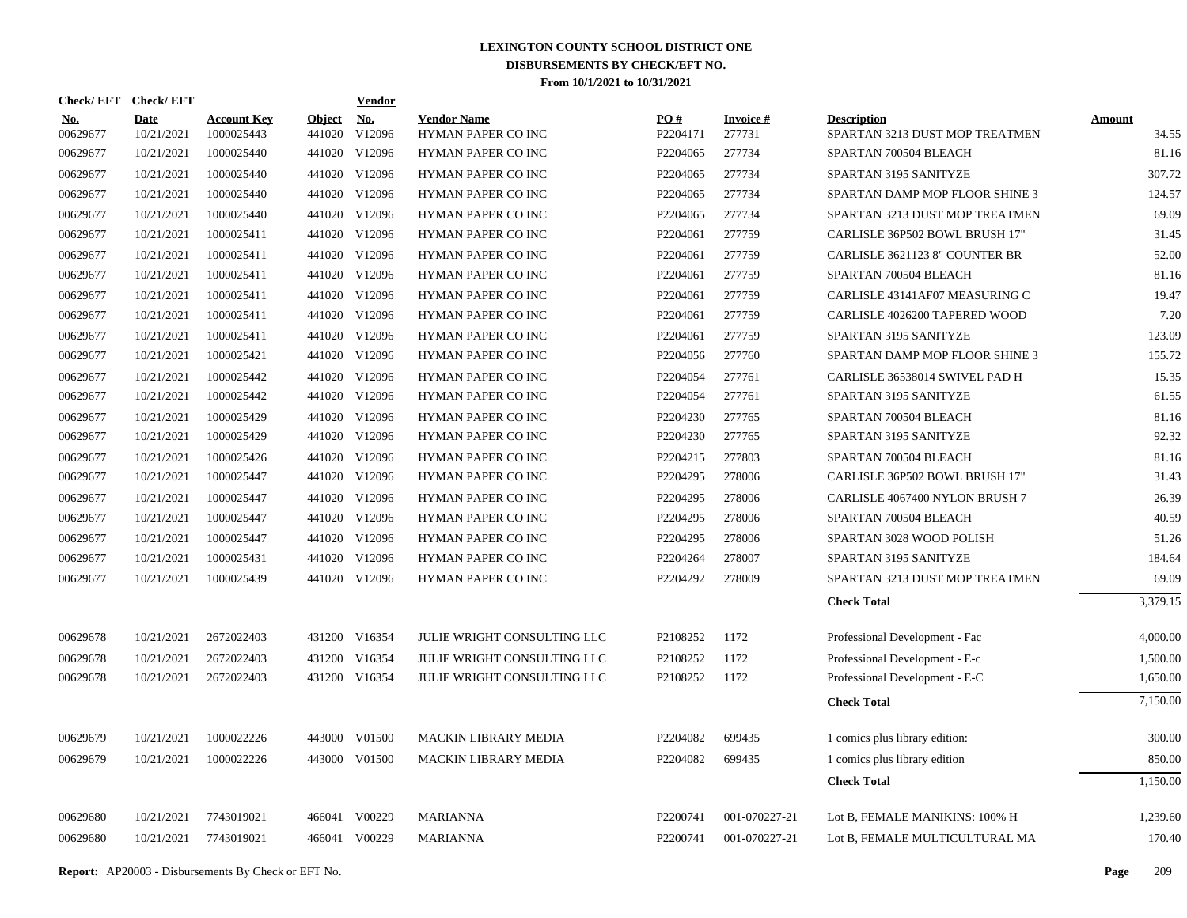| Check/EFT Check/EFT<br><b>Vendor</b>                                                                                                                                                                                                     |                                                   |
|------------------------------------------------------------------------------------------------------------------------------------------------------------------------------------------------------------------------------------------|---------------------------------------------------|
| PO#<br><b>Account Key</b><br><b>Object</b><br>No.<br><b>Vendor Name</b><br>Invoice #<br>Date<br><b>Description</b><br><b>No.</b><br>00629677<br>1000025443<br>441020<br>V12096<br>HYMAN PAPER CO INC<br>P2204171<br>277731<br>10/21/2021 | Amount<br>SPARTAN 3213 DUST MOP TREATMEN<br>34.55 |
| 1000025440<br>V12096<br>277734<br>00629677<br>10/21/2021<br>441020<br>HYMAN PAPER CO INC<br>P2204065<br>SPARTAN 700504 BLEACH                                                                                                            | 81.16                                             |
| 441020 V12096<br>277734<br>00629677<br>10/21/2021<br>1000025440<br>HYMAN PAPER CO INC<br>P2204065<br>SPARTAN 3195 SANITYZE                                                                                                               | 307.72                                            |
| 277734<br>00629677<br>10/21/2021<br>1000025440<br>441020 V12096<br>HYMAN PAPER CO INC<br>P2204065                                                                                                                                        | 124.57<br>SPARTAN DAMP MOP FLOOR SHINE 3          |
| V12096<br>277734<br>00629677<br>10/21/2021<br>1000025440<br>441020<br>HYMAN PAPER CO INC<br>P2204065                                                                                                                                     | 69.09<br>SPARTAN 3213 DUST MOP TREATMEN           |
| 00629677<br>10/21/2021<br>1000025411<br>441020 V12096<br>P2204061<br>277759<br>HYMAN PAPER CO INC                                                                                                                                        | 31.45<br>CARLISLE 36P502 BOWL BRUSH 17"           |
| 1000025411<br>441020 V12096<br>277759<br>00629677<br>10/21/2021<br>HYMAN PAPER CO INC<br>P2204061                                                                                                                                        | 52.00<br>CARLISLE 3621123 8" COUNTER BR           |
| 1000025411<br>441020 V12096<br>P2204061<br>277759<br>00629677<br>10/21/2021<br>HYMAN PAPER CO INC<br>SPARTAN 700504 BLEACH                                                                                                               | 81.16                                             |
| 441020 V12096<br>277759<br>00629677<br>10/21/2021<br>1000025411<br>HYMAN PAPER CO INC<br>P2204061                                                                                                                                        | 19.47<br>CARLISLE 43141AF07 MEASURING C           |
| 1000025411<br>441020 V12096<br>277759<br>00629677<br>10/21/2021<br>HYMAN PAPER CO INC<br>P2204061                                                                                                                                        | 7.20<br>CARLISLE 4026200 TAPERED WOOD             |
| 00629677<br>10/21/2021<br>1000025411<br>441020 V12096<br>P2204061<br>277759<br>HYMAN PAPER CO INC<br>SPARTAN 3195 SANITYZE                                                                                                               | 123.09                                            |
| 1000025421<br>441020 V12096<br>277760<br>00629677<br>10/21/2021<br>HYMAN PAPER CO INC<br>P2204056                                                                                                                                        | 155.72<br>SPARTAN DAMP MOP FLOOR SHINE 3          |
| 00629677<br>1000025442<br>441020 V12096<br>P2204054<br>277761<br>10/21/2021<br>HYMAN PAPER CO INC                                                                                                                                        | 15.35<br>CARLISLE 36538014 SWIVEL PAD H           |
| 1000025442<br>441020 V12096<br>277761<br>00629677<br>10/21/2021<br>HYMAN PAPER CO INC<br>P2204054<br>SPARTAN 3195 SANITYZE                                                                                                               | 61.55                                             |
| 441020 V12096<br>00629677<br>1000025429<br>P2204230<br>277765<br>10/21/2021<br><b>HYMAN PAPER CO INC</b><br>SPARTAN 700504 BLEACH                                                                                                        | 81.16                                             |
| 441020 V12096<br>00629677<br>10/21/2021<br>1000025429<br>HYMAN PAPER CO INC<br>P2204230<br>277765<br>SPARTAN 3195 SANITYZE                                                                                                               | 92.32                                             |
| 00629677<br>1000025426<br>441020 V12096<br>P2204215<br>277803<br>10/21/2021<br>HYMAN PAPER CO INC<br>SPARTAN 700504 BLEACH                                                                                                               | 81.16                                             |
| 00629677<br>10/21/2021<br>1000025447<br>441020 V12096<br>HYMAN PAPER CO INC<br>P2204295<br>278006                                                                                                                                        | 31.43<br>CARLISLE 36P502 BOWL BRUSH 17"           |
| 00629677<br>1000025447<br>441020 V12096<br>P2204295<br>278006<br>10/21/2021<br>HYMAN PAPER CO INC                                                                                                                                        | 26.39<br>CARLISLE 4067400 NYLON BRUSH 7           |
| 00629677<br>10/21/2021<br>1000025447<br>441020 V12096<br>HYMAN PAPER CO INC<br>P2204295<br>278006<br>SPARTAN 700504 BLEACH                                                                                                               | 40.59                                             |
| 00629677<br>1000025447<br>V12096<br>P2204295<br>278006<br>10/21/2021<br>441020<br>HYMAN PAPER CO INC                                                                                                                                     | 51.26<br>SPARTAN 3028 WOOD POLISH                 |
| 00629677<br>441020 V12096<br>278007<br>10/21/2021<br>1000025431<br>HYMAN PAPER CO INC<br>P2204264<br>SPARTAN 3195 SANITYZE                                                                                                               | 184.64                                            |
| 00629677<br>10/21/2021<br>1000025439<br>441020 V12096<br>HYMAN PAPER CO INC<br>P2204292<br>278009                                                                                                                                        | 69.09<br>SPARTAN 3213 DUST MOP TREATMEN           |
| <b>Check Total</b>                                                                                                                                                                                                                       | 3,379.15                                          |
| 00629678<br>10/21/2021<br>2672022403<br>431200 V16354<br>P2108252<br>1172<br>JULIE WRIGHT CONSULTING LLC<br>Professional Development - Fac                                                                                               | 4,000.00                                          |
| 00629678<br>2672022403<br>P2108252<br>1172<br>Professional Development - E-c<br>10/21/2021<br>431200 V16354<br>JULIE WRIGHT CONSULTING LLC                                                                                               | 1,500.00                                          |
| 00629678<br>10/21/2021<br>431200 V16354<br>P2108252<br>1172<br>2672022403<br>JULIE WRIGHT CONSULTING LLC<br>Professional Development - E-C                                                                                               | 1,650.00                                          |
| <b>Check Total</b>                                                                                                                                                                                                                       | 7,150.00                                          |
| 10/21/2021<br>1000022226<br>443000 V01500<br><b>MACKIN LIBRARY MEDIA</b><br>P2204082<br>699435<br>00629679<br>1 comics plus library edition:                                                                                             | 300.00                                            |
| 1000022226<br><b>MACKIN LIBRARY MEDIA</b><br>P2204082<br>699435<br>00629679<br>10/21/2021<br>443000 V01500<br>1 comics plus library edition                                                                                              | 850.00                                            |
| <b>Check Total</b>                                                                                                                                                                                                                       | 1,150.00                                          |
| V00229<br>001-070227-21<br>00629680<br>10/21/2021<br>7743019021<br>466041<br><b>MARIANNA</b><br>P2200741                                                                                                                                 |                                                   |
|                                                                                                                                                                                                                                          | Lot B, FEMALE MANIKINS: 100% H<br>1,239.60        |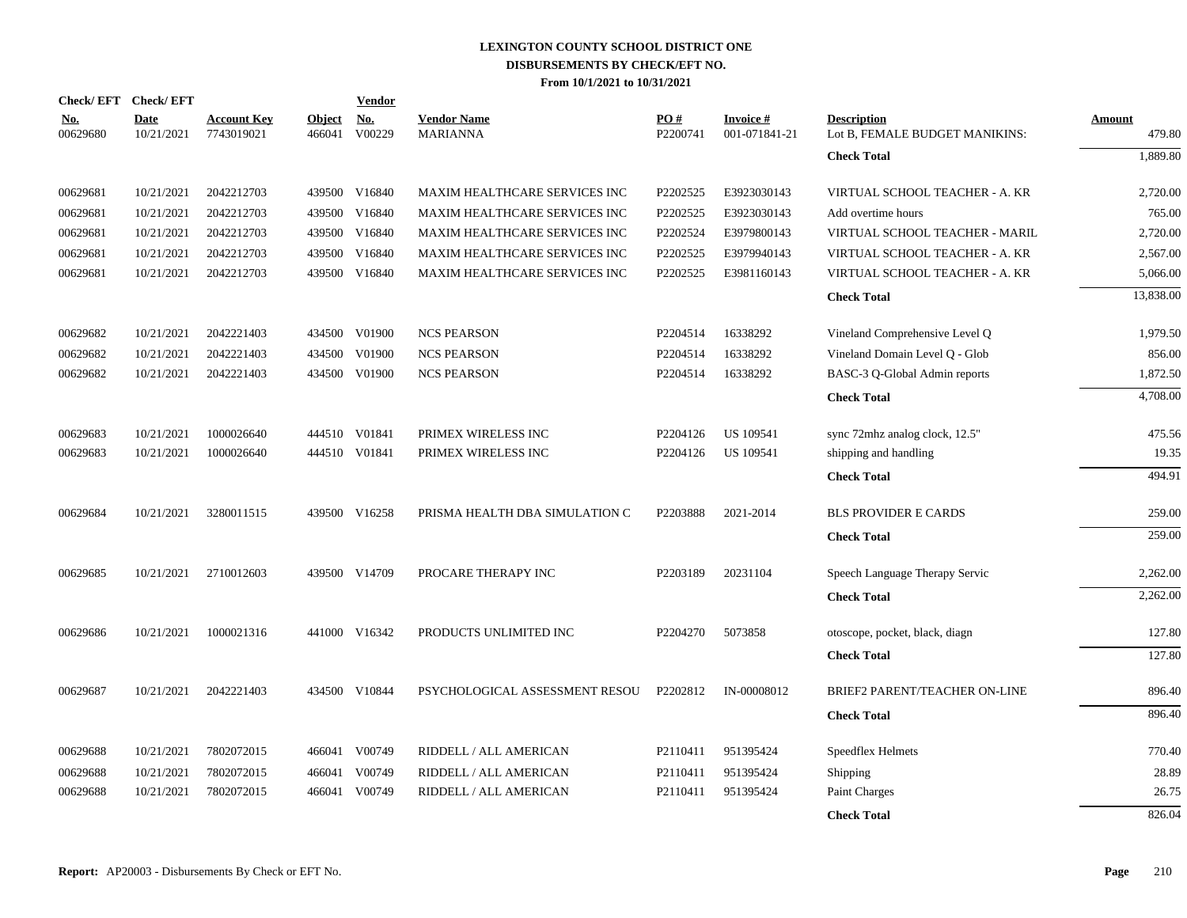|                        | Check/EFT Check/EFT       |                                  |                         | <b>Vendor</b>                         |                                       |                 |                            |                                                      |                  |
|------------------------|---------------------------|----------------------------------|-------------------------|---------------------------------------|---------------------------------------|-----------------|----------------------------|------------------------------------------------------|------------------|
| <u>No.</u><br>00629680 | <b>Date</b><br>10/21/2021 | <b>Account Key</b><br>7743019021 | <b>Object</b><br>466041 | $\underline{\mathrm{No}}$ .<br>V00229 | <b>Vendor Name</b><br><b>MARIANNA</b> | PO#<br>P2200741 | Invoice #<br>001-071841-21 | <b>Description</b><br>Lot B, FEMALE BUDGET MANIKINS: | Amount<br>479.80 |
|                        |                           |                                  |                         |                                       |                                       |                 |                            | <b>Check Total</b>                                   | 1,889.80         |
| 00629681               | 10/21/2021                | 2042212703                       |                         | 439500 V16840                         | MAXIM HEALTHCARE SERVICES INC         | P2202525        | E3923030143                | VIRTUAL SCHOOL TEACHER - A. KR                       | 2,720.00         |
| 00629681               | 10/21/2021                | 2042212703                       |                         | 439500 V16840                         | MAXIM HEALTHCARE SERVICES INC         | P2202525        | E3923030143                | Add overtime hours                                   | 765.00           |
| 00629681               | 10/21/2021                | 2042212703                       |                         | 439500 V16840                         | MAXIM HEALTHCARE SERVICES INC         | P2202524        | E3979800143                | VIRTUAL SCHOOL TEACHER - MARIL                       | 2,720.00         |
| 00629681               | 10/21/2021                | 2042212703                       |                         | 439500 V16840                         | MAXIM HEALTHCARE SERVICES INC         | P2202525        | E3979940143                | VIRTUAL SCHOOL TEACHER - A. KR                       | 2,567.00         |
| 00629681               | 10/21/2021                | 2042212703                       |                         | 439500 V16840                         | MAXIM HEALTHCARE SERVICES INC         | P2202525        | E3981160143                | VIRTUAL SCHOOL TEACHER - A. KR                       | 5,066.00         |
|                        |                           |                                  |                         |                                       |                                       |                 |                            | <b>Check Total</b>                                   | 13,838.00        |
| 00629682               | 10/21/2021                | 2042221403                       |                         | 434500 V01900                         | <b>NCS PEARSON</b>                    | P2204514        | 16338292                   | Vineland Comprehensive Level Q                       | 1,979.50         |
| 00629682               | 10/21/2021                | 2042221403                       |                         | 434500 V01900                         | <b>NCS PEARSON</b>                    | P2204514        | 16338292                   | Vineland Domain Level Q - Glob                       | 856.00           |
| 00629682               | 10/21/2021                | 2042221403                       |                         | 434500 V01900                         | <b>NCS PEARSON</b>                    | P2204514        | 16338292                   | BASC-3 Q-Global Admin reports                        | 1,872.50         |
|                        |                           |                                  |                         |                                       |                                       |                 |                            | <b>Check Total</b>                                   | 4,708.00         |
| 00629683               | 10/21/2021                | 1000026640                       |                         | 444510 V01841                         | PRIMEX WIRELESS INC                   | P2204126        | <b>US 109541</b>           | sync 72mhz analog clock, 12.5"                       | 475.56           |
| 00629683               | 10/21/2021                | 1000026640                       |                         | 444510 V01841                         | PRIMEX WIRELESS INC                   | P2204126        | <b>US</b> 109541           | shipping and handling                                | 19.35            |
|                        |                           |                                  |                         |                                       |                                       |                 |                            | <b>Check Total</b>                                   | 494.91           |
| 00629684               | 10/21/2021                | 3280011515                       |                         | 439500 V16258                         | PRISMA HEALTH DBA SIMULATION C        | P2203888        | 2021-2014                  | <b>BLS PROVIDER E CARDS</b>                          | 259.00           |
|                        |                           |                                  |                         |                                       |                                       |                 |                            | <b>Check Total</b>                                   | 259.00           |
| 00629685               | 10/21/2021                | 2710012603                       |                         | 439500 V14709                         | PROCARE THERAPY INC                   | P2203189        | 20231104                   | Speech Language Therapy Servic                       | 2,262.00         |
|                        |                           |                                  |                         |                                       |                                       |                 |                            | <b>Check Total</b>                                   | 2,262.00         |
| 00629686               | 10/21/2021                | 1000021316                       |                         | 441000 V16342                         | PRODUCTS UNLIMITED INC                | P2204270        | 5073858                    | otoscope, pocket, black, diagn                       | 127.80           |
|                        |                           |                                  |                         |                                       |                                       |                 |                            | <b>Check Total</b>                                   | 127.80           |
| 00629687               | 10/21/2021                | 2042221403                       |                         | 434500 V10844                         | PSYCHOLOGICAL ASSESSMENT RESOU        | P2202812        | IN-00008012                | BRIEF2 PARENT/TEACHER ON-LINE                        | 896.40           |
|                        |                           |                                  |                         |                                       |                                       |                 |                            | <b>Check Total</b>                                   | 896.40           |
| 00629688               | 10/21/2021                | 7802072015                       |                         | 466041 V00749                         | RIDDELL / ALL AMERICAN                | P2110411        | 951395424                  | Speedflex Helmets                                    | 770.40           |
| 00629688               | 10/21/2021                | 7802072015                       | 466041                  | V00749                                | RIDDELL / ALL AMERICAN                | P2110411        | 951395424                  | Shipping                                             | 28.89            |
| 00629688               | 10/21/2021                | 7802072015                       | 466041                  | V00749                                | RIDDELL / ALL AMERICAN                | P2110411        | 951395424                  | Paint Charges                                        | 26.75            |
|                        |                           |                                  |                         |                                       |                                       |                 |                            | <b>Check Total</b>                                   | 826.04           |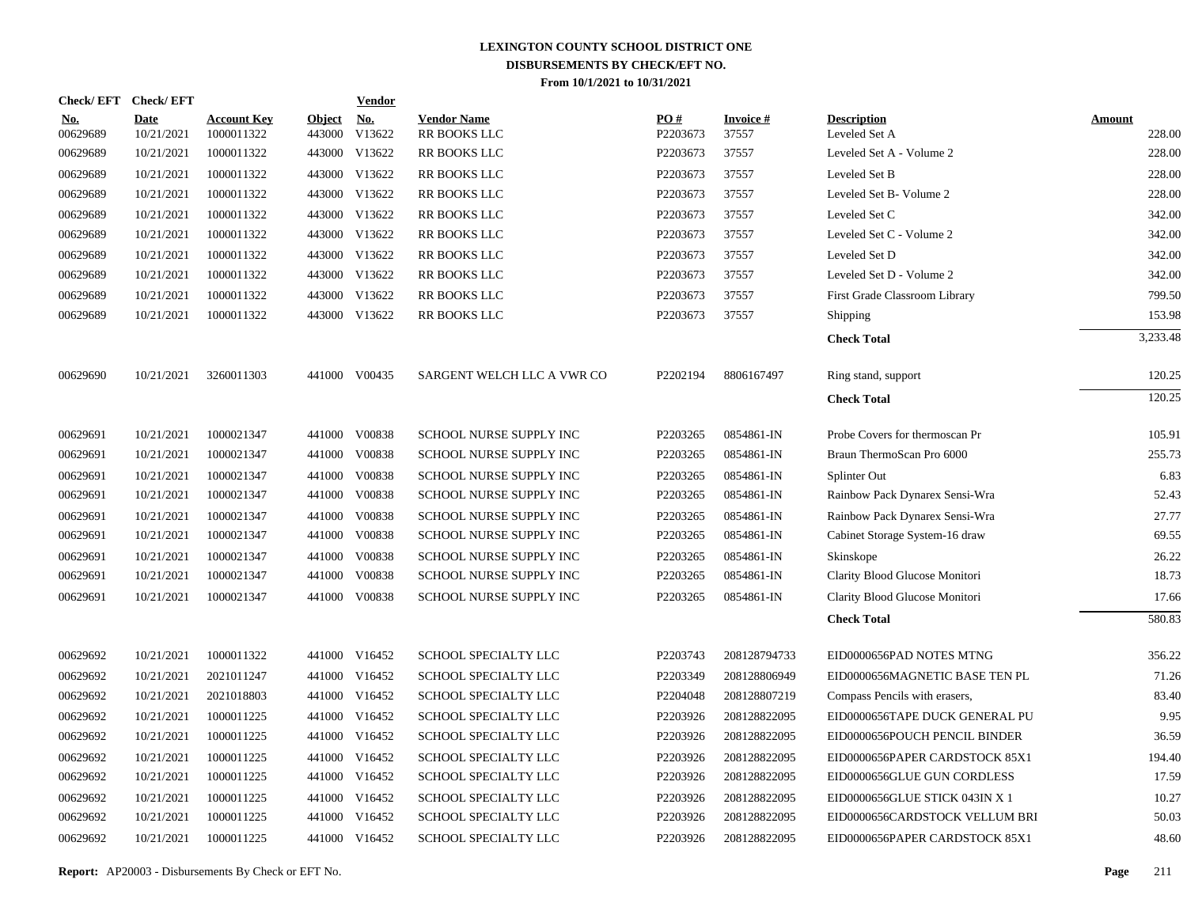|                        | Check/EFT Check/EFT       |                                  |                         | <b>Vendor</b> |                                    |                 |                          |                                     |                         |
|------------------------|---------------------------|----------------------------------|-------------------------|---------------|------------------------------------|-----------------|--------------------------|-------------------------------------|-------------------------|
| <u>No.</u><br>00629689 | <b>Date</b><br>10/21/2021 | <b>Account Key</b><br>1000011322 | <b>Object</b><br>443000 | No.<br>V13622 | <b>Vendor Name</b><br>RR BOOKS LLC | PO#<br>P2203673 | <b>Invoice#</b><br>37557 | <b>Description</b><br>Leveled Set A | <b>Amount</b><br>228.00 |
| 00629689               | 10/21/2021                | 1000011322                       |                         | 443000 V13622 | RR BOOKS LLC                       | P2203673        | 37557                    | Leveled Set A - Volume 2            | 228.00                  |
| 00629689               | 10/21/2021                | 1000011322                       |                         | 443000 V13622 | RR BOOKS LLC                       | P2203673        | 37557                    | Leveled Set B                       | 228.00                  |
| 00629689               | 10/21/2021                | 1000011322                       |                         | 443000 V13622 | RR BOOKS LLC                       | P2203673        | 37557                    | Leveled Set B- Volume 2             | 228.00                  |
| 00629689               | 10/21/2021                | 1000011322                       |                         | 443000 V13622 | RR BOOKS LLC                       | P2203673        | 37557                    | Leveled Set C                       | 342.00                  |
| 00629689               | 10/21/2021                | 1000011322                       |                         | 443000 V13622 | RR BOOKS LLC                       | P2203673        | 37557                    | Leveled Set C - Volume 2            | 342.00                  |
| 00629689               | 10/21/2021                | 1000011322                       |                         | 443000 V13622 | RR BOOKS LLC                       | P2203673        | 37557                    | Leveled Set D                       | 342.00                  |
| 00629689               | 10/21/2021                | 1000011322                       |                         | 443000 V13622 | RR BOOKS LLC                       | P2203673        | 37557                    | Leveled Set D - Volume 2            | 342.00                  |
| 00629689               | 10/21/2021                | 1000011322                       |                         | 443000 V13622 | RR BOOKS LLC                       | P2203673        | 37557                    | First Grade Classroom Library       | 799.50                  |
| 00629689               | 10/21/2021                | 1000011322                       |                         | 443000 V13622 | RR BOOKS LLC                       | P2203673        | 37557                    | Shipping                            | 153.98                  |
|                        |                           |                                  |                         |               |                                    |                 |                          | <b>Check Total</b>                  | 3,233.48                |
| 00629690               | 10/21/2021                | 3260011303                       |                         | 441000 V00435 | SARGENT WELCH LLC A VWR CO         | P2202194        | 8806167497               | Ring stand, support                 | 120.25                  |
|                        |                           |                                  |                         |               |                                    |                 |                          | <b>Check Total</b>                  | 120.25                  |
| 00629691               | 10/21/2021                | 1000021347                       |                         | 441000 V00838 | SCHOOL NURSE SUPPLY INC            | P2203265        | 0854861-IN               | Probe Covers for thermoscan Pr      | 105.91                  |
| 00629691               | 10/21/2021                | 1000021347                       | 441000                  | V00838        | SCHOOL NURSE SUPPLY INC            | P2203265        | 0854861-IN               | Braun ThermoScan Pro 6000           | 255.73                  |
| 00629691               | 10/21/2021                | 1000021347                       | 441000                  | V00838        | SCHOOL NURSE SUPPLY INC            | P2203265        | 0854861-IN               | Splinter Out                        | 6.83                    |
| 00629691               | 10/21/2021                | 1000021347                       |                         | 441000 V00838 | SCHOOL NURSE SUPPLY INC            | P2203265        | 0854861-IN               | Rainbow Pack Dynarex Sensi-Wra      | 52.43                   |
| 00629691               | 10/21/2021                | 1000021347                       | 441000                  | V00838        | SCHOOL NURSE SUPPLY INC            | P2203265        | 0854861-IN               | Rainbow Pack Dynarex Sensi-Wra      | 27.77                   |
| 00629691               | 10/21/2021                | 1000021347                       |                         | 441000 V00838 | SCHOOL NURSE SUPPLY INC            | P2203265        | 0854861-IN               | Cabinet Storage System-16 draw      | 69.55                   |
| 00629691               | 10/21/2021                | 1000021347                       | 441000                  | V00838        | SCHOOL NURSE SUPPLY INC            | P2203265        | 0854861-IN               | Skinskope                           | 26.22                   |
| 00629691               | 10/21/2021                | 1000021347                       |                         | 441000 V00838 | SCHOOL NURSE SUPPLY INC            | P2203265        | 0854861-IN               | Clarity Blood Glucose Monitori      | 18.73                   |
| 00629691               | 10/21/2021                | 1000021347                       | 441000                  | V00838        | SCHOOL NURSE SUPPLY INC            | P2203265        | 0854861-IN               | Clarity Blood Glucose Monitori      | 17.66                   |
|                        |                           |                                  |                         |               |                                    |                 |                          | <b>Check Total</b>                  | 580.83                  |
| 00629692               | 10/21/2021                | 1000011322                       |                         | 441000 V16452 | SCHOOL SPECIALTY LLC               | P2203743        | 208128794733             | EID0000656PAD NOTES MTNG            | 356.22                  |
| 00629692               | 10/21/2021                | 2021011247                       |                         | 441000 V16452 | SCHOOL SPECIALTY LLC               | P2203349        | 208128806949             | EID0000656MAGNETIC BASE TEN PL      | 71.26                   |
| 00629692               | 10/21/2021                | 2021018803                       |                         | 441000 V16452 | SCHOOL SPECIALTY LLC               | P2204048        | 208128807219             | Compass Pencils with erasers,       | 83.40                   |
| 00629692               | 10/21/2021                | 1000011225                       |                         | 441000 V16452 | SCHOOL SPECIALTY LLC               | P2203926        | 208128822095             | EID0000656TAPE DUCK GENERAL PU      | 9.95                    |
| 00629692               | 10/21/2021                | 1000011225                       |                         | 441000 V16452 | SCHOOL SPECIALTY LLC               | P2203926        | 208128822095             | EID0000656POUCH PENCIL BINDER       | 36.59                   |
| 00629692               | 10/21/2021                | 1000011225                       |                         | 441000 V16452 | SCHOOL SPECIALTY LLC               | P2203926        | 208128822095             | EID0000656PAPER CARDSTOCK 85X1      | 194.40                  |
| 00629692               | 10/21/2021                | 1000011225                       |                         | 441000 V16452 | SCHOOL SPECIALTY LLC               | P2203926        | 208128822095             | EID0000656GLUE GUN CORDLESS         | 17.59                   |
| 00629692               | 10/21/2021                | 1000011225                       | 441000                  | V16452        | SCHOOL SPECIALTY LLC               | P2203926        | 208128822095             | EID0000656GLUE STICK 043IN X 1      | 10.27                   |
| 00629692               | 10/21/2021                | 1000011225                       |                         | 441000 V16452 | SCHOOL SPECIALTY LLC               | P2203926        | 208128822095             | EID0000656CARDSTOCK VELLUM BRI      | 50.03                   |
| 00629692               | 10/21/2021                | 1000011225                       |                         | 441000 V16452 | SCHOOL SPECIALTY LLC               | P2203926        | 208128822095             | EID0000656PAPER CARDSTOCK 85X1      | 48.60                   |

**Report:** AP20003 - Disbursements By Check or EFT No. **Page** 211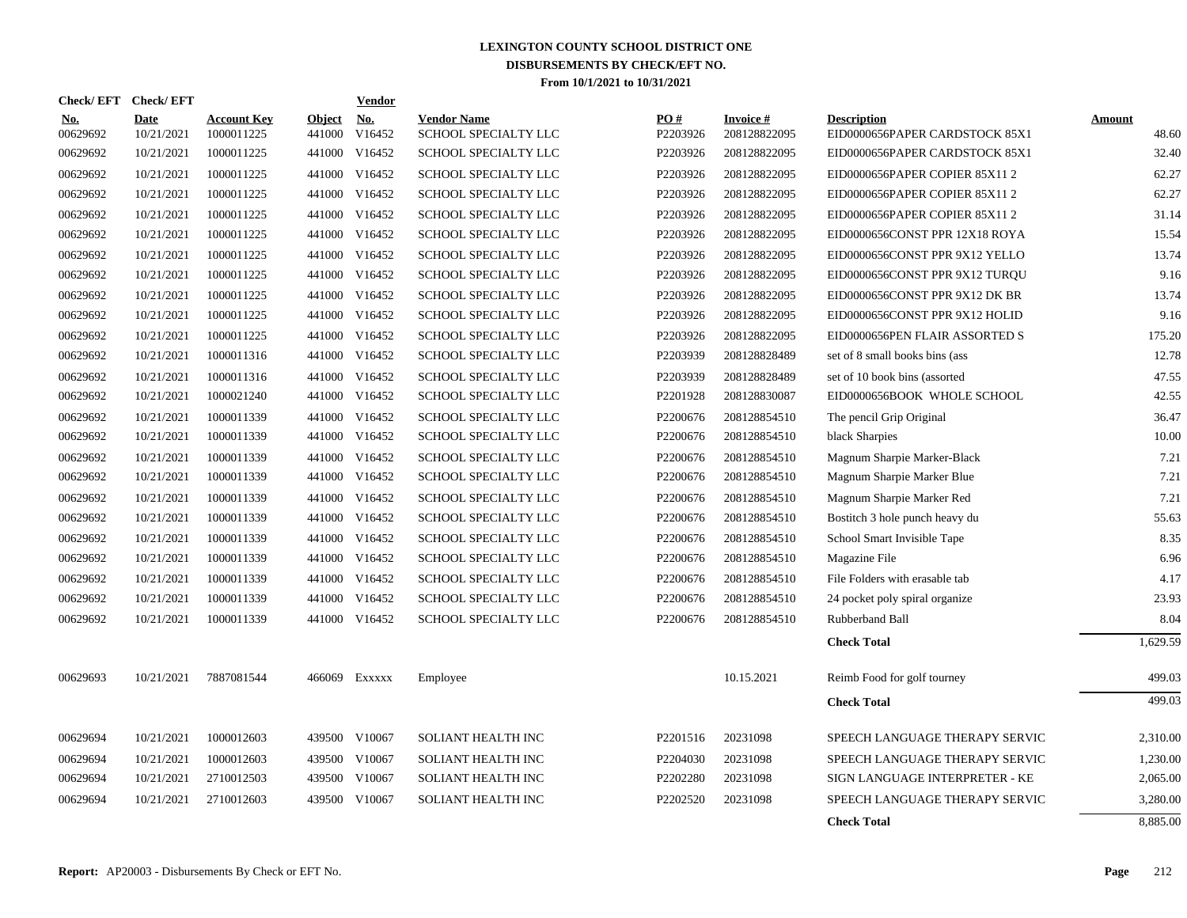|                        | Check/EFT Check/EFT       |                                  |                         | Vendor               |                                            |                 |                                 |                                                      |                 |
|------------------------|---------------------------|----------------------------------|-------------------------|----------------------|--------------------------------------------|-----------------|---------------------------------|------------------------------------------------------|-----------------|
| <b>No.</b><br>00629692 | <b>Date</b><br>10/21/2021 | <b>Account Key</b><br>1000011225 | <b>Object</b><br>441000 | <u>No.</u><br>V16452 | <b>Vendor Name</b><br>SCHOOL SPECIALTY LLC | PO#<br>P2203926 | <b>Invoice#</b><br>208128822095 | <b>Description</b><br>EID0000656PAPER CARDSTOCK 85X1 | Amount<br>48.60 |
| 00629692               | 10/21/2021                | 1000011225                       |                         | 441000 V16452        | SCHOOL SPECIALTY LLC                       | P2203926        | 208128822095                    | EID0000656PAPER CARDSTOCK 85X1                       | 32.40           |
| 00629692               | 10/21/2021                | 1000011225                       |                         | 441000 V16452        | SCHOOL SPECIALTY LLC                       | P2203926        | 208128822095                    | EID0000656PAPER COPIER 85X11 2                       | 62.27           |
| 00629692               | 10/21/2021                | 1000011225                       |                         | 441000 V16452        | SCHOOL SPECIALTY LLC                       | P2203926        | 208128822095                    | EID0000656PAPER COPIER 85X11 2                       | 62.27           |
| 00629692               | 10/21/2021                | 1000011225                       | 441000                  | V16452               | SCHOOL SPECIALTY LLC                       | P2203926        | 208128822095                    | EID0000656PAPER COPIER 85X11 2                       | 31.14           |
| 00629692               | 10/21/2021                | 1000011225                       | 441000                  | V16452               | SCHOOL SPECIALTY LLC                       | P2203926        | 208128822095                    | EID0000656CONST PPR 12X18 ROYA                       | 15.54           |
| 00629692               | 10/21/2021                | 1000011225                       |                         | 441000 V16452        | SCHOOL SPECIALTY LLC                       | P2203926        | 208128822095                    | EID0000656CONST PPR 9X12 YELLO                       | 13.74           |
| 00629692               | 10/21/2021                | 1000011225                       |                         | 441000 V16452        | <b>SCHOOL SPECIALTY LLC</b>                | P2203926        | 208128822095                    | EID0000656CONST PPR 9X12 TURQU                       | 9.16            |
| 00629692               | 10/21/2021                | 1000011225                       |                         | 441000 V16452        | SCHOOL SPECIALTY LLC                       | P2203926        | 208128822095                    | EID0000656CONST PPR 9X12 DK BR                       | 13.74           |
| 00629692               | 10/21/2021                | 1000011225                       | 441000                  | V16452               | SCHOOL SPECIALTY LLC                       | P2203926        | 208128822095                    | EID0000656CONST PPR 9X12 HOLID                       | 9.16            |
| 00629692               | 10/21/2021                | 1000011225                       |                         | 441000 V16452        | SCHOOL SPECIALTY LLC                       | P2203926        | 208128822095                    | EID0000656PEN FLAIR ASSORTED S                       | 175.20          |
| 00629692               | 10/21/2021                | 1000011316                       |                         | 441000 V16452        | SCHOOL SPECIALTY LLC                       | P2203939        | 208128828489                    | set of 8 small books bins (ass                       | 12.78           |
| 00629692               | 10/21/2021                | 1000011316                       |                         | 441000 V16452        | SCHOOL SPECIALTY LLC                       | P2203939        | 208128828489                    | set of 10 book bins (assorted                        | 47.55           |
| 00629692               | 10/21/2021                | 1000021240                       |                         | 441000 V16452        | SCHOOL SPECIALTY LLC                       | P2201928        | 208128830087                    | EID0000656BOOK WHOLE SCHOOL                          | 42.55           |
| 00629692               | 10/21/2021                | 1000011339                       |                         | 441000 V16452        | SCHOOL SPECIALTY LLC                       | P2200676        | 208128854510                    | The pencil Grip Original                             | 36.47           |
| 00629692               | 10/21/2021                | 1000011339                       |                         | 441000 V16452        | SCHOOL SPECIALTY LLC                       | P2200676        | 208128854510                    | black Sharpies                                       | 10.00           |
| 00629692               | 10/21/2021                | 1000011339                       |                         | 441000 V16452        | SCHOOL SPECIALTY LLC                       | P2200676        | 208128854510                    | Magnum Sharpie Marker-Black                          | 7.21            |
| 00629692               | 10/21/2021                | 1000011339                       |                         | 441000 V16452        | SCHOOL SPECIALTY LLC                       | P2200676        | 208128854510                    | Magnum Sharpie Marker Blue                           | 7.21            |
| 00629692               | 10/21/2021                | 1000011339                       |                         | 441000 V16452        | SCHOOL SPECIALTY LLC                       | P2200676        | 208128854510                    | Magnum Sharpie Marker Red                            | 7.21            |
| 00629692               | 10/21/2021                | 1000011339                       |                         | 441000 V16452        | SCHOOL SPECIALTY LLC                       | P2200676        | 208128854510                    | Bostitch 3 hole punch heavy du                       | 55.63           |
| 00629692               | 10/21/2021                | 1000011339                       |                         | 441000 V16452        | SCHOOL SPECIALTY LLC                       | P2200676        | 208128854510                    | School Smart Invisible Tape                          | 8.35            |
| 00629692               | 10/21/2021                | 1000011339                       |                         | 441000 V16452        | SCHOOL SPECIALTY LLC                       | P2200676        | 208128854510                    | Magazine File                                        | 6.96            |
| 00629692               | 10/21/2021                | 1000011339                       |                         | 441000 V16452        | <b>SCHOOL SPECIALTY LLC</b>                | P2200676        | 208128854510                    | File Folders with erasable tab                       | 4.17            |
| 00629692               | 10/21/2021                | 1000011339                       |                         | 441000 V16452        | SCHOOL SPECIALTY LLC                       | P2200676        | 208128854510                    | 24 pocket poly spiral organize                       | 23.93           |
| 00629692               | 10/21/2021                | 1000011339                       |                         | 441000 V16452        | SCHOOL SPECIALTY LLC                       | P2200676        | 208128854510                    | Rubberband Ball                                      | 8.04            |
|                        |                           |                                  |                         |                      |                                            |                 |                                 | <b>Check Total</b>                                   | 1,629.59        |
| 00629693               | 10/21/2021                | 7887081544                       |                         | 466069 Exxxxx        | Employee                                   |                 | 10.15.2021                      | Reimb Food for golf tourney                          | 499.03          |
|                        |                           |                                  |                         |                      |                                            |                 |                                 | <b>Check Total</b>                                   | 499.03          |
| 00629694               | 10/21/2021                | 1000012603                       |                         | 439500 V10067        | <b>SOLIANT HEALTH INC</b>                  | P2201516        | 20231098                        | SPEECH LANGUAGE THERAPY SERVIC                       | 2,310.00        |
| 00629694               | 10/21/2021                | 1000012603                       | 439500                  | V10067               | SOLIANT HEALTH INC                         | P2204030        | 20231098                        | SPEECH LANGUAGE THERAPY SERVIC                       | 1,230.00        |
| 00629694               | 10/21/2021                | 2710012503                       | 439500                  | V10067               | SOLIANT HEALTH INC                         | P2202280        | 20231098                        | SIGN LANGUAGE INTERPRETER - KE                       | 2,065.00        |
| 00629694               | 10/21/2021                | 2710012603                       | 439500                  | V10067               | SOLIANT HEALTH INC                         | P2202520        | 20231098                        | SPEECH LANGUAGE THERAPY SERVIC                       | 3,280.00        |
|                        |                           |                                  |                         |                      |                                            |                 |                                 | <b>Check Total</b>                                   | 8,885.00        |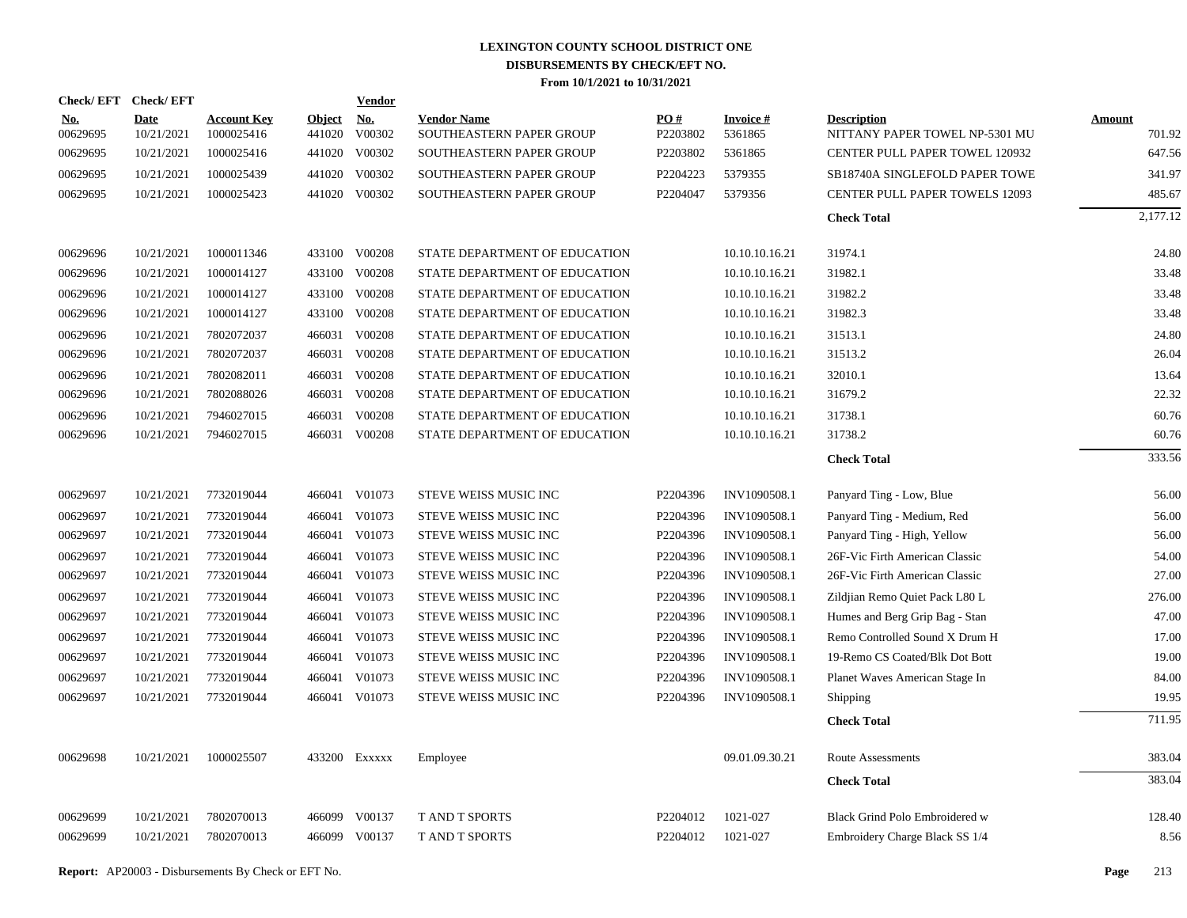| Check/EFT Check/EFT    |                           |                                  |                         | <b>Vendor</b>        |                                                |                 |                      |                                                      |                         |
|------------------------|---------------------------|----------------------------------|-------------------------|----------------------|------------------------------------------------|-----------------|----------------------|------------------------------------------------------|-------------------------|
| <u>No.</u><br>00629695 | <b>Date</b><br>10/21/2021 | <b>Account Key</b><br>1000025416 | <b>Object</b><br>441020 | <u>No.</u><br>V00302 | <b>Vendor Name</b><br>SOUTHEASTERN PAPER GROUP | PO#<br>P2203802 | Invoice #<br>5361865 | <b>Description</b><br>NITTANY PAPER TOWEL NP-5301 MU | <u>Amount</u><br>701.92 |
| 00629695               | 10/21/2021                | 1000025416                       |                         | 441020 V00302        | SOUTHEASTERN PAPER GROUP                       | P2203802        | 5361865              | CENTER PULL PAPER TOWEL 120932                       | 647.56                  |
| 00629695               | 10/21/2021                | 1000025439                       |                         | 441020 V00302        | SOUTHEASTERN PAPER GROUP                       | P2204223        | 5379355              | SB18740A SINGLEFOLD PAPER TOWE                       | 341.97                  |
| 00629695               | 10/21/2021                | 1000025423                       |                         | 441020 V00302        | SOUTHEASTERN PAPER GROUP                       | P2204047        | 5379356              | <b>CENTER PULL PAPER TOWELS 12093</b>                | 485.67                  |
|                        |                           |                                  |                         |                      |                                                |                 |                      | <b>Check Total</b>                                   | 2,177.12                |
| 00629696               | 10/21/2021                | 1000011346                       |                         | 433100 V00208        | STATE DEPARTMENT OF EDUCATION                  |                 | 10.10.10.16.21       | 31974.1                                              | 24.80                   |
| 00629696               | 10/21/2021                | 1000014127                       |                         | 433100 V00208        | STATE DEPARTMENT OF EDUCATION                  |                 | 10.10.10.16.21       | 31982.1                                              | 33.48                   |
| 00629696               | 10/21/2021                | 1000014127                       | 433100                  | V00208               | STATE DEPARTMENT OF EDUCATION                  |                 | 10.10.10.16.21       | 31982.2                                              | 33.48                   |
| 00629696               | 10/21/2021                | 1000014127                       | 433100                  | V00208               | STATE DEPARTMENT OF EDUCATION                  |                 | 10.10.10.16.21       | 31982.3                                              | 33.48                   |
| 00629696               | 10/21/2021                | 7802072037                       |                         | 466031 V00208        | STATE DEPARTMENT OF EDUCATION                  |                 | 10.10.10.16.21       | 31513.1                                              | 24.80                   |
| 00629696               | 10/21/2021                | 7802072037                       |                         | 466031 V00208        | STATE DEPARTMENT OF EDUCATION                  |                 | 10.10.10.16.21       | 31513.2                                              | 26.04                   |
| 00629696               | 10/21/2021                | 7802082011                       |                         | 466031 V00208        | STATE DEPARTMENT OF EDUCATION                  |                 | 10.10.10.16.21       | 32010.1                                              | 13.64                   |
| 00629696               | 10/21/2021                | 7802088026                       |                         | 466031 V00208        | STATE DEPARTMENT OF EDUCATION                  |                 | 10.10.10.16.21       | 31679.2                                              | 22.32                   |
| 00629696               | 10/21/2021                | 7946027015                       |                         | 466031 V00208        | STATE DEPARTMENT OF EDUCATION                  |                 | 10.10.10.16.21       | 31738.1                                              | 60.76                   |
| 00629696               | 10/21/2021                | 7946027015                       |                         | 466031 V00208        | STATE DEPARTMENT OF EDUCATION                  |                 | 10.10.10.16.21       | 31738.2                                              | 60.76                   |
|                        |                           |                                  |                         |                      |                                                |                 |                      | <b>Check Total</b>                                   | 333.56                  |
| 00629697               | 10/21/2021                | 7732019044                       |                         | 466041 V01073        | STEVE WEISS MUSIC INC                          | P2204396        | INV1090508.1         | Panyard Ting - Low, Blue                             | 56.00                   |
| 00629697               | 10/21/2021                | 7732019044                       | 466041                  | V01073               | STEVE WEISS MUSIC INC                          | P2204396        | INV1090508.1         | Panyard Ting - Medium, Red                           | 56.00                   |
| 00629697               | 10/21/2021                | 7732019044                       |                         | 466041 V01073        | STEVE WEISS MUSIC INC                          | P2204396        | INV1090508.1         | Panyard Ting - High, Yellow                          | 56.00                   |
| 00629697               | 10/21/2021                | 7732019044                       | 466041                  | V01073               | STEVE WEISS MUSIC INC                          | P2204396        | INV1090508.1         | 26F-Vic Firth American Classic                       | 54.00                   |
| 00629697               | 10/21/2021                | 7732019044                       |                         | 466041 V01073        | STEVE WEISS MUSIC INC                          | P2204396        | INV1090508.1         | 26F-Vic Firth American Classic                       | 27.00                   |
| 00629697               | 10/21/2021                | 7732019044                       | 466041                  | V01073               | STEVE WEISS MUSIC INC                          | P2204396        | INV1090508.1         | Zildjian Remo Quiet Pack L80 L                       | 276.00                  |
| 00629697               | 10/21/2021                | 7732019044                       |                         | 466041 V01073        | STEVE WEISS MUSIC INC                          | P2204396        | INV1090508.1         | Humes and Berg Grip Bag - Stan                       | 47.00                   |
| 00629697               | 10/21/2021                | 7732019044                       |                         | 466041 V01073        | STEVE WEISS MUSIC INC                          | P2204396        | INV1090508.1         | Remo Controlled Sound X Drum H                       | 17.00                   |
| 00629697               | 10/21/2021                | 7732019044                       |                         | 466041 V01073        | STEVE WEISS MUSIC INC                          | P2204396        | INV1090508.1         | 19-Remo CS Coated/Blk Dot Bott                       | 19.00                   |
| 00629697               | 10/21/2021                | 7732019044                       | 466041                  | V01073               | STEVE WEISS MUSIC INC                          | P2204396        | INV1090508.1         | Planet Waves American Stage In                       | 84.00                   |
| 00629697               | 10/21/2021                | 7732019044                       |                         | 466041 V01073        | STEVE WEISS MUSIC INC                          | P2204396        | INV1090508.1         | <b>Shipping</b>                                      | 19.95                   |
|                        |                           |                                  |                         |                      |                                                |                 |                      | <b>Check Total</b>                                   | 711.95                  |
| 00629698               | 10/21/2021                | 1000025507                       |                         | 433200 Exxxxx        | Employee                                       |                 | 09.01.09.30.21       | Route Assessments                                    | 383.04                  |
|                        |                           |                                  |                         |                      |                                                |                 |                      | <b>Check Total</b>                                   | 383.04                  |
| 00629699               | 10/21/2021                | 7802070013                       | 466099                  | V00137               | <b>TAND T SPORTS</b>                           | P2204012        | 1021-027             | Black Grind Polo Embroidered w                       | 128.40                  |
| 00629699               | 10/21/2021                | 7802070013                       |                         | 466099 V00137        | <b>TAND T SPORTS</b>                           | P2204012        | 1021-027             | Embroidery Charge Black SS 1/4                       | 8.56                    |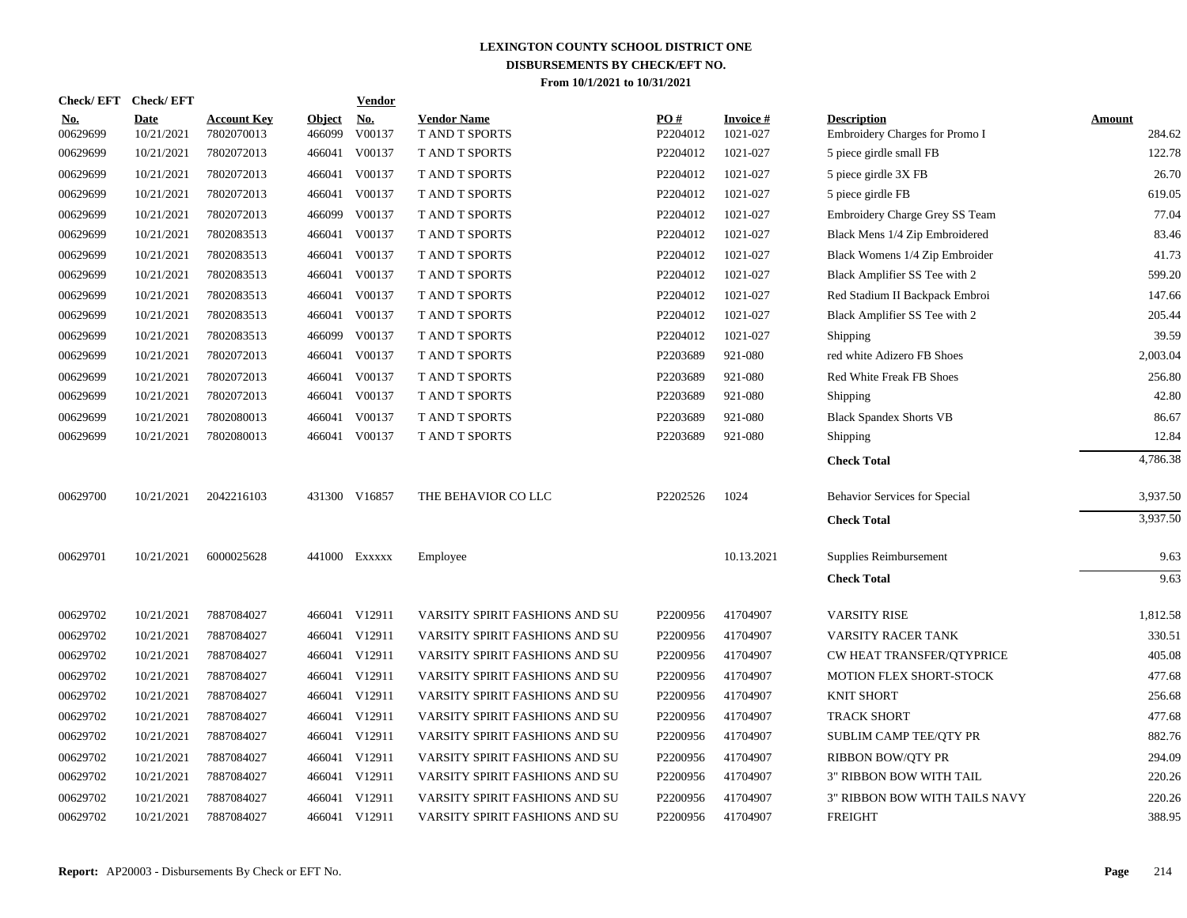| <b>Check/EFT</b>       | <b>Check/EFT</b>   |                                  |                         | <b>Vendor</b>        |                                             |                 |                             |                                                      |                  |
|------------------------|--------------------|----------------------------------|-------------------------|----------------------|---------------------------------------------|-----------------|-----------------------------|------------------------------------------------------|------------------|
| <u>No.</u><br>00629699 | Date<br>10/21/2021 | <b>Account Key</b><br>7802070013 | <u>Object</u><br>466099 | <u>No.</u><br>V00137 | <b>Vendor Name</b><br><b>T AND T SPORTS</b> | PO#<br>P2204012 | <b>Invoice#</b><br>1021-027 | <b>Description</b><br>Embroidery Charges for Promo I | Amount<br>284.62 |
| 00629699               | 10/21/2021         | 7802072013                       | 466041                  | V00137               | <b>T AND T SPORTS</b>                       | P2204012        | 1021-027                    | 5 piece girdle small FB                              | 122.78           |
| 00629699               | 10/21/2021         | 7802072013                       | 466041                  | V00137               | T AND T SPORTS                              | P2204012        | 1021-027                    | 5 piece girdle 3X FB                                 | 26.70            |
| 00629699               | 10/21/2021         | 7802072013                       | 466041                  | V00137               | T AND T SPORTS                              | P2204012        | 1021-027                    | 5 piece girdle FB                                    | 619.05           |
| 00629699               | 10/21/2021         | 7802072013                       | 466099                  | V00137               | T AND T SPORTS                              | P2204012        | 1021-027                    | Embroidery Charge Grey SS Team                       | 77.04            |
| 00629699               | 10/21/2021         | 7802083513                       |                         | 466041 V00137        | T AND T SPORTS                              | P2204012        | 1021-027                    | Black Mens 1/4 Zip Embroidered                       | 83.46            |
| 00629699               | 10/21/2021         | 7802083513                       |                         | 466041 V00137        | <b>T AND T SPORTS</b>                       | P2204012        | 1021-027                    | Black Womens 1/4 Zip Embroider                       | 41.73            |
| 00629699               | 10/21/2021         | 7802083513                       |                         | 466041 V00137        | T AND T SPORTS                              | P2204012        | 1021-027                    | Black Amplifier SS Tee with 2                        | 599.20           |
| 00629699               | 10/21/2021         | 7802083513                       | 466041                  | V00137               | T AND T SPORTS                              | P2204012        | 1021-027                    | Red Stadium II Backpack Embroi                       | 147.66           |
| 00629699               | 10/21/2021         | 7802083513                       | 466041                  | V00137               | T AND T SPORTS                              | P2204012        | 1021-027                    | Black Amplifier SS Tee with 2                        | 205.44           |
| 00629699               | 10/21/2021         | 7802083513                       | 466099                  | V00137               | <b>T AND T SPORTS</b>                       | P2204012        | 1021-027                    | Shipping                                             | 39.59            |
| 00629699               | 10/21/2021         | 7802072013                       | 466041                  | V00137               | <b>T AND T SPORTS</b>                       | P2203689        | 921-080                     | red white Adizero FB Shoes                           | 2,003.04         |
| 00629699               | 10/21/2021         | 7802072013                       | 466041                  | V00137               | T AND T SPORTS                              | P2203689        | 921-080                     | Red White Freak FB Shoes                             | 256.80           |
| 00629699               | 10/21/2021         | 7802072013                       | 466041                  | V00137               | T AND T SPORTS                              | P2203689        | 921-080                     | Shipping                                             | 42.80            |
| 00629699               | 10/21/2021         | 7802080013                       | 466041                  | V00137               | T AND T SPORTS                              | P2203689        | 921-080                     | <b>Black Spandex Shorts VB</b>                       | 86.67            |
| 00629699               | 10/21/2021         | 7802080013                       |                         | 466041 V00137        | <b>T AND T SPORTS</b>                       | P2203689        | 921-080                     | Shipping                                             | 12.84            |
|                        |                    |                                  |                         |                      |                                             |                 |                             | <b>Check Total</b>                                   | 4,786.38         |
| 00629700               | 10/21/2021         | 2042216103                       |                         | 431300 V16857        | THE BEHAVIOR CO LLC                         | P2202526        | 1024                        | <b>Behavior Services for Special</b>                 | 3,937.50         |
|                        |                    |                                  |                         |                      |                                             |                 |                             | <b>Check Total</b>                                   | 3,937.50         |
| 00629701               | 10/21/2021         | 6000025628                       |                         | 441000 Exxxxx        | Employee                                    |                 | 10.13.2021                  | Supplies Reimbursement                               | 9.63             |
|                        |                    |                                  |                         |                      |                                             |                 |                             | <b>Check Total</b>                                   | 9.63             |
| 00629702               | 10/21/2021         | 7887084027                       |                         | 466041 V12911        | VARSITY SPIRIT FASHIONS AND SU              | P2200956        | 41704907                    | <b>VARSITY RISE</b>                                  | 1,812.58         |
| 00629702               | 10/21/2021         | 7887084027                       |                         | 466041 V12911        | VARSITY SPIRIT FASHIONS AND SU              | P2200956        | 41704907                    | <b>VARSITY RACER TANK</b>                            | 330.51           |
| 00629702               | 10/21/2021         | 7887084027                       |                         | 466041 V12911        | VARSITY SPIRIT FASHIONS AND SU              | P2200956        | 41704907                    | CW HEAT TRANSFER/QTYPRICE                            | 405.08           |
| 00629702               | 10/21/2021         | 7887084027                       |                         | 466041 V12911        | VARSITY SPIRIT FASHIONS AND SU              | P2200956        | 41704907                    | MOTION FLEX SHORT-STOCK                              | 477.68           |
| 00629702               | 10/21/2021         | 7887084027                       |                         | 466041 V12911        | VARSITY SPIRIT FASHIONS AND SU              | P2200956        | 41704907                    | <b>KNIT SHORT</b>                                    | 256.68           |
| 00629702               | 10/21/2021         | 7887084027                       | 466041                  | V12911               | VARSITY SPIRIT FASHIONS AND SU              | P2200956        | 41704907                    | <b>TRACK SHORT</b>                                   | 477.68           |
| 00629702               | 10/21/2021         | 7887084027                       |                         | 466041 V12911        | VARSITY SPIRIT FASHIONS AND SU              | P2200956        | 41704907                    | SUBLIM CAMP TEE/QTY PR                               | 882.76           |
| 00629702               | 10/21/2021         | 7887084027                       |                         | 466041 V12911        | VARSITY SPIRIT FASHIONS AND SU              | P2200956        | 41704907                    | <b>RIBBON BOW/QTY PR</b>                             | 294.09           |
| 00629702               | 10/21/2021         | 7887084027                       |                         | 466041 V12911        | VARSITY SPIRIT FASHIONS AND SU              | P2200956        | 41704907                    | <b>3" RIBBON BOW WITH TAIL</b>                       | 220.26           |
| 00629702               | 10/21/2021         | 7887084027                       | 466041                  | V12911               | VARSITY SPIRIT FASHIONS AND SU              | P2200956        | 41704907                    | <b>3" RIBBON BOW WITH TAILS NAVY</b>                 | 220.26           |
| 00629702               | 10/21/2021         | 7887084027                       |                         | 466041 V12911        | VARSITY SPIRIT FASHIONS AND SU              | P2200956        | 41704907                    | <b>FREIGHT</b>                                       | 388.95           |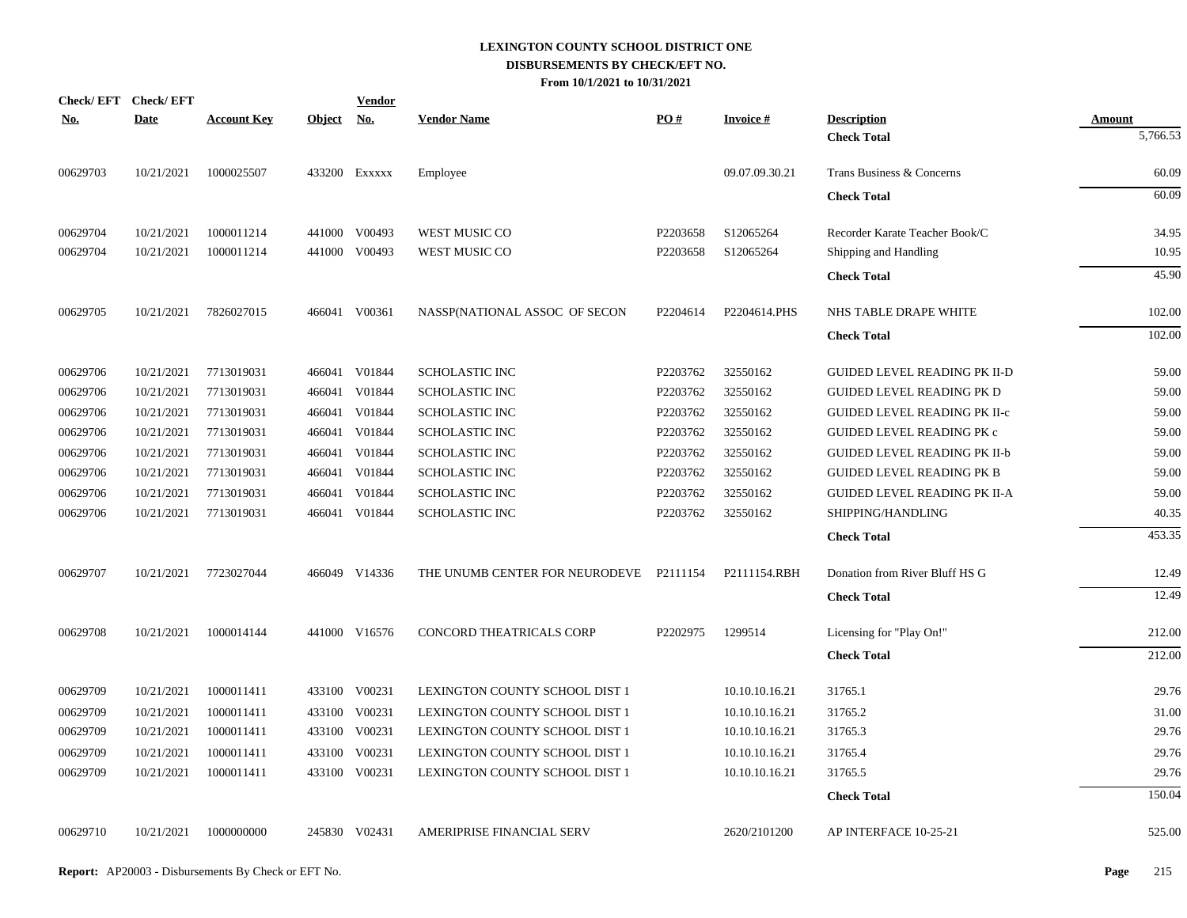|            | Check/EFT Check/EFT |                       |               | <b>Vendor</b> |                                |          |                 |                                     |               |
|------------|---------------------|-----------------------|---------------|---------------|--------------------------------|----------|-----------------|-------------------------------------|---------------|
| <u>No.</u> | <b>Date</b>         | <b>Account Key</b>    | <b>Object</b> | <u>No.</u>    | <b>Vendor Name</b>             | PO#      | <b>Invoice#</b> | <b>Description</b>                  | <u>Amount</u> |
|            |                     |                       |               |               |                                |          |                 | <b>Check Total</b>                  | 5,766.53      |
| 00629703   | 10/21/2021          | 1000025507            |               | 433200 EXXXXX | Employee                       |          | 09.07.09.30.21  | Trans Business & Concerns           | 60.09         |
|            |                     |                       |               |               |                                |          |                 | <b>Check Total</b>                  | 60.09         |
| 00629704   | 10/21/2021          | 1000011214            |               | 441000 V00493 | WEST MUSIC CO                  | P2203658 | S12065264       | Recorder Karate Teacher Book/C      | 34.95         |
| 00629704   | 10/21/2021          | 1000011214            |               | 441000 V00493 | WEST MUSIC CO                  | P2203658 | S12065264       | Shipping and Handling               | 10.95         |
|            |                     |                       |               |               |                                |          |                 | <b>Check Total</b>                  | 45.90         |
| 00629705   | 10/21/2021          | 7826027015            |               | 466041 V00361 | NASSP(NATIONAL ASSOC OF SECON  | P2204614 | P2204614.PHS    | NHS TABLE DRAPE WHITE               | 102.00        |
|            |                     |                       |               |               |                                |          |                 | <b>Check Total</b>                  | 102.00        |
| 00629706   | 10/21/2021          | 7713019031            |               | 466041 V01844 | <b>SCHOLASTIC INC</b>          | P2203762 | 32550162        | <b>GUIDED LEVEL READING PK II-D</b> | 59.00         |
| 00629706   | 10/21/2021          | 7713019031            | 466041        | V01844        | <b>SCHOLASTIC INC</b>          | P2203762 | 32550162        | <b>GUIDED LEVEL READING PK D</b>    | 59.00         |
| 00629706   | 10/21/2021          | 7713019031            | 466041        | V01844        | <b>SCHOLASTIC INC</b>          | P2203762 | 32550162        | <b>GUIDED LEVEL READING PK II-c</b> | 59.00         |
| 00629706   | 10/21/2021          | 7713019031            | 466041        | V01844        | <b>SCHOLASTIC INC</b>          | P2203762 | 32550162        | <b>GUIDED LEVEL READING PK c</b>    | 59.00         |
| 00629706   | 10/21/2021          | 7713019031            | 466041        | V01844        | <b>SCHOLASTIC INC</b>          | P2203762 | 32550162        | <b>GUIDED LEVEL READING PK II-b</b> | 59.00         |
| 00629706   | 10/21/2021          | 7713019031            | 466041        | V01844        | <b>SCHOLASTIC INC</b>          | P2203762 | 32550162        | <b>GUIDED LEVEL READING PK B</b>    | 59.00         |
| 00629706   | 10/21/2021          | 7713019031            | 466041        | V01844        | <b>SCHOLASTIC INC</b>          | P2203762 | 32550162        | <b>GUIDED LEVEL READING PK II-A</b> | 59.00         |
| 00629706   | 10/21/2021          | 7713019031            |               | 466041 V01844 | <b>SCHOLASTIC INC</b>          | P2203762 | 32550162        | SHIPPING/HANDLING                   | 40.35         |
|            |                     |                       |               |               |                                |          |                 | <b>Check Total</b>                  | 453.35        |
| 00629707   |                     | 10/21/2021 7723027044 |               | 466049 V14336 | THE UNUMB CENTER FOR NEURODEVE | P2111154 | P2111154.RBH    | Donation from River Bluff HS G      | 12.49         |
|            |                     |                       |               |               |                                |          |                 | <b>Check Total</b>                  | 12.49         |
| 00629708   | 10/21/2021          | 1000014144            |               | 441000 V16576 | CONCORD THEATRICALS CORP       | P2202975 | 1299514         | Licensing for "Play On!"            | 212.00        |
|            |                     |                       |               |               |                                |          |                 | <b>Check Total</b>                  | 212.00        |
| 00629709   | 10/21/2021          | 1000011411            |               | 433100 V00231 | LEXINGTON COUNTY SCHOOL DIST 1 |          | 10.10.10.16.21  | 31765.1                             | 29.76         |
| 00629709   | 10/21/2021          | 1000011411            |               | 433100 V00231 | LEXINGTON COUNTY SCHOOL DIST 1 |          | 10.10.10.16.21  | 31765.2                             | 31.00         |
| 00629709   | 10/21/2021          | 1000011411            |               | 433100 V00231 | LEXINGTON COUNTY SCHOOL DIST 1 |          | 10.10.10.16.21  | 31765.3                             | 29.76         |
| 00629709   | 10/21/2021          | 1000011411            |               | 433100 V00231 | LEXINGTON COUNTY SCHOOL DIST 1 |          | 10.10.10.16.21  | 31765.4                             | 29.76         |
| 00629709   | 10/21/2021          | 1000011411            |               | 433100 V00231 | LEXINGTON COUNTY SCHOOL DIST 1 |          | 10.10.10.16.21  | 31765.5                             | 29.76         |
|            |                     |                       |               |               |                                |          |                 | <b>Check Total</b>                  | 150.04        |
| 00629710   | 10/21/2021          | 1000000000            |               | 245830 V02431 | AMERIPRISE FINANCIAL SERV      |          | 2620/2101200    | AP INTERFACE 10-25-21               | 525.00        |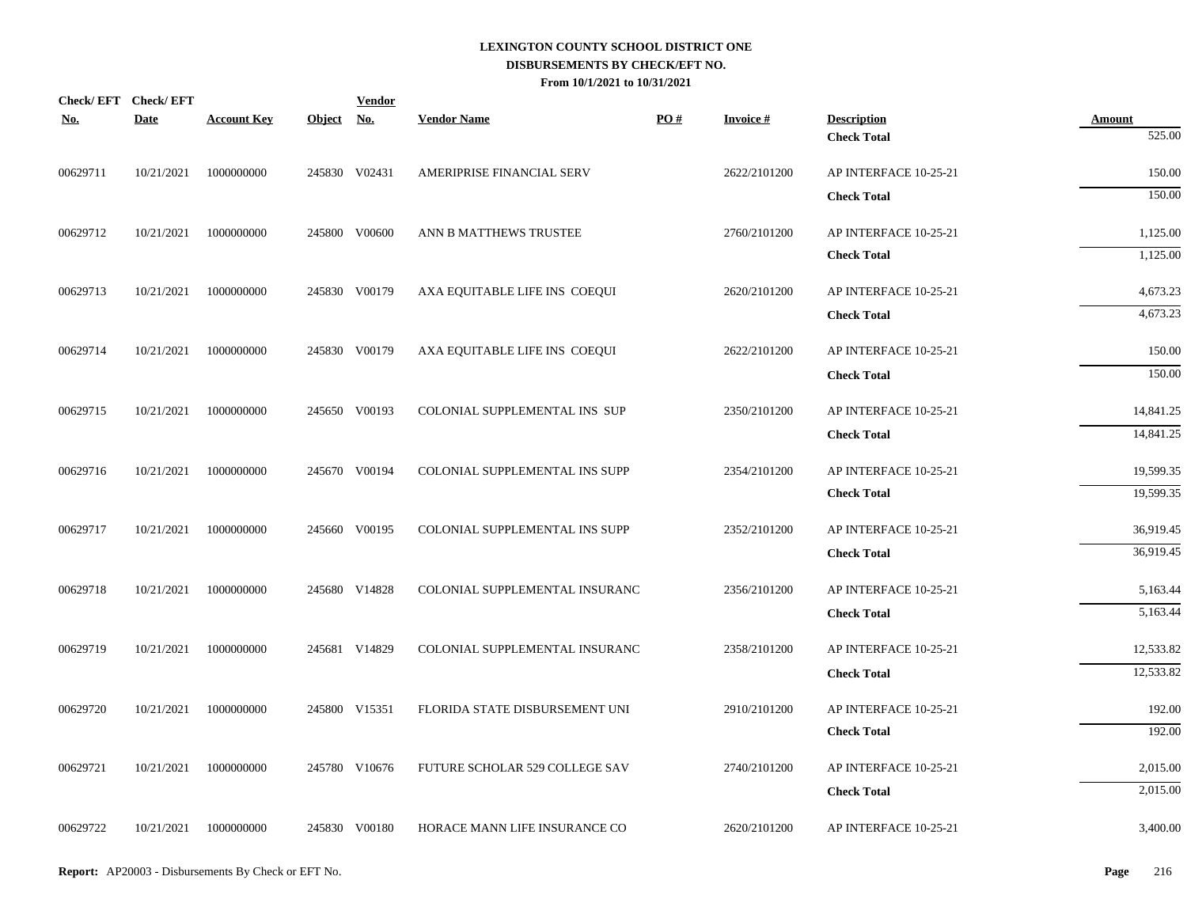| <b>No.</b> | Check/EFT Check/EFT<br><b>Date</b> | <b>Account Key</b> | Object No. | <b>Vendor</b> | <b>Vendor Name</b>             | PO# | <b>Invoice#</b> | <b>Description</b>    | <b>Amount</b>        |
|------------|------------------------------------|--------------------|------------|---------------|--------------------------------|-----|-----------------|-----------------------|----------------------|
|            |                                    |                    |            |               |                                |     |                 | <b>Check Total</b>    | 525.00               |
| 00629711   | 10/21/2021                         | 1000000000         |            | 245830 V02431 | AMERIPRISE FINANCIAL SERV      |     | 2622/2101200    | AP INTERFACE 10-25-21 | 150.00               |
|            |                                    |                    |            |               |                                |     |                 | <b>Check Total</b>    | 150.00               |
| 00629712   | 10/21/2021                         | 1000000000         |            | 245800 V00600 | ANN B MATTHEWS TRUSTEE         |     | 2760/2101200    | AP INTERFACE 10-25-21 | 1,125.00             |
|            |                                    |                    |            |               |                                |     |                 | <b>Check Total</b>    | 1,125.00             |
| 00629713   | 10/21/2021                         | 1000000000         |            | 245830 V00179 | AXA EQUITABLE LIFE INS COEQUI  |     | 2620/2101200    | AP INTERFACE 10-25-21 | 4,673.23             |
|            |                                    |                    |            |               |                                |     |                 | <b>Check Total</b>    | 4,673.23             |
| 00629714   | 10/21/2021                         | 1000000000         |            | 245830 V00179 | AXA EQUITABLE LIFE INS COEQUI  |     | 2622/2101200    | AP INTERFACE 10-25-21 | 150.00               |
|            |                                    |                    |            |               |                                |     |                 | <b>Check Total</b>    | 150.00               |
| 00629715   | 10/21/2021                         | 1000000000         |            | 245650 V00193 | COLONIAL SUPPLEMENTAL INS SUP  |     | 2350/2101200    | AP INTERFACE 10-25-21 | 14,841.25            |
|            |                                    |                    |            |               |                                |     |                 | <b>Check Total</b>    | 14,841.25            |
| 00629716   | 10/21/2021                         | 1000000000         |            | 245670 V00194 | COLONIAL SUPPLEMENTAL INS SUPP |     | 2354/2101200    | AP INTERFACE 10-25-21 | 19,599.35            |
|            |                                    |                    |            |               |                                |     |                 | <b>Check Total</b>    | 19,599.35            |
| 00629717   | 10/21/2021                         | 1000000000         |            | 245660 V00195 | COLONIAL SUPPLEMENTAL INS SUPP |     | 2352/2101200    | AP INTERFACE 10-25-21 | 36,919.45            |
|            |                                    |                    |            |               |                                |     |                 | <b>Check Total</b>    | 36,919.45            |
|            |                                    |                    |            |               |                                |     |                 |                       |                      |
| 00629718   | 10/21/2021                         | 1000000000         |            | 245680 V14828 | COLONIAL SUPPLEMENTAL INSURANC |     | 2356/2101200    | AP INTERFACE 10-25-21 | 5,163.44<br>5,163.44 |
|            |                                    |                    |            |               |                                |     |                 | <b>Check Total</b>    |                      |
| 00629719   | 10/21/2021                         | 1000000000         |            | 245681 V14829 | COLONIAL SUPPLEMENTAL INSURANC |     | 2358/2101200    | AP INTERFACE 10-25-21 | 12,533.82            |
|            |                                    |                    |            |               |                                |     |                 | <b>Check Total</b>    | 12,533.82            |
| 00629720   | 10/21/2021                         | 1000000000         |            | 245800 V15351 | FLORIDA STATE DISBURSEMENT UNI |     | 2910/2101200    | AP INTERFACE 10-25-21 | 192.00               |
|            |                                    |                    |            |               |                                |     |                 | <b>Check Total</b>    | 192.00               |
| 00629721   | 10/21/2021                         | 1000000000         |            | 245780 V10676 | FUTURE SCHOLAR 529 COLLEGE SAV |     | 2740/2101200    | AP INTERFACE 10-25-21 | 2,015.00             |
|            |                                    |                    |            |               |                                |     |                 | <b>Check Total</b>    | 2,015.00             |
| 00629722   | 10/21/2021                         | 1000000000         |            | 245830 V00180 | HORACE MANN LIFE INSURANCE CO  |     | 2620/2101200    | AP INTERFACE 10-25-21 | 3,400.00             |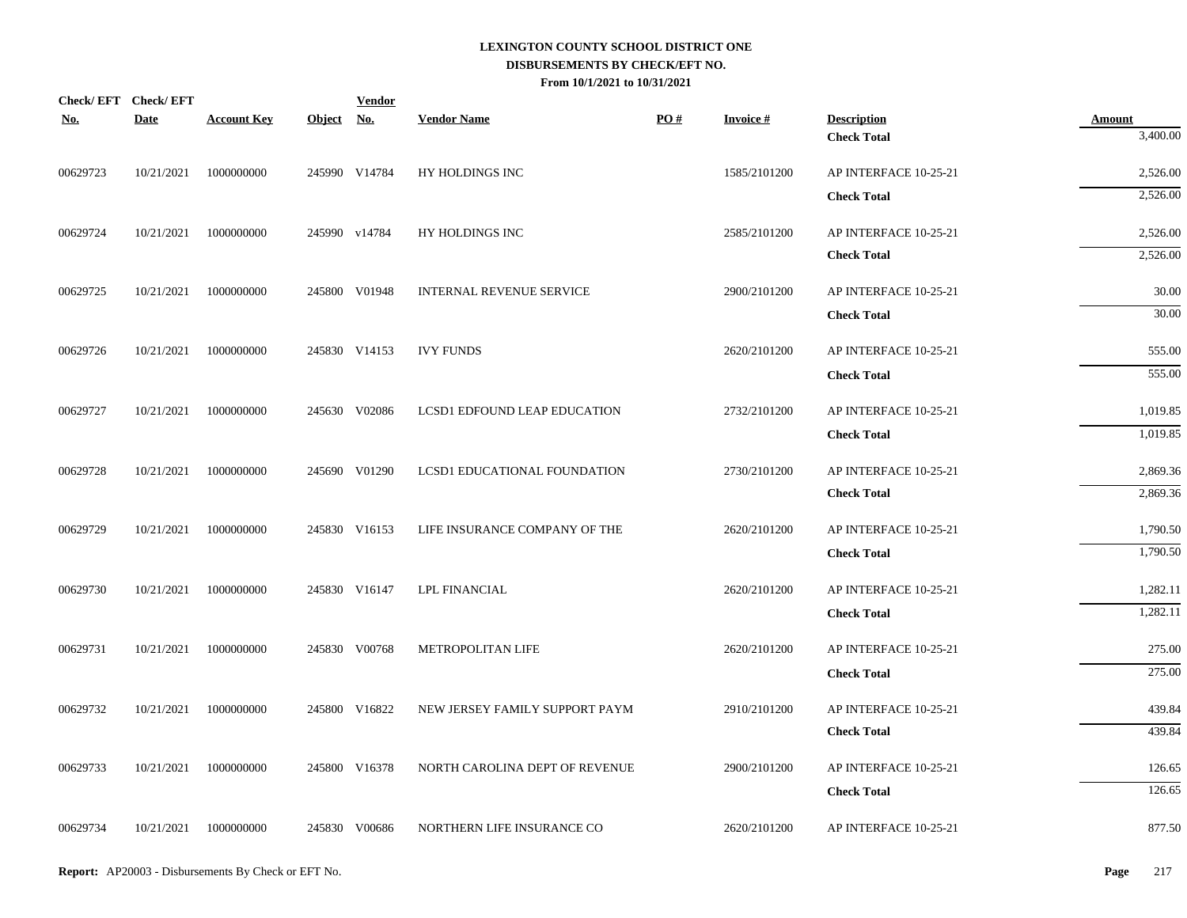| Check/EFT Check/EFT<br><b>No.</b> | <b>Date</b> | <b>Account Key</b>    | Object No. | <b>Vendor</b> | <b>Vendor Name</b>             | PO# | <b>Invoice#</b> | <b>Description</b>                          | <b>Amount</b>        |
|-----------------------------------|-------------|-----------------------|------------|---------------|--------------------------------|-----|-----------------|---------------------------------------------|----------------------|
|                                   |             |                       |            |               |                                |     |                 | <b>Check Total</b>                          | 3,400.00             |
| 00629723                          | 10/21/2021  | 1000000000            |            | 245990 V14784 | HY HOLDINGS INC                |     | 1585/2101200    | AP INTERFACE 10-25-21                       | 2,526.00             |
|                                   |             |                       |            |               |                                |     |                 | <b>Check Total</b>                          | 2,526.00             |
| 00629724                          | 10/21/2021  | 1000000000            |            | 245990 v14784 | HY HOLDINGS INC                |     | 2585/2101200    | AP INTERFACE 10-25-21                       | 2,526.00             |
|                                   |             |                       |            |               |                                |     |                 | <b>Check Total</b>                          | 2,526.00             |
| 00629725                          | 10/21/2021  | 1000000000            |            | 245800 V01948 | INTERNAL REVENUE SERVICE       |     | 2900/2101200    | AP INTERFACE 10-25-21                       | 30.00                |
|                                   |             |                       |            |               |                                |     |                 | <b>Check Total</b>                          | 30.00                |
| 00629726                          | 10/21/2021  | 1000000000            |            | 245830 V14153 | <b>IVY FUNDS</b>               |     | 2620/2101200    | AP INTERFACE 10-25-21                       | 555.00               |
|                                   |             |                       |            |               |                                |     |                 | <b>Check Total</b>                          | 555.00               |
| 00629727                          | 10/21/2021  | 1000000000            |            | 245630 V02086 | LCSD1 EDFOUND LEAP EDUCATION   |     | 2732/2101200    | AP INTERFACE 10-25-21                       | 1,019.85             |
|                                   |             |                       |            |               |                                |     |                 | <b>Check Total</b>                          | 1,019.85             |
| 00629728                          | 10/21/2021  | 1000000000            |            | 245690 V01290 | LCSD1 EDUCATIONAL FOUNDATION   |     | 2730/2101200    | AP INTERFACE 10-25-21                       | 2,869.36             |
|                                   |             |                       |            |               |                                |     |                 | <b>Check Total</b>                          | 2,869.36             |
| 00629729                          | 10/21/2021  | 1000000000            |            | 245830 V16153 | LIFE INSURANCE COMPANY OF THE  |     | 2620/2101200    | AP INTERFACE 10-25-21                       | 1,790.50             |
|                                   |             |                       |            |               |                                |     |                 | <b>Check Total</b>                          | 1,790.50             |
|                                   |             |                       |            |               |                                |     |                 |                                             |                      |
| 00629730                          |             | 10/21/2021 1000000000 |            | 245830 V16147 | <b>LPL FINANCIAL</b>           |     | 2620/2101200    | AP INTERFACE 10-25-21<br><b>Check Total</b> | 1,282.11<br>1,282.11 |
|                                   |             |                       |            |               |                                |     |                 |                                             |                      |
| 00629731                          | 10/21/2021  | 1000000000            |            | 245830 V00768 | METROPOLITAN LIFE              |     | 2620/2101200    | AP INTERFACE 10-25-21                       | 275.00<br>275.00     |
|                                   |             |                       |            |               |                                |     |                 | <b>Check Total</b>                          |                      |
| 00629732                          | 10/21/2021  | 1000000000            |            | 245800 V16822 | NEW JERSEY FAMILY SUPPORT PAYM |     | 2910/2101200    | AP INTERFACE 10-25-21                       | 439.84               |
|                                   |             |                       |            |               |                                |     |                 | <b>Check Total</b>                          | 439.84               |
| 00629733                          | 10/21/2021  | 1000000000            |            | 245800 V16378 | NORTH CAROLINA DEPT OF REVENUE |     | 2900/2101200    | AP INTERFACE 10-25-21                       | 126.65               |
|                                   |             |                       |            |               |                                |     |                 | <b>Check Total</b>                          | 126.65               |
| 00629734                          |             | 10/21/2021 1000000000 |            | 245830 V00686 | NORTHERN LIFE INSURANCE CO     |     | 2620/2101200    | AP INTERFACE 10-25-21                       | 877.50               |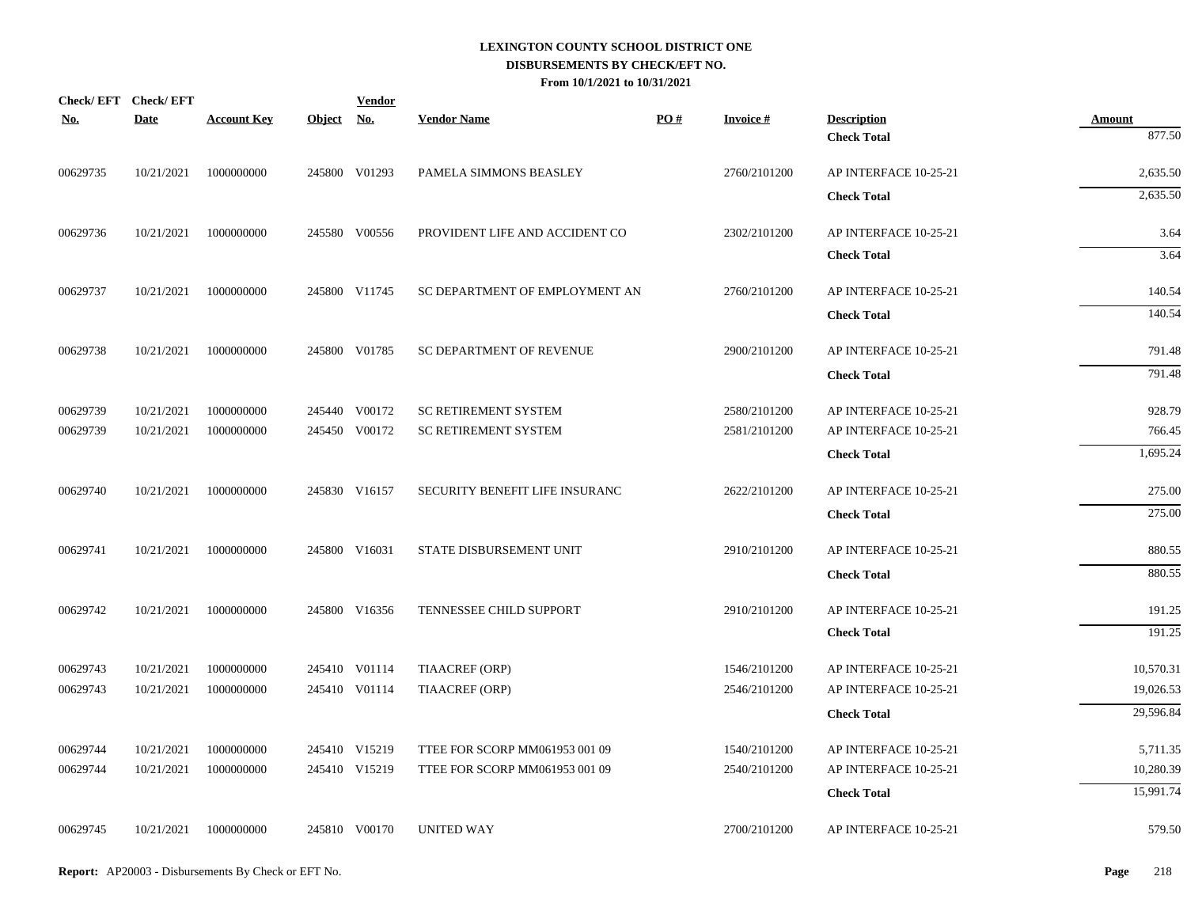| <b>No.</b> | Check/EFT Check/EFT<br><b>Date</b> | <b>Account Key</b> | Object No. | <b>Vendor</b> | <b>Vendor Name</b>             | PO# | <b>Invoice#</b> | <b>Description</b>    | Amount    |
|------------|------------------------------------|--------------------|------------|---------------|--------------------------------|-----|-----------------|-----------------------|-----------|
|            |                                    |                    |            |               |                                |     |                 | <b>Check Total</b>    | 877.50    |
| 00629735   | 10/21/2021                         | 1000000000         |            | 245800 V01293 | PAMELA SIMMONS BEASLEY         |     | 2760/2101200    | AP INTERFACE 10-25-21 | 2,635.50  |
|            |                                    |                    |            |               |                                |     |                 | <b>Check Total</b>    | 2,635.50  |
| 00629736   | 10/21/2021                         | 1000000000         |            | 245580 V00556 | PROVIDENT LIFE AND ACCIDENT CO |     | 2302/2101200    | AP INTERFACE 10-25-21 | 3.64      |
|            |                                    |                    |            |               |                                |     |                 | <b>Check Total</b>    | 3.64      |
| 00629737   | 10/21/2021                         | 1000000000         |            | 245800 V11745 | SC DEPARTMENT OF EMPLOYMENT AN |     | 2760/2101200    | AP INTERFACE 10-25-21 | 140.54    |
|            |                                    |                    |            |               |                                |     |                 | <b>Check Total</b>    | 140.54    |
| 00629738   | 10/21/2021                         | 1000000000         |            | 245800 V01785 | SC DEPARTMENT OF REVENUE       |     | 2900/2101200    | AP INTERFACE 10-25-21 | 791.48    |
|            |                                    |                    |            |               |                                |     |                 | <b>Check Total</b>    | 791.48    |
| 00629739   | 10/21/2021                         | 1000000000         |            | 245440 V00172 | SC RETIREMENT SYSTEM           |     | 2580/2101200    | AP INTERFACE 10-25-21 | 928.79    |
| 00629739   | 10/21/2021                         | 1000000000         |            | 245450 V00172 | <b>SC RETIREMENT SYSTEM</b>    |     | 2581/2101200    | AP INTERFACE 10-25-21 | 766.45    |
|            |                                    |                    |            |               |                                |     |                 | <b>Check Total</b>    | 1,695.24  |
| 00629740   | 10/21/2021                         | 1000000000         |            | 245830 V16157 | SECURITY BENEFIT LIFE INSURANC |     | 2622/2101200    | AP INTERFACE 10-25-21 | 275.00    |
|            |                                    |                    |            |               |                                |     |                 | <b>Check Total</b>    | 275.00    |
| 00629741   | 10/21/2021                         | 1000000000         |            | 245800 V16031 | STATE DISBURSEMENT UNIT        |     | 2910/2101200    | AP INTERFACE 10-25-21 | 880.55    |
|            |                                    |                    |            |               |                                |     |                 | <b>Check Total</b>    | 880.55    |
| 00629742   | 10/21/2021                         | 1000000000         |            | 245800 V16356 | TENNESSEE CHILD SUPPORT        |     | 2910/2101200    | AP INTERFACE 10-25-21 | 191.25    |
|            |                                    |                    |            |               |                                |     |                 | <b>Check Total</b>    | 191.25    |
| 00629743   | 10/21/2021                         | 1000000000         |            | 245410 V01114 | TIAACREF (ORP)                 |     | 1546/2101200    | AP INTERFACE 10-25-21 | 10,570.31 |
| 00629743   | 10/21/2021                         | 1000000000         |            | 245410 V01114 | <b>TIAACREF (ORP)</b>          |     | 2546/2101200    | AP INTERFACE 10-25-21 | 19,026.53 |
|            |                                    |                    |            |               |                                |     |                 | <b>Check Total</b>    | 29,596.84 |
| 00629744   | 10/21/2021                         | 1000000000         |            | 245410 V15219 | TTEE FOR SCORP MM061953 001 09 |     | 1540/2101200    | AP INTERFACE 10-25-21 | 5,711.35  |
| 00629744   | 10/21/2021                         | 1000000000         |            | 245410 V15219 | TTEE FOR SCORP MM061953 001 09 |     | 2540/2101200    | AP INTERFACE 10-25-21 | 10,280.39 |
|            |                                    |                    |            |               |                                |     |                 | <b>Check Total</b>    | 15,991.74 |
| 00629745   | 10/21/2021                         | 1000000000         |            | 245810 V00170 | <b>UNITED WAY</b>              |     | 2700/2101200    | AP INTERFACE 10-25-21 | 579.50    |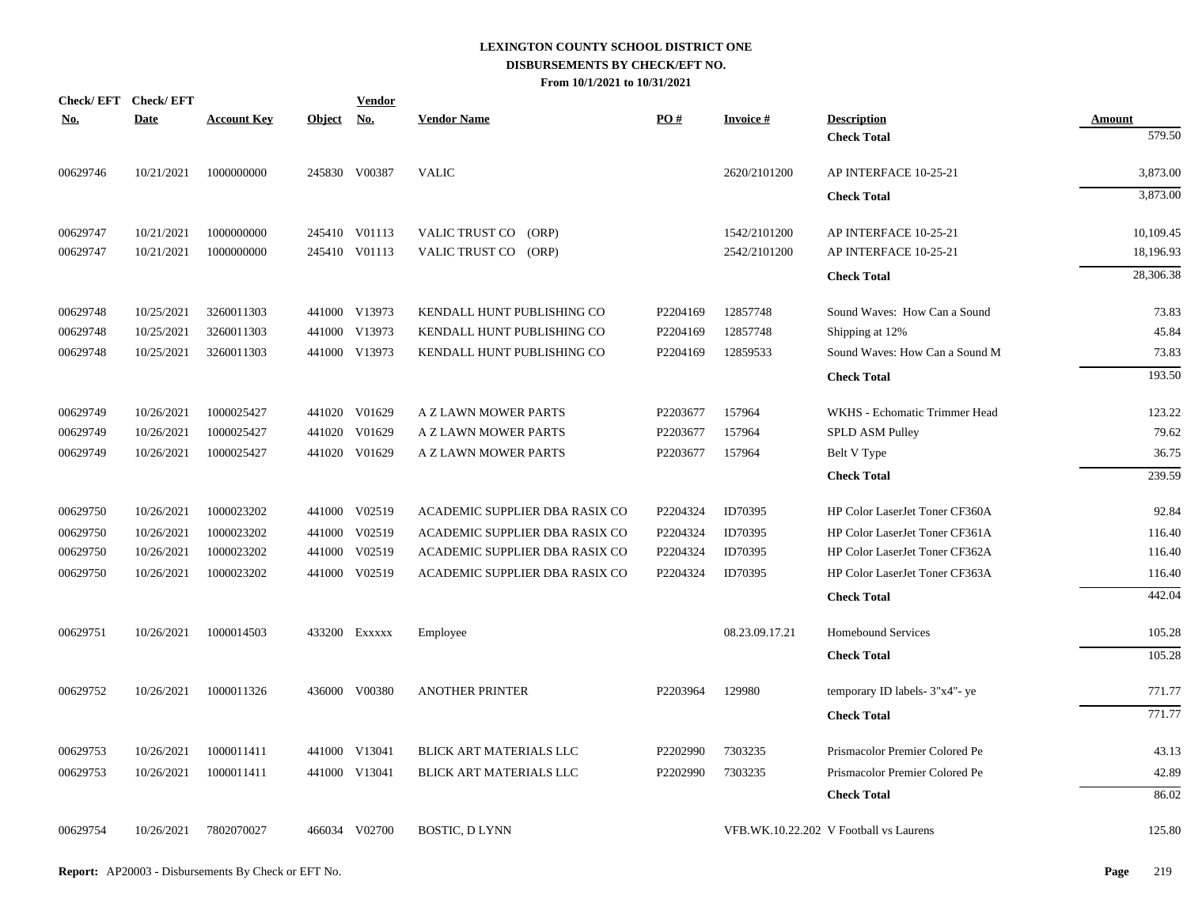|            | Check/EFT Check/EFT |                    |               | <u>Vendor</u> |                                |          |                 |                                        |               |
|------------|---------------------|--------------------|---------------|---------------|--------------------------------|----------|-----------------|----------------------------------------|---------------|
| <u>No.</u> | <b>Date</b>         | <b>Account Key</b> | <b>Object</b> | <u>No.</u>    | <b>Vendor Name</b>             | PO#      | <b>Invoice#</b> | <b>Description</b>                     | <b>Amount</b> |
|            |                     |                    |               |               |                                |          |                 | <b>Check Total</b>                     | 579.50        |
| 00629746   | 10/21/2021          | 1000000000         |               | 245830 V00387 | <b>VALIC</b>                   |          | 2620/2101200    | AP INTERFACE 10-25-21                  | 3,873.00      |
|            |                     |                    |               |               |                                |          |                 | <b>Check Total</b>                     | 3,873.00      |
| 00629747   | 10/21/2021          | 1000000000         |               | 245410 V01113 | VALIC TRUST CO<br>(ORP)        |          | 1542/2101200    | AP INTERFACE 10-25-21                  | 10,109.45     |
| 00629747   | 10/21/2021          | 1000000000         |               | 245410 V01113 | VALIC TRUST CO<br>(ORP)        |          | 2542/2101200    | AP INTERFACE 10-25-21                  | 18,196.93     |
|            |                     |                    |               |               |                                |          |                 | <b>Check Total</b>                     | 28,306.38     |
| 00629748   | 10/25/2021          | 3260011303         |               | 441000 V13973 | KENDALL HUNT PUBLISHING CO     | P2204169 | 12857748        | Sound Waves: How Can a Sound           | 73.83         |
| 00629748   | 10/25/2021          | 3260011303         |               | 441000 V13973 | KENDALL HUNT PUBLISHING CO     | P2204169 | 12857748        | Shipping at 12%                        | 45.84         |
| 00629748   | 10/25/2021          | 3260011303         |               | 441000 V13973 | KENDALL HUNT PUBLISHING CO     | P2204169 | 12859533        | Sound Waves: How Can a Sound M         | 73.83         |
|            |                     |                    |               |               |                                |          |                 | <b>Check Total</b>                     | 193.50        |
| 00629749   | 10/26/2021          | 1000025427         |               | 441020 V01629 | A Z LAWN MOWER PARTS           | P2203677 | 157964          | WKHS - Echomatic Trimmer Head          | 123.22        |
| 00629749   | 10/26/2021          | 1000025427         |               | 441020 V01629 | A Z LAWN MOWER PARTS           | P2203677 | 157964          | <b>SPLD ASM Pulley</b>                 | 79.62         |
| 00629749   | 10/26/2021          | 1000025427         |               | 441020 V01629 | A Z LAWN MOWER PARTS           | P2203677 | 157964          | Belt V Type                            | 36.75         |
|            |                     |                    |               |               |                                |          |                 | <b>Check Total</b>                     | 239.59        |
| 00629750   | 10/26/2021          | 1000023202         |               | 441000 V02519 | ACADEMIC SUPPLIER DBA RASIX CO | P2204324 | ID70395         | HP Color LaserJet Toner CF360A         | 92.84         |
| 00629750   | 10/26/2021          | 1000023202         |               | 441000 V02519 | ACADEMIC SUPPLIER DBA RASIX CO | P2204324 | ID70395         | HP Color LaserJet Toner CF361A         | 116.40        |
| 00629750   | 10/26/2021          | 1000023202         |               | 441000 V02519 | ACADEMIC SUPPLIER DBA RASIX CO | P2204324 | ID70395         | HP Color LaserJet Toner CF362A         | 116.40        |
| 00629750   | 10/26/2021          | 1000023202         |               | 441000 V02519 | ACADEMIC SUPPLIER DBA RASIX CO | P2204324 | ID70395         | HP Color LaserJet Toner CF363A         | 116.40        |
|            |                     |                    |               |               |                                |          |                 | <b>Check Total</b>                     | 442.04        |
| 00629751   | 10/26/2021          | 1000014503         |               | 433200 Exxxxx | Employee                       |          | 08.23.09.17.21  | <b>Homebound Services</b>              | 105.28        |
|            |                     |                    |               |               |                                |          |                 | <b>Check Total</b>                     | 105.28        |
| 00629752   | 10/26/2021          | 1000011326         |               | 436000 V00380 | <b>ANOTHER PRINTER</b>         | P2203964 | 129980          | temporary ID labels- 3"x4"- ye         | 771.77        |
|            |                     |                    |               |               |                                |          |                 | <b>Check Total</b>                     | 771.77        |
| 00629753   | 10/26/2021          | 1000011411         |               | 441000 V13041 | <b>BLICK ART MATERIALS LLC</b> | P2202990 | 7303235         | Prismacolor Premier Colored Pe         | 43.13         |
| 00629753   | 10/26/2021          | 1000011411         |               | 441000 V13041 | BLICK ART MATERIALS LLC        | P2202990 | 7303235         | Prismacolor Premier Colored Pe         | 42.89         |
|            |                     |                    |               |               |                                |          |                 | <b>Check Total</b>                     | 86.02         |
| 00629754   | 10/26/2021          | 7802070027         |               | 466034 V02700 | <b>BOSTIC, D LYNN</b>          |          |                 | VFB.WK.10.22.202 V Football vs Laurens | 125.80        |
|            |                     |                    |               |               |                                |          |                 |                                        |               |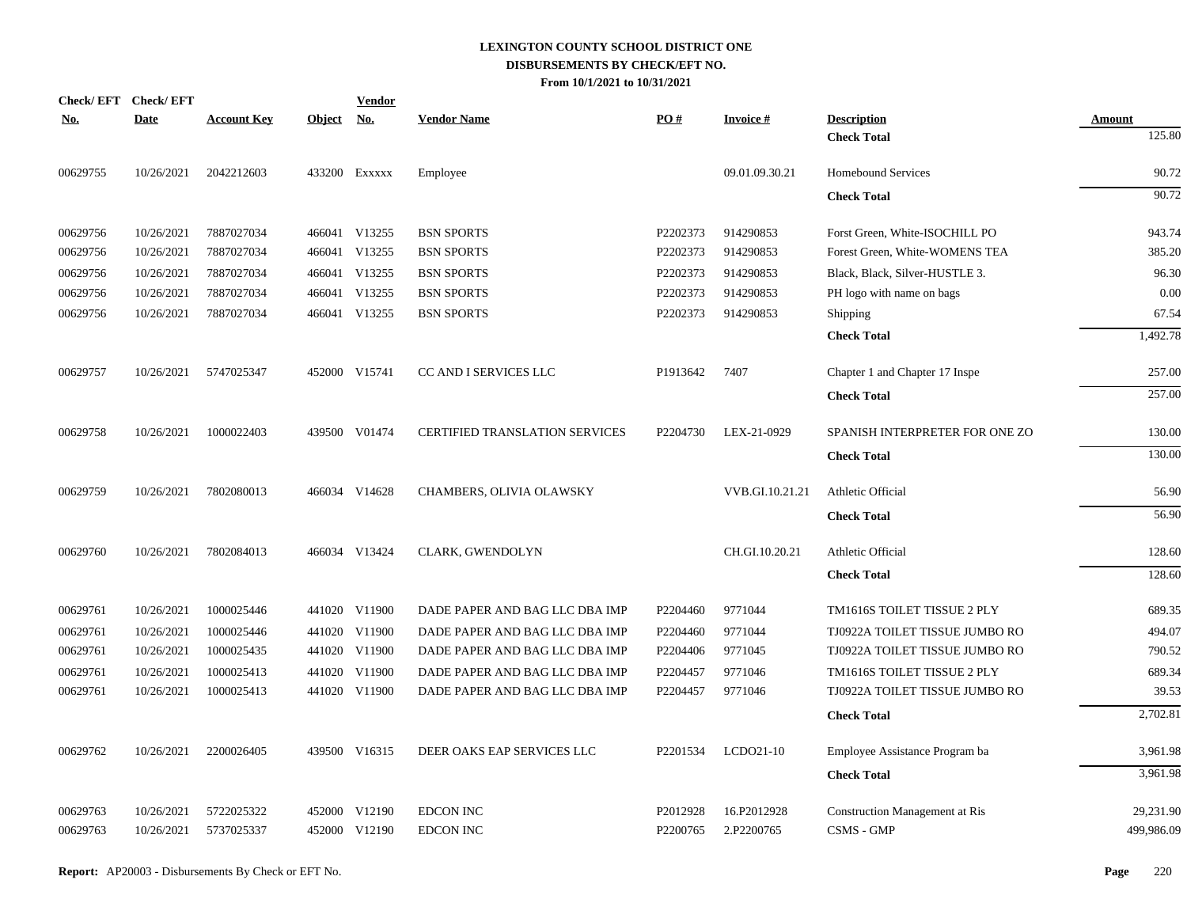|            | Check/EFT Check/EFT |                    |               | <b>Vendor</b> |                                       |          |                 |                                       |               |
|------------|---------------------|--------------------|---------------|---------------|---------------------------------------|----------|-----------------|---------------------------------------|---------------|
| <u>No.</u> | <b>Date</b>         | <b>Account Key</b> | <b>Object</b> | <u>No.</u>    | <b>Vendor Name</b>                    | PO#      | <b>Invoice#</b> | <b>Description</b>                    | <b>Amount</b> |
|            |                     |                    |               |               |                                       |          |                 | <b>Check Total</b>                    | 125.80        |
| 00629755   | 10/26/2021          | 2042212603         |               | 433200 EXXXXX | Employee                              |          | 09.01.09.30.21  | <b>Homebound Services</b>             | 90.72         |
|            |                     |                    |               |               |                                       |          |                 | <b>Check Total</b>                    | 90.72         |
| 00629756   | 10/26/2021          | 7887027034         |               | 466041 V13255 | <b>BSN SPORTS</b>                     | P2202373 | 914290853       | Forst Green, White-ISOCHILL PO        | 943.74        |
| 00629756   | 10/26/2021          | 7887027034         | 466041        | V13255        | <b>BSN SPORTS</b>                     | P2202373 | 914290853       | Forest Green, White-WOMENS TEA        | 385.20        |
| 00629756   | 10/26/2021          | 7887027034         |               | 466041 V13255 | <b>BSN SPORTS</b>                     | P2202373 | 914290853       | Black, Black, Silver-HUSTLE 3.        | 96.30         |
| 00629756   | 10/26/2021          | 7887027034         |               | 466041 V13255 | <b>BSN SPORTS</b>                     | P2202373 | 914290853       | PH logo with name on bags             | 0.00          |
| 00629756   | 10/26/2021          | 7887027034         |               | 466041 V13255 | <b>BSN SPORTS</b>                     | P2202373 | 914290853       | Shipping                              | 67.54         |
|            |                     |                    |               |               |                                       |          |                 | <b>Check Total</b>                    | 1,492.78      |
| 00629757   | 10/26/2021          | 5747025347         |               | 452000 V15741 | CC AND I SERVICES LLC                 | P1913642 | 7407            | Chapter 1 and Chapter 17 Inspe        | 257.00        |
|            |                     |                    |               |               |                                       |          |                 | <b>Check Total</b>                    | 257.00        |
| 00629758   | 10/26/2021          | 1000022403         |               | 439500 V01474 | <b>CERTIFIED TRANSLATION SERVICES</b> | P2204730 | LEX-21-0929     | SPANISH INTERPRETER FOR ONE ZO        | 130.00        |
|            |                     |                    |               |               |                                       |          |                 | <b>Check Total</b>                    | 130.00        |
| 00629759   | 10/26/2021          | 7802080013         |               | 466034 V14628 | CHAMBERS, OLIVIA OLAWSKY              |          | VVB.GI.10.21.21 | Athletic Official                     | 56.90         |
|            |                     |                    |               |               |                                       |          |                 | <b>Check Total</b>                    | 56.90         |
| 00629760   | 10/26/2021          | 7802084013         |               | 466034 V13424 | CLARK, GWENDOLYN                      |          | CH.GI.10.20.21  | Athletic Official                     | 128.60        |
|            |                     |                    |               |               |                                       |          |                 | <b>Check Total</b>                    | 128.60        |
| 00629761   | 10/26/2021          | 1000025446         |               | 441020 V11900 | DADE PAPER AND BAG LLC DBA IMP        | P2204460 | 9771044         | TM1616S TOILET TISSUE 2 PLY           | 689.35        |
| 00629761   | 10/26/2021          | 1000025446         |               | 441020 V11900 | DADE PAPER AND BAG LLC DBA IMP        | P2204460 | 9771044         | TJ0922A TOILET TISSUE JUMBO RO        | 494.07        |
| 00629761   | 10/26/2021          | 1000025435         |               | 441020 V11900 | DADE PAPER AND BAG LLC DBA IMP        | P2204406 | 9771045         | TJ0922A TOILET TISSUE JUMBO RO        | 790.52        |
| 00629761   | 10/26/2021          | 1000025413         |               | 441020 V11900 | DADE PAPER AND BAG LLC DBA IMP        | P2204457 | 9771046         | TM1616S TOILET TISSUE 2 PLY           | 689.34        |
| 00629761   | 10/26/2021          | 1000025413         |               | 441020 V11900 | DADE PAPER AND BAG LLC DBA IMP        | P2204457 | 9771046         | TJ0922A TOILET TISSUE JUMBO RO        | 39.53         |
|            |                     |                    |               |               |                                       |          |                 | <b>Check Total</b>                    | 2,702.81      |
| 00629762   | 10/26/2021          | 2200026405         |               | 439500 V16315 | DEER OAKS EAP SERVICES LLC            | P2201534 | LCDO21-10       | Employee Assistance Program ba        | 3,961.98      |
|            |                     |                    |               |               |                                       |          |                 | <b>Check Total</b>                    | 3,961.98      |
| 00629763   | 10/26/2021          | 5722025322         | 452000        | V12190        | <b>EDCON INC</b>                      | P2012928 | 16.P2012928     | <b>Construction Management at Ris</b> | 29,231.90     |
| 00629763   | 10/26/2021          | 5737025337         |               | 452000 V12190 | <b>EDCON INC</b>                      | P2200765 | 2.P2200765      | <b>CSMS - GMP</b>                     | 499,986.09    |
|            |                     |                    |               |               |                                       |          |                 |                                       |               |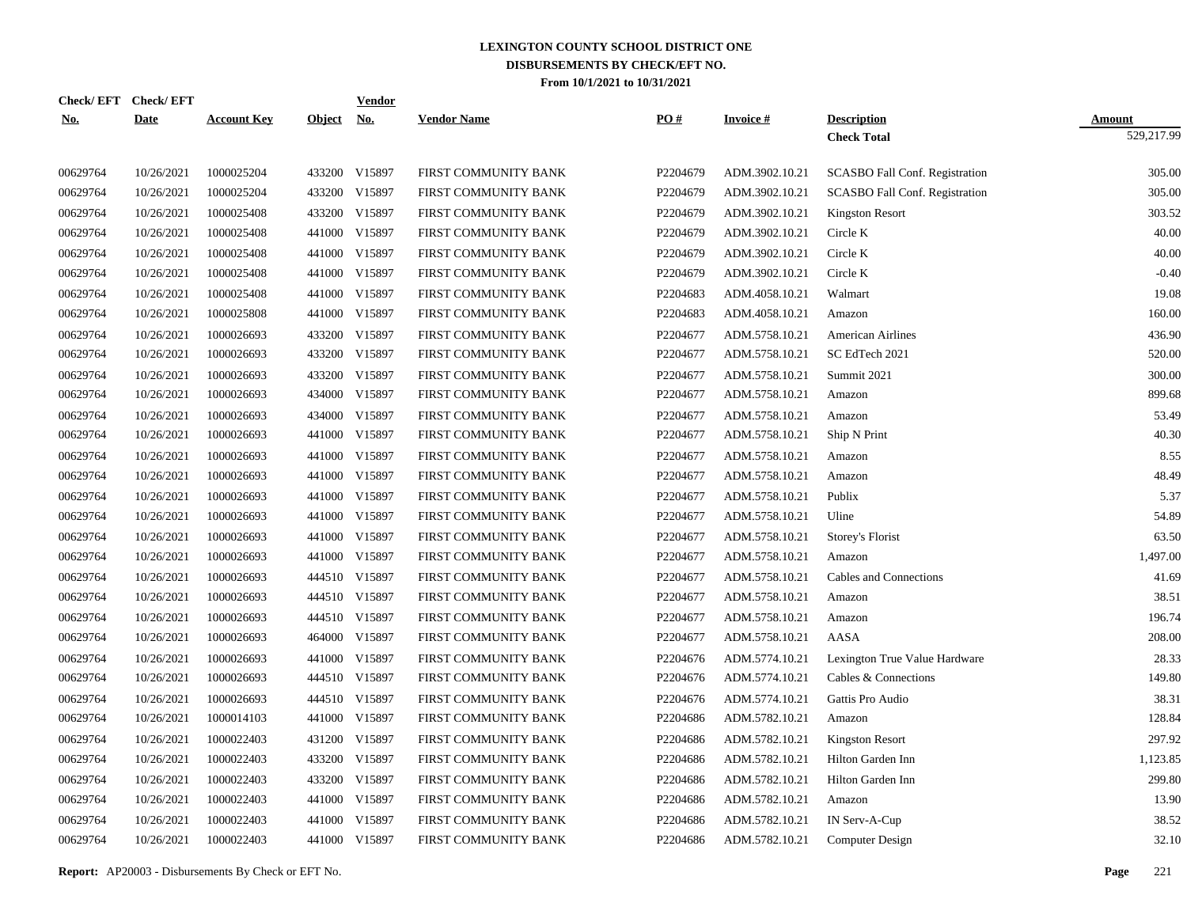| Check/EFT Check/EFT<br><u>No.</u> | <b>Date</b> | <b>Account Key</b> | <b>Object</b> | <b>Vendor</b><br><u>No.</u> | <b>Vendor Name</b>   | PO#      | <b>Invoice#</b> | <b>Description</b>                    | <b>Amount</b> |
|-----------------------------------|-------------|--------------------|---------------|-----------------------------|----------------------|----------|-----------------|---------------------------------------|---------------|
|                                   |             |                    |               |                             |                      |          |                 | <b>Check Total</b>                    | 529,217.99    |
| 00629764                          | 10/26/2021  | 1000025204         |               | 433200 V15897               | FIRST COMMUNITY BANK | P2204679 | ADM.3902.10.21  | <b>SCASBO Fall Conf. Registration</b> | 305.00        |
| 00629764                          | 10/26/2021  | 1000025204         |               | 433200 V15897               | FIRST COMMUNITY BANK | P2204679 | ADM.3902.10.21  | SCASBO Fall Conf. Registration        | 305.00        |
| 00629764                          | 10/26/2021  | 1000025408         |               | 433200 V15897               | FIRST COMMUNITY BANK | P2204679 | ADM.3902.10.21  | <b>Kingston Resort</b>                | 303.52        |
| 00629764                          | 10/26/2021  | 1000025408         |               | 441000 V15897               | FIRST COMMUNITY BANK | P2204679 | ADM.3902.10.21  | Circle K                              | 40.00         |
| 00629764                          | 10/26/2021  | 1000025408         | 441000        | V15897                      | FIRST COMMUNITY BANK | P2204679 | ADM.3902.10.21  | Circle K                              | 40.00         |
| 00629764                          | 10/26/2021  | 1000025408         |               | 441000 V15897               | FIRST COMMUNITY BANK | P2204679 | ADM.3902.10.21  | Circle K                              | $-0.40$       |
| 00629764                          | 10/26/2021  | 1000025408         | 441000        | V15897                      | FIRST COMMUNITY BANK | P2204683 | ADM.4058.10.21  | Walmart                               | 19.08         |
| 00629764                          | 10/26/2021  | 1000025808         |               | 441000 V15897               | FIRST COMMUNITY BANK | P2204683 | ADM.4058.10.21  | Amazon                                | 160.00        |
| 00629764                          | 10/26/2021  | 1000026693         | 433200        | V15897                      | FIRST COMMUNITY BANK | P2204677 | ADM.5758.10.21  | <b>American Airlines</b>              | 436.90        |
| 00629764                          | 10/26/2021  | 1000026693         |               | 433200 V15897               | FIRST COMMUNITY BANK | P2204677 | ADM.5758.10.21  | SC EdTech 2021                        | 520.00        |
| 00629764                          | 10/26/2021  | 1000026693         | 433200        | V15897                      | FIRST COMMUNITY BANK | P2204677 | ADM.5758.10.21  | Summit 2021                           | 300.00        |
| 00629764                          | 10/26/2021  | 1000026693         |               | 434000 V15897               | FIRST COMMUNITY BANK | P2204677 | ADM.5758.10.21  | Amazon                                | 899.68        |
| 00629764                          | 10/26/2021  | 1000026693         | 434000        | V15897                      | FIRST COMMUNITY BANK | P2204677 | ADM.5758.10.21  | Amazon                                | 53.49         |
| 00629764                          | 10/26/2021  | 1000026693         |               | 441000 V15897               | FIRST COMMUNITY BANK | P2204677 | ADM.5758.10.21  | Ship N Print                          | 40.30         |
| 00629764                          | 10/26/2021  | 1000026693         | 441000        | V15897                      | FIRST COMMUNITY BANK | P2204677 | ADM.5758.10.21  | Amazon                                | 8.55          |
| 00629764                          | 10/26/2021  | 1000026693         |               | 441000 V15897               | FIRST COMMUNITY BANK | P2204677 | ADM.5758.10.21  | Amazon                                | 48.49         |
| 00629764                          | 10/26/2021  | 1000026693         | 441000        | V15897                      | FIRST COMMUNITY BANK | P2204677 | ADM.5758.10.21  | Publix                                | 5.37          |
| 00629764                          | 10/26/2021  | 1000026693         | 441000        | V15897                      | FIRST COMMUNITY BANK | P2204677 | ADM.5758.10.21  | Uline                                 | 54.89         |
| 00629764                          | 10/26/2021  | 1000026693         | 441000        | V15897                      | FIRST COMMUNITY BANK | P2204677 | ADM.5758.10.21  | Storey's Florist                      | 63.50         |
| 00629764                          | 10/26/2021  | 1000026693         | 441000        | V15897                      | FIRST COMMUNITY BANK | P2204677 | ADM.5758.10.21  | Amazon                                | 1,497.00      |
| 00629764                          | 10/26/2021  | 1000026693         |               | 444510 V15897               | FIRST COMMUNITY BANK | P2204677 | ADM.5758.10.21  | Cables and Connections                | 41.69         |
| 00629764                          | 10/26/2021  | 1000026693         |               | 444510 V15897               | FIRST COMMUNITY BANK | P2204677 | ADM.5758.10.21  | Amazon                                | 38.51         |
| 00629764                          | 10/26/2021  | 1000026693         |               | 444510 V15897               | FIRST COMMUNITY BANK | P2204677 | ADM.5758.10.21  | Amazon                                | 196.74        |
| 00629764                          | 10/26/2021  | 1000026693         | 464000        | V15897                      | FIRST COMMUNITY BANK | P2204677 | ADM.5758.10.21  | AASA                                  | 208.00        |
| 00629764                          | 10/26/2021  | 1000026693         |               | 441000 V15897               | FIRST COMMUNITY BANK | P2204676 | ADM.5774.10.21  | Lexington True Value Hardware         | 28.33         |
| 00629764                          | 10/26/2021  | 1000026693         |               | 444510 V15897               | FIRST COMMUNITY BANK | P2204676 | ADM.5774.10.21  | Cables & Connections                  | 149.80        |
| 00629764                          | 10/26/2021  | 1000026693         |               | 444510 V15897               | FIRST COMMUNITY BANK | P2204676 | ADM.5774.10.21  | Gattis Pro Audio                      | 38.31         |
| 00629764                          | 10/26/2021  | 1000014103         | 441000        | V15897                      | FIRST COMMUNITY BANK | P2204686 | ADM.5782.10.21  | Amazon                                | 128.84        |
| 00629764                          | 10/26/2021  | 1000022403         | 431200        | V15897                      | FIRST COMMUNITY BANK | P2204686 | ADM.5782.10.21  | <b>Kingston Resort</b>                | 297.92        |
| 00629764                          | 10/26/2021  | 1000022403         | 433200        | V15897                      | FIRST COMMUNITY BANK | P2204686 | ADM.5782.10.21  | Hilton Garden Inn                     | 1,123.85      |
| 00629764                          | 10/26/2021  | 1000022403         | 433200        | V15897                      | FIRST COMMUNITY BANK | P2204686 | ADM.5782.10.21  | Hilton Garden Inn                     | 299.80        |
| 00629764                          | 10/26/2021  | 1000022403         | 441000        | V15897                      | FIRST COMMUNITY BANK | P2204686 | ADM.5782.10.21  | Amazon                                | 13.90         |
| 00629764                          | 10/26/2021  | 1000022403         | 441000        | V15897                      | FIRST COMMUNITY BANK | P2204686 | ADM.5782.10.21  | IN Serv-A-Cup                         | 38.52         |
| 00629764                          | 10/26/2021  | 1000022403         |               | 441000 V15897               | FIRST COMMUNITY BANK | P2204686 | ADM.5782.10.21  | Computer Design                       | 32.10         |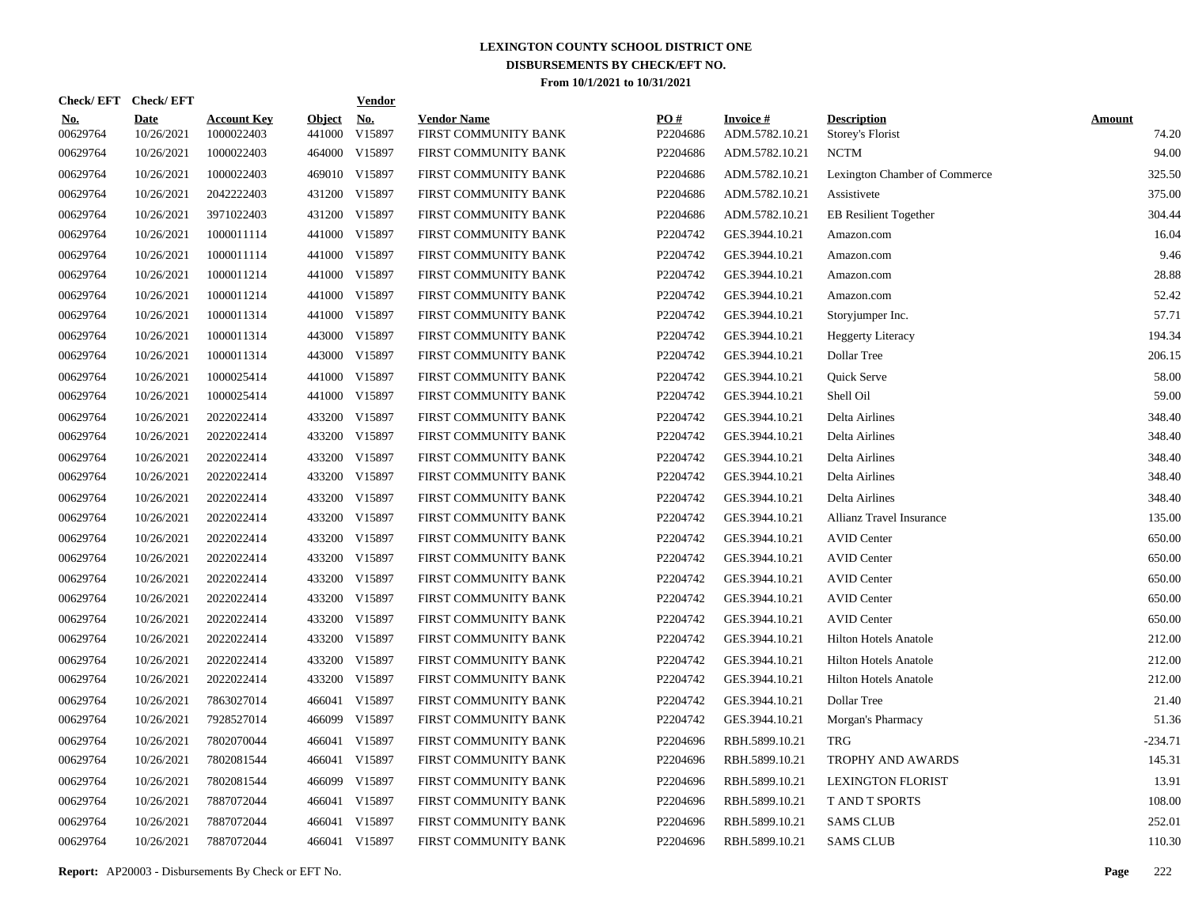| Check/EFT Check/EFT    |                           |                                  |                         | <b>Vendor</b>        |                                            |                 |                                   |                                        |                        |
|------------------------|---------------------------|----------------------------------|-------------------------|----------------------|--------------------------------------------|-----------------|-----------------------------------|----------------------------------------|------------------------|
| <u>No.</u><br>00629764 | <b>Date</b><br>10/26/2021 | <b>Account Key</b><br>1000022403 | <b>Object</b><br>441000 | <u>No.</u><br>V15897 | <b>Vendor Name</b><br>FIRST COMMUNITY BANK | PQ#<br>P2204686 | <b>Invoice#</b><br>ADM.5782.10.21 | <b>Description</b><br>Storey's Florist | <b>Amount</b><br>74.20 |
| 00629764               | 10/26/2021                | 1000022403                       |                         | 464000 V15897        | FIRST COMMUNITY BANK                       | P2204686        | ADM.5782.10.21                    | <b>NCTM</b>                            | 94.00                  |
| 00629764               | 10/26/2021                | 1000022403                       |                         | 469010 V15897        | FIRST COMMUNITY BANK                       | P2204686        | ADM.5782.10.21                    | Lexington Chamber of Commerce          | 325.50                 |
| 00629764               | 10/26/2021                | 2042222403                       |                         | 431200 V15897        | FIRST COMMUNITY BANK                       | P2204686        | ADM.5782.10.21                    | Assistivete                            | 375.00                 |
| 00629764               | 10/26/2021                | 3971022403                       |                         | 431200 V15897        | FIRST COMMUNITY BANK                       | P2204686        | ADM.5782.10.21                    | <b>EB</b> Resilient Together           | 304.44                 |
| 00629764               | 10/26/2021                | 1000011114                       |                         | 441000 V15897        | FIRST COMMUNITY BANK                       | P2204742        | GES.3944.10.21                    | Amazon.com                             | 16.04                  |
| 00629764               | 10/26/2021                | 1000011114                       |                         | 441000 V15897        | FIRST COMMUNITY BANK                       | P2204742        | GES.3944.10.21                    | Amazon.com                             | 9.46                   |
| 00629764               | 10/26/2021                | 1000011214                       |                         | 441000 V15897        | FIRST COMMUNITY BANK                       | P2204742        | GES.3944.10.21                    | Amazon.com                             | 28.88                  |
| 00629764               | 10/26/2021                | 1000011214                       |                         | 441000 V15897        | FIRST COMMUNITY BANK                       | P2204742        | GES.3944.10.21                    | Amazon.com                             | 52.42                  |
| 00629764               | 10/26/2021                | 1000011314                       |                         | 441000 V15897        | FIRST COMMUNITY BANK                       | P2204742        | GES.3944.10.21                    | Storyjumper Inc.                       | 57.71                  |
| 00629764               | 10/26/2021                | 1000011314                       |                         | 443000 V15897        | FIRST COMMUNITY BANK                       | P2204742        | GES.3944.10.21                    | <b>Heggerty Literacy</b>               | 194.34                 |
| 00629764               | 10/26/2021                | 1000011314                       |                         | 443000 V15897        | FIRST COMMUNITY BANK                       | P2204742        | GES.3944.10.21                    | Dollar Tree                            | 206.15                 |
| 00629764               | 10/26/2021                | 1000025414                       |                         | 441000 V15897        | FIRST COMMUNITY BANK                       | P2204742        | GES.3944.10.21                    | Quick Serve                            | 58.00                  |
| 00629764               | 10/26/2021                | 1000025414                       |                         | 441000 V15897        | FIRST COMMUNITY BANK                       | P2204742        | GES.3944.10.21                    | Shell Oil                              | 59.00                  |
| 00629764               | 10/26/2021                | 2022022414                       |                         | 433200 V15897        | FIRST COMMUNITY BANK                       | P2204742        | GES.3944.10.21                    | Delta Airlines                         | 348.40                 |
| 00629764               | 10/26/2021                | 2022022414                       |                         | 433200 V15897        | FIRST COMMUNITY BANK                       | P2204742        | GES.3944.10.21                    | Delta Airlines                         | 348.40                 |
| 00629764               | 10/26/2021                | 2022022414                       |                         | 433200 V15897        | FIRST COMMUNITY BANK                       | P2204742        | GES.3944.10.21                    | Delta Airlines                         | 348.40                 |
| 00629764               | 10/26/2021                | 2022022414                       |                         | 433200 V15897        | FIRST COMMUNITY BANK                       | P2204742        | GES.3944.10.21                    | Delta Airlines                         | 348.40                 |
| 00629764               | 10/26/2021                | 2022022414                       |                         | 433200 V15897        | FIRST COMMUNITY BANK                       | P2204742        | GES.3944.10.21                    | Delta Airlines                         | 348.40                 |
| 00629764               | 10/26/2021                | 2022022414                       |                         | 433200 V15897        | FIRST COMMUNITY BANK                       | P2204742        | GES.3944.10.21                    | Allianz Travel Insurance               | 135.00                 |
| 00629764               | 10/26/2021                | 2022022414                       |                         | 433200 V15897        | FIRST COMMUNITY BANK                       | P2204742        | GES.3944.10.21                    | <b>AVID Center</b>                     | 650.00                 |
| 00629764               | 10/26/2021                | 2022022414                       |                         | 433200 V15897        | FIRST COMMUNITY BANK                       | P2204742        | GES.3944.10.21                    | <b>AVID Center</b>                     | 650.00                 |
| 00629764               | 10/26/2021                | 2022022414                       | 433200                  | V15897               | FIRST COMMUNITY BANK                       | P2204742        | GES.3944.10.21                    | <b>AVID Center</b>                     | 650.00                 |
| 00629764               | 10/26/2021                | 2022022414                       |                         | 433200 V15897        | FIRST COMMUNITY BANK                       | P2204742        | GES.3944.10.21                    | <b>AVID Center</b>                     | 650.00                 |
| 00629764               | 10/26/2021                | 2022022414                       | 433200                  | V15897               | FIRST COMMUNITY BANK                       | P2204742        | GES.3944.10.21                    | <b>AVID Center</b>                     | 650.00                 |
| 00629764               | 10/26/2021                | 2022022414                       |                         | 433200 V15897        | FIRST COMMUNITY BANK                       | P2204742        | GES.3944.10.21                    | <b>Hilton Hotels Anatole</b>           | 212.00                 |
| 00629764               | 10/26/2021                | 2022022414                       | 433200                  | V15897               | FIRST COMMUNITY BANK                       | P2204742        | GES.3944.10.21                    | <b>Hilton Hotels Anatole</b>           | 212.00                 |
| 00629764               | 10/26/2021                | 2022022414                       |                         | 433200 V15897        | FIRST COMMUNITY BANK                       | P2204742        | GES.3944.10.21                    | <b>Hilton Hotels Anatole</b>           | 212.00                 |
| 00629764               | 10/26/2021                | 7863027014                       |                         | 466041 V15897        | FIRST COMMUNITY BANK                       | P2204742        | GES.3944.10.21                    | Dollar Tree                            | 21.40                  |
| 00629764               | 10/26/2021                | 7928527014                       |                         | 466099 V15897        | FIRST COMMUNITY BANK                       | P2204742        | GES.3944.10.21                    | Morgan's Pharmacy                      | 51.36                  |
| 00629764               | 10/26/2021                | 7802070044                       |                         | 466041 V15897        | FIRST COMMUNITY BANK                       | P2204696        | RBH.5899.10.21                    | <b>TRG</b>                             | $-234.71$              |
| 00629764               | 10/26/2021                | 7802081544                       |                         | 466041 V15897        | FIRST COMMUNITY BANK                       | P2204696        | RBH.5899.10.21                    | <b>TROPHY AND AWARDS</b>               | 145.31                 |
| 00629764               | 10/26/2021                | 7802081544                       | 466099                  | V15897               | FIRST COMMUNITY BANK                       | P2204696        | RBH.5899.10.21                    | <b>LEXINGTON FLORIST</b>               | 13.91                  |
| 00629764               | 10/26/2021                | 7887072044                       |                         | 466041 V15897        | FIRST COMMUNITY BANK                       | P2204696        | RBH.5899.10.21                    | T AND T SPORTS                         | 108.00                 |
| 00629764               | 10/26/2021                | 7887072044                       |                         | 466041 V15897        | FIRST COMMUNITY BANK                       | P2204696        | RBH.5899.10.21                    | <b>SAMS CLUB</b>                       | 252.01                 |
| 00629764               | 10/26/2021                | 7887072044                       |                         | 466041 V15897        | FIRST COMMUNITY BANK                       | P2204696        | RBH.5899.10.21                    | <b>SAMS CLUB</b>                       | 110.30                 |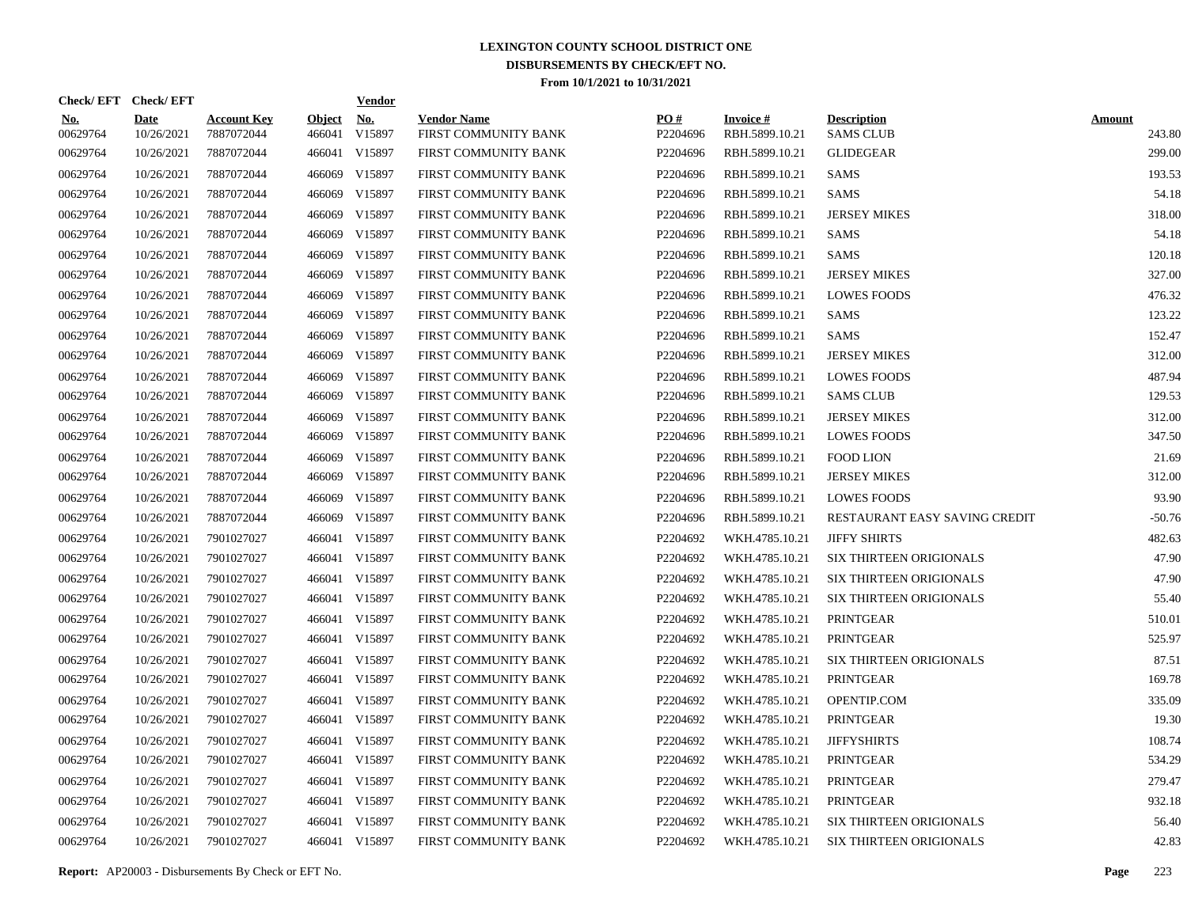| Check/EFT Check/EFT    |                           |                                  |                         | <b>Vendor</b>        |                                            |                 |                                   |                                        |                         |
|------------------------|---------------------------|----------------------------------|-------------------------|----------------------|--------------------------------------------|-----------------|-----------------------------------|----------------------------------------|-------------------------|
| <u>No.</u><br>00629764 | <b>Date</b><br>10/26/2021 | <b>Account Key</b><br>7887072044 | <b>Object</b><br>466041 | <u>No.</u><br>V15897 | <b>Vendor Name</b><br>FIRST COMMUNITY BANK | PO#<br>P2204696 | <b>Invoice#</b><br>RBH.5899.10.21 | <b>Description</b><br><b>SAMS CLUB</b> | <b>Amount</b><br>243.80 |
| 00629764               | 10/26/2021                | 7887072044                       |                         | 466041 V15897        | <b>FIRST COMMUNITY BANK</b>                | P2204696        | RBH.5899.10.21                    | <b>GLIDEGEAR</b>                       | 299.00                  |
| 00629764               | 10/26/2021                | 7887072044                       | 466069                  | V15897               | FIRST COMMUNITY BANK                       | P2204696        | RBH.5899.10.21                    | <b>SAMS</b>                            | 193.53                  |
| 00629764               | 10/26/2021                | 7887072044                       | 466069                  | V15897               | FIRST COMMUNITY BANK                       | P2204696        | RBH.5899.10.21                    | <b>SAMS</b>                            | 54.18                   |
| 00629764               | 10/26/2021                | 7887072044                       | 466069                  | V15897               | FIRST COMMUNITY BANK                       | P2204696        | RBH.5899.10.21                    | <b>JERSEY MIKES</b>                    | 318.00                  |
| 00629764               | 10/26/2021                | 7887072044                       | 466069                  | V15897               | FIRST COMMUNITY BANK                       | P2204696        | RBH.5899.10.21                    | SAMS                                   | 54.18                   |
| 00629764               | 10/26/2021                | 7887072044                       | 466069                  | V15897               | FIRST COMMUNITY BANK                       | P2204696        | RBH.5899.10.21                    | SAMS                                   | 120.18                  |
| 00629764               | 10/26/2021                | 7887072044                       | 466069                  | V15897               | FIRST COMMUNITY BANK                       | P2204696        | RBH.5899.10.21                    | <b>JERSEY MIKES</b>                    | 327.00                  |
| 00629764               | 10/26/2021                | 7887072044                       | 466069                  | V15897               | FIRST COMMUNITY BANK                       | P2204696        | RBH.5899.10.21                    | <b>LOWES FOODS</b>                     | 476.32                  |
| 00629764               | 10/26/2021                | 7887072044                       | 466069                  | V15897               | FIRST COMMUNITY BANK                       | P2204696        | RBH.5899.10.21                    | SAMS                                   | 123.22                  |
| 00629764               | 10/26/2021                | 7887072044                       | 466069                  | V15897               | FIRST COMMUNITY BANK                       | P2204696        | RBH.5899.10.21                    | SAMS                                   | 152.47                  |
| 00629764               | 10/26/2021                | 7887072044                       | 466069                  | V15897               | FIRST COMMUNITY BANK                       | P2204696        | RBH.5899.10.21                    | <b>JERSEY MIKES</b>                    | 312.00                  |
| 00629764               | 10/26/2021                | 7887072044                       | 466069                  | V15897               | FIRST COMMUNITY BANK                       | P2204696        | RBH.5899.10.21                    | <b>LOWES FOODS</b>                     | 487.94                  |
| 00629764               | 10/26/2021                | 7887072044                       | 466069                  | V15897               | FIRST COMMUNITY BANK                       | P2204696        | RBH.5899.10.21                    | <b>SAMS CLUB</b>                       | 129.53                  |
| 00629764               | 10/26/2021                | 7887072044                       | 466069                  | V15897               | FIRST COMMUNITY BANK                       | P2204696        | RBH.5899.10.21                    | <b>JERSEY MIKES</b>                    | 312.00                  |
| 00629764               | 10/26/2021                | 7887072044                       |                         | 466069 V15897        | FIRST COMMUNITY BANK                       | P2204696        | RBH.5899.10.21                    | <b>LOWES FOODS</b>                     | 347.50                  |
| 00629764               | 10/26/2021                | 7887072044                       | 466069                  | V15897               | FIRST COMMUNITY BANK                       | P2204696        | RBH.5899.10.21                    | <b>FOOD LION</b>                       | 21.69                   |
| 00629764               | 10/26/2021                | 7887072044                       |                         | 466069 V15897        | FIRST COMMUNITY BANK                       | P2204696        | RBH.5899.10.21                    | <b>JERSEY MIKES</b>                    | 312.00                  |
| 00629764               | 10/26/2021                | 7887072044                       | 466069                  | V15897               | FIRST COMMUNITY BANK                       | P2204696        | RBH.5899.10.21                    | <b>LOWES FOODS</b>                     | 93.90                   |
| 00629764               | 10/26/2021                | 7887072044                       |                         | 466069 V15897        | FIRST COMMUNITY BANK                       | P2204696        | RBH.5899.10.21                    | RESTAURANT EASY SAVING CREDIT          | $-50.76$                |
| 00629764               | 10/26/2021                | 7901027027                       |                         | 466041 V15897        | FIRST COMMUNITY BANK                       | P2204692        | WKH.4785.10.21                    | <b>JIFFY SHIRTS</b>                    | 482.63                  |
| 00629764               | 10/26/2021                | 7901027027                       |                         | 466041 V15897        | FIRST COMMUNITY BANK                       | P2204692        | WKH.4785.10.21                    | <b>SIX THIRTEEN ORIGIONALS</b>         | 47.90                   |
| 00629764               | 10/26/2021                | 7901027027                       |                         | 466041 V15897        | FIRST COMMUNITY BANK                       | P2204692        | WKH.4785.10.21                    | <b>SIX THIRTEEN ORIGIONALS</b>         | 47.90                   |
| 00629764               | 10/26/2021                | 7901027027                       |                         | 466041 V15897        | FIRST COMMUNITY BANK                       | P2204692        | WKH.4785.10.21                    | <b>SIX THIRTEEN ORIGIONALS</b>         | 55.40                   |
| 00629764               | 10/26/2021                | 7901027027                       |                         | 466041 V15897        | FIRST COMMUNITY BANK                       | P2204692        | WKH.4785.10.21                    | <b>PRINTGEAR</b>                       | 510.01                  |
| 00629764               | 10/26/2021                | 7901027027                       |                         | 466041 V15897        | FIRST COMMUNITY BANK                       | P2204692        | WKH.4785.10.21                    | PRINTGEAR                              | 525.97                  |
| 00629764               | 10/26/2021                | 7901027027                       |                         | 466041 V15897        | FIRST COMMUNITY BANK                       | P2204692        | WKH.4785.10.21                    | <b>SIX THIRTEEN ORIGIONALS</b>         | 87.51                   |
| 00629764               | 10/26/2021                | 7901027027                       |                         | 466041 V15897        | FIRST COMMUNITY BANK                       | P2204692        | WKH.4785.10.21                    | PRINTGEAR                              | 169.78                  |
| 00629764               | 10/26/2021                | 7901027027                       |                         | 466041 V15897        | FIRST COMMUNITY BANK                       | P2204692        | WKH.4785.10.21                    | OPENTIP.COM                            | 335.09                  |
| 00629764               | 10/26/2021                | 7901027027                       |                         | 466041 V15897        | FIRST COMMUNITY BANK                       | P2204692        | WKH.4785.10.21                    | PRINTGEAR                              | 19.30                   |
| 00629764               | 10/26/2021                | 7901027027                       |                         | 466041 V15897        | FIRST COMMUNITY BANK                       | P2204692        | WKH.4785.10.21                    | <b>JIFFYSHIRTS</b>                     | 108.74                  |
| 00629764               | 10/26/2021                | 7901027027                       |                         | 466041 V15897        | FIRST COMMUNITY BANK                       | P2204692        | WKH.4785.10.21                    | <b>PRINTGEAR</b>                       | 534.29                  |
| 00629764               | 10/26/2021                | 7901027027                       |                         | 466041 V15897        | FIRST COMMUNITY BANK                       | P2204692        | WKH.4785.10.21                    | <b>PRINTGEAR</b>                       | 279.47                  |
| 00629764               | 10/26/2021                | 7901027027                       |                         | 466041 V15897        | FIRST COMMUNITY BANK                       | P2204692        | WKH.4785.10.21                    | PRINTGEAR                              | 932.18                  |
| 00629764               | 10/26/2021                | 7901027027                       |                         | 466041 V15897        | FIRST COMMUNITY BANK                       | P2204692        | WKH.4785.10.21                    | <b>SIX THIRTEEN ORIGIONALS</b>         | 56.40                   |
| 00629764               | 10/26/2021                | 7901027027                       |                         | 466041 V15897        | FIRST COMMUNITY BANK                       | P2204692        | WKH.4785.10.21                    | <b>SIX THIRTEEN ORIGIONALS</b>         | 42.83                   |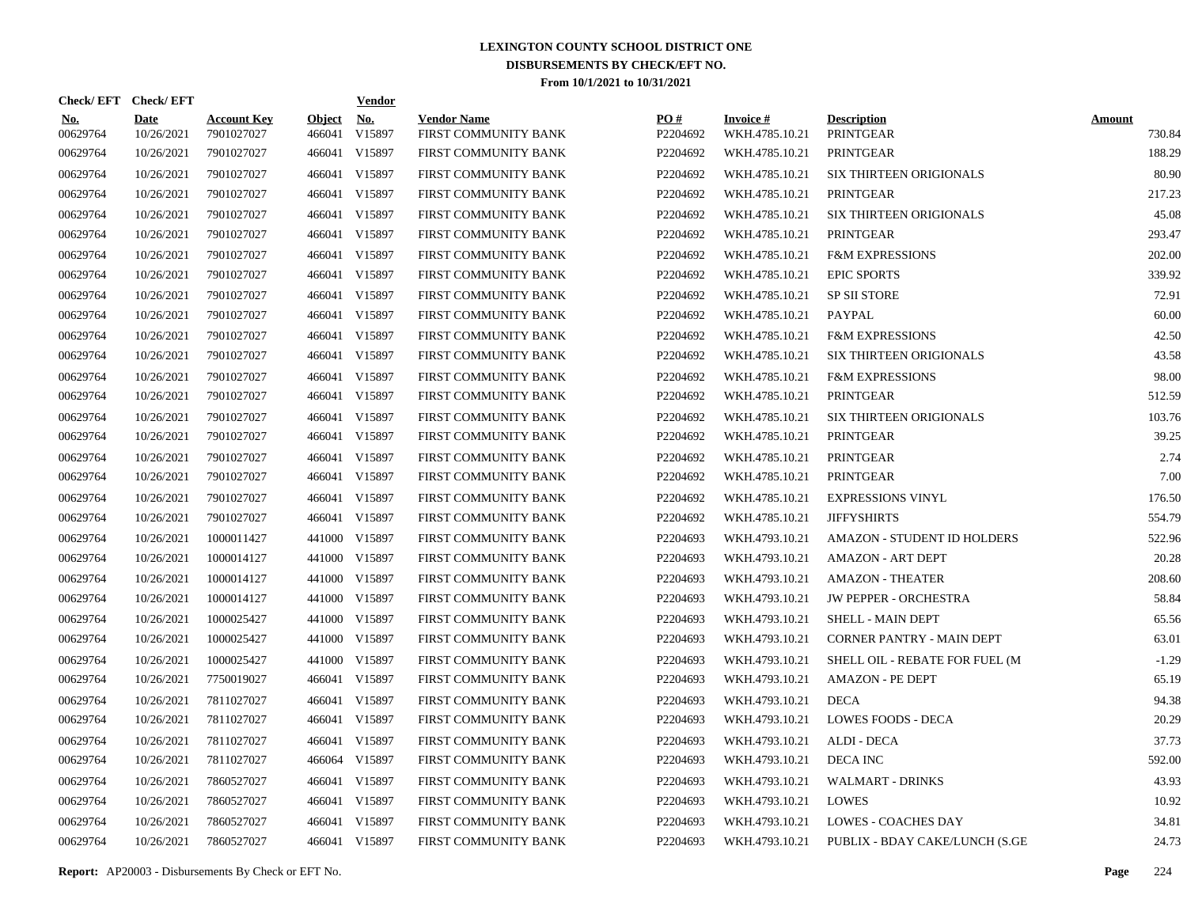| Check/EFT Check/EFT    |                           |                                  |                         | <b>Vendor</b>        |                                            |                 |                                   |                                        |                         |
|------------------------|---------------------------|----------------------------------|-------------------------|----------------------|--------------------------------------------|-----------------|-----------------------------------|----------------------------------------|-------------------------|
| <b>No.</b><br>00629764 | <b>Date</b><br>10/26/2021 | <b>Account Key</b><br>7901027027 | <b>Object</b><br>466041 | <u>No.</u><br>V15897 | <b>Vendor Name</b><br>FIRST COMMUNITY BANK | PO#<br>P2204692 | <b>Invoice#</b><br>WKH.4785.10.21 | <b>Description</b><br><b>PRINTGEAR</b> | <b>Amount</b><br>730.84 |
| 00629764               | 10/26/2021                | 7901027027                       |                         | 466041 V15897        | FIRST COMMUNITY BANK                       | P2204692        | WKH.4785.10.21                    | PRINTGEAR                              | 188.29                  |
| 00629764               | 10/26/2021                | 7901027027                       |                         | 466041 V15897        | FIRST COMMUNITY BANK                       | P2204692        | WKH.4785.10.21                    | <b>SIX THIRTEEN ORIGIONALS</b>         | 80.90                   |
| 00629764               | 10/26/2021                | 7901027027                       |                         | 466041 V15897        | FIRST COMMUNITY BANK                       | P2204692        | WKH.4785.10.21                    | PRINTGEAR                              | 217.23                  |
| 00629764               | 10/26/2021                | 7901027027                       |                         | 466041 V15897        | FIRST COMMUNITY BANK                       | P2204692        | WKH.4785.10.21                    | <b>SIX THIRTEEN ORIGIONALS</b>         | 45.08                   |
| 00629764               | 10/26/2021                | 7901027027                       |                         | 466041 V15897        | FIRST COMMUNITY BANK                       | P2204692        | WKH.4785.10.21                    | <b>PRINTGEAR</b>                       | 293.47                  |
| 00629764               | 10/26/2021                | 7901027027                       |                         | 466041 V15897        | FIRST COMMUNITY BANK                       | P2204692        | WKH.4785.10.21                    | <b>F&amp;M EXPRESSIONS</b>             | 202.00                  |
| 00629764               | 10/26/2021                | 7901027027                       |                         | 466041 V15897        | FIRST COMMUNITY BANK                       | P2204692        | WKH.4785.10.21                    | <b>EPIC SPORTS</b>                     | 339.92                  |
| 00629764               | 10/26/2021                | 7901027027                       |                         | 466041 V15897        | FIRST COMMUNITY BANK                       | P2204692        | WKH.4785.10.21                    | <b>SP SII STORE</b>                    | 72.91                   |
| 00629764               | 10/26/2021                | 7901027027                       |                         | 466041 V15897        | FIRST COMMUNITY BANK                       | P2204692        | WKH.4785.10.21                    | PAYPAL                                 | 60.00                   |
| 00629764               | 10/26/2021                | 7901027027                       |                         | 466041 V15897        | FIRST COMMUNITY BANK                       | P2204692        | WKH.4785.10.21                    | <b>F&amp;M EXPRESSIONS</b>             | 42.50                   |
| 00629764               | 10/26/2021                | 7901027027                       |                         | 466041 V15897        | FIRST COMMUNITY BANK                       | P2204692        | WKH.4785.10.21                    | <b>SIX THIRTEEN ORIGIONALS</b>         | 43.58                   |
| 00629764               | 10/26/2021                | 7901027027                       |                         | 466041 V15897        | FIRST COMMUNITY BANK                       | P2204692        | WKH.4785.10.21                    | <b>F&amp;M EXPRESSIONS</b>             | 98.00                   |
| 00629764               | 10/26/2021                | 7901027027                       |                         | 466041 V15897        | FIRST COMMUNITY BANK                       | P2204692        | WKH.4785.10.21                    | PRINTGEAR                              | 512.59                  |
| 00629764               | 10/26/2021                | 7901027027                       |                         | 466041 V15897        | FIRST COMMUNITY BANK                       | P2204692        | WKH.4785.10.21                    | <b>SIX THIRTEEN ORIGIONALS</b>         | 103.76                  |
| 00629764               | 10/26/2021                | 7901027027                       |                         | 466041 V15897        | FIRST COMMUNITY BANK                       | P2204692        | WKH.4785.10.21                    | <b>PRINTGEAR</b>                       | 39.25                   |
| 00629764               | 10/26/2021                | 7901027027                       |                         | 466041 V15897        | FIRST COMMUNITY BANK                       | P2204692        | WKH.4785.10.21                    | <b>PRINTGEAR</b>                       | 2.74                    |
| 00629764               | 10/26/2021                | 7901027027                       |                         | 466041 V15897        | FIRST COMMUNITY BANK                       | P2204692        | WKH.4785.10.21                    | PRINTGEAR                              | 7.00                    |
| 00629764               | 10/26/2021                | 7901027027                       |                         | 466041 V15897        | FIRST COMMUNITY BANK                       | P2204692        | WKH.4785.10.21                    | <b>EXPRESSIONS VINYL</b>               | 176.50                  |
| 00629764               | 10/26/2021                | 7901027027                       |                         | 466041 V15897        | FIRST COMMUNITY BANK                       | P2204692        | WKH.4785.10.21                    | <b>JIFFYSHIRTS</b>                     | 554.79                  |
| 00629764               | 10/26/2021                | 1000011427                       |                         | 441000 V15897        | FIRST COMMUNITY BANK                       | P2204693        | WKH.4793.10.21                    | <b>AMAZON - STUDENT ID HOLDERS</b>     | 522.96                  |
| 00629764               | 10/26/2021                | 1000014127                       |                         | 441000 V15897        | FIRST COMMUNITY BANK                       | P2204693        | WKH.4793.10.21                    | <b>AMAZON - ART DEPT</b>               | 20.28                   |
| 00629764               | 10/26/2021                | 1000014127                       |                         | 441000 V15897        | FIRST COMMUNITY BANK                       | P2204693        | WKH.4793.10.21                    | <b>AMAZON - THEATER</b>                | 208.60                  |
| 00629764               | 10/26/2021                | 1000014127                       |                         | 441000 V15897        | FIRST COMMUNITY BANK                       | P2204693        | WKH.4793.10.21                    | <b>JW PEPPER - ORCHESTRA</b>           | 58.84                   |
| 00629764               | 10/26/2021                | 1000025427                       |                         | 441000 V15897        | FIRST COMMUNITY BANK                       | P2204693        | WKH.4793.10.21                    | <b>SHELL - MAIN DEPT</b>               | 65.56                   |
| 00629764               | 10/26/2021                | 1000025427                       |                         | 441000 V15897        | FIRST COMMUNITY BANK                       | P2204693        | WKH.4793.10.21                    | <b>CORNER PANTRY - MAIN DEPT</b>       | 63.01                   |
| 00629764               | 10/26/2021                | 1000025427                       |                         | 441000 V15897        | FIRST COMMUNITY BANK                       | P2204693        | WKH.4793.10.21                    | SHELL OIL - REBATE FOR FUEL (M         | $-1.29$                 |
| 00629764               | 10/26/2021                | 7750019027                       |                         | 466041 V15897        | FIRST COMMUNITY BANK                       | P2204693        | WKH.4793.10.21                    | <b>AMAZON - PE DEPT</b>                | 65.19                   |
| 00629764               | 10/26/2021                | 7811027027                       |                         | 466041 V15897        | FIRST COMMUNITY BANK                       | P2204693        | WKH.4793.10.21                    | <b>DECA</b>                            | 94.38                   |
| 00629764               | 10/26/2021                | 7811027027                       |                         | 466041 V15897        | FIRST COMMUNITY BANK                       | P2204693        | WKH.4793.10.21                    | <b>LOWES FOODS - DECA</b>              | 20.29                   |
| 00629764               | 10/26/2021                | 7811027027                       |                         | 466041 V15897        | FIRST COMMUNITY BANK                       | P2204693        | WKH.4793.10.21                    | ALDI - DECA                            | 37.73                   |
| 00629764               | 10/26/2021                | 7811027027                       |                         | 466064 V15897        | FIRST COMMUNITY BANK                       | P2204693        | WKH.4793.10.21                    | <b>DECA INC</b>                        | 592.00                  |
| 00629764               | 10/26/2021                | 7860527027                       |                         | 466041 V15897        | FIRST COMMUNITY BANK                       | P2204693        | WKH.4793.10.21                    | <b>WALMART - DRINKS</b>                | 43.93                   |
| 00629764               | 10/26/2021                | 7860527027                       |                         | 466041 V15897        | FIRST COMMUNITY BANK                       | P2204693        | WKH.4793.10.21                    | <b>LOWES</b>                           | 10.92                   |
| 00629764               | 10/26/2021                | 7860527027                       |                         | 466041 V15897        | FIRST COMMUNITY BANK                       | P2204693        | WKH.4793.10.21                    | <b>LOWES - COACHES DAY</b>             | 34.81                   |
| 00629764               | 10/26/2021                | 7860527027                       |                         | 466041 V15897        | FIRST COMMUNITY BANK                       | P2204693        | WKH.4793.10.21                    | PUBLIX - BDAY CAKE/LUNCH (S.GE         | 24.73                   |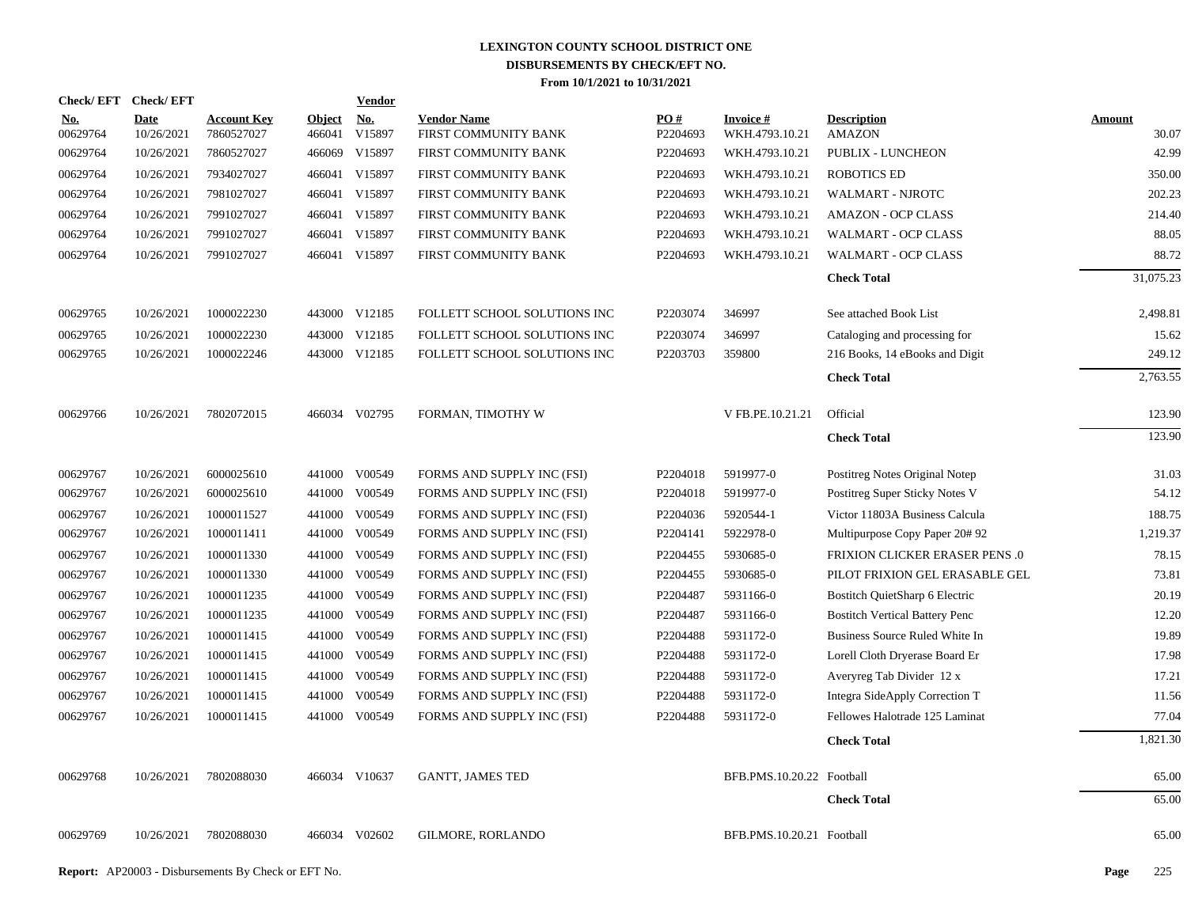| Check/EFT Check/EFT |                           |                                  |                         | <b>Vendor</b> |                                            |                        |                             |                                       |                 |
|---------------------|---------------------------|----------------------------------|-------------------------|---------------|--------------------------------------------|------------------------|-----------------------------|---------------------------------------|-----------------|
| No.<br>00629764     | <b>Date</b><br>10/26/2021 | <b>Account Key</b><br>7860527027 | <b>Object</b><br>466041 | No.<br>V15897 | <b>Vendor Name</b><br>FIRST COMMUNITY BANK | <b>PO#</b><br>P2204693 | Invoice #<br>WKH.4793.10.21 | <b>Description</b><br><b>AMAZON</b>   | Amount<br>30.07 |
| 00629764            | 10/26/2021                | 7860527027                       | 466069                  | V15897        | FIRST COMMUNITY BANK                       | P2204693               | WKH.4793.10.21              | PUBLIX - LUNCHEON                     | 42.99           |
| 00629764            | 10/26/2021                | 7934027027                       |                         | 466041 V15897 | FIRST COMMUNITY BANK                       | P2204693               | WKH.4793.10.21              | <b>ROBOTICS ED</b>                    | 350.00          |
| 00629764            | 10/26/2021                | 7981027027                       |                         | 466041 V15897 | FIRST COMMUNITY BANK                       | P2204693               | WKH.4793.10.21              | WALMART - NJROTC                      | 202.23          |
| 00629764            | 10/26/2021                | 7991027027                       |                         | 466041 V15897 | FIRST COMMUNITY BANK                       | P2204693               | WKH.4793.10.21              | <b>AMAZON - OCP CLASS</b>             | 214.40          |
| 00629764            | 10/26/2021                | 7991027027                       |                         | 466041 V15897 | FIRST COMMUNITY BANK                       | P2204693               | WKH.4793.10.21              | <b>WALMART - OCP CLASS</b>            | 88.05           |
| 00629764            | 10/26/2021                | 7991027027                       |                         | 466041 V15897 | FIRST COMMUNITY BANK                       | P2204693               | WKH.4793.10.21              | <b>WALMART - OCP CLASS</b>            | 88.72           |
|                     |                           |                                  |                         |               |                                            |                        |                             | <b>Check Total</b>                    | 31,075.23       |
| 00629765            | 10/26/2021                | 1000022230                       |                         | 443000 V12185 | FOLLETT SCHOOL SOLUTIONS INC               | P2203074               | 346997                      | See attached Book List                | 2,498.81        |
| 00629765            | 10/26/2021                | 1000022230                       | 443000                  | V12185        | FOLLETT SCHOOL SOLUTIONS INC               | P2203074               | 346997                      | Cataloging and processing for         | 15.62           |
| 00629765            | 10/26/2021                | 1000022246                       |                         | 443000 V12185 | FOLLETT SCHOOL SOLUTIONS INC               | P2203703               | 359800                      | 216 Books, 14 eBooks and Digit        | 249.12          |
|                     |                           |                                  |                         |               |                                            |                        |                             | <b>Check Total</b>                    | 2,763.55        |
| 00629766            | 10/26/2021                | 7802072015                       |                         | 466034 V02795 | FORMAN, TIMOTHY W                          |                        | V FB.PE.10.21.21            | Official                              | 123.90          |
|                     |                           |                                  |                         |               |                                            |                        |                             | <b>Check Total</b>                    | 123.90          |
| 00629767            | 10/26/2021                | 6000025610                       |                         | 441000 V00549 | FORMS AND SUPPLY INC (FSI)                 | P2204018               | 5919977-0                   | Postitreg Notes Original Notep        | 31.03           |
| 00629767            | 10/26/2021                | 6000025610                       | 441000                  | V00549        | FORMS AND SUPPLY INC (FSI)                 | P2204018               | 5919977-0                   | Postitreg Super Sticky Notes V        | 54.12           |
| 00629767            | 10/26/2021                | 1000011527                       |                         | 441000 V00549 | FORMS AND SUPPLY INC (FSI)                 | P2204036               | 5920544-1                   | Victor 11803A Business Calcula        | 188.75          |
| 00629767            | 10/26/2021                | 1000011411                       |                         | 441000 V00549 | FORMS AND SUPPLY INC (FSI)                 | P2204141               | 5922978-0                   | Multipurpose Copy Paper 20#92         | 1,219.37        |
| 00629767            | 10/26/2021                | 1000011330                       | 441000                  | V00549        | FORMS AND SUPPLY INC (FSI)                 | P2204455               | 5930685-0                   | <b>FRIXION CLICKER ERASER PENS .0</b> | 78.15           |
| 00629767            | 10/26/2021                | 1000011330                       | 441000                  | V00549        | FORMS AND SUPPLY INC (FSI)                 | P2204455               | 5930685-0                   | PILOT FRIXION GEL ERASABLE GEL        | 73.81           |
| 00629767            | 10/26/2021                | 1000011235                       |                         | 441000 V00549 | FORMS AND SUPPLY INC (FSI)                 | P2204487               | 5931166-0                   | Bostitch QuietSharp 6 Electric        | 20.19           |
| 00629767            | 10/26/2021                | 1000011235                       |                         | 441000 V00549 | FORMS AND SUPPLY INC (FSI)                 | P2204487               | 5931166-0                   | <b>Bostitch Vertical Battery Penc</b> | 12.20           |
| 00629767            | 10/26/2021                | 1000011415                       |                         | 441000 V00549 | FORMS AND SUPPLY INC (FSI)                 | P2204488               | 5931172-0                   | Business Source Ruled White In        | 19.89           |
| 00629767            | 10/26/2021                | 1000011415                       |                         | 441000 V00549 | FORMS AND SUPPLY INC (FSI)                 | P2204488               | 5931172-0                   | Lorell Cloth Dryerase Board Er        | 17.98           |
| 00629767            | 10/26/2021                | 1000011415                       | 441000                  | V00549        | FORMS AND SUPPLY INC (FSI)                 | P2204488               | 5931172-0                   | Averyreg Tab Divider 12 x             | 17.21           |
| 00629767            | 10/26/2021                | 1000011415                       |                         | 441000 V00549 | FORMS AND SUPPLY INC (FSI)                 | P2204488               | 5931172-0                   | Integra SideApply Correction T        | 11.56           |
| 00629767            | 10/26/2021                | 1000011415                       |                         | 441000 V00549 | FORMS AND SUPPLY INC (FSI)                 | P2204488               | 5931172-0                   | Fellowes Halotrade 125 Laminat        | 77.04           |
|                     |                           |                                  |                         |               |                                            |                        |                             | <b>Check Total</b>                    | 1,821.30        |
| 00629768            | 10/26/2021                | 7802088030                       |                         | 466034 V10637 | <b>GANTT, JAMES TED</b>                    |                        | BFB.PMS.10.20.22 Football   |                                       | 65.00           |
|                     |                           |                                  |                         |               |                                            |                        |                             | <b>Check Total</b>                    | 65.00           |
| 00629769            | 10/26/2021                | 7802088030                       |                         | 466034 V02602 | <b>GILMORE, RORLANDO</b>                   |                        | BFB.PMS.10.20.21 Football   |                                       | 65.00           |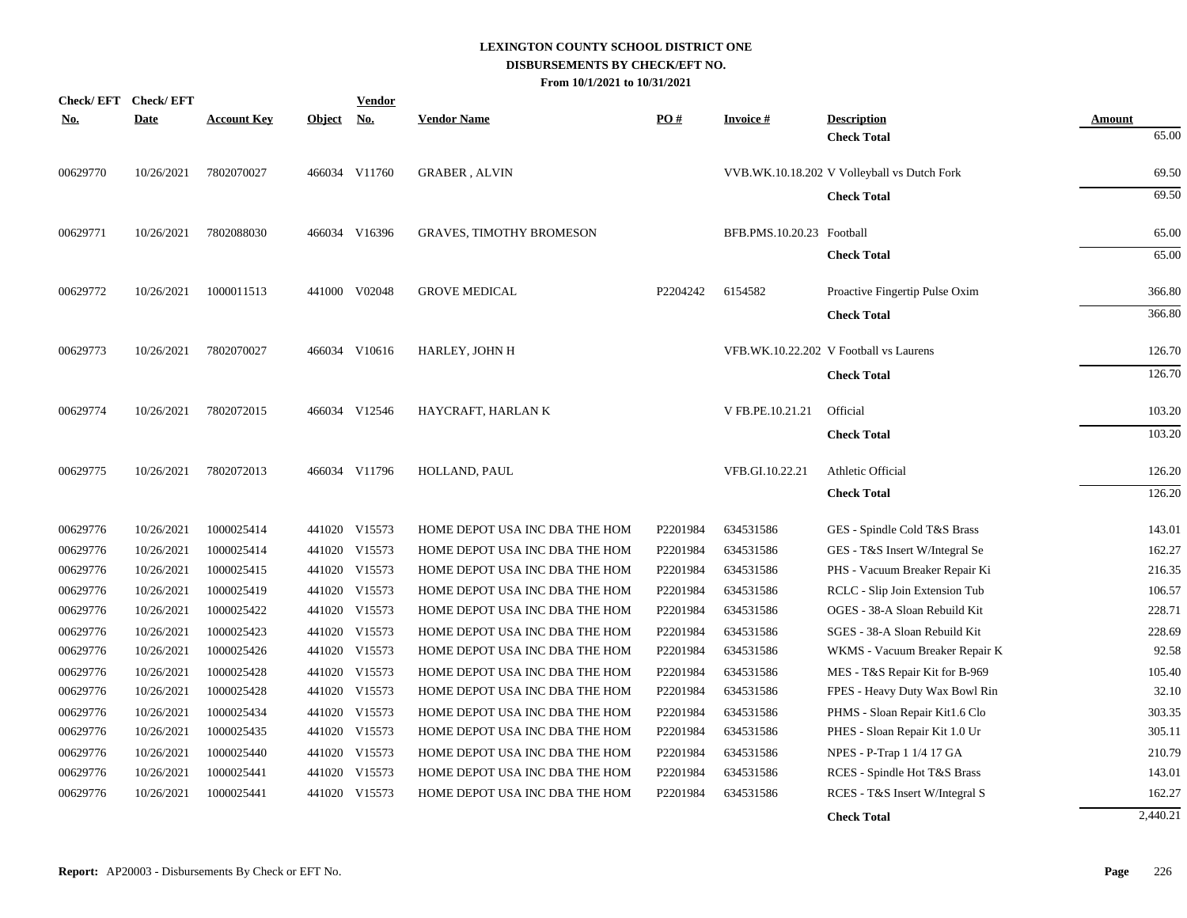| <b>Check/EFT</b> | <b>Check/EFT</b> |                    |               | <u>Vendor</u> |                                 |          |                           |                                             |                 |
|------------------|------------------|--------------------|---------------|---------------|---------------------------------|----------|---------------------------|---------------------------------------------|-----------------|
| <u>No.</u>       | <b>Date</b>      | <u>Account Key</u> | <b>Object</b> | <u>No.</u>    | <b>Vendor Name</b>              | PO#      | <b>Invoice#</b>           | <b>Description</b>                          | Amount<br>65.00 |
|                  |                  |                    |               |               |                                 |          |                           | <b>Check Total</b>                          |                 |
| 00629770         | 10/26/2021       | 7802070027         |               | 466034 V11760 | <b>GRABER, ALVIN</b>            |          |                           | VVB.WK.10.18.202 V Volleyball vs Dutch Fork | 69.50           |
|                  |                  |                    |               |               |                                 |          |                           | <b>Check Total</b>                          | 69.50           |
| 00629771         | 10/26/2021       | 7802088030         |               | 466034 V16396 | <b>GRAVES, TIMOTHY BROMESON</b> |          | BFB.PMS.10.20.23 Football |                                             | 65.00           |
|                  |                  |                    |               |               |                                 |          |                           | <b>Check Total</b>                          | 65.00           |
| 00629772         | 10/26/2021       | 1000011513         |               | 441000 V02048 | <b>GROVE MEDICAL</b>            | P2204242 | 6154582                   | Proactive Fingertip Pulse Oxim              | 366.80          |
|                  |                  |                    |               |               |                                 |          |                           | <b>Check Total</b>                          | 366.80          |
| 00629773         | 10/26/2021       | 7802070027         |               | 466034 V10616 | HARLEY, JOHN H                  |          |                           | VFB.WK.10.22.202 V Football vs Laurens      | 126.70          |
|                  |                  |                    |               |               |                                 |          |                           | <b>Check Total</b>                          | 126.70          |
| 00629774         | 10/26/2021       | 7802072015         |               | 466034 V12546 | HAYCRAFT, HARLAN K              |          | V FB.PE.10.21.21          | Official                                    | 103.20          |
|                  |                  |                    |               |               |                                 |          |                           | <b>Check Total</b>                          | 103.20          |
| 00629775         | 10/26/2021       | 7802072013         |               | 466034 V11796 | HOLLAND, PAUL                   |          | VFB.GI.10.22.21           | Athletic Official                           | 126.20          |
|                  |                  |                    |               |               |                                 |          |                           | <b>Check Total</b>                          | 126.20          |
| 00629776         | 10/26/2021       | 1000025414         |               | 441020 V15573 | HOME DEPOT USA INC DBA THE HOM  | P2201984 | 634531586                 | GES - Spindle Cold T&S Brass                | 143.01          |
| 00629776         | 10/26/2021       | 1000025414         |               | 441020 V15573 | HOME DEPOT USA INC DBA THE HOM  | P2201984 | 634531586                 | GES - T&S Insert W/Integral Se              | 162.27          |
| 00629776         | 10/26/2021       | 1000025415         |               | 441020 V15573 | HOME DEPOT USA INC DBA THE HOM  | P2201984 | 634531586                 | PHS - Vacuum Breaker Repair Ki              | 216.35          |
| 00629776         | 10/26/2021       | 1000025419         |               | 441020 V15573 | HOME DEPOT USA INC DBA THE HOM  | P2201984 | 634531586                 | RCLC - Slip Join Extension Tub              | 106.57          |
| 00629776         | 10/26/2021       | 1000025422         |               | 441020 V15573 | HOME DEPOT USA INC DBA THE HOM  | P2201984 | 634531586                 | OGES - 38-A Sloan Rebuild Kit               | 228.71          |
| 00629776         | 10/26/2021       | 1000025423         |               | 441020 V15573 | HOME DEPOT USA INC DBA THE HOM  | P2201984 | 634531586                 | SGES - 38-A Sloan Rebuild Kit               | 228.69          |
| 00629776         | 10/26/2021       | 1000025426         |               | 441020 V15573 | HOME DEPOT USA INC DBA THE HOM  | P2201984 | 634531586                 | WKMS - Vacuum Breaker Repair K              | 92.58           |
| 00629776         | 10/26/2021       | 1000025428         |               | 441020 V15573 | HOME DEPOT USA INC DBA THE HOM  | P2201984 | 634531586                 | MES - T&S Repair Kit for B-969              | 105.40          |
| 00629776         | 10/26/2021       | 1000025428         |               | 441020 V15573 | HOME DEPOT USA INC DBA THE HOM  | P2201984 | 634531586                 | FPES - Heavy Duty Wax Bowl Rin              | 32.10           |
| 00629776         | 10/26/2021       | 1000025434         |               | 441020 V15573 | HOME DEPOT USA INC DBA THE HOM  | P2201984 | 634531586                 | PHMS - Sloan Repair Kit1.6 Clo              | 303.35          |
| 00629776         | 10/26/2021       | 1000025435         |               | 441020 V15573 | HOME DEPOT USA INC DBA THE HOM  | P2201984 | 634531586                 | PHES - Sloan Repair Kit 1.0 Ur              | 305.11          |
| 00629776         | 10/26/2021       | 1000025440         |               | 441020 V15573 | HOME DEPOT USA INC DBA THE HOM  | P2201984 | 634531586                 | NPES - P-Trap 1 1/4 17 GA                   | 210.79          |
| 00629776         | 10/26/2021       | 1000025441         |               | 441020 V15573 | HOME DEPOT USA INC DBA THE HOM  | P2201984 | 634531586                 | RCES - Spindle Hot T&S Brass                | 143.01          |
| 00629776         | 10/26/2021       | 1000025441         |               | 441020 V15573 | HOME DEPOT USA INC DBA THE HOM  | P2201984 | 634531586                 | RCES - T&S Insert W/Integral S              | 162.27          |
|                  |                  |                    |               |               |                                 |          |                           | <b>Check Total</b>                          | 2,440.21        |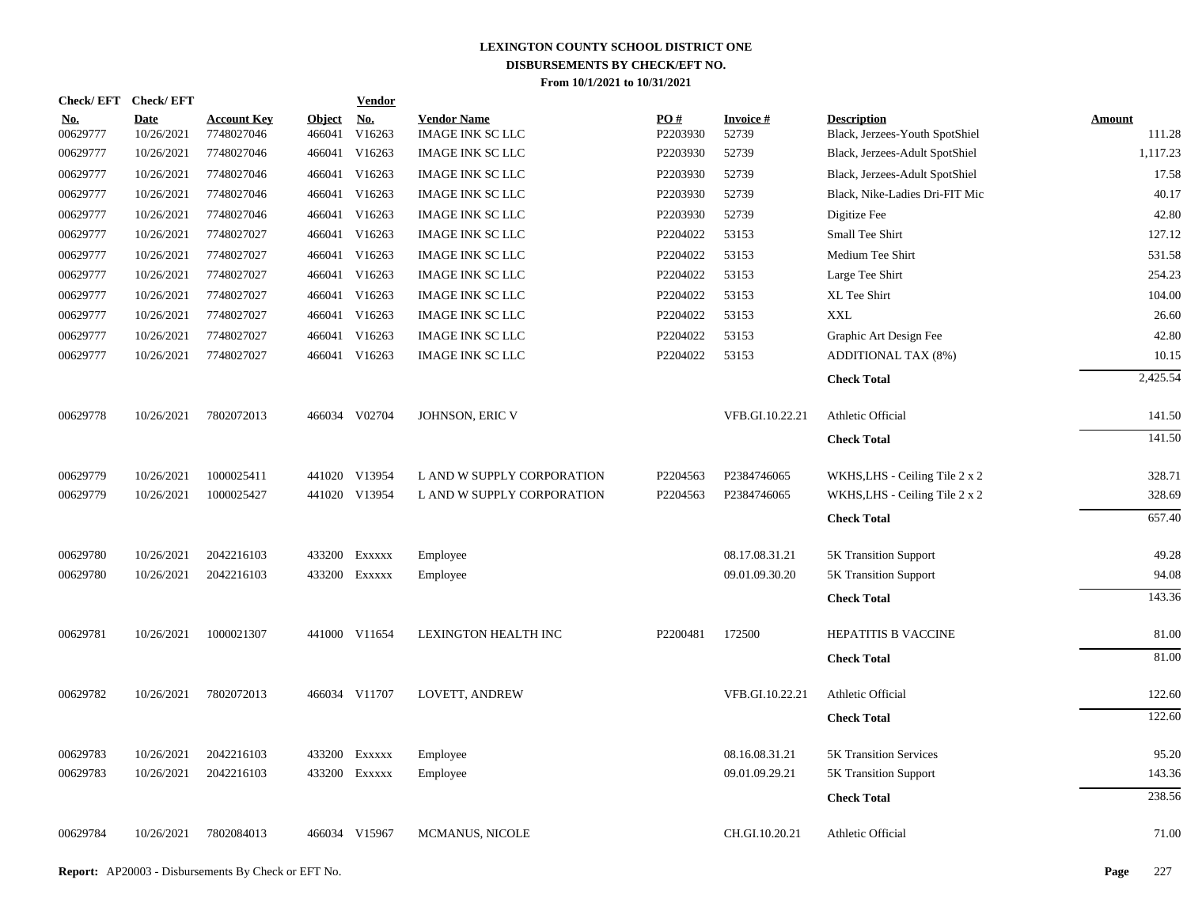|                   | Check/EFT Check/EFT       |                                  |                         | <b>Vendor</b>        |                                               |                 |                           |                                                      |                         |
|-------------------|---------------------------|----------------------------------|-------------------------|----------------------|-----------------------------------------------|-----------------|---------------------------|------------------------------------------------------|-------------------------|
| $No.$<br>00629777 | <b>Date</b><br>10/26/2021 | <b>Account Key</b><br>7748027046 | <b>Object</b><br>466041 | <u>No.</u><br>V16263 | <b>Vendor Name</b><br><b>IMAGE INK SC LLC</b> | PO#<br>P2203930 | <b>Invoice #</b><br>52739 | <b>Description</b><br>Black, Jerzees-Youth SpotShiel | <b>Amount</b><br>111.28 |
| 00629777          | 10/26/2021                | 7748027046                       | 466041                  | V16263               | <b>IMAGE INK SC LLC</b>                       | P2203930        | 52739                     | Black, Jerzees-Adult SpotShiel                       | 1,117.23                |
| 00629777          | 10/26/2021                | 7748027046                       | 466041                  | V16263               | <b>IMAGE INK SC LLC</b>                       | P2203930        | 52739                     | Black, Jerzees-Adult SpotShiel                       | 17.58                   |
| 00629777          | 10/26/2021                | 7748027046                       | 466041                  | V16263               | <b>IMAGE INK SC LLC</b>                       | P2203930        | 52739                     | Black, Nike-Ladies Dri-FIT Mic                       | 40.17                   |
| 00629777          | 10/26/2021                | 7748027046                       | 466041                  | V16263               | <b>IMAGE INK SC LLC</b>                       | P2203930        | 52739                     | Digitize Fee                                         | 42.80                   |
| 00629777          | 10/26/2021                | 7748027027                       | 466041                  | V16263               | <b>IMAGE INK SC LLC</b>                       | P2204022        | 53153                     | Small Tee Shirt                                      | 127.12                  |
| 00629777          | 10/26/2021                | 7748027027                       | 466041                  | V16263               | <b>IMAGE INK SC LLC</b>                       | P2204022        | 53153                     | Medium Tee Shirt                                     | 531.58                  |
| 00629777          | 10/26/2021                | 7748027027                       | 466041                  | V16263               | <b>IMAGE INK SC LLC</b>                       | P2204022        | 53153                     | Large Tee Shirt                                      | 254.23                  |
| 00629777          | 10/26/2021                | 7748027027                       | 466041                  | V16263               | <b>IMAGE INK SC LLC</b>                       | P2204022        | 53153                     | XL Tee Shirt                                         | 104.00                  |
| 00629777          | 10/26/2021                | 7748027027                       | 466041                  | V16263               | <b>IMAGE INK SC LLC</b>                       | P2204022        | 53153                     | <b>XXL</b>                                           | 26.60                   |
| 00629777          | 10/26/2021                | 7748027027                       | 466041                  | V16263               | <b>IMAGE INK SC LLC</b>                       | P2204022        | 53153                     | Graphic Art Design Fee                               | 42.80                   |
| 00629777          | 10/26/2021                | 7748027027                       |                         | 466041 V16263        | <b>IMAGE INK SC LLC</b>                       | P2204022        | 53153                     | ADDITIONAL TAX (8%)                                  | 10.15                   |
|                   |                           |                                  |                         |                      |                                               |                 |                           | <b>Check Total</b>                                   | 2,425.54                |
| 00629778          | 10/26/2021                | 7802072013                       |                         | 466034 V02704        | JOHNSON, ERIC V                               |                 | VFB.GI.10.22.21           | <b>Athletic Official</b>                             | 141.50                  |
|                   |                           |                                  |                         |                      |                                               |                 |                           | <b>Check Total</b>                                   | 141.50                  |
| 00629779          | 10/26/2021                | 1000025411                       |                         | 441020 V13954        | L AND W SUPPLY CORPORATION                    | P2204563        | P2384746065               | WKHS, LHS - Ceiling Tile 2 x 2                       | 328.71                  |
| 00629779          | 10/26/2021                | 1000025427                       |                         | 441020 V13954        | L AND W SUPPLY CORPORATION                    | P2204563        | P2384746065               | WKHS, LHS - Ceiling Tile 2 x 2                       | 328.69                  |
|                   |                           |                                  |                         |                      |                                               |                 |                           | <b>Check Total</b>                                   | 657.40                  |
| 00629780          | 10/26/2021                | 2042216103                       |                         | 433200 Exxxxx        | Employee                                      |                 | 08.17.08.31.21            | 5K Transition Support                                | 49.28                   |
| 00629780          | 10/26/2021                | 2042216103                       |                         | 433200 Exxxxx        | Employee                                      |                 | 09.01.09.30.20            | <b>5K Transition Support</b>                         | 94.08                   |
|                   |                           |                                  |                         |                      |                                               |                 |                           | <b>Check Total</b>                                   | 143.36                  |
| 00629781          | 10/26/2021                | 1000021307                       |                         | 441000 V11654        | LEXINGTON HEALTH INC                          | P2200481        | 172500                    | HEPATITIS B VACCINE                                  | 81.00                   |
|                   |                           |                                  |                         |                      |                                               |                 |                           | <b>Check Total</b>                                   | 81.00                   |
| 00629782          | 10/26/2021                | 7802072013                       |                         | 466034 V11707        | <b>LOVETT, ANDREW</b>                         |                 | VFB.GI.10.22.21           | Athletic Official                                    | 122.60                  |
|                   |                           |                                  |                         |                      |                                               |                 |                           | <b>Check Total</b>                                   | 122.60                  |
| 00629783          | 10/26/2021                | 2042216103                       |                         | 433200 Exxxxx        | Employee                                      |                 | 08.16.08.31.21            | <b>5K Transition Services</b>                        | 95.20                   |
| 00629783          | 10/26/2021                | 2042216103                       |                         | 433200 Exxxxx        | Employee                                      |                 | 09.01.09.29.21            | <b>5K Transition Support</b>                         | 143.36                  |
|                   |                           |                                  |                         |                      |                                               |                 |                           | <b>Check Total</b>                                   | 238.56                  |
| 00629784          | 10/26/2021                | 7802084013                       |                         | 466034 V15967        | MCMANUS, NICOLE                               |                 | CH.GI.10.20.21            | Athletic Official                                    | 71.00                   |
|                   |                           |                                  |                         |                      |                                               |                 |                           |                                                      |                         |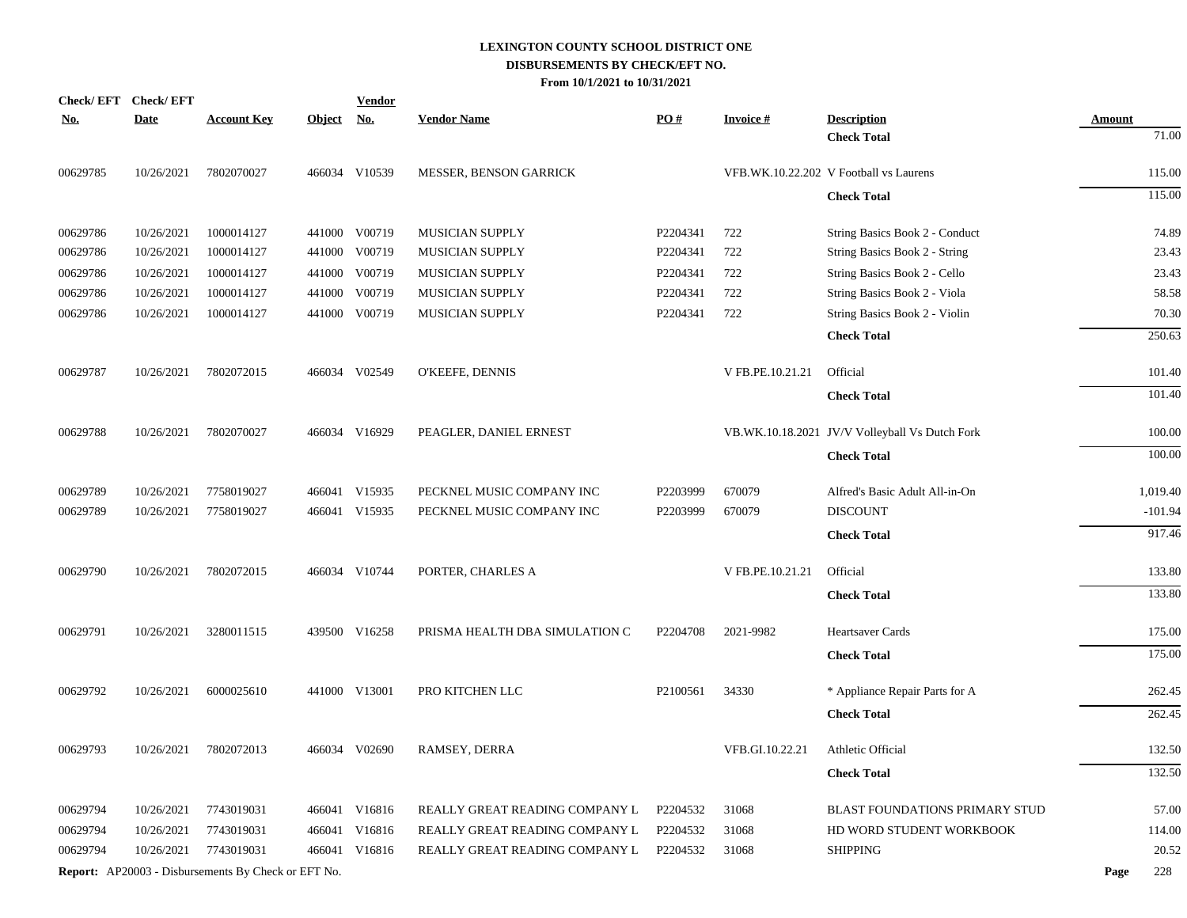| Check/EFT Check/EFT |             |                                                            |            | <b>Vendor</b> |                                |          |                  |                                                |               |           |
|---------------------|-------------|------------------------------------------------------------|------------|---------------|--------------------------------|----------|------------------|------------------------------------------------|---------------|-----------|
| <u>No.</u>          | <b>Date</b> | <b>Account Key</b>                                         | Object No. |               | <b>Vendor Name</b>             | PO#      | <b>Invoice#</b>  | <b>Description</b>                             | <b>Amount</b> |           |
|                     |             |                                                            |            |               |                                |          |                  | <b>Check Total</b>                             |               | 71.00     |
| 00629785            | 10/26/2021  | 7802070027                                                 |            | 466034 V10539 | MESSER, BENSON GARRICK         |          |                  | VFB.WK.10.22.202 V Football vs Laurens         |               | 115.00    |
|                     |             |                                                            |            |               |                                |          |                  | <b>Check Total</b>                             |               | 115.00    |
| 00629786            | 10/26/2021  | 1000014127                                                 |            | 441000 V00719 | MUSICIAN SUPPLY                | P2204341 | 722              | String Basics Book 2 - Conduct                 |               | 74.89     |
| 00629786            | 10/26/2021  | 1000014127                                                 |            | 441000 V00719 | <b>MUSICIAN SUPPLY</b>         | P2204341 | 722              | String Basics Book 2 - String                  |               | 23.43     |
| 00629786            | 10/26/2021  | 1000014127                                                 |            | 441000 V00719 | <b>MUSICIAN SUPPLY</b>         | P2204341 | 722              | String Basics Book 2 - Cello                   |               | 23.43     |
| 00629786            | 10/26/2021  | 1000014127                                                 | 441000     | V00719        | <b>MUSICIAN SUPPLY</b>         | P2204341 | 722              | String Basics Book 2 - Viola                   |               | 58.58     |
| 00629786            | 10/26/2021  | 1000014127                                                 |            | 441000 V00719 | MUSICIAN SUPPLY                | P2204341 | 722              | String Basics Book 2 - Violin                  |               | 70.30     |
|                     |             |                                                            |            |               |                                |          |                  | <b>Check Total</b>                             |               | 250.63    |
| 00629787            | 10/26/2021  | 7802072015                                                 |            | 466034 V02549 | O'KEEFE, DENNIS                |          | V FB.PE.10.21.21 | Official                                       |               | 101.40    |
|                     |             |                                                            |            |               |                                |          |                  | <b>Check Total</b>                             |               | 101.40    |
| 00629788            | 10/26/2021  | 7802070027                                                 |            | 466034 V16929 | PEAGLER, DANIEL ERNEST         |          |                  | VB.WK.10.18.2021 JV/V Volleyball Vs Dutch Fork |               | 100.00    |
|                     |             |                                                            |            |               |                                |          |                  | <b>Check Total</b>                             |               | 100.00    |
| 00629789            | 10/26/2021  | 7758019027                                                 |            | 466041 V15935 | PECKNEL MUSIC COMPANY INC      | P2203999 | 670079           | Alfred's Basic Adult All-in-On                 |               | 1,019.40  |
| 00629789            | 10/26/2021  | 7758019027                                                 |            | 466041 V15935 | PECKNEL MUSIC COMPANY INC      | P2203999 | 670079           | <b>DISCOUNT</b>                                |               | $-101.94$ |
|                     |             |                                                            |            |               |                                |          |                  | <b>Check Total</b>                             |               | 917.46    |
| 00629790            | 10/26/2021  | 7802072015                                                 |            | 466034 V10744 | PORTER, CHARLES A              |          | V FB.PE.10.21.21 | Official                                       |               | 133.80    |
|                     |             |                                                            |            |               |                                |          |                  | <b>Check Total</b>                             |               | 133.80    |
| 00629791            | 10/26/2021  | 3280011515                                                 |            | 439500 V16258 | PRISMA HEALTH DBA SIMULATION C | P2204708 | 2021-9982        | <b>Heartsaver Cards</b>                        |               | 175.00    |
|                     |             |                                                            |            |               |                                |          |                  | <b>Check Total</b>                             |               | 175.00    |
| 00629792            | 10/26/2021  | 6000025610                                                 |            | 441000 V13001 | PRO KITCHEN LLC                | P2100561 | 34330            | * Appliance Repair Parts for A                 |               | 262.45    |
|                     |             |                                                            |            |               |                                |          |                  | <b>Check Total</b>                             |               | 262.45    |
| 00629793            | 10/26/2021  | 7802072013                                                 |            | 466034 V02690 | RAMSEY, DERRA                  |          | VFB.GI.10.22.21  | Athletic Official                              |               |           |
|                     |             |                                                            |            |               |                                |          |                  |                                                |               | 132.50    |
|                     |             |                                                            |            |               |                                |          |                  | <b>Check Total</b>                             |               | 132.50    |
| 00629794            | 10/26/2021  | 7743019031                                                 |            | 466041 V16816 | REALLY GREAT READING COMPANY L | P2204532 | 31068            | <b>BLAST FOUNDATIONS PRIMARY STUD</b>          |               | 57.00     |
| 00629794            | 10/26/2021  | 7743019031                                                 |            | 466041 V16816 | REALLY GREAT READING COMPANY L | P2204532 | 31068            | HD WORD STUDENT WORKBOOK                       |               | 114.00    |
| 00629794            | 10/26/2021  | 7743019031                                                 |            | 466041 V16816 | REALLY GREAT READING COMPANY L | P2204532 | 31068            | <b>SHIPPING</b>                                |               | 20.52     |
|                     |             | <b>Report:</b> AP20003 - Disbursements By Check or EFT No. |            |               |                                |          |                  |                                                | Page          | 228       |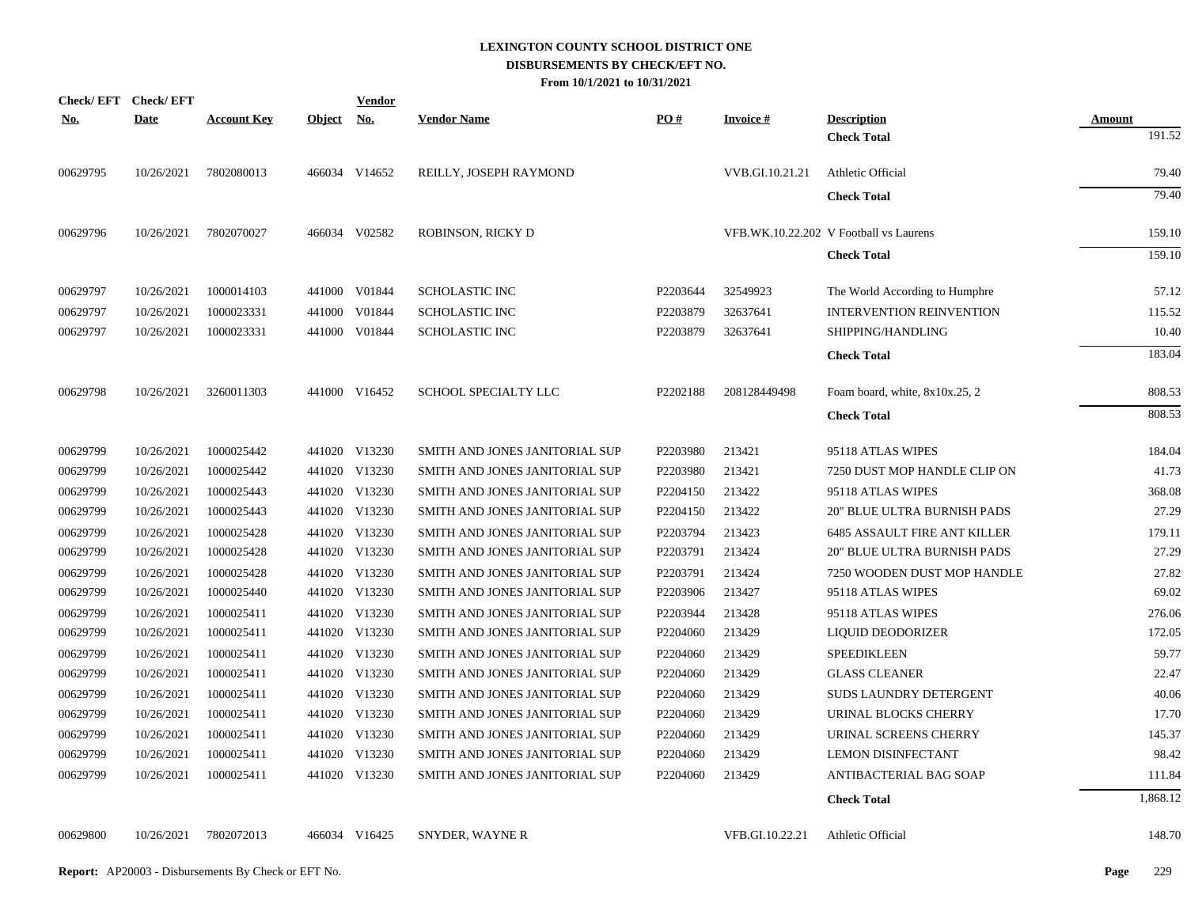| PO#<br><b>Description</b><br><b>Account Key</b><br><b>Object</b><br><u>No.</u><br><b>Vendor Name</b><br><b>Invoice#</b><br>Amount<br>191.52<br><b>Check Total</b><br>7802080013<br>466034 V14652<br>VVB.GI.10.21.21<br>79.40<br>REILLY, JOSEPH RAYMOND<br>Athletic Official<br>79.40<br><b>Check Total</b><br>466034 V02582<br>7802070027<br>ROBINSON, RICKY D<br>VFB.WK.10.22.202 V Football vs Laurens<br>159.10<br><b>Check Total</b><br>159.10 |  | <b>Date</b><br>10/26/2021 | <u>No.</u><br>00629795 |
|----------------------------------------------------------------------------------------------------------------------------------------------------------------------------------------------------------------------------------------------------------------------------------------------------------------------------------------------------------------------------------------------------------------------------------------------------|--|---------------------------|------------------------|
|                                                                                                                                                                                                                                                                                                                                                                                                                                                    |  |                           |                        |
|                                                                                                                                                                                                                                                                                                                                                                                                                                                    |  |                           |                        |
|                                                                                                                                                                                                                                                                                                                                                                                                                                                    |  |                           |                        |
|                                                                                                                                                                                                                                                                                                                                                                                                                                                    |  |                           |                        |
|                                                                                                                                                                                                                                                                                                                                                                                                                                                    |  | 10/26/2021                | 00629796               |
|                                                                                                                                                                                                                                                                                                                                                                                                                                                    |  |                           |                        |
| 1000014103<br>441000 V01844<br><b>SCHOLASTIC INC</b><br>P2203644<br>32549923<br>57.12<br>The World According to Humphre                                                                                                                                                                                                                                                                                                                            |  | 10/26/2021                | 00629797               |
| 1000023331<br>441000 V01844<br>P2203879<br>32637641<br><b>INTERVENTION REINVENTION</b><br>115.52<br><b>SCHOLASTIC INC</b>                                                                                                                                                                                                                                                                                                                          |  | 10/26/2021                | 00629797               |
| 1000023331<br>441000 V01844<br><b>SCHOLASTIC INC</b><br>P2203879<br>32637641<br>SHIPPING/HANDLING<br>10.40                                                                                                                                                                                                                                                                                                                                         |  | 10/26/2021                | 00629797               |
| 183.04<br><b>Check Total</b>                                                                                                                                                                                                                                                                                                                                                                                                                       |  |                           |                        |
| 3260011303<br>441000 V16452<br>SCHOOL SPECIALTY LLC<br>P2202188<br>208128449498<br>808.53<br>Foam board, white, 8x10x.25, 2                                                                                                                                                                                                                                                                                                                        |  | 10/26/2021                | 00629798               |
| 808.53<br><b>Check Total</b>                                                                                                                                                                                                                                                                                                                                                                                                                       |  |                           |                        |
| 1000025442<br>441020 V13230<br>213421<br>184.04<br>SMITH AND JONES JANITORIAL SUP<br>P2203980<br>95118 ATLAS WIPES                                                                                                                                                                                                                                                                                                                                 |  | 10/26/2021                | 00629799               |
| 1000025442<br>441020 V13230<br>P2203980<br>213421<br>7250 DUST MOP HANDLE CLIP ON<br>41.73<br>SMITH AND JONES JANITORIAL SUP                                                                                                                                                                                                                                                                                                                       |  | 10/26/2021                | 00629799               |
| 441020 V13230<br>1000025443<br>SMITH AND JONES JANITORIAL SUP<br>P2204150<br>213422<br>95118 ATLAS WIPES<br>368.08                                                                                                                                                                                                                                                                                                                                 |  | 10/26/2021                | 00629799               |
| 441020 V13230<br>1000025443<br>P2204150<br>213422<br>27.29<br>SMITH AND JONES JANITORIAL SUP<br><b>20" BLUE ULTRA BURNISH PADS</b>                                                                                                                                                                                                                                                                                                                 |  | 10/26/2021                | 00629799               |
| 1000025428<br>441020 V13230<br>P2203794<br>213423<br>179.11<br>SMITH AND JONES JANITORIAL SUP<br><b>6485 ASSAULT FIRE ANT KILLER</b>                                                                                                                                                                                                                                                                                                               |  | 10/26/2021                | 00629799               |
| 27.29<br>1000025428<br>441020 V13230<br>P2203791<br>213424<br>20" BLUE ULTRA BURNISH PADS<br>SMITH AND JONES JANITORIAL SUP                                                                                                                                                                                                                                                                                                                        |  | 10/26/2021                | 00629799               |
| 441020 V13230<br>P2203791<br>27.82<br>1000025428<br>SMITH AND JONES JANITORIAL SUP<br>213424<br>7250 WOODEN DUST MOP HANDLE                                                                                                                                                                                                                                                                                                                        |  | 10/26/2021                | 00629799               |
| 69.02<br>1000025440<br>441020 V13230<br>P2203906<br>213427<br>SMITH AND JONES JANITORIAL SUP<br>95118 ATLAS WIPES                                                                                                                                                                                                                                                                                                                                  |  | 10/26/2021                | 00629799               |
| 441020 V13230<br>P2203944<br>213428<br>276.06<br>1000025411<br>SMITH AND JONES JANITORIAL SUP<br>95118 ATLAS WIPES                                                                                                                                                                                                                                                                                                                                 |  | 10/26/2021                | 00629799               |
| 441020 V13230<br>1000025411<br>P2204060<br>213429<br>172.05<br>SMITH AND JONES JANITORIAL SUP<br>LIQUID DEODORIZER                                                                                                                                                                                                                                                                                                                                 |  | 10/26/2021                | 00629799               |
| 441020 V13230<br>P2204060<br>213429<br>59.77<br>1000025411<br>SMITH AND JONES JANITORIAL SUP<br><b>SPEEDIKLEEN</b>                                                                                                                                                                                                                                                                                                                                 |  | 10/26/2021                | 00629799               |
| 22.47<br>1000025411<br>441020 V13230<br>P2204060<br>213429<br><b>GLASS CLEANER</b><br>SMITH AND JONES JANITORIAL SUP                                                                                                                                                                                                                                                                                                                               |  | 10/26/2021                | 00629799               |
| 441020 V13230<br>213429<br>40.06<br>1000025411<br>SMITH AND JONES JANITORIAL SUP<br>P <sub>2204060</sub><br>SUDS LAUNDRY DETERGENT                                                                                                                                                                                                                                                                                                                 |  | 10/26/2021                | 00629799               |
| 1000025411<br>441020 V13230<br>213429<br>17.70<br>SMITH AND JONES JANITORIAL SUP<br>P <sub>2204060</sub><br>URINAL BLOCKS CHERRY                                                                                                                                                                                                                                                                                                                   |  | 10/26/2021                | 00629799               |
| 1000025411<br>441020 V13230<br>P2204060<br>URINAL SCREENS CHERRY<br>145.37<br>SMITH AND JONES JANITORIAL SUP<br>213429                                                                                                                                                                                                                                                                                                                             |  | 10/26/2021                | 00629799               |
| 441020 V13230<br>98.42<br>1000025411<br>SMITH AND JONES JANITORIAL SUP<br>P2204060<br>213429<br><b>LEMON DISINFECTANT</b>                                                                                                                                                                                                                                                                                                                          |  | 10/26/2021                | 00629799               |
| 1000025411<br>441020 V13230<br>SMITH AND JONES JANITORIAL SUP<br>P2204060<br>213429<br>ANTIBACTERIAL BAG SOAP<br>111.84                                                                                                                                                                                                                                                                                                                            |  | 10/26/2021                | 00629799               |
| 1,868.12<br><b>Check Total</b>                                                                                                                                                                                                                                                                                                                                                                                                                     |  |                           |                        |

00629800 10/26/2021 7802072013 466034 V16425 SNYDER, WAYNE R VFB.GI.10.22.21 Athletic Official 148.70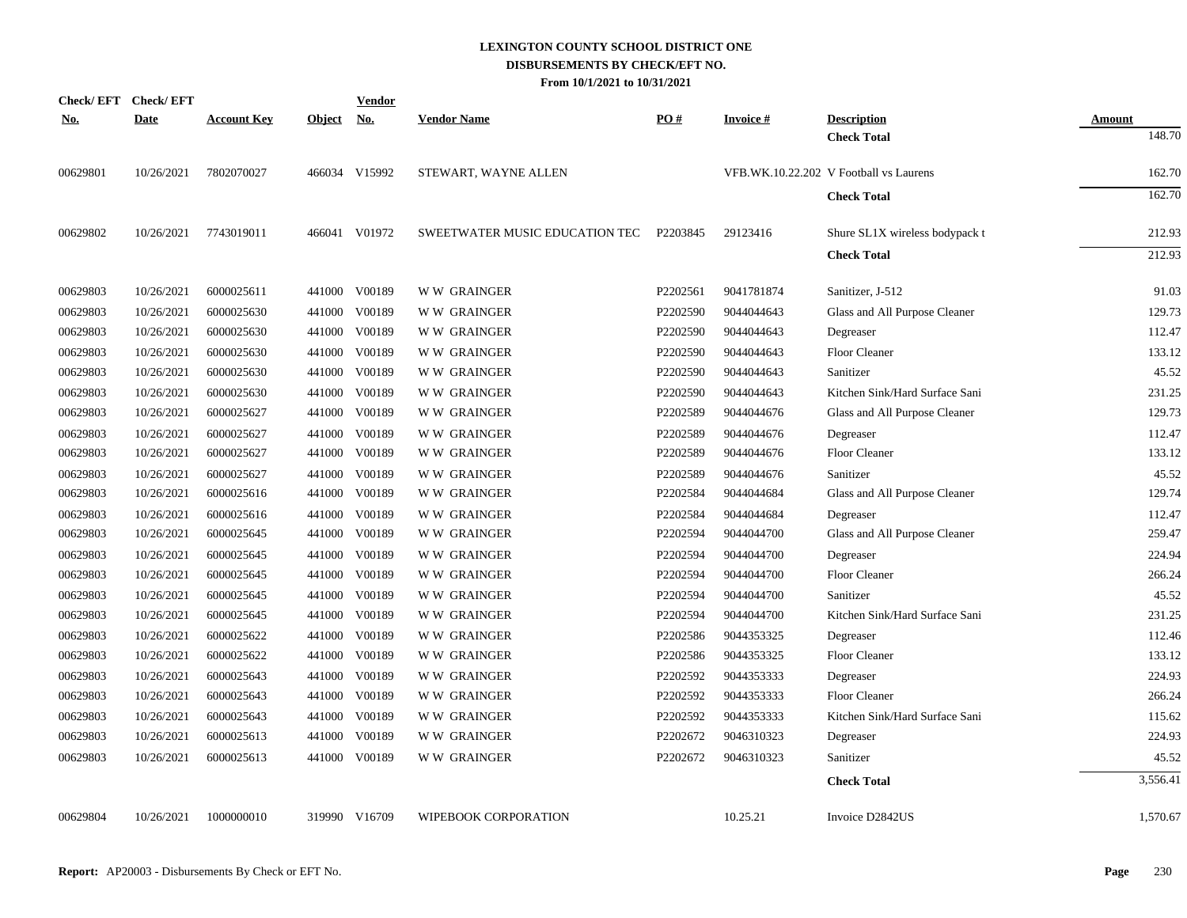| <b>Check/EFT</b> | <b>Check/EFT</b> |                    |               | <b>Vendor</b> |                                |          |                 |                                        |                         |
|------------------|------------------|--------------------|---------------|---------------|--------------------------------|----------|-----------------|----------------------------------------|-------------------------|
| <u>No.</u>       | <b>Date</b>      | <u>Account Key</u> | <b>Object</b> | <u>No.</u>    | <b>Vendor Name</b>             | PO#      | <b>Invoice#</b> | <b>Description</b>                     | <b>Amount</b><br>148.70 |
|                  |                  |                    |               |               |                                |          |                 | <b>Check Total</b>                     |                         |
| 00629801         | 10/26/2021       | 7802070027         |               | 466034 V15992 | STEWART, WAYNE ALLEN           |          |                 | VFB.WK.10.22.202 V Football vs Laurens | 162.70                  |
|                  |                  |                    |               |               |                                |          |                 | <b>Check Total</b>                     | 162.70                  |
| 00629802         | 10/26/2021       | 7743019011         |               | 466041 V01972 | SWEETWATER MUSIC EDUCATION TEC | P2203845 | 29123416        | Shure SL1X wireless bodypack t         | 212.93                  |
|                  |                  |                    |               |               |                                |          |                 | <b>Check Total</b>                     | 212.93                  |
| 00629803         | 10/26/2021       | 6000025611         |               | 441000 V00189 | <b>WW GRAINGER</b>             | P2202561 | 9041781874      | Sanitizer, J-512                       | 91.03                   |
| 00629803         | 10/26/2021       | 6000025630         |               | 441000 V00189 | <b>WW GRAINGER</b>             | P2202590 | 9044044643      | Glass and All Purpose Cleaner          | 129.73                  |
| 00629803         | 10/26/2021       | 6000025630         |               | 441000 V00189 | <b>WW GRAINGER</b>             | P2202590 | 9044044643      | Degreaser                              | 112.47                  |
| 00629803         | 10/26/2021       | 6000025630         |               | 441000 V00189 | <b>WW GRAINGER</b>             | P2202590 | 9044044643      | Floor Cleaner                          | 133.12                  |
| 00629803         | 10/26/2021       | 6000025630         |               | 441000 V00189 | <b>WW GRAINGER</b>             | P2202590 | 9044044643      | Sanitizer                              | 45.52                   |
| 00629803         | 10/26/2021       | 6000025630         |               | 441000 V00189 | <b>WW GRAINGER</b>             | P2202590 | 9044044643      | Kitchen Sink/Hard Surface Sani         | 231.25                  |
| 00629803         | 10/26/2021       | 6000025627         |               | 441000 V00189 | W W GRAINGER                   | P2202589 | 9044044676      | Glass and All Purpose Cleaner          | 129.73                  |
| 00629803         | 10/26/2021       | 6000025627         | 441000        | V00189        | <b>WW GRAINGER</b>             | P2202589 | 9044044676      | Degreaser                              | 112.47                  |
| 00629803         | 10/26/2021       | 6000025627         |               | 441000 V00189 | <b>WW GRAINGER</b>             | P2202589 | 9044044676      | Floor Cleaner                          | 133.12                  |
| 00629803         | 10/26/2021       | 6000025627         |               | 441000 V00189 | <b>WW GRAINGER</b>             | P2202589 | 9044044676      | Sanitizer                              | 45.52                   |
| 00629803         | 10/26/2021       | 6000025616         |               | 441000 V00189 | <b>WW GRAINGER</b>             | P2202584 | 9044044684      | Glass and All Purpose Cleaner          | 129.74                  |
| 00629803         | 10/26/2021       | 6000025616         | 441000        | V00189        | <b>WW GRAINGER</b>             | P2202584 | 9044044684      | Degreaser                              | 112.47                  |
| 00629803         | 10/26/2021       | 6000025645         | 441000        | V00189        | <b>WW GRAINGER</b>             | P2202594 | 9044044700      | Glass and All Purpose Cleaner          | 259.47                  |
| 00629803         | 10/26/2021       | 6000025645         |               | 441000 V00189 | <b>WW GRAINGER</b>             | P2202594 | 9044044700      | Degreaser                              | 224.94                  |
| 00629803         | 10/26/2021       | 6000025645         | 441000        | V00189        | <b>WW GRAINGER</b>             | P2202594 | 9044044700      | Floor Cleaner                          | 266.24                  |
| 00629803         | 10/26/2021       | 6000025645         |               | 441000 V00189 | <b>WW GRAINGER</b>             | P2202594 | 9044044700      | Sanitizer                              | 45.52                   |
| 00629803         | 10/26/2021       | 6000025645         |               | 441000 V00189 | W W GRAINGER                   | P2202594 | 9044044700      | Kitchen Sink/Hard Surface Sani         | 231.25                  |
| 00629803         | 10/26/2021       | 6000025622         |               | 441000 V00189 | <b>WW GRAINGER</b>             | P2202586 | 9044353325      | Degreaser                              | 112.46                  |
| 00629803         | 10/26/2021       | 6000025622         |               | 441000 V00189 | <b>WW GRAINGER</b>             | P2202586 | 9044353325      | Floor Cleaner                          | 133.12                  |
| 00629803         | 10/26/2021       | 6000025643         |               | 441000 V00189 | <b>WW GRAINGER</b>             | P2202592 | 9044353333      | Degreaser                              | 224.93                  |
| 00629803         | 10/26/2021       | 6000025643         |               | 441000 V00189 | W W GRAINGER                   | P2202592 | 9044353333      | Floor Cleaner                          | 266.24                  |
| 00629803         | 10/26/2021       | 6000025643         |               | 441000 V00189 | <b>WW GRAINGER</b>             | P2202592 | 9044353333      | Kitchen Sink/Hard Surface Sani         | 115.62                  |
| 00629803         | 10/26/2021       | 6000025613         |               | 441000 V00189 | <b>WW GRAINGER</b>             | P2202672 | 9046310323      | Degreaser                              | 224.93                  |
| 00629803         | 10/26/2021       | 6000025613         |               | 441000 V00189 | <b>WW GRAINGER</b>             | P2202672 | 9046310323      | Sanitizer                              | 45.52                   |
|                  |                  |                    |               |               |                                |          |                 | <b>Check Total</b>                     | 3,556.41                |
| 00629804         | 10/26/2021       | 1000000010         |               | 319990 V16709 | WIPEBOOK CORPORATION           |          | 10.25.21        | Invoice D2842US                        | 1,570.67                |
|                  |                  |                    |               |               |                                |          |                 |                                        |                         |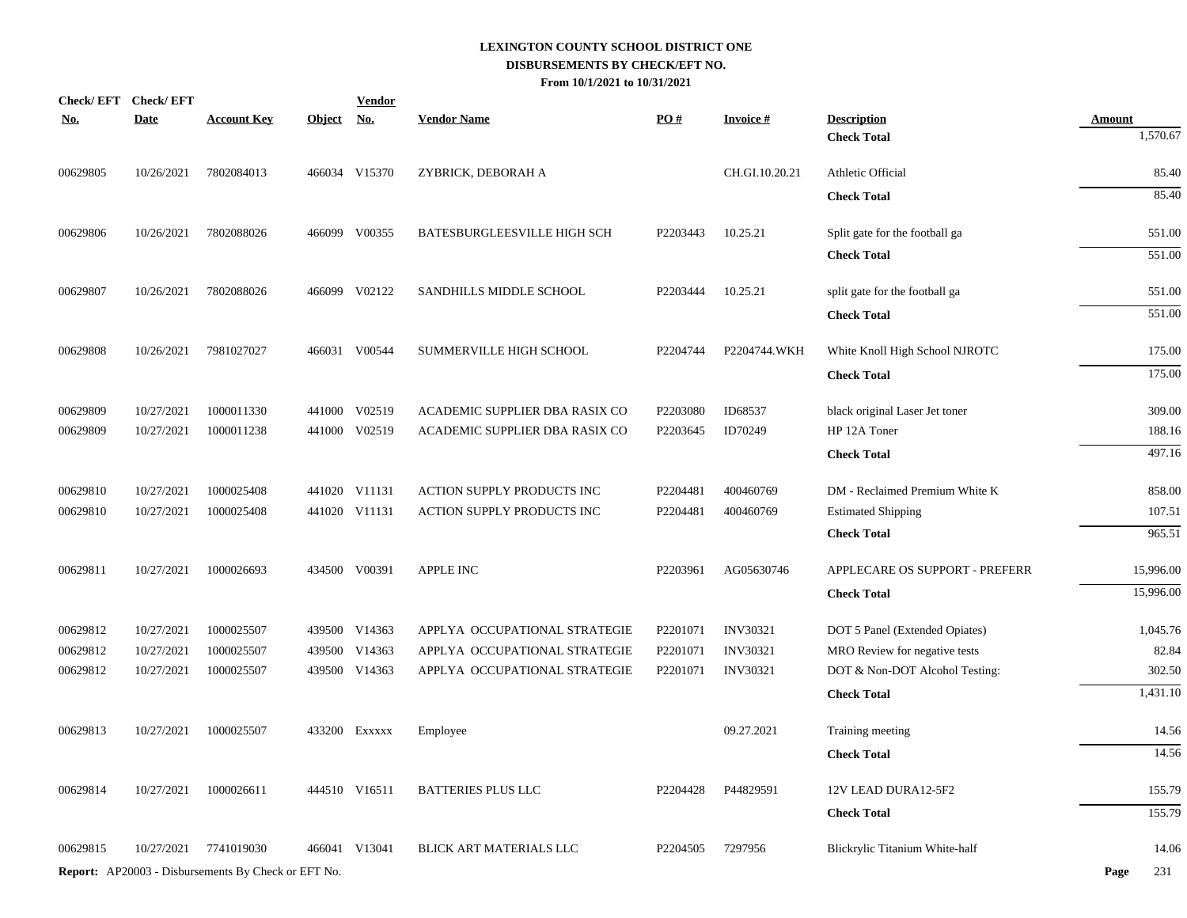| <u>No.</u> | Check/EFT Check/EFT<br><b>Date</b> | <b>Account Key</b>                                  | <b>Object</b> | <b>Vendor</b><br><u>No.</u> | <b>Vendor Name</b>             | PO#                  | <b>Invoice#</b> | <b>Description</b>             | <b>Amount</b> |
|------------|------------------------------------|-----------------------------------------------------|---------------|-----------------------------|--------------------------------|----------------------|-----------------|--------------------------------|---------------|
|            |                                    |                                                     |               |                             |                                |                      |                 | <b>Check Total</b>             | 1,570.67      |
| 00629805   | 10/26/2021                         | 7802084013                                          |               | 466034 V15370               | ZYBRICK, DEBORAH A             |                      | CH.GI.10.20.21  | Athletic Official              | 85.40         |
|            |                                    |                                                     |               |                             |                                |                      |                 | <b>Check Total</b>             | 85.40         |
| 00629806   | 10/26/2021                         | 7802088026                                          |               | 466099 V00355               | BATESBURGLEESVILLE HIGH SCH    | P2203443             | 10.25.21        | Split gate for the football ga | 551.00        |
|            |                                    |                                                     |               |                             |                                |                      |                 | <b>Check Total</b>             | 551.00        |
| 00629807   | 10/26/2021                         | 7802088026                                          |               | 466099 V02122               | SANDHILLS MIDDLE SCHOOL        | P2203444             | 10.25.21        | split gate for the football ga | 551.00        |
|            |                                    |                                                     |               |                             |                                |                      |                 | <b>Check Total</b>             | 551.00        |
| 00629808   | 10/26/2021                         | 7981027027                                          |               | 466031 V00544               | SUMMERVILLE HIGH SCHOOL        | P2204744             | P2204744.WKH    | White Knoll High School NJROTC | 175.00        |
|            |                                    |                                                     |               |                             |                                |                      |                 | <b>Check Total</b>             | 175.00        |
| 00629809   | 10/27/2021                         | 1000011330                                          |               | 441000 V02519               | ACADEMIC SUPPLIER DBA RASIX CO | P2203080             | ID68537         | black original Laser Jet toner | 309.00        |
| 00629809   | 10/27/2021                         | 1000011238                                          | 441000        | V02519                      | ACADEMIC SUPPLIER DBA RASIX CO | P2203645             | ID70249         | HP 12A Toner                   | 188.16        |
|            |                                    |                                                     |               |                             |                                |                      |                 | <b>Check Total</b>             | 497.16        |
| 00629810   | 10/27/2021                         | 1000025408                                          |               | 441020 V11131               | ACTION SUPPLY PRODUCTS INC     | P2204481             | 400460769       | DM - Reclaimed Premium White K | 858.00        |
| 00629810   | 10/27/2021                         | 1000025408                                          |               | 441020 V11131               | ACTION SUPPLY PRODUCTS INC     | P2204481             | 400460769       | <b>Estimated Shipping</b>      | 107.51        |
|            |                                    |                                                     |               |                             |                                |                      |                 | <b>Check Total</b>             | 965.51        |
| 00629811   | 10/27/2021                         | 1000026693                                          |               | 434500 V00391               | <b>APPLE INC</b>               | P2203961             | AG05630746      | APPLECARE OS SUPPORT - PREFERR | 15,996.00     |
|            |                                    |                                                     |               |                             |                                |                      |                 | <b>Check Total</b>             | 15,996.00     |
| 00629812   | 10/27/2021                         | 1000025507                                          |               | 439500 V14363               | APPLYA OCCUPATIONAL STRATEGIE  | P2201071             | <b>INV30321</b> | DOT 5 Panel (Extended Opiates) | 1,045.76      |
| 00629812   | 10/27/2021                         | 1000025507                                          |               | 439500 V14363               | APPLYA OCCUPATIONAL STRATEGIE  | P2201071             | <b>INV30321</b> | MRO Review for negative tests  | 82.84         |
| 00629812   | 10/27/2021                         | 1000025507                                          |               | 439500 V14363               | APPLYA OCCUPATIONAL STRATEGIE  | P2201071             | <b>INV30321</b> | DOT & Non-DOT Alcohol Testing: | 302.50        |
|            |                                    |                                                     |               |                             |                                |                      |                 | <b>Check Total</b>             | 1,431.10      |
| 00629813   | 10/27/2021                         | 1000025507                                          |               | 433200 Exxxxx               | Employee                       |                      | 09.27.2021      | Training meeting               | 14.56         |
|            |                                    |                                                     |               |                             |                                |                      |                 | <b>Check Total</b>             | 14.56         |
| 00629814   | 10/27/2021                         | 1000026611                                          |               | 444510 V16511               | <b>BATTERIES PLUS LLC</b>      | P2204428             | P44829591       | 12V LEAD DURA12-5F2            | 155.79        |
|            |                                    |                                                     |               |                             |                                |                      |                 | <b>Check Total</b>             | 155.79        |
| 00629815   | 10/27/2021                         | 7741019030                                          |               | 466041 V13041               | BLICK ART MATERIALS LLC        | P <sub>2204505</sub> | 7297956         | Blickrylic Titanium White-half | 14.06         |
|            |                                    | Report: AP20003 - Disbursements By Check or EFT No. |               |                             |                                |                      |                 |                                | 231<br>Page   |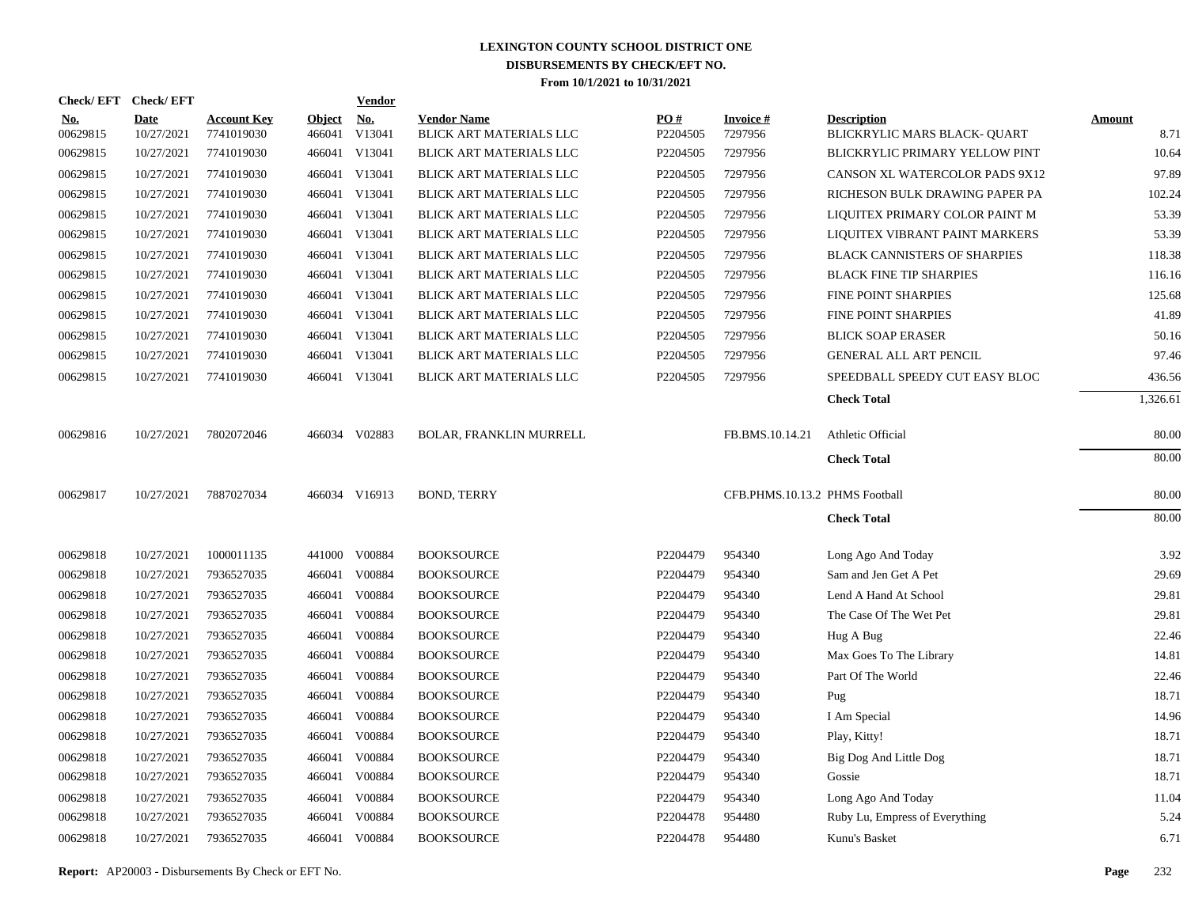| <b>Check/EFT</b>       | <b>Check/EFT</b>          |                                  |                         | <b>Vendor</b>        |                                               |                      |                                |                                                   |                       |
|------------------------|---------------------------|----------------------------------|-------------------------|----------------------|-----------------------------------------------|----------------------|--------------------------------|---------------------------------------------------|-----------------------|
| <u>No.</u><br>00629815 | <b>Date</b><br>10/27/2021 | <b>Account Key</b><br>7741019030 | <b>Object</b><br>466041 | <u>No.</u><br>V13041 | <b>Vendor Name</b><br>BLICK ART MATERIALS LLC | PO#<br>P2204505      | <b>Invoice#</b><br>7297956     | <b>Description</b><br>BLICKRYLIC MARS BLACK-QUART | <b>Amount</b><br>8.71 |
| 00629815               | 10/27/2021                | 7741019030                       |                         | 466041 V13041        | BLICK ART MATERIALS LLC                       | P2204505             | 7297956                        | BLICKRYLIC PRIMARY YELLOW PINT                    | 10.64                 |
| 00629815               | 10/27/2021                | 7741019030                       |                         | 466041 V13041        | BLICK ART MATERIALS LLC                       | P2204505             | 7297956                        | CANSON XL WATERCOLOR PADS 9X12                    | 97.89                 |
| 00629815               | 10/27/2021                | 7741019030                       |                         | 466041 V13041        | BLICK ART MATERIALS LLC                       | P <sub>2204505</sub> | 7297956                        | RICHESON BULK DRAWING PAPER PA                    | 102.24                |
| 00629815               | 10/27/2021                | 7741019030                       |                         | 466041 V13041        | BLICK ART MATERIALS LLC                       | P2204505             | 7297956                        | LIQUITEX PRIMARY COLOR PAINT M                    | 53.39                 |
| 00629815               | 10/27/2021                | 7741019030                       |                         | 466041 V13041        | BLICK ART MATERIALS LLC                       | P2204505             | 7297956                        | LIQUITEX VIBRANT PAINT MARKERS                    | 53.39                 |
| 00629815               | 10/27/2021                | 7741019030                       |                         | 466041 V13041        | BLICK ART MATERIALS LLC                       | P2204505             | 7297956                        | <b>BLACK CANNISTERS OF SHARPIES</b>               | 118.38                |
| 00629815               | 10/27/2021                | 7741019030                       |                         | 466041 V13041        | BLICK ART MATERIALS LLC                       | P <sub>2204505</sub> | 7297956                        | <b>BLACK FINE TIP SHARPIES</b>                    | 116.16                |
| 00629815               | 10/27/2021                | 7741019030                       |                         | 466041 V13041        | BLICK ART MATERIALS LLC                       | P2204505             | 7297956                        | FINE POINT SHARPIES                               | 125.68                |
| 00629815               | 10/27/2021                | 7741019030                       |                         | 466041 V13041        | BLICK ART MATERIALS LLC                       | P2204505             | 7297956                        | FINE POINT SHARPIES                               | 41.89                 |
| 00629815               | 10/27/2021                | 7741019030                       |                         | 466041 V13041        | BLICK ART MATERIALS LLC                       | P <sub>2204505</sub> | 7297956                        | <b>BLICK SOAP ERASER</b>                          | 50.16                 |
| 00629815               | 10/27/2021                | 7741019030                       |                         | 466041 V13041        | BLICK ART MATERIALS LLC                       | P2204505             | 7297956                        | <b>GENERAL ALL ART PENCIL</b>                     | 97.46                 |
| 00629815               | 10/27/2021                | 7741019030                       |                         | 466041 V13041        | BLICK ART MATERIALS LLC                       | P2204505             | 7297956                        | SPEEDBALL SPEEDY CUT EASY BLOC                    | 436.56                |
|                        |                           |                                  |                         |                      |                                               |                      |                                | <b>Check Total</b>                                | 1,326.61              |
| 00629816               | 10/27/2021                | 7802072046                       |                         | 466034 V02883        | BOLAR, FRANKLIN MURRELL                       |                      | FB.BMS.10.14.21                | Athletic Official                                 | 80.00                 |
|                        |                           |                                  |                         |                      |                                               |                      |                                | <b>Check Total</b>                                | 80.00                 |
| 00629817               | 10/27/2021                | 7887027034                       |                         | 466034 V16913        | <b>BOND, TERRY</b>                            |                      | CFB.PHMS.10.13.2 PHMS Football |                                                   | 80.00                 |
|                        |                           |                                  |                         |                      |                                               |                      |                                | <b>Check Total</b>                                | 80.00                 |
| 00629818               | 10/27/2021                | 1000011135                       |                         | 441000 V00884        | <b>BOOKSOURCE</b>                             | P2204479             | 954340                         | Long Ago And Today                                | 3.92                  |
| 00629818               | 10/27/2021                | 7936527035                       |                         | 466041 V00884        | <b>BOOKSOURCE</b>                             | P2204479             | 954340                         | Sam and Jen Get A Pet                             | 29.69                 |
| 00629818               | 10/27/2021                | 7936527035                       |                         | 466041 V00884        | <b>BOOKSOURCE</b>                             | P2204479             | 954340                         | Lend A Hand At School                             | 29.81                 |
| 00629818               | 10/27/2021                | 7936527035                       | 466041                  | V00884               | <b>BOOKSOURCE</b>                             | P2204479             | 954340                         | The Case Of The Wet Pet                           | 29.81                 |
| 00629818               | 10/27/2021                | 7936527035                       | 466041                  | V00884               | <b>BOOKSOURCE</b>                             | P2204479             | 954340                         | Hug A Bug                                         | 22.46                 |
| 00629818               | 10/27/2021                | 7936527035                       |                         | 466041 V00884        | <b>BOOKSOURCE</b>                             | P2204479             | 954340                         | Max Goes To The Library                           | 14.81                 |
| 00629818               | 10/27/2021                | 7936527035                       | 466041                  | V00884               | <b>BOOKSOURCE</b>                             | P2204479             | 954340                         | Part Of The World                                 | 22.46                 |
| 00629818               | 10/27/2021                | 7936527035                       |                         | 466041 V00884        | <b>BOOKSOURCE</b>                             | P2204479             | 954340                         | Pug                                               | 18.71                 |
| 00629818               | 10/27/2021                | 7936527035                       | 466041                  | V00884               | <b>BOOKSOURCE</b>                             | P2204479             | 954340                         | I Am Special                                      | 14.96                 |
| 00629818               | 10/27/2021                | 7936527035                       |                         | 466041 V00884        | <b>BOOKSOURCE</b>                             | P2204479             | 954340                         | Play, Kitty!                                      | 18.71                 |
| 00629818               | 10/27/2021                | 7936527035                       | 466041                  | V00884               | <b>BOOKSOURCE</b>                             | P2204479             | 954340                         | Big Dog And Little Dog                            | 18.71                 |
| 00629818               | 10/27/2021                | 7936527035                       | 466041                  | V00884               | <b>BOOKSOURCE</b>                             | P2204479             | 954340                         | Gossie                                            | 18.71                 |
| 00629818               | 10/27/2021                | 7936527035                       | 466041                  | V00884               | <b>BOOKSOURCE</b>                             | P2204479             | 954340                         | Long Ago And Today                                | 11.04                 |
| 00629818               | 10/27/2021                | 7936527035                       | 466041                  | V00884               | <b>BOOKSOURCE</b>                             | P2204478             | 954480                         | Ruby Lu, Empress of Everything                    | 5.24                  |
| 00629818               | 10/27/2021                | 7936527035                       |                         | 466041 V00884        | <b>BOOKSOURCE</b>                             | P2204478             | 954480                         | Kunu's Basket                                     | 6.71                  |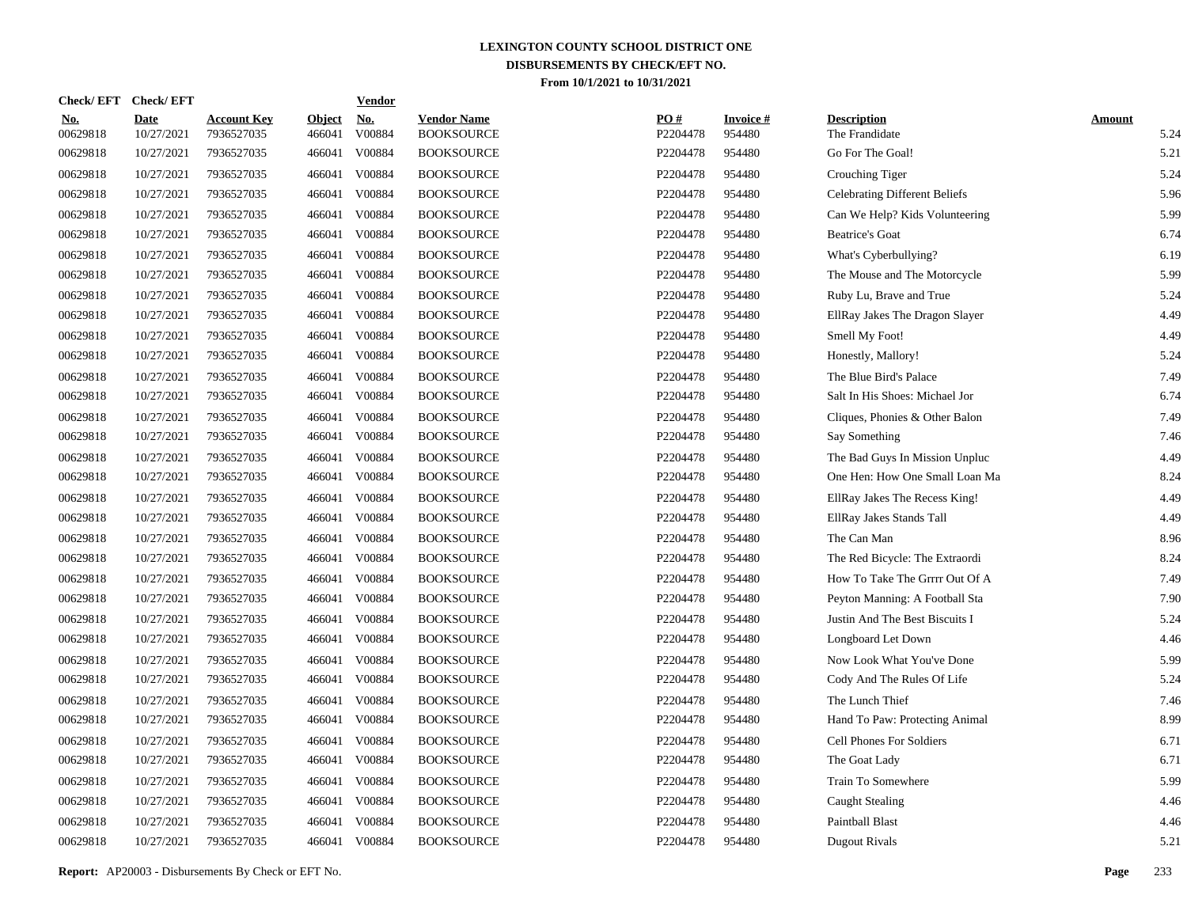| <b>Check/EFT</b>          |                                  |                         | <b>Vendor</b>        |                                                                                                                                                                                                                                                                                                                           |                 |                           |                                      |                       |
|---------------------------|----------------------------------|-------------------------|----------------------|---------------------------------------------------------------------------------------------------------------------------------------------------------------------------------------------------------------------------------------------------------------------------------------------------------------------------|-----------------|---------------------------|--------------------------------------|-----------------------|
| <b>Date</b><br>10/27/2021 | <b>Account Key</b><br>7936527035 | <b>Object</b><br>466041 | <u>No.</u><br>V00884 | <b>Vendor Name</b><br><b>BOOKSOURCE</b>                                                                                                                                                                                                                                                                                   | PQ#<br>P2204478 | <b>Invoice#</b><br>954480 | <b>Description</b><br>The Frandidate | <b>Amount</b><br>5.24 |
| 10/27/2021                | 7936527035                       | 466041                  | V00884               | <b>BOOKSOURCE</b>                                                                                                                                                                                                                                                                                                         | P2204478        | 954480                    | Go For The Goal!                     | 5.21                  |
| 10/27/2021                | 7936527035                       | 466041                  | V00884               | <b>BOOKSOURCE</b>                                                                                                                                                                                                                                                                                                         | P2204478        | 954480                    | Crouching Tiger                      | 5.24                  |
| 10/27/2021                | 7936527035                       | 466041                  | V00884               | <b>BOOKSOURCE</b>                                                                                                                                                                                                                                                                                                         | P2204478        | 954480                    | <b>Celebrating Different Beliefs</b> | 5.96                  |
| 10/27/2021                | 7936527035                       |                         | V00884               | <b>BOOKSOURCE</b>                                                                                                                                                                                                                                                                                                         | P2204478        | 954480                    | Can We Help? Kids Volunteering       | 5.99                  |
| 10/27/2021                | 7936527035                       |                         | V00884               | <b>BOOKSOURCE</b>                                                                                                                                                                                                                                                                                                         | P2204478        | 954480                    | <b>Beatrice's Goat</b>               | 6.74                  |
| 10/27/2021                | 7936527035                       |                         | V00884               | <b>BOOKSOURCE</b>                                                                                                                                                                                                                                                                                                         | P2204478        | 954480                    | What's Cyberbullying?                | 6.19                  |
| 10/27/2021                | 7936527035                       |                         | V00884               | <b>BOOKSOURCE</b>                                                                                                                                                                                                                                                                                                         | P2204478        | 954480                    | The Mouse and The Motorcycle         | 5.99                  |
| 10/27/2021                | 7936527035                       |                         | V00884               | <b>BOOKSOURCE</b>                                                                                                                                                                                                                                                                                                         | P2204478        | 954480                    | Ruby Lu, Brave and True              | 5.24                  |
| 10/27/2021                | 7936527035                       |                         | V00884               | <b>BOOKSOURCE</b>                                                                                                                                                                                                                                                                                                         | P2204478        | 954480                    | EllRay Jakes The Dragon Slayer       | 4.49                  |
| 10/27/2021                | 7936527035                       |                         | V00884               | <b>BOOKSOURCE</b>                                                                                                                                                                                                                                                                                                         | P2204478        | 954480                    | Smell My Foot!                       | 4.49                  |
| 10/27/2021                | 7936527035                       |                         | V00884               | <b>BOOKSOURCE</b>                                                                                                                                                                                                                                                                                                         | P2204478        | 954480                    | Honestly, Mallory!                   | 5.24                  |
| 10/27/2021                | 7936527035                       |                         | V00884               | <b>BOOKSOURCE</b>                                                                                                                                                                                                                                                                                                         | P2204478        | 954480                    | The Blue Bird's Palace               | 7.49                  |
| 10/27/2021                | 7936527035                       |                         | V00884               | <b>BOOKSOURCE</b>                                                                                                                                                                                                                                                                                                         | P2204478        | 954480                    | Salt In His Shoes: Michael Jor       | 6.74                  |
| 10/27/2021                | 7936527035                       |                         | V00884               | <b>BOOKSOURCE</b>                                                                                                                                                                                                                                                                                                         | P2204478        | 954480                    | Cliques, Phonies & Other Balon       | 7.49                  |
| 10/27/2021                | 7936527035                       |                         | V00884               | <b>BOOKSOURCE</b>                                                                                                                                                                                                                                                                                                         | P2204478        | 954480                    | Say Something                        | 7.46                  |
| 10/27/2021                | 7936527035                       |                         | V00884               | <b>BOOKSOURCE</b>                                                                                                                                                                                                                                                                                                         | P2204478        | 954480                    | The Bad Guys In Mission Unpluc       | 4.49                  |
| 10/27/2021                | 7936527035                       |                         | V00884               | <b>BOOKSOURCE</b>                                                                                                                                                                                                                                                                                                         | P2204478        | 954480                    | One Hen: How One Small Loan Ma       | 8.24                  |
| 10/27/2021                | 7936527035                       |                         | V00884               | <b>BOOKSOURCE</b>                                                                                                                                                                                                                                                                                                         | P2204478        | 954480                    | EllRay Jakes The Recess King!        | 4.49                  |
| 10/27/2021                | 7936527035                       |                         | V00884               | <b>BOOKSOURCE</b>                                                                                                                                                                                                                                                                                                         | P2204478        | 954480                    | EllRay Jakes Stands Tall             | 4.49                  |
| 10/27/2021                | 7936527035                       |                         | V00884               | <b>BOOKSOURCE</b>                                                                                                                                                                                                                                                                                                         | P2204478        | 954480                    | The Can Man                          | 8.96                  |
| 10/27/2021                | 7936527035                       |                         | V00884               | <b>BOOKSOURCE</b>                                                                                                                                                                                                                                                                                                         | P2204478        | 954480                    | The Red Bicycle: The Extraordi       | 8.24                  |
| 10/27/2021                | 7936527035                       |                         | V00884               | <b>BOOKSOURCE</b>                                                                                                                                                                                                                                                                                                         | P2204478        | 954480                    | How To Take The Grrrr Out Of A       | 7.49                  |
| 10/27/2021                | 7936527035                       |                         | V00884               | <b>BOOKSOURCE</b>                                                                                                                                                                                                                                                                                                         | P2204478        | 954480                    | Peyton Manning: A Football Sta       | 7.90                  |
| 10/27/2021                | 7936527035                       |                         | V00884               | <b>BOOKSOURCE</b>                                                                                                                                                                                                                                                                                                         | P2204478        | 954480                    | Justin And The Best Biscuits I       | 5.24                  |
| 10/27/2021                | 7936527035                       |                         | V00884               | <b>BOOKSOURCE</b>                                                                                                                                                                                                                                                                                                         | P2204478        | 954480                    | Longboard Let Down                   | 4.46                  |
| 10/27/2021                | 7936527035                       |                         | V00884               | <b>BOOKSOURCE</b>                                                                                                                                                                                                                                                                                                         | P2204478        | 954480                    | Now Look What You've Done            | 5.99                  |
| 10/27/2021                | 7936527035                       |                         | V00884               | <b>BOOKSOURCE</b>                                                                                                                                                                                                                                                                                                         | P2204478        | 954480                    | Cody And The Rules Of Life           | 5.24                  |
| 10/27/2021                | 7936527035                       |                         | V00884               | <b>BOOKSOURCE</b>                                                                                                                                                                                                                                                                                                         | P2204478        | 954480                    | The Lunch Thief                      | 7.46                  |
| 10/27/2021                | 7936527035                       |                         | V00884               | <b>BOOKSOURCE</b>                                                                                                                                                                                                                                                                                                         | P2204478        | 954480                    | Hand To Paw: Protecting Animal       | 8.99                  |
| 10/27/2021                | 7936527035                       |                         | V00884               | <b>BOOKSOURCE</b>                                                                                                                                                                                                                                                                                                         | P2204478        | 954480                    | Cell Phones For Soldiers             | 6.71                  |
| 10/27/2021                | 7936527035                       |                         | V00884               | <b>BOOKSOURCE</b>                                                                                                                                                                                                                                                                                                         | P2204478        | 954480                    | The Goat Lady                        | 6.71                  |
| 10/27/2021                | 7936527035                       |                         | V00884               | <b>BOOKSOURCE</b>                                                                                                                                                                                                                                                                                                         | P2204478        | 954480                    | Train To Somewhere                   | 5.99                  |
| 10/27/2021                | 7936527035                       |                         | V00884               | <b>BOOKSOURCE</b>                                                                                                                                                                                                                                                                                                         | P2204478        | 954480                    | <b>Caught Stealing</b>               | 4.46                  |
| 10/27/2021                | 7936527035                       | 466041                  | V00884               | <b>BOOKSOURCE</b>                                                                                                                                                                                                                                                                                                         | P2204478        | 954480                    | <b>Paintball Blast</b>               | 4.46                  |
| 10/27/2021                | 7936527035                       |                         |                      | <b>BOOKSOURCE</b>                                                                                                                                                                                                                                                                                                         | P2204478        | 954480                    | Dugout Rivals                        | 5.21                  |
|                           |                                  |                         |                      | 466041<br>466041<br>466041<br>466041<br>466041<br>466041<br>466041<br>466041<br>466041<br>466041<br>466041<br>466041<br>466041<br>466041<br>466041<br>466041<br>466041<br>466041<br>466041<br>466041<br>466041<br>466041<br>466041<br>466041<br>466041<br>466041<br>466041<br>466041<br>466041<br>466041<br>466041 V00884 |                 |                           |                                      |                       |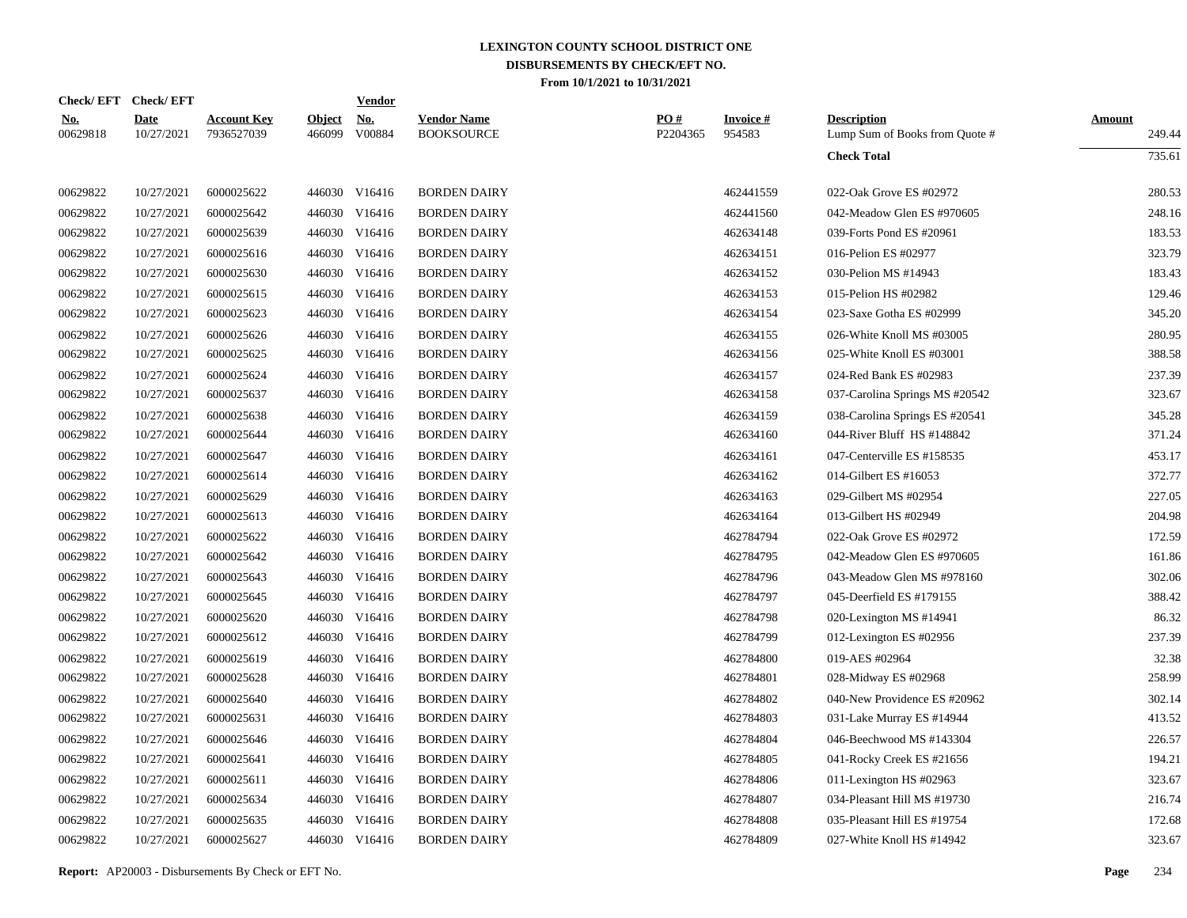|                           |                                  |                         | <u>Vendor</u>        |                                                                                                                                                                                                                                                                                                                                                                                                                                                                                                                              |                 |                           |                                                      |                         |
|---------------------------|----------------------------------|-------------------------|----------------------|------------------------------------------------------------------------------------------------------------------------------------------------------------------------------------------------------------------------------------------------------------------------------------------------------------------------------------------------------------------------------------------------------------------------------------------------------------------------------------------------------------------------------|-----------------|---------------------------|------------------------------------------------------|-------------------------|
| <b>Date</b><br>10/27/2021 | <b>Account Key</b><br>7936527039 | <b>Object</b><br>466099 | <u>No.</u><br>V00884 | <b>Vendor Name</b><br><b>BOOKSOURCE</b>                                                                                                                                                                                                                                                                                                                                                                                                                                                                                      | PO#<br>P2204365 | <b>Invoice#</b><br>954583 | <b>Description</b><br>Lump Sum of Books from Quote # | <b>Amount</b><br>249.44 |
|                           |                                  |                         |                      |                                                                                                                                                                                                                                                                                                                                                                                                                                                                                                                              |                 |                           | <b>Check Total</b>                                   | 735.61                  |
| 10/27/2021                | 6000025622                       |                         |                      | <b>BORDEN DAIRY</b>                                                                                                                                                                                                                                                                                                                                                                                                                                                                                                          |                 | 462441559                 | 022-Oak Grove ES #02972                              | 280.53                  |
| 10/27/2021                | 6000025642                       |                         |                      | <b>BORDEN DAIRY</b>                                                                                                                                                                                                                                                                                                                                                                                                                                                                                                          |                 | 462441560                 | 042-Meadow Glen ES #970605                           | 248.16                  |
| 10/27/2021                | 6000025639                       |                         |                      | <b>BORDEN DAIRY</b>                                                                                                                                                                                                                                                                                                                                                                                                                                                                                                          |                 | 462634148                 | 039-Forts Pond ES #20961                             | 183.53                  |
| 10/27/2021                | 6000025616                       |                         |                      | <b>BORDEN DAIRY</b>                                                                                                                                                                                                                                                                                                                                                                                                                                                                                                          |                 | 462634151                 | 016-Pelion ES #02977                                 | 323.79                  |
| 10/27/2021                | 6000025630                       |                         |                      | <b>BORDEN DAIRY</b>                                                                                                                                                                                                                                                                                                                                                                                                                                                                                                          |                 | 462634152                 | 030-Pelion MS #14943                                 | 183.43                  |
| 10/27/2021                | 6000025615                       |                         |                      | <b>BORDEN DAIRY</b>                                                                                                                                                                                                                                                                                                                                                                                                                                                                                                          |                 | 462634153                 | 015-Pelion HS #02982                                 | 129.46                  |
| 10/27/2021                | 6000025623                       |                         |                      | <b>BORDEN DAIRY</b>                                                                                                                                                                                                                                                                                                                                                                                                                                                                                                          |                 | 462634154                 | 023-Saxe Gotha ES #02999                             | 345.20                  |
| 10/27/2021                | 6000025626                       |                         |                      | <b>BORDEN DAIRY</b>                                                                                                                                                                                                                                                                                                                                                                                                                                                                                                          |                 | 462634155                 | 026-White Knoll MS #03005                            | 280.95                  |
| 10/27/2021                | 6000025625                       |                         |                      | <b>BORDEN DAIRY</b>                                                                                                                                                                                                                                                                                                                                                                                                                                                                                                          |                 | 462634156                 | 025-White Knoll ES #03001                            | 388.58                  |
| 10/27/2021                | 6000025624                       |                         |                      | <b>BORDEN DAIRY</b>                                                                                                                                                                                                                                                                                                                                                                                                                                                                                                          |                 | 462634157                 | 024-Red Bank ES #02983                               | 237.39                  |
| 10/27/2021                | 6000025637                       |                         |                      | <b>BORDEN DAIRY</b>                                                                                                                                                                                                                                                                                                                                                                                                                                                                                                          |                 | 462634158                 | 037-Carolina Springs MS #20542                       | 323.67                  |
| 10/27/2021                | 6000025638                       |                         |                      | <b>BORDEN DAIRY</b>                                                                                                                                                                                                                                                                                                                                                                                                                                                                                                          |                 | 462634159                 | 038-Carolina Springs ES #20541                       | 345.28                  |
| 10/27/2021                | 6000025644                       |                         |                      | <b>BORDEN DAIRY</b>                                                                                                                                                                                                                                                                                                                                                                                                                                                                                                          |                 | 462634160                 | 044-River Bluff HS #148842                           | 371.24                  |
| 10/27/2021                | 6000025647                       |                         | V16416               | <b>BORDEN DAIRY</b>                                                                                                                                                                                                                                                                                                                                                                                                                                                                                                          |                 | 462634161                 | 047-Centerville ES #158535                           | 453.17                  |
| 10/27/2021                | 6000025614                       |                         |                      | <b>BORDEN DAIRY</b>                                                                                                                                                                                                                                                                                                                                                                                                                                                                                                          |                 | 462634162                 | 014-Gilbert ES #16053                                | 372.77                  |
| 10/27/2021                | 6000025629                       |                         | V16416               | <b>BORDEN DAIRY</b>                                                                                                                                                                                                                                                                                                                                                                                                                                                                                                          |                 | 462634163                 | 029-Gilbert MS #02954                                | 227.05                  |
| 10/27/2021                | 6000025613                       |                         |                      | <b>BORDEN DAIRY</b>                                                                                                                                                                                                                                                                                                                                                                                                                                                                                                          |                 | 462634164                 | 013-Gilbert HS #02949                                | 204.98                  |
| 10/27/2021                | 6000025622                       |                         | V16416               | <b>BORDEN DAIRY</b>                                                                                                                                                                                                                                                                                                                                                                                                                                                                                                          |                 | 462784794                 | 022-Oak Grove ES #02972                              | 172.59                  |
| 10/27/2021                | 6000025642                       |                         |                      | <b>BORDEN DAIRY</b>                                                                                                                                                                                                                                                                                                                                                                                                                                                                                                          |                 | 462784795                 | 042-Meadow Glen ES #970605                           | 161.86                  |
| 10/27/2021                | 6000025643                       |                         | V16416               | <b>BORDEN DAIRY</b>                                                                                                                                                                                                                                                                                                                                                                                                                                                                                                          |                 | 462784796                 | 043-Meadow Glen MS #978160                           | 302.06                  |
| 10/27/2021                | 6000025645                       |                         |                      | <b>BORDEN DAIRY</b>                                                                                                                                                                                                                                                                                                                                                                                                                                                                                                          |                 | 462784797                 | 045-Deerfield ES #179155                             | 388.42                  |
| 10/27/2021                | 6000025620                       |                         |                      | <b>BORDEN DAIRY</b>                                                                                                                                                                                                                                                                                                                                                                                                                                                                                                          |                 | 462784798                 | 020-Lexington MS $#14941$                            | 86.32                   |
| 10/27/2021                | 6000025612                       |                         |                      | <b>BORDEN DAIRY</b>                                                                                                                                                                                                                                                                                                                                                                                                                                                                                                          |                 | 462784799                 | 012-Lexington ES #02956                              | 237.39                  |
| 10/27/2021                | 6000025619                       |                         |                      | <b>BORDEN DAIRY</b>                                                                                                                                                                                                                                                                                                                                                                                                                                                                                                          |                 | 462784800                 | 019-AES #02964                                       | 32.38                   |
| 10/27/2021                | 6000025628                       |                         |                      | <b>BORDEN DAIRY</b>                                                                                                                                                                                                                                                                                                                                                                                                                                                                                                          |                 | 462784801                 | 028-Midway ES #02968                                 | 258.99                  |
| 10/27/2021                | 6000025640                       |                         |                      | <b>BORDEN DAIRY</b>                                                                                                                                                                                                                                                                                                                                                                                                                                                                                                          |                 | 462784802                 | 040-New Providence ES #20962                         | 302.14                  |
| 10/27/2021                | 6000025631                       |                         |                      | <b>BORDEN DAIRY</b>                                                                                                                                                                                                                                                                                                                                                                                                                                                                                                          |                 | 462784803                 | 031-Lake Murray ES #14944                            | 413.52                  |
| 10/27/2021                | 6000025646                       |                         | V16416               | <b>BORDEN DAIRY</b>                                                                                                                                                                                                                                                                                                                                                                                                                                                                                                          |                 | 462784804                 | 046-Beechwood MS #143304                             | 226.57                  |
| 10/27/2021                | 6000025641                       |                         |                      | <b>BORDEN DAIRY</b>                                                                                                                                                                                                                                                                                                                                                                                                                                                                                                          |                 | 462784805                 | 041-Rocky Creek ES #21656                            | 194.21                  |
| 10/27/2021                | 6000025611                       |                         | V16416               | <b>BORDEN DAIRY</b>                                                                                                                                                                                                                                                                                                                                                                                                                                                                                                          |                 | 462784806                 | 011-Lexington HS $#02963$                            | 323.67                  |
| 10/27/2021                | 6000025634                       |                         |                      | <b>BORDEN DAIRY</b>                                                                                                                                                                                                                                                                                                                                                                                                                                                                                                          |                 | 462784807                 | 034-Pleasant Hill MS #19730                          | 216.74                  |
| 10/27/2021                | 6000025635                       |                         | V16416               | <b>BORDEN DAIRY</b>                                                                                                                                                                                                                                                                                                                                                                                                                                                                                                          |                 | 462784808                 | 035-Pleasant Hill ES #19754                          | 172.68                  |
| 10/27/2021                | 6000025627                       |                         |                      | <b>BORDEN DAIRY</b>                                                                                                                                                                                                                                                                                                                                                                                                                                                                                                          |                 | 462784809                 | 027-White Knoll HS #14942                            | 323.67                  |
|                           | Check/EFT Check/EFT              |                         |                      | 446030 V16416<br>446030 V16416<br>446030 V16416<br>446030 V16416<br>446030 V16416<br>446030 V16416<br>446030 V16416<br>446030 V16416<br>446030 V16416<br>446030 V16416<br>446030 V16416<br>446030 V16416<br>446030 V16416<br>446030<br>446030 V16416<br>446030<br>446030 V16416<br>446030<br>446030 V16416<br>446030<br>446030 V16416<br>446030 V16416<br>446030 V16416<br>446030 V16416<br>446030 V16416<br>446030 V16416<br>446030 V16416<br>446030<br>446030 V16416<br>446030<br>446030 V16416<br>446030<br>446030 V16416 |                 |                           |                                                      |                         |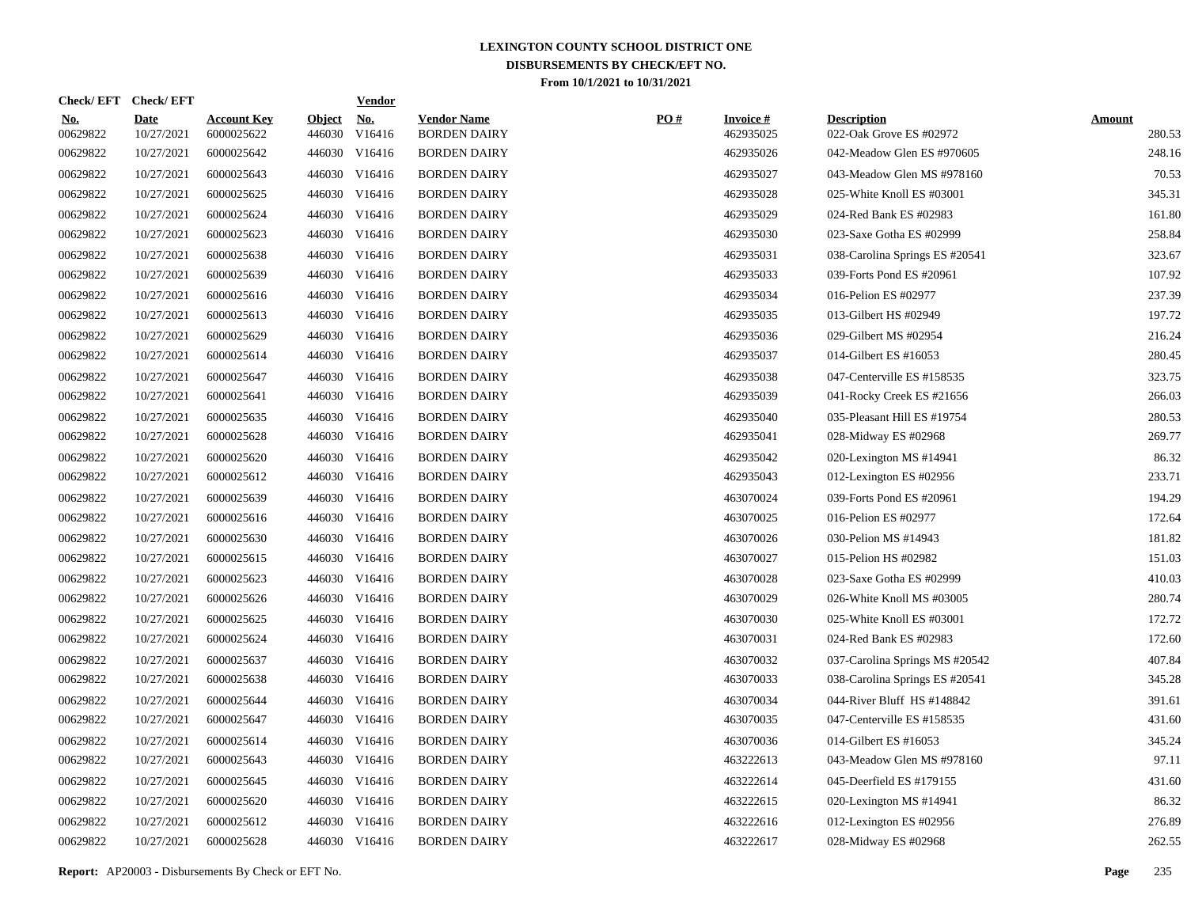|                        | Check/EFT Check/EFT       |                                  |                         | <b>Vendor</b>        |                                           |     |                              |                                               |                         |
|------------------------|---------------------------|----------------------------------|-------------------------|----------------------|-------------------------------------------|-----|------------------------------|-----------------------------------------------|-------------------------|
| <u>No.</u><br>00629822 | <b>Date</b><br>10/27/2021 | <b>Account Key</b><br>6000025622 | <b>Object</b><br>446030 | <u>No.</u><br>V16416 | <b>Vendor Name</b><br><b>BORDEN DAIRY</b> | PO# | <b>Invoice#</b><br>462935025 | <b>Description</b><br>022-Oak Grove ES #02972 | <b>Amount</b><br>280.53 |
| 00629822               | 10/27/2021                | 6000025642                       |                         | 446030 V16416        | <b>BORDEN DAIRY</b>                       |     | 462935026                    | 042-Meadow Glen ES #970605                    | 248.16                  |
| 00629822               | 10/27/2021                | 6000025643                       |                         | 446030 V16416        | <b>BORDEN DAIRY</b>                       |     | 462935027                    | 043-Meadow Glen MS #978160                    | 70.53                   |
| 00629822               | 10/27/2021                | 6000025625                       |                         | 446030 V16416        | <b>BORDEN DAIRY</b>                       |     | 462935028                    | 025-White Knoll ES #03001                     | 345.31                  |
| 00629822               | 10/27/2021                | 6000025624                       |                         | 446030 V16416        | <b>BORDEN DAIRY</b>                       |     | 462935029                    | 024-Red Bank ES #02983                        | 161.80                  |
| 00629822               | 10/27/2021                | 6000025623                       |                         | 446030 V16416        | <b>BORDEN DAIRY</b>                       |     | 462935030                    | 023-Saxe Gotha ES #02999                      | 258.84                  |
| 00629822               | 10/27/2021                | 6000025638                       |                         | 446030 V16416        | <b>BORDEN DAIRY</b>                       |     | 462935031                    | 038-Carolina Springs ES #20541                | 323.67                  |
| 00629822               | 10/27/2021                | 6000025639                       |                         | 446030 V16416        | <b>BORDEN DAIRY</b>                       |     | 462935033                    | 039-Forts Pond ES #20961                      | 107.92                  |
| 00629822               | 10/27/2021                | 6000025616                       |                         | 446030 V16416        | <b>BORDEN DAIRY</b>                       |     | 462935034                    | 016-Pelion ES #02977                          | 237.39                  |
| 00629822               | 10/27/2021                | 6000025613                       |                         | 446030 V16416        | <b>BORDEN DAIRY</b>                       |     | 462935035                    | 013-Gilbert HS #02949                         | 197.72                  |
| 00629822               | 10/27/2021                | 6000025629                       |                         | 446030 V16416        | <b>BORDEN DAIRY</b>                       |     | 462935036                    | 029-Gilbert MS #02954                         | 216.24                  |
| 00629822               | 10/27/2021                | 6000025614                       |                         | 446030 V16416        | <b>BORDEN DAIRY</b>                       |     | 462935037                    | 014-Gilbert ES #16053                         | 280.45                  |
| 00629822               | 10/27/2021                | 6000025647                       |                         | 446030 V16416        | <b>BORDEN DAIRY</b>                       |     | 462935038                    | 047-Centerville ES #158535                    | 323.75                  |
| 00629822               | 10/27/2021                | 6000025641                       |                         | 446030 V16416        | <b>BORDEN DAIRY</b>                       |     | 462935039                    | 041-Rocky Creek ES #21656                     | 266.03                  |
| 00629822               | 10/27/2021                | 6000025635                       |                         | 446030 V16416        | <b>BORDEN DAIRY</b>                       |     | 462935040                    | 035-Pleasant Hill ES #19754                   | 280.53                  |
| 00629822               | 10/27/2021                | 6000025628                       |                         | 446030 V16416        | <b>BORDEN DAIRY</b>                       |     | 462935041                    | 028-Midway ES #02968                          | 269.77                  |
| 00629822               | 10/27/2021                | 6000025620                       |                         | 446030 V16416        | <b>BORDEN DAIRY</b>                       |     | 462935042                    | 020-Lexington MS #14941                       | 86.32                   |
| 00629822               | 10/27/2021                | 6000025612                       |                         | 446030 V16416        | <b>BORDEN DAIRY</b>                       |     | 462935043                    | 012-Lexington ES #02956                       | 233.71                  |
| 00629822               | 10/27/2021                | 6000025639                       |                         | 446030 V16416        | <b>BORDEN DAIRY</b>                       |     | 463070024                    | 039-Forts Pond ES #20961                      | 194.29                  |
| 00629822               | 10/27/2021                | 6000025616                       |                         | 446030 V16416        | <b>BORDEN DAIRY</b>                       |     | 463070025                    | 016-Pelion ES #02977                          | 172.64                  |
| 00629822               | 10/27/2021                | 6000025630                       |                         | 446030 V16416        | <b>BORDEN DAIRY</b>                       |     | 463070026                    | 030-Pelion MS #14943                          | 181.82                  |
| 00629822               | 10/27/2021                | 6000025615                       |                         | 446030 V16416        | <b>BORDEN DAIRY</b>                       |     | 463070027                    | 015-Pelion HS #02982                          | 151.03                  |
| 00629822               | 10/27/2021                | 6000025623                       |                         | 446030 V16416        | <b>BORDEN DAIRY</b>                       |     | 463070028                    | 023-Saxe Gotha ES #02999                      | 410.03                  |
| 00629822               | 10/27/2021                | 6000025626                       |                         | 446030 V16416        | <b>BORDEN DAIRY</b>                       |     | 463070029                    | 026-White Knoll MS #03005                     | 280.74                  |
| 00629822               | 10/27/2021                | 6000025625                       |                         | 446030 V16416        | <b>BORDEN DAIRY</b>                       |     | 463070030                    | 025-White Knoll ES #03001                     | 172.72                  |
| 00629822               | 10/27/2021                | 6000025624                       |                         | 446030 V16416        | <b>BORDEN DAIRY</b>                       |     | 463070031                    | 024-Red Bank ES #02983                        | 172.60                  |
| 00629822               | 10/27/2021                | 6000025637                       |                         | 446030 V16416        | <b>BORDEN DAIRY</b>                       |     | 463070032                    | 037-Carolina Springs MS #20542                | 407.84                  |
| 00629822               | 10/27/2021                | 6000025638                       |                         | 446030 V16416        | <b>BORDEN DAIRY</b>                       |     | 463070033                    | 038-Carolina Springs ES #20541                | 345.28                  |
| 00629822               | 10/27/2021                | 6000025644                       |                         | 446030 V16416        | <b>BORDEN DAIRY</b>                       |     | 463070034                    | 044-River Bluff HS #148842                    | 391.61                  |
| 00629822               | 10/27/2021                | 6000025647                       |                         | 446030 V16416        | <b>BORDEN DAIRY</b>                       |     | 463070035                    | 047-Centerville ES #158535                    | 431.60                  |
| 00629822               | 10/27/2021                | 6000025614                       |                         | 446030 V16416        | <b>BORDEN DAIRY</b>                       |     | 463070036                    | 014-Gilbert ES #16053                         | 345.24                  |
| 00629822               | 10/27/2021                | 6000025643                       |                         | 446030 V16416        | <b>BORDEN DAIRY</b>                       |     | 463222613                    | 043-Meadow Glen MS #978160                    | 97.11                   |
| 00629822               | 10/27/2021                | 6000025645                       |                         | 446030 V16416        | <b>BORDEN DAIRY</b>                       |     | 463222614                    | 045-Deerfield ES #179155                      | 431.60                  |
| 00629822               | 10/27/2021                | 6000025620                       |                         | 446030 V16416        | <b>BORDEN DAIRY</b>                       |     | 463222615                    | 020-Lexington MS #14941                       | 86.32                   |
| 00629822               | 10/27/2021                | 6000025612                       | 446030                  | V16416               | <b>BORDEN DAIRY</b>                       |     | 463222616                    | 012-Lexington ES #02956                       | 276.89                  |
| 00629822               | 10/27/2021                | 6000025628                       |                         | 446030 V16416        | <b>BORDEN DAIRY</b>                       |     | 463222617                    | 028-Midway ES #02968                          | 262.55                  |
|                        |                           |                                  |                         |                      |                                           |     |                              |                                               |                         |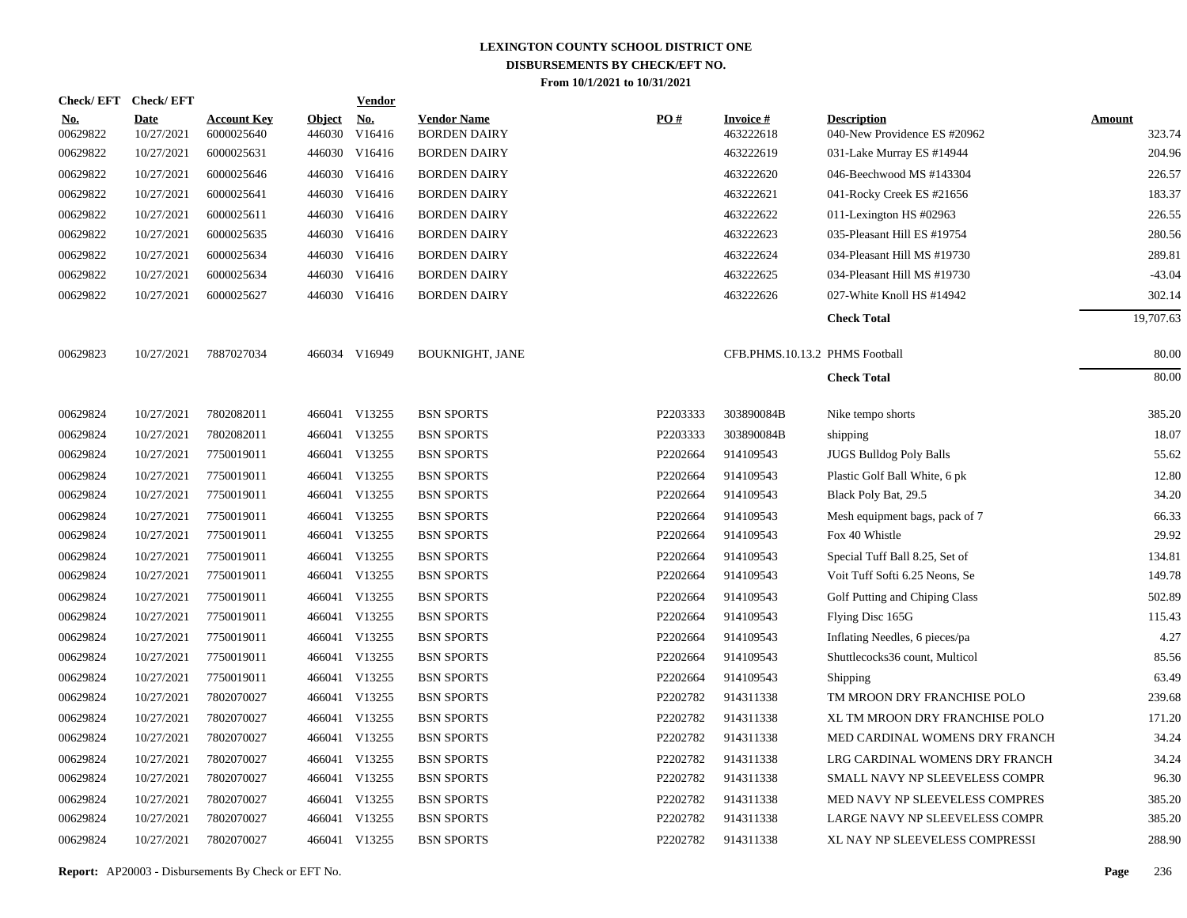| <b>Check/EFT</b>       | <b>Check/EFT</b>          |                                  |                         | <b>Vendor</b>        |                                           |          |                              |                                                    |                         |
|------------------------|---------------------------|----------------------------------|-------------------------|----------------------|-------------------------------------------|----------|------------------------------|----------------------------------------------------|-------------------------|
| <u>No.</u><br>00629822 | <b>Date</b><br>10/27/2021 | <b>Account Key</b><br>6000025640 | <b>Object</b><br>446030 | <u>No.</u><br>V16416 | <b>Vendor Name</b><br><b>BORDEN DAIRY</b> | PO#      | <b>Invoice#</b><br>463222618 | <b>Description</b><br>040-New Providence ES #20962 | <b>Amount</b><br>323.74 |
| 00629822               | 10/27/2021                | 6000025631                       |                         | 446030 V16416        | <b>BORDEN DAIRY</b>                       |          | 463222619                    | 031-Lake Murray ES #14944                          | 204.96                  |
| 00629822               | 10/27/2021                | 6000025646                       |                         | 446030 V16416        | <b>BORDEN DAIRY</b>                       |          | 463222620                    | 046-Beechwood MS #143304                           | 226.57                  |
| 00629822               | 10/27/2021                | 6000025641                       |                         | 446030 V16416        | <b>BORDEN DAIRY</b>                       |          | 463222621                    | 041-Rocky Creek ES #21656                          | 183.37                  |
| 00629822               | 10/27/2021                | 6000025611                       |                         | 446030 V16416        | <b>BORDEN DAIRY</b>                       |          | 463222622                    | 011-Lexington HS #02963                            | 226.55                  |
| 00629822               | 10/27/2021                | 6000025635                       |                         | 446030 V16416        | <b>BORDEN DAIRY</b>                       |          | 463222623                    | 035-Pleasant Hill ES #19754                        | 280.56                  |
| 00629822               | 10/27/2021                | 6000025634                       |                         | 446030 V16416        | <b>BORDEN DAIRY</b>                       |          | 463222624                    | 034-Pleasant Hill MS #19730                        | 289.81                  |
| 00629822               | 10/27/2021                | 6000025634                       |                         | 446030 V16416        | <b>BORDEN DAIRY</b>                       |          | 463222625                    | 034-Pleasant Hill MS #19730                        | $-43.04$                |
| 00629822               | 10/27/2021                | 6000025627                       |                         | 446030 V16416        | <b>BORDEN DAIRY</b>                       |          | 463222626                    | 027-White Knoll HS #14942                          | 302.14                  |
|                        |                           |                                  |                         |                      |                                           |          |                              | <b>Check Total</b>                                 | 19,707.63               |
| 00629823               | 10/27/2021                | 7887027034                       |                         | 466034 V16949        | <b>BOUKNIGHT, JANE</b>                    |          |                              | CFB.PHMS.10.13.2 PHMS Football                     | 80.00                   |
|                        |                           |                                  |                         |                      |                                           |          |                              | <b>Check Total</b>                                 | 80.00                   |
| 00629824               | 10/27/2021                | 7802082011                       |                         | 466041 V13255        | <b>BSN SPORTS</b>                         | P2203333 | 303890084B                   | Nike tempo shorts                                  | 385.20                  |
| 00629824               | 10/27/2021                | 7802082011                       | 466041                  | V13255               | <b>BSN SPORTS</b>                         | P2203333 | 303890084B                   | shipping                                           | 18.07                   |
| 00629824               | 10/27/2021                | 7750019011                       |                         | 466041 V13255        | <b>BSN SPORTS</b>                         | P2202664 | 914109543                    | <b>JUGS Bulldog Poly Balls</b>                     | 55.62                   |
| 00629824               | 10/27/2021                | 7750019011                       |                         | 466041 V13255        | <b>BSN SPORTS</b>                         | P2202664 | 914109543                    | Plastic Golf Ball White, 6 pk                      | 12.80                   |
| 00629824               | 10/27/2021                | 7750019011                       |                         | 466041 V13255        | <b>BSN SPORTS</b>                         | P2202664 | 914109543                    | Black Poly Bat, 29.5                               | 34.20                   |
| 00629824               | 10/27/2021                | 7750019011                       | 466041                  | V13255               | <b>BSN SPORTS</b>                         | P2202664 | 914109543                    | Mesh equipment bags, pack of 7                     | 66.33                   |
| 00629824               | 10/27/2021                | 7750019011                       |                         | 466041 V13255        | <b>BSN SPORTS</b>                         | P2202664 | 914109543                    | Fox 40 Whistle                                     | 29.92                   |
| 00629824               | 10/27/2021                | 7750019011                       | 466041                  | V13255               | <b>BSN SPORTS</b>                         | P2202664 | 914109543                    | Special Tuff Ball 8.25, Set of                     | 134.81                  |
| 00629824               | 10/27/2021                | 7750019011                       |                         | 466041 V13255        | <b>BSN SPORTS</b>                         | P2202664 | 914109543                    | Voit Tuff Softi 6.25 Neons, Se                     | 149.78                  |
| 00629824               | 10/27/2021                | 7750019011                       | 466041                  | V13255               | <b>BSN SPORTS</b>                         | P2202664 | 914109543                    | Golf Putting and Chiping Class                     | 502.89                  |
| 00629824               | 10/27/2021                | 7750019011                       |                         | 466041 V13255        | <b>BSN SPORTS</b>                         | P2202664 | 914109543                    | Flying Disc 165G                                   | 115.43                  |
| 00629824               | 10/27/2021                | 7750019011                       |                         | 466041 V13255        | <b>BSN SPORTS</b>                         | P2202664 | 914109543                    | Inflating Needles, 6 pieces/pa                     | 4.27                    |
| 00629824               | 10/27/2021                | 7750019011                       |                         | 466041 V13255        | <b>BSN SPORTS</b>                         | P2202664 | 914109543                    | Shuttlecocks36 count, Multicol                     | 85.56                   |
| 00629824               | 10/27/2021                | 7750019011                       |                         | 466041 V13255        | <b>BSN SPORTS</b>                         | P2202664 | 914109543                    | Shipping                                           | 63.49                   |
| 00629824               | 10/27/2021                | 7802070027                       |                         | 466041 V13255        | <b>BSN SPORTS</b>                         | P2202782 | 914311338                    | TM MROON DRY FRANCHISE POLO                        | 239.68                  |
| 00629824               | 10/27/2021                | 7802070027                       |                         | 466041 V13255        | <b>BSN SPORTS</b>                         | P2202782 | 914311338                    | XL TM MROON DRY FRANCHISE POLO                     | 171.20                  |
| 00629824               | 10/27/2021                | 7802070027                       |                         | 466041 V13255        | <b>BSN SPORTS</b>                         | P2202782 | 914311338                    | MED CARDINAL WOMENS DRY FRANCH                     | 34.24                   |
| 00629824               | 10/27/2021                | 7802070027                       |                         | 466041 V13255        | <b>BSN SPORTS</b>                         | P2202782 | 914311338                    | LRG CARDINAL WOMENS DRY FRANCH                     | 34.24                   |
| 00629824               | 10/27/2021                | 7802070027                       |                         | 466041 V13255        | <b>BSN SPORTS</b>                         | P2202782 | 914311338                    | SMALL NAVY NP SLEEVELESS COMPR                     | 96.30                   |
| 00629824               | 10/27/2021                | 7802070027                       |                         | 466041 V13255        | <b>BSN SPORTS</b>                         | P2202782 | 914311338                    | MED NAVY NP SLEEVELESS COMPRES                     | 385.20                  |
| 00629824               | 10/27/2021                | 7802070027                       |                         | 466041 V13255        | <b>BSN SPORTS</b>                         | P2202782 | 914311338                    | LARGE NAVY NP SLEEVELESS COMPR                     | 385.20                  |
| 00629824               | 10/27/2021                | 7802070027                       |                         | 466041 V13255        | <b>BSN SPORTS</b>                         | P2202782 | 914311338                    | XL NAY NP SLEEVELESS COMPRESSI                     | 288.90                  |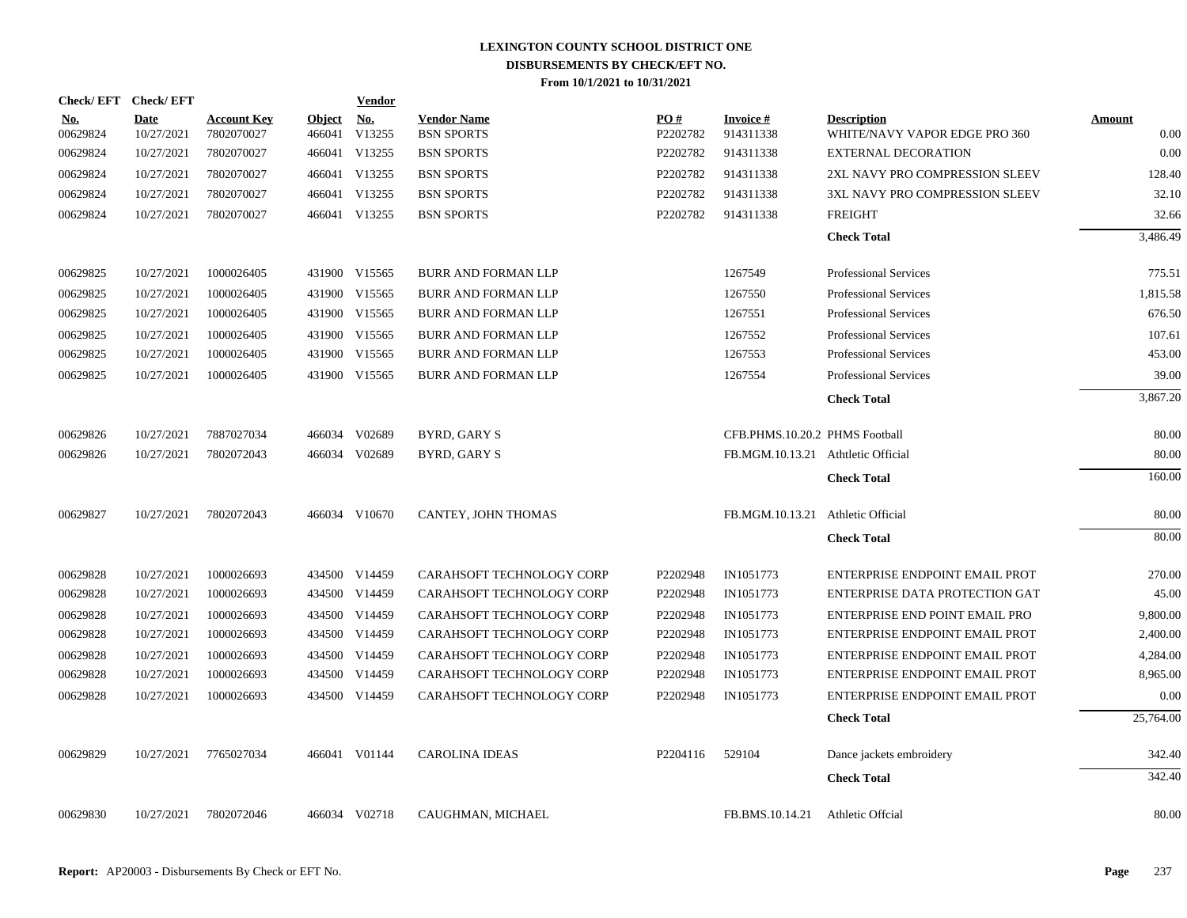| <b>Check/EFT</b>       | <b>Check/EFT</b>   |                                  |                         | <b>Vendor</b>        |                                         |                 |                                    |                                                     |                |
|------------------------|--------------------|----------------------------------|-------------------------|----------------------|-----------------------------------------|-----------------|------------------------------------|-----------------------------------------------------|----------------|
| <u>No.</u><br>00629824 | Date<br>10/27/2021 | <b>Account Key</b><br>7802070027 | <b>Object</b><br>466041 | <b>No.</b><br>V13255 | <b>Vendor Name</b><br><b>BSN SPORTS</b> | PO#<br>P2202782 | Invoice #<br>914311338             | <b>Description</b><br>WHITE/NAVY VAPOR EDGE PRO 360 | Amount<br>0.00 |
| 00629824               | 10/27/2021         | 7802070027                       |                         | 466041 V13255        | <b>BSN SPORTS</b>                       | P2202782        | 914311338                          | <b>EXTERNAL DECORATION</b>                          | 0.00           |
| 00629824               | 10/27/2021         | 7802070027                       |                         | 466041 V13255        | <b>BSN SPORTS</b>                       | P2202782        | 914311338                          | 2XL NAVY PRO COMPRESSION SLEEV                      | 128.40         |
| 00629824               | 10/27/2021         | 7802070027                       |                         | 466041 V13255        | <b>BSN SPORTS</b>                       | P2202782        | 914311338                          | 3XL NAVY PRO COMPRESSION SLEEV                      | 32.10          |
| 00629824               | 10/27/2021         | 7802070027                       |                         | 466041 V13255        | <b>BSN SPORTS</b>                       | P2202782        | 914311338                          | <b>FREIGHT</b>                                      | 32.66          |
|                        |                    |                                  |                         |                      |                                         |                 |                                    | <b>Check Total</b>                                  | 3,486.49       |
| 00629825               | 10/27/2021         | 1000026405                       |                         | 431900 V15565        | <b>BURR AND FORMAN LLP</b>              |                 | 1267549                            | <b>Professional Services</b>                        | 775.51         |
| 00629825               | 10/27/2021         | 1000026405                       |                         | 431900 V15565        | <b>BURR AND FORMAN LLP</b>              |                 | 1267550                            | <b>Professional Services</b>                        | 1,815.58       |
| 00629825               | 10/27/2021         | 1000026405                       |                         | 431900 V15565        | <b>BURR AND FORMAN LLP</b>              |                 | 1267551                            | <b>Professional Services</b>                        | 676.50         |
| 00629825               | 10/27/2021         | 1000026405                       |                         | 431900 V15565        | BURR AND FORMAN LLP                     |                 | 1267552                            | <b>Professional Services</b>                        | 107.61         |
| 00629825               | 10/27/2021         | 1000026405                       |                         | 431900 V15565        | BURR AND FORMAN LLP                     |                 | 1267553                            | <b>Professional Services</b>                        | 453.00         |
| 00629825               | 10/27/2021         | 1000026405                       |                         | 431900 V15565        | <b>BURR AND FORMAN LLP</b>              |                 | 1267554                            | <b>Professional Services</b>                        | 39.00          |
|                        |                    |                                  |                         |                      |                                         |                 |                                    | <b>Check Total</b>                                  | 3,867.20       |
| 00629826               | 10/27/2021         | 7887027034                       |                         | 466034 V02689        | BYRD, GARY S                            |                 | CFB.PHMS.10.20.2 PHMS Football     |                                                     | 80.00          |
| 00629826               | 10/27/2021         | 7802072043                       |                         | 466034 V02689        | BYRD, GARY S                            |                 | FB.MGM.10.13.21 Athtletic Official |                                                     | 80.00          |
|                        |                    |                                  |                         |                      |                                         |                 |                                    | <b>Check Total</b>                                  | 160.00         |
| 00629827               | 10/27/2021         | 7802072043                       |                         | 466034 V10670        | CANTEY, JOHN THOMAS                     |                 | FB.MGM.10.13.21 Athletic Official  |                                                     | 80.00          |
|                        |                    |                                  |                         |                      |                                         |                 |                                    | <b>Check Total</b>                                  | 80.00          |
| 00629828               | 10/27/2021         | 1000026693                       |                         | 434500 V14459        | <b>CARAHSOFT TECHNOLOGY CORP</b>        | P2202948        | IN1051773                          | ENTERPRISE ENDPOINT EMAIL PROT                      | 270.00         |
| 00629828               | 10/27/2021         | 1000026693                       |                         | 434500 V14459        | CARAHSOFT TECHNOLOGY CORP               | P2202948        | IN1051773                          | ENTERPRISE DATA PROTECTION GAT                      | 45.00          |
| 00629828               | 10/27/2021         | 1000026693                       |                         | 434500 V14459        | CARAHSOFT TECHNOLOGY CORP               | P2202948        | IN1051773                          | ENTERPRISE END POINT EMAIL PRO                      | 9,800.00       |
| 00629828               | 10/27/2021         | 1000026693                       |                         | 434500 V14459        | CARAHSOFT TECHNOLOGY CORP               | P2202948        | IN1051773                          | ENTERPRISE ENDPOINT EMAIL PROT                      | 2,400.00       |
| 00629828               | 10/27/2021         | 1000026693                       |                         | 434500 V14459        | CARAHSOFT TECHNOLOGY CORP               | P2202948        | IN1051773                          | ENTERPRISE ENDPOINT EMAIL PROT                      | 4,284.00       |
| 00629828               | 10/27/2021         | 1000026693                       |                         | 434500 V14459        | CARAHSOFT TECHNOLOGY CORP               | P2202948        | IN1051773                          | ENTERPRISE ENDPOINT EMAIL PROT                      | 8,965.00       |
| 00629828               | 10/27/2021         | 1000026693                       |                         | 434500 V14459        | CARAHSOFT TECHNOLOGY CORP               | P2202948        | IN1051773                          | ENTERPRISE ENDPOINT EMAIL PROT                      | 0.00           |
|                        |                    |                                  |                         |                      |                                         |                 |                                    | <b>Check Total</b>                                  | 25,764.00      |
| 00629829               | 10/27/2021         | 7765027034                       |                         | 466041 V01144        | <b>CAROLINA IDEAS</b>                   | P2204116        | 529104                             | Dance jackets embroidery                            | 342.40         |
|                        |                    |                                  |                         |                      |                                         |                 |                                    | <b>Check Total</b>                                  | 342.40         |
| 00629830               | 10/27/2021         | 7802072046                       |                         | 466034 V02718        | CAUGHMAN, MICHAEL                       |                 | FB.BMS.10.14.21                    | Athletic Offcial                                    | 80.00          |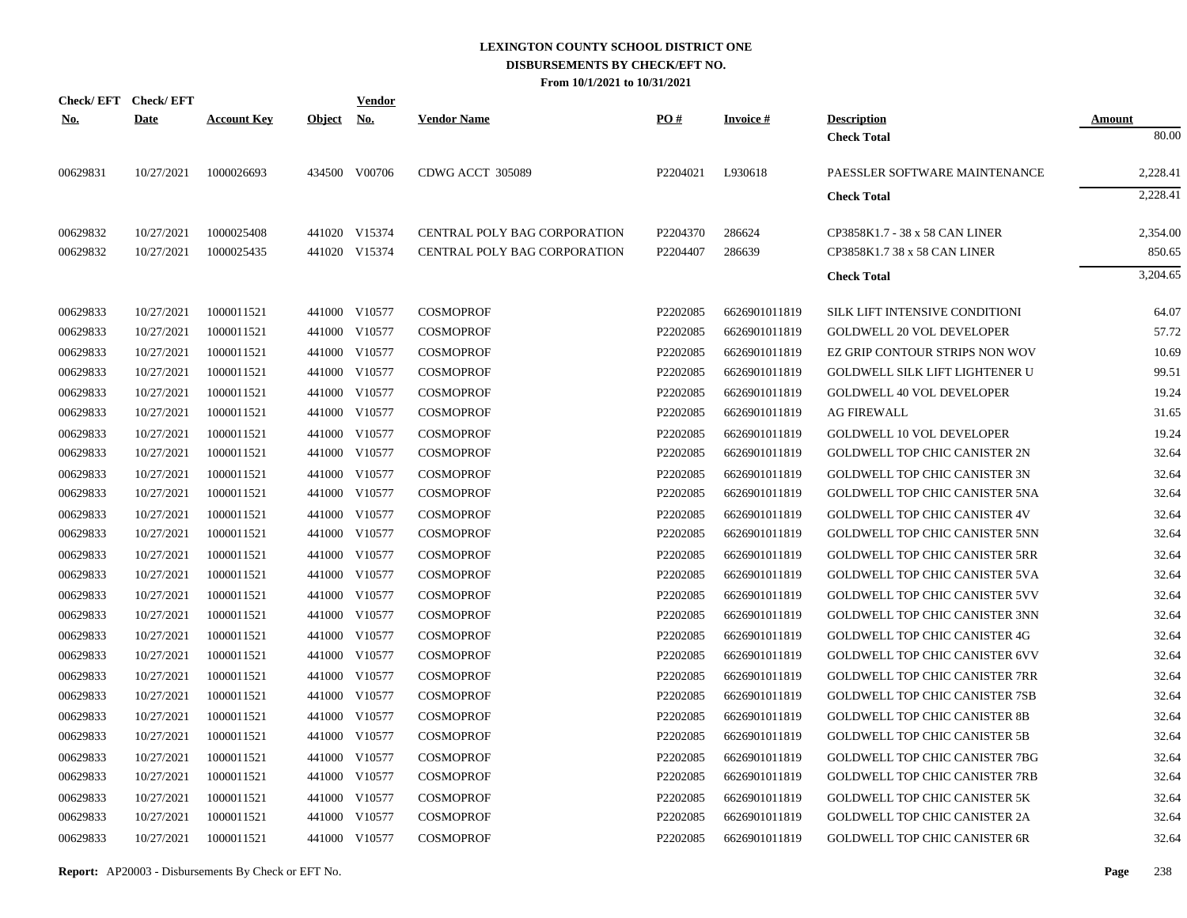|            | Check/EFT Check/EFT |                    |            | Vendor        |                                     |          |                 |                                       |               |
|------------|---------------------|--------------------|------------|---------------|-------------------------------------|----------|-----------------|---------------------------------------|---------------|
| <u>No.</u> | <b>Date</b>         | <b>Account Key</b> | Object No. |               | <b>Vendor Name</b>                  | PO#      | <b>Invoice#</b> | <b>Description</b>                    | <b>Amount</b> |
|            |                     |                    |            |               |                                     |          |                 | <b>Check Total</b>                    | 80.00         |
| 00629831   | 10/27/2021          | 1000026693         |            | 434500 V00706 | CDWG ACCT 305089                    | P2204021 | L930618         | PAESSLER SOFTWARE MAINTENANCE         | 2,228.41      |
|            |                     |                    |            |               |                                     |          |                 | <b>Check Total</b>                    | 2,228.41      |
| 00629832   | 10/27/2021          | 1000025408         |            | 441020 V15374 | CENTRAL POLY BAG CORPORATION        | P2204370 | 286624          | CP3858K1.7 - 38 x 58 CAN LINER        | 2,354.00      |
| 00629832   | 10/27/2021          | 1000025435         |            | 441020 V15374 | <b>CENTRAL POLY BAG CORPORATION</b> | P2204407 | 286639          | CP3858K1.7 38 x 58 CAN LINER          | 850.65        |
|            |                     |                    |            |               |                                     |          |                 | <b>Check Total</b>                    | 3,204.65      |
| 00629833   | 10/27/2021          | 1000011521         |            | 441000 V10577 | <b>COSMOPROF</b>                    | P2202085 | 6626901011819   | SILK LIFT INTENSIVE CONDITIONI        | 64.07         |
| 00629833   | 10/27/2021          | 1000011521         |            | 441000 V10577 | <b>COSMOPROF</b>                    | P2202085 | 6626901011819   | <b>GOLDWELL 20 VOL DEVELOPER</b>      | 57.72         |
| 00629833   | 10/27/2021          | 1000011521         |            | 441000 V10577 | <b>COSMOPROF</b>                    | P2202085 | 6626901011819   | <b>EZ GRIP CONTOUR STRIPS NON WOV</b> | 10.69         |
| 00629833   | 10/27/2021          | 1000011521         |            | 441000 V10577 | <b>COSMOPROF</b>                    | P2202085 | 6626901011819   | <b>GOLDWELL SILK LIFT LIGHTENER U</b> | 99.51         |
| 00629833   | 10/27/2021          | 1000011521         |            | 441000 V10577 | <b>COSMOPROF</b>                    | P2202085 | 6626901011819   | <b>GOLDWELL 40 VOL DEVELOPER</b>      | 19.24         |
| 00629833   | 10/27/2021          | 1000011521         |            | 441000 V10577 | <b>COSMOPROF</b>                    | P2202085 | 6626901011819   | <b>AG FIREWALL</b>                    | 31.65         |
| 00629833   | 10/27/2021          | 1000011521         |            | 441000 V10577 | <b>COSMOPROF</b>                    | P2202085 | 6626901011819   | <b>GOLDWELL 10 VOL DEVELOPER</b>      | 19.24         |
| 00629833   | 10/27/2021          | 1000011521         |            | 441000 V10577 | <b>COSMOPROF</b>                    | P2202085 | 6626901011819   | <b>GOLDWELL TOP CHIC CANISTER 2N</b>  | 32.64         |
| 00629833   | 10/27/2021          | 1000011521         |            | 441000 V10577 | <b>COSMOPROF</b>                    | P2202085 | 6626901011819   | <b>GOLDWELL TOP CHIC CANISTER 3N</b>  | 32.64         |
| 00629833   | 10/27/2021          | 1000011521         |            | 441000 V10577 | <b>COSMOPROF</b>                    | P2202085 | 6626901011819   | <b>GOLDWELL TOP CHIC CANISTER 5NA</b> | 32.64         |
| 00629833   | 10/27/2021          | 1000011521         |            | 441000 V10577 | <b>COSMOPROF</b>                    | P2202085 | 6626901011819   | <b>GOLDWELL TOP CHIC CANISTER 4V</b>  | 32.64         |
| 00629833   | 10/27/2021          | 1000011521         |            | 441000 V10577 | <b>COSMOPROF</b>                    | P2202085 | 6626901011819   | <b>GOLDWELL TOP CHIC CANISTER 5NN</b> | 32.64         |
| 00629833   | 10/27/2021          | 1000011521         |            | 441000 V10577 | <b>COSMOPROF</b>                    | P2202085 | 6626901011819   | <b>GOLDWELL TOP CHIC CANISTER 5RR</b> | 32.64         |
| 00629833   | 10/27/2021          | 1000011521         |            | 441000 V10577 | <b>COSMOPROF</b>                    | P2202085 | 6626901011819   | <b>GOLDWELL TOP CHIC CANISTER 5VA</b> | 32.64         |
| 00629833   | 10/27/2021          | 1000011521         |            | 441000 V10577 | <b>COSMOPROF</b>                    | P2202085 | 6626901011819   | <b>GOLDWELL TOP CHIC CANISTER 5VV</b> | 32.64         |
| 00629833   | 10/27/2021          | 1000011521         |            | 441000 V10577 | <b>COSMOPROF</b>                    | P2202085 | 6626901011819   | GOLDWELL TOP CHIC CANISTER 3NN        | 32.64         |
| 00629833   | 10/27/2021          | 1000011521         |            | 441000 V10577 | <b>COSMOPROF</b>                    | P2202085 | 6626901011819   | <b>GOLDWELL TOP CHIC CANISTER 4G</b>  | 32.64         |
| 00629833   | 10/27/2021          | 1000011521         |            | 441000 V10577 | <b>COSMOPROF</b>                    | P2202085 | 6626901011819   | <b>GOLDWELL TOP CHIC CANISTER 6VV</b> | 32.64         |
| 00629833   | 10/27/2021          | 1000011521         |            | 441000 V10577 | <b>COSMOPROF</b>                    | P2202085 | 6626901011819   | <b>GOLDWELL TOP CHIC CANISTER 7RR</b> | 32.64         |
| 00629833   | 10/27/2021          | 1000011521         |            | 441000 V10577 | <b>COSMOPROF</b>                    | P2202085 | 6626901011819   | <b>GOLDWELL TOP CHIC CANISTER 7SB</b> | 32.64         |
| 00629833   | 10/27/2021          | 1000011521         |            | 441000 V10577 | <b>COSMOPROF</b>                    | P2202085 | 6626901011819   | <b>GOLDWELL TOP CHIC CANISTER 8B</b>  | 32.64         |
| 00629833   | 10/27/2021          | 1000011521         |            | 441000 V10577 | <b>COSMOPROF</b>                    | P2202085 | 6626901011819   | <b>GOLDWELL TOP CHIC CANISTER 5B</b>  | 32.64         |
| 00629833   | 10/27/2021          | 1000011521         |            | 441000 V10577 | <b>COSMOPROF</b>                    | P2202085 | 6626901011819   | <b>GOLDWELL TOP CHIC CANISTER 7BG</b> | 32.64         |
| 00629833   | 10/27/2021          | 1000011521         |            | 441000 V10577 | <b>COSMOPROF</b>                    | P2202085 | 6626901011819   | <b>GOLDWELL TOP CHIC CANISTER 7RB</b> | 32.64         |
| 00629833   | 10/27/2021          | 1000011521         |            | 441000 V10577 | <b>COSMOPROF</b>                    | P2202085 | 6626901011819   | <b>GOLDWELL TOP CHIC CANISTER 5K</b>  | 32.64         |
| 00629833   | 10/27/2021          | 1000011521         |            | 441000 V10577 | <b>COSMOPROF</b>                    | P2202085 | 6626901011819   | <b>GOLDWELL TOP CHIC CANISTER 2A</b>  | 32.64         |
| 00629833   | 10/27/2021          | 1000011521         |            | 441000 V10577 | <b>COSMOPROF</b>                    | P2202085 | 6626901011819   | <b>GOLDWELL TOP CHIC CANISTER 6R</b>  | 32.64         |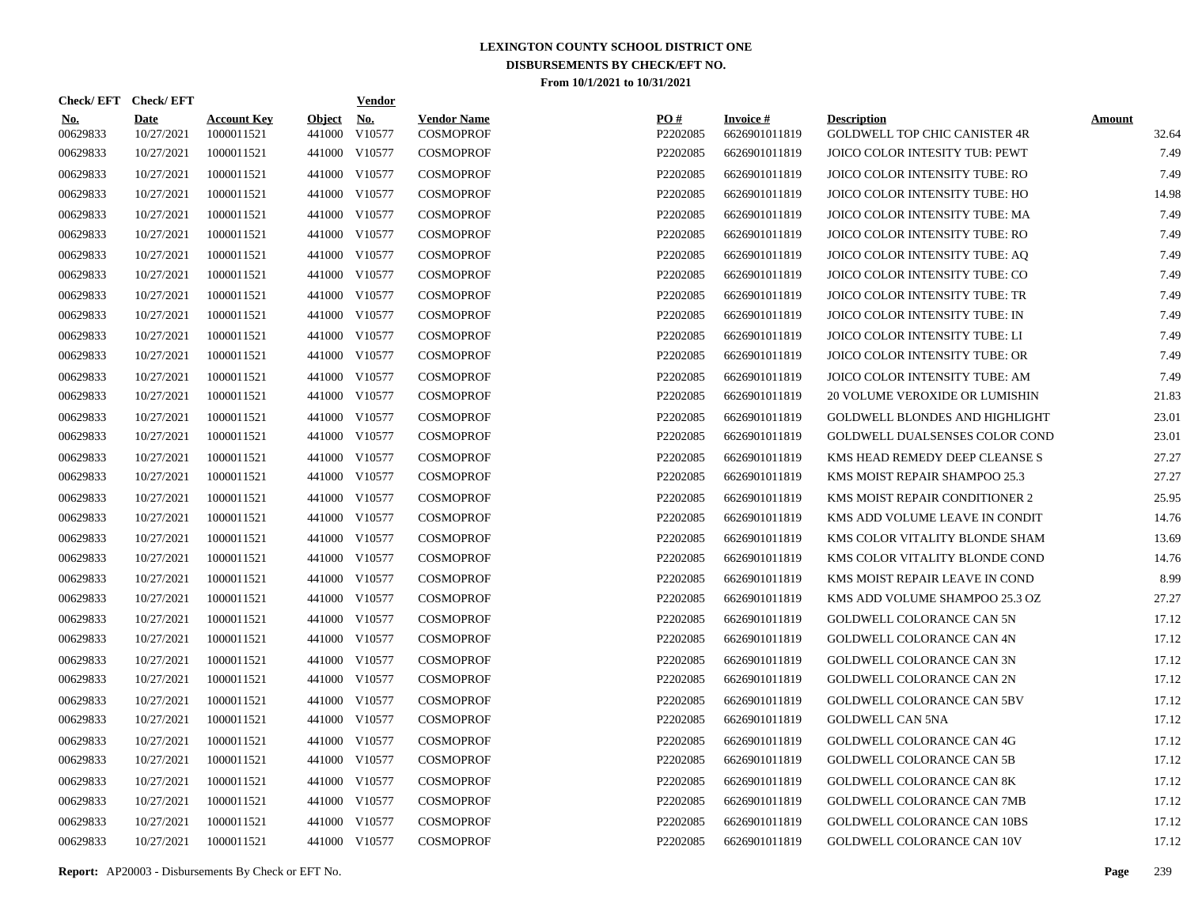| Check/EFT Check/EFT    |                           |                                  |                         | <b>Vendor</b> |                                        |                 |                                  |                                                     |                        |
|------------------------|---------------------------|----------------------------------|-------------------------|---------------|----------------------------------------|-----------------|----------------------------------|-----------------------------------------------------|------------------------|
| <u>No.</u><br>00629833 | <b>Date</b><br>10/27/2021 | <b>Account Key</b><br>1000011521 | <b>Object</b><br>441000 | No.<br>V10577 | <b>Vendor Name</b><br><b>COSMOPROF</b> | PO#<br>P2202085 | <b>Invoice#</b><br>6626901011819 | <b>Description</b><br>GOLDWELL TOP CHIC CANISTER 4R | <b>Amount</b><br>32.64 |
| 00629833               | 10/27/2021                | 1000011521                       |                         | 441000 V10577 | <b>COSMOPROF</b>                       | P2202085        | 6626901011819                    | JOICO COLOR INTESITY TUB: PEWT                      | 7.49                   |
| 00629833               | 10/27/2021                | 1000011521                       |                         | 441000 V10577 | <b>COSMOPROF</b>                       | P2202085        | 6626901011819                    | JOICO COLOR INTENSITY TUBE: RO                      | 7.49                   |
| 00629833               | 10/27/2021                | 1000011521                       |                         | 441000 V10577 | <b>COSMOPROF</b>                       | P2202085        | 6626901011819                    | JOICO COLOR INTENSITY TUBE: HO                      | 14.98                  |
| 00629833               | 10/27/2021                | 1000011521                       |                         | 441000 V10577 | <b>COSMOPROF</b>                       | P2202085        | 6626901011819                    | JOICO COLOR INTENSITY TUBE: MA                      | 7.49                   |
| 00629833               | 10/27/2021                | 1000011521                       |                         | 441000 V10577 | <b>COSMOPROF</b>                       | P2202085        | 6626901011819                    | JOICO COLOR INTENSITY TUBE: RO                      | 7.49                   |
| 00629833               | 10/27/2021                | 1000011521                       |                         | 441000 V10577 | <b>COSMOPROF</b>                       | P2202085        | 6626901011819                    | JOICO COLOR INTENSITY TUBE: AQ                      | 7.49                   |
| 00629833               | 10/27/2021                | 1000011521                       |                         | 441000 V10577 | <b>COSMOPROF</b>                       | P2202085        | 6626901011819                    | JOICO COLOR INTENSITY TUBE: CO                      | 7.49                   |
| 00629833               | 10/27/2021                | 1000011521                       |                         | 441000 V10577 | <b>COSMOPROF</b>                       | P2202085        | 6626901011819                    | JOICO COLOR INTENSITY TUBE: TR                      | 7.49                   |
| 00629833               | 10/27/2021                | 1000011521                       |                         | 441000 V10577 | <b>COSMOPROF</b>                       | P2202085        | 6626901011819                    | JOICO COLOR INTENSITY TUBE: IN                      | 7.49                   |
| 00629833               | 10/27/2021                | 1000011521                       |                         | 441000 V10577 | <b>COSMOPROF</b>                       | P2202085        | 6626901011819                    | JOICO COLOR INTENSITY TUBE: LI                      | 7.49                   |
| 00629833               | 10/27/2021                | 1000011521                       |                         | 441000 V10577 | <b>COSMOPROF</b>                       | P2202085        | 6626901011819                    | JOICO COLOR INTENSITY TUBE: OR                      | 7.49                   |
| 00629833               | 10/27/2021                | 1000011521                       |                         | 441000 V10577 | <b>COSMOPROF</b>                       | P2202085        | 6626901011819                    | JOICO COLOR INTENSITY TUBE: AM                      | 7.49                   |
| 00629833               | 10/27/2021                | 1000011521                       |                         | 441000 V10577 | <b>COSMOPROF</b>                       | P2202085        | 6626901011819                    | 20 VOLUME VEROXIDE OR LUMISHIN                      | 21.83                  |
| 00629833               | 10/27/2021                | 1000011521                       |                         | 441000 V10577 | <b>COSMOPROF</b>                       | P2202085        | 6626901011819                    | GOLDWELL BLONDES AND HIGHLIGHT                      | 23.01                  |
| 00629833               | 10/27/2021                | 1000011521                       |                         | 441000 V10577 | <b>COSMOPROF</b>                       | P2202085        | 6626901011819                    | GOLDWELL DUALSENSES COLOR COND                      | 23.01                  |
| 00629833               | 10/27/2021                | 1000011521                       |                         | 441000 V10577 | <b>COSMOPROF</b>                       | P2202085        | 6626901011819                    | KMS HEAD REMEDY DEEP CLEANSE S                      | 27.27                  |
| 00629833               | 10/27/2021                | 1000011521                       |                         | 441000 V10577 | <b>COSMOPROF</b>                       | P2202085        | 6626901011819                    | KMS MOIST REPAIR SHAMPOO 25.3                       | 27.27                  |
| 00629833               | 10/27/2021                | 1000011521                       |                         | 441000 V10577 | <b>COSMOPROF</b>                       | P2202085        | 6626901011819                    | KMS MOIST REPAIR CONDITIONER 2                      | 25.95                  |
| 00629833               | 10/27/2021                | 1000011521                       |                         | 441000 V10577 | <b>COSMOPROF</b>                       | P2202085        | 6626901011819                    | KMS ADD VOLUME LEAVE IN CONDIT                      | 14.76                  |
| 00629833               | 10/27/2021                | 1000011521                       |                         | 441000 V10577 | <b>COSMOPROF</b>                       | P2202085        | 6626901011819                    | KMS COLOR VITALITY BLONDE SHAM                      | 13.69                  |
| 00629833               | 10/27/2021                | 1000011521                       |                         | 441000 V10577 | <b>COSMOPROF</b>                       | P2202085        | 6626901011819                    | KMS COLOR VITALITY BLONDE COND                      | 14.76                  |
| 00629833               | 10/27/2021                | 1000011521                       |                         | 441000 V10577 | <b>COSMOPROF</b>                       | P2202085        | 6626901011819                    | KMS MOIST REPAIR LEAVE IN COND                      | 8.99                   |
| 00629833               | 10/27/2021                | 1000011521                       |                         | 441000 V10577 | <b>COSMOPROF</b>                       | P2202085        | 6626901011819                    | KMS ADD VOLUME SHAMPOO 25.3 OZ                      | 27.27                  |
| 00629833               | 10/27/2021                | 1000011521                       |                         | 441000 V10577 | <b>COSMOPROF</b>                       | P2202085        | 6626901011819                    | GOLDWELL COLORANCE CAN 5N                           | 17.12                  |
| 00629833               | 10/27/2021                | 1000011521                       |                         | 441000 V10577 | <b>COSMOPROF</b>                       | P2202085        | 6626901011819                    | <b>GOLDWELL COLORANCE CAN 4N</b>                    | 17.12                  |
| 00629833               | 10/27/2021                | 1000011521                       |                         | 441000 V10577 | <b>COSMOPROF</b>                       | P2202085        | 6626901011819                    | <b>GOLDWELL COLORANCE CAN 3N</b>                    | 17.12                  |
| 00629833               | 10/27/2021                | 1000011521                       |                         | 441000 V10577 | <b>COSMOPROF</b>                       | P2202085        | 6626901011819                    | <b>GOLDWELL COLORANCE CAN 2N</b>                    | 17.12                  |
| 00629833               | 10/27/2021                | 1000011521                       |                         | 441000 V10577 | <b>COSMOPROF</b>                       | P2202085        | 6626901011819                    | <b>GOLDWELL COLORANCE CAN 5BV</b>                   | 17.12                  |
| 00629833               | 10/27/2021                | 1000011521                       |                         | 441000 V10577 | <b>COSMOPROF</b>                       | P2202085        | 6626901011819                    | <b>GOLDWELL CAN 5NA</b>                             | 17.12                  |
| 00629833               | 10/27/2021                | 1000011521                       |                         | 441000 V10577 | <b>COSMOPROF</b>                       | P2202085        | 6626901011819                    | <b>GOLDWELL COLORANCE CAN 4G</b>                    | 17.12                  |
| 00629833               | 10/27/2021                | 1000011521                       |                         | 441000 V10577 | <b>COSMOPROF</b>                       | P2202085        | 6626901011819                    | <b>GOLDWELL COLORANCE CAN 5B</b>                    | 17.12                  |
| 00629833               | 10/27/2021                | 1000011521                       |                         | 441000 V10577 | <b>COSMOPROF</b>                       | P2202085        | 6626901011819                    | <b>GOLDWELL COLORANCE CAN 8K</b>                    | 17.12                  |
| 00629833               | 10/27/2021                | 1000011521                       |                         | 441000 V10577 | <b>COSMOPROF</b>                       | P2202085        | 6626901011819                    | GOLDWELL COLORANCE CAN 7MB                          | 17.12                  |
| 00629833               | 10/27/2021                | 1000011521                       |                         | 441000 V10577 | <b>COSMOPROF</b>                       | P2202085        | 6626901011819                    | <b>GOLDWELL COLORANCE CAN 10BS</b>                  | 17.12                  |
| 00629833               | 10/27/2021                | 1000011521                       |                         | 441000 V10577 | <b>COSMOPROF</b>                       | P2202085        | 6626901011819                    | GOLDWELL COLORANCE CAN 10V                          | 17.12                  |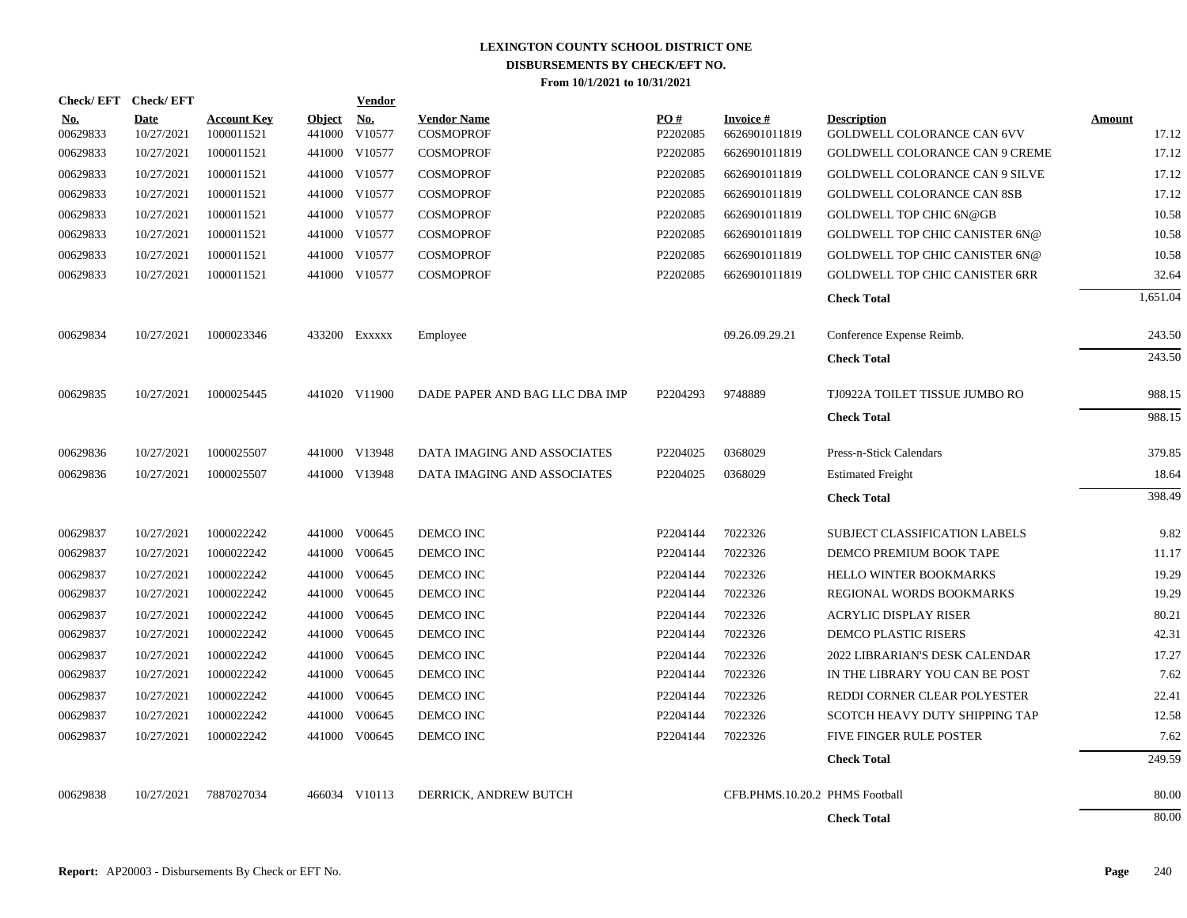|                        | Check/EFT Check/EFT |                                  |                         | <b>Vendor</b>        |                                        |                 |                                |                                                         |                        |
|------------------------|---------------------|----------------------------------|-------------------------|----------------------|----------------------------------------|-----------------|--------------------------------|---------------------------------------------------------|------------------------|
| <u>No.</u><br>00629833 | Date<br>10/27/2021  | <b>Account Key</b><br>1000011521 | <b>Object</b><br>441000 | <u>No.</u><br>V10577 | <b>Vendor Name</b><br><b>COSMOPROF</b> | PO#<br>P2202085 | Invoice #<br>6626901011819     | <b>Description</b><br><b>GOLDWELL COLORANCE CAN 6VV</b> | <u>Amount</u><br>17.12 |
| 00629833               | 10/27/2021          | 1000011521                       |                         | 441000 V10577        | <b>COSMOPROF</b>                       | P2202085        | 6626901011819                  | <b>GOLDWELL COLORANCE CAN 9 CREME</b>                   | 17.12                  |
| 00629833               | 10/27/2021          | 1000011521                       |                         | 441000 V10577        | <b>COSMOPROF</b>                       | P2202085        | 6626901011819                  | GOLDWELL COLORANCE CAN 9 SILVE                          | 17.12                  |
| 00629833               | 10/27/2021          | 1000011521                       |                         | 441000 V10577        | <b>COSMOPROF</b>                       | P2202085        | 6626901011819                  | GOLDWELL COLORANCE CAN 8SB                              | 17.12                  |
| 00629833               | 10/27/2021          | 1000011521                       |                         | 441000 V10577        | <b>COSMOPROF</b>                       | P2202085        | 6626901011819                  | <b>GOLDWELL TOP CHIC 6N@GB</b>                          | 10.58                  |
| 00629833               | 10/27/2021          | 1000011521                       |                         | 441000 V10577        | <b>COSMOPROF</b>                       | P2202085        | 6626901011819                  | <b>GOLDWELL TOP CHIC CANISTER 6N@</b>                   | 10.58                  |
| 00629833               | 10/27/2021          | 1000011521                       |                         | 441000 V10577        | <b>COSMOPROF</b>                       | P2202085        | 6626901011819                  | <b>GOLDWELL TOP CHIC CANISTER 6N@</b>                   | 10.58                  |
| 00629833               | 10/27/2021          | 1000011521                       |                         | 441000 V10577        | <b>COSMOPROF</b>                       | P2202085        | 6626901011819                  | <b>GOLDWELL TOP CHIC CANISTER 6RR</b>                   | 32.64                  |
|                        |                     |                                  |                         |                      |                                        |                 |                                | <b>Check Total</b>                                      | 1,651.04               |
| 00629834               | 10/27/2021          | 1000023346                       |                         | 433200 Exxxxx        | Employee                               |                 | 09.26.09.29.21                 | Conference Expense Reimb.                               | 243.50                 |
|                        |                     |                                  |                         |                      |                                        |                 |                                | <b>Check Total</b>                                      | 243.50                 |
| 00629835               | 10/27/2021          | 1000025445                       |                         | 441020 V11900        | DADE PAPER AND BAG LLC DBA IMP         | P2204293        | 9748889                        | TJ0922A TOILET TISSUE JUMBO RO                          | 988.15                 |
|                        |                     |                                  |                         |                      |                                        |                 |                                | <b>Check Total</b>                                      | 988.15                 |
| 00629836               | 10/27/2021          | 1000025507                       |                         | 441000 V13948        | DATA IMAGING AND ASSOCIATES            | P2204025        | 0368029                        | Press-n-Stick Calendars                                 | 379.85                 |
| 00629836               | 10/27/2021          | 1000025507                       |                         | 441000 V13948        | DATA IMAGING AND ASSOCIATES            | P2204025        | 0368029                        | <b>Estimated Freight</b>                                | 18.64                  |
|                        |                     |                                  |                         |                      |                                        |                 |                                | <b>Check Total</b>                                      | 398.49                 |
| 00629837               | 10/27/2021          | 1000022242                       |                         | 441000 V00645        | DEMCO INC                              | P2204144        | 7022326                        | SUBJECT CLASSIFICATION LABELS                           | 9.82                   |
| 00629837               | 10/27/2021          | 1000022242                       |                         | 441000 V00645        | DEMCO INC                              | P2204144        | 7022326                        | DEMCO PREMIUM BOOK TAPE                                 | 11.17                  |
| 00629837               | 10/27/2021          | 1000022242                       |                         | 441000 V00645        | DEMCO INC                              | P2204144        | 7022326                        | HELLO WINTER BOOKMARKS                                  | 19.29                  |
| 00629837               | 10/27/2021          | 1000022242                       |                         | 441000 V00645        | DEMCO INC                              | P2204144        | 7022326                        | REGIONAL WORDS BOOKMARKS                                | 19.29                  |
| 00629837               | 10/27/2021          | 1000022242                       |                         | 441000 V00645        | DEMCO INC                              | P2204144        | 7022326                        | <b>ACRYLIC DISPLAY RISER</b>                            | 80.21                  |
| 00629837               | 10/27/2021          | 1000022242                       |                         | 441000 V00645        | DEMCO INC                              | P2204144        | 7022326                        | DEMCO PLASTIC RISERS                                    | 42.31                  |
| 00629837               | 10/27/2021          | 1000022242                       |                         | 441000 V00645        | DEMCO INC                              | P2204144        | 7022326                        | 2022 LIBRARIAN'S DESK CALENDAR                          | 17.27                  |
| 00629837               | 10/27/2021          | 1000022242                       |                         | 441000 V00645        | DEMCO INC                              | P2204144        | 7022326                        | IN THE LIBRARY YOU CAN BE POST                          | 7.62                   |
| 00629837               | 10/27/2021          | 1000022242                       |                         | 441000 V00645        | DEMCO INC                              | P2204144        | 7022326                        | REDDI CORNER CLEAR POLYESTER                            | 22.41                  |
| 00629837               | 10/27/2021          | 1000022242                       |                         | 441000 V00645        | DEMCO INC                              | P2204144        | 7022326                        | SCOTCH HEAVY DUTY SHIPPING TAP                          | 12.58                  |
| 00629837               | 10/27/2021          | 1000022242                       | 441000                  | V00645               | DEMCO INC                              | P2204144        | 7022326                        | FIVE FINGER RULE POSTER                                 | 7.62                   |
|                        |                     |                                  |                         |                      |                                        |                 |                                | <b>Check Total</b>                                      | 249.59                 |
| 00629838               | 10/27/2021          | 7887027034                       |                         | 466034 V10113        | DERRICK, ANDREW BUTCH                  |                 | CFB.PHMS.10.20.2 PHMS Football |                                                         | 80.00                  |
|                        |                     |                                  |                         |                      |                                        |                 |                                | <b>Check Total</b>                                      | 80.00                  |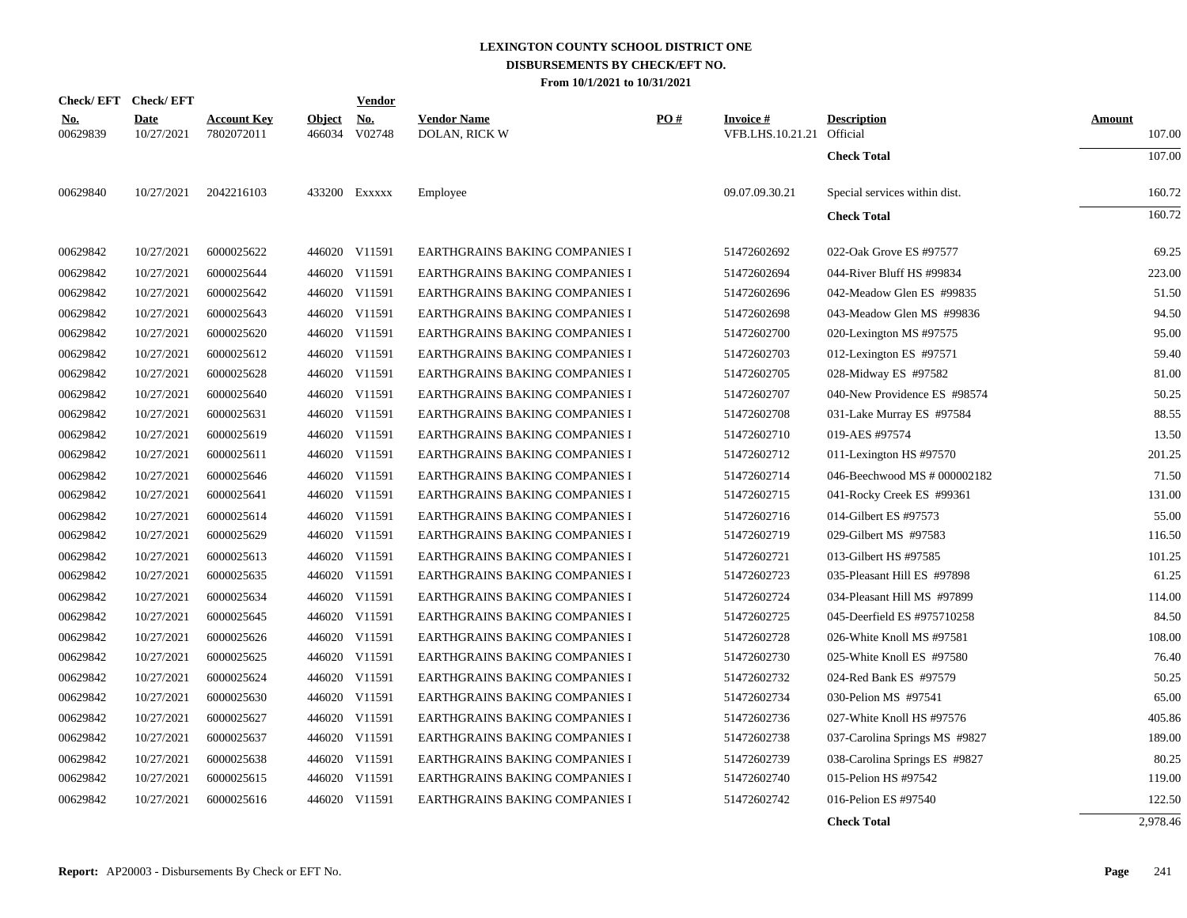|                        | Check/EFT Check/EFT       |                                  |                         | <u>Vendor</u>        |                                     |     |                                              |                               |                         |
|------------------------|---------------------------|----------------------------------|-------------------------|----------------------|-------------------------------------|-----|----------------------------------------------|-------------------------------|-------------------------|
| <u>No.</u><br>00629839 | <b>Date</b><br>10/27/2021 | <b>Account Key</b><br>7802072011 | <u>Object</u><br>466034 | <u>No.</u><br>V02748 | <b>Vendor Name</b><br>DOLAN, RICK W | PO# | <b>Invoice#</b><br>VFB.LHS.10.21.21 Official | <b>Description</b>            | <b>Amount</b><br>107.00 |
|                        |                           |                                  |                         |                      |                                     |     |                                              | <b>Check Total</b>            | 107.00                  |
| 00629840               | 10/27/2021                | 2042216103                       |                         | 433200 Exxxxx        | Employee                            |     | 09.07.09.30.21                               | Special services within dist. | 160.72                  |
|                        |                           |                                  |                         |                      |                                     |     |                                              | <b>Check Total</b>            | 160.72                  |
| 00629842               | 10/27/2021                | 6000025622                       |                         | 446020 V11591        | EARTHGRAINS BAKING COMPANIES I      |     | 51472602692                                  | 022-Oak Grove ES #97577       | 69.25                   |
| 00629842               | 10/27/2021                | 6000025644                       |                         | 446020 V11591        | EARTHGRAINS BAKING COMPANIES I      |     | 51472602694                                  | 044-River Bluff HS #99834     | 223.00                  |
| 00629842               | 10/27/2021                | 6000025642                       |                         | 446020 V11591        | EARTHGRAINS BAKING COMPANIES I      |     | 51472602696                                  | 042-Meadow Glen ES #99835     | 51.50                   |
| 00629842               | 10/27/2021                | 6000025643                       |                         | 446020 V11591        | EARTHGRAINS BAKING COMPANIES I      |     | 51472602698                                  | 043-Meadow Glen MS #99836     | 94.50                   |
| 00629842               | 10/27/2021                | 6000025620                       |                         | 446020 V11591        | EARTHGRAINS BAKING COMPANIES I      |     | 51472602700                                  | 020-Lexington MS #97575       | 95.00                   |
| 00629842               | 10/27/2021                | 6000025612                       |                         | 446020 V11591        | EARTHGRAINS BAKING COMPANIES I      |     | 51472602703                                  | 012-Lexington ES #97571       | 59.40                   |
| 00629842               | 10/27/2021                | 6000025628                       |                         | 446020 V11591        | EARTHGRAINS BAKING COMPANIES I      |     | 51472602705                                  | 028-Midway ES #97582          | 81.00                   |
| 00629842               | 10/27/2021                | 6000025640                       |                         | 446020 V11591        | EARTHGRAINS BAKING COMPANIES I      |     | 51472602707                                  | 040-New Providence ES #98574  | 50.25                   |
| 00629842               | 10/27/2021                | 6000025631                       |                         | 446020 V11591        | EARTHGRAINS BAKING COMPANIES I      |     | 51472602708                                  | 031-Lake Murray ES #97584     | 88.55                   |
| 00629842               | 10/27/2021                | 6000025619                       |                         | 446020 V11591        | EARTHGRAINS BAKING COMPANIES I      |     | 51472602710                                  | 019-AES #97574                | 13.50                   |
| 00629842               | 10/27/2021                | 6000025611                       |                         | 446020 V11591        | EARTHGRAINS BAKING COMPANIES I      |     | 51472602712                                  | 011-Lexington HS #97570       | 201.25                  |
| 00629842               | 10/27/2021                | 6000025646                       |                         | 446020 V11591        | EARTHGRAINS BAKING COMPANIES I      |     | 51472602714                                  | 046-Beechwood MS # 000002182  | 71.50                   |
| 00629842               | 10/27/2021                | 6000025641                       |                         | 446020 V11591        | EARTHGRAINS BAKING COMPANIES I      |     | 51472602715                                  | 041-Rocky Creek ES #99361     | 131.00                  |
| 00629842               | 10/27/2021                | 6000025614                       |                         | 446020 V11591        | EARTHGRAINS BAKING COMPANIES I      |     | 51472602716                                  | 014-Gilbert ES #97573         | 55.00                   |
| 00629842               | 10/27/2021                | 6000025629                       |                         | 446020 V11591        | EARTHGRAINS BAKING COMPANIES I      |     | 51472602719                                  | 029-Gilbert MS #97583         | 116.50                  |
| 00629842               | 10/27/2021                | 6000025613                       |                         | 446020 V11591        | EARTHGRAINS BAKING COMPANIES I      |     | 51472602721                                  | 013-Gilbert HS #97585         | 101.25                  |
| 00629842               | 10/27/2021                | 6000025635                       |                         | 446020 V11591        | EARTHGRAINS BAKING COMPANIES I      |     | 51472602723                                  | 035-Pleasant Hill ES #97898   | 61.25                   |
| 00629842               | 10/27/2021                | 6000025634                       |                         | 446020 V11591        | EARTHGRAINS BAKING COMPANIES I      |     | 51472602724                                  | 034-Pleasant Hill MS #97899   | 114.00                  |
| 00629842               | 10/27/2021                | 6000025645                       |                         | 446020 V11591        | EARTHGRAINS BAKING COMPANIES I      |     | 51472602725                                  | 045-Deerfield ES #975710258   | 84.50                   |
| 00629842               | 10/27/2021                | 6000025626                       |                         | 446020 V11591        | EARTHGRAINS BAKING COMPANIES I      |     | 51472602728                                  | 026-White Knoll MS #97581     | 108.00                  |
| 00629842               | 10/27/2021                | 6000025625                       |                         | 446020 V11591        | EARTHGRAINS BAKING COMPANIES I      |     | 51472602730                                  | 025-White Knoll ES #97580     | 76.40                   |
| 00629842               | 10/27/2021                | 6000025624                       |                         | 446020 V11591        | EARTHGRAINS BAKING COMPANIES I      |     | 51472602732                                  | 024-Red Bank ES #97579        | 50.25                   |
| 00629842               | 10/27/2021                | 6000025630                       |                         | 446020 V11591        | EARTHGRAINS BAKING COMPANIES I      |     | 51472602734                                  | 030-Pelion MS #97541          | 65.00                   |
| 00629842               | 10/27/2021                | 6000025627                       |                         | 446020 V11591        | EARTHGRAINS BAKING COMPANIES I      |     | 51472602736                                  | 027-White Knoll HS #97576     | 405.86                  |
| 00629842               | 10/27/2021                | 6000025637                       |                         | 446020 V11591        | EARTHGRAINS BAKING COMPANIES I      |     | 51472602738                                  | 037-Carolina Springs MS #9827 | 189.00                  |
| 00629842               | 10/27/2021                | 6000025638                       |                         | 446020 V11591        | EARTHGRAINS BAKING COMPANIES I      |     | 51472602739                                  | 038-Carolina Springs ES #9827 | 80.25                   |
| 00629842               | 10/27/2021                | 6000025615                       |                         | 446020 V11591        | EARTHGRAINS BAKING COMPANIES I      |     | 51472602740                                  | 015-Pelion HS #97542          | 119.00                  |
| 00629842               | 10/27/2021                | 6000025616                       |                         | 446020 V11591        | EARTHGRAINS BAKING COMPANIES I      |     | 51472602742                                  | 016-Pelion ES #97540          | 122.50                  |
|                        |                           |                                  |                         |                      |                                     |     |                                              | <b>Check Total</b>            | 2,978.46                |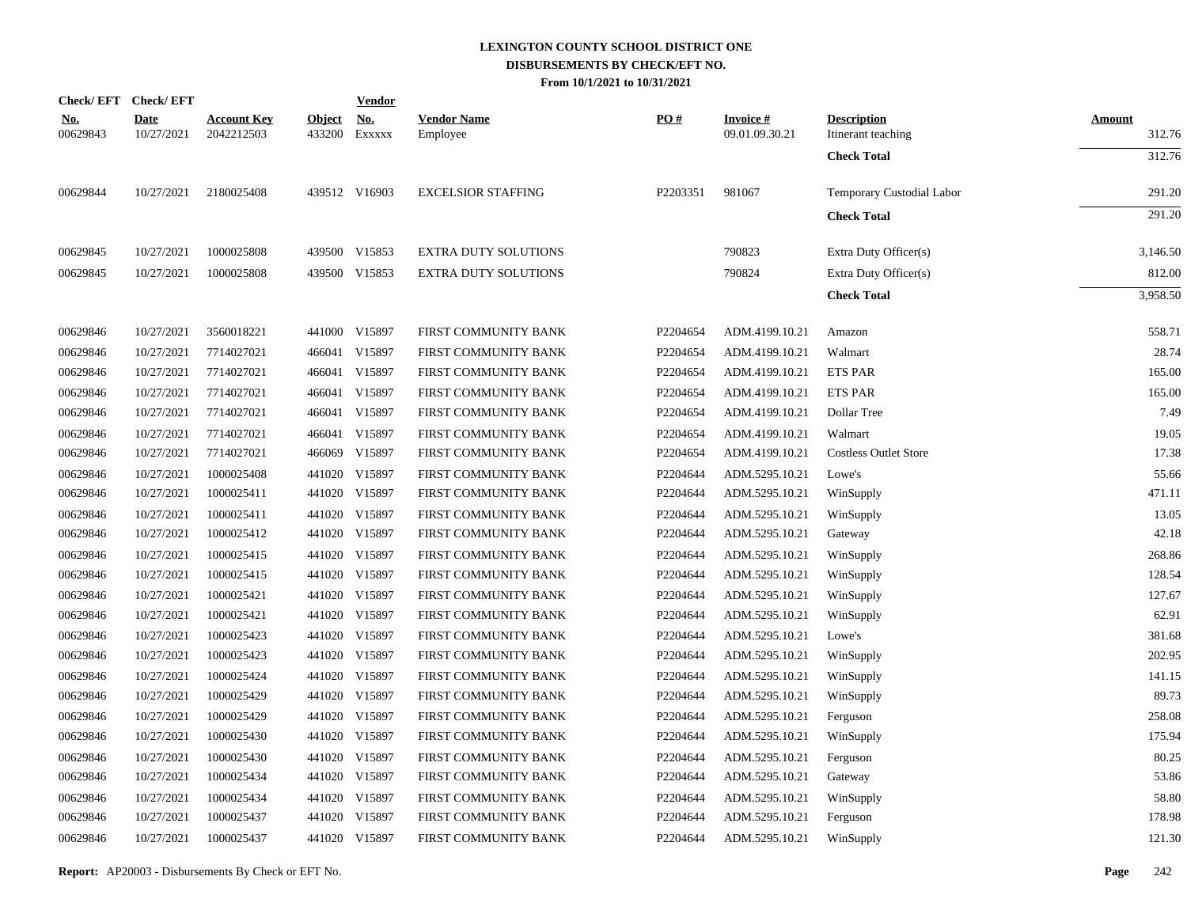|                        | Check/EFT Check/EFT       |                                  |               | <b>Vendor</b>               |                                |          |                                   |                                          |                         |
|------------------------|---------------------------|----------------------------------|---------------|-----------------------------|--------------------------------|----------|-----------------------------------|------------------------------------------|-------------------------|
| <u>No.</u><br>00629843 | <b>Date</b><br>10/27/2021 | <b>Account Key</b><br>2042212503 | <b>Object</b> | <u>No.</u><br>433200 Exxxxx | <b>Vendor Name</b><br>Employee | PO#      | <b>Invoice#</b><br>09.01.09.30.21 | <b>Description</b><br>Itinerant teaching | <b>Amount</b><br>312.76 |
|                        |                           |                                  |               |                             |                                |          |                                   | <b>Check Total</b>                       | 312.76                  |
| 00629844               | 10/27/2021                | 2180025408                       |               | 439512 V16903               | <b>EXCELSIOR STAFFING</b>      | P2203351 | 981067                            | Temporary Custodial Labor                | 291.20                  |
|                        |                           |                                  |               |                             |                                |          |                                   | <b>Check Total</b>                       | 291.20                  |
| 00629845               | 10/27/2021                | 1000025808                       |               | 439500 V15853               | <b>EXTRA DUTY SOLUTIONS</b>    |          | 790823                            | Extra Duty Officer(s)                    | 3,146.50                |
| 00629845               | 10/27/2021                | 1000025808                       |               | 439500 V15853               | <b>EXTRA DUTY SOLUTIONS</b>    |          | 790824                            | Extra Duty Officer(s)                    | 812.00                  |
|                        |                           |                                  |               |                             |                                |          |                                   | <b>Check Total</b>                       | 3,958.50                |
| 00629846               | 10/27/2021                | 3560018221                       |               | 441000 V15897               | FIRST COMMUNITY BANK           | P2204654 | ADM.4199.10.21                    | Amazon                                   | 558.71                  |
| 00629846               | 10/27/2021                | 7714027021                       |               | 466041 V15897               | FIRST COMMUNITY BANK           | P2204654 | ADM.4199.10.21                    | Walmart                                  | 28.74                   |
| 00629846               | 10/27/2021                | 7714027021                       |               | 466041 V15897               | FIRST COMMUNITY BANK           | P2204654 | ADM.4199.10.21                    | <b>ETS PAR</b>                           | 165.00                  |
| 00629846               | 10/27/2021                | 7714027021                       |               | 466041 V15897               | FIRST COMMUNITY BANK           | P2204654 | ADM.4199.10.21                    | <b>ETS PAR</b>                           | 165.00                  |
| 00629846               | 10/27/2021                | 7714027021                       |               | 466041 V15897               | FIRST COMMUNITY BANK           | P2204654 | ADM.4199.10.21                    | Dollar Tree                              | 7.49                    |
| 00629846               | 10/27/2021                | 7714027021                       |               | 466041 V15897               | FIRST COMMUNITY BANK           | P2204654 | ADM.4199.10.21                    | Walmart                                  | 19.05                   |
| 00629846               | 10/27/2021                | 7714027021                       |               | 466069 V15897               | FIRST COMMUNITY BANK           | P2204654 | ADM.4199.10.21                    | <b>Costless Outlet Store</b>             | 17.38                   |
| 00629846               | 10/27/2021                | 1000025408                       |               | 441020 V15897               | FIRST COMMUNITY BANK           | P2204644 | ADM.5295.10.21                    | Lowe's                                   | 55.66                   |
| 00629846               | 10/27/2021                | 1000025411                       |               | 441020 V15897               | FIRST COMMUNITY BANK           | P2204644 | ADM.5295.10.21                    | WinSupply                                | 471.11                  |
| 00629846               | 10/27/2021                | 1000025411                       |               | 441020 V15897               | FIRST COMMUNITY BANK           | P2204644 | ADM.5295.10.21                    | WinSupply                                | 13.05                   |
| 00629846               | 10/27/2021                | 1000025412                       |               | 441020 V15897               | FIRST COMMUNITY BANK           | P2204644 | ADM.5295.10.21                    | Gateway                                  | 42.18                   |
| 00629846               | 10/27/2021                | 1000025415                       |               | 441020 V15897               | FIRST COMMUNITY BANK           | P2204644 | ADM.5295.10.21                    | WinSupply                                | 268.86                  |
| 00629846               | 10/27/2021                | 1000025415                       |               | 441020 V15897               | FIRST COMMUNITY BANK           | P2204644 | ADM.5295.10.21                    | WinSupply                                | 128.54                  |
| 00629846               | 10/27/2021                | 1000025421                       |               | 441020 V15897               | FIRST COMMUNITY BANK           | P2204644 | ADM.5295.10.21                    | WinSupply                                | 127.67                  |
| 00629846               | 10/27/2021                | 1000025421                       |               | 441020 V15897               | FIRST COMMUNITY BANK           | P2204644 | ADM.5295.10.21                    | WinSupply                                | 62.91                   |
| 00629846               | 10/27/2021                | 1000025423                       |               | 441020 V15897               | FIRST COMMUNITY BANK           | P2204644 | ADM.5295.10.21                    | Lowe's                                   | 381.68                  |
| 00629846               | 10/27/2021                | 1000025423                       |               | 441020 V15897               | FIRST COMMUNITY BANK           | P2204644 | ADM.5295.10.21                    | WinSupply                                | 202.95                  |
| 00629846               | 10/27/2021                | 1000025424                       |               | 441020 V15897               | FIRST COMMUNITY BANK           | P2204644 | ADM.5295.10.21                    | WinSupply                                | 141.15                  |
| 00629846               | 10/27/2021                | 1000025429                       |               | 441020 V15897               | FIRST COMMUNITY BANK           | P2204644 | ADM.5295.10.21                    | WinSupply                                | 89.73                   |
| 00629846               | 10/27/2021                | 1000025429                       |               | 441020 V15897               | FIRST COMMUNITY BANK           | P2204644 | ADM.5295.10.21                    | Ferguson                                 | 258.08                  |
| 00629846               | 10/27/2021                | 1000025430                       |               | 441020 V15897               | FIRST COMMUNITY BANK           | P2204644 | ADM.5295.10.21                    | WinSupply                                | 175.94                  |
| 00629846               | 10/27/2021                | 1000025430                       |               | 441020 V15897               | FIRST COMMUNITY BANK           | P2204644 | ADM.5295.10.21                    | Ferguson                                 | 80.25                   |
| 00629846               | 10/27/2021                | 1000025434                       |               | 441020 V15897               | FIRST COMMUNITY BANK           | P2204644 | ADM.5295.10.21                    | Gateway                                  | 53.86                   |
| 00629846               | 10/27/2021                | 1000025434                       |               | 441020 V15897               | FIRST COMMUNITY BANK           | P2204644 | ADM.5295.10.21                    | WinSupply                                | 58.80                   |
| 00629846               | 10/27/2021                | 1000025437                       |               | 441020 V15897               | FIRST COMMUNITY BANK           | P2204644 | ADM.5295.10.21                    | Ferguson                                 | 178.98                  |
| 00629846               | 10/27/2021                | 1000025437                       |               | 441020 V15897               | FIRST COMMUNITY BANK           | P2204644 | ADM.5295.10.21                    | WinSupply                                | 121.30                  |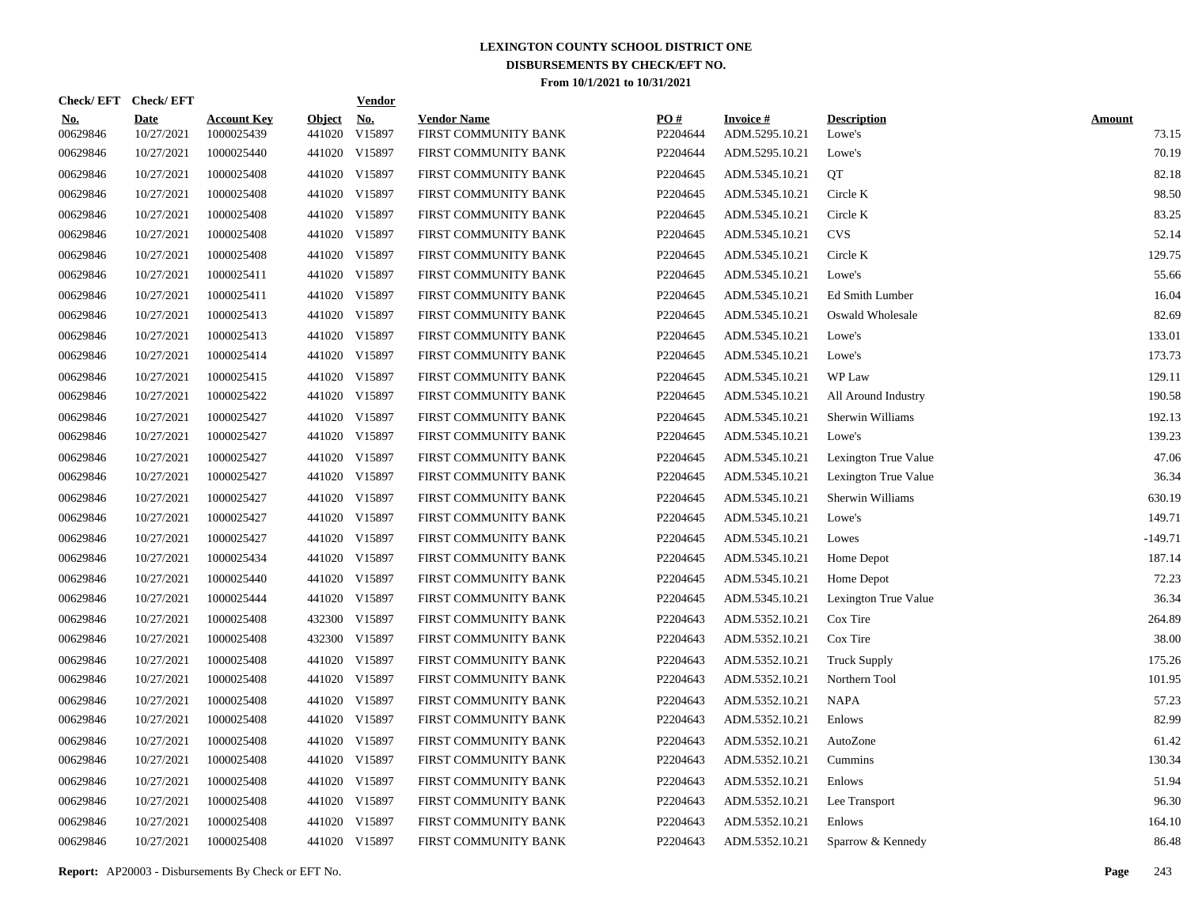|                        | Check/EFT Check/EFT       |                                  |                         | <b>Vendor</b>        |                                            |                 |                                   |                              |                        |
|------------------------|---------------------------|----------------------------------|-------------------------|----------------------|--------------------------------------------|-----------------|-----------------------------------|------------------------------|------------------------|
| <u>No.</u><br>00629846 | <b>Date</b><br>10/27/2021 | <b>Account Key</b><br>1000025439 | <b>Object</b><br>441020 | <u>No.</u><br>V15897 | <b>Vendor Name</b><br>FIRST COMMUNITY BANK | PQ#<br>P2204644 | <b>Invoice#</b><br>ADM.5295.10.21 | <b>Description</b><br>Lowe's | <b>Amount</b><br>73.15 |
| 00629846               | 10/27/2021                | 1000025440                       |                         | 441020 V15897        | FIRST COMMUNITY BANK                       | P2204644        | ADM.5295.10.21                    | Lowe's                       | 70.19                  |
| 00629846               | 10/27/2021                | 1000025408                       |                         | 441020 V15897        | FIRST COMMUNITY BANK                       | P2204645        | ADM.5345.10.21                    | <b>OT</b>                    | 82.18                  |
| 00629846               | 10/27/2021                | 1000025408                       |                         | 441020 V15897        | FIRST COMMUNITY BANK                       | P2204645        | ADM.5345.10.21                    | Circle K                     | 98.50                  |
| 00629846               | 10/27/2021                | 1000025408                       |                         | 441020 V15897        | FIRST COMMUNITY BANK                       | P2204645        | ADM.5345.10.21                    | Circle K                     | 83.25                  |
| 00629846               | 10/27/2021                | 1000025408                       |                         | 441020 V15897        | FIRST COMMUNITY BANK                       | P2204645        | ADM.5345.10.21                    | <b>CVS</b>                   | 52.14                  |
| 00629846               | 10/27/2021                | 1000025408                       |                         | 441020 V15897        | FIRST COMMUNITY BANK                       | P2204645        | ADM.5345.10.21                    | Circle K                     | 129.75                 |
| 00629846               | 10/27/2021                | 1000025411                       |                         | 441020 V15897        | FIRST COMMUNITY BANK                       | P2204645        | ADM.5345.10.21                    | Lowe's                       | 55.66                  |
| 00629846               | 10/27/2021                | 1000025411                       |                         | 441020 V15897        | FIRST COMMUNITY BANK                       | P2204645        | ADM.5345.10.21                    | Ed Smith Lumber              | 16.04                  |
| 00629846               | 10/27/2021                | 1000025413                       |                         | 441020 V15897        | FIRST COMMUNITY BANK                       | P2204645        | ADM.5345.10.21                    | Oswald Wholesale             | 82.69                  |
| 00629846               | 10/27/2021                | 1000025413                       |                         | 441020 V15897        | FIRST COMMUNITY BANK                       | P2204645        | ADM.5345.10.21                    | Lowe's                       | 133.01                 |
| 00629846               | 10/27/2021                | 1000025414                       |                         | 441020 V15897        | FIRST COMMUNITY BANK                       | P2204645        | ADM.5345.10.21                    | Lowe's                       | 173.73                 |
| 00629846               | 10/27/2021                | 1000025415                       |                         | 441020 V15897        | FIRST COMMUNITY BANK                       | P2204645        | ADM.5345.10.21                    | WP Law                       | 129.11                 |
| 00629846               | 10/27/2021                | 1000025422                       |                         | 441020 V15897        | FIRST COMMUNITY BANK                       | P2204645        | ADM.5345.10.21                    | All Around Industry          | 190.58                 |
| 00629846               | 10/27/2021                | 1000025427                       |                         | 441020 V15897        | FIRST COMMUNITY BANK                       | P2204645        | ADM.5345.10.21                    | Sherwin Williams             | 192.13                 |
| 00629846               | 10/27/2021                | 1000025427                       |                         | 441020 V15897        | FIRST COMMUNITY BANK                       | P2204645        | ADM.5345.10.21                    | Lowe's                       | 139.23                 |
| 00629846               | 10/27/2021                | 1000025427                       |                         | 441020 V15897        | FIRST COMMUNITY BANK                       | P2204645        | ADM.5345.10.21                    | Lexington True Value         | 47.06                  |
| 00629846               | 10/27/2021                | 1000025427                       |                         | 441020 V15897        | FIRST COMMUNITY BANK                       | P2204645        | ADM.5345.10.21                    | Lexington True Value         | 36.34                  |
| 00629846               | 10/27/2021                | 1000025427                       |                         | 441020 V15897        | FIRST COMMUNITY BANK                       | P2204645        | ADM.5345.10.21                    | Sherwin Williams             | 630.19                 |
| 00629846               | 10/27/2021                | 1000025427                       |                         | 441020 V15897        | FIRST COMMUNITY BANK                       | P2204645        | ADM.5345.10.21                    | Lowe's                       | 149.71                 |
| 00629846               | 10/27/2021                | 1000025427                       |                         | 441020 V15897        | FIRST COMMUNITY BANK                       | P2204645        | ADM.5345.10.21                    | Lowes                        | $-149.71$              |
| 00629846               | 10/27/2021                | 1000025434                       |                         | 441020 V15897        | FIRST COMMUNITY BANK                       | P2204645        | ADM.5345.10.21                    | Home Depot                   | 187.14                 |
| 00629846               | 10/27/2021                | 1000025440                       |                         | 441020 V15897        | FIRST COMMUNITY BANK                       | P2204645        | ADM.5345.10.21                    | Home Depot                   | 72.23                  |
| 00629846               | 10/27/2021                | 1000025444                       |                         | 441020 V15897        | FIRST COMMUNITY BANK                       | P2204645        | ADM.5345.10.21                    | Lexington True Value         | 36.34                  |
| 00629846               | 10/27/2021                | 1000025408                       |                         | 432300 V15897        | FIRST COMMUNITY BANK                       | P2204643        | ADM.5352.10.21                    | Cox Tire                     | 264.89                 |
| 00629846               | 10/27/2021                | 1000025408                       | 432300                  | V15897               | FIRST COMMUNITY BANK                       | P2204643        | ADM.5352.10.21                    | Cox Tire                     | 38.00                  |
| 00629846               | 10/27/2021                | 1000025408                       |                         | 441020 V15897        | FIRST COMMUNITY BANK                       | P2204643        | ADM.5352.10.21                    | <b>Truck Supply</b>          | 175.26                 |
| 00629846               | 10/27/2021                | 1000025408                       |                         | 441020 V15897        | FIRST COMMUNITY BANK                       | P2204643        | ADM.5352.10.21                    | Northern Tool                | 101.95                 |
| 00629846               | 10/27/2021                | 1000025408                       |                         | 441020 V15897        | FIRST COMMUNITY BANK                       | P2204643        | ADM.5352.10.21                    | <b>NAPA</b>                  | 57.23                  |
| 00629846               | 10/27/2021                | 1000025408                       |                         | 441020 V15897        | FIRST COMMUNITY BANK                       | P2204643        | ADM.5352.10.21                    | Enlows                       | 82.99                  |
| 00629846               | 10/27/2021                | 1000025408                       |                         | 441020 V15897        | FIRST COMMUNITY BANK                       | P2204643        | ADM.5352.10.21                    | AutoZone                     | 61.42                  |
| 00629846               | 10/27/2021                | 1000025408                       |                         | 441020 V15897        | FIRST COMMUNITY BANK                       | P2204643        | ADM.5352.10.21                    | Cummins                      | 130.34                 |
| 00629846               | 10/27/2021                | 1000025408                       |                         | 441020 V15897        | FIRST COMMUNITY BANK                       | P2204643        | ADM.5352.10.21                    | Enlows                       | 51.94                  |
| 00629846               | 10/27/2021                | 1000025408                       |                         | 441020 V15897        | FIRST COMMUNITY BANK                       | P2204643        | ADM.5352.10.21                    | Lee Transport                | 96.30                  |
| 00629846               | 10/27/2021                | 1000025408                       |                         | 441020 V15897        | FIRST COMMUNITY BANK                       | P2204643        | ADM.5352.10.21                    | Enlows                       | 164.10                 |
| 00629846               | 10/27/2021                | 1000025408                       |                         | 441020 V15897        | FIRST COMMUNITY BANK                       | P2204643        | ADM.5352.10.21                    | Sparrow & Kennedy            | 86.48                  |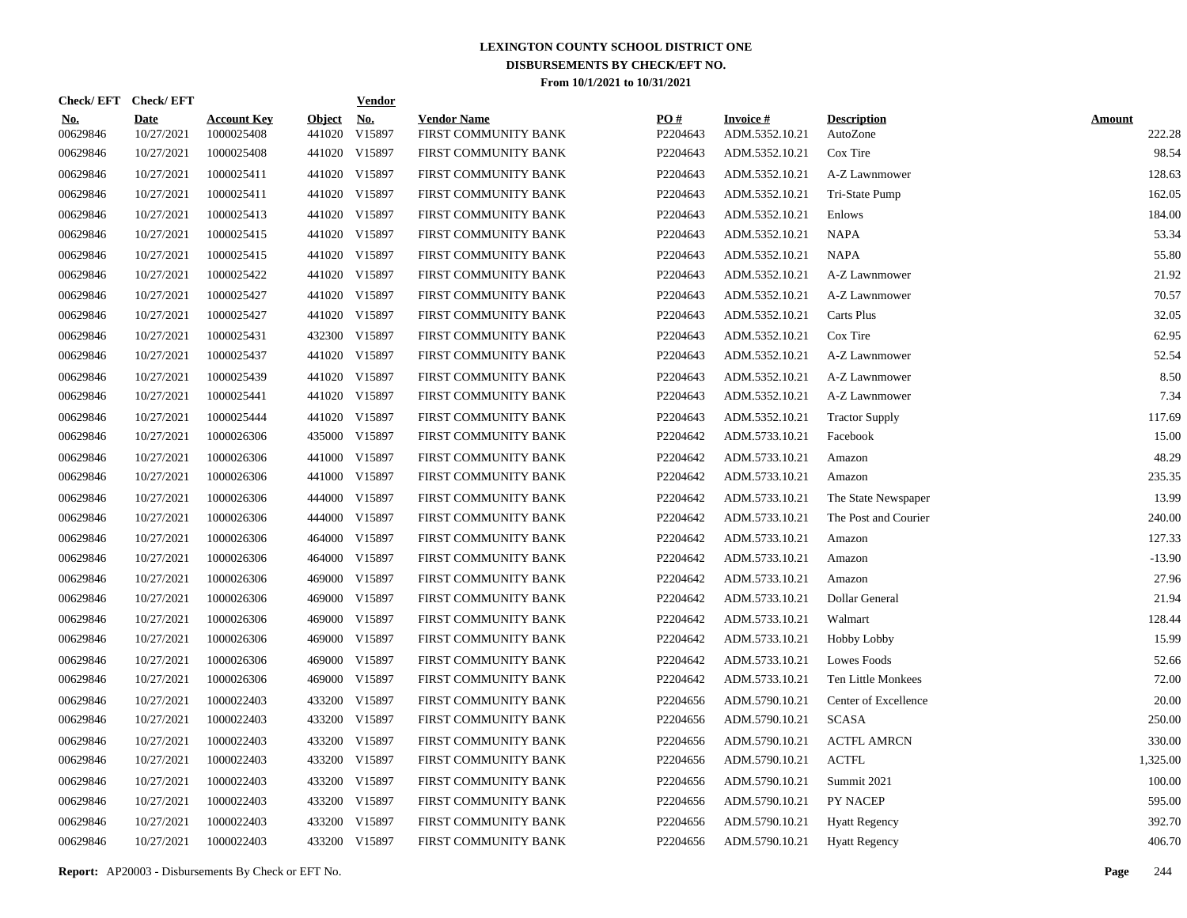|                        | Check/EFT Check/EFT       |                                  |                         | <u>Vendor</u>                       |                                            |                 |                                   |                                |                         |
|------------------------|---------------------------|----------------------------------|-------------------------|-------------------------------------|--------------------------------------------|-----------------|-----------------------------------|--------------------------------|-------------------------|
| <u>No.</u><br>00629846 | <b>Date</b><br>10/27/2021 | <b>Account Key</b><br>1000025408 | <b>Object</b><br>441020 | $\underline{\textbf{No}}$<br>V15897 | <b>Vendor Name</b><br>FIRST COMMUNITY BANK | PQ#<br>P2204643 | <b>Invoice#</b><br>ADM.5352.10.21 | <b>Description</b><br>AutoZone | <b>Amount</b><br>222.28 |
| 00629846               | 10/27/2021                | 1000025408                       |                         | 441020 V15897                       | FIRST COMMUNITY BANK                       | P2204643        | ADM.5352.10.21                    | Cox Tire                       | 98.54                   |
| 00629846               | 10/27/2021                | 1000025411                       | 441020                  | V15897                              | FIRST COMMUNITY BANK                       | P2204643        | ADM.5352.10.21                    | A-Z Lawnmower                  | 128.63                  |
| 00629846               | 10/27/2021                | 1000025411                       |                         | 441020 V15897                       | FIRST COMMUNITY BANK                       | P2204643        | ADM.5352.10.21                    | Tri-State Pump                 | 162.05                  |
| 00629846               | 10/27/2021                | 1000025413                       |                         | 441020 V15897                       | FIRST COMMUNITY BANK                       | P2204643        | ADM.5352.10.21                    | Enlows                         | 184.00                  |
| 00629846               | 10/27/2021                | 1000025415                       |                         | 441020 V15897                       | FIRST COMMUNITY BANK                       | P2204643        | ADM.5352.10.21                    | <b>NAPA</b>                    | 53.34                   |
| 00629846               | 10/27/2021                | 1000025415                       |                         | 441020 V15897                       | FIRST COMMUNITY BANK                       | P2204643        | ADM.5352.10.21                    | <b>NAPA</b>                    | 55.80                   |
| 00629846               | 10/27/2021                | 1000025422                       |                         | 441020 V15897                       | FIRST COMMUNITY BANK                       | P2204643        | ADM.5352.10.21                    | A-Z Lawnmower                  | 21.92                   |
| 00629846               | 10/27/2021                | 1000025427                       |                         | 441020 V15897                       | FIRST COMMUNITY BANK                       | P2204643        | ADM.5352.10.21                    | A-Z Lawnmower                  | 70.57                   |
| 00629846               | 10/27/2021                | 1000025427                       |                         | 441020 V15897                       | FIRST COMMUNITY BANK                       | P2204643        | ADM.5352.10.21                    | Carts Plus                     | 32.05                   |
| 00629846               | 10/27/2021                | 1000025431                       |                         | 432300 V15897                       | FIRST COMMUNITY BANK                       | P2204643        | ADM.5352.10.21                    | Cox Tire                       | 62.95                   |
| 00629846               | 10/27/2021                | 1000025437                       |                         | 441020 V15897                       | FIRST COMMUNITY BANK                       | P2204643        | ADM.5352.10.21                    | A-Z Lawnmower                  | 52.54                   |
| 00629846               | 10/27/2021                | 1000025439                       |                         | 441020 V15897                       | FIRST COMMUNITY BANK                       | P2204643        | ADM.5352.10.21                    | A-Z Lawnmower                  | 8.50                    |
| 00629846               | 10/27/2021                | 1000025441                       |                         | 441020 V15897                       | FIRST COMMUNITY BANK                       | P2204643        | ADM.5352.10.21                    | A-Z Lawnmower                  | 7.34                    |
| 00629846               | 10/27/2021                | 1000025444                       |                         | 441020 V15897                       | FIRST COMMUNITY BANK                       | P2204643        | ADM.5352.10.21                    | <b>Tractor Supply</b>          | 117.69                  |
| 00629846               | 10/27/2021                | 1000026306                       |                         | 435000 V15897                       | FIRST COMMUNITY BANK                       | P2204642        | ADM.5733.10.21                    | Facebook                       | 15.00                   |
| 00629846               | 10/27/2021                | 1000026306                       |                         | 441000 V15897                       | FIRST COMMUNITY BANK                       | P2204642        | ADM.5733.10.21                    | Amazon                         | 48.29                   |
| 00629846               | 10/27/2021                | 1000026306                       |                         | 441000 V15897                       | FIRST COMMUNITY BANK                       | P2204642        | ADM.5733.10.21                    | Amazon                         | 235.35                  |
| 00629846               | 10/27/2021                | 1000026306                       |                         | 444000 V15897                       | FIRST COMMUNITY BANK                       | P2204642        | ADM.5733.10.21                    | The State Newspaper            | 13.99                   |
| 00629846               | 10/27/2021                | 1000026306                       |                         | 444000 V15897                       | FIRST COMMUNITY BANK                       | P2204642        | ADM.5733.10.21                    | The Post and Courier           | 240.00                  |
| 00629846               | 10/27/2021                | 1000026306                       |                         | 464000 V15897                       | FIRST COMMUNITY BANK                       | P2204642        | ADM.5733.10.21                    | Amazon                         | 127.33                  |
| 00629846               | 10/27/2021                | 1000026306                       |                         | 464000 V15897                       | FIRST COMMUNITY BANK                       | P2204642        | ADM.5733.10.21                    | Amazon                         | $-13.90$                |
| 00629846               | 10/27/2021                | 1000026306                       | 469000                  | V15897                              | FIRST COMMUNITY BANK                       | P2204642        | ADM.5733.10.21                    | Amazon                         | 27.96                   |
| 00629846               | 10/27/2021                | 1000026306                       | 469000                  | V15897                              | FIRST COMMUNITY BANK                       | P2204642        | ADM.5733.10.21                    | Dollar General                 | 21.94                   |
| 00629846               | 10/27/2021                | 1000026306                       | 469000                  | V15897                              | FIRST COMMUNITY BANK                       | P2204642        | ADM.5733.10.21                    | Walmart                        | 128.44                  |
| 00629846               | 10/27/2021                | 1000026306                       |                         | 469000 V15897                       | FIRST COMMUNITY BANK                       | P2204642        | ADM.5733.10.21                    | Hobby Lobby                    | 15.99                   |
| 00629846               | 10/27/2021                | 1000026306                       | 469000                  | V15897                              | FIRST COMMUNITY BANK                       | P2204642        | ADM.5733.10.21                    | Lowes Foods                    | 52.66                   |
| 00629846               | 10/27/2021                | 1000026306                       |                         | 469000 V15897                       | FIRST COMMUNITY BANK                       | P2204642        | ADM.5733.10.21                    | Ten Little Monkees             | 72.00                   |
| 00629846               | 10/27/2021                | 1000022403                       |                         | 433200 V15897                       | FIRST COMMUNITY BANK                       | P2204656        | ADM.5790.10.21                    | Center of Excellence           | 20.00                   |
| 00629846               | 10/27/2021                | 1000022403                       |                         | 433200 V15897                       | FIRST COMMUNITY BANK                       | P2204656        | ADM.5790.10.21                    | <b>SCASA</b>                   | 250.00                  |
| 00629846               | 10/27/2021                | 1000022403                       |                         | 433200 V15897                       | FIRST COMMUNITY BANK                       | P2204656        | ADM.5790.10.21                    | <b>ACTFL AMRCN</b>             | 330.00                  |
| 00629846               | 10/27/2021                | 1000022403                       |                         | 433200 V15897                       | FIRST COMMUNITY BANK                       | P2204656        | ADM.5790.10.21                    | <b>ACTFL</b>                   | 1,325.00                |
| 00629846               | 10/27/2021                | 1000022403                       |                         | 433200 V15897                       | FIRST COMMUNITY BANK                       | P2204656        | ADM.5790.10.21                    | Summit 2021                    | 100.00                  |
| 00629846               | 10/27/2021                | 1000022403                       |                         | 433200 V15897                       | FIRST COMMUNITY BANK                       | P2204656        | ADM.5790.10.21                    | PY NACEP                       | 595.00                  |
| 00629846               | 10/27/2021                | 1000022403                       |                         | 433200 V15897                       | FIRST COMMUNITY BANK                       | P2204656        | ADM.5790.10.21                    | <b>Hyatt Regency</b>           | 392.70                  |
| 00629846               | 10/27/2021                | 1000022403                       |                         | 433200 V15897                       | FIRST COMMUNITY BANK                       | P2204656        | ADM.5790.10.21                    | <b>Hyatt Regency</b>           | 406.70                  |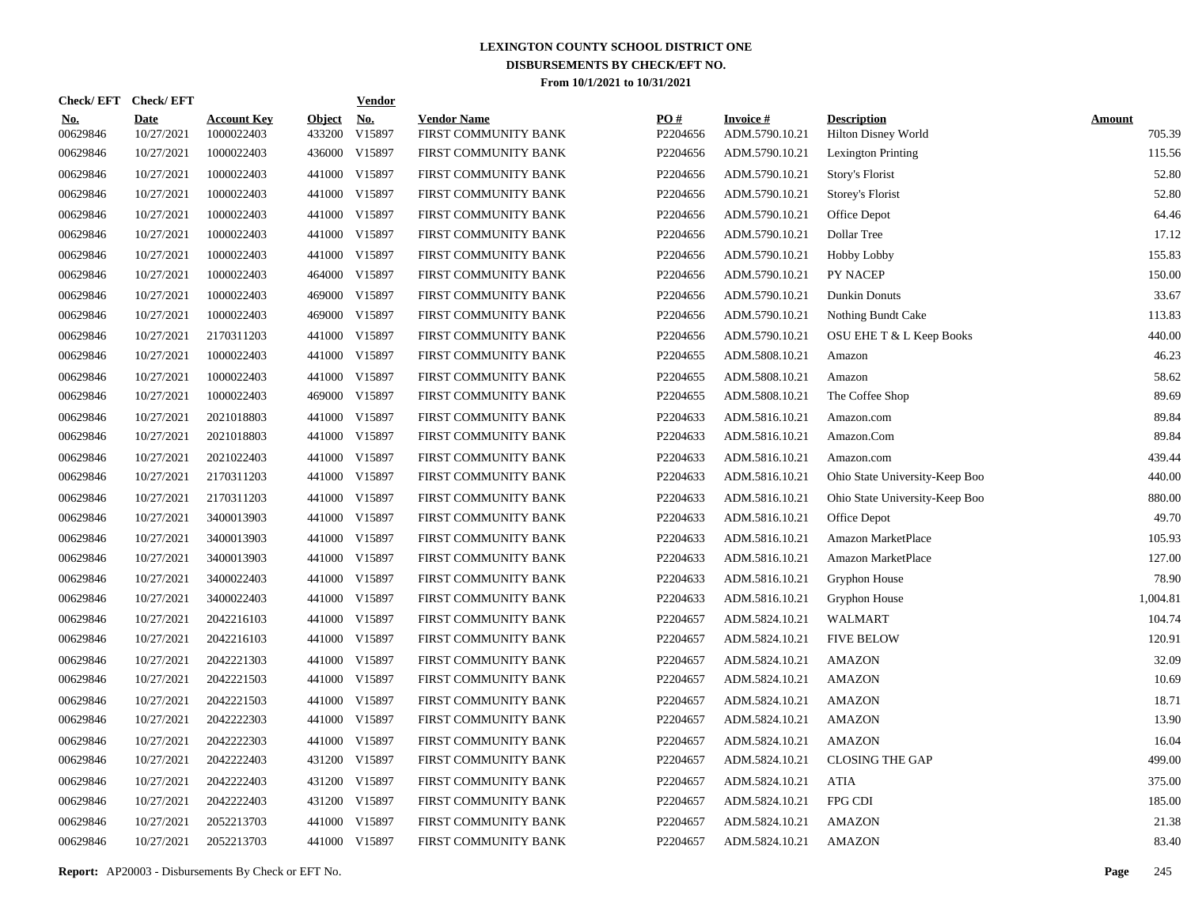| Check/EFT Check/EFT    |                           |                                  |                         | <b>Vendor</b> |                                            |                 |                                   |                                           |                         |
|------------------------|---------------------------|----------------------------------|-------------------------|---------------|--------------------------------------------|-----------------|-----------------------------------|-------------------------------------------|-------------------------|
| <u>No.</u><br>00629846 | <b>Date</b><br>10/27/2021 | <b>Account Key</b><br>1000022403 | <b>Object</b><br>433200 | No.<br>V15897 | <b>Vendor Name</b><br>FIRST COMMUNITY BANK | PO#<br>P2204656 | <b>Invoice#</b><br>ADM.5790.10.21 | <b>Description</b><br>Hilton Disney World | <b>Amount</b><br>705.39 |
| 00629846               | 10/27/2021                | 1000022403                       | 436000                  | V15897        | FIRST COMMUNITY BANK                       | P2204656        | ADM.5790.10.21                    | <b>Lexington Printing</b>                 | 115.56                  |
| 00629846               | 10/27/2021                | 1000022403                       | 441000                  | V15897        | FIRST COMMUNITY BANK                       | P2204656        | ADM.5790.10.21                    | Story's Florist                           | 52.80                   |
| 00629846               | 10/27/2021                | 1000022403                       | 441000                  | V15897        | FIRST COMMUNITY BANK                       | P2204656        | ADM.5790.10.21                    | Storey's Florist                          | 52.80                   |
| 00629846               | 10/27/2021                | 1000022403                       |                         | 441000 V15897 | FIRST COMMUNITY BANK                       | P2204656        | ADM.5790.10.21                    | Office Depot                              | 64.46                   |
| 00629846               | 10/27/2021                | 1000022403                       | 441000                  | V15897        | FIRST COMMUNITY BANK                       | P2204656        | ADM.5790.10.21                    | Dollar Tree                               | 17.12                   |
| 00629846               | 10/27/2021                | 1000022403                       |                         | 441000 V15897 | FIRST COMMUNITY BANK                       | P2204656        | ADM.5790.10.21                    | <b>Hobby Lobby</b>                        | 155.83                  |
| 00629846               | 10/27/2021                | 1000022403                       | 464000                  | V15897        | FIRST COMMUNITY BANK                       | P2204656        | ADM.5790.10.21                    | PY NACEP                                  | 150.00                  |
| 00629846               | 10/27/2021                | 1000022403                       |                         | 469000 V15897 | FIRST COMMUNITY BANK                       | P2204656        | ADM.5790.10.21                    | Dunkin Donuts                             | 33.67                   |
| 00629846               | 10/27/2021                | 1000022403                       | 469000                  | V15897        | FIRST COMMUNITY BANK                       | P2204656        | ADM.5790.10.21                    | Nothing Bundt Cake                        | 113.83                  |
| 00629846               | 10/27/2021                | 2170311203                       |                         | 441000 V15897 | FIRST COMMUNITY BANK                       | P2204656        | ADM.5790.10.21                    | OSU EHE T & L Keep Books                  | 440.00                  |
| 00629846               | 10/27/2021                | 1000022403                       |                         | 441000 V15897 | FIRST COMMUNITY BANK                       | P2204655        | ADM.5808.10.21                    | Amazon                                    | 46.23                   |
| 00629846               | 10/27/2021                | 1000022403                       |                         | 441000 V15897 | FIRST COMMUNITY BANK                       | P2204655        | ADM.5808.10.21                    | Amazon                                    | 58.62                   |
| 00629846               | 10/27/2021                | 1000022403                       |                         | 469000 V15897 | FIRST COMMUNITY BANK                       | P2204655        | ADM.5808.10.21                    | The Coffee Shop                           | 89.69                   |
| 00629846               | 10/27/2021                | 2021018803                       | 441000                  | V15897        | FIRST COMMUNITY BANK                       | P2204633        | ADM.5816.10.21                    | Amazon.com                                | 89.84                   |
| 00629846               | 10/27/2021                | 2021018803                       |                         | 441000 V15897 | FIRST COMMUNITY BANK                       | P2204633        | ADM.5816.10.21                    | Amazon.Com                                | 89.84                   |
| 00629846               | 10/27/2021                | 2021022403                       |                         | 441000 V15897 | FIRST COMMUNITY BANK                       | P2204633        | ADM.5816.10.21                    | Amazon.com                                | 439.44                  |
| 00629846               | 10/27/2021                | 2170311203                       |                         | 441000 V15897 | FIRST COMMUNITY BANK                       | P2204633        | ADM.5816.10.21                    | Ohio State University-Keep Boo            | 440.00                  |
| 00629846               | 10/27/2021                | 2170311203                       |                         | 441000 V15897 | FIRST COMMUNITY BANK                       | P2204633        | ADM.5816.10.21                    | Ohio State University-Keep Boo            | 880.00                  |
| 00629846               | 10/27/2021                | 3400013903                       |                         | 441000 V15897 | FIRST COMMUNITY BANK                       | P2204633        | ADM.5816.10.21                    | Office Depot                              | 49.70                   |
| 00629846               | 10/27/2021                | 3400013903                       |                         | 441000 V15897 | FIRST COMMUNITY BANK                       | P2204633        | ADM.5816.10.21                    | Amazon MarketPlace                        | 105.93                  |
| 00629846               | 10/27/2021                | 3400013903                       |                         | 441000 V15897 | FIRST COMMUNITY BANK                       | P2204633        | ADM.5816.10.21                    | Amazon MarketPlace                        | 127.00                  |
| 00629846               | 10/27/2021                | 3400022403                       |                         | 441000 V15897 | FIRST COMMUNITY BANK                       | P2204633        | ADM.5816.10.21                    | Gryphon House                             | 78.90                   |
| 00629846               | 10/27/2021                | 3400022403                       |                         | 441000 V15897 | FIRST COMMUNITY BANK                       | P2204633        | ADM.5816.10.21                    | Gryphon House                             | 1,004.81                |
| 00629846               | 10/27/2021                | 2042216103                       |                         | 441000 V15897 | FIRST COMMUNITY BANK                       | P2204657        | ADM.5824.10.21                    | WALMART                                   | 104.74                  |
| 00629846               | 10/27/2021                | 2042216103                       |                         | 441000 V15897 | FIRST COMMUNITY BANK                       | P2204657        | ADM.5824.10.21                    | <b>FIVE BELOW</b>                         | 120.91                  |
| 00629846               | 10/27/2021                | 2042221303                       |                         | 441000 V15897 | FIRST COMMUNITY BANK                       | P2204657        | ADM.5824.10.21                    | AMAZON                                    | 32.09                   |
| 00629846               | 10/27/2021                | 2042221503                       |                         | 441000 V15897 | FIRST COMMUNITY BANK                       | P2204657        | ADM.5824.10.21                    | AMAZON                                    | 10.69                   |
| 00629846               | 10/27/2021                | 2042221503                       | 441000                  | V15897        | FIRST COMMUNITY BANK                       | P2204657        | ADM.5824.10.21                    | AMAZON                                    | 18.71                   |
| 00629846               | 10/27/2021                | 2042222303                       |                         | 441000 V15897 | FIRST COMMUNITY BANK                       | P2204657        | ADM.5824.10.21                    | AMAZON                                    | 13.90                   |
| 00629846               | 10/27/2021                | 2042222303                       |                         | 441000 V15897 | FIRST COMMUNITY BANK                       | P2204657        | ADM.5824.10.21                    | AMAZON                                    | 16.04                   |
| 00629846               | 10/27/2021                | 2042222403                       |                         | 431200 V15897 | FIRST COMMUNITY BANK                       | P2204657        | ADM.5824.10.21                    | <b>CLOSING THE GAP</b>                    | 499.00                  |
| 00629846               | 10/27/2021                | 2042222403                       |                         | 431200 V15897 | FIRST COMMUNITY BANK                       | P2204657        | ADM.5824.10.21                    | <b>ATIA</b>                               | 375.00                  |
| 00629846               | 10/27/2021                | 2042222403                       |                         | 431200 V15897 | FIRST COMMUNITY BANK                       | P2204657        | ADM.5824.10.21                    | FPG CDI                                   | 185.00                  |
| 00629846               | 10/27/2021                | 2052213703                       |                         | 441000 V15897 | FIRST COMMUNITY BANK                       | P2204657        | ADM.5824.10.21                    | <b>AMAZON</b>                             | 21.38                   |
| 00629846               | 10/27/2021                | 2052213703                       |                         | 441000 V15897 | FIRST COMMUNITY BANK                       | P2204657        | ADM.5824.10.21                    | <b>AMAZON</b>                             | 83.40                   |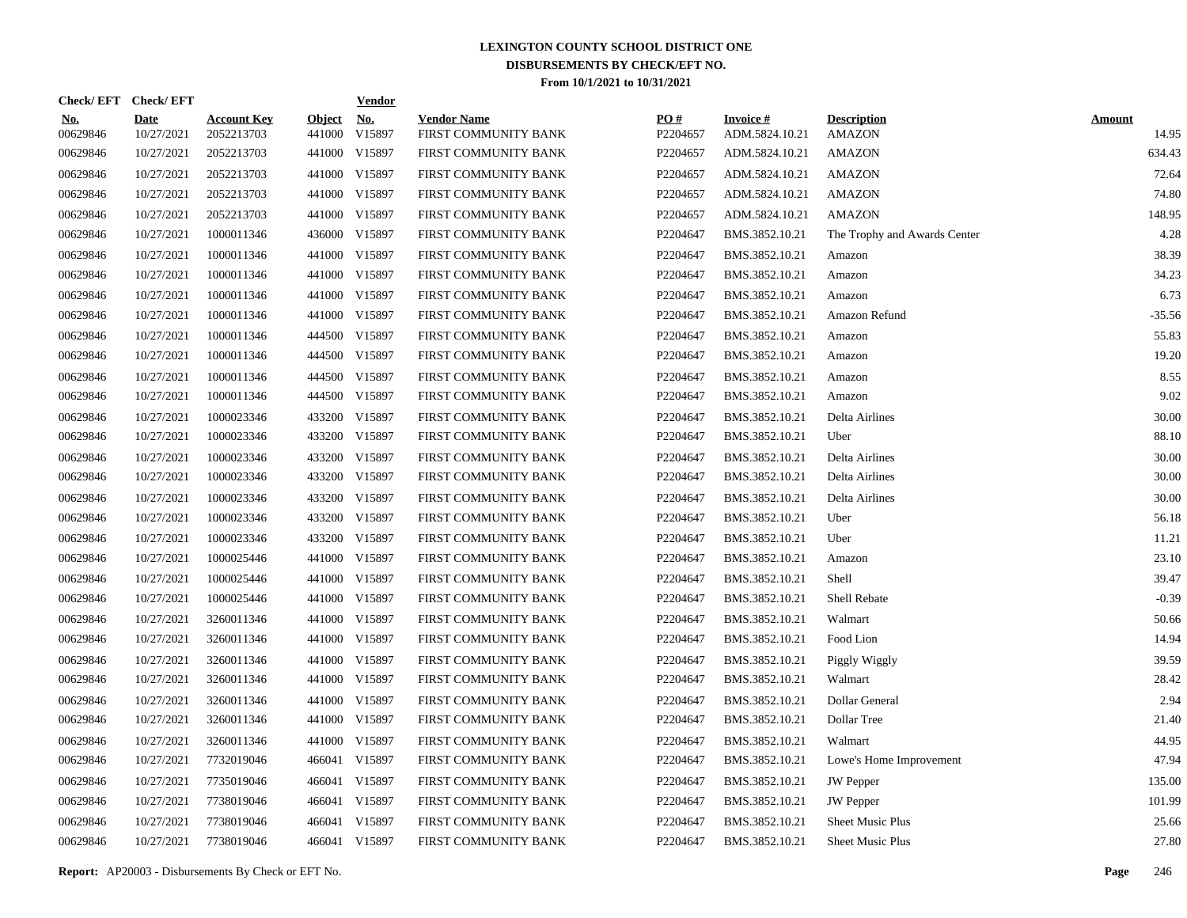| Check/EFT Check/EFT    |                           |                                  |                         | <b>Vendor</b> |                                            |                 |                                   |                                     |                        |
|------------------------|---------------------------|----------------------------------|-------------------------|---------------|--------------------------------------------|-----------------|-----------------------------------|-------------------------------------|------------------------|
| <u>No.</u><br>00629846 | <b>Date</b><br>10/27/2021 | <b>Account Key</b><br>2052213703 | <b>Object</b><br>441000 | No.<br>V15897 | <b>Vendor Name</b><br>FIRST COMMUNITY BANK | PO#<br>P2204657 | <b>Invoice#</b><br>ADM.5824.10.21 | <b>Description</b><br><b>AMAZON</b> | <b>Amount</b><br>14.95 |
| 00629846               | 10/27/2021                | 2052213703                       | 441000                  | V15897        | FIRST COMMUNITY BANK                       | P2204657        | ADM.5824.10.21                    | AMAZON                              | 634.43                 |
| 00629846               | 10/27/2021                | 2052213703                       | 441000                  | V15897        | FIRST COMMUNITY BANK                       | P2204657        | ADM.5824.10.21                    | AMAZON                              | 72.64                  |
| 00629846               | 10/27/2021                | 2052213703                       | 441000                  | V15897        | FIRST COMMUNITY BANK                       | P2204657        | ADM.5824.10.21                    | <b>AMAZON</b>                       | 74.80                  |
| 00629846               | 10/27/2021                | 2052213703                       |                         | 441000 V15897 | FIRST COMMUNITY BANK                       | P2204657        | ADM.5824.10.21                    | <b>AMAZON</b>                       | 148.95                 |
| 00629846               | 10/27/2021                | 1000011346                       | 436000                  | V15897        | FIRST COMMUNITY BANK                       | P2204647        | BMS.3852.10.21                    | The Trophy and Awards Center        | 4.28                   |
| 00629846               | 10/27/2021                | 1000011346                       |                         | 441000 V15897 | FIRST COMMUNITY BANK                       | P2204647        | BMS.3852.10.21                    | Amazon                              | 38.39                  |
| 00629846               | 10/27/2021                | 1000011346                       |                         | 441000 V15897 | FIRST COMMUNITY BANK                       | P2204647        | BMS.3852.10.21                    | Amazon                              | 34.23                  |
| 00629846               | 10/27/2021                | 1000011346                       |                         | 441000 V15897 | FIRST COMMUNITY BANK                       | P2204647        | BMS.3852.10.21                    | Amazon                              | 6.73                   |
| 00629846               | 10/27/2021                | 1000011346                       |                         | 441000 V15897 | FIRST COMMUNITY BANK                       | P2204647        | BMS.3852.10.21                    | Amazon Refund                       | $-35.56$               |
| 00629846               | 10/27/2021                | 1000011346                       |                         | 444500 V15897 | FIRST COMMUNITY BANK                       | P2204647        | BMS.3852.10.21                    | Amazon                              | 55.83                  |
| 00629846               | 10/27/2021                | 1000011346                       |                         | 444500 V15897 | FIRST COMMUNITY BANK                       | P2204647        | BMS.3852.10.21                    | Amazon                              | 19.20                  |
| 00629846               | 10/27/2021                | 1000011346                       |                         | 444500 V15897 | FIRST COMMUNITY BANK                       | P2204647        | BMS.3852.10.21                    | Amazon                              | 8.55                   |
| 00629846               | 10/27/2021                | 1000011346                       |                         | 444500 V15897 | FIRST COMMUNITY BANK                       | P2204647        | BMS.3852.10.21                    | Amazon                              | 9.02                   |
| 00629846               | 10/27/2021                | 1000023346                       |                         | 433200 V15897 | FIRST COMMUNITY BANK                       | P2204647        | BMS.3852.10.21                    | Delta Airlines                      | 30.00                  |
| 00629846               | 10/27/2021                | 1000023346                       |                         | 433200 V15897 | FIRST COMMUNITY BANK                       | P2204647        | BMS.3852.10.21                    | Uber                                | 88.10                  |
| 00629846               | 10/27/2021                | 1000023346                       |                         | 433200 V15897 | FIRST COMMUNITY BANK                       | P2204647        | BMS.3852.10.21                    | Delta Airlines                      | 30.00                  |
| 00629846               | 10/27/2021                | 1000023346                       |                         | 433200 V15897 | FIRST COMMUNITY BANK                       | P2204647        | BMS.3852.10.21                    | Delta Airlines                      | 30.00                  |
| 00629846               | 10/27/2021                | 1000023346                       |                         | 433200 V15897 | FIRST COMMUNITY BANK                       | P2204647        | BMS.3852.10.21                    | Delta Airlines                      | 30.00                  |
| 00629846               | 10/27/2021                | 1000023346                       |                         | 433200 V15897 | FIRST COMMUNITY BANK                       | P2204647        | BMS.3852.10.21                    | Uber                                | 56.18                  |
| 00629846               | 10/27/2021                | 1000023346                       |                         | 433200 V15897 | FIRST COMMUNITY BANK                       | P2204647        | BMS.3852.10.21                    | Uber                                | 11.21                  |
| 00629846               | 10/27/2021                | 1000025446                       |                         | 441000 V15897 | FIRST COMMUNITY BANK                       | P2204647        | BMS.3852.10.21                    | Amazon                              | 23.10                  |
| 00629846               | 10/27/2021                | 1000025446                       |                         | 441000 V15897 | FIRST COMMUNITY BANK                       | P2204647        | BMS.3852.10.21                    | Shell                               | 39.47                  |
| 00629846               | 10/27/2021                | 1000025446                       |                         | 441000 V15897 | FIRST COMMUNITY BANK                       | P2204647        | BMS.3852.10.21                    | Shell Rebate                        | $-0.39$                |
| 00629846               | 10/27/2021                | 3260011346                       |                         | 441000 V15897 | FIRST COMMUNITY BANK                       | P2204647        | BMS.3852.10.21                    | Walmart                             | 50.66                  |
| 00629846               | 10/27/2021                | 3260011346                       |                         | 441000 V15897 | FIRST COMMUNITY BANK                       | P2204647        | BMS.3852.10.21                    | Food Lion                           | 14.94                  |
| 00629846               | 10/27/2021                | 3260011346                       |                         | 441000 V15897 | FIRST COMMUNITY BANK                       | P2204647        | BMS.3852.10.21                    | Piggly Wiggly                       | 39.59                  |
| 00629846               | 10/27/2021                | 3260011346                       |                         | 441000 V15897 | FIRST COMMUNITY BANK                       | P2204647        | BMS.3852.10.21                    | Walmart                             | 28.42                  |
| 00629846               | 10/27/2021                | 3260011346                       |                         | 441000 V15897 | FIRST COMMUNITY BANK                       | P2204647        | BMS.3852.10.21                    | Dollar General                      | 2.94                   |
| 00629846               | 10/27/2021                | 3260011346                       | 441000                  | V15897        | FIRST COMMUNITY BANK                       | P2204647        | BMS.3852.10.21                    | Dollar Tree                         | 21.40                  |
| 00629846               | 10/27/2021                | 3260011346                       | 441000                  | V15897        | FIRST COMMUNITY BANK                       | P2204647        | BMS.3852.10.21                    | Walmart                             | 44.95                  |
| 00629846               | 10/27/2021                | 7732019046                       | 466041                  | V15897        | FIRST COMMUNITY BANK                       | P2204647        | BMS.3852.10.21                    | Lowe's Home Improvement             | 47.94                  |
| 00629846               | 10/27/2021                | 7735019046                       | 466041                  | V15897        | FIRST COMMUNITY BANK                       | P2204647        | BMS.3852.10.21                    | <b>JW</b> Pepper                    | 135.00                 |
| 00629846               | 10/27/2021                | 7738019046                       | 466041                  | V15897        | FIRST COMMUNITY BANK                       | P2204647        | BMS.3852.10.21                    | <b>JW</b> Pepper                    | 101.99                 |
| 00629846               | 10/27/2021                | 7738019046                       | 466041                  | V15897        | FIRST COMMUNITY BANK                       | P2204647        | BMS.3852.10.21                    | Sheet Music Plus                    | 25.66                  |
| 00629846               | 10/27/2021                | 7738019046                       |                         | 466041 V15897 | FIRST COMMUNITY BANK                       | P2204647        | BMS.3852.10.21                    | Sheet Music Plus                    | 27.80                  |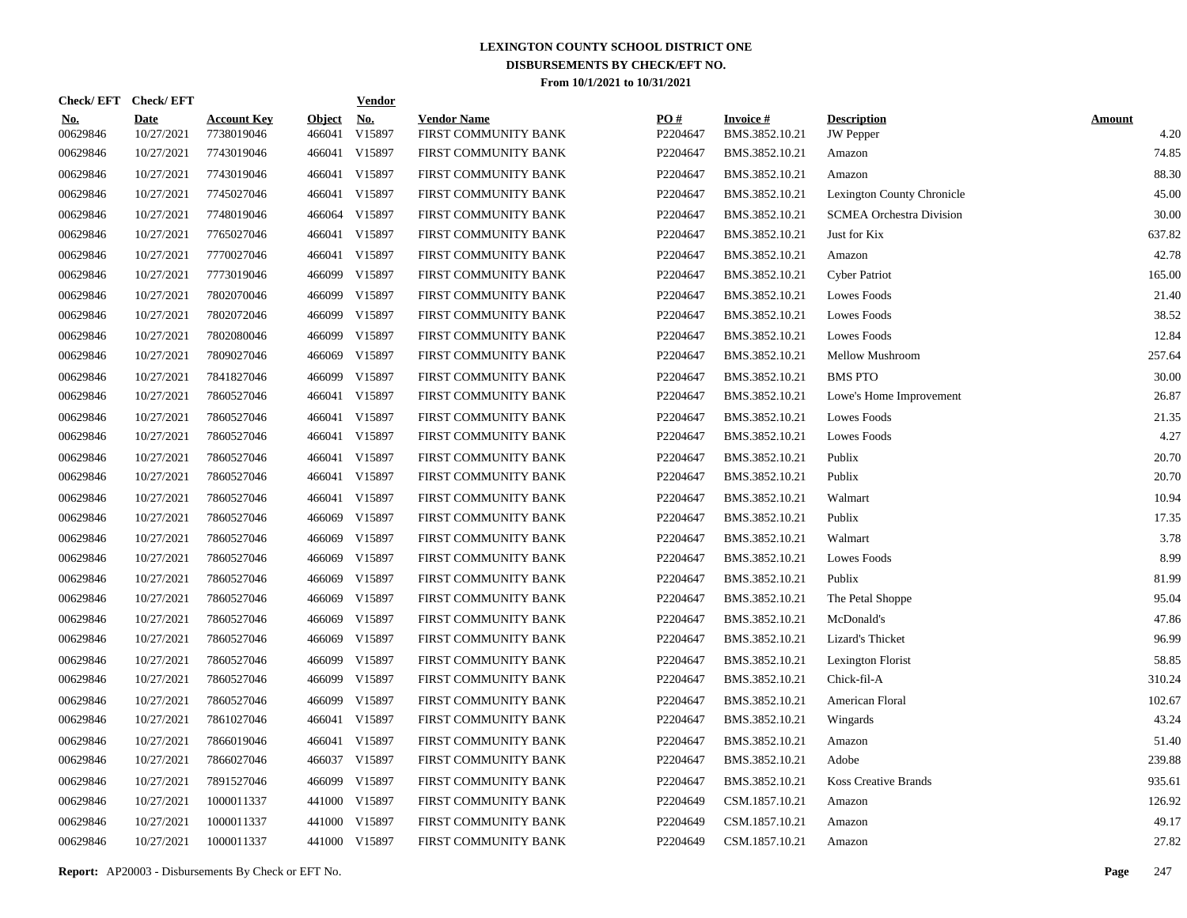| Check/EFT Check/EFT    |                           |                                  |                         | <b>Vendor</b>        |                                            |                 |                                   |                                        |                       |
|------------------------|---------------------------|----------------------------------|-------------------------|----------------------|--------------------------------------------|-----------------|-----------------------------------|----------------------------------------|-----------------------|
| <u>No.</u><br>00629846 | <b>Date</b><br>10/27/2021 | <b>Account Key</b><br>7738019046 | <b>Object</b><br>466041 | <u>No.</u><br>V15897 | <b>Vendor Name</b><br>FIRST COMMUNITY BANK | PQ#<br>P2204647 | <b>Invoice#</b><br>BMS.3852.10.21 | <b>Description</b><br><b>JW</b> Pepper | <b>Amount</b><br>4.20 |
| 00629846               | 10/27/2021                | 7743019046                       |                         | 466041 V15897        | FIRST COMMUNITY BANK                       | P2204647        | BMS.3852.10.21                    | Amazon                                 | 74.85                 |
| 00629846               | 10/27/2021                | 7743019046                       |                         | 466041 V15897        | FIRST COMMUNITY BANK                       | P2204647        | BMS.3852.10.21                    | Amazon                                 | 88.30                 |
| 00629846               | 10/27/2021                | 7745027046                       |                         | 466041 V15897        | FIRST COMMUNITY BANK                       | P2204647        | BMS.3852.10.21                    | Lexington County Chronicle             | 45.00                 |
| 00629846               | 10/27/2021                | 7748019046                       |                         | 466064 V15897        | FIRST COMMUNITY BANK                       | P2204647        | BMS.3852.10.21                    | <b>SCMEA Orchestra Division</b>        | 30.00                 |
| 00629846               | 10/27/2021                | 7765027046                       |                         | 466041 V15897        | FIRST COMMUNITY BANK                       | P2204647        | BMS.3852.10.21                    | Just for Kix                           | 637.82                |
| 00629846               | 10/27/2021                | 7770027046                       |                         | 466041 V15897        | FIRST COMMUNITY BANK                       | P2204647        | BMS.3852.10.21                    | Amazon                                 | 42.78                 |
| 00629846               | 10/27/2021                | 7773019046                       | 466099                  | V15897               | FIRST COMMUNITY BANK                       | P2204647        | BMS.3852.10.21                    | <b>Cyber Patriot</b>                   | 165.00                |
| 00629846               | 10/27/2021                | 7802070046                       | 466099                  | V15897               | FIRST COMMUNITY BANK                       | P2204647        | BMS.3852.10.21                    | Lowes Foods                            | 21.40                 |
| 00629846               | 10/27/2021                | 7802072046                       | 466099                  | V15897               | FIRST COMMUNITY BANK                       | P2204647        | BMS.3852.10.21                    | Lowes Foods                            | 38.52                 |
| 00629846               | 10/27/2021                | 7802080046                       | 466099                  | V15897               | FIRST COMMUNITY BANK                       | P2204647        | BMS.3852.10.21                    | Lowes Foods                            | 12.84                 |
| 00629846               | 10/27/2021                | 7809027046                       | 466069                  | V15897               | FIRST COMMUNITY BANK                       | P2204647        | BMS.3852.10.21                    | Mellow Mushroom                        | 257.64                |
| 00629846               | 10/27/2021                | 7841827046                       | 466099                  | V15897               | FIRST COMMUNITY BANK                       | P2204647        | BMS.3852.10.21                    | <b>BMS PTO</b>                         | 30.00                 |
| 00629846               | 10/27/2021                | 7860527046                       |                         | 466041 V15897        | FIRST COMMUNITY BANK                       | P2204647        | BMS.3852.10.21                    | Lowe's Home Improvement                | 26.87                 |
| 00629846               | 10/27/2021                | 7860527046                       |                         | 466041 V15897        | FIRST COMMUNITY BANK                       | P2204647        | BMS.3852.10.21                    | Lowes Foods                            | 21.35                 |
| 00629846               | 10/27/2021                | 7860527046                       |                         | 466041 V15897        | FIRST COMMUNITY BANK                       | P2204647        | BMS.3852.10.21                    | Lowes Foods                            | 4.27                  |
| 00629846               | 10/27/2021                | 7860527046                       |                         | 466041 V15897        | FIRST COMMUNITY BANK                       | P2204647        | BMS.3852.10.21                    | Publix                                 | 20.70                 |
| 00629846               | 10/27/2021                | 7860527046                       |                         | 466041 V15897        | FIRST COMMUNITY BANK                       | P2204647        | BMS.3852.10.21                    | Publix                                 | 20.70                 |
| 00629846               | 10/27/2021                | 7860527046                       |                         | 466041 V15897        | FIRST COMMUNITY BANK                       | P2204647        | BMS.3852.10.21                    | Walmart                                | 10.94                 |
| 00629846               | 10/27/2021                | 7860527046                       | 466069                  | V15897               | FIRST COMMUNITY BANK                       | P2204647        | BMS.3852.10.21                    | Publix                                 | 17.35                 |
| 00629846               | 10/27/2021                | 7860527046                       | 466069                  | V15897               | FIRST COMMUNITY BANK                       | P2204647        | BMS.3852.10.21                    | Walmart                                | 3.78                  |
| 00629846               | 10/27/2021                | 7860527046                       | 466069                  | V15897               | FIRST COMMUNITY BANK                       | P2204647        | BMS.3852.10.21                    | Lowes Foods                            | 8.99                  |
| 00629846               | 10/27/2021                | 7860527046                       | 466069                  | V15897               | FIRST COMMUNITY BANK                       | P2204647        | BMS.3852.10.21                    | Publix                                 | 81.99                 |
| 00629846               | 10/27/2021                | 7860527046                       | 466069                  | V15897               | FIRST COMMUNITY BANK                       | P2204647        | BMS.3852.10.21                    | The Petal Shoppe                       | 95.04                 |
| 00629846               | 10/27/2021                | 7860527046                       | 466069                  | V15897               | FIRST COMMUNITY BANK                       | P2204647        | BMS.3852.10.21                    | McDonald's                             | 47.86                 |
| 00629846               | 10/27/2021                | 7860527046                       | 466069                  | V15897               | FIRST COMMUNITY BANK                       | P2204647        | BMS.3852.10.21                    | Lizard's Thicket                       | 96.99                 |
| 00629846               | 10/27/2021                | 7860527046                       | 466099                  | V15897               | FIRST COMMUNITY BANK                       | P2204647        | BMS.3852.10.21                    | Lexington Florist                      | 58.85                 |
| 00629846               | 10/27/2021                | 7860527046                       | 466099                  | V15897               | FIRST COMMUNITY BANK                       | P2204647        | BMS.3852.10.21                    | Chick-fil-A                            | 310.24                |
| 00629846               | 10/27/2021                | 7860527046                       | 466099                  | V15897               | FIRST COMMUNITY BANK                       | P2204647        | BMS.3852.10.21                    | American Floral                        | 102.67                |
| 00629846               | 10/27/2021                | 7861027046                       |                         | 466041 V15897        | FIRST COMMUNITY BANK                       | P2204647        | BMS.3852.10.21                    | Wingards                               | 43.24                 |
| 00629846               | 10/27/2021                | 7866019046                       |                         | 466041 V15897        | FIRST COMMUNITY BANK                       | P2204647        | BMS.3852.10.21                    | Amazon                                 | 51.40                 |
| 00629846               | 10/27/2021                | 7866027046                       |                         | 466037 V15897        | FIRST COMMUNITY BANK                       | P2204647        | BMS.3852.10.21                    | Adobe                                  | 239.88                |
| 00629846               | 10/27/2021                | 7891527046                       | 466099                  | V15897               | FIRST COMMUNITY BANK                       | P2204647        | BMS.3852.10.21                    | <b>Koss Creative Brands</b>            | 935.61                |
| 00629846               | 10/27/2021                | 1000011337                       | 441000                  | V15897               | FIRST COMMUNITY BANK                       | P2204649        | CSM.1857.10.21                    | Amazon                                 | 126.92                |
| 00629846               | 10/27/2021                | 1000011337                       | 441000                  | V15897               | FIRST COMMUNITY BANK                       | P2204649        | CSM.1857.10.21                    | Amazon                                 | 49.17                 |
| 00629846               | 10/27/2021                | 1000011337                       |                         | 441000 V15897        | FIRST COMMUNITY BANK                       | P2204649        | CSM.1857.10.21                    | Amazon                                 | 27.82                 |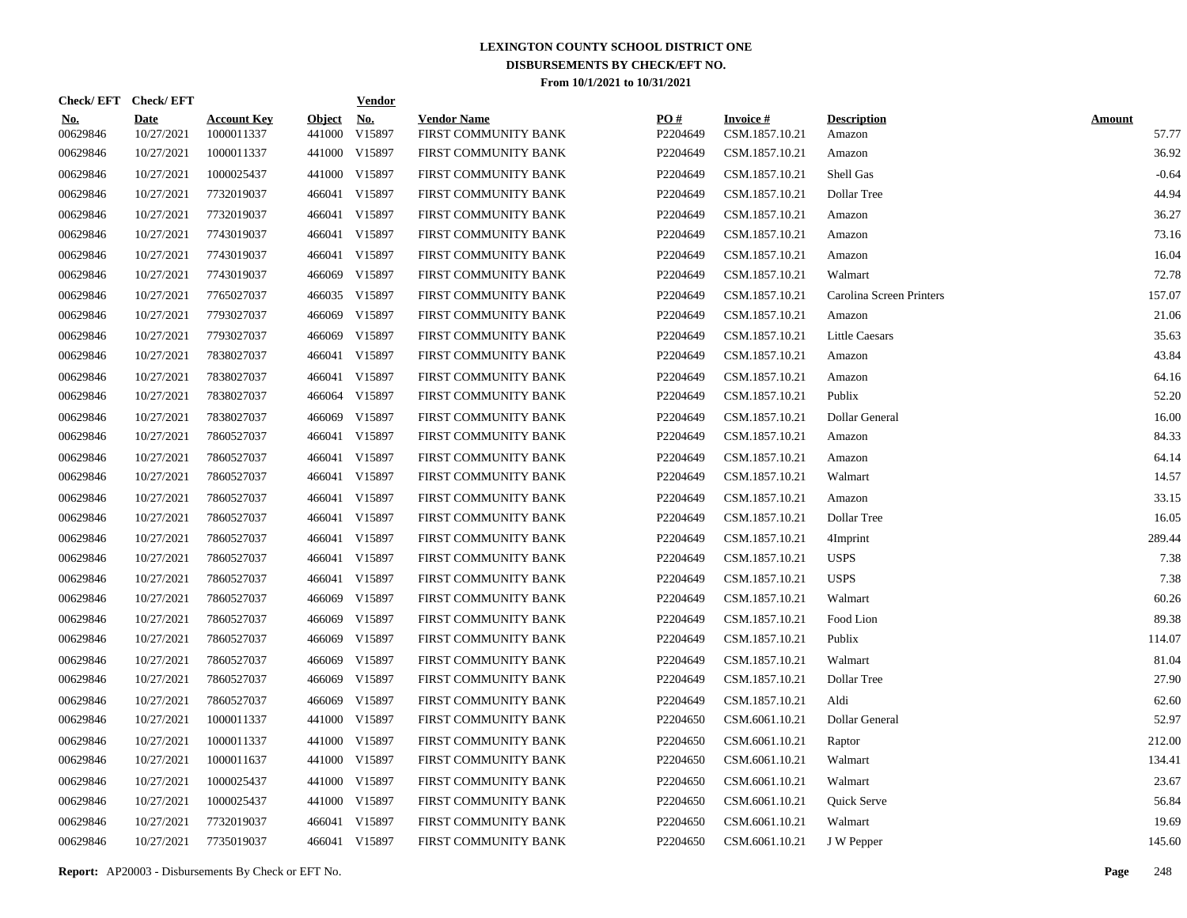|                        | Check/EFT Check/EFT       |                                  |                         | <b>Vendor</b>        |                                            |                 |                                   |                              |                        |
|------------------------|---------------------------|----------------------------------|-------------------------|----------------------|--------------------------------------------|-----------------|-----------------------------------|------------------------------|------------------------|
| <u>No.</u><br>00629846 | <b>Date</b><br>10/27/2021 | <b>Account Key</b><br>1000011337 | <b>Object</b><br>441000 | <u>No.</u><br>V15897 | <b>Vendor Name</b><br>FIRST COMMUNITY BANK | PQ#<br>P2204649 | <b>Invoice#</b><br>CSM.1857.10.21 | <b>Description</b><br>Amazon | <b>Amount</b><br>57.77 |
| 00629846               | 10/27/2021                | 1000011337                       |                         | 441000 V15897        | FIRST COMMUNITY BANK                       | P2204649        | CSM.1857.10.21                    | Amazon                       | 36.92                  |
| 00629846               | 10/27/2021                | 1000025437                       |                         | 441000 V15897        | FIRST COMMUNITY BANK                       | P2204649        | CSM.1857.10.21                    | Shell Gas                    | $-0.64$                |
| 00629846               | 10/27/2021                | 7732019037                       |                         | 466041 V15897        | FIRST COMMUNITY BANK                       | P2204649        | CSM.1857.10.21                    | Dollar Tree                  | 44.94                  |
| 00629846               | 10/27/2021                | 7732019037                       |                         | 466041 V15897        | FIRST COMMUNITY BANK                       | P2204649        | CSM.1857.10.21                    | Amazon                       | 36.27                  |
| 00629846               | 10/27/2021                | 7743019037                       |                         | 466041 V15897        | FIRST COMMUNITY BANK                       | P2204649        | CSM.1857.10.21                    | Amazon                       | 73.16                  |
| 00629846               | 10/27/2021                | 7743019037                       |                         | 466041 V15897        | FIRST COMMUNITY BANK                       | P2204649        | CSM.1857.10.21                    | Amazon                       | 16.04                  |
| 00629846               | 10/27/2021                | 7743019037                       | 466069                  | V15897               | FIRST COMMUNITY BANK                       | P2204649        | CSM.1857.10.21                    | Walmart                      | 72.78                  |
| 00629846               | 10/27/2021                | 7765027037                       |                         | 466035 V15897        | FIRST COMMUNITY BANK                       | P2204649        | CSM.1857.10.21                    | Carolina Screen Printers     | 157.07                 |
| 00629846               | 10/27/2021                | 7793027037                       | 466069                  | V15897               | FIRST COMMUNITY BANK                       | P2204649        | CSM.1857.10.21                    | Amazon                       | 21.06                  |
| 00629846               | 10/27/2021                | 7793027037                       | 466069                  | V15897               | FIRST COMMUNITY BANK                       | P2204649        | CSM.1857.10.21                    | <b>Little Caesars</b>        | 35.63                  |
| 00629846               | 10/27/2021                | 7838027037                       |                         | 466041 V15897        | FIRST COMMUNITY BANK                       | P2204649        | CSM.1857.10.21                    | Amazon                       | 43.84                  |
| 00629846               | 10/27/2021                | 7838027037                       |                         | 466041 V15897        | FIRST COMMUNITY BANK                       | P2204649        | CSM.1857.10.21                    | Amazon                       | 64.16                  |
| 00629846               | 10/27/2021                | 7838027037                       |                         | 466064 V15897        | FIRST COMMUNITY BANK                       | P2204649        | CSM.1857.10.21                    | Publix                       | 52.20                  |
| 00629846               | 10/27/2021                | 7838027037                       | 466069                  | V15897               | FIRST COMMUNITY BANK                       | P2204649        | CSM.1857.10.21                    | Dollar General               | 16.00                  |
| 00629846               | 10/27/2021                | 7860527037                       |                         | 466041 V15897        | FIRST COMMUNITY BANK                       | P2204649        | CSM.1857.10.21                    | Amazon                       | 84.33                  |
| 00629846               | 10/27/2021                | 7860527037                       |                         | 466041 V15897        | FIRST COMMUNITY BANK                       | P2204649        | CSM.1857.10.21                    | Amazon                       | 64.14                  |
| 00629846               | 10/27/2021                | 7860527037                       |                         | 466041 V15897        | FIRST COMMUNITY BANK                       | P2204649        | CSM.1857.10.21                    | Walmart                      | 14.57                  |
| 00629846               | 10/27/2021                | 7860527037                       |                         | 466041 V15897        | FIRST COMMUNITY BANK                       | P2204649        | CSM.1857.10.21                    | Amazon                       | 33.15                  |
| 00629846               | 10/27/2021                | 7860527037                       |                         | 466041 V15897        | FIRST COMMUNITY BANK                       | P2204649        | CSM.1857.10.21                    | Dollar Tree                  | 16.05                  |
| 00629846               | 10/27/2021                | 7860527037                       |                         | 466041 V15897        | FIRST COMMUNITY BANK                       | P2204649        | CSM.1857.10.21                    | 4Imprint                     | 289.44                 |
| 00629846               | 10/27/2021                | 7860527037                       |                         | 466041 V15897        | FIRST COMMUNITY BANK                       | P2204649        | CSM.1857.10.21                    | <b>USPS</b>                  | 7.38                   |
| 00629846               | 10/27/2021                | 7860527037                       |                         | 466041 V15897        | FIRST COMMUNITY BANK                       | P2204649        | CSM.1857.10.21                    | <b>USPS</b>                  | 7.38                   |
| 00629846               | 10/27/2021                | 7860527037                       |                         | 466069 V15897        | FIRST COMMUNITY BANK                       | P2204649        | CSM.1857.10.21                    | Walmart                      | 60.26                  |
| 00629846               | 10/27/2021                | 7860527037                       | 466069                  | V15897               | FIRST COMMUNITY BANK                       | P2204649        | CSM.1857.10.21                    | Food Lion                    | 89.38                  |
| 00629846               | 10/27/2021                | 7860527037                       | 466069                  | V15897               | FIRST COMMUNITY BANK                       | P2204649        | CSM.1857.10.21                    | Publix                       | 114.07                 |
| 00629846               | 10/27/2021                | 7860527037                       | 466069                  | V15897               | FIRST COMMUNITY BANK                       | P2204649        | CSM.1857.10.21                    | Walmart                      | 81.04                  |
| 00629846               | 10/27/2021                | 7860527037                       | 466069                  | V15897               | FIRST COMMUNITY BANK                       | P2204649        | CSM.1857.10.21                    | Dollar Tree                  | 27.90                  |
| 00629846               | 10/27/2021                | 7860527037                       | 466069                  | V15897               | FIRST COMMUNITY BANK                       | P2204649        | CSM.1857.10.21                    | Aldi                         | 62.60                  |
| 00629846               | 10/27/2021                | 1000011337                       | 441000                  | V15897               | FIRST COMMUNITY BANK                       | P2204650        | CSM.6061.10.21                    | Dollar General               | 52.97                  |
| 00629846               | 10/27/2021                | 1000011337                       | 441000                  | V15897               | FIRST COMMUNITY BANK                       | P2204650        | CSM.6061.10.21                    | Raptor                       | 212.00                 |
| 00629846               | 10/27/2021                | 1000011637                       |                         | 441000 V15897        | FIRST COMMUNITY BANK                       | P2204650        | CSM.6061.10.21                    | Walmart                      | 134.41                 |
| 00629846               | 10/27/2021                | 1000025437                       | 441000                  | V15897               | FIRST COMMUNITY BANK                       | P2204650        | CSM.6061.10.21                    | Walmart                      | 23.67                  |
| 00629846               | 10/27/2021                | 1000025437                       |                         | 441000 V15897        | FIRST COMMUNITY BANK                       | P2204650        | CSM.6061.10.21                    | Quick Serve                  | 56.84                  |
| 00629846               | 10/27/2021                | 7732019037                       |                         | 466041 V15897        | FIRST COMMUNITY BANK                       | P2204650        | CSM.6061.10.21                    | Walmart                      | 19.69                  |
| 00629846               | 10/27/2021                | 7735019037                       |                         | 466041 V15897        | FIRST COMMUNITY BANK                       | P2204650        | CSM.6061.10.21                    | J W Pepper                   | 145.60                 |

**Report:** AP20003 - Disbursements By Check or EFT No. **Page** 248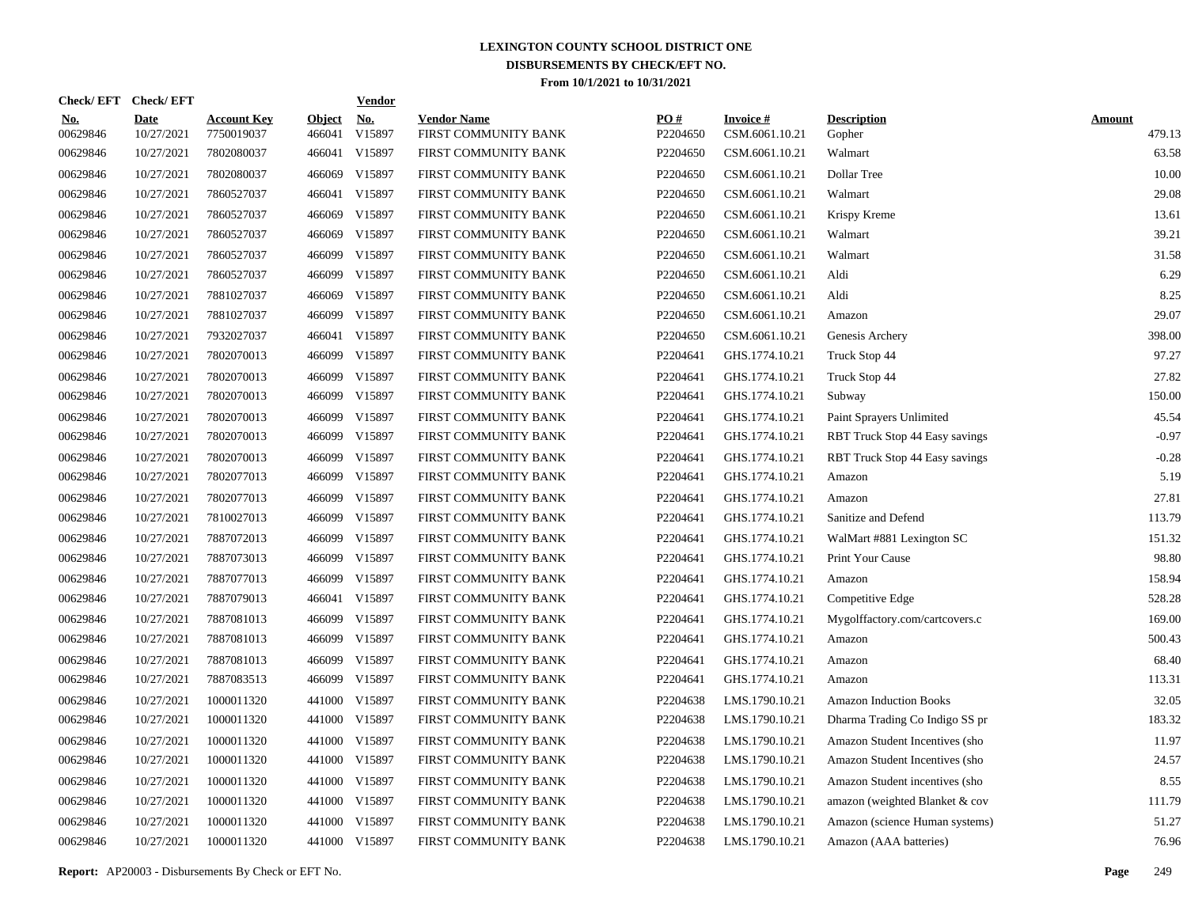| Check/EFT Check/EFT    |                           |                                  |                         | <b>Vendor</b>        |                                            |                 |                                   |                                |                         |
|------------------------|---------------------------|----------------------------------|-------------------------|----------------------|--------------------------------------------|-----------------|-----------------------------------|--------------------------------|-------------------------|
| <u>No.</u><br>00629846 | <b>Date</b><br>10/27/2021 | <b>Account Key</b><br>7750019037 | <b>Object</b><br>466041 | <u>No.</u><br>V15897 | <b>Vendor Name</b><br>FIRST COMMUNITY BANK | PO#<br>P2204650 | <b>Invoice#</b><br>CSM.6061.10.21 | <b>Description</b><br>Gopher   | <b>Amount</b><br>479.13 |
| 00629846               | 10/27/2021                | 7802080037                       | 466041                  | V15897               | FIRST COMMUNITY BANK                       | P2204650        | CSM.6061.10.21                    | Walmart                        | 63.58                   |
| 00629846               | 10/27/2021                | 7802080037                       | 466069                  | V15897               | FIRST COMMUNITY BANK                       | P2204650        | CSM.6061.10.21                    | Dollar Tree                    | 10.00                   |
| 00629846               | 10/27/2021                | 7860527037                       | 466041                  | V15897               | FIRST COMMUNITY BANK                       | P2204650        | CSM.6061.10.21                    | Walmart                        | 29.08                   |
| 00629846               | 10/27/2021                | 7860527037                       | 466069                  | V15897               | FIRST COMMUNITY BANK                       | P2204650        | CSM.6061.10.21                    | Krispy Kreme                   | 13.61                   |
| 00629846               | 10/27/2021                | 7860527037                       | 466069                  | V15897               | FIRST COMMUNITY BANK                       | P2204650        | CSM.6061.10.21                    | Walmart                        | 39.21                   |
| 00629846               | 10/27/2021                | 7860527037                       | 466099                  | V15897               | FIRST COMMUNITY BANK                       | P2204650        | CSM.6061.10.21                    | Walmart                        | 31.58                   |
| 00629846               | 10/27/2021                | 7860527037                       | 466099                  | V15897               | FIRST COMMUNITY BANK                       | P2204650        | CSM.6061.10.21                    | Aldi                           | 6.29                    |
| 00629846               | 10/27/2021                | 7881027037                       | 466069                  | V15897               | FIRST COMMUNITY BANK                       | P2204650        | CSM.6061.10.21                    | Aldi                           | 8.25                    |
| 00629846               | 10/27/2021                | 7881027037                       | 466099                  | V15897               | FIRST COMMUNITY BANK                       | P2204650        | CSM.6061.10.21                    | Amazon                         | 29.07                   |
| 00629846               | 10/27/2021                | 7932027037                       |                         | 466041 V15897        | FIRST COMMUNITY BANK                       | P2204650        | CSM.6061.10.21                    | Genesis Archery                | 398.00                  |
| 00629846               | 10/27/2021                | 7802070013                       | 466099                  | V15897               | FIRST COMMUNITY BANK                       | P2204641        | GHS.1774.10.21                    | Truck Stop 44                  | 97.27                   |
| 00629846               | 10/27/2021                | 7802070013                       | 466099                  | V15897               | FIRST COMMUNITY BANK                       | P2204641        | GHS.1774.10.21                    | Truck Stop 44                  | 27.82                   |
| 00629846               | 10/27/2021                | 7802070013                       | 466099                  | V15897               | FIRST COMMUNITY BANK                       | P2204641        | GHS.1774.10.21                    | Subway                         | 150.00                  |
| 00629846               | 10/27/2021                | 7802070013                       | 466099                  | V15897               | FIRST COMMUNITY BANK                       | P2204641        | GHS.1774.10.21                    | Paint Sprayers Unlimited       | 45.54                   |
| 00629846               | 10/27/2021                | 7802070013                       | 466099                  | V15897               | FIRST COMMUNITY BANK                       | P2204641        | GHS.1774.10.21                    | RBT Truck Stop 44 Easy savings | $-0.97$                 |
| 00629846               | 10/27/2021                | 7802070013                       | 466099                  | V15897               | FIRST COMMUNITY BANK                       | P2204641        | GHS.1774.10.21                    | RBT Truck Stop 44 Easy savings | $-0.28$                 |
| 00629846               | 10/27/2021                | 7802077013                       | 466099                  | V15897               | FIRST COMMUNITY BANK                       | P2204641        | GHS.1774.10.21                    | Amazon                         | 5.19                    |
| 00629846               | 10/27/2021                | 7802077013                       | 466099                  | V15897               | FIRST COMMUNITY BANK                       | P2204641        | GHS.1774.10.21                    | Amazon                         | 27.81                   |
| 00629846               | 10/27/2021                | 7810027013                       | 466099                  | V15897               | FIRST COMMUNITY BANK                       | P2204641        | GHS.1774.10.21                    | Sanitize and Defend            | 113.79                  |
| 00629846               | 10/27/2021                | 7887072013                       | 466099                  | V15897               | FIRST COMMUNITY BANK                       | P2204641        | GHS.1774.10.21                    | WalMart #881 Lexington SC      | 151.32                  |
| 00629846               | 10/27/2021                | 7887073013                       | 466099                  | V15897               | FIRST COMMUNITY BANK                       | P2204641        | GHS.1774.10.21                    | Print Your Cause               | 98.80                   |
| 00629846               | 10/27/2021                | 7887077013                       | 466099                  | V15897               | FIRST COMMUNITY BANK                       | P2204641        | GHS.1774.10.21                    | Amazon                         | 158.94                  |
| 00629846               | 10/27/2021                | 7887079013                       |                         | 466041 V15897        | FIRST COMMUNITY BANK                       | P2204641        | GHS.1774.10.21                    | Competitive Edge               | 528.28                  |
| 00629846               | 10/27/2021                | 7887081013                       | 466099                  | V15897               | FIRST COMMUNITY BANK                       | P2204641        | GHS.1774.10.21                    | Mygolffactory.com/cartcovers.c | 169.00                  |
| 00629846               | 10/27/2021                | 7887081013                       | 466099                  | V15897               | FIRST COMMUNITY BANK                       | P2204641        | GHS.1774.10.21                    | Amazon                         | 500.43                  |
| 00629846               | 10/27/2021                | 7887081013                       | 466099                  | V15897               | FIRST COMMUNITY BANK                       | P2204641        | GHS.1774.10.21                    | Amazon                         | 68.40                   |
| 00629846               | 10/27/2021                | 7887083513                       | 466099                  | V15897               | FIRST COMMUNITY BANK                       | P2204641        | GHS.1774.10.21                    | Amazon                         | 113.31                  |
| 00629846               | 10/27/2021                | 1000011320                       | 441000                  | V15897               | FIRST COMMUNITY BANK                       | P2204638        | LMS.1790.10.21                    | <b>Amazon Induction Books</b>  | 32.05                   |
| 00629846               | 10/27/2021                | 1000011320                       | 441000                  | V15897               | FIRST COMMUNITY BANK                       | P2204638        | LMS.1790.10.21                    | Dharma Trading Co Indigo SS pr | 183.32                  |
| 00629846               | 10/27/2021                | 1000011320                       | 441000                  | V15897               | FIRST COMMUNITY BANK                       | P2204638        | LMS.1790.10.21                    | Amazon Student Incentives (sho | 11.97                   |
| 00629846               | 10/27/2021                | 1000011320                       | 441000                  | V15897               | FIRST COMMUNITY BANK                       | P2204638        | LMS.1790.10.21                    | Amazon Student Incentives (sho | 24.57                   |
| 00629846               | 10/27/2021                | 1000011320                       | 441000                  | V15897               | FIRST COMMUNITY BANK                       | P2204638        | LMS.1790.10.21                    | Amazon Student incentives (sho | 8.55                    |
| 00629846               | 10/27/2021                | 1000011320                       | 441000                  | V15897               | FIRST COMMUNITY BANK                       | P2204638        | LMS.1790.10.21                    | amazon (weighted Blanket & cov | 111.79                  |
| 00629846               | 10/27/2021                | 1000011320                       | 441000                  | V15897               | FIRST COMMUNITY BANK                       | P2204638        | LMS.1790.10.21                    | Amazon (science Human systems) | 51.27                   |
| 00629846               | 10/27/2021                | 1000011320                       |                         | 441000 V15897        | FIRST COMMUNITY BANK                       | P2204638        | LMS.1790.10.21                    | Amazon (AAA batteries)         | 76.96                   |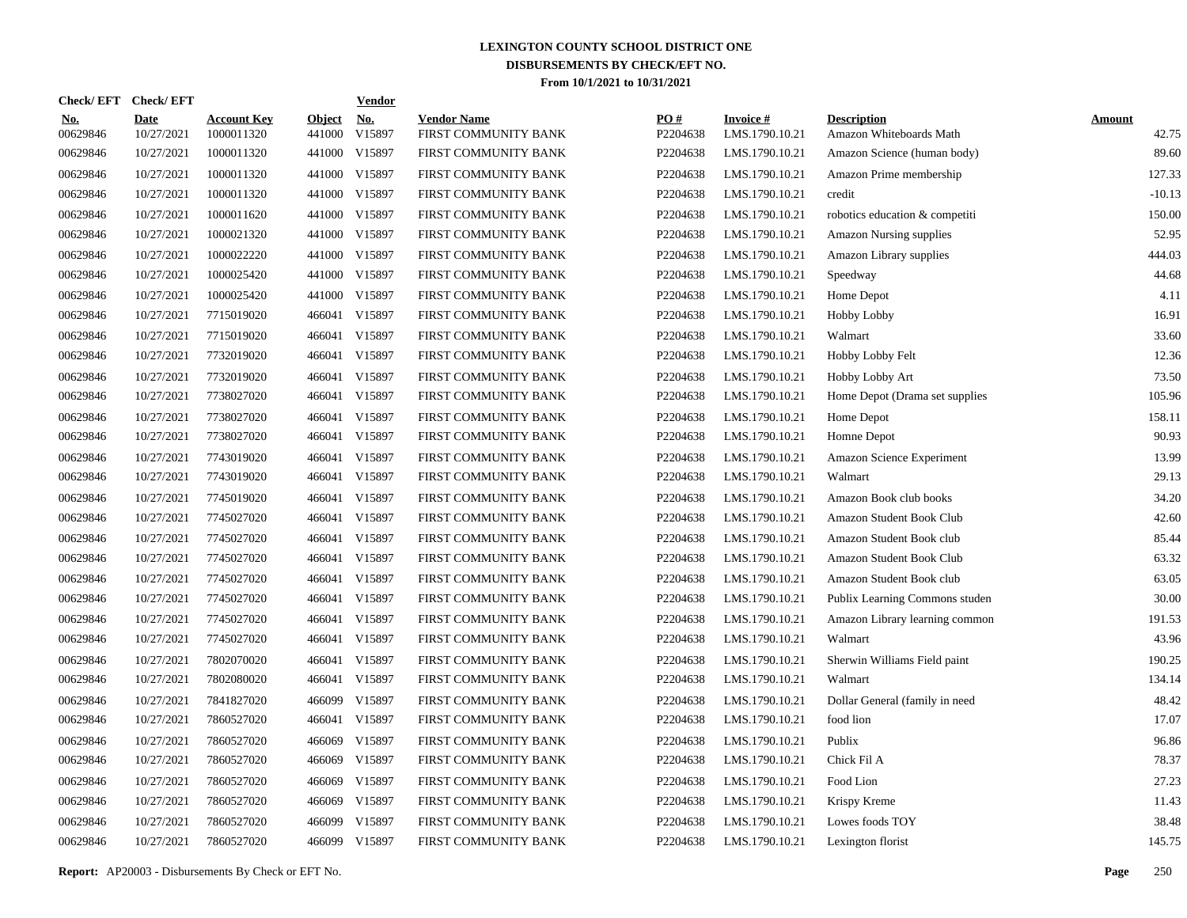| <b>Check/EFT</b>       | <b>Check/EFT</b>          |                                  |                         | <b>Vendor</b>        |                                            |                 |                                   |                                               |                        |
|------------------------|---------------------------|----------------------------------|-------------------------|----------------------|--------------------------------------------|-----------------|-----------------------------------|-----------------------------------------------|------------------------|
| <u>No.</u><br>00629846 | <b>Date</b><br>10/27/2021 | <b>Account Key</b><br>1000011320 | <b>Object</b><br>441000 | <u>No.</u><br>V15897 | <b>Vendor Name</b><br>FIRST COMMUNITY BANK | PO#<br>P2204638 | <b>Invoice#</b><br>LMS.1790.10.21 | <b>Description</b><br>Amazon Whiteboards Math | <b>Amount</b><br>42.75 |
| 00629846               | 10/27/2021                | 1000011320                       | 441000                  | V15897               | FIRST COMMUNITY BANK                       | P2204638        | LMS.1790.10.21                    | Amazon Science (human body)                   | 89.60                  |
| 00629846               | 10/27/2021                | 1000011320                       | 441000                  | V15897               | FIRST COMMUNITY BANK                       | P2204638        | LMS.1790.10.21                    | Amazon Prime membership                       | 127.33                 |
| 00629846               | 10/27/2021                | 1000011320                       | 441000                  | V15897               | FIRST COMMUNITY BANK                       | P2204638        | LMS.1790.10.21                    | credit                                        | $-10.13$               |
| 00629846               | 10/27/2021                | 1000011620                       | 441000                  | V15897               | FIRST COMMUNITY BANK                       | P2204638        | LMS.1790.10.21                    | robotics education & competiti                | 150.00                 |
| 00629846               | 10/27/2021                | 1000021320                       | 441000                  | V15897               | FIRST COMMUNITY BANK                       | P2204638        | LMS.1790.10.21                    | <b>Amazon Nursing supplies</b>                | 52.95                  |
| 00629846               | 10/27/2021                | 1000022220                       | 441000                  | V15897               | FIRST COMMUNITY BANK                       | P2204638        | LMS.1790.10.21                    | Amazon Library supplies                       | 444.03                 |
| 00629846               | 10/27/2021                | 1000025420                       | 441000                  | V15897               | FIRST COMMUNITY BANK                       | P2204638        | LMS.1790.10.21                    | Speedway                                      | 44.68                  |
| 00629846               | 10/27/2021                | 1000025420                       | 441000                  | V15897               | FIRST COMMUNITY BANK                       | P2204638        | LMS.1790.10.21                    | Home Depot                                    | 4.11                   |
| 00629846               | 10/27/2021                | 7715019020                       | 466041                  | V15897               | FIRST COMMUNITY BANK                       | P2204638        | LMS.1790.10.21                    | <b>Hobby Lobby</b>                            | 16.91                  |
| 00629846               | 10/27/2021                | 7715019020                       | 466041                  | V15897               | FIRST COMMUNITY BANK                       | P2204638        | LMS.1790.10.21                    | Walmart                                       | 33.60                  |
| 00629846               | 10/27/2021                | 7732019020                       | 466041                  | V15897               | FIRST COMMUNITY BANK                       | P2204638        | LMS.1790.10.21                    | Hobby Lobby Felt                              | 12.36                  |
| 00629846               | 10/27/2021                | 7732019020                       | 466041                  | V15897               | FIRST COMMUNITY BANK                       | P2204638        | LMS.1790.10.21                    | Hobby Lobby Art                               | 73.50                  |
| 00629846               | 10/27/2021                | 7738027020                       | 466041                  | V15897               | FIRST COMMUNITY BANK                       | P2204638        | LMS.1790.10.21                    | Home Depot (Drama set supplies                | 105.96                 |
| 00629846               | 10/27/2021                | 7738027020                       | 466041                  | V15897               | FIRST COMMUNITY BANK                       | P2204638        | LMS.1790.10.21                    | Home Depot                                    | 158.11                 |
| 00629846               | 10/27/2021                | 7738027020                       | 466041                  | V15897               | FIRST COMMUNITY BANK                       | P2204638        | LMS.1790.10.21                    | Homne Depot                                   | 90.93                  |
| 00629846               | 10/27/2021                | 7743019020                       | 466041                  | V15897               | FIRST COMMUNITY BANK                       | P2204638        | LMS.1790.10.21                    | Amazon Science Experiment                     | 13.99                  |
| 00629846               | 10/27/2021                | 7743019020                       | 466041                  | V15897               | FIRST COMMUNITY BANK                       | P2204638        | LMS.1790.10.21                    | Walmart                                       | 29.13                  |
| 00629846               | 10/27/2021                | 7745019020                       | 466041                  | V15897               | FIRST COMMUNITY BANK                       | P2204638        | LMS.1790.10.21                    | Amazon Book club books                        | 34.20                  |
| 00629846               | 10/27/2021                | 7745027020                       | 466041                  | V15897               | FIRST COMMUNITY BANK                       | P2204638        | LMS.1790.10.21                    | Amazon Student Book Club                      | 42.60                  |
| 00629846               | 10/27/2021                | 7745027020                       | 466041                  | V15897               | FIRST COMMUNITY BANK                       | P2204638        | LMS.1790.10.21                    | Amazon Student Book club                      | 85.44                  |
| 00629846               | 10/27/2021                | 7745027020                       | 466041                  | V15897               | FIRST COMMUNITY BANK                       | P2204638        | LMS.1790.10.21                    | Amazon Student Book Club                      | 63.32                  |
| 00629846               | 10/27/2021                | 7745027020                       | 466041                  | V15897               | FIRST COMMUNITY BANK                       | P2204638        | LMS.1790.10.21                    | Amazon Student Book club                      | 63.05                  |
| 00629846               | 10/27/2021                | 7745027020                       | 466041                  | V15897               | FIRST COMMUNITY BANK                       | P2204638        | LMS.1790.10.21                    | Publix Learning Commons studen                | 30.00                  |
| 00629846               | 10/27/2021                | 7745027020                       | 466041                  | V15897               | FIRST COMMUNITY BANK                       | P2204638        | LMS.1790.10.21                    | Amazon Library learning common                | 191.53                 |
| 00629846               | 10/27/2021                | 7745027020                       | 466041                  | V15897               | FIRST COMMUNITY BANK                       | P2204638        | LMS.1790.10.21                    | Walmart                                       | 43.96                  |
| 00629846               | 10/27/2021                | 7802070020                       | 466041                  | V15897               | FIRST COMMUNITY BANK                       | P2204638        | LMS.1790.10.21                    | Sherwin Williams Field paint                  | 190.25                 |
| 00629846               | 10/27/2021                | 7802080020                       | 466041                  | V15897               | FIRST COMMUNITY BANK                       | P2204638        | LMS.1790.10.21                    | Walmart                                       | 134.14                 |
| 00629846               | 10/27/2021                | 7841827020                       | 466099                  | V15897               | FIRST COMMUNITY BANK                       | P2204638        | LMS.1790.10.21                    | Dollar General (family in need                | 48.42                  |
| 00629846               | 10/27/2021                | 7860527020                       | 466041                  | V15897               | FIRST COMMUNITY BANK                       | P2204638        | LMS.1790.10.21                    | food lion                                     | 17.07                  |
| 00629846               | 10/27/2021                | 7860527020                       | 466069                  | V15897               | FIRST COMMUNITY BANK                       | P2204638        | LMS.1790.10.21                    | Publix                                        | 96.86                  |
| 00629846               | 10/27/2021                | 7860527020                       | 466069                  | V15897               | FIRST COMMUNITY BANK                       | P2204638        | LMS.1790.10.21                    | Chick Fil A                                   | 78.37                  |
| 00629846               | 10/27/2021                | 7860527020                       | 466069                  | V15897               | FIRST COMMUNITY BANK                       | P2204638        | LMS.1790.10.21                    | Food Lion                                     | 27.23                  |
| 00629846               | 10/27/2021                | 7860527020                       | 466069                  | V15897               | FIRST COMMUNITY BANK                       | P2204638        | LMS.1790.10.21                    | Krispy Kreme                                  | 11.43                  |
| 00629846               | 10/27/2021                | 7860527020                       | 466099                  | V15897               | FIRST COMMUNITY BANK                       | P2204638        | LMS.1790.10.21                    | Lowes foods TOY                               | 38.48                  |
| 00629846               | 10/27/2021                | 7860527020                       |                         | 466099 V15897        | FIRST COMMUNITY BANK                       | P2204638        | LMS.1790.10.21                    | Lexington florist                             | 145.75                 |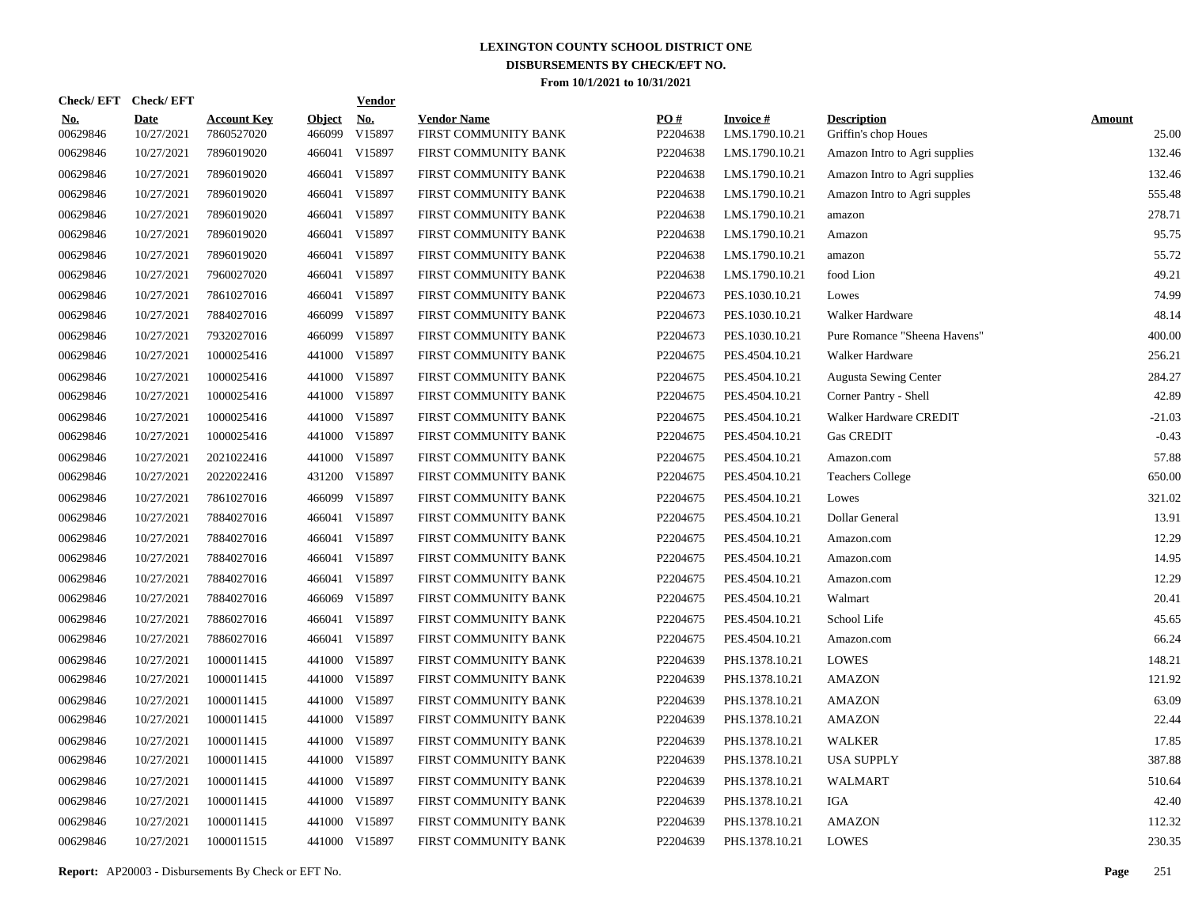| Check/EFT Check/EFT    |                           |                                  |                         | <b>Vendor</b> |                                            |                      |                                   |                                            |                        |
|------------------------|---------------------------|----------------------------------|-------------------------|---------------|--------------------------------------------|----------------------|-----------------------------------|--------------------------------------------|------------------------|
| <u>No.</u><br>00629846 | <b>Date</b><br>10/27/2021 | <b>Account Key</b><br>7860527020 | <b>Object</b><br>466099 | No.<br>V15897 | <b>Vendor Name</b><br>FIRST COMMUNITY BANK | PO#<br>P2204638      | <b>Invoice#</b><br>LMS.1790.10.21 | <b>Description</b><br>Griffin's chop Houes | <b>Amount</b><br>25.00 |
| 00629846               | 10/27/2021                | 7896019020                       | 466041                  | V15897        | FIRST COMMUNITY BANK                       | P2204638             | LMS.1790.10.21                    | Amazon Intro to Agri supplies              | 132.46                 |
| 00629846               | 10/27/2021                | 7896019020                       | 466041                  | V15897        | FIRST COMMUNITY BANK                       | P2204638             | LMS.1790.10.21                    | Amazon Intro to Agri supplies              | 132.46                 |
| 00629846               | 10/27/2021                | 7896019020                       | 466041                  | V15897        | FIRST COMMUNITY BANK                       | P2204638             | LMS.1790.10.21                    | Amazon Intro to Agri supples               | 555.48                 |
| 00629846               | 10/27/2021                | 7896019020                       | 466041                  | V15897        | FIRST COMMUNITY BANK                       | P2204638             | LMS.1790.10.21                    | amazon                                     | 278.71                 |
| 00629846               | 10/27/2021                | 7896019020                       | 466041                  | V15897        | FIRST COMMUNITY BANK                       | P2204638             | LMS.1790.10.21                    | Amazon                                     | 95.75                  |
| 00629846               | 10/27/2021                | 7896019020                       | 466041                  | V15897        | FIRST COMMUNITY BANK                       | P2204638             | LMS.1790.10.21                    | amazon                                     | 55.72                  |
| 00629846               | 10/27/2021                | 7960027020                       | 466041                  | V15897        | FIRST COMMUNITY BANK                       | P2204638             | LMS.1790.10.21                    | food Lion                                  | 49.21                  |
| 00629846               | 10/27/2021                | 7861027016                       | 466041                  | V15897        | FIRST COMMUNITY BANK                       | P2204673             | PES.1030.10.21                    | Lowes                                      | 74.99                  |
| 00629846               | 10/27/2021                | 7884027016                       | 466099                  | V15897        | FIRST COMMUNITY BANK                       | P2204673             | PES.1030.10.21                    | Walker Hardware                            | 48.14                  |
| 00629846               | 10/27/2021                | 7932027016                       | 466099                  | V15897        | FIRST COMMUNITY BANK                       | P2204673             | PES.1030.10.21                    | Pure Romance "Sheena Havens"               | 400.00                 |
| 00629846               | 10/27/2021                | 1000025416                       | 441000                  | V15897        | FIRST COMMUNITY BANK                       | P2204675             | PES.4504.10.21                    | Walker Hardware                            | 256.21                 |
| 00629846               | 10/27/2021                | 1000025416                       |                         | 441000 V15897 | FIRST COMMUNITY BANK                       | P2204675             | PES.4504.10.21                    | <b>Augusta Sewing Center</b>               | 284.27                 |
| 00629846               | 10/27/2021                | 1000025416                       |                         | 441000 V15897 | FIRST COMMUNITY BANK                       | P2204675             | PES.4504.10.21                    | Corner Pantry - Shell                      | 42.89                  |
| 00629846               | 10/27/2021                | 1000025416                       |                         | 441000 V15897 | FIRST COMMUNITY BANK                       | P2204675             | PES.4504.10.21                    | Walker Hardware CREDIT                     | $-21.03$               |
| 00629846               | 10/27/2021                | 1000025416                       |                         | 441000 V15897 | FIRST COMMUNITY BANK                       | P2204675             | PES.4504.10.21                    | <b>Gas CREDIT</b>                          | $-0.43$                |
| 00629846               | 10/27/2021                | 2021022416                       |                         | 441000 V15897 | FIRST COMMUNITY BANK                       | P2204675             | PES.4504.10.21                    | Amazon.com                                 | 57.88                  |
| 00629846               | 10/27/2021                | 2022022416                       |                         | 431200 V15897 | FIRST COMMUNITY BANK                       | P2204675             | PES.4504.10.21                    | <b>Teachers College</b>                    | 650.00                 |
| 00629846               | 10/27/2021                | 7861027016                       |                         | 466099 V15897 | FIRST COMMUNITY BANK                       | P2204675             | PES.4504.10.21                    | Lowes                                      | 321.02                 |
| 00629846               | 10/27/2021                | 7884027016                       | 466041                  | V15897        | FIRST COMMUNITY BANK                       | P2204675             | PES.4504.10.21                    | Dollar General                             | 13.91                  |
| 00629846               | 10/27/2021                | 7884027016                       | 466041                  | V15897        | FIRST COMMUNITY BANK                       | P2204675             | PES.4504.10.21                    | Amazon.com                                 | 12.29                  |
| 00629846               | 10/27/2021                | 7884027016                       | 466041                  | V15897        | FIRST COMMUNITY BANK                       | P2204675             | PES.4504.10.21                    | Amazon.com                                 | 14.95                  |
| 00629846               | 10/27/2021                | 7884027016                       | 466041                  | V15897        | FIRST COMMUNITY BANK                       | P2204675             | PES.4504.10.21                    | Amazon.com                                 | 12.29                  |
| 00629846               | 10/27/2021                | 7884027016                       | 466069                  | V15897        | FIRST COMMUNITY BANK                       | P2204675             | PES.4504.10.21                    | Walmart                                    | 20.41                  |
| 00629846               | 10/27/2021                | 7886027016                       | 466041                  | V15897        | FIRST COMMUNITY BANK                       | P2204675             | PES.4504.10.21                    | School Life                                | 45.65                  |
| 00629846               | 10/27/2021                | 7886027016                       |                         | 466041 V15897 | FIRST COMMUNITY BANK                       | P <sub>2204675</sub> | PES.4504.10.21                    | Amazon.com                                 | 66.24                  |
| 00629846               | 10/27/2021                | 1000011415                       |                         | 441000 V15897 | FIRST COMMUNITY BANK                       | P2204639             | PHS.1378.10.21                    | <b>LOWES</b>                               | 148.21                 |
| 00629846               | 10/27/2021                | 1000011415                       |                         | 441000 V15897 | FIRST COMMUNITY BANK                       | P2204639             | PHS.1378.10.21                    | <b>AMAZON</b>                              | 121.92                 |
| 00629846               | 10/27/2021                | 1000011415                       |                         | 441000 V15897 | FIRST COMMUNITY BANK                       | P2204639             | PHS.1378.10.21                    | <b>AMAZON</b>                              | 63.09                  |
| 00629846               | 10/27/2021                | 1000011415                       |                         | 441000 V15897 | FIRST COMMUNITY BANK                       | P2204639             | PHS.1378.10.21                    | <b>AMAZON</b>                              | 22.44                  |
| 00629846               | 10/27/2021                | 1000011415                       |                         | 441000 V15897 | FIRST COMMUNITY BANK                       | P2204639             | PHS.1378.10.21                    | <b>WALKER</b>                              | 17.85                  |
| 00629846               | 10/27/2021                | 1000011415                       |                         | 441000 V15897 | FIRST COMMUNITY BANK                       | P2204639             | PHS.1378.10.21                    | <b>USA SUPPLY</b>                          | 387.88                 |
| 00629846               | 10/27/2021                | 1000011415                       |                         | 441000 V15897 | FIRST COMMUNITY BANK                       | P2204639             | PHS.1378.10.21                    | <b>WALMART</b>                             | 510.64                 |
| 00629846               | 10/27/2021                | 1000011415                       |                         | 441000 V15897 | FIRST COMMUNITY BANK                       | P2204639             | PHS.1378.10.21                    | IGA                                        | 42.40                  |
| 00629846               | 10/27/2021                | 1000011415                       | 441000                  | V15897        | FIRST COMMUNITY BANK                       | P2204639             | PHS.1378.10.21                    | <b>AMAZON</b>                              | 112.32                 |
| 00629846               | 10/27/2021                | 1000011515                       |                         | 441000 V15897 | FIRST COMMUNITY BANK                       | P2204639             | PHS.1378.10.21                    | <b>LOWES</b>                               | 230.35                 |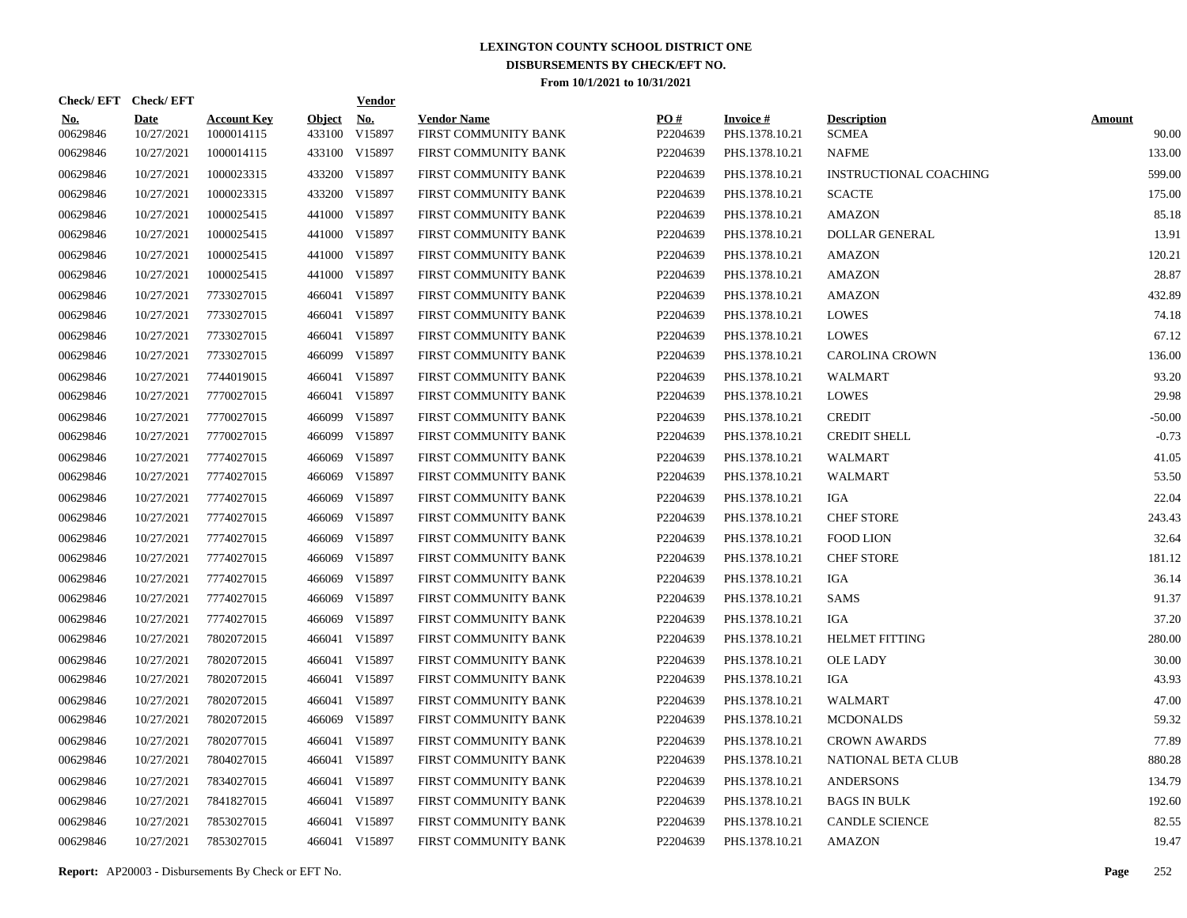| Check/EFT Check/EFT    |                           |                                  |                         | <b>Vendor</b>        |                                            |                 |                                   |                                    |                        |
|------------------------|---------------------------|----------------------------------|-------------------------|----------------------|--------------------------------------------|-----------------|-----------------------------------|------------------------------------|------------------------|
| <u>No.</u><br>00629846 | <b>Date</b><br>10/27/2021 | <b>Account Key</b><br>1000014115 | <b>Object</b><br>433100 | <u>No.</u><br>V15897 | <b>Vendor Name</b><br>FIRST COMMUNITY BANK | PQ#<br>P2204639 | <b>Invoice#</b><br>PHS.1378.10.21 | <b>Description</b><br><b>SCMEA</b> | <b>Amount</b><br>90.00 |
| 00629846               | 10/27/2021                | 1000014115                       |                         | 433100 V15897        | FIRST COMMUNITY BANK                       | P2204639        | PHS.1378.10.21                    | <b>NAFME</b>                       | 133.00                 |
| 00629846               | 10/27/2021                | 1000023315                       |                         | 433200 V15897        | FIRST COMMUNITY BANK                       | P2204639        | PHS.1378.10.21                    | <b>INSTRUCTIONAL COACHING</b>      | 599.00                 |
| 00629846               | 10/27/2021                | 1000023315                       |                         | 433200 V15897        | FIRST COMMUNITY BANK                       | P2204639        | PHS.1378.10.21                    | <b>SCACTE</b>                      | 175.00                 |
| 00629846               | 10/27/2021                | 1000025415                       |                         | 441000 V15897        | FIRST COMMUNITY BANK                       | P2204639        | PHS.1378.10.21                    | <b>AMAZON</b>                      | 85.18                  |
| 00629846               | 10/27/2021                | 1000025415                       |                         | 441000 V15897        | FIRST COMMUNITY BANK                       | P2204639        | PHS.1378.10.21                    | <b>DOLLAR GENERAL</b>              | 13.91                  |
| 00629846               | 10/27/2021                | 1000025415                       |                         | 441000 V15897        | FIRST COMMUNITY BANK                       | P2204639        | PHS.1378.10.21                    | <b>AMAZON</b>                      | 120.21                 |
| 00629846               | 10/27/2021                | 1000025415                       |                         | 441000 V15897        | FIRST COMMUNITY BANK                       | P2204639        | PHS.1378.10.21                    | <b>AMAZON</b>                      | 28.87                  |
| 00629846               | 10/27/2021                | 7733027015                       |                         | 466041 V15897        | FIRST COMMUNITY BANK                       | P2204639        | PHS.1378.10.21                    | <b>AMAZON</b>                      | 432.89                 |
| 00629846               | 10/27/2021                | 7733027015                       |                         | 466041 V15897        | FIRST COMMUNITY BANK                       | P2204639        | PHS.1378.10.21                    | LOWES                              | 74.18                  |
| 00629846               | 10/27/2021                | 7733027015                       |                         | 466041 V15897        | FIRST COMMUNITY BANK                       | P2204639        | PHS.1378.10.21                    | LOWES                              | 67.12                  |
| 00629846               | 10/27/2021                | 7733027015                       |                         | 466099 V15897        | FIRST COMMUNITY BANK                       | P2204639        | PHS.1378.10.21                    | <b>CAROLINA CROWN</b>              | 136.00                 |
| 00629846               | 10/27/2021                | 7744019015                       |                         | 466041 V15897        | FIRST COMMUNITY BANK                       | P2204639        | PHS.1378.10.21                    | <b>WALMART</b>                     | 93.20                  |
| 00629846               | 10/27/2021                | 7770027015                       |                         | 466041 V15897        | FIRST COMMUNITY BANK                       | P2204639        | PHS.1378.10.21                    | <b>LOWES</b>                       | 29.98                  |
| 00629846               | 10/27/2021                | 7770027015                       |                         | 466099 V15897        | FIRST COMMUNITY BANK                       | P2204639        | PHS.1378.10.21                    | <b>CREDIT</b>                      | $-50.00$               |
| 00629846               | 10/27/2021                | 7770027015                       |                         | 466099 V15897        | FIRST COMMUNITY BANK                       | P2204639        | PHS.1378.10.21                    | <b>CREDIT SHELL</b>                | $-0.73$                |
| 00629846               | 10/27/2021                | 7774027015                       | 466069                  | V15897               | FIRST COMMUNITY BANK                       | P2204639        | PHS.1378.10.21                    | <b>WALMART</b>                     | 41.05                  |
| 00629846               | 10/27/2021                | 7774027015                       |                         | 466069 V15897        | FIRST COMMUNITY BANK                       | P2204639        | PHS.1378.10.21                    | WALMART                            | 53.50                  |
| 00629846               | 10/27/2021                | 7774027015                       | 466069                  | V15897               | FIRST COMMUNITY BANK                       | P2204639        | PHS.1378.10.21                    | IGA                                | 22.04                  |
| 00629846               | 10/27/2021                | 7774027015                       | 466069                  | V15897               | FIRST COMMUNITY BANK                       | P2204639        | PHS.1378.10.21                    | <b>CHEF STORE</b>                  | 243.43                 |
| 00629846               | 10/27/2021                | 7774027015                       | 466069                  | V15897               | FIRST COMMUNITY BANK                       | P2204639        | PHS.1378.10.21                    | <b>FOOD LION</b>                   | 32.64                  |
| 00629846               | 10/27/2021                | 7774027015                       |                         | 466069 V15897        | FIRST COMMUNITY BANK                       | P2204639        | PHS.1378.10.21                    | <b>CHEF STORE</b>                  | 181.12                 |
| 00629846               | 10/27/2021                | 7774027015                       | 466069                  | V15897               | FIRST COMMUNITY BANK                       | P2204639        | PHS.1378.10.21                    | IGA                                | 36.14                  |
| 00629846               | 10/27/2021                | 7774027015                       |                         | 466069 V15897        | FIRST COMMUNITY BANK                       | P2204639        | PHS.1378.10.21                    | SAMS                               | 91.37                  |
| 00629846               | 10/27/2021                | 7774027015                       |                         | 466069 V15897        | FIRST COMMUNITY BANK                       | P2204639        | PHS.1378.10.21                    | IGA                                | 37.20                  |
| 00629846               | 10/27/2021                | 7802072015                       |                         | 466041 V15897        | FIRST COMMUNITY BANK                       | P2204639        | PHS.1378.10.21                    | <b>HELMET FITTING</b>              | 280.00                 |
| 00629846               | 10/27/2021                | 7802072015                       |                         | 466041 V15897        | FIRST COMMUNITY BANK                       | P2204639        | PHS.1378.10.21                    | <b>OLE LADY</b>                    | 30.00                  |
| 00629846               | 10/27/2021                | 7802072015                       |                         | 466041 V15897        | FIRST COMMUNITY BANK                       | P2204639        | PHS.1378.10.21                    | IGA                                | 43.93                  |
| 00629846               | 10/27/2021                | 7802072015                       |                         | 466041 V15897        | FIRST COMMUNITY BANK                       | P2204639        | PHS.1378.10.21                    | <b>WALMART</b>                     | 47.00                  |
| 00629846               | 10/27/2021                | 7802072015                       |                         | 466069 V15897        | FIRST COMMUNITY BANK                       | P2204639        | PHS.1378.10.21                    | <b>MCDONALDS</b>                   | 59.32                  |
| 00629846               | 10/27/2021                | 7802077015                       |                         | 466041 V15897        | FIRST COMMUNITY BANK                       | P2204639        | PHS.1378.10.21                    | <b>CROWN AWARDS</b>                | 77.89                  |
| 00629846               | 10/27/2021                | 7804027015                       |                         | 466041 V15897        | FIRST COMMUNITY BANK                       | P2204639        | PHS.1378.10.21                    | NATIONAL BETA CLUB                 | 880.28                 |
| 00629846               | 10/27/2021                | 7834027015                       |                         | 466041 V15897        | FIRST COMMUNITY BANK                       | P2204639        | PHS.1378.10.21                    | <b>ANDERSONS</b>                   | 134.79                 |
| 00629846               | 10/27/2021                | 7841827015                       |                         | 466041 V15897        | FIRST COMMUNITY BANK                       | P2204639        | PHS.1378.10.21                    | <b>BAGS IN BULK</b>                | 192.60                 |
| 00629846               | 10/27/2021                | 7853027015                       |                         | 466041 V15897        | FIRST COMMUNITY BANK                       | P2204639        | PHS.1378.10.21                    | <b>CANDLE SCIENCE</b>              | 82.55                  |
| 00629846               | 10/27/2021                | 7853027015                       |                         | 466041 V15897        | FIRST COMMUNITY BANK                       | P2204639        | PHS.1378.10.21                    | <b>AMAZON</b>                      | 19.47                  |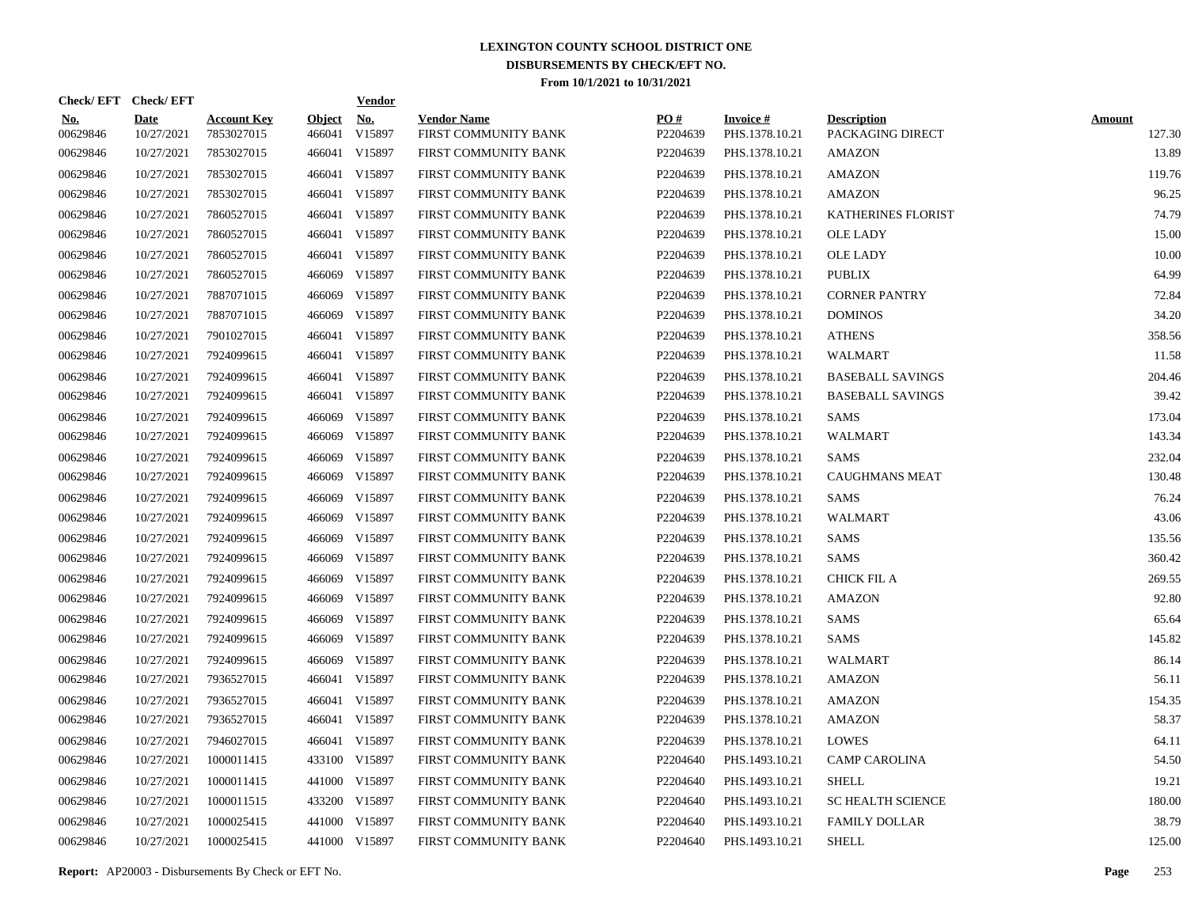|                        | Check/EFT Check/EFT       |                                  |                         | <b>Vendor</b>        |                                            |                      |                                   |                                        |                         |
|------------------------|---------------------------|----------------------------------|-------------------------|----------------------|--------------------------------------------|----------------------|-----------------------------------|----------------------------------------|-------------------------|
| <u>No.</u><br>00629846 | <b>Date</b><br>10/27/2021 | <b>Account Key</b><br>7853027015 | <b>Object</b><br>466041 | <u>No.</u><br>V15897 | <b>Vendor Name</b><br>FIRST COMMUNITY BANK | PO#<br>P2204639      | <b>Invoice#</b><br>PHS.1378.10.21 | <b>Description</b><br>PACKAGING DIRECT | <b>Amount</b><br>127.30 |
| 00629846               | 10/27/2021                | 7853027015                       | 466041                  | V15897               | FIRST COMMUNITY BANK                       | P <sub>2204639</sub> | PHS.1378.10.21                    | AMAZON                                 | 13.89                   |
| 00629846               | 10/27/2021                | 7853027015                       | 466041                  | V15897               | FIRST COMMUNITY BANK                       | P2204639             | PHS.1378.10.21                    | AMAZON                                 | 119.76                  |
| 00629846               | 10/27/2021                | 7853027015                       | 466041                  | V15897               | FIRST COMMUNITY BANK                       | P2204639             | PHS.1378.10.21                    | <b>AMAZON</b>                          | 96.25                   |
| 00629846               | 10/27/2021                | 7860527015                       | 466041                  | V15897               | FIRST COMMUNITY BANK                       | P2204639             | PHS.1378.10.21                    | KATHERINES FLORIST                     | 74.79                   |
| 00629846               | 10/27/2021                | 7860527015                       | 466041                  | V15897               | FIRST COMMUNITY BANK                       | P2204639             | PHS.1378.10.21                    | <b>OLE LADY</b>                        | 15.00                   |
| 00629846               | 10/27/2021                | 7860527015                       |                         | 466041 V15897        | FIRST COMMUNITY BANK                       | P2204639             | PHS.1378.10.21                    | <b>OLE LADY</b>                        | 10.00                   |
| 00629846               | 10/27/2021                | 7860527015                       |                         | 466069 V15897        | FIRST COMMUNITY BANK                       | P2204639             | PHS.1378.10.21                    | <b>PUBLIX</b>                          | 64.99                   |
| 00629846               | 10/27/2021                | 7887071015                       |                         | 466069 V15897        | FIRST COMMUNITY BANK                       | P2204639             | PHS.1378.10.21                    | <b>CORNER PANTRY</b>                   | 72.84                   |
| 00629846               | 10/27/2021                | 7887071015                       |                         | 466069 V15897        | FIRST COMMUNITY BANK                       | P2204639             | PHS.1378.10.21                    | <b>DOMINOS</b>                         | 34.20                   |
| 00629846               | 10/27/2021                | 7901027015                       |                         | 466041 V15897        | FIRST COMMUNITY BANK                       | P2204639             | PHS.1378.10.21                    | <b>ATHENS</b>                          | 358.56                  |
| 00629846               | 10/27/2021                | 7924099615                       |                         | 466041 V15897        | FIRST COMMUNITY BANK                       | P2204639             | PHS.1378.10.21                    | WALMART                                | 11.58                   |
| 00629846               | 10/27/2021                | 7924099615                       |                         | 466041 V15897        | FIRST COMMUNITY BANK                       | P2204639             | PHS.1378.10.21                    | <b>BASEBALL SAVINGS</b>                | 204.46                  |
| 00629846               | 10/27/2021                | 7924099615                       |                         | 466041 V15897        | FIRST COMMUNITY BANK                       | P2204639             | PHS.1378.10.21                    | <b>BASEBALL SAVINGS</b>                | 39.42                   |
| 00629846               | 10/27/2021                | 7924099615                       | 466069                  | V15897               | FIRST COMMUNITY BANK                       | P2204639             | PHS.1378.10.21                    | SAMS                                   | 173.04                  |
| 00629846               | 10/27/2021                | 7924099615                       | 466069                  | V15897               | FIRST COMMUNITY BANK                       | P2204639             | PHS.1378.10.21                    | WALMART                                | 143.34                  |
| 00629846               | 10/27/2021                | 7924099615                       | 466069                  | V15897               | FIRST COMMUNITY BANK                       | P2204639             | PHS.1378.10.21                    | <b>SAMS</b>                            | 232.04                  |
| 00629846               | 10/27/2021                | 7924099615                       | 466069                  | V15897               | FIRST COMMUNITY BANK                       | P2204639             | PHS.1378.10.21                    | <b>CAUGHMANS MEAT</b>                  | 130.48                  |
| 00629846               | 10/27/2021                | 7924099615                       | 466069                  | V15897               | FIRST COMMUNITY BANK                       | P2204639             | PHS.1378.10.21                    | <b>SAMS</b>                            | 76.24                   |
| 00629846               | 10/27/2021                | 7924099615                       | 466069                  | V15897               | FIRST COMMUNITY BANK                       | P2204639             | PHS.1378.10.21                    | <b>WALMART</b>                         | 43.06                   |
| 00629846               | 10/27/2021                | 7924099615                       | 466069                  | V15897               | FIRST COMMUNITY BANK                       | P2204639             | PHS.1378.10.21                    | SAMS                                   | 135.56                  |
| 00629846               | 10/27/2021                | 7924099615                       | 466069                  | V15897               | FIRST COMMUNITY BANK                       | P2204639             | PHS.1378.10.21                    | <b>SAMS</b>                            | 360.42                  |
| 00629846               | 10/27/2021                | 7924099615                       | 466069                  | V15897               | FIRST COMMUNITY BANK                       | P2204639             | PHS.1378.10.21                    | <b>CHICK FIL A</b>                     | 269.55                  |
| 00629846               | 10/27/2021                | 7924099615                       | 466069                  | V15897               | FIRST COMMUNITY BANK                       | P2204639             | PHS.1378.10.21                    | <b>AMAZON</b>                          | 92.80                   |
| 00629846               | 10/27/2021                | 7924099615                       | 466069                  | V15897               | FIRST COMMUNITY BANK                       | P2204639             | PHS.1378.10.21                    | <b>SAMS</b>                            | 65.64                   |
| 00629846               | 10/27/2021                | 7924099615                       | 466069                  | V15897               | FIRST COMMUNITY BANK                       | P2204639             | PHS.1378.10.21                    | SAMS                                   | 145.82                  |
| 00629846               | 10/27/2021                | 7924099615                       |                         | 466069 V15897        | FIRST COMMUNITY BANK                       | P2204639             | PHS.1378.10.21                    | WALMART                                | 86.14                   |
| 00629846               | 10/27/2021                | 7936527015                       | 466041                  | V15897               | FIRST COMMUNITY BANK                       | P2204639             | PHS.1378.10.21                    | AMAZON                                 | 56.11                   |
| 00629846               | 10/27/2021                | 7936527015                       | 466041                  | V15897               | FIRST COMMUNITY BANK                       | P2204639             | PHS.1378.10.21                    | <b>AMAZON</b>                          | 154.35                  |
| 00629846               | 10/27/2021                | 7936527015                       | 466041                  | V15897               | FIRST COMMUNITY BANK                       | P2204639             | PHS.1378.10.21                    | <b>AMAZON</b>                          | 58.37                   |
| 00629846               | 10/27/2021                | 7946027015                       |                         | 466041 V15897        | FIRST COMMUNITY BANK                       | P2204639             | PHS.1378.10.21                    | <b>LOWES</b>                           | 64.11                   |
| 00629846               | 10/27/2021                | 1000011415                       |                         | 433100 V15897        | FIRST COMMUNITY BANK                       | P2204640             | PHS.1493.10.21                    | <b>CAMP CAROLINA</b>                   | 54.50                   |
| 00629846               | 10/27/2021                | 1000011415                       |                         | 441000 V15897        | FIRST COMMUNITY BANK                       | P2204640             | PHS.1493.10.21                    | <b>SHELL</b>                           | 19.21                   |
| 00629846               | 10/27/2021                | 1000011515                       |                         | 433200 V15897        | FIRST COMMUNITY BANK                       | P2204640             | PHS.1493.10.21                    | <b>SC HEALTH SCIENCE</b>               | 180.00                  |
| 00629846               | 10/27/2021                | 1000025415                       |                         | 441000 V15897        | FIRST COMMUNITY BANK                       | P2204640             | PHS.1493.10.21                    | <b>FAMILY DOLLAR</b>                   | 38.79                   |
| 00629846               | 10/27/2021                | 1000025415                       |                         | 441000 V15897        | FIRST COMMUNITY BANK                       | P2204640             | PHS.1493.10.21                    | <b>SHELL</b>                           | 125.00                  |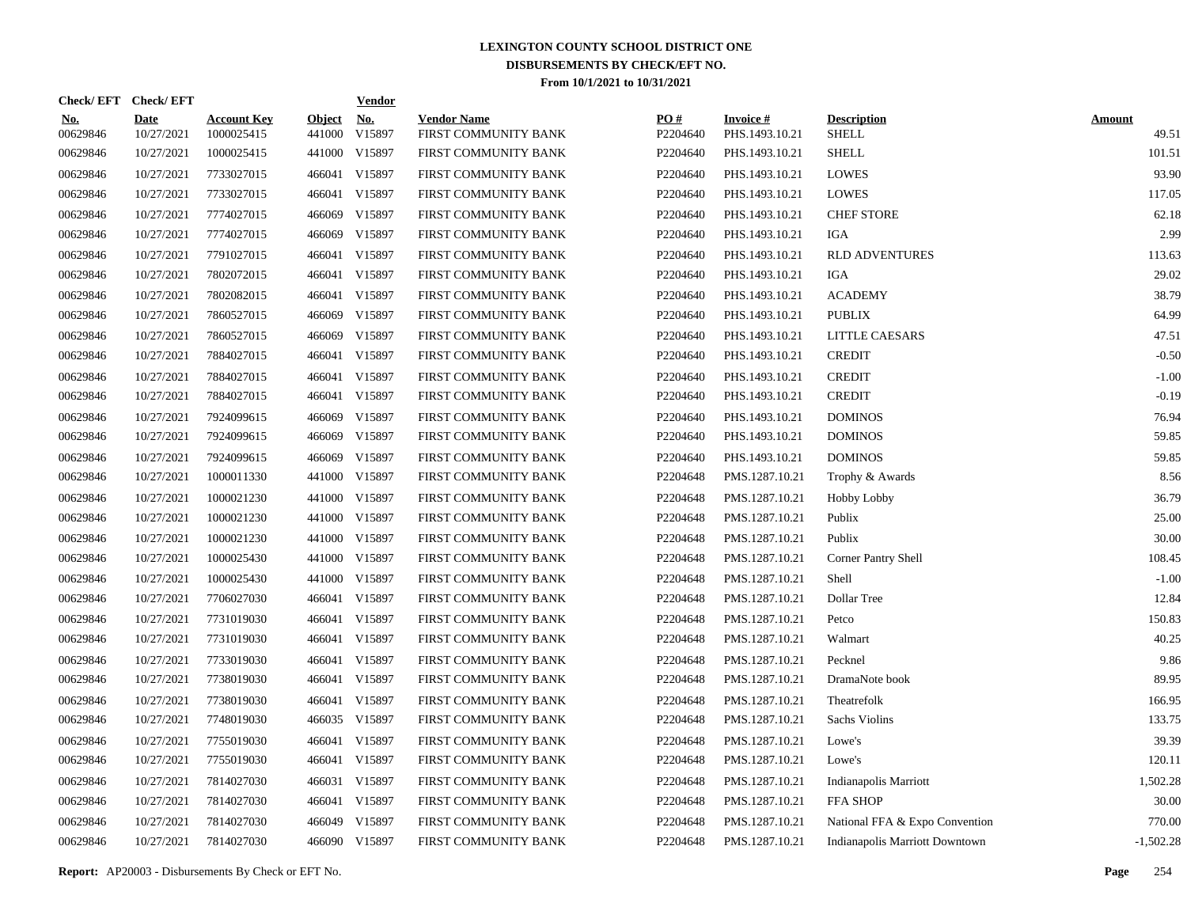| Check/EFT Check/EFT    |                           |                                  |                         | <b>Vendor</b>        |                                            |                 |                                   |                                    |                        |
|------------------------|---------------------------|----------------------------------|-------------------------|----------------------|--------------------------------------------|-----------------|-----------------------------------|------------------------------------|------------------------|
| <u>No.</u><br>00629846 | <b>Date</b><br>10/27/2021 | <b>Account Key</b><br>1000025415 | <b>Object</b><br>441000 | <u>No.</u><br>V15897 | <b>Vendor Name</b><br>FIRST COMMUNITY BANK | PO#<br>P2204640 | <b>Invoice#</b><br>PHS.1493.10.21 | <b>Description</b><br><b>SHELL</b> | <b>Amount</b><br>49.51 |
| 00629846               | 10/27/2021                | 1000025415                       | 441000                  | V15897               | FIRST COMMUNITY BANK                       | P2204640        | PHS.1493.10.21                    | <b>SHELL</b>                       | 101.51                 |
| 00629846               | 10/27/2021                | 7733027015                       | 466041                  | V15897               | FIRST COMMUNITY BANK                       | P2204640        | PHS.1493.10.21                    | <b>LOWES</b>                       | 93.90                  |
| 00629846               | 10/27/2021                | 7733027015                       | 466041                  | V15897               | FIRST COMMUNITY BANK                       | P2204640        | PHS.1493.10.21                    | <b>LOWES</b>                       | 117.05                 |
| 00629846               | 10/27/2021                | 7774027015                       | 466069                  | V15897               | FIRST COMMUNITY BANK                       | P2204640        | PHS.1493.10.21                    | <b>CHEF STORE</b>                  | 62.18                  |
| 00629846               | 10/27/2021                | 7774027015                       | 466069                  | V15897               | FIRST COMMUNITY BANK                       | P2204640        | PHS.1493.10.21                    | IGA                                | 2.99                   |
| 00629846               | 10/27/2021                | 7791027015                       | 466041                  | V15897               | FIRST COMMUNITY BANK                       | P2204640        | PHS.1493.10.21                    | <b>RLD ADVENTURES</b>              | 113.63                 |
| 00629846               | 10/27/2021                | 7802072015                       | 466041                  | V15897               | FIRST COMMUNITY BANK                       | P2204640        | PHS.1493.10.21                    | <b>IGA</b>                         | 29.02                  |
| 00629846               | 10/27/2021                | 7802082015                       | 466041                  | V15897               | FIRST COMMUNITY BANK                       | P2204640        | PHS.1493.10.21                    | <b>ACADEMY</b>                     | 38.79                  |
| 00629846               | 10/27/2021                | 7860527015                       | 466069                  | V15897               | FIRST COMMUNITY BANK                       | P2204640        | PHS.1493.10.21                    | <b>PUBLIX</b>                      | 64.99                  |
| 00629846               | 10/27/2021                | 7860527015                       | 466069                  | V15897               | FIRST COMMUNITY BANK                       | P2204640        | PHS.1493.10.21                    | LITTLE CAESARS                     | 47.51                  |
| 00629846               | 10/27/2021                | 7884027015                       |                         | 466041 V15897        | FIRST COMMUNITY BANK                       | P2204640        | PHS.1493.10.21                    | <b>CREDIT</b>                      | $-0.50$                |
| 00629846               | 10/27/2021                | 7884027015                       | 466041                  | V15897               | FIRST COMMUNITY BANK                       | P2204640        | PHS.1493.10.21                    | <b>CREDIT</b>                      | $-1.00$                |
| 00629846               | 10/27/2021                | 7884027015                       |                         | 466041 V15897        | FIRST COMMUNITY BANK                       | P2204640        | PHS.1493.10.21                    | <b>CREDIT</b>                      | $-0.19$                |
| 00629846               | 10/27/2021                | 7924099615                       | 466069                  | V15897               | FIRST COMMUNITY BANK                       | P2204640        | PHS.1493.10.21                    | <b>DOMINOS</b>                     | 76.94                  |
| 00629846               | 10/27/2021                | 7924099615                       | 466069                  | V15897               | FIRST COMMUNITY BANK                       | P2204640        | PHS.1493.10.21                    | <b>DOMINOS</b>                     | 59.85                  |
| 00629846               | 10/27/2021                | 7924099615                       | 466069                  | V15897               | FIRST COMMUNITY BANK                       | P2204640        | PHS.1493.10.21                    | <b>DOMINOS</b>                     | 59.85                  |
| 00629846               | 10/27/2021                | 1000011330                       | 441000                  | V15897               | FIRST COMMUNITY BANK                       | P2204648        | PMS.1287.10.21                    | Trophy & Awards                    | 8.56                   |
| 00629846               | 10/27/2021                | 1000021230                       | 441000                  | V15897               | FIRST COMMUNITY BANK                       | P2204648        | PMS.1287.10.21                    | <b>Hobby Lobby</b>                 | 36.79                  |
| 00629846               | 10/27/2021                | 1000021230                       | 441000                  | V15897               | FIRST COMMUNITY BANK                       | P2204648        | PMS.1287.10.21                    | Publix                             | 25.00                  |
| 00629846               | 10/27/2021                | 1000021230                       | 441000                  | V15897               | FIRST COMMUNITY BANK                       | P2204648        | PMS.1287.10.21                    | Publix                             | 30.00                  |
| 00629846               | 10/27/2021                | 1000025430                       | 441000                  | V15897               | FIRST COMMUNITY BANK                       | P2204648        | PMS.1287.10.21                    | Corner Pantry Shell                | 108.45                 |
| 00629846               | 10/27/2021                | 1000025430                       | 441000                  | V15897               | FIRST COMMUNITY BANK                       | P2204648        | PMS.1287.10.21                    | Shell                              | $-1.00$                |
| 00629846               | 10/27/2021                | 7706027030                       |                         | 466041 V15897        | FIRST COMMUNITY BANK                       | P2204648        | PMS.1287.10.21                    | Dollar Tree                        | 12.84                  |
| 00629846               | 10/27/2021                | 7731019030                       |                         | 466041 V15897        | FIRST COMMUNITY BANK                       | P2204648        | PMS.1287.10.21                    | Petco                              | 150.83                 |
| 00629846               | 10/27/2021                | 7731019030                       |                         | 466041 V15897        | FIRST COMMUNITY BANK                       | P2204648        | PMS.1287.10.21                    | Walmart                            | 40.25                  |
| 00629846               | 10/27/2021                | 7733019030                       |                         | 466041 V15897        | FIRST COMMUNITY BANK                       | P2204648        | PMS.1287.10.21                    | Pecknel                            | 9.86                   |
| 00629846               | 10/27/2021                | 7738019030                       |                         | 466041 V15897        | FIRST COMMUNITY BANK                       | P2204648        | PMS.1287.10.21                    | DramaNote book                     | 89.95                  |
| 00629846               | 10/27/2021                | 7738019030                       |                         | 466041 V15897        | FIRST COMMUNITY BANK                       | P2204648        | PMS.1287.10.21                    | Theatrefolk                        | 166.95                 |
| 00629846               | 10/27/2021                | 7748019030                       |                         | 466035 V15897        | FIRST COMMUNITY BANK                       | P2204648        | PMS.1287.10.21                    | Sachs Violins                      | 133.75                 |
| 00629846               | 10/27/2021                | 7755019030                       |                         | 466041 V15897        | FIRST COMMUNITY BANK                       | P2204648        | PMS.1287.10.21                    | Lowe's                             | 39.39                  |
| 00629846               | 10/27/2021                | 7755019030                       |                         | 466041 V15897        | FIRST COMMUNITY BANK                       | P2204648        | PMS.1287.10.21                    | Lowe's                             | 120.11                 |
| 00629846               | 10/27/2021                | 7814027030                       | 466031                  | V15897               | FIRST COMMUNITY BANK                       | P2204648        | PMS.1287.10.21                    | Indianapolis Marriott              | 1,502.28               |
| 00629846               | 10/27/2021                | 7814027030                       |                         | 466041 V15897        | FIRST COMMUNITY BANK                       | P2204648        | PMS.1287.10.21                    | <b>FFA SHOP</b>                    | 30.00                  |
| 00629846               | 10/27/2021                | 7814027030                       | 466049                  | V15897               | FIRST COMMUNITY BANK                       | P2204648        | PMS.1287.10.21                    | National FFA & Expo Convention     | 770.00                 |
| 00629846               | 10/27/2021                | 7814027030                       |                         | 466090 V15897        | FIRST COMMUNITY BANK                       | P2204648        | PMS.1287.10.21                    | Indianapolis Marriott Downtown     | $-1,502.28$            |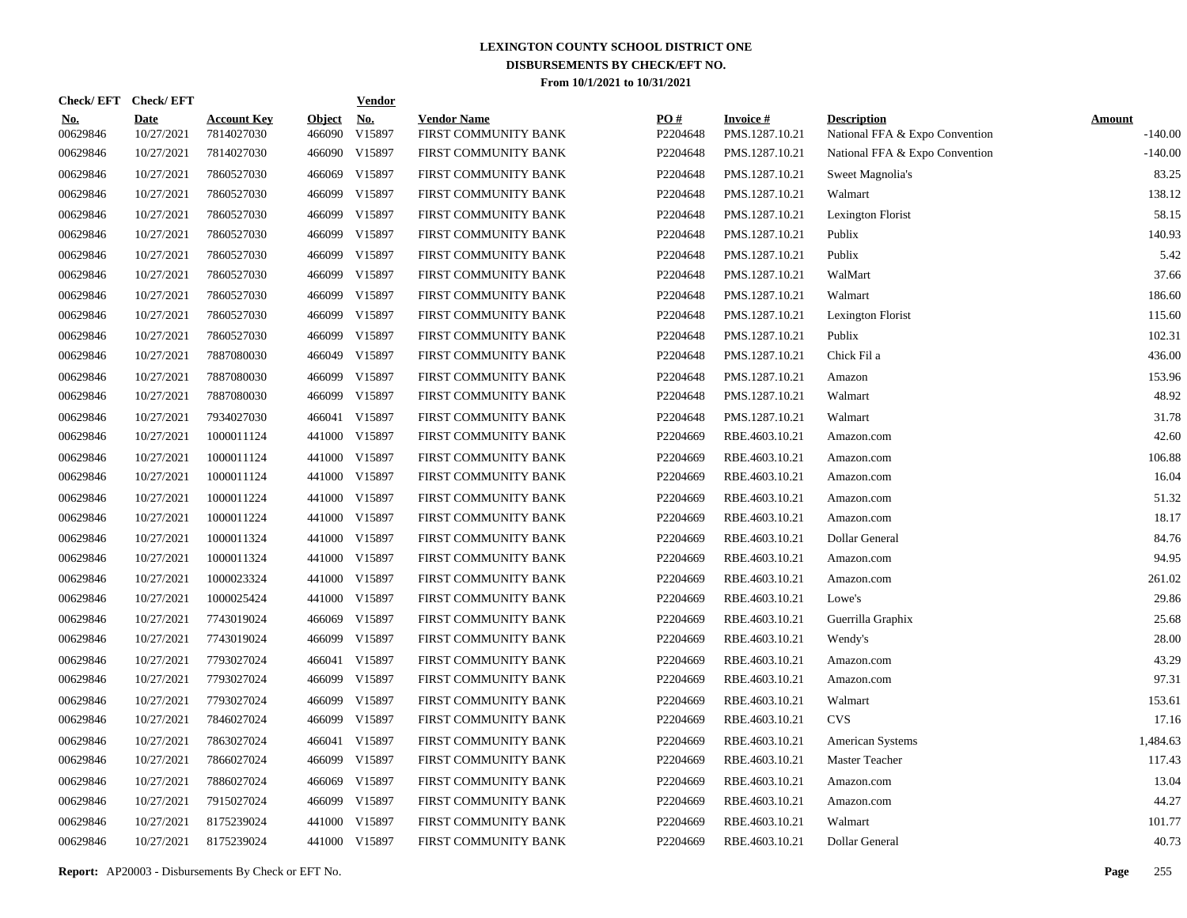| Check/ EFT             | <b>Check/EFT</b>          |                                  |                         | <b>Vendor</b>        |                                            |                 |                                   |                                                      |                            |
|------------------------|---------------------------|----------------------------------|-------------------------|----------------------|--------------------------------------------|-----------------|-----------------------------------|------------------------------------------------------|----------------------------|
| <u>No.</u><br>00629846 | <b>Date</b><br>10/27/2021 | <b>Account Key</b><br>7814027030 | <b>Object</b><br>466090 | <u>No.</u><br>V15897 | <b>Vendor Name</b><br>FIRST COMMUNITY BANK | PO#<br>P2204648 | <b>Invoice#</b><br>PMS.1287.10.21 | <b>Description</b><br>National FFA & Expo Convention | <b>Amount</b><br>$-140.00$ |
| 00629846               | 10/27/2021                | 7814027030                       | 466090                  | V15897               | FIRST COMMUNITY BANK                       | P2204648        | PMS.1287.10.21                    | National FFA & Expo Convention                       | $-140.00$                  |
| 00629846               | 10/27/2021                | 7860527030                       | 466069                  | V15897               | FIRST COMMUNITY BANK                       | P2204648        | PMS.1287.10.21                    | Sweet Magnolia's                                     | 83.25                      |
| 00629846               | 10/27/2021                | 7860527030                       | 466099                  | V15897               | FIRST COMMUNITY BANK                       | P2204648        | PMS.1287.10.21                    | Walmart                                              | 138.12                     |
| 00629846               | 10/27/2021                | 7860527030                       | 466099                  | V15897               | FIRST COMMUNITY BANK                       | P2204648        | PMS.1287.10.21                    | Lexington Florist                                    | 58.15                      |
| 00629846               | 10/27/2021                | 7860527030                       | 466099                  | V15897               | FIRST COMMUNITY BANK                       | P2204648        | PMS.1287.10.21                    | Publix                                               | 140.93                     |
| 00629846               | 10/27/2021                | 7860527030                       | 466099                  | V15897               | FIRST COMMUNITY BANK                       | P2204648        | PMS.1287.10.21                    | Publix                                               | 5.42                       |
| 00629846               | 10/27/2021                | 7860527030                       | 466099                  | V15897               | FIRST COMMUNITY BANK                       | P2204648        | PMS.1287.10.21                    | WalMart                                              | 37.66                      |
| 00629846               | 10/27/2021                | 7860527030                       | 466099                  | V15897               | FIRST COMMUNITY BANK                       | P2204648        | PMS.1287.10.21                    | Walmart                                              | 186.60                     |
| 00629846               | 10/27/2021                | 7860527030                       | 466099                  | V15897               | FIRST COMMUNITY BANK                       | P2204648        | PMS.1287.10.21                    | Lexington Florist                                    | 115.60                     |
| 00629846               | 10/27/2021                | 7860527030                       | 466099                  | V15897               | FIRST COMMUNITY BANK                       | P2204648        | PMS.1287.10.21                    | Publix                                               | 102.31                     |
| 00629846               | 10/27/2021                | 7887080030                       | 466049                  | V15897               | FIRST COMMUNITY BANK                       | P2204648        | PMS.1287.10.21                    | Chick Fil a                                          | 436.00                     |
| 00629846               | 10/27/2021                | 7887080030                       | 466099                  | V15897               | FIRST COMMUNITY BANK                       | P2204648        | PMS.1287.10.21                    | Amazon                                               | 153.96                     |
| 00629846               | 10/27/2021                | 7887080030                       | 466099                  | V15897               | FIRST COMMUNITY BANK                       | P2204648        | PMS.1287.10.21                    | Walmart                                              | 48.92                      |
| 00629846               | 10/27/2021                | 7934027030                       | 466041                  | V15897               | FIRST COMMUNITY BANK                       | P2204648        | PMS.1287.10.21                    | Walmart                                              | 31.78                      |
| 00629846               | 10/27/2021                | 1000011124                       | 441000                  | V15897               | FIRST COMMUNITY BANK                       | P2204669        | RBE.4603.10.21                    | Amazon.com                                           | 42.60                      |
| 00629846               | 10/27/2021                | 1000011124                       | 441000                  | V15897               | FIRST COMMUNITY BANK                       | P2204669        | RBE.4603.10.21                    | Amazon.com                                           | 106.88                     |
| 00629846               | 10/27/2021                | 1000011124                       |                         | 441000 V15897        | FIRST COMMUNITY BANK                       | P2204669        | RBE.4603.10.21                    | Amazon.com                                           | 16.04                      |
| 00629846               | 10/27/2021                | 1000011224                       | 441000                  | V15897               | FIRST COMMUNITY BANK                       | P2204669        | RBE.4603.10.21                    | Amazon.com                                           | 51.32                      |
| 00629846               | 10/27/2021                | 1000011224                       | 441000                  | V15897               | FIRST COMMUNITY BANK                       | P2204669        | RBE.4603.10.21                    | Amazon.com                                           | 18.17                      |
| 00629846               | 10/27/2021                | 1000011324                       | 441000                  | V15897               | FIRST COMMUNITY BANK                       | P2204669        | RBE.4603.10.21                    | Dollar General                                       | 84.76                      |
| 00629846               | 10/27/2021                | 1000011324                       | 441000                  | V15897               | FIRST COMMUNITY BANK                       | P2204669        | RBE.4603.10.21                    | Amazon.com                                           | 94.95                      |
| 00629846               | 10/27/2021                | 1000023324                       | 441000                  | V15897               | FIRST COMMUNITY BANK                       | P2204669        | RBE.4603.10.21                    | Amazon.com                                           | 261.02                     |
| 00629846               | 10/27/2021                | 1000025424                       | 441000                  | V15897               | FIRST COMMUNITY BANK                       | P2204669        | RBE.4603.10.21                    | Lowe's                                               | 29.86                      |
| 00629846               | 10/27/2021                | 7743019024                       | 466069                  | V15897               | FIRST COMMUNITY BANK                       | P2204669        | RBE.4603.10.21                    | Guerrilla Graphix                                    | 25.68                      |
| 00629846               | 10/27/2021                | 7743019024                       | 466099                  | V15897               | FIRST COMMUNITY BANK                       | P2204669        | RBE.4603.10.21                    | Wendy's                                              | 28.00                      |
| 00629846               | 10/27/2021                | 7793027024                       | 466041                  | V15897               | FIRST COMMUNITY BANK                       | P2204669        | RBE.4603.10.21                    | Amazon.com                                           | 43.29                      |
| 00629846               | 10/27/2021                | 7793027024                       | 466099                  | V15897               | FIRST COMMUNITY BANK                       | P2204669        | RBE.4603.10.21                    | Amazon.com                                           | 97.31                      |
| 00629846               | 10/27/2021                | 7793027024                       | 466099                  | V15897               | FIRST COMMUNITY BANK                       | P2204669        | RBE.4603.10.21                    | Walmart                                              | 153.61                     |
| 00629846               | 10/27/2021                | 7846027024                       | 466099                  | V15897               | FIRST COMMUNITY BANK                       | P2204669        | RBE.4603.10.21                    | <b>CVS</b>                                           | 17.16                      |
| 00629846               | 10/27/2021                | 7863027024                       | 466041                  | V15897               | FIRST COMMUNITY BANK                       | P2204669        | RBE.4603.10.21                    | <b>American Systems</b>                              | 1,484.63                   |
| 00629846               | 10/27/2021                | 7866027024                       | 466099                  | V15897               | FIRST COMMUNITY BANK                       | P2204669        | RBE.4603.10.21                    | Master Teacher                                       | 117.43                     |
| 00629846               | 10/27/2021                | 7886027024                       | 466069                  | V15897               | FIRST COMMUNITY BANK                       | P2204669        | RBE.4603.10.21                    | Amazon.com                                           | 13.04                      |
| 00629846               | 10/27/2021                | 7915027024                       | 466099                  | V15897               | FIRST COMMUNITY BANK                       | P2204669        | RBE.4603.10.21                    | Amazon.com                                           | 44.27                      |
| 00629846               | 10/27/2021                | 8175239024                       | 441000                  | V15897               | FIRST COMMUNITY BANK                       | P2204669        | RBE.4603.10.21                    | Walmart                                              | 101.77                     |
| 00629846               | 10/27/2021                | 8175239024                       |                         | 441000 V15897        | FIRST COMMUNITY BANK                       | P2204669        | RBE.4603.10.21                    | Dollar General                                       | 40.73                      |

**Report:** AP20003 - Disbursements By Check or EFT No. **Page** 255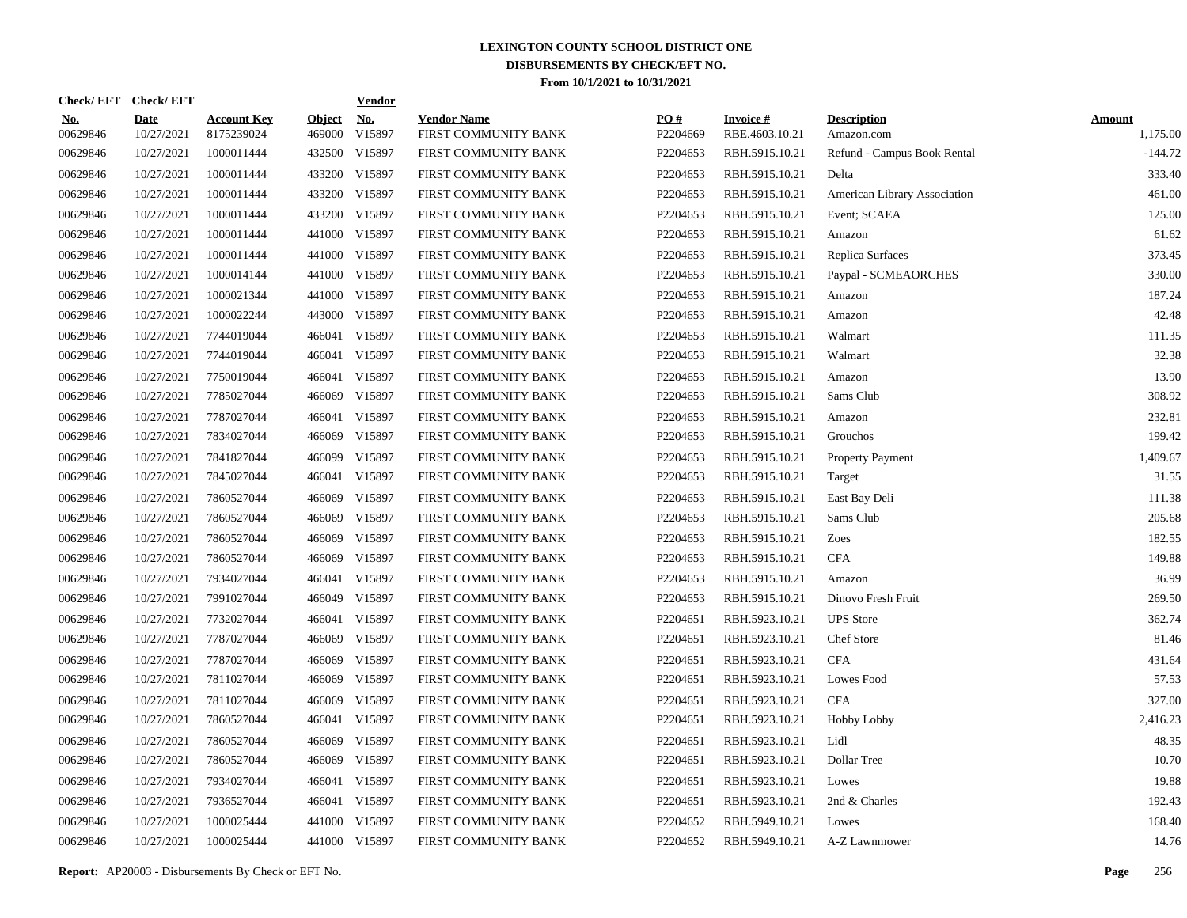| Check/EFT Check/EFT    |                           |                                  |                         | <b>Vendor</b>        |                                            |                 |                                   |                                  |                           |
|------------------------|---------------------------|----------------------------------|-------------------------|----------------------|--------------------------------------------|-----------------|-----------------------------------|----------------------------------|---------------------------|
| <u>No.</u><br>00629846 | <b>Date</b><br>10/27/2021 | <b>Account Key</b><br>8175239024 | <b>Object</b><br>469000 | <u>No.</u><br>V15897 | <b>Vendor Name</b><br>FIRST COMMUNITY BANK | PQ#<br>P2204669 | <b>Invoice#</b><br>RBE.4603.10.21 | <b>Description</b><br>Amazon.com | <b>Amount</b><br>1,175.00 |
| 00629846               | 10/27/2021                | 1000011444                       |                         | 432500 V15897        | FIRST COMMUNITY BANK                       | P2204653        | RBH.5915.10.21                    | Refund - Campus Book Rental      | $-144.72$                 |
| 00629846               | 10/27/2021                | 1000011444                       |                         | 433200 V15897        | FIRST COMMUNITY BANK                       | P2204653        | RBH.5915.10.21                    | Delta                            | 333.40                    |
| 00629846               | 10/27/2021                | 1000011444                       |                         | 433200 V15897        | FIRST COMMUNITY BANK                       | P2204653        | RBH.5915.10.21                    | American Library Association     | 461.00                    |
| 00629846               | 10/27/2021                | 1000011444                       |                         | 433200 V15897        | FIRST COMMUNITY BANK                       | P2204653        | RBH.5915.10.21                    | Event; SCAEA                     | 125.00                    |
| 00629846               | 10/27/2021                | 1000011444                       |                         | 441000 V15897        | FIRST COMMUNITY BANK                       | P2204653        | RBH.5915.10.21                    | Amazon                           | 61.62                     |
| 00629846               | 10/27/2021                | 1000011444                       |                         | 441000 V15897        | FIRST COMMUNITY BANK                       | P2204653        | RBH.5915.10.21                    | Replica Surfaces                 | 373.45                    |
| 00629846               | 10/27/2021                | 1000014144                       |                         | 441000 V15897        | FIRST COMMUNITY BANK                       | P2204653        | RBH.5915.10.21                    | Paypal - SCMEAORCHES             | 330.00                    |
| 00629846               | 10/27/2021                | 1000021344                       |                         | 441000 V15897        | FIRST COMMUNITY BANK                       | P2204653        | RBH.5915.10.21                    | Amazon                           | 187.24                    |
| 00629846               | 10/27/2021                | 1000022244                       |                         | 443000 V15897        | FIRST COMMUNITY BANK                       | P2204653        | RBH.5915.10.21                    | Amazon                           | 42.48                     |
| 00629846               | 10/27/2021                | 7744019044                       |                         | 466041 V15897        | FIRST COMMUNITY BANK                       | P2204653        | RBH.5915.10.21                    | Walmart                          | 111.35                    |
| 00629846               | 10/27/2021                | 7744019044                       |                         | 466041 V15897        | FIRST COMMUNITY BANK                       | P2204653        | RBH.5915.10.21                    | Walmart                          | 32.38                     |
| 00629846               | 10/27/2021                | 7750019044                       |                         | 466041 V15897        | FIRST COMMUNITY BANK                       | P2204653        | RBH.5915.10.21                    | Amazon                           | 13.90                     |
| 00629846               | 10/27/2021                | 7785027044                       |                         | 466069 V15897        | FIRST COMMUNITY BANK                       | P2204653        | RBH.5915.10.21                    | Sams Club                        | 308.92                    |
| 00629846               | 10/27/2021                | 7787027044                       |                         | 466041 V15897        | FIRST COMMUNITY BANK                       | P2204653        | RBH.5915.10.21                    | Amazon                           | 232.81                    |
| 00629846               | 10/27/2021                | 7834027044                       |                         | 466069 V15897        | FIRST COMMUNITY BANK                       | P2204653        | RBH.5915.10.21                    | Grouchos                         | 199.42                    |
| 00629846               | 10/27/2021                | 7841827044                       |                         | 466099 V15897        | FIRST COMMUNITY BANK                       | P2204653        | RBH.5915.10.21                    | <b>Property Payment</b>          | 1,409.67                  |
| 00629846               | 10/27/2021                | 7845027044                       |                         | 466041 V15897        | FIRST COMMUNITY BANK                       | P2204653        | RBH.5915.10.21                    | Target                           | 31.55                     |
| 00629846               | 10/27/2021                | 7860527044                       | 466069                  | V15897               | FIRST COMMUNITY BANK                       | P2204653        | RBH.5915.10.21                    | East Bay Deli                    | 111.38                    |
| 00629846               | 10/27/2021                | 7860527044                       | 466069                  | V15897               | FIRST COMMUNITY BANK                       | P2204653        | RBH.5915.10.21                    | Sams Club                        | 205.68                    |
| 00629846               | 10/27/2021                | 7860527044                       | 466069                  | V15897               | FIRST COMMUNITY BANK                       | P2204653        | RBH.5915.10.21                    | Zoes                             | 182.55                    |
| 00629846               | 10/27/2021                | 7860527044                       |                         | 466069 V15897        | FIRST COMMUNITY BANK                       | P2204653        | RBH.5915.10.21                    | <b>CFA</b>                       | 149.88                    |
| 00629846               | 10/27/2021                | 7934027044                       |                         | 466041 V15897        | FIRST COMMUNITY BANK                       | P2204653        | RBH.5915.10.21                    | Amazon                           | 36.99                     |
| 00629846               | 10/27/2021                | 7991027044                       |                         | 466049 V15897        | FIRST COMMUNITY BANK                       | P2204653        | RBH.5915.10.21                    | Dinovo Fresh Fruit               | 269.50                    |
| 00629846               | 10/27/2021                | 7732027044                       |                         | 466041 V15897        | FIRST COMMUNITY BANK                       | P2204651        | RBH.5923.10.21                    | <b>UPS</b> Store                 | 362.74                    |
| 00629846               | 10/27/2021                | 7787027044                       |                         | 466069 V15897        | FIRST COMMUNITY BANK                       | P2204651        | RBH.5923.10.21                    | Chef Store                       | 81.46                     |
| 00629846               | 10/27/2021                | 7787027044                       | 466069                  | V15897               | FIRST COMMUNITY BANK                       | P2204651        | RBH.5923.10.21                    | <b>CFA</b>                       | 431.64                    |
| 00629846               | 10/27/2021                | 7811027044                       | 466069                  | V15897               | FIRST COMMUNITY BANK                       | P2204651        | RBH.5923.10.21                    | Lowes Food                       | 57.53                     |
| 00629846               | 10/27/2021                | 7811027044                       | 466069                  | V15897               | FIRST COMMUNITY BANK                       | P2204651        | RBH.5923.10.21                    | <b>CFA</b>                       | 327.00                    |
| 00629846               | 10/27/2021                | 7860527044                       |                         | 466041 V15897        | FIRST COMMUNITY BANK                       | P2204651        | RBH.5923.10.21                    | <b>Hobby Lobby</b>               | 2,416.23                  |
| 00629846               | 10/27/2021                | 7860527044                       | 466069                  | V15897               | FIRST COMMUNITY BANK                       | P2204651        | RBH.5923.10.21                    | Lidl                             | 48.35                     |
| 00629846               | 10/27/2021                | 7860527044                       | 466069                  | V15897               | FIRST COMMUNITY BANK                       | P2204651        | RBH.5923.10.21                    | Dollar Tree                      | 10.70                     |
| 00629846               | 10/27/2021                | 7934027044                       |                         | 466041 V15897        | FIRST COMMUNITY BANK                       | P2204651        | RBH.5923.10.21                    | Lowes                            | 19.88                     |
| 00629846               | 10/27/2021                | 7936527044                       |                         | 466041 V15897        | FIRST COMMUNITY BANK                       | P2204651        | RBH.5923.10.21                    | 2nd & Charles                    | 192.43                    |
| 00629846               | 10/27/2021                | 1000025444                       |                         | 441000 V15897        | FIRST COMMUNITY BANK                       | P2204652        | RBH.5949.10.21                    | Lowes                            | 168.40                    |
| 00629846               | 10/27/2021                | 1000025444                       |                         | 441000 V15897        | FIRST COMMUNITY BANK                       | P2204652        | RBH.5949.10.21                    | A-Z Lawnmower                    | 14.76                     |
|                        |                           |                                  |                         |                      |                                            |                 |                                   |                                  |                           |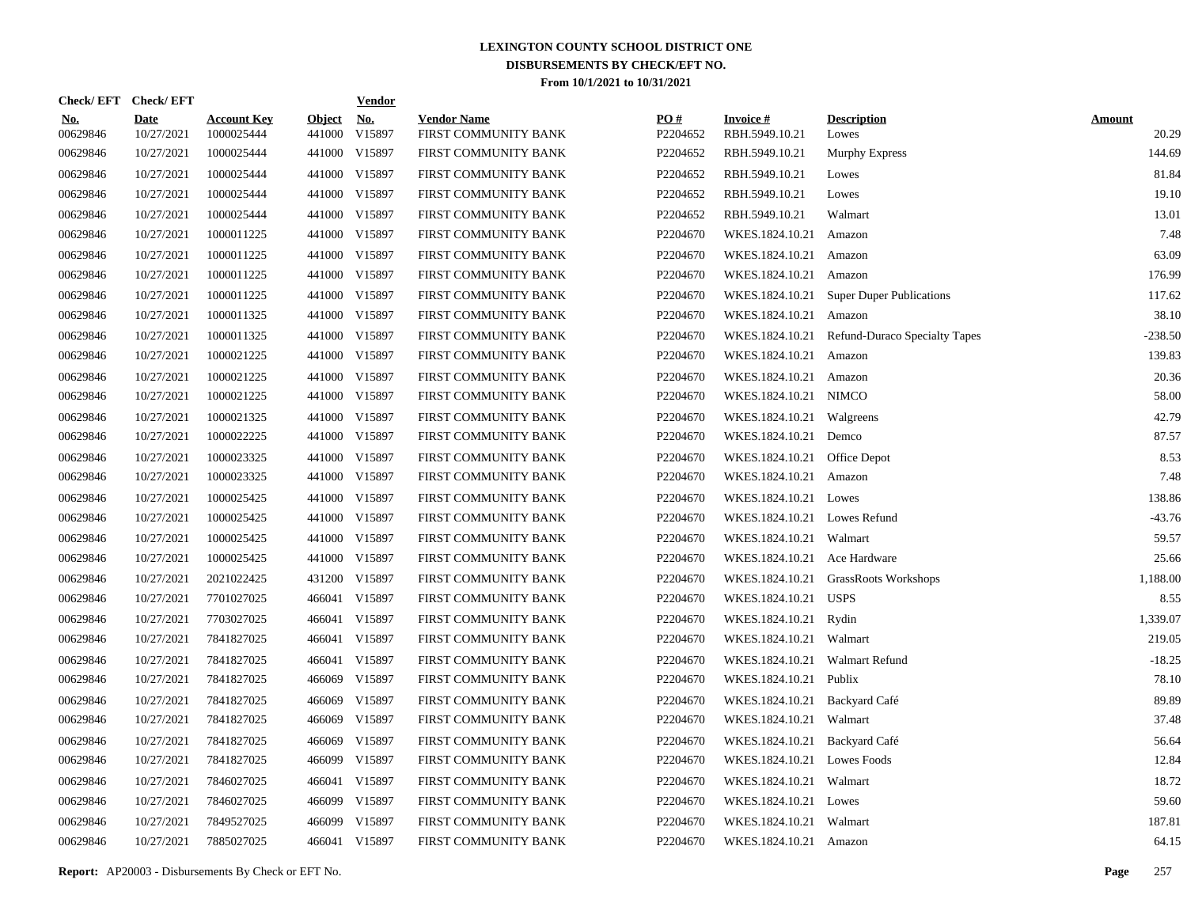| Check/EFT Check/EFT    |                           |                                  |                         | <b>Vendor</b>        |                                            |                      |                                   |                                          |                        |
|------------------------|---------------------------|----------------------------------|-------------------------|----------------------|--------------------------------------------|----------------------|-----------------------------------|------------------------------------------|------------------------|
| <u>No.</u><br>00629846 | <b>Date</b><br>10/27/2021 | <b>Account Key</b><br>1000025444 | <b>Object</b><br>441000 | <u>No.</u><br>V15897 | <b>Vendor Name</b><br>FIRST COMMUNITY BANK | PO#<br>P2204652      | <b>Invoice#</b><br>RBH.5949.10.21 | <b>Description</b><br>Lowes              | <b>Amount</b><br>20.29 |
| 00629846               | 10/27/2021                | 1000025444                       |                         | 441000 V15897        | FIRST COMMUNITY BANK                       | P2204652             | RBH.5949.10.21                    | <b>Murphy Express</b>                    | 144.69                 |
| 00629846               | 10/27/2021                | 1000025444                       |                         | 441000 V15897        | FIRST COMMUNITY BANK                       | P2204652             | RBH.5949.10.21                    | Lowes                                    | 81.84                  |
| 00629846               | 10/27/2021                | 1000025444                       |                         | 441000 V15897        | FIRST COMMUNITY BANK                       | P2204652             | RBH.5949.10.21                    | Lowes                                    | 19.10                  |
| 00629846               | 10/27/2021                | 1000025444                       |                         | 441000 V15897        | FIRST COMMUNITY BANK                       | P2204652             | RBH.5949.10.21                    | Walmart                                  | 13.01                  |
| 00629846               | 10/27/2021                | 1000011225                       |                         | 441000 V15897        | FIRST COMMUNITY BANK                       | P2204670             | WKES.1824.10.21                   | Amazon                                   | 7.48                   |
| 00629846               | 10/27/2021                | 1000011225                       |                         | 441000 V15897        | FIRST COMMUNITY BANK                       | P2204670             | WKES.1824.10.21                   | Amazon                                   | 63.09                  |
| 00629846               | 10/27/2021                | 1000011225                       |                         | 441000 V15897        | FIRST COMMUNITY BANK                       | P2204670             | WKES.1824.10.21                   | Amazon                                   | 176.99                 |
| 00629846               | 10/27/2021                | 1000011225                       |                         | 441000 V15897        | FIRST COMMUNITY BANK                       | P2204670             |                                   | WKES.1824.10.21 Super Duper Publications | 117.62                 |
| 00629846               | 10/27/2021                | 1000011325                       |                         | 441000 V15897        | FIRST COMMUNITY BANK                       | P2204670             | WKES.1824.10.21                   | Amazon                                   | 38.10                  |
| 00629846               | 10/27/2021                | 1000011325                       |                         | 441000 V15897        | FIRST COMMUNITY BANK                       | P2204670             | WKES.1824.10.21                   | Refund-Duraco Specialty Tapes            | $-238.50$              |
| 00629846               | 10/27/2021                | 1000021225                       |                         | 441000 V15897        | FIRST COMMUNITY BANK                       | P2204670             | WKES.1824.10.21                   | Amazon                                   | 139.83                 |
| 00629846               | 10/27/2021                | 1000021225                       |                         | 441000 V15897        | FIRST COMMUNITY BANK                       | P2204670             | WKES.1824.10.21 Amazon            |                                          | 20.36                  |
| 00629846               | 10/27/2021                | 1000021225                       |                         | 441000 V15897        | FIRST COMMUNITY BANK                       | P2204670             | WKES.1824.10.21 NIMCO             |                                          | 58.00                  |
| 00629846               | 10/27/2021                | 1000021325                       |                         | 441000 V15897        | FIRST COMMUNITY BANK                       | P2204670             | WKES.1824.10.21 Walgreens         |                                          | 42.79                  |
| 00629846               | 10/27/2021                | 1000022225                       |                         | 441000 V15897        | FIRST COMMUNITY BANK                       | P2204670             | WKES.1824.10.21 Demco             |                                          | 87.57                  |
| 00629846               | 10/27/2021                | 1000023325                       |                         | 441000 V15897        | FIRST COMMUNITY BANK                       | P2204670             | WKES.1824.10.21 Office Depot      |                                          | 8.53                   |
| 00629846               | 10/27/2021                | 1000023325                       |                         | 441000 V15897        | FIRST COMMUNITY BANK                       | P2204670             | WKES.1824.10.21 Amazon            |                                          | 7.48                   |
| 00629846               | 10/27/2021                | 1000025425                       |                         | 441000 V15897        | FIRST COMMUNITY BANK                       | P2204670             | WKES.1824.10.21 Lowes             |                                          | 138.86                 |
| 00629846               | 10/27/2021                | 1000025425                       |                         | 441000 V15897        | FIRST COMMUNITY BANK                       | P2204670             | WKES.1824.10.21 Lowes Refund      |                                          | $-43.76$               |
| 00629846               | 10/27/2021                | 1000025425                       |                         | 441000 V15897        | FIRST COMMUNITY BANK                       | P2204670             | WKES.1824.10.21 Walmart           |                                          | 59.57                  |
| 00629846               | 10/27/2021                | 1000025425                       |                         | 441000 V15897        | FIRST COMMUNITY BANK                       | P2204670             | WKES.1824.10.21 Ace Hardware      |                                          | 25.66                  |
| 00629846               | 10/27/2021                | 2021022425                       |                         | 431200 V15897        | FIRST COMMUNITY BANK                       | P2204670             |                                   | WKES.1824.10.21 GrassRoots Workshops     | 1,188.00               |
| 00629846               | 10/27/2021                | 7701027025                       |                         | 466041 V15897        | FIRST COMMUNITY BANK                       | P2204670             | WKES.1824.10.21 USPS              |                                          | 8.55                   |
| 00629846               | 10/27/2021                | 7703027025                       |                         | 466041 V15897        | FIRST COMMUNITY BANK                       | P2204670             | WKES.1824.10.21                   | Rydin                                    | 1.339.07               |
| 00629846               | 10/27/2021                | 7841827025                       |                         | 466041 V15897        | FIRST COMMUNITY BANK                       | P <sub>2204670</sub> | WKES.1824.10.21 Walmart           |                                          | 219.05                 |
| 00629846               | 10/27/2021                | 7841827025                       |                         | 466041 V15897        | FIRST COMMUNITY BANK                       | P2204670             | WKES.1824.10.21 Walmart Refund    |                                          | $-18.25$               |
| 00629846               | 10/27/2021                | 7841827025                       |                         | 466069 V15897        | FIRST COMMUNITY BANK                       | P2204670             | WKES.1824.10.21 Publix            |                                          | 78.10                  |
| 00629846               | 10/27/2021                | 7841827025                       | 466069                  | V15897               | FIRST COMMUNITY BANK                       | P2204670             | WKES.1824.10.21                   | Backyard Café                            | 89.89                  |
| 00629846               | 10/27/2021                | 7841827025                       | 466069                  | V15897               | FIRST COMMUNITY BANK                       | P2204670             | WKES.1824.10.21 Walmart           |                                          | 37.48                  |
| 00629846               | 10/27/2021                | 7841827025                       | 466069                  | V15897               | FIRST COMMUNITY BANK                       | P2204670             | WKES.1824.10.21 Backyard Café     |                                          | 56.64                  |
| 00629846               | 10/27/2021                | 7841827025                       | 466099                  | V15897               | FIRST COMMUNITY BANK                       | P2204670             | WKES.1824.10.21 Lowes Foods       |                                          | 12.84                  |
| 00629846               | 10/27/2021                | 7846027025                       | 466041                  | V15897               | FIRST COMMUNITY BANK                       | P2204670             | WKES.1824.10.21                   | Walmart                                  | 18.72                  |
| 00629846               | 10/27/2021                | 7846027025                       | 466099                  | V15897               | FIRST COMMUNITY BANK                       | P2204670             | WKES.1824.10.21 Lowes             |                                          | 59.60                  |
| 00629846               | 10/27/2021                | 7849527025                       | 466099                  | V15897               | FIRST COMMUNITY BANK                       | P2204670             | WKES.1824.10.21                   | Walmart                                  | 187.81                 |
| 00629846               | 10/27/2021                | 7885027025                       |                         | 466041 V15897        | FIRST COMMUNITY BANK                       | P2204670             | WKES.1824.10.21 Amazon            |                                          | 64.15                  |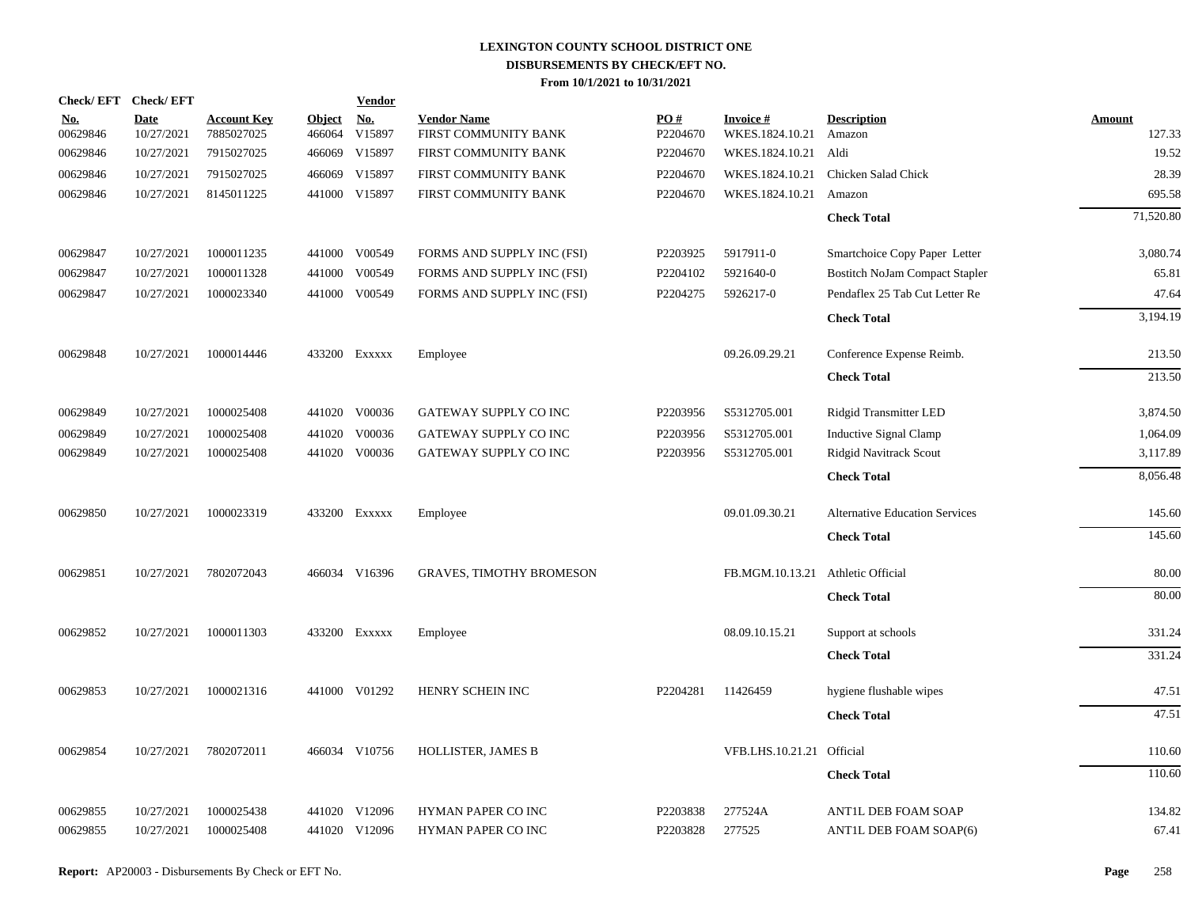| Check/EFT Check/EFT    |                           |                                  |                         | <b>Vendor</b>        |                                            |                 |                                    |                                       |                         |
|------------------------|---------------------------|----------------------------------|-------------------------|----------------------|--------------------------------------------|-----------------|------------------------------------|---------------------------------------|-------------------------|
| <u>No.</u><br>00629846 | <b>Date</b><br>10/27/2021 | <b>Account Key</b><br>7885027025 | <b>Object</b><br>466064 | <u>No.</u><br>V15897 | <b>Vendor Name</b><br>FIRST COMMUNITY BANK | PO#<br>P2204670 | <b>Invoice#</b><br>WKES.1824.10.21 | <b>Description</b><br>Amazon          | <b>Amount</b><br>127.33 |
| 00629846               | 10/27/2021                | 7915027025                       | 466069                  | V15897               | FIRST COMMUNITY BANK                       | P2204670        | WKES.1824.10.21 Aldi               |                                       | 19.52                   |
| 00629846               | 10/27/2021                | 7915027025                       | 466069                  | V15897               | FIRST COMMUNITY BANK                       | P2204670        | WKES.1824.10.21                    | Chicken Salad Chick                   | 28.39                   |
| 00629846               | 10/27/2021                | 8145011225                       |                         | 441000 V15897        | FIRST COMMUNITY BANK                       | P2204670        | WKES.1824.10.21                    | Amazon                                | 695.58                  |
|                        |                           |                                  |                         |                      |                                            |                 |                                    | <b>Check Total</b>                    | 71,520.80               |
| 00629847               | 10/27/2021                | 1000011235                       |                         | 441000 V00549        | FORMS AND SUPPLY INC (FSI)                 | P2203925        | 5917911-0                          | Smartchoice Copy Paper Letter         | 3,080.74                |
| 00629847               | 10/27/2021                | 1000011328                       | 441000                  | V00549               | FORMS AND SUPPLY INC (FSI)                 | P2204102        | 5921640-0                          | <b>Bostitch NoJam Compact Stapler</b> | 65.81                   |
| 00629847               | 10/27/2021                | 1000023340                       |                         | 441000 V00549        | FORMS AND SUPPLY INC (FSI)                 | P2204275        | 5926217-0                          | Pendaflex 25 Tab Cut Letter Re        | 47.64                   |
|                        |                           |                                  |                         |                      |                                            |                 |                                    | <b>Check Total</b>                    | 3,194.19                |
| 00629848               | 10/27/2021                | 1000014446                       |                         | 433200 EXXXXX        | Employee                                   |                 | 09.26.09.29.21                     | Conference Expense Reimb.             | 213.50                  |
|                        |                           |                                  |                         |                      |                                            |                 |                                    | <b>Check Total</b>                    | 213.50                  |
| 00629849               | 10/27/2021                | 1000025408                       |                         | 441020 V00036        | GATEWAY SUPPLY CO INC                      | P2203956        | S5312705.001                       | <b>Ridgid Transmitter LED</b>         | 3,874.50                |
| 00629849               | 10/27/2021                | 1000025408                       | 441020                  | V00036               | GATEWAY SUPPLY CO INC                      | P2203956        | S5312705.001                       | <b>Inductive Signal Clamp</b>         | 1,064.09                |
| 00629849               | 10/27/2021                | 1000025408                       |                         | 441020 V00036        | GATEWAY SUPPLY CO INC                      | P2203956        | S5312705.001                       | Ridgid Navitrack Scout                | 3,117.89                |
|                        |                           |                                  |                         |                      |                                            |                 |                                    | <b>Check Total</b>                    | 8,056.48                |
| 00629850               | 10/27/2021                | 1000023319                       |                         | 433200 Exxxxx        | Employee                                   |                 | 09.01.09.30.21                     | <b>Alternative Education Services</b> | 145.60                  |
|                        |                           |                                  |                         |                      |                                            |                 |                                    | <b>Check Total</b>                    | 145.60                  |
| 00629851               | 10/27/2021                | 7802072043                       |                         | 466034 V16396        | <b>GRAVES, TIMOTHY BROMESON</b>            |                 | FB.MGM.10.13.21                    | Athletic Official                     | 80.00                   |
|                        |                           |                                  |                         |                      |                                            |                 |                                    | <b>Check Total</b>                    | 80.00                   |
| 00629852               | 10/27/2021                | 1000011303                       |                         | 433200 Exxxxx        | Employee                                   |                 | 08.09.10.15.21                     | Support at schools                    | 331.24                  |
|                        |                           |                                  |                         |                      |                                            |                 |                                    | <b>Check Total</b>                    | 331.24                  |
| 00629853               | 10/27/2021                | 1000021316                       |                         | 441000 V01292        | HENRY SCHEIN INC                           | P2204281        | 11426459                           | hygiene flushable wipes               | 47.51                   |
|                        |                           |                                  |                         |                      |                                            |                 |                                    | <b>Check Total</b>                    | 47.51                   |
| 00629854               | 10/27/2021                | 7802072011                       |                         | 466034 V10756        | HOLLISTER, JAMES B                         |                 | VFB.LHS.10.21.21 Official          |                                       | 110.60                  |
|                        |                           |                                  |                         |                      |                                            |                 |                                    | <b>Check Total</b>                    | 110.60                  |
| 00629855               | 10/27/2021                | 1000025438                       |                         | 441020 V12096        | HYMAN PAPER CO INC                         | P2203838        | 277524A                            | ANTIL DEB FOAM SOAP                   | 134.82                  |
| 00629855               | 10/27/2021                | 1000025408                       |                         | 441020 V12096        | HYMAN PAPER CO INC                         | P2203828        | 277525                             | ANTIL DEB FOAM SOAP(6)                | 67.41                   |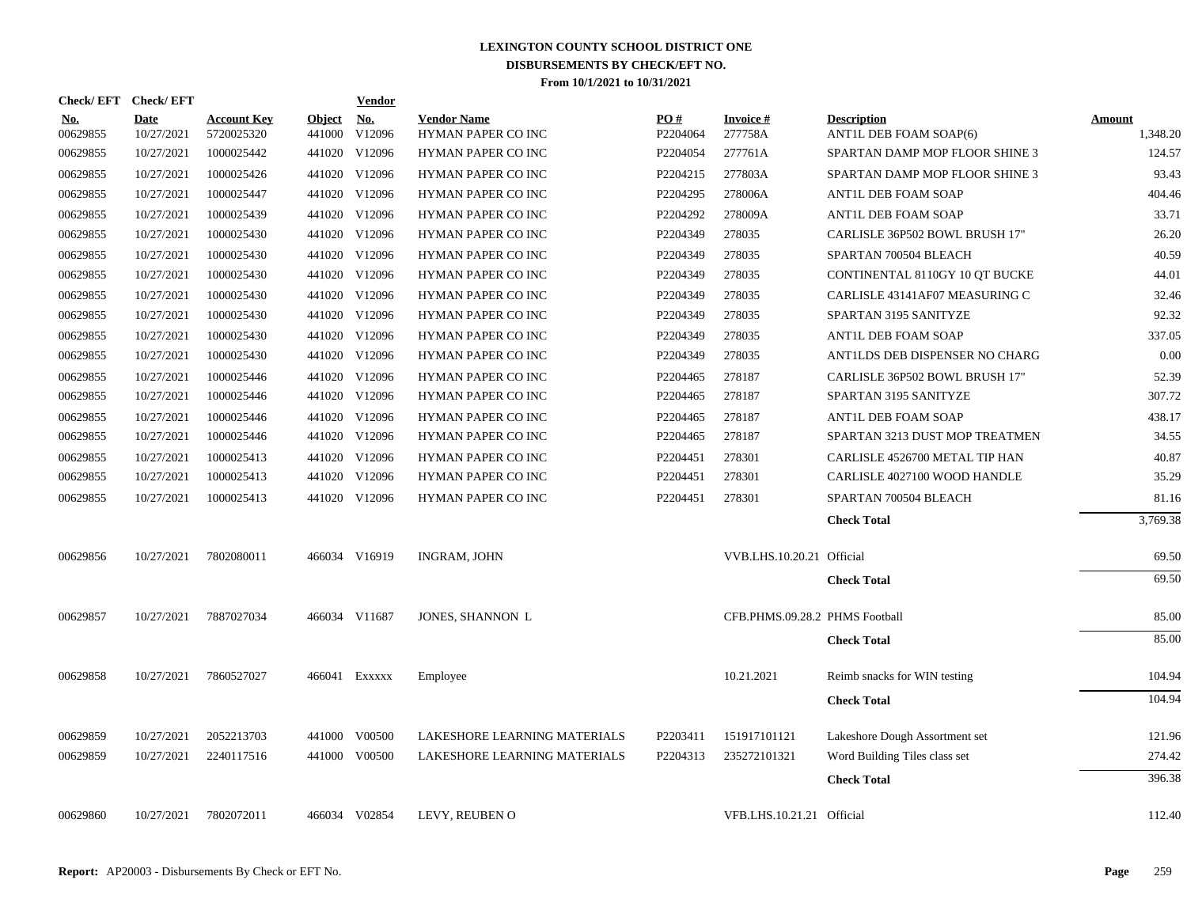| Check/EFT Check/EFT    |                           |                                  |                         | <b>Vendor</b>        |                                                 |                 |                                |                                              |                           |
|------------------------|---------------------------|----------------------------------|-------------------------|----------------------|-------------------------------------------------|-----------------|--------------------------------|----------------------------------------------|---------------------------|
| <b>No.</b><br>00629855 | <b>Date</b><br>10/27/2021 | <b>Account Key</b><br>5720025320 | <b>Object</b><br>441000 | <b>No.</b><br>V12096 | <b>Vendor Name</b><br><b>HYMAN PAPER CO INC</b> | PO#<br>P2204064 | <b>Invoice#</b><br>277758A     | <b>Description</b><br>ANTIL DEB FOAM SOAP(6) | <b>Amount</b><br>1,348.20 |
| 00629855               | 10/27/2021                | 1000025442                       |                         | 441020 V12096        | HYMAN PAPER CO INC                              | P2204054        | 277761A                        | SPARTAN DAMP MOP FLOOR SHINE 3               | 124.57                    |
| 00629855               | 10/27/2021                | 1000025426                       | 441020                  | V12096               | HYMAN PAPER CO INC                              | P2204215        | 277803A                        | SPARTAN DAMP MOP FLOOR SHINE 3               | 93.43                     |
| 00629855               | 10/27/2021                | 1000025447                       |                         | 441020 V12096        | HYMAN PAPER CO INC                              | P2204295        | 278006A                        | ANTIL DEB FOAM SOAP                          | 404.46                    |
| 00629855               | 10/27/2021                | 1000025439                       | 441020                  | V12096               | <b>HYMAN PAPER CO INC</b>                       | P2204292        | 278009A                        | <b>ANTIL DEB FOAM SOAP</b>                   | 33.71                     |
| 00629855               | 10/27/2021                | 1000025430                       |                         | 441020 V12096        | HYMAN PAPER CO INC                              | P2204349        | 278035                         | CARLISLE 36P502 BOWL BRUSH 17"               | 26.20                     |
| 00629855               | 10/27/2021                | 1000025430                       |                         | 441020 V12096        | HYMAN PAPER CO INC                              | P2204349        | 278035                         | SPARTAN 700504 BLEACH                        | 40.59                     |
| 00629855               | 10/27/2021                | 1000025430                       |                         | 441020 V12096        | <b>HYMAN PAPER CO INC</b>                       | P2204349        | 278035                         | CONTINENTAL 8110GY 10 QT BUCKE               | 44.01                     |
| 00629855               | 10/27/2021                | 1000025430                       |                         | 441020 V12096        | HYMAN PAPER CO INC                              | P2204349        | 278035                         | CARLISLE 43141AF07 MEASURING C               | 32.46                     |
| 00629855               | 10/27/2021                | 1000025430                       |                         | 441020 V12096        | HYMAN PAPER CO INC                              | P2204349        | 278035                         | SPARTAN 3195 SANITYZE                        | 92.32                     |
| 00629855               | 10/27/2021                | 1000025430                       |                         | 441020 V12096        | HYMAN PAPER CO INC                              | P2204349        | 278035                         | ANTIL DEB FOAM SOAP                          | 337.05                    |
| 00629855               | 10/27/2021                | 1000025430                       |                         | 441020 V12096        | HYMAN PAPER CO INC                              | P2204349        | 278035                         | ANTILDS DEB DISPENSER NO CHARG               | 0.00                      |
| 00629855               | 10/27/2021                | 1000025446                       |                         | 441020 V12096        | HYMAN PAPER CO INC                              | P2204465        | 278187                         | CARLISLE 36P502 BOWL BRUSH 17"               | 52.39                     |
| 00629855               | 10/27/2021                | 1000025446                       |                         | 441020 V12096        | HYMAN PAPER CO INC                              | P2204465        | 278187                         | SPARTAN 3195 SANITYZE                        | 307.72                    |
| 00629855               | 10/27/2021                | 1000025446                       |                         | 441020 V12096        | HYMAN PAPER CO INC                              | P2204465        | 278187                         | ANTIL DEB FOAM SOAP                          | 438.17                    |
| 00629855               | 10/27/2021                | 1000025446                       |                         | 441020 V12096        | HYMAN PAPER CO INC                              | P2204465        | 278187                         | SPARTAN 3213 DUST MOP TREATMEN               | 34.55                     |
| 00629855               | 10/27/2021                | 1000025413                       |                         | 441020 V12096        | HYMAN PAPER CO INC                              | P2204451        | 278301                         | CARLISLE 4526700 METAL TIP HAN               | 40.87                     |
| 00629855               | 10/27/2021                | 1000025413                       |                         | 441020 V12096        | HYMAN PAPER CO INC                              | P2204451        | 278301                         | CARLISLE 4027100 WOOD HANDLE                 | 35.29                     |
| 00629855               | 10/27/2021                | 1000025413                       |                         | 441020 V12096        | HYMAN PAPER CO INC                              | P2204451        | 278301                         | SPARTAN 700504 BLEACH                        | 81.16                     |
|                        |                           |                                  |                         |                      |                                                 |                 |                                | <b>Check Total</b>                           | 3,769.38                  |
| 00629856               | 10/27/2021                | 7802080011                       |                         | 466034 V16919        | <b>INGRAM, JOHN</b>                             |                 | VVB.LHS.10.20.21 Official      |                                              | 69.50                     |
|                        |                           |                                  |                         |                      |                                                 |                 |                                | <b>Check Total</b>                           | 69.50                     |
| 00629857               | 10/27/2021                | 7887027034                       |                         | 466034 V11687        | JONES, SHANNON L                                |                 | CFB.PHMS.09.28.2 PHMS Football |                                              | 85.00                     |
|                        |                           |                                  |                         |                      |                                                 |                 |                                | <b>Check Total</b>                           | 85.00                     |
| 00629858               | 10/27/2021                | 7860527027                       |                         | 466041 EXXXXX        | Employee                                        |                 | 10.21.2021                     | Reimb snacks for WIN testing                 | 104.94                    |
|                        |                           |                                  |                         |                      |                                                 |                 |                                | <b>Check Total</b>                           | 104.94                    |
| 00629859               | 10/27/2021                | 2052213703                       |                         | 441000 V00500        | LAKESHORE LEARNING MATERIALS                    | P2203411        | 151917101121                   | Lakeshore Dough Assortment set               | 121.96                    |
| 00629859               | 10/27/2021                | 2240117516                       |                         | 441000 V00500        | LAKESHORE LEARNING MATERIALS                    | P2204313        | 235272101321                   | Word Building Tiles class set                | 274.42                    |
|                        |                           |                                  |                         |                      |                                                 |                 |                                | <b>Check Total</b>                           | 396.38                    |
| 00629860               | 10/27/2021                | 7802072011                       |                         | 466034 V02854        | LEVY, REUBEN O                                  |                 | VFB.LHS.10.21.21 Official      |                                              | 112.40                    |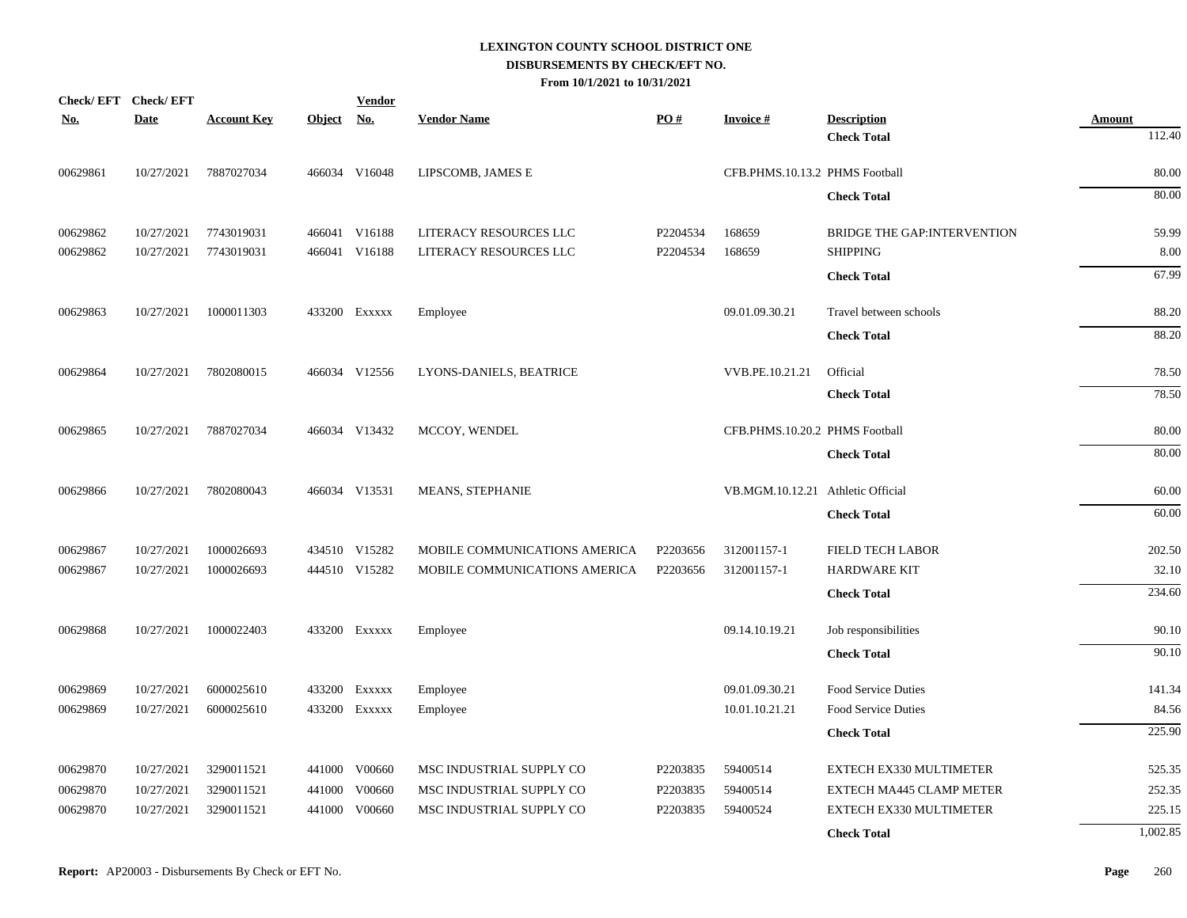|            | Check/EFT Check/EFT |                    |            | <b>Vendor</b> |                               |          |                                   |                              |               |
|------------|---------------------|--------------------|------------|---------------|-------------------------------|----------|-----------------------------------|------------------------------|---------------|
| <u>No.</u> | <b>Date</b>         | <b>Account Key</b> | Object No. |               | <b>Vendor Name</b>            | PQ#      | <b>Invoice#</b>                   | <b>Description</b>           | <b>Amount</b> |
|            |                     |                    |            |               |                               |          |                                   | <b>Check Total</b>           | 112.40        |
| 00629861   | 10/27/2021          | 7887027034         |            | 466034 V16048 | LIPSCOMB, JAMES E             |          | CFB.PHMS.10.13.2 PHMS Football    |                              | 80.00         |
|            |                     |                    |            |               |                               |          |                                   | <b>Check Total</b>           | 80.00         |
| 00629862   | 10/27/2021          | 7743019031         |            | 466041 V16188 | LITERACY RESOURCES LLC        | P2204534 | 168659                            | BRIDGE THE GAP: INTERVENTION | 59.99         |
| 00629862   | 10/27/2021          | 7743019031         |            | 466041 V16188 | LITERACY RESOURCES LLC        | P2204534 | 168659                            | <b>SHIPPING</b>              | 8.00          |
|            |                     |                    |            |               |                               |          |                                   | <b>Check Total</b>           | 67.99         |
| 00629863   | 10/27/2021          | 1000011303         |            | 433200 EXXXXX | Employee                      |          | 09.01.09.30.21                    | Travel between schools       | 88.20         |
|            |                     |                    |            |               |                               |          |                                   | <b>Check Total</b>           | 88.20         |
| 00629864   | 10/27/2021          | 7802080015         |            | 466034 V12556 | LYONS-DANIELS, BEATRICE       |          | VVB.PE.10.21.21                   | Official                     | 78.50         |
|            |                     |                    |            |               |                               |          |                                   | <b>Check Total</b>           | 78.50         |
| 00629865   | 10/27/2021          | 7887027034         |            | 466034 V13432 | MCCOY, WENDEL                 |          | CFB.PHMS.10.20.2 PHMS Football    |                              | 80.00         |
|            |                     |                    |            |               |                               |          |                                   | <b>Check Total</b>           | 80.00         |
| 00629866   | 10/27/2021          | 7802080043         |            | 466034 V13531 | MEANS, STEPHANIE              |          | VB.MGM.10.12.21 Athletic Official |                              | 60.00         |
|            |                     |                    |            |               |                               |          |                                   | <b>Check Total</b>           | 60.00         |
| 00629867   | 10/27/2021          | 1000026693         |            | 434510 V15282 | MOBILE COMMUNICATIONS AMERICA | P2203656 | 312001157-1                       | FIELD TECH LABOR             | 202.50        |
| 00629867   | 10/27/2021          | 1000026693         |            | 444510 V15282 | MOBILE COMMUNICATIONS AMERICA | P2203656 | 312001157-1                       | <b>HARDWARE KIT</b>          | 32.10         |
|            |                     |                    |            |               |                               |          |                                   | <b>Check Total</b>           | 234.60        |
| 00629868   | 10/27/2021          | 1000022403         |            | 433200 EXXXXX | Employee                      |          | 09.14.10.19.21                    | Job responsibilities         | 90.10         |
|            |                     |                    |            |               |                               |          |                                   | <b>Check Total</b>           | 90.10         |
| 00629869   | 10/27/2021          | 6000025610         |            | 433200 EXXXXX | Employee                      |          | 09.01.09.30.21                    | Food Service Duties          | 141.34        |
| 00629869   | 10/27/2021          | 6000025610         |            | 433200 EXXXXX | Employee                      |          | 10.01.10.21.21                    | Food Service Duties          | 84.56         |
|            |                     |                    |            |               |                               |          |                                   | <b>Check Total</b>           | 225.90        |
| 00629870   | 10/27/2021          | 3290011521         |            | 441000 V00660 | MSC INDUSTRIAL SUPPLY CO      | P2203835 | 59400514                          | EXTECH EX330 MULTIMETER      | 525.35        |
| 00629870   | 10/27/2021          | 3290011521         |            | 441000 V00660 | MSC INDUSTRIAL SUPPLY CO      | P2203835 | 59400514                          | EXTECH MA445 CLAMP METER     | 252.35        |
| 00629870   | 10/27/2021          | 3290011521         |            | 441000 V00660 | MSC INDUSTRIAL SUPPLY CO      | P2203835 | 59400524                          | EXTECH EX330 MULTIMETER      | 225.15        |
|            |                     |                    |            |               |                               |          |                                   | <b>Check Total</b>           | 1,002.85      |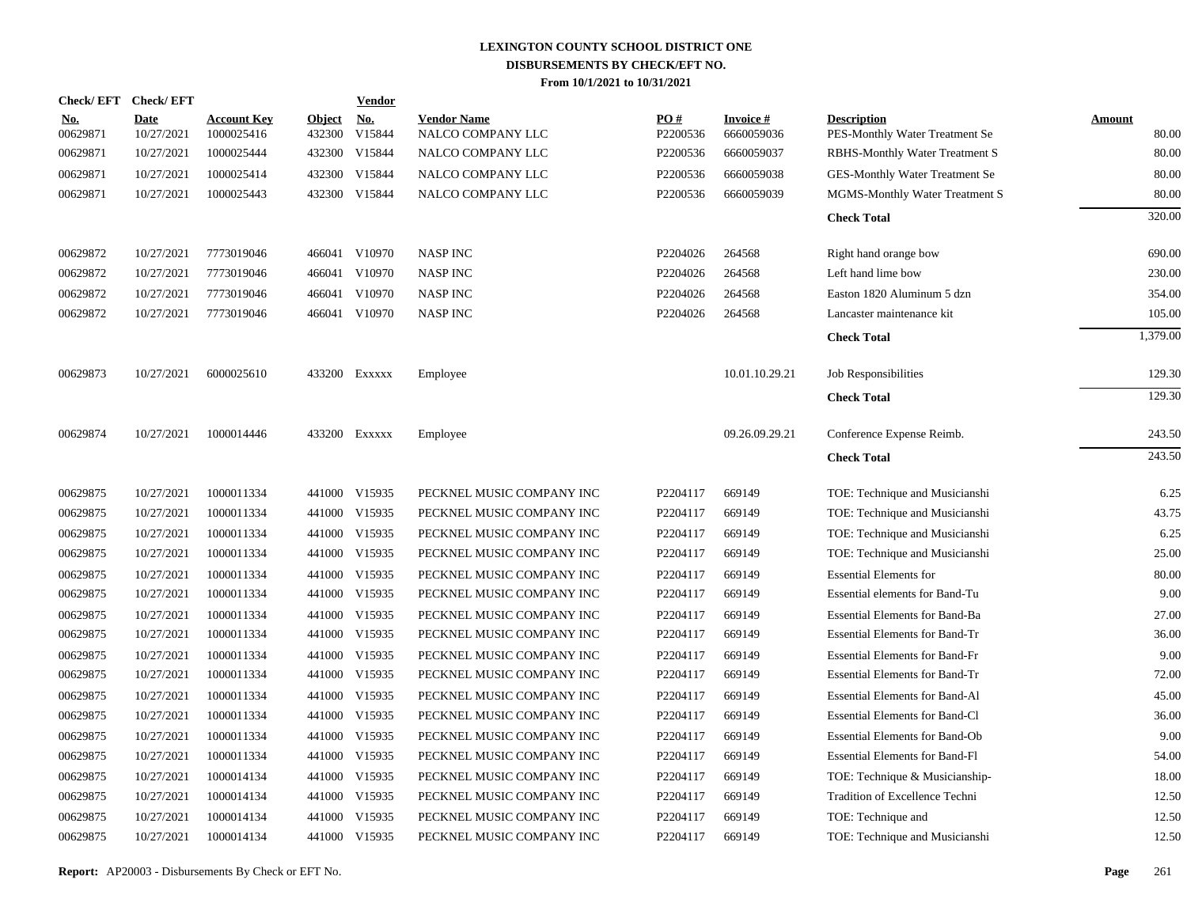|                        | Check/EFT Check/EFT       |                                  |                         | <b>Vendor</b>        |                                         |                 |                               |                                                      |                        |
|------------------------|---------------------------|----------------------------------|-------------------------|----------------------|-----------------------------------------|-----------------|-------------------------------|------------------------------------------------------|------------------------|
| <u>No.</u><br>00629871 | <b>Date</b><br>10/27/2021 | <b>Account Key</b><br>1000025416 | <b>Object</b><br>432300 | <u>No.</u><br>V15844 | <b>Vendor Name</b><br>NALCO COMPANY LLC | PO#<br>P2200536 | <b>Invoice#</b><br>6660059036 | <b>Description</b><br>PES-Monthly Water Treatment Se | <b>Amount</b><br>80.00 |
| 00629871               | 10/27/2021                | 1000025444                       | 432300                  | V15844               | NALCO COMPANY LLC                       | P2200536        | 6660059037                    | <b>RBHS-Monthly Water Treatment S</b>                | 80.00                  |
| 00629871               | 10/27/2021                | 1000025414                       | 432300                  | V15844               | NALCO COMPANY LLC                       | P2200536        | 6660059038                    | GES-Monthly Water Treatment Se                       | 80.00                  |
| 00629871               | 10/27/2021                | 1000025443                       |                         | 432300 V15844        | NALCO COMPANY LLC                       | P2200536        | 6660059039                    | MGMS-Monthly Water Treatment S                       | 80.00                  |
|                        |                           |                                  |                         |                      |                                         |                 |                               | <b>Check Total</b>                                   | 320.00                 |
| 00629872               | 10/27/2021                | 7773019046                       |                         | 466041 V10970        | <b>NASP INC</b>                         | P2204026        | 264568                        | Right hand orange bow                                | 690.00                 |
| 00629872               | 10/27/2021                | 7773019046                       |                         | 466041 V10970        | <b>NASP INC</b>                         | P2204026        | 264568                        | Left hand lime bow                                   | 230.00                 |
| 00629872               | 10/27/2021                | 7773019046                       |                         | 466041 V10970        | <b>NASP INC</b>                         | P2204026        | 264568                        | Easton 1820 Aluminum 5 dzn                           | 354.00                 |
| 00629872               | 10/27/2021                | 7773019046                       |                         | 466041 V10970        | <b>NASP INC</b>                         | P2204026        | 264568                        | Lancaster maintenance kit                            | 105.00                 |
|                        |                           |                                  |                         |                      |                                         |                 |                               | <b>Check Total</b>                                   | 1,379.00               |
| 00629873               | 10/27/2021                | 6000025610                       |                         | 433200 EXXXXX        | Employee                                |                 | 10.01.10.29.21                | Job Responsibilities                                 | 129.30                 |
|                        |                           |                                  |                         |                      |                                         |                 |                               | <b>Check Total</b>                                   | 129.30                 |
| 00629874               | 10/27/2021                | 1000014446                       |                         | 433200 EXXXXX        | Employee                                |                 | 09.26.09.29.21                | Conference Expense Reimb.                            | 243.50                 |
|                        |                           |                                  |                         |                      |                                         |                 |                               | <b>Check Total</b>                                   | 243.50                 |
| 00629875               | 10/27/2021                | 1000011334                       |                         | 441000 V15935        | PECKNEL MUSIC COMPANY INC               | P2204117        | 669149                        | TOE: Technique and Musicianshi                       | 6.25                   |
| 00629875               | 10/27/2021                | 1000011334                       | 441000                  | V15935               | PECKNEL MUSIC COMPANY INC               | P2204117        | 669149                        | TOE: Technique and Musicianshi                       | 43.75                  |
| 00629875               | 10/27/2021                | 1000011334                       | 441000                  | V15935               | PECKNEL MUSIC COMPANY INC               | P2204117        | 669149                        | TOE: Technique and Musicianshi                       | 6.25                   |
| 00629875               | 10/27/2021                | 1000011334                       | 441000                  | V15935               | PECKNEL MUSIC COMPANY INC               | P2204117        | 669149                        | TOE: Technique and Musicianshi                       | 25.00                  |
| 00629875               | 10/27/2021                | 1000011334                       | 441000                  | V15935               | PECKNEL MUSIC COMPANY INC               | P2204117        | 669149                        | <b>Essential Elements for</b>                        | 80.00                  |
| 00629875               | 10/27/2021                | 1000011334                       | 441000                  | V15935               | PECKNEL MUSIC COMPANY INC               | P2204117        | 669149                        | Essential elements for Band-Tu                       | 9.00                   |
| 00629875               | 10/27/2021                | 1000011334                       | 441000                  | V15935               | PECKNEL MUSIC COMPANY INC               | P2204117        | 669149                        | <b>Essential Elements for Band-Ba</b>                | 27.00                  |
| 00629875               | 10/27/2021                | 1000011334                       | 441000                  | V15935               | PECKNEL MUSIC COMPANY INC               | P2204117        | 669149                        | <b>Essential Elements for Band-Tr</b>                | 36.00                  |
| 00629875               | 10/27/2021                | 1000011334                       | 441000                  | V15935               | PECKNEL MUSIC COMPANY INC               | P2204117        | 669149                        | <b>Essential Elements for Band-Fr</b>                | 9.00                   |
| 00629875               | 10/27/2021                | 1000011334                       | 441000                  | V15935               | PECKNEL MUSIC COMPANY INC               | P2204117        | 669149                        | <b>Essential Elements for Band-Tr</b>                | 72.00                  |
| 00629875               | 10/27/2021                | 1000011334                       | 441000                  | V15935               | PECKNEL MUSIC COMPANY INC               | P2204117        | 669149                        | <b>Essential Elements for Band-Al</b>                | 45.00                  |
| 00629875               | 10/27/2021                | 1000011334                       | 441000                  | V15935               | PECKNEL MUSIC COMPANY INC               | P2204117        | 669149                        | <b>Essential Elements for Band-Cl</b>                | 36.00                  |
| 00629875               | 10/27/2021                | 1000011334                       | 441000                  | V15935               | PECKNEL MUSIC COMPANY INC               | P2204117        | 669149                        | <b>Essential Elements for Band-Ob</b>                | 9.00                   |
| 00629875               | 10/27/2021                | 1000011334                       | 441000                  | V15935               | PECKNEL MUSIC COMPANY INC               | P2204117        | 669149                        | <b>Essential Elements for Band-Fl</b>                | 54.00                  |
| 00629875               | 10/27/2021                | 1000014134                       | 441000                  | V15935               | PECKNEL MUSIC COMPANY INC               | P2204117        | 669149                        | TOE: Technique & Musicianship-                       | 18.00                  |
| 00629875               | 10/27/2021                | 1000014134                       |                         | 441000 V15935        | PECKNEL MUSIC COMPANY INC               | P2204117        | 669149                        | Tradition of Excellence Techni                       | 12.50                  |
| 00629875               | 10/27/2021                | 1000014134                       | 441000                  | V15935               | PECKNEL MUSIC COMPANY INC               | P2204117        | 669149                        | TOE: Technique and                                   | 12.50                  |
| 00629875               | 10/27/2021                | 1000014134                       |                         | 441000 V15935        | PECKNEL MUSIC COMPANY INC               | P2204117        | 669149                        | TOE: Technique and Musicianshi                       | 12.50                  |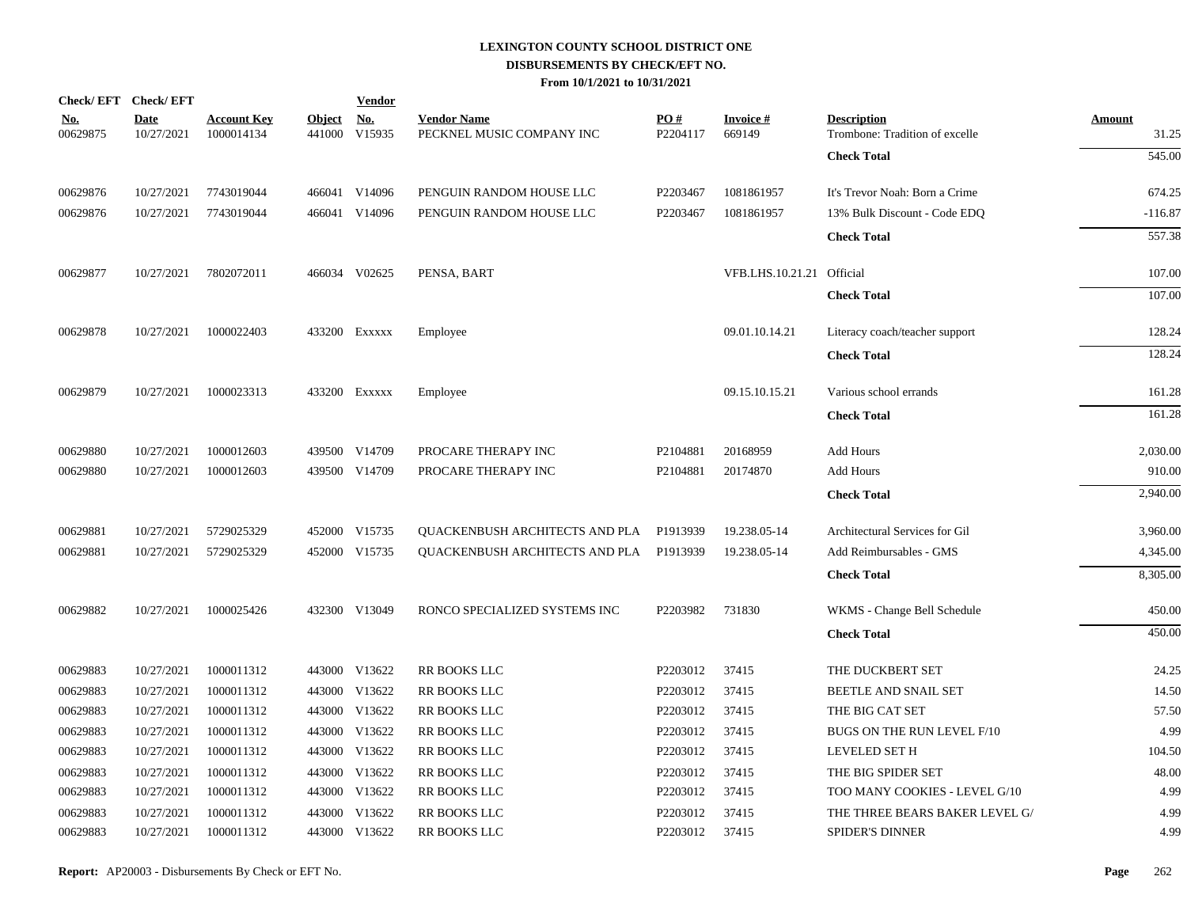|                        | Check/EFT Check/EFT       |                                  |                         | <b>Vendor</b>                       |                                                 |                 |                           |                                                      |                        |
|------------------------|---------------------------|----------------------------------|-------------------------|-------------------------------------|-------------------------------------------------|-----------------|---------------------------|------------------------------------------------------|------------------------|
| <u>No.</u><br>00629875 | <b>Date</b><br>10/27/2021 | <b>Account Key</b><br>1000014134 | <b>Object</b><br>441000 | $\underline{\textbf{No}}$<br>V15935 | <b>Vendor Name</b><br>PECKNEL MUSIC COMPANY INC | PO#<br>P2204117 | <b>Invoice#</b><br>669149 | <b>Description</b><br>Trombone: Tradition of excelle | <b>Amount</b><br>31.25 |
|                        |                           |                                  |                         |                                     |                                                 |                 |                           | <b>Check Total</b>                                   | 545.00                 |
| 00629876               | 10/27/2021                | 7743019044                       |                         | 466041 V14096                       | PENGUIN RANDOM HOUSE LLC                        | P2203467        | 1081861957                | It's Trevor Noah: Born a Crime                       | 674.25                 |
| 00629876               | 10/27/2021                | 7743019044                       |                         | 466041 V14096                       | PENGUIN RANDOM HOUSE LLC                        | P2203467        | 1081861957                | 13% Bulk Discount - Code EDQ                         | $-116.87$              |
|                        |                           |                                  |                         |                                     |                                                 |                 |                           | <b>Check Total</b>                                   | 557.38                 |
| 00629877               | 10/27/2021                | 7802072011                       |                         | 466034 V02625                       | PENSA, BART                                     |                 | VFB.LHS.10.21.21 Official |                                                      | 107.00                 |
|                        |                           |                                  |                         |                                     |                                                 |                 |                           | <b>Check Total</b>                                   | 107.00                 |
| 00629878               | 10/27/2021                | 1000022403                       |                         | 433200 Exxxxx                       | Employee                                        |                 | 09.01.10.14.21            | Literacy coach/teacher support                       | 128.24                 |
|                        |                           |                                  |                         |                                     |                                                 |                 |                           | <b>Check Total</b>                                   | 128.24                 |
| 00629879               | 10/27/2021                | 1000023313                       |                         | 433200 EXXXXX                       | Employee                                        |                 | 09.15.10.15.21            | Various school errands                               | 161.28                 |
|                        |                           |                                  |                         |                                     |                                                 |                 |                           | <b>Check Total</b>                                   | 161.28                 |
| 00629880               | 10/27/2021                | 1000012603                       |                         | 439500 V14709                       | PROCARE THERAPY INC                             | P2104881        | 20168959                  | Add Hours                                            | 2,030.00               |
| 00629880               | 10/27/2021                | 1000012603                       |                         | 439500 V14709                       | PROCARE THERAPY INC                             | P2104881        | 20174870                  | Add Hours                                            | 910.00                 |
|                        |                           |                                  |                         |                                     |                                                 |                 |                           | <b>Check Total</b>                                   | 2,940.00               |
| 00629881               | 10/27/2021                | 5729025329                       |                         | 452000 V15735                       | QUACKENBUSH ARCHITECTS AND PLA                  | P1913939        | 19.238.05-14              | Architectural Services for Gil                       | 3,960.00               |
| 00629881               | 10/27/2021                | 5729025329                       |                         | 452000 V15735                       | QUACKENBUSH ARCHITECTS AND PLA                  | P1913939        | 19.238.05-14              | Add Reimbursables - GMS                              | 4,345.00               |
|                        |                           |                                  |                         |                                     |                                                 |                 |                           | <b>Check Total</b>                                   | 8,305.00               |
| 00629882               | 10/27/2021                | 1000025426                       |                         | 432300 V13049                       | RONCO SPECIALIZED SYSTEMS INC                   | P2203982        | 731830                    | WKMS - Change Bell Schedule                          | 450.00                 |
|                        |                           |                                  |                         |                                     |                                                 |                 |                           | <b>Check Total</b>                                   | 450.00                 |
| 00629883               | 10/27/2021                | 1000011312                       |                         | 443000 V13622                       | RR BOOKS LLC                                    | P2203012        | 37415                     | THE DUCKBERT SET                                     | 24.25                  |
| 00629883               | 10/27/2021                | 1000011312                       |                         | 443000 V13622                       | <b>RR BOOKS LLC</b>                             | P2203012        | 37415                     | <b>BEETLE AND SNAIL SET</b>                          | 14.50                  |
| 00629883               | 10/27/2021                | 1000011312                       |                         | 443000 V13622                       | RR BOOKS LLC                                    | P2203012        | 37415                     | THE BIG CAT SET                                      | 57.50                  |
| 00629883               | 10/27/2021                | 1000011312                       |                         | 443000 V13622                       | RR BOOKS LLC                                    | P2203012        | 37415                     | BUGS ON THE RUN LEVEL F/10                           | 4.99                   |
| 00629883               | 10/27/2021                | 1000011312                       |                         | 443000 V13622                       | RR BOOKS LLC                                    | P2203012        | 37415                     | LEVELED SET H                                        | 104.50                 |
| 00629883               | 10/27/2021                | 1000011312                       |                         | 443000 V13622                       | RR BOOKS LLC                                    | P2203012        | 37415                     | THE BIG SPIDER SET                                   | 48.00                  |
| 00629883               | 10/27/2021                | 1000011312                       |                         | 443000 V13622                       | RR BOOKS LLC                                    | P2203012        | 37415                     | TOO MANY COOKIES - LEVEL G/10                        | 4.99                   |
| 00629883               | 10/27/2021                | 1000011312                       | 443000                  | V13622                              | <b>RR BOOKS LLC</b>                             | P2203012        | 37415                     | THE THREE BEARS BAKER LEVEL G/                       | 4.99                   |
| 00629883               | 10/27/2021                | 1000011312                       |                         | 443000 V13622                       | <b>RR BOOKS LLC</b>                             | P2203012        | 37415                     | <b>SPIDER'S DINNER</b>                               | 4.99                   |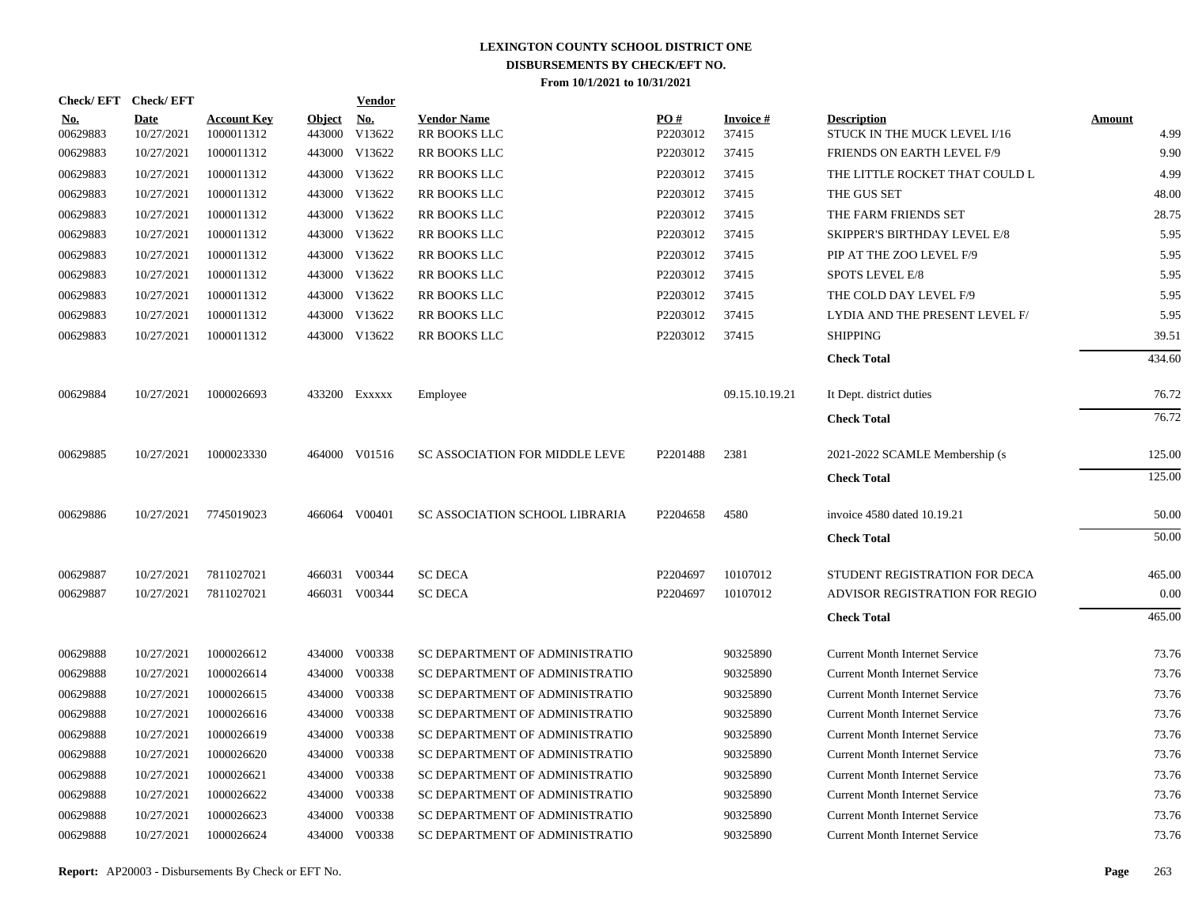| <b>Check/EFT</b>       | <b>Check/EFT</b>          |                                  |                         | Vendor               |                                           |                      |                          |                                                    |                       |
|------------------------|---------------------------|----------------------------------|-------------------------|----------------------|-------------------------------------------|----------------------|--------------------------|----------------------------------------------------|-----------------------|
| <u>No.</u><br>00629883 | <b>Date</b><br>10/27/2021 | <b>Account Key</b><br>1000011312 | <b>Object</b><br>443000 | <u>No.</u><br>V13622 | <b>Vendor Name</b><br><b>RR BOOKS LLC</b> | PO#<br>P2203012      | <b>Invoice#</b><br>37415 | <b>Description</b><br>STUCK IN THE MUCK LEVEL I/16 | <b>Amount</b><br>4.99 |
| 00629883               | 10/27/2021                | 1000011312                       |                         | 443000 V13622        | RR BOOKS LLC                              | P2203012             | 37415                    | FRIENDS ON EARTH LEVEL F/9                         | 9.90                  |
| 00629883               | 10/27/2021                | 1000011312                       |                         | 443000 V13622        | RR BOOKS LLC                              | P2203012             | 37415                    | THE LITTLE ROCKET THAT COULD L                     | 4.99                  |
| 00629883               | 10/27/2021                | 1000011312                       |                         | 443000 V13622        | <b>RR BOOKS LLC</b>                       | P2203012             | 37415                    | THE GUS SET                                        | 48.00                 |
| 00629883               | 10/27/2021                | 1000011312                       |                         | 443000 V13622        | RR BOOKS LLC                              | P2203012             | 37415                    | THE FARM FRIENDS SET                               | 28.75                 |
| 00629883               | 10/27/2021                | 1000011312                       |                         | 443000 V13622        | RR BOOKS LLC                              | P2203012             | 37415                    | SKIPPER'S BIRTHDAY LEVEL E/8                       | 5.95                  |
| 00629883               | 10/27/2021                | 1000011312                       |                         | 443000 V13622        | <b>RR BOOKS LLC</b>                       | P2203012             | 37415                    | PIP AT THE ZOO LEVEL F/9                           | 5.95                  |
| 00629883               | 10/27/2021                | 1000011312                       |                         | 443000 V13622        | RR BOOKS LLC                              | P2203012             | 37415                    | SPOTS LEVEL E/8                                    | 5.95                  |
| 00629883               | 10/27/2021                | 1000011312                       |                         | 443000 V13622        | RR BOOKS LLC                              | P2203012             | 37415                    | THE COLD DAY LEVEL F/9                             | 5.95                  |
| 00629883               | 10/27/2021                | 1000011312                       |                         | 443000 V13622        | RR BOOKS LLC                              | P2203012             | 37415                    | LYDIA AND THE PRESENT LEVEL F/                     | 5.95                  |
| 00629883               | 10/27/2021                | 1000011312                       |                         | 443000 V13622        | RR BOOKS LLC                              | P2203012             | 37415                    | <b>SHIPPING</b>                                    | 39.51                 |
|                        |                           |                                  |                         |                      |                                           |                      |                          | <b>Check Total</b>                                 | 434.60                |
| 00629884               | 10/27/2021                | 1000026693                       |                         | 433200 Exxxxx        | Employee                                  |                      | 09.15.10.19.21           | It Dept. district duties                           | 76.72                 |
|                        |                           |                                  |                         |                      |                                           |                      |                          | <b>Check Total</b>                                 | 76.72                 |
| 00629885               | 10/27/2021                | 1000023330                       |                         | 464000 V01516        | <b>SC ASSOCIATION FOR MIDDLE LEVE</b>     | P2201488             | 2381                     | 2021-2022 SCAMLE Membership (s)                    | 125.00                |
|                        |                           |                                  |                         |                      |                                           |                      |                          | <b>Check Total</b>                                 | 125.00                |
| 00629886               | 10/27/2021                | 7745019023                       |                         | 466064 V00401        | SC ASSOCIATION SCHOOL LIBRARIA            | P <sub>2204658</sub> | 4580                     | invoice 4580 dated 10.19.21                        | 50.00                 |
|                        |                           |                                  |                         |                      |                                           |                      |                          | <b>Check Total</b>                                 | 50.00                 |
| 00629887               | 10/27/2021                | 7811027021                       |                         | 466031 V00344        | <b>SC DECA</b>                            | P2204697             | 10107012                 | STUDENT REGISTRATION FOR DECA                      | 465.00                |
| 00629887               | 10/27/2021                | 7811027021                       |                         | 466031 V00344        | <b>SC DECA</b>                            | P2204697             | 10107012                 | ADVISOR REGISTRATION FOR REGIO                     | 0.00                  |
|                        |                           |                                  |                         |                      |                                           |                      |                          | <b>Check Total</b>                                 | 465.00                |
| 00629888               | 10/27/2021                | 1000026612                       |                         | 434000 V00338        | SC DEPARTMENT OF ADMINISTRATIO            |                      | 90325890                 | <b>Current Month Internet Service</b>              | 73.76                 |
| 00629888               | 10/27/2021                | 1000026614                       |                         | 434000 V00338        | SC DEPARTMENT OF ADMINISTRATIO            |                      | 90325890                 | <b>Current Month Internet Service</b>              | 73.76                 |
| 00629888               | 10/27/2021                | 1000026615                       | 434000                  | V00338               | SC DEPARTMENT OF ADMINISTRATIO            |                      | 90325890                 | <b>Current Month Internet Service</b>              | 73.76                 |
| 00629888               | 10/27/2021                | 1000026616                       |                         | 434000 V00338        | SC DEPARTMENT OF ADMINISTRATIO            |                      | 90325890                 | <b>Current Month Internet Service</b>              | 73.76                 |
| 00629888               | 10/27/2021                | 1000026619                       | 434000                  | V00338               | SC DEPARTMENT OF ADMINISTRATIO            |                      | 90325890                 | <b>Current Month Internet Service</b>              | 73.76                 |
| 00629888               | 10/27/2021                | 1000026620                       | 434000                  | V00338               | SC DEPARTMENT OF ADMINISTRATIO            |                      | 90325890                 | <b>Current Month Internet Service</b>              | 73.76                 |
| 00629888               | 10/27/2021                | 1000026621                       | 434000                  | V00338               | SC DEPARTMENT OF ADMINISTRATIO            |                      | 90325890                 | <b>Current Month Internet Service</b>              | 73.76                 |
| 00629888               | 10/27/2021                | 1000026622                       |                         | 434000 V00338        | SC DEPARTMENT OF ADMINISTRATIO            |                      | 90325890                 | <b>Current Month Internet Service</b>              | 73.76                 |
| 00629888               | 10/27/2021                | 1000026623                       | 434000                  | V00338               | SC DEPARTMENT OF ADMINISTRATIO            |                      | 90325890                 | <b>Current Month Internet Service</b>              | 73.76                 |
| 00629888               | 10/27/2021                | 1000026624                       |                         | 434000 V00338        | SC DEPARTMENT OF ADMINISTRATIO            |                      | 90325890                 | <b>Current Month Internet Service</b>              | 73.76                 |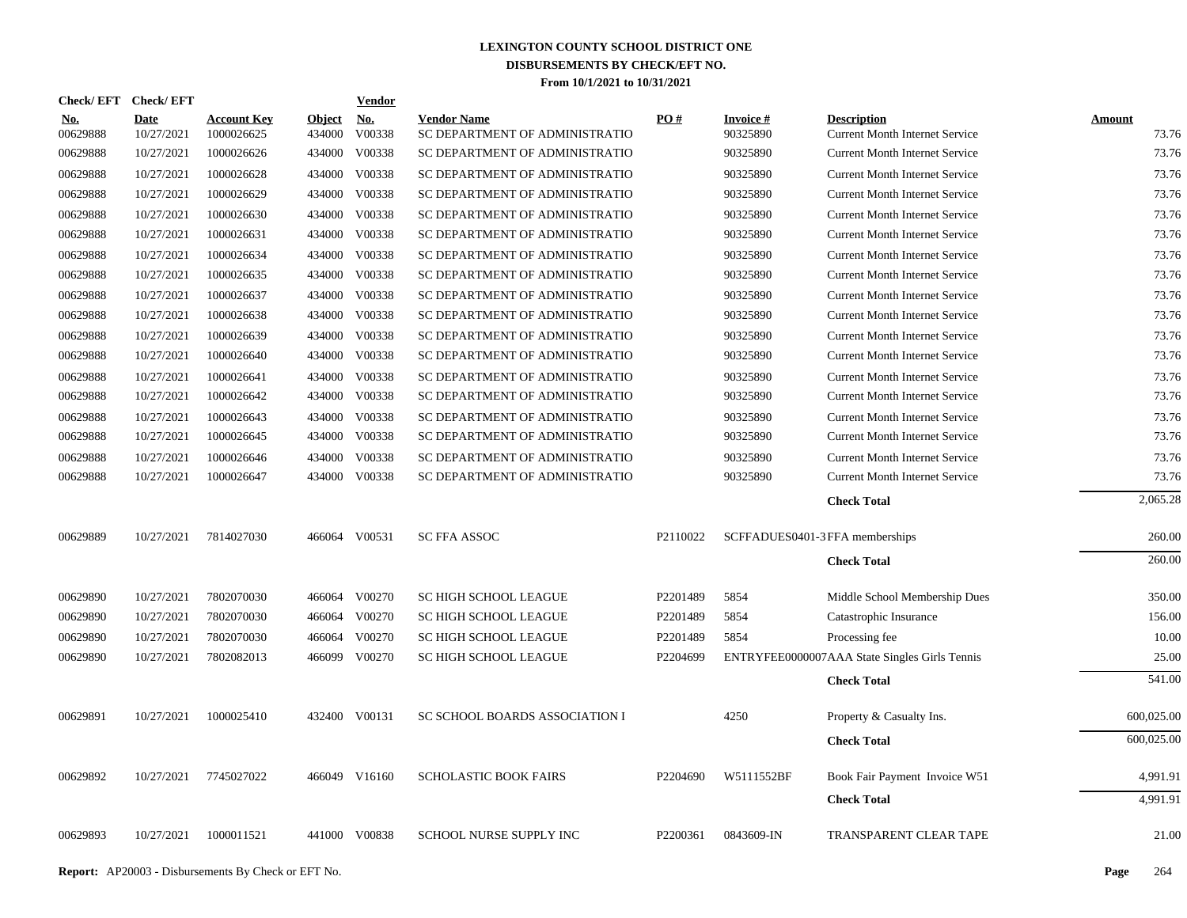| Check/EFT Check/EFT    |                    |                                  |                         | <b>Vendor</b> |                                                      |          |                       |                                                             |                 |
|------------------------|--------------------|----------------------------------|-------------------------|---------------|------------------------------------------------------|----------|-----------------------|-------------------------------------------------------------|-----------------|
| <b>No.</b><br>00629888 | Date<br>10/27/2021 | <b>Account Key</b><br>1000026625 | <b>Object</b><br>434000 | No.<br>V00338 | <b>Vendor Name</b><br>SC DEPARTMENT OF ADMINISTRATIO | PO#      | Invoice #<br>90325890 | <b>Description</b><br><b>Current Month Internet Service</b> | Amount<br>73.76 |
| 00629888               | 10/27/2021         | 1000026626                       | 434000                  | V00338        | SC DEPARTMENT OF ADMINISTRATIO                       |          | 90325890              | <b>Current Month Internet Service</b>                       | 73.76           |
| 00629888               | 10/27/2021         | 1000026628                       | 434000                  | V00338        | SC DEPARTMENT OF ADMINISTRATIO                       |          | 90325890              | <b>Current Month Internet Service</b>                       | 73.76           |
| 00629888               | 10/27/2021         | 1000026629                       | 434000                  | V00338        | SC DEPARTMENT OF ADMINISTRATIO                       |          | 90325890              | <b>Current Month Internet Service</b>                       | 73.76           |
| 00629888               | 10/27/2021         | 1000026630                       | 434000                  | V00338        | SC DEPARTMENT OF ADMINISTRATIO                       |          | 90325890              | <b>Current Month Internet Service</b>                       | 73.76           |
| 00629888               | 10/27/2021         | 1000026631                       | 434000                  | V00338        | SC DEPARTMENT OF ADMINISTRATIO                       |          | 90325890              | <b>Current Month Internet Service</b>                       | 73.76           |
| 00629888               | 10/27/2021         | 1000026634                       | 434000                  | V00338        | SC DEPARTMENT OF ADMINISTRATIO                       |          | 90325890              | <b>Current Month Internet Service</b>                       | 73.76           |
| 00629888               | 10/27/2021         | 1000026635                       |                         | 434000 V00338 | SC DEPARTMENT OF ADMINISTRATIO                       |          | 90325890              | <b>Current Month Internet Service</b>                       | 73.76           |
| 00629888               | 10/27/2021         | 1000026637                       | 434000                  | V00338        | SC DEPARTMENT OF ADMINISTRATIO                       |          | 90325890              | <b>Current Month Internet Service</b>                       | 73.76           |
| 00629888               | 10/27/2021         | 1000026638                       | 434000                  | V00338        | SC DEPARTMENT OF ADMINISTRATIO                       |          | 90325890              | <b>Current Month Internet Service</b>                       | 73.76           |
| 00629888               | 10/27/2021         | 1000026639                       | 434000                  | V00338        | SC DEPARTMENT OF ADMINISTRATIO                       |          | 90325890              | <b>Current Month Internet Service</b>                       | 73.76           |
| 00629888               | 10/27/2021         | 1000026640                       | 434000                  | V00338        | SC DEPARTMENT OF ADMINISTRATIO                       |          | 90325890              | <b>Current Month Internet Service</b>                       | 73.76           |
| 00629888               | 10/27/2021         | 1000026641                       | 434000                  | V00338        | SC DEPARTMENT OF ADMINISTRATIO                       |          | 90325890              | <b>Current Month Internet Service</b>                       | 73.76           |
| 00629888               | 10/27/2021         | 1000026642                       | 434000                  | V00338        | SC DEPARTMENT OF ADMINISTRATIO                       |          | 90325890              | <b>Current Month Internet Service</b>                       | 73.76           |
| 00629888               | 10/27/2021         | 1000026643                       | 434000                  | V00338        | SC DEPARTMENT OF ADMINISTRATIO                       |          | 90325890              | <b>Current Month Internet Service</b>                       | 73.76           |
| 00629888               | 10/27/2021         | 1000026645                       | 434000                  | V00338        | SC DEPARTMENT OF ADMINISTRATIO                       |          | 90325890              | <b>Current Month Internet Service</b>                       | 73.76           |
| 00629888               | 10/27/2021         | 1000026646                       | 434000                  | V00338        | SC DEPARTMENT OF ADMINISTRATIO                       |          | 90325890              | <b>Current Month Internet Service</b>                       | 73.76           |
| 00629888               | 10/27/2021         | 1000026647                       |                         | 434000 V00338 | SC DEPARTMENT OF ADMINISTRATIO                       |          | 90325890              | <b>Current Month Internet Service</b>                       | 73.76           |
|                        |                    |                                  |                         |               |                                                      |          |                       | <b>Check Total</b>                                          | 2,065.28        |
| 00629889               | 10/27/2021         | 7814027030                       |                         | 466064 V00531 | <b>SC FFA ASSOC</b>                                  | P2110022 |                       | SCFFADUES0401-3 FFA memberships                             | 260.00          |
|                        |                    |                                  |                         |               |                                                      |          |                       | <b>Check Total</b>                                          | 260.00          |
| 00629890               | 10/27/2021         | 7802070030                       | 466064                  | V00270        | SC HIGH SCHOOL LEAGUE                                | P2201489 | 5854                  | Middle School Membership Dues                               | 350.00          |
| 00629890               | 10/27/2021         | 7802070030                       | 466064                  | V00270        | SC HIGH SCHOOL LEAGUE                                | P2201489 | 5854                  | Catastrophic Insurance                                      | 156.00          |
| 00629890               | 10/27/2021         | 7802070030                       | 466064                  | V00270        | SC HIGH SCHOOL LEAGUE                                | P2201489 | 5854                  | Processing fee                                              | 10.00           |
| 00629890               | 10/27/2021         | 7802082013                       |                         | 466099 V00270 | SC HIGH SCHOOL LEAGUE                                | P2204699 |                       | ENTRYFEE0000007AAA State Singles Girls Tennis               | 25.00           |
|                        |                    |                                  |                         |               |                                                      |          |                       | <b>Check Total</b>                                          | 541.00          |
| 00629891               | 10/27/2021         | 1000025410                       |                         | 432400 V00131 | SC SCHOOL BOARDS ASSOCIATION I                       |          | 4250                  | Property & Casualty Ins.                                    | 600,025.00      |
|                        |                    |                                  |                         |               |                                                      |          |                       | <b>Check Total</b>                                          | 600,025.00      |
| 00629892               | 10/27/2021         | 7745027022                       |                         | 466049 V16160 | <b>SCHOLASTIC BOOK FAIRS</b>                         | P2204690 | W5111552BF            | Book Fair Payment Invoice W51                               | 4,991.91        |
|                        |                    |                                  |                         |               |                                                      |          |                       | <b>Check Total</b>                                          | 4.991.91        |
| 00629893               | 10/27/2021         | 1000011521                       |                         | 441000 V00838 | <b>SCHOOL NURSE SUPPLY INC</b>                       | P2200361 | 0843609-IN            | <b>TRANSPARENT CLEAR TAPE</b>                               | 21.00           |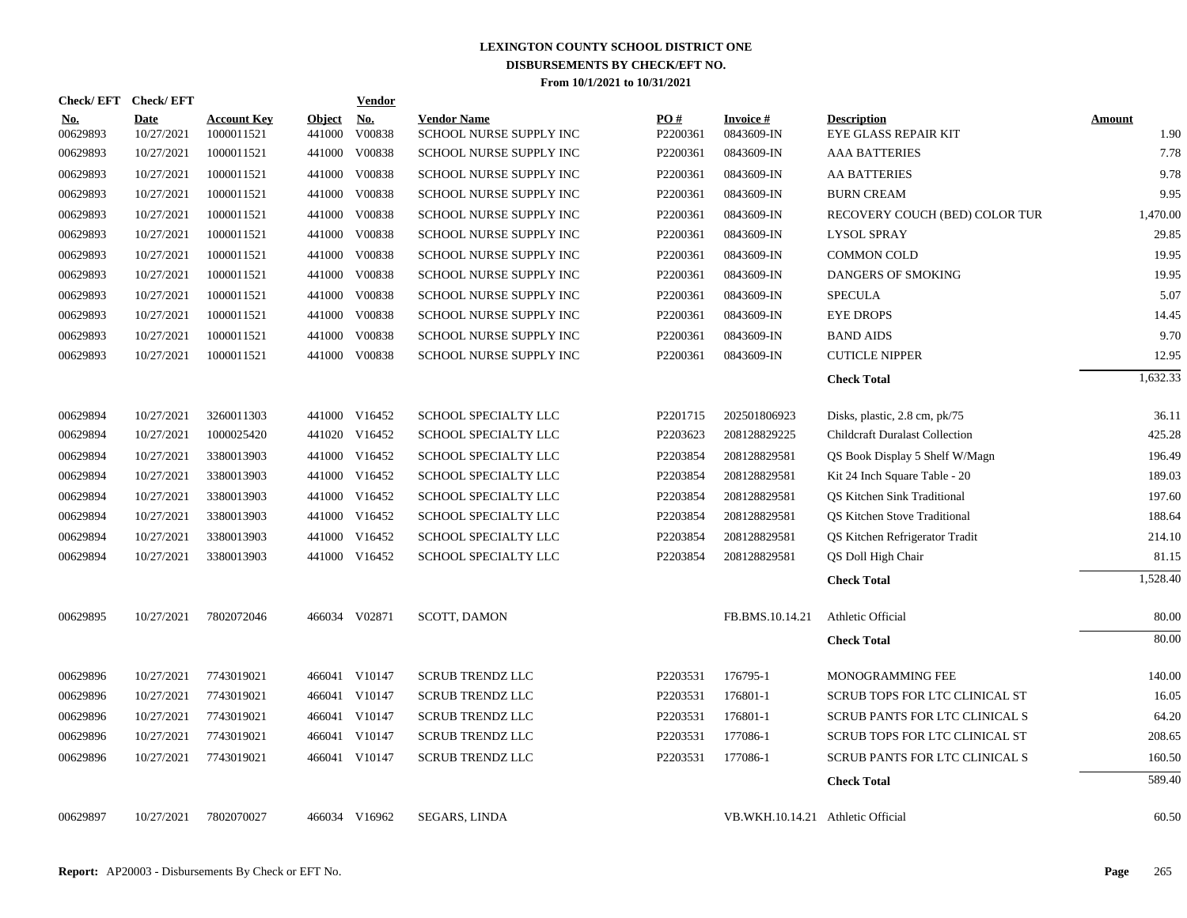| Check/EFT Check/EFT    |                           |                                  |                         | Vendor               |                                               |                 |                                   |                                                                        |                       |
|------------------------|---------------------------|----------------------------------|-------------------------|----------------------|-----------------------------------------------|-----------------|-----------------------------------|------------------------------------------------------------------------|-----------------------|
| <b>No.</b><br>00629893 | <b>Date</b><br>10/27/2021 | <b>Account Key</b><br>1000011521 | <b>Object</b><br>441000 | <b>No.</b><br>V00838 | <b>Vendor Name</b><br>SCHOOL NURSE SUPPLY INC | PO#<br>P2200361 | <b>Invoice#</b><br>0843609-IN     | <b>Description</b><br>EYE GLASS REPAIR KIT                             | <b>Amount</b><br>1.90 |
| 00629893               | 10/27/2021                | 1000011521                       | 441000                  | V00838               | SCHOOL NURSE SUPPLY INC                       | P2200361        | 0843609-IN                        | <b>AAA BATTERIES</b>                                                   | 7.78                  |
| 00629893               | 10/27/2021                | 1000011521                       | 441000                  | V00838               | SCHOOL NURSE SUPPLY INC                       | P2200361        | 0843609-IN                        | <b>AA BATTERIES</b>                                                    | 9.78                  |
| 00629893               | 10/27/2021                | 1000011521                       | 441000                  | V00838               | SCHOOL NURSE SUPPLY INC                       | P2200361        | 0843609-IN                        | <b>BURN CREAM</b>                                                      | 9.95                  |
| 00629893               | 10/27/2021                | 1000011521                       | 441000                  | V00838               | SCHOOL NURSE SUPPLY INC                       | P2200361        | 0843609-IN                        | RECOVERY COUCH (BED) COLOR TUR                                         | 1,470.00              |
| 00629893               | 10/27/2021                | 1000011521                       | 441000                  | V00838               | SCHOOL NURSE SUPPLY INC                       | P2200361        | 0843609-IN                        | <b>LYSOL SPRAY</b>                                                     | 29.85                 |
| 00629893               | 10/27/2021                | 1000011521                       | 441000                  | V00838               | SCHOOL NURSE SUPPLY INC                       | P2200361        | 0843609-IN                        | <b>COMMON COLD</b>                                                     | 19.95                 |
| 00629893               | 10/27/2021                | 1000011521                       | 441000                  | V00838               | SCHOOL NURSE SUPPLY INC                       | P2200361        | 0843609-IN                        | DANGERS OF SMOKING                                                     | 19.95                 |
| 00629893               | 10/27/2021                | 1000011521                       | 441000                  | V00838               | SCHOOL NURSE SUPPLY INC                       | P2200361        | 0843609-IN                        | SPECULA                                                                | 5.07                  |
| 00629893               | 10/27/2021                | 1000011521                       | 441000                  | V00838               | <b>SCHOOL NURSE SUPPLY INC</b>                | P2200361        | 0843609-IN                        | <b>EYE DROPS</b>                                                       | 14.45                 |
| 00629893               | 10/27/2021                | 1000011521                       | 441000                  | V00838               | SCHOOL NURSE SUPPLY INC                       | P2200361        | 0843609-IN                        | <b>BAND AIDS</b>                                                       | 9.70                  |
| 00629893               | 10/27/2021                | 1000011521                       | 441000                  | V00838               | SCHOOL NURSE SUPPLY INC                       | P2200361        | 0843609-IN                        | <b>CUTICLE NIPPER</b>                                                  | 12.95                 |
|                        |                           |                                  |                         |                      |                                               |                 |                                   | <b>Check Total</b>                                                     | 1.632.33              |
| 00629894               | 10/27/2021                | 3260011303                       |                         | 441000 V16452        | SCHOOL SPECIALTY LLC                          | P2201715        | 202501806923                      |                                                                        | 36.11                 |
| 00629894               | 10/27/2021                | 1000025420                       |                         | 441020 V16452        | SCHOOL SPECIALTY LLC                          | P2203623        | 208128829225                      | Disks, plastic, 2.8 cm, pk/75<br><b>Childcraft Duralast Collection</b> | 425.28                |
| 00629894               | 10/27/2021                | 3380013903                       |                         | 441000 V16452        | <b>SCHOOL SPECIALTY LLC</b>                   | P2203854        | 208128829581                      | QS Book Display 5 Shelf W/Magn                                         | 196.49                |
| 00629894               | 10/27/2021                | 3380013903                       |                         | 441000 V16452        | <b>SCHOOL SPECIALTY LLC</b>                   | P2203854        | 208128829581                      | Kit 24 Inch Square Table - 20                                          | 189.03                |
| 00629894               | 10/27/2021                | 3380013903                       |                         | 441000 V16452        | SCHOOL SPECIALTY LLC                          | P2203854        | 208128829581                      | <b>QS Kitchen Sink Traditional</b>                                     | 197.60                |
| 00629894               | 10/27/2021                | 3380013903                       |                         | 441000 V16452        | SCHOOL SPECIALTY LLC                          | P2203854        | 208128829581                      | <b>QS</b> Kitchen Stove Traditional                                    | 188.64                |
| 00629894               | 10/27/2021                | 3380013903                       |                         | 441000 V16452        | <b>SCHOOL SPECIALTY LLC</b>                   | P2203854        | 208128829581                      | QS Kitchen Refrigerator Tradit                                         | 214.10                |
| 00629894               | 10/27/2021                | 3380013903                       |                         | 441000 V16452        | SCHOOL SPECIALTY LLC                          | P2203854        | 208128829581                      | QS Doll High Chair                                                     | 81.15                 |
|                        |                           |                                  |                         |                      |                                               |                 |                                   |                                                                        | 1,528.40              |
|                        |                           |                                  |                         |                      |                                               |                 |                                   | <b>Check Total</b>                                                     |                       |
| 00629895               | 10/27/2021                | 7802072046                       |                         | 466034 V02871        | <b>SCOTT, DAMON</b>                           |                 | FB.BMS.10.14.21                   | Athletic Official                                                      | 80.00                 |
|                        |                           |                                  |                         |                      |                                               |                 |                                   | <b>Check Total</b>                                                     | 80.00                 |
| 00629896               | 10/27/2021                | 7743019021                       |                         | 466041 V10147        | <b>SCRUB TRENDZ LLC</b>                       | P2203531        | 176795-1                          | MONOGRAMMING FEE                                                       | 140.00                |
| 00629896               | 10/27/2021                | 7743019021                       |                         | 466041 V10147        | <b>SCRUB TRENDZ LLC</b>                       | P2203531        | 176801-1                          | SCRUB TOPS FOR LTC CLINICAL ST                                         | 16.05                 |
| 00629896               | 10/27/2021                | 7743019021                       |                         | 466041 V10147        | <b>SCRUB TRENDZ LLC</b>                       | P2203531        | 176801-1                          | SCRUB PANTS FOR LTC CLINICAL S                                         | 64.20                 |
| 00629896               | 10/27/2021                | 7743019021                       |                         | 466041 V10147        | <b>SCRUB TRENDZ LLC</b>                       | P2203531        | 177086-1                          | SCRUB TOPS FOR LTC CLINICAL ST                                         | 208.65                |
| 00629896               | 10/27/2021                | 7743019021                       |                         | 466041 V10147        | <b>SCRUB TRENDZ LLC</b>                       | P2203531        | 177086-1                          | SCRUB PANTS FOR LTC CLINICAL S                                         | 160.50                |
|                        |                           |                                  |                         |                      |                                               |                 |                                   | <b>Check Total</b>                                                     | 589.40                |
| 00629897               | 10/27/2021                | 7802070027                       |                         | 466034 V16962        | <b>SEGARS, LINDA</b>                          |                 | VB.WKH.10.14.21 Athletic Official |                                                                        | 60.50                 |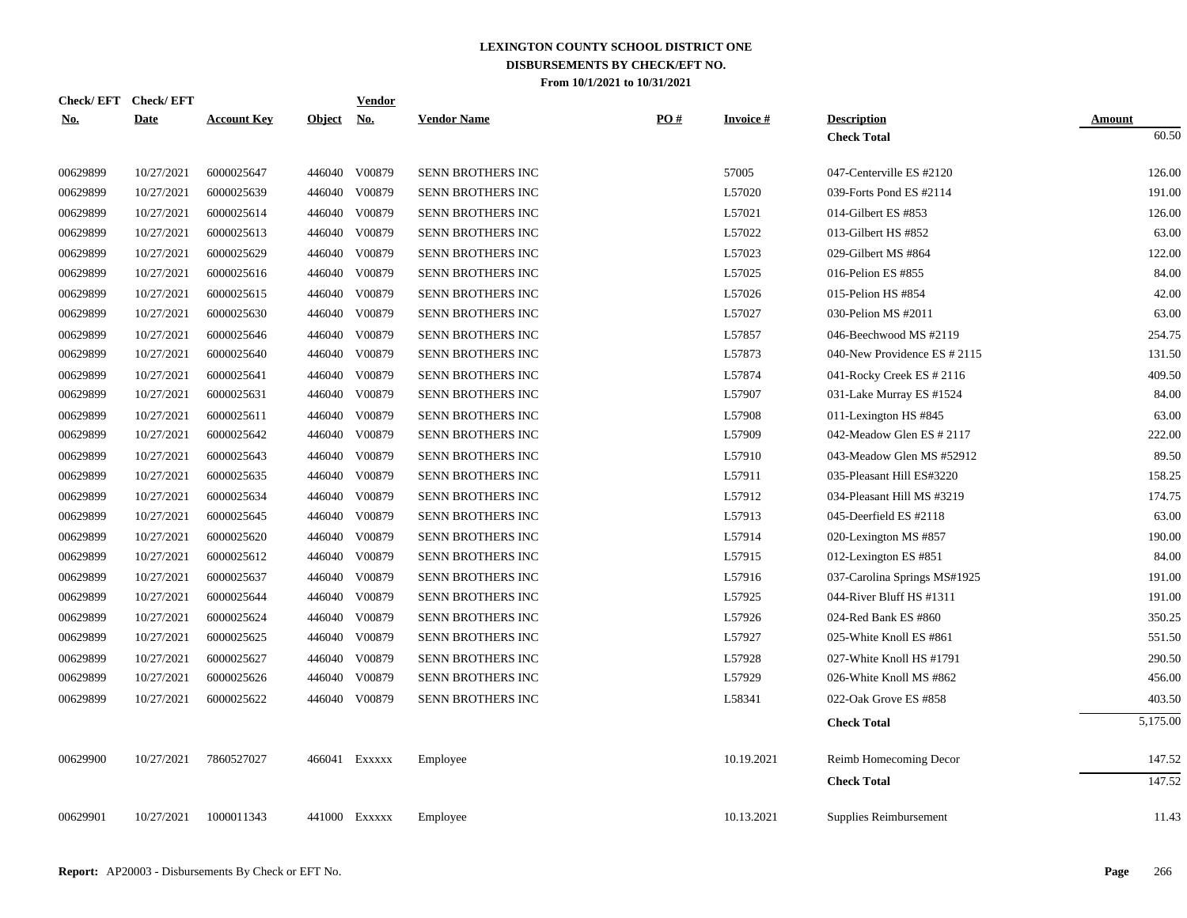|            | Check/EFT Check/EFT |                    |               | <b>Vendor</b> |                          |     |                 |                              |               |
|------------|---------------------|--------------------|---------------|---------------|--------------------------|-----|-----------------|------------------------------|---------------|
| <u>No.</u> | <b>Date</b>         | <b>Account Key</b> | <b>Object</b> | <u>No.</u>    | <b>Vendor Name</b>       | PO# | <b>Invoice#</b> | <b>Description</b>           | <b>Amount</b> |
|            |                     |                    |               |               |                          |     |                 | <b>Check Total</b>           | 60.50         |
| 00629899   | 10/27/2021          | 6000025647         |               | 446040 V00879 | SENN BROTHERS INC        |     | 57005           | 047-Centerville ES #2120     | 126.00        |
| 00629899   | 10/27/2021          | 6000025639         |               | 446040 V00879 | <b>SENN BROTHERS INC</b> |     | L57020          | 039-Forts Pond ES #2114      | 191.00        |
| 00629899   | 10/27/2021          | 6000025614         | 446040        | V00879        | SENN BROTHERS INC        |     | L57021          | 014-Gilbert ES $#853$        | 126.00        |
| 00629899   | 10/27/2021          | 6000025613         | 446040        | V00879        | SENN BROTHERS INC        |     | L57022          | 013-Gilbert HS #852          | 63.00         |
| 00629899   | 10/27/2021          | 6000025629         | 446040        | V00879        | SENN BROTHERS INC        |     | L57023          | 029-Gilbert MS #864          | 122.00        |
| 00629899   | 10/27/2021          | 6000025616         | 446040        | V00879        | SENN BROTHERS INC        |     | L57025          | 016-Pelion ES #855           | 84.00         |
| 00629899   | 10/27/2021          | 6000025615         | 446040        | V00879        | SENN BROTHERS INC        |     | L57026          | 015-Pelion HS #854           | 42.00         |
| 00629899   | 10/27/2021          | 6000025630         | 446040        | V00879        | SENN BROTHERS INC        |     | L57027          | 030-Pelion MS #2011          | 63.00         |
| 00629899   | 10/27/2021          | 6000025646         |               | 446040 V00879 | SENN BROTHERS INC        |     | L57857          | 046-Beechwood MS #2119       | 254.75        |
| 00629899   | 10/27/2021          | 6000025640         |               | 446040 V00879 | SENN BROTHERS INC        |     | L57873          | 040-New Providence ES # 2115 | 131.50        |
| 00629899   | 10/27/2021          | 6000025641         | 446040        | V00879        | SENN BROTHERS INC        |     | L57874          | 041-Rocky Creek ES # 2116    | 409.50        |
| 00629899   | 10/27/2021          | 6000025631         |               | 446040 V00879 | SENN BROTHERS INC        |     | L57907          | 031-Lake Murray ES #1524     | 84.00         |
| 00629899   | 10/27/2021          | 6000025611         | 446040        | V00879        | SENN BROTHERS INC        |     | L57908          | 011-Lexington HS #845        | 63.00         |
| 00629899   | 10/27/2021          | 6000025642         | 446040        | V00879        | SENN BROTHERS INC        |     | L57909          | 042-Meadow Glen ES # 2117    | 222.00        |
| 00629899   | 10/27/2021          | 6000025643         |               | 446040 V00879 | SENN BROTHERS INC        |     | L57910          | 043-Meadow Glen MS #52912    | 89.50         |
| 00629899   | 10/27/2021          | 6000025635         | 446040        | V00879        | SENN BROTHERS INC        |     | L57911          | 035-Pleasant Hill ES#3220    | 158.25        |
| 00629899   | 10/27/2021          | 6000025634         | 446040        | V00879        | SENN BROTHERS INC        |     | L57912          | 034-Pleasant Hill MS #3219   | 174.75        |
| 00629899   | 10/27/2021          | 6000025645         | 446040        | V00879        | SENN BROTHERS INC        |     | L57913          | 045-Deerfield ES #2118       | 63.00         |
| 00629899   | 10/27/2021          | 6000025620         |               | 446040 V00879 | SENN BROTHERS INC        |     | L57914          | 020-Lexington MS #857        | 190.00        |
| 00629899   | 10/27/2021          | 6000025612         | 446040        | V00879        | SENN BROTHERS INC        |     | L57915          | 012-Lexington ES #851        | 84.00         |
| 00629899   | 10/27/2021          | 6000025637         |               | 446040 V00879 | SENN BROTHERS INC        |     | L57916          | 037-Carolina Springs MS#1925 | 191.00        |
| 00629899   | 10/27/2021          | 6000025644         |               | 446040 V00879 | SENN BROTHERS INC        |     | L57925          | 044-River Bluff HS #1311     | 191.00        |
| 00629899   | 10/27/2021          | 6000025624         |               | 446040 V00879 | SENN BROTHERS INC        |     | L57926          | 024-Red Bank ES #860         | 350.25        |
| 00629899   | 10/27/2021          | 6000025625         |               | 446040 V00879 | SENN BROTHERS INC        |     | L57927          | 025-White Knoll ES #861      | 551.50        |
| 00629899   | 10/27/2021          | 6000025627         | 446040        | V00879        | SENN BROTHERS INC        |     | L57928          | 027-White Knoll HS #1791     | 290.50        |
| 00629899   | 10/27/2021          | 6000025626         |               | 446040 V00879 | SENN BROTHERS INC        |     | L57929          | 026-White Knoll MS #862      | 456.00        |
| 00629899   | 10/27/2021          | 6000025622         |               | 446040 V00879 | SENN BROTHERS INC        |     | L58341          | 022-Oak Grove ES #858        | 403.50        |
|            |                     |                    |               |               |                          |     |                 | <b>Check Total</b>           | 5,175.00      |
| 00629900   | 10/27/2021          | 7860527027         |               | 466041 Exxxxx | Employee                 |     | 10.19.2021      | Reimb Homecoming Decor       | 147.52        |
|            |                     |                    |               |               |                          |     |                 | <b>Check Total</b>           | 147.52        |
| 00629901   | 10/27/2021          | 1000011343         |               | 441000 Exxxxx | Employee                 |     | 10.13.2021      | Supplies Reimbursement       | 11.43         |
|            |                     |                    |               |               |                          |     |                 |                              |               |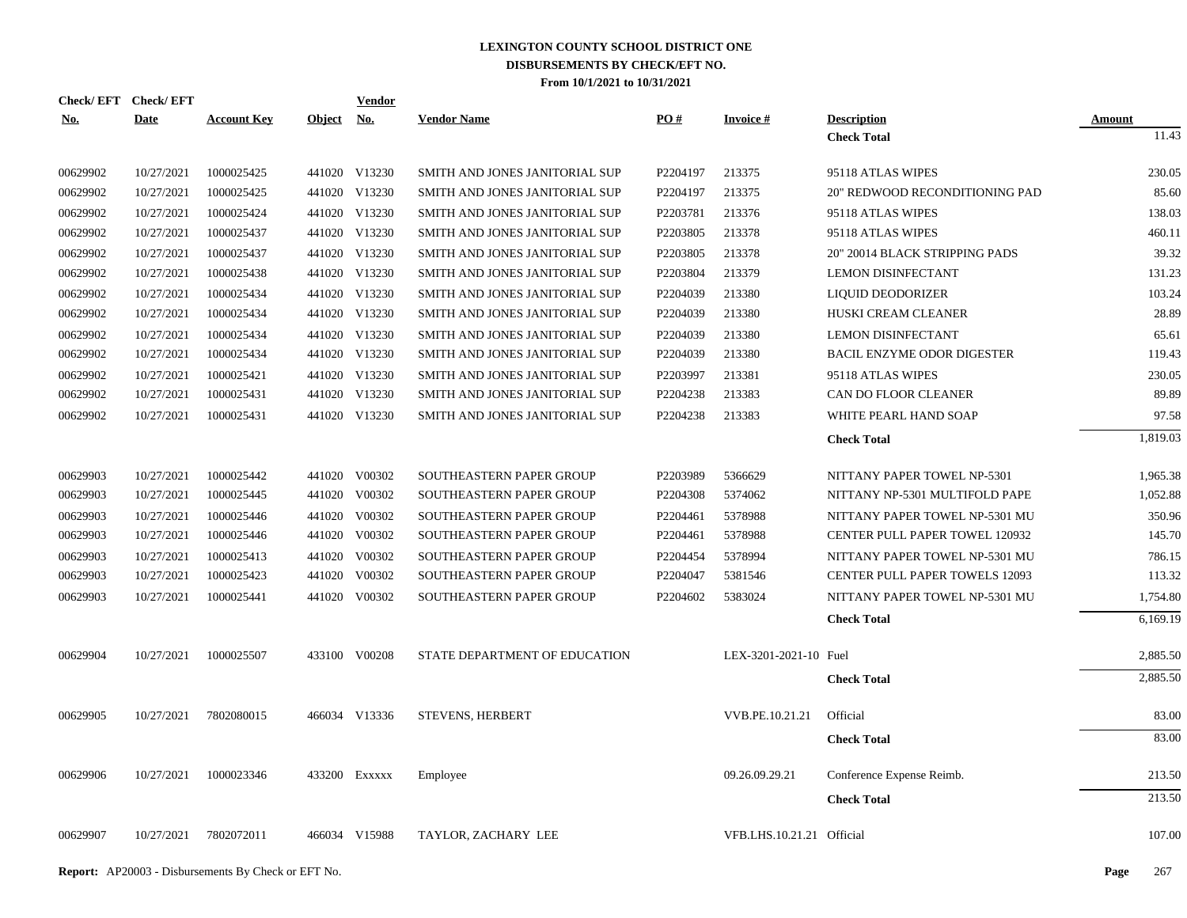| Check/EFT Check/EFT |             |                    |            | Vendor        |                                |          |                           |                                       |          |
|---------------------|-------------|--------------------|------------|---------------|--------------------------------|----------|---------------------------|---------------------------------------|----------|
| <b>No.</b>          | <b>Date</b> | <b>Account Key</b> | Object No. |               | <b>Vendor Name</b>             | PO#      | <b>Invoice#</b>           | <b>Description</b>                    | Amount   |
|                     |             |                    |            |               |                                |          |                           | <b>Check Total</b>                    | 11.43    |
| 00629902            | 10/27/2021  | 1000025425         |            | 441020 V13230 | SMITH AND JONES JANITORIAL SUP | P2204197 | 213375                    | 95118 ATLAS WIPES                     | 230.05   |
| 00629902            | 10/27/2021  | 1000025425         |            | 441020 V13230 | SMITH AND JONES JANITORIAL SUP | P2204197 | 213375                    | 20" REDWOOD RECONDITIONING PAD        | 85.60    |
| 00629902            | 10/27/2021  | 1000025424         |            | 441020 V13230 | SMITH AND JONES JANITORIAL SUP | P2203781 | 213376                    | 95118 ATLAS WIPES                     | 138.03   |
| 00629902            | 10/27/2021  | 1000025437         |            | 441020 V13230 | SMITH AND JONES JANITORIAL SUP | P2203805 | 213378                    | 95118 ATLAS WIPES                     | 460.11   |
| 00629902            | 10/27/2021  | 1000025437         |            | 441020 V13230 | SMITH AND JONES JANITORIAL SUP | P2203805 | 213378                    | 20" 20014 BLACK STRIPPING PADS        | 39.32    |
| 00629902            | 10/27/2021  | 1000025438         |            | 441020 V13230 | SMITH AND JONES JANITORIAL SUP | P2203804 | 213379                    | <b>LEMON DISINFECTANT</b>             | 131.23   |
| 00629902            | 10/27/2021  | 1000025434         |            | 441020 V13230 | SMITH AND JONES JANITORIAL SUP | P2204039 | 213380                    | LIQUID DEODORIZER                     | 103.24   |
| 00629902            | 10/27/2021  | 1000025434         |            | 441020 V13230 | SMITH AND JONES JANITORIAL SUP | P2204039 | 213380                    | HUSKI CREAM CLEANER                   | 28.89    |
| 00629902            | 10/27/2021  | 1000025434         |            | 441020 V13230 | SMITH AND JONES JANITORIAL SUP | P2204039 | 213380                    | <b>LEMON DISINFECTANT</b>             | 65.61    |
| 00629902            | 10/27/2021  | 1000025434         |            | 441020 V13230 | SMITH AND JONES JANITORIAL SUP | P2204039 | 213380                    | <b>BACIL ENZYME ODOR DIGESTER</b>     | 119.43   |
| 00629902            | 10/27/2021  | 1000025421         |            | 441020 V13230 | SMITH AND JONES JANITORIAL SUP | P2203997 | 213381                    | 95118 ATLAS WIPES                     | 230.05   |
| 00629902            | 10/27/2021  | 1000025431         |            | 441020 V13230 | SMITH AND JONES JANITORIAL SUP | P2204238 | 213383                    | CAN DO FLOOR CLEANER                  | 89.89    |
| 00629902            | 10/27/2021  | 1000025431         |            | 441020 V13230 | SMITH AND JONES JANITORIAL SUP | P2204238 | 213383                    | WHITE PEARL HAND SOAP                 | 97.58    |
|                     |             |                    |            |               |                                |          |                           | <b>Check Total</b>                    | 1,819.03 |
| 00629903            | 10/27/2021  | 1000025442         |            | 441020 V00302 | SOUTHEASTERN PAPER GROUP       | P2203989 | 5366629                   | NITTANY PAPER TOWEL NP-5301           | 1,965.38 |
| 00629903            | 10/27/2021  | 1000025445         | 441020     | V00302        | SOUTHEASTERN PAPER GROUP       | P2204308 | 5374062                   | NITTANY NP-5301 MULTIFOLD PAPE        | 1,052.88 |
| 00629903            | 10/27/2021  | 1000025446         | 441020     | V00302        | SOUTHEASTERN PAPER GROUP       | P2204461 | 5378988                   | NITTANY PAPER TOWEL NP-5301 MU        | 350.96   |
| 00629903            | 10/27/2021  | 1000025446         | 441020     | V00302        | SOUTHEASTERN PAPER GROUP       | P2204461 | 5378988                   | <b>CENTER PULL PAPER TOWEL 120932</b> | 145.70   |
| 00629903            | 10/27/2021  | 1000025413         | 441020     | V00302        | SOUTHEASTERN PAPER GROUP       | P2204454 | 5378994                   | NITTANY PAPER TOWEL NP-5301 MU        | 786.15   |
| 00629903            | 10/27/2021  | 1000025423         |            | 441020 V00302 | SOUTHEASTERN PAPER GROUP       | P2204047 | 5381546                   | <b>CENTER PULL PAPER TOWELS 12093</b> | 113.32   |
| 00629903            | 10/27/2021  | 1000025441         |            | 441020 V00302 | SOUTHEASTERN PAPER GROUP       | P2204602 | 5383024                   | NITTANY PAPER TOWEL NP-5301 MU        | 1,754.80 |
|                     |             |                    |            |               |                                |          |                           | <b>Check Total</b>                    | 6,169.19 |
| 00629904            | 10/27/2021  | 1000025507         |            | 433100 V00208 | STATE DEPARTMENT OF EDUCATION  |          | LEX-3201-2021-10 Fuel     |                                       | 2,885.50 |
|                     |             |                    |            |               |                                |          |                           | <b>Check Total</b>                    | 2,885.50 |
| 00629905            | 10/27/2021  | 7802080015         |            | 466034 V13336 | <b>STEVENS, HERBERT</b>        |          | VVB.PE.10.21.21           | Official                              | 83.00    |
|                     |             |                    |            |               |                                |          |                           | <b>Check Total</b>                    | 83.00    |
| 00629906            | 10/27/2021  | 1000023346         |            | 433200 Exxxxx | Employee                       |          | 09.26.09.29.21            | Conference Expense Reimb.             | 213.50   |
|                     |             |                    |            |               |                                |          |                           | <b>Check Total</b>                    | 213.50   |
|                     |             |                    |            |               |                                |          |                           |                                       |          |
| 00629907            | 10/27/2021  | 7802072011         |            | 466034 V15988 | TAYLOR, ZACHARY LEE            |          | VFB.LHS.10.21.21 Official |                                       | 107.00   |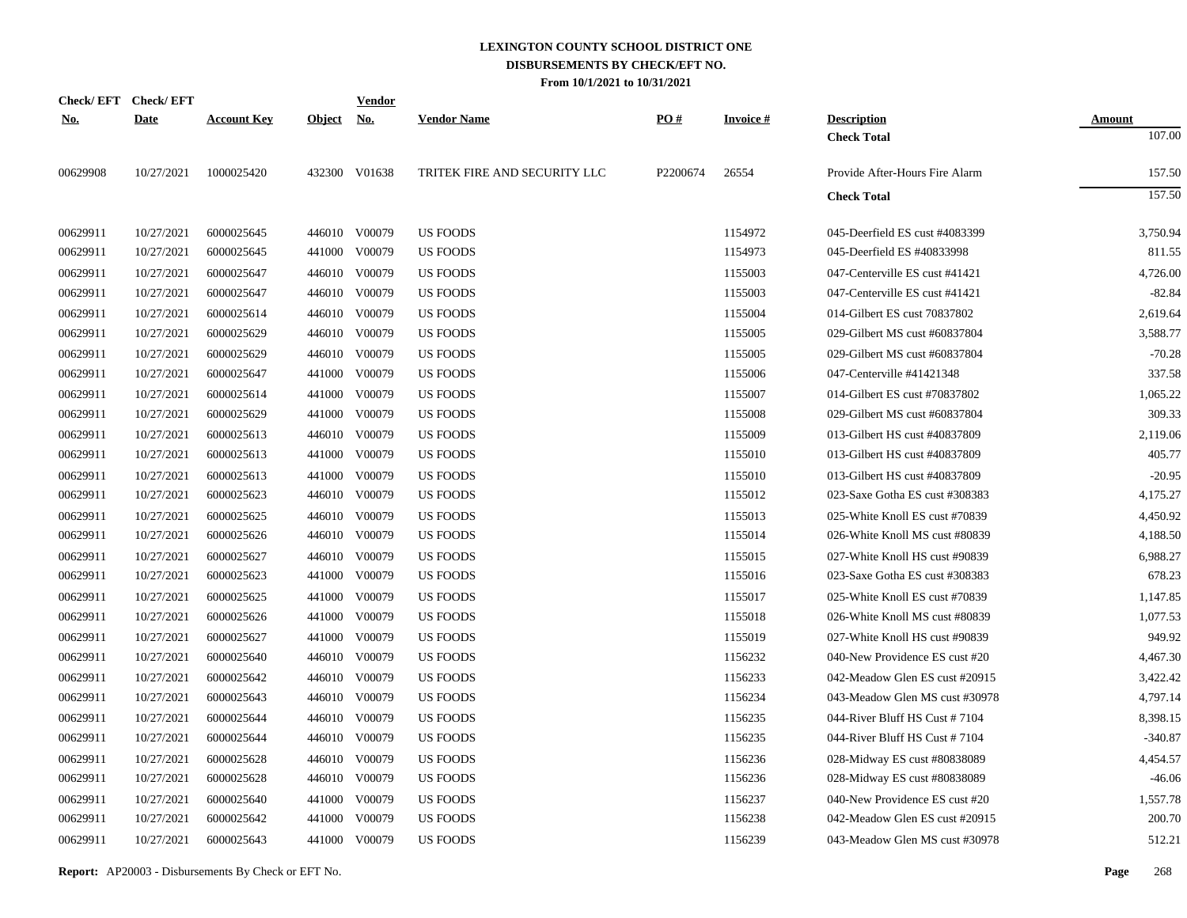|            | Check/EFT Check/EFT |                    |               | <u>Vendor</u> |                              |          |                 |                                |               |
|------------|---------------------|--------------------|---------------|---------------|------------------------------|----------|-----------------|--------------------------------|---------------|
| <u>No.</u> | <b>Date</b>         | <b>Account Key</b> | <b>Object</b> | <u>No.</u>    | <b>Vendor Name</b>           | PO#      | <b>Invoice#</b> | <b>Description</b>             | <b>Amount</b> |
|            |                     |                    |               |               |                              |          |                 | <b>Check Total</b>             | 107.00        |
| 00629908   | 10/27/2021          | 1000025420         |               | 432300 V01638 | TRITEK FIRE AND SECURITY LLC | P2200674 | 26554           | Provide After-Hours Fire Alarm | 157.50        |
|            |                     |                    |               |               |                              |          |                 | <b>Check Total</b>             | 157.50        |
| 00629911   | 10/27/2021          | 6000025645         |               | 446010 V00079 | <b>US FOODS</b>              |          | 1154972         | 045-Deerfield ES cust #4083399 | 3,750.94      |
| 00629911   | 10/27/2021          | 6000025645         |               | 441000 V00079 | <b>US FOODS</b>              |          | 1154973         | 045-Deerfield ES #40833998     | 811.55        |
| 00629911   | 10/27/2021          | 6000025647         |               | 446010 V00079 | <b>US FOODS</b>              |          | 1155003         | 047-Centerville ES cust #41421 | 4,726.00      |
| 00629911   | 10/27/2021          | 6000025647         |               | 446010 V00079 | <b>US FOODS</b>              |          | 1155003         | 047-Centerville ES cust #41421 | $-82.84$      |
| 00629911   | 10/27/2021          | 6000025614         |               | 446010 V00079 | <b>US FOODS</b>              |          | 1155004         | 014-Gilbert ES cust 70837802   | 2,619.64      |
| 00629911   | 10/27/2021          | 6000025629         |               | 446010 V00079 | <b>US FOODS</b>              |          | 1155005         | 029-Gilbert MS cust #60837804  | 3,588.77      |
| 00629911   | 10/27/2021          | 6000025629         | 446010        | V00079        | <b>US FOODS</b>              |          | 1155005         | 029-Gilbert MS cust #60837804  | $-70.28$      |
| 00629911   | 10/27/2021          | 6000025647         |               | 441000 V00079 | <b>US FOODS</b>              |          | 1155006         | 047-Centerville #41421348      | 337.58        |
| 00629911   | 10/27/2021          | 6000025614         | 441000        | V00079        | <b>US FOODS</b>              |          | 1155007         | 014-Gilbert ES cust #70837802  | 1,065.22      |
| 00629911   | 10/27/2021          | 6000025629         |               | 441000 V00079 | <b>US FOODS</b>              |          | 1155008         | 029-Gilbert MS cust #60837804  | 309.33        |
| 00629911   | 10/27/2021          | 6000025613         |               | 446010 V00079 | <b>US FOODS</b>              |          | 1155009         | 013-Gilbert HS cust #40837809  | 2,119.06      |
| 00629911   | 10/27/2021          | 6000025613         |               | 441000 V00079 | <b>US FOODS</b>              |          | 1155010         | 013-Gilbert HS cust #40837809  | 405.77        |
| 00629911   | 10/27/2021          | 6000025613         |               | 441000 V00079 | <b>US FOODS</b>              |          | 1155010         | 013-Gilbert HS cust #40837809  | $-20.95$      |
| 00629911   | 10/27/2021          | 6000025623         |               | 446010 V00079 | <b>US FOODS</b>              |          | 1155012         | 023-Saxe Gotha ES cust #308383 | 4,175.27      |
| 00629911   | 10/27/2021          | 6000025625         |               | 446010 V00079 | <b>US FOODS</b>              |          | 1155013         | 025-White Knoll ES cust #70839 | 4,450.92      |
| 00629911   | 10/27/2021          | 6000025626         |               | 446010 V00079 | <b>US FOODS</b>              |          | 1155014         | 026-White Knoll MS cust #80839 | 4,188.50      |
| 00629911   | 10/27/2021          | 6000025627         |               | 446010 V00079 | <b>US FOODS</b>              |          | 1155015         | 027-White Knoll HS cust #90839 | 6,988.27      |
| 00629911   | 10/27/2021          | 6000025623         |               | 441000 V00079 | <b>US FOODS</b>              |          | 1155016         | 023-Saxe Gotha ES cust #308383 | 678.23        |
| 00629911   | 10/27/2021          | 6000025625         |               | 441000 V00079 | <b>US FOODS</b>              |          | 1155017         | 025-White Knoll ES cust #70839 | 1,147.85      |
| 00629911   | 10/27/2021          | 6000025626         |               | 441000 V00079 | US FOODS                     |          | 1155018         | 026-White Knoll MS cust #80839 | 1,077.53      |
| 00629911   | 10/27/2021          | 6000025627         |               | 441000 V00079 | US FOODS                     |          | 1155019         | 027-White Knoll HS cust #90839 | 949.92        |
| 00629911   | 10/27/2021          | 6000025640         |               | 446010 V00079 | <b>US FOODS</b>              |          | 1156232         | 040-New Providence ES cust #20 | 4,467.30      |
| 00629911   | 10/27/2021          | 6000025642         |               | 446010 V00079 | <b>US FOODS</b>              |          | 1156233         | 042-Meadow Glen ES cust #20915 | 3,422.42      |
| 00629911   | 10/27/2021          | 6000025643         |               | 446010 V00079 | <b>US FOODS</b>              |          | 1156234         | 043-Meadow Glen MS cust #30978 | 4,797.14      |
| 00629911   | 10/27/2021          | 6000025644         |               | 446010 V00079 | US FOODS                     |          | 1156235         | 044-River Bluff HS Cust #7104  | 8,398.15      |
| 00629911   | 10/27/2021          | 6000025644         |               | 446010 V00079 | US FOODS                     |          | 1156235         | 044-River Bluff HS Cust #7104  | $-340.87$     |
| 00629911   | 10/27/2021          | 6000025628         |               | 446010 V00079 | US FOODS                     |          | 1156236         | 028-Midway ES cust #80838089   | 4,454.57      |
| 00629911   | 10/27/2021          | 6000025628         |               | 446010 V00079 | <b>US FOODS</b>              |          | 1156236         | 028-Midway ES cust #80838089   | $-46.06$      |
| 00629911   | 10/27/2021          | 6000025640         | 441000        | V00079        | <b>US FOODS</b>              |          | 1156237         | 040-New Providence ES cust #20 | 1,557.78      |
| 00629911   | 10/27/2021          | 6000025642         | 441000        | V00079        | US FOODS                     |          | 1156238         | 042-Meadow Glen ES cust #20915 | 200.70        |
| 00629911   | 10/27/2021          | 6000025643         |               | 441000 V00079 | <b>US FOODS</b>              |          | 1156239         | 043-Meadow Glen MS cust #30978 | 512.21        |
|            |                     |                    |               |               |                              |          |                 |                                |               |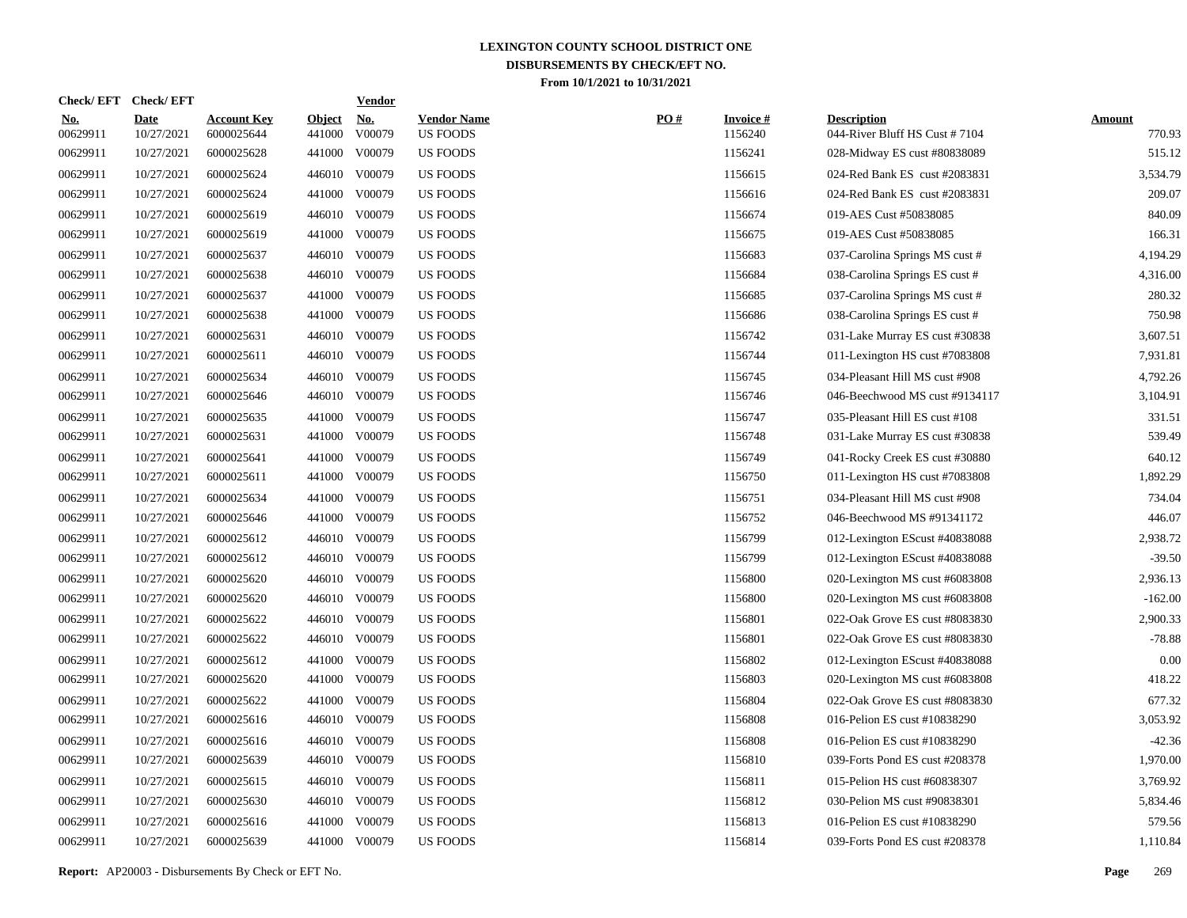|                        | Check/EFT Check/EFT       |                                  |                         | <b>Vendor</b>        |                                       |     |                            |                                                     |                         |
|------------------------|---------------------------|----------------------------------|-------------------------|----------------------|---------------------------------------|-----|----------------------------|-----------------------------------------------------|-------------------------|
| <u>No.</u><br>00629911 | <b>Date</b><br>10/27/2021 | <b>Account Key</b><br>6000025644 | <b>Object</b><br>441000 | <u>No.</u><br>V00079 | <b>Vendor Name</b><br><b>US FOODS</b> | PO# | <b>Invoice#</b><br>1156240 | <b>Description</b><br>044-River Bluff HS Cust #7104 | <b>Amount</b><br>770.93 |
| 00629911               | 10/27/2021                | 6000025628                       | 441000                  | V00079               | <b>US FOODS</b>                       |     | 1156241                    | 028-Midway ES cust #80838089                        | 515.12                  |
| 00629911               | 10/27/2021                | 6000025624                       |                         | 446010 V00079        | <b>US FOODS</b>                       |     | 1156615                    | 024-Red Bank ES cust #2083831                       | 3,534.79                |
| 00629911               | 10/27/2021                | 6000025624                       | 441000                  | V00079               | <b>US FOODS</b>                       |     | 1156616                    | 024-Red Bank ES cust #2083831                       | 209.07                  |
| 00629911               | 10/27/2021                | 6000025619                       |                         | 446010 V00079        | <b>US FOODS</b>                       |     | 1156674                    | 019-AES Cust #50838085                              | 840.09                  |
| 00629911               | 10/27/2021                | 6000025619                       | 441000                  | V00079               | <b>US FOODS</b>                       |     | 1156675                    | 019-AES Cust #50838085                              | 166.31                  |
| 00629911               | 10/27/2021                | 6000025637                       |                         | 446010 V00079        | <b>US FOODS</b>                       |     | 1156683                    | 037-Carolina Springs MS cust #                      | 4,194.29                |
| 00629911               | 10/27/2021                | 6000025638                       |                         | 446010 V00079        | <b>US FOODS</b>                       |     | 1156684                    | 038-Carolina Springs ES cust #                      | 4,316.00                |
| 00629911               | 10/27/2021                | 6000025637                       | 441000                  | V00079               | <b>US FOODS</b>                       |     | 1156685                    | 037-Carolina Springs MS cust #                      | 280.32                  |
| 00629911               | 10/27/2021                | 6000025638                       | 441000                  | V00079               | <b>US FOODS</b>                       |     | 1156686                    | 038-Carolina Springs ES cust #                      | 750.98                  |
| 00629911               | 10/27/2021                | 6000025631                       |                         | 446010 V00079        | <b>US FOODS</b>                       |     | 1156742                    | 031-Lake Murray ES cust #30838                      | 3,607.51                |
| 00629911               | 10/27/2021                | 6000025611                       |                         | 446010 V00079        | <b>US FOODS</b>                       |     | 1156744                    | 011-Lexington HS cust #7083808                      | 7,931.81                |
| 00629911               | 10/27/2021                | 6000025634                       |                         | 446010 V00079        | <b>US FOODS</b>                       |     | 1156745                    | 034-Pleasant Hill MS cust #908                      | 4,792.26                |
| 00629911               | 10/27/2021                | 6000025646                       |                         | 446010 V00079        | <b>US FOODS</b>                       |     | 1156746                    | 046-Beechwood MS cust #9134117                      | 3,104.91                |
| 00629911               | 10/27/2021                | 6000025635                       | 441000                  | V00079               | <b>US FOODS</b>                       |     | 1156747                    | 035-Pleasant Hill ES cust #108                      | 331.51                  |
| 00629911               | 10/27/2021                | 6000025631                       | 441000                  | V00079               | <b>US FOODS</b>                       |     | 1156748                    | 031-Lake Murray ES cust #30838                      | 539.49                  |
| 00629911               | 10/27/2021                | 6000025641                       | 441000                  | V00079               | <b>US FOODS</b>                       |     | 1156749                    | 041-Rocky Creek ES cust #30880                      | 640.12                  |
| 00629911               | 10/27/2021                | 6000025611                       | 441000                  | V00079               | <b>US FOODS</b>                       |     | 1156750                    | 011-Lexington HS cust #7083808                      | 1,892.29                |
| 00629911               | 10/27/2021                | 6000025634                       | 441000                  | V00079               | <b>US FOODS</b>                       |     | 1156751                    | 034-Pleasant Hill MS cust #908                      | 734.04                  |
| 00629911               | 10/27/2021                | 6000025646                       |                         | 441000 V00079        | <b>US FOODS</b>                       |     | 1156752                    | 046-Beechwood MS #91341172                          | 446.07                  |
| 00629911               | 10/27/2021                | 6000025612                       |                         | 446010 V00079        | <b>US FOODS</b>                       |     | 1156799                    | 012-Lexington EScust #40838088                      | 2,938.72                |
| 00629911               | 10/27/2021                | 6000025612                       |                         | 446010 V00079        | <b>US FOODS</b>                       |     | 1156799                    | 012-Lexington EScust #40838088                      | $-39.50$                |
| 00629911               | 10/27/2021                | 6000025620                       |                         | 446010 V00079        | <b>US FOODS</b>                       |     | 1156800                    | 020-Lexington MS cust #6083808                      | 2,936.13                |
| 00629911               | 10/27/2021                | 6000025620                       |                         | 446010 V00079        | <b>US FOODS</b>                       |     | 1156800                    | 020-Lexington MS cust #6083808                      | $-162.00$               |
| 00629911               | 10/27/2021                | 6000025622                       |                         | 446010 V00079        | <b>US FOODS</b>                       |     | 1156801                    | 022-Oak Grove ES cust #8083830                      | 2,900.33                |
| 00629911               | 10/27/2021                | 6000025622                       |                         | 446010 V00079        | US FOODS                              |     | 1156801                    | 022-Oak Grove ES cust #8083830                      | $-78.88$                |
| 00629911               | 10/27/2021                | 6000025612                       | 441000                  | V00079               | US FOODS                              |     | 1156802                    | 012-Lexington EScust #40838088                      | 0.00                    |
| 00629911               | 10/27/2021                | 6000025620                       | 441000                  | V00079               | <b>US FOODS</b>                       |     | 1156803                    | 020-Lexington MS cust #6083808                      | 418.22                  |
| 00629911               | 10/27/2021                | 6000025622                       | 441000                  | V00079               | <b>US FOODS</b>                       |     | 1156804                    | 022-Oak Grove ES cust #8083830                      | 677.32                  |
| 00629911               | 10/27/2021                | 6000025616                       |                         | 446010 V00079        | <b>US FOODS</b>                       |     | 1156808                    | 016-Pelion ES cust #10838290                        | 3,053.92                |
| 00629911               | 10/27/2021                | 6000025616                       | 446010                  | V00079               | <b>US FOODS</b>                       |     | 1156808                    | 016-Pelion ES cust #10838290                        | $-42.36$                |
| 00629911               | 10/27/2021                | 6000025639                       |                         | 446010 V00079        | <b>US FOODS</b>                       |     | 1156810                    | 039-Forts Pond ES cust #208378                      | 1,970.00                |
| 00629911               | 10/27/2021                | 6000025615                       | 446010                  | V00079               | <b>US FOODS</b>                       |     | 1156811                    | 015-Pelion HS cust #60838307                        | 3,769.92                |
| 00629911               | 10/27/2021                | 6000025630                       |                         | 446010 V00079        | <b>US FOODS</b>                       |     | 1156812                    | 030-Pelion MS cust #90838301                        | 5,834.46                |
| 00629911               | 10/27/2021                | 6000025616                       | 441000                  | V00079               | <b>US FOODS</b>                       |     | 1156813                    | 016-Pelion ES cust #10838290                        | 579.56                  |
| 00629911               | 10/27/2021                | 6000025639                       |                         | 441000 V00079        | <b>US FOODS</b>                       |     | 1156814                    | 039-Forts Pond ES cust #208378                      | 1,110.84                |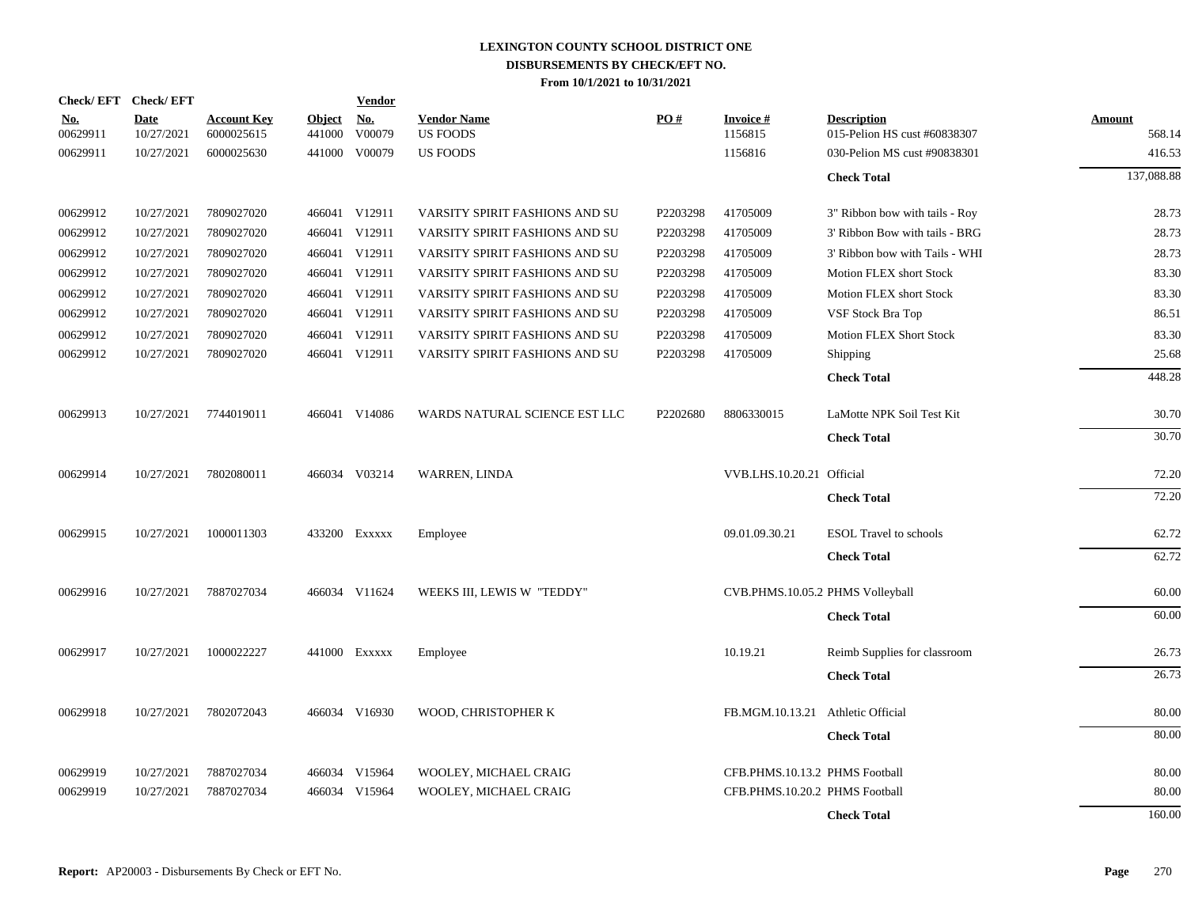|                        | Check/EFT Check/EFT       |                                  |                         | <b>Vendor</b>        |                                       |          |                                   |                                                    |                         |
|------------------------|---------------------------|----------------------------------|-------------------------|----------------------|---------------------------------------|----------|-----------------------------------|----------------------------------------------------|-------------------------|
| <u>No.</u><br>00629911 | <b>Date</b><br>10/27/2021 | <b>Account Key</b><br>6000025615 | <b>Object</b><br>441000 | <u>No.</u><br>V00079 | <b>Vendor Name</b><br><b>US FOODS</b> | PO#      | <b>Invoice#</b><br>1156815        | <b>Description</b><br>015-Pelion HS cust #60838307 | <b>Amount</b><br>568.14 |
| 00629911               | 10/27/2021                | 6000025630                       |                         | 441000 V00079        | <b>US FOODS</b>                       |          | 1156816                           | 030-Pelion MS cust #90838301                       | 416.53                  |
|                        |                           |                                  |                         |                      |                                       |          |                                   | <b>Check Total</b>                                 | 137,088.88              |
| 00629912               | 10/27/2021                | 7809027020                       |                         | 466041 V12911        | VARSITY SPIRIT FASHIONS AND SU        | P2203298 | 41705009                          | 3" Ribbon bow with tails - Roy                     | 28.73                   |
| 00629912               | 10/27/2021                | 7809027020                       |                         | 466041 V12911        | VARSITY SPIRIT FASHIONS AND SU        | P2203298 | 41705009                          | 3' Ribbon Bow with tails - BRG                     | 28.73                   |
| 00629912               | 10/27/2021                | 7809027020                       |                         | 466041 V12911        | VARSITY SPIRIT FASHIONS AND SU        | P2203298 | 41705009                          | 3' Ribbon bow with Tails - WHI                     | 28.73                   |
| 00629912               | 10/27/2021                | 7809027020                       |                         | 466041 V12911        | VARSITY SPIRIT FASHIONS AND SU        | P2203298 | 41705009                          | Motion FLEX short Stock                            | 83.30                   |
| 00629912               | 10/27/2021                | 7809027020                       |                         | 466041 V12911        | VARSITY SPIRIT FASHIONS AND SU        | P2203298 | 41705009                          | Motion FLEX short Stock                            | 83.30                   |
| 00629912               | 10/27/2021                | 7809027020                       |                         | 466041 V12911        | VARSITY SPIRIT FASHIONS AND SU        | P2203298 | 41705009                          | VSF Stock Bra Top                                  | 86.51                   |
| 00629912               | 10/27/2021                | 7809027020                       |                         | 466041 V12911        | VARSITY SPIRIT FASHIONS AND SU        | P2203298 | 41705009                          | <b>Motion FLEX Short Stock</b>                     | 83.30                   |
| 00629912               | 10/27/2021                | 7809027020                       |                         | 466041 V12911        | VARSITY SPIRIT FASHIONS AND SU        | P2203298 | 41705009                          | Shipping                                           | 25.68                   |
|                        |                           |                                  |                         |                      |                                       |          |                                   | <b>Check Total</b>                                 | 448.28                  |
| 00629913               | 10/27/2021                | 7744019011                       |                         | 466041 V14086        | WARDS NATURAL SCIENCE EST LLC         | P2202680 | 8806330015                        | LaMotte NPK Soil Test Kit                          | 30.70                   |
|                        |                           |                                  |                         |                      |                                       |          |                                   | <b>Check Total</b>                                 | 30.70                   |
| 00629914               | 10/27/2021                | 7802080011                       |                         | 466034 V03214        | WARREN, LINDA                         |          | VVB.LHS.10.20.21 Official         |                                                    | 72.20                   |
|                        |                           |                                  |                         |                      |                                       |          |                                   | <b>Check Total</b>                                 | 72.20                   |
| 00629915               | 10/27/2021                | 1000011303                       |                         | 433200 Exxxxx        | Employee                              |          | 09.01.09.30.21                    | <b>ESOL</b> Travel to schools                      | 62.72                   |
|                        |                           |                                  |                         |                      |                                       |          |                                   | <b>Check Total</b>                                 | 62.72                   |
| 00629916               | 10/27/2021                | 7887027034                       |                         | 466034 V11624        | WEEKS III, LEWIS W "TEDDY"            |          | CVB.PHMS.10.05.2 PHMS Volleyball  |                                                    | 60.00                   |
|                        |                           |                                  |                         |                      |                                       |          |                                   | <b>Check Total</b>                                 | 60.00                   |
| 00629917               | 10/27/2021                | 1000022227                       |                         | 441000 Exxxxx        | Employee                              |          | 10.19.21                          | Reimb Supplies for classroom                       | 26.73                   |
|                        |                           |                                  |                         |                      |                                       |          |                                   | <b>Check Total</b>                                 | 26.73                   |
| 00629918               | 10/27/2021                | 7802072043                       |                         | 466034 V16930        | WOOD, CHRISTOPHER K                   |          | FB.MGM.10.13.21 Athletic Official |                                                    | 80.00                   |
|                        |                           |                                  |                         |                      |                                       |          |                                   | <b>Check Total</b>                                 | 80.00                   |
| 00629919               | 10/27/2021                | 7887027034                       |                         | 466034 V15964        | WOOLEY, MICHAEL CRAIG                 |          | CFB.PHMS.10.13.2 PHMS Football    |                                                    | 80.00                   |
| 00629919               | 10/27/2021                | 7887027034                       | 466034                  | V15964               | WOOLEY, MICHAEL CRAIG                 |          | CFB.PHMS.10.20.2 PHMS Football    |                                                    | 80.00                   |
|                        |                           |                                  |                         |                      |                                       |          |                                   | <b>Check Total</b>                                 | 160.00                  |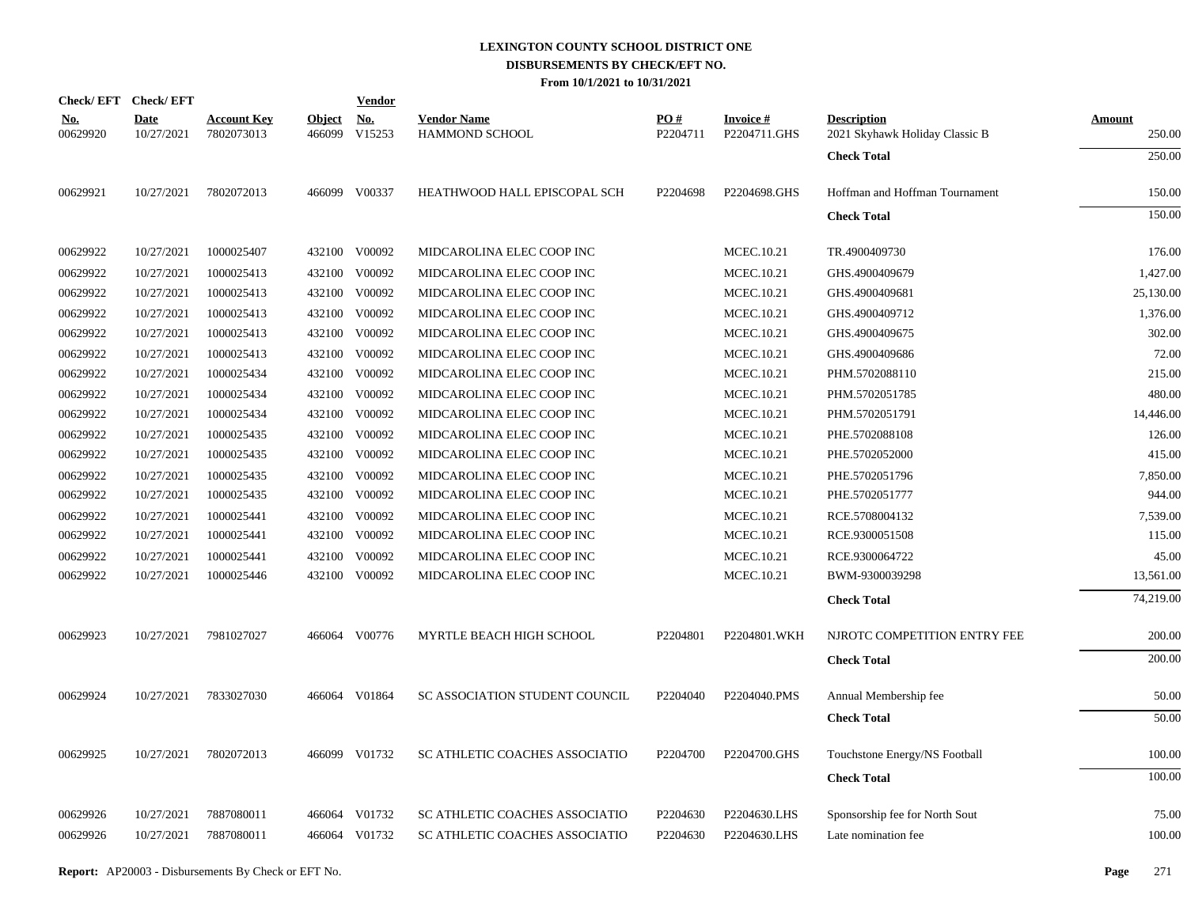| Check/EFT Check/EFT       |                                  |        | <u>Vendor</u>        |                                                                                                                                                                                                                                                                                                                                                                                                                      |                 |                                 |                                                      |                  |
|---------------------------|----------------------------------|--------|----------------------|----------------------------------------------------------------------------------------------------------------------------------------------------------------------------------------------------------------------------------------------------------------------------------------------------------------------------------------------------------------------------------------------------------------------|-----------------|---------------------------------|------------------------------------------------------|------------------|
| <b>Date</b><br>10/27/2021 | <b>Account Key</b><br>7802073013 | 466099 | <u>No.</u><br>V15253 | <b>Vendor Name</b><br><b>HAMMOND SCHOOL</b>                                                                                                                                                                                                                                                                                                                                                                          | PO#<br>P2204711 | <b>Invoice#</b><br>P2204711.GHS | <b>Description</b><br>2021 Skyhawk Holiday Classic B | Amount<br>250.00 |
|                           |                                  |        |                      |                                                                                                                                                                                                                                                                                                                                                                                                                      |                 |                                 | <b>Check Total</b>                                   | 250.00           |
| 10/27/2021                | 7802072013                       |        |                      | HEATHWOOD HALL EPISCOPAL SCH                                                                                                                                                                                                                                                                                                                                                                                         | P2204698        | P2204698.GHS                    | Hoffman and Hoffman Tournament                       | 150.00           |
|                           |                                  |        |                      |                                                                                                                                                                                                                                                                                                                                                                                                                      |                 |                                 | <b>Check Total</b>                                   | 150.00           |
| 10/27/2021                | 1000025407                       |        |                      | MIDCAROLINA ELEC COOP INC                                                                                                                                                                                                                                                                                                                                                                                            |                 | MCEC.10.21                      | TR.4900409730                                        | 176.00           |
| 10/27/2021                | 1000025413                       |        |                      | MIDCAROLINA ELEC COOP INC                                                                                                                                                                                                                                                                                                                                                                                            |                 | <b>MCEC.10.21</b>               | GHS.4900409679                                       | 1,427.00         |
| 10/27/2021                | 1000025413                       |        |                      | MIDCAROLINA ELEC COOP INC                                                                                                                                                                                                                                                                                                                                                                                            |                 | <b>MCEC.10.21</b>               | GHS.4900409681                                       | 25,130.00        |
| 10/27/2021                | 1000025413                       |        |                      | MIDCAROLINA ELEC COOP INC                                                                                                                                                                                                                                                                                                                                                                                            |                 | MCEC.10.21                      | GHS.4900409712                                       | 1,376.00         |
| 10/27/2021                | 1000025413                       |        |                      | MIDCAROLINA ELEC COOP INC                                                                                                                                                                                                                                                                                                                                                                                            |                 | MCEC.10.21                      | GHS.4900409675                                       | 302.00           |
| 10/27/2021                | 1000025413                       |        |                      | MIDCAROLINA ELEC COOP INC                                                                                                                                                                                                                                                                                                                                                                                            |                 | MCEC.10.21                      | GHS.4900409686                                       | 72.00            |
| 10/27/2021                | 1000025434                       |        |                      | MIDCAROLINA ELEC COOP INC                                                                                                                                                                                                                                                                                                                                                                                            |                 | MCEC.10.21                      | PHM.5702088110                                       | 215.00           |
| 10/27/2021                | 1000025434                       |        |                      | MIDCAROLINA ELEC COOP INC                                                                                                                                                                                                                                                                                                                                                                                            |                 | <b>MCEC.10.21</b>               | PHM.5702051785                                       | 480.00           |
| 10/27/2021                | 1000025434                       |        |                      | MIDCAROLINA ELEC COOP INC                                                                                                                                                                                                                                                                                                                                                                                            |                 | MCEC.10.21                      | PHM.5702051791                                       | 14,446.00        |
| 10/27/2021                | 1000025435                       |        |                      | MIDCAROLINA ELEC COOP INC                                                                                                                                                                                                                                                                                                                                                                                            |                 | MCEC.10.21                      | PHE.5702088108                                       | 126.00           |
| 10/27/2021                | 1000025435                       |        |                      | MIDCAROLINA ELEC COOP INC                                                                                                                                                                                                                                                                                                                                                                                            |                 | MCEC.10.21                      | PHE.5702052000                                       | 415.00           |
| 10/27/2021                | 1000025435                       |        |                      | MIDCAROLINA ELEC COOP INC                                                                                                                                                                                                                                                                                                                                                                                            |                 | MCEC.10.21                      | PHE.5702051796                                       | 7,850.00         |
| 10/27/2021                | 1000025435                       |        |                      | MIDCAROLINA ELEC COOP INC                                                                                                                                                                                                                                                                                                                                                                                            |                 | MCEC.10.21                      | PHE.5702051777                                       | 944.00           |
| 10/27/2021                | 1000025441                       |        |                      | MIDCAROLINA ELEC COOP INC                                                                                                                                                                                                                                                                                                                                                                                            |                 | MCEC.10.21                      | RCE.5708004132                                       | 7,539.00         |
| 10/27/2021                | 1000025441                       |        |                      | MIDCAROLINA ELEC COOP INC                                                                                                                                                                                                                                                                                                                                                                                            |                 | MCEC.10.21                      | RCE.9300051508                                       | 115.00           |
| 10/27/2021                | 1000025441                       |        |                      | MIDCAROLINA ELEC COOP INC                                                                                                                                                                                                                                                                                                                                                                                            |                 | MCEC.10.21                      | RCE.9300064722                                       | 45.00            |
| 10/27/2021                | 1000025446                       |        |                      | MIDCAROLINA ELEC COOP INC                                                                                                                                                                                                                                                                                                                                                                                            |                 | <b>MCEC.10.21</b>               | BWM-9300039298                                       | 13,561.00        |
|                           |                                  |        |                      |                                                                                                                                                                                                                                                                                                                                                                                                                      |                 |                                 | <b>Check Total</b>                                   | 74,219.00        |
| 10/27/2021                | 7981027027                       |        |                      | MYRTLE BEACH HIGH SCHOOL                                                                                                                                                                                                                                                                                                                                                                                             | P2204801        | P2204801.WKH                    | NJROTC COMPETITION ENTRY FEE                         | 200.00           |
|                           |                                  |        |                      |                                                                                                                                                                                                                                                                                                                                                                                                                      |                 |                                 | <b>Check Total</b>                                   | 200.00           |
| 10/27/2021                | 7833027030                       |        |                      | SC ASSOCIATION STUDENT COUNCIL                                                                                                                                                                                                                                                                                                                                                                                       | P2204040        | P2204040.PMS                    | Annual Membership fee                                | 50.00            |
|                           |                                  |        |                      |                                                                                                                                                                                                                                                                                                                                                                                                                      |                 |                                 | <b>Check Total</b>                                   | 50.00            |
| 10/27/2021                | 7802072013                       |        |                      | SC ATHLETIC COACHES ASSOCIATIO                                                                                                                                                                                                                                                                                                                                                                                       | P2204700        | P2204700.GHS                    | Touchstone Energy/NS Football                        | 100.00           |
|                           |                                  |        |                      |                                                                                                                                                                                                                                                                                                                                                                                                                      |                 |                                 | <b>Check Total</b>                                   | 100.00           |
| 10/27/2021                | 7887080011                       |        |                      | SC ATHLETIC COACHES ASSOCIATIO                                                                                                                                                                                                                                                                                                                                                                                       | P2204630        | P2204630.LHS                    | Sponsorship fee for North Sout                       | 75.00            |
| 10/27/2021                | 7887080011                       |        |                      | SC ATHLETIC COACHES ASSOCIATIO                                                                                                                                                                                                                                                                                                                                                                                       | P2204630        | P2204630.LHS                    | Late nomination fee                                  | 100.00           |
|                           |                                  |        |                      |                                                                                                                                                                                                                                                                                                                                                                                                                      |                 |                                 |                                                      |                  |
|                           |                                  |        |                      | <u>Object</u><br>466099 V00337<br>432100 V00092<br>432100 V00092<br>432100 V00092<br>432100 V00092<br>432100 V00092<br>432100 V00092<br>432100 V00092<br>432100 V00092<br>432100 V00092<br>432100 V00092<br>432100 V00092<br>432100 V00092<br>432100 V00092<br>432100 V00092<br>432100 V00092<br>432100 V00092<br>432100 V00092<br>466064 V00776<br>466064 V01864<br>466099 V01732<br>466064 V01732<br>466064 V01732 |                 |                                 |                                                      |                  |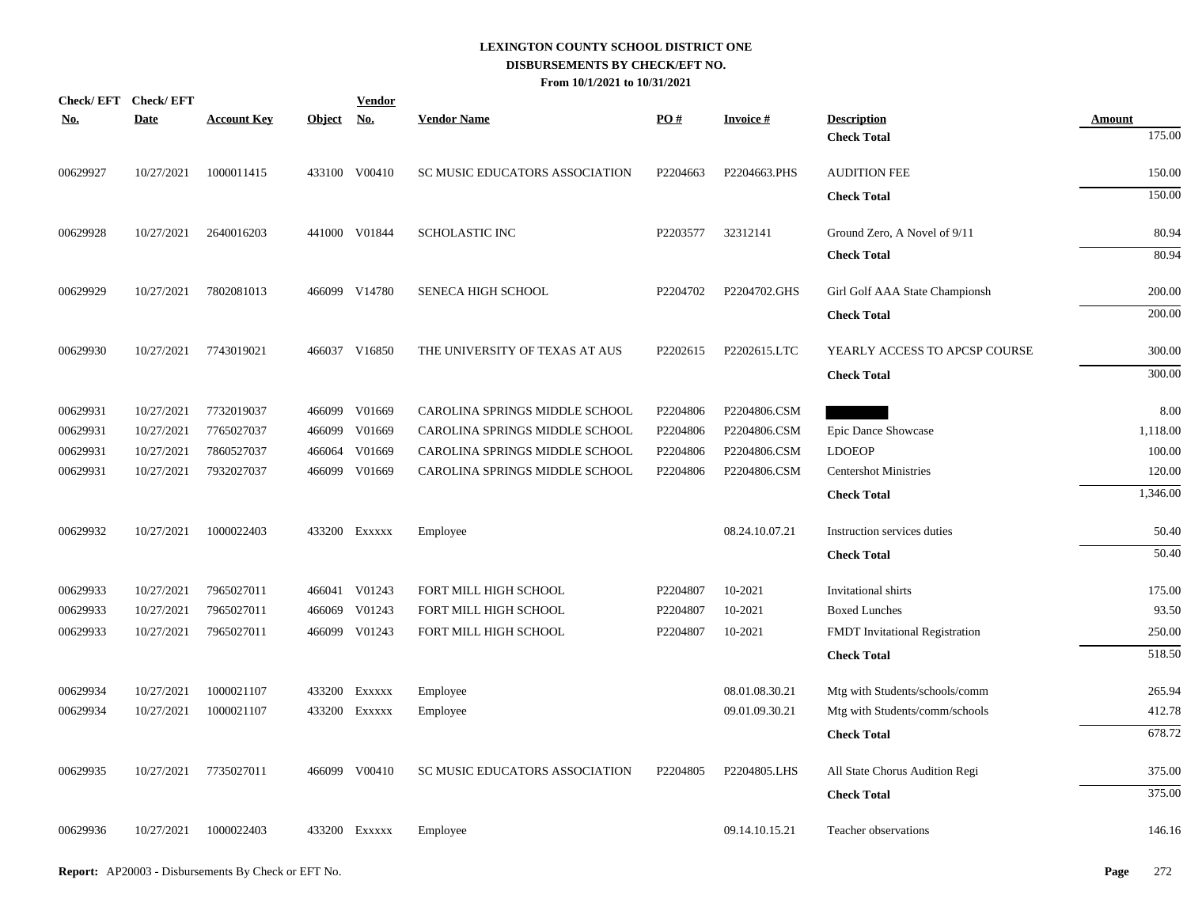| Check/EFT Check/EFT<br><u>No.</u> | <b>Date</b> | <b>Account Key</b> | Object No. | <b>Vendor</b> | <b>Vendor Name</b>             | PO#      | <b>Invoice#</b> | <b>Description</b>                    | <b>Amount</b> |
|-----------------------------------|-------------|--------------------|------------|---------------|--------------------------------|----------|-----------------|---------------------------------------|---------------|
|                                   |             |                    |            |               |                                |          |                 | <b>Check Total</b>                    | 175.00        |
| 00629927                          | 10/27/2021  | 1000011415         |            | 433100 V00410 | SC MUSIC EDUCATORS ASSOCIATION | P2204663 | P2204663.PHS    | <b>AUDITION FEE</b>                   | 150.00        |
|                                   |             |                    |            |               |                                |          |                 | <b>Check Total</b>                    | 150.00        |
| 00629928                          | 10/27/2021  | 2640016203         |            | 441000 V01844 | <b>SCHOLASTIC INC</b>          | P2203577 | 32312141        | Ground Zero, A Novel of 9/11          | 80.94         |
|                                   |             |                    |            |               |                                |          |                 | <b>Check Total</b>                    | 80.94         |
| 00629929                          | 10/27/2021  | 7802081013         |            | 466099 V14780 | <b>SENECA HIGH SCHOOL</b>      | P2204702 | P2204702.GHS    | Girl Golf AAA State Championsh        | 200.00        |
|                                   |             |                    |            |               |                                |          |                 | <b>Check Total</b>                    | 200.00        |
| 00629930                          | 10/27/2021  | 7743019021         |            | 466037 V16850 | THE UNIVERSITY OF TEXAS AT AUS | P2202615 | P2202615.LTC    | YEARLY ACCESS TO APCSP COURSE         | 300.00        |
|                                   |             |                    |            |               |                                |          |                 | <b>Check Total</b>                    | 300.00        |
| 00629931                          | 10/27/2021  | 7732019037         | 466099     | V01669        | CAROLINA SPRINGS MIDDLE SCHOOL | P2204806 | P2204806.CSM    |                                       | 8.00          |
| 00629931                          | 10/27/2021  | 7765027037         | 466099     | V01669        | CAROLINA SPRINGS MIDDLE SCHOOL | P2204806 | P2204806.CSM    | Epic Dance Showcase                   | 1,118.00      |
| 00629931                          | 10/27/2021  | 7860527037         | 466064     | V01669        | CAROLINA SPRINGS MIDDLE SCHOOL | P2204806 | P2204806.CSM    | <b>LDOEOP</b>                         | 100.00        |
| 00629931                          | 10/27/2021  | 7932027037         | 466099     | V01669        | CAROLINA SPRINGS MIDDLE SCHOOL | P2204806 | P2204806.CSM    | <b>Centershot Ministries</b>          | 120.00        |
|                                   |             |                    |            |               |                                |          |                 | <b>Check Total</b>                    | 1,346.00      |
| 00629932                          | 10/27/2021  | 1000022403         |            | 433200 EXXXXX | Employee                       |          | 08.24.10.07.21  | Instruction services duties           | 50.40         |
|                                   |             |                    |            |               |                                |          |                 | <b>Check Total</b>                    | 50.40         |
| 00629933                          | 10/27/2021  | 7965027011         |            | 466041 V01243 | FORT MILL HIGH SCHOOL          | P2204807 | 10-2021         | Invitational shirts                   | 175.00        |
| 00629933                          | 10/27/2021  | 7965027011         | 466069     | V01243        | FORT MILL HIGH SCHOOL          | P2204807 | 10-2021         | <b>Boxed Lunches</b>                  | 93.50         |
| 00629933                          | 10/27/2021  | 7965027011         |            | 466099 V01243 | FORT MILL HIGH SCHOOL          | P2204807 | 10-2021         | <b>FMDT</b> Invitational Registration | 250.00        |
|                                   |             |                    |            |               |                                |          |                 | <b>Check Total</b>                    | 518.50        |
| 00629934                          | 10/27/2021  | 1000021107         |            | 433200 EXXXXX | Employee                       |          | 08.01.08.30.21  | Mtg with Students/schools/comm        | 265.94        |
| 00629934                          | 10/27/2021  | 1000021107         |            | 433200 Exxxxx | Employee                       |          | 09.01.09.30.21  | Mtg with Students/comm/schools        | 412.78        |
|                                   |             |                    |            |               |                                |          |                 | <b>Check Total</b>                    | 678.72        |
| 00629935                          | 10/27/2021  | 7735027011         |            | 466099 V00410 | SC MUSIC EDUCATORS ASSOCIATION | P2204805 | P2204805.LHS    | All State Chorus Audition Regi        | 375.00        |
|                                   |             |                    |            |               |                                |          |                 | <b>Check Total</b>                    | 375.00        |
| 00629936                          | 10/27/2021  | 1000022403         |            | 433200 Exxxxx | Employee                       |          | 09.14.10.15.21  | Teacher observations                  | 146.16        |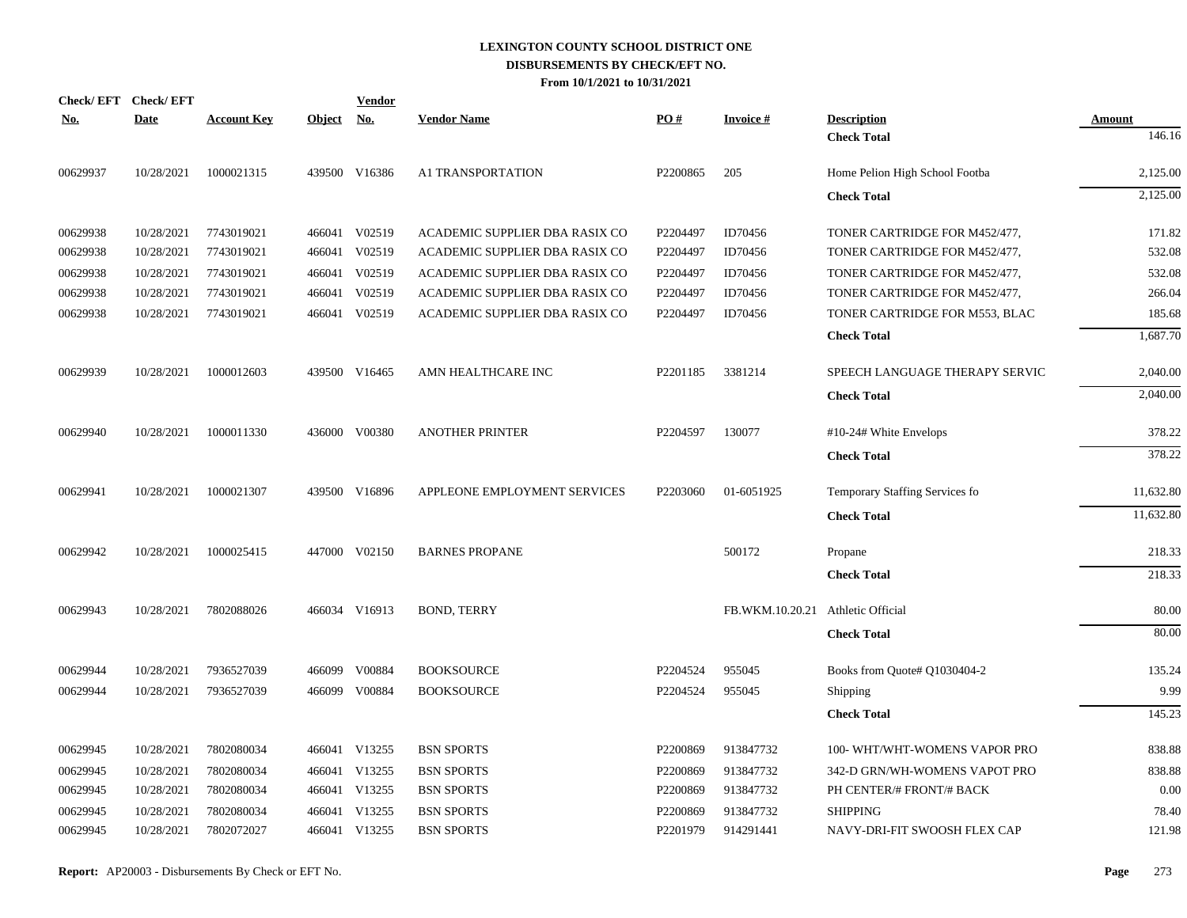| Check/EFT Check/EFT<br><b>No.</b> | <b>Date</b> | <b>Account Key</b> | Object No. | <b>Vendor</b> | <b>Vendor Name</b>             | PO#      | <b>Invoice#</b>                   | <b>Description</b>             | <b>Amount</b> |
|-----------------------------------|-------------|--------------------|------------|---------------|--------------------------------|----------|-----------------------------------|--------------------------------|---------------|
|                                   |             |                    |            |               |                                |          |                                   | <b>Check Total</b>             | 146.16        |
| 00629937                          | 10/28/2021  | 1000021315         |            | 439500 V16386 | A1 TRANSPORTATION              | P2200865 | 205                               | Home Pelion High School Footba | 2,125.00      |
|                                   |             |                    |            |               |                                |          |                                   | <b>Check Total</b>             | 2,125.00      |
| 00629938                          | 10/28/2021  | 7743019021         |            | 466041 V02519 | ACADEMIC SUPPLIER DBA RASIX CO | P2204497 | ID70456                           | TONER CARTRIDGE FOR M452/477,  | 171.82        |
| 00629938                          | 10/28/2021  | 7743019021         |            | 466041 V02519 | ACADEMIC SUPPLIER DBA RASIX CO | P2204497 | ID70456                           | TONER CARTRIDGE FOR M452/477,  | 532.08        |
| 00629938                          | 10/28/2021  | 7743019021         | 466041     | V02519        | ACADEMIC SUPPLIER DBA RASIX CO | P2204497 | ID70456                           | TONER CARTRIDGE FOR M452/477,  | 532.08        |
| 00629938                          | 10/28/2021  | 7743019021         | 466041     | V02519        | ACADEMIC SUPPLIER DBA RASIX CO | P2204497 | ID70456                           | TONER CARTRIDGE FOR M452/477,  | 266.04        |
| 00629938                          | 10/28/2021  | 7743019021         |            | 466041 V02519 | ACADEMIC SUPPLIER DBA RASIX CO | P2204497 | ID70456                           | TONER CARTRIDGE FOR M553, BLAC | 185.68        |
|                                   |             |                    |            |               |                                |          |                                   | <b>Check Total</b>             | 1,687.70      |
| 00629939                          | 10/28/2021  | 1000012603         |            | 439500 V16465 | AMN HEALTHCARE INC             | P2201185 | 3381214                           | SPEECH LANGUAGE THERAPY SERVIC | 2,040.00      |
|                                   |             |                    |            |               |                                |          |                                   | <b>Check Total</b>             | 2,040.00      |
| 00629940                          | 10/28/2021  | 1000011330         |            | 436000 V00380 | <b>ANOTHER PRINTER</b>         | P2204597 | 130077                            | #10-24# White Envelops         | 378.22        |
|                                   |             |                    |            |               |                                |          |                                   | <b>Check Total</b>             | 378.22        |
| 00629941                          | 10/28/2021  | 1000021307         |            | 439500 V16896 | APPLEONE EMPLOYMENT SERVICES   | P2203060 | 01-6051925                        | Temporary Staffing Services fo | 11,632.80     |
|                                   |             |                    |            |               |                                |          |                                   | <b>Check Total</b>             | 11,632.80     |
| 00629942                          | 10/28/2021  | 1000025415         |            | 447000 V02150 | <b>BARNES PROPANE</b>          |          | 500172                            | Propane                        | 218.33        |
|                                   |             |                    |            |               |                                |          |                                   | <b>Check Total</b>             | 218.33        |
| 00629943                          | 10/28/2021  | 7802088026         |            | 466034 V16913 | <b>BOND, TERRY</b>             |          | FB.WKM.10.20.21 Athletic Official |                                | 80.00         |
|                                   |             |                    |            |               |                                |          |                                   | <b>Check Total</b>             | 80.00         |
| 00629944                          | 10/28/2021  | 7936527039         | 466099     | V00884        | <b>BOOKSOURCE</b>              | P2204524 | 955045                            | Books from Quote# Q1030404-2   | 135.24        |
| 00629944                          | 10/28/2021  | 7936527039         |            | 466099 V00884 | <b>BOOKSOURCE</b>              | P2204524 | 955045                            | Shipping                       | 9.99          |
|                                   |             |                    |            |               |                                |          |                                   | <b>Check Total</b>             | 145.23        |
| 00629945                          | 10/28/2021  | 7802080034         |            | 466041 V13255 | <b>BSN SPORTS</b>              | P2200869 | 913847732                         | 100- WHT/WHT-WOMENS VAPOR PRO  | 838.88        |
| 00629945                          | 10/28/2021  | 7802080034         | 466041     | V13255        | <b>BSN SPORTS</b>              | P2200869 | 913847732                         | 342-D GRN/WH-WOMENS VAPOT PRO  | 838.88        |
| 00629945                          | 10/28/2021  | 7802080034         |            | 466041 V13255 | <b>BSN SPORTS</b>              | P2200869 | 913847732                         | PH CENTER/# FRONT/# BACK       | 0.00          |
| 00629945                          | 10/28/2021  | 7802080034         | 466041     | V13255        | <b>BSN SPORTS</b>              | P2200869 | 913847732                         | <b>SHIPPING</b>                | 78.40         |
| 00629945                          | 10/28/2021  | 7802072027         |            | 466041 V13255 | <b>BSN SPORTS</b>              | P2201979 | 914291441                         | NAVY-DRI-FIT SWOOSH FLEX CAP   | 121.98        |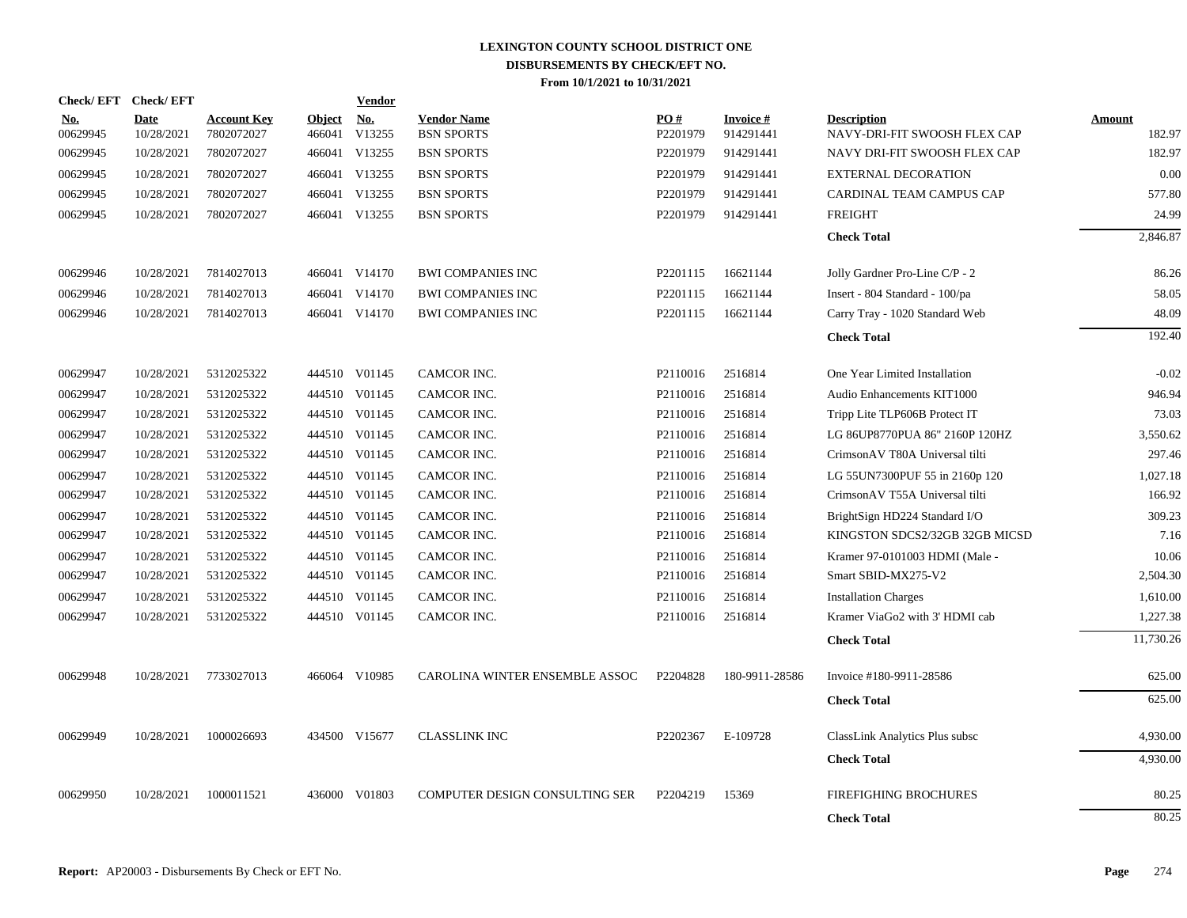|                        | Check/EFT Check/EFT |                                  |                         | <b>Vendor</b>        |                                         |                      |                        |                                                    |                  |
|------------------------|---------------------|----------------------------------|-------------------------|----------------------|-----------------------------------------|----------------------|------------------------|----------------------------------------------------|------------------|
| <u>No.</u><br>00629945 | Date<br>10/28/2021  | <b>Account Key</b><br>7802072027 | <b>Object</b><br>466041 | <u>No.</u><br>V13255 | <b>Vendor Name</b><br><b>BSN SPORTS</b> | PO#<br>P2201979      | Invoice #<br>914291441 | <b>Description</b><br>NAVY-DRI-FIT SWOOSH FLEX CAP | Amount<br>182.97 |
| 00629945               | 10/28/2021          | 7802072027                       |                         | 466041 V13255        | <b>BSN SPORTS</b>                       | P <sub>2201979</sub> | 914291441              | NAVY DRI-FIT SWOOSH FLEX CAP                       | 182.97           |
| 00629945               | 10/28/2021          | 7802072027                       |                         | 466041 V13255        | <b>BSN SPORTS</b>                       | P <sub>2201979</sub> | 914291441              | <b>EXTERNAL DECORATION</b>                         | 0.00             |
| 00629945               | 10/28/2021          | 7802072027                       |                         | 466041 V13255        | <b>BSN SPORTS</b>                       | P2201979             | 914291441              | CARDINAL TEAM CAMPUS CAP                           | 577.80           |
| 00629945               | 10/28/2021          | 7802072027                       |                         | 466041 V13255        | <b>BSN SPORTS</b>                       | P2201979             | 914291441              | <b>FREIGHT</b>                                     | 24.99            |
|                        |                     |                                  |                         |                      |                                         |                      |                        | <b>Check Total</b>                                 | 2,846.87         |
| 00629946               | 10/28/2021          | 7814027013                       |                         | 466041 V14170        | <b>BWI COMPANIES INC</b>                | P2201115             | 16621144               | Jolly Gardner Pro-Line C/P - 2                     | 86.26            |
| 00629946               | 10/28/2021          | 7814027013                       |                         | 466041 V14170        | <b>BWI COMPANIES INC</b>                | P2201115             | 16621144               | Insert - 804 Standard - 100/pa                     | 58.05            |
| 00629946               | 10/28/2021          | 7814027013                       |                         | 466041 V14170        | <b>BWI COMPANIES INC</b>                | P2201115             | 16621144               | Carry Tray - 1020 Standard Web                     | 48.09            |
|                        |                     |                                  |                         |                      |                                         |                      |                        | <b>Check Total</b>                                 | 192.40           |
| 00629947               | 10/28/2021          | 5312025322                       |                         | 444510 V01145        | CAMCOR INC.                             | P2110016             | 2516814                | One Year Limited Installation                      | $-0.02$          |
| 00629947               | 10/28/2021          | 5312025322                       |                         | 444510 V01145        | CAMCOR INC.                             | P <sub>2110016</sub> | 2516814                | Audio Enhancements KIT1000                         | 946.94           |
| 00629947               | 10/28/2021          | 5312025322                       |                         | 444510 V01145        | CAMCOR INC.                             | P2110016             | 2516814                | Tripp Lite TLP606B Protect IT                      | 73.03            |
| 00629947               | 10/28/2021          | 5312025322                       |                         | 444510 V01145        | CAMCOR INC.                             | P2110016             | 2516814                | LG 86UP8770PUA 86" 2160P 120HZ                     | 3,550.62         |
| 00629947               | 10/28/2021          | 5312025322                       |                         | 444510 V01145        | CAMCOR INC.                             | P2110016             | 2516814                | CrimsonAV T80A Universal tilti                     | 297.46           |
| 00629947               | 10/28/2021          | 5312025322                       |                         | 444510 V01145        | CAMCOR INC.                             | P2110016             | 2516814                | LG 55UN7300PUF 55 in 2160p 120                     | 1,027.18         |
| 00629947               | 10/28/2021          | 5312025322                       |                         | 444510 V01145        | CAMCOR INC.                             | P2110016             | 2516814                | CrimsonAV T55A Universal tilti                     | 166.92           |
| 00629947               | 10/28/2021          | 5312025322                       |                         | 444510 V01145        | CAMCOR INC.                             | P2110016             | 2516814                | BrightSign HD224 Standard I/O                      | 309.23           |
| 00629947               | 10/28/2021          | 5312025322                       |                         | 444510 V01145        | CAMCOR INC.                             | P2110016             | 2516814                | KINGSTON SDCS2/32GB 32GB MICSD                     | 7.16             |
| 00629947               | 10/28/2021          | 5312025322                       |                         | 444510 V01145        | CAMCOR INC.                             | P <sub>2110016</sub> | 2516814                | Kramer 97-0101003 HDMI (Male -                     | 10.06            |
| 00629947               | 10/28/2021          | 5312025322                       |                         | 444510 V01145        | CAMCOR INC.                             | P2110016             | 2516814                | Smart SBID-MX275-V2                                | 2,504.30         |
| 00629947               | 10/28/2021          | 5312025322                       |                         | 444510 V01145        | CAMCOR INC.                             | P2110016             | 2516814                | <b>Installation Charges</b>                        | 1,610.00         |
| 00629947               | 10/28/2021          | 5312025322                       |                         | 444510 V01145        | CAMCOR INC.                             | P2110016             | 2516814                | Kramer ViaGo2 with 3' HDMI cab                     | 1,227.38         |
|                        |                     |                                  |                         |                      |                                         |                      |                        | <b>Check Total</b>                                 | 11,730.26        |
| 00629948               | 10/28/2021          | 7733027013                       |                         | 466064 V10985        | CAROLINA WINTER ENSEMBLE ASSOC          | P2204828             | 180-9911-28586         | Invoice #180-9911-28586                            | 625.00           |
|                        |                     |                                  |                         |                      |                                         |                      |                        | <b>Check Total</b>                                 | 625.00           |
| 00629949               | 10/28/2021          | 1000026693                       |                         | 434500 V15677        | <b>CLASSLINK INC</b>                    | P2202367             | E-109728               | ClassLink Analytics Plus subsc                     | 4,930.00         |
|                        |                     |                                  |                         |                      |                                         |                      |                        | <b>Check Total</b>                                 | 4,930.00         |
| 00629950               | 10/28/2021          | 1000011521                       |                         | 436000 V01803        | COMPUTER DESIGN CONSULTING SER          | P2204219             | 15369                  | <b>FIREFIGHING BROCHURES</b>                       | 80.25            |
|                        |                     |                                  |                         |                      |                                         |                      |                        | <b>Check Total</b>                                 | 80.25            |
|                        |                     |                                  |                         |                      |                                         |                      |                        |                                                    |                  |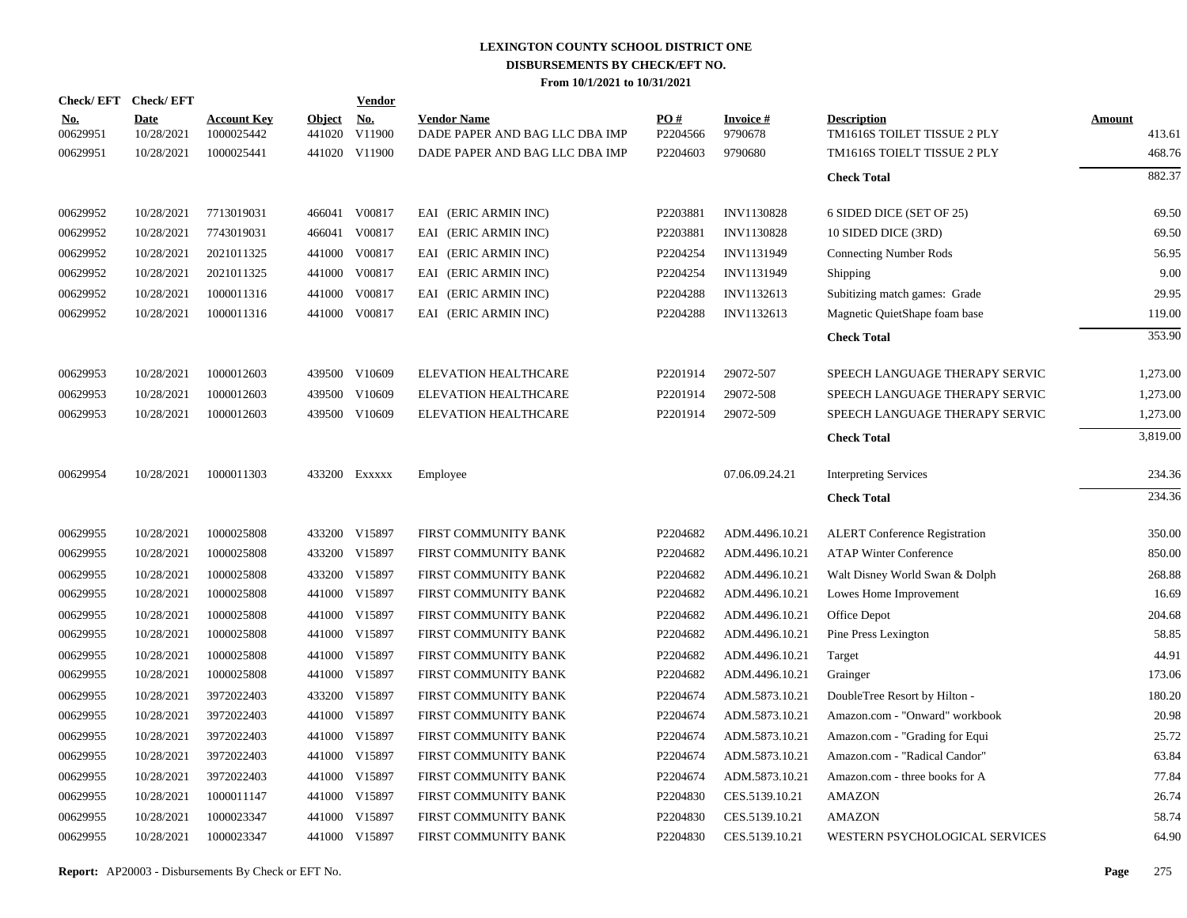|                        | Check/EFT Check/EFT       |                                  |               | <b>Vendor</b>               |                                                      |                 |                      |                                                   |                  |
|------------------------|---------------------------|----------------------------------|---------------|-----------------------------|------------------------------------------------------|-----------------|----------------------|---------------------------------------------------|------------------|
| <u>No.</u><br>00629951 | <b>Date</b><br>10/28/2021 | <b>Account Key</b><br>1000025442 | <b>Object</b> | <u>No.</u><br>441020 V11900 | <b>Vendor Name</b><br>DADE PAPER AND BAG LLC DBA IMP | PO#<br>P2204566 | Invoice #<br>9790678 | <b>Description</b><br>TM1616S TOILET TISSUE 2 PLY | Amount<br>413.61 |
| 00629951               | 10/28/2021                | 1000025441                       |               | 441020 V11900               | DADE PAPER AND BAG LLC DBA IMP                       | P2204603        | 9790680              | TM1616S TOIELT TISSUE 2 PLY                       | 468.76           |
|                        |                           |                                  |               |                             |                                                      |                 |                      | <b>Check Total</b>                                | 882.37           |
| 00629952               | 10/28/2021                | 7713019031                       |               | 466041 V00817               | EAI (ERIC ARMIN INC)                                 | P2203881        | <b>INV1130828</b>    | 6 SIDED DICE (SET OF 25)                          | 69.50            |
| 00629952               | 10/28/2021                | 7743019031                       |               | 466041 V00817               | EAI (ERIC ARMIN INC)                                 | P2203881        | <b>INV1130828</b>    | 10 SIDED DICE (3RD)                               | 69.50            |
| 00629952               | 10/28/2021                | 2021011325                       |               | 441000 V00817               | EAI (ERIC ARMIN INC)                                 | P2204254        | INV1131949           | <b>Connecting Number Rods</b>                     | 56.95            |
| 00629952               | 10/28/2021                | 2021011325                       |               | 441000 V00817               | EAI (ERIC ARMIN INC)                                 | P2204254        | INV1131949           | Shipping                                          | 9.00             |
| 00629952               | 10/28/2021                | 1000011316                       |               | 441000 V00817               | EAI (ERIC ARMIN INC)                                 | P2204288        | INV1132613           | Subitizing match games: Grade                     | 29.95            |
| 00629952               | 10/28/2021                | 1000011316                       |               | 441000 V00817               | EAI (ERIC ARMIN INC)                                 | P2204288        | INV1132613           | Magnetic QuietShape foam base                     | 119.00           |
|                        |                           |                                  |               |                             |                                                      |                 |                      | <b>Check Total</b>                                | 353.90           |
| 00629953               | 10/28/2021                | 1000012603                       |               | 439500 V10609               | <b>ELEVATION HEALTHCARE</b>                          | P2201914        | 29072-507            | SPEECH LANGUAGE THERAPY SERVIC                    | 1,273.00         |
| 00629953               | 10/28/2021                | 1000012603                       |               | 439500 V10609               | <b>ELEVATION HEALTHCARE</b>                          | P2201914        | 29072-508            | SPEECH LANGUAGE THERAPY SERVIC                    | 1,273.00         |
| 00629953               | 10/28/2021                | 1000012603                       |               | 439500 V10609               | ELEVATION HEALTHCARE                                 | P2201914        | 29072-509            | SPEECH LANGUAGE THERAPY SERVIC                    | 1,273.00         |
|                        |                           |                                  |               |                             |                                                      |                 |                      | <b>Check Total</b>                                | 3,819.00         |
| 00629954               | 10/28/2021                | 1000011303                       |               | 433200 Exxxxx               | Employee                                             |                 | 07.06.09.24.21       | <b>Interpreting Services</b>                      | 234.36           |
|                        |                           |                                  |               |                             |                                                      |                 |                      | <b>Check Total</b>                                | 234.36           |
| 00629955               | 10/28/2021                | 1000025808                       |               | 433200 V15897               | FIRST COMMUNITY BANK                                 | P2204682        | ADM.4496.10.21       | <b>ALERT</b> Conference Registration              | 350.00           |
| 00629955               | 10/28/2021                | 1000025808                       |               | 433200 V15897               | FIRST COMMUNITY BANK                                 | P2204682        | ADM.4496.10.21       | <b>ATAP Winter Conference</b>                     | 850.00           |
| 00629955               | 10/28/2021                | 1000025808                       |               | 433200 V15897               | FIRST COMMUNITY BANK                                 | P2204682        | ADM.4496.10.21       | Walt Disney World Swan & Dolph                    | 268.88           |
| 00629955               | 10/28/2021                | 1000025808                       |               | 441000 V15897               | FIRST COMMUNITY BANK                                 | P2204682        | ADM.4496.10.21       | Lowes Home Improvement                            | 16.69            |
| 00629955               | 10/28/2021                | 1000025808                       |               | 441000 V15897               | FIRST COMMUNITY BANK                                 | P2204682        | ADM.4496.10.21       | Office Depot                                      | 204.68           |
| 00629955               | 10/28/2021                | 1000025808                       |               | 441000 V15897               | FIRST COMMUNITY BANK                                 | P2204682        | ADM.4496.10.21       | Pine Press Lexington                              | 58.85            |
| 00629955               | 10/28/2021                | 1000025808                       |               | 441000 V15897               | FIRST COMMUNITY BANK                                 | P2204682        | ADM.4496.10.21       | Target                                            | 44.91            |
| 00629955               | 10/28/2021                | 1000025808                       |               | 441000 V15897               | FIRST COMMUNITY BANK                                 | P2204682        | ADM.4496.10.21       | Grainger                                          | 173.06           |
| 00629955               | 10/28/2021                | 3972022403                       |               | 433200 V15897               | FIRST COMMUNITY BANK                                 | P2204674        | ADM.5873.10.21       | DoubleTree Resort by Hilton -                     | 180.20           |
| 00629955               | 10/28/2021                | 3972022403                       |               | 441000 V15897               | FIRST COMMUNITY BANK                                 | P2204674        | ADM.5873.10.21       | Amazon.com - "Onward" workbook                    | 20.98            |
| 00629955               | 10/28/2021                | 3972022403                       |               | 441000 V15897               | FIRST COMMUNITY BANK                                 | P2204674        | ADM.5873.10.21       | Amazon.com - "Grading for Equi                    | 25.72            |
| 00629955               | 10/28/2021                | 3972022403                       |               | 441000 V15897               | FIRST COMMUNITY BANK                                 | P2204674        | ADM.5873.10.21       | Amazon.com - "Radical Candor"                     | 63.84            |
| 00629955               | 10/28/2021                | 3972022403                       |               | 441000 V15897               | FIRST COMMUNITY BANK                                 | P2204674        | ADM.5873.10.21       | Amazon.com - three books for A                    | 77.84            |
| 00629955               | 10/28/2021                | 1000011147                       |               | 441000 V15897               | FIRST COMMUNITY BANK                                 | P2204830        | CES.5139.10.21       | <b>AMAZON</b>                                     | 26.74            |
| 00629955               | 10/28/2021                | 1000023347                       |               | 441000 V15897               | FIRST COMMUNITY BANK                                 | P2204830        | CES.5139.10.21       | <b>AMAZON</b>                                     | 58.74            |
| 00629955               | 10/28/2021                | 1000023347                       |               | 441000 V15897               | FIRST COMMUNITY BANK                                 | P2204830        | CES.5139.10.21       | WESTERN PSYCHOLOGICAL SERVICES                    | 64.90            |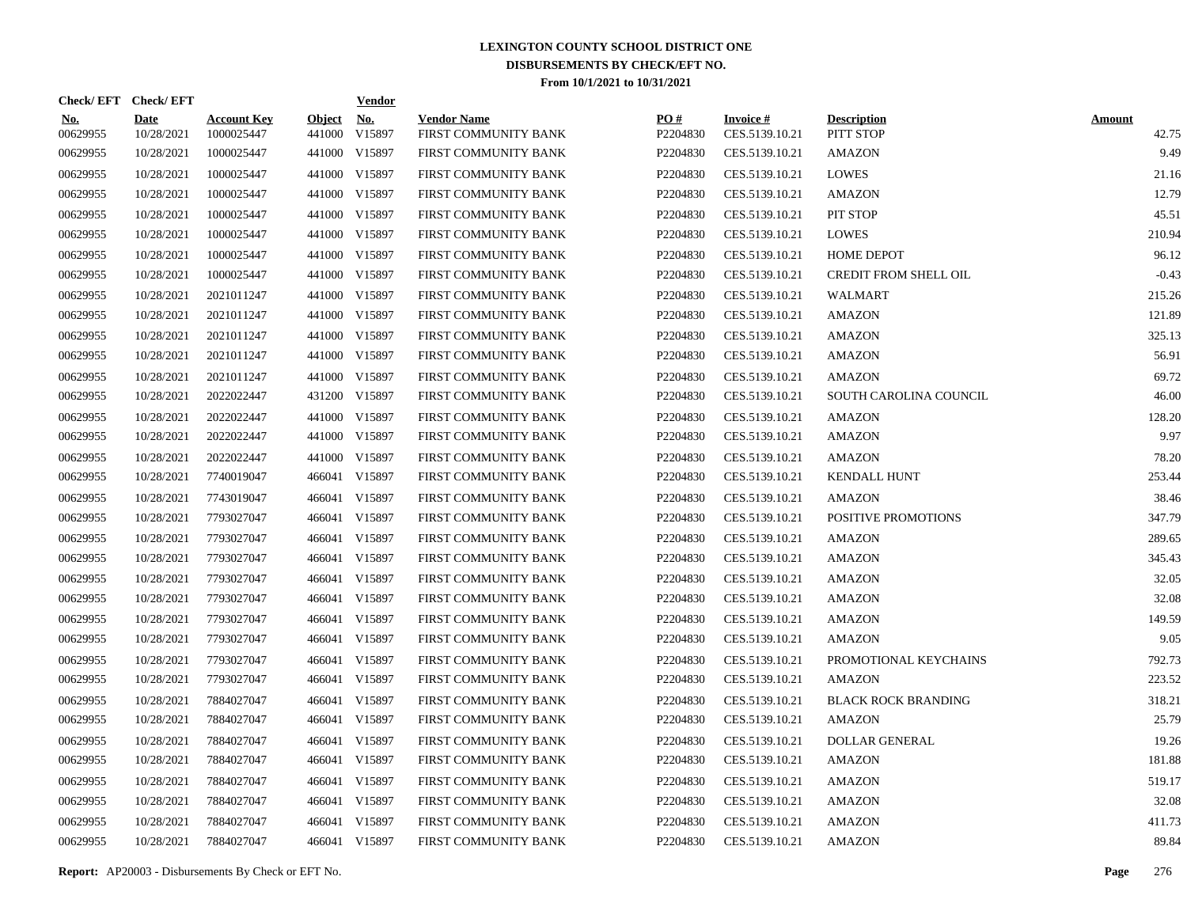| Check/EFT Check/EFT    |                           |                                  |                         | <b>Vendor</b> |                                            |                 |                                   |                                 |                        |
|------------------------|---------------------------|----------------------------------|-------------------------|---------------|--------------------------------------------|-----------------|-----------------------------------|---------------------------------|------------------------|
| <u>No.</u><br>00629955 | <b>Date</b><br>10/28/2021 | <b>Account Key</b><br>1000025447 | <b>Object</b><br>441000 | No.<br>V15897 | <b>Vendor Name</b><br>FIRST COMMUNITY BANK | PO#<br>P2204830 | <b>Invoice#</b><br>CES.5139.10.21 | <b>Description</b><br>PITT STOP | <b>Amount</b><br>42.75 |
| 00629955               | 10/28/2021                | 1000025447                       |                         | 441000 V15897 | FIRST COMMUNITY BANK                       | P2204830        | CES.5139.10.21                    | <b>AMAZON</b>                   | 9.49                   |
| 00629955               | 10/28/2021                | 1000025447                       |                         | 441000 V15897 | FIRST COMMUNITY BANK                       | P2204830        | CES.5139.10.21                    | LOWES                           | 21.16                  |
| 00629955               | 10/28/2021                | 1000025447                       |                         | 441000 V15897 | FIRST COMMUNITY BANK                       | P2204830        | CES.5139.10.21                    | AMAZON                          | 12.79                  |
| 00629955               | 10/28/2021                | 1000025447                       |                         | 441000 V15897 | FIRST COMMUNITY BANK                       | P2204830        | CES.5139.10.21                    | PIT STOP                        | 45.51                  |
| 00629955               | 10/28/2021                | 1000025447                       |                         | 441000 V15897 | FIRST COMMUNITY BANK                       | P2204830        | CES.5139.10.21                    | <b>LOWES</b>                    | 210.94                 |
| 00629955               | 10/28/2021                | 1000025447                       |                         | 441000 V15897 | FIRST COMMUNITY BANK                       | P2204830        | CES.5139.10.21                    | <b>HOME DEPOT</b>               | 96.12                  |
| 00629955               | 10/28/2021                | 1000025447                       |                         | 441000 V15897 | FIRST COMMUNITY BANK                       | P2204830        | CES.5139.10.21                    | <b>CREDIT FROM SHELL OIL</b>    | $-0.43$                |
| 00629955               | 10/28/2021                | 2021011247                       |                         | 441000 V15897 | FIRST COMMUNITY BANK                       | P2204830        | CES.5139.10.21                    | <b>WALMART</b>                  | 215.26                 |
| 00629955               | 10/28/2021                | 2021011247                       |                         | 441000 V15897 | FIRST COMMUNITY BANK                       | P2204830        | CES.5139.10.21                    | <b>AMAZON</b>                   | 121.89                 |
| 00629955               | 10/28/2021                | 2021011247                       |                         | 441000 V15897 | FIRST COMMUNITY BANK                       | P2204830        | CES.5139.10.21                    | <b>AMAZON</b>                   | 325.13                 |
| 00629955               | 10/28/2021                | 2021011247                       |                         | 441000 V15897 | FIRST COMMUNITY BANK                       | P2204830        | CES.5139.10.21                    | <b>AMAZON</b>                   | 56.91                  |
| 00629955               | 10/28/2021                | 2021011247                       |                         | 441000 V15897 | FIRST COMMUNITY BANK                       | P2204830        | CES.5139.10.21                    | <b>AMAZON</b>                   | 69.72                  |
| 00629955               | 10/28/2021                | 2022022447                       |                         | 431200 V15897 | FIRST COMMUNITY BANK                       | P2204830        | CES.5139.10.21                    | SOUTH CAROLINA COUNCIL          | 46.00                  |
| 00629955               | 10/28/2021                | 2022022447                       |                         | 441000 V15897 | FIRST COMMUNITY BANK                       | P2204830        | CES.5139.10.21                    | <b>AMAZON</b>                   | 128.20                 |
| 00629955               | 10/28/2021                | 2022022447                       |                         | 441000 V15897 | FIRST COMMUNITY BANK                       | P2204830        | CES.5139.10.21                    | AMAZON                          | 9.97                   |
| 00629955               | 10/28/2021                | 2022022447                       |                         | 441000 V15897 | FIRST COMMUNITY BANK                       | P2204830        | CES.5139.10.21                    | AMAZON                          | 78.20                  |
| 00629955               | 10/28/2021                | 7740019047                       |                         | 466041 V15897 | FIRST COMMUNITY BANK                       | P2204830        | CES.5139.10.21                    | <b>KENDALL HUNT</b>             | 253.44                 |
| 00629955               | 10/28/2021                | 7743019047                       |                         | 466041 V15897 | FIRST COMMUNITY BANK                       | P2204830        | CES.5139.10.21                    | <b>AMAZON</b>                   | 38.46                  |
| 00629955               | 10/28/2021                | 7793027047                       |                         | 466041 V15897 | FIRST COMMUNITY BANK                       | P2204830        | CES.5139.10.21                    | POSITIVE PROMOTIONS             | 347.79                 |
| 00629955               | 10/28/2021                | 7793027047                       |                         | 466041 V15897 | FIRST COMMUNITY BANK                       | P2204830        | CES.5139.10.21                    | <b>AMAZON</b>                   | 289.65                 |
| 00629955               | 10/28/2021                | 7793027047                       |                         | 466041 V15897 | FIRST COMMUNITY BANK                       | P2204830        | CES.5139.10.21                    | <b>AMAZON</b>                   | 345.43                 |
| 00629955               | 10/28/2021                | 7793027047                       |                         | 466041 V15897 | FIRST COMMUNITY BANK                       | P2204830        | CES.5139.10.21                    | AMAZON                          | 32.05                  |
| 00629955               | 10/28/2021                | 7793027047                       |                         | 466041 V15897 | FIRST COMMUNITY BANK                       | P2204830        | CES.5139.10.21                    | AMAZON                          | 32.08                  |
| 00629955               | 10/28/2021                | 7793027047                       |                         | 466041 V15897 | FIRST COMMUNITY BANK                       | P2204830        | CES.5139.10.21                    | AMAZON                          | 149.59                 |
| 00629955               | 10/28/2021                | 7793027047                       |                         | 466041 V15897 | FIRST COMMUNITY BANK                       | P2204830        | CES.5139.10.21                    | AMAZON                          | 9.05                   |
| 00629955               | 10/28/2021                | 7793027047                       |                         | 466041 V15897 | FIRST COMMUNITY BANK                       | P2204830        | CES.5139.10.21                    | PROMOTIONAL KEYCHAINS           | 792.73                 |
| 00629955               | 10/28/2021                | 7793027047                       |                         | 466041 V15897 | FIRST COMMUNITY BANK                       | P2204830        | CES.5139.10.21                    | <b>AMAZON</b>                   | 223.52                 |
| 00629955               | 10/28/2021                | 7884027047                       |                         | 466041 V15897 | FIRST COMMUNITY BANK                       | P2204830        | CES.5139.10.21                    | <b>BLACK ROCK BRANDING</b>      | 318.21                 |
| 00629955               | 10/28/2021                | 7884027047                       |                         | 466041 V15897 | FIRST COMMUNITY BANK                       | P2204830        | CES.5139.10.21                    | <b>AMAZON</b>                   | 25.79                  |
| 00629955               | 10/28/2021                | 7884027047                       |                         | 466041 V15897 | FIRST COMMUNITY BANK                       | P2204830        | CES.5139.10.21                    | <b>DOLLAR GENERAL</b>           | 19.26                  |
| 00629955               | 10/28/2021                | 7884027047                       |                         | 466041 V15897 | FIRST COMMUNITY BANK                       | P2204830        | CES.5139.10.21                    | <b>AMAZON</b>                   | 181.88                 |
| 00629955               | 10/28/2021                | 7884027047                       |                         | 466041 V15897 | FIRST COMMUNITY BANK                       | P2204830        | CES.5139.10.21                    | <b>AMAZON</b>                   | 519.17                 |
| 00629955               | 10/28/2021                | 7884027047                       |                         | 466041 V15897 | FIRST COMMUNITY BANK                       | P2204830        | CES.5139.10.21                    | AMAZON                          | 32.08                  |
| 00629955               | 10/28/2021                | 7884027047                       |                         | 466041 V15897 | FIRST COMMUNITY BANK                       | P2204830        | CES.5139.10.21                    | <b>AMAZON</b>                   | 411.73                 |
| 00629955               | 10/28/2021                | 7884027047                       |                         | 466041 V15897 | <b>FIRST COMMUNITY BANK</b>                | P2204830        | CES.5139.10.21                    | <b>AMAZON</b>                   | 89.84                  |

**Report:** AP20003 - Disbursements By Check or EFT No. **Page** 276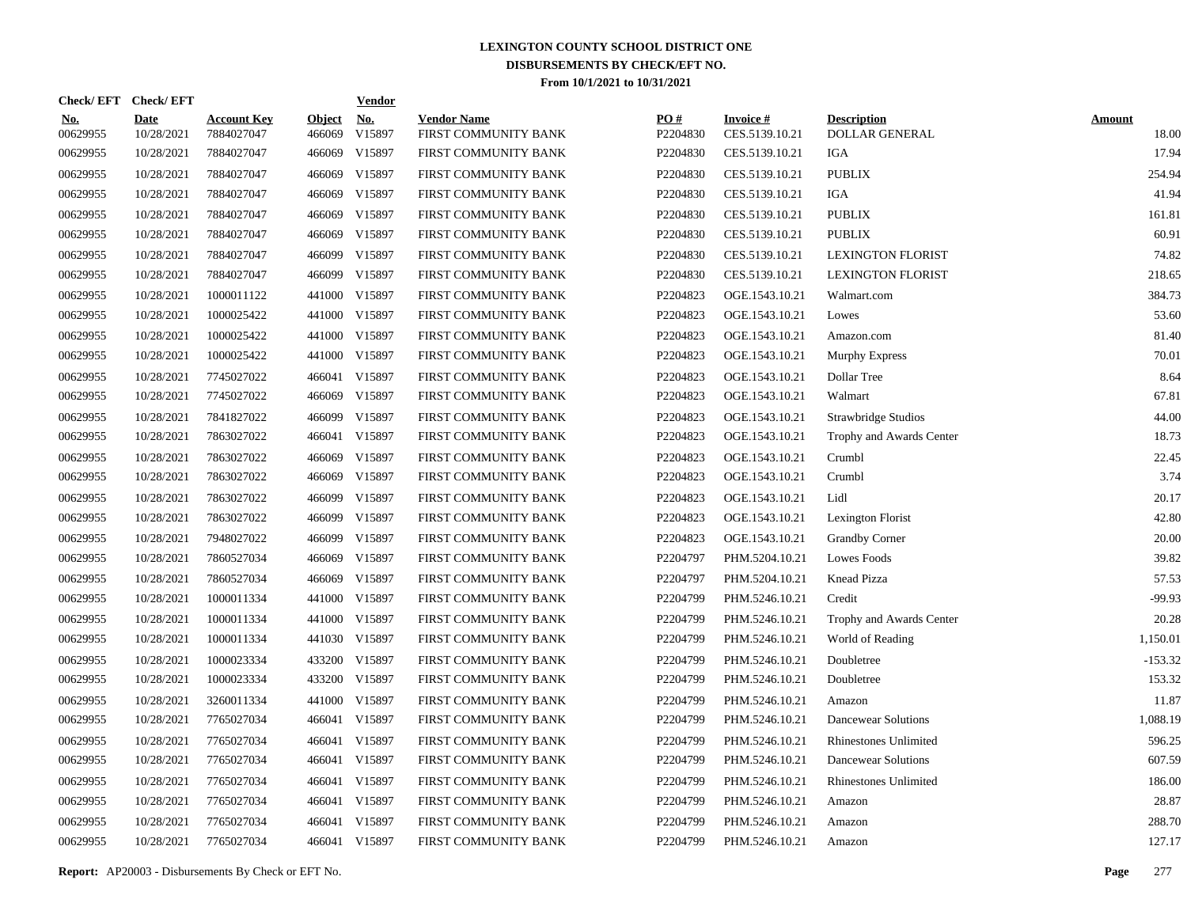| Check/EFT Check/EFT    |                           |                                  |                         | <b>Vendor</b>        |                                            |                 |                                   |                                      |                        |
|------------------------|---------------------------|----------------------------------|-------------------------|----------------------|--------------------------------------------|-----------------|-----------------------------------|--------------------------------------|------------------------|
| <u>No.</u><br>00629955 | <b>Date</b><br>10/28/2021 | <b>Account Key</b><br>7884027047 | <b>Object</b><br>466069 | <u>No.</u><br>V15897 | <b>Vendor Name</b><br>FIRST COMMUNITY BANK | PO#<br>P2204830 | <b>Invoice#</b><br>CES.5139.10.21 | <b>Description</b><br>DOLLAR GENERAL | <b>Amount</b><br>18.00 |
| 00629955               | 10/28/2021                | 7884027047                       | 466069                  | V15897               | FIRST COMMUNITY BANK                       | P2204830        | CES.5139.10.21                    | IGA                                  | 17.94                  |
| 00629955               | 10/28/2021                | 7884027047                       | 466069                  | V15897               | FIRST COMMUNITY BANK                       | P2204830        | CES.5139.10.21                    | <b>PUBLIX</b>                        | 254.94                 |
| 00629955               | 10/28/2021                | 7884027047                       | 466069                  | V15897               | FIRST COMMUNITY BANK                       | P2204830        | CES.5139.10.21                    | IGA                                  | 41.94                  |
| 00629955               | 10/28/2021                | 7884027047                       | 466069                  | V15897               | FIRST COMMUNITY BANK                       | P2204830        | CES.5139.10.21                    | <b>PUBLIX</b>                        | 161.81                 |
| 00629955               | 10/28/2021                | 7884027047                       | 466069                  | V15897               | FIRST COMMUNITY BANK                       | P2204830        | CES.5139.10.21                    | <b>PUBLIX</b>                        | 60.91                  |
| 00629955               | 10/28/2021                | 7884027047                       | 466099                  | V15897               | FIRST COMMUNITY BANK                       | P2204830        | CES.5139.10.21                    | <b>LEXINGTON FLORIST</b>             | 74.82                  |
| 00629955               | 10/28/2021                | 7884027047                       | 466099                  | V15897               | FIRST COMMUNITY BANK                       | P2204830        | CES.5139.10.21                    | <b>LEXINGTON FLORIST</b>             | 218.65                 |
| 00629955               | 10/28/2021                | 1000011122                       | 441000                  | V15897               | FIRST COMMUNITY BANK                       | P2204823        | OGE.1543.10.21                    | Walmart.com                          | 384.73                 |
| 00629955               | 10/28/2021                | 1000025422                       | 441000                  | V15897               | FIRST COMMUNITY BANK                       | P2204823        | OGE.1543.10.21                    | Lowes                                | 53.60                  |
| 00629955               | 10/28/2021                | 1000025422                       | 441000                  | V15897               | FIRST COMMUNITY BANK                       | P2204823        | OGE.1543.10.21                    | Amazon.com                           | 81.40                  |
| 00629955               | 10/28/2021                | 1000025422                       |                         | 441000 V15897        | FIRST COMMUNITY BANK                       | P2204823        | OGE.1543.10.21                    | <b>Murphy Express</b>                | 70.01                  |
| 00629955               | 10/28/2021                | 7745027022                       |                         | 466041 V15897        | FIRST COMMUNITY BANK                       | P2204823        | OGE.1543.10.21                    | Dollar Tree                          | 8.64                   |
| 00629955               | 10/28/2021                | 7745027022                       | 466069                  | V15897               | FIRST COMMUNITY BANK                       | P2204823        | OGE.1543.10.21                    | Walmart                              | 67.81                  |
| 00629955               | 10/28/2021                | 7841827022                       | 466099                  | V15897               | FIRST COMMUNITY BANK                       | P2204823        | OGE.1543.10.21                    | Strawbridge Studios                  | 44.00                  |
| 00629955               | 10/28/2021                | 7863027022                       | 466041                  | V15897               | FIRST COMMUNITY BANK                       | P2204823        | OGE.1543.10.21                    | Trophy and Awards Center             | 18.73                  |
| 00629955               | 10/28/2021                | 7863027022                       | 466069                  | V15897               | FIRST COMMUNITY BANK                       | P2204823        | OGE.1543.10.21                    | Crumbl                               | 22.45                  |
| 00629955               | 10/28/2021                | 7863027022                       | 466069                  | V15897               | FIRST COMMUNITY BANK                       | P2204823        | OGE.1543.10.21                    | Crumbl                               | 3.74                   |
| 00629955               | 10/28/2021                | 7863027022                       | 466099                  | V15897               | FIRST COMMUNITY BANK                       | P2204823        | OGE.1543.10.21                    | Lidl                                 | 20.17                  |
| 00629955               | 10/28/2021                | 7863027022                       | 466099                  | V15897               | FIRST COMMUNITY BANK                       | P2204823        | OGE.1543.10.21                    | Lexington Florist                    | 42.80                  |
| 00629955               | 10/28/2021                | 7948027022                       | 466099                  | V15897               | FIRST COMMUNITY BANK                       | P2204823        | OGE.1543.10.21                    | <b>Grandby Corner</b>                | 20.00                  |
| 00629955               | 10/28/2021                | 7860527034                       | 466069                  | V15897               | FIRST COMMUNITY BANK                       | P2204797        | PHM.5204.10.21                    | Lowes Foods                          | 39.82                  |
| 00629955               | 10/28/2021                | 7860527034                       | 466069                  | V15897               | FIRST COMMUNITY BANK                       | P2204797        | PHM.5204.10.21                    | Knead Pizza                          | 57.53                  |
| 00629955               | 10/28/2021                | 1000011334                       |                         | 441000 V15897        | FIRST COMMUNITY BANK                       | P2204799        | PHM.5246.10.21                    | Credit                               | $-99.93$               |
| 00629955               | 10/28/2021                | 1000011334                       |                         | 441000 V15897        | FIRST COMMUNITY BANK                       | P2204799        | PHM.5246.10.21                    | Trophy and Awards Center             | 20.28                  |
| 00629955               | 10/28/2021                | 1000011334                       |                         | 441030 V15897        | FIRST COMMUNITY BANK                       | P2204799        | PHM.5246.10.21                    | World of Reading                     | 1,150.01               |
| 00629955               | 10/28/2021                | 1000023334                       | 433200                  | V15897               | FIRST COMMUNITY BANK                       | P2204799        | PHM.5246.10.21                    | Doubletree                           | $-153.32$              |
| 00629955               | 10/28/2021                | 1000023334                       |                         | 433200 V15897        | FIRST COMMUNITY BANK                       | P2204799        | PHM.5246.10.21                    | Doubletree                           | 153.32                 |
| 00629955               | 10/28/2021                | 3260011334                       | 441000                  | V15897               | FIRST COMMUNITY BANK                       | P2204799        | PHM.5246.10.21                    | Amazon                               | 11.87                  |
| 00629955               | 10/28/2021                | 7765027034                       |                         | 466041 V15897        | FIRST COMMUNITY BANK                       | P2204799        | PHM.5246.10.21                    | <b>Dancewear Solutions</b>           | 1,088.19               |
| 00629955               | 10/28/2021                | 7765027034                       |                         | 466041 V15897        | FIRST COMMUNITY BANK                       | P2204799        | PHM.5246.10.21                    | Rhinestones Unlimited                | 596.25                 |
| 00629955               | 10/28/2021                | 7765027034                       |                         | 466041 V15897        | FIRST COMMUNITY BANK                       | P2204799        | PHM.5246.10.21                    | Dancewear Solutions                  | 607.59                 |
| 00629955               | 10/28/2021                | 7765027034                       |                         | 466041 V15897        | FIRST COMMUNITY BANK                       | P2204799        | PHM.5246.10.21                    | Rhinestones Unlimited                | 186.00                 |
| 00629955               | 10/28/2021                | 7765027034                       |                         | 466041 V15897        | FIRST COMMUNITY BANK                       | P2204799        | PHM.5246.10.21                    | Amazon                               | 28.87                  |
| 00629955               | 10/28/2021                | 7765027034                       |                         | 466041 V15897        | FIRST COMMUNITY BANK                       | P2204799        | PHM.5246.10.21                    | Amazon                               | 288.70                 |
| 00629955               | 10/28/2021                | 7765027034                       |                         | 466041 V15897        | FIRST COMMUNITY BANK                       | P2204799        | PHM.5246.10.21                    | Amazon                               | 127.17                 |

**Report:** AP20003 - Disbursements By Check or EFT No. **Page** 277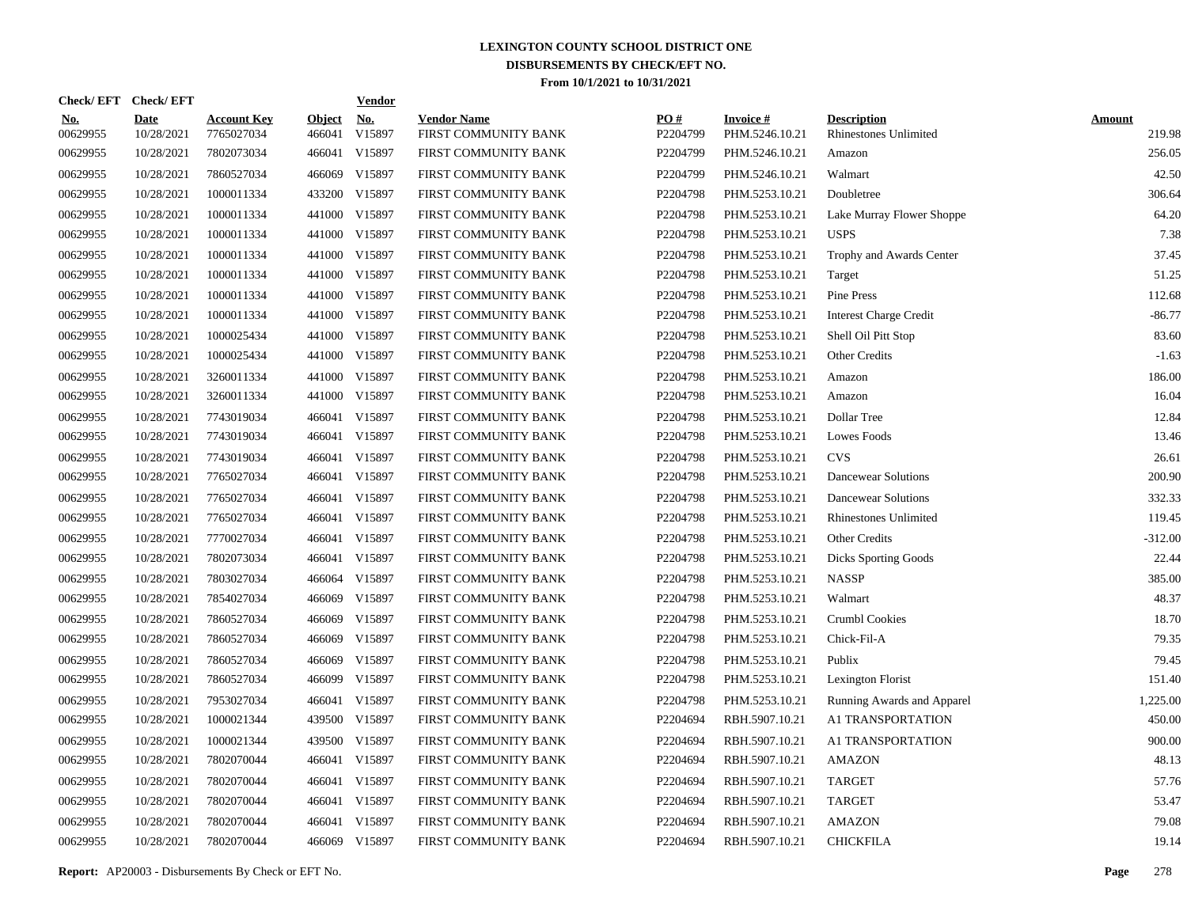| Check/ EFT             | <b>Check/EFT</b>          |                                  |                         | <b>Vendor</b>        |                                            |                 |                                   |                                             |                         |
|------------------------|---------------------------|----------------------------------|-------------------------|----------------------|--------------------------------------------|-----------------|-----------------------------------|---------------------------------------------|-------------------------|
| <u>No.</u><br>00629955 | <b>Date</b><br>10/28/2021 | <b>Account Key</b><br>7765027034 | <b>Object</b><br>466041 | <u>No.</u><br>V15897 | <b>Vendor Name</b><br>FIRST COMMUNITY BANK | PO#<br>P2204799 | <b>Invoice#</b><br>PHM.5246.10.21 | <b>Description</b><br>Rhinestones Unlimited | <b>Amount</b><br>219.98 |
| 00629955               | 10/28/2021                | 7802073034                       | 466041                  | V15897               | FIRST COMMUNITY BANK                       | P2204799        | PHM.5246.10.21                    | Amazon                                      | 256.05                  |
| 00629955               | 10/28/2021                | 7860527034                       | 466069                  | V15897               | FIRST COMMUNITY BANK                       | P2204799        | PHM.5246.10.21                    | Walmart                                     | 42.50                   |
| 00629955               | 10/28/2021                | 1000011334                       | 433200                  | V15897               | FIRST COMMUNITY BANK                       | P2204798        | PHM.5253.10.21                    | Doubletree                                  | 306.64                  |
| 00629955               | 10/28/2021                | 1000011334                       | 441000                  | V15897               | FIRST COMMUNITY BANK                       | P2204798        | PHM.5253.10.21                    | Lake Murray Flower Shoppe                   | 64.20                   |
| 00629955               | 10/28/2021                | 1000011334                       | 441000                  | V15897               | FIRST COMMUNITY BANK                       | P2204798        | PHM.5253.10.21                    | <b>USPS</b>                                 | 7.38                    |
| 00629955               | 10/28/2021                | 1000011334                       | 441000                  | V15897               | FIRST COMMUNITY BANK                       | P2204798        | PHM.5253.10.21                    | Trophy and Awards Center                    | 37.45                   |
| 00629955               | 10/28/2021                | 1000011334                       | 441000                  | V15897               | FIRST COMMUNITY BANK                       | P2204798        | PHM.5253.10.21                    | Target                                      | 51.25                   |
| 00629955               | 10/28/2021                | 1000011334                       | 441000                  | V15897               | FIRST COMMUNITY BANK                       | P2204798        | PHM.5253.10.21                    | Pine Press                                  | 112.68                  |
| 00629955               | 10/28/2021                | 1000011334                       | 441000                  | V15897               | FIRST COMMUNITY BANK                       | P2204798        | PHM.5253.10.21                    | <b>Interest Charge Credit</b>               | $-86.77$                |
| 00629955               | 10/28/2021                | 1000025434                       | 441000                  | V15897               | FIRST COMMUNITY BANK                       | P2204798        | PHM.5253.10.21                    | Shell Oil Pitt Stop                         | 83.60                   |
| 00629955               | 10/28/2021                | 1000025434                       | 441000                  | V15897               | FIRST COMMUNITY BANK                       | P2204798        | PHM.5253.10.21                    | Other Credits                               | $-1.63$                 |
| 00629955               | 10/28/2021                | 3260011334                       | 441000                  | V15897               | FIRST COMMUNITY BANK                       | P2204798        | PHM.5253.10.21                    | Amazon                                      | 186.00                  |
| 00629955               | 10/28/2021                | 3260011334                       | 441000                  | V15897               | FIRST COMMUNITY BANK                       | P2204798        | PHM.5253.10.21                    | Amazon                                      | 16.04                   |
| 00629955               | 10/28/2021                | 7743019034                       |                         | 466041 V15897        | FIRST COMMUNITY BANK                       | P2204798        | PHM.5253.10.21                    | Dollar Tree                                 | 12.84                   |
| 00629955               | 10/28/2021                | 7743019034                       | 466041                  | V15897               | FIRST COMMUNITY BANK                       | P2204798        | PHM.5253.10.21                    | Lowes Foods                                 | 13.46                   |
| 00629955               | 10/28/2021                | 7743019034                       | 466041                  | V15897               | FIRST COMMUNITY BANK                       | P2204798        | PHM.5253.10.21                    | <b>CVS</b>                                  | 26.61                   |
| 00629955               | 10/28/2021                | 7765027034                       | 466041                  | V15897               | FIRST COMMUNITY BANK                       | P2204798        | PHM.5253.10.21                    | Dancewear Solutions                         | 200.90                  |
| 00629955               | 10/28/2021                | 7765027034                       | 466041                  | V15897               | FIRST COMMUNITY BANK                       | P2204798        | PHM.5253.10.21                    | Dancewear Solutions                         | 332.33                  |
| 00629955               | 10/28/2021                | 7765027034                       | 466041                  | V15897               | FIRST COMMUNITY BANK                       | P2204798        | PHM.5253.10.21                    | <b>Rhinestones Unlimited</b>                | 119.45                  |
| 00629955               | 10/28/2021                | 7770027034                       | 466041                  | V15897               | FIRST COMMUNITY BANK                       | P2204798        | PHM.5253.10.21                    | Other Credits                               | $-312.00$               |
| 00629955               | 10/28/2021                | 7802073034                       | 466041                  | V15897               | FIRST COMMUNITY BANK                       | P2204798        | PHM.5253.10.21                    | <b>Dicks Sporting Goods</b>                 | 22.44                   |
| 00629955               | 10/28/2021                | 7803027034                       | 466064                  | V15897               | FIRST COMMUNITY BANK                       | P2204798        | PHM.5253.10.21                    | <b>NASSP</b>                                | 385.00                  |
| 00629955               | 10/28/2021                | 7854027034                       | 466069                  | V15897               | FIRST COMMUNITY BANK                       | P2204798        | PHM.5253.10.21                    | Walmart                                     | 48.37                   |
| 00629955               | 10/28/2021                | 7860527034                       | 466069                  | V15897               | FIRST COMMUNITY BANK                       | P2204798        | PHM.5253.10.21                    | Crumbl Cookies                              | 18.70                   |
| 00629955               | 10/28/2021                | 7860527034                       | 466069                  | V15897               | FIRST COMMUNITY BANK                       | P2204798        | PHM.5253.10.21                    | Chick-Fil-A                                 | 79.35                   |
| 00629955               | 10/28/2021                | 7860527034                       | 466069                  | V15897               | FIRST COMMUNITY BANK                       | P2204798        | PHM.5253.10.21                    | Publix                                      | 79.45                   |
| 00629955               | 10/28/2021                | 7860527034                       | 466099                  | V15897               | FIRST COMMUNITY BANK                       | P2204798        | PHM.5253.10.21                    | <b>Lexington Florist</b>                    | 151.40                  |
| 00629955               | 10/28/2021                | 7953027034                       | 466041                  | V15897               | FIRST COMMUNITY BANK                       | P2204798        | PHM.5253.10.21                    | Running Awards and Apparel                  | 1,225.00                |
| 00629955               | 10/28/2021                | 1000021344                       | 439500                  | V15897               | FIRST COMMUNITY BANK                       | P2204694        | RBH.5907.10.21                    | A1 TRANSPORTATION                           | 450.00                  |
| 00629955               | 10/28/2021                | 1000021344                       | 439500                  | V15897               | FIRST COMMUNITY BANK                       | P2204694        | RBH.5907.10.21                    | A1 TRANSPORTATION                           | 900.00                  |
| 00629955               | 10/28/2021                | 7802070044                       | 466041                  | V15897               | FIRST COMMUNITY BANK                       | P2204694        | RBH.5907.10.21                    | <b>AMAZON</b>                               | 48.13                   |
| 00629955               | 10/28/2021                | 7802070044                       | 466041                  | V15897               | FIRST COMMUNITY BANK                       | P2204694        | RBH.5907.10.21                    | <b>TARGET</b>                               | 57.76                   |
| 00629955               | 10/28/2021                | 7802070044                       | 466041                  | V15897               | FIRST COMMUNITY BANK                       | P2204694        | RBH.5907.10.21                    | <b>TARGET</b>                               | 53.47                   |
| 00629955               | 10/28/2021                | 7802070044                       | 466041                  | V15897               | FIRST COMMUNITY BANK                       | P2204694        | RBH.5907.10.21                    | <b>AMAZON</b>                               | 79.08                   |
| 00629955               | 10/28/2021                | 7802070044                       | 466069                  | V15897               | FIRST COMMUNITY BANK                       | P2204694        | RBH.5907.10.21                    | <b>CHICKFILA</b>                            | 19.14                   |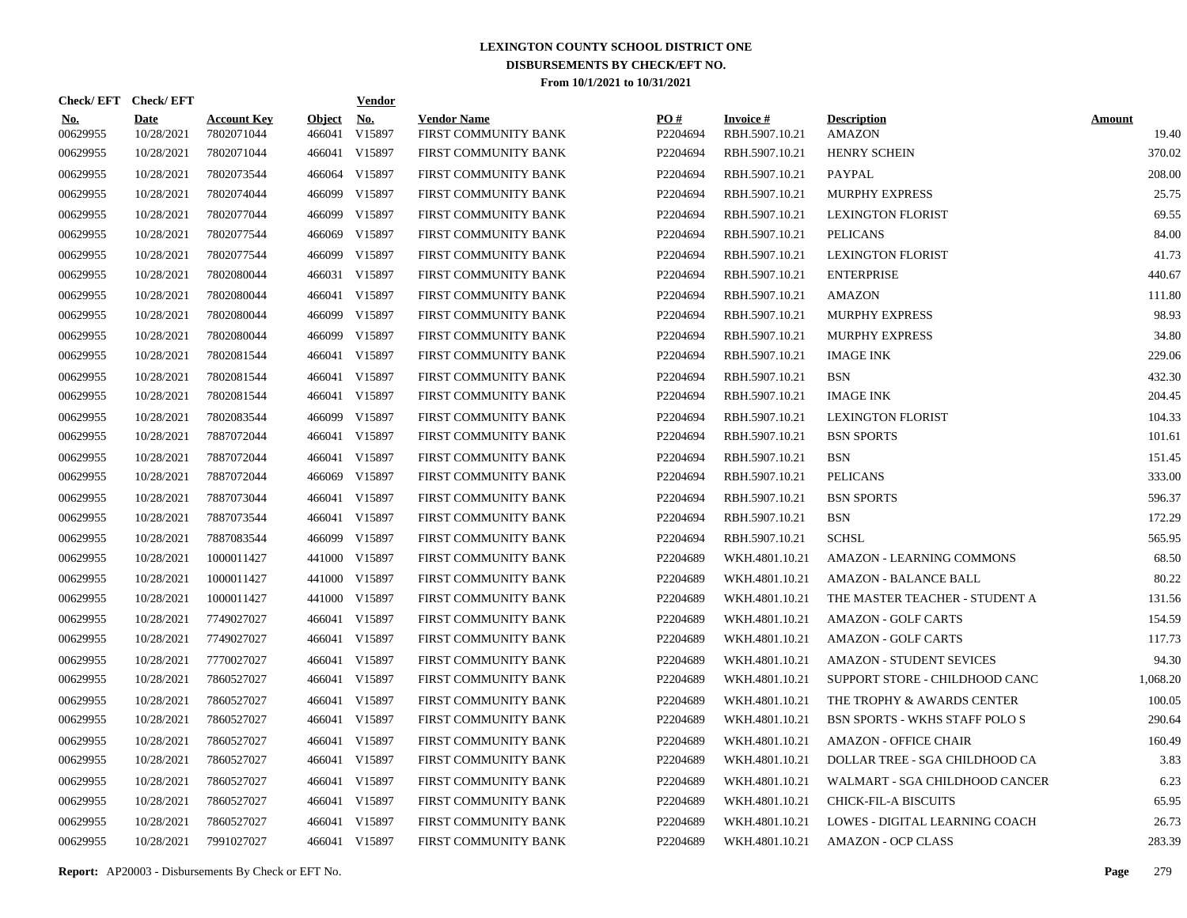| Check/EFT Check/EFT    |                           |                                  |                         | <b>Vendor</b>        |                                            |                 |                                   |                                     |                        |
|------------------------|---------------------------|----------------------------------|-------------------------|----------------------|--------------------------------------------|-----------------|-----------------------------------|-------------------------------------|------------------------|
| <b>No.</b><br>00629955 | <b>Date</b><br>10/28/2021 | <b>Account Key</b><br>7802071044 | <b>Object</b><br>466041 | <u>No.</u><br>V15897 | <b>Vendor Name</b><br>FIRST COMMUNITY BANK | PO#<br>P2204694 | <b>Invoice#</b><br>RBH.5907.10.21 | <b>Description</b><br><b>AMAZON</b> | <b>Amount</b><br>19.40 |
| 00629955               | 10/28/2021                | 7802071044                       |                         | 466041 V15897        | FIRST COMMUNITY BANK                       | P2204694        | RBH.5907.10.21                    | <b>HENRY SCHEIN</b>                 | 370.02                 |
| 00629955               | 10/28/2021                | 7802073544                       | 466064                  | V15897               | FIRST COMMUNITY BANK                       | P2204694        | RBH.5907.10.21                    | PAYPAL                              | 208.00                 |
| 00629955               | 10/28/2021                | 7802074044                       | 466099                  | V15897               | FIRST COMMUNITY BANK                       | P2204694        | RBH.5907.10.21                    | <b>MURPHY EXPRESS</b>               | 25.75                  |
| 00629955               | 10/28/2021                | 7802077044                       | 466099                  | V15897               | FIRST COMMUNITY BANK                       | P2204694        | RBH.5907.10.21                    | <b>LEXINGTON FLORIST</b>            | 69.55                  |
| 00629955               | 10/28/2021                | 7802077544                       | 466069                  | V15897               | FIRST COMMUNITY BANK                       | P2204694        | RBH.5907.10.21                    | <b>PELICANS</b>                     | 84.00                  |
| 00629955               | 10/28/2021                | 7802077544                       | 466099                  | V15897               | FIRST COMMUNITY BANK                       | P2204694        | RBH.5907.10.21                    | <b>LEXINGTON FLORIST</b>            | 41.73                  |
| 00629955               | 10/28/2021                | 7802080044                       |                         | 466031 V15897        | FIRST COMMUNITY BANK                       | P2204694        | RBH.5907.10.21                    | <b>ENTERPRISE</b>                   | 440.67                 |
| 00629955               | 10/28/2021                | 7802080044                       |                         | 466041 V15897        | FIRST COMMUNITY BANK                       | P2204694        | RBH.5907.10.21                    | <b>AMAZON</b>                       | 111.80                 |
| 00629955               | 10/28/2021                | 7802080044                       | 466099                  | V15897               | FIRST COMMUNITY BANK                       | P2204694        | RBH.5907.10.21                    | <b>MURPHY EXPRESS</b>               | 98.93                  |
| 00629955               | 10/28/2021                | 7802080044                       | 466099                  | V15897               | FIRST COMMUNITY BANK                       | P2204694        | RBH.5907.10.21                    | <b>MURPHY EXPRESS</b>               | 34.80                  |
| 00629955               | 10/28/2021                | 7802081544                       |                         | 466041 V15897        | FIRST COMMUNITY BANK                       | P2204694        | RBH.5907.10.21                    | <b>IMAGE INK</b>                    | 229.06                 |
| 00629955               | 10/28/2021                | 7802081544                       |                         | 466041 V15897        | FIRST COMMUNITY BANK                       | P2204694        | RBH.5907.10.21                    | <b>BSN</b>                          | 432.30                 |
| 00629955               | 10/28/2021                | 7802081544                       |                         | 466041 V15897        | FIRST COMMUNITY BANK                       | P2204694        | RBH.5907.10.21                    | <b>IMAGE INK</b>                    | 204.45                 |
| 00629955               | 10/28/2021                | 7802083544                       |                         | 466099 V15897        | FIRST COMMUNITY BANK                       | P2204694        | RBH.5907.10.21                    | <b>LEXINGTON FLORIST</b>            | 104.33                 |
| 00629955               | 10/28/2021                | 7887072044                       |                         | 466041 V15897        | FIRST COMMUNITY BANK                       | P2204694        | RBH.5907.10.21                    | <b>BSN SPORTS</b>                   | 101.61                 |
| 00629955               | 10/28/2021                | 7887072044                       |                         | 466041 V15897        | FIRST COMMUNITY BANK                       | P2204694        | RBH.5907.10.21                    | <b>BSN</b>                          | 151.45                 |
| 00629955               | 10/28/2021                | 7887072044                       |                         | 466069 V15897        | FIRST COMMUNITY BANK                       | P2204694        | RBH.5907.10.21                    | <b>PELICANS</b>                     | 333.00                 |
| 00629955               | 10/28/2021                | 7887073044                       |                         | 466041 V15897        | FIRST COMMUNITY BANK                       | P2204694        | RBH.5907.10.21                    | <b>BSN SPORTS</b>                   | 596.37                 |
| 00629955               | 10/28/2021                | 7887073544                       |                         | 466041 V15897        | FIRST COMMUNITY BANK                       | P2204694        | RBH.5907.10.21                    | <b>BSN</b>                          | 172.29                 |
| 00629955               | 10/28/2021                | 7887083544                       |                         | 466099 V15897        | FIRST COMMUNITY BANK                       | P2204694        | RBH.5907.10.21                    | <b>SCHSL</b>                        | 565.95                 |
| 00629955               | 10/28/2021                | 1000011427                       |                         | 441000 V15897        | FIRST COMMUNITY BANK                       | P2204689        | WKH.4801.10.21                    | <b>AMAZON - LEARNING COMMONS</b>    | 68.50                  |
| 00629955               | 10/28/2021                | 1000011427                       |                         | 441000 V15897        | FIRST COMMUNITY BANK                       | P2204689        | WKH.4801.10.21                    | AMAZON - BALANCE BALL               | 80.22                  |
| 00629955               | 10/28/2021                | 1000011427                       |                         | 441000 V15897        | FIRST COMMUNITY BANK                       | P2204689        | WKH.4801.10.21                    | THE MASTER TEACHER - STUDENT A      | 131.56                 |
| 00629955               | 10/28/2021                | 7749027027                       |                         | 466041 V15897        | FIRST COMMUNITY BANK                       | P2204689        | WKH.4801.10.21                    | <b>AMAZON - GOLF CARTS</b>          | 154.59                 |
| 00629955               | 10/28/2021                | 7749027027                       |                         | 466041 V15897        | FIRST COMMUNITY BANK                       | P2204689        | WKH.4801.10.21                    | <b>AMAZON - GOLF CARTS</b>          | 117.73                 |
| 00629955               | 10/28/2021                | 7770027027                       |                         | 466041 V15897        | FIRST COMMUNITY BANK                       | P2204689        | WKH.4801.10.21                    | <b>AMAZON - STUDENT SEVICES</b>     | 94.30                  |
| 00629955               | 10/28/2021                | 7860527027                       |                         | 466041 V15897        | FIRST COMMUNITY BANK                       | P2204689        | WKH.4801.10.21                    | SUPPORT STORE - CHILDHOOD CANC      | 1,068.20               |
| 00629955               | 10/28/2021                | 7860527027                       |                         | 466041 V15897        | FIRST COMMUNITY BANK                       | P2204689        | WKH.4801.10.21                    | THE TROPHY & AWARDS CENTER          | 100.05                 |
| 00629955               | 10/28/2021                | 7860527027                       |                         | 466041 V15897        | FIRST COMMUNITY BANK                       | P2204689        | WKH.4801.10.21                    | BSN SPORTS - WKHS STAFF POLO S      | 290.64                 |
| 00629955               | 10/28/2021                | 7860527027                       |                         | 466041 V15897        | FIRST COMMUNITY BANK                       | P2204689        | WKH.4801.10.21                    | <b>AMAZON - OFFICE CHAIR</b>        | 160.49                 |
| 00629955               | 10/28/2021                | 7860527027                       |                         | 466041 V15897        | FIRST COMMUNITY BANK                       | P2204689        | WKH.4801.10.21                    | DOLLAR TREE - SGA CHILDHOOD CA      | 3.83                   |
| 00629955               | 10/28/2021                | 7860527027                       |                         | 466041 V15897        | FIRST COMMUNITY BANK                       | P2204689        | WKH.4801.10.21                    | WALMART - SGA CHILDHOOD CANCER      | 6.23                   |
| 00629955               | 10/28/2021                | 7860527027                       |                         | 466041 V15897        | FIRST COMMUNITY BANK                       | P2204689        | WKH.4801.10.21                    | <b>CHICK-FIL-A BISCUITS</b>         | 65.95                  |
| 00629955               | 10/28/2021                | 7860527027                       |                         | 466041 V15897        | FIRST COMMUNITY BANK                       | P2204689        | WKH.4801.10.21                    | LOWES - DIGITAL LEARNING COACH      | 26.73                  |
| 00629955               | 10/28/2021                | 7991027027                       |                         | 466041 V15897        | FIRST COMMUNITY BANK                       | P2204689        | WKH.4801.10.21                    | <b>AMAZON - OCP CLASS</b>           | 283.39                 |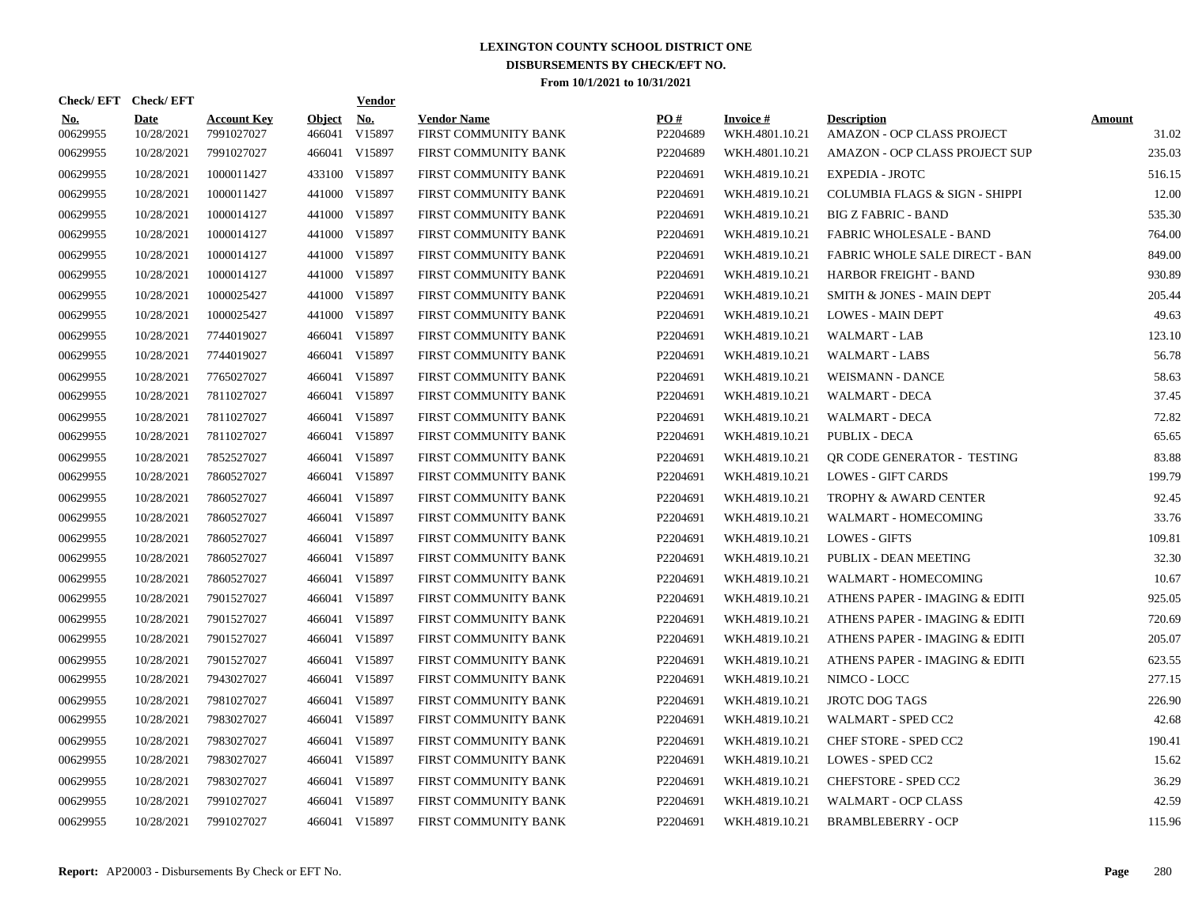| Check/EFT Check/EFT    |                           |                                  |                         | <b>Vendor</b>        |                                            |                 |                                   |                                                  |                        |
|------------------------|---------------------------|----------------------------------|-------------------------|----------------------|--------------------------------------------|-----------------|-----------------------------------|--------------------------------------------------|------------------------|
| <u>No.</u><br>00629955 | <b>Date</b><br>10/28/2021 | <b>Account Key</b><br>7991027027 | <b>Object</b><br>466041 | <u>No.</u><br>V15897 | <b>Vendor Name</b><br>FIRST COMMUNITY BANK | PO#<br>P2204689 | <b>Invoice#</b><br>WKH.4801.10.21 | <b>Description</b><br>AMAZON - OCP CLASS PROJECT | <b>Amount</b><br>31.02 |
| 00629955               | 10/28/2021                | 7991027027                       |                         | 466041 V15897        | FIRST COMMUNITY BANK                       | P2204689        | WKH.4801.10.21                    | AMAZON - OCP CLASS PROJECT SUP                   | 235.03                 |
| 00629955               | 10/28/2021                | 1000011427                       |                         | 433100 V15897        | FIRST COMMUNITY BANK                       | P2204691        | WKH.4819.10.21                    | <b>EXPEDIA - JROTC</b>                           | 516.15                 |
| 00629955               | 10/28/2021                | 1000011427                       |                         | 441000 V15897        | FIRST COMMUNITY BANK                       | P2204691        | WKH.4819.10.21                    | COLUMBIA FLAGS & SIGN - SHIPPI                   | 12.00                  |
| 00629955               | 10/28/2021                | 1000014127                       |                         | 441000 V15897        | FIRST COMMUNITY BANK                       | P2204691        | WKH.4819.10.21                    | <b>BIG Z FABRIC - BAND</b>                       | 535.30                 |
| 00629955               | 10/28/2021                | 1000014127                       |                         | 441000 V15897        | FIRST COMMUNITY BANK                       | P2204691        | WKH.4819.10.21                    | FABRIC WHOLESALE - BAND                          | 764.00                 |
| 00629955               | 10/28/2021                | 1000014127                       |                         | 441000 V15897        | FIRST COMMUNITY BANK                       | P2204691        | WKH.4819.10.21                    | FABRIC WHOLE SALE DIRECT - BAN                   | 849.00                 |
| 00629955               | 10/28/2021                | 1000014127                       |                         | 441000 V15897        | FIRST COMMUNITY BANK                       | P2204691        | WKH.4819.10.21                    | HARBOR FREIGHT - BAND                            | 930.89                 |
| 00629955               | 10/28/2021                | 1000025427                       |                         | 441000 V15897        | FIRST COMMUNITY BANK                       | P2204691        | WKH.4819.10.21                    | SMITH & JONES - MAIN DEPT                        | 205.44                 |
| 00629955               | 10/28/2021                | 1000025427                       |                         | 441000 V15897        | FIRST COMMUNITY BANK                       | P2204691        | WKH.4819.10.21                    | <b>LOWES - MAIN DEPT</b>                         | 49.63                  |
| 00629955               | 10/28/2021                | 7744019027                       |                         | 466041 V15897        | FIRST COMMUNITY BANK                       | P2204691        | WKH.4819.10.21                    | WALMART - LAB                                    | 123.10                 |
| 00629955               | 10/28/2021                | 7744019027                       |                         | 466041 V15897        | FIRST COMMUNITY BANK                       | P2204691        | WKH.4819.10.21                    | <b>WALMART - LABS</b>                            | 56.78                  |
| 00629955               | 10/28/2021                | 7765027027                       | 466041                  | V15897               | FIRST COMMUNITY BANK                       | P2204691        | WKH.4819.10.21                    | <b>WEISMANN - DANCE</b>                          | 58.63                  |
| 00629955               | 10/28/2021                | 7811027027                       |                         | 466041 V15897        | FIRST COMMUNITY BANK                       | P2204691        | WKH.4819.10.21                    | <b>WALMART - DECA</b>                            | 37.45                  |
| 00629955               | 10/28/2021                | 7811027027                       | 466041                  | V15897               | FIRST COMMUNITY BANK                       | P2204691        | WKH.4819.10.21                    | <b>WALMART - DECA</b>                            | 72.82                  |
| 00629955               | 10/28/2021                | 7811027027                       | 466041                  | V15897               | FIRST COMMUNITY BANK                       | P2204691        | WKH.4819.10.21                    | <b>PUBLIX - DECA</b>                             | 65.65                  |
| 00629955               | 10/28/2021                | 7852527027                       |                         | 466041 V15897        | FIRST COMMUNITY BANK                       | P2204691        | WKH.4819.10.21                    | OR CODE GENERATOR - TESTING                      | 83.88                  |
| 00629955               | 10/28/2021                | 7860527027                       |                         | 466041 V15897        | FIRST COMMUNITY BANK                       | P2204691        | WKH.4819.10.21                    | <b>LOWES - GIFT CARDS</b>                        | 199.79                 |
| 00629955               | 10/28/2021                | 7860527027                       |                         | 466041 V15897        | FIRST COMMUNITY BANK                       | P2204691        | WKH.4819.10.21                    | <b>TROPHY &amp; AWARD CENTER</b>                 | 92.45                  |
| 00629955               | 10/28/2021                | 7860527027                       |                         | 466041 V15897        | FIRST COMMUNITY BANK                       | P2204691        | WKH.4819.10.21                    | WALMART - HOMECOMING                             | 33.76                  |
| 00629955               | 10/28/2021                | 7860527027                       |                         | 466041 V15897        | FIRST COMMUNITY BANK                       | P2204691        | WKH.4819.10.21                    | <b>LOWES - GIFTS</b>                             | 109.81                 |
| 00629955               | 10/28/2021                | 7860527027                       |                         | 466041 V15897        | FIRST COMMUNITY BANK                       | P2204691        | WKH.4819.10.21                    | PUBLIX - DEAN MEETING                            | 32.30                  |
| 00629955               | 10/28/2021                | 7860527027                       |                         | 466041 V15897        | FIRST COMMUNITY BANK                       | P2204691        | WKH.4819.10.21                    | WALMART - HOMECOMING                             | 10.67                  |
| 00629955               | 10/28/2021                | 7901527027                       |                         | 466041 V15897        | FIRST COMMUNITY BANK                       | P2204691        | WKH.4819.10.21                    | ATHENS PAPER - IMAGING & EDITI                   | 925.05                 |
| 00629955               | 10/28/2021                | 7901527027                       |                         | 466041 V15897        | FIRST COMMUNITY BANK                       | P2204691        | WKH.4819.10.21                    | ATHENS PAPER - IMAGING & EDITI                   | 720.69                 |
| 00629955               | 10/28/2021                | 7901527027                       |                         | 466041 V15897        | FIRST COMMUNITY BANK                       | P2204691        | WKH.4819.10.21                    | ATHENS PAPER - IMAGING & EDITI                   | 205.07                 |
| 00629955               | 10/28/2021                | 7901527027                       |                         | 466041 V15897        | FIRST COMMUNITY BANK                       | P2204691        | WKH.4819.10.21                    | ATHENS PAPER - IMAGING & EDITI                   | 623.55                 |
| 00629955               | 10/28/2021                | 7943027027                       |                         | 466041 V15897        | FIRST COMMUNITY BANK                       | P2204691        | WKH.4819.10.21                    | NIMCO - LOCC                                     | 277.15                 |
| 00629955               | 10/28/2021                | 7981027027                       |                         | 466041 V15897        | FIRST COMMUNITY BANK                       | P2204691        | WKH.4819.10.21                    | <b>JROTC DOG TAGS</b>                            | 226.90                 |
| 00629955               | 10/28/2021                | 7983027027                       |                         | 466041 V15897        | FIRST COMMUNITY BANK                       | P2204691        | WKH.4819.10.21                    | WALMART - SPED CC2                               | 42.68                  |
| 00629955               | 10/28/2021                | 7983027027                       |                         | 466041 V15897        | FIRST COMMUNITY BANK                       | P2204691        | WKH.4819.10.21                    | <b>CHEF STORE - SPED CC2</b>                     | 190.41                 |
| 00629955               | 10/28/2021                | 7983027027                       |                         | 466041 V15897        | FIRST COMMUNITY BANK                       | P2204691        | WKH.4819.10.21                    | LOWES - SPED CC2                                 | 15.62                  |
| 00629955               | 10/28/2021                | 7983027027                       |                         | 466041 V15897        | FIRST COMMUNITY BANK                       | P2204691        | WKH.4819.10.21                    | CHEFSTORE - SPED CC2                             | 36.29                  |
| 00629955               | 10/28/2021                | 7991027027                       |                         | 466041 V15897        | FIRST COMMUNITY BANK                       | P2204691        | WKH.4819.10.21                    | WALMART - OCP CLASS                              | 42.59                  |
| 00629955               | 10/28/2021                | 7991027027                       |                         | 466041 V15897        | FIRST COMMUNITY BANK                       | P2204691        | WKH.4819.10.21                    | <b>BRAMBLEBERRY - OCP</b>                        | 115.96                 |
|                        |                           |                                  |                         |                      |                                            |                 |                                   |                                                  |                        |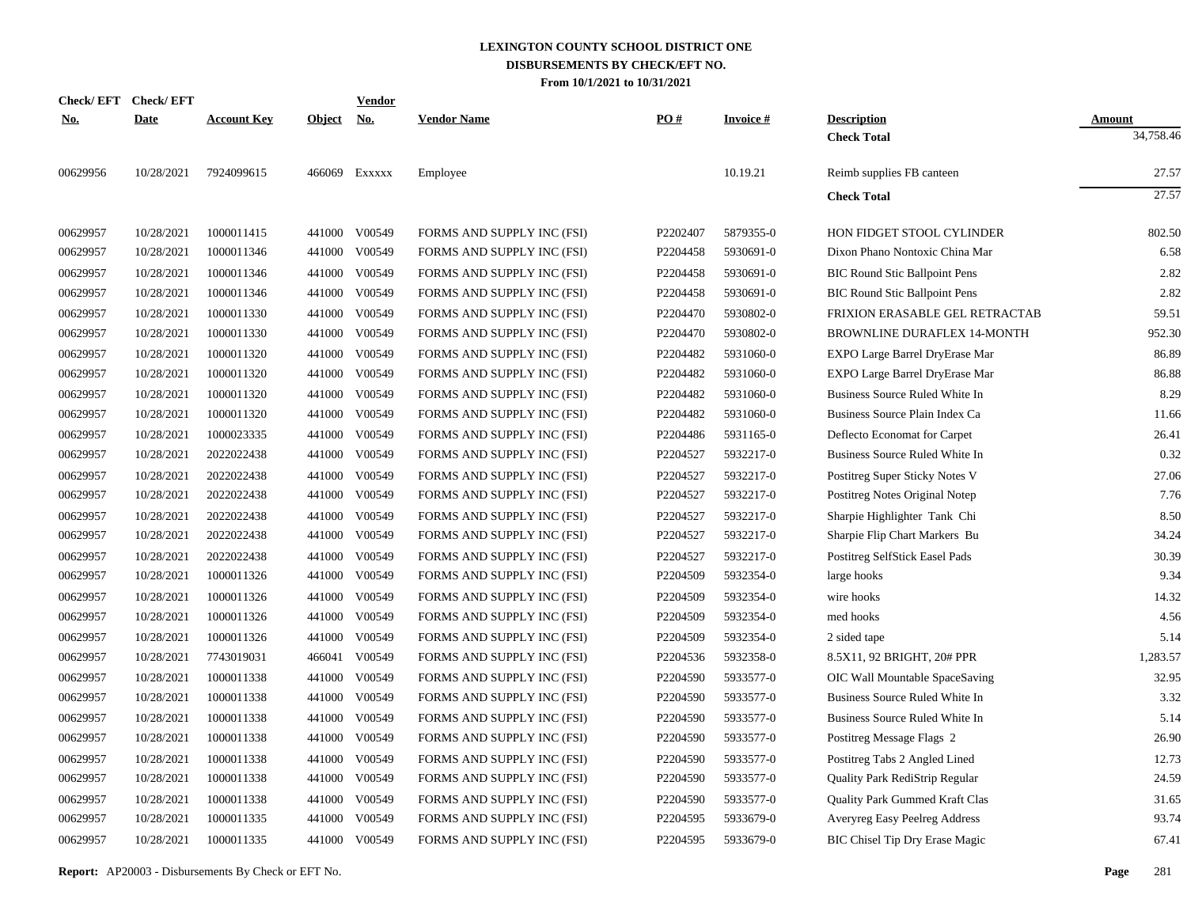|            | Check/EFT Check/EFT |                    |               | <b>Vendor</b> |                            |                      |                 |                                       |               |
|------------|---------------------|--------------------|---------------|---------------|----------------------------|----------------------|-----------------|---------------------------------------|---------------|
| <u>No.</u> | <b>Date</b>         | <b>Account Key</b> | <b>Object</b> | <u>No.</u>    | <b>Vendor Name</b>         | PO#                  | <b>Invoice#</b> | <b>Description</b>                    | <b>Amount</b> |
|            |                     |                    |               |               |                            |                      |                 | <b>Check Total</b>                    | 34,758.46     |
| 00629956   | 10/28/2021          | 7924099615         |               | 466069 Exxxxx | Employee                   |                      | 10.19.21        | Reimb supplies FB canteen             | 27.57         |
|            |                     |                    |               |               |                            |                      |                 | <b>Check Total</b>                    | 27.57         |
| 00629957   | 10/28/2021          | 1000011415         |               | 441000 V00549 | FORMS AND SUPPLY INC (FSI) | P2202407             | 5879355-0       | HON FIDGET STOOL CYLINDER             | 802.50        |
| 00629957   | 10/28/2021          | 1000011346         | 441000        | V00549        | FORMS AND SUPPLY INC (FSI) | P2204458             | 5930691-0       | Dixon Phano Nontoxic China Mar        | 6.58          |
| 00629957   | 10/28/2021          | 1000011346         | 441000        | V00549        | FORMS AND SUPPLY INC (FSI) | P2204458             | 5930691-0       | <b>BIC Round Stic Ballpoint Pens</b>  | 2.82          |
| 00629957   | 10/28/2021          | 1000011346         | 441000        | V00549        | FORMS AND SUPPLY INC (FSI) | P2204458             | 5930691-0       | <b>BIC Round Stic Ballpoint Pens</b>  | 2.82          |
| 00629957   | 10/28/2021          | 1000011330         | 441000        | V00549        | FORMS AND SUPPLY INC (FSI) | P2204470             | 5930802-0       | FRIXION ERASABLE GEL RETRACTAB        | 59.51         |
| 00629957   | 10/28/2021          | 1000011330         | 441000        | V00549        | FORMS AND SUPPLY INC (FSI) | P2204470             | 5930802-0       | BROWNLINE DURAFLEX 14-MONTH           | 952.30        |
| 00629957   | 10/28/2021          | 1000011320         | 441000        | V00549        | FORMS AND SUPPLY INC (FSI) | P2204482             | 5931060-0       | EXPO Large Barrel DryErase Mar        | 86.89         |
| 00629957   | 10/28/2021          | 1000011320         | 441000        | V00549        | FORMS AND SUPPLY INC (FSI) | P2204482             | 5931060-0       | EXPO Large Barrel DryErase Mar        | 86.88         |
| 00629957   | 10/28/2021          | 1000011320         | 441000        | V00549        | FORMS AND SUPPLY INC (FSI) | P2204482             | 5931060-0       | Business Source Ruled White In        | 8.29          |
| 00629957   | 10/28/2021          | 1000011320         | 441000        | V00549        | FORMS AND SUPPLY INC (FSI) | P2204482             | 5931060-0       | Business Source Plain Index Ca        | 11.66         |
| 00629957   | 10/28/2021          | 1000023335         | 441000        | V00549        | FORMS AND SUPPLY INC (FSI) | P2204486             | 5931165-0       | Deflecto Economat for Carpet          | 26.41         |
| 00629957   | 10/28/2021          | 2022022438         | 441000        | V00549        | FORMS AND SUPPLY INC (FSI) | P2204527             | 5932217-0       | Business Source Ruled White In        | 0.32          |
| 00629957   | 10/28/2021          | 2022022438         | 441000        | V00549        | FORMS AND SUPPLY INC (FSI) | P2204527             | 5932217-0       | Postitreg Super Sticky Notes V        | 27.06         |
| 00629957   | 10/28/2021          | 2022022438         | 441000        | V00549        | FORMS AND SUPPLY INC (FSI) | P2204527             | 5932217-0       | Postitreg Notes Original Notep        | 7.76          |
| 00629957   | 10/28/2021          | 2022022438         | 441000        | V00549        | FORMS AND SUPPLY INC (FSI) | P2204527             | 5932217-0       | Sharpie Highlighter Tank Chi          | 8.50          |
| 00629957   | 10/28/2021          | 2022022438         | 441000        | V00549        | FORMS AND SUPPLY INC (FSI) | P2204527             | 5932217-0       | Sharpie Flip Chart Markers Bu         | 34.24         |
| 00629957   | 10/28/2021          | 2022022438         | 441000        | V00549        | FORMS AND SUPPLY INC (FSI) | P2204527             | 5932217-0       | Postitreg SelfStick Easel Pads        | 30.39         |
| 00629957   | 10/28/2021          | 1000011326         | 441000        | V00549        | FORMS AND SUPPLY INC (FSI) | P2204509             | 5932354-0       | large hooks                           | 9.34          |
| 00629957   | 10/28/2021          | 1000011326         | 441000        | V00549        | FORMS AND SUPPLY INC (FSI) | P2204509             | 5932354-0       | wire hooks                            | 14.32         |
| 00629957   | 10/28/2021          | 1000011326         | 441000        | V00549        | FORMS AND SUPPLY INC (FSI) | P2204509             | 5932354-0       | med hooks                             | 4.56          |
| 00629957   | 10/28/2021          | 1000011326         | 441000        | V00549        | FORMS AND SUPPLY INC (FSI) | P2204509             | 5932354-0       | 2 sided tape                          | 5.14          |
| 00629957   | 10/28/2021          | 7743019031         | 466041        | V00549        | FORMS AND SUPPLY INC (FSI) | P2204536             | 5932358-0       | 8.5X11, 92 BRIGHT, 20# PPR            | 1,283.57      |
| 00629957   | 10/28/2021          | 1000011338         | 441000        | V00549        | FORMS AND SUPPLY INC (FSI) | P2204590             | 5933577-0       | OIC Wall Mountable SpaceSaving        | 32.95         |
| 00629957   | 10/28/2021          | 1000011338         | 441000        | V00549        | FORMS AND SUPPLY INC (FSI) | P2204590             | 5933577-0       | Business Source Ruled White In        | 3.32          |
| 00629957   | 10/28/2021          | 1000011338         | 441000        | V00549        | FORMS AND SUPPLY INC (FSI) | P2204590             | 5933577-0       | Business Source Ruled White In        | 5.14          |
| 00629957   | 10/28/2021          | 1000011338         | 441000        | V00549        | FORMS AND SUPPLY INC (FSI) | P2204590             | 5933577-0       | Postitreg Message Flags 2             | 26.90         |
| 00629957   | 10/28/2021          | 1000011338         | 441000        | V00549        | FORMS AND SUPPLY INC (FSI) | P2204590             | 5933577-0       | Postitreg Tabs 2 Angled Lined         | 12.73         |
| 00629957   | 10/28/2021          | 1000011338         | 441000        | V00549        | FORMS AND SUPPLY INC (FSI) | P2204590             | 5933577-0       | Quality Park RediStrip Regular        | 24.59         |
| 00629957   | 10/28/2021          | 1000011338         | 441000        | V00549        | FORMS AND SUPPLY INC (FSI) | P2204590             | 5933577-0       | Quality Park Gummed Kraft Clas        | 31.65         |
| 00629957   | 10/28/2021          | 1000011335         | 441000        | V00549        | FORMS AND SUPPLY INC (FSI) | P <sub>2204595</sub> | 5933679-0       | Averyreg Easy Peelreg Address         | 93.74         |
| 00629957   | 10/28/2021          | 1000011335         |               | 441000 V00549 | FORMS AND SUPPLY INC (FSI) | P <sub>2204595</sub> | 5933679-0       | <b>BIC Chisel Tip Dry Erase Magic</b> | 67.41         |
|            |                     |                    |               |               |                            |                      |                 |                                       |               |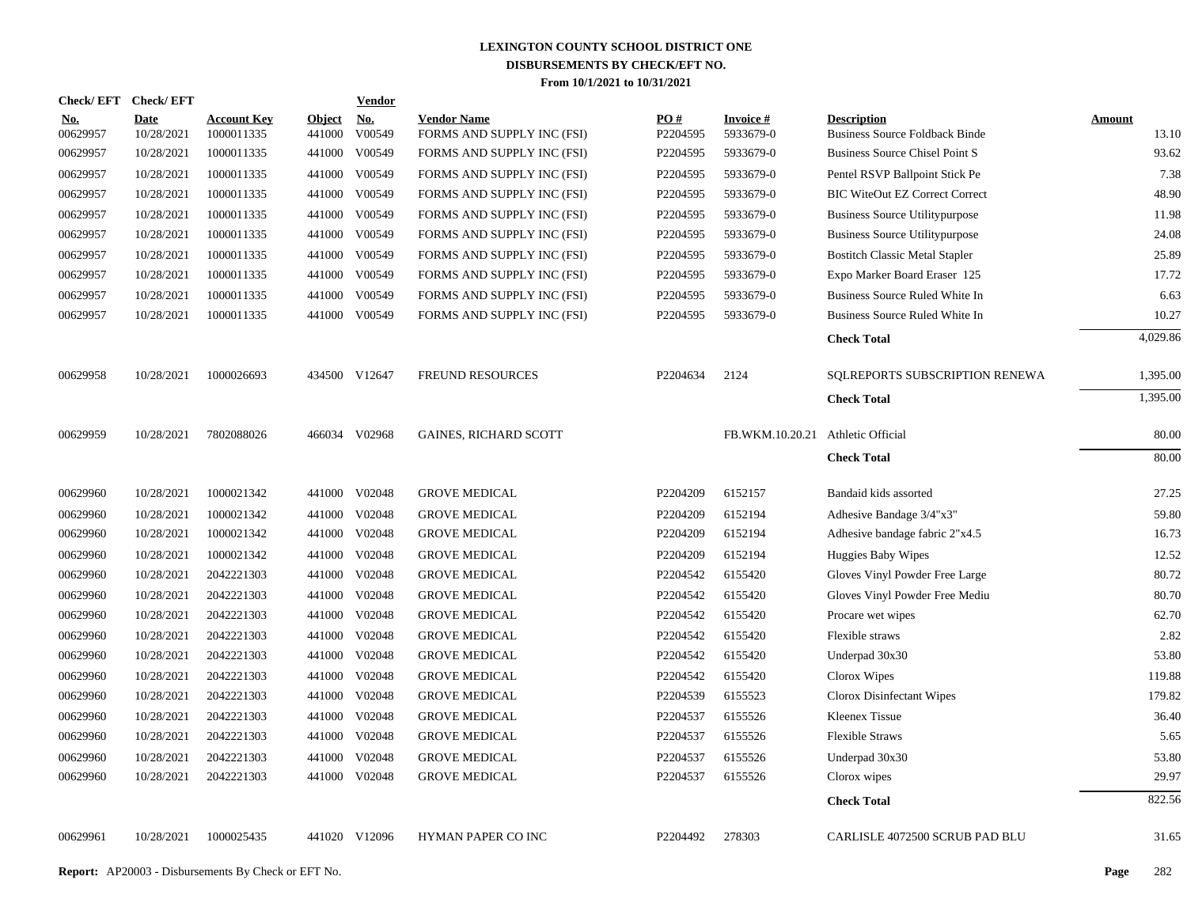| <b>Check/EFT</b>       | <b>Check/EFT</b>          |                                  |                         | <b>Vendor</b>        |                                                  |                 |                                   |                                                             |                 |
|------------------------|---------------------------|----------------------------------|-------------------------|----------------------|--------------------------------------------------|-----------------|-----------------------------------|-------------------------------------------------------------|-----------------|
| <u>No.</u><br>00629957 | <b>Date</b><br>10/28/2021 | <b>Account Key</b><br>1000011335 | <b>Object</b><br>441000 | <u>No.</u><br>V00549 | <b>Vendor Name</b><br>FORMS AND SUPPLY INC (FSI) | PO#<br>P2204595 | Invoice #<br>5933679-0            | <b>Description</b><br><b>Business Source Foldback Binde</b> | Amount<br>13.10 |
| 00629957               | 10/28/2021                | 1000011335                       | 441000                  | V00549               | FORMS AND SUPPLY INC (FSI)                       | P2204595        | 5933679-0                         | <b>Business Source Chisel Point S</b>                       | 93.62           |
| 00629957               | 10/28/2021                | 1000011335                       | 441000                  | V00549               | FORMS AND SUPPLY INC (FSI)                       | P2204595        | 5933679-0                         | Pentel RSVP Ballpoint Stick Pe                              | 7.38            |
| 00629957               | 10/28/2021                | 1000011335                       | 441000                  | V00549               | FORMS AND SUPPLY INC (FSI)                       | P2204595        | 5933679-0                         | <b>BIC WiteOut EZ Correct Correct</b>                       | 48.90           |
| 00629957               | 10/28/2021                | 1000011335                       | 441000                  | V00549               | FORMS AND SUPPLY INC (FSI)                       | P2204595        | 5933679-0                         | <b>Business Source Utilitypurpose</b>                       | 11.98           |
| 00629957               | 10/28/2021                | 1000011335                       | 441000                  | V00549               | FORMS AND SUPPLY INC (FSI)                       | P2204595        | 5933679-0                         | <b>Business Source Utilitypurpose</b>                       | 24.08           |
| 00629957               | 10/28/2021                | 1000011335                       | 441000                  | V00549               | FORMS AND SUPPLY INC (FSI)                       | P2204595        | 5933679-0                         | <b>Bostitch Classic Metal Stapler</b>                       | 25.89           |
| 00629957               | 10/28/2021                | 1000011335                       | 441000                  | V00549               | FORMS AND SUPPLY INC (FSI)                       | P2204595        | 5933679-0                         | Expo Marker Board Eraser 125                                | 17.72           |
| 00629957               | 10/28/2021                | 1000011335                       | 441000                  | V00549               | FORMS AND SUPPLY INC (FSI)                       | P2204595        | 5933679-0                         | Business Source Ruled White In                              | 6.63            |
| 00629957               | 10/28/2021                | 1000011335                       |                         | 441000 V00549        | FORMS AND SUPPLY INC (FSI)                       | P2204595        | 5933679-0                         | Business Source Ruled White In                              | 10.27           |
|                        |                           |                                  |                         |                      |                                                  |                 |                                   | <b>Check Total</b>                                          | 4,029.86        |
| 00629958               | 10/28/2021                | 1000026693                       |                         | 434500 V12647        | <b>FREUND RESOURCES</b>                          | P2204634        | 2124                              | SQLREPORTS SUBSCRIPTION RENEWA                              | 1,395.00        |
|                        |                           |                                  |                         |                      |                                                  |                 |                                   | <b>Check Total</b>                                          | 1,395.00        |
| 00629959               | 10/28/2021                | 7802088026                       |                         | 466034 V02968        | <b>GAINES, RICHARD SCOTT</b>                     |                 | FB.WKM.10.20.21 Athletic Official |                                                             | 80.00           |
|                        |                           |                                  |                         |                      |                                                  |                 |                                   | <b>Check Total</b>                                          | 80.00           |
| 00629960               | 10/28/2021                | 1000021342                       | 441000                  | V02048               | <b>GROVE MEDICAL</b>                             | P2204209        | 6152157                           | Bandaid kids assorted                                       | 27.25           |
| 00629960               | 10/28/2021                | 1000021342                       | 441000                  | V02048               | <b>GROVE MEDICAL</b>                             | P2204209        | 6152194                           | Adhesive Bandage 3/4"x3"                                    | 59.80           |
| 00629960               | 10/28/2021                | 1000021342                       | 441000                  | V02048               | <b>GROVE MEDICAL</b>                             | P2204209        | 6152194                           | Adhesive bandage fabric 2"x4.5                              | 16.73           |
| 00629960               | 10/28/2021                | 1000021342                       | 441000                  | V02048               | <b>GROVE MEDICAL</b>                             | P2204209        | 6152194                           | Huggies Baby Wipes                                          | 12.52           |
| 00629960               | 10/28/2021                | 2042221303                       | 441000                  | V02048               | <b>GROVE MEDICAL</b>                             | P2204542        | 6155420                           | Gloves Vinyl Powder Free Large                              | 80.72           |
| 00629960               | 10/28/2021                | 2042221303                       | 441000                  | V02048               | <b>GROVE MEDICAL</b>                             | P2204542        | 6155420                           | Gloves Vinyl Powder Free Mediu                              | 80.70           |
| 00629960               | 10/28/2021                | 2042221303                       | 441000                  | V02048               | <b>GROVE MEDICAL</b>                             | P2204542        | 6155420                           | Procare wet wipes                                           | 62.70           |
| 00629960               | 10/28/2021                | 2042221303                       | 441000                  | V02048               | <b>GROVE MEDICAL</b>                             | P2204542        | 6155420                           | Flexible straws                                             | 2.82            |
| 00629960               | 10/28/2021                | 2042221303                       | 441000                  | V02048               | <b>GROVE MEDICAL</b>                             | P2204542        | 6155420                           | Underpad 30x30                                              | 53.80           |
| 00629960               | 10/28/2021                | 2042221303                       | 441000                  | V02048               | <b>GROVE MEDICAL</b>                             | P2204542        | 6155420                           | Clorox Wipes                                                | 119.88          |
| 00629960               | 10/28/2021                | 2042221303                       | 441000                  | V02048               | <b>GROVE MEDICAL</b>                             | P2204539        | 6155523                           | Clorox Disinfectant Wipes                                   | 179.82          |
| 00629960               | 10/28/2021                | 2042221303                       | 441000                  | V02048               | <b>GROVE MEDICAL</b>                             | P2204537        | 6155526                           | Kleenex Tissue                                              | 36.40           |
| 00629960               | 10/28/2021                | 2042221303                       | 441000                  | V02048               | <b>GROVE MEDICAL</b>                             | P2204537        | 6155526                           | <b>Flexible Straws</b>                                      | 5.65            |
| 00629960               | 10/28/2021                | 2042221303                       | 441000                  | V02048               | <b>GROVE MEDICAL</b>                             | P2204537        | 6155526                           | Underpad 30x30                                              | 53.80           |
| 00629960               | 10/28/2021                | 2042221303                       |                         | 441000 V02048        | <b>GROVE MEDICAL</b>                             | P2204537        | 6155526                           | Clorox wipes                                                | 29.97           |
|                        |                           |                                  |                         |                      |                                                  |                 |                                   | <b>Check Total</b>                                          | 822.56          |
| 00629961               | 10/28/2021                | 1000025435                       |                         | 441020 V12096        | HYMAN PAPER CO INC                               | P2204492        | 278303                            | CARLISLE 4072500 SCRUB PAD BLU                              | 31.65           |
|                        |                           |                                  |                         |                      |                                                  |                 |                                   |                                                             |                 |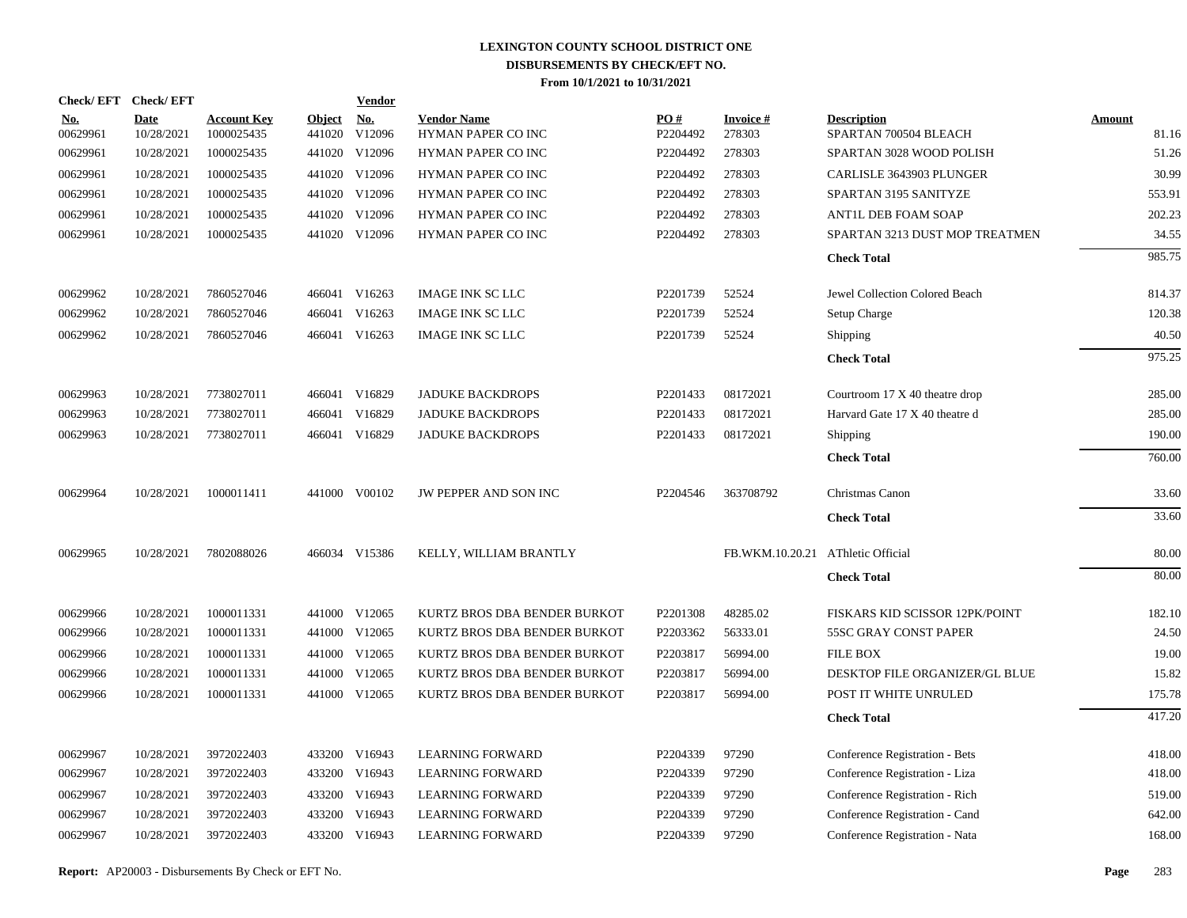| Check/EFT Check/EFT    |                    |                                  |                         | <b>Vendor</b> |                                          |                        |                                   |                                             |                 |
|------------------------|--------------------|----------------------------------|-------------------------|---------------|------------------------------------------|------------------------|-----------------------------------|---------------------------------------------|-----------------|
| <u>No.</u><br>00629961 | Date<br>10/28/2021 | <b>Account Key</b><br>1000025435 | <b>Object</b><br>441020 | No.<br>V12096 | <b>Vendor Name</b><br>HYMAN PAPER CO INC | <b>PO#</b><br>P2204492 | <b>Invoice#</b><br>278303         | <b>Description</b><br>SPARTAN 700504 BLEACH | Amount<br>81.16 |
| 00629961               | 10/28/2021         | 1000025435                       |                         | 441020 V12096 | HYMAN PAPER CO INC                       | P2204492               | 278303                            | SPARTAN 3028 WOOD POLISH                    | 51.26           |
| 00629961               | 10/28/2021         | 1000025435                       |                         | 441020 V12096 | HYMAN PAPER CO INC                       | P2204492               | 278303                            | CARLISLE 3643903 PLUNGER                    | 30.99           |
| 00629961               | 10/28/2021         | 1000025435                       |                         | 441020 V12096 | HYMAN PAPER CO INC                       | P2204492               | 278303                            | SPARTAN 3195 SANITYZE                       | 553.91          |
| 00629961               | 10/28/2021         | 1000025435                       |                         | 441020 V12096 | HYMAN PAPER CO INC                       | P2204492               | 278303                            | ANTIL DEB FOAM SOAP                         | 202.23          |
| 00629961               | 10/28/2021         | 1000025435                       |                         | 441020 V12096 | HYMAN PAPER CO INC                       | P2204492               | 278303                            | SPARTAN 3213 DUST MOP TREATMEN              | 34.55           |
|                        |                    |                                  |                         |               |                                          |                        |                                   | <b>Check Total</b>                          | 985.75          |
| 00629962               | 10/28/2021         | 7860527046                       |                         | 466041 V16263 | <b>IMAGE INK SC LLC</b>                  | P2201739               | 52524                             | Jewel Collection Colored Beach              | 814.37          |
| 00629962               | 10/28/2021         | 7860527046                       |                         | 466041 V16263 | <b>IMAGE INK SC LLC</b>                  | P2201739               | 52524                             | Setup Charge                                | 120.38          |
| 00629962               | 10/28/2021         | 7860527046                       |                         | 466041 V16263 | <b>IMAGE INK SC LLC</b>                  | P2201739               | 52524                             | Shipping                                    | 40.50           |
|                        |                    |                                  |                         |               |                                          |                        |                                   | <b>Check Total</b>                          | 975.25          |
| 00629963               | 10/28/2021         | 7738027011                       |                         | 466041 V16829 | <b>JADUKE BACKDROPS</b>                  | P2201433               | 08172021                          | Courtroom 17 X 40 theatre drop              | 285.00          |
| 00629963               | 10/28/2021         | 7738027011                       | 466041                  | V16829        | <b>JADUKE BACKDROPS</b>                  | P2201433               | 08172021                          | Harvard Gate 17 X 40 theatre d              | 285.00          |
| 00629963               | 10/28/2021         | 7738027011                       |                         | 466041 V16829 | <b>JADUKE BACKDROPS</b>                  | P2201433               | 08172021                          | Shipping                                    | 190.00          |
|                        |                    |                                  |                         |               |                                          |                        |                                   | <b>Check Total</b>                          | 760.00          |
| 00629964               | 10/28/2021         | 1000011411                       |                         | 441000 V00102 | JW PEPPER AND SON INC                    | P2204546               | 363708792                         | Christmas Canon                             | 33.60           |
|                        |                    |                                  |                         |               |                                          |                        |                                   | <b>Check Total</b>                          | 33.60           |
| 00629965               | 10/28/2021         | 7802088026                       |                         | 466034 V15386 | KELLY, WILLIAM BRANTLY                   |                        | FB.WKM.10.20.21 AThletic Official |                                             | 80.00           |
|                        |                    |                                  |                         |               |                                          |                        |                                   | <b>Check Total</b>                          | 80.00           |
| 00629966               | 10/28/2021         | 1000011331                       |                         | 441000 V12065 | KURTZ BROS DBA BENDER BURKOT             | P2201308               | 48285.02                          | FISKARS KID SCISSOR 12PK/POINT              | 182.10          |
| 00629966               | 10/28/2021         | 1000011331                       |                         | 441000 V12065 | KURTZ BROS DBA BENDER BURKOT             | P2203362               | 56333.01                          | 55SC GRAY CONST PAPER                       | 24.50           |
| 00629966               | 10/28/2021         | 1000011331                       |                         | 441000 V12065 | KURTZ BROS DBA BENDER BURKOT             | P2203817               | 56994.00                          | <b>FILE BOX</b>                             | 19.00           |
| 00629966               | 10/28/2021         | 1000011331                       |                         | 441000 V12065 | KURTZ BROS DBA BENDER BURKOT             | P2203817               | 56994.00                          | DESKTOP FILE ORGANIZER/GL BLUE              | 15.82           |
| 00629966               | 10/28/2021         | 1000011331                       |                         | 441000 V12065 | KURTZ BROS DBA BENDER BURKOT             | P2203817               | 56994.00                          | POST IT WHITE UNRULED                       | 175.78          |
|                        |                    |                                  |                         |               |                                          |                        |                                   | <b>Check Total</b>                          | 417.20          |
| 00629967               | 10/28/2021         | 3972022403                       |                         | 433200 V16943 | <b>LEARNING FORWARD</b>                  | P2204339               | 97290                             | Conference Registration - Bets              | 418.00          |
| 00629967               | 10/28/2021         | 3972022403                       |                         | 433200 V16943 | <b>LEARNING FORWARD</b>                  | P2204339               | 97290                             | Conference Registration - Liza              | 418.00          |
| 00629967               | 10/28/2021         | 3972022403                       |                         | 433200 V16943 | LEARNING FORWARD                         | P2204339               | 97290                             | Conference Registration - Rich              | 519.00          |
| 00629967               | 10/28/2021         | 3972022403                       | 433200                  | V16943        | <b>LEARNING FORWARD</b>                  | P2204339               | 97290                             | Conference Registration - Cand              | 642.00          |
| 00629967               | 10/28/2021         | 3972022403                       |                         | 433200 V16943 | <b>LEARNING FORWARD</b>                  | P2204339               | 97290                             | Conference Registration - Nata              | 168.00          |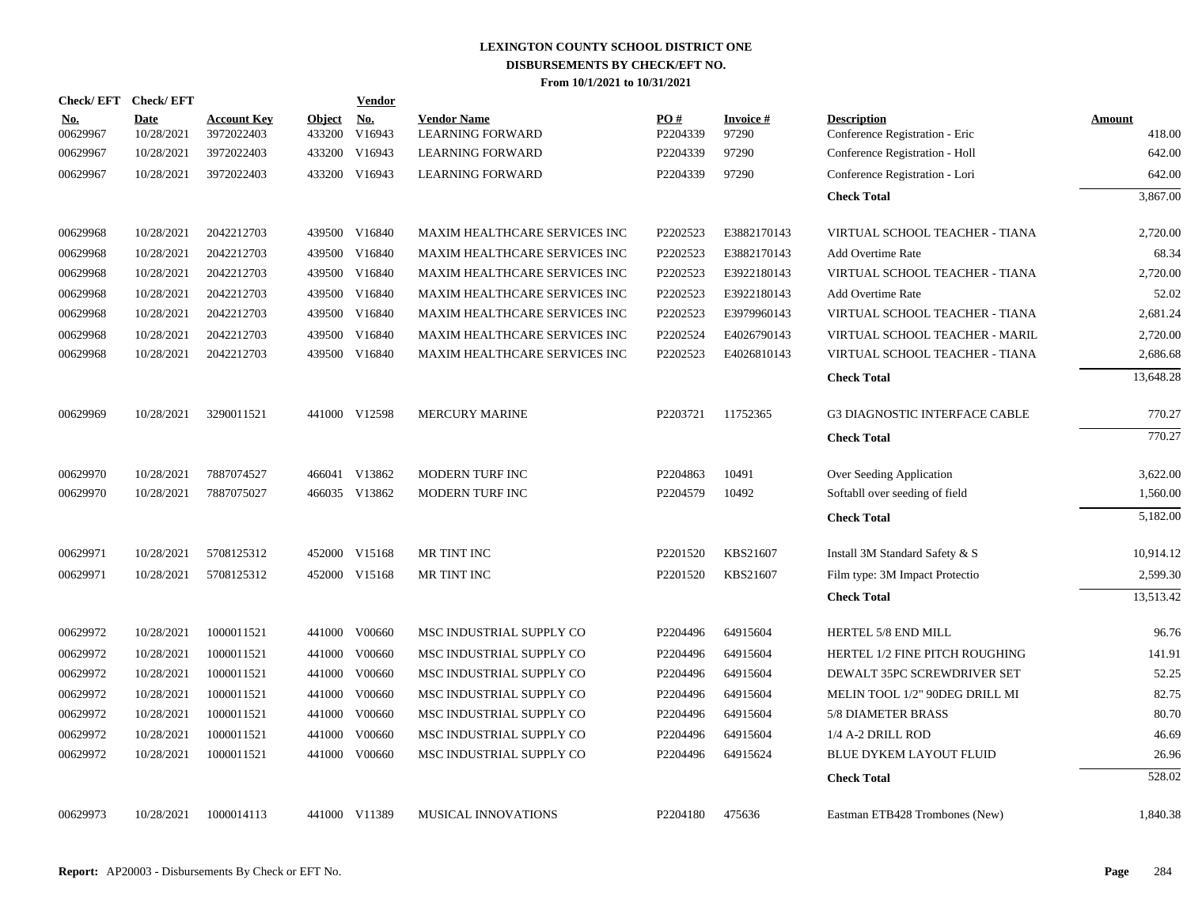| <b>Check/EFT</b>       | <b>Check/EFT</b>   |                                  |                         | <b>Vendor</b>        |                                               |                 |                          |                                                      |                         |
|------------------------|--------------------|----------------------------------|-------------------------|----------------------|-----------------------------------------------|-----------------|--------------------------|------------------------------------------------------|-------------------------|
| <u>No.</u><br>00629967 | Date<br>10/28/2021 | <b>Account Key</b><br>3972022403 | <b>Object</b><br>433200 | <u>No.</u><br>V16943 | <b>Vendor Name</b><br><b>LEARNING FORWARD</b> | PO#<br>P2204339 | <b>Invoice#</b><br>97290 | <b>Description</b><br>Conference Registration - Eric | <b>Amount</b><br>418.00 |
| 00629967               | 10/28/2021         | 3972022403                       | 433200                  | V16943               | <b>LEARNING FORWARD</b>                       | P2204339        | 97290                    | Conference Registration - Holl                       | 642.00                  |
| 00629967               | 10/28/2021         | 3972022403                       | 433200                  | V16943               | <b>LEARNING FORWARD</b>                       | P2204339        | 97290                    | Conference Registration - Lori                       | 642.00                  |
|                        |                    |                                  |                         |                      |                                               |                 |                          | <b>Check Total</b>                                   | 3,867.00                |
| 00629968               | 10/28/2021         | 2042212703                       |                         | 439500 V16840        | MAXIM HEALTHCARE SERVICES INC                 | P2202523        | E3882170143              | VIRTUAL SCHOOL TEACHER - TIANA                       | 2,720.00                |
| 00629968               | 10/28/2021         | 2042212703                       | 439500                  | V16840               | <b>MAXIM HEALTHCARE SERVICES INC</b>          | P2202523        | E3882170143              | Add Overtime Rate                                    | 68.34                   |
| 00629968               | 10/28/2021         | 2042212703                       | 439500                  | V16840               | MAXIM HEALTHCARE SERVICES INC                 | P2202523        | E3922180143              | VIRTUAL SCHOOL TEACHER - TIANA                       | 2,720.00                |
| 00629968               | 10/28/2021         | 2042212703                       | 439500                  | V16840               | MAXIM HEALTHCARE SERVICES INC                 | P2202523        | E3922180143              | <b>Add Overtime Rate</b>                             | 52.02                   |
| 00629968               | 10/28/2021         | 2042212703                       | 439500                  | V16840               | MAXIM HEALTHCARE SERVICES INC                 | P2202523        | E3979960143              | VIRTUAL SCHOOL TEACHER - TIANA                       | 2,681.24                |
| 00629968               | 10/28/2021         | 2042212703                       | 439500                  | V16840               | MAXIM HEALTHCARE SERVICES INC                 | P2202524        | E4026790143              | VIRTUAL SCHOOL TEACHER - MARIL                       | 2,720.00                |
| 00629968               | 10/28/2021         | 2042212703                       |                         | 439500 V16840        | MAXIM HEALTHCARE SERVICES INC                 | P2202523        | E4026810143              | VIRTUAL SCHOOL TEACHER - TIANA                       | 2,686.68                |
|                        |                    |                                  |                         |                      |                                               |                 |                          | <b>Check Total</b>                                   | 13,648.28               |
| 00629969               | 10/28/2021         | 3290011521                       |                         | 441000 V12598        | <b>MERCURY MARINE</b>                         | P2203721        | 11752365                 | <b>G3 DIAGNOSTIC INTERFACE CABLE</b>                 | 770.27                  |
|                        |                    |                                  |                         |                      |                                               |                 |                          | <b>Check Total</b>                                   | 770.27                  |
| 00629970               | 10/28/2021         | 7887074527                       |                         | 466041 V13862        | MODERN TURF INC                               | P2204863        | 10491                    | Over Seeding Application                             | 3,622.00                |
| 00629970               | 10/28/2021         | 7887075027                       | 466035                  | V13862               | MODERN TURF INC                               | P2204579        | 10492                    | Softabll over seeding of field                       | 1,560.00                |
|                        |                    |                                  |                         |                      |                                               |                 |                          | <b>Check Total</b>                                   | 5,182.00                |
| 00629971               | 10/28/2021         | 5708125312                       | 452000                  | V15168               | MR TINT INC                                   | P2201520        | KBS21607                 | Install 3M Standard Safety & S                       | 10,914.12               |
| 00629971               | 10/28/2021         | 5708125312                       |                         | 452000 V15168        | MR TINT INC                                   | P2201520        | KBS21607                 | Film type: 3M Impact Protectio                       | 2.599.30                |
|                        |                    |                                  |                         |                      |                                               |                 |                          | <b>Check Total</b>                                   | 13,513.42               |
| 00629972               | 10/28/2021         | 1000011521                       | 441000                  | V00660               | MSC INDUSTRIAL SUPPLY CO                      | P2204496        | 64915604                 | HERTEL 5/8 END MILL                                  | 96.76                   |
| 00629972               | 10/28/2021         | 1000011521                       | 441000                  | V00660               | MSC INDUSTRIAL SUPPLY CO                      | P2204496        | 64915604                 | HERTEL 1/2 FINE PITCH ROUGHING                       | 141.91                  |
| 00629972               | 10/28/2021         | 1000011521                       | 441000                  | V00660               | MSC INDUSTRIAL SUPPLY CO                      | P2204496        | 64915604                 | DEWALT 35PC SCREWDRIVER SET                          | 52.25                   |
| 00629972               | 10/28/2021         | 1000011521                       | 441000                  | V00660               | MSC INDUSTRIAL SUPPLY CO                      | P2204496        | 64915604                 | MELIN TOOL 1/2" 90DEG DRILL MI                       | 82.75                   |
| 00629972               | 10/28/2021         | 1000011521                       | 441000                  | V00660               | MSC INDUSTRIAL SUPPLY CO                      | P2204496        | 64915604                 | 5/8 DIAMETER BRASS                                   | 80.70                   |
| 00629972               | 10/28/2021         | 1000011521                       | 441000                  | V00660               | MSC INDUSTRIAL SUPPLY CO                      | P2204496        | 64915604                 | 1/4 A-2 DRILL ROD                                    | 46.69                   |
| 00629972               | 10/28/2021         | 1000011521                       |                         | 441000 V00660        | MSC INDUSTRIAL SUPPLY CO                      | P2204496        | 64915624                 | BLUE DYKEM LAYOUT FLUID                              | 26.96                   |
|                        |                    |                                  |                         |                      |                                               |                 |                          | <b>Check Total</b>                                   | 528.02                  |
| 00629973               | 10/28/2021         | 1000014113                       |                         | 441000 V11389        | <b>MUSICAL INNOVATIONS</b>                    | P2204180        | 475636                   | Eastman ETB428 Trombones (New)                       | 1,840.38                |
|                        |                    |                                  |                         |                      |                                               |                 |                          |                                                      |                         |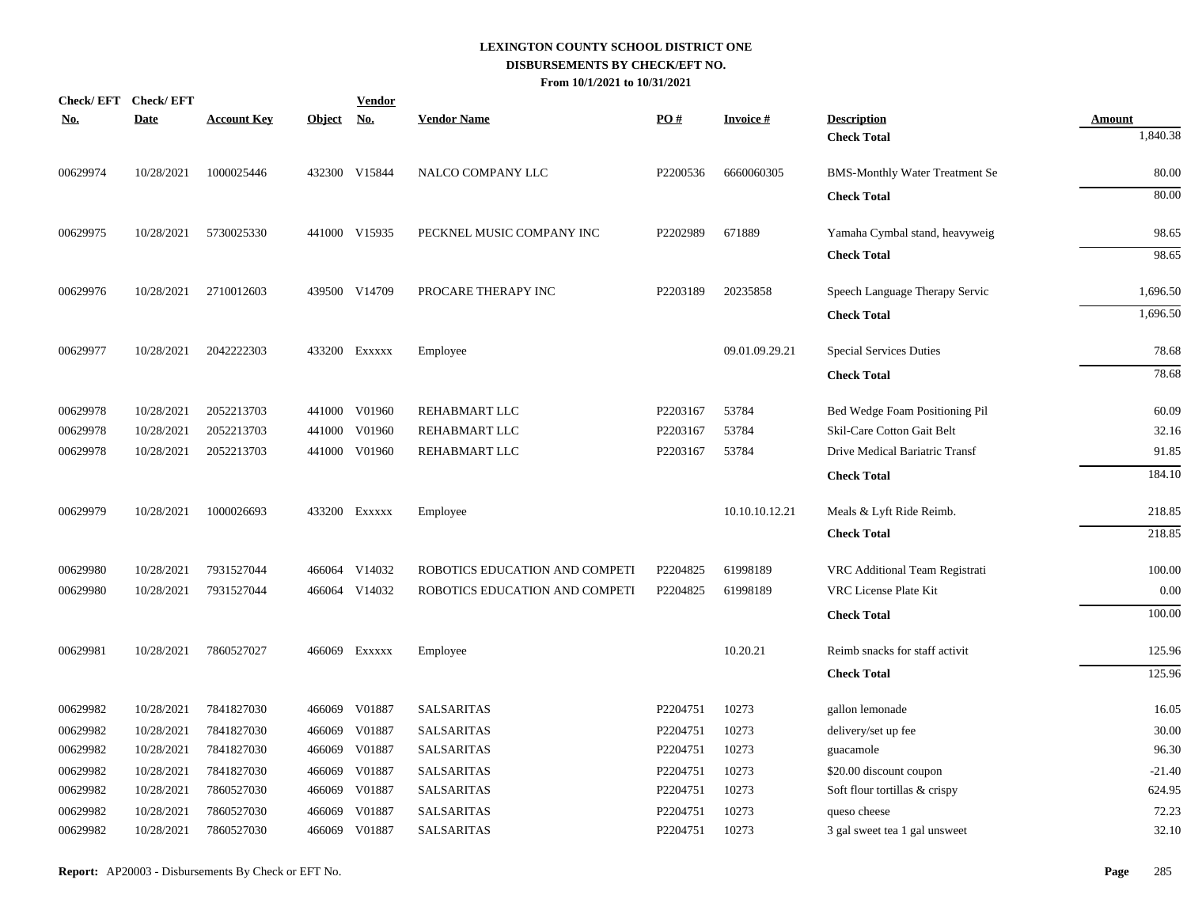| <u>No.</u> | Check/EFT Check/EFT<br><b>Date</b> | <b>Account Key</b> | Object No. | <b>Vendor</b> | <b>Vendor Name</b>             | PO#      | <b>Invoice#</b> | <b>Description</b>                    | <b>Amount</b> |
|------------|------------------------------------|--------------------|------------|---------------|--------------------------------|----------|-----------------|---------------------------------------|---------------|
|            |                                    |                    |            |               |                                |          |                 | <b>Check Total</b>                    | 1,840.38      |
| 00629974   | 10/28/2021                         | 1000025446         |            | 432300 V15844 | NALCO COMPANY LLC              | P2200536 | 6660060305      | <b>BMS-Monthly Water Treatment Se</b> | 80.00         |
|            |                                    |                    |            |               |                                |          |                 | <b>Check Total</b>                    | 80.00         |
| 00629975   | 10/28/2021                         | 5730025330         |            | 441000 V15935 | PECKNEL MUSIC COMPANY INC      | P2202989 | 671889          | Yamaha Cymbal stand, heavyweig        | 98.65         |
|            |                                    |                    |            |               |                                |          |                 | <b>Check Total</b>                    | 98.65         |
| 00629976   | 10/28/2021                         | 2710012603         |            | 439500 V14709 | PROCARE THERAPY INC            | P2203189 | 20235858        | Speech Language Therapy Servic        | 1,696.50      |
|            |                                    |                    |            |               |                                |          |                 | <b>Check Total</b>                    | 1,696.50      |
| 00629977   | 10/28/2021                         | 2042222303         |            | 433200 Exxxxx | Employee                       |          | 09.01.09.29.21  | <b>Special Services Duties</b>        | 78.68         |
|            |                                    |                    |            |               |                                |          |                 | <b>Check Total</b>                    | 78.68         |
| 00629978   | 10/28/2021                         | 2052213703         | 441000     | V01960        | REHABMART LLC                  | P2203167 | 53784           | Bed Wedge Foam Positioning Pil        | 60.09         |
| 00629978   | 10/28/2021                         | 2052213703         | 441000     | V01960        | REHABMART LLC                  | P2203167 | 53784           | Skil-Care Cotton Gait Belt            | 32.16         |
| 00629978   | 10/28/2021                         | 2052213703         |            | 441000 V01960 | REHABMART LLC                  | P2203167 | 53784           | Drive Medical Bariatric Transf        | 91.85         |
|            |                                    |                    |            |               |                                |          |                 | <b>Check Total</b>                    | 184.10        |
| 00629979   | 10/28/2021                         | 1000026693         |            | 433200 Exxxxx | Employee                       |          | 10.10.10.12.21  | Meals & Lyft Ride Reimb.              | 218.85        |
|            |                                    |                    |            |               |                                |          |                 | <b>Check Total</b>                    | 218.85        |
| 00629980   | 10/28/2021                         | 7931527044         |            | 466064 V14032 | ROBOTICS EDUCATION AND COMPETI | P2204825 | 61998189        | VRC Additional Team Registrati        | 100.00        |
| 00629980   | 10/28/2021                         | 7931527044         |            | 466064 V14032 | ROBOTICS EDUCATION AND COMPETI | P2204825 | 61998189        | VRC License Plate Kit                 | 0.00          |
|            |                                    |                    |            |               |                                |          |                 | <b>Check Total</b>                    | 100.00        |
| 00629981   | 10/28/2021                         | 7860527027         |            | 466069 Exxxxx | Employee                       |          | 10.20.21        | Reimb snacks for staff activit        | 125.96        |
|            |                                    |                    |            |               |                                |          |                 | <b>Check Total</b>                    | 125.96        |
| 00629982   | 10/28/2021                         | 7841827030         | 466069     | V01887        | <b>SALSARITAS</b>              | P2204751 | 10273           | gallon lemonade                       | 16.05         |
| 00629982   | 10/28/2021                         | 7841827030         | 466069     | V01887        | <b>SALSARITAS</b>              | P2204751 | 10273           | delivery/set up fee                   | 30.00         |
| 00629982   | 10/28/2021                         | 7841827030         | 466069     | V01887        | SALSARITAS                     | P2204751 | 10273           | guacamole                             | 96.30         |
| 00629982   | 10/28/2021                         | 7841827030         | 466069     | V01887        | <b>SALSARITAS</b>              | P2204751 | 10273           | \$20.00 discount coupon               | $-21.40$      |
| 00629982   | 10/28/2021                         | 7860527030         | 466069     | V01887        | <b>SALSARITAS</b>              | P2204751 | 10273           | Soft flour tortillas & crispy         | 624.95        |
| 00629982   | 10/28/2021                         | 7860527030         | 466069     | V01887        | <b>SALSARITAS</b>              | P2204751 | 10273           | queso cheese                          | 72.23         |
| 00629982   | 10/28/2021                         | 7860527030         | 466069     | V01887        | <b>SALSARITAS</b>              | P2204751 | 10273           | 3 gal sweet tea 1 gal unsweet         | 32.10         |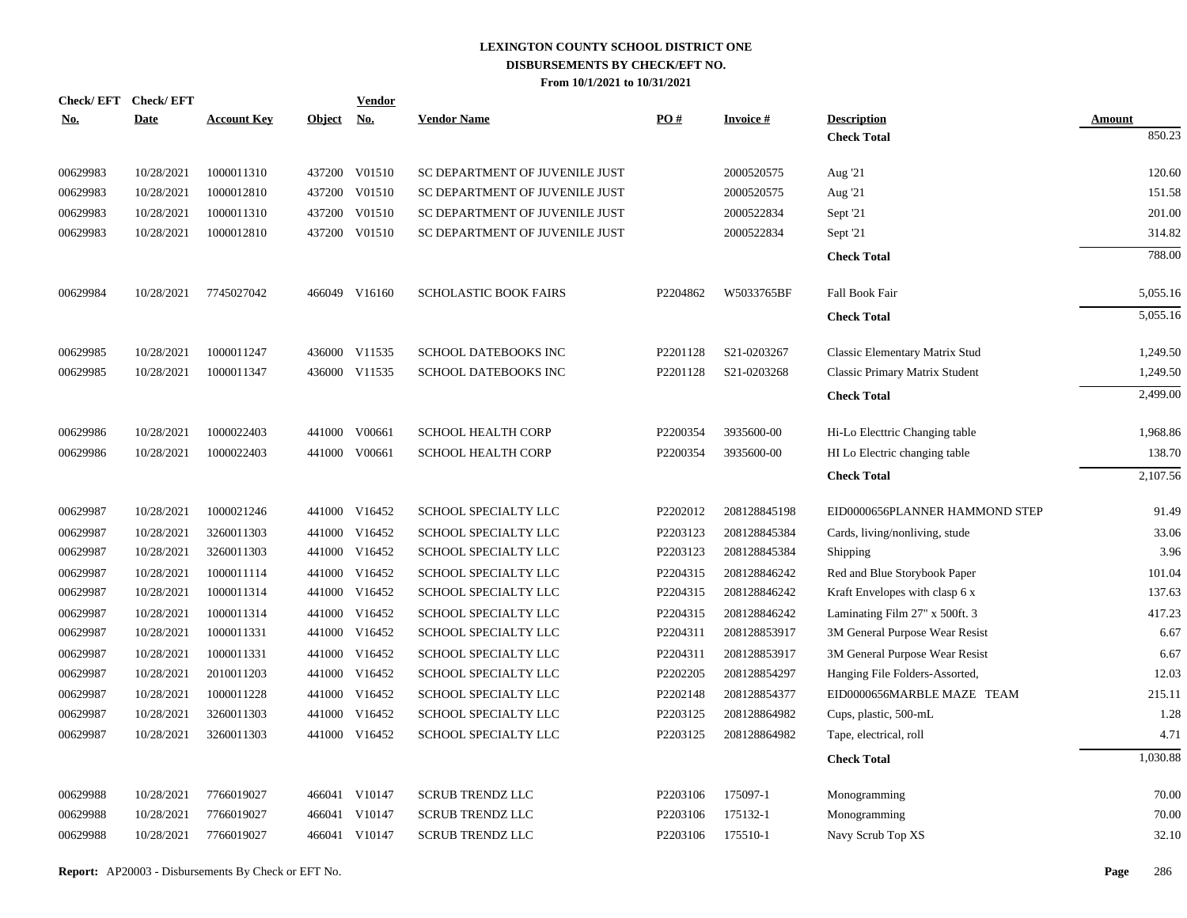|            | Check/EFT Check/EFT |                    |               | <b>Vendor</b> |                                |          |                 |                                |               |
|------------|---------------------|--------------------|---------------|---------------|--------------------------------|----------|-----------------|--------------------------------|---------------|
| <u>No.</u> | <b>Date</b>         | <b>Account Key</b> | <b>Object</b> | <u>No.</u>    | <b>Vendor Name</b>             | PO#      | <b>Invoice#</b> | <b>Description</b>             | <b>Amount</b> |
|            |                     |                    |               |               |                                |          |                 | <b>Check Total</b>             | 850.23        |
| 00629983   | 10/28/2021          | 1000011310         |               | 437200 V01510 | SC DEPARTMENT OF JUVENILE JUST |          | 2000520575      | Aug '21                        | 120.60        |
| 00629983   | 10/28/2021          | 1000012810         | 437200        | V01510        | SC DEPARTMENT OF JUVENILE JUST |          | 2000520575      | Aug '21                        | 151.58        |
| 00629983   | 10/28/2021          | 1000011310         | 437200        | V01510        | SC DEPARTMENT OF JUVENILE JUST |          | 2000522834      | Sept '21                       | 201.00        |
| 00629983   | 10/28/2021          | 1000012810         | 437200        | V01510        | SC DEPARTMENT OF JUVENILE JUST |          | 2000522834      | Sept '21                       | 314.82        |
|            |                     |                    |               |               |                                |          |                 | <b>Check Total</b>             | 788.00        |
| 00629984   | 10/28/2021          | 7745027042         |               | 466049 V16160 | <b>SCHOLASTIC BOOK FAIRS</b>   | P2204862 | W5033765BF      | Fall Book Fair                 | 5,055.16      |
|            |                     |                    |               |               |                                |          |                 | <b>Check Total</b>             | 5,055.16      |
| 00629985   | 10/28/2021          | 1000011247         |               | 436000 V11535 | SCHOOL DATEBOOKS INC           | P2201128 | S21-0203267     | Classic Elementary Matrix Stud | 1,249.50      |
| 00629985   | 10/28/2021          | 1000011347         |               | 436000 V11535 | SCHOOL DATEBOOKS INC           | P2201128 | S21-0203268     | Classic Primary Matrix Student | 1,249.50      |
|            |                     |                    |               |               |                                |          |                 | <b>Check Total</b>             | 2,499.00      |
| 00629986   | 10/28/2021          | 1000022403         |               | 441000 V00661 | <b>SCHOOL HEALTH CORP</b>      | P2200354 | 3935600-00      | Hi-Lo Electtric Changing table | 1,968.86      |
| 00629986   | 10/28/2021          | 1000022403         |               | 441000 V00661 | <b>SCHOOL HEALTH CORP</b>      | P2200354 | 3935600-00      | HI Lo Electric changing table  | 138.70        |
|            |                     |                    |               |               |                                |          |                 | <b>Check Total</b>             | 2,107.56      |
| 00629987   | 10/28/2021          | 1000021246         |               | 441000 V16452 | SCHOOL SPECIALTY LLC           | P2202012 | 208128845198    | EID0000656PLANNER HAMMOND STEP | 91.49         |
| 00629987   | 10/28/2021          | 3260011303         |               | 441000 V16452 | SCHOOL SPECIALTY LLC           | P2203123 | 208128845384    | Cards, living/nonliving, stude | 33.06         |
| 00629987   | 10/28/2021          | 3260011303         | 441000        | V16452        | SCHOOL SPECIALTY LLC           | P2203123 | 208128845384    | Shipping                       | 3.96          |
| 00629987   | 10/28/2021          | 1000011114         |               | 441000 V16452 | SCHOOL SPECIALTY LLC           | P2204315 | 208128846242    | Red and Blue Storybook Paper   | 101.04        |
| 00629987   | 10/28/2021          | 1000011314         | 441000        | V16452        | SCHOOL SPECIALTY LLC           | P2204315 | 208128846242    | Kraft Envelopes with clasp 6 x | 137.63        |
| 00629987   | 10/28/2021          | 1000011314         |               | 441000 V16452 | SCHOOL SPECIALTY LLC           | P2204315 | 208128846242    | Laminating Film 27" x 500ft. 3 | 417.23        |
| 00629987   | 10/28/2021          | 1000011331         | 441000        | V16452        | SCHOOL SPECIALTY LLC           | P2204311 | 208128853917    | 3M General Purpose Wear Resist | 6.67          |
| 00629987   | 10/28/2021          | 1000011331         |               | 441000 V16452 | SCHOOL SPECIALTY LLC           | P2204311 | 208128853917    | 3M General Purpose Wear Resist | 6.67          |
| 00629987   | 10/28/2021          | 2010011203         | 441000        | V16452        | SCHOOL SPECIALTY LLC           | P2202205 | 208128854297    | Hanging File Folders-Assorted, | 12.03         |
| 00629987   | 10/28/2021          | 1000011228         |               | 441000 V16452 | SCHOOL SPECIALTY LLC           | P2202148 | 208128854377    | EID0000656MARBLE MAZE TEAM     | 215.11        |
| 00629987   | 10/28/2021          | 3260011303         | 441000        | V16452        | SCHOOL SPECIALTY LLC           | P2203125 | 208128864982    | Cups, plastic, 500-mL          | 1.28          |
| 00629987   | 10/28/2021          | 3260011303         |               | 441000 V16452 | SCHOOL SPECIALTY LLC           | P2203125 | 208128864982    | Tape, electrical, roll         | 4.71          |
|            |                     |                    |               |               |                                |          |                 | <b>Check Total</b>             | 1,030.88      |
| 00629988   | 10/28/2021          | 7766019027         |               | 466041 V10147 | <b>SCRUB TRENDZ LLC</b>        | P2203106 | 175097-1        | Monogramming                   | 70.00         |
| 00629988   | 10/28/2021          | 7766019027         |               | 466041 V10147 | <b>SCRUB TRENDZ LLC</b>        | P2203106 | 175132-1        | Monogramming                   | 70.00         |
| 00629988   | 10/28/2021          | 7766019027         |               | 466041 V10147 | <b>SCRUB TRENDZ LLC</b>        | P2203106 | 175510-1        | Navy Scrub Top XS              | 32.10         |
|            |                     |                    |               |               |                                |          |                 |                                |               |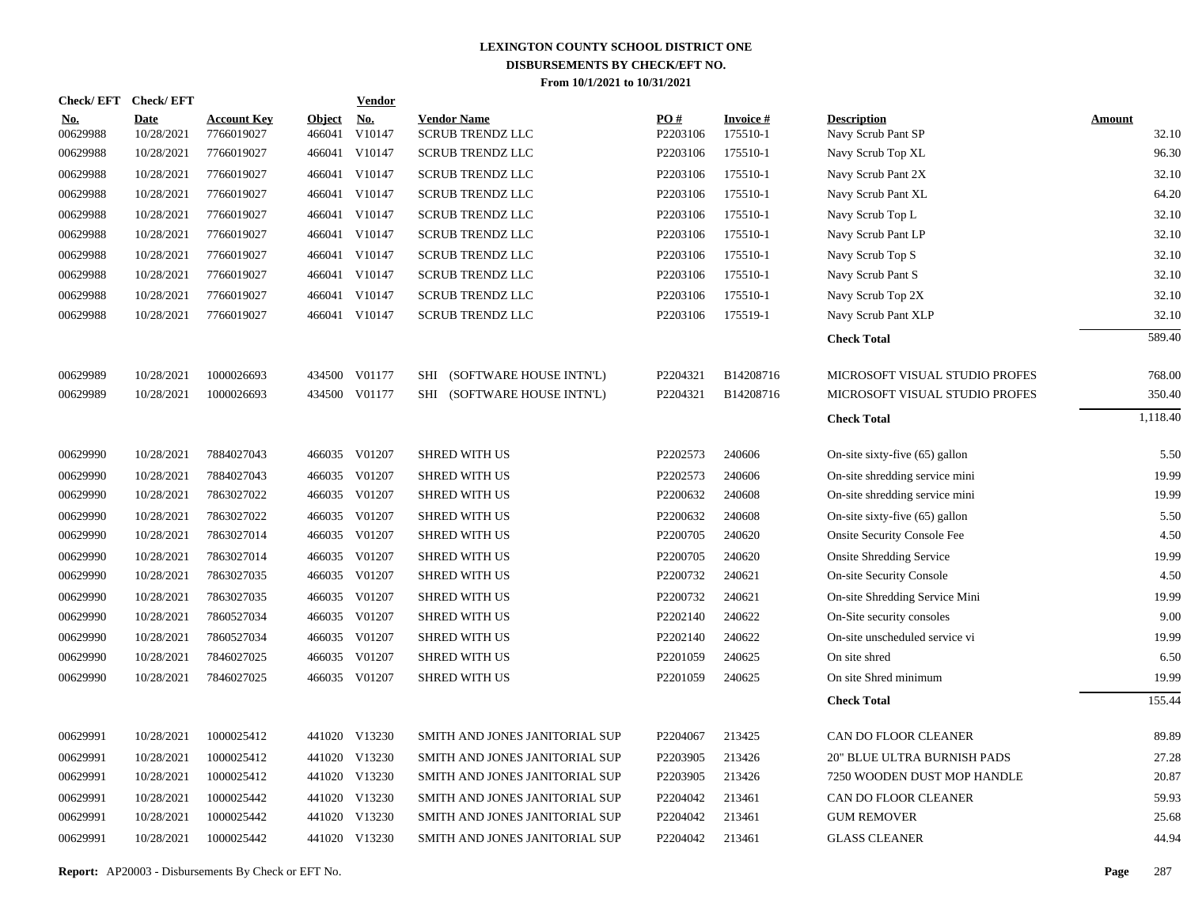| Check/EFT Check/EFT    |                           |                                  |                         | <b>Vendor</b>                       |                                               |                 |                             |                                          |                        |
|------------------------|---------------------------|----------------------------------|-------------------------|-------------------------------------|-----------------------------------------------|-----------------|-----------------------------|------------------------------------------|------------------------|
| <u>No.</u><br>00629988 | <b>Date</b><br>10/28/2021 | <b>Account Key</b><br>7766019027 | <b>Object</b><br>466041 | $\underline{\mathrm{No}}$<br>V10147 | <b>Vendor Name</b><br><b>SCRUB TRENDZ LLC</b> | PO#<br>P2203106 | <b>Invoice#</b><br>175510-1 | <b>Description</b><br>Navy Scrub Pant SP | <b>Amount</b><br>32.10 |
| 00629988               | 10/28/2021                | 7766019027                       |                         | 466041 V10147                       | <b>SCRUB TRENDZ LLC</b>                       | P2203106        | 175510-1                    | Navy Scrub Top XL                        | 96.30                  |
| 00629988               | 10/28/2021                | 7766019027                       |                         | 466041 V10147                       | <b>SCRUB TRENDZ LLC</b>                       | P2203106        | 175510-1                    | Navy Scrub Pant 2X                       | 32.10                  |
| 00629988               | 10/28/2021                | 7766019027                       |                         | 466041 V10147                       | <b>SCRUB TRENDZ LLC</b>                       | P2203106        | 175510-1                    | Navy Scrub Pant XL                       | 64.20                  |
| 00629988               | 10/28/2021                | 7766019027                       |                         | 466041 V10147                       | <b>SCRUB TRENDZ LLC</b>                       | P2203106        | 175510-1                    | Navy Scrub Top L                         | 32.10                  |
| 00629988               | 10/28/2021                | 7766019027                       |                         | 466041 V10147                       | <b>SCRUB TRENDZ LLC</b>                       | P2203106        | 175510-1                    | Navy Scrub Pant LP                       | 32.10                  |
| 00629988               | 10/28/2021                | 7766019027                       |                         | 466041 V10147                       | <b>SCRUB TRENDZ LLC</b>                       | P2203106        | 175510-1                    | Navy Scrub Top S                         | 32.10                  |
| 00629988               | 10/28/2021                | 7766019027                       |                         | 466041 V10147                       | <b>SCRUB TRENDZ LLC</b>                       | P2203106        | 175510-1                    | Navy Scrub Pant S                        | 32.10                  |
| 00629988               | 10/28/2021                | 7766019027                       |                         | 466041 V10147                       | <b>SCRUB TRENDZ LLC</b>                       | P2203106        | 175510-1                    | Navy Scrub Top 2X                        | 32.10                  |
| 00629988               | 10/28/2021                | 7766019027                       |                         | 466041 V10147                       | <b>SCRUB TRENDZ LLC</b>                       | P2203106        | 175519-1                    | Navy Scrub Pant XLP                      | 32.10                  |
|                        |                           |                                  |                         |                                     |                                               |                 |                             | <b>Check Total</b>                       | 589.40                 |
| 00629989               | 10/28/2021                | 1000026693                       |                         | 434500 V01177                       | SHI (SOFTWARE HOUSE INTN'L)                   | P2204321        | B14208716                   | MICROSOFT VISUAL STUDIO PROFES           | 768.00                 |
| 00629989               | 10/28/2021                | 1000026693                       |                         | 434500 V01177                       | SHI (SOFTWARE HOUSE INTN'L)                   | P2204321        | B14208716                   | MICROSOFT VISUAL STUDIO PROFES           | 350.40                 |
|                        |                           |                                  |                         |                                     |                                               |                 |                             | <b>Check Total</b>                       | 1,118.40               |
| 00629990               | 10/28/2021                | 7884027043                       |                         | 466035 V01207                       | <b>SHRED WITH US</b>                          | P2202573        | 240606                      | On-site sixty-five $(65)$ gallon         | 5.50                   |
| 00629990               | 10/28/2021                | 7884027043                       |                         | 466035 V01207                       | <b>SHRED WITH US</b>                          | P2202573        | 240606                      | On-site shredding service mini           | 19.99                  |
| 00629990               | 10/28/2021                | 7863027022                       |                         | 466035 V01207                       | <b>SHRED WITH US</b>                          | P2200632        | 240608                      | On-site shredding service mini           | 19.99                  |
| 00629990               | 10/28/2021                | 7863027022                       |                         | 466035 V01207                       | <b>SHRED WITH US</b>                          | P2200632        | 240608                      | On-site sixty-five $(65)$ gallon         | 5.50                   |
| 00629990               | 10/28/2021                | 7863027014                       |                         | 466035 V01207                       | <b>SHRED WITH US</b>                          | P2200705        | 240620                      | <b>Onsite Security Console Fee</b>       | 4.50                   |
| 00629990               | 10/28/2021                | 7863027014                       |                         | 466035 V01207                       | <b>SHRED WITH US</b>                          | P2200705        | 240620                      | <b>Onsite Shredding Service</b>          | 19.99                  |
| 00629990               | 10/28/2021                | 7863027035                       |                         | 466035 V01207                       | <b>SHRED WITH US</b>                          | P2200732        | 240621                      | <b>On-site Security Console</b>          | 4.50                   |
| 00629990               | 10/28/2021                | 7863027035                       |                         | 466035 V01207                       | <b>SHRED WITH US</b>                          | P2200732        | 240621                      | On-site Shredding Service Mini           | 19.99                  |
| 00629990               | 10/28/2021                | 7860527034                       |                         | 466035 V01207                       | <b>SHRED WITH US</b>                          | P2202140        | 240622                      | On-Site security consoles                | 9.00                   |
| 00629990               | 10/28/2021                | 7860527034                       |                         | 466035 V01207                       | <b>SHRED WITH US</b>                          | P2202140        | 240622                      | On-site unscheduled service vi           | 19.99                  |
| 00629990               | 10/28/2021                | 7846027025                       |                         | 466035 V01207                       | <b>SHRED WITH US</b>                          | P2201059        | 240625                      | On site shred                            | 6.50                   |
| 00629990               | 10/28/2021                | 7846027025                       |                         | 466035 V01207                       | <b>SHRED WITH US</b>                          | P2201059        | 240625                      | On site Shred minimum                    | 19.99                  |
|                        |                           |                                  |                         |                                     |                                               |                 |                             | <b>Check Total</b>                       | 155.44                 |
| 00629991               | 10/28/2021                | 1000025412                       |                         | 441020 V13230                       | SMITH AND JONES JANITORIAL SUP                | P2204067        | 213425                      | CAN DO FLOOR CLEANER                     | 89.89                  |
| 00629991               | 10/28/2021                | 1000025412                       |                         | 441020 V13230                       | SMITH AND JONES JANITORIAL SUP                | P2203905        | 213426                      | 20" BLUE ULTRA BURNISH PADS              | 27.28                  |
| 00629991               | 10/28/2021                | 1000025412                       |                         | 441020 V13230                       | SMITH AND JONES JANITORIAL SUP                | P2203905        | 213426                      | 7250 WOODEN DUST MOP HANDLE              | 20.87                  |
| 00629991               | 10/28/2021                | 1000025442                       |                         | 441020 V13230                       | SMITH AND JONES JANITORIAL SUP                | P2204042        | 213461                      | CAN DO FLOOR CLEANER                     | 59.93                  |
| 00629991               | 10/28/2021                | 1000025442                       |                         | 441020 V13230                       | SMITH AND JONES JANITORIAL SUP                | P2204042        | 213461                      | <b>GUM REMOVER</b>                       | 25.68                  |
| 00629991               | 10/28/2021                | 1000025442                       |                         | 441020 V13230                       | SMITH AND JONES JANITORIAL SUP                | P2204042        | 213461                      | <b>GLASS CLEANER</b>                     | 44.94                  |
|                        |                           |                                  |                         |                                     |                                               |                 |                             |                                          |                        |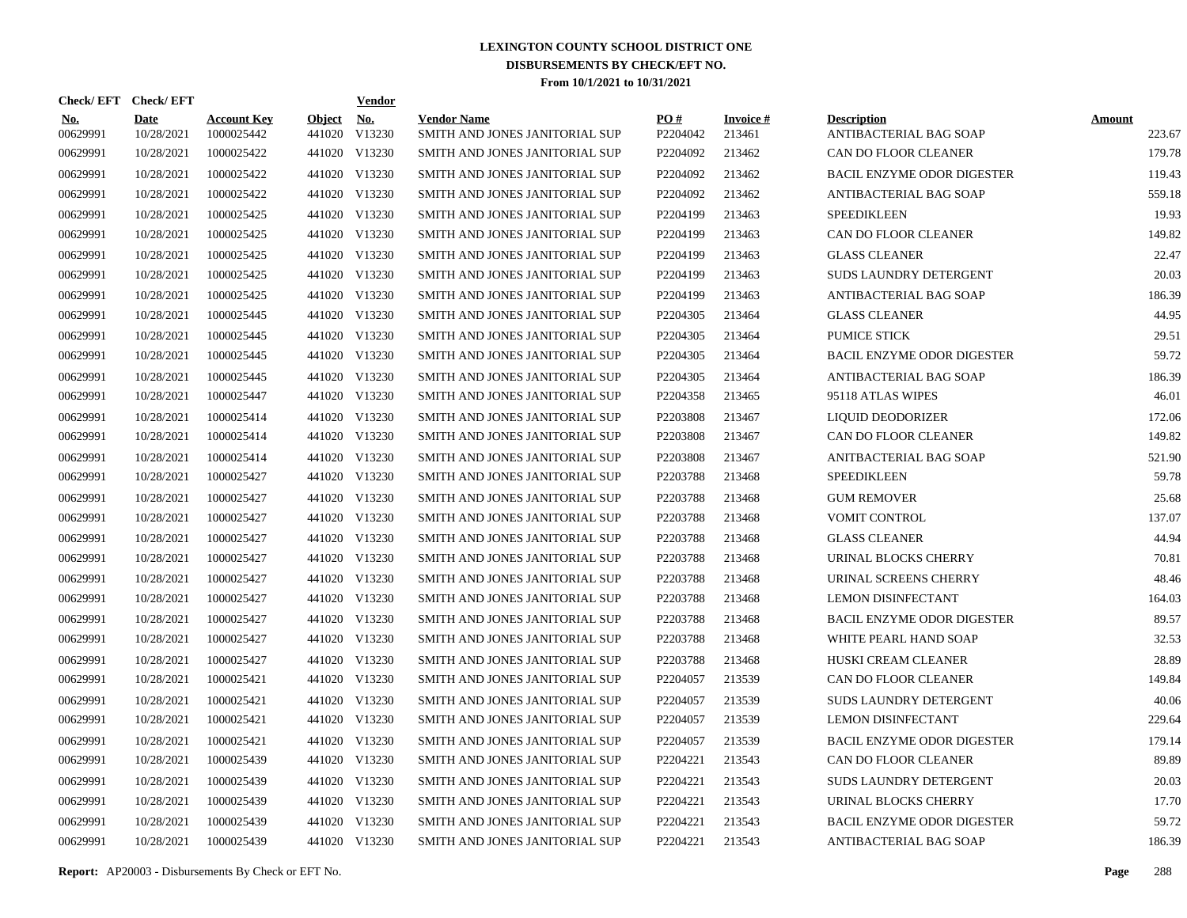| Check/EFT Check/EFT    |                           |                                  |                         | <b>Vendor</b>        |                                                      |                      |                           |                                              |                         |
|------------------------|---------------------------|----------------------------------|-------------------------|----------------------|------------------------------------------------------|----------------------|---------------------------|----------------------------------------------|-------------------------|
| <u>No.</u><br>00629991 | <b>Date</b><br>10/28/2021 | <b>Account Key</b><br>1000025442 | <b>Object</b><br>441020 | <u>No.</u><br>V13230 | <b>Vendor Name</b><br>SMITH AND JONES JANITORIAL SUP | PO#<br>P2204042      | <b>Invoice#</b><br>213461 | <b>Description</b><br>ANTIBACTERIAL BAG SOAP | <b>Amount</b><br>223.67 |
| 00629991               | 10/28/2021                | 1000025422                       | 441020                  | V13230               | SMITH AND JONES JANITORIAL SUP                       | P <sub>2204092</sub> | 213462                    | <b>CAN DO FLOOR CLEANER</b>                  | 179.78                  |
| 00629991               | 10/28/2021                | 1000025422                       | 441020                  | V13230               | SMITH AND JONES JANITORIAL SUP                       | P <sub>2204092</sub> | 213462                    | <b>BACIL ENZYME ODOR DIGESTER</b>            | 119.43                  |
| 00629991               | 10/28/2021                | 1000025422                       | 441020                  | V13230               | SMITH AND JONES JANITORIAL SUP                       | P2204092             | 213462                    | ANTIBACTERIAL BAG SOAP                       | 559.18                  |
| 00629991               | 10/28/2021                | 1000025425                       | 441020                  | V13230               | SMITH AND JONES JANITORIAL SUP                       | P2204199             | 213463                    | <b>SPEEDIKLEEN</b>                           | 19.93                   |
| 00629991               | 10/28/2021                | 1000025425                       | 441020                  | V13230               | SMITH AND JONES JANITORIAL SUP                       | P2204199             | 213463                    | CAN DO FLOOR CLEANER                         | 149.82                  |
| 00629991               | 10/28/2021                | 1000025425                       | 441020                  | V13230               | SMITH AND JONES JANITORIAL SUP                       | P2204199             | 213463                    | <b>GLASS CLEANER</b>                         | 22.47                   |
| 00629991               | 10/28/2021                | 1000025425                       | 441020                  | V13230               | SMITH AND JONES JANITORIAL SUP                       | P2204199             | 213463                    | <b>SUDS LAUNDRY DETERGENT</b>                | 20.03                   |
| 00629991               | 10/28/2021                | 1000025425                       |                         | 441020 V13230        | SMITH AND JONES JANITORIAL SUP                       | P2204199             | 213463                    | ANTIBACTERIAL BAG SOAP                       | 186.39                  |
| 00629991               | 10/28/2021                | 1000025445                       |                         | 441020 V13230        | SMITH AND JONES JANITORIAL SUP                       | P <sub>2204305</sub> | 213464                    | <b>GLASS CLEANER</b>                         | 44.95                   |
| 00629991               | 10/28/2021                | 1000025445                       |                         | 441020 V13230        | SMITH AND JONES JANITORIAL SUP                       | P <sub>2204305</sub> | 213464                    | <b>PUMICE STICK</b>                          | 29.51                   |
| 00629991               | 10/28/2021                | 1000025445                       |                         | 441020 V13230        | SMITH AND JONES JANITORIAL SUP                       | P2204305             | 213464                    | <b>BACIL ENZYME ODOR DIGESTER</b>            | 59.72                   |
| 00629991               | 10/28/2021                | 1000025445                       |                         | 441020 V13230        | SMITH AND JONES JANITORIAL SUP                       | P2204305             | 213464                    | ANTIBACTERIAL BAG SOAP                       | 186.39                  |
| 00629991               | 10/28/2021                | 1000025447                       |                         | 441020 V13230        | SMITH AND JONES JANITORIAL SUP                       | P2204358             | 213465                    | 95118 ATLAS WIPES                            | 46.01                   |
| 00629991               | 10/28/2021                | 1000025414                       |                         | 441020 V13230        | SMITH AND JONES JANITORIAL SUP                       | P2203808             | 213467                    | LIQUID DEODORIZER                            | 172.06                  |
| 00629991               | 10/28/2021                | 1000025414                       |                         | 441020 V13230        | SMITH AND JONES JANITORIAL SUP                       | P2203808             | 213467                    | CAN DO FLOOR CLEANER                         | 149.82                  |
| 00629991               | 10/28/2021                | 1000025414                       |                         | 441020 V13230        | SMITH AND JONES JANITORIAL SUP                       | P2203808             | 213467                    | ANITBACTERIAL BAG SOAP                       | 521.90                  |
| 00629991               | 10/28/2021                | 1000025427                       |                         | 441020 V13230        | SMITH AND JONES JANITORIAL SUP                       | P2203788             | 213468                    | <b>SPEEDIKLEEN</b>                           | 59.78                   |
| 00629991               | 10/28/2021                | 1000025427                       |                         | 441020 V13230        | SMITH AND JONES JANITORIAL SUP                       | P2203788             | 213468                    | <b>GUM REMOVER</b>                           | 25.68                   |
| 00629991               | 10/28/2021                | 1000025427                       |                         | 441020 V13230        | SMITH AND JONES JANITORIAL SUP                       | P2203788             | 213468                    | <b>VOMIT CONTROL</b>                         | 137.07                  |
| 00629991               | 10/28/2021                | 1000025427                       |                         | 441020 V13230        | SMITH AND JONES JANITORIAL SUP                       | P2203788             | 213468                    | <b>GLASS CLEANER</b>                         | 44.94                   |
| 00629991               | 10/28/2021                | 1000025427                       |                         | 441020 V13230        | SMITH AND JONES JANITORIAL SUP                       | P2203788             | 213468                    | URINAL BLOCKS CHERRY                         | 70.81                   |
| 00629991               | 10/28/2021                | 1000025427                       |                         | 441020 V13230        | SMITH AND JONES JANITORIAL SUP                       | P2203788             | 213468                    | URINAL SCREENS CHERRY                        | 48.46                   |
| 00629991               | 10/28/2021                | 1000025427                       |                         | 441020 V13230        | SMITH AND JONES JANITORIAL SUP                       | P2203788             | 213468                    | <b>LEMON DISINFECTANT</b>                    | 164.03                  |
| 00629991               | 10/28/2021                | 1000025427                       |                         | 441020 V13230        | SMITH AND JONES JANITORIAL SUP                       | P2203788             | 213468                    | <b>BACIL ENZYME ODOR DIGESTER</b>            | 89.57                   |
| 00629991               | 10/28/2021                | 1000025427                       |                         | 441020 V13230        | SMITH AND JONES JANITORIAL SUP                       | P2203788             | 213468                    | WHITE PEARL HAND SOAP                        | 32.53                   |
| 00629991               | 10/28/2021                | 1000025427                       |                         | 441020 V13230        | SMITH AND JONES JANITORIAL SUP                       | P2203788             | 213468                    | HUSKI CREAM CLEANER                          | 28.89                   |
| 00629991               | 10/28/2021                | 1000025421                       |                         | 441020 V13230        | SMITH AND JONES JANITORIAL SUP                       | P2204057             | 213539                    | CAN DO FLOOR CLEANER                         | 149.84                  |
| 00629991               | 10/28/2021                | 1000025421                       |                         | 441020 V13230        | SMITH AND JONES JANITORIAL SUP                       | P2204057             | 213539                    | <b>SUDS LAUNDRY DETERGENT</b>                | 40.06                   |
| 00629991               | 10/28/2021                | 1000025421                       |                         | 441020 V13230        | SMITH AND JONES JANITORIAL SUP                       | P <sub>2204057</sub> | 213539                    | <b>LEMON DISINFECTANT</b>                    | 229.64                  |
| 00629991               | 10/28/2021                | 1000025421                       |                         | 441020 V13230        | SMITH AND JONES JANITORIAL SUP                       | P <sub>2204057</sub> | 213539                    | <b>BACIL ENZYME ODOR DIGESTER</b>            | 179.14                  |
| 00629991               | 10/28/2021                | 1000025439                       |                         | 441020 V13230        | SMITH AND JONES JANITORIAL SUP                       | P2204221             | 213543                    | CAN DO FLOOR CLEANER                         | 89.89                   |
| 00629991               | 10/28/2021                | 1000025439                       |                         | 441020 V13230        | SMITH AND JONES JANITORIAL SUP                       | P2204221             | 213543                    | SUDS LAUNDRY DETERGENT                       | 20.03                   |
| 00629991               | 10/28/2021                | 1000025439                       |                         | 441020 V13230        | SMITH AND JONES JANITORIAL SUP                       | P2204221             | 213543                    | URINAL BLOCKS CHERRY                         | 17.70                   |
| 00629991               | 10/28/2021                | 1000025439                       |                         | 441020 V13230        | SMITH AND JONES JANITORIAL SUP                       | P2204221             | 213543                    | <b>BACIL ENZYME ODOR DIGESTER</b>            | 59.72                   |
| 00629991               | 10/28/2021                | 1000025439                       |                         | 441020 V13230        | SMITH AND JONES JANITORIAL SUP                       | P2204221             | 213543                    | ANTIBACTERIAL BAG SOAP                       | 186.39                  |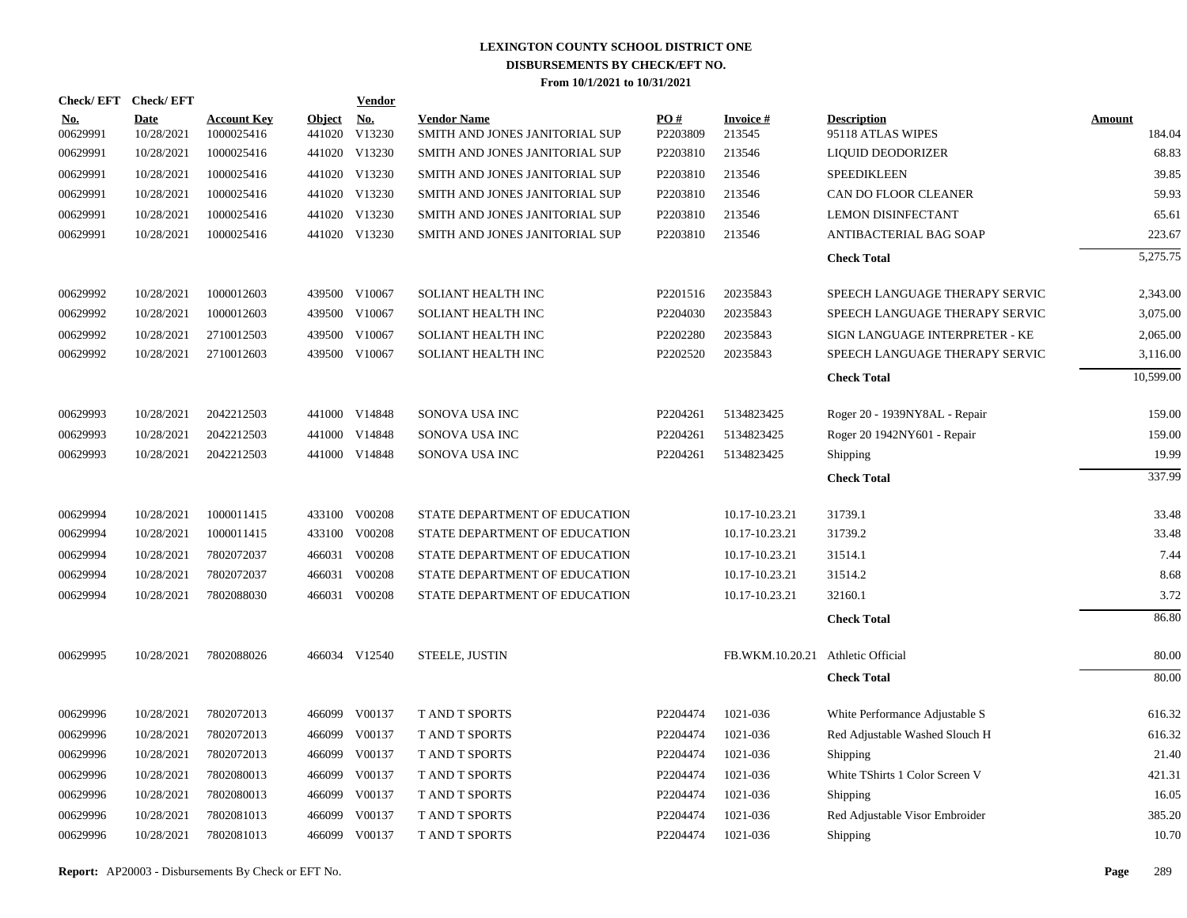| Check/EFT Check/EFT    |                           |                                  |                         | <b>Vendor</b>        |                                                      |                 |                                   |                                         |                  |
|------------------------|---------------------------|----------------------------------|-------------------------|----------------------|------------------------------------------------------|-----------------|-----------------------------------|-----------------------------------------|------------------|
| <u>No.</u><br>00629991 | <b>Date</b><br>10/28/2021 | <b>Account Key</b><br>1000025416 | <b>Object</b><br>441020 | <u>No.</u><br>V13230 | <b>Vendor Name</b><br>SMITH AND JONES JANITORIAL SUP | PO#<br>P2203809 | <b>Invoice#</b><br>213545         | <b>Description</b><br>95118 ATLAS WIPES | Amount<br>184.04 |
| 00629991               | 10/28/2021                | 1000025416                       |                         | 441020 V13230        | SMITH AND JONES JANITORIAL SUP                       | P2203810        | 213546                            | LIQUID DEODORIZER                       | 68.83            |
| 00629991               | 10/28/2021                | 1000025416                       |                         | 441020 V13230        | SMITH AND JONES JANITORIAL SUP                       | P2203810        | 213546                            | <b>SPEEDIKLEEN</b>                      | 39.85            |
| 00629991               | 10/28/2021                | 1000025416                       |                         | 441020 V13230        | SMITH AND JONES JANITORIAL SUP                       | P2203810        | 213546                            | CAN DO FLOOR CLEANER                    | 59.93            |
| 00629991               | 10/28/2021                | 1000025416                       |                         | 441020 V13230        | SMITH AND JONES JANITORIAL SUP                       | P2203810        | 213546                            | <b>LEMON DISINFECTANT</b>               | 65.61            |
| 00629991               | 10/28/2021                | 1000025416                       |                         | 441020 V13230        | SMITH AND JONES JANITORIAL SUP                       | P2203810        | 213546                            | ANTIBACTERIAL BAG SOAP                  | 223.67           |
|                        |                           |                                  |                         |                      |                                                      |                 |                                   | <b>Check Total</b>                      | 5,275.75         |
| 00629992               | 10/28/2021                | 1000012603                       |                         | 439500 V10067        | SOLIANT HEALTH INC                                   | P2201516        | 20235843                          | SPEECH LANGUAGE THERAPY SERVIC          | 2,343.00         |
| 00629992               | 10/28/2021                | 1000012603                       |                         | 439500 V10067        | SOLIANT HEALTH INC                                   | P2204030        | 20235843                          | SPEECH LANGUAGE THERAPY SERVIC          | 3,075.00         |
| 00629992               | 10/28/2021                | 2710012503                       |                         | 439500 V10067        | SOLIANT HEALTH INC                                   | P2202280        | 20235843                          | SIGN LANGUAGE INTERPRETER - KE          | 2,065.00         |
| 00629992               | 10/28/2021                | 2710012603                       |                         | 439500 V10067        | <b>SOLIANT HEALTH INC</b>                            | P2202520        | 20235843                          | SPEECH LANGUAGE THERAPY SERVIC          | 3,116.00         |
|                        |                           |                                  |                         |                      |                                                      |                 |                                   | <b>Check Total</b>                      | 10,599.00        |
| 00629993               | 10/28/2021                | 2042212503                       |                         | 441000 V14848        | SONOVA USA INC                                       | P2204261        | 5134823425                        | Roger 20 - 1939NY8AL - Repair           | 159.00           |
| 00629993               | 10/28/2021                | 2042212503                       |                         | 441000 V14848        | SONOVA USA INC                                       | P2204261        | 5134823425                        | Roger 20 1942NY601 - Repair             | 159.00           |
| 00629993               | 10/28/2021                | 2042212503                       |                         | 441000 V14848        | SONOVA USA INC                                       | P2204261        | 5134823425                        | Shipping                                | 19.99            |
|                        |                           |                                  |                         |                      |                                                      |                 |                                   | <b>Check Total</b>                      | 337.99           |
| 00629994               | 10/28/2021                | 1000011415                       |                         | 433100 V00208        | STATE DEPARTMENT OF EDUCATION                        |                 | 10.17-10.23.21                    | 31739.1                                 | 33.48            |
| 00629994               | 10/28/2021                | 1000011415                       |                         | 433100 V00208        | STATE DEPARTMENT OF EDUCATION                        |                 | 10.17-10.23.21                    | 31739.2                                 | 33.48            |
| 00629994               | 10/28/2021                | 7802072037                       |                         | 466031 V00208        | STATE DEPARTMENT OF EDUCATION                        |                 | 10.17-10.23.21                    | 31514.1                                 | 7.44             |
| 00629994               | 10/28/2021                | 7802072037                       |                         | 466031 V00208        | STATE DEPARTMENT OF EDUCATION                        |                 | 10.17-10.23.21                    | 31514.2                                 | 8.68             |
| 00629994               | 10/28/2021                | 7802088030                       |                         | 466031 V00208        | STATE DEPARTMENT OF EDUCATION                        |                 | 10.17-10.23.21                    | 32160.1                                 | 3.72             |
|                        |                           |                                  |                         |                      |                                                      |                 |                                   | <b>Check Total</b>                      | 86.80            |
| 00629995               | 10/28/2021                | 7802088026                       |                         | 466034 V12540        | STEELE, JUSTIN                                       |                 | FB.WKM.10.20.21 Athletic Official |                                         | 80.00            |
|                        |                           |                                  |                         |                      |                                                      |                 |                                   | <b>Check Total</b>                      | 80.00            |
| 00629996               | 10/28/2021                | 7802072013                       |                         | 466099 V00137        | <b>T AND T SPORTS</b>                                | P2204474        | 1021-036                          | White Performance Adjustable S          | 616.32           |
| 00629996               | 10/28/2021                | 7802072013                       | 466099                  | V00137               | <b>TAND T SPORTS</b>                                 | P2204474        | 1021-036                          | Red Adjustable Washed Slouch H          | 616.32           |
| 00629996               | 10/28/2021                | 7802072013                       | 466099                  | V00137               | T AND T SPORTS                                       | P2204474        | 1021-036                          | Shipping                                | 21.40            |
| 00629996               | 10/28/2021                | 7802080013                       | 466099                  | V00137               | T AND T SPORTS                                       | P2204474        | 1021-036                          | White TShirts 1 Color Screen V          | 421.31           |
| 00629996               | 10/28/2021                | 7802080013                       | 466099                  | V00137               | T AND T SPORTS                                       | P2204474        | 1021-036                          | Shipping                                | 16.05            |
| 00629996               | 10/28/2021                | 7802081013                       | 466099                  | V00137               | T AND T SPORTS                                       | P2204474        | 1021-036                          | Red Adjustable Visor Embroider          | 385.20           |
| 00629996               | 10/28/2021                | 7802081013                       |                         | 466099 V00137        | T AND T SPORTS                                       | P2204474        | 1021-036                          | Shipping                                | 10.70            |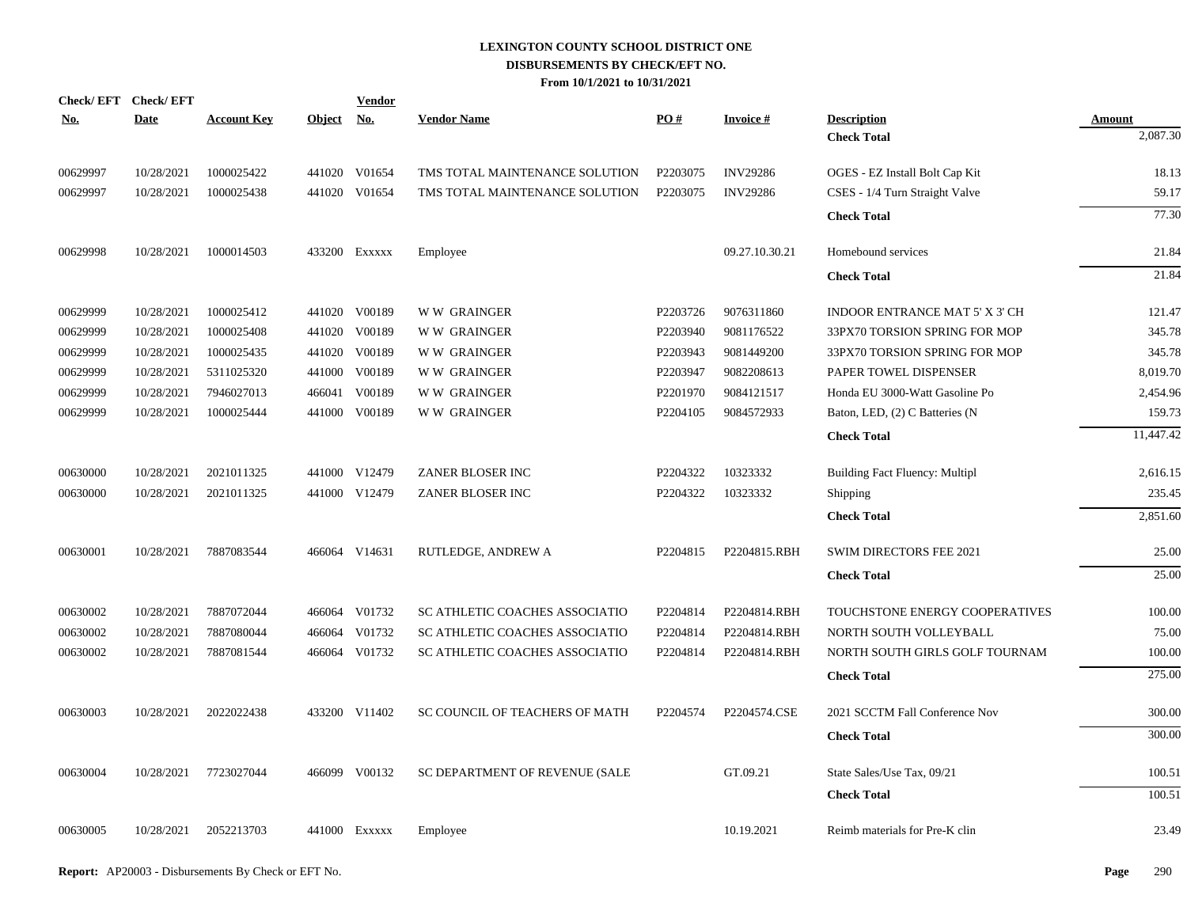| Check/EFT Check/EFT<br><u>No.</u> | Date       | <b>Account Key</b> | Object No. | <b>Vendor</b> | <b>Vendor Name</b>             | PO#      | <b>Invoice#</b> | <b>Description</b>                    | <b>Amount</b> |
|-----------------------------------|------------|--------------------|------------|---------------|--------------------------------|----------|-----------------|---------------------------------------|---------------|
|                                   |            |                    |            |               |                                |          |                 | <b>Check Total</b>                    | 2,087.30      |
| 00629997                          | 10/28/2021 | 1000025422         | 441020     | V01654        | TMS TOTAL MAINTENANCE SOLUTION | P2203075 | <b>INV29286</b> | OGES - EZ Install Bolt Cap Kit        | 18.13         |
| 00629997                          | 10/28/2021 | 1000025438         | 441020     | V01654        | TMS TOTAL MAINTENANCE SOLUTION | P2203075 | <b>INV29286</b> | CSES - 1/4 Turn Straight Valve        | 59.17         |
|                                   |            |                    |            |               |                                |          |                 | <b>Check Total</b>                    | 77.30         |
| 00629998                          | 10/28/2021 | 1000014503         |            | 433200 Exxxxx | Employee                       |          | 09.27.10.30.21  | Homebound services                    | 21.84         |
|                                   |            |                    |            |               |                                |          |                 | <b>Check Total</b>                    | 21.84         |
| 00629999                          | 10/28/2021 | 1000025412         |            | 441020 V00189 | <b>WW GRAINGER</b>             | P2203726 | 9076311860      | INDOOR ENTRANCE MAT 5' X 3' CH        | 121.47        |
| 00629999                          | 10/28/2021 | 1000025408         | 441020     | V00189        | <b>WW GRAINGER</b>             | P2203940 | 9081176522      | 33PX70 TORSION SPRING FOR MOP         | 345.78        |
| 00629999                          | 10/28/2021 | 1000025435         | 441020     | V00189        | W W GRAINGER                   | P2203943 | 9081449200      | 33PX70 TORSION SPRING FOR MOP         | 345.78        |
| 00629999                          | 10/28/2021 | 5311025320         | 441000     | V00189        | <b>WW GRAINGER</b>             | P2203947 | 9082208613      | PAPER TOWEL DISPENSER                 | 8,019.70      |
| 00629999                          | 10/28/2021 | 7946027013         | 466041     | V00189        | <b>WW GRAINGER</b>             | P2201970 | 9084121517      | Honda EU 3000-Watt Gasoline Po        | 2,454.96      |
| 00629999                          | 10/28/2021 | 1000025444         | 441000     | V00189        | <b>WW GRAINGER</b>             | P2204105 | 9084572933      | Baton, LED, (2) C Batteries (N        | 159.73        |
|                                   |            |                    |            |               |                                |          |                 | <b>Check Total</b>                    | 11,447.42     |
| 00630000                          | 10/28/2021 | 2021011325         |            | 441000 V12479 | ZANER BLOSER INC               | P2204322 | 10323332        | <b>Building Fact Fluency: Multipl</b> | 2,616.15      |
| 00630000                          | 10/28/2021 | 2021011325         |            | 441000 V12479 | ZANER BLOSER INC               | P2204322 | 10323332        | Shipping                              | 235.45        |
|                                   |            |                    |            |               |                                |          |                 | <b>Check Total</b>                    | 2,851.60      |
| 00630001                          | 10/28/2021 | 7887083544         |            | 466064 V14631 | RUTLEDGE, ANDREW A             | P2204815 | P2204815.RBH    | SWIM DIRECTORS FEE 2021               | 25.00         |
|                                   |            |                    |            |               |                                |          |                 | <b>Check Total</b>                    | 25.00         |
| 00630002                          | 10/28/2021 | 7887072044         |            | 466064 V01732 | SC ATHLETIC COACHES ASSOCIATIO | P2204814 | P2204814.RBH    | TOUCHSTONE ENERGY COOPERATIVES        | 100.00        |
| 00630002                          | 10/28/2021 | 7887080044         | 466064     | V01732        | SC ATHLETIC COACHES ASSOCIATIO | P2204814 | P2204814.RBH    | NORTH SOUTH VOLLEYBALL                | 75.00         |
| 00630002                          | 10/28/2021 | 7887081544         |            | 466064 V01732 | SC ATHLETIC COACHES ASSOCIATIO | P2204814 | P2204814.RBH    | NORTH SOUTH GIRLS GOLF TOURNAM        | 100.00        |
|                                   |            |                    |            |               |                                |          |                 | <b>Check Total</b>                    | 275.00        |
| 00630003                          | 10/28/2021 | 2022022438         |            | 433200 V11402 | SC COUNCIL OF TEACHERS OF MATH | P2204574 | P2204574.CSE    | 2021 SCCTM Fall Conference Nov        | 300.00        |
|                                   |            |                    |            |               |                                |          |                 | <b>Check Total</b>                    | 300.00        |
| 00630004                          | 10/28/2021 | 7723027044         |            | 466099 V00132 | SC DEPARTMENT OF REVENUE (SALE |          | GT.09.21        | State Sales/Use Tax, 09/21            | 100.51        |
|                                   |            |                    |            |               |                                |          |                 | <b>Check Total</b>                    | 100.51        |
| 00630005                          | 10/28/2021 | 2052213703         |            | 441000 Exxxxx | Employee                       |          | 10.19.2021      | Reimb materials for Pre-K clin        | 23.49         |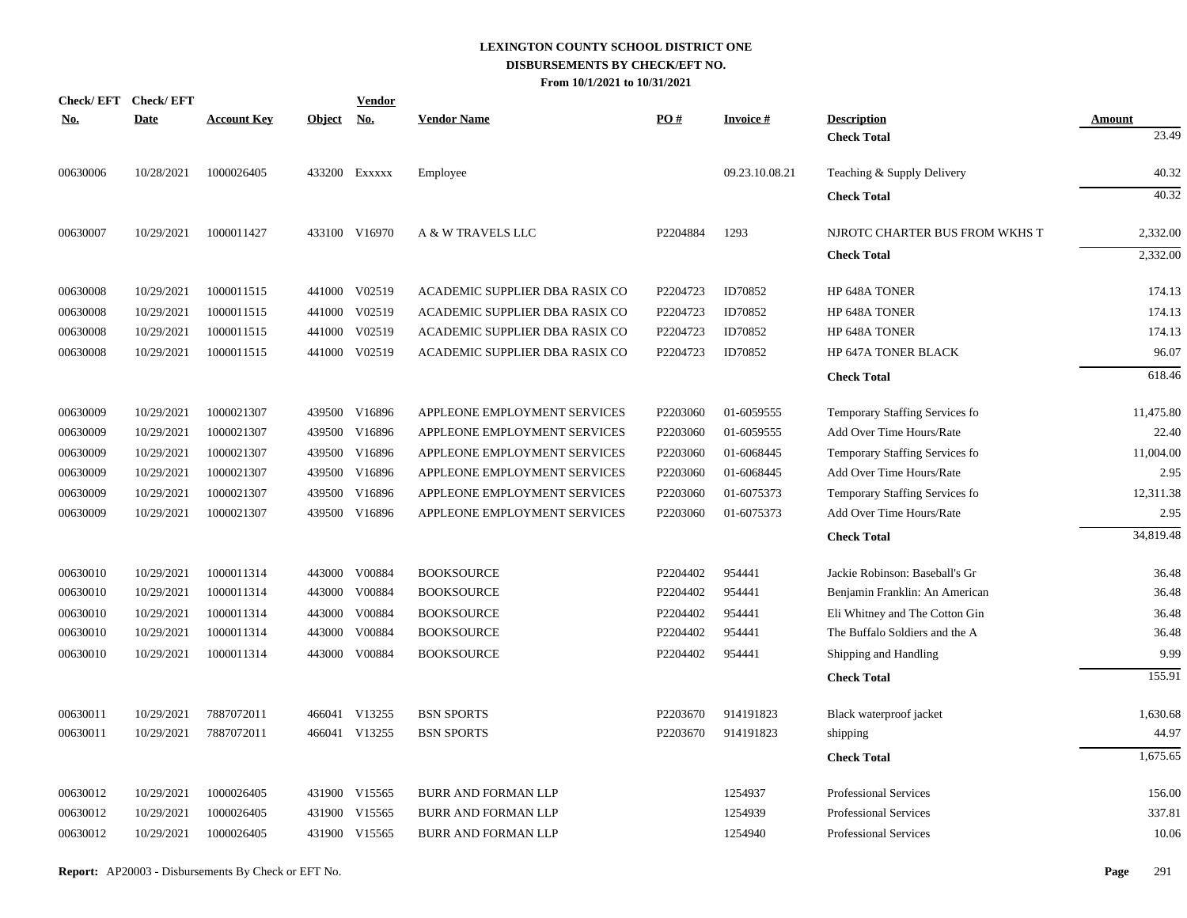| <b>Check/EFT</b> | <b>Check/EFT</b> |                    |               | <b>Vendor</b> |                                |          |                 |                                |               |
|------------------|------------------|--------------------|---------------|---------------|--------------------------------|----------|-----------------|--------------------------------|---------------|
| <b>No.</b>       | <b>Date</b>      | <b>Account Key</b> | <b>Object</b> | <u>No.</u>    | <b>Vendor Name</b>             | PO#      | <b>Invoice#</b> | <b>Description</b>             | <b>Amount</b> |
|                  |                  |                    |               |               |                                |          |                 | <b>Check Total</b>             | 23.49         |
| 00630006         | 10/28/2021       | 1000026405         |               | 433200 EXXXXX | Employee                       |          | 09.23.10.08.21  | Teaching & Supply Delivery     | 40.32         |
|                  |                  |                    |               |               |                                |          |                 | <b>Check Total</b>             | 40.32         |
| 00630007         | 10/29/2021       | 1000011427         |               | 433100 V16970 | A & W TRAVELS LLC              | P2204884 | 1293            | NJROTC CHARTER BUS FROM WKHS T | 2,332.00      |
|                  |                  |                    |               |               |                                |          |                 | <b>Check Total</b>             | 2,332.00      |
| 00630008         | 10/29/2021       | 1000011515         |               | 441000 V02519 | ACADEMIC SUPPLIER DBA RASIX CO | P2204723 | ID70852         | HP 648A TONER                  | 174.13        |
| 00630008         | 10/29/2021       | 1000011515         | 441000        | V02519        | ACADEMIC SUPPLIER DBA RASIX CO | P2204723 | ID70852         | HP 648A TONER                  | 174.13        |
| 00630008         | 10/29/2021       | 1000011515         | 441000        | V02519        | ACADEMIC SUPPLIER DBA RASIX CO | P2204723 | ID70852         | HP 648A TONER                  | 174.13        |
| 00630008         | 10/29/2021       | 1000011515         | 441000        | V02519        | ACADEMIC SUPPLIER DBA RASIX CO | P2204723 | ID70852         | HP 647A TONER BLACK            | 96.07         |
|                  |                  |                    |               |               |                                |          |                 | <b>Check Total</b>             | 618.46        |
| 00630009         | 10/29/2021       | 1000021307         |               | 439500 V16896 | APPLEONE EMPLOYMENT SERVICES   | P2203060 | 01-6059555      | Temporary Staffing Services fo | 11,475.80     |
| 00630009         | 10/29/2021       | 1000021307         |               | 439500 V16896 | APPLEONE EMPLOYMENT SERVICES   | P2203060 | 01-6059555      | Add Over Time Hours/Rate       | 22.40         |
| 00630009         | 10/29/2021       | 1000021307         | 439500        | V16896        | APPLEONE EMPLOYMENT SERVICES   | P2203060 | 01-6068445      | Temporary Staffing Services fo | 11,004.00     |
| 00630009         | 10/29/2021       | 1000021307         |               | 439500 V16896 | APPLEONE EMPLOYMENT SERVICES   | P2203060 | 01-6068445      | Add Over Time Hours/Rate       | 2.95          |
| 00630009         | 10/29/2021       | 1000021307         | 439500        | V16896        | APPLEONE EMPLOYMENT SERVICES   | P2203060 | 01-6075373      | Temporary Staffing Services fo | 12,311.38     |
| 00630009         | 10/29/2021       | 1000021307         |               | 439500 V16896 | APPLEONE EMPLOYMENT SERVICES   | P2203060 | 01-6075373      | Add Over Time Hours/Rate       | 2.95          |
|                  |                  |                    |               |               |                                |          |                 | <b>Check Total</b>             | 34.819.48     |
| 00630010         | 10/29/2021       | 1000011314         |               | 443000 V00884 | <b>BOOKSOURCE</b>              | P2204402 | 954441          | Jackie Robinson: Baseball's Gr | 36.48         |
| 00630010         | 10/29/2021       | 1000011314         | 443000        | V00884        | <b>BOOKSOURCE</b>              | P2204402 | 954441          | Benjamin Franklin: An American | 36.48         |
| 00630010         | 10/29/2021       | 1000011314         | 443000        | V00884        | <b>BOOKSOURCE</b>              | P2204402 | 954441          | Eli Whitney and The Cotton Gin | 36.48         |
| 00630010         | 10/29/2021       | 1000011314         | 443000        | V00884        | <b>BOOKSOURCE</b>              | P2204402 | 954441          | The Buffalo Soldiers and the A | 36.48         |
| 00630010         | 10/29/2021       | 1000011314         | 443000        | V00884        | <b>BOOKSOURCE</b>              | P2204402 | 954441          | Shipping and Handling          | 9.99          |
|                  |                  |                    |               |               |                                |          |                 | <b>Check Total</b>             | 155.91        |
| 00630011         | 10/29/2021       | 7887072011         |               | 466041 V13255 | <b>BSN SPORTS</b>              | P2203670 | 914191823       | Black waterproof jacket        | 1,630.68      |
| 00630011         | 10/29/2021       | 7887072011         |               | 466041 V13255 | <b>BSN SPORTS</b>              | P2203670 | 914191823       | shipping                       | 44.97         |
|                  |                  |                    |               |               |                                |          |                 | <b>Check Total</b>             | 1,675.65      |
| 00630012         | 10/29/2021       | 1000026405         |               | 431900 V15565 | <b>BURR AND FORMAN LLP</b>     |          | 1254937         | Professional Services          | 156.00        |
| 00630012         | 10/29/2021       | 1000026405         | 431900        | V15565        | <b>BURR AND FORMAN LLP</b>     |          | 1254939         | <b>Professional Services</b>   | 337.81        |
| 00630012         | 10/29/2021       | 1000026405         |               | 431900 V15565 | <b>BURR AND FORMAN LLP</b>     |          | 1254940         | <b>Professional Services</b>   | 10.06         |
|                  |                  |                    |               |               |                                |          |                 |                                |               |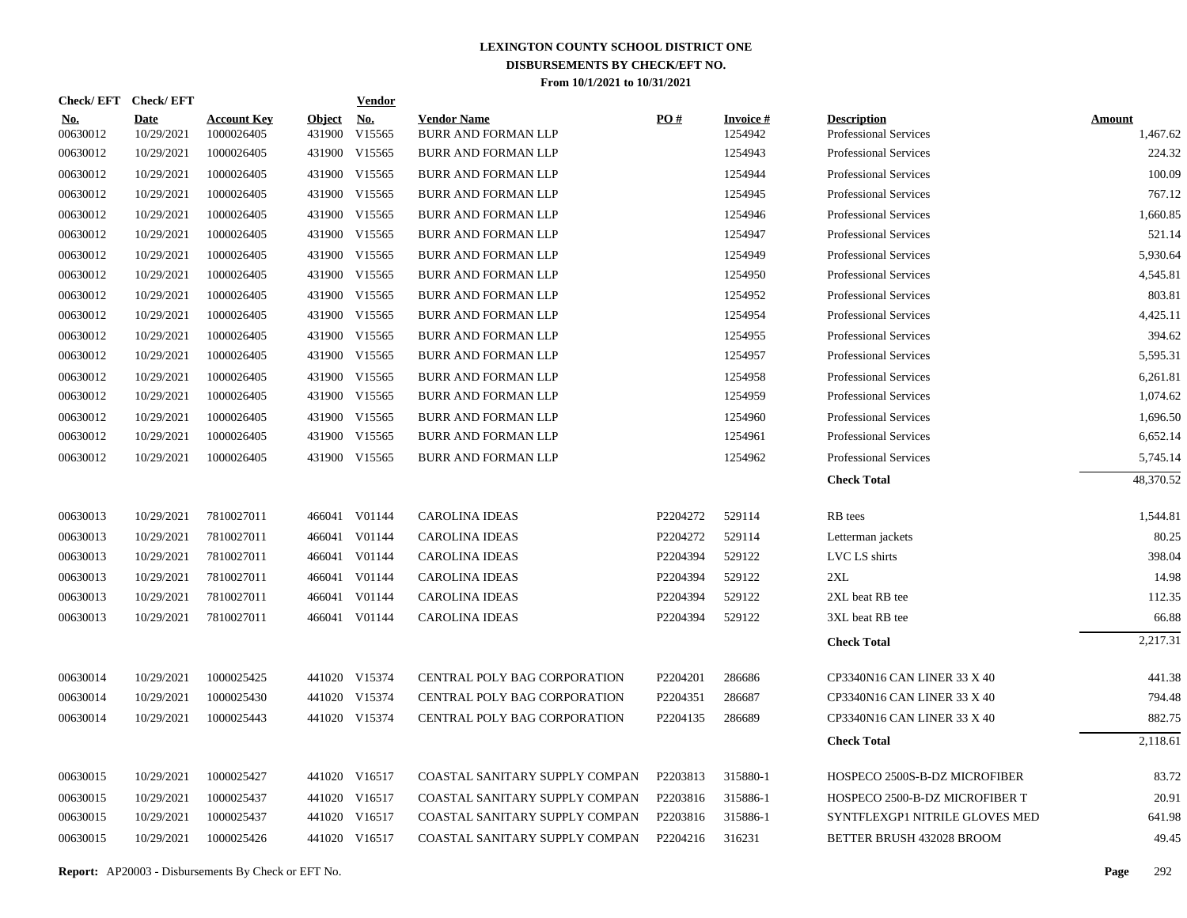| Check/EFT Check/EFT    |                           |                                  |                         | <b>Vendor</b>        |                                                  |                   |                            |                                                    |                           |
|------------------------|---------------------------|----------------------------------|-------------------------|----------------------|--------------------------------------------------|-------------------|----------------------------|----------------------------------------------------|---------------------------|
| <u>No.</u><br>00630012 | <b>Date</b><br>10/29/2021 | <b>Account Key</b><br>1000026405 | <u>Object</u><br>431900 | <u>No.</u><br>V15565 | <b>Vendor Name</b><br><b>BURR AND FORMAN LLP</b> | $\underline{PO#}$ | <b>Invoice#</b><br>1254942 | <b>Description</b><br><b>Professional Services</b> | <b>Amount</b><br>1,467.62 |
| 00630012               | 10/29/2021                | 1000026405                       | 431900                  | V15565               | BURR AND FORMAN LLP                              |                   | 1254943                    | <b>Professional Services</b>                       | 224.32                    |
| 00630012               | 10/29/2021                | 1000026405                       |                         | 431900 V15565        | <b>BURR AND FORMAN LLP</b>                       |                   | 1254944                    | <b>Professional Services</b>                       | 100.09                    |
| 00630012               | 10/29/2021                | 1000026405                       |                         | 431900 V15565        | BURR AND FORMAN LLP                              |                   | 1254945                    | <b>Professional Services</b>                       | 767.12                    |
| 00630012               | 10/29/2021                | 1000026405                       |                         | 431900 V15565        | <b>BURR AND FORMAN LLP</b>                       |                   | 1254946                    | <b>Professional Services</b>                       | 1,660.85                  |
| 00630012               | 10/29/2021                | 1000026405                       |                         | 431900 V15565        | <b>BURR AND FORMAN LLP</b>                       |                   | 1254947                    | <b>Professional Services</b>                       | 521.14                    |
| 00630012               | 10/29/2021                | 1000026405                       |                         | 431900 V15565        | BURR AND FORMAN LLP                              |                   | 1254949                    | <b>Professional Services</b>                       | 5,930.64                  |
| 00630012               | 10/29/2021                | 1000026405                       |                         | 431900 V15565        | BURR AND FORMAN LLP                              |                   | 1254950                    | Professional Services                              | 4,545.81                  |
| 00630012               | 10/29/2021                | 1000026405                       |                         | 431900 V15565        | <b>BURR AND FORMAN LLP</b>                       |                   | 1254952                    | <b>Professional Services</b>                       | 803.81                    |
| 00630012               | 10/29/2021                | 1000026405                       |                         | 431900 V15565        | BURR AND FORMAN LLP                              |                   | 1254954                    | <b>Professional Services</b>                       | 4,425.11                  |
| 00630012               | 10/29/2021                | 1000026405                       |                         | 431900 V15565        | <b>BURR AND FORMAN LLP</b>                       |                   | 1254955                    | <b>Professional Services</b>                       | 394.62                    |
| 00630012               | 10/29/2021                | 1000026405                       |                         | 431900 V15565        | <b>BURR AND FORMAN LLP</b>                       |                   | 1254957                    | <b>Professional Services</b>                       | 5,595.31                  |
| 00630012               | 10/29/2021                | 1000026405                       |                         | 431900 V15565        | BURR AND FORMAN LLP                              |                   | 1254958                    | Professional Services                              | 6,261.81                  |
| 00630012               | 10/29/2021                | 1000026405                       |                         | 431900 V15565        | BURR AND FORMAN LLP                              |                   | 1254959                    | Professional Services                              | 1,074.62                  |
| 00630012               | 10/29/2021                | 1000026405                       |                         | 431900 V15565        | BURR AND FORMAN LLP                              |                   | 1254960                    | <b>Professional Services</b>                       | 1,696.50                  |
| 00630012               | 10/29/2021                | 1000026405                       |                         | 431900 V15565        | <b>BURR AND FORMAN LLP</b>                       |                   | 1254961                    | <b>Professional Services</b>                       | 6,652.14                  |
| 00630012               | 10/29/2021                | 1000026405                       |                         | 431900 V15565        | <b>BURR AND FORMAN LLP</b>                       |                   | 1254962                    | <b>Professional Services</b>                       | 5,745.14                  |
|                        |                           |                                  |                         |                      |                                                  |                   |                            | <b>Check Total</b>                                 | 48,370.52                 |
| 00630013               | 10/29/2021                | 7810027011                       |                         | 466041 V01144        | <b>CAROLINA IDEAS</b>                            | P2204272          | 529114                     | RB tees                                            | 1,544.81                  |
| 00630013               | 10/29/2021                | 7810027011                       |                         | 466041 V01144        | CAROLINA IDEAS                                   | P2204272          | 529114                     | Letterman jackets                                  | 80.25                     |
| 00630013               | 10/29/2021                | 7810027011                       |                         | 466041 V01144        | <b>CAROLINA IDEAS</b>                            | P2204394          | 529122                     | LVC LS shirts                                      | 398.04                    |
| 00630013               | 10/29/2021                | 7810027011                       |                         | 466041 V01144        | <b>CAROLINA IDEAS</b>                            | P2204394          | 529122                     | 2XL                                                | 14.98                     |
| 00630013               | 10/29/2021                | 7810027011                       | 466041                  | V01144               | <b>CAROLINA IDEAS</b>                            | P2204394          | 529122                     | 2XL beat RB tee                                    | 112.35                    |
| 00630013               | 10/29/2021                | 7810027011                       |                         | 466041 V01144        | <b>CAROLINA IDEAS</b>                            | P2204394          | 529122                     | 3XL beat RB tee                                    | 66.88                     |
|                        |                           |                                  |                         |                      |                                                  |                   |                            | <b>Check Total</b>                                 | 2,217.31                  |
| 00630014               | 10/29/2021                | 1000025425                       |                         | 441020 V15374        | <b>CENTRAL POLY BAG CORPORATION</b>              | P2204201          | 286686                     | CP3340N16 CAN LINER 33 X 40                        | 441.38                    |
| 00630014               | 10/29/2021                | 1000025430                       |                         | 441020 V15374        | CENTRAL POLY BAG CORPORATION                     | P2204351          | 286687                     | CP3340N16 CAN LINER 33 X 40                        | 794.48                    |
| 00630014               | 10/29/2021                | 1000025443                       |                         | 441020 V15374        | <b>CENTRAL POLY BAG CORPORATION</b>              | P2204135          | 286689                     | CP3340N16 CAN LINER 33 X 40                        | 882.75                    |
|                        |                           |                                  |                         |                      |                                                  |                   |                            | <b>Check Total</b>                                 | 2,118.61                  |
| 00630015               | 10/29/2021                | 1000025427                       |                         | 441020 V16517        | COASTAL SANITARY SUPPLY COMPAN                   | P2203813          | 315880-1                   | HOSPECO 2500S-B-DZ MICROFIBER                      | 83.72                     |
| 00630015               | 10/29/2021                | 1000025437                       |                         | 441020 V16517        | COASTAL SANITARY SUPPLY COMPAN                   | P2203816          | 315886-1                   | HOSPECO 2500-B-DZ MICROFIBER T                     | 20.91                     |
| 00630015               | 10/29/2021                | 1000025437                       | 441020                  | V16517               | COASTAL SANITARY SUPPLY COMPAN                   | P2203816          | 315886-1                   | SYNTFLEXGP1 NITRILE GLOVES MED                     | 641.98                    |
| 00630015               | 10/29/2021                | 1000025426                       |                         | 441020 V16517        | COASTAL SANITARY SUPPLY COMPAN                   | P2204216          | 316231                     | BETTER BRUSH 432028 BROOM                          | 49.45                     |
|                        |                           |                                  |                         |                      |                                                  |                   |                            |                                                    |                           |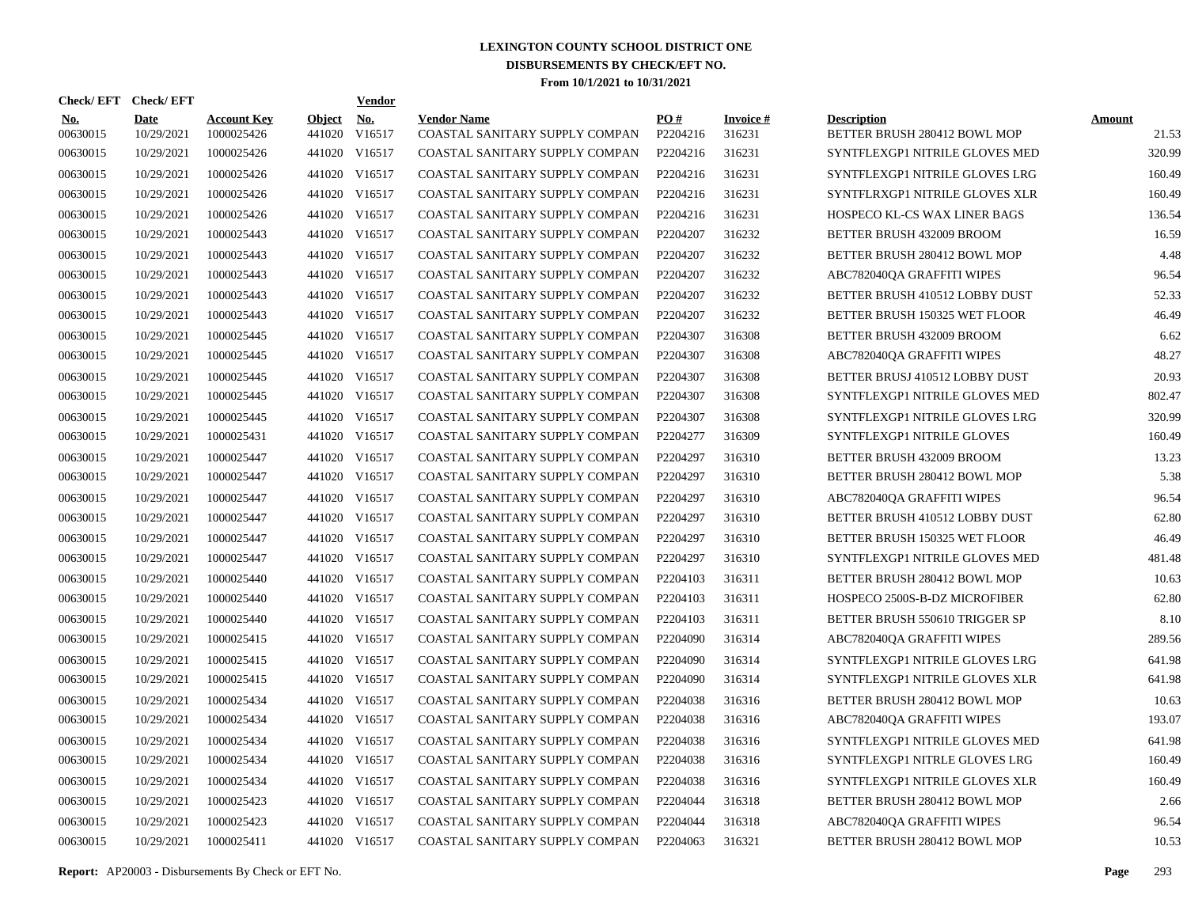|                        | Check/EFT Check/EFT       |                                  |                         | <b>Vendor</b>        |                                                      |                 |                           |                                                    |                        |
|------------------------|---------------------------|----------------------------------|-------------------------|----------------------|------------------------------------------------------|-----------------|---------------------------|----------------------------------------------------|------------------------|
| <u>No.</u><br>00630015 | <b>Date</b><br>10/29/2021 | <b>Account Key</b><br>1000025426 | <b>Object</b><br>441020 | <u>No.</u><br>V16517 | <b>Vendor Name</b><br>COASTAL SANITARY SUPPLY COMPAN | PO#<br>P2204216 | <b>Invoice#</b><br>316231 | <b>Description</b><br>BETTER BRUSH 280412 BOWL MOP | <b>Amount</b><br>21.53 |
| 00630015               | 10/29/2021                | 1000025426                       | 441020                  | V16517               | COASTAL SANITARY SUPPLY COMPAN                       | P2204216        | 316231                    | SYNTFLEXGP1 NITRILE GLOVES MED                     | 320.99                 |
| 00630015               | 10/29/2021                | 1000025426                       | 441020                  | V16517               | COASTAL SANITARY SUPPLY COMPAN                       | P2204216        | 316231                    | SYNTFLEXGP1 NITRILE GLOVES LRG                     | 160.49                 |
| 00630015               | 10/29/2021                | 1000025426                       |                         | 441020 V16517        | COASTAL SANITARY SUPPLY COMPAN                       | P2204216        | 316231                    | SYNTFLRXGP1 NITRILE GLOVES XLR                     | 160.49                 |
| 00630015               | 10/29/2021                | 1000025426                       | 441020                  | V16517               | COASTAL SANITARY SUPPLY COMPAN                       | P2204216        | 316231                    | HOSPECO KL-CS WAX LINER BAGS                       | 136.54                 |
| 00630015               | 10/29/2021                | 1000025443                       |                         | 441020 V16517        | COASTAL SANITARY SUPPLY COMPAN                       | P2204207        | 316232                    | BETTER BRUSH 432009 BROOM                          | 16.59                  |
| 00630015               | 10/29/2021                | 1000025443                       | 441020                  | V16517               | COASTAL SANITARY SUPPLY COMPAN                       | P2204207        | 316232                    | BETTER BRUSH 280412 BOWL MOP                       | 4.48                   |
| 00630015               | 10/29/2021                | 1000025443                       | 441020                  | V16517               | COASTAL SANITARY SUPPLY COMPAN                       | P2204207        | 316232                    | ABC782040QA GRAFFITI WIPES                         | 96.54                  |
| 00630015               | 10/29/2021                | 1000025443                       | 441020                  | V16517               | COASTAL SANITARY SUPPLY COMPAN                       | P2204207        | 316232                    | BETTER BRUSH 410512 LOBBY DUST                     | 52.33                  |
| 00630015               | 10/29/2021                | 1000025443                       |                         | 441020 V16517        | COASTAL SANITARY SUPPLY COMPAN                       | P2204207        | 316232                    | BETTER BRUSH 150325 WET FLOOR                      | 46.49                  |
| 00630015               | 10/29/2021                | 1000025445                       | 441020                  | V16517               | COASTAL SANITARY SUPPLY COMPAN                       | P2204307        | 316308                    | BETTER BRUSH 432009 BROOM                          | 6.62                   |
| 00630015               | 10/29/2021                | 1000025445                       |                         | 441020 V16517        | COASTAL SANITARY SUPPLY COMPAN                       | P2204307        | 316308                    | ABC782040QA GRAFFITI WIPES                         | 48.27                  |
| 00630015               | 10/29/2021                | 1000025445                       |                         | 441020 V16517        | COASTAL SANITARY SUPPLY COMPAN                       | P2204307        | 316308                    | BETTER BRUSJ 410512 LOBBY DUST                     | 20.93                  |
| 00630015               | 10/29/2021                | 1000025445                       |                         | 441020 V16517        | COASTAL SANITARY SUPPLY COMPAN                       | P2204307        | 316308                    | SYNTFLEXGP1 NITRILE GLOVES MED                     | 802.47                 |
| 00630015               | 10/29/2021                | 1000025445                       | 441020                  | V16517               | COASTAL SANITARY SUPPLY COMPAN                       | P2204307        | 316308                    | SYNTFLEXGP1 NITRILE GLOVES LRG                     | 320.99                 |
| 00630015               | 10/29/2021                | 1000025431                       |                         | 441020 V16517        | COASTAL SANITARY SUPPLY COMPAN                       | P2204277        | 316309                    | SYNTFLEXGP1 NITRILE GLOVES                         | 160.49                 |
| 00630015               | 10/29/2021                | 1000025447                       | 441020                  | V16517               | COASTAL SANITARY SUPPLY COMPAN                       | P2204297        | 316310                    | BETTER BRUSH 432009 BROOM                          | 13.23                  |
| 00630015               | 10/29/2021                | 1000025447                       |                         | 441020 V16517        | COASTAL SANITARY SUPPLY COMPAN                       | P2204297        | 316310                    | BETTER BRUSH 280412 BOWL MOP                       | 5.38                   |
| 00630015               | 10/29/2021                | 1000025447                       | 441020                  | V16517               | COASTAL SANITARY SUPPLY COMPAN                       | P2204297        | 316310                    | ABC782040QA GRAFFITI WIPES                         | 96.54                  |
| 00630015               | 10/29/2021                | 1000025447                       |                         | 441020 V16517        | COASTAL SANITARY SUPPLY COMPAN                       | P2204297        | 316310                    | BETTER BRUSH 410512 LOBBY DUST                     | 62.80                  |
| 00630015               | 10/29/2021                | 1000025447                       | 441020                  | V16517               | COASTAL SANITARY SUPPLY COMPAN                       | P2204297        | 316310                    | BETTER BRUSH 150325 WET FLOOR                      | 46.49                  |
| 00630015               | 10/29/2021                | 1000025447                       | 441020                  | V16517               | COASTAL SANITARY SUPPLY COMPAN                       | P2204297        | 316310                    | SYNTFLEXGP1 NITRILE GLOVES MED                     | 481.48                 |
| 00630015               | 10/29/2021                | 1000025440                       | 441020                  | V16517               | COASTAL SANITARY SUPPLY COMPAN                       | P2204103        | 316311                    | BETTER BRUSH 280412 BOWL MOP                       | 10.63                  |
| 00630015               | 10/29/2021                | 1000025440                       | 441020                  | V16517               | COASTAL SANITARY SUPPLY COMPAN                       | P2204103        | 316311                    | HOSPECO 2500S-B-DZ MICROFIBER                      | 62.80                  |
| 00630015               | 10/29/2021                | 1000025440                       | 441020                  | V16517               | COASTAL SANITARY SUPPLY COMPAN                       | P2204103        | 316311                    | BETTER BRUSH 550610 TRIGGER SP                     | 8.10                   |
| 00630015               | 10/29/2021                | 1000025415                       | 441020                  | V16517               | COASTAL SANITARY SUPPLY COMPAN                       | P2204090        | 316314                    | ABC782040QA GRAFFITI WIPES                         | 289.56                 |
| 00630015               | 10/29/2021                | 1000025415                       | 441020                  | V16517               | COASTAL SANITARY SUPPLY COMPAN                       | P2204090        | 316314                    | SYNTFLEXGP1 NITRILE GLOVES LRG                     | 641.98                 |
| 00630015               | 10/29/2021                | 1000025415                       | 441020                  | V16517               | COASTAL SANITARY SUPPLY COMPAN                       | P2204090        | 316314                    | SYNTFLEXGP1 NITRILE GLOVES XLR                     | 641.98                 |
| 00630015               | 10/29/2021                | 1000025434                       | 441020                  | V16517               | COASTAL SANITARY SUPPLY COMPAN                       | P2204038        | 316316                    | BETTER BRUSH 280412 BOWL MOP                       | 10.63                  |
| 00630015               | 10/29/2021                | 1000025434                       |                         | 441020 V16517        | COASTAL SANITARY SUPPLY COMPAN                       | P2204038        | 316316                    | ABC782040QA GRAFFITI WIPES                         | 193.07                 |
| 00630015               | 10/29/2021                | 1000025434                       |                         | 441020 V16517        | COASTAL SANITARY SUPPLY COMPAN                       | P2204038        | 316316                    | SYNTFLEXGP1 NITRILE GLOVES MED                     | 641.98                 |
| 00630015               | 10/29/2021                | 1000025434                       |                         | 441020 V16517        | COASTAL SANITARY SUPPLY COMPAN                       | P2204038        | 316316                    | SYNTFLEXGP1 NITRLE GLOVES LRG                      | 160.49                 |
| 00630015               | 10/29/2021                | 1000025434                       |                         | 441020 V16517        | COASTAL SANITARY SUPPLY COMPAN                       | P2204038        | 316316                    | SYNTFLEXGP1 NITRILE GLOVES XLR                     | 160.49                 |
| 00630015               | 10/29/2021                | 1000025423                       |                         | 441020 V16517        | COASTAL SANITARY SUPPLY COMPAN                       | P2204044        | 316318                    | BETTER BRUSH 280412 BOWL MOP                       | 2.66                   |
| 00630015               | 10/29/2021                | 1000025423                       |                         | 441020 V16517        | COASTAL SANITARY SUPPLY COMPAN                       | P2204044        | 316318                    | ABC782040QA GRAFFITI WIPES                         | 96.54                  |
| 00630015               | 10/29/2021                | 1000025411                       |                         | 441020 V16517        | COASTAL SANITARY SUPPLY COMPAN                       | P2204063        | 316321                    | BETTER BRUSH 280412 BOWL MOP                       | 10.53                  |

**Report:** AP20003 - Disbursements By Check or EFT No. **Page** 293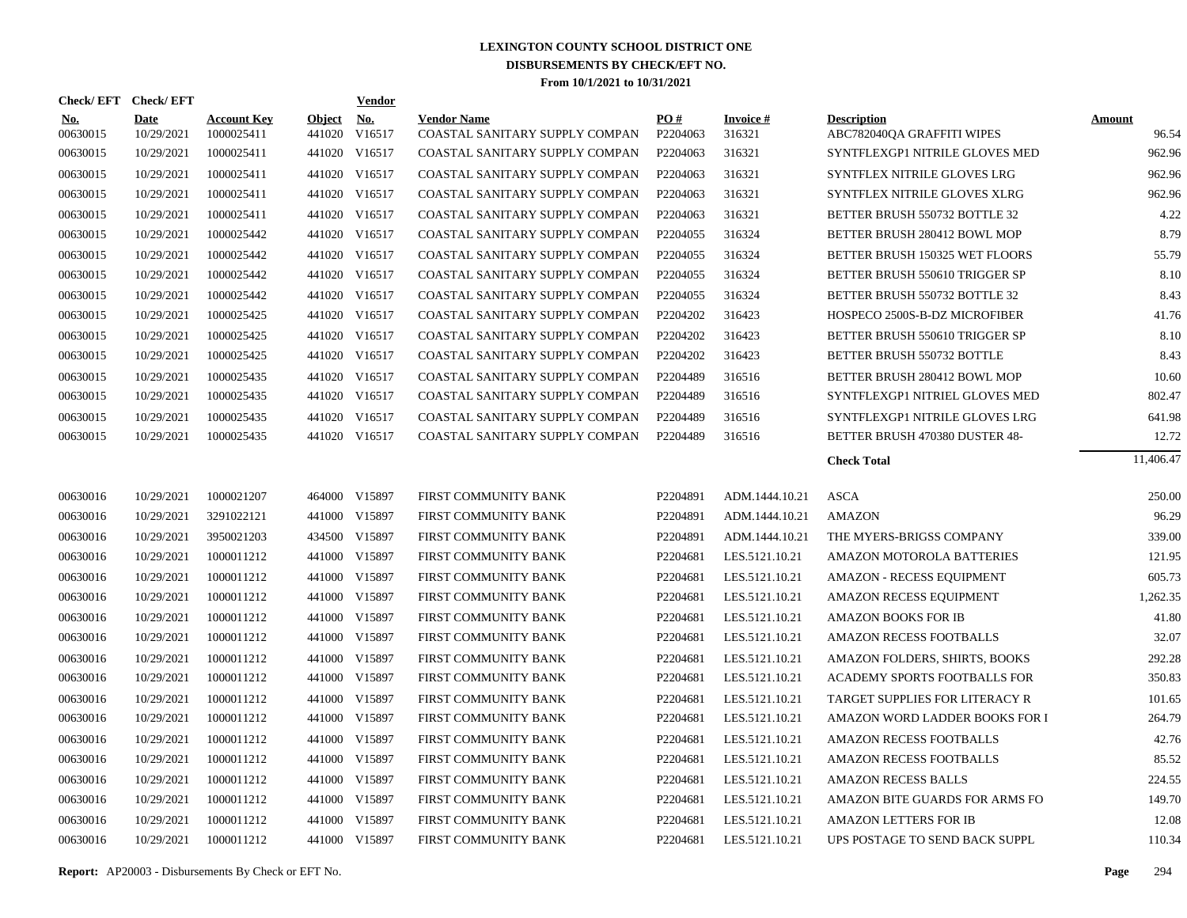| Check/EFT Check/EFT    |                           |                                  |                         | <b>Vendor</b> |                                                      |                      |                           |                                                  |                        |
|------------------------|---------------------------|----------------------------------|-------------------------|---------------|------------------------------------------------------|----------------------|---------------------------|--------------------------------------------------|------------------------|
| <u>No.</u><br>00630015 | <b>Date</b><br>10/29/2021 | <b>Account Key</b><br>1000025411 | <b>Object</b><br>441020 | No.<br>V16517 | <b>Vendor Name</b><br>COASTAL SANITARY SUPPLY COMPAN | PO#<br>P2204063      | <b>Invoice#</b><br>316321 | <b>Description</b><br>ABC782040QA GRAFFITI WIPES | <b>Amount</b><br>96.54 |
| 00630015               | 10/29/2021                | 1000025411                       | 441020                  | V16517        | COASTAL SANITARY SUPPLY COMPAN                       | P2204063             | 316321                    | SYNTFLEXGP1 NITRILE GLOVES MED                   | 962.96                 |
| 00630015               | 10/29/2021                | 1000025411                       | 441020                  | V16517        | COASTAL SANITARY SUPPLY COMPAN                       | P2204063             | 316321                    | SYNTFLEX NITRILE GLOVES LRG                      | 962.96                 |
| 00630015               | 10/29/2021                | 1000025411                       | 441020                  | V16517        | COASTAL SANITARY SUPPLY COMPAN                       | P2204063             | 316321                    | SYNTFLEX NITRILE GLOVES XLRG                     | 962.96                 |
| 00630015               | 10/29/2021                | 1000025411                       |                         | 441020 V16517 | COASTAL SANITARY SUPPLY COMPAN                       | P2204063             | 316321                    | BETTER BRUSH 550732 BOTTLE 32                    | 4.22                   |
| 00630015               | 10/29/2021                | 1000025442                       |                         | 441020 V16517 | COASTAL SANITARY SUPPLY COMPAN                       | P <sub>2204055</sub> | 316324                    | BETTER BRUSH 280412 BOWL MOP                     | 8.79                   |
| 00630015               | 10/29/2021                | 1000025442                       |                         | 441020 V16517 | COASTAL SANITARY SUPPLY COMPAN                       | P <sub>2204055</sub> | 316324                    | BETTER BRUSH 150325 WET FLOORS                   | 55.79                  |
| 00630015               | 10/29/2021                | 1000025442                       |                         | 441020 V16517 | COASTAL SANITARY SUPPLY COMPAN                       | P2204055             | 316324                    | BETTER BRUSH 550610 TRIGGER SP                   | 8.10                   |
| 00630015               | 10/29/2021                | 1000025442                       |                         | 441020 V16517 | COASTAL SANITARY SUPPLY COMPAN                       | P2204055             | 316324                    | BETTER BRUSH 550732 BOTTLE 32                    | 8.43                   |
| 00630015               | 10/29/2021                | 1000025425                       |                         | 441020 V16517 | COASTAL SANITARY SUPPLY COMPAN                       | P2204202             | 316423                    | HOSPECO 2500S-B-DZ MICROFIBER                    | 41.76                  |
| 00630015               | 10/29/2021                | 1000025425                       |                         | 441020 V16517 | COASTAL SANITARY SUPPLY COMPAN                       | P2204202             | 316423                    | BETTER BRUSH 550610 TRIGGER SP                   | 8.10                   |
| 00630015               | 10/29/2021                | 1000025425                       |                         | 441020 V16517 | COASTAL SANITARY SUPPLY COMPAN                       | P2204202             | 316423                    | BETTER BRUSH 550732 BOTTLE                       | 8.43                   |
| 00630015               | 10/29/2021                | 1000025435                       |                         | 441020 V16517 | COASTAL SANITARY SUPPLY COMPAN                       | P2204489             | 316516                    | BETTER BRUSH 280412 BOWL MOP                     | 10.60                  |
| 00630015               | 10/29/2021                | 1000025435                       |                         | 441020 V16517 | COASTAL SANITARY SUPPLY COMPAN                       | P2204489             | 316516                    | SYNTFLEXGP1 NITRIEL GLOVES MED                   | 802.47                 |
| 00630015               | 10/29/2021                | 1000025435                       | 441020                  | V16517        | COASTAL SANITARY SUPPLY COMPAN                       | P2204489             | 316516                    | SYNTFLEXGP1 NITRILE GLOVES LRG                   | 641.98                 |
| 00630015               | 10/29/2021                | 1000025435                       |                         | 441020 V16517 | COASTAL SANITARY SUPPLY COMPAN                       | P2204489             | 316516                    | BETTER BRUSH 470380 DUSTER 48-                   | 12.72                  |
|                        |                           |                                  |                         |               |                                                      |                      |                           | <b>Check Total</b>                               | 11,406.47              |
| 00630016               | 10/29/2021                | 1000021207                       |                         | 464000 V15897 | FIRST COMMUNITY BANK                                 | P2204891             | ADM.1444.10.21            | <b>ASCA</b>                                      | 250.00                 |
| 00630016               | 10/29/2021                | 3291022121                       |                         | 441000 V15897 | FIRST COMMUNITY BANK                                 | P2204891             | ADM.1444.10.21            | <b>AMAZON</b>                                    | 96.29                  |
| 00630016               | 10/29/2021                | 3950021203                       | 434500                  | V15897        | FIRST COMMUNITY BANK                                 | P2204891             | ADM.1444.10.21            | THE MYERS-BRIGSS COMPANY                         | 339.00                 |
| 00630016               | 10/29/2021                | 1000011212                       |                         | 441000 V15897 | FIRST COMMUNITY BANK                                 | P2204681             | LES.5121.10.21            | AMAZON MOTOROLA BATTERIES                        | 121.95                 |
| 00630016               | 10/29/2021                | 1000011212                       | 441000                  | V15897        | FIRST COMMUNITY BANK                                 | P2204681             | LES.5121.10.21            | <b>AMAZON - RECESS EQUIPMENT</b>                 | 605.73                 |
| 00630016               | 10/29/2021                | 1000011212                       |                         | 441000 V15897 | FIRST COMMUNITY BANK                                 | P2204681             | LES.5121.10.21            | AMAZON RECESS EQUIPMENT                          | 1,262.35               |
| 00630016               | 10/29/2021                | 1000011212                       | 441000                  | V15897        | FIRST COMMUNITY BANK                                 | P2204681             | LES.5121.10.21            | <b>AMAZON BOOKS FOR IB</b>                       | 41.80                  |
| 00630016               | 10/29/2021                | 1000011212                       |                         | 441000 V15897 | FIRST COMMUNITY BANK                                 | P2204681             | LES.5121.10.21            | <b>AMAZON RECESS FOOTBALLS</b>                   | 32.07                  |
| 00630016               | 10/29/2021                | 1000011212                       | 441000                  | V15897        | FIRST COMMUNITY BANK                                 | P2204681             | LES.5121.10.21            | AMAZON FOLDERS, SHIRTS, BOOKS                    | 292.28                 |
| 00630016               | 10/29/2021                | 1000011212                       |                         | 441000 V15897 | FIRST COMMUNITY BANK                                 | P2204681             | LES.5121.10.21            | ACADEMY SPORTS FOOTBALLS FOR                     | 350.83                 |
| 00630016               | 10/29/2021                | 1000011212                       | 441000                  | V15897        | FIRST COMMUNITY BANK                                 | P2204681             | LES.5121.10.21            | TARGET SUPPLIES FOR LITERACY R                   | 101.65                 |
| 00630016               | 10/29/2021                | 1000011212                       |                         | 441000 V15897 | FIRST COMMUNITY BANK                                 | P2204681             | LES.5121.10.21            | AMAZON WORD LADDER BOOKS FOR I                   | 264.79                 |
| 00630016               | 10/29/2021                | 1000011212                       | 441000                  | V15897        | FIRST COMMUNITY BANK                                 | P2204681             | LES.5121.10.21            | <b>AMAZON RECESS FOOTBALLS</b>                   | 42.76                  |
| 00630016               | 10/29/2021                | 1000011212                       | 441000                  | V15897        | FIRST COMMUNITY BANK                                 | P2204681             | LES.5121.10.21            | <b>AMAZON RECESS FOOTBALLS</b>                   | 85.52                  |
| 00630016               | 10/29/2021                | 1000011212                       | 441000                  | V15897        | FIRST COMMUNITY BANK                                 | P2204681             | LES.5121.10.21            | <b>AMAZON RECESS BALLS</b>                       | 224.55                 |
| 00630016               | 10/29/2021                | 1000011212                       | 441000                  | V15897        | FIRST COMMUNITY BANK                                 | P2204681             | LES.5121.10.21            | AMAZON BITE GUARDS FOR ARMS FO                   | 149.70                 |
| 00630016               | 10/29/2021                | 1000011212                       | 441000                  | V15897        | FIRST COMMUNITY BANK                                 | P2204681             | LES.5121.10.21            | <b>AMAZON LETTERS FOR IB</b>                     | 12.08                  |
| 00630016               | 10/29/2021                | 1000011212                       |                         | 441000 V15897 | FIRST COMMUNITY BANK                                 | P2204681             | LES.5121.10.21            | UPS POSTAGE TO SEND BACK SUPPL                   | 110.34                 |
|                        |                           |                                  |                         |               |                                                      |                      |                           |                                                  |                        |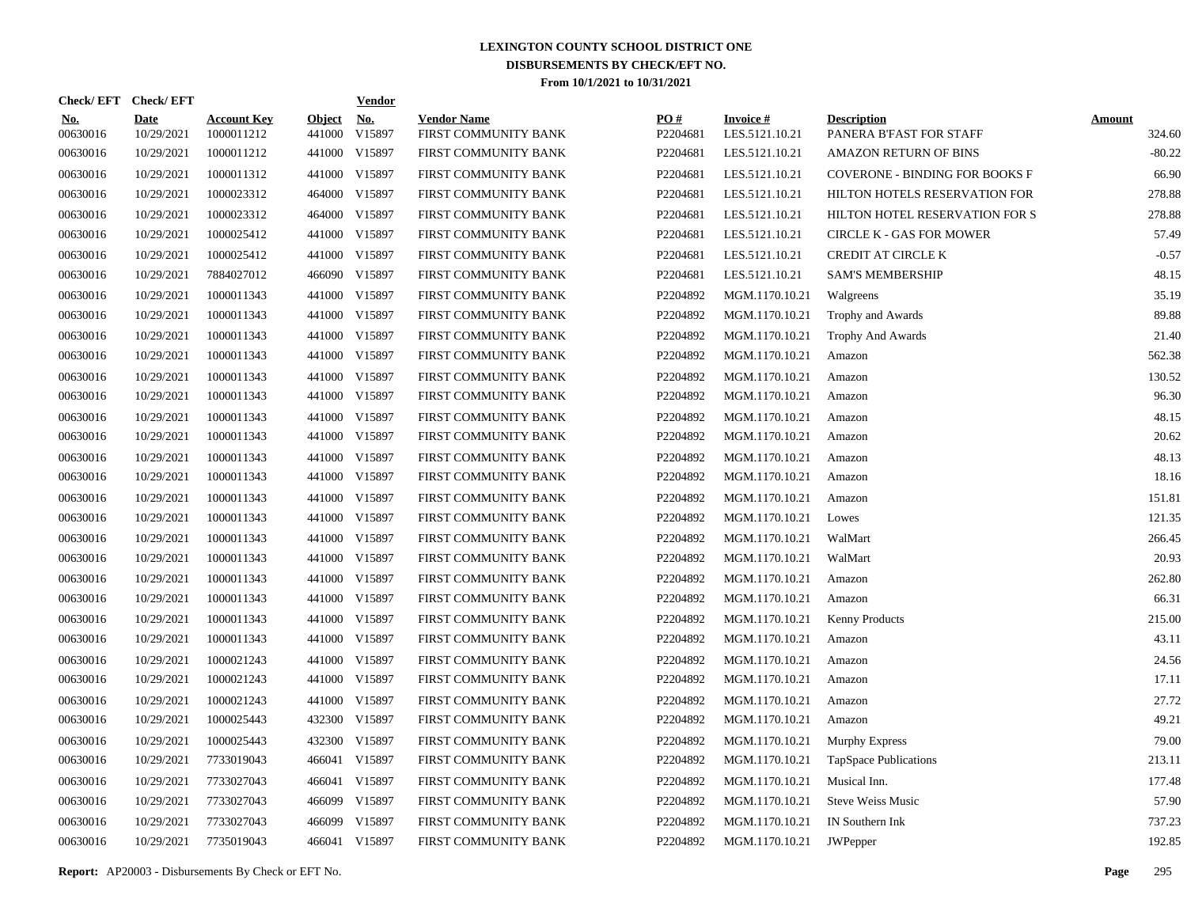|                        | Check/EFT Check/EFT       |                                  |                         | <b>Vendor</b> |                                            |                 |                                   |                                               |                         |
|------------------------|---------------------------|----------------------------------|-------------------------|---------------|--------------------------------------------|-----------------|-----------------------------------|-----------------------------------------------|-------------------------|
| <u>No.</u><br>00630016 | <b>Date</b><br>10/29/2021 | <b>Account Key</b><br>1000011212 | <b>Object</b><br>441000 | No.<br>V15897 | <b>Vendor Name</b><br>FIRST COMMUNITY BANK | PO#<br>P2204681 | <b>Invoice#</b><br>LES.5121.10.21 | <b>Description</b><br>PANERA B'FAST FOR STAFF | <b>Amount</b><br>324.60 |
| 00630016               | 10/29/2021                | 1000011212                       |                         | 441000 V15897 | FIRST COMMUNITY BANK                       | P2204681        | LES.5121.10.21                    | <b>AMAZON RETURN OF BINS</b>                  | $-80.22$                |
| 00630016               | 10/29/2021                | 1000011312                       |                         | 441000 V15897 | FIRST COMMUNITY BANK                       | P2204681        | LES.5121.10.21                    | <b>COVERONE - BINDING FOR BOOKS F</b>         | 66.90                   |
| 00630016               | 10/29/2021                | 1000023312                       |                         | 464000 V15897 | FIRST COMMUNITY BANK                       | P2204681        | LES.5121.10.21                    | HILTON HOTELS RESERVATION FOR                 | 278.88                  |
| 00630016               | 10/29/2021                | 1000023312                       |                         | 464000 V15897 | FIRST COMMUNITY BANK                       | P2204681        | LES.5121.10.21                    | HILTON HOTEL RESERVATION FOR S                | 278.88                  |
| 00630016               | 10/29/2021                | 1000025412                       |                         | 441000 V15897 | FIRST COMMUNITY BANK                       | P2204681        | LES.5121.10.21                    | <b>CIRCLE K - GAS FOR MOWER</b>               | 57.49                   |
| 00630016               | 10/29/2021                | 1000025412                       |                         | 441000 V15897 | FIRST COMMUNITY BANK                       | P2204681        | LES.5121.10.21                    | <b>CREDIT AT CIRCLE K</b>                     | $-0.57$                 |
| 00630016               | 10/29/2021                | 7884027012                       |                         | 466090 V15897 | FIRST COMMUNITY BANK                       | P2204681        | LES.5121.10.21                    | <b>SAM'S MEMBERSHIP</b>                       | 48.15                   |
| 00630016               | 10/29/2021                | 1000011343                       |                         | 441000 V15897 | FIRST COMMUNITY BANK                       | P2204892        | MGM.1170.10.21                    | Walgreens                                     | 35.19                   |
| 00630016               | 10/29/2021                | 1000011343                       |                         | 441000 V15897 | FIRST COMMUNITY BANK                       | P2204892        | MGM.1170.10.21                    | Trophy and Awards                             | 89.88                   |
| 00630016               | 10/29/2021                | 1000011343                       |                         | 441000 V15897 | FIRST COMMUNITY BANK                       | P2204892        | MGM.1170.10.21                    | Trophy And Awards                             | 21.40                   |
| 00630016               | 10/29/2021                | 1000011343                       |                         | 441000 V15897 | FIRST COMMUNITY BANK                       | P2204892        | MGM.1170.10.21                    | Amazon                                        | 562.38                  |
| 00630016               | 10/29/2021                | 1000011343                       |                         | 441000 V15897 | FIRST COMMUNITY BANK                       | P2204892        | MGM.1170.10.21                    | Amazon                                        | 130.52                  |
| 00630016               | 10/29/2021                | 1000011343                       |                         | 441000 V15897 | FIRST COMMUNITY BANK                       | P2204892        | MGM.1170.10.21                    | Amazon                                        | 96.30                   |
| 00630016               | 10/29/2021                | 1000011343                       |                         | 441000 V15897 | FIRST COMMUNITY BANK                       | P2204892        | MGM.1170.10.21                    | Amazon                                        | 48.15                   |
| 00630016               | 10/29/2021                | 1000011343                       |                         | 441000 V15897 | FIRST COMMUNITY BANK                       | P2204892        | MGM.1170.10.21                    | Amazon                                        | 20.62                   |
| 00630016               | 10/29/2021                | 1000011343                       |                         | 441000 V15897 | FIRST COMMUNITY BANK                       | P2204892        | MGM.1170.10.21                    | Amazon                                        | 48.13                   |
| 00630016               | 10/29/2021                | 1000011343                       |                         | 441000 V15897 | FIRST COMMUNITY BANK                       | P2204892        | MGM.1170.10.21                    | Amazon                                        | 18.16                   |
| 00630016               | 10/29/2021                | 1000011343                       |                         | 441000 V15897 | FIRST COMMUNITY BANK                       | P2204892        | MGM.1170.10.21                    | Amazon                                        | 151.81                  |
| 00630016               | 10/29/2021                | 1000011343                       |                         | 441000 V15897 | FIRST COMMUNITY BANK                       | P2204892        | MGM.1170.10.21                    | Lowes                                         | 121.35                  |
| 00630016               | 10/29/2021                | 1000011343                       |                         | 441000 V15897 | FIRST COMMUNITY BANK                       | P2204892        | MGM.1170.10.21                    | WalMart                                       | 266.45                  |
| 00630016               | 10/29/2021                | 1000011343                       |                         | 441000 V15897 | FIRST COMMUNITY BANK                       | P2204892        | MGM.1170.10.21                    | WalMart                                       | 20.93                   |
| 00630016               | 10/29/2021                | 1000011343                       |                         | 441000 V15897 | FIRST COMMUNITY BANK                       | P2204892        | MGM.1170.10.21                    | Amazon                                        | 262.80                  |
| 00630016               | 10/29/2021                | 1000011343                       |                         | 441000 V15897 | FIRST COMMUNITY BANK                       | P2204892        | MGM.1170.10.21                    | Amazon                                        | 66.31                   |
| 00630016               | 10/29/2021                | 1000011343                       |                         | 441000 V15897 | FIRST COMMUNITY BANK                       | P2204892        | MGM.1170.10.21                    | <b>Kenny Products</b>                         | 215.00                  |
| 00630016               | 10/29/2021                | 1000011343                       |                         | 441000 V15897 | FIRST COMMUNITY BANK                       | P2204892        | MGM.1170.10.21                    | Amazon                                        | 43.11                   |
| 00630016               | 10/29/2021                | 1000021243                       |                         | 441000 V15897 | FIRST COMMUNITY BANK                       | P2204892        | MGM.1170.10.21                    | Amazon                                        | 24.56                   |
| 00630016               | 10/29/2021                | 1000021243                       |                         | 441000 V15897 | FIRST COMMUNITY BANK                       | P2204892        | MGM.1170.10.21                    | Amazon                                        | 17.11                   |
| 00630016               | 10/29/2021                | 1000021243                       |                         | 441000 V15897 | FIRST COMMUNITY BANK                       | P2204892        | MGM.1170.10.21                    | Amazon                                        | 27.72                   |
| 00630016               | 10/29/2021                | 1000025443                       |                         | 432300 V15897 | FIRST COMMUNITY BANK                       | P2204892        | MGM.1170.10.21                    | Amazon                                        | 49.21                   |
| 00630016               | 10/29/2021                | 1000025443                       |                         | 432300 V15897 | FIRST COMMUNITY BANK                       | P2204892        | MGM.1170.10.21                    | <b>Murphy Express</b>                         | 79.00                   |
| 00630016               | 10/29/2021                | 7733019043                       |                         | 466041 V15897 | FIRST COMMUNITY BANK                       | P2204892        | MGM.1170.10.21                    | TapSpace Publications                         | 213.11                  |
| 00630016               | 10/29/2021                | 7733027043                       | 466041                  | V15897        | FIRST COMMUNITY BANK                       | P2204892        | MGM.1170.10.21                    | Musical Inn.                                  | 177.48                  |
| 00630016               | 10/29/2021                | 7733027043                       |                         | 466099 V15897 | FIRST COMMUNITY BANK                       | P2204892        | MGM.1170.10.21                    | <b>Steve Weiss Music</b>                      | 57.90                   |
| 00630016               | 10/29/2021                | 7733027043                       | 466099                  | V15897        | FIRST COMMUNITY BANK                       | P2204892        | MGM.1170.10.21                    | IN Southern Ink                               | 737.23                  |
| 00630016               | 10/29/2021                | 7735019043                       |                         | 466041 V15897 | FIRST COMMUNITY BANK                       | P2204892        | MGM.1170.10.21 JWPepper           |                                               | 192.85                  |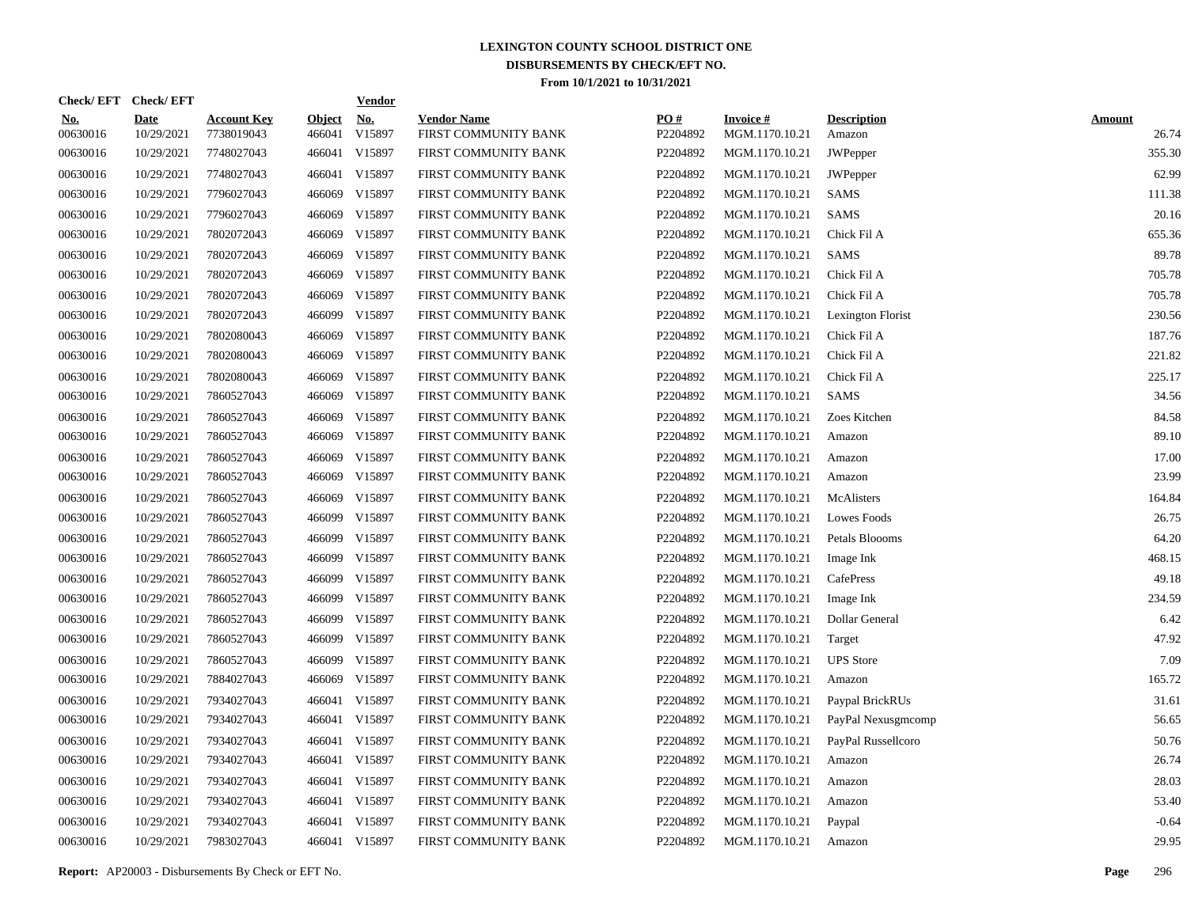|                        | Check/EFT Check/EFT       |                                  |                         | <b>Vendor</b>        |                                            |                 |                                   |                              |                        |
|------------------------|---------------------------|----------------------------------|-------------------------|----------------------|--------------------------------------------|-----------------|-----------------------------------|------------------------------|------------------------|
| <u>No.</u><br>00630016 | <b>Date</b><br>10/29/2021 | <b>Account Key</b><br>7738019043 | <b>Object</b><br>466041 | <b>No.</b><br>V15897 | <b>Vendor Name</b><br>FIRST COMMUNITY BANK | PO#<br>P2204892 | <b>Invoice#</b><br>MGM.1170.10.21 | <b>Description</b><br>Amazon | <b>Amount</b><br>26.74 |
| 00630016               | 10/29/2021                | 7748027043                       | 466041                  | V15897               | FIRST COMMUNITY BANK                       | P2204892        | MGM.1170.10.21                    | JWPepper                     | 355.30                 |
| 00630016               | 10/29/2021                | 7748027043                       |                         | 466041 V15897        | FIRST COMMUNITY BANK                       | P2204892        | MGM.1170.10.21                    | JWPepper                     | 62.99                  |
| 00630016               | 10/29/2021                | 7796027043                       | 466069                  | V15897               | FIRST COMMUNITY BANK                       | P2204892        | MGM.1170.10.21                    | <b>SAMS</b>                  | 111.38                 |
| 00630016               | 10/29/2021                | 7796027043                       | 466069                  | V15897               | FIRST COMMUNITY BANK                       | P2204892        | MGM.1170.10.21                    | <b>SAMS</b>                  | 20.16                  |
| 00630016               | 10/29/2021                | 7802072043                       | 466069                  | V15897               | FIRST COMMUNITY BANK                       | P2204892        | MGM.1170.10.21                    | Chick Fil A                  | 655.36                 |
| 00630016               | 10/29/2021                | 7802072043                       |                         | 466069 V15897        | FIRST COMMUNITY BANK                       | P2204892        | MGM.1170.10.21                    | <b>SAMS</b>                  | 89.78                  |
| 00630016               | 10/29/2021                | 7802072043                       | 466069                  | V15897               | FIRST COMMUNITY BANK                       | P2204892        | MGM.1170.10.21                    | Chick Fil A                  | 705.78                 |
| 00630016               | 10/29/2021                | 7802072043                       |                         | 466069 V15897        | FIRST COMMUNITY BANK                       | P2204892        | MGM.1170.10.21                    | Chick Fil A                  | 705.78                 |
| 00630016               | 10/29/2021                | 7802072043                       |                         | 466099 V15897        | FIRST COMMUNITY BANK                       | P2204892        | MGM.1170.10.21                    | Lexington Florist            | 230.56                 |
| 00630016               | 10/29/2021                | 7802080043                       |                         | 466069 V15897        | FIRST COMMUNITY BANK                       | P2204892        | MGM.1170.10.21                    | Chick Fil A                  | 187.76                 |
| 00630016               | 10/29/2021                | 7802080043                       |                         | 466069 V15897        | FIRST COMMUNITY BANK                       | P2204892        | MGM.1170.10.21                    | Chick Fil A                  | 221.82                 |
| 00630016               | 10/29/2021                | 7802080043                       |                         | 466069 V15897        | FIRST COMMUNITY BANK                       | P2204892        | MGM.1170.10.21                    | Chick Fil A                  | 225.17                 |
| 00630016               | 10/29/2021                | 7860527043                       |                         | 466069 V15897        | FIRST COMMUNITY BANK                       | P2204892        | MGM.1170.10.21                    | SAMS                         | 34.56                  |
| 00630016               | 10/29/2021                | 7860527043                       |                         | 466069 V15897        | FIRST COMMUNITY BANK                       | P2204892        | MGM.1170.10.21                    | Zoes Kitchen                 | 84.58                  |
| 00630016               | 10/29/2021                | 7860527043                       |                         | 466069 V15897        | FIRST COMMUNITY BANK                       | P2204892        | MGM.1170.10.21                    | Amazon                       | 89.10                  |
| 00630016               | 10/29/2021                | 7860527043                       | 466069                  | V15897               | FIRST COMMUNITY BANK                       | P2204892        | MGM.1170.10.21                    | Amazon                       | 17.00                  |
| 00630016               | 10/29/2021                | 7860527043                       |                         | 466069 V15897        | FIRST COMMUNITY BANK                       | P2204892        | MGM.1170.10.21                    | Amazon                       | 23.99                  |
| 00630016               | 10/29/2021                | 7860527043                       | 466069                  | V15897               | FIRST COMMUNITY BANK                       | P2204892        | MGM.1170.10.21                    | McAlisters                   | 164.84                 |
| 00630016               | 10/29/2021                | 7860527043                       |                         | 466099 V15897        | FIRST COMMUNITY BANK                       | P2204892        | MGM.1170.10.21                    | <b>Lowes Foods</b>           | 26.75                  |
| 00630016               | 10/29/2021                | 7860527043                       | 466099                  | V15897               | FIRST COMMUNITY BANK                       | P2204892        | MGM.1170.10.21                    | Petals Bloooms               | 64.20                  |
| 00630016               | 10/29/2021                | 7860527043                       |                         | 466099 V15897        | FIRST COMMUNITY BANK                       | P2204892        | MGM.1170.10.21                    | Image Ink                    | 468.15                 |
| 00630016               | 10/29/2021                | 7860527043                       | 466099                  | V15897               | FIRST COMMUNITY BANK                       | P2204892        | MGM.1170.10.21                    | CafePress                    | 49.18                  |
| 00630016               | 10/29/2021                | 7860527043                       |                         | 466099 V15897        | FIRST COMMUNITY BANK                       | P2204892        | MGM.1170.10.21                    | Image Ink                    | 234.59                 |
| 00630016               | 10/29/2021                | 7860527043                       | 466099                  | V15897               | FIRST COMMUNITY BANK                       | P2204892        | MGM.1170.10.21                    | Dollar General               | 6.42                   |
| 00630016               | 10/29/2021                | 7860527043                       |                         | 466099 V15897        | FIRST COMMUNITY BANK                       | P2204892        | MGM.1170.10.21                    | Target                       | 47.92                  |
| 00630016               | 10/29/2021                | 7860527043                       | 466099                  | V15897               | FIRST COMMUNITY BANK                       | P2204892        | MGM.1170.10.21                    | <b>UPS</b> Store             | 7.09                   |
| 00630016               | 10/29/2021                | 7884027043                       | 466069                  | V15897               | FIRST COMMUNITY BANK                       | P2204892        | MGM.1170.10.21                    | Amazon                       | 165.72                 |
| 00630016               | 10/29/2021                | 7934027043                       |                         | 466041 V15897        | FIRST COMMUNITY BANK                       | P2204892        | MGM.1170.10.21                    | Paypal BrickRUs              | 31.61                  |
| 00630016               | 10/29/2021                | 7934027043                       |                         | 466041 V15897        | FIRST COMMUNITY BANK                       | P2204892        | MGM.1170.10.21                    | PayPal Nexusgmcomp           | 56.65                  |
| 00630016               | 10/29/2021                | 7934027043                       |                         | 466041 V15897        | FIRST COMMUNITY BANK                       | P2204892        | MGM.1170.10.21                    | PayPal Russellcoro           | 50.76                  |
| 00630016               | 10/29/2021                | 7934027043                       |                         | 466041 V15897        | FIRST COMMUNITY BANK                       | P2204892        | MGM.1170.10.21                    | Amazon                       | 26.74                  |
| 00630016               | 10/29/2021                | 7934027043                       |                         | 466041 V15897        | FIRST COMMUNITY BANK                       | P2204892        | MGM.1170.10.21                    | Amazon                       | 28.03                  |
| 00630016               | 10/29/2021                | 7934027043                       |                         | 466041 V15897        | FIRST COMMUNITY BANK                       | P2204892        | MGM.1170.10.21                    | Amazon                       | 53.40                  |
| 00630016               | 10/29/2021                | 7934027043                       |                         | 466041 V15897        | FIRST COMMUNITY BANK                       | P2204892        | MGM.1170.10.21                    | Paypal                       | $-0.64$                |
| 00630016               | 10/29/2021                | 7983027043                       |                         | 466041 V15897        | FIRST COMMUNITY BANK                       | P2204892        | MGM.1170.10.21                    | Amazon                       | 29.95                  |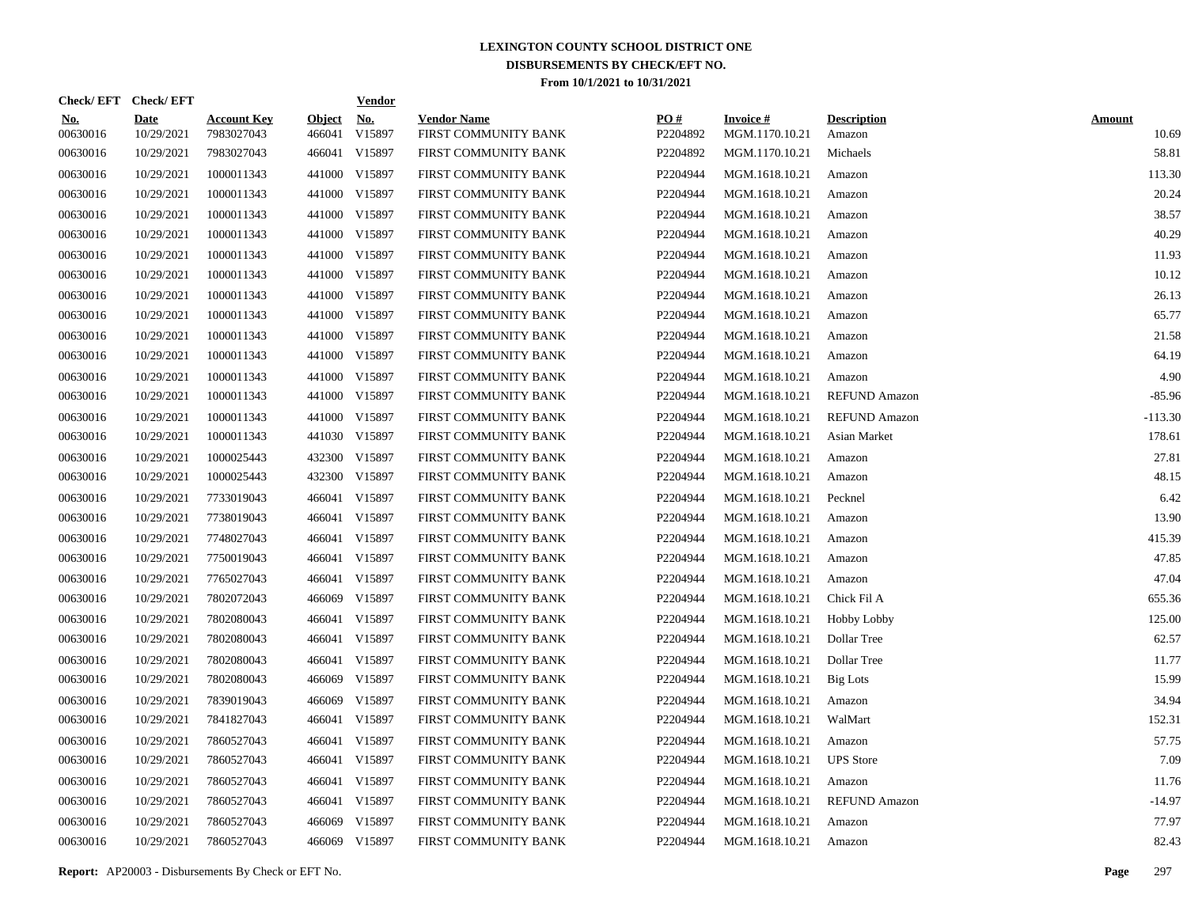|                        | Check/EFT Check/EFT       |                                  |                         | <b>Vendor</b>        |                                            |                 |                                   |                              |                        |
|------------------------|---------------------------|----------------------------------|-------------------------|----------------------|--------------------------------------------|-----------------|-----------------------------------|------------------------------|------------------------|
| <u>No.</u><br>00630016 | <b>Date</b><br>10/29/2021 | <b>Account Key</b><br>7983027043 | <b>Object</b><br>466041 | <b>No.</b><br>V15897 | <b>Vendor Name</b><br>FIRST COMMUNITY BANK | PO#<br>P2204892 | <b>Invoice#</b><br>MGM.1170.10.21 | <b>Description</b><br>Amazon | <b>Amount</b><br>10.69 |
| 00630016               | 10/29/2021                | 7983027043                       | 466041                  | V15897               | FIRST COMMUNITY BANK                       | P2204892        | MGM.1170.10.21                    | Michaels                     | 58.81                  |
| 00630016               | 10/29/2021                | 1000011343                       |                         | 441000 V15897        | FIRST COMMUNITY BANK                       | P2204944        | MGM.1618.10.21                    | Amazon                       | 113.30                 |
| 00630016               | 10/29/2021                | 1000011343                       | 441000                  | V15897               | FIRST COMMUNITY BANK                       | P2204944        | MGM.1618.10.21                    | Amazon                       | 20.24                  |
| 00630016               | 10/29/2021                | 1000011343                       |                         | 441000 V15897        | FIRST COMMUNITY BANK                       | P2204944        | MGM.1618.10.21                    | Amazon                       | 38.57                  |
| 00630016               | 10/29/2021                | 1000011343                       |                         | 441000 V15897        | FIRST COMMUNITY BANK                       | P2204944        | MGM.1618.10.21                    | Amazon                       | 40.29                  |
| 00630016               | 10/29/2021                | 1000011343                       |                         | 441000 V15897        | FIRST COMMUNITY BANK                       | P2204944        | MGM.1618.10.21                    | Amazon                       | 11.93                  |
| 00630016               | 10/29/2021                | 1000011343                       |                         | 441000 V15897        | FIRST COMMUNITY BANK                       | P2204944        | MGM.1618.10.21                    | Amazon                       | 10.12                  |
| 00630016               | 10/29/2021                | 1000011343                       |                         | 441000 V15897        | FIRST COMMUNITY BANK                       | P2204944        | MGM.1618.10.21                    | Amazon                       | 26.13                  |
| 00630016               | 10/29/2021                | 1000011343                       |                         | 441000 V15897        | FIRST COMMUNITY BANK                       | P2204944        | MGM.1618.10.21                    | Amazon                       | 65.77                  |
| 00630016               | 10/29/2021                | 1000011343                       |                         | 441000 V15897        | FIRST COMMUNITY BANK                       | P2204944        | MGM.1618.10.21                    | Amazon                       | 21.58                  |
| 00630016               | 10/29/2021                | 1000011343                       |                         | 441000 V15897        | FIRST COMMUNITY BANK                       | P2204944        | MGM.1618.10.21                    | Amazon                       | 64.19                  |
| 00630016               | 10/29/2021                | 1000011343                       |                         | 441000 V15897        | FIRST COMMUNITY BANK                       | P2204944        | MGM.1618.10.21                    | Amazon                       | 4.90                   |
| 00630016               | 10/29/2021                | 1000011343                       |                         | 441000 V15897        | FIRST COMMUNITY BANK                       | P2204944        | MGM.1618.10.21                    | <b>REFUND Amazon</b>         | $-85.96$               |
| 00630016               | 10/29/2021                | 1000011343                       |                         | 441000 V15897        | FIRST COMMUNITY BANK                       | P2204944        | MGM.1618.10.21                    | <b>REFUND Amazon</b>         | $-113.30$              |
| 00630016               | 10/29/2021                | 1000011343                       |                         | 441030 V15897        | FIRST COMMUNITY BANK                       | P2204944        | MGM.1618.10.21                    | Asian Market                 | 178.61                 |
| 00630016               | 10/29/2021                | 1000025443                       |                         | 432300 V15897        | FIRST COMMUNITY BANK                       | P2204944        | MGM.1618.10.21                    | Amazon                       | 27.81                  |
| 00630016               | 10/29/2021                | 1000025443                       |                         | 432300 V15897        | FIRST COMMUNITY BANK                       | P2204944        | MGM.1618.10.21                    | Amazon                       | 48.15                  |
| 00630016               | 10/29/2021                | 7733019043                       | 466041                  | V15897               | FIRST COMMUNITY BANK                       | P2204944        | MGM.1618.10.21                    | Pecknel                      | 6.42                   |
| 00630016               | 10/29/2021                | 7738019043                       | 466041                  | V15897               | FIRST COMMUNITY BANK                       | P2204944        | MGM.1618.10.21                    | Amazon                       | 13.90                  |
| 00630016               | 10/29/2021                | 7748027043                       | 466041                  | V15897               | FIRST COMMUNITY BANK                       | P2204944        | MGM.1618.10.21                    | Amazon                       | 415.39                 |
| 00630016               | 10/29/2021                | 7750019043                       | 466041                  | V15897               | FIRST COMMUNITY BANK                       | P2204944        | MGM.1618.10.21                    | Amazon                       | 47.85                  |
| 00630016               | 10/29/2021                | 7765027043                       | 466041                  | V15897               | FIRST COMMUNITY BANK                       | P2204944        | MGM.1618.10.21                    | Amazon                       | 47.04                  |
| 00630016               | 10/29/2021                | 7802072043                       | 466069                  | V15897               | FIRST COMMUNITY BANK                       | P2204944        | MGM.1618.10.21                    | Chick Fil A                  | 655.36                 |
| 00630016               | 10/29/2021                | 7802080043                       | 466041                  | V15897               | FIRST COMMUNITY BANK                       | P2204944        | MGM.1618.10.21                    | <b>Hobby Lobby</b>           | 125.00                 |
| 00630016               | 10/29/2021                | 7802080043                       | 466041                  | V15897               | FIRST COMMUNITY BANK                       | P2204944        | MGM.1618.10.21                    | Dollar Tree                  | 62.57                  |
| 00630016               | 10/29/2021                | 7802080043                       | 466041                  | V15897               | FIRST COMMUNITY BANK                       | P2204944        | MGM.1618.10.21                    | Dollar Tree                  | 11.77                  |
| 00630016               | 10/29/2021                | 7802080043                       | 466069                  | V15897               | FIRST COMMUNITY BANK                       | P2204944        | MGM.1618.10.21                    | <b>Big Lots</b>              | 15.99                  |
| 00630016               | 10/29/2021                | 7839019043                       | 466069                  | V15897               | FIRST COMMUNITY BANK                       | P2204944        | MGM.1618.10.21                    | Amazon                       | 34.94                  |
| 00630016               | 10/29/2021                | 7841827043                       | 466041                  | V15897               | FIRST COMMUNITY BANK                       | P2204944        | MGM.1618.10.21                    | WalMart                      | 152.31                 |
| 00630016               | 10/29/2021                | 7860527043                       | 466041                  | V15897               | FIRST COMMUNITY BANK                       | P2204944        | MGM.1618.10.21                    | Amazon                       | 57.75                  |
| 00630016               | 10/29/2021                | 7860527043                       | 466041                  | V15897               | FIRST COMMUNITY BANK                       | P2204944        | MGM.1618.10.21                    | <b>UPS</b> Store             | 7.09                   |
| 00630016               | 10/29/2021                | 7860527043                       | 466041                  | V15897               | FIRST COMMUNITY BANK                       | P2204944        | MGM.1618.10.21                    | Amazon                       | 11.76                  |
| 00630016               | 10/29/2021                | 7860527043                       | 466041                  | V15897               | FIRST COMMUNITY BANK                       | P2204944        | MGM.1618.10.21                    | REFUND Amazon                | $-14.97$               |
| 00630016               | 10/29/2021                | 7860527043                       | 466069                  | V15897               | FIRST COMMUNITY BANK                       | P2204944        | MGM.1618.10.21                    | Amazon                       | 77.97                  |
| 00630016               | 10/29/2021                | 7860527043                       |                         | 466069 V15897        | FIRST COMMUNITY BANK                       | P2204944        | MGM.1618.10.21                    | Amazon                       | 82.43                  |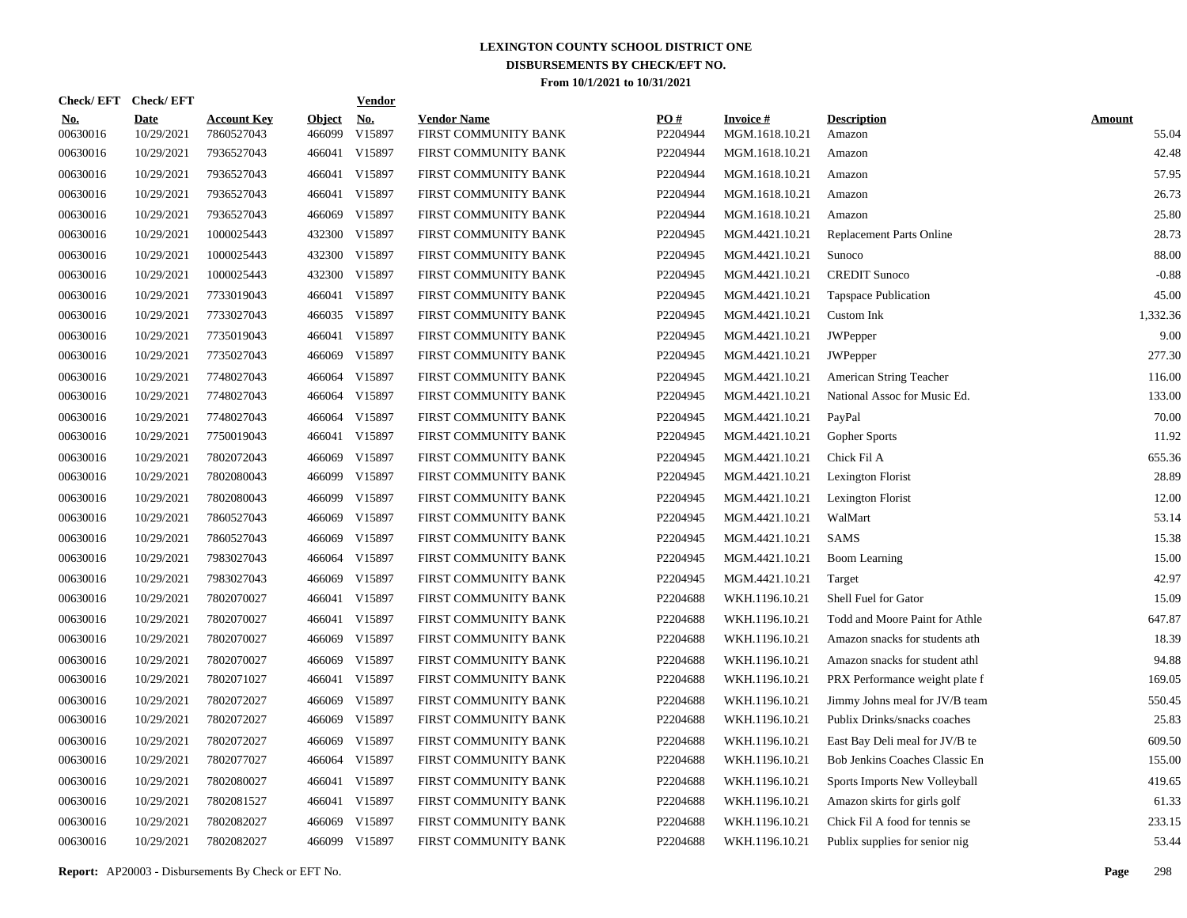| Check/EFT Check/EFT    |                           |                                  |                         | <u>Vendor</u>        |                                            |                 |                                   |                                 |                        |
|------------------------|---------------------------|----------------------------------|-------------------------|----------------------|--------------------------------------------|-----------------|-----------------------------------|---------------------------------|------------------------|
| <u>No.</u><br>00630016 | <b>Date</b><br>10/29/2021 | <b>Account Key</b><br>7860527043 | <b>Object</b><br>466099 | <u>No.</u><br>V15897 | <b>Vendor Name</b><br>FIRST COMMUNITY BANK | PQ#<br>P2204944 | <b>Invoice#</b><br>MGM.1618.10.21 | <b>Description</b><br>Amazon    | <b>Amount</b><br>55.04 |
| 00630016               | 10/29/2021                | 7936527043                       | 466041                  | V15897               | FIRST COMMUNITY BANK                       | P2204944        | MGM.1618.10.21                    | Amazon                          | 42.48                  |
| 00630016               | 10/29/2021                | 7936527043                       | 466041                  | V15897               | FIRST COMMUNITY BANK                       | P2204944        | MGM.1618.10.21                    | Amazon                          | 57.95                  |
| 00630016               | 10/29/2021                | 7936527043                       | 466041                  | V15897               | FIRST COMMUNITY BANK                       | P2204944        | MGM.1618.10.21                    | Amazon                          | 26.73                  |
| 00630016               | 10/29/2021                | 7936527043                       | 466069                  | V15897               | FIRST COMMUNITY BANK                       | P2204944        | MGM.1618.10.21                    | Amazon                          | 25.80                  |
| 00630016               | 10/29/2021                | 1000025443                       | 432300                  | V15897               | FIRST COMMUNITY BANK                       | P2204945        | MGM.4421.10.21                    | <b>Replacement Parts Online</b> | 28.73                  |
| 00630016               | 10/29/2021                | 1000025443                       | 432300                  | V15897               | FIRST COMMUNITY BANK                       | P2204945        | MGM.4421.10.21                    | Sunoco                          | 88.00                  |
| 00630016               | 10/29/2021                | 1000025443                       | 432300                  | V15897               | FIRST COMMUNITY BANK                       | P2204945        | MGM.4421.10.21                    | <b>CREDIT Sunoco</b>            | $-0.88$                |
| 00630016               | 10/29/2021                | 7733019043                       | 466041                  | V15897               | FIRST COMMUNITY BANK                       | P2204945        | MGM.4421.10.21                    | <b>Tapspace Publication</b>     | 45.00                  |
| 00630016               | 10/29/2021                | 7733027043                       |                         | 466035 V15897        | FIRST COMMUNITY BANK                       | P2204945        | MGM.4421.10.21                    | Custom Ink                      | 1,332.36               |
| 00630016               | 10/29/2021                | 7735019043                       | 466041                  | V15897               | FIRST COMMUNITY BANK                       | P2204945        | MGM.4421.10.21                    | JWPepper                        | 9.00                   |
| 00630016               | 10/29/2021                | 7735027043                       | 466069                  | V15897               | FIRST COMMUNITY BANK                       | P2204945        | MGM.4421.10.21                    | JWPepper                        | 277.30                 |
| 00630016               | 10/29/2021                | 7748027043                       | 466064                  | V15897               | FIRST COMMUNITY BANK                       | P2204945        | MGM.4421.10.21                    | American String Teacher         | 116.00                 |
| 00630016               | 10/29/2021                | 7748027043                       | 466064                  | V15897               | FIRST COMMUNITY BANK                       | P2204945        | MGM.4421.10.21                    | National Assoc for Music Ed.    | 133.00                 |
| 00630016               | 10/29/2021                | 7748027043                       | 466064                  | V15897               | FIRST COMMUNITY BANK                       | P2204945        | MGM.4421.10.21                    | PayPal                          | 70.00                  |
| 00630016               | 10/29/2021                | 7750019043                       | 466041                  | V15897               | FIRST COMMUNITY BANK                       | P2204945        | MGM.4421.10.21                    | Gopher Sports                   | 11.92                  |
| 00630016               | 10/29/2021                | 7802072043                       | 466069                  | V15897               | FIRST COMMUNITY BANK                       | P2204945        | MGM.4421.10.21                    | Chick Fil A                     | 655.36                 |
| 00630016               | 10/29/2021                | 7802080043                       | 466099                  | V15897               | FIRST COMMUNITY BANK                       | P2204945        | MGM.4421.10.21                    | Lexington Florist               | 28.89                  |
| 00630016               | 10/29/2021                | 7802080043                       | 466099                  | V15897               | FIRST COMMUNITY BANK                       | P2204945        | MGM.4421.10.21                    | Lexington Florist               | 12.00                  |
| 00630016               | 10/29/2021                | 7860527043                       | 466069                  | V15897               | FIRST COMMUNITY BANK                       | P2204945        | MGM.4421.10.21                    | WalMart                         | 53.14                  |
| 00630016               | 10/29/2021                | 7860527043                       | 466069                  | V15897               | FIRST COMMUNITY BANK                       | P2204945        | MGM.4421.10.21                    | <b>SAMS</b>                     | 15.38                  |
| 00630016               | 10/29/2021                | 7983027043                       | 466064                  | V15897               | FIRST COMMUNITY BANK                       | P2204945        | MGM.4421.10.21                    | <b>Boom Learning</b>            | 15.00                  |
| 00630016               | 10/29/2021                | 7983027043                       | 466069                  | V15897               | FIRST COMMUNITY BANK                       | P2204945        | MGM.4421.10.21                    | Target                          | 42.97                  |
| 00630016               | 10/29/2021                | 7802070027                       | 466041                  | V15897               | FIRST COMMUNITY BANK                       | P2204688        | WKH.1196.10.21                    | Shell Fuel for Gator            | 15.09                  |
| 00630016               | 10/29/2021                | 7802070027                       | 466041                  | V15897               | FIRST COMMUNITY BANK                       | P2204688        | WKH.1196.10.21                    | Todd and Moore Paint for Athle  | 647.87                 |
| 00630016               | 10/29/2021                | 7802070027                       | 466069                  | V15897               | FIRST COMMUNITY BANK                       | P2204688        | WKH.1196.10.21                    | Amazon snacks for students ath  | 18.39                  |
| 00630016               | 10/29/2021                | 7802070027                       | 466069                  | V15897               | FIRST COMMUNITY BANK                       | P2204688        | WKH.1196.10.21                    | Amazon snacks for student athl  | 94.88                  |
| 00630016               | 10/29/2021                | 7802071027                       | 466041                  | V15897               | FIRST COMMUNITY BANK                       | P2204688        | WKH.1196.10.21                    | PRX Performance weight plate f  | 169.05                 |
| 00630016               | 10/29/2021                | 7802072027                       | 466069                  | V15897               | FIRST COMMUNITY BANK                       | P2204688        | WKH.1196.10.21                    | Jimmy Johns meal for JV/B team  | 550.45                 |
| 00630016               | 10/29/2021                | 7802072027                       | 466069                  | V15897               | FIRST COMMUNITY BANK                       | P2204688        | WKH.1196.10.21                    | Publix Drinks/snacks coaches    | 25.83                  |
| 00630016               | 10/29/2021                | 7802072027                       | 466069                  | V15897               | FIRST COMMUNITY BANK                       | P2204688        | WKH.1196.10.21                    | East Bay Deli meal for JV/B te  | 609.50                 |
| 00630016               | 10/29/2021                | 7802077027                       | 466064                  | V15897               | FIRST COMMUNITY BANK                       | P2204688        | WKH.1196.10.21                    | Bob Jenkins Coaches Classic En  | 155.00                 |
| 00630016               | 10/29/2021                | 7802080027                       | 466041                  | V15897               | FIRST COMMUNITY BANK                       | P2204688        | WKH.1196.10.21                    | Sports Imports New Volleyball   | 419.65                 |
| 00630016               | 10/29/2021                | 7802081527                       | 466041                  | V15897               | FIRST COMMUNITY BANK                       | P2204688        | WKH.1196.10.21                    | Amazon skirts for girls golf    | 61.33                  |
| 00630016               | 10/29/2021                | 7802082027                       | 466069                  | V15897               | FIRST COMMUNITY BANK                       | P2204688        | WKH.1196.10.21                    | Chick Fil A food for tennis se  | 233.15                 |
| 00630016               | 10/29/2021                | 7802082027                       |                         | 466099 V15897        | FIRST COMMUNITY BANK                       | P2204688        | WKH.1196.10.21                    | Publix supplies for senior nig  | 53.44                  |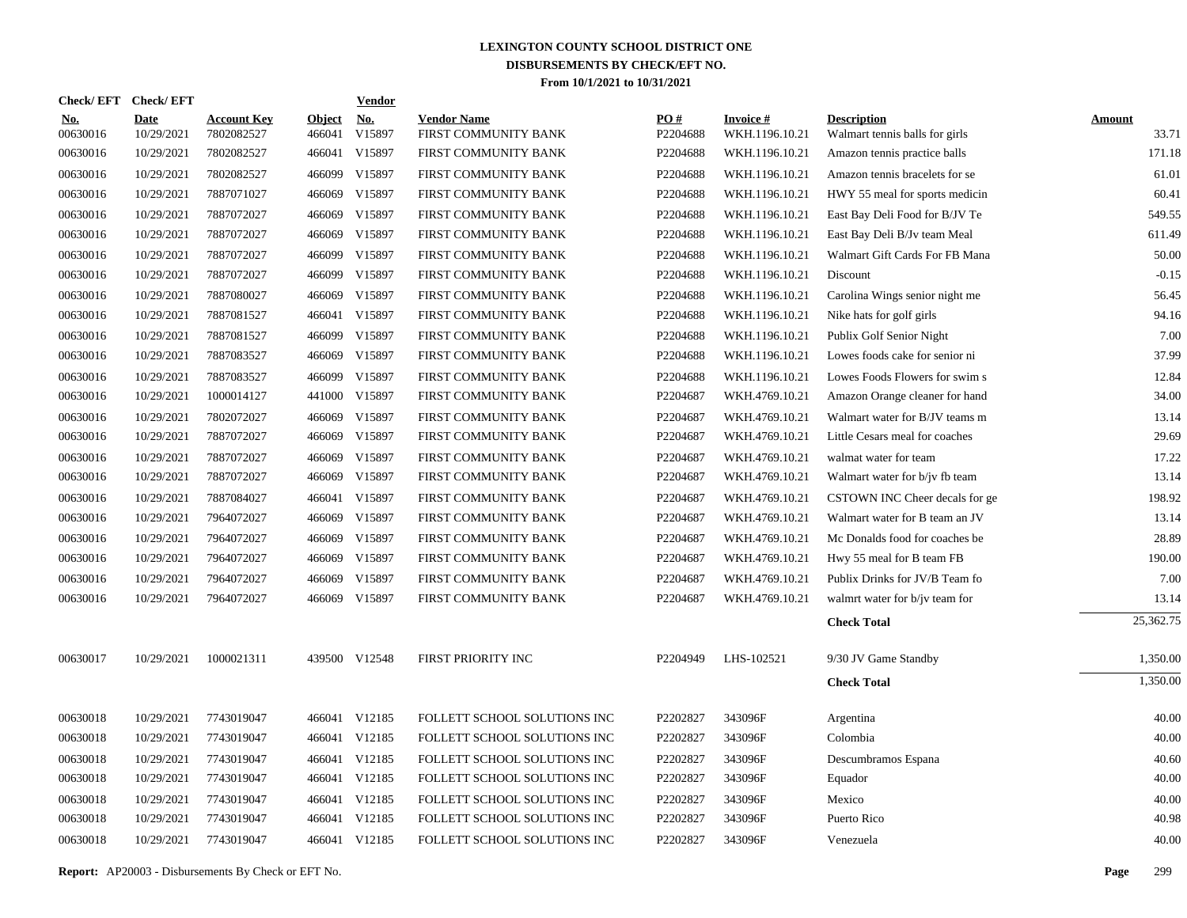|                        | Check/EFT Check/EFT |                                  |                         | <b>Vendor</b> |                                            |                 |                                    |                                                      |                 |
|------------------------|---------------------|----------------------------------|-------------------------|---------------|--------------------------------------------|-----------------|------------------------------------|------------------------------------------------------|-----------------|
| <b>No.</b><br>00630016 | Date<br>10/29/2021  | <b>Account Key</b><br>7802082527 | <b>Object</b><br>466041 | No.<br>V15897 | <b>Vendor Name</b><br>FIRST COMMUNITY BANK | PO#<br>P2204688 | <b>Invoice #</b><br>WKH.1196.10.21 | <b>Description</b><br>Walmart tennis balls for girls | Amount<br>33.71 |
| 00630016               | 10/29/2021          | 7802082527                       | 466041                  | V15897        | FIRST COMMUNITY BANK                       | P2204688        | WKH.1196.10.21                     | Amazon tennis practice balls                         | 171.18          |
| 00630016               | 10/29/2021          | 7802082527                       | 466099                  | V15897        | FIRST COMMUNITY BANK                       | P2204688        | WKH.1196.10.21                     | Amazon tennis bracelets for se                       | 61.01           |
| 00630016               | 10/29/2021          | 7887071027                       | 466069                  | V15897        | FIRST COMMUNITY BANK                       | P2204688        | WKH.1196.10.21                     | HWY 55 meal for sports medicin                       | 60.41           |
| 00630016               | 10/29/2021          | 7887072027                       | 466069                  | V15897        | FIRST COMMUNITY BANK                       | P2204688        | WKH.1196.10.21                     | East Bay Deli Food for B/JV Te                       | 549.55          |
| 00630016               | 10/29/2021          | 7887072027                       | 466069                  | V15897        | FIRST COMMUNITY BANK                       | P2204688        | WKH.1196.10.21                     | East Bay Deli B/Jv team Meal                         | 611.49          |
| 00630016               | 10/29/2021          | 7887072027                       | 466099                  | V15897        | FIRST COMMUNITY BANK                       | P2204688        | WKH.1196.10.21                     | Walmart Gift Cards For FB Mana                       | 50.00           |
| 00630016               | 10/29/2021          | 7887072027                       | 466099                  | V15897        | FIRST COMMUNITY BANK                       | P2204688        | WKH.1196.10.21                     | Discount                                             | $-0.15$         |
| 00630016               | 10/29/2021          | 7887080027                       | 466069                  | V15897        | FIRST COMMUNITY BANK                       | P2204688        | WKH.1196.10.21                     | Carolina Wings senior night me                       | 56.45           |
| 00630016               | 10/29/2021          | 7887081527                       | 466041                  | V15897        | FIRST COMMUNITY BANK                       | P2204688        | WKH.1196.10.21                     | Nike hats for golf girls                             | 94.16           |
| 00630016               | 10/29/2021          | 7887081527                       | 466099                  | V15897        | FIRST COMMUNITY BANK                       | P2204688        | WKH.1196.10.21                     | Publix Golf Senior Night                             | 7.00            |
| 00630016               | 10/29/2021          | 7887083527                       | 466069                  | V15897        | FIRST COMMUNITY BANK                       | P2204688        | WKH.1196.10.21                     | Lowes foods cake for senior ni                       | 37.99           |
| 00630016               | 10/29/2021          | 7887083527                       | 466099                  | V15897        | FIRST COMMUNITY BANK                       | P2204688        | WKH.1196.10.21                     | Lowes Foods Flowers for swim s                       | 12.84           |
| 00630016               | 10/29/2021          | 1000014127                       | 441000                  | V15897        | FIRST COMMUNITY BANK                       | P2204687        | WKH.4769.10.21                     | Amazon Orange cleaner for hand                       | 34.00           |
| 00630016               | 10/29/2021          | 7802072027                       | 466069                  | V15897        | FIRST COMMUNITY BANK                       | P2204687        | WKH.4769.10.21                     | Walmart water for B/JV teams m                       | 13.14           |
| 00630016               | 10/29/2021          | 7887072027                       | 466069                  | V15897        | FIRST COMMUNITY BANK                       | P2204687        | WKH.4769.10.21                     | Little Cesars meal for coaches                       | 29.69           |
| 00630016               | 10/29/2021          | 7887072027                       | 466069                  | V15897        | FIRST COMMUNITY BANK                       | P2204687        | WKH.4769.10.21                     | walmat water for team                                | 17.22           |
| 00630016               | 10/29/2021          | 7887072027                       | 466069                  | V15897        | FIRST COMMUNITY BANK                       | P2204687        | WKH.4769.10.21                     | Walmart water for b/jv fb team                       | 13.14           |
| 00630016               | 10/29/2021          | 7887084027                       | 466041                  | V15897        | FIRST COMMUNITY BANK                       | P2204687        | WKH.4769.10.21                     | CSTOWN INC Cheer decals for ge                       | 198.92          |
| 00630016               | 10/29/2021          | 7964072027                       | 466069                  | V15897        | FIRST COMMUNITY BANK                       | P2204687        | WKH.4769.10.21                     | Walmart water for B team an JV                       | 13.14           |
| 00630016               | 10/29/2021          | 7964072027                       | 466069                  | V15897        | FIRST COMMUNITY BANK                       | P2204687        | WKH.4769.10.21                     | Mc Donalds food for coaches be                       | 28.89           |
| 00630016               | 10/29/2021          | 7964072027                       | 466069                  | V15897        | FIRST COMMUNITY BANK                       | P2204687        | WKH.4769.10.21                     | Hwy 55 meal for B team FB                            | 190.00          |
| 00630016               | 10/29/2021          | 7964072027                       | 466069                  | V15897        | FIRST COMMUNITY BANK                       | P2204687        | WKH.4769.10.21                     | Publix Drinks for JV/B Team fo                       | 7.00            |
| 00630016               | 10/29/2021          | 7964072027                       | 466069                  | V15897        | FIRST COMMUNITY BANK                       | P2204687        | WKH.4769.10.21                     | walmrt water for b/jv team for                       | 13.14           |
|                        |                     |                                  |                         |               |                                            |                 |                                    | <b>Check Total</b>                                   | 25,362.75       |
| 00630017               | 10/29/2021          | 1000021311                       |                         | 439500 V12548 | FIRST PRIORITY INC                         | P2204949        | LHS-102521                         | 9/30 JV Game Standby                                 | 1,350.00        |
|                        |                     |                                  |                         |               |                                            |                 |                                    | <b>Check Total</b>                                   | 1,350.00        |
| 00630018               | 10/29/2021          | 7743019047                       |                         | 466041 V12185 | FOLLETT SCHOOL SOLUTIONS INC               | P2202827        | 343096F                            | Argentina                                            | 40.00           |
| 00630018               | 10/29/2021          | 7743019047                       |                         | 466041 V12185 | FOLLETT SCHOOL SOLUTIONS INC               | P2202827        | 343096F                            | Colombia                                             | 40.00           |
| 00630018               | 10/29/2021          | 7743019047                       |                         | 466041 V12185 | FOLLETT SCHOOL SOLUTIONS INC               | P2202827        | 343096F                            | Descumbramos Espana                                  | 40.60           |
| 00630018               | 10/29/2021          | 7743019047                       |                         | 466041 V12185 | FOLLETT SCHOOL SOLUTIONS INC               | P2202827        | 343096F                            | Equador                                              | 40.00           |
| 00630018               | 10/29/2021          | 7743019047                       |                         | 466041 V12185 | FOLLETT SCHOOL SOLUTIONS INC               | P2202827        | 343096F                            | Mexico                                               | 40.00           |
| 00630018               | 10/29/2021          | 7743019047                       | 466041                  | V12185        | FOLLETT SCHOOL SOLUTIONS INC               | P2202827        | 343096F                            | Puerto Rico                                          | 40.98           |
| 00630018               | 10/29/2021          | 7743019047                       |                         | 466041 V12185 | FOLLETT SCHOOL SOLUTIONS INC               | P2202827        | 343096F                            | Venezuela                                            | 40.00           |
|                        |                     |                                  |                         |               |                                            |                 |                                    |                                                      |                 |

**Report:** AP20003 - Disbursements By Check or EFT No. **Page** 299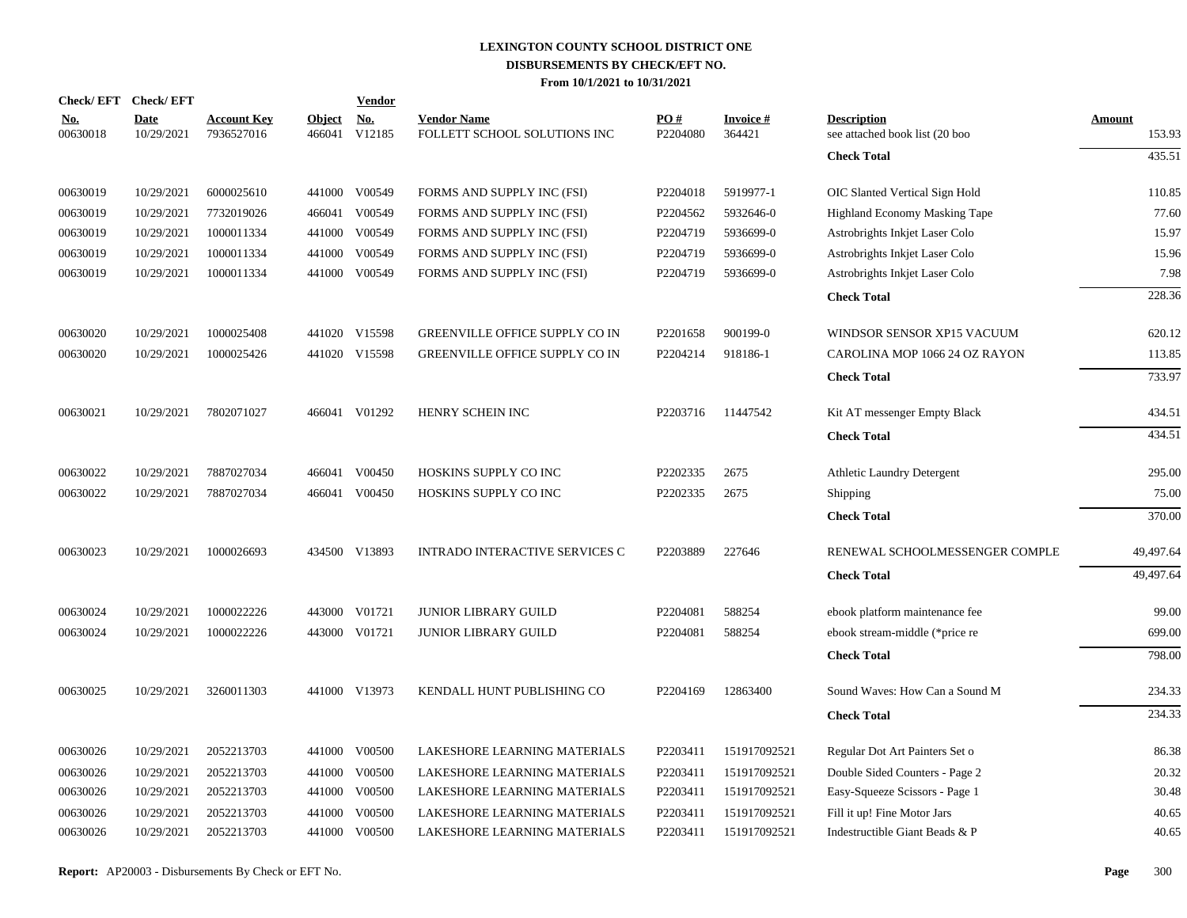|                        | Check/EFT Check/EFT       |                                  |                         | <b>Vendor</b>        |                                                    |                 |                           |                                                      |                         |
|------------------------|---------------------------|----------------------------------|-------------------------|----------------------|----------------------------------------------------|-----------------|---------------------------|------------------------------------------------------|-------------------------|
| <u>No.</u><br>00630018 | <b>Date</b><br>10/29/2021 | <b>Account Key</b><br>7936527016 | <b>Object</b><br>466041 | <u>No.</u><br>V12185 | <b>Vendor Name</b><br>FOLLETT SCHOOL SOLUTIONS INC | PO#<br>P2204080 | <b>Invoice#</b><br>364421 | <b>Description</b><br>see attached book list (20 boo | <b>Amount</b><br>153.93 |
|                        |                           |                                  |                         |                      |                                                    |                 |                           | <b>Check Total</b>                                   | 435.51                  |
| 00630019               | 10/29/2021                | 6000025610                       |                         | 441000 V00549        | FORMS AND SUPPLY INC (FSI)                         | P2204018        | 5919977-1                 | OIC Slanted Vertical Sign Hold                       | 110.85                  |
| 00630019               | 10/29/2021                | 7732019026                       | 466041                  | V00549               | FORMS AND SUPPLY INC (FSI)                         | P2204562        | 5932646-0                 | Highland Economy Masking Tape                        | 77.60                   |
| 00630019               | 10/29/2021                | 1000011334                       | 441000                  | V00549               | FORMS AND SUPPLY INC (FSI)                         | P2204719        | 5936699-0                 | Astrobrights Inkjet Laser Colo                       | 15.97                   |
| 00630019               | 10/29/2021                | 1000011334                       | 441000                  | V00549               | FORMS AND SUPPLY INC (FSI)                         | P2204719        | 5936699-0                 | Astrobrights Inkjet Laser Colo                       | 15.96                   |
| 00630019               | 10/29/2021                | 1000011334                       | 441000                  | V00549               | FORMS AND SUPPLY INC (FSI)                         | P2204719        | 5936699-0                 | Astrobrights Inkjet Laser Colo                       | 7.98                    |
|                        |                           |                                  |                         |                      |                                                    |                 |                           | <b>Check Total</b>                                   | 228.36                  |
| 00630020               | 10/29/2021                | 1000025408                       |                         | 441020 V15598        | <b>GREENVILLE OFFICE SUPPLY CO IN</b>              | P2201658        | 900199-0                  | WINDSOR SENSOR XP15 VACUUM                           | 620.12                  |
| 00630020               | 10/29/2021                | 1000025426                       |                         | 441020 V15598        | GREENVILLE OFFICE SUPPLY CO IN                     | P2204214        | 918186-1                  | CAROLINA MOP 1066 24 OZ RAYON                        | 113.85                  |
|                        |                           |                                  |                         |                      |                                                    |                 |                           | <b>Check Total</b>                                   | 733.97                  |
| 00630021               | 10/29/2021                | 7802071027                       |                         | 466041 V01292        | HENRY SCHEIN INC                                   | P2203716        | 11447542                  | Kit AT messenger Empty Black                         | 434.51                  |
|                        |                           |                                  |                         |                      |                                                    |                 |                           | <b>Check Total</b>                                   | 434.51                  |
| 00630022               | 10/29/2021                | 7887027034                       | 466041                  | V00450               | HOSKINS SUPPLY CO INC                              | P2202335        | 2675                      | Athletic Laundry Detergent                           | 295.00                  |
| 00630022               | 10/29/2021                | 7887027034                       | 466041                  | V00450               | HOSKINS SUPPLY CO INC                              | P2202335        | 2675                      | Shipping                                             | 75.00                   |
|                        |                           |                                  |                         |                      |                                                    |                 |                           | <b>Check Total</b>                                   | 370.00                  |
| 00630023               | 10/29/2021                | 1000026693                       |                         | 434500 V13893        | <b>INTRADO INTERACTIVE SERVICES C</b>              | P2203889        | 227646                    | RENEWAL SCHOOLMESSENGER COMPLE                       | 49,497.64               |
|                        |                           |                                  |                         |                      |                                                    |                 |                           | <b>Check Total</b>                                   | 49,497.64               |
| 00630024               | 10/29/2021                | 1000022226                       |                         | 443000 V01721        | <b>JUNIOR LIBRARY GUILD</b>                        | P2204081        | 588254                    | ebook platform maintenance fee                       | 99.00                   |
| 00630024               | 10/29/2021                | 1000022226                       | 443000                  | V01721               | <b>JUNIOR LIBRARY GUILD</b>                        | P2204081        | 588254                    | ebook stream-middle (*price re                       | 699.00                  |
|                        |                           |                                  |                         |                      |                                                    |                 |                           | <b>Check Total</b>                                   | 798.00                  |
| 00630025               | 10/29/2021                | 3260011303                       |                         | 441000 V13973        | KENDALL HUNT PUBLISHING CO                         | P2204169        | 12863400                  | Sound Waves: How Can a Sound M                       | 234.33                  |
|                        |                           |                                  |                         |                      |                                                    |                 |                           | <b>Check Total</b>                                   | 234.33                  |
| 00630026               | 10/29/2021                | 2052213703                       |                         | 441000 V00500        | LAKESHORE LEARNING MATERIALS                       | P2203411        | 151917092521              | Regular Dot Art Painters Set o                       | 86.38                   |
| 00630026               | 10/29/2021                | 2052213703                       | 441000                  | V00500               | LAKESHORE LEARNING MATERIALS                       | P2203411        | 151917092521              | Double Sided Counters - Page 2                       | 20.32                   |
| 00630026               | 10/29/2021                | 2052213703                       | 441000                  | V00500               | LAKESHORE LEARNING MATERIALS                       | P2203411        | 151917092521              | Easy-Squeeze Scissors - Page 1                       | 30.48                   |
| 00630026               | 10/29/2021                | 2052213703                       | 441000                  | V00500               | LAKESHORE LEARNING MATERIALS                       | P2203411        | 151917092521              | Fill it up! Fine Motor Jars                          | 40.65                   |
| 00630026               | 10/29/2021                | 2052213703                       |                         | 441000 V00500        | LAKESHORE LEARNING MATERIALS                       | P2203411        | 151917092521              | Indestructible Giant Beads & P                       | 40.65                   |
|                        |                           |                                  |                         |                      |                                                    |                 |                           |                                                      |                         |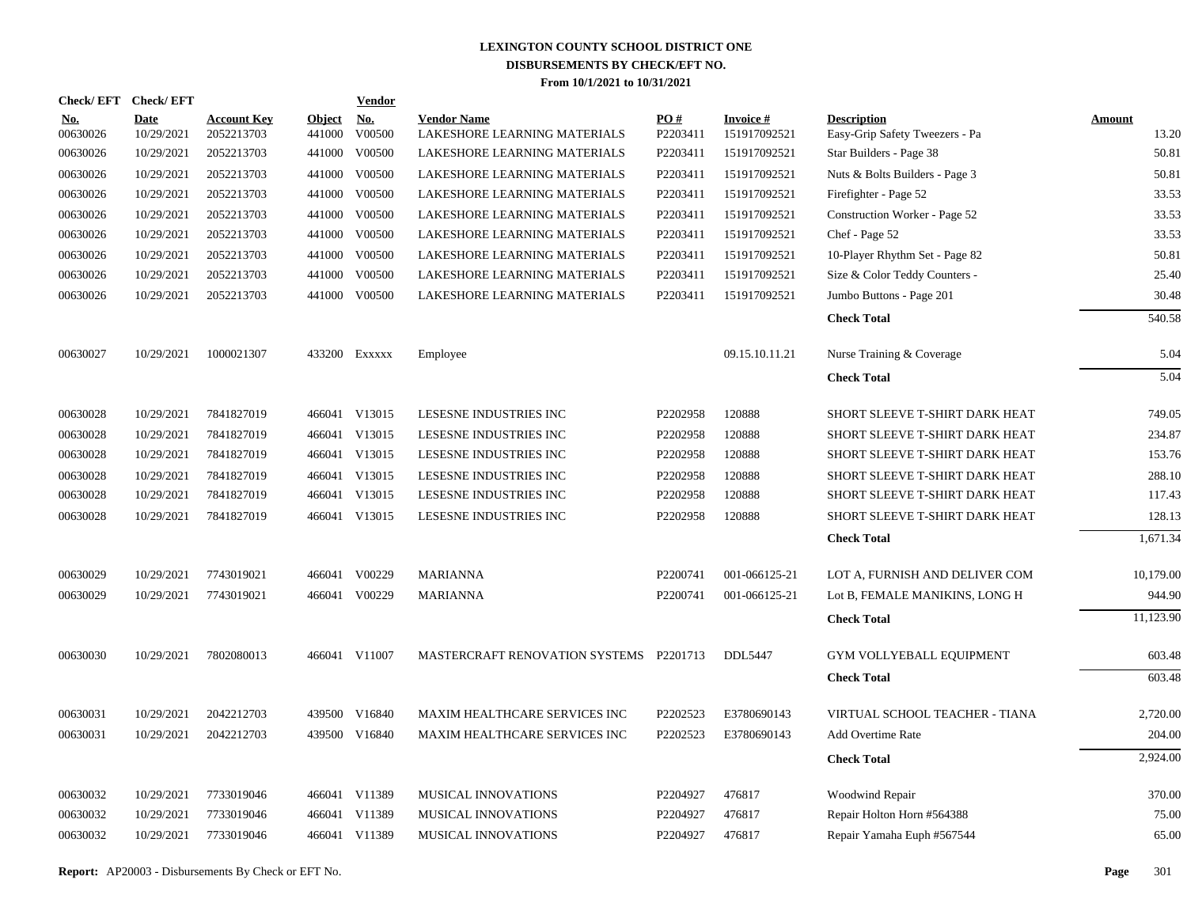| Check/EFT Check/EFT    |                    |                                  |                         | <b>Vendor</b> |                                                    |                 |                                 |                                                      |                 |
|------------------------|--------------------|----------------------------------|-------------------------|---------------|----------------------------------------------------|-----------------|---------------------------------|------------------------------------------------------|-----------------|
| <u>No.</u><br>00630026 | Date<br>10/29/2021 | <b>Account Key</b><br>2052213703 | <b>Object</b><br>441000 | No.<br>V00500 | <b>Vendor Name</b><br>LAKESHORE LEARNING MATERIALS | PO#<br>P2203411 | <b>Invoice#</b><br>151917092521 | <b>Description</b><br>Easy-Grip Safety Tweezers - Pa | Amount<br>13.20 |
| 00630026               | 10/29/2021         | 2052213703                       | 441000                  | V00500        | LAKESHORE LEARNING MATERIALS                       | P2203411        | 151917092521                    | Star Builders - Page 38                              | 50.81           |
| 00630026               | 10/29/2021         | 2052213703                       | 441000                  | V00500        | LAKESHORE LEARNING MATERIALS                       | P2203411        | 151917092521                    | Nuts & Bolts Builders - Page 3                       | 50.81           |
| 00630026               | 10/29/2021         | 2052213703                       | 441000                  | V00500        | LAKESHORE LEARNING MATERIALS                       | P2203411        | 151917092521                    | Firefighter - Page 52                                | 33.53           |
| 00630026               | 10/29/2021         | 2052213703                       | 441000                  | V00500        | LAKESHORE LEARNING MATERIALS                       | P2203411        | 151917092521                    | Construction Worker - Page 52                        | 33.53           |
| 00630026               | 10/29/2021         | 2052213703                       | 441000                  | V00500        | LAKESHORE LEARNING MATERIALS                       | P2203411        | 151917092521                    | Chef - Page 52                                       | 33.53           |
| 00630026               | 10/29/2021         | 2052213703                       | 441000                  | V00500        | LAKESHORE LEARNING MATERIALS                       | P2203411        | 151917092521                    | 10-Player Rhythm Set - Page 82                       | 50.81           |
| 00630026               | 10/29/2021         | 2052213703                       | 441000                  | V00500        | LAKESHORE LEARNING MATERIALS                       | P2203411        | 151917092521                    | Size & Color Teddy Counters -                        | 25.40           |
| 00630026               | 10/29/2021         | 2052213703                       |                         | 441000 V00500 | LAKESHORE LEARNING MATERIALS                       | P2203411        | 151917092521                    | Jumbo Buttons - Page 201                             | 30.48           |
|                        |                    |                                  |                         |               |                                                    |                 |                                 | <b>Check Total</b>                                   | 540.58          |
| 00630027               | 10/29/2021         | 1000021307                       |                         | 433200 Exxxxx | Employee                                           |                 | 09.15.10.11.21                  | Nurse Training & Coverage                            | 5.04            |
|                        |                    |                                  |                         |               |                                                    |                 |                                 | <b>Check Total</b>                                   | 5.04            |
| 00630028               | 10/29/2021         | 7841827019                       |                         | 466041 V13015 | LESESNE INDUSTRIES INC                             | P2202958        | 120888                          | SHORT SLEEVE T-SHIRT DARK HEAT                       | 749.05          |
| 00630028               | 10/29/2021         | 7841827019                       |                         | 466041 V13015 | LESESNE INDUSTRIES INC                             | P2202958        | 120888                          | SHORT SLEEVE T-SHIRT DARK HEAT                       | 234.87          |
| 00630028               | 10/29/2021         | 7841827019                       |                         | 466041 V13015 | LESESNE INDUSTRIES INC                             | P2202958        | 120888                          | SHORT SLEEVE T-SHIRT DARK HEAT                       | 153.76          |
| 00630028               | 10/29/2021         | 7841827019                       |                         | 466041 V13015 | LESESNE INDUSTRIES INC                             | P2202958        | 120888                          | SHORT SLEEVE T-SHIRT DARK HEAT                       | 288.10          |
| 00630028               | 10/29/2021         | 7841827019                       |                         | 466041 V13015 | LESESNE INDUSTRIES INC                             | P2202958        | 120888                          | SHORT SLEEVE T-SHIRT DARK HEAT                       | 117.43          |
| 00630028               | 10/29/2021         | 7841827019                       |                         | 466041 V13015 | LESESNE INDUSTRIES INC                             | P2202958        | 120888                          | SHORT SLEEVE T-SHIRT DARK HEAT                       | 128.13          |
|                        |                    |                                  |                         |               |                                                    |                 |                                 | <b>Check Total</b>                                   | 1,671.34        |
| 00630029               | 10/29/2021         | 7743019021                       |                         | 466041 V00229 | <b>MARIANNA</b>                                    | P2200741        | 001-066125-21                   | LOT A, FURNISH AND DELIVER COM                       | 10,179.00       |
| 00630029               | 10/29/2021         | 7743019021                       |                         | 466041 V00229 | <b>MARIANNA</b>                                    | P2200741        | 001-066125-21                   | Lot B, FEMALE MANIKINS, LONG H                       | 944.90          |
|                        |                    |                                  |                         |               |                                                    |                 |                                 | <b>Check Total</b>                                   | 11,123.90       |
| 00630030               | 10/29/2021         | 7802080013                       |                         | 466041 V11007 | MASTERCRAFT RENOVATION SYSTEMS P2201713            |                 | DDL5447                         | GYM VOLLYEBALL EQUIPMENT                             | 603.48          |
|                        |                    |                                  |                         |               |                                                    |                 |                                 | <b>Check Total</b>                                   | 603.48          |
| 00630031               | 10/29/2021         | 2042212703                       |                         | 439500 V16840 | <b>MAXIM HEALTHCARE SERVICES INC</b>               | P2202523        | E3780690143                     | VIRTUAL SCHOOL TEACHER - TIANA                       | 2,720.00        |
| 00630031               | 10/29/2021         | 2042212703                       |                         | 439500 V16840 | MAXIM HEALTHCARE SERVICES INC                      | P2202523        | E3780690143                     | Add Overtime Rate                                    | 204.00          |
|                        |                    |                                  |                         |               |                                                    |                 |                                 | <b>Check Total</b>                                   | 2,924.00        |
| 00630032               | 10/29/2021         | 7733019046                       |                         | 466041 V11389 | MUSICAL INNOVATIONS                                | P2204927        | 476817                          | Woodwind Repair                                      | 370.00          |
| 00630032               | 10/29/2021         | 7733019046                       |                         | 466041 V11389 | MUSICAL INNOVATIONS                                | P2204927        | 476817                          | Repair Holton Horn #564388                           | 75.00           |
| 00630032               | 10/29/2021         | 7733019046                       |                         | 466041 V11389 | MUSICAL INNOVATIONS                                | P2204927        | 476817                          | Repair Yamaha Euph #567544                           | 65.00           |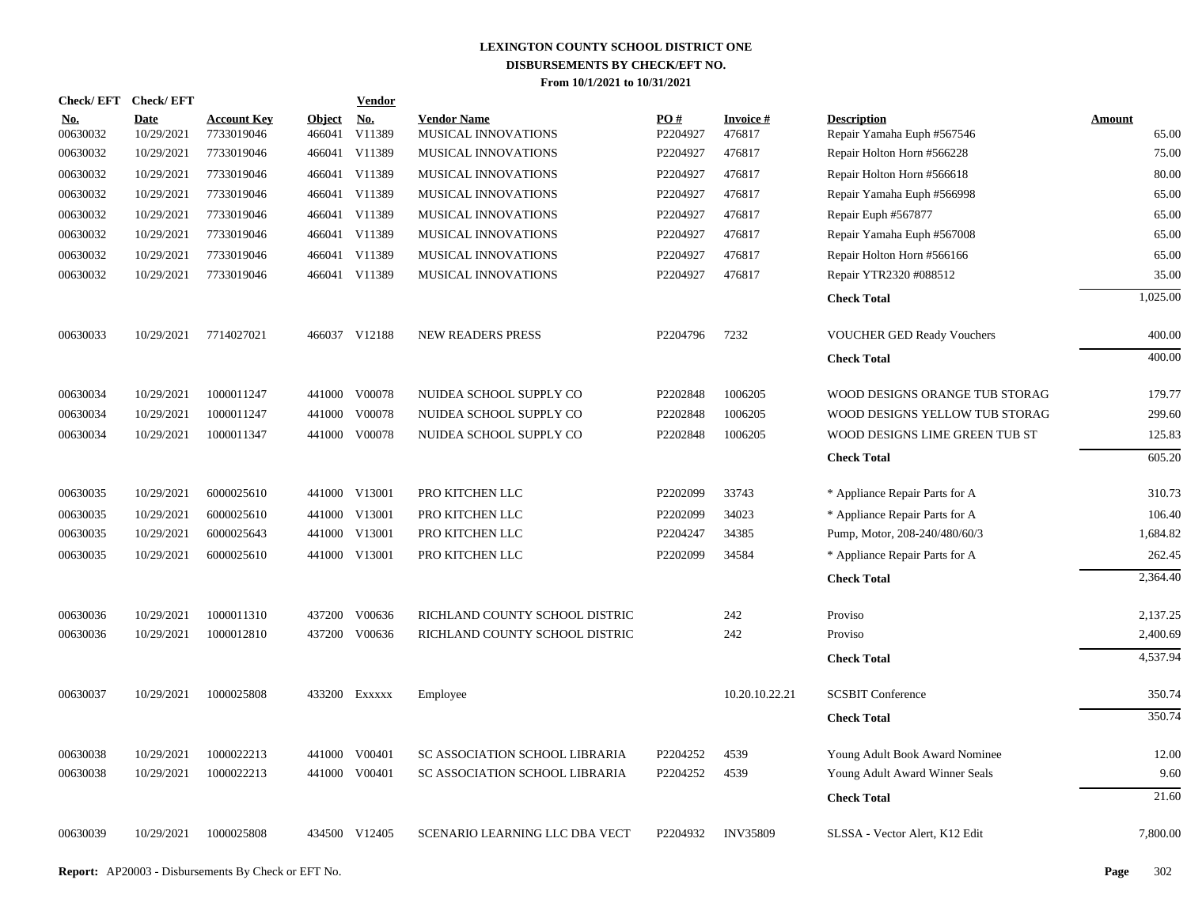| Check/EFT Check/EFT    |                           |                                  |                         | <b>Vendor</b> |                                           |                 |                           |                                                  |                        |
|------------------------|---------------------------|----------------------------------|-------------------------|---------------|-------------------------------------------|-----------------|---------------------------|--------------------------------------------------|------------------------|
| <u>No.</u><br>00630032 | <b>Date</b><br>10/29/2021 | <b>Account Key</b><br>7733019046 | <b>Object</b><br>466041 | No.<br>V11389 | <b>Vendor Name</b><br>MUSICAL INNOVATIONS | PQ#<br>P2204927 | <b>Invoice#</b><br>476817 | <b>Description</b><br>Repair Yamaha Euph #567546 | <b>Amount</b><br>65.00 |
| 00630032               | 10/29/2021                | 7733019046                       | 466041                  | V11389        | MUSICAL INNOVATIONS                       | P2204927        | 476817                    | Repair Holton Horn #566228                       | 75.00                  |
| 00630032               | 10/29/2021                | 7733019046                       | 466041                  | V11389        | MUSICAL INNOVATIONS                       | P2204927        | 476817                    | Repair Holton Horn #566618                       | 80.00                  |
| 00630032               | 10/29/2021                | 7733019046                       | 466041                  | V11389        | MUSICAL INNOVATIONS                       | P2204927        | 476817                    | Repair Yamaha Euph #566998                       | 65.00                  |
| 00630032               | 10/29/2021                | 7733019046                       | 466041                  | V11389        | MUSICAL INNOVATIONS                       | P2204927        | 476817                    | Repair Euph #567877                              | 65.00                  |
| 00630032               | 10/29/2021                | 7733019046                       | 466041                  | V11389        | MUSICAL INNOVATIONS                       | P2204927        | 476817                    | Repair Yamaha Euph #567008                       | 65.00                  |
| 00630032               | 10/29/2021                | 7733019046                       | 466041                  | V11389        | MUSICAL INNOVATIONS                       | P2204927        | 476817                    | Repair Holton Horn #566166                       | 65.00                  |
| 00630032               | 10/29/2021                | 7733019046                       |                         | 466041 V11389 | MUSICAL INNOVATIONS                       | P2204927        | 476817                    | Repair YTR2320 #088512                           | 35.00                  |
|                        |                           |                                  |                         |               |                                           |                 |                           | <b>Check Total</b>                               | 1,025.00               |
| 00630033               | 10/29/2021                | 7714027021                       |                         | 466037 V12188 | <b>NEW READERS PRESS</b>                  | P2204796        | 7232                      | <b>VOUCHER GED Ready Vouchers</b>                | 400.00                 |
|                        |                           |                                  |                         |               |                                           |                 |                           | <b>Check Total</b>                               | 400.00                 |
| 00630034               | 10/29/2021                | 1000011247                       |                         | 441000 V00078 | NUIDEA SCHOOL SUPPLY CO                   | P2202848        | 1006205                   | WOOD DESIGNS ORANGE TUB STORAG                   | 179.77                 |
| 00630034               | 10/29/2021                | 1000011247                       | 441000                  | V00078        | NUIDEA SCHOOL SUPPLY CO                   | P2202848        | 1006205                   | WOOD DESIGNS YELLOW TUB STORAG                   | 299.60                 |
| 00630034               | 10/29/2021                | 1000011347                       |                         | 441000 V00078 | NUIDEA SCHOOL SUPPLY CO                   | P2202848        | 1006205                   | WOOD DESIGNS LIME GREEN TUB ST                   | 125.83                 |
|                        |                           |                                  |                         |               |                                           |                 |                           | <b>Check Total</b>                               | 605.20                 |
| 00630035               | 10/29/2021                | 6000025610                       |                         | 441000 V13001 | PRO KITCHEN LLC                           | P2202099        | 33743                     | * Appliance Repair Parts for A                   | 310.73                 |
| 00630035               | 10/29/2021                | 6000025610                       |                         | 441000 V13001 | PRO KITCHEN LLC                           | P2202099        | 34023                     | * Appliance Repair Parts for A                   | 106.40                 |
| 00630035               | 10/29/2021                | 6000025643                       |                         | 441000 V13001 | PRO KITCHEN LLC                           | P2204247        | 34385                     | Pump, Motor, 208-240/480/60/3                    | 1,684.82               |
| 00630035               | 10/29/2021                | 6000025610                       |                         | 441000 V13001 | PRO KITCHEN LLC                           | P2202099        | 34584                     | * Appliance Repair Parts for A                   | 262.45                 |
|                        |                           |                                  |                         |               |                                           |                 |                           | <b>Check Total</b>                               | 2,364.40               |
| 00630036               | 10/29/2021                | 1000011310                       |                         | 437200 V00636 | RICHLAND COUNTY SCHOOL DISTRIC            |                 | 242                       | Proviso                                          | 2,137.25               |
| 00630036               | 10/29/2021                | 1000012810                       |                         | 437200 V00636 | RICHLAND COUNTY SCHOOL DISTRIC            |                 | 242                       | Proviso                                          | 2,400.69               |
|                        |                           |                                  |                         |               |                                           |                 |                           | <b>Check Total</b>                               | 4,537.94               |
| 00630037               | 10/29/2021                | 1000025808                       |                         | 433200 EXXXXX | Employee                                  |                 | 10.20.10.22.21            | <b>SCSBIT Conference</b>                         | 350.74                 |
|                        |                           |                                  |                         |               |                                           |                 |                           | <b>Check Total</b>                               | 350.74                 |
| 00630038               | 10/29/2021                | 1000022213                       | 441000                  | V00401        | SC ASSOCIATION SCHOOL LIBRARIA            | P2204252        | 4539                      | Young Adult Book Award Nominee                   | 12.00                  |
| 00630038               | 10/29/2021                | 1000022213                       |                         | 441000 V00401 | SC ASSOCIATION SCHOOL LIBRARIA            | P2204252        | 4539                      | Young Adult Award Winner Seals                   | 9.60                   |
|                        |                           |                                  |                         |               |                                           |                 |                           | <b>Check Total</b>                               | 21.60                  |
| 00630039               | 10/29/2021                | 1000025808                       |                         | 434500 V12405 | SCENARIO LEARNING LLC DBA VECT            | P2204932        | <b>INV35809</b>           | SLSSA - Vector Alert, K12 Edit                   | 7,800.00               |
|                        |                           |                                  |                         |               |                                           |                 |                           |                                                  |                        |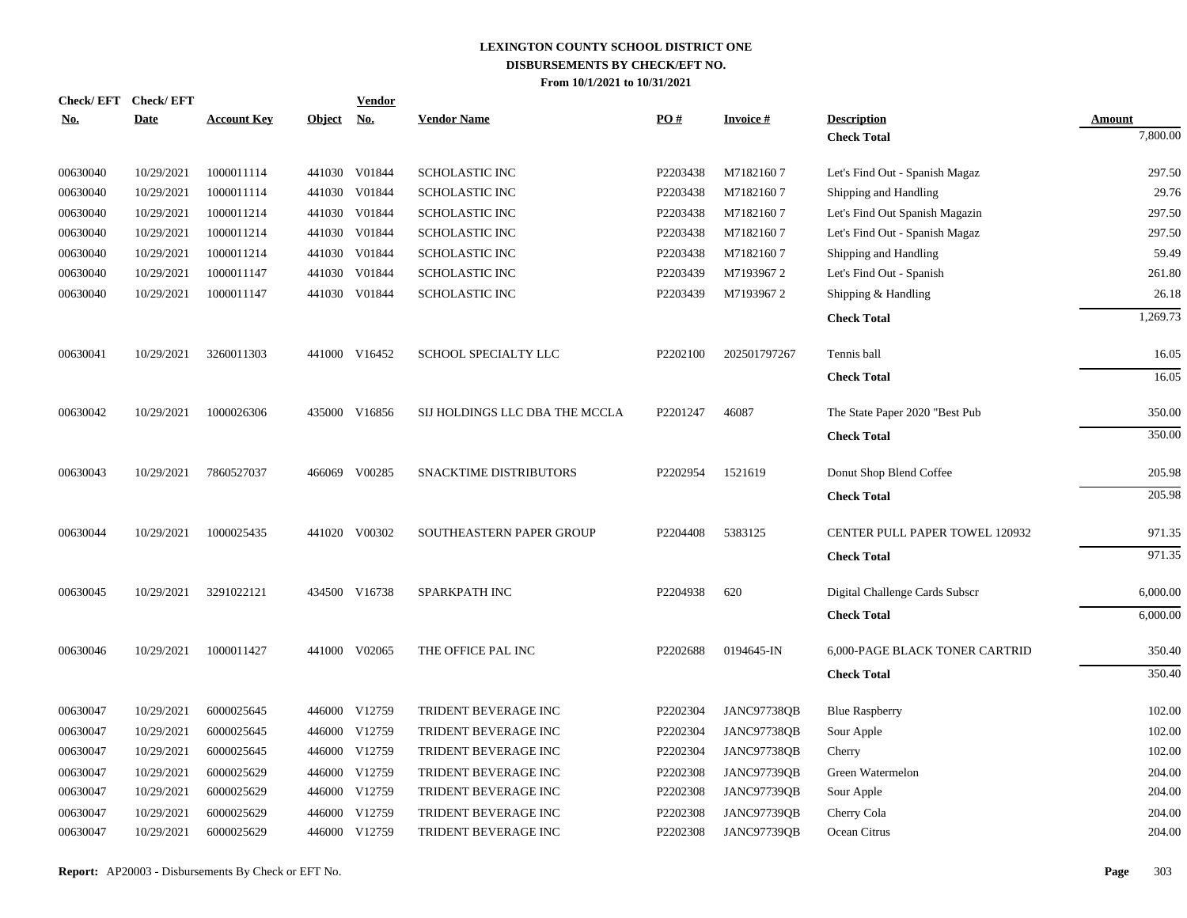| <b>No.</b> | Check/EFT Check/EFT<br><b>Date</b> | <b>Account Key</b> | Object No. | <b>Vendor</b> | <b>Vendor Name</b>             | PO#      | <b>Invoice#</b>    | <b>Description</b>             | Amount   |
|------------|------------------------------------|--------------------|------------|---------------|--------------------------------|----------|--------------------|--------------------------------|----------|
|            |                                    |                    |            |               |                                |          |                    | <b>Check Total</b>             | 7,800.00 |
| 00630040   | 10/29/2021                         | 1000011114         |            | 441030 V01844 | <b>SCHOLASTIC INC</b>          | P2203438 | M71821607          | Let's Find Out - Spanish Magaz | 297.50   |
| 00630040   | 10/29/2021                         | 1000011114         |            | 441030 V01844 | SCHOLASTIC INC                 | P2203438 | M71821607          | Shipping and Handling          | 29.76    |
| 00630040   | 10/29/2021                         | 1000011214         |            | 441030 V01844 | SCHOLASTIC INC                 | P2203438 | M71821607          | Let's Find Out Spanish Magazin | 297.50   |
| 00630040   | 10/29/2021                         | 1000011214         |            | 441030 V01844 | SCHOLASTIC INC                 | P2203438 | M71821607          | Let's Find Out - Spanish Magaz | 297.50   |
| 00630040   | 10/29/2021                         | 1000011214         |            | 441030 V01844 | SCHOLASTIC INC                 | P2203438 | M71821607          | Shipping and Handling          | 59.49    |
| 00630040   | 10/29/2021                         | 1000011147         |            | 441030 V01844 | <b>SCHOLASTIC INC</b>          | P2203439 | M71939672          | Let's Find Out - Spanish       | 261.80   |
| 00630040   | 10/29/2021                         | 1000011147         |            | 441030 V01844 | <b>SCHOLASTIC INC</b>          | P2203439 | M71939672          | Shipping & Handling            | 26.18    |
|            |                                    |                    |            |               |                                |          |                    | <b>Check Total</b>             | 1,269.73 |
| 00630041   | 10/29/2021                         | 3260011303         |            | 441000 V16452 | SCHOOL SPECIALTY LLC           | P2202100 | 202501797267       | Tennis ball                    | 16.05    |
|            |                                    |                    |            |               |                                |          |                    | <b>Check Total</b>             | 16.05    |
| 00630042   | 10/29/2021                         | 1000026306         |            | 435000 V16856 | SIJ HOLDINGS LLC DBA THE MCCLA | P2201247 | 46087              | The State Paper 2020 "Best Pub | 350.00   |
|            |                                    |                    |            |               |                                |          |                    | <b>Check Total</b>             | 350.00   |
| 00630043   | 10/29/2021                         | 7860527037         |            | 466069 V00285 | SNACKTIME DISTRIBUTORS         | P2202954 | 1521619            | Donut Shop Blend Coffee        | 205.98   |
|            |                                    |                    |            |               |                                |          |                    | <b>Check Total</b>             | 205.98   |
| 00630044   | 10/29/2021                         | 1000025435         |            | 441020 V00302 | SOUTHEASTERN PAPER GROUP       | P2204408 | 5383125            | CENTER PULL PAPER TOWEL 120932 | 971.35   |
|            |                                    |                    |            |               |                                |          |                    | <b>Check Total</b>             | 971.35   |
| 00630045   | 10/29/2021                         | 3291022121         |            | 434500 V16738 | SPARKPATH INC                  | P2204938 | 620                | Digital Challenge Cards Subscr | 6,000.00 |
|            |                                    |                    |            |               |                                |          |                    | <b>Check Total</b>             | 6,000.00 |
| 00630046   | 10/29/2021                         | 1000011427         |            | 441000 V02065 | THE OFFICE PAL INC             | P2202688 | 0194645-IN         | 6,000-PAGE BLACK TONER CARTRID | 350.40   |
|            |                                    |                    |            |               |                                |          |                    | <b>Check Total</b>             | 350.40   |
| 00630047   | 10/29/2021                         | 6000025645         |            | 446000 V12759 | TRIDENT BEVERAGE INC           | P2202304 | JANC97738QB        | <b>Blue Raspberry</b>          | 102.00   |
| 00630047   | 10/29/2021                         | 6000025645         |            | 446000 V12759 | TRIDENT BEVERAGE INC           | P2202304 | JANC97738QB        | Sour Apple                     | 102.00   |
| 00630047   | 10/29/2021                         | 6000025645         |            | 446000 V12759 | TRIDENT BEVERAGE INC           | P2202304 | JANC97738QB        | Cherry                         | 102.00   |
| 00630047   | 10/29/2021                         | 6000025629         |            | 446000 V12759 | TRIDENT BEVERAGE INC           | P2202308 | JANC97739QB        | Green Watermelon               | 204.00   |
| 00630047   | 10/29/2021                         | 6000025629         |            | 446000 V12759 | TRIDENT BEVERAGE INC           | P2202308 | JANC97739QB        | Sour Apple                     | 204.00   |
| 00630047   | 10/29/2021                         | 6000025629         | 446000     | V12759        | TRIDENT BEVERAGE INC           | P2202308 | JANC97739QB        | Cherry Cola                    | 204.00   |
| 00630047   | 10/29/2021                         | 6000025629         |            | 446000 V12759 | <b>TRIDENT BEVERAGE INC</b>    | P2202308 | <b>JANC97739OB</b> | Ocean Citrus                   | 204.00   |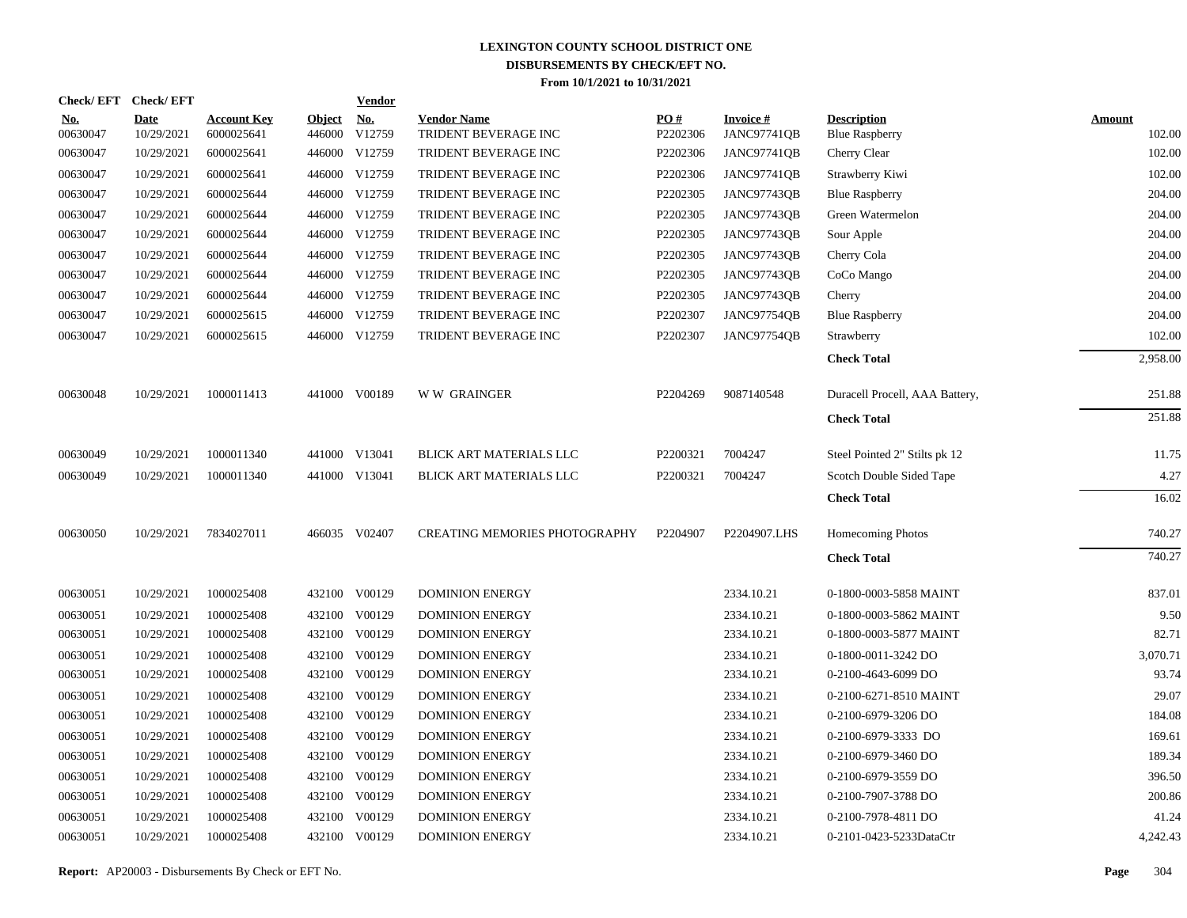|                        | Check/EFT Check/EFT       |                                  |                         | <b>Vendor</b>        |                                            |                 |                                       |                                             |                         |
|------------------------|---------------------------|----------------------------------|-------------------------|----------------------|--------------------------------------------|-----------------|---------------------------------------|---------------------------------------------|-------------------------|
| <u>No.</u><br>00630047 | <b>Date</b><br>10/29/2021 | <b>Account Key</b><br>6000025641 | <b>Object</b><br>446000 | <u>No.</u><br>V12759 | <b>Vendor Name</b><br>TRIDENT BEVERAGE INC | PO#<br>P2202306 | <b>Invoice#</b><br><b>JANC97741QB</b> | <b>Description</b><br><b>Blue Raspberry</b> | <b>Amount</b><br>102.00 |
| 00630047               | 10/29/2021                | 6000025641                       |                         | 446000 V12759        | TRIDENT BEVERAGE INC                       | P2202306        | <b>JANC97741QB</b>                    | Cherry Clear                                | 102.00                  |
| 00630047               | 10/29/2021                | 6000025641                       |                         | 446000 V12759        | TRIDENT BEVERAGE INC                       | P2202306        | <b>JANC97741QB</b>                    | Strawberry Kiwi                             | 102.00                  |
| 00630047               | 10/29/2021                | 6000025644                       |                         | 446000 V12759        | TRIDENT BEVERAGE INC                       | P2202305        | JANC97743QB                           | <b>Blue Raspberry</b>                       | 204.00                  |
| 00630047               | 10/29/2021                | 6000025644                       |                         | 446000 V12759        | TRIDENT BEVERAGE INC                       | P2202305        | JANC97743QB                           | Green Watermelon                            | 204.00                  |
| 00630047               | 10/29/2021                | 6000025644                       |                         | 446000 V12759        | TRIDENT BEVERAGE INC                       | P2202305        | JANC97743QB                           | Sour Apple                                  | 204.00                  |
| 00630047               | 10/29/2021                | 6000025644                       |                         | 446000 V12759        | TRIDENT BEVERAGE INC                       | P2202305        | <b>JANC97743OB</b>                    | Cherry Cola                                 | 204.00                  |
| 00630047               | 10/29/2021                | 6000025644                       |                         | 446000 V12759        | TRIDENT BEVERAGE INC                       | P2202305        | JANC97743QB                           | CoCo Mango                                  | 204.00                  |
| 00630047               | 10/29/2021                | 6000025644                       |                         | 446000 V12759        | TRIDENT BEVERAGE INC                       | P2202305        | JANC97743QB                           | Cherry                                      | 204.00                  |
| 00630047               | 10/29/2021                | 6000025615                       |                         | 446000 V12759        | TRIDENT BEVERAGE INC                       | P2202307        | JANC97754QB                           | <b>Blue Raspberry</b>                       | 204.00                  |
| 00630047               | 10/29/2021                | 6000025615                       |                         | 446000 V12759        | TRIDENT BEVERAGE INC                       | P2202307        | JANC97754QB                           | Strawberry                                  | 102.00                  |
|                        |                           |                                  |                         |                      |                                            |                 |                                       | <b>Check Total</b>                          | 2,958.00                |
| 00630048               | 10/29/2021                | 1000011413                       |                         | 441000 V00189        | <b>WW GRAINGER</b>                         | P2204269        | 9087140548                            | Duracell Procell, AAA Battery,              | 251.88                  |
|                        |                           |                                  |                         |                      |                                            |                 |                                       | <b>Check Total</b>                          | 251.88                  |
| 00630049               | 10/29/2021                | 1000011340                       |                         | 441000 V13041        | BLICK ART MATERIALS LLC                    | P2200321        | 7004247                               | Steel Pointed 2" Stilts pk 12               | 11.75                   |
| 00630049               | 10/29/2021                | 1000011340                       |                         | 441000 V13041        | BLICK ART MATERIALS LLC                    | P2200321        | 7004247                               | Scotch Double Sided Tape                    | 4.27                    |
|                        |                           |                                  |                         |                      |                                            |                 |                                       | <b>Check Total</b>                          | 16.02                   |
| 00630050               | 10/29/2021                | 7834027011                       |                         | 466035 V02407        | <b>CREATING MEMORIES PHOTOGRAPHY</b>       | P2204907        | P2204907.LHS                          | Homecoming Photos                           | 740.27                  |
|                        |                           |                                  |                         |                      |                                            |                 |                                       | <b>Check Total</b>                          | 740.27                  |
| 00630051               | 10/29/2021                | 1000025408                       |                         | 432100 V00129        | <b>DOMINION ENERGY</b>                     |                 | 2334.10.21                            | 0-1800-0003-5858 MAINT                      | 837.01                  |
| 00630051               | 10/29/2021                | 1000025408                       |                         | 432100 V00129        | <b>DOMINION ENERGY</b>                     |                 | 2334.10.21                            | 0-1800-0003-5862 MAINT                      | 9.50                    |
| 00630051               | 10/29/2021                | 1000025408                       |                         | 432100 V00129        | <b>DOMINION ENERGY</b>                     |                 | 2334.10.21                            | 0-1800-0003-5877 MAINT                      | 82.71                   |
| 00630051               | 10/29/2021                | 1000025408                       | 432100                  | V00129               | <b>DOMINION ENERGY</b>                     |                 | 2334.10.21                            | 0-1800-0011-3242 DO                         | 3,070.71                |
| 00630051               | 10/29/2021                | 1000025408                       |                         | 432100 V00129        | <b>DOMINION ENERGY</b>                     |                 | 2334.10.21                            | 0-2100-4643-6099 DO                         | 93.74                   |
| 00630051               | 10/29/2021                | 1000025408                       | 432100                  | V00129               | <b>DOMINION ENERGY</b>                     |                 | 2334.10.21                            | 0-2100-6271-8510 MAINT                      | 29.07                   |
| 00630051               | 10/29/2021                | 1000025408                       | 432100                  | V00129               | <b>DOMINION ENERGY</b>                     |                 | 2334.10.21                            | 0-2100-6979-3206 DO                         | 184.08                  |
| 00630051               | 10/29/2021                | 1000025408                       | 432100                  | V00129               | <b>DOMINION ENERGY</b>                     |                 | 2334.10.21                            | 0-2100-6979-3333 DO                         | 169.61                  |
| 00630051               | 10/29/2021                | 1000025408                       | 432100                  | V00129               | <b>DOMINION ENERGY</b>                     |                 | 2334.10.21                            | 0-2100-6979-3460 DO                         | 189.34                  |
| 00630051               | 10/29/2021                | 1000025408                       | 432100                  | V00129               | <b>DOMINION ENERGY</b>                     |                 | 2334.10.21                            | 0-2100-6979-3559 DO                         | 396.50                  |
| 00630051               | 10/29/2021                | 1000025408                       | 432100                  | V00129               | <b>DOMINION ENERGY</b>                     |                 | 2334.10.21                            | 0-2100-7907-3788 DO                         | 200.86                  |
| 00630051               | 10/29/2021                | 1000025408                       | 432100                  | V00129               | <b>DOMINION ENERGY</b>                     |                 | 2334.10.21                            | 0-2100-7978-4811 DO                         | 41.24                   |
| 00630051               | 10/29/2021                | 1000025408                       |                         | 432100 V00129        | <b>DOMINION ENERGY</b>                     |                 | 2334.10.21                            | 0-2101-0423-5233DataCtr                     | 4,242.43                |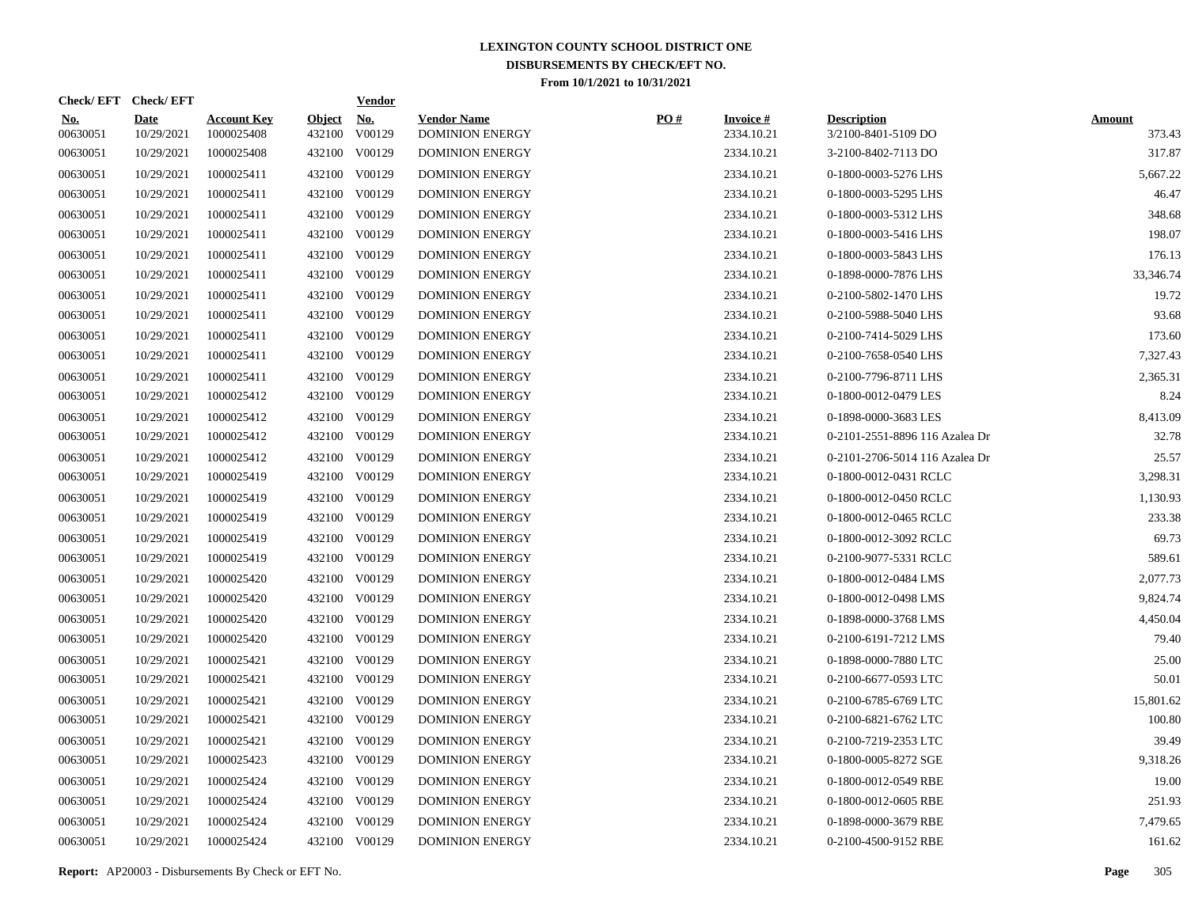| Check/EFT Check/EFT    |                           |                                  |                         | <b>Vendor</b>        |                                              |     |                               |                                           |                         |
|------------------------|---------------------------|----------------------------------|-------------------------|----------------------|----------------------------------------------|-----|-------------------------------|-------------------------------------------|-------------------------|
| <u>No.</u><br>00630051 | <b>Date</b><br>10/29/2021 | <b>Account Key</b><br>1000025408 | <b>Object</b><br>432100 | <u>No.</u><br>V00129 | <b>Vendor Name</b><br><b>DOMINION ENERGY</b> | PO# | <b>Invoice#</b><br>2334.10.21 | <b>Description</b><br>3/2100-8401-5109 DO | <b>Amount</b><br>373.43 |
| 00630051               | 10/29/2021                | 1000025408                       |                         | 432100 V00129        | <b>DOMINION ENERGY</b>                       |     | 2334.10.21                    | 3-2100-8402-7113 DO                       | 317.87                  |
| 00630051               | 10/29/2021                | 1000025411                       |                         | 432100 V00129        | <b>DOMINION ENERGY</b>                       |     | 2334.10.21                    | 0-1800-0003-5276 LHS                      | 5,667.22                |
| 00630051               | 10/29/2021                | 1000025411                       |                         | 432100 V00129        | <b>DOMINION ENERGY</b>                       |     | 2334.10.21                    | 0-1800-0003-5295 LHS                      | 46.47                   |
| 00630051               | 10/29/2021                | 1000025411                       |                         | 432100 V00129        | <b>DOMINION ENERGY</b>                       |     | 2334.10.21                    | 0-1800-0003-5312 LHS                      | 348.68                  |
| 00630051               | 10/29/2021                | 1000025411                       |                         | 432100 V00129        | <b>DOMINION ENERGY</b>                       |     | 2334.10.21                    | 0-1800-0003-5416 LHS                      | 198.07                  |
| 00630051               | 10/29/2021                | 1000025411                       |                         | 432100 V00129        | <b>DOMINION ENERGY</b>                       |     | 2334.10.21                    | 0-1800-0003-5843 LHS                      | 176.13                  |
| 00630051               | 10/29/2021                | 1000025411                       |                         | 432100 V00129        | <b>DOMINION ENERGY</b>                       |     | 2334.10.21                    | 0-1898-0000-7876 LHS                      | 33,346.74               |
| 00630051               | 10/29/2021                | 1000025411                       |                         | 432100 V00129        | <b>DOMINION ENERGY</b>                       |     | 2334.10.21                    | 0-2100-5802-1470 LHS                      | 19.72                   |
| 00630051               | 10/29/2021                | 1000025411                       |                         | 432100 V00129        | <b>DOMINION ENERGY</b>                       |     | 2334.10.21                    | 0-2100-5988-5040 LHS                      | 93.68                   |
| 00630051               | 10/29/2021                | 1000025411                       |                         | 432100 V00129        | <b>DOMINION ENERGY</b>                       |     | 2334.10.21                    | 0-2100-7414-5029 LHS                      | 173.60                  |
| 00630051               | 10/29/2021                | 1000025411                       |                         | 432100 V00129        | <b>DOMINION ENERGY</b>                       |     | 2334.10.21                    | 0-2100-7658-0540 LHS                      | 7,327.43                |
| 00630051               | 10/29/2021                | 1000025411                       |                         | 432100 V00129        | <b>DOMINION ENERGY</b>                       |     | 2334.10.21                    | 0-2100-7796-8711 LHS                      | 2,365.31                |
| 00630051               | 10/29/2021                | 1000025412                       |                         | 432100 V00129        | <b>DOMINION ENERGY</b>                       |     | 2334.10.21                    | 0-1800-0012-0479 LES                      | 8.24                    |
| 00630051               | 10/29/2021                | 1000025412                       |                         | 432100 V00129        | <b>DOMINION ENERGY</b>                       |     | 2334.10.21                    | 0-1898-0000-3683 LES                      | 8,413.09                |
| 00630051               | 10/29/2021                | 1000025412                       |                         | 432100 V00129        | <b>DOMINION ENERGY</b>                       |     | 2334.10.21                    | 0-2101-2551-8896 116 Azalea Dr            | 32.78                   |
| 00630051               | 10/29/2021                | 1000025412                       |                         | 432100 V00129        | DOMINION ENERGY                              |     | 2334.10.21                    | 0-2101-2706-5014 116 Azalea Dr            | 25.57                   |
| 00630051               | 10/29/2021                | 1000025419                       |                         | 432100 V00129        | <b>DOMINION ENERGY</b>                       |     | 2334.10.21                    | 0-1800-0012-0431 RCLC                     | 3,298.31                |
| 00630051               | 10/29/2021                | 1000025419                       | 432100                  | V00129               | <b>DOMINION ENERGY</b>                       |     | 2334.10.21                    | 0-1800-0012-0450 RCLC                     | 1,130.93                |
| 00630051               | 10/29/2021                | 1000025419                       |                         | 432100 V00129        | <b>DOMINION ENERGY</b>                       |     | 2334.10.21                    | 0-1800-0012-0465 RCLC                     | 233.38                  |
| 00630051               | 10/29/2021                | 1000025419                       | 432100                  | V00129               | <b>DOMINION ENERGY</b>                       |     | 2334.10.21                    | 0-1800-0012-3092 RCLC                     | 69.73                   |
| 00630051               | 10/29/2021                | 1000025419                       |                         | 432100 V00129        | <b>DOMINION ENERGY</b>                       |     | 2334.10.21                    | 0-2100-9077-5331 RCLC                     | 589.61                  |
| 00630051               | 10/29/2021                | 1000025420                       | 432100                  | V00129               | <b>DOMINION ENERGY</b>                       |     | 2334.10.21                    | 0-1800-0012-0484 LMS                      | 2,077.73                |
| 00630051               | 10/29/2021                | 1000025420                       |                         | 432100 V00129        | <b>DOMINION ENERGY</b>                       |     | 2334.10.21                    | 0-1800-0012-0498 LMS                      | 9,824.74                |
| 00630051               | 10/29/2021                | 1000025420                       | 432100                  | V00129               | <b>DOMINION ENERGY</b>                       |     | 2334.10.21                    | 0-1898-0000-3768 LMS                      | 4,450.04                |
| 00630051               | 10/29/2021                | 1000025420                       |                         | 432100 V00129        | <b>DOMINION ENERGY</b>                       |     | 2334.10.21                    | 0-2100-6191-7212 LMS                      | 79.40                   |
| 00630051               | 10/29/2021                | 1000025421                       | 432100                  | V00129               | <b>DOMINION ENERGY</b>                       |     | 2334.10.21                    | 0-1898-0000-7880 LTC                      | 25.00                   |
| 00630051               | 10/29/2021                | 1000025421                       | 432100                  | V00129               | <b>DOMINION ENERGY</b>                       |     | 2334.10.21                    | 0-2100-6677-0593 LTC                      | 50.01                   |
| 00630051               | 10/29/2021                | 1000025421                       | 432100                  | V00129               | <b>DOMINION ENERGY</b>                       |     | 2334.10.21                    | 0-2100-6785-6769 LTC                      | 15,801.62               |
| 00630051               | 10/29/2021                | 1000025421                       | 432100                  | V00129               | <b>DOMINION ENERGY</b>                       |     | 2334.10.21                    | 0-2100-6821-6762 LTC                      | 100.80                  |
| 00630051               | 10/29/2021                | 1000025421                       | 432100                  | V00129               | <b>DOMINION ENERGY</b>                       |     | 2334.10.21                    | 0-2100-7219-2353 LTC                      | 39.49                   |
| 00630051               | 10/29/2021                | 1000025423                       | 432100                  | V00129               | <b>DOMINION ENERGY</b>                       |     | 2334.10.21                    | 0-1800-0005-8272 SGE                      | 9,318.26                |
| 00630051               | 10/29/2021                | 1000025424                       | 432100                  | V00129               | <b>DOMINION ENERGY</b>                       |     | 2334.10.21                    | 0-1800-0012-0549 RBE                      | 19.00                   |
| 00630051               | 10/29/2021                | 1000025424                       | 432100                  | V00129               | <b>DOMINION ENERGY</b>                       |     | 2334.10.21                    | 0-1800-0012-0605 RBE                      | 251.93                  |
| 00630051               | 10/29/2021                | 1000025424                       | 432100                  | V00129               | <b>DOMINION ENERGY</b>                       |     | 2334.10.21                    | 0-1898-0000-3679 RBE                      | 7,479.65                |
| 00630051               | 10/29/2021                | 1000025424                       |                         | 432100 V00129        | <b>DOMINION ENERGY</b>                       |     | 2334.10.21                    | 0-2100-4500-9152 RBE                      | 161.62                  |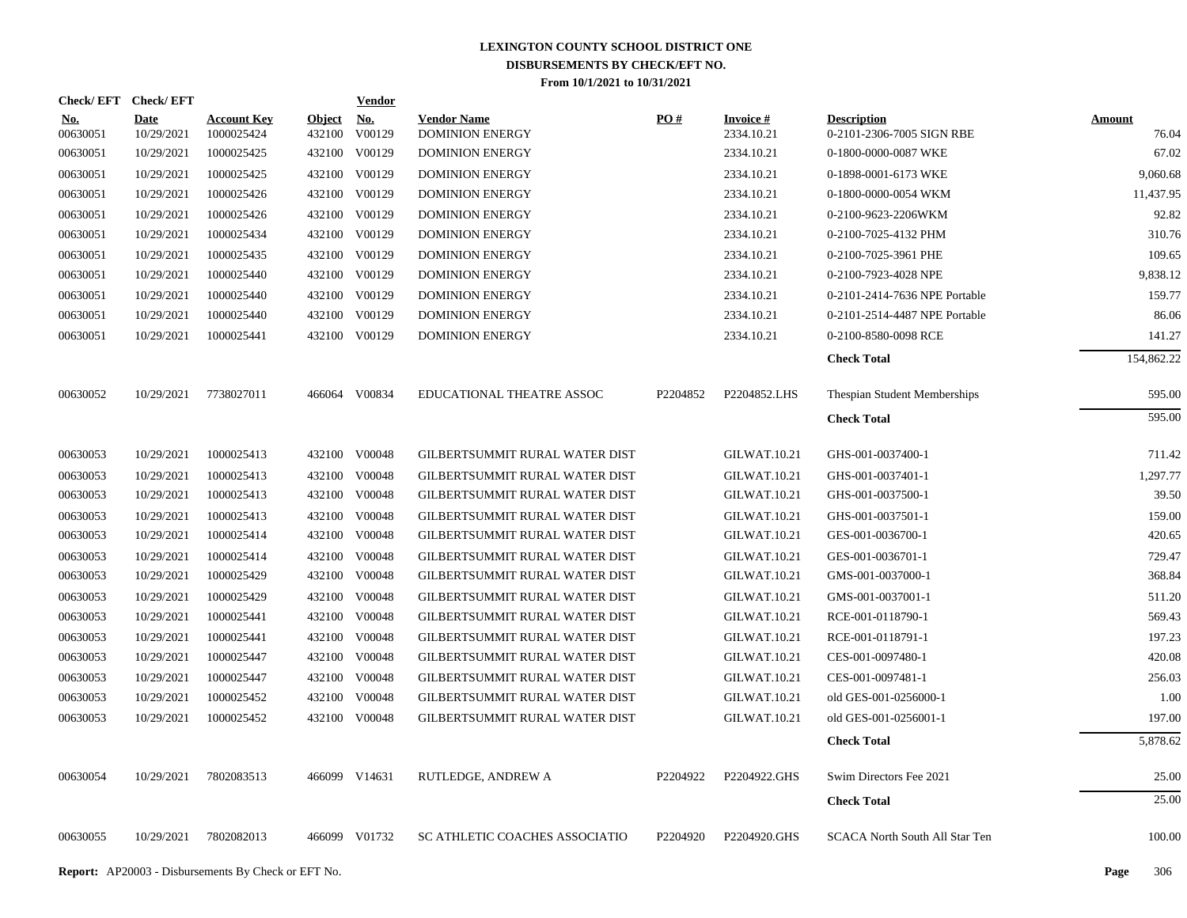| Check/EFT Check/EFT    |                           |                                  |                         | <b>Vendor</b>        |                                              |                   |                               |                                                 |                        |
|------------------------|---------------------------|----------------------------------|-------------------------|----------------------|----------------------------------------------|-------------------|-------------------------------|-------------------------------------------------|------------------------|
| <u>No.</u><br>00630051 | <b>Date</b><br>10/29/2021 | <b>Account Key</b><br>1000025424 | <b>Object</b><br>432100 | <u>No.</u><br>V00129 | <b>Vendor Name</b><br><b>DOMINION ENERGY</b> | $\underline{PO#}$ | <b>Invoice#</b><br>2334.10.21 | <b>Description</b><br>0-2101-2306-7005 SIGN RBE | <b>Amount</b><br>76.04 |
| 00630051               | 10/29/2021                | 1000025425                       |                         | 432100 V00129        | <b>DOMINION ENERGY</b>                       |                   | 2334.10.21                    | 0-1800-0000-0087 WKE                            | 67.02                  |
| 00630051               | 10/29/2021                | 1000025425                       |                         | 432100 V00129        | <b>DOMINION ENERGY</b>                       |                   | 2334.10.21                    | 0-1898-0001-6173 WKE                            | 9,060.68               |
| 00630051               | 10/29/2021                | 1000025426                       |                         | 432100 V00129        | <b>DOMINION ENERGY</b>                       |                   | 2334.10.21                    | 0-1800-0000-0054 WKM                            | 11,437.95              |
| 00630051               | 10/29/2021                | 1000025426                       |                         | 432100 V00129        | <b>DOMINION ENERGY</b>                       |                   | 2334.10.21                    | 0-2100-9623-2206WKM                             | 92.82                  |
| 00630051               | 10/29/2021                | 1000025434                       |                         | 432100 V00129        | <b>DOMINION ENERGY</b>                       |                   | 2334.10.21                    | 0-2100-7025-4132 PHM                            | 310.76                 |
| 00630051               | 10/29/2021                | 1000025435                       |                         | 432100 V00129        | <b>DOMINION ENERGY</b>                       |                   | 2334.10.21                    | 0-2100-7025-3961 PHE                            | 109.65                 |
| 00630051               | 10/29/2021                | 1000025440                       |                         | 432100 V00129        | <b>DOMINION ENERGY</b>                       |                   | 2334.10.21                    | 0-2100-7923-4028 NPE                            | 9,838.12               |
| 00630051               | 10/29/2021                | 1000025440                       |                         | 432100 V00129        | <b>DOMINION ENERGY</b>                       |                   | 2334.10.21                    | 0-2101-2414-7636 NPE Portable                   | 159.77                 |
| 00630051               | 10/29/2021                | 1000025440                       |                         | 432100 V00129        | <b>DOMINION ENERGY</b>                       |                   | 2334.10.21                    | 0-2101-2514-4487 NPE Portable                   | 86.06                  |
| 00630051               | 10/29/2021                | 1000025441                       |                         | 432100 V00129        | <b>DOMINION ENERGY</b>                       |                   | 2334.10.21                    | 0-2100-8580-0098 RCE                            | 141.27                 |
|                        |                           |                                  |                         |                      |                                              |                   |                               | <b>Check Total</b>                              | 154,862.22             |
| 00630052               | 10/29/2021                | 7738027011                       |                         | 466064 V00834        | EDUCATIONAL THEATRE ASSOC                    | P2204852          | P2204852.LHS                  | Thespian Student Memberships                    | 595.00                 |
|                        |                           |                                  |                         |                      |                                              |                   |                               | <b>Check Total</b>                              | 595.00                 |
| 00630053               | 10/29/2021                | 1000025413                       |                         | 432100 V00048        | GILBERTSUMMIT RURAL WATER DIST               |                   | <b>GILWAT.10.21</b>           | GHS-001-0037400-1                               | 711.42                 |
| 00630053               | 10/29/2021                | 1000025413                       |                         | 432100 V00048        | GILBERTSUMMIT RURAL WATER DIST               |                   | <b>GILWAT.10.21</b>           | GHS-001-0037401-1                               | 1,297.77               |
| 00630053               | 10/29/2021                | 1000025413                       |                         | 432100 V00048        | GILBERTSUMMIT RURAL WATER DIST               |                   | <b>GILWAT.10.21</b>           | GHS-001-0037500-1                               | 39.50                  |
| 00630053               | 10/29/2021                | 1000025413                       |                         | 432100 V00048        | GILBERTSUMMIT RURAL WATER DIST               |                   | <b>GILWAT.10.21</b>           | GHS-001-0037501-1                               | 159.00                 |
| 00630053               | 10/29/2021                | 1000025414                       |                         | 432100 V00048        | GILBERTSUMMIT RURAL WATER DIST               |                   | <b>GILWAT.10.21</b>           | GES-001-0036700-1                               | 420.65                 |
| 00630053               | 10/29/2021                | 1000025414                       |                         | 432100 V00048        | GILBERTSUMMIT RURAL WATER DIST               |                   | <b>GILWAT.10.21</b>           | GES-001-0036701-1                               | 729.47                 |
| 00630053               | 10/29/2021                | 1000025429                       |                         | 432100 V00048        | GILBERTSUMMIT RURAL WATER DIST               |                   | <b>GILWAT.10.21</b>           | GMS-001-0037000-1                               | 368.84                 |
| 00630053               | 10/29/2021                | 1000025429                       |                         | 432100 V00048        | GILBERTSUMMIT RURAL WATER DIST               |                   | <b>GILWAT.10.21</b>           | GMS-001-0037001-1                               | 511.20                 |
| 00630053               | 10/29/2021                | 1000025441                       |                         | 432100 V00048        | GILBERTSUMMIT RURAL WATER DIST               |                   | <b>GILWAT.10.21</b>           | RCE-001-0118790-1                               | 569.43                 |
| 00630053               | 10/29/2021                | 1000025441                       |                         | 432100 V00048        | GILBERTSUMMIT RURAL WATER DIST               |                   | <b>GILWAT.10.21</b>           | RCE-001-0118791-1                               | 197.23                 |
| 00630053               | 10/29/2021                | 1000025447                       |                         | 432100 V00048        | GILBERTSUMMIT RURAL WATER DIST               |                   | <b>GILWAT.10.21</b>           | CES-001-0097480-1                               | 420.08                 |
| 00630053               | 10/29/2021                | 1000025447                       |                         | 432100 V00048        | GILBERTSUMMIT RURAL WATER DIST               |                   | <b>GILWAT.10.21</b>           | CES-001-0097481-1                               | 256.03                 |
| 00630053               | 10/29/2021                | 1000025452                       |                         | 432100 V00048        | GILBERTSUMMIT RURAL WATER DIST               |                   | <b>GILWAT.10.21</b>           | old GES-001-0256000-1                           | 1.00                   |
| 00630053               | 10/29/2021                | 1000025452                       |                         | 432100 V00048        | GILBERTSUMMIT RURAL WATER DIST               |                   | <b>GILWAT.10.21</b>           | old GES-001-0256001-1                           | 197.00                 |
|                        |                           |                                  |                         |                      |                                              |                   |                               | <b>Check Total</b>                              | 5,878.62               |
| 00630054               | 10/29/2021                | 7802083513                       |                         | 466099 V14631        | RUTLEDGE, ANDREW A                           | P2204922          | P2204922.GHS                  | Swim Directors Fee 2021                         | 25.00                  |
|                        |                           |                                  |                         |                      |                                              |                   |                               | <b>Check Total</b>                              | 25.00                  |
| 00630055               | 10/29/2021                | 7802082013                       |                         | 466099 V01732        | SC ATHLETIC COACHES ASSOCIATIO               | P2204920          | P2204920.GHS                  | <b>SCACA North South All Star Ten</b>           | 100.00                 |
|                        |                           |                                  |                         |                      |                                              |                   |                               |                                                 |                        |